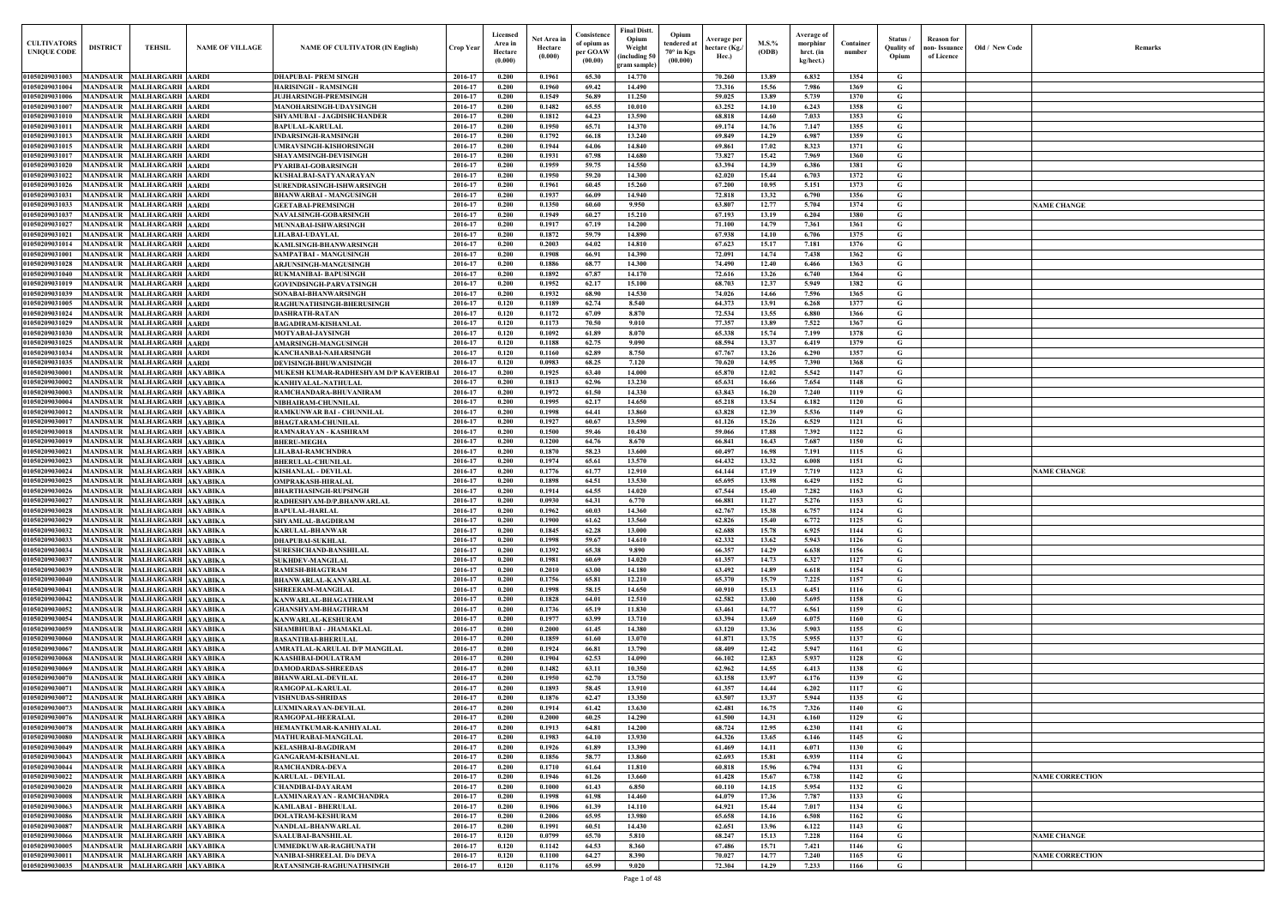| <b>CULTIVATORS</b><br><b>UNIQUE CODE</b> | <b>DISTRICT</b>                    | <b>TEHSIL</b>                                                | <b>NAME OF VILLAGE</b> | <b>NAME OF CULTIVATOR (IN English)</b>                              | Crop Year          | Licensed<br>Area in<br>Hectare<br>(0.000) | Net Area in<br>Hectare<br>(0.000) | Consistence<br>of opium as<br>per GOAW<br>(00.00) | <b>Final Distt.</b><br>Opium<br>Opium<br>tendered at<br>Weight<br>$70^\circ$ in Kgs<br>including 50)<br>(00.000) | Average per<br>hectare (Kg./<br>Hec.) | $M.S.\%$<br>(ODB) | Average of<br>morphinr<br>hrct. (in<br>kg/hect.) | Container<br>number | Status/<br><b>Ouality of</b><br>Opium | <b>Reason</b> for<br>non- Issuance<br>of Licence | Old / New Code | <b>Remark</b>          |
|------------------------------------------|------------------------------------|--------------------------------------------------------------|------------------------|---------------------------------------------------------------------|--------------------|-------------------------------------------|-----------------------------------|---------------------------------------------------|------------------------------------------------------------------------------------------------------------------|---------------------------------------|-------------------|--------------------------------------------------|---------------------|---------------------------------------|--------------------------------------------------|----------------|------------------------|
| 01050209031003                           |                                    | MANDSAUR MALHARGARH AARDI                                    |                        | <b>DHAPUBAI- PREM SINGH</b>                                         | 2016-17            | 0.200                                     | 0.1961                            | 65.30                                             | gram sample)<br>14.770                                                                                           | 70.260                                | 13.89             | 6.832                                            | 1354                | G                                     |                                                  |                |                        |
| 01050209031004                           | <b>MANDSAUR</b>                    | <b>MALHARGARH AARDI</b>                                      |                        | <b>HARISINGH - RAMSINGH</b>                                         | 2016-17            | 0.200                                     | 0.1960                            | 69.42                                             | 14.490                                                                                                           | 73.316                                | 15.56             | 7.986                                            | 1369                | G                                     |                                                  |                |                        |
| 01050209031006                           | MANDSAUR                           | <b>MALHARGARH AARDI</b>                                      |                        | <b>JUJHARSINGH-PREMSINGH</b>                                        | 2016-17            | 0.200                                     | 0.1549                            | 56.89                                             | 11.250                                                                                                           | 59.025                                | 13.89             | 5.739                                            | 1370                | G                                     |                                                  |                |                        |
| 01050209031007                           | <b>MANDSAUR</b>                    | <b>MALHARGARH AARDI</b>                                      |                        | MANOHARSINGH-UDAYSINGH                                              | 2016-17            | 0.200                                     | 0.1482                            | 65.55                                             | 10.010                                                                                                           | 63.252                                | 14.10             | 6.243                                            | 1358                | $\mathbf G$                           |                                                  |                |                        |
| 01050209031010<br>01050209031011         | MANDSAUR<br>MANDSAUR               | <b>MALHARGARH AARDI</b><br><b>MALHARGARH AARDI</b>           |                        | SHYAMUBAI - JAGDISHCHANDER<br><b>BAPULAL-KARULAL</b>                | 2016-17<br>2016-17 | 0.200<br>0.200                            | 0.1812<br>0.1950                  | 64.23<br>65.71                                    | 13.590<br>14.370                                                                                                 | 68.818<br>69.174                      | 14.60<br>14.76    | 7.033<br>7.147                                   | 1353<br>1355        | G<br>$\mathbf G$                      |                                                  |                |                        |
| 01050209031013                           | MANDSAUR                           | <b>MALHARGARH AARDI</b>                                      |                        | <b>INDARSINGH-RAMSINGH</b>                                          | 2016-17            | 0.200                                     | 0.1792                            | 66.18                                             | 13.240                                                                                                           | 69.849                                | 14.29             | 6.987                                            | 1359                | $\mathbf G$                           |                                                  |                |                        |
| 01050209031015                           | <b>MANDSAUR</b>                    | <b>MALHARGARH AARDI</b>                                      |                        | <b>UMRAVSINGH-KISHORSINGH</b>                                       | 2016-17            | 0.200                                     | 0.1944                            | 64.06                                             | 14.840                                                                                                           | 69.861                                | 17.02             | 8.323                                            | 1371                | $\mathbf G$                           |                                                  |                |                        |
| 01050209031017                           | MANDSAUR                           | <b>MALHARGARH AARDI</b>                                      |                        | <b>SHAYAMSINGH-DEVISINGH</b>                                        | 2016-17            | 0.200                                     | 0.1931                            | 67.98                                             | 14.680                                                                                                           | 73.827                                | 15.42             | 7.969                                            | 1360                | G                                     |                                                  |                |                        |
| 01050209031020<br>01050209031022         | MANDSAUR<br><b>MANDSAUR</b>        | <b>MALHARGARH AARDI</b><br><b>MALHARGARH AARDI</b>           |                        | PYARIBAI-GOBARSINGH<br>KUSHALBAI-SATYANARAYAN                       | 2016-17<br>2016-17 | 0.200<br>0.200                            | 0.1959<br>0.1950                  | 59.75<br>59.20                                    | 14.550<br>14.300                                                                                                 | 63.394<br>62.020                      | 14.39<br>15.44    | 6.386<br>6.703                                   | 1381<br>1372        | $\mathbf G$<br>G                      |                                                  |                |                        |
| 01050209031026                           | <b>MANDSAUR</b>                    | <b>MALHARGARH AARDI</b>                                      |                        | SURENDRASINGH-ISHWARSINGH                                           | 2016-17            | 0.200                                     | 0.1961                            | 60.45                                             | 15.260                                                                                                           | 67.200                                | 10.95             | 5.151                                            | 1373                | $\mathbf G$                           |                                                  |                |                        |
| 01050209031031                           | <b>MANDSAUR</b>                    | <b>MALHARGARH AARDI</b>                                      |                        | <b>BHANWARBAI - MANGUSINGH</b>                                      | 2016-17            | 0.200                                     | 0.1937                            | 66.09                                             | 14.940                                                                                                           | 72.818                                | 13.32             | 6.790                                            | 1356                | G                                     |                                                  |                |                        |
| 01050209031033                           | <b>MANDSAUR</b>                    | <b>MALHARGARH AARDI</b>                                      |                        | <b>GEETABAI-PREMSINGH</b>                                           | 2016-17            | 0.200                                     | 0.1350                            | 60.60                                             | 9.950                                                                                                            | 63.807                                | 12,77             | 5.704                                            | 1374                | $\mathbf G$                           |                                                  |                | <b>NAME CHANGE</b>     |
| 0105020903103<br>01050209031027          | <b>MANDSAUR</b><br><b>MANDSAUR</b> | <b>MALHARGARH AARDI</b><br><b>MALHARGARH AARDI</b>           |                        | <b>NAVALSINGH-GOBARSINGH</b>                                        | 2016-17<br>2016-17 | 0.200<br>0.200                            | 0.1949<br>0.1917                  | 60.27<br>67.19                                    | 15.210<br>14.200                                                                                                 | 67.193<br>71.100                      | 13.19<br>14.79    | 6.204<br>7.361                                   | 1380<br>1361        | $\mathbf G$<br>$\mathbf G$            |                                                  |                |                        |
| 01050209031021                           | <b>MANDSAUR</b>                    | <b>MALHARGARH AARDI</b>                                      |                        | MUNNABAI-ISHWARSINGH<br>LILABAI-UDAYLAL                             | 2016-17            | 0.200                                     | 0.1872                            | 59.79                                             | 14.890                                                                                                           | 67.938                                | 14.10             | 6.706                                            | 1375                | G                                     |                                                  |                |                        |
| 01050209031014                           | <b>MANDSAUR</b>                    | <b>MALHARGARH AARDI</b>                                      |                        | KAMLSINGH-BHANWARSINGH                                              | 2016-17            | 0.200                                     | 0.2003                            | 64.02                                             | 14.810                                                                                                           | 67.623                                | 15.17             | 7.181                                            | 1376                | G                                     |                                                  |                |                        |
| 0105020903100                            | MANDSAUR                           | <b>MALHARGARH AARDI</b>                                      |                        | SAMPATBAI - MANGUSINGH                                              | 2016-17            | 0.200                                     | 0.1908                            | 66.91                                             | 14.390                                                                                                           | 72.091                                | 14.74             | 7.438                                            | 1362                | G                                     |                                                  |                |                        |
| <b>01050209031028</b>                    | MANDSAUR                           | <b>MALHARGARH AARDI</b>                                      |                        | <b>ARJUNSINGH-MANGUSINGH</b>                                        | 2016-17            | 0.200                                     | 0.1886                            | 68.77                                             | 14.300                                                                                                           | 74.490                                | 12.40             | 6.466                                            | 1363                | G                                     |                                                  |                |                        |
| 01050209031040<br>01050209031019         | MANDSAUR<br><b>MANDSAUR</b>        | <b>MALHARGARH AARDI</b><br><b>MALHARGARH AARDI</b>           |                        | RUKMANIBAI- BAPUSINGH<br>GOVINDSINGH-PARVATSINGH                    | 2016-17<br>2016-17 | 0.200<br>0.200                            | 0.1892<br>0.1952                  | 67.87<br>62.17                                    | 14.170<br>15.100                                                                                                 | 72.616<br>68.703                      | 13.26<br>12.37    | 6.740<br>5.949                                   | 1364<br>1382        | G<br>G                                |                                                  |                |                        |
| 01050209031039                           | <b>MANDSAUR</b>                    | <b>MALHARGARH AARDI</b>                                      |                        | SONABAI-BHANWARSINGH                                                | 2016-17            | 0.200                                     | 0.1932                            | 68.90                                             | 14.530                                                                                                           | 74.026                                | 14.66             | 7.596                                            | 1365                | G                                     |                                                  |                |                        |
| 01050209031005                           |                                    | MANDSAUR MALHARGARH AARDI                                    |                        | RAGHUNATHSINGH-BHERUSINGH                                           | 2016-17            | 0.120                                     | 0.1189                            | 62.74                                             | 8.540                                                                                                            | 64.373                                | 13.91             | 6.268                                            | 1377                | G                                     |                                                  |                |                        |
| 01050209031024                           | <b>MANDSAUR</b>                    | <b>MALHARGARH AARDI</b>                                      |                        | <b>DASHRATH-RATAN</b>                                               | 2016-17            | 0.120<br>0.120                            | 0.1172                            | 67.09                                             | 8.870                                                                                                            | 72.534                                | 13.55             | 6.880                                            | 1366                | G                                     |                                                  |                |                        |
| 01050209031029<br>01050209031030         | <b>MANDSAUR</b>                    | MANDSAUR MALHARGARH AARDI<br><b>MALHARGARH AARDI</b>         |                        | <b>BAGADIRAM-KISHANLAL</b><br><b>MOTYABAI-JAYSINGH</b>              | 2016-17<br>2016-17 | 0.120                                     | 0.1173<br>0.1092                  | 70.50<br>61.89                                    | 9.010<br>8.070                                                                                                   | 77.357<br>65.338                      | 13.89<br>15.74    | 7.522<br>7.199                                   | 1367<br>1378        | G<br>G                                |                                                  |                |                        |
| 01050209031025                           | <b>MANDSAUR</b>                    | <b>MALHARGARH AARDI</b>                                      |                        | AMARSINGH-MANGUSINGH                                                | 2016-17            | 0.120                                     | 0.1188                            | 62.75                                             | 9.090                                                                                                            | 68.594                                | 13.37             | 6.419                                            | 1379                | G                                     |                                                  |                |                        |
| 01050209031034                           | <b>MANDSAUR</b>                    | <b>MALHARGARH AARDI</b>                                      |                        | <b>KANCHANBAI-NAHARSINGH</b>                                        | 2016-17            | 0.120                                     | 0.1160                            | 62.89                                             | 8.750                                                                                                            | 67.767                                | 13.26             | 6.290                                            | 1357                | G                                     |                                                  |                |                        |
| 01050209031035                           | <b>MANDSAUR</b>                    | <b>MALHARGARH AARDI</b>                                      |                        | <b>DEVISINGH-BHUWANISINGH</b>                                       | 2016-17            | 0.120                                     | 0.0983                            | 68.25                                             | 7.120                                                                                                            | 70.620                                | 14.95             | 7.390                                            | 1368                | G                                     |                                                  |                |                        |
| 01050209030001<br>01050209030002         | <b>MANDSAUR</b><br>MANDSAUR        | MALHARGARH AKYABIKA<br>MALHARGARH AKYABIKA                   |                        | MUKESH KUMAR-RADHESHYAM D/P KAVERIBAI<br><b>KANHIYALAL-NATHULAL</b> | 2016-17<br>2016-17 | 0.200<br>0.200                            | 0.1925<br>0.1813                  | 63.40<br>62.96                                    | 14.000<br>13.230                                                                                                 | 65.870<br>65.631                      | 12.02<br>16.66    | 5.542<br>7.654                                   | 1147<br>1148        | G<br>G                                |                                                  |                |                        |
| <b>0105020903000.</b>                    | <b>MANDSAUR</b>                    | MALHARGARH AKYABIKA                                          |                        | RAMCHANDARA-BHUVANIRAM                                              | 2016-17            | 0.200                                     | 0.1972                            | 61.50                                             | 14.330                                                                                                           | 63.843                                | 16.20             | 7.240                                            | 1119                | $\mathbf G$                           |                                                  |                |                        |
| 01050209030004                           | <b>MANDSAUR</b>                    | MALHARGARH AKYABIKA                                          |                        | NIBHAIRAM-CHUNNILAL                                                 | 2016-17            | 0.200                                     | 0.1995                            | 62.17                                             | 14.650                                                                                                           | 65.218                                | 13.54             | 6.182                                            | 1120                | G                                     |                                                  |                |                        |
| 01050209030012<br>0105020903001          | MANDSAUR<br><b>MANDSAUR</b>        | MALHARGARH AKYABIKA<br>MALHARGARH AKYABIKA                   |                        | <b>RAMKUNWAR BAI - CHUNNILAL</b><br><b>BHAGTARAM-CHUNILAL</b>       | 2016-17<br>2016-17 | 0.200<br>0.200                            | 0.1998<br>0.1927                  | 64.41<br>60.67                                    | 13.860<br>13.590                                                                                                 | 63.828<br>61.126                      | 12.39<br>15.26    | 5.536<br>6.529                                   | 1149<br>1121        | $\mathbf G$<br>G                      |                                                  |                |                        |
| 0105020903001                            | <b>MANDSAUR</b>                    | <b>MALHARGARH AKYABIKA</b>                                   |                        | RAMNARAYAN - KASHIRAM                                               | 2016-17            | 0.200                                     | 0.1500                            | 59.46                                             | 10.430                                                                                                           | 59.066                                | 17.88             | 7.392                                            | 1122                | G                                     |                                                  |                |                        |
| 01050209030019                           | MANDSAUR                           | MALHARGARH AKYABIKA                                          |                        | <b>BHERU-MEGHA</b>                                                  | 2016-17            | 0.200                                     | 0.1200                            | 64.76                                             | 8.670                                                                                                            | 66.841                                | 16.43             | 7.687                                            | 1150                | G                                     |                                                  |                |                        |
| 01050209030021                           | <b>MANDSAUR</b>                    | MALHARGARH AKYABIKA                                          |                        | <b>LILABAI-RAMCHNDRA</b>                                            | 2016-17            | 0.200                                     | 0.1870                            | 58.23                                             | 13.600                                                                                                           | 60.497                                | 16.98             | 7.191                                            | 1115                | $\mathbf G$                           |                                                  |                |                        |
| 0105020903002<br>01050209030024          | MANDSAUR<br><b>MANDSAUR</b>        | MALHARGARH AKYABIKA<br><b>MALHARGARH AKYABIKA</b>            |                        | <b>BHERULAL-CHUNILAL</b><br>KISHANLAL - DEVILAL                     | 2016-17<br>2016-17 | 0.200<br>0.200                            | 0.1974<br>0.1776                  | 65.61<br>61.77                                    | 13.570<br>12.910                                                                                                 | 64.432<br>64.144                      | 13.32<br>17.19    | 6.008<br>7.719                                   | 1151<br>1123        | $\mathbf G$<br>$\mathbf G$            |                                                  |                | <b>NAME CHANGE</b>     |
| 01050209030025                           | MANDSAUR                           | MALHARGARH AKYABIKA                                          |                        | <b>OMPRAKASH-HIRALAL</b>                                            | 2016-17            | 0.200                                     | 0.1898                            | 64.51                                             | 13.530                                                                                                           | 65.695                                | 13.98             | 6.429                                            | 1152                | G                                     |                                                  |                |                        |
| 0105020903002                            | MANDSAUR                           | MALHARGARH AKYABIKA                                          |                        | <b>BHARTHASINGH-RUPSINGH</b>                                        | 2016-17            | 0.200                                     | 0.1914                            | 64.55                                             | 14.020                                                                                                           | 67.544                                | 15.40             | 7.282                                            | 1163                | G                                     |                                                  |                |                        |
| 01050209030027<br>01050209030028         | MANDSAUR                           | MALHARGARH AKYABIKA<br>MANDSAUR MALHARGARH AKYABIKA          |                        | RADHESHYAM-D/P.BHANWARLAL<br><b>BAPULAL-HARLAL</b>                  | 2016-17<br>2016-17 | 0.200<br>0.200                            | 0.0930<br>0.1962                  | 64.31<br>60.03                                    | 6.770<br>14.360                                                                                                  | 66.881<br>62.767                      | 11.27<br>15.38    | 5.276<br>6.757                                   | 1153<br>1124        | G<br>G                                |                                                  |                |                        |
| 01050209030029                           |                                    | MANDSAUR MALHARGARH AKYABIKA                                 |                        | SHYAMLAL-BAGDIRAM                                                   | 2016-17            | 0.200                                     | 0.1900                            | 61.62                                             | 13.560                                                                                                           | 62.826                                | 15.40             | 6.772                                            | 1125                | G                                     |                                                  |                |                        |
| 01050209030032                           |                                    | MANDSAUR MALHARGARH AKYABIKA                                 |                        | KARULAL-BHANWAR                                                     | 2016-17            | 0.200                                     | 0.1845                            | 62.28                                             | 13.000                                                                                                           | 62.688                                | 15.78             | 6.925                                            | 1144                | G                                     |                                                  |                |                        |
| 01050209030033                           |                                    | MANDSAUR MALHARGARH AKYABIKA                                 |                        | <b>DHAPUBAI-SUKHLAL</b>                                             | 2016-17            | 0.200                                     | 0.1998                            | 59.67                                             | 14.610                                                                                                           | 62.332                                | 13.62             | 5.943                                            | 1126                | $\mathbf{G}$                          |                                                  |                |                        |
| 01050209030034<br>01050209030037         |                                    | MANDSAUR MALHARGARH AKYABIKA<br>MANDSAUR MALHARGARH AKYABIKA |                        | <b>SURESHCHAND-BANSHILAL</b><br><b>SUKHDEV-MANGILAL</b>             | 2016-17<br>2016-17 | 0.200<br>0.200                            | 0.1392<br>0.1981                  | 65.38<br>60.69                                    | 9.890<br>14.020                                                                                                  | 66.357<br>61.357                      | 14.29<br>14.73    | 6.638<br>6.327                                   | 1156<br>1127        | $\mathbf G$<br>G                      |                                                  |                |                        |
| 01050209030039                           |                                    | MANDSAUR MALHARGARH AKYABIKA                                 |                        | <b>RAMESH-BHAGTRAM</b>                                              | 2016-17            | 0.200                                     | 0.2010                            | 63.00                                             | 14.180                                                                                                           | 63.492                                | 14.89             | 6.618                                            | 1154                | G                                     |                                                  |                |                        |
| 01050209030040                           | <b>MANDSAUR</b>                    | MALHARGARH AKYABIKA                                          |                        | <b>BHANWARLAL-KANVARLAL</b>                                         | 2016-17            | 0.200                                     | 0.1756                            | 65.81                                             | 12.210                                                                                                           | 65.370                                | 15.79             | 7.225                                            | 1157                | $\mathbf G$                           |                                                  |                |                        |
| 01050209030041                           | <b>MANDSAUR</b>                    | MALHARGARH AKYABIKA                                          |                        | SHREERAM-MANGILAL                                                   | 2016-17            | 0.200                                     | 0.1998                            | 58.15                                             | 14.650                                                                                                           | 60.910                                | 15.13             | 6.451                                            | 1116                | $\mathbf G$                           |                                                  |                |                        |
| 01050209030042<br>01050209030052         | <b>MANDSAUR</b><br><b>MANDSAUR</b> | MALHARGARH AKYABIKA<br>MALHARGARH AKYABIKA                   |                        | KANWARLAL-BHAGATHRAM<br><b>GHANSHYAM-BHAGTHRAM</b>                  | 2016-17<br>2016-17 | 0.200<br>0.200                            | 0.1828<br>0.1736                  | 64.01<br>65.19                                    | 12.510<br>11.830                                                                                                 | 62.582<br>63.461                      | 13.00<br>14.77    | 5.695<br>6.561                                   | 1158<br>1159        | $\mathbf G$<br>$\mathbf G$            |                                                  |                |                        |
| 01050209030054                           | <b>MANDSAUR</b>                    | MALHARGARH AKYABIKA                                          |                        | KANWARLAL-KESHURAM                                                  | 2016-17            | 0.200                                     | 0.1977                            | 63.99                                             | 13.710                                                                                                           | 63.394                                | 13.69             | 6.075                                            | 1160                | $\mathbf G$                           |                                                  |                |                        |
| 01050209030059                           | <b>MANDSAUR</b>                    | MALHARGARH AKYABIKA                                          |                        | SHAMBHUBAI - JHAMAKLAL                                              | 2016-17            | 0.200                                     | 0.2000                            | 61.45                                             | 14.380                                                                                                           | 63.120                                | 13.36             | 5.903                                            | 1155                | $\mathbf G$                           |                                                  |                |                        |
| 01050209030060                           | <b>MANDSAUR</b>                    | MALHARGARH AKYABIKA                                          |                        | <b>BASANTIBAI-BHERULAL</b>                                          | 2016-17            | 0.200                                     | 0.1859                            | 61.60                                             | 13.070                                                                                                           | 61.871                                | 13.75             | 5.955                                            | 1137                | $\mathbf G$                           |                                                  |                |                        |
| 0105020903006<br>01050209030068          | <b>MANDSAUR</b><br><b>MANDSAUR</b> | MALHARGARH AKYABIKA<br>MALHARGARH AKYABIKA                   |                        | AMRATLAL-KARULAL D/P MANGILAL<br>KAASHIBAI-DOULATRAM                | 2016-17<br>2016-17 | 0.200<br>0.200                            | 0.1924<br>0.1904                  | 66.81<br>62.53                                    | 13.790<br>14.090                                                                                                 | 68.409<br>66.102                      | 12.42<br>12.83    | 5.947<br>5.937                                   | 1161<br>1128        | $\mathbf G$<br>$\mathbf G$            |                                                  |                |                        |
| 01050209030069                           | <b>MANDSAUR</b>                    | MALHARGARH AKYABIKA                                          |                        | <b>DAMODARDAS-SHREEDAS</b>                                          | 2016-17            | 0.200                                     | 0.1482                            | 63.11                                             | 10.350                                                                                                           | 62.962                                | 14.55             | 6.413                                            | 1138                | $\mathbf G$                           |                                                  |                |                        |
| 0105020903007                            | <b>MANDSAUR</b>                    | MALHARGARH AKYABIKA                                          |                        | <b>BHANWARLAL-DEVILAL</b>                                           | 2016-17            | 0.200                                     | 0.1950                            | 62.70                                             | 13.750                                                                                                           | 63.158                                | 13.97             | 6.176                                            | 1139                | $\mathbf G$                           |                                                  |                |                        |
| 0105020903007<br>0105020903007           | <b>MANDSAUR</b><br><b>MANDSAUR</b> | MALHARGARH AKYABIKA<br>MALHARGARH AKYABIKA                   |                        | RAMGOPAL-KARULAL<br><b>VISHNUDAS-SHRIDAS</b>                        | 2016-17<br>2016-17 | 0.200<br>0.200                            | 0.1893<br>0.1876                  | 58.45<br>62.47                                    | 13.910<br>13.350                                                                                                 | 61.357<br>63.507                      | 14.44<br>13.37    | 6.202<br>5.944                                   | 1117<br>1135        | $\mathbf G$<br>$\mathbf G$            |                                                  |                |                        |
| 0105020903007.                           | MANDSAUR                           | MALHARGARH AKYABIKA                                          |                        | LUXMINARAYAN-DEVILAL                                                | 2016-17            | 0.200                                     | 0.1914                            | 61.42                                             | 13.630                                                                                                           | 62.481                                | 16.75             | 7.326                                            | 1140                | $\mathbf G$                           |                                                  |                |                        |
| 0105020903007                            | <b>MANDSAUR</b>                    | MALHARGARH AKYABIKA                                          |                        | RAMGOPAL-HEERALAL                                                   | 2016-17            | 0.200                                     | 0.2000                            | 60.25                                             | 14.290                                                                                                           | 61.500                                | 14.31             | 6.160                                            | 1129                | $\mathbf G$                           |                                                  |                |                        |
| 0105020903007                            | MANDSAUR                           | MALHARGARH AKYABIKA                                          |                        | HEMANTKUMAR-KANHIYALAL                                              | 2016-17            | 0.200                                     | 0.1913                            | 64.81                                             | 14.200                                                                                                           | 68.724                                | 12.95             | 6.230                                            | 1141                | G                                     |                                                  |                |                        |
| <b>0105020903008</b><br>01050209030049   | MANDSAUR<br><b>MANDSAUR</b>        | MALHARGARH AKYABIKA<br>MALHARGARH AKYABIKA                   |                        | <b>MATHURABAI-MANGILAL</b><br><b>KELASHBAI-BAGDIRAM</b>             | 2016-17<br>2016-17 | 0.200<br>0.200                            | 0.1983<br>0.1926                  | 64.10<br>61.89                                    | 13.930<br>13.390                                                                                                 | 64.326<br>61.469                      | 13.65<br>14.11    | 6.146<br>6.071                                   | 1145<br>1130        | G<br>G                                |                                                  |                |                        |
| 01050209030043                           | MANDSAUR                           | MALHARGARH AKYABIKA                                          |                        | <b>GANGARAM-KISHANLAL</b>                                           | 2016-17            | 0.200                                     | 0.1856                            | 58.77                                             | 13.860                                                                                                           | 62.693                                | 15.81             | 6.939                                            | 1114                | $\mathbf G$                           |                                                  |                |                        |
| 01050209030044                           | <b>MANDSAUR</b>                    | MALHARGARH AKYABIKA                                          |                        | RAMCHANDRA-DEVA                                                     | 2016-17            | 0.200                                     | 0.1710                            | 61.64                                             | 11.810                                                                                                           | 60.818                                | 15.96             | 6.794                                            | 1131                | G                                     |                                                  |                |                        |
| 01050209030022                           |                                    | MANDSAUR MALHARGARH AKYABIKA                                 |                        | <b>KARULAL - DEVILAL</b>                                            | 2016-17            | 0.200                                     | 0.1946                            | 61.26                                             | 13.660                                                                                                           | 61.428                                | 15.67             | 6.738                                            | 1142                | $\mathbf G$                           |                                                  |                | <b>NAME CORRECTION</b> |
| 01050209030020<br>01050209030008         |                                    | MANDSAUR MALHARGARH AKYABIKA<br>MANDSAUR MALHARGARH AKYABIKA |                        | <b>CHANDIBAI-DAYARAM</b><br>LAXMINARAYAN - RAMCHANDRA               | 2016-17<br>2016-17 | 0.200<br>0.200                            | 0.1000<br>0.1998                  | 61.43<br>61.98                                    | 6.850<br>14.460                                                                                                  | 60.110<br>64.079                      | 14.15<br>17.36    | 5.954<br>7.787                                   | 1132<br>1133        | $\mathbf G$<br>$\mathbf G$            |                                                  |                |                        |
| 01050209030063                           | <b>MANDSAUR</b>                    | MALHARGARH AKYABIKA                                          |                        | <b>KAMLABAI - BHERULAL</b>                                          | 2016-17            | 0.200                                     | 0.1906                            | 61.39                                             | 14.110                                                                                                           | 64.921                                | 15.44             | 7.017                                            | 1134                | $\mathbf{G}$                          |                                                  |                |                        |
| 01050209030086                           |                                    | MANDSAUR MALHARGARH AKYABIKA                                 |                        | <b>DOLATRAM-KESHURAM</b>                                            | 2016-17            | 0.200                                     | 0.2006                            | 65.95                                             | 13.980                                                                                                           | 65.658                                | 14.16             | 6.508                                            | 1162                | $\mathbf G$                           |                                                  |                |                        |
| 01050209030087                           | <b>MANDSAUR</b>                    | MALHARGARH AKYABIKA                                          |                        | NANDLAL-BHANWARLAL                                                  | 2016-17            | 0.200                                     | 0.1991                            | 60.51                                             | 14.430                                                                                                           | 62.651                                | 13.96             | 6.122                                            | 1143                | $\mathbf G$                           |                                                  |                |                        |
| 01050209030066<br>01050209030005         | <b>MANDSAUR</b>                    | MANDSAUR MALHARGARH AKYABIKA<br>MALHARGARH AKYABIKA          |                        | <b>SAALUBAI-BANSHILAL</b><br>UMMEDKUWAR-RAGHUNATH                   | 2016-17<br>2016-17 | 0.120<br>0.120                            | 0.0799<br>0.1142                  | 65.70<br>64.53                                    | 5.810<br>8.360                                                                                                   | 68.247<br>67.486                      | 15.13<br>15.71    | 7.228<br>7.421                                   | 1164<br>1146        | G<br>$\mathbf G$                      |                                                  |                | <b>NAME CHANGE</b>     |
| 01050209030011                           | <b>MANDSAUR</b>                    | MALHARGARH AKYABIKA                                          |                        | <b>NANIBAI-SHREELAL D/0 DEVA</b>                                    | 2016-17            | 0.120                                     | 0.1100                            | 64.27                                             | 8.390                                                                                                            | 70.027                                | 14.77             | 7.240                                            | 1165                | $\mathbf{G}$                          |                                                  |                | <b>NAME CORRECTION</b> |
| 01050209030035                           |                                    | MANDSAUR MALHARGARH AKYABIKA                                 |                        | RATANSINGH-RAGHUNATHSINGH                                           | 2016-17            | 0.120                                     | 0.1176                            | 65.99                                             | 9.020                                                                                                            | 72.304                                | 14.29             | 7.233                                            | 1166                | $\mathbf G$                           |                                                  |                |                        |

| Old / New Code | Remarks                |
|----------------|------------------------|
|                |                        |
|                |                        |
|                |                        |
|                |                        |
|                |                        |
|                |                        |
|                |                        |
|                |                        |
|                |                        |
|                |                        |
|                |                        |
|                | <b>NAME CHANGE</b>     |
|                |                        |
|                |                        |
|                |                        |
|                |                        |
|                |                        |
|                |                        |
|                |                        |
|                |                        |
|                |                        |
|                |                        |
|                |                        |
|                |                        |
|                |                        |
|                |                        |
|                |                        |
|                |                        |
|                |                        |
|                |                        |
|                |                        |
|                |                        |
|                |                        |
|                | <b>NAME CHANGE</b>     |
|                |                        |
|                |                        |
|                |                        |
|                |                        |
|                |                        |
|                |                        |
|                |                        |
|                |                        |
|                |                        |
|                |                        |
|                |                        |
|                |                        |
|                |                        |
|                |                        |
|                |                        |
|                |                        |
|                |                        |
|                |                        |
|                |                        |
|                |                        |
|                |                        |
|                |                        |
|                |                        |
|                |                        |
|                |                        |
|                |                        |
|                | <b>NAME CORRECTION</b> |
|                |                        |
|                |                        |
|                |                        |
|                |                        |
|                | <b>NAME CHANGE</b>     |
|                | <b>NAME CORRECTION</b> |
|                |                        |
|                |                        |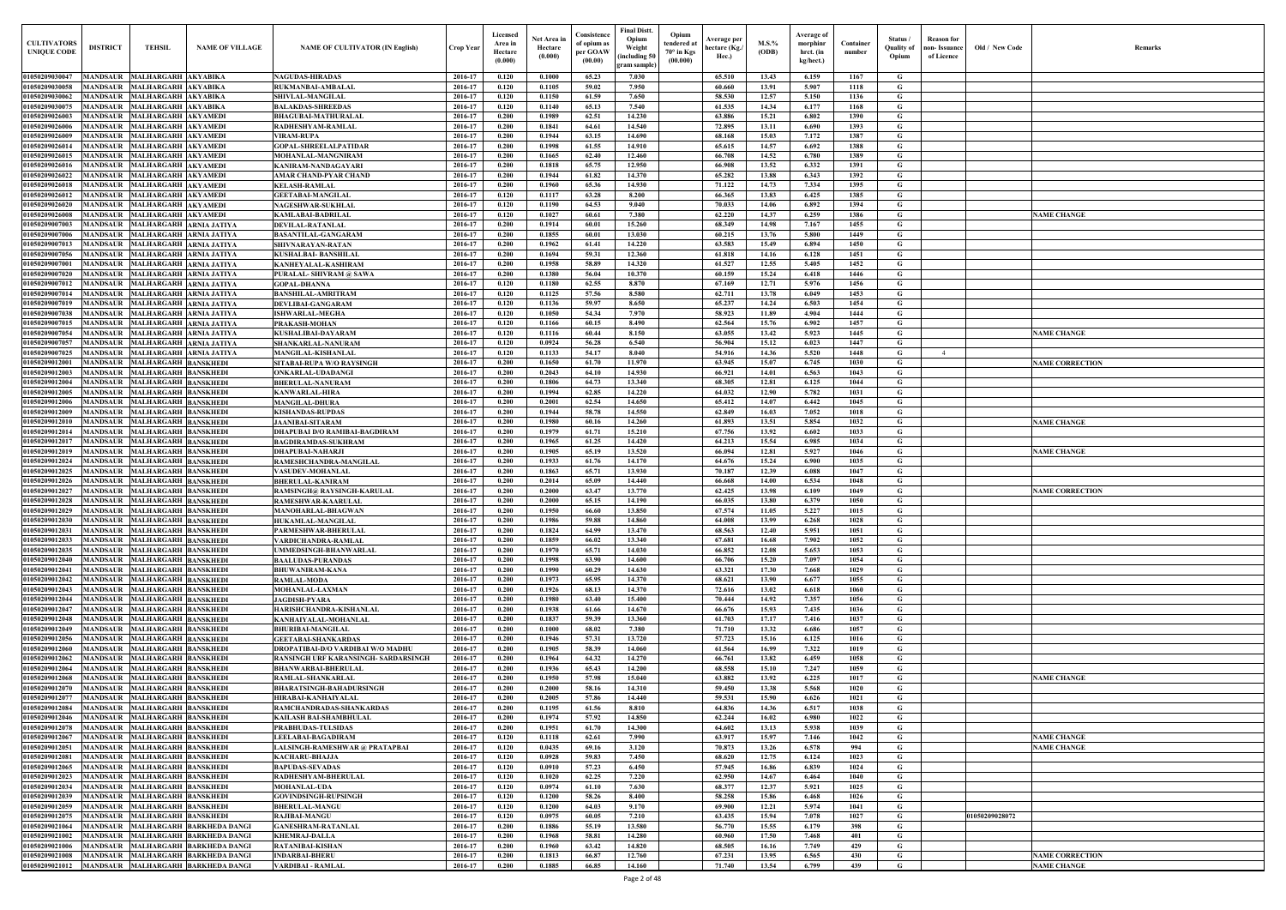| Old / New Code | Remarks                |
|----------------|------------------------|
|                |                        |
|                |                        |
|                |                        |
|                |                        |
|                |                        |
|                |                        |
|                |                        |
|                |                        |
|                |                        |
|                |                        |
|                |                        |
|                |                        |
|                |                        |
|                | <b>NAME CHANGE</b>     |
|                |                        |
|                |                        |
|                |                        |
|                |                        |
|                |                        |
|                |                        |
|                |                        |
|                |                        |
|                |                        |
|                |                        |
|                | <b>NAME CHANGE</b>     |
|                |                        |
|                |                        |
|                | <b>NAME CORRECTION</b> |
|                |                        |
|                |                        |
|                |                        |
|                |                        |
|                |                        |
|                | <b>NAME CHANGE</b>     |
|                |                        |
|                | <b>NAME CHANGE</b>     |
|                |                        |
|                |                        |
|                |                        |
|                | <b>NAME CORRECTION</b> |
|                |                        |
|                |                        |
|                |                        |
|                |                        |
|                |                        |
|                |                        |
|                |                        |
|                |                        |
|                |                        |
|                |                        |
|                |                        |
|                |                        |
|                |                        |
|                |                        |
|                |                        |
|                |                        |
|                | <b>NAME CHANGE</b>     |
|                |                        |
|                |                        |
|                |                        |
|                |                        |
|                |                        |
|                | <b>NAME CHANGE</b>     |
|                | <b>NAME CHANGE</b>     |
|                |                        |
|                |                        |
|                |                        |
|                |                        |
|                |                        |
| 1050209028072  |                        |
|                |                        |
|                |                        |
|                | <b>NAME CORRECTION</b> |
|                | <b>NAME CHANGE</b>     |
|                |                        |

| <b>CULTIVATORS</b><br><b>UNIQUE CODE</b>     | <b>DISTRICT</b>                    | <b>TEHSIL</b>                                                  | <b>NAME OF VILLAGE</b>                                                   | <b>NAME OF CULTIVATOR (IN English)</b>                                    | <b>Crop Year</b>   | Licensed<br>Area in<br>Hectare<br>(0.000) | Net Area in<br>Hectare<br>(0.000) | Consistence<br>of opium as<br>per GOAW<br>(00.00) | Final Distt.<br>Opium<br>Weight<br>including 50)<br>gram sample] | Opium<br>tendered at<br>$70^\circ$ in Kgs<br>(00.000) | <b>Average per</b><br>hectare (Kg./<br>Hec.) | $M.S.\%$<br><b>(ODB)</b> | <b>Average of</b><br>morphinr<br>hrct. (in<br>kg/hect.) | Container<br>number | Status /<br><b>Ouality of</b><br>Opium | <b>Reason for</b><br>non- Issuance<br>of Licence | Old / New Code | <b>Remark</b>                                |
|----------------------------------------------|------------------------------------|----------------------------------------------------------------|--------------------------------------------------------------------------|---------------------------------------------------------------------------|--------------------|-------------------------------------------|-----------------------------------|---------------------------------------------------|------------------------------------------------------------------|-------------------------------------------------------|----------------------------------------------|--------------------------|---------------------------------------------------------|---------------------|----------------------------------------|--------------------------------------------------|----------------|----------------------------------------------|
| 01050209030047                               |                                    | MANDSAUR MALHARGARH AKYABIKA                                   |                                                                          | <b>NAGUDAS-HIRADAS</b>                                                    | 2016-17            | 0.120                                     | 0.1000                            | 65.23                                             | 7.030                                                            |                                                       | 65.510                                       | 13.43                    | 6.159                                                   | 1167                | G                                      |                                                  |                |                                              |
| 01050209030058<br>01050209030062             | <b>MANDSAUR</b>                    | MALHARGARH AKYABIKA<br>MANDSAUR MALHARGARH AKYABIKA            |                                                                          | <b>RUKMANBAI-AMBALAL</b><br><b>SHIVLAL-MANGILAL</b>                       | 2016-17<br>2016-17 | 0.120<br>0.120                            | 0.1105<br>0.1150                  | 59.02<br>61.59                                    | 7.950<br>7.650                                                   |                                                       | 60.660<br>58.530                             | 13.91<br>12.57           | 5.907<br>5.150                                          | 1118<br>1136        | G<br>$\mathbf G$                       |                                                  |                |                                              |
| 01050209030075                               | <b>MANDSAUR</b>                    | MALHARGARH AKYABIKA                                            |                                                                          | <b>BALAKDAS-SHREEDAS</b>                                                  | 2016-17            | 0.120                                     | 0.1140                            | 65.13                                             | 7.540                                                            |                                                       | 61.535                                       | 14.34                    | 6.177                                                   | 1168                | $\mathbf G$                            |                                                  |                |                                              |
| 01050209026003                               |                                    | MANDSAUR MALHARGARH AKYAMEDI                                   |                                                                          | <b>BHAGUBAI-MATHURALAL</b>                                                | 2016-17            | 0.200                                     | 0.1989                            | 62.51                                             | 14.230                                                           |                                                       | 63.886                                       | 15.21                    | 6.802                                                   | 1390                | $\mathbf G$                            |                                                  |                |                                              |
| 01050209026006                               | <b>MANDSAUR</b>                    | MALHARGARH AKYAMEDI                                            |                                                                          | RADHESHYAM-RAMLAL                                                         | 2016-17            | 0.200                                     | 0.1841                            | 64.61                                             | 14.540                                                           |                                                       | 72.895                                       | 13.11                    | 6.690                                                   | 1393                | $\mathbf G$                            |                                                  |                |                                              |
| 01050209026009<br>01050209026014             | <b>MANDSAUR</b><br><b>MANDSAUR</b> | MALHARGARH AKYAMEDI<br><b>MALHARGARH AKYAMEDI</b>              |                                                                          | <b>VIRAM-RUPA</b><br>GOPAL-SHREELALPATIDAR                                | 2016-17<br>2016-17 | 0.200<br>0.200                            | 0.1944<br>0.1998                  | 63.15<br>61.55                                    | 14.690<br>14.910                                                 |                                                       | 68.168<br>65.615                             | 15.03<br>14.57           | 7.172<br>6.692                                          | 1387<br>1388        | $\mathbf G$<br>$\mathbf G$             |                                                  |                |                                              |
| 01050209026015                               | <b>MANDSAUR</b>                    | <b>MALHARGARH AKYAMEDI</b>                                     |                                                                          | MOHANLAL-MANGNIRAM                                                        | 2016-17            | 0.200                                     | 0.1665                            | 62.40                                             | 12.460                                                           |                                                       | 66.708                                       | 14.52                    | 6.780                                                   | 1389                | G                                      |                                                  |                |                                              |
| 01050209026016                               | <b>MANDSAUR</b>                    | MALHARGARH AKYAMEDI                                            |                                                                          | KANIRAM-NANDAGAYARI                                                       | 2016-17            | 0.200                                     | 0.1818                            | 65.75                                             | 12.950                                                           |                                                       | 66.908                                       | 13.52                    | 6.332                                                   | 1391                | $\mathbf G$                            |                                                  |                |                                              |
| 01050209026022                               | <b>MANDSAUR</b>                    | MALHARGARH AKYAMEDI                                            |                                                                          | AMAR CHAND-PYAR CHAND                                                     | 2016-17            | 0.200                                     | 0.1944                            | 61.82                                             | 14.370                                                           |                                                       | 65.282                                       | 13.88                    | 6.343                                                   | 1392                | G                                      |                                                  |                |                                              |
| 01050209026018<br>01050209026012             | <b>MANDSAUR</b><br><b>MANDSAUR</b> | MALHARGARH AKYAMEDI<br>MALHARGARH AKYAMEDI                     |                                                                          | <b>KELASH-RAMLAL</b><br><b>GEETABAI-MANGILAL</b>                          | 2016-17<br>2016-17 | 0.200<br>0.120                            | 0.1960<br>0.1117                  | 65.36<br>63.28                                    | 14.930<br>8.200                                                  |                                                       | 71.122<br>66.365                             | 14.73<br>13.83           | 7.334<br>6.425                                          | 1395<br>1385        | $\mathbf G$<br>G                       |                                                  |                |                                              |
| 01050209026020                               | <b>MANDSAUR</b>                    | MALHARGARH AKYAMEDI                                            |                                                                          | <b>NAGESHWAR-SUKHLAL</b>                                                  | 2016-17            | 0.120                                     | 0.1190                            | 64.53                                             | 9.040                                                            |                                                       | 70.033                                       | 14.06                    | 6.892                                                   | 1394                | G                                      |                                                  |                |                                              |
| 01050209026008                               | MANDSAUR                           | <b>MALHARGARH AKYAMEDI</b>                                     |                                                                          | KAMLABAI-BADRILAL                                                         | 2016-17            | 0.120                                     | 0.1027                            | 60.61                                             | 7.380                                                            |                                                       | 62.220                                       | 14.37                    | 6.259                                                   | 1386                | $\mathbf G$                            |                                                  |                | <b>NAME CHANGE</b>                           |
| 01050209007003                               | <b>MANDSAUR</b>                    | MALHARGARH ARNIA JATIYA                                        |                                                                          | DEVILAL-RATANLAI                                                          | 2016-17            | 0.200                                     | 0.1914                            | 60.01                                             | 15.260                                                           |                                                       | 68.349                                       | 14.98                    | 7.167                                                   | 1455                | $\mathbf G$                            |                                                  |                |                                              |
| 0105020900700<br>0105020900701.              | MANDSAUR<br><b>MANDSAUR</b>        | MALHARGARH ARNIA JATIYA<br><b>MALHARGARH ARNIA JATIYA</b>      |                                                                          | <b>BASANTILAL-GANGARAM</b><br>SHIVNARAYAN-RATAN                           | 2016-17<br>2016-17 | 0.200<br>0.200                            | 0.1855<br>0.1962                  | 60.01<br>61.41                                    | 13.030<br>14.220                                                 |                                                       | 60.215<br>63.583                             | 13.76<br>15.49           | 5.800<br>6.894                                          | 1449<br>1450        | $\mathbf G$<br>G                       |                                                  |                |                                              |
| 0105020900705                                | MANDSAUR                           | MALHARGARH ARNIA JATIYA                                        |                                                                          | KUSHALBAI- BANSHILAL                                                      | 2016-17            | 0.200                                     | 0.1694                            | 59.31                                             | 12.360                                                           |                                                       | 61.818                                       | 14.16                    | 6.128                                                   | 1451                | G                                      |                                                  |                |                                              |
| <b>0105020900700</b>                         | MANDSAUR                           | MALHARGARH ARNIA JATIYA                                        |                                                                          | KANHEYALAL-KASHIRAM                                                       | 2016-17            | 0.200                                     | 0.1958                            | 58.89                                             | 14.320                                                           |                                                       | 61.527                                       | 12.55                    | 5.405                                                   | 1452                | $\mathbf G$                            |                                                  |                |                                              |
| 0105020900702                                | <b>MANDSAUR</b>                    | MALHARGARH ARNIA JATIYA                                        |                                                                          | PURALAL- SHIVRAM @ SAWA                                                   | 2016-17            | 0.200                                     | 0.1380                            | 56.04                                             | 10.370                                                           |                                                       | 60.159                                       | 15.24                    | 6.418                                                   | 1446                | G                                      |                                                  |                |                                              |
| 01050209007012<br>01050209007014             | <b>MANDSAUR</b><br><b>MANDSAUR</b> | MALHARGARH ARNIA JATIYA<br>MALHARGARH ARNIA JATIYA             |                                                                          | <b>GOPAL-DHANNA</b><br><b>BANSHILAL-AMRITRAM</b>                          | 2016-17<br>2016-17 | 0.120<br>0.120                            | 0.1180<br>0.1125                  | 62.55<br>57.56                                    | 8.870<br>8.580                                                   |                                                       | 67.169<br>62.711                             | 12.71<br>13.78           | 5.976<br>6.049                                          | 1456<br>1453        | $\mathbf G$<br>G                       |                                                  |                |                                              |
| 01050209007019                               |                                    | MANDSAUR MALHARGARH ARNIA JATIYA                               |                                                                          | <b>DEVLIBAI-GANGARAM</b>                                                  | 2016-17            | 0.120                                     | 0.1136                            | 59.97                                             | 8.650                                                            |                                                       | 65.237                                       | 14.24                    | 6.503                                                   | 1454                | G                                      |                                                  |                |                                              |
| 01050209007038                               | <b>MANDSAUR</b>                    | MALHARGARH ARNIA JATIYA                                        |                                                                          | <b>ISHWARLAL-MEGHA</b>                                                    | 2016-17            | 0.120                                     | 0.1050                            | 54.34                                             | 7.970                                                            |                                                       | 58.923                                       | 11.89                    | 4.904                                                   | 1444                | G                                      |                                                  |                |                                              |
| 01050209007015                               |                                    | MANDSAUR MALHARGARH ARNIA JATIYA                               |                                                                          | PRAKASH-MOHAN                                                             | 2016-17            | 0.120                                     | 0.1166                            | 60.15                                             | 8.490                                                            |                                                       | 62.564                                       | 15.76                    | 6.902                                                   | 1457                | $\mathbf G$                            |                                                  |                |                                              |
| 01050209007054<br>01050209007057             | <b>MANDSAUR</b>                    | MALHARGARH ARNIA JATIYA<br>MANDSAUR MALHARGARH ARNIA JATIYA    |                                                                          | <b>KUSHALIBAI-DAYARAM</b><br>SHANKARLAL-NANURAM                           | 2016-17<br>2016-17 | 0.120<br>0.120                            | 0.1116<br>0.0924                  | 60.44<br>56.28                                    | 8.150<br>6.540                                                   |                                                       | 63.055<br>56.904                             | 13.42<br>15.12           | 5.923<br>6.023                                          | 1445<br>1447        | G<br>$\mathbf G$                       |                                                  |                | <b>NAME CHANGE</b>                           |
| 01050209007025                               | <b>MANDSAUR</b>                    | MALHARGARH ARNIA JATIYA                                        |                                                                          | <b>MANGILAL-KISHANLAL</b>                                                 | 2016-17            | 0.120                                     | 0.1133                            | 54.17                                             | 8.040                                                            |                                                       | 54.916                                       | 14.36                    | 5.520                                                   | 1448                | G                                      | 4                                                |                |                                              |
| 01050209012001                               | <b>MANDSAUR</b>                    | <b>MALHARGARH BANSKHEDI</b>                                    |                                                                          | SITABAI-RUPA W/O RAYSINGH                                                 | 2016-17            | 0.200                                     | 0.1650                            | 61.70                                             | 11.970                                                           |                                                       | 63.945                                       | 15.07                    | 6.745                                                   | 1030                | G                                      |                                                  |                | <b>NAME CORRECTION</b>                       |
| 01050209012003                               | <b>MANDSAUR</b>                    | <b>MALHARGARH BANSKHEDI</b>                                    |                                                                          | ONKARLAL-UDADANGI                                                         | 2016-17            | 0.200                                     | 0.2043                            | 64.10                                             | 14.930                                                           |                                                       | 66.921                                       | 14.01                    | 6.563                                                   | 1043                | $\mathbf G$                            |                                                  |                |                                              |
| 01050209012004                               | <b>MANDSAUR</b>                    | MALHARGARH BANSKHEDI                                           |                                                                          | <b>BHERULAL-NANURAM</b>                                                   | 2016-17            | 0.200                                     | 0.1806                            | 64.73                                             | 13.340                                                           |                                                       | 68.305                                       | 12.81                    | 6.125                                                   | 1044                | $\mathbf G$                            |                                                  |                |                                              |
| 01050209012005<br>01050209012006             | <b>MANDSAUR</b><br><b>MANDSAUR</b> | MALHARGARH BANSKHEDI<br><b>MALHARGARH BANSKHEDI</b>            |                                                                          | KANWARLAL-HIRA<br><b>MANGILAL-DHURA</b>                                   | 2016-17<br>2016-17 | 0.200<br>0.200                            | 0.1994<br>0.2001                  | 62.85<br>62.54                                    | 14.220<br>14.650                                                 |                                                       | 64.032<br>65.412                             | 12.90<br>14.07           | 5.782<br>6.442                                          | 1031<br>1045        | $\mathbf G$<br>G                       |                                                  |                |                                              |
| 01050209012009                               | <b>MANDSAUR</b>                    | MALHARGARH BANSKHEDI                                           |                                                                          | <b>KISHANDAS-RUPDAS</b>                                                   | 2016-17            | 0.200                                     | 0.1944                            | 58.78                                             | 14.550                                                           |                                                       | 62.849                                       | 16.03                    | 7.052                                                   | 1018                | $\mathbf G$                            |                                                  |                |                                              |
| 01050209012010                               | MANDSAUR                           | <b>MALHARGARH BANSKHEDI</b>                                    |                                                                          | <b>JAANIBAI-SITARAM</b>                                                   | 2016-17            | 0.200                                     | 0.1980                            | 60.16                                             | 14.260                                                           |                                                       | 61.893                                       | 13.51                    | 5.854                                                   | 1032                | $\mathbf G$                            |                                                  |                | <b>NAME CHANGE</b>                           |
| 01050209012014                               | <b>MANDSAUR</b>                    | MALHARGARH BANSKHEDI                                           |                                                                          | DHAPUBAI D/O RAMIBAI-BAGDIRAM                                             | 2016-17            | 0.200                                     | 0.1979                            | 61.71                                             | 15.210                                                           |                                                       | 67.756                                       | 13.92                    | 6.602                                                   | 1033                | $\mathbf G$                            |                                                  |                |                                              |
| 01050209012017<br>01050209012019             | <b>MANDSAUR</b><br><b>MANDSAUR</b> | <b>MALHARGARH BANSKHEDI</b><br>MALHARGARH BANSKHEDI            |                                                                          | <b>BAGDIRAMDAS-SUKHRAM</b><br><b>DHAPUBAI-NAHARJI</b>                     | 2016-17<br>2016-17 | 0.200<br>0.200                            | 0.1965<br>0.1905                  | 61.25<br>65.19                                    | 14.420<br>13.520                                                 |                                                       | 64.213<br>66.094                             | 15.54<br>12.81           | 6.985<br>5.927                                          | 1034<br>1046        | G<br>$\mathbf G$                       |                                                  |                | <b>NAME CHANGE</b>                           |
| 01050209012024                               | <b>MANDSAUF</b>                    | <b>MALHARGARH BANSKHEDI</b>                                    |                                                                          | RAMESHCHANDRA-MANGILAL                                                    | 2016-17            | 0.200                                     | 0.1933                            | 61.76                                             | 14.170                                                           |                                                       | 64.676                                       | 15.24                    | 6.900                                                   | 1035                | $\mathbf G$                            |                                                  |                |                                              |
| 01050209012025                               | <b>MANDSAUR</b>                    | MALHARGARH BANSKHEDI                                           |                                                                          | <b>VASUDEV-MOHANLAL</b>                                                   | 2016-17            | 0.200                                     | 0.1863                            | 65.71                                             | 13.930                                                           |                                                       | 70.187                                       | 12.39                    | 6.088                                                   | 1047                | $\mathbf G$                            |                                                  |                |                                              |
| 01050209012026                               | MANDSAUF                           | <b>MALHARGARH BANSKHEDI</b>                                    |                                                                          | <b>BHERULAL-KANIRAM</b>                                                   | 2016-17            | 0.200                                     | 0.2014                            | 65.09                                             | 14.440                                                           |                                                       | 66.668                                       | 14.00                    | 6.534                                                   | 1048                | G                                      |                                                  |                |                                              |
| 0105020901202<br>01050209012028              | MANDSAUR<br><b>MANDSAUR</b>        | <b>MALHARGARH BANSKHEDI</b><br><b>MALHARGARH BANSKHEDI</b>     |                                                                          | RAMSINGH@ RAYSINGH-KARULAL                                                | 2016-17<br>2016-17 | 0.200<br>0.200                            | 0.2000<br>0.2000                  | 63.47<br>65.15                                    | 13.770<br>14.190                                                 |                                                       | 62.425<br>66.035                             | 13.98<br>13.80           | 6.109<br>6.379                                          | 1049<br>1050        | G<br>G                                 |                                                  |                | <b>NAME CORRECTION</b>                       |
| 01050209012029 MANDSAUR MALHARGARH BANSKHEDI |                                    |                                                                |                                                                          | RAMESHWAR-KAARULAI<br>MANOHARLAL-BHAGWAN                                  | 2016-17            | 0.200                                     | 0.1950                            | 66.60                                             | 13.850                                                           |                                                       | 67.574                                       | 11.05                    | 5.227                                                   | 1015                | G                                      |                                                  |                |                                              |
| 01050209012030                               |                                    | MANDSAUR MALHARGARH BANSKHEDI                                  |                                                                          | <b>HUKAMLAL-MANGILAL</b>                                                  | 2016-17            | 0.200                                     | 0.1986                            | 59.88                                             | 14.860                                                           |                                                       | 64.008                                       | 13.99                    | 6.268                                                   | 1028                | G                                      |                                                  |                |                                              |
| 01050209012031                               |                                    | MANDSAUR MALHARGARH BANSKHEDI                                  |                                                                          | ARMESHWAR-BHERULAL                                                        | 2016-17            | 0.200                                     | 0.1824                            | 64.99                                             | 13.470                                                           |                                                       | 68.563                                       | 12.40                    | 5.951                                                   | 1051                | G                                      |                                                  |                |                                              |
| 01050209012033                               |                                    | MANDSAUR MALHARGARH BANSKHEDI                                  |                                                                          | VARDICHANDRA-RAMLAL                                                       | 2016-17            | 0.200                                     | 0.1859                            | 66.02                                             | 13.340                                                           |                                                       | 67.681                                       | 16.68                    | 7.902                                                   | 1052                | $\mathbf{G}$                           |                                                  |                |                                              |
| 01050209012035<br>01050209012040             |                                    | MANDSAUR MALHARGARH BANSKHEDI<br>MANDSAUR MALHARGARH BANSKHEDI |                                                                          | <b>JMMEDSINGH-BHANWARLAL</b><br><b>BAALUDAS-PURANDAS</b>                  | 2016-17<br>2016-17 | 0.200<br>0.200                            | 0.1970<br>0.1998                  | 65.71<br>63.90                                    | 14.030<br>14.600                                                 |                                                       | 66.852<br>66.706                             | 12.08<br>15.20           | 5.653<br>7.097                                          | 1053<br>1054        | $\mathbf G$<br>$\mathbf{G}$            |                                                  |                |                                              |
| 01050209012041                               |                                    | MANDSAUR MALHARGARH BANSKHEDI                                  |                                                                          | <b>BHUWANIRAM-KANA</b>                                                    | 2016-17            | 0.200                                     | 0.1990                            | 60.29                                             | 14.630                                                           |                                                       | 63.321                                       | 17.30                    | 7.668                                                   | 1029                | $\mathbf G$                            |                                                  |                |                                              |
| 01050209012042                               |                                    | MANDSAUR MALHARGARH BANSKHEDI                                  |                                                                          | RAMLAL-MODA                                                               | 2016-17            | 0.200                                     | 0.1973                            | 65.95                                             | 14.370                                                           |                                                       | 68.621                                       | 13.90                    | 6.677                                                   | 1055                | $\mathbf G$                            |                                                  |                |                                              |
| 01050209012043                               |                                    | MANDSAUR MALHARGARH BANSKHEDI                                  |                                                                          | <b>MOHANLAL-LAXMAN</b>                                                    | 2016-17            | 0.200                                     | 0.1926                            | 68.13                                             | 14.370                                                           |                                                       | 72.616                                       | 13.02                    | 6.618                                                   | 1060                | $\mathbf G$                            |                                                  |                |                                              |
| 01050209012044<br>01050209012047             |                                    | MANDSAUR MALHARGARH BANSKHEDI<br>MANDSAUR MALHARGARH BANSKHEDI |                                                                          | <b>JAGDISH-PYARA</b><br>HARISHCHANDRA-KISHANLAL                           | 2016-17<br>2016-17 | 0.200<br>0.200                            | 0.1980<br>0.1938                  | 63.40<br>61.66                                    | 15.400<br>14.670                                                 |                                                       | 70,444<br>66.676                             | 14.92<br>15.93           | 7.357<br>7.435                                          | 1056<br>1036        | $\mathbf G$<br>$\mathbf G$             |                                                  |                |                                              |
| 01050209012048                               | <b>MANDSAUR</b>                    | MALHARGARH BANSKHEDI                                           |                                                                          | KANHAIYALAL-MOHANLAL                                                      | 2016-17            | 0.200                                     | 0.1837                            | 59.39                                             | 13.360                                                           |                                                       | 61.703                                       | 17.17                    | 7.416                                                   | 1037                | $\mathbf G$                            |                                                  |                |                                              |
| 01050209012049                               | <b>MANDSAUR</b>                    | <b>MALHARGARH BANSKHEDI</b>                                    |                                                                          | <b>BHURIBAI-MANGILAL</b>                                                  | 2016-17            | 0.200                                     | 0.1000                            | 68.02                                             | 7.380                                                            |                                                       | 71.710                                       | 13.32                    | 6.686                                                   | 1057                | $\mathbf G$                            |                                                  |                |                                              |
| 01050209012056                               | <b>MANDSAUR</b>                    | <b>MALHARGARH BANSKHEDI</b>                                    |                                                                          | <b>GEETABAI-SHANKARDAS</b>                                                | 2016-17            | 0.200<br>0.200                            | 0.1946                            | 57.31                                             | 13.720                                                           |                                                       | 57.723                                       | 15.16                    | 6.125                                                   | 1016                | $\mathbf G$                            |                                                  |                |                                              |
| 01050209012060<br>01050209012062             | <b>MANDSAUR</b><br><b>MANDSAUR</b> | <b>MALHARGARH BANSKHEDI</b><br>MALHARGARH BANSKHEDI            |                                                                          | DROPATIBAI-D/O VARDIBAI W/O MADHU<br>RANSINGH URF KARANSINGH- SARDARSINGH | 2016-17<br>2016-17 | 0.200                                     | 0.1905<br>0.1964                  | 58.39<br>64.32                                    | 14.060<br>14.270                                                 |                                                       | 61.564<br>66.761                             | 16.99<br>13.82           | 7.322<br>6.459                                          | 1019<br>1058        | $\mathbf G$<br>$\mathbf G$             |                                                  |                |                                              |
| 01050209012064                               | <b>MANDSAUR</b>                    | <b>MALHARGARH BANSKHEDI</b>                                    |                                                                          | <b>BHANWARBAI-BHERULAL</b>                                                | 2016-17            | 0.200                                     | 0.1936                            | 65.43                                             | 14.200                                                           |                                                       | 68.558                                       | 15.10                    | 7.247                                                   | 1059                | $\mathbf G$                            |                                                  |                |                                              |
| 01050209012068                               | <b>MANDSAUR</b>                    | <b>MALHARGARH BANSKHEDI</b>                                    |                                                                          | RAMLAL-SHANKARLAL                                                         | 2016-17            | 0.200                                     | 0.1950                            | 57.98                                             | 15.040                                                           |                                                       | 63.882                                       | 13.92                    | 6.225                                                   | 1017                | $\mathbf G$                            |                                                  |                | <b>NAME CHANGE</b>                           |
| 01050209012070                               | <b>MANDSAUR</b>                    | <b>MALHARGARH BANSKHEDI</b>                                    |                                                                          | <b>BHARATSINGH-BAHADURSINGH</b>                                           | 2016-17            | 0.200                                     | 0.2000                            | 58.16                                             | 14.310                                                           |                                                       | 59.450                                       | 13.38                    | 5.568                                                   | 1020                | $\mathbf G$                            |                                                  |                |                                              |
| 01050209012077<br>01050209012084             | <b>MANDSAUR</b><br><b>MANDSAUR</b> | MALHARGARH BANSKHEDI<br>MALHARGARH BANSKHEDI                   |                                                                          | HIRABAI-KANHAIYALAL<br>RAMCHANDRADAS-SHANKARDAS                           | 2016-17<br>2016-17 | 0.200<br>0.200                            | 0.2005<br>0.1195                  | 57.86<br>61.56                                    | 14.440<br>8.810                                                  |                                                       | 59.531<br>64.836                             | 15.90<br>14.36           | 6.626<br>6.517                                          | 1021<br>1038        | $\mathbf G$<br>$\mathbf G$             |                                                  |                |                                              |
| 01050209012046                               |                                    | MANDSAUR MALHARGARH BANSKHEDI                                  |                                                                          | KAILASH BAI-SHAMBHULAL                                                    | 2016-17            | 0.200                                     | 0.1974                            | 57.92                                             | 14.850                                                           |                                                       | 62.244                                       | 16.02                    | 6.980                                                   | 1022                | $\mathbf G$                            |                                                  |                |                                              |
| 01050209012078                               | <b>MANDSAUR</b>                    | MALHARGARH BANSKHEDI                                           |                                                                          | PRABHUDAS-TULSIDAS                                                        | 2016-17            | 0.200                                     | 0.1951                            | 61.70                                             | 14.300                                                           |                                                       | 64.602                                       | 13.13                    | 5.938                                                   | 1039                | G                                      |                                                  |                |                                              |
| 01050209012067                               |                                    | MANDSAUR MALHARGARH BANSKHEDI                                  |                                                                          | LEELABAI-BAGADIRAM                                                        | 2016-17            | 0.120                                     | 0.1118                            | 62.61                                             | 7.990                                                            |                                                       | 63.917                                       | 15.97                    | 7.146                                                   | 1042                | $\mathbf G$                            |                                                  |                | <b>NAME CHANGE</b>                           |
| 01050209012051<br>01050209012081             | <b>MANDSAUR</b>                    | MALHARGARH BANSKHEDI<br>MANDSAUR MALHARGARH BANSKHEDI          |                                                                          | ALSINGH-RAMESHWAR @ PRATAPBAI<br>KACHARU-BHAJJA                           | 2016-17<br>2016-17 | 0.120<br>0.120                            | 0.0435<br>0.0928                  | 69.16<br>59.83                                    | 3.120<br>7.450                                                   |                                                       | 70.873<br>68.620                             | 13.26<br>12.75           | 6.578<br>6.124                                          | 994<br>1023         | G<br>$\mathbf G$                       |                                                  |                | <b>NAME CHANGE</b>                           |
| 01050209012065                               |                                    | MANDSAUR MALHARGARH BANSKHEDI                                  |                                                                          | <b>BAPUDAS-SEVADAS</b>                                                    | 2016-17            | 0.120                                     | 0.0910                            | 57.23                                             | 6.450                                                            |                                                       | 57.945                                       | 16.86                    | 6.839                                                   | 1024                | $\mathbf{G}$                           |                                                  |                |                                              |
| 01050209012023                               |                                    | MANDSAUR MALHARGARH BANSKHEDI                                  |                                                                          | RADHESHYAM-BHERULAL                                                       | 2016-17            | 0.120                                     | 0.1020                            | 62.25                                             | 7.220                                                            |                                                       | 62.950                                       | 14.67                    | 6.464                                                   | 1040                | $\mathbf G$                            |                                                  |                |                                              |
| 01050209012034                               |                                    | MANDSAUR MALHARGARH BANSKHEDI                                  |                                                                          | <b>MOHANLAL-UDA</b>                                                       | 2016-17            | 0.120                                     | 0.0974                            | 61.10                                             | 7.630                                                            |                                                       | 68.377                                       | 12.37                    | 5.921                                                   | 1025                | $\mathbf{G}$                           |                                                  |                |                                              |
| 01050209012039<br>01050209012059             |                                    | MANDSAUR MALHARGARH BANSKHEDI<br>MANDSAUR MALHARGARH BANSKHEDI |                                                                          | <b>GOVINDSINGH-RUPSINGH</b><br><b>BHERULAL-MANGU</b>                      | 2016-17<br>2016-17 | 0.120<br>0.120                            | 0.1200<br>0.1200                  | 58.26<br>64.03                                    | 8.400<br>9.170                                                   |                                                       | 58.258<br>69.900                             | 15.86<br>12.21           | 6.468<br>5.974                                          | 1026<br>1041        | $\mathbf G$<br>$\mathbf{G}$            |                                                  |                |                                              |
| 01050209012075                               |                                    | MANDSAUR MALHARGARH BANSKHEDI                                  |                                                                          | RAJIBAI-MANGU                                                             | 2016-17            | 0.120                                     | 0.0975                            | 60.05                                             | 7.210                                                            |                                                       | 63.435                                       | 15.94                    | 7.078                                                   | 1027                | $\mathbf G$                            |                                                  | 01050209028072 |                                              |
| 01050209021064                               |                                    |                                                                | MANDSAUR MALHARGARH BARKHEDA DANGI                                       | <b>GANESHRAM-RATANLAL</b>                                                 | 2016-17            | 0.200                                     | 0.1886                            | 55.19                                             | 13.580                                                           |                                                       | 56.770                                       | 15.55                    | 6.179                                                   | 398                 | $\mathbf G$                            |                                                  |                |                                              |
| 01050209021002                               |                                    |                                                                | MANDSAUR MALHARGARH BARKHEDA DANGI                                       | <b>KHEMRAJ-DALLA</b>                                                      | 2016-17            | 0.200                                     | 0.1968                            | 58.81                                             | 14.280                                                           |                                                       | 60.960                                       | 17.50                    | 7.468                                                   | 401                 | $\mathbf G$                            |                                                  |                |                                              |
| 01050209021006<br>01050209021008             |                                    |                                                                | MANDSAUR MALHARGARH BARKHEDA DANGI<br>MANDSAUR MALHARGARH BARKHEDA DANGI | RATANIBAI-KISHAN<br><b>INDARBAI-BHERU</b>                                 | 2016-17<br>2016-17 | 0.200<br>0.200                            | 0.1960<br>0.1813                  | 63.42<br>66.87                                    | 14.820<br>12.760                                                 |                                                       | 68.505<br>67.231                             | 16.16<br>13.95           | 7.749<br>6.565                                          | 429<br>430          | $\mathbf G$<br>G                       |                                                  |                |                                              |
| 01050209021012                               |                                    |                                                                | MANDSAUR MALHARGARH BARKHEDA DANGI                                       | <b>VARDIBAI - RAMLAL</b>                                                  | 2016-17            | 0.200                                     | 0.1885                            | 66.85                                             | 14.160                                                           |                                                       | 71.740                                       | 13.54                    | 6.799                                                   | 439                 | $\mathbf{G}$                           |                                                  |                | <b>NAME CORRECTION</b><br><b>NAME CHANGE</b> |
|                                              |                                    |                                                                |                                                                          |                                                                           |                    |                                           |                                   |                                                   |                                                                  |                                                       |                                              |                          |                                                         |                     |                                        |                                                  |                |                                              |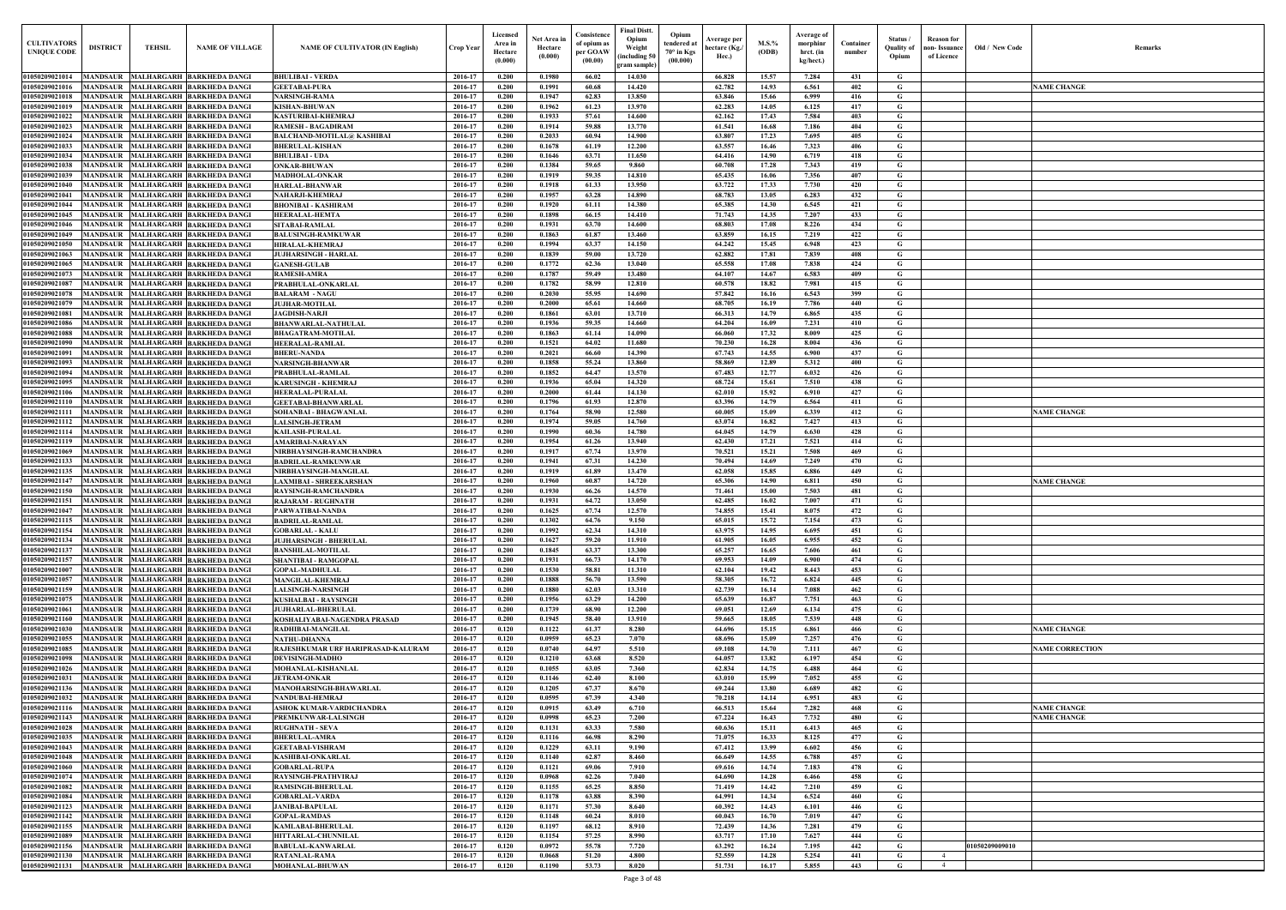| $\mathbf{Old} \, / \,$ New Code | Remarks                |
|---------------------------------|------------------------|
|                                 | <b>NAME CHANGE</b>     |
|                                 |                        |
|                                 |                        |
|                                 |                        |
|                                 |                        |
|                                 |                        |
|                                 |                        |
|                                 |                        |
|                                 |                        |
|                                 |                        |
|                                 |                        |
|                                 |                        |
|                                 |                        |
|                                 |                        |
|                                 |                        |
|                                 |                        |
|                                 |                        |
|                                 |                        |
|                                 |                        |
|                                 |                        |
|                                 | <b>NAME CHANGE</b>     |
|                                 |                        |
|                                 |                        |
|                                 |                        |
|                                 | <b>NAME CHANGE</b>     |
|                                 |                        |
|                                 |                        |
|                                 |                        |
|                                 |                        |
|                                 |                        |
|                                 |                        |
|                                 |                        |
|                                 |                        |
|                                 | <b>NAME CHANGE</b>     |
|                                 |                        |
|                                 | <b>NAME CORRECTION</b> |
|                                 |                        |
|                                 |                        |
|                                 | <b>NAME CHANGE</b>     |
|                                 | <b>NAME CHANGE</b>     |
|                                 |                        |
|                                 |                        |
|                                 |                        |
|                                 |                        |
|                                 |                        |
|                                 |                        |
|                                 |                        |
| 01050209009010                  |                        |
| I                               |                        |

| <b>CULTIVATORS</b><br><b>UNIQUE CODI</b> | <b>DISTRICT</b>                    | <b>TEHSIL</b> | <b>NAME OF VILLAGE</b>                                                         | <b>NAME OF CULTIVATOR (IN English)</b>                    | <b>Crop Year</b>   | Licensed<br>Area in<br>Hectare<br>(0.000) | Net Area in<br>Hectare<br>(0.000) | Consistence<br>of opium as<br>per GOAW<br>(00.00) | <b>Final Distt.</b><br>Opium<br>Opium<br>tendered at<br>Weight<br>70° in Kgs<br>including 50)<br>(00.000)<br>gram sample) | Average per<br>hectare (Kg./<br>Hec.) | M.S.%<br>(ODB) | Average of<br>morphinr<br>hrct. (in<br>kg/hect.) | Container<br>number | Status /<br><b>Quality of</b><br>Opium | <b>Reason</b> for<br>non- Issuance<br>of Licence | Old / New Code | <b>Remark</b>          |
|------------------------------------------|------------------------------------|---------------|--------------------------------------------------------------------------------|-----------------------------------------------------------|--------------------|-------------------------------------------|-----------------------------------|---------------------------------------------------|---------------------------------------------------------------------------------------------------------------------------|---------------------------------------|----------------|--------------------------------------------------|---------------------|----------------------------------------|--------------------------------------------------|----------------|------------------------|
| 01050209021014                           |                                    |               | MANDSAUR MALHARGARH BARKHEDA DANGI                                             | <b>BHULIBAI - VERDA</b>                                   | 2016-17            | 0.200                                     | 0.1980                            | 66.02                                             | 14.030                                                                                                                    | 66.828                                | 15.57          | 7.284                                            | 431                 | G                                      |                                                  |                |                        |
| 01050209021016                           | <b>MANDSAUR</b>                    |               | MALHARGARH BARKHEDA DANGI                                                      | <b>GEETABAI-PURA</b>                                      | 2016-17            | 0.200                                     | 0.1991                            | 60.68                                             | 14.420                                                                                                                    | 62.782                                | 14.93          | 6.561                                            | 402                 | G                                      |                                                  |                | <b>NAME CHANGE</b>     |
| 01050209021018                           | <b>MANDSAUR</b>                    |               | <b>MALHARGARH BARKHEDA DANGI</b>                                               | <b>NARSINGH-RAMA</b>                                      | 2016-17            | 0.200                                     | 0.1947                            | 62.83                                             | 13.850                                                                                                                    | 63.846                                | 15.66          | 6.999                                            | 416                 | $\mathbf G$                            |                                                  |                |                        |
| 01050209021019                           | <b>MANDSAUR</b>                    |               | MALHARGARH BARKHEDA DANGI                                                      | <b>KISHAN-BHUWAN</b>                                      | 2016-17            | 0.200                                     | 0.1962                            | 61.23                                             | 13.970                                                                                                                    | 62.283                                | 14.05          | 6.125                                            | 417                 | G                                      |                                                  |                |                        |
| 01050209021022<br>01050209021023         | <b>MANDSAUR</b><br>MANDSAUR        |               | MALHARGARH BARKHEDA DANGI<br>MALHARGARH BARKHEDA DANGI                         | <b>KASTURIBAI-KHEMRAJ</b><br><b>RAMESH - BAGADIRAM</b>    | 2016-17<br>2016-17 | 0.200<br>0.200                            | 0.1933<br>0.1914                  | 57.61<br>59.88                                    | 14.600<br>13.770                                                                                                          | 62.162<br>61.541                      | 17.43<br>16.68 | 7.584<br>7.186                                   | 403<br>404          | G<br>$\mathbf G$                       |                                                  |                |                        |
| 01050209021024                           | <b>MANDSAUR</b>                    |               | MALHARGARH BARKHEDA DANGI                                                      | <b>BALCHAND-MOTILAL@ KASHIBAI</b>                         | 2016-17            | 0.200                                     | 0.2033                            | 60.94                                             | 14.900                                                                                                                    | 63.807                                | 17.23          | 7.695                                            | 405                 | G                                      |                                                  |                |                        |
| 01050209021033                           | <b>MANDSAUR</b>                    |               | MALHARGARH BARKHEDA DANGI                                                      | <b>BHERULAL-KISHAN</b>                                    | 2016-17            | 0.200                                     | 0.1678                            | 61.19                                             | 12.200                                                                                                                    | 63.557                                | 16.46          | 7.323                                            | 406                 | $\mathbf G$                            |                                                  |                |                        |
| 01050209021034                           | MANDSAUR                           |               | <b>MALHARGARH BARKHEDA DANGI</b>                                               | <b>BHULIBAI - UDA</b>                                     | 2016-17            | 0.200                                     | 0.1646                            | 63.71                                             | 11.650                                                                                                                    | 64.416                                | 14.90          | 6.719                                            | 418                 | $\mathbf G$                            |                                                  |                |                        |
| 01050209021038                           | <b>MANDSAUR</b>                    |               | <b>MALHARGARH BARKHEDA DANGI</b>                                               | <b>ONKAR-BHUWAN</b>                                       | 2016-17            | 0.200                                     | 0.1384                            | 59.65                                             | 9.860                                                                                                                     | 60.708                                | 17.28          | 7.343                                            | 419                 | $\mathbf G$                            |                                                  |                |                        |
| 01050209021039<br>01050209021040         | <b>MANDSAUR</b><br><b>MANDSAUR</b> |               | MALHARGARH BARKHEDA DANGI<br>MALHARGARH BARKHEDA DANGI                         | <b>MADHOLAL-ONKAR</b><br><b>HARLAL-BHANWAR</b>            | 2016-17<br>2016-17 | 0.200<br>0.200                            | 0.1919<br>0.1918                  | 59.35<br>61.33                                    | 14.810<br>13.950                                                                                                          | 65.435<br>63.722                      | 16.06<br>17.33 | 7.356<br>7.730                                   | 407<br>420          | G<br>$\mathbf G$                       |                                                  |                |                        |
| 01050209021041                           | <b>MANDSAUR</b>                    |               | MALHARGARH BARKHEDA DANGI                                                      | NAHARJI-KHEMRAJ                                           | 2016-17            | 0.200                                     | 0.1957                            | 63.28                                             | 14.890                                                                                                                    | 68.783                                | 13.05          | 6.283                                            | 432                 | $\mathbf G$                            |                                                  |                |                        |
| 01050209021044                           | <b>MANDSAUR</b>                    |               | <b>MALHARGARH BARKHEDA DANGI</b>                                               | <b>BHONIBAI - KASHIRAM</b>                                | 2016-17            | 0.200                                     | 0.1920                            | 61.11                                             | 14.380                                                                                                                    | 65.385                                | 14.30          | 6.545                                            | 421                 | $\mathbf G$                            |                                                  |                |                        |
| 0105020902104                            | MANDSAUR                           |               | MALHARGARH BARKHEDA DANGI                                                      | <b>HEERALAL-HEMTA</b>                                     | 2016-17            | 0.200                                     | 0.1898                            | 66.15                                             | 14.410                                                                                                                    | 71.743                                | 14.35          | 7.207                                            | 433                 | G                                      |                                                  |                |                        |
| 01050209021046                           | MANDSAUR                           |               | MALHARGARH BARKHEDA DANGI                                                      | <b>SITABAI-RAMLAL</b>                                     | 2016-17            | 0.200                                     | 0.1931                            | 63.70                                             | 14.600                                                                                                                    | 68.803                                | 17.08          | 8.226                                            | 434                 | G                                      |                                                  |                |                        |
| 01050209021049                           | MANDSAUR                           |               | MALHARGARH BARKHEDA DANGI                                                      | <b>BALUSINGH-RAMKUWAR</b>                                 | 2016-17            | 0.200                                     | 0.1863                            | 61.87                                             | 13.460                                                                                                                    | 63.859                                | 16.15          | 7.219                                            | 422                 | G                                      |                                                  |                |                        |
| 01050209021050<br>01050209021063         | <b>MANDSAUR</b><br><b>MANDSAUR</b> |               | MALHARGARH BARKHEDA DANGI<br>MALHARGARH BARKHEDA DANGI                         | <b>HIRALAL-KHEMRAJ</b><br><b>JUJHARSINGH - HARLAI</b>     | 2016-17<br>2016-17 | 0.200<br>0.200                            | 0.1994<br>0.1839                  | 63.37<br>59.00                                    | 14.150<br>13.720                                                                                                          | 64.242<br>62.882                      | 15.45<br>17.81 | 6.948<br>7.839                                   | 423<br>408          | G<br>G                                 |                                                  |                |                        |
| 01050209021065                           | <b>MANDSAUR</b>                    |               | MALHARGARH BARKHEDA DANGI                                                      | <b>GANESH-GULAB</b>                                       | 2016-17            | 0.200                                     | 0.1772                            | 62.36                                             | 13.040                                                                                                                    | 65.558                                | 17.08          | 7.838                                            | 424                 | G                                      |                                                  |                |                        |
| 01050209021073                           | MANDSAUR                           |               | MALHARGARH BARKHEDA DANGI                                                      | <b>RAMESH-AMRA</b>                                        | 2016-17            | 0.200                                     | 0.1787                            | 59.49                                             | 13.480                                                                                                                    | 64.107                                | 14.67          | 6.583                                            | 409                 | G                                      |                                                  |                |                        |
| 01050209021087                           | MANDSAUR                           |               | MALHARGARH BARKHEDA DANGI                                                      | PRABHULAL-ONKARLAL                                        | 2016-17            | 0.200                                     | 0.1782                            | 58.99                                             | 12.810                                                                                                                    | 60.578                                | 18.82          | 7.981                                            | 415                 | G                                      |                                                  |                |                        |
| 01050209021078                           | <b>MANDSAUR</b>                    |               | MALHARGARH BARKHEDA DANGI                                                      | <b>BALARAM - NAGU</b>                                     | 2016-17            | 0.200                                     | 0.2030                            | 55.95                                             | 14.690                                                                                                                    | 57.842                                | 16.16          | 6.543                                            | 399                 | G                                      |                                                  |                |                        |
| 01050209021079                           | MANDSAUR                           |               | MALHARGARH BARKHEDA DANGI<br>MALHARGARH BARKHEDA DANGI                         | <b>JUJHAR-MOTILAL</b>                                     | 2016-17            | 0.200                                     | 0.2000                            | 65.61                                             | 14.660                                                                                                                    | 68.705                                | 16.19          | 7.786                                            | 440                 | $\mathbf G$                            |                                                  |                |                        |
| 01050209021081<br>01050209021086         | <b>MANDSAUR</b><br>MANDSAUR        |               | MALHARGARH BARKHEDA DANGI                                                      | <b>JAGDISH-NARJI</b><br><b>BHANWARLAL-NATHULAL</b>        | 2016-17<br>2016-17 | 0.200<br>0.200                            | 0.1861<br>0.1936                  | 63.01<br>59.35                                    | 13.710<br>14.660                                                                                                          | 66.313<br>64.204                      | 14.79<br>16.09 | 6.865<br>7.231                                   | 435<br>410          | $\mathbf G$<br>G                       |                                                  |                |                        |
| 01050209021088                           | <b>MANDSAUR</b>                    |               | MALHARGARH BARKHEDA DANGI                                                      | <b>BHAGATRAM-MOTILAL</b>                                  | 2016-17            | 0.200                                     | 0.1863                            | 61.14                                             | 14.090                                                                                                                    | 66.060                                | 17.32          | 8.009                                            | 425                 | G                                      |                                                  |                |                        |
| 01050209021090                           | MANDSAUR                           |               | MALHARGARH BARKHEDA DANGI                                                      | <b>HEERALAL-RAMLAL</b>                                    | 2016-17            | 0.200                                     | 0.1521                            | 64.02                                             | 11.680                                                                                                                    | 70.230                                | 16.28          | 8.004                                            | 436                 | $\mathbf G$                            |                                                  |                |                        |
| 01050209021091                           | <b>MANDSAUR</b>                    |               | MALHARGARH BARKHEDA DANGI                                                      | <b>BHERU-NANDA</b>                                        | 2016-17            | 0.200                                     | 0.2021                            | 66.60                                             | 14.390                                                                                                                    | 67.743                                | 14.55          | 6.900                                            | 437                 | $\mathbf G$                            |                                                  |                |                        |
| 01050209021093                           | <b>MANDSAUR</b>                    |               | MALHARGARH BARKHEDA DANGI                                                      | <b>NARSINGH-BHANWAR</b>                                   | 2016-17            | 0.200                                     | 0.1858                            | 55.24                                             | 13.860                                                                                                                    | 58.869                                | 12.89          | 5.312                                            | 400                 | G                                      |                                                  |                |                        |
| 01050209021094<br>01050209021095         | <b>MANDSAUR</b><br><b>MANDSAUR</b> |               | MALHARGARH BARKHEDA DANGI<br>MALHARGARH BARKHEDA DANGI                         | PRABHULAL-RAMLAL<br><b>KARUSINGH - KHEMRAJ</b>            | 2016-17<br>2016-17 | 0.200<br>0.200                            | 0.1852<br>0.1936                  | 64.47<br>65.04                                    | 13.570<br>14.320                                                                                                          | 67.483<br>68.724                      | 12.77<br>15.61 | 6.032<br>7.510                                   | 426<br>438          | $\mathbf G$<br>G                       |                                                  |                |                        |
| 01050209021106                           | <b>MANDSAUR</b>                    |               | MALHARGARH BARKHEDA DANGI                                                      | <b>HEERALAL-PURALAL</b>                                   | 2016-17            | 0.200                                     | 0.2000                            | 61.44                                             | 14.130                                                                                                                    | 62.010                                | 15.92          | 6.910                                            | 427                 | G                                      |                                                  |                |                        |
| 01050209021110                           | MANDSAUR                           |               | MALHARGARH BARKHEDA DANGI                                                      | <b>GEETABAI-BHANWARLAL</b>                                | 2016-17            | 0.200                                     | 0.1796                            | 61.93                                             | 12.870                                                                                                                    | 63.396                                | 14.79          | 6.564                                            | 411                 | G                                      |                                                  |                |                        |
| 01050209021111                           | <b>MANDSAUR</b>                    |               | MALHARGARH BARKHEDA DANGI                                                      | SOHANBAI - BHAGWANLAL                                     | 2016-17            | 0.200                                     | 0.1764                            | 58.90                                             | 12.580                                                                                                                    | 60.005                                | 15.09          | 6.339                                            | 412                 | $\mathbf G$                            |                                                  |                | <b>NAME CHANGE</b>     |
| 01050209021112                           | <b>MANDSAUR</b>                    |               | MALHARGARH BARKHEDA DANGI                                                      | <b>LALSINGH-JETRAM</b>                                    | 2016-17            | 0.200                                     | 0.1974                            | 59.05                                             | 14.760                                                                                                                    | 63.074                                | 16.82          | 7.427                                            | 413                 | G                                      |                                                  |                |                        |
| 01050209021114                           | <b>MANDSAUR</b>                    |               | MALHARGARH BARKHEDA DANGI                                                      | <b>KAILASH-PURALAL</b>                                    | 2016-17            | 0.200                                     | 0.1990                            | 60.36                                             | 14.780                                                                                                                    | 64.045                                | 14.79          | 6.630                                            | 428                 | $\mathbf G$                            |                                                  |                |                        |
| 01050209021119<br>01050209021069         | MANDSAUR<br><b>MANDSAUR</b>        |               | MALHARGARH BARKHEDA DANGI<br>MALHARGARH BARKHEDA DANGI                         | AMARIBAI-NARAYAN<br>NIRBHAYSINGH-RAMCHANDRA               | 2016-17<br>2016-17 | 0.200<br>0.200                            | 0.1954<br>0.1917                  | 61.26<br>67.74                                    | 13.940<br>13.970                                                                                                          | 62.430<br>70.521                      | 17.21<br>15.21 | 7.521<br>7.508                                   | 414<br>469          | G<br>$\mathbf G$                       |                                                  |                |                        |
| 01050209021133                           | MANDSAUR                           |               | MALHARGARH BARKHEDA DANGI                                                      | <b>BADRILAL-RAMKUNWAR</b>                                 | 2016-17            | 0.200                                     | 0.1941                            | 67.31                                             | 14.230                                                                                                                    | 70.494                                | 14.69          | 7.249                                            | 470                 | G                                      |                                                  |                |                        |
| 01050209021135                           | <b>MANDSAUR</b>                    |               | MALHARGARH BARKHEDA DANGI                                                      | NIRBHAYSINGH-MANGILAI                                     | 2016-17            | 0.200                                     | 0.1919                            | 61.89                                             | 13.470                                                                                                                    | 62.058                                | 15.85          | 6.886                                            | 449                 | G                                      |                                                  |                |                        |
| 01050209021147                           | MANDSAUR                           |               | MALHARGARH BARKHEDA DANGI                                                      | LAXMIBAI - SHREEKARSHAN                                   | 2016-17            | 0.200                                     | 0.1960                            | 60.87                                             | 14.720                                                                                                                    | 65.306                                | 14.90          | 6.811                                            | 450                 | G                                      |                                                  |                | <b>NAME CHANGE</b>     |
| 01050209021150                           | <b>MANDSAUR</b>                    |               | MALHARGARH BARKHEDA DANGI                                                      | RAYSINGH-RAMCHANDRA                                       | 2016-17            | 0.200                                     | 0.1930                            | 66.26                                             | 14.570                                                                                                                    | 71.461                                | 15.00          | 7.503                                            | 481                 | G                                      |                                                  |                |                        |
| 01050209021151                           | MANDSAUR                           |               | MALHARGARH BARKHEDA DANGI<br>01050209021047 MANDSAUR MALHARGARH BARKHEDA DANGI | <b>RAJARAM - RUGHNATH</b>                                 | 2016-17<br>2016-17 | 0.200<br>0.200                            | 0.1931<br>0.1625                  | 64.72<br>67.74                                    | 13.050<br>12.570                                                                                                          | 62.485<br>74.855                      | 16.02<br>15.41 | 7.007<br>8.075                                   | 471<br>472          | G                                      |                                                  |                |                        |
| 01050209021115                           |                                    |               | MANDSAUR MALHARGARH BARKHEDA DANGI                                             | PARWATIBAI-NANDA<br><b>BADRILAL-RAMLAL</b>                | 2016-17            | 0.200                                     | 0.1302                            | 64.76                                             | 9.150                                                                                                                     | 65.015                                | 15.72          | 7.154                                            | 473                 | G<br>G                                 |                                                  |                |                        |
| 01050209021154                           |                                    |               | MANDSAUR MALHARGARH BARKHEDA DANGI                                             | <b>GOBARLAL - KALU</b>                                    | 2016-17            | 0.200                                     | 0.1992                            | 62.34                                             | 14.310                                                                                                                    | 63.975                                | 14.95          | 6.695                                            | 451                 | G                                      |                                                  |                |                        |
| 01050209021134                           |                                    |               | MANDSAUR MALHARGARH BARKHEDA DANGI                                             | <b>JUJHARSINGH - BHERULAL</b>                             | 2016-17            | 0.200                                     | 0.1627                            | 59.20                                             | 11.910                                                                                                                    | 61.905                                | 16.05          | 6.955                                            | 452                 | $\mathbf{G}$                           |                                                  |                |                        |
| 01050209021137                           | <b>MANDSAUR</b>                    |               | MALHARGARH BARKHEDA DANGI                                                      | <b>BANSHILAL-MOTILAL</b>                                  | 2016-17            | 0.200                                     | 0.1845                            | 63.37                                             | 13.300                                                                                                                    | 65.257                                | 16.65          | 7.606                                            | 461                 | G                                      |                                                  |                |                        |
| 01050209021157                           | <b>MANDSAUR</b>                    |               | MALHARGARH BARKHEDA DANGI                                                      | <b>SHANTIBAI - RAMGOPAL</b>                               | 2016-17            | 0.200                                     | 0.1931                            | 66.73                                             | 14.170                                                                                                                    | 69.953                                | 14.09          | 6.900                                            | 474                 | $\mathbf G$                            |                                                  |                |                        |
| 01050209021007<br>01050209021057         | <b>MANDSAUR</b><br><b>MANDSAUR</b> |               | MALHARGARH BARKHEDA DANGI<br>MALHARGARH BARKHEDA DANGI                         | <b>GOPAL-MADHULAL</b><br><b>MANGILAL-KHEMRAJ</b>          | 2016-17<br>2016-17 | 0.200<br>0.200                            | 0.1530<br>0.1888                  | 58.81<br>56.70                                    | 11.310<br>13.590                                                                                                          | 62.104<br>58.305                      | 19.42<br>16.72 | 8.443<br>6.824                                   | 453<br>445          | $\mathbf G$<br>$\mathbf G$             |                                                  |                |                        |
| 01050209021159                           | <b>MANDSAUR</b>                    |               | MALHARGARH BARKHEDA DANGI                                                      | <b>LALSINGH-NARSINGH</b>                                  | 2016-17            | 0.200                                     | 0.1880                            | 62.03                                             | 13.310                                                                                                                    | 62.739                                | 16.14          | 7.088                                            | 462                 | $\mathbf G$                            |                                                  |                |                        |
| 01050209021075                           | <b>MANDSAUR</b>                    |               | MALHARGARH BARKHEDA DANGI                                                      | <b>KUSHALBAI - RAYSINGH</b>                               | 2016-17            | 0.200                                     | 0.1956                            | 63.29                                             | 14.200                                                                                                                    | 65.639                                | 16.87          | 7.751                                            | 463                 | $\mathbf G$                            |                                                  |                |                        |
| 01050209021061                           | <b>MANDSAUR</b>                    |               | MALHARGARH BARKHEDA DANGI                                                      | <b>JUJHARLAL-BHERULAL</b>                                 | 2016-17            | 0.200                                     | 0.1739                            | 68.90                                             | 12.200                                                                                                                    | 69.051                                | 12.69          | 6.134                                            | 475                 | $\mathbf G$                            |                                                  |                |                        |
| 01050209021160                           | <b>MANDSAUR</b>                    |               | MALHARGARH BARKHEDA DANGI                                                      | KOSHALIYABAI-NAGENDRA PRASAD                              | 2016-17            | 0.200                                     | 0.1945                            | 58.40                                             | 13.910                                                                                                                    | 59.665                                | 18.05          | 7.539                                            | 448                 | $\mathbf G$                            |                                                  |                |                        |
| 01050209021030                           | <b>MANDSAUR</b>                    |               | MALHARGARH BARKHEDA DANGI                                                      | RADHIBAI-MANGILAL                                         | 2016-17            | 0.120                                     | 0.1122                            | 61.37                                             | 8.280                                                                                                                     | 64.696                                | 15.15          | 6.861                                            | 466                 | G                                      |                                                  |                | <b>NAME CHANGE</b>     |
| 01050209021055<br>01050209021085         | <b>MANDSAUR</b><br><b>MANDSAUR</b> |               | MALHARGARH BARKHEDA DANGI<br>MALHARGARH BARKHEDA DANGI                         | <b>NATHU-DHANNA</b><br>RAJESHKUMAR URF HARIPRASAD-KALURAM | 2016-17<br>2016-17 | 0.120<br>0.120                            | 0.0959<br>0.0740                  | 65.23<br>64.97                                    | 7.070<br>5.510                                                                                                            | 68.696<br>69.108                      | 15.09<br>14.70 | 7.257<br>7.111                                   | 476<br>467          | $\mathbf G$<br>$\mathbf G$             |                                                  |                | <b>NAME CORRECTION</b> |
| 01050209021098                           | <b>MANDSAUR</b>                    |               | MALHARGARH BARKHEDA DANGI                                                      | <b>DEVISINGH-MADHO</b>                                    | 2016-17            | 0.120                                     | 0.1210                            | 63.68                                             | 8.520                                                                                                                     | 64.057                                | 13.82          | 6.197                                            | 454                 | $\mathbf G$                            |                                                  |                |                        |
| 01050209021026                           | <b>MANDSAUR</b>                    |               | MALHARGARH BARKHEDA DANGI                                                      | MOHANLAL-KISHANLAL                                        | 2016-17            | 0.120                                     | 0.1055                            | 63.05                                             | 7.360                                                                                                                     | 62.834                                | 14.75          | 6.488                                            | 464                 | $\mathbf G$                            |                                                  |                |                        |
| 01050209021031                           | <b>MANDSAUR</b>                    |               | MALHARGARH BARKHEDA DANGI                                                      | <b>JETRAM-ONKAR</b>                                       | 2016-17            | 0.120                                     | 0.1146                            | 62.40                                             | 8.100                                                                                                                     | 63.010                                | 15.99          | 7.052                                            | 455                 | $\mathbf G$                            |                                                  |                |                        |
| 01050209021136                           | <b>MANDSAUR</b>                    |               | MALHARGARH BARKHEDA DANGI                                                      | <b>MANOHARSINGH-BHAWARLAL</b>                             | 2016-17            | 0.120                                     | 0.1205                            | 67.37                                             | 8.670                                                                                                                     | 69.244                                | 13.80          | 6.689                                            | 482                 | G                                      |                                                  |                |                        |
| 01050209021032<br>01050209021116         | MANDSAUR<br><b>MANDSAUR</b>        |               | MALHARGARH BARKHEDA DANGI<br>MALHARGARH BARKHEDA DANGI                         | <b>NANDUBAI-HEMRAJ</b>                                    | 2016-17<br>2016-17 | 0.120<br>0.120                            | 0.0595<br>0.0915                  | 67.39<br>63.49                                    | 4.340<br>6.710                                                                                                            | 70.218<br>66.513                      | 14.14<br>15.64 | 6.951<br>7.282                                   | 483<br>468          | G<br>G                                 |                                                  |                | <b>NAME CHANGE</b>     |
| 01050209021143                           | <b>MANDSAUR</b>                    |               | MALHARGARH BARKHEDA DANGI                                                      | ASHOK KUMAR-VARDICHANDRA<br>PREMKUNWAR-LALSINGH           | 2016-17            | 0.120                                     | 0.0998                            | 65.23                                             | 7.200                                                                                                                     | 67.224                                | 16.43          | 7.732                                            | 480                 | G                                      |                                                  |                | <b>NAME CHANGE</b>     |
| 01050209021028                           | <b>MANDSAUR</b>                    |               | MALHARGARH BARKHEDA DANGI                                                      | <b>RUGHNATH - SEVA</b>                                    | 2016-17            | 0.120                                     | 0.1131                            | 63.33                                             | 7.580                                                                                                                     | 60.636                                | 15.11          | 6.413                                            | 465                 | G                                      |                                                  |                |                        |
| 01050209021035                           |                                    |               | MANDSAUR MALHARGARH BARKHEDA DANGI                                             | <b>BHERULAL-AMRA</b>                                      | 2016-17            | 0.120                                     | 0.1116                            | 66.98                                             | 8.290                                                                                                                     | 71.075                                | 16.33          | 8.125                                            | 477                 | G                                      |                                                  |                |                        |
| 01050209021043                           |                                    |               | MANDSAUR MALHARGARH BARKHEDA DANGI                                             | <b>GEETABAI-VISHRAM</b>                                   | 2016-17            | 0.120                                     | 0.1229                            | 63.11                                             | 9.190                                                                                                                     | 67.412                                | 13.99          | 6.602                                            | 456                 | $\mathbf{G}$                           |                                                  |                |                        |
| 01050209021048                           |                                    |               | MANDSAUR MALHARGARH BARKHEDA DANGI                                             | <b>KASHIBAI-ONKARLAL</b>                                  | 2016-17            | 0.120                                     | 0.1140                            | 62.87                                             | 8.460                                                                                                                     | 66.649                                | 14.55          | 6.788                                            | 457                 | $\mathbf G$                            |                                                  |                |                        |
| 01050209021060<br>01050209021074         | <b>MANDSAUR</b>                    |               | MALHARGARH BARKHEDA DANGI<br>MANDSAUR MALHARGARH BARKHEDA DANGI                | <b>GOBARLAL-RUPA</b><br>RAYSINGH-PRATHVIRAJ               | 2016-17<br>2016-17 | 0.120<br>0.120                            | 0.1121<br>0.0968                  | 69.06<br>62.26                                    | 7.910<br>7.040                                                                                                            | 69.616<br>64.690                      | 14.74<br>14.28 | 7.183<br>6.466                                   | 478<br>458          | $\mathbf{G}$<br>$\mathbf{G}$           |                                                  |                |                        |
| 01050209021082                           | <b>MANDSAUR</b>                    |               | MALHARGARH BARKHEDA DANGI                                                      | <b>RAMSINGH-BHERULAL</b>                                  | 2016-17            | 0.120                                     | 0.1155                            | 65.25                                             | 8.850                                                                                                                     | 71.419                                | 14.42          | 7.210                                            | 459                 | $\mathbf G$                            |                                                  |                |                        |
| 01050209021084                           | <b>MANDSAUR</b>                    |               | MALHARGARH BARKHEDA DANGI                                                      | <b>GOBARLAL-VARDA</b>                                     | 2016-17            | 0.120                                     | 0.1178                            | 63.88                                             | 8.390                                                                                                                     | 64.991                                | 14.34          | 6.524                                            | 460                 | G                                      |                                                  |                |                        |
| 01050209021123                           | <b>MANDSAUR</b>                    |               | MALHARGARH BARKHEDA DANGI                                                      | <b>JANIBAI-BAPULAL</b>                                    | 2016-17            | 0.120                                     | 0.1171                            | 57.30                                             | 8.640                                                                                                                     | 60.392                                | 14.43          | 6.101                                            | 446                 | $\mathbf G$                            |                                                  |                |                        |
| 01050209021142                           | <b>MANDSAUR</b>                    |               | MALHARGARH BARKHEDA DANGI                                                      | <b>GOPAL-RAMDAS</b>                                       | 2016-17            | 0.120                                     | 0.1148                            | 60.24                                             | 8.010                                                                                                                     | 60.043                                | 16.70          | 7.019                                            | 447                 | $\mathbf G$                            |                                                  |                |                        |
| 01050209021155                           | <b>MANDSAUR</b>                    |               | MALHARGARH BARKHEDA DANGI                                                      | <b>KAMLABAI-BHERULAL</b>                                  | 2016-17            | 0.120                                     | 0.1197                            | 68.12                                             | 8.910                                                                                                                     | 72.439                                | 14.36          | 7.281                                            | 479                 | $\mathbf G$                            |                                                  |                |                        |
| 01050209021089<br>01050209021156         | <b>MANDSAUR</b><br><b>MANDSAUR</b> |               | MALHARGARH BARKHEDA DANGI<br>MALHARGARH BARKHEDA DANGI                         | <b>HITTARLAL-CHUNNILAL</b><br><b>BABULAL-KANWARLAL</b>    | 2016-17<br>2016-17 | 0.120<br>0.120                            | 0.1154<br>0.0972                  | 57.25<br>55.78                                    | 8.990<br>7.720                                                                                                            | 63.717<br>63.292                      | 17.10<br>16.24 | 7.627<br>7.195                                   | 444<br>442          | G<br>$\mathbf G$                       |                                                  | 01050209009010 |                        |
| 01050209021130                           | MANDSAUR                           |               | MALHARGARH BARKHEDA DANGI                                                      | <b>RATANLAL-RAMA</b>                                      | 2016-17            | 0.120                                     | 0.0668                            | 51.20                                             | 4.800                                                                                                                     | 52.559                                | 14.28          | 5.254                                            | 441                 | $\mathbf{G}$                           | $\overline{4}$                                   |                |                        |
| 01050209021131                           |                                    |               | MANDSAUR MALHARGARH BARKHEDA DANGI                                             | <b>MOHANLAL-BHUWAN</b>                                    | 2016-17            | 0.120                                     | 0.1190                            | 53.73                                             | 8.020                                                                                                                     | 51.731                                | 16.17          | 5.855                                            | 443                 | $\mathbf{G}$                           | $\overline{4}$                                   |                |                        |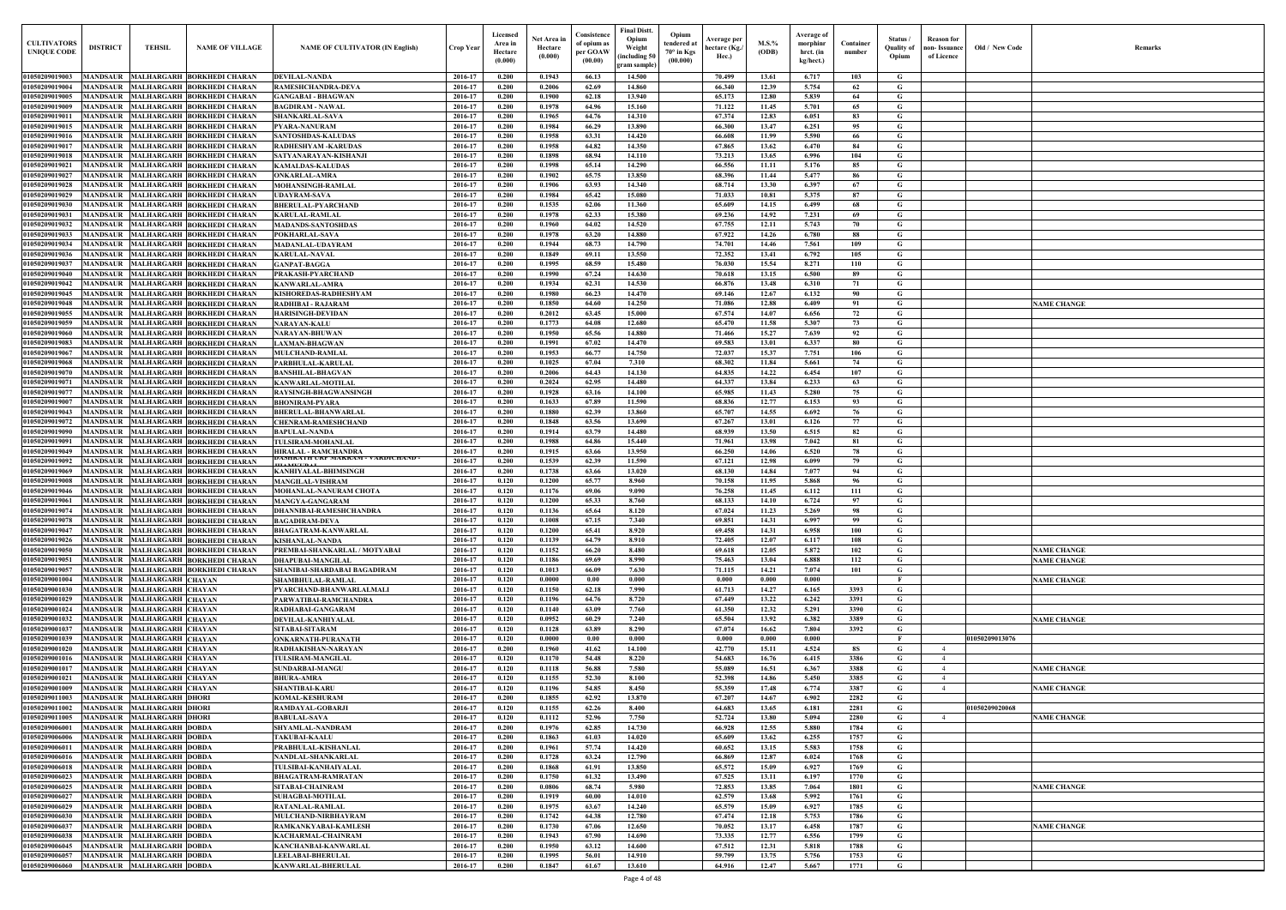| <b>CULTIVATORS</b><br><b>UNIQUE CODE</b> | <b>DISTRICT</b>                    | <b>TEHSIL</b>                                        | <b>NAME OF VILLAGE</b>                                                     | <b>NAME OF CULTIVATOR (IN English)</b>                    | Crop Year          | Licensed<br>Area in<br>Hectare<br>(0.000) | Net Area in<br>Hectare<br>(0.000) | Consistence<br>of opium as<br>per GOAW<br>(00.00) | <b>Final Distt.</b><br>Opium<br>Weight<br>including 50)<br>gram sample) | Opium<br>tendered at<br>$70^\circ$ in Kgs<br>(00.000) | Average per<br>hectare (Kg./<br>Hec.) | M.S.%<br>(ODB) | <b>Average of</b><br>morphinr<br>hrct. (in<br>kg/hect.) | Container<br>number | Status/<br>Quality of<br>Opium | <b>Reason</b> for<br>non- Issuance<br>of Licence | Old / New Code | <b>Remark</b>      |
|------------------------------------------|------------------------------------|------------------------------------------------------|----------------------------------------------------------------------------|-----------------------------------------------------------|--------------------|-------------------------------------------|-----------------------------------|---------------------------------------------------|-------------------------------------------------------------------------|-------------------------------------------------------|---------------------------------------|----------------|---------------------------------------------------------|---------------------|--------------------------------|--------------------------------------------------|----------------|--------------------|
| 01050209019003                           |                                    |                                                      | MANDSAUR MALHARGARH BORKHEDI CHARAN                                        | <b>DEVILAL-NANDA</b>                                      | 2016-17            | 0.200                                     | 0.1943                            | 66.13                                             | 14.500                                                                  |                                                       | 70.499                                | 13.61          | 6.717                                                   | 103                 | G                              |                                                  |                |                    |
| 01050209019004                           | <b>MANDSAUR</b>                    |                                                      | MALHARGARH BORKHEDI CHARAN                                                 | <b>RAMESHCHANDRA-DEVA</b>                                 | 2016-17            | 0.200                                     | 0.2006                            | 62.69                                             | 14.860                                                                  |                                                       | 66.340                                | 12.39          | 5.754                                                   | 62                  | G                              |                                                  |                |                    |
| 01050209019005                           | <b>MANDSAUR</b>                    |                                                      | MALHARGARH BORKHEDI CHARAN                                                 | <b>GANGABAI - BHAGWAN</b>                                 | 2016-17            | 0.200                                     | 0.1900                            | 62.18                                             | 13.940                                                                  |                                                       | 65.173                                | 12.80          | 5.839                                                   | 64                  | G                              |                                                  |                |                    |
| 01050209019009<br>01050209019011         | <b>MANDSAUR</b><br><b>MANDSAUR</b> |                                                      | MALHARGARH BORKHEDI CHARAN<br>MALHARGARH BORKHEDI CHARAN                   | <b>BAGDIRAM - NAWAL</b><br><b>SHANKARLAL-SAVA</b>         | 2016-17<br>2016-17 | 0.200<br>0.200                            | 0.1978<br>0.1965                  | 64.96<br>64.76                                    | 15.160<br>14.310                                                        |                                                       | 71.122<br>67.374                      | 11.45<br>12.83 | 5.701<br>6.051                                          | 65<br>83            | G<br>G                         |                                                  |                |                    |
| 01050209019015                           | MANDSAUR                           |                                                      | <b>MALHARGARH BORKHEDI CHARAN</b>                                          | <b>PYARA-NANURAM</b>                                      | 2016-17            | 0.200                                     | 0.1984                            | 66.29                                             | 13.890                                                                  |                                                       | 66.300                                | 13.47          | 6.251                                                   | 95                  | G                              |                                                  |                |                    |
| 01050209019016                           | MANDSAUR                           |                                                      | <b>MALHARGARH BORKHEDI CHARAN</b>                                          | <b>SANTOSHDAS-KALUDAS</b>                                 | 2016-17            | 0.200                                     | 0.1958                            | 63.31                                             | 14.420                                                                  |                                                       | 66.608                                | 11.99          | 5.590                                                   | 66                  | G                              |                                                  |                |                    |
| 01050209019017                           | <b>MANDSAUR</b>                    |                                                      | <b>MALHARGARH BORKHEDI CHARAN</b>                                          | <b>RADHESHYAM -KARUDAS</b>                                | 2016-17            | 0.200                                     | 0.1958                            | 64.82                                             | 14.350                                                                  |                                                       | 67.865                                | 13.62          | 6.470                                                   | 84                  | G                              |                                                  |                |                    |
| 01050209019018<br>01050209019021         | MANDSAUR<br><b>MANDSAUR</b>        |                                                      | MALHARGARH BORKHEDI CHARAN<br><b>MALHARGARH BORKHEDI CHARAN</b>            | SATYANARAYAN-KISHANJI<br><b>KAMALDAS-KALUDAS</b>          | 2016-17<br>2016-17 | 0.200<br>0.200                            | 0.1898<br>0.1998                  | 68.94<br>65.14                                    | 14.110<br>14.290                                                        |                                                       | 73.213<br>66.556                      | 13.65<br>11.11 | 6.996<br>5.176                                          | 104<br>85           | G<br>G                         |                                                  |                |                    |
| 01050209019027                           | <b>MANDSAUR</b>                    |                                                      | <b>MALHARGARH BORKHEDI CHARAN</b>                                          | <b>ONKARLAL-AMRA</b>                                      | 2016-17            | 0.200                                     | 0.1902                            | 65.75                                             | 13.850                                                                  |                                                       | 68.396                                | 11.44          | 5.477                                                   | 86                  | G                              |                                                  |                |                    |
| 01050209019028                           | <b>MANDSAUR</b>                    |                                                      | <b>MALHARGARH BORKHEDI CHARAN</b>                                          | <b>MOHANSINGH-RAMLAL</b>                                  | 2016-17            | 0.200                                     | 0.1906                            | 63.93                                             | 14.340                                                                  |                                                       | 68.714                                | 13.30          | 6.397                                                   | 67                  | G                              |                                                  |                |                    |
| 01050209019029<br>01050209019030         | MANDSAUR<br><b>MANDSAUR</b>        |                                                      | <b>MALHARGARH BORKHEDI CHARAN</b><br>MALHARGARH BORKHEDI CHARAN            | <b>UDAYRAM-SAVA</b><br><b>BHERULAL-PYARCHAND</b>          | 2016-17<br>2016-17 | 0.200<br>0.200                            | 0.1984<br>0.1535                  | 65.42<br>62.06                                    | 15.080<br>11.360                                                        |                                                       | 71.033<br>65.609                      | 10.81<br>14.15 | 5.375<br>6.499                                          | 87<br>68            | G<br>G                         |                                                  |                |                    |
| 01050209019031                           | <b>MANDSAUR</b>                    |                                                      | <b>MALHARGARH BORKHEDI CHARAN</b>                                          | <b>KARULAL-RAMLAL</b>                                     | 2016-17            | 0.200                                     | 0.1978                            | 62.33                                             | 15.380                                                                  |                                                       | 69.236                                | 14.92          | 7.231                                                   | 69                  | G                              |                                                  |                |                    |
| 01050209019032                           | <b>MANDSAUR</b>                    |                                                      | <b>MALHARGARH BORKHEDI CHARAN</b>                                          | <b>MADANDS-SANTOSHDAS</b>                                 | 2016-17            | 0.200                                     | 0.1960                            | 64.02                                             | 14.520                                                                  |                                                       | 67.755                                | 12.11          | 5.743                                                   | 70                  | $\mathbf G$                    |                                                  |                |                    |
| 01050209019033                           | MANDSAUR                           |                                                      | <b>MALHARGARH BORKHEDI CHARAN</b>                                          | POKHARLAL-SAVA                                            | 2016-17            | 0.200                                     | 0.1978                            | 63.20                                             | 14.880                                                                  |                                                       | 67.922                                | 14.26          | 6.780                                                   | 88                  | G                              |                                                  |                |                    |
| 01050209019034<br>01050209019036         | MANDSAUR<br>MANDSAUR               |                                                      | <b>MALHARGARH BORKHEDI CHARAN</b><br>MALHARGARH BORKHEDI CHARAN            | <b>MADANLAL-UDAYRAM</b><br><b>KARULAL-NAVAL</b>           | 2016-17<br>2016-17 | 0.200<br>0.200                            | 0.1944<br>0.1849                  | 68.73<br>69.11                                    | 14.790<br>13.550                                                        |                                                       | 74.701<br>72.352                      | 14.46<br>13.41 | 7.561<br>6.792                                          | 109<br>105          | G<br>G                         |                                                  |                |                    |
| 01050209019037                           | MANDSAUR                           |                                                      | MALHARGARH BORKHEDI CHARAN                                                 | <b>GANPAT-BAGGA</b>                                       | 2016-17            | 0.200                                     | 0.1995                            | 68.59                                             | 15.480                                                                  |                                                       | 76.030                                | 15.54          | 8.271                                                   | 110                 | G                              |                                                  |                |                    |
| 01050209019040                           | MANDSAUR                           |                                                      | <b>MALHARGARH BORKHEDI CHARAN</b>                                          | PRAKASH-PYARCHAND                                         | 2016-17            | 0.200                                     | 0.1990                            | 67.24                                             | 14.630                                                                  |                                                       | 70.618                                | 13.15          | 6.500                                                   | 89                  | G                              |                                                  |                |                    |
| 01050209019042<br>01050209019045         | <b>MANDSAUR</b>                    |                                                      | MALHARGARH BORKHEDI CHARAN<br>MALHARGARH BORKHEDI CHARAN                   | <b>KANWARLAL-AMRA</b><br>KISHOREDAS-RADHESHYAM            | 2016-17            | 0.200<br>0.200                            | 0.1934<br>0.1980                  | 62.31<br>66.23                                    | 14.530                                                                  |                                                       | 66.876                                | 13.48          | 6.310                                                   | 71<br>90            | G                              |                                                  |                |                    |
| 01050209019048                           | <b>MANDSAUR</b><br>MANDSAUR        |                                                      | MALHARGARH BORKHEDI CHARAN                                                 | <b>RADHIBAI - RAJARAM</b>                                 | 2016-17<br>2016-17 | 0.200                                     | 0.1850                            | 64.60                                             | 14.470<br>14.250                                                        |                                                       | 69.146<br>71.086                      | 12.67<br>12.88 | 6.132<br>6.409                                          | 91                  | G<br>G                         |                                                  |                | <b>NAME CHANGE</b> |
| 01050209019055                           | <b>MANDSAUR</b>                    |                                                      | MALHARGARH BORKHEDI CHARAN                                                 | <b>HARISINGH-DEVIDAN</b>                                  | 2016-17            | 0.200                                     | 0.2012                            | 63.45                                             | 15.000                                                                  |                                                       | 67.574                                | 14.07          | 6.656                                                   | 72                  | G                              |                                                  |                |                    |
| 01050209019059                           |                                    |                                                      | MANDSAUR MALHARGARH BORKHEDI CHARAN                                        | <b>NARAYAN-KALU</b>                                       | 2016-17            | 0.200                                     | 0.1773                            | 64.08                                             | 12.680                                                                  |                                                       | 65.470                                | 11.58          | 5.307                                                   | 73                  | G                              |                                                  |                |                    |
| 01050209019060<br>01050209019083         | <b>MANDSAUR</b><br>MANDSAUR        |                                                      | MALHARGARH BORKHEDI CHARAN<br>MALHARGARH BORKHEDI CHARAN                   | <b>NARAYAN-BHUWAN</b><br><b>LAXMAN-BHAGWAN</b>            | 2016-17<br>2016-17 | 0.200<br>0.200                            | 0.1950<br>0.1991                  | 65.56<br>67.02                                    | 14.880<br>14.470                                                        |                                                       | 71.466<br>69.583                      | 15.27<br>13.01 | 7.639<br>6.337                                          | 92<br>80            | G<br>G                         |                                                  |                |                    |
| 01050209019067                           | <b>MANDSAUR</b>                    |                                                      | MALHARGARH BORKHEDI CHARAN                                                 | <b>MULCHAND-RAMLAL</b>                                    | 2016-17            | 0.200                                     | 0.1953                            | 66.77                                             | 14.750                                                                  |                                                       | 72.037                                | 15.37          | 7.751                                                   | 106                 | G                              |                                                  |                |                    |
| 01050209019068                           | <b>MANDSAUR</b>                    |                                                      | MALHARGARH BORKHEDI CHARAN                                                 | PARBHULAL-KARULAI                                         | 2016-17            | 0.200                                     | 0.1025                            | 67.04                                             | 7.310                                                                   |                                                       | 68.302                                | 11.84          | 5.661                                                   | 74                  | G                              |                                                  |                |                    |
| 01050209019070                           | MANDSAUR                           |                                                      | <b>MALHARGARH BORKHEDI CHARAN</b>                                          | <b>BANSHILAL-BHAGVAN</b>                                  | 2016-17            | 0.200                                     | 0.2006                            | 64.43                                             | 14.130                                                                  |                                                       | 64.835                                | 14.22          | 6.454                                                   | 107                 | G                              |                                                  |                |                    |
| 01050209019071<br>01050209019077         | <b>MANDSAUR</b><br>MANDSAUR        |                                                      | <b>MALHARGARH BORKHEDI CHARAN</b><br>MALHARGARH BORKHEDI CHARAN            | <b>KANWARLAL-MOTILAL</b><br><b>RAYSINGH-BHAGWANSINGH</b>  | 2016-17<br>2016-17 | 0.200<br>0.200                            | 0.2024<br>0.1928                  | 62.95<br>63.16                                    | 14,480<br>14.100                                                        |                                                       | 64.337<br>65.985                      | 13.84<br>11.43 | 6.233<br>5.280                                          | 63<br>75            | G<br>G                         |                                                  |                |                    |
| 01050209019007                           | <b>MANDSAUR</b>                    |                                                      | MALHARGARH BORKHEDI CHARAN                                                 | <b>BHONIRAM-PYARA</b>                                     | 2016-17            | 0.200                                     | 0.1633                            | 67.89                                             | 11.590                                                                  |                                                       | 68.836                                | 12.77          | 6.153                                                   | 93                  | G                              |                                                  |                |                    |
| 01050209019043                           | <b>MANDSAUR</b>                    |                                                      | <b>MALHARGARH BORKHEDI CHARAN</b>                                          | <b>BHERULAL-BHANWARLAL</b>                                | 2016-17            | 0.200                                     | 0.1880                            | 62.39                                             | 13.860                                                                  |                                                       | 65.707                                | 14.55          | 6.692                                                   | 76                  | G                              |                                                  |                |                    |
| 01050209019072                           | <b>MANDSAUR</b>                    |                                                      | <b>MALHARGARH BORKHEDI CHARAN</b>                                          | <b>CHENRAM-RAMESHCHAND</b>                                | 2016-17            | 0.200                                     | 0.1848                            | 63.56                                             | 13.690                                                                  |                                                       | 67.267                                | 13.01          | 6.126                                                   | 77                  | G                              |                                                  |                |                    |
| 01050209019090<br>01050209019091         | <b>MANDSAUR</b><br><b>MANDSAUR</b> |                                                      | MALHARGARH BORKHEDI CHARAN<br><b>MALHARGARH BORKHEDI CHARAN</b>            | <b>BAPULAL-NANDA</b><br>TULSIRAM-MOHANLAL                 | 2016-17<br>2016-17 | 0.200<br>0.200                            | 0.1914<br>0.1988                  | 63.79<br>64.86                                    | 14.480<br>15.440                                                        |                                                       | 68.939<br>71.961                      | 13.50<br>13.98 | 6.515<br>7.042                                          | 82<br>81            | G<br>G                         |                                                  |                |                    |
| 01050209019049                           | <b>MANDSAUR</b>                    |                                                      | <b>MALHARGARH BORKHEDI CHARAN</b>                                          | <b>HIRALAL - RAMCHANDRA</b>                               | 2016-17            | 0.200                                     | 0.1915                            | 63.66                                             | 13.950                                                                  |                                                       | 66.250                                | 14.06          | 6.520                                                   | 78                  | G                              |                                                  |                |                    |
| 01050209019092                           | MANDSAUR                           |                                                      | MALHARGARH BORKHEDI CHARAN                                                 | JASHKA I H UKF MANKAM - VAKDIUHAND -<br><b>ILAMIZIDAL</b> | 2016-17            | 0.200                                     | 0.1539                            | 62.39                                             | 11.590                                                                  |                                                       | 67.121                                | 12.98          | 6.099                                                   | 79                  | G                              |                                                  |                |                    |
| 01050209019069<br>01050209019008         | MANDSAUR<br>MANDSAUR               |                                                      | MALHARGARH BORKHEDI CHARAN<br>MALHARGARH BORKHEDI CHARAN                   | KANHIYALAL-BHIMSINGH<br><b>MANGILAL-VISHRAM</b>           | 2016-17<br>2016-17 | 0.200<br>0.120                            | 0.1738<br>0.1200                  | 63.66<br>65.77                                    | 13.020<br>8.960                                                         |                                                       | 68.130<br>70.158                      | 14.84<br>11.95 | 7.077<br>5.868                                          | 94<br>96            | $\mathbf G$<br>G               |                                                  |                |                    |
| 01050209019046                           | MANDSAUR                           |                                                      | MALHARGARH  BORKHEDI CHARAN                                                | MOHANLAL-NANURAM CHOTA                                    | 2016-17            | 0.120                                     | 0.1176                            | 69.06                                             | 9.090                                                                   |                                                       | 76.258                                | 11.45          | 6.112                                                   | 111                 | G                              |                                                  |                |                    |
| 01050209019061                           | <b>MANDSAUR</b>                    |                                                      | MALHARGARH BORKHEDI CHARAN                                                 | <b>MANGYA-GANGARAM</b>                                    | 2016-17            | 0.120                                     | 0.1200                            | 65.33                                             | 8.760                                                                   |                                                       | 68.133                                | 14.10          | 6.724                                                   | 97                  | G                              |                                                  |                |                    |
|                                          |                                    |                                                      | 01050209019074   MANDSAUR   MALHARGARH BORKHEDI CHARAN                     | <b>DHANNIBAI-RAMESHCHANDRA</b>                            | 2016-17            | 0.120                                     | 0.1136                            | 65.64                                             | 8.120                                                                   |                                                       | 67.024                                | 11.23          | 5.269                                                   | 98                  | G                              |                                                  |                |                    |
| 01050209019078<br>01050209019047         |                                    |                                                      | MANDSAUR MALHARGARH BORKHEDI CHARAN<br>MANDSAUR MALHARGARH BORKHEDI CHARAN | <b>BAGADIRAM-DEVA</b><br><b>BHAGATRAM-KANWARLAL</b>       | 2016-17<br>2016-17 | 0.120<br>0.120                            | 0.1008<br>0.1200                  | 67.15<br>65.41                                    | 7.340<br>8.920                                                          |                                                       | 69.851<br>69.458                      | 14.31<br>14.31 | 6.997<br>6.958                                          | 99<br>100           | G<br>G                         |                                                  |                |                    |
| 01050209019026                           |                                    |                                                      | MANDSAUR MALHARGARH BORKHEDI CHARAN                                        | <b>KISHANLAL-NANDA</b>                                    | 2016-17            | 0.120                                     | 0.1139                            | 64.79                                             | 8.910                                                                   |                                                       | 72.405                                | 12.07          | 6.117                                                   | 108                 | G                              |                                                  |                |                    |
| 01050209019050                           |                                    |                                                      | MANDSAUR MALHARGARH BORKHEDI CHARAN                                        | PREMBAI-SHANKARLAL / MOTYABAI                             | 2016-17            | 0.120                                     | 0.1152                            | 66.20                                             | 8.480                                                                   |                                                       | 69.618                                | 12.05          | 5.872                                                   | 102                 | $\mathbf G$                    |                                                  |                | <b>NAME CHANGE</b> |
| 01050209019051<br>01050209019057         |                                    |                                                      | MANDSAUR MALHARGARH BORKHEDI CHARAN<br>MANDSAUR MALHARGARH BORKHEDI CHARAN | <b>DHAPUBAI-MANGILAL</b>                                  | 2016-17<br>2016-17 | 0.120<br>0.120                            | 0.1186<br>0.1013                  | 69.69<br>66.09                                    | 8.990<br>7.630                                                          |                                                       | 75.463<br>71.115                      | 13.04<br>14.21 | 6.888<br>7.074                                          | 112<br>101          | G<br>G                         |                                                  |                | <b>NAME CHANGE</b> |
| 01050209001004                           | <b>MANDSAUR</b>                    | <b>MALHARGARH CHAYAN</b>                             |                                                                            | SHANIBAI-SHARDABAI BAGADIRAM<br><b>SHAMBHULAL-RAMLAL</b>  | 2016-17            | 0.120                                     | 0.0000                            | 0.00                                              | 0.000                                                                   |                                                       | 0.000                                 | 0.000          | 0.000                                                   |                     | $\mathbf{F}$                   |                                                  |                | <b>NAME CHANGE</b> |
| 01050209001030                           | <b>MANDSAUR</b>                    | MALHARGARH CHAYAN                                    |                                                                            | PYARCHAND-BHANWARLALMALI                                  | 2016-17            | 0.120                                     | 0.1150                            | 62.18                                             | 7.990                                                                   |                                                       | 61.713                                | 14.27          | 6.165                                                   | 3393                | G                              |                                                  |                |                    |
| 01050209001029                           | <b>MANDSAUR</b>                    | <b>MALHARGARH CHAYAN</b>                             |                                                                            | PARWATIBAI-RAMCHANDRA                                     | 2016-17            | 0.120                                     | 0.1196                            | 64.76                                             | 8.720                                                                   |                                                       | 67.449                                | 13.22          | 6.242                                                   | 3391                | $\mathbf G$                    |                                                  |                |                    |
| 01050209001024<br>01050209001032         | <b>MANDSAUR</b><br><b>MANDSAUR</b> | <b>MALHARGARH CHAYAN</b><br><b>MALHARGARH CHAYAN</b> |                                                                            | RADHABAI-GANGARAM<br>DEVILAL-KANHIYALAL                   | 2016-17<br>2016-17 | 0.120<br>0.120                            | 0.1140<br>0.0952                  | 63.09<br>60.29                                    | 7.760<br>7.240                                                          |                                                       | 61.350<br>65.504                      | 12.32<br>13.92 | 5.291<br>6.382                                          | 3390<br>3389        | $\mathbf G$<br>$\mathbf G$     |                                                  |                | <b>NAME CHANGE</b> |
| 01050209001037                           | <b>MANDSAUR</b>                    | <b>MALHARGARH CHAYAN</b>                             |                                                                            | SITABAI-SITARAM                                           | 2016-17            | 0.120                                     | 0.1128                            | 63.89                                             | 8.290                                                                   |                                                       | 67.074                                | 16.62          | 7.804                                                   | 3392                | $\mathbf G$                    |                                                  |                |                    |
| 01050209001039                           | <b>MANDSAUR</b>                    | <b>MALHARGARH CHAYAN</b>                             |                                                                            | <b>ONKARNATH-PURANATH</b>                                 | 2016-17            | 0.120                                     | 0.0000                            | 0.00                                              | 0.000                                                                   |                                                       | 0.000                                 | 0.000          | 0.000                                                   |                     | $\mathbf{F}$                   |                                                  | 01050209013076 |                    |
| 01050209001020                           | <b>MANDSAUR</b>                    | <b>MALHARGARH CHAYAN</b>                             |                                                                            | RADHAKISHAN-NARAYAN                                       | 2016-17            | 0.200                                     | 0.1960                            | 41.62                                             | 14.100                                                                  |                                                       | 42.770                                | 15.11          | 4.524                                                   | <b>8S</b>           | G                              | $\overline{4}$                                   |                |                    |
| 01050209001016<br>01050209001017         | <b>MANDSAUR</b><br><b>MANDSAUR</b> | <b>MALHARGARH CHAYAN</b><br><b>MALHARGARH CHAYAN</b> |                                                                            | <b>TULSIRAM-MANGILAL</b><br><b>SUNDARBAI-MANGU</b>        | 2016-17<br>2016-17 | 0.120<br>0.120                            | 0.1170<br>0.1118                  | 54.48<br>56.88                                    | 8.220<br>7.580                                                          |                                                       | 54.683<br>55.089                      | 16.76<br>16.51 | 6.415<br>6.367                                          | 3386<br>3388        | $\mathbf G$<br>G               | $\overline{4}$<br>$\overline{4}$                 |                | <b>NAME CHANGE</b> |
| 01050209001021                           | <b>MANDSAUR</b>                    | <b>MALHARGARH CHAYAN</b>                             |                                                                            | <b>BHURA-AMRA</b>                                         | 2016-17            | 0.120                                     | 0.1155                            | 52.30                                             | 8.100                                                                   |                                                       | 52.398                                | 14.86          | 5.450                                                   | 3385                | G                              | $\overline{4}$                                   |                |                    |
| 01050209001009                           | <b>MANDSAUR</b>                    | <b>MALHARGARH CHAYAN</b>                             |                                                                            | <b>SHANTIBAI-KARU</b>                                     | 2016-17            | 0.120                                     | 0.1196                            | 54.85                                             | 8.450                                                                   |                                                       | 55.359                                | 17.48          | 6.774                                                   | 3387                | G                              | $\overline{4}$                                   |                | <b>NAME CHANGE</b> |
| 01050209011003<br>01050209011002         | <b>MANDSAUR</b><br><b>MANDSAUR</b> | <b>MALHARGARH DHORI</b><br><b>MALHARGARH DHORI</b>   |                                                                            | <b>KOMAL-KESHURAM</b><br>RAMDAYAL-GOBARJI                 | 2016-17<br>2016-17 | 0.200<br>0.120                            | 0.1855<br>0.1155                  | 62.92<br>62.26                                    | 13.870<br>8.400                                                         |                                                       | 67.207<br>64.683                      | 14.67<br>13.65 | 6.902<br>6.181                                          | 2282<br>2281        | $\mathbf G$<br>G               |                                                  | 01050209020068 |                    |
| 01050209011005                           | <b>MANDSAUR</b>                    | <b>MALHARGARH DHORI</b>                              |                                                                            | <b>BABULAL-SAVA</b>                                       | 2016-17            | 0.120                                     | 0.1112                            | 52.96                                             | 7.750                                                                   |                                                       | 52,724                                | 13.80          | 5.094                                                   | 2280                | $\mathbf G$                    | $\overline{4}$                                   |                | <b>NAME CHANGE</b> |
| 0105020900600                            | MANDSAUR                           | <b>MALHARGARH DOBDA</b>                              |                                                                            | SHYAMLAL-NANDRAM                                          | 2016-17            | 0.200                                     | 0.1976                            | 62.85                                             | 14.730                                                                  |                                                       | 66.928                                | 12.55          | 5.880                                                   | 1784                | G                              |                                                  |                |                    |
| <b>0105020900600</b>                     | MANDSAUR                           | <b>MALHARGARH DOBDA</b>                              |                                                                            | <b>TAKUBAI-KAALU</b>                                      | 2016-17            | 0.200                                     | 0.1863                            | 61.03                                             | 14.020                                                                  |                                                       | 65.609                                | 13.62          | 6.255                                                   | 1757                | G                              |                                                  |                |                    |
| 0105020900601<br>01050209006016          | <b>MANDSAUR</b><br><b>MANDSAUR</b> | <b>MALHARGARH DOBDA</b><br><b>MALHARGARH DOBDA</b>   |                                                                            | PRABHULAL-KISHANLAL<br>NANDLAL-SHANKARLAL                 | 2016-17<br>2016-17 | 0.200<br>0.200                            | 0.1961<br>0.1728                  | 57.74<br>63.24                                    | 14.420<br>12.790                                                        |                                                       | 60.652<br>66.869                      | 13.15<br>12.87 | 5.583<br>6.024                                          | 1758<br>1768        | G<br>$\mathbf G$               |                                                  |                |                    |
| 01050209006018                           | <b>MANDSAUR</b>                    | <b>MALHARGARH DOBDA</b>                              |                                                                            | TULSIBAI-KANHAIYALAL                                      | 2016-17            | 0.200                                     | 0.1868                            | 61.91                                             | 13.850                                                                  |                                                       | 65.572                                | 15.09          | 6.927                                                   | 1769                | G                              |                                                  |                |                    |
| 01050209006023                           |                                    | MANDSAUR MALHARGARH DOBDA                            |                                                                            | <b>BHAGATRAM-RAMRATAN</b>                                 | 2016-17            | 0.200                                     | 0.1750                            | 61.32                                             | 13.490                                                                  |                                                       | 67.525                                | 13.11          | 6.197                                                   | 1770                | $\mathbf G$                    |                                                  |                |                    |
| 01050209006025                           |                                    | MANDSAUR MALHARGARH DOBDA                            |                                                                            | <b>SITABAI-CHAINRAM</b>                                   | 2016-17            | 0.200                                     | 0.0806                            | 68.74                                             | 5.980                                                                   |                                                       | 72.853                                | 13.85          | 7.064                                                   | 1801                | G                              |                                                  |                | <b>NAME CHANGE</b> |
| 01050209006027<br>01050209006029         | <b>MANDSAUR</b>                    | MANDSAUR MALHARGARH DOBDA<br><b>MALHARGARH DOBDA</b> |                                                                            | <b>SUHAGBAI-MOTILAL</b><br><b>RATANLAL-RAMLAL</b>         | 2016-17<br>2016-17 | 0.200<br>0.200                            | 0.1919<br>0.1975                  | 60.00<br>63.67                                    | 14.010<br>14.240                                                        |                                                       | 62.579<br>65.579                      | 13.68<br>15.09 | 5.992<br>6.927                                          | 1761<br>1785        | G<br>$\mathbf{G}$              |                                                  |                |                    |
| 01050209006030                           |                                    | MANDSAUR MALHARGARH DOBDA                            |                                                                            | MULCHAND-NIRBHAYRAM                                       | 2016-17            | 0.200                                     | 0.1742                            | 64.38                                             | 12.780                                                                  |                                                       | 67.474                                | 12.18          | 5.753                                                   | 1786                | $\mathbf G$                    |                                                  |                |                    |
| 01050209006037                           | <b>MANDSAUR</b>                    | <b>MALHARGARH DOBDA</b>                              |                                                                            | RAMKANKYABAI-KAMLESH                                      | 2016-17            | 0.200                                     | 0.1730                            | 67.06                                             | 12.650                                                                  |                                                       | 70.052                                | 13.17          | 6.458                                                   | 1787                | $\mathbf G$                    |                                                  |                | <b>NAME CHANGE</b> |
| 01050209006038                           | <b>MANDSAUR</b>                    | <b>MALHARGARH DOBDA</b>                              |                                                                            | KACHARMAL-CHAINRAM                                        | 2016-17            | 0.200                                     | 0.1943                            | 67.90                                             | 14.690                                                                  |                                                       | 73.335                                | 12.77          | 6.556                                                   | 1799                | G                              |                                                  |                |                    |
| 01050209006045<br>01050209006057         | <b>MANDSAUR</b><br><b>MANDSAUR</b> | <b>MALHARGARH DOBDA</b><br><b>MALHARGARH DOBDA</b>   |                                                                            | KANCHANBAI-KANWARLAL<br><b>LEELABAI-BHERULAL</b>          | 2016-17<br>2016-17 | 0.200<br>0.200                            | 0.1950<br>0.1995                  | 63.12<br>56.01                                    | 14.600<br>14.910                                                        |                                                       | 67.512<br>59.799                      | 12.31<br>13.75 | 5.818<br>5.756                                          | 1788<br>1753        | $\mathbf G$<br>$\mathbf{G}$    |                                                  |                |                    |
| 01050209006060                           |                                    | MANDSAUR MALHARGARH DOBDA                            |                                                                            | <b>KANWARLAL-BHERULAL</b>                                 | 2016-17            | 0.200                                     | 0.1847                            | 61.67                                             | 13.610                                                                  |                                                       | 64.916                                | 12.47          | 5.667                                                   | 1771                | $\mathbf G$                    |                                                  |                |                    |

| Old / New Code | Remarks                                  |
|----------------|------------------------------------------|
|                |                                          |
|                |                                          |
|                |                                          |
|                |                                          |
|                |                                          |
|                |                                          |
|                |                                          |
|                |                                          |
|                |                                          |
|                | <b>NAME CHANGE</b>                       |
|                |                                          |
|                |                                          |
|                |                                          |
|                |                                          |
|                |                                          |
|                |                                          |
|                |                                          |
|                |                                          |
|                |                                          |
|                |                                          |
|                | <b>NAME CHANGE</b><br><b>NAME CHANGE</b> |
|                | <b>NAME CHANGE</b>                       |
|                |                                          |
| 01050209013076 | <b>NAME CHANGE</b>                       |
|                |                                          |
|                | <b>NAME CHANGE</b><br><b>NAME CHANGE</b> |
| 01050209020068 |                                          |
|                | <b>NAME CHANGE</b>                       |
|                |                                          |
|                |                                          |
|                | <b>NAME CHANGE</b>                       |
|                | <b>NAME CHANGE</b>                       |
|                |                                          |
|                |                                          |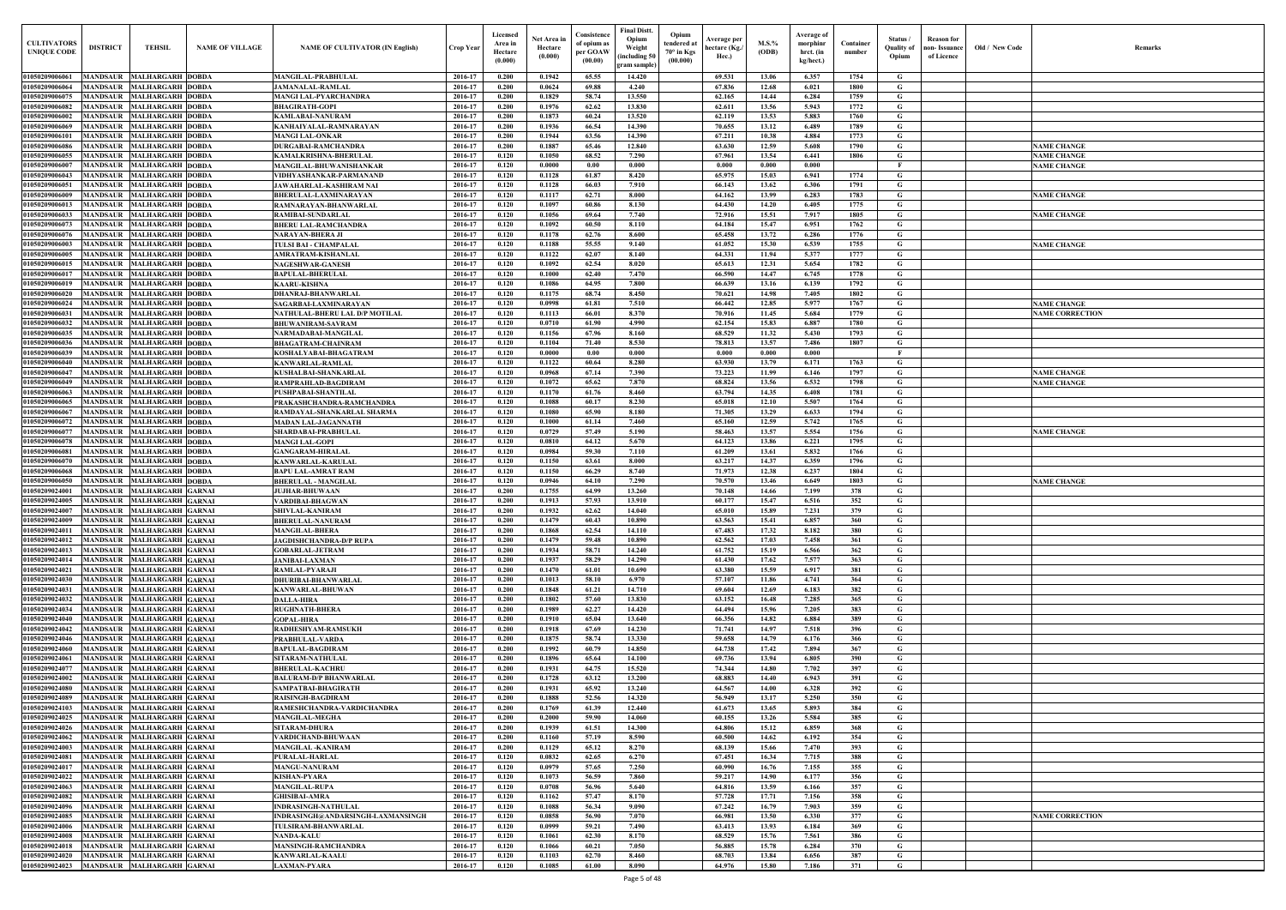| $\mathbf{Old} \, / \,$ New Code | Remarks                                      |
|---------------------------------|----------------------------------------------|
|                                 |                                              |
|                                 |                                              |
|                                 |                                              |
|                                 |                                              |
|                                 |                                              |
|                                 | <b>NAME CHANGE</b>                           |
|                                 | <b>NAME CHANGE</b><br><b>NAME CHANGE</b>     |
|                                 |                                              |
|                                 | <b>NAME CHANGE</b>                           |
|                                 |                                              |
|                                 | <b>NAME CHANGE</b>                           |
|                                 |                                              |
|                                 | <b>NAME CHANGE</b>                           |
|                                 |                                              |
|                                 |                                              |
|                                 |                                              |
|                                 |                                              |
|                                 | <b>NAME CHANGE</b><br><b>NAME CORRECTION</b> |
|                                 |                                              |
|                                 |                                              |
|                                 |                                              |
|                                 |                                              |
|                                 | <b>NAME CHANGE</b>                           |
|                                 | <b>NAME CHANGE</b>                           |
|                                 |                                              |
|                                 |                                              |
|                                 | <b>NAME CHANGE</b>                           |
|                                 |                                              |
|                                 |                                              |
|                                 |                                              |
|                                 | <b>NAME CHANGE</b>                           |
|                                 |                                              |
|                                 |                                              |
|                                 |                                              |
|                                 |                                              |
|                                 |                                              |
|                                 |                                              |
|                                 |                                              |
|                                 |                                              |
|                                 |                                              |
|                                 |                                              |
|                                 |                                              |
|                                 |                                              |
|                                 |                                              |
|                                 |                                              |
|                                 |                                              |
|                                 |                                              |
|                                 |                                              |
|                                 |                                              |
|                                 |                                              |
|                                 |                                              |
|                                 |                                              |
|                                 |                                              |
|                                 |                                              |
|                                 |                                              |
|                                 | <b>NAME CORRECTION</b>                       |
|                                 |                                              |
|                                 |                                              |
|                                 |                                              |
|                                 |                                              |

| <b>CULTIVATORS</b><br><b>UNIQUE CODE</b> | <b>DISTRICT</b>                    | TEHSIL                                                   | <b>NAME OF VILLAGE</b> | <b>NAME OF CULTIVATOR (IN English)</b>                     | <b>Crop Year</b>   | Licensed<br>Area in<br>Hectare<br>(0.000) | Net Area in<br>Hectare<br>(0.000) | Consistence<br>of opium as<br>per GOAW<br>(00.00) | F <b>inal Distt</b> .<br>Opium<br>Weight<br>including 50)<br>gram sample | Opium<br>endered at<br>$70^\circ$ in Kgs<br>(00.000) | <b>Average per</b><br>hectare (Kg./<br>Hec.) | $M.S.$ %<br>(ODB) | Average of<br>morphinr<br>hrct. (in<br>kg/hect.) | Container<br>number | Status<br><b>Ouality of</b><br>Opium | <b>Reason for</b><br>non- Issuance<br>of Licence | Old / New Code | <b>Remark</b>                            |
|------------------------------------------|------------------------------------|----------------------------------------------------------|------------------------|------------------------------------------------------------|--------------------|-------------------------------------------|-----------------------------------|---------------------------------------------------|--------------------------------------------------------------------------|------------------------------------------------------|----------------------------------------------|-------------------|--------------------------------------------------|---------------------|--------------------------------------|--------------------------------------------------|----------------|------------------------------------------|
| <b>01050209006061</b>                    |                                    | MANDSAUR MALHARGARH DOBDA                                |                        | <b>MANGILAL-PRABHULAL</b>                                  | 2016-17            | 0.200                                     | 0.1942                            | 65.55                                             | 14.420                                                                   |                                                      | 69.531                                       | 13.06             | 6.357                                            | 1754                | G                                    |                                                  |                |                                          |
| 0105020900606                            | <b>MANDSAUR</b>                    | <b>MALHARGARH DOBDA</b>                                  |                        | <b>JAMANALAL-RAMLAL</b>                                    | 2016-17            | 0.200                                     | 0.0624                            | 69.88                                             | 4.240                                                                    |                                                      | 67.836                                       | 12.68             | 6.021                                            | 1800                | G                                    |                                                  |                |                                          |
| 01050209006075<br>01050209006082         | <b>MANDSAUR</b><br><b>MANDSAUR</b> | <b>MALHARGARH DOBDA</b><br><b>MALHARGARH DOBDA</b>       |                        | MANGI LAL-PYARCHANDRA                                      | 2016-17<br>2016-17 | 0.200<br>0.200                            | 0.1829<br>0.1976                  | 58.74<br>62.62                                    | 13.550<br>13.830                                                         |                                                      | 62.165<br>62.611                             | 14.44<br>13.56    | 6.284<br>5.943                                   | 1759<br>1772        | G<br>G                               |                                                  |                |                                          |
| 01050209006002                           | <b>MANDSAUR</b>                    | <b>MALHARGARH DOBDA</b>                                  |                        | <b>BHAGIRATH-GOPI</b><br>KAMLABAI-NANURAM                  | 2016-17            | 0.200                                     | 0.1873                            | 60.24                                             | 13.520                                                                   |                                                      | 62.119                                       | 13.53             | 5.883                                            | 1760                | G                                    |                                                  |                |                                          |
| <b>0105020900606</b>                     | <b>MANDSAUR</b>                    | <b>MALHARGARH DOBDA</b>                                  |                        | KANHAIYALAL-RAMNARAYAN                                     | 2016-17            | 0.200                                     | 0.1936                            | 66.54                                             | 14.390                                                                   |                                                      | 70.655                                       | 13.12             | 6.489                                            | 1789                | G                                    |                                                  |                |                                          |
| 0105020900610                            | MANDSAUR                           | <b>MALHARGARH DOBDA</b>                                  |                        | <b>MANGI LAL-ONKAR</b>                                     | 2016-17            | 0.200                                     | 0.1944                            | 63.56                                             | 14.390                                                                   |                                                      | 67.211                                       | 10.38             | 4.884                                            | 1773                | G                                    |                                                  |                |                                          |
| 0105020900608                            | MANDSAUR                           | <b>MALHARGARH DOBDA</b>                                  |                        | <b>DURGABAI-RAMCHANDRA</b>                                 | 2016-17            | 0.200                                     | 0.1887                            | 65.46                                             | 12.840                                                                   |                                                      | 63.630                                       | 12.59             | 5.608                                            | 1790                | G                                    |                                                  |                | <b>NAME CHANGE</b>                       |
| 0105020900605:<br>0105020900600          | MANDSAUR<br><b>MANDSAUR</b>        | <b>MALHARGARH DOBDA</b><br><b>MALHARGARH DOBDA</b>       |                        | KAMALKRISHNA-BHERULAI<br>MANGILAL-BHUWANISHANKAR           | 2016-17<br>2016-17 | 0.120<br>0.120                            | 0.1050<br>0.0000                  | 68.52<br>0.00                                     | 7.290<br>0.000                                                           |                                                      | 67.961<br>0.000                              | 13.54<br>0.000    | 6.441<br>0.000                                   | 1806                | G<br>- F                             |                                                  |                | <b>NAME CHANGE</b><br><b>NAME CHANGE</b> |
| <b>01050209006043</b>                    | MANDSAUR                           | <b>MALHARGARH DOBDA</b>                                  |                        | VIDHYASHANKAR-PARMANAND                                    | 2016-17            | 0.120                                     | 0.1128                            | 61.87                                             | 8.420                                                                    |                                                      | 65.975                                       | 15.03             | 6.941                                            | 1774                | G                                    |                                                  |                |                                          |
| 0105020900605                            | MANDSAUR                           | <b>MALHARGARH DOBDA</b>                                  |                        | JAWAHARLAL-KASHIRAM NAI                                    | 2016-17            | 0.120                                     | 0.1128                            | 66.03                                             | 7.910                                                                    |                                                      | 66.143                                       | 13.62             | 6.306                                            | 1791                | G                                    |                                                  |                |                                          |
| <b>0105020900600</b>                     | MANDSAUR                           | <b>MALHARGARH DOBDA</b>                                  |                        | BHERULAL-LAXMINARAYAN                                      | 2016-17            | 0.120                                     | 0.1117                            | 62.71                                             | 8.000                                                                    |                                                      | 64.162                                       | 13.99             | 6.283                                            | 1783                | G                                    |                                                  |                | <b>NAME CHANGE</b>                       |
| 0105020900601.<br>0105020900603.         | <b>MANDSAUR</b><br>MANDSAUF        | <b>MALHARGARH DOBDA</b><br><b>MALHARGARH DOBDA</b>       |                        | RAMNARAYAN-BHANWARLAL<br>RAMIBAI-SUNDARLAL                 | 2016-17<br>2016-17 | 0.120<br>0.120                            | 0.1097<br>0.1056                  | 60.86<br>69.64                                    | 8.130<br>7.740                                                           |                                                      | 64.430<br>72.916                             | 14.20<br>15.51    | 6.405<br>7.917                                   | 1775<br>1805        | G<br>G                               |                                                  |                | <b>NAME CHANGE</b>                       |
| 0105020900607                            | MANDSAUR                           | <b>MALHARGARH DOBDA</b>                                  |                        | <b>BHERU LAL-RAMCHANDRA</b>                                | 2016-17            | 0.120                                     | 0.1092                            | 60.50                                             | 8.110                                                                    |                                                      | 64.184                                       | 15.47             | 6.951                                            | 1762                | $\mathbf G$                          |                                                  |                |                                          |
| 0105020900607                            | MANDSAUI                           | <b>MALHARGARH DOBDA</b>                                  |                        | NARAYAN-BHERA JI                                           | 2016-17            | 0.120                                     | 0.1178                            | 62.76                                             | 8.600                                                                    |                                                      | 65.458                                       | 13.72             | 6.286                                            | 1776                | G                                    |                                                  |                |                                          |
| 9105020900600                            | MANDSAUF                           | <b>MALHARGARH DOBDA</b>                                  |                        | TULSI BAI - CHAMPALAI                                      | 2016-17            | 0.120                                     | 0.1188                            | 55.55                                             | 9.140                                                                    |                                                      | 61.052                                       | 15.30             | 6.539                                            | 1755                | G                                    |                                                  |                | <b>NAME CHANGE</b>                       |
| 9105020900600<br>1105020900601           | MANDSAUI                           | <b>MALHARGARH DOBDA</b>                                  |                        | AMRATRAM-KISHANLAL                                         | 2016-17<br>2016-17 | 0.120<br>0.120                            | 0.1122<br>0.1092                  | 62.07<br>62.54                                    | 8.140<br>8.020                                                           |                                                      | 64.331                                       | 11.94<br>12.31    | 5.377<br>5.654                                   | 1777<br>1782        | G<br>G                               |                                                  |                |                                          |
| 0105020900601                            | MANDSAUI<br>MANDSAUR               | <b>MALHARGARH DOBDA</b><br><b>MALHARGARH DOBDA</b>       |                        | <b>NAGESHWAR-GANESH</b><br><b>BAPULAL-BHERULAL</b>         | 2016-17            | 0.120                                     | 0.1000                            | 62.40                                             | 7.470                                                                    |                                                      | 65.613<br>66.590                             | 14.47             | 6.745                                            | 1778                | G                                    |                                                  |                |                                          |
| 0105020900601                            | <b>MANDSAUR</b>                    | <b>MALHARGARH DOBDA</b>                                  |                        | <b>KAARU-KISHNA</b>                                        | 2016-17            | 0.120                                     | 0.1086                            | 64.95                                             | 7.800                                                                    |                                                      | 66.639                                       | 13.16             | 6.139                                            | 1792                | G                                    |                                                  |                |                                          |
| 0105020900602                            | <b>MANDSAUR</b>                    | <b>MALHARGARH DOBDA</b>                                  |                        | DHANRAJ-BHANWARLAL                                         | 2016-17            | 0.120                                     | 0.1175                            | 68.74                                             | 8.450                                                                    |                                                      | 70.621                                       | 14.98             | 7.405                                            | 1802                | G                                    |                                                  |                |                                          |
| 01050209006024                           |                                    | MANDSAUR MALHARGARH DOBDA                                |                        | SAGARBAI-LAXMINARAYAN                                      | 2016-17            | 0.120                                     | 0.0998                            | 61.81                                             | 7.510                                                                    |                                                      | 66.442                                       | 12.85             | 5.977                                            | 1767                | G                                    |                                                  |                | <b>NAME CHANGE</b>                       |
| 0105020900603<br>01050209006032          | <b>MANDSAUR</b>                    | <b>MALHARGARH DOBDA</b><br>MANDSAUR MALHARGARH DOBDA     |                        | NATHULAL-BHERU LAL D/P MOTILAL<br><b>BHUWANIRAM-SAVRAM</b> | 2016-17<br>2016-17 | 0.120<br>0.120                            | 0.1113<br>0.0710                  | 66.01<br>61.90                                    | 8.370<br>4.990                                                           |                                                      | 70.916<br>62.154                             | 11.45<br>15.83    | 5.684<br>6.887                                   | 1779<br>1780        | G<br>G                               |                                                  |                | <b>NAME CORRECTION</b>                   |
| 01050209006035                           | <b>MANDSAUR</b>                    | <b>MALHARGARH DOBDA</b>                                  |                        | NARMADABAI-MANGILAL                                        | 2016-17            | 0.120                                     | 0.1156                            | 67.96                                             | 8.160                                                                    |                                                      | 68.529                                       | 11.32             | 5.430                                            | 1793                | G                                    |                                                  |                |                                          |
| 01050209006036                           |                                    | MANDSAUR MALHARGARH DOBDA                                |                        | <b>BHAGATRAM-CHAINRAM</b>                                  | 2016-17            | 0.120                                     | 0.1104                            | 71.40                                             | 8.530                                                                    |                                                      | 78.813                                       | 13.57             | 7.486                                            | 1807                | G                                    |                                                  |                |                                          |
| 01050209006039                           | <b>MANDSAUR</b>                    | <b>MALHARGARH DOBDA</b>                                  |                        | KOSHALYABAI-BHAGATRAM                                      | 2016-17            | 0.120                                     | $\bf{0.0000}$                     | 0.00                                              | 0.000                                                                    |                                                      | 0.000                                        | 0.000             | 0.000                                            |                     | F                                    |                                                  |                |                                          |
| 01050209006040                           | <b>MANDSAUR</b>                    | <b>MALHARGARH DOBDA</b>                                  |                        | KANWARLAL-RAMLAL                                           | 2016-17            | 0.120                                     | 0.1122                            | 60.64                                             | 8.280                                                                    |                                                      | 63.930                                       | 13.79             | 6.171                                            | 1763                | G                                    |                                                  |                |                                          |
| 0105020900604<br>01050209006049          | <b>MANDSAUR</b><br><b>MANDSAUR</b> | <b>MALHARGARH DOBDA</b><br><b>MALHARGARH DOBDA</b>       |                        | KUSHALBAI-SHANKARLAI<br>RAMPRAHLAD-BAGDIRAM                | 2016-17<br>2016-17 | 0.120<br>0.120                            | 0.0968<br>0.1072                  | 67.14<br>65.62                                    | 7.390<br>7.870                                                           |                                                      | 73.223<br>68.824                             | 11.99<br>13.56    | 6.146<br>6.532                                   | 1797<br>1798        | G<br>G                               |                                                  |                | <b>NAME CHANGE</b><br><b>NAME CHANGE</b> |
| 0105020900606                            | <b>MANDSAUR</b>                    | <b>MALHARGARH DOBDA</b>                                  |                        | PUSHPABAI-SHANTILAL                                        | 2016-17            | 0.120                                     | 0.1170                            | 61.76                                             | 8.460                                                                    |                                                      | 63.794                                       | 14.35             | 6.408                                            | 1781                | G                                    |                                                  |                |                                          |
| <b>0105020900606:</b>                    | MANDSAUR                           | <b>MALHARGARH DOBDA</b>                                  |                        | PRAKASHCHANDRA-RAMCHANDRA                                  | 2016-17            | 0.120                                     | 0.1088                            | 60.17                                             | 8.230                                                                    |                                                      | 65.018                                       | 12.10             | 5.507                                            | 1764                | G                                    |                                                  |                |                                          |
| 0105020900606                            | MANDSAUR                           | <b>MALHARGARH DOBDA</b>                                  |                        | RAMDAYAL-SHANKARLAL SHARMA                                 | 2016-17            | 0.120                                     | 0.1080                            | 65.90                                             | 8.180                                                                    |                                                      | 71.305                                       | 13.29             | 6.633                                            | 1794                | G                                    |                                                  |                |                                          |
| 0105020900607<br>0105020900607           | MANDSAUR<br><b>MANDSAUR</b>        | <b>MALHARGARH DOBDA</b><br><b>MALHARGARH DOBDA</b>       |                        | MADAN LAL-JAGANNATH<br>SHARDABAI-PRABHULAL                 | 2016-17<br>2016-17 | 0.120<br>0.120                            | 0.1000<br>0.0729                  | 61.14<br>57.49                                    | 7.460<br>5.190                                                           |                                                      | 65.160<br>58.463                             | 12.59<br>13.57    | 5.742<br>5.554                                   | 1765<br>1756        | G<br>G                               |                                                  |                | <b>NAME CHANGE</b>                       |
| <b>0105020900607</b>                     | <b>MANDSAUF</b>                    | <b>MALHARGARH DOBDA</b>                                  |                        | <b>MANGI LAL-GOPI</b>                                      | 2016-17            | 0.120                                     | 0.0810                            | 64.12                                             | 5.670                                                                    |                                                      | 64.123                                       | 13.86             | 6.221                                            | 1795                | G                                    |                                                  |                |                                          |
| 0105020900608                            | MANDSAUI                           | <b>MALHARGARH DOBDA</b>                                  |                        | <b>GANGARAM-HIRALAL</b>                                    | 2016-17            | 0.120                                     | 0.0984                            | 59.30                                             | 7.110                                                                    |                                                      | 61.209                                       | 13.61             | 5.832                                            | 1766                | G                                    |                                                  |                |                                          |
| 010502090060                             | <b>MANDSAU</b>                     | <b>MALHARGARH DOBDA</b>                                  |                        | KANWARLAL-KARULAL                                          | 2016-17            | 0.120                                     | 0.1150                            | 63.61                                             | 8.000                                                                    |                                                      | 63.217                                       | 14.37             | 6.359                                            | 1796                | $\mathbf G$                          |                                                  |                |                                          |
| 0105020900606<br>0105020900605           | MANDSAUF<br><b>MANDSAU</b>         | <b>MALHARGARH DOBDA</b><br><b>MALHARGARH DOBDA</b>       |                        | BAPU LAL-AMRAT RAM<br><b>BHERULAL - MANGILAL</b>           | 2016-17<br>2016-17 | 0.120<br>0.120                            | 0.1150<br>0.0946                  | 66.29<br>64.10                                    | 8.740<br>7.290                                                           |                                                      | 71.973<br>70.570                             | 12.38<br>13.46    | 6.237<br>6.649                                   | 1804<br>1803        | G<br>G                               |                                                  |                | <b>NAME CHANGE</b>                       |
| 0105020902400                            | MANDSAU                            | <b>MALHARGARH GARNAI</b>                                 |                        | <b>JUJHAR-BHUWAAN</b>                                      | 2016-1             | 0.200                                     | 0.1755                            | 64.99                                             | 13.260                                                                   |                                                      | 70.148                                       | 14.66             | 7.199                                            | 378                 | G                                    |                                                  |                |                                          |
| 01050209024005                           |                                    | MANDSAUR MALHARGARH GARNAI                               |                        | ARDIBAI-BHAGWAN                                            | 2016-17            | 0.200                                     | 0.1913                            | 57.93                                             | 13.910                                                                   |                                                      | 60.177                                       | 15.47             | 6.516                                            | 352                 | G                                    |                                                  |                |                                          |
| 01050209024007                           |                                    | MANDSAUR MALHARGARH GARNAI                               |                        | SHIVLAL-KANIRAM                                            | 2016-17            | 0.200                                     | 0.1932                            | 62.62                                             | 14.040                                                                   |                                                      | 65.010                                       | 15.89             | 7.231                                            | 379                 | G                                    |                                                  |                |                                          |
| 01050209024009<br>01050209024011         |                                    | MANDSAUR MALHARGARH GARNAI<br>MANDSAUR MALHARGARH GARNAI |                        | <b>BHERULAL-NANURAM</b><br><b>MANGILAL-BHERA</b>           | 2016-17<br>2016-17 | 0.200<br>0.200                            | 0.1479<br>0.1868                  | 60.43<br>62.54                                    | 10.890<br>14.110                                                         |                                                      | 63.563<br>67.483                             | 15.41<br>17.32    | 6.857<br>8.182                                   | 360<br>380          | G<br>G                               |                                                  |                |                                          |
| 01050209024012                           |                                    | MANDSAUR MALHARGARH GARNAI                               |                        | JAGDISHCHANDRA-D/P RUPA                                    | 2016-17            | 0.200                                     | 0.1479                            | 59.48                                             | 10.890                                                                   |                                                      | 62.562                                       | 17.03             | 7.458                                            | 361                 | G                                    |                                                  |                |                                          |
| 01050209024013                           |                                    | MANDSAUR MALHARGARH GARNAI                               |                        | <b>GOBARLAL-JETRAM</b>                                     | 2016-17            | 0.200                                     | 0.1934                            | 58.71                                             | 14.240                                                                   |                                                      | 61.752                                       | 15.19             | 6.566                                            | 362                 | G                                    |                                                  |                |                                          |
| 01050209024014                           |                                    | MANDSAUR MALHARGARH GARNAI                               |                        | <b>JANIBAI-LAXMAN</b>                                      | 2016-17            | 0.200                                     | 0.1937                            | 58.29                                             | 14.290                                                                   |                                                      | 61.430                                       | 17.62             | 7.577                                            | 363                 | G                                    |                                                  |                |                                          |
| 01050209024021<br>01050209024030         |                                    | MANDSAUR MALHARGARH GARNAI<br>MANDSAUR MALHARGARH GARNAI |                        | RAMLAL-PYARAJI<br><b>DHURIBAI-BHANWARLAL</b>               | 2016-17<br>2016-17 | 0.200<br>0.200                            | 0.1470<br>0.1013                  | 61.01<br>58.10                                    | 10.690<br>6.970                                                          |                                                      | 63.380<br>57,107                             | 15.59<br>11.86    | 6.917<br>4.741                                   | 381<br>364          | G<br>G                               |                                                  |                |                                          |
| 01050209024031                           |                                    | MANDSAUR MALHARGARH GARNAI                               |                        | KANWARLAL-BHUWAN                                           | 2016-17            | 0.200                                     | 0.1848                            | 61.21                                             | 14.710                                                                   |                                                      | 69.604                                       | 12.69             | 6.183                                            | 382                 | G                                    |                                                  |                |                                          |
| 01050209024032                           |                                    | MANDSAUR MALHARGARH GARNAI                               |                        | <b>DALLA-HIRA</b>                                          | 2016-17            | 0.200                                     | 0.1802                            | 57.60                                             | 13.830                                                                   |                                                      | 63.152                                       | 16.48             | 7.285                                            | 365                 | G                                    |                                                  |                |                                          |
| 01050209024034                           |                                    | MANDSAUR MALHARGARH GARNAI                               |                        | <b>RUGHNATH-BHERA</b>                                      | 2016-17            | 0.200                                     | 0.1989                            | 62.27                                             | 14.420                                                                   |                                                      | 64.494                                       | 15.96             | 7.205                                            | 383                 | $\mathbf G$                          |                                                  |                |                                          |
| 01050209024040<br>01050209024042         | <b>MANDSAUR</b><br><b>MANDSAUR</b> | <b>MALHARGARH GARNAI</b><br>MALHARGARH GARNAI            |                        | <b>GOPAL-HIRA</b>                                          | 2016-17<br>2016-17 | 0.200<br>0.200                            | 0.1910<br>0.1918                  | 65.04<br>67.69                                    | 13.640<br>14.230                                                         |                                                      | 66.356<br>71.741                             | 14.82<br>14.97    | 6.884<br>7.518                                   | 389<br>396          | G<br>G                               |                                                  |                |                                          |
| 01050209024046                           | <b>MANDSAUR</b>                    | MALHARGARH GARNAI                                        |                        | RADHESHYAM-RAMSUKH<br>PRABHULAL-VARDA                      | 2016-17            | 0.200                                     | 0.1875                            | 58.74                                             | 13.330                                                                   |                                                      | 59.658                                       | 14.79             | 6.176                                            | 366                 | $\mathbf G$                          |                                                  |                |                                          |
| 01050209024060                           | <b>MANDSAUR</b>                    | <b>MALHARGARH GARNAI</b>                                 |                        | <b>BAPULAL-BAGDIRAM</b>                                    | 2016-17            | 0.200                                     | 0.1992                            | 60.79                                             | 14.850                                                                   |                                                      | 64.738                                       | 17.42             | 7.894                                            | 367                 | $\mathbf G$                          |                                                  |                |                                          |
| 01050209024061                           | <b>MANDSAUR</b>                    | MALHARGARH GARNAI                                        |                        | SITARAM-NATHULAL                                           | 2016-17            | 0.200                                     | 0.1896                            | 65.64                                             | 14.100                                                                   |                                                      | 69.736                                       | 13.94             | 6.805                                            | 390                 | $\mathbf G$                          |                                                  |                |                                          |
| 01050209024077                           | <b>MANDSAUR</b>                    | <b>MALHARGARH GARNAI</b>                                 |                        | <b>BHERULAL-KACHRU</b>                                     | 2016-17            | 0.200                                     | 0.1931                            | 64.75                                             | 15.520                                                                   |                                                      | 74.344                                       | 14.80             | 7.702                                            | 397                 | G                                    |                                                  |                |                                          |
| 01050209024002<br>01050209024080         | <b>MANDSAUR</b><br><b>MANDSAUR</b> | MALHARGARH GARNAI<br><b>MALHARGARH GARNAI</b>            |                        | <b>BALURAM-D/P BHANWARLAL</b><br>SAMPATBAI-BHAGIRATH       | 2016-17<br>2016-17 | 0.200<br>0.200                            | 0.1728<br>0.1931                  | 63.12<br>65.92                                    | 13.200<br>13.240                                                         |                                                      | 68.883<br>64.567                             | 14.40<br>14.00    | 6.943<br>6.328                                   | 391<br>392          | G<br>$\mathbf G$                     |                                                  |                |                                          |
| 01050209024089                           | <b>MANDSAUR</b>                    | <b>MALHARGARH GARNAI</b>                                 |                        | RAISINGH-BAGDIRAM                                          | 2016-17            | 0.200                                     | 0.1888                            | 52.56                                             | 14.320                                                                   |                                                      | 56.949                                       | 13.17             | 5.250                                            | 350                 | $\mathbf G$                          |                                                  |                |                                          |
| 01050209024103                           | <b>MANDSAUR</b>                    | <b>MALHARGARH GARNAI</b>                                 |                        | RAMESHCHANDRA-VARDICHANDRA                                 | 2016-17            | 0.200                                     | 0.1769                            | 61.39                                             | 12,440                                                                   |                                                      | 61.673                                       | 13.65             | 5.893                                            | 384                 | $\mathbf G$                          |                                                  |                |                                          |
| 01050209024025                           | <b>MANDSAUR</b>                    | <b>MALHARGARH GARNAI</b>                                 |                        | <b>MANGILAL-MEGHA</b>                                      | 2016-17            | 0.200                                     | 0.2000                            | 59.90                                             | 14.060                                                                   |                                                      | 60.155                                       | 13.26             | 5.584                                            | 385                 | $\mathbf G$                          |                                                  |                |                                          |
| 0105020902402<br>01050209024062          | MANDSAUR                           | <b>MALHARGARH GARNAI</b><br>MANDSAUR MALHARGARH GARNAI   |                        | SITARAM-DHURA<br>VARDICHAND-BHUWAAN                        | 2016-17<br>2016-17 | 0.200<br>0.200                            | 0.1939<br>0.1160                  | 61.51<br>57.19                                    | 14.300<br>8.590                                                          |                                                      | 64.806<br>60.500                             | 15.12<br>14.62    | 6.859<br>6.192                                   | 368<br>354          | G<br>$\mathbf G$                     |                                                  |                |                                          |
| 01050209024003                           | <b>MANDSAUR</b>                    | <b>MALHARGARH GARNAI</b>                                 |                        | <b>MANGILAL -KANIRAM</b>                                   | 2016-17            | 0.200                                     | 0.1129                            | 65.12                                             | 8.270                                                                    |                                                      | 68.139                                       | 15.66             | 7.470                                            | 393                 | G                                    |                                                  |                |                                          |
| 01050209024081                           |                                    | MANDSAUR MALHARGARH GARNAI                               |                        | PURALAL-HARLAL                                             | 2016-17            | 0.120                                     | 0.0832                            | 62.65                                             | 6.270                                                                    |                                                      | 67.451                                       | 16.34             | 7.715                                            | 388                 | G                                    |                                                  |                |                                          |
| 01050209024017                           |                                    | MANDSAUR MALHARGARH GARNAI                               |                        | <b>MANGU-NANURAM</b>                                       | 2016-17            | 0.120                                     | 0.0979                            | 57.65                                             | 7.250                                                                    |                                                      | 60.990                                       | 16.76             | 7.155                                            | 355                 | G                                    |                                                  |                |                                          |
| 01050209024022<br>01050209024063         |                                    | MANDSAUR MALHARGARH GARNAI<br>MANDSAUR MALHARGARH GARNAI |                        | KISHAN-PYARA<br><b>MANGILAL-RUPA</b>                       | 2016-17            | 0.120                                     | 0.1073<br>0.0708                  | 56.59<br>56.96                                    | 7.860<br>5.640                                                           |                                                      | 59.217                                       | 14.90<br>13.59    | 6.177                                            | 356<br>357          | G<br>G                               |                                                  |                |                                          |
| 01050209024082                           |                                    | MANDSAUR MALHARGARH GARNAI                               |                        | <b>GHISIBAI-AMRA</b>                                       | 2016-17<br>2016-17 | 0.120<br>0.120                            | 0.1162                            | 57.47                                             | 8.170                                                                    |                                                      | 64.816<br>57.728                             | 17.71             | 6.166<br>7.156                                   | 358                 | G                                    |                                                  |                |                                          |
| 01050209024096                           |                                    | MANDSAUR MALHARGARH GARNAI                               |                        | INDRASINGH-NATHULAL                                        | 2016-17            | 0.120                                     | 0.1088                            | 56.34                                             | 9.090                                                                    |                                                      | 67,242                                       | 16.79             | 7.903                                            | 359                 | G                                    |                                                  |                |                                          |
| 01050209024085                           |                                    | MANDSAUR MALHARGARH GARNAI                               |                        | INDRASINGH@ANDARSINGH-LAXMANSINGH                          | 2016-17            | 0.120                                     | 0.0858                            | 56.90                                             | 7.070                                                                    |                                                      | 66.981                                       | 13.50             | 6.330                                            | 377                 | G                                    |                                                  |                | <b>NAME CORRECTION</b>                   |
| 01050209024006<br>01050209024008         |                                    | MANDSAUR MALHARGARH GARNAI                               |                        | TULSIRAM-BHANWARLAL                                        | 2016-17            | 0.120<br>0.120                            | 0.0999                            | 59.21<br>62.30                                    | 7.490                                                                    |                                                      | 63.413<br>68.529                             | 13.93             | 6.184<br>7.561                                   | 369<br>386          | G<br>G                               |                                                  |                |                                          |
| 0105020902401                            |                                    | MANDSAUR MALHARGARH GARNAI<br>MANDSAUR MALHARGARH GARNAI |                        | <b>NANDA-KALU</b><br><b>MANSINGH-RAMCHANDRA</b>            | 2016-17<br>2016-17 | 0.120                                     | 0.1061<br>0.1066                  | 60.21                                             | 8.170<br>7.050                                                           |                                                      | 56.885                                       | 15.76<br>15.78    | 6.284                                            | 370                 | G                                    |                                                  |                |                                          |
| 01050209024020                           |                                    | MANDSAUR MALHARGARH GARNAI                               |                        | <b>KANWARLAL-KAALU</b>                                     | 2016-17            | 0.120                                     | 0.1103                            | 62.70                                             | 8.460                                                                    |                                                      | 68.703                                       | 13.84             | 6.656                                            | 387                 | $\mathbf G$                          |                                                  |                |                                          |
| 01050209024023                           |                                    | MANDSAUR MALHARGARH GARNAI                               |                        | <b>LAXMAN-PYARA</b>                                        | 2016-17            | 0.120                                     | 0.1085                            | 61.00                                             | 8.090                                                                    |                                                      | 64.976                                       | 15.80             | 7.186                                            | 371                 | $\mathbf G$                          |                                                  |                |                                          |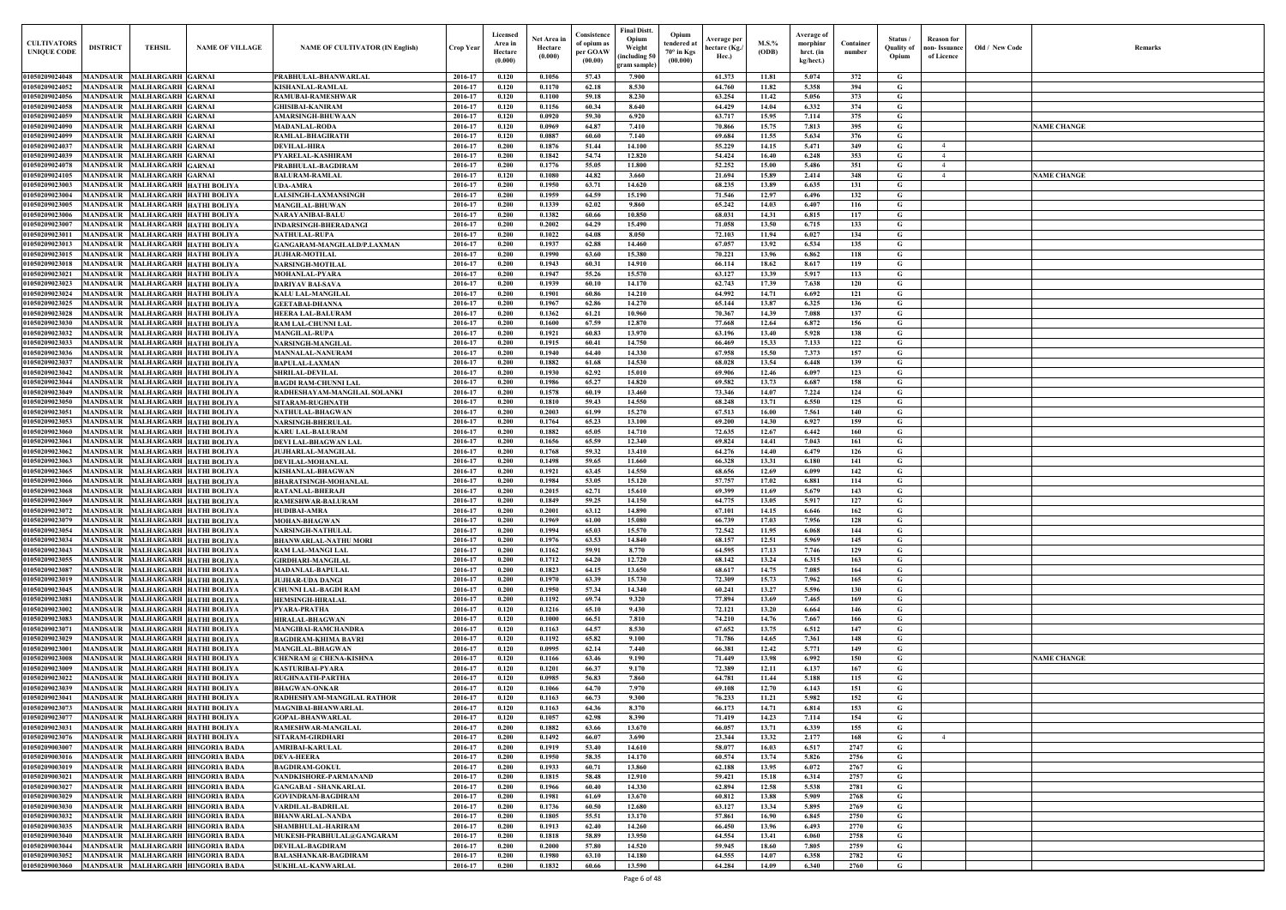| Old / New Code | Remarks            |
|----------------|--------------------|
|                |                    |
|                | <b>NAME CHANGE</b> |
|                | <b>NAME CHANGE</b> |
|                |                    |
|                |                    |
|                |                    |
|                |                    |
|                |                    |
|                |                    |
|                |                    |
|                |                    |
|                |                    |
|                |                    |
|                |                    |
|                |                    |
|                |                    |
|                | <b>NAME CHANGE</b> |
|                |                    |
|                |                    |
|                |                    |
|                |                    |
|                |                    |
|                |                    |

| <b>CULTIVATORS</b><br><b>UNIQUE CODI</b> | <b>DISTRICT</b><br><b>TEHSIL</b>                                                                       | <b>NAME OF VILLAGE</b>                                    | <b>NAME OF CULTIVATOR (IN English)</b>                    | <b>Crop Year</b>   | Licensed<br>Area in<br>Hectare<br>(0.000) | Net Area in<br>Hectare<br>(0.000) | Consistence<br>of opium as<br>per GOAW<br>(00.00) | <b>Final Distt.</b><br>Opium<br>Opium<br>tendered at<br>Weight<br>70° in Kgs<br>including 50)<br>(00.000)<br>gram sample) | Average per<br>hectare (Kg./<br>Hec.) | M.S.%<br>(ODB) | Average of<br>morphinr<br>hrct. (in<br>kg/hect.) | Container<br>number | Status /<br><b>Quality of</b><br>Opium | <b>Reason</b> for<br>non- Issuance<br>of Licence | Old / New Code | <b>Remark</b>      |
|------------------------------------------|--------------------------------------------------------------------------------------------------------|-----------------------------------------------------------|-----------------------------------------------------------|--------------------|-------------------------------------------|-----------------------------------|---------------------------------------------------|---------------------------------------------------------------------------------------------------------------------------|---------------------------------------|----------------|--------------------------------------------------|---------------------|----------------------------------------|--------------------------------------------------|----------------|--------------------|
| 01050209024048                           | MANDSAUR MALHARGARH GARNAI                                                                             |                                                           | PRABHULAL-BHANWARLAL                                      | 2016-17            | 0.120                                     | 0.1056                            | 57.43                                             | 7.900                                                                                                                     | 61.373                                | 11.81          | 5.074                                            | 372                 | G                                      |                                                  |                |                    |
| 01050209024052                           | <b>MANDSAUR</b><br><b>MALHARGARH GARNAI</b>                                                            |                                                           | <b>KISHANLAL-RAMLAL</b>                                   | 2016-17            | 0.120                                     | 0.1170                            | 62.18                                             | 8.530                                                                                                                     | 64.760                                | 11.82          | 5.358                                            | 394                 | G                                      |                                                  |                |                    |
| 01050209024056                           | <b>MALHARGARH GARNAI</b><br><b>MANDSAUR</b>                                                            |                                                           | <b>RAMUBAI-RAMESHWAR</b>                                  | 2016-17            | 0.120                                     | 0.1100                            | 59.18                                             | 8.230                                                                                                                     | 63.254                                | 11.42          | 5.056                                            | 373                 | G                                      |                                                  |                |                    |
| 01050209024058<br>01050209024059         | <b>MANDSAUR</b><br><b>MALHARGARH GARNAI</b><br><b>MANDSAUR</b><br><b>MALHARGARH GARNAI</b>             |                                                           | <b>GHISIBAI-KANIRAM</b>                                   | 2016-17<br>2016-17 | 0.120<br>0.120                            | 0.1156<br>0.0920                  | 60.34<br>59.30                                    | 8.640<br>6.920                                                                                                            | 64.429<br>63.717                      | 14.04<br>15.95 | 6.332<br>7.114                                   | 374<br>375          | G<br>G                                 |                                                  |                |                    |
| 01050209024090                           | MALHARGARH GARNAI<br><b>MANDSAUR</b>                                                                   |                                                           | <b>AMARSINGH-BHUWAAN</b><br><b>MADANLAL-RODA</b>          | 2016-17            | 0.120                                     | 0.0969                            | 64.87                                             | 7.410                                                                                                                     | 70.866                                | 15.75          | 7.813                                            | 395                 | $\mathbf G$                            |                                                  |                | <b>NAME CHANGE</b> |
| 01050209024099                           | <b>MANDSAUR</b><br><b>MALHARGARH GARNAI</b>                                                            |                                                           | RAMLAL-BHAGIRATH                                          | 2016-17            | 0.120                                     | 0.0887                            | 60.60                                             | 7.140                                                                                                                     | 69.684                                | 11.55          | 5.634                                            | 376                 | G                                      |                                                  |                |                    |
| 01050209024037                           | <b>MANDSAUR</b><br><b>MALHARGARH GARNAI</b>                                                            |                                                           | <b>DEVILAL-HIRA</b>                                       | 2016-17            | 0.200                                     | 0.1876                            | 51.44                                             | 14.100                                                                                                                    | 55.229                                | 14.15          | 5.471                                            | 349                 | $\mathbf G$                            | $\overline{4}$                                   |                |                    |
| 01050209024039                           | <b>MALHARGARH GARNAI</b><br><b>MANDSAUR</b>                                                            |                                                           | PYARELAL-KASHIRAM                                         | 2016-17            | 0.200                                     | 0.1842                            | 54.74                                             | 12.820                                                                                                                    | 54,424                                | 16.40          | 6.248                                            | 353                 | $\mathbf G$                            | $\overline{4}$                                   |                |                    |
| 01050209024078                           | MALHARGARH GARNAI<br><b>MANDSAUR</b>                                                                   |                                                           | PRABHULAL-BAGDIRAM                                        | 2016-17            | 0.200                                     | 0.1776                            | 55.05                                             | 11.800                                                                                                                    | 52.252                                | 15.00          | 5.486                                            | 351                 | G                                      | $\overline{4}$                                   |                |                    |
| 01050209024105<br>0105020902300.         | <b>MANDSAUR</b><br><b>MALHARGARH GARNAI</b><br><b>MANDSAUR</b>                                         | <b>MALHARGARH HATHI BOLIYA</b>                            | <b>BALURAM-RAMLAL</b><br><b>UDA-AMRA</b>                  | 2016-17<br>2016-17 | 0.120<br>0.200                            | $\bf 0.1080$<br>0.1950            | 44.82<br>63.71                                    | 3.660<br>14.620                                                                                                           | 21.694<br>68.235                      | 15.89<br>13.89 | 2.414<br>6.635                                   | 348<br>131          | G<br>$\mathbf G$                       | $\overline{4}$                                   |                | <b>NAME CHANGE</b> |
| 01050209023004                           | MANDSAUR                                                                                               | <b>MALHARGARH HATHI BOLIYA</b>                            | <b>LALSINGH-LAXMANSINGH</b>                               | 2016-17            | 0.200                                     | 0.1959                            | 64.59                                             | 15.190                                                                                                                    | 71.546                                | 12.97          | 6.496                                            | 132                 | G                                      |                                                  |                |                    |
| 01050209023005                           | <b>MANDSAUR</b><br>MALHARGARH HATHI BOLIYA                                                             |                                                           | <b>MANGILAL-BHUWAN</b>                                    | 2016-17            | 0.200                                     | 0.1339                            | 62.02                                             | 9.860                                                                                                                     | 65,242                                | 14.03          | 6.407                                            | 116                 | G                                      |                                                  |                |                    |
| 0105020902300                            | MANDSAUR                                                                                               | MALHARGARH HATHI BOLIYA                                   | NARAYANIBAI-BALU                                          | 2016-17            | 0.200                                     | 0.1382                            | 60.66                                             | 10.850                                                                                                                    | 68.031                                | 14.31          | 6.815                                            | 117                 | G                                      |                                                  |                |                    |
| 0105020902300                            | MANDSAUR                                                                                               | <b>MALHARGARH HATHI BOLIYA</b>                            | <b>INDARSINGH-BHERADANGI</b>                              | 2016-17            | 0.200                                     | 0.2002                            | 64.29                                             | 15.490                                                                                                                    | 71.058                                | 13.50          | 6.715                                            | 133                 | G                                      |                                                  |                |                    |
| 0105020902301<br>01050209023013          | MANDSAUR<br><b>MANDSAUR</b><br>MALHARGARH HATHI BOLIYA                                                 | <b>MALHARGARH HATHI BOLIYA</b>                            | <b>NATHULAL-RUPA</b><br>GANGARAM-MANGILALD/P.LAXMAN       | 2016-17<br>2016-17 | 0.200<br>0.200                            | 0.1022<br>0.1937                  | 64.08<br>62.88                                    | 8.050<br>14.460                                                                                                           | 72.103<br>67.057                      | 11.94<br>13.92 | 6.027<br>6.534                                   | 134<br>135          | G<br>G                                 |                                                  |                |                    |
| 01050209023015                           | <b>MANDSAUR</b><br>MALHARGARH HATHI BOLIYA                                                             |                                                           | <b>JUJHAR-MOTILAL</b>                                     | 2016-17            | 0.200                                     | 0.1990                            | 63.60                                             | 15.380                                                                                                                    | 70.221                                | 13.96          | 6.862                                            | 118                 | G                                      |                                                  |                |                    |
| 01050209023018                           | MANDSAUR<br><b>MALHARGARH HATHI BOLIYA</b>                                                             |                                                           | <b>NARSINGH-MOTILAL</b>                                   | 2016-17            | 0.200                                     | 0.1943                            | 60.31                                             | 14.910                                                                                                                    | 66.114                                | 18.62          | 8.617                                            | 119                 | G                                      |                                                  |                |                    |
| 01050209023021                           | MALHARGARH HATHI BOLIYA<br><b>MANDSAUR</b>                                                             |                                                           | <b>MOHANLAL-PYARA</b>                                     | 2016-17            | 0.200                                     | 0.1947                            | 55.26                                             | 15.570                                                                                                                    | 63.127                                | 13.39          | 5.917                                            | 113                 | G                                      |                                                  |                |                    |
| 01050209023023                           | MANDSAUR MALHARGARH HATHI BOLIYA                                                                       |                                                           | <b>DARIYAV BAI-SAVA</b>                                   | 2016-17            | 0.200                                     | 0.1939                            | 60.10                                             | 14.170                                                                                                                    | 62.743                                | 17.39          | 7.638                                            | 120                 | G                                      |                                                  |                |                    |
| 01050209023024                           | <b>MANDSAUR</b>                                                                                        | <b>MALHARGARH HATHI BOLIYA</b>                            | <b>KALU LAL-MANGILAL</b>                                  | 2016-17            | 0.200                                     | 0.1901                            | 60.86                                             | 14.210                                                                                                                    | 64.992                                | 14.71          | 6.692                                            | 121                 | G                                      |                                                  |                |                    |
| 01050209023025<br>01050209023028         | <b>MANDSAUR</b><br><b>MALHARGARH HATHI BOLIYA</b><br><b>MANDSAUR</b><br><b>MALHARGARH HATHI BOLIYA</b> |                                                           | <b>GEETABAI-DHANNA</b><br><b>HEERA LAL-BALURAM</b>        | 2016-17<br>2016-17 | 0.200<br>0.200                            | 0.1967<br>0.1362                  | 62.86<br>61.21                                    | 14.270<br>10.960                                                                                                          | 65.144<br>70.367                      | 13.87<br>14.39 | 6.325<br>7.088                                   | 136<br>137          | $\mathbf G$<br>G                       |                                                  |                |                    |
| 01050209023030                           | <b>MANDSAUR</b><br>MALHARGARH HATHI BOLIYA                                                             |                                                           | RAM LAL-CHUNNI LAL                                        | 2016-17            | 0.200                                     | 0.1600                            | 67.59                                             | 12.870                                                                                                                    | 77.668                                | 12.64          | 6.872                                            | 156                 | G                                      |                                                  |                |                    |
| 01050209023032                           | <b>MANDSAUR</b><br>MALHARGARH HATHI BOLIYA                                                             |                                                           | <b>MANGILAL-RUPA</b>                                      | 2016-17            | 0.200                                     | 0.1921                            | 60.83                                             | 13.970                                                                                                                    | 63.196                                | 13.40          | 5.928                                            | 138                 | G                                      |                                                  |                |                    |
| 01050209023033                           | MALHARGARH HATHI BOLIYA<br><b>MANDSAUR</b>                                                             |                                                           | <b>NARSINGH-MANGILAL</b>                                  | 2016-17            | 0.200                                     | 0.1915                            | 60.41                                             | 14.750                                                                                                                    | 66.469                                | 15.33          | 7.133                                            | 122                 | $\mathbf G$                            |                                                  |                |                    |
| 01050209023036                           | MANDSAUR<br><b>MALHARGARH HATHI BOLIYA</b>                                                             |                                                           | <b>MANNALAL-NANURAM</b>                                   | 2016-17            | 0.200                                     | 0.1940                            | 64.40                                             | 14.330                                                                                                                    | 67.958                                | 15.50          | 7.373                                            | 157                 | $\mathbf G$                            |                                                  |                |                    |
| 01050209023037<br>01050209023042         | <b>MANDSAUR</b><br>MALHARGARH HATHI BOLIYA                                                             | <b>MALHARGARH HATHI BOLIYA</b>                            | <b>BAPULAL-LAXMAN</b>                                     | 2016-17<br>2016-17 | 0.200<br>0.200                            | 0.1882<br>0.1930                  | 61.68<br>62.92                                    | 14.530<br>15.010                                                                                                          | 68.028<br>69.906                      | 13.54<br>12.46 | 6.448<br>6.097                                   | 139<br>123          | G<br>$\mathbf G$                       |                                                  |                |                    |
| 01050209023044                           | <b>MANDSAUR</b><br><b>MANDSAUR</b>                                                                     | <b>MALHARGARH HATHI BOLIYA</b>                            | <b>SHRILAL-DEVILAL</b><br><b>BAGDI RAM-CHUNNI LAL</b>     | 2016-17            | 0.200                                     | 0.1986                            | 65.27                                             | 14.820                                                                                                                    | 69.582                                | 13.73          | 6.687                                            | 158                 | G                                      |                                                  |                |                    |
| 01050209023049                           | <b>MANDSAUR</b><br><b>MALHARGARH HATHI BOLIYA</b>                                                      |                                                           | RADHESHAYAM-MANGILAL SOLANKI                              | 2016-17            | 0.200                                     | 0.1578                            | 60.19                                             | 13.460                                                                                                                    | 73.346                                | 14.07          | 7.224                                            | 124                 | G                                      |                                                  |                |                    |
| 01050209023050                           | MALHARGARH HATHI BOLIYA<br>MANDSAUR                                                                    |                                                           | <b>SITARAM-RUGHNATH</b>                                   | 2016-17            | 0.200                                     | 0.1810                            | 59.43                                             | 14.550                                                                                                                    | 68.248                                | 13.71          | 6.550                                            | 125                 | G                                      |                                                  |                |                    |
| 01050209023051                           | MALHARGARH HATHI BOLIYA<br><b>MANDSAUR</b>                                                             |                                                           | <b>NATHULAL-BHAGWAN</b>                                   | 2016-17            | 0.200                                     | 0.2003                            | 61.99                                             | 15.270                                                                                                                    | 67.513                                | 16.00          | 7.561                                            | 140                 | $\mathbf G$                            |                                                  |                |                    |
| 01050209023053                           | <b>MANDSAUR</b>                                                                                        | <b>MALHARGARH HATHI BOLIYA</b>                            | <b>NARSINGH-BHERULAL</b>                                  | 2016-17            | 0.200                                     | 0.1764                            | 65.23                                             | 13.100                                                                                                                    | 69.200                                | 14.30          | 6.927                                            | 159                 | G                                      |                                                  |                |                    |
| 0105020902306<br>0105020902306           | <b>MANDSAUR</b><br><b>MALHARGARH HATHI BOLIYA</b><br>MANDSAUR                                          | <b>MALHARGARH HATHI BOLIYA</b>                            | <b>KARU LAL-BALURAM</b><br><b>DEVI LAL-BHAGWAN LAI</b>    | 2016-17<br>2016-17 | 0.200<br>0.200                            | 0.1882<br>0.1656                  | 65.05<br>65.59                                    | 14.710<br>12.340                                                                                                          | 72.635<br>69.824                      | 12.67<br>14.41 | 6.442<br>7.043                                   | 160<br>161          | $\mathbf G$<br>G                       |                                                  |                |                    |
| 01050209023062                           | <b>MALHARGARH HATHI BOLIYA</b><br>MANDSAUR                                                             |                                                           | <b>JUJHARLAL-MANGILAL</b>                                 | 2016-17            | 0.200                                     | 0.1768                            | 59.32                                             | 13.410                                                                                                                    | 64.276                                | 14.40          | 6.479                                            | 126                 | G                                      |                                                  |                |                    |
| 0105020902306                            | MANDSAUR                                                                                               | MALHARGARH HATHI BOLIYA                                   | DEVILAL-MOHANLAL                                          | 2016-17            | 0.200                                     | 0.1498                            | 59.65                                             | 11.660                                                                                                                    | 66.328                                | 13.31          | 6.180                                            | 141                 | G                                      |                                                  |                |                    |
| 0105020902306                            | MANDSAUR                                                                                               | MALHARGARH HATHI BOLIYA                                   | KISHANLAL-BHAGWAN                                         | 2016-17            | 0.200                                     | 0.1921                            | 63.45                                             | 14.550                                                                                                                    | 68.656                                | 12.69          | 6.099                                            | 142                 | G                                      |                                                  |                |                    |
| 01050209023066                           | MANDSAUR                                                                                               | MALHARGARH HATHI BOLIYA                                   | <b>BHARATSINGH-MOHANLAL</b>                               | 2016-17            | 0.200                                     | 0.1984                            | 53.05                                             | 15.120                                                                                                                    | 57.757                                | 17.02          | 6.881                                            | 114                 | G                                      |                                                  |                |                    |
| 01050209023068<br>01050209023069         | <b>MANDSAUR</b><br>MANDSAUR MALHARGARH HATHI BOLIYA                                                    | MALHARGARH HATHI BOLIYA                                   | RATANLAL-BHERAJI<br><b>RAMESHWAR-BALURAM</b>              | 2016-17<br>2016-17 | 0.200<br>0.200                            | 0.2015<br>0.1849                  | 62.71<br>59.25                                    | 15.610<br>14.150                                                                                                          | 69.399<br>64.775                      | 11.69<br>13.05 | 5.679<br>5.917                                   | 143<br>127          | G<br>G                                 |                                                  |                |                    |
| 01050209023072                           | MANDSAUR MALHARGARH HATHI BOLIYA                                                                       |                                                           | <b>HUDIBAI-AMRA</b>                                       | 2016-17            | 0.200                                     | 0.2001                            | 63.12                                             | 14.890                                                                                                                    | 67.101                                | 14.15          | 6.646                                            | 162                 | G                                      |                                                  |                |                    |
| 01050209023079                           | MANDSAUR MALHARGARH HATHI BOLIYA                                                                       |                                                           | <b>MOHAN-BHAGWAN</b>                                      | 2016-17            | 0.200                                     | 0.1969                            | 61.00                                             | 15.080                                                                                                                    | 66.739                                | 17.03          | 7.956                                            | 128                 | G                                      |                                                  |                |                    |
| 01050209023054                           | MANDSAUR MALHARGARH HATHI BOLIYA                                                                       |                                                           | <b>NARSINGH-NATHULAL</b>                                  | 2016-17            | 0.200                                     | 0.1994                            | 65.03                                             | 15.570                                                                                                                    | 72.542                                | 11.95          | 6.068                                            | 144                 | G                                      |                                                  |                |                    |
| 01050209023034                           | MANDSAUR MALHARGARH HATHI BOLIYA                                                                       |                                                           | <b>BHANWARLAL-NATHU MORI</b>                              | 2016-17            | 0.200                                     | 0.1976                            | 63.53                                             | 14.840                                                                                                                    | 68.157                                | 12.51          | 5.969                                            | 145                 | G                                      |                                                  |                |                    |
| 01050209023043                           | MALHARGARH HATHI BOLIYA<br><b>MANDSAUR</b>                                                             |                                                           | <b>RAM LAL-MANGI LAL</b>                                  | 2016-17            | 0.200                                     | 0.1162                            | 59.91                                             | 8.770                                                                                                                     | 64.595                                | 17.13          | 7.746                                            | 129                 | $\mathbf G$                            |                                                  |                |                    |
| 01050209023055<br>01050209023087         | <b>MANDSAUR</b><br><b>MANDSAUR</b>                                                                     | MALHARGARH HATHI BOLIYA<br>MALHARGARH HATHI BOLIYA        | <b>GIRDHARI-MANGILAL</b><br><b>MADANLAL-BAPULAL</b>       | 2016-17<br>2016-17 | 0.200<br>0.200                            | 0.1712<br>0.1823                  | 64.20<br>64.15                                    | 12.720<br>13.650                                                                                                          | 68.142<br>68.617                      | 13.24<br>14.75 | 6.315<br>7.085                                   | 163<br>164          | $\mathbf G$<br>$\mathbf G$             |                                                  |                |                    |
| 01050209023019                           | <b>MANDSAUR</b>                                                                                        | <b>MALHARGARH HATHI BOLIYA</b>                            | <b>JUJHAR-UDA DANGI</b>                                   | 2016-17            | 0.200                                     | 0.1970                            | 63.39                                             | 15.730                                                                                                                    | 72.309                                | 15.73          | 7.962                                            | 165                 | $\mathbf G$                            |                                                  |                |                    |
| 01050209023045                           | <b>MANDSAUR</b>                                                                                        | MALHARGARH HATHI BOLIYA                                   | <b>CHUNNI LAL-BAGDI RAM</b>                               | 2016-17            | 0.200                                     | 0.1950                            | 57.34                                             | 14.340                                                                                                                    | 60.241                                | 13.27          | 5.596                                            | 130                 | G                                      |                                                  |                |                    |
| 01050209023081                           | <b>MANDSAUR</b>                                                                                        | MALHARGARH HATHI BOLIYA                                   | <b>HEMSINGH-HIRALAL</b>                                   | 2016-17            | 0.200                                     | 0.1192                            | 69.74                                             | 9.320                                                                                                                     | 77.894                                | 13.69          | 7.465                                            | 169                 | $\mathbf G$                            |                                                  |                |                    |
| 01050209023002                           | <b>MANDSAUR</b>                                                                                        | MALHARGARH HATHI BOLIYA                                   | PYARA-PRATHA                                              | 2016-17            | 0.120                                     | 0.1216                            | 65.10                                             | 9.430                                                                                                                     | 72.121                                | 13.20          | 6.664                                            | 146                 | $\mathbf G$                            |                                                  |                |                    |
| 01050209023083<br>01050209023071         | <b>MANDSAUR</b><br>MALHARGARH HATHI BOLIYA<br><b>MANDSAUR</b>                                          | MALHARGARH HATHI BOLIYA                                   | <b>HIRALAL-BHAGWAN</b>                                    | 2016-17<br>2016-17 | 0.120<br>0.120                            | 0.1000<br>0.1163                  | 66.51<br>64.57                                    | 7.810<br>8.530                                                                                                            | 74.210<br>67.652                      | 14.76<br>13.75 | 7.667<br>6.512                                   | 166<br>147          | $\mathbf G$<br>$\mathbf G$             |                                                  |                |                    |
| 01050209023029                           | <b>MANDSAUR</b>                                                                                        | <b>MALHARGARH HATHI BOLIYA</b>                            | <b>MANGIBAI-RAMCHANDRA</b><br><b>BAGDIRAM-KHIMA BAVRI</b> | 2016-17            | 0.120                                     | 0.1192                            | 65.82                                             | 9.100                                                                                                                     | 71.786                                | 14.65          | 7.361                                            | 148                 | $\mathbf G$                            |                                                  |                |                    |
| 01050209023001                           | <b>MANDSAUR</b>                                                                                        | MALHARGARH HATHI BOLIYA                                   | <b>MANGILAL-BHAGWAN</b>                                   | 2016-17            | 0.120                                     | 0.0995                            | 62.14                                             | 7.440                                                                                                                     | 66.381                                | 12.42          | 5.771                                            | 149                 | $\mathbf G$                            |                                                  |                |                    |
| 01050209023008                           | <b>MANDSAUR</b><br>MALHARGARH HATHI BOLIYA                                                             |                                                           | <b>CHENRAM @ CHENA-KISHNA</b>                             | 2016-17            | 0.120                                     | 0.1166                            | 63.46                                             | 9.190                                                                                                                     | 71.449                                | 13.98          | 6.992                                            | 150                 | $\mathbf G$                            |                                                  |                | <b>NAME CHANGE</b> |
| 01050209023009                           | <b>MANDSAUR</b>                                                                                        | <b>MALHARGARH HATHI BOLIYA</b>                            | <b>KASTURIBAI-PYARA</b>                                   | 2016-17            | 0.120                                     | 0.1201                            | 66.37                                             | 9.170                                                                                                                     | 72.389                                | 12.11          | 6.137                                            | 167                 | $\mathbf G$                            |                                                  |                |                    |
| 01050209023022                           | <b>MANDSAUR</b><br>MALHARGARH HATHI BOLIYA                                                             |                                                           | <b>RUGHNAATH-PARTHA</b>                                   | 2016-17            | 0.120                                     | 0.0985                            | 56.83                                             | 7.860                                                                                                                     | 64.781                                | 11.44          | 5.188                                            | 115                 | $\mathbf G$                            |                                                  |                |                    |
| 01050209023039<br>01050209023041         | <b>MANDSAUR</b><br><b>MANDSAUR</b>                                                                     | MALHARGARH HATHI BOLIYA<br><b>MALHARGARH HATHI BOLIYA</b> | <b>BHAGWAN-ONKAR</b><br>RADHESHYAM-MANGILAL RATHOR        | 2016-17<br>2016-17 | 0.120<br>0.120                            | 0.1066<br>0.1163                  | 64.70<br>66.73                                    | 7.970<br>9.300                                                                                                            | 69.108<br>76.233                      | 12.70<br>11.21 | 6.143<br>5.982                                   | 151<br>152          | G<br>G                                 |                                                  |                |                    |
| 0105020902307                            | <b>MANDSAUR</b>                                                                                        | MALHARGARH HATHI BOLIYA                                   | <b>MAGNIBAI-BHANWARLAL</b>                                | 2016-17            | 0.120                                     | 0.1163                            | 64.36                                             | 8.370                                                                                                                     | 66.173                                | 14.71          | 6.814                                            | 153                 | G                                      |                                                  |                |                    |
| 01050209023077                           | MANDSAUR                                                                                               | MALHARGARH HATHI BOLIYA                                   | <b>GOPAL-BHANWARLAL</b>                                   | 2016-17            | 0.120                                     | 0.1057                            | 62.98                                             | 8.390                                                                                                                     | 71.419                                | 14.23          | 7.114                                            | 154                 | G                                      |                                                  |                |                    |
| 01050209023031                           | <b>MANDSAUR</b>                                                                                        | <b>MALHARGARH HATHI BOLIYA</b>                            | RAMESHWAR-MANGILAL                                        | 2016-17            | 0.200                                     | 0.1882                            | 63.66                                             | 13.670                                                                                                                    | 66.057                                | 13.71          | 6.339                                            | 155                 | G                                      |                                                  |                |                    |
| 01050209023076                           | MANDSAUR MALHARGARH HATHI BOLIYA                                                                       |                                                           | SITARAM-GIRDHARI                                          | 2016-17            | 0.200                                     | 0.1492                            | 66.07                                             | 3.690                                                                                                                     | 23.344                                | 13.32          | 2.177                                            | 168                 | G                                      | $\overline{4}$                                   |                |                    |
| 01050209003007                           | MANDSAUR MALHARGARH HINGORIA BADA                                                                      |                                                           | <b>AMRIBAI-KARULAL</b>                                    | 2016-17            | 0.200                                     | 0.1919                            | 53.40                                             | 14.610                                                                                                                    | 58.077                                | 16.03          | 6.517                                            | 2747                | $\mathbf{G}$                           |                                                  |                |                    |
| 01050209003016<br>01050209003019         | MANDSAUR MALHARGARH HINGORIA BADA<br><b>MANDSAUR</b>                                                   | MALHARGARH HINGORIA BADA                                  | <b>DEVA-HEERA</b><br><b>BAGDIRAM-GOKUL</b>                | 2016-17<br>2016-17 | 0.200<br>0.200                            | 0.1950<br>0.1933                  | 58.35<br>60.71                                    | 14.170<br>13.860                                                                                                          | 60.574<br>62.188                      | 13.74<br>13.95 | 5.826<br>6.072                                   | 2756<br>2767        | $\mathbf G$<br>G                       |                                                  |                |                    |
| 01050209003021                           | MANDSAUR MALHARGARH HINGORIA BADA                                                                      |                                                           | NANDKISHORE-PARMANAND                                     | 2016-17            | 0.200                                     | 0.1815                            | 58.48                                             | 12.910                                                                                                                    | 59.421                                | 15.18          | 6.314                                            | 2757                | G                                      |                                                  |                |                    |
| 01050209003027                           | <b>MANDSAUR</b>                                                                                        | MALHARGARH HINGORIA BADA                                  | <b>GANGABAI - SHANKARLAL</b>                              | 2016-17            | 0.200                                     | 0.1966                            | 60.40                                             | 14.330                                                                                                                    | 62.894                                | 12.58          | 5.538                                            | 2781                | $\mathbf G$                            |                                                  |                |                    |
| 01050209003029                           | <b>MANDSAUR</b>                                                                                        | MALHARGARH HINGORIA BADA                                  | <b>GOVINDRAM-BAGDIRAM</b>                                 | 2016-17            | 0.200                                     | 0.1981                            | 61.69                                             | 13.670                                                                                                                    | 60.812                                | 13.88          | 5.909                                            | 2768                | $\mathbf G$                            |                                                  |                |                    |
| 01050209003030                           | <b>MANDSAUR</b>                                                                                        | MALHARGARH HINGORIA BADA                                  | VARDILAL-BADRILAL                                         | 2016-17            | 0.200                                     | 0.1736                            | 60.50                                             | 12.680                                                                                                                    | 63.127                                | 13.34          | 5.895                                            | 2769                | $\mathbf G$                            |                                                  |                |                    |
| 01050209003032<br>01050209003035         | <b>MANDSAUR</b>                                                                                        | MALHARGARH HINGORIA BADA<br>MALHARGARH HINGORIA BADA      | <b>BHANWARLAL-NANDA</b>                                   | 2016-17<br>2016-17 | 0.200<br>0.200                            | 0.1805<br>0.1913                  | 55.51<br>62.40                                    | 13.170<br>14.260                                                                                                          | 57.861                                | 16.90<br>13.96 | 6.845                                            | 2750<br>2770        | $\mathbf G$<br>$\mathbf G$             |                                                  |                |                    |
| 01050209003040                           | <b>MANDSAUR</b><br><b>MANDSAUR</b>                                                                     | MALHARGARH HINGORIA BADA                                  | SHAMBHULAL-HARIRAM<br>MUKESH-PRABHULAL@GANGARAM           | 2016-17            | 0.200                                     | 0.1818                            | 58.89                                             | 13.950                                                                                                                    | 66.450<br>64.554                      | 13.41          | 6.493<br>6.060                                   | 2758                | $\mathbf G$                            |                                                  |                |                    |
| 01050209003044                           | <b>MANDSAUR</b>                                                                                        | MALHARGARH HINGORIA BADA                                  | <b>DEVILAL-BAGDIRAM</b>                                   | 2016-17            | 0.200                                     | 0.2000                            | 57.80                                             | 14.520                                                                                                                    | 59.945                                | 18.60          | 7.805                                            | 2759                | $\mathbf G$                            |                                                  |                |                    |
| 01050209003052                           | <b>MANDSAUR</b>                                                                                        | MALHARGARH HINGORIA BADA                                  | <b>BALASHANKAR-BAGDIRAM</b>                               | 2016-17            | 0.200                                     | 0.1980                            | 63.10                                             | 14.180                                                                                                                    | 64.555                                | 14.07          | 6.358                                            | 2782                | $\mathbf{G}$                           |                                                  |                |                    |
| 01050209003060                           | MANDSAUR MALHARGARH HINGORIA BADA                                                                      |                                                           | <b>SUKHLAL-KANWARLAL</b>                                  | 2016-17            | 0.200                                     | 0.1832                            | 60.66                                             | 13.590                                                                                                                    | 64.284                                | 14.09          | 6.340                                            | 2760                | $\mathbf G$                            |                                                  |                |                    |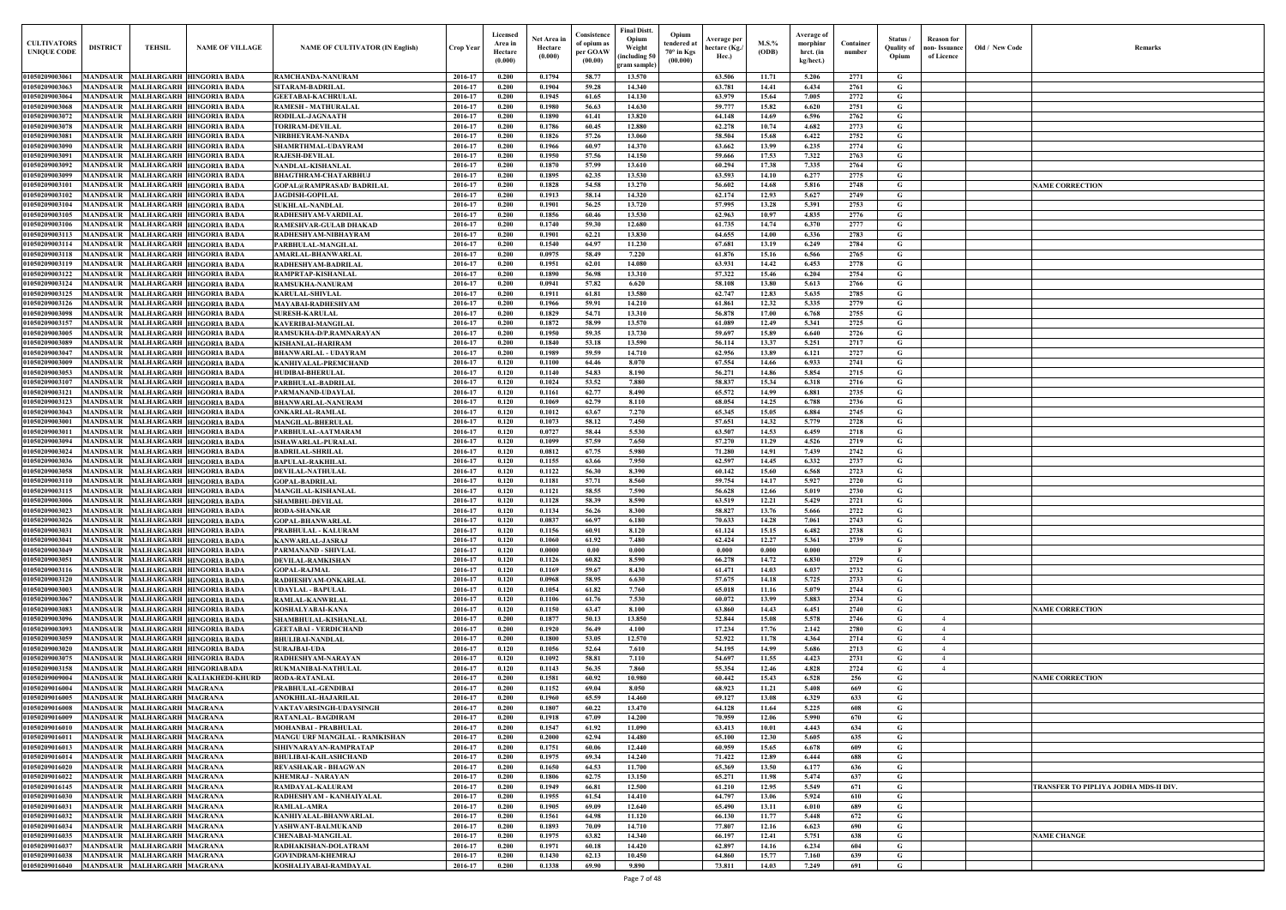| <b>CULTIVATORS</b><br><b>UNIQUE CODE</b> | <b>DISTRICT</b>                    | TEHSIL                                                        | <b>NAME OF VILLAGE</b>                                                 | <b>NAME OF CULTIVATOR (IN English)</b>                  | <b>Crop Year</b>   | Licensed<br>Area in<br>Hectare<br>(0.000) | Net Area in<br>Hectare<br>(0.000) | Consistence<br>of opium as<br>per GOAW<br>(00.00) | Final Distt.<br>Opium<br>Weight<br>including 50<br>gram sample | Opium<br>tendered at<br>$70^\circ$ in Kgs<br>(00.000) | <b>Average per</b><br>hectare (Kg.,<br>Hec.) | M.S.%<br>(ODB) | <b>Average of</b><br>morphinr<br>hrct. (in<br>kg/hect.) | Container<br>number | Status /<br><b>Quality of</b><br>Opium | <b>Reason</b> for<br>non-Issuance<br>of Licence | Old / New Code | Remarks                              |
|------------------------------------------|------------------------------------|---------------------------------------------------------------|------------------------------------------------------------------------|---------------------------------------------------------|--------------------|-------------------------------------------|-----------------------------------|---------------------------------------------------|----------------------------------------------------------------|-------------------------------------------------------|----------------------------------------------|----------------|---------------------------------------------------------|---------------------|----------------------------------------|-------------------------------------------------|----------------|--------------------------------------|
| 01050209003061                           |                                    |                                                               | MANDSAUR MALHARGARH HINGORIA BADA                                      | RAMCHANDA-NANURAM                                       | 2016-17            | 0.200                                     | 0.1794                            | 58.77                                             | 13.570                                                         |                                                       | 63.506                                       | 11.71          | 5.206                                                   | 2771                | G                                      |                                                 |                |                                      |
| 01050209003063                           |                                    | MANDSAUR MALHARGARH HINGORIA BADA                             |                                                                        | <b>SITARAM-BADRILAL</b>                                 | 2016-17            | 0.200                                     | 0.1904                            | 59.28                                             | 14.340                                                         |                                                       | 63.781                                       | 14.41          | 6.434                                                   | 2761                | G                                      |                                                 |                |                                      |
| 01050209003064<br>01050209003068         | <b>MANDSAUR</b>                    | MANDSAUR MALHARGARH HINGORIA BADA<br>MALHARGARH HINGORIA BADA |                                                                        | <b>GEETABAI-KACHRULAL</b><br><b>RAMESH - MATHURALAL</b> | 2016-17<br>2016-17 | 0.200<br>0.200                            | 0.1945<br>0.1980                  | 61.65<br>56.63                                    | 14.130<br>14.630                                               |                                                       | 63.979<br>59,777                             | 15.64<br>15.82 | 7.005<br>6.620                                          | 2772<br>2751        | G<br>G                                 |                                                 |                |                                      |
| 01050209003072                           | <b>MANDSAUR</b>                    | MALHARGARH HINGORIA BADA                                      |                                                                        | RODILAL-JAGNAATH                                        | 2016-17            | 0.200                                     | 0.1890                            | 61.41                                             | 13.820                                                         |                                                       | 64.148                                       | 14.69          | 6.596                                                   | 2762                | G                                      |                                                 |                |                                      |
| 01050209003078                           | <b>MANDSAUR</b>                    |                                                               | MALHARGARH HINGORIA BADA                                               | <b>TORIRAM-DEVILAL</b>                                  | 2016-17            | 0.200                                     | 0.1786                            | 60.45                                             | 12.880                                                         |                                                       | 62.278                                       | 10.74          | 4.682                                                   | 2773                | G                                      |                                                 |                |                                      |
| 01050209003081                           | <b>MANDSAUR</b>                    |                                                               | MALHARGARH HINGORIA BADA                                               | NIRBHEYRAM-NANDA                                        | 2016-17            | 0.200                                     | 0.1826                            | 57.26                                             | 13.060                                                         |                                                       | 58.504                                       | 15.68          | 6.422                                                   | 2752                | G                                      |                                                 |                |                                      |
| 01050209003090                           | <b>MANDSAUR</b>                    |                                                               | MALHARGARH HINGORIA BADA                                               | SHAMRTHMAL-UDAYRAM                                      | 2016-17            | 0.200                                     | 0.1966                            | 60.97                                             | 14.370                                                         |                                                       | 63.662                                       | 13.99          | 6.235                                                   | 2774                | G                                      |                                                 |                |                                      |
| 0105020900309                            | <b>MANDSAUR</b>                    |                                                               | MALHARGARH HINGORIA BADA                                               | <b>RAJESH-DEVILAL</b>                                   | 2016-17            | 0.200                                     | 0.1950                            | 57.56                                             | 14.150                                                         |                                                       | 59.666                                       | 17.53          | 7.322                                                   | 2763                | G                                      |                                                 |                |                                      |
| 01050209003092<br>01050209003099         | <b>MANDSAUR</b><br><b>MANDSAUR</b> |                                                               | <b>MALHARGARH HINGORIA BADA</b><br><b>MALHARGARH HINGORIA BADA</b>     | NANDLAL-KISHANLAL<br><b>BHAGTHRAM-CHATARBHUJ</b>        | 2016-17<br>2016-17 | 0.200<br>0.200                            | 0.1870<br>0.1895                  | 57.99<br>62.35                                    | 13.610<br>13.530                                               |                                                       | 60.294<br>63.593                             | 17.38<br>14.10 | 7.335<br>6.277                                          | 2764<br>2775        | G<br>G                                 |                                                 |                |                                      |
| 0105020900310                            | <b>MANDSAUR</b>                    |                                                               | <b>MALHARGARH HINGORIA BADA</b>                                        | GOPAL@RAMPRASAD/BADRILAL                                | 2016-17            | 0.200                                     | 0.1828                            | 54.58                                             | 13.270                                                         |                                                       | 56.602                                       | 14.68          | 5.816                                                   | 2748                | G                                      |                                                 |                | <b>NAME CORRECTION</b>               |
| 0105020900310                            | <b>MANDSAUR</b>                    |                                                               | <b>MALHARGARH HINGORIA BADA</b>                                        | <b>JAGDISH-GOPILAL</b>                                  | 2016-17            | 0.200                                     | 0.1913                            | 58.14                                             | 14.320                                                         |                                                       | 62.174                                       | 12.93          | 5.627                                                   | 2749                | G                                      |                                                 |                |                                      |
| 01050209003104                           | <b>MANDSAUR</b>                    | MALHARGARH HINGORIA BADA                                      |                                                                        | <b>SUKHLAL-NANDLAL</b>                                  | 2016-17            | 0.200                                     | 0.1901                            | 56.25                                             | 13.720                                                         |                                                       | 57.995                                       | 13.28          | 5.391                                                   | 2753                | G                                      |                                                 |                |                                      |
| 0105020900310                            | <b>MANDSAUR</b>                    |                                                               | <b>MALHARGARH HINGORIA BADA</b>                                        | RADHESHYAM-VARDILAI                                     | 2016-17            | 0.200                                     | 0.1856                            | 60.46                                             | 13.530                                                         |                                                       | 62.963                                       | 10.97          | 4.835                                                   | 2776                | G                                      |                                                 |                |                                      |
| 0105020900310<br>01050209003113          | <b>MANDSAUR</b><br><b>MANDSAUR</b> |                                                               | <b>MALHARGARH HINGORIA BADA</b><br><b>MALHARGARH HINGORIA BADA</b>     | RAMESHVAR-GULAB DHAKAD<br>RADHESHYAM-NIBHAYRAM          | 2016-17<br>2016-17 | 0.200<br>0.200                            | 0.1740<br>0.1901                  | 59.30<br>62.21                                    | 12.680<br>13.830                                               |                                                       | 61.735<br>64.655                             | 14.74<br>14.00 | 6.370<br>6.336                                          | 2777<br>2783        | G<br>G                                 |                                                 |                |                                      |
| 01050209003114                           |                                    | MANDSAUR MALHARGARH HINGORIA BADA                             |                                                                        | PARBHULAL-MANGILAL                                      | 2016-17            | 0.200                                     | 0.1540                            | 64.97                                             | 11.230                                                         |                                                       | 67.681                                       | 13.19          | 6.249                                                   | 2784                | G                                      |                                                 |                |                                      |
| 0105020900311                            |                                    | MANDSAUR MALHARGARH HINGORIA BADA                             |                                                                        | <b>AMARLAL-BHANWARLAI</b>                               | 2016-17            | 0.200                                     | 0.0975                            | 58.49                                             | 7.220                                                          |                                                       | 61.876                                       | 15.16          | 6.566                                                   | 2765                | G                                      |                                                 |                |                                      |
| 0105020900311                            |                                    | MANDSAUR MALHARGARH HINGORIA BADA                             |                                                                        | RADHESHYAM-BADRILAI                                     | 2016-17            | 0.200                                     | 0.1951                            | 62.01                                             | 14.080                                                         |                                                       | 63.931                                       | 14.42          | 6.453                                                   | 2778                | G                                      |                                                 |                |                                      |
| 01050209003122                           |                                    | MANDSAUR MALHARGARH HINGORIA BADA                             |                                                                        | RAMPRTAP-KISHANLAL                                      | 2016-17            | 0.200                                     | 0.1890                            | 56.98                                             | 13.310                                                         |                                                       | 57.322                                       | 15.46          | 6.204                                                   | 2754                | G                                      |                                                 |                |                                      |
| 01050209003124<br>01050209003125         |                                    | MANDSAUR MALHARGARH HINGORIA BADA                             | MANDSAUR MALHARGARH HINGORIA BADA                                      | <b>RAMSUKHA-NANURAM</b><br><b>KARULAL-SHIVLAL</b>       | 2016-17<br>2016-17 | 0.200<br>0.200                            | 0.0941<br>0.1911                  | 57.82<br>61.81                                    | 6.620<br>13.580                                                |                                                       | 58.108<br>62.747                             | 13.80<br>12.83 | 5.613<br>5.635                                          | 2766<br>2785        | G<br>G                                 |                                                 |                |                                      |
| 01050209003126                           |                                    | MANDSAUR MALHARGARH HINGORIA BADA                             |                                                                        | MAYABAI-RADHESHYAM                                      | 2016-17            | 0.200                                     | 0.1966                            | 59.91                                             | 14.210                                                         |                                                       | 61.861                                       | 12.32          | 5.335                                                   | 2779                | G                                      |                                                 |                |                                      |
| 01050209003098                           | <b>MANDSAUR</b>                    | MALHARGARH HINGORIA BADA                                      |                                                                        | <b>SURESH-KARULAL</b>                                   | 2016-17            | 0.200                                     | 0.1829                            | 54.71                                             | 13.310                                                         |                                                       | 56.878                                       | 17.00          | 6.768                                                   | 2755                | G                                      |                                                 |                |                                      |
| 01050209003157                           |                                    | MANDSAUR MALHARGARH HINGORIA BADA                             |                                                                        | KAVERIBAI-MANGILAL                                      | 2016-17            | 0.200                                     | 0.1872                            | 58.99                                             | 13.570                                                         |                                                       | 61.089                                       | 12.49          | 5.341                                                   | 2725                | G                                      |                                                 |                |                                      |
| 01050209003005                           | <b>MANDSAUR</b>                    |                                                               | <b>MALHARGARH HINGORIA BADA</b>                                        | RAMSUKHA-D/P.RAMNARAYAN                                 | 2016-17            | 0.200                                     | 0.1950                            | 59.35                                             | 13.730                                                         |                                                       | 59.697                                       | 15.89          | 6.640                                                   | 2726                | G                                      |                                                 |                |                                      |
| 01050209003089<br>01050209003047         | <b>MANDSAUR</b><br><b>MANDSAUR</b> | MALHARGARH HINGORIA BADA                                      | <b>MALHARGARH HINGORIA BADA</b>                                        | <b>KISHANLAL-HARIRAM</b><br><b>BHANWARLAL - UDAYRAM</b> | 2016-17<br>2016-17 | 0.200<br>0.200                            | 0.1840<br>0.1989                  | 53.18<br>59.59                                    | 13.590<br>14.710                                               |                                                       | 56.114<br>62.956                             | 13.37<br>13.89 | 5.251<br>6.121                                          | 2717<br>2727        | G<br>G                                 |                                                 |                |                                      |
| 01050209003009                           | <b>MANDSAUR</b>                    |                                                               | <b>MALHARGARH HINGORIA BADA</b>                                        | KANHIYALAL-PREMCHAND                                    | 2016-17            | 0.120                                     | 0.1100                            | 64.46                                             | 8.070                                                          |                                                       | 67.554                                       | 14.66          | 6.933                                                   | 2741                | G                                      |                                                 |                |                                      |
| 01050209003053                           | <b>MANDSAUR</b>                    |                                                               | MALHARGARH HINGORIA BADA                                               | <b>HUDIBAI-BHERULAL</b>                                 | 2016-17            | 0.120                                     | 0.1140                            | 54.83                                             | 8.190                                                          |                                                       | 56.271                                       | 14.86          | 5.854                                                   | 2715                | G                                      |                                                 |                |                                      |
| 01050209003107                           | <b>MANDSAUR</b>                    |                                                               | MALHARGARH HINGORIA BADA                                               | PARBHULAL-BADRILAL                                      | 2016-17            | 0.120                                     | 0.1024                            | 53.52                                             | 7.880                                                          |                                                       | 58.837                                       | 15.34          | 6.318                                                   | 2716                | G                                      |                                                 |                |                                      |
| 01050209003121                           | <b>MANDSAUR</b>                    |                                                               | <b>MALHARGARH HINGORIA BADA</b>                                        | PARMANAND-UDAYLAL                                       | 2016-17            | 0.120                                     | 0.1161                            | 62.77                                             | 8.490                                                          |                                                       | 65.572                                       | 14.99          | 6.881                                                   | 2735                | G                                      |                                                 |                |                                      |
| 01050209003123                           | <b>MANDSAUR</b>                    |                                                               | MALHARGARH HINGORIA BADA                                               | <b>BHANWARLAL-NANURAM</b>                               | 2016-17            | 0.120                                     | 0.1069                            | 62.79                                             | 8.110                                                          |                                                       | 68.054                                       | 14.25          | 6.788                                                   | 2736                | G                                      |                                                 |                |                                      |
| 01050209003043<br>0105020900300          | <b>MANDSAUR</b><br><b>MANDSAUR</b> |                                                               | <b>MALHARGARH HINGORIA BADA</b><br><b>MALHARGARH HINGORIA BADA</b>     | <b>ONKARLAL-RAMLAL</b><br><b>MANGILAL-BHERULAL</b>      | 2016-17<br>2016-17 | 0.120<br>0.120                            | 0.1012<br>0.1073                  | 63.67<br>58.12                                    | 7.270<br>7.450                                                 |                                                       | 65.345<br>57.651                             | 15.05<br>14.32 | 6.884<br>5.779                                          | 2745<br>2728        | G<br>G                                 |                                                 |                |                                      |
| 0105020900301                            | <b>MANDSAUR</b>                    |                                                               | <b>MALHARGARH HINGORIA BADA</b>                                        | PARBHULAL-AATMARAM                                      | 2016-17            | 0.120                                     | 0.0727                            | 58.44                                             | 5.530                                                          |                                                       | 63.507                                       | 14.53          | 6.459                                                   | 2718                | G                                      |                                                 |                |                                      |
| 01050209003094                           | <b>MANDSAUR</b>                    |                                                               | <b>MALHARGARH HINGORIA BADA</b>                                        | <b>ISHAWARLAL-PURALAL</b>                               | 2016-17            | 0.120                                     | 0.1099                            | 57.59                                             | 7.650                                                          |                                                       | 57.270                                       | 11.29          | 4.526                                                   | 2719                | G                                      |                                                 |                |                                      |
| 01050209003024                           | <b>MANDSAUR</b>                    |                                                               | <b>MALHARGARH HINGORIA BADA</b>                                        | <b>BADRILAL-SHRILAL</b>                                 | 2016-17            | 0.120                                     | 0.0812                            | 67.75                                             | 5.980                                                          |                                                       | 71.280                                       | 14.91          | 7.439                                                   | 2742                | G                                      |                                                 |                |                                      |
| 0105020900303                            | MANDSAUR                           |                                                               | <b>MALHARGARH HINGORIA BADA</b>                                        | <b>BAPULAL-RAKHILAI</b>                                 | 2016-17            | 0.120                                     | 0.1155                            | 63.66                                             | 7.950<br>8.390                                                 |                                                       | 62.597                                       | 14.45<br>15.60 | 6.332<br>6.568                                          | 2737                | G                                      |                                                 |                |                                      |
| 01050209003058<br>0105020900311          | <b>MANDSAUR</b><br><b>MANDSAUR</b> | <b>MALHARGARH HINGORIA BADA</b>                               | MALHARGARH HINGORIA BADA                                               | <b>DEVILAL-NATHULAL</b><br><b>GOPAL-BADRILAL</b>        | 2016-17<br>2016-17 | 0.120<br>0.120                            | 0.1122<br>0.1181                  | 56.30<br>57.71                                    | 8.560                                                          |                                                       | 60.142<br>59.754                             | 14.17          | 5.927                                                   | 2723<br>2720        | G<br>G                                 |                                                 |                |                                      |
| 01050209003115                           | <b>MANDSAUR</b>                    | MALHARGARH HINGORIA BADA                                      |                                                                        | MANGILAL-KISHANLAL                                      | 2016-17            | 0.120                                     | 0.1121                            | 58.55                                             | 7.590                                                          |                                                       | 56.628                                       | 12.66          | 5.019                                                   | 2730                | G                                      |                                                 |                |                                      |
| 01050209003006                           |                                    | MANDSAUR MALHARGARH HINGORIA BADA                             |                                                                        | <b>SHAMBHU-DEVILAI</b>                                  | 2016-17            | 0.120                                     | 0.1128                            | 58.39                                             | 8.590                                                          |                                                       | 63.519                                       | 12.21          | 5.429                                                   | 2721                | G                                      |                                                 |                |                                      |
| 01050209003023                           |                                    |                                                               | MANDSAUR MALHARGARH HINGORIA BADA                                      | <b>RODA-SHANKAR</b>                                     | 2016-17            | 0.120                                     | 0.1134                            | 56.26                                             | 8.300                                                          |                                                       | 58.827                                       | 13.76          | 5.666                                                   | 2722                |                                        |                                                 |                |                                      |
| 01050209003026                           |                                    |                                                               | MANDSAUR MALHARGARH HINGORIA BADA                                      | <b>GOPAL-BHANWARLAL</b>                                 | 2016-17            | 0.120                                     | 0.0837                            | 66.97                                             | 6.180                                                          |                                                       | 70.633                                       | 14.28          | 7.061                                                   | 2743                | G                                      |                                                 |                |                                      |
| 01050209003031<br>01050209003041         |                                    |                                                               | MANDSAUR MALHARGARH HINGORIA BADA<br>MANDSAUR MALHARGARH HINGORIA BADA | PRABHULAL - KALURAM<br>KANWARLAL-JASRAJ                 | 2016-17<br>2016-17 | 0.120<br>0.120                            | 0.1156<br>0.1060                  | 60.91<br>61.92                                    | 8.120<br>7.480                                                 |                                                       | 61.124<br>62.424                             | 15.15<br>12.27 | 6.482<br>5.361                                          | 2738<br>2739        | G<br>G                                 |                                                 |                |                                      |
| 01050209003049                           |                                    |                                                               | MANDSAUR MALHARGARH HINGORIA BADA                                      | PARMANAND - SHIVLAL                                     | 2016-17            | 0.120                                     | 0.0000                            | 0.00                                              | 0.000                                                          |                                                       | 0.000                                        | 0.000          | 0.000                                                   |                     | $\mathbf{F}$                           |                                                 |                |                                      |
| 01050209003051                           |                                    |                                                               | MANDSAUR MALHARGARH HINGORIA BADA                                      | DEVILAL-RAMKISHAN                                       | 2016-17            | 0.120                                     | 0.1126                            | 60.82                                             | 8.590                                                          |                                                       | 66.278                                       | 14.72          | 6.830                                                   | 2729                | G                                      |                                                 |                |                                      |
| 01050209003116                           |                                    |                                                               | MANDSAUR MALHARGARH HINGORIA BADA                                      | <b>GOPAL-RAJMAL</b>                                     | 2016-17            | 0.120                                     | 0.1169                            | 59.67                                             | 8.430                                                          |                                                       | 61.471                                       | 14.03          | 6.037                                                   | 2732                | G                                      |                                                 |                |                                      |
| 01050209003120                           | <b>MANDSAUR</b>                    |                                                               | MALHARGARH HINGORIA BADA                                               | RADHESHYAM-ONKARLAL                                     | 2016-17            | 0.120                                     | 0.0968                            | 58.95                                             | 6.630                                                          |                                                       | 57.675                                       | 14.18          | 5.725                                                   | 2733                | G                                      |                                                 |                |                                      |
| 01050209003003<br>01050209003067         | <b>MANDSAUR</b>                    |                                                               | MANDSAUR MALHARGARH HINGORIA BADA<br>MALHARGARH HINGORIA BADA          | <b>UDAYLAL - BAPULAL</b><br>RAMLAL-KANWRLAL             | 2016-17<br>2016-17 | 0.120<br>0.120                            | 0.1054<br>0.1106                  | 61.82<br>61.76                                    | 7.760<br>7.530                                                 |                                                       | 65.018<br>60.072                             | 11.16<br>13.99 | 5.079<br>5.883                                          | 2744<br>2734        | G<br>G                                 |                                                 |                |                                      |
| 01050209003083                           | <b>MANDSAUR</b>                    | MALHARGARH HINGORIA BADA                                      |                                                                        | KOSHALYABAI-KANA                                        | 2016-17            | 0.120                                     | 0.1150                            | 63.47                                             | 8.100                                                          |                                                       | 63.860                                       | 14.43          | 6.451                                                   | 2740                | G                                      |                                                 |                | <b>NAME CORRECTION</b>               |
| 01050209003096                           | <b>MANDSAUR</b>                    |                                                               | MALHARGARH HINGORIA BADA                                               | SHAMBHULAL-KISHANLAL                                    | 2016-17            | 0.200                                     | 0.1877                            | 50.13                                             | 13.850                                                         |                                                       | 52.844                                       | 15.08          | 5.578                                                   | 2746                | G                                      | $\overline{4}$                                  |                |                                      |
| 01050209003093                           | <b>MANDSAUR</b>                    |                                                               | MALHARGARH HINGORIA BADA                                               | <b>GEETABAI - VERDICHAND</b>                            | 2016-17            | 0.200                                     | 0.1920                            | 56.49                                             | 4.100                                                          |                                                       | 17.234                                       | 17.76          | 2.142                                                   | 2780                | G                                      | $\overline{4}$                                  |                |                                      |
| 01050209003059                           | <b>MANDSAUR</b>                    |                                                               | <b>MALHARGARH HINGORIA BADA</b>                                        | <b>BHULIBAI-NANDLAL</b>                                 | 2016-17            | 0.200                                     | 0.1800                            | 53.05                                             | 12.570                                                         |                                                       | 52.922                                       | 11.78          | 4.364                                                   | 2714                | G                                      | $\overline{4}$                                  |                |                                      |
| 01050209003020<br>01050209003075         | <b>MANDSAUR</b><br><b>MANDSAUR</b> |                                                               | MALHARGARH HINGORIA BADA<br><b>MALHARGARH HINGORIA BADA</b>            | <b>SURAJBAI-UDA</b><br>RADHESHYAM-NARAYAN               | 2016-17<br>2016-17 | 0.120<br>0.120                            | 0.1056<br>0.1092                  | 52.64<br>58.81                                    | 7.610<br>7.110                                                 |                                                       | 54.195<br>54.697                             | 14.99<br>11.55 | 5.686<br>4.423                                          | 2713<br>2731        | G<br>G                                 | $\overline{4}$<br>$\overline{4}$                |                |                                      |
| 0105020900315                            | <b>MANDSAUR</b>                    |                                                               | MALHARGARH HINGORIABADA                                                | <b>RUKMANIBAI-NATHULAL</b>                              | 2016-17            | 0.120                                     | 0.1143                            | 56.35                                             | 7.860                                                          |                                                       | 55.354                                       | 12.46          | 4.828                                                   | 2724                | G                                      | $\overline{4}$                                  |                |                                      |
| 0105020900900                            | <b>MANDSAUR</b>                    |                                                               | MALHARGARH KALIAKHEDI-KHURD                                            | <b>RODA-RATANLAL</b>                                    | 2016-17            | 0.200                                     | 0.1581                            | 60.92                                             | 10.980                                                         |                                                       | 60.442                                       | 15.43          | 6.528                                                   | 256                 | G                                      |                                                 |                | <b>NAME CORRECTION</b>               |
| 0105020901600                            | <b>MANDSAUR</b>                    | <b>MALHARGARH MAGRANA</b>                                     |                                                                        | PRABHULAL-GENDIBAI                                      | 2016-17            | 0.200                                     | 0.1152                            | 69.04                                             | 8.050                                                          |                                                       | 68.923                                       | 11.21          | 5.408                                                   | 669                 | G                                      |                                                 |                |                                      |
| 0105020901600                            |                                    | MANDSAUR MALHARGARH MAGRANA                                   |                                                                        | ANOKHILAL-HAJARILAL                                     | 2016-17            | 0.200                                     | 0.1960                            | 65.59                                             | 14.460                                                         |                                                       | 69.127                                       | 13.08          | 6.329                                                   | 633                 | G                                      |                                                 |                |                                      |
| 01050209016008<br>01050209016009         | <b>MANDSAUR</b>                    | <b>MALHARGARH MAGRANA</b><br>MANDSAUR MALHARGARH MAGRANA      |                                                                        | VAKTAVARSINGH-UDAYSINGH<br>RATANLAL-BAGDIRAM            | 2016-17<br>2016-17 | 0.200<br>0.200                            | 0.1807<br>0.1918                  | 60.22<br>67.09                                    | 13.470<br>14.200                                               |                                                       | 64.128<br>70.959                             | 11.64<br>12.06 | 5.225<br>5.990                                          | 608<br>670          | G<br>G                                 |                                                 |                |                                      |
| 0105020901601                            |                                    | MANDSAUR MALHARGARH MAGRANA                                   |                                                                        | <b>MOHANBAI - PRABHULAL</b>                             | 2016-17            | 0.200                                     | 0.1547                            | 61.92                                             | 11.090                                                         |                                                       | 63.413                                       | 10.01          | 4.443                                                   | 634                 | G                                      |                                                 |                |                                      |
| 01050209016011                           |                                    | MANDSAUR MALHARGARH MAGRANA                                   |                                                                        | MANGU URF MANGILAL - RAMKISHAN                          | 2016-17            | 0.200                                     | 0.2000                            | 62.94                                             | 14.480                                                         |                                                       | 65.100                                       | 12.30          | 5.605                                                   | 635                 | G                                      |                                                 |                |                                      |
| 01050209016013                           |                                    | MANDSAUR MALHARGARH MAGRANA                                   |                                                                        | SIHIVNARAYAN-RAMPRATAP                                  | 2016-17            | 0.200                                     | 0.1751                            | 60.06                                             | 12.440                                                         |                                                       | 60.959                                       | 15.65          | 6.678                                                   | 609                 | G                                      |                                                 |                |                                      |
| 01050209016014                           |                                    | MANDSAUR MALHARGARH MAGRANA                                   |                                                                        | <b>BHULIBAI-KAILASHCHAND</b>                            | 2016-17            | 0.200                                     | 0.1975                            | 69.34                                             | 14.240                                                         |                                                       | 71.422                                       | 12.89          | 6.444                                                   | 688                 | G                                      |                                                 |                |                                      |
| 01050209016020<br>01050209016022         |                                    | MANDSAUR MALHARGARH MAGRANA<br>MANDSAUR MALHARGARH MAGRANA    |                                                                        | REVASHAKAR - BHAGWAN<br><b>KHEMRAJ - NARAYAN</b>        | 2016-17<br>2016-17 | 0.200<br>0.200                            | 0.1650<br>0.1806                  | 64.53<br>62.75                                    | 11.700<br>13.150                                               |                                                       | 65.369<br>65.271                             | 13.50<br>11.98 | 6.177<br>5.474                                          | 636<br>637          | G<br>G                                 |                                                 |                |                                      |
| 01050209016145                           |                                    | MANDSAUR MALHARGARH MAGRANA                                   |                                                                        | RAMDAYAL-KALURAM                                        | 2016-17            | 0.200                                     | 0.1949                            | 66.81                                             | 12.500                                                         |                                                       | 61.210                                       | 12.95          | 5.549                                                   | 671                 | G                                      |                                                 |                | TRANSFER TO PIPLIYA JODHA MDS-II DIV |
| 01050209016030                           |                                    | MANDSAUR MALHARGARH MAGRANA                                   |                                                                        | RADHESHYAM - KANHAIYALAL                                | 2016-17            | 0.200                                     | 0.1955                            | 61.54                                             | 14.410                                                         |                                                       | 64.797                                       | 13.06          | 5.924                                                   | 610                 | G                                      |                                                 |                |                                      |
| 01050209016031                           |                                    | MANDSAUR MALHARGARH MAGRANA                                   |                                                                        | <b>RAMLAL-AMRA</b>                                      | 2016-17            | 0.200                                     | 0.1905                            | 69.09                                             | 12.640                                                         |                                                       | 65.490                                       | 13.11          | 6.010                                                   | 689                 | G                                      |                                                 |                |                                      |
| 01050209016032                           |                                    | MANDSAUR MALHARGARH MAGRANA                                   |                                                                        | KANHIYALAL-BHANWARLAL                                   | 2016-17            | 0.200                                     | 0.1561                            | 64.98                                             | 11.120                                                         |                                                       | 66.130                                       | 11.77          | 5.448                                                   | 672                 | G                                      |                                                 |                |                                      |
| 01050209016034<br>01050209016035         | <b>MANDSAUR</b><br><b>MANDSAUR</b> | <b>MALHARGARH MAGRANA</b><br><b>MALHARGARH MAGRANA</b>        |                                                                        | YASHWANT-BALMUKAND<br><b>CHENABAI-MANGILAL</b>          | 2016-17<br>2016-17 | 0.200<br>0.200                            | 0.1893<br>0.1975                  | 70.09<br>63.82                                    | 14.710<br>14.340                                               |                                                       | 77.807<br>66.197                             | 12.16<br>12.41 | 6.623<br>5.751                                          | 690<br>638          | G<br>G                                 |                                                 |                | <b>NAME CHANGE</b>                   |
| 01050209016037                           | <b>MANDSAUR</b>                    | MALHARGARH MAGRANA                                            |                                                                        | RADHAKISHAN-DOLATRAM                                    | 2016-17            | 0.200                                     | 0.1971                            | 60.18                                             | 14.420                                                         |                                                       | 62.897                                       | 14.16          | 6.234                                                   | 604                 | G                                      |                                                 |                |                                      |
| 01050209016038                           | <b>MANDSAUR</b>                    | <b>MALHARGARH MAGRANA</b>                                     |                                                                        | <b>GOVINDRAM-KHEMRAJ</b>                                | 2016-17            | 0.200                                     | 0.1430                            | 62.13                                             | 10.450                                                         |                                                       | 64.860                                       | 15.77          | 7.160                                                   | 639                 | G                                      |                                                 |                |                                      |
| 01050209016040                           |                                    | MANDSAUR MALHARGARH MAGRANA                                   |                                                                        | KOSHALIYABAI-RAMDAYAL                                   | 2016-17            | 0.200                                     | 0.1338                            | 69.90                                             | 9.890                                                          |                                                       | 73.811                                       | 14.03          | 7.249                                                   | 691                 | G                                      |                                                 |                |                                      |

| <b>NAME CORRECTION</b><br><b>NAME CORRECTION</b><br><b>NAME CORRECTION</b><br>TRANSFER TO PIPLIYA JODHA MDS-II DIV. | $\mathbf{Old} \, / \,$ New Code | Remarks |
|---------------------------------------------------------------------------------------------------------------------|---------------------------------|---------|
|                                                                                                                     |                                 |         |
|                                                                                                                     |                                 |         |
|                                                                                                                     |                                 |         |
|                                                                                                                     |                                 |         |
|                                                                                                                     |                                 |         |
|                                                                                                                     |                                 |         |
|                                                                                                                     |                                 |         |
|                                                                                                                     |                                 |         |
|                                                                                                                     |                                 |         |
|                                                                                                                     |                                 |         |
|                                                                                                                     |                                 |         |
|                                                                                                                     |                                 |         |
|                                                                                                                     |                                 |         |
|                                                                                                                     |                                 |         |
|                                                                                                                     |                                 |         |
|                                                                                                                     |                                 |         |
|                                                                                                                     |                                 |         |
|                                                                                                                     |                                 |         |
|                                                                                                                     |                                 |         |
|                                                                                                                     |                                 |         |
|                                                                                                                     |                                 |         |
|                                                                                                                     |                                 |         |
|                                                                                                                     |                                 |         |
|                                                                                                                     |                                 |         |
|                                                                                                                     |                                 |         |
|                                                                                                                     |                                 |         |
|                                                                                                                     |                                 |         |
|                                                                                                                     |                                 |         |
|                                                                                                                     |                                 |         |
|                                                                                                                     |                                 |         |
|                                                                                                                     |                                 |         |
|                                                                                                                     |                                 |         |
|                                                                                                                     |                                 |         |
|                                                                                                                     |                                 |         |
|                                                                                                                     |                                 |         |
|                                                                                                                     |                                 |         |
|                                                                                                                     |                                 |         |
|                                                                                                                     |                                 |         |
|                                                                                                                     |                                 |         |
|                                                                                                                     |                                 |         |
|                                                                                                                     |                                 |         |
|                                                                                                                     |                                 |         |
|                                                                                                                     |                                 |         |
|                                                                                                                     |                                 |         |
|                                                                                                                     |                                 |         |
|                                                                                                                     |                                 |         |
|                                                                                                                     |                                 |         |
|                                                                                                                     |                                 |         |
|                                                                                                                     |                                 |         |
| <b>NAME CHANGE</b>                                                                                                  |                                 |         |
|                                                                                                                     |                                 |         |
|                                                                                                                     |                                 |         |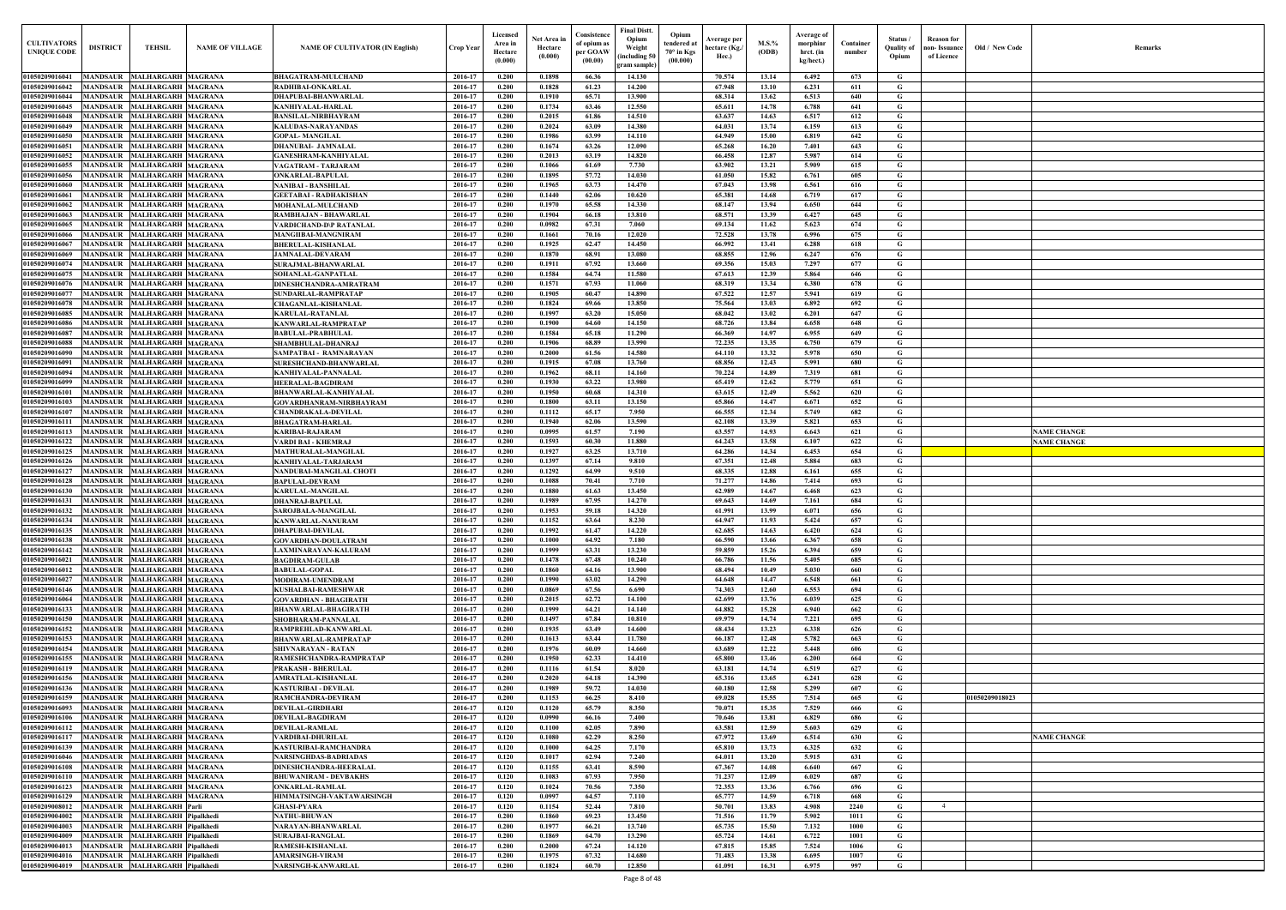| $\mathbf{Old} \, / \,$ New Code | Remarks                                  |
|---------------------------------|------------------------------------------|
|                                 |                                          |
|                                 |                                          |
|                                 |                                          |
|                                 |                                          |
|                                 |                                          |
|                                 |                                          |
|                                 |                                          |
|                                 |                                          |
|                                 |                                          |
|                                 |                                          |
|                                 |                                          |
|                                 |                                          |
|                                 |                                          |
|                                 |                                          |
|                                 |                                          |
|                                 |                                          |
|                                 |                                          |
|                                 |                                          |
|                                 |                                          |
|                                 |                                          |
|                                 |                                          |
|                                 |                                          |
|                                 | <b>NAME CHANGE</b><br><b>NAME CHANGE</b> |
|                                 |                                          |
|                                 |                                          |
|                                 |                                          |
|                                 |                                          |
|                                 |                                          |
|                                 |                                          |
|                                 |                                          |
|                                 |                                          |
|                                 |                                          |
|                                 |                                          |
|                                 |                                          |
|                                 |                                          |
|                                 |                                          |
|                                 |                                          |
|                                 |                                          |
| 01050209018023                  |                                          |
|                                 |                                          |
|                                 |                                          |
|                                 | <b>NAME CHANGE</b>                       |
|                                 |                                          |
|                                 |                                          |
|                                 |                                          |
|                                 |                                          |
|                                 |                                          |
|                                 |                                          |
|                                 |                                          |
|                                 |                                          |

| <b>CULTIVATORS</b><br><b>UNIQUE CODE</b>   | <b>DISTRICT</b>                    | TEHSIL                                                     | <b>NAME OF VILLAGE</b> | <b>NAME OF CULTIVATOR (IN English)</b>                        | <b>Crop Year</b>   | Licensed<br>Area in<br>Hectare<br>(0.000) | Net Area ir<br>Hectare<br>(0.000) | Consistence<br>of opium as<br>per GOAW<br>(00.00) | Final Distt.<br>Opium<br>Weight<br>including 50<br>gram sample | Opium<br>endered at<br>70° in Kgs<br>(00.000) | Average per<br>hectare (Kg./<br>Hec.) | M.S.%<br>(ODB) | Average of<br>morphinr<br>hrct. (in<br>kg/hect.) | Container<br>number | Status<br>Quality of<br>Opium | <b>Reason for</b><br>non- Issuance<br>of Licence | Old / New Code | <b>Remark</b>                            |
|--------------------------------------------|------------------------------------|------------------------------------------------------------|------------------------|---------------------------------------------------------------|--------------------|-------------------------------------------|-----------------------------------|---------------------------------------------------|----------------------------------------------------------------|-----------------------------------------------|---------------------------------------|----------------|--------------------------------------------------|---------------------|-------------------------------|--------------------------------------------------|----------------|------------------------------------------|
| 01050209016041                             |                                    | MANDSAUR MALHARGARH MAGRANA                                |                        | <b>BHAGATRAM-MULCHAND</b>                                     | 2016-17            | 0.200                                     | 0.1898                            | 66.36                                             | 14.130                                                         |                                               | 70.574                                | 13.14          | 6.492                                            | 673                 | G                             |                                                  |                |                                          |
| 01050209016042                             | <b>MANDSAUR</b>                    | <b>MALHARGARH MAGRANA</b>                                  |                        | RADHIBAI-ONKARLAI                                             | 2016-17            | 0.200                                     | 0.1828                            | 61.23                                             | 14.200                                                         |                                               | 67.948                                | 13.10          | 6.231                                            | 611                 | G                             |                                                  |                |                                          |
| 01050209016044                             | <b>MANDSAUR</b>                    | <b>MALHARGARH MAGRANA</b>                                  |                        | DHAPUBAI-BHANWARLAL                                           | 2016-17            | 0.200                                     | 0.1910                            | 65.71                                             | 13.900                                                         |                                               | 68.314                                | 13.62          | 6.513                                            | 640                 | G                             |                                                  |                |                                          |
| 01050209016045<br>01050209016048           | <b>MANDSAUR</b><br><b>MANDSAUR</b> | <b>MALHARGARH MAGRANA</b><br><b>MALHARGARH MAGRANA</b>     |                        | KANHIYALAL-HARLAL<br>BANSILAL-NIRBHAYRAM                      | 2016-17<br>2016-17 | 0.200<br>0.200                            | 0.1734<br>0.2015                  | 63.46<br>61.86                                    | 12.550<br>14.510                                               |                                               | 65.611<br>63.637                      | 14.78<br>14.63 | 6.788<br>6.517                                   | 641<br>612          | $\mathbf G$<br>G              |                                                  |                |                                          |
| 01050209016049                             | MANDSAUR                           | <b>MALHARGARH MAGRANA</b>                                  |                        | KALUDAS-NARAYANDAS                                            | 2016-17            | 0.200                                     | 0.2024                            | 63.09                                             | 14.380                                                         |                                               | 64.031                                | 13.74          | 6.159                                            | 613                 | $\mathbf G$                   |                                                  |                |                                          |
| <b>01050209016050</b>                      | MANDSAUR                           | <b>MALHARGARH MAGRANA</b>                                  |                        | <b>GOPAL-MANGILAL</b>                                         | 2016-17            | 0.200                                     | 0.1986                            | 63.99                                             | 14.110                                                         |                                               | 64.949                                | 15.00          | 6.819                                            | 642                 | G                             |                                                  |                |                                          |
| 01050209016051                             | <b>MANDSAUR</b>                    | <b>MALHARGARH MAGRANA</b>                                  |                        | <b>DHANUBAI- JAMNALAL</b>                                     | 2016-17            | 0.200                                     | 0.1674                            | 63.26                                             | 12.090                                                         |                                               | 65.268                                | 16.20          | 7.401                                            | 643                 | G                             |                                                  |                |                                          |
| 01050209016052                             | MANDSAUR                           | <b>MALHARGARH MAGRANA</b>                                  |                        | GANESHRAM-KANHIYALAL                                          | 2016-17            | 0.200                                     | 0.2013                            | 63.19                                             | 14.820                                                         |                                               | 66.458                                | 12.87          | 5.987                                            | 614                 | G                             |                                                  |                |                                          |
| 01050209016055                             | <b>MANDSAUR</b><br>MANDSAUF        | <b>MALHARGARH MAGRANA</b>                                  |                        | VAGATRAM - TARJARAM                                           | 2016-17<br>2016-17 | 0.200<br>0.200                            | 0.1066<br>0.1895                  | 61.69<br>57.72                                    | 7.730<br>14.030                                                |                                               | 63.902<br>61.050                      | 13.21<br>15.82 | 5.909<br>6.761                                   | 615<br>605          | G<br>G                        |                                                  |                |                                          |
| 01050209016056<br>0105020901606            | <b>MANDSAUR</b>                    | <b>MALHARGARH MAGRANA</b><br><b>MALHARGARH MAGRANA</b>     |                        | ONKARLAL-BAPULAL<br>NANIBAI - BANSHILAL                       | 2016-17            | 0.200                                     | 0.1965                            | 63.73                                             | 14.470                                                         |                                               | 67.043                                | 13.98          | 6.561                                            | 616                 | G                             |                                                  |                |                                          |
| 0105020901606                              | MANDSAUI                           | <b>MALHARGARH MAGRANA</b>                                  |                        | GEETABAI - RADHAKISHAN                                        | 2016-17            | 0.200                                     | 0.1440                            | 62.06                                             | 10.620                                                         |                                               | 65.381                                | 14.68          | 6.719                                            | 617                 | G                             |                                                  |                |                                          |
| 0105020901606                              | <b>MANDSAUR</b>                    | <b>MALHARGARH MAGRANA</b>                                  |                        | <b>MOHANLAL-MULCHAND</b>                                      | 2016-17            | 0.200                                     | 0.1970                            | 65.58                                             | 14.330                                                         |                                               | 68.147                                | 13.94          | 6.650                                            | 644                 | $\mathbf G$                   |                                                  |                |                                          |
| 0105020901606                              | MANDSAUI                           | <b>MALHARGARH MAGRANA</b>                                  |                        | RAMBHAJAN - BHAWARLAI                                         | 2016-17            | 0.200                                     | 0.1904                            | 66.18                                             | 13.810                                                         |                                               | 68.571                                | 13.39          | 6.427                                            | 645                 | G                             |                                                  |                |                                          |
| 105020901606                               | MANDSAUI                           | <b>MALHARGARH MAGRANA</b>                                  |                        | ARDICHAND-D\P RATANLAL                                        | 2016-17            | 0.200                                     | 0.0982                            | 67.31                                             | 7.060                                                          |                                               | 69.134                                | 11.62          | 5.623                                            | 674                 | G                             |                                                  |                |                                          |
| 0105020901606<br>0105020901606             | MANDSAUI<br>MANDSAUR               | <b>MALHARGARH MAGRANA</b><br><b>MALHARGARH MAGRANA</b>     |                        | MANGIIBAI-MANGNIRAM<br><b>BHERULAL-KISHANLAL</b>              | 2016-17<br>2016-17 | 0.200<br>0.200                            | 0.1661<br>0.1925                  | 70.16<br>62.47                                    | 12.020<br>14.450                                               |                                               | 72.528<br>66.992                      | 13.78<br>13.41 | 6.996<br>6.288                                   | 675<br>618          | G<br>G                        |                                                  |                |                                          |
| 01050209016069                             | <b>MANDSAUR</b>                    | <b>MALHARGARH MAGRANA</b>                                  |                        | <b>JAMNALAL-DEVARAM</b>                                       | 2016-17            | 0.200                                     | 0.1870                            | 68.91                                             | 13.080                                                         |                                               | 68.855                                | 12.96          | 6.247                                            | 676                 | G                             |                                                  |                |                                          |
| 01050209016074                             |                                    | MANDSAUR MALHARGARH MAGRANA                                |                        | SURAJMAL-BHANWARLAL                                           | 2016-17            | 0.200                                     | 0.1911                            | 67.92                                             | 13.660                                                         |                                               | 69.356                                | 15.03          | 7.297                                            | 677                 | G                             |                                                  |                |                                          |
| 01050209016075                             | <b>MANDSAUR</b>                    | <b>MALHARGARH MAGRANA</b>                                  |                        | SOHANLAL-GANPATLAL                                            | 2016-17            | 0.200                                     | 0.1584                            | 64.74                                             | 11.580                                                         |                                               | 67.613                                | 12.39          | 5.864                                            | 646                 | G                             |                                                  |                |                                          |
| 01050209016076                             |                                    | MANDSAUR MALHARGARH MAGRANA                                |                        | DINESHCHANDRA-AMRATRAM                                        | 2016-17            | 0.200                                     | 0.1571                            | 67.93                                             | 11.060                                                         |                                               | 68.319                                | 13.34          | 6.380                                            | 678                 | $\mathbf G$                   |                                                  |                |                                          |
| 01050209016077                             |                                    | MANDSAUR MALHARGARH MAGRANA                                |                        | SUNDARLAL-RAMPRATAP                                           | 2016-17            | 0.200<br>0.200                            | 0.1905                            | 60.47                                             | 14.890                                                         |                                               | 67.522<br>75.564                      | 12.57          | 5.941                                            | 619<br>692          | G<br>$\mathbf G$              |                                                  |                |                                          |
| 01050209016078<br>01050209016085           | <b>MANDSAUR</b>                    | MANDSAUR MALHARGARH MAGRANA<br><b>MALHARGARH MAGRANA</b>   |                        | <b>CHAGANLAL-KISHANLAL</b><br><b>KARULAL-RATANLAL</b>         | 2016-17<br>2016-17 | 0.200                                     | 0.1824<br>0.1997                  | 69.66<br>63.20                                    | 13.850<br>15.050                                               |                                               | 68.042                                | 13.03<br>13.02 | 6.892<br>6.201                                   | 647                 | G                             |                                                  |                |                                          |
| 01050209016086                             | <b>MANDSAUR</b>                    | <b>MALHARGARH MAGRANA</b>                                  |                        | KANWARLAL-RAMPRATAP                                           | 2016-17            | 0.200                                     | 0.1900                            | 64.60                                             | 14.150                                                         |                                               | 68.726                                | 13.84          | 6.658                                            | 648                 | G                             |                                                  |                |                                          |
| 01050209016087                             | <b>MANDSAUR</b>                    | <b>MALHARGARH MAGRANA</b>                                  |                        | BABULAL-PRABHULAL                                             | 2016-17            | 0.200                                     | 0.1584                            | 65.18                                             | 11.290                                                         |                                               | 66.369                                | 14.97          | 6.955                                            | 649                 | G                             |                                                  |                |                                          |
| 01050209016088                             | <b>MANDSAUR</b>                    | <b>MALHARGARH MAGRANA</b>                                  |                        | SHAMBHULAL-DHANRAJ                                            | 2016-17            | 0.200                                     | 0.1906                            | 68.89                                             | 13.990                                                         |                                               | 72.235                                | 13.35          | 6.750                                            | 679                 | G                             |                                                  |                |                                          |
| 0105020901609                              | <b>MANDSAUR</b>                    | <b>MALHARGARH MAGRANA</b>                                  |                        | SAMPATBAI - RAMNARAYAN                                        | 2016-17            | 0.200                                     | 0.2000                            | 61.56                                             | 14.580                                                         |                                               | 64.110                                | 13.32          | 5.978                                            | 650                 | G                             |                                                  |                |                                          |
| 01050209016091<br>01050209016094           | MANDSAUR<br><b>MANDSAUR</b>        | <b>MALHARGARH MAGRANA</b><br><b>MALHARGARH MAGRANA</b>     |                        | SURESHCHAND-BHANWARLAL<br>KANHIYALAL-PANNALAI                 | 2016-17<br>2016-17 | 0.200<br>0.200                            | 0.1915<br>0.1962                  | 67.08<br>68.11                                    | 13.760<br>14.160                                               |                                               | 68.856<br>70.224                      | 12.43<br>14.89 | 5.991<br>7.319                                   | 680<br>681          | G<br>G                        |                                                  |                |                                          |
| 01050209016099                             | MANDSAUR                           | <b>MALHARGARH MAGRANA</b>                                  |                        | HEERALAL-BAGDIRAM                                             | 2016-17            | 0.200                                     | 0.1930                            | 63.22                                             | 13.980                                                         |                                               | 65.419                                | 12.62          | 5.779                                            | 651                 | G                             |                                                  |                |                                          |
| 01050209016101                             | MANDSAUR                           | <b>MALHARGARH MAGRANA</b>                                  |                        | BHANWARLAL-KANHIYALAL                                         | 2016-17            | 0.200                                     | 0.1950                            | 60.68                                             | 14.310                                                         |                                               | 63.615                                | 12.49          | 5.562                                            | 620                 | G                             |                                                  |                |                                          |
| <b>0105020901610</b>                       | <b>MANDSAUI</b>                    | <b>MALHARGARH MAGRANA</b>                                  |                        | GOVARDHANRAM-NIRBHAYRAM                                       | 2016-17            | 0.200                                     | 0.1800                            | 63.11                                             | 13.150                                                         |                                               | 65.866                                | 14.47          | 6.671                                            | 652                 | G                             |                                                  |                |                                          |
| 01050209016107                             | <b>MANDSAUR</b>                    | <b>MALHARGARH MAGRANA</b>                                  |                        | <b>CHANDRAKALA-DEVILAL</b>                                    | 2016-17            | 0.200                                     | 0.1112                            | 65.17                                             | 7.950                                                          |                                               | 66.555                                | 12.34          | 5.749                                            | 682                 | G                             |                                                  |                |                                          |
| 0105020901611                              | <b>MANDSAUR</b>                    | <b>MALHARGARH MAGRANA</b>                                  |                        | <b>BHAGATRAM-HARLAL</b>                                       | 2016-17            | 0.200                                     | 0.1940                            | 62.06                                             | 13.590                                                         |                                               | 62.108                                | 13.39          | 5.821                                            | 653                 | G                             |                                                  |                |                                          |
| 0105020901611.<br>01050209016122           | MANDSAUR<br>MANDSAUR               | <b>MALHARGARH MAGRANA</b><br><b>MALHARGARH MAGRANA</b>     |                        | KARIBAI-RAJARAM<br>VARDI BAI - KHEMRAJ                        | 2016-17<br>2016-17 | 0.200<br>0.200                            | 0.0995<br>0.1593                  | 61.57<br>60.30                                    | 7.190<br>11.880                                                |                                               | 63.557<br>64.243                      | 14.93<br>13.58 | 6.643<br>6.107                                   | 621<br>622          | G<br>G                        |                                                  |                | <b>NAME CHANGE</b><br><b>NAME CHANGE</b> |
| 91050209016125                             | <b>MANDSAUR</b>                    | <b>MALHARGARH MAGRANA</b>                                  |                        | MATHURALAL-MANGILAL                                           | 2016-17            | 0.200                                     | 0.1927                            | 63.25                                             | 13.710                                                         |                                               | 64.286                                | 14.34          | 6.453                                            | 654                 | G                             |                                                  |                |                                          |
| 0105020901612                              | <b>MANDSAU</b>                     | <b>MALHARGARH MAGRANA</b>                                  |                        | KANHIYALAL-TARJARAM                                           | 2016-17            | 0.200                                     | 0.1397                            | 67.14                                             | 9.810                                                          |                                               | 67.351                                | 12.48          | 5.884                                            | 683                 | G                             |                                                  |                |                                          |
| 0105020901612                              | <b>MANDSAUR</b>                    | <b>MALHARGARH MAGRANA</b>                                  |                        | NANDUBAI-MANGILAL CHOTI                                       | 2016-17            | 0.200                                     | 0.1292                            | 64.99                                             | 9.510                                                          |                                               | 68.335                                | 12.88          | 6.161                                            | 655                 | G                             |                                                  |                |                                          |
| 01050209016128                             | <b>MANDSAUI</b>                    | <b>MALHARGARH MAGRANA</b>                                  |                        | <b>BAPULAL-DEVRAM</b>                                         | 2016-17            | 0.200                                     | 0.1088                            | 70.41                                             | 7.710                                                          |                                               | 71.277                                | 14.86          | 7.414                                            | 693                 | G                             |                                                  |                |                                          |
| 01050209016130<br>01050209016131           | <b>MANDSAUR</b>                    | <b>MALHARGARH MAGRANA</b><br>MANDSAUR MALHARGARH MAGRANA   |                        | KARULAL-MANGILAL                                              | 2016-17<br>2016-17 | 0.200<br>0.200                            | 0.1880<br>0.1989                  | 61.63<br>67.95                                    | 13.450<br>14.270                                               |                                               | 62.989<br>69.643                      | 14.67<br>14.69 | 6.468<br>7.161                                   | 623<br>684          | G<br>G                        |                                                  |                |                                          |
| 01050209016132 MANDSAUR MALHARGARH MAGRANA |                                    |                                                            |                        | DHANRAJ-BAPULAI<br>SAROJBALA-MANGILAL                         | 2016-17            | 0.200                                     | 0.1953                            | 59.18                                             | 14.320                                                         |                                               | 61.991                                | 13.99          | 6.071                                            | 656                 | G                             |                                                  |                |                                          |
| 01050209016134                             |                                    | MANDSAUR MALHARGARH MAGRANA                                |                        | KANWARLAL-NANURAM                                             | 2016-17            | 0.200                                     | 0.1152                            | 63.64                                             | 8.230                                                          |                                               | 64.947                                | 11.93          | 5.424                                            | 657                 | G                             |                                                  |                |                                          |
| 01050209016135                             |                                    | MANDSAUR MALHARGARH MAGRANA                                |                        | <b>DHAPUBAI-DEVILAL</b>                                       | 2016-17            | 0.200                                     | 0.1992                            | 61.47                                             | 14.220                                                         |                                               | 62.685                                | 14.63          | 6.420                                            | 624                 | G                             |                                                  |                |                                          |
| 01050209016138                             |                                    | MANDSAUR MALHARGARH MAGRANA                                |                        | GOVARDHAN-DOULATRAM                                           | 2016-17            | 0.200                                     | 0.1000                            | 64.92                                             | 7.180                                                          |                                               | 66.590                                | 13.66          | 6.367                                            | 658                 | G                             |                                                  |                |                                          |
| 01050209016142                             |                                    | MANDSAUR MALHARGARH MAGRANA                                |                        | LAXMINARAYAN-KALURAM                                          | 2016-17            | 0.200                                     | 0.1999                            | 63.31                                             | 13.230                                                         |                                               | 59.859                                | 15.26          | 6.394                                            | 659                 | G                             |                                                  |                |                                          |
| 01050209016021<br>01050209016012           |                                    | MANDSAUR MALHARGARH MAGRANA<br>MANDSAUR MALHARGARH MAGRANA |                        | <b>BAGDIRAM-GULAB</b><br><b>BABULAL-GOPAL</b>                 | 2016-17<br>2016-17 | 0.200<br>0.200                            | 0.1478<br>0.1860                  | 67.48<br>64.16                                    | 10.240<br>13.900                                               |                                               | 66.786<br>68.494                      | 11.56<br>10.49 | 5.405<br>5.030                                   | 685<br>660          | G<br>G                        |                                                  |                |                                          |
| 01050209016027                             | <b>MANDSAUR</b>                    | <b>MALHARGARH MAGRANA</b>                                  |                        | MODIRAM-UMENDRAM                                              | 2016-17            | 0.200                                     | 0.1990                            | 63.02                                             | 14.290                                                         |                                               | 64.648                                | 14.47          | 6.548                                            | 661                 | G                             |                                                  |                |                                          |
| 01050209016146                             | <b>MANDSAUR</b>                    | <b>MALHARGARH MAGRANA</b>                                  |                        | KUSHALBAI-RAMESHWAR                                           | 2016-17            | 0.200                                     | 0.0869                            | 67.56                                             | 6.690                                                          |                                               | 74.303                                | 12.60          | 6.553                                            | 694                 | G                             |                                                  |                |                                          |
| 01050209016064                             | <b>MANDSAUR</b>                    | MALHARGARH MAGRANA                                         |                        | <b>GOVARDHAN - BHAGIRATH</b>                                  | 2016-17            | 0.200                                     | 0.2015                            | 62.72                                             | 14.100                                                         |                                               | 62.699                                | 13.76          | 6.039                                            | 625                 | G                             |                                                  |                |                                          |
| 01050209016133                             | <b>MANDSAUR</b>                    | <b>MALHARGARH MAGRANA</b>                                  |                        | <b>BHANWARLAL-BHAGIRATH</b>                                   | 2016-17            | 0.200                                     | 0.1999                            | 64.21                                             | 14.140                                                         |                                               | 64.882                                | 15.28          | 6.940                                            | 662                 | G                             |                                                  |                |                                          |
| 01050209016150                             | <b>MANDSAUR</b>                    | <b>MALHARGARH MAGRANA</b>                                  |                        | SHOBHARAM-PANNALAL                                            | 2016-17            | 0.200                                     | 0.1497                            | 67.84                                             | 10.810                                                         |                                               | 69.979                                | 14.74          | 7.221                                            | 695                 | G                             |                                                  |                |                                          |
| 01050209016152<br>01050209016153           | <b>MANDSAUR</b><br><b>MANDSAUR</b> | <b>MALHARGARH MAGRANA</b><br>MALHARGARH MAGRANA            |                        | RAMPREHLAD-KANWARLAL<br><b>BHANWARLAL-RAMPRATAP</b>           | 2016-17<br>2016-17 | 0.200<br>0.200                            | 0.1935<br>0.1613                  | 63.49<br>63.44                                    | 14.600<br>11.780                                               |                                               | 68.434<br>66.187                      | 13.23<br>12.48 | 6.338<br>5.782                                   | 626<br>663          | G<br>G                        |                                                  |                |                                          |
| 01050209016154                             | <b>MANDSAUR</b>                    | <b>MALHARGARH MAGRANA</b>                                  |                        | SHIVNARAYAN - RATAN                                           | 2016-17            | 0.200                                     | 0.1976                            | 60.09                                             | 14.660                                                         |                                               | 63.689                                | 12.22          | 5.448                                            | 606                 | G                             |                                                  |                |                                          |
| 01050209016155                             | <b>MANDSAUR</b>                    | <b>MALHARGARH MAGRANA</b>                                  |                        | RAMESHCHANDRA-RAMPRATAP                                       | 2016-17            | 0.200                                     | 0.1950                            | 62.33                                             | 14.410                                                         |                                               | 65.800                                | 13.46          | 6.200                                            | 664                 | G                             |                                                  |                |                                          |
| 01050209016119                             | <b>MANDSAUR</b>                    | <b>MALHARGARH MAGRANA</b>                                  |                        | PRAKASH - BHERULAL                                            | 2016-17            | 0.200                                     | 0.1116                            | 61.54                                             | 8.020                                                          |                                               | 63.181                                | 14.74          | 6.519                                            | 627                 | G                             |                                                  |                |                                          |
| 01050209016156                             | <b>MANDSAUR</b>                    | <b>MALHARGARH MAGRANA</b>                                  |                        | AMRATLAL-KISHANLAL                                            | 2016-17            | 0.200                                     | 0.2020                            | 64.18                                             | 14.390                                                         |                                               | 65.316                                | 13.65          | 6.241                                            | 628                 | G                             |                                                  |                |                                          |
| 01050209016136                             | <b>MANDSAUR</b><br><b>MANDSAUR</b> | MALHARGARH MAGRANA                                         |                        | KASTURIBAI - DEVILAL                                          | 2016-17            | 0.200<br>0.200                            | 0.1989<br>0.1153                  | 59.72<br>66.25                                    | 14.030                                                         |                                               | 60.180                                | 12.58<br>15.55 | 5.299<br>7.514                                   | 607<br>665          | G                             |                                                  | 01050209018023 |                                          |
| 01050209016159<br><b>01050209016093</b>    | <b>MANDSAUR</b>                    | <b>MALHARGARH MAGRANA</b><br>MALHARGARH MAGRANA            |                        | RAMCHANDRA-DEVIRAM<br>DEVILAL-GIRDHARI                        | 2016-17<br>2016-17 | 0.120                                     | 0.1120                            | 65.79                                             | 8.410<br>8.350                                                 |                                               | 69.028<br>70.071                      | 15.35          | 7.529                                            | 666                 | G<br>G                        |                                                  |                |                                          |
| 01050209016106                             | <b>MANDSAUR</b>                    | <b>MALHARGARH MAGRANA</b>                                  |                        | DEVILAL-BAGDIRAM                                              | 2016-17            | 0.120                                     | 0.0990                            | 66.16                                             | 7.400                                                          |                                               | 70.646                                | 13.81          | 6.829                                            | 686                 | G                             |                                                  |                |                                          |
| 01050209016112                             |                                    | MANDSAUR MALHARGARH MAGRANA                                |                        | DEVILAL-RAMLAL                                                | 2016-17            | 0.120                                     | 0.1100                            | 62.05                                             | 7.890                                                          |                                               | 63.581                                | 12.59          | 5.603                                            | 629                 | G                             |                                                  |                |                                          |
| 01050209016117                             |                                    | MANDSAUR MALHARGARH MAGRANA                                |                        | VARDIBAI-DHURILAL                                             | 2016-17            | 0.120                                     | 0.1080                            | 62.29                                             | 8.250                                                          |                                               | 67.972                                | 13.69          | 6.514                                            | 630                 | G                             |                                                  |                | <b>NAME CHANGE</b>                       |
| 01050209016139                             |                                    | MANDSAUR MALHARGARH MAGRANA                                |                        | KASTURIBAI-RAMCHANDRA                                         | 2016-17            | 0.120                                     | 0.1000                            | 64.25                                             | 7.170                                                          |                                               | 65.810                                | 13.73          | 6.325                                            | 632                 | G                             |                                                  |                |                                          |
| 01050209016046<br>01050209016108           |                                    | MANDSAUR MALHARGARH MAGRANA<br>MANDSAUR MALHARGARH MAGRANA |                        | <b>NARSINGHDAS-BADRIADAS</b><br><b>DINESHCHANDRA-HEERALAL</b> | 2016-17<br>2016-17 | 0.120<br>0.120                            | 0.1017<br>0.1155                  | 62.94<br>63.41                                    | 7.240<br>8.590                                                 |                                               | 64.011<br>67.367                      | 13.20<br>14.08 | 5.915<br>6.640                                   | 631<br>667          | G<br>G                        |                                                  |                |                                          |
| 01050209016110                             |                                    | MANDSAUR MALHARGARH MAGRANA                                |                        | <b>BHUWANIRAM - DEVBAKHS</b>                                  | 2016-17            | 0.120                                     | 0.1083                            | 67.93                                             | 7.950                                                          |                                               | 71.237                                | 12.09          | 6.029                                            | 687                 | G                             |                                                  |                |                                          |
| 01050209016123                             |                                    | MANDSAUR MALHARGARH MAGRANA                                |                        | <b>ONKARLAL-RAMLAL</b>                                        | 2016-17            | 0.120                                     | 0.1024                            | 70.56                                             | 7.350                                                          |                                               | 72.353                                | 13.36          | 6.766                                            | 696                 | G                             |                                                  |                |                                          |
| 01050209016129                             |                                    | MANDSAUR MALHARGARH MAGRANA                                |                        | HIMMATSINGH-VAKTAWARSINGH                                     | 2016-17            | 0.120                                     | 0.0997                            | 64.57                                             | 7.110                                                          |                                               | 65,777                                | 14.59          | 6.718                                            | 668                 | G                             |                                                  |                |                                          |
| 01050209008012                             |                                    | MANDSAUR MALHARGARH Parli                                  |                        | <b>GHASI-PYARA</b>                                            | 2016-17            | 0.120                                     | 0.1154                            | 52.44                                             | 7.810                                                          |                                               | 50.701                                | 13.83          | 4.908                                            | 2240                | G                             | $\overline{4}$                                   |                |                                          |
| 01050209004002                             |                                    | MANDSAUR MALHARGARH Pipalkhedi                             |                        | <b>NATHU-BHUWAN</b>                                           | 2016-17            | 0.200                                     | 0.1860                            | 69.23                                             | 13.450                                                         |                                               | 71.516                                | 11.79          | 5.902                                            | 1011                | G                             |                                                  |                |                                          |
| 01050209004003<br>01050209004009           | <b>MANDSAUR</b><br><b>MANDSAUR</b> | MALHARGARH Pipalkhedi<br>MALHARGARH Pipalkhedi             |                        | NARAYAN-BHANWARLAL<br><b>SURAJBAI-RANGLAL</b>                 | 2016-17<br>2016-17 | 0.200<br>0.200                            | 0.1977<br>0.1869                  | 66.21<br>64.70                                    | 13.740<br>13.290                                               |                                               | 65.735<br>65.724                      | 15.50<br>14.61 | 7.132<br>6.722                                   | 1000<br>1001        | G<br>G                        |                                                  |                |                                          |
| 01050209004013                             | <b>MANDSAUR</b>                    | <b>MALHARGARH Pipalkhedi</b>                               |                        | RAMESH-KISHANLAL                                              | 2016-17            | 0.200                                     | 0.2000                            | 67,24                                             | 14.120                                                         |                                               | 67.815                                | 15.85          | 7.524                                            | 1006                | $\mathbf G$                   |                                                  |                |                                          |
| 01050209004016                             |                                    | MANDSAUR MALHARGARH Pipalkhedi                             |                        | <b>AMARSINGH-VIRAM</b>                                        | 2016-17            | 0.200                                     | 0.1975                            | 67.32                                             | 14.680                                                         |                                               | 71.483                                | 13.38          | 6.695                                            | 1007                | G                             |                                                  |                |                                          |
| 01050209004019                             |                                    | MANDSAUR MALHARGARH Pipalkhedi                             |                        | NARSINGH-KANWARLAL                                            | 2016-17            | 0.200                                     | 0.1824                            | 60.70                                             | 12.850                                                         |                                               | 61.091                                | 16.31          | 6.975                                            | 997                 | $\mathbf G$                   |                                                  |                |                                          |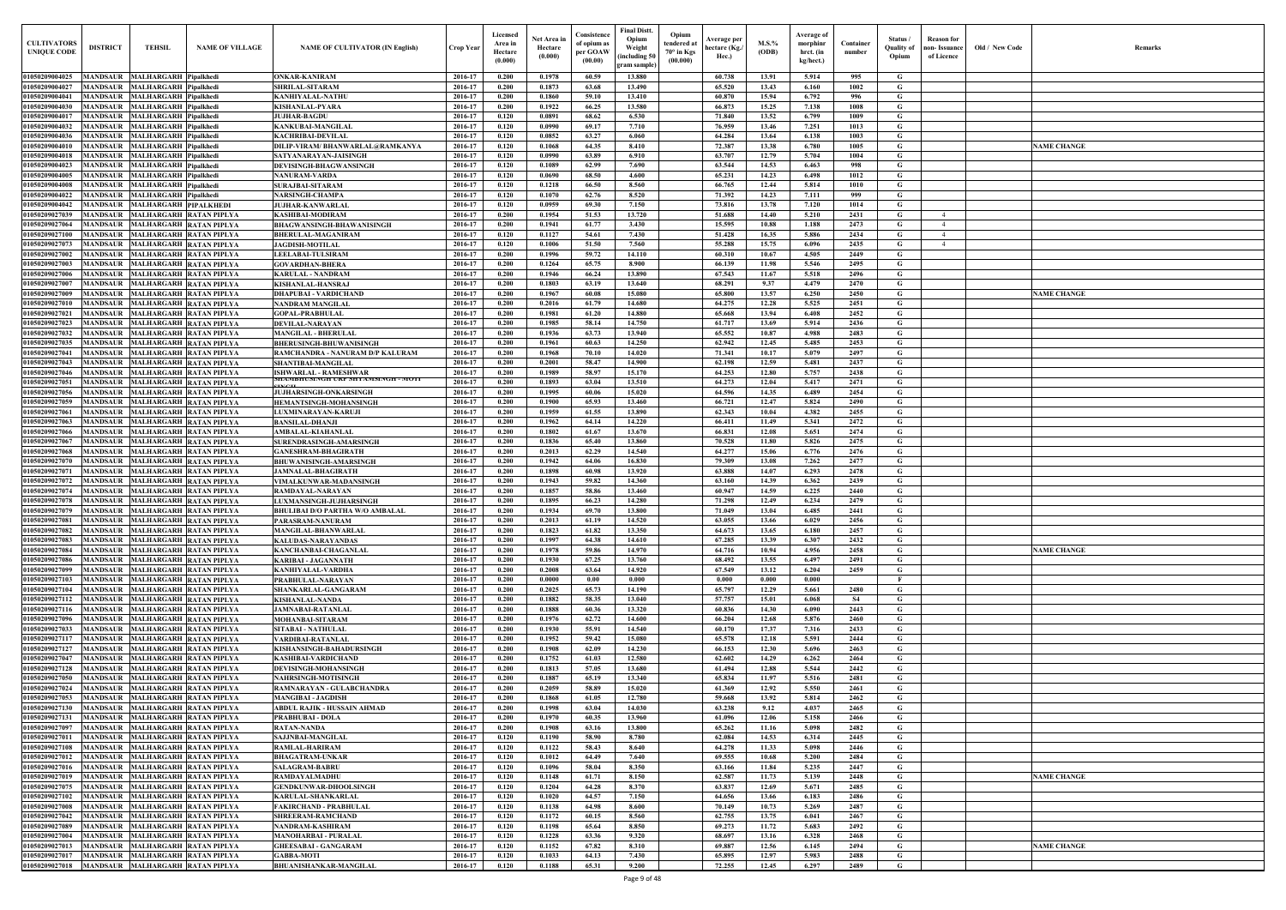| <b>CULTIVATORS</b><br>UNIQUE CODI               | <b>DISTRICT</b>                    | <b>TEHSIL</b>                                                    | <b>NAME OF VILLAGE</b>                                               | <b>NAME OF CULTIVATOR (IN English)</b>                     | Crop Year          | Licensed<br>Area in<br>Hectare<br>(0.000) | Net Area in<br>Hectare<br>(0.000) | Consistence<br>of opium as<br>per GOAW<br>(00.00) | Final Distt.<br>Opium<br>Weight<br>including 50)<br>gram sample) | Opium<br>tendered at<br>$70^\circ$ in Kgs<br>(00.000) | <b>Average per</b><br>hectare (Kg./<br>Hec.) | M.S.%<br><b>(ODB)</b> | Average of<br>morphinr<br>hrct. (in<br>kg/hect.) | Container<br>number | Status /<br>Quality of<br>Opium | <b>Reason for</b><br>non-Issuance<br>of Licence | Old / New Code | <b>Remark</b>      |
|-------------------------------------------------|------------------------------------|------------------------------------------------------------------|----------------------------------------------------------------------|------------------------------------------------------------|--------------------|-------------------------------------------|-----------------------------------|---------------------------------------------------|------------------------------------------------------------------|-------------------------------------------------------|----------------------------------------------|-----------------------|--------------------------------------------------|---------------------|---------------------------------|-------------------------------------------------|----------------|--------------------|
| 01050209004025                                  |                                    | MANDSAUR MALHARGARH Pipalkhedi                                   |                                                                      | <b>ONKAR-KANIRAM</b>                                       | 2016-17            | 0.200                                     | 0.1978                            | 60.59                                             | 13.880                                                           |                                                       | 60.738                                       | 13.91                 | 5.914                                            | 995                 | G                               |                                                 |                |                    |
| 01050209004027                                  | <b>MANDSAUR</b>                    | MALHARGARH Pipalkhedi                                            |                                                                      | SHRILAL-SITARAM                                            | 2016-17            | 0.200                                     | 0.1873                            | 63.68                                             | 13.490                                                           |                                                       | 65.520                                       | 13.43                 | 6.160                                            | 1002                | G                               |                                                 |                |                    |
| 01050209004041<br>01050209004030                | <b>MANDSAUR</b>                    | MANDSAUR MALHARGARH Pipalkhedi<br>MALHARGARH Pipalkhedi          |                                                                      | KANHIYALAL-NATHU<br>KISHANLAL-PYARA                        | 2016-17<br>2016-17 | 0.200<br>0.200                            | 0.1860<br>0.1922                  | 59.10<br>66.25                                    | 13.410<br>13.580                                                 |                                                       | 60.870<br>66.873                             | 15.94<br>15.25        | 6.792<br>7.138                                   | 996<br>1008         | G<br>$\mathbf G$                |                                                 |                |                    |
| 01050209004017                                  |                                    | MANDSAUR MALHARGARH Pipalkhedi                                   |                                                                      | JUJHAR-BAGDU                                               | 2016-17            | 0.120                                     | 0.0891                            | 68.62                                             | 6.530                                                            |                                                       | 71.840                                       | 13.52                 | 6.799                                            | 1009                | G                               |                                                 |                |                    |
| 01050209004032                                  | <b>MANDSAUR</b>                    | <b>MALHARGARH Pipalkhedi</b>                                     |                                                                      | KANKUBAI-MANGILAL                                          | 2016-17            | 0.120                                     | 0.0990                            | 69.17                                             | 7.710                                                            |                                                       | 76.959                                       | 13.46                 | 7.251                                            | 1013                | G                               |                                                 |                |                    |
| 01050209004036                                  | <b>MANDSAUR</b>                    | <b>MALHARGARH Pipalkhedi</b>                                     |                                                                      | KACHRIBAI-DEVILAL                                          | 2016-17            | 0.120                                     | 0.0852                            | 63.27                                             | 6.060                                                            |                                                       | 64.284                                       | 13.64                 | 6.138                                            | 1003                | G                               |                                                 |                |                    |
| 01050209004010                                  | <b>MANDSAUR</b>                    | <b>MALHARGARH Pipalkhedi</b>                                     |                                                                      | DILIP-VIRAM/ BHANWARLAL@RAMKANYA                           | 2016-17            | 0.120                                     | 0.1068                            | 64.35                                             | 8.410                                                            |                                                       | 72.387                                       | 13.38                 | 6.780                                            | 1005                | G                               |                                                 |                | <b>NAME CHANGE</b> |
| 01050209004018                                  | MANDSAUR                           | <b>MALHARGARH Pipalkhedi</b>                                     |                                                                      | SATYANARAYAN-JAISINGH                                      | 2016-17            | 0.120                                     | 0.0990                            | 63.89                                             | 6.910                                                            |                                                       | 63.707                                       | 12.79                 | 5.704                                            | 1004                | G                               |                                                 |                |                    |
| 01050209004023<br>01050209004005                | <b>MANDSAUR</b><br><b>MANDSAUR</b> | <b>MALHARGARH Pipalkhedi</b><br><b>MALHARGARH Pipalkhedi</b>     |                                                                      | DEVISINGH-BHAGWANSINGH<br><b>NANURAM-VARDA</b>             | 2016-17<br>2016-17 | 0.120<br>0.120                            | 0.1089<br>0.0690                  | 62.99<br>68.50                                    | 7.690<br>4.600                                                   |                                                       | 63.544<br>65.231                             | 14.53<br>14.23        | 6.463<br>6.498                                   | 998<br>1012         | G<br>G                          |                                                 |                |                    |
| 01050209004008                                  | <b>MANDSAUR</b>                    | <b>MALHARGARH Pipalkhedi</b>                                     |                                                                      | <b>SURAJBAI-SITARAM</b>                                    | 2016-17            | 0.120                                     | 0.1218                            | 66.50                                             | 8.560                                                            |                                                       | 66.765                                       | 12,44                 | 5.814                                            | 1010                | $\mathbf G$                     |                                                 |                |                    |
| 01050209004022                                  | <b>MANDSAUR</b>                    | <b>MALHARGARH Pipalkhedi</b>                                     |                                                                      | NARSINGH-CHAMPA                                            | 2016-17            | 0.120                                     | $\bf{0.1070}$                     | 62.76                                             | 8.520                                                            |                                                       | 71.392                                       | 14.23                 | 7.111                                            | 999                 | G                               |                                                 |                |                    |
| 01050209004042                                  | <b>MANDSAUR</b>                    | <b>MALHARGARH PIPALKHEDI</b>                                     |                                                                      | JUJHAR-KANWARLAL                                           | 2016-17            | 0.120                                     | 0.0959                            | 69.30                                             | 7.150                                                            |                                                       | 73.816                                       | 13.78                 | 7.120                                            | 1014                | G                               |                                                 |                |                    |
| 0105020902703                                   | MANDSAUR                           | <b>MALHARGARH RATAN PIPLYA</b>                                   |                                                                      | KASHIBAI-MODIRAM                                           | 2016-17            | 0.200<br>0.200                            | 0.1954                            | 51.53                                             | 13.720                                                           |                                                       | 51.688<br>15.595                             | 14.40                 | 5.210                                            | 2431                | $\mathbf G$                     | $\overline{4}$<br>$\overline{4}$                |                |                    |
| 0105020902706<br>0105020902710                  | MANDSAUR<br>MANDSAUR               | <b>MALHARGARH RATAN PIPLYA</b><br><b>MALHARGARH RATAN PIPLYA</b> |                                                                      | BHAGWANSINGH-BHAWANISINGH<br><b>BHERULAL-MAGANIRAM</b>     | 2016-17<br>2016-17 | 0.120                                     | 0.1941<br>0.1127                  | 61.77<br>54.61                                    | 3.430<br>7.430                                                   |                                                       | 51.428                                       | 10.88<br>16.35        | 1.188<br>5.886                                   | 2473<br>2434        | G<br>G                          | $\overline{4}$                                  |                |                    |
| 01050209027073                                  | MANDSAUR                           | <b>MALHARGARH RATAN PIPLYA</b>                                   |                                                                      | <b>JAGDISH-MOTILAL</b>                                     | 2016-17            | 0.120                                     | 0.1006                            | 51.50                                             | 7.560                                                            |                                                       | 55.288                                       | 15.75                 | 6.096                                            | 2435                | G                               | $\overline{4}$                                  |                |                    |
| 01050209027002                                  | MANDSAUR                           |                                                                  | <b>MALHARGARH RATAN PIPLYA</b>                                       | <b>LEELABAI-TULSIRAM</b>                                   | 2016-17            | 0.200                                     | 0.1996                            | 59.72                                             | 14.110                                                           |                                                       | 60.310                                       | 10.67                 | 4.505                                            | 2449                | G                               |                                                 |                |                    |
| 0105020902700                                   | MANDSAUR                           | <b>MALHARGARH RATAN PIPLYA</b>                                   |                                                                      | <b>GOVARDHAN-BHERA</b>                                     | 2016-17            | 0.200                                     | 0.1264                            | 65.75                                             | 8.900                                                            |                                                       | 66.139                                       | 11.98                 | 5.546                                            | 2495                | $\mathbf G$                     |                                                 |                |                    |
| 0105020902700                                   | MANDSAUR                           |                                                                  | MALHARGARH RATAN PIPLYA                                              | KARULAL - NANDRAM                                          | 2016-17            | 0.200                                     | 0.1946                            | 66.24                                             | 13.890                                                           |                                                       | 67.543                                       | 11.67                 | 5.518                                            | 2496                | G                               |                                                 |                |                    |
| 0105020902700<br>01050209027009                 | <b>MANDSAUR</b><br><b>MANDSAUR</b> | <b>MALHARGARH RATAN PIPLYA</b><br><b>MALHARGARH RATAN PIPLYA</b> |                                                                      | KISHANLAL-HANSRAJ<br>DHAPUBAI - VARDICHAND                 | 2016-17<br>2016-17 | 0.200<br>0.200                            | 0.1803<br>0.1967                  | 63.19<br>60.08                                    | 13.640<br>15.080                                                 |                                                       | 68.291<br>65.800                             | 9.37<br>13.57         | 4,479<br>6.250                                   | 2470<br>2450        | G<br>G                          |                                                 |                | <b>NAME CHANGE</b> |
| 01050209027010                                  |                                    | MANDSAUR MALHARGARH RATAN PIPLYA                                 |                                                                      | <b>NANDRAM MANGILAL</b>                                    | 2016-17            | 0.200                                     | 0.2016                            | 61.79                                             | 14.680                                                           |                                                       | 64,275                                       | 12.28                 | 5.525                                            | 2451                | G                               |                                                 |                |                    |
| 01050209027021                                  | <b>MANDSAUR</b>                    | MALHARGARH RATAN PIPLYA                                          |                                                                      | <b>GOPAL-PRABHULAL</b>                                     | 2016-17            | 0.200                                     | 0.1981                            | 61.20                                             | 14.880                                                           |                                                       | 65.668                                       | 13.94                 | 6.408                                            | 2452                | G                               |                                                 |                |                    |
| 01050209027023                                  |                                    | MANDSAUR MALHARGARH RATAN PIPLYA                                 |                                                                      | DEVILAL-NARAYAN                                            | 2016-17            | 0.200                                     | 0.1985                            | 58.14                                             | 14.750                                                           |                                                       | 61.717                                       | 13.69                 | 5.914                                            | 2436                | G                               |                                                 |                |                    |
| 01050209027032                                  | <b>MANDSAUR</b>                    | MALHARGARH RATAN PIPLYA                                          |                                                                      | <b>MANGILAL - BHERULAL</b>                                 | 2016-17            | 0.200                                     | 0.1936                            | 63.73                                             | 13.940                                                           |                                                       | 65.552                                       | 10.87                 | 4.988                                            | 2483                | G                               |                                                 |                |                    |
| 01050209027035<br>01050209027041                | <b>MANDSAUR</b>                    | MANDSAUR MALHARGARH RATAN PIPLYA                                 | <b>MALHARGARH RATAN PIPLYA</b>                                       | <b>BHERUSINGH-BHUWANISINGH</b>                             | 2016-17<br>2016-17 | 0.200<br>0.200                            | 0.1961<br>0.1968                  | 60.63<br>70.10                                    | 14.250<br>14.020                                                 |                                                       | 62.942<br>71.341                             | 12.45<br>10.17        | 5.485<br>5.079                                   | 2453<br>2497        | $\mathbf G$<br>G                |                                                 |                |                    |
| 01050209027043                                  | <b>MANDSAUR</b>                    | <b>MALHARGARH RATAN PIPLYA</b>                                   |                                                                      | RAMCHANDRA - NANURAM D/P KALURAM<br>SHANTIBAI-MANGILAL     | 2016-17            | 0.200                                     | 0.2001                            | 58.47                                             | 14.900                                                           |                                                       | 62.198                                       | 12.59                 | 5.481                                            | 2437                | G                               |                                                 |                |                    |
| 01050209027046                                  | <b>MANDSAUR</b>                    | <b>MALHARGARH RATAN PIPLYA</b>                                   |                                                                      | ISHWARLAL - RAMESHWAR                                      | 2016-17            | 0.200                                     | 0.1989                            | 58.97                                             | 15.170                                                           |                                                       | 64.253                                       | 12.80                 | 5.757                                            | 2438                | G                               |                                                 |                |                    |
| 01050209027051                                  | <b>MANDSAUR</b>                    | <b>MALHARGARH RATAN PIPLYA</b>                                   |                                                                      | SHAMBHUSINGH URF SHTAMSINGH - MUTI                         | 2016-17            | 0.200                                     | 0.1893                            | 63.04                                             | 13.510                                                           |                                                       | 64.273                                       | 12.04                 | 5.417                                            | 2471                | G                               |                                                 |                |                    |
| 01050209027056                                  | <b>MANDSAUR</b>                    | <b>MALHARGARH RATAN PIPLYA</b>                                   |                                                                      | <b>JUJHARSINGH-ONKARSINGH</b>                              | 2016-17            | 0.200                                     | 0.1995                            | 60.06                                             | 15.020                                                           |                                                       | 64.596                                       | 14.35                 | 6.489                                            | 2454                | G                               |                                                 |                |                    |
| 01050209027059                                  | <b>MANDSAUR</b>                    | <b>MALHARGARH RATAN PIPLYA</b>                                   |                                                                      | <b>HEMANTSINGH-MOHANSINGH</b>                              | 2016-17            | 0.200                                     | 0.1900                            | 65.93                                             | 13.460                                                           |                                                       | 66.721                                       | 12.47                 | 5.824                                            | 2490                | G                               |                                                 |                |                    |
| 01050209027061<br>01050209027063                | <b>MANDSAUR</b><br>MANDSAUR        | <b>MALHARGARH RATAN PIPLYA</b><br><b>MALHARGARH RATAN PIPLYA</b> |                                                                      | LUXMINARAYAN-KARUJI<br><b>BANSILAL-DHANJI</b>              | 2016-17<br>2016-17 | 0.200<br>0.200                            | 0.1959<br>0.1962                  | 61.55<br>64.14                                    | 13.890<br>14.220                                                 |                                                       | 62.343<br>66.411                             | 10.04<br>11.49        | 4.382<br>5.341                                   | 2455<br>2472        | $\mathbf G$<br>G                |                                                 |                |                    |
| 01050209027066                                  | <b>MANDSAUR</b>                    | <b>MALHARGARH RATAN PIPLYA</b>                                   |                                                                      | AMBALAL-KIAHANLAL                                          | 2016-17            | 0.200                                     | 0.1802                            | 61.67                                             | 13.670                                                           |                                                       | 66.831                                       | 12.08                 | 5.651                                            | 2474                | G                               |                                                 |                |                    |
| 0105020902706                                   | <b>MANDSAUI</b>                    | <b>MALHARGARH RATAN PIPLYA</b>                                   |                                                                      | SURENDRASINGH-AMARSINGH                                    | 2016-17            | 0.200                                     | 0.1836                            | 65.40                                             | 13.860                                                           |                                                       | 70.528                                       | 11.80                 | 5.826                                            | 2475                | G                               |                                                 |                |                    |
| 01050209027068                                  | MANDSAUR                           | <b>MALHARGARH RATAN PIPLYA</b>                                   |                                                                      | <b>GANESHRAM-BHAGIRATH</b>                                 | 2016-17            | 0.200                                     | 0.2013                            | 62.29                                             | 14.540                                                           |                                                       | 64,277                                       | 15.06                 | 6.776                                            | 2476                | G                               |                                                 |                |                    |
| 0105020902707                                   | MANDSAUI                           | <b>MALHARGARH RATAN PIPLYA</b>                                   |                                                                      | <b>BHUWANISINGH-AMARSINGH</b>                              | 2016-17            | 0.200                                     | 0.1942                            | 64.06                                             | 16.830                                                           |                                                       | 79.309                                       | 13.08                 | 7.262                                            | 2477                | $\mathbf G$                     |                                                 |                |                    |
| 0105020902707<br>0105020902707                  | <b>MANDSAUR</b><br>MANDSAUI        | <b>MALHARGARH RATAN PIPLYA</b><br><b>MALHARGARH RATAN PIPLYA</b> |                                                                      | <b>JAMNALAL-BHAGIRATH</b><br>VIMALKUNWAR-MADANSINGH        | 2016-17<br>2016-17 | 0.200<br>0.200                            | 0.1898<br>0.1943                  | 60.98<br>59.82                                    | 13.920<br>14.360                                                 |                                                       | 63.888<br>63.160                             | 14.07<br>14.39        | 6.293<br>6.362                                   | 2478<br>2439        | $\mathbf G$<br>G                |                                                 |                |                    |
| <b>0105020902707</b>                            | MANDSAUR                           |                                                                  | MALHARGARH RATAN PIPLYA                                              | RAMDAYAL-NARAYAN                                           | $2016 - 1'$        | 0.200                                     | 0.1857                            | 58.86                                             | 13.460                                                           |                                                       | 60.947                                       | 14.59                 | 6.225                                            | 2440                | G                               |                                                 |                |                    |
| 01050209027078                                  | <b>MANDSAUR</b>                    | MALHARGARH RATAN PIPLYA                                          |                                                                      | <b>LUXMANSINGH-JUJHARSINGH</b>                             | 2016-17            | 0.200                                     | 0.1895                            | 66.23                                             | 14.280                                                           |                                                       | 71.298                                       | 12.49                 | 6.234                                            | 2479                | G                               |                                                 |                |                    |
| 01050209027079 MANDSAUR MALHARGARH RATAN PIPLYA |                                    |                                                                  |                                                                      | <b>BHULIBAI D/O PARTHA W/O AMBALAL</b>                     | 2016-17            | 0.200                                     | 0.1934                            | 69.70                                             | 13.800                                                           |                                                       | 71.049                                       | 13.04                 | 6.485                                            | 2441                | G                               |                                                 |                |                    |
| 01050209027081                                  |                                    |                                                                  | MANDSAUR MALHARGARH RATAN PIPLYA                                     | PARASRAM-NANURAM                                           | 2016-17            | 0.200                                     | 0.2013                            | 61.19                                             | 14.520                                                           |                                                       | 63.055                                       | 13.66                 | 6.029                                            | 2456                | G                               |                                                 |                |                    |
| 01050209027082<br>01050209027083                |                                    |                                                                  | MANDSAUR MALHARGARH RATAN PIPLYA<br>MANDSAUR MALHARGARH RATAN PIPLYA | MANGILAL-BHANWARLAL<br><b>KALUDAS-NARAYANDAS</b>           | 2016-17<br>2016-17 | 0.200<br>0.200                            | 0.1823<br>0.1997                  | 61.82<br>64.38                                    | 13.350<br>14.610                                                 |                                                       | 64.673<br>67.285                             | 13.65<br>13.39        | 6.180<br>6.307                                   | 2457<br>2432        | G<br>$\mathbf{G}$               |                                                 |                |                    |
| 01050209027084                                  |                                    |                                                                  | MANDSAUR MALHARGARH RATAN PIPLYA                                     | KANCHANBAI-CHAGANLAL                                       | 2016-17            | 0.200                                     | 0.1978                            | 59.86                                             | 14.970                                                           |                                                       | 64.716                                       | 10.94                 | 4.956                                            | 2458                | $\mathbf G$                     |                                                 |                | <b>NAME CHANGE</b> |
| 01050209027086                                  |                                    |                                                                  | MANDSAUR MALHARGARH RATAN PIPLYA                                     | <b>KARIBAI - JAGANNATH</b>                                 | 2016-17            | 0.200                                     | 0.1930                            | 67.25                                             | 13.760                                                           |                                                       | 68.492                                       | 13.55                 | 6.497                                            | 2491                | $\mathbf{G}$                    |                                                 |                |                    |
| 01050209027099                                  |                                    |                                                                  | MANDSAUR MALHARGARH RATAN PIPLYA                                     | <b>KANHIYALAL-VARDHA</b>                                   | 2016-17            | 0.200                                     | 0.2008                            | 63.64                                             | 14.920                                                           |                                                       | 67.549                                       | 13.12                 | 6.204                                            | 2459                | $\mathbf{G}$                    |                                                 |                |                    |
| 01050209027103                                  |                                    |                                                                  | MANDSAUR MALHARGARH RATAN PIPLYA                                     | PRABHULAL-NARAYAN                                          | 2016-17            | 0.200                                     | 0.0000                            | 0.00                                              | 0.000                                                            |                                                       | 0.000                                        | 0.000                 | 0.000                                            |                     | $\mathbf{F}$                    |                                                 |                |                    |
| 01050209027104<br>01050209027112                |                                    | MANDSAUR MALHARGARH RATAN PIPLYA                                 | MANDSAUR MALHARGARH RATAN PIPLYA                                     | SHANKARLAL-GANGARAM<br><b>KISHANLAL-NANDA</b>              | 2016-17<br>2016-17 | 0.200<br>0.200                            | 0.2025<br>0.1882                  | 65.73<br>58.35                                    | 14.190<br>13.040                                                 |                                                       | 65.797<br>57.757                             | 12.29<br>15.01        | 5.661<br>6.068                                   | 2480<br><b>S4</b>   | $\mathbf G$<br>$\mathbf G$      |                                                 |                |                    |
| 01050209027116                                  |                                    |                                                                  | MANDSAUR MALHARGARH RATAN PIPLYA                                     | <b>JAMNABAI-RATANLAL</b>                                   | 2016-17            | 0.200                                     | 0.1888                            | 60.36                                             | 13.320                                                           |                                                       | 60.836                                       | 14.30                 | 6.090                                            | 2443                | $\mathbf G$                     |                                                 |                |                    |
| 01050209027096                                  | MANDSAUR                           | MALHARGARH RATAN PIPLYA                                          |                                                                      | <b>MOHANBAI-SITARAM</b>                                    | 2016-17            | 0.200                                     | 0.1976                            | 62.72                                             | 14.600                                                           |                                                       | 66.204                                       | 12.68                 | 5.876                                            | 2460                | $\mathbf G$                     |                                                 |                |                    |
| 01050209027033                                  | <b>MANDSAUR</b>                    |                                                                  | MALHARGARH RATAN PIPLYA                                              | SITABAI - NATHULAL                                         | 2016-17            | 0.200                                     | 0.1930                            | 55.91                                             | 14.540                                                           |                                                       | 60.170                                       | 17.37                 | 7.316                                            | 2433                | $\mathbf G$                     |                                                 |                |                    |
| 01050209027117                                  | <b>MANDSAUR</b>                    | MALHARGARH RATAN PIPLYA                                          |                                                                      | VARDIBAI-RATANLAL                                          | 2016-17            | 0.200                                     | 0.1952                            | 59.42                                             | 15.080                                                           |                                                       | 65.578                                       | 12.18                 | 5.591                                            | 2444                | $\mathbf G$                     |                                                 |                |                    |
| 01050209027127<br>01050209027047                | <b>MANDSAUR</b><br><b>MANDSAUR</b> | MALHARGARH RATAN PIPLYA<br>MALHARGARH RATAN PIPLYA               |                                                                      | KISHANSINGH-BAHADURSINGH<br><b>KASHIBAI-VARDICHAND</b>     | 2016-17<br>2016-17 | 0.200<br>0.200                            | 0.1908<br>0.1752                  | 62.09<br>61.03                                    | 14.230<br>12.580                                                 |                                                       | 66.153<br>62.602                             | 12.30<br>14.29        | 5.696<br>6.262                                   | 2463<br>2464        | $\mathbf G$<br>$\mathbf G$      |                                                 |                |                    |
| 01050209027128                                  | <b>MANDSAUR</b>                    | MALHARGARH RATAN PIPLYA                                          |                                                                      | <b>DEVISINGH-MOHANSINGH</b>                                | 2016-17            | 0.200                                     | 0.1813                            | 57.05                                             | 13.680                                                           |                                                       | 61.494                                       | 12.88                 | 5.544                                            | 2442                | $\mathbf G$                     |                                                 |                |                    |
| 01050209027050                                  | <b>MANDSAUR</b>                    | MALHARGARH RATAN PIPLYA                                          |                                                                      | <b>NAHRSINGH-MOTISINGH</b>                                 | 2016-17            | 0.200                                     | 0.1887                            | 65.19                                             | 13.340                                                           |                                                       | 65.834                                       | 11.97                 | 5.516                                            | 2481                | $\mathbf{G}$                    |                                                 |                |                    |
| 01050209027024                                  | <b>MANDSAUR</b>                    | MALHARGARH RATAN PIPLYA                                          |                                                                      | RAMNARAYAN - GULABCHANDRA                                  | 2016-17            | 0.200                                     | 0.2059                            | 58.89                                             | 15.020                                                           |                                                       | 61.369                                       | 12.92                 | 5.550                                            | 2461                | $\mathbf G$                     |                                                 |                |                    |
| 01050209027053                                  | <b>MANDSAUR</b>                    | MALHARGARH RATAN PIPLYA                                          |                                                                      | <b>MANGIBAI - JAGDISH</b>                                  | 2016-17            | 0.200                                     | 0.1868                            | 61.05                                             | 12.780                                                           |                                                       | 59.668                                       | 13.92                 | 5.814                                            | 2462                | $\mathbf G$                     |                                                 |                |                    |
| 01050209027130                                  | <b>MANDSAUR</b>                    | <b>MALHARGARH RATAN PIPLYA</b>                                   |                                                                      | ABDUL RAJIK - HUSSAIN AHMAD                                | 2016-17<br>2016-17 | 0.200<br>0.200                            | 0.1998<br>0.1970                  | 63.04<br>60.35                                    | 14.030<br>13.960                                                 |                                                       | 63.238                                       | 9.12<br>12.06         | 4.037                                            | 2465<br>2466        | $\mathbf G$<br>$\mathbf G$      |                                                 |                |                    |
| 01050209027131<br>01050209027097                | <b>MANDSAUR</b><br><b>MANDSAUR</b> | MALHARGARH RATAN PIPLYA                                          | <b>MALHARGARH RATAN PIPLYA</b>                                       | <b>PRABHUBAI - DOLA</b><br><b>RATAN-NANDA</b>              | 2016-17            | 0.200                                     | 0.1908                            | 63.16                                             | 13.800                                                           |                                                       | 61.096<br>65.262                             | 11.16                 | 5.158<br>5.098                                   | 2482                | G                               |                                                 |                |                    |
| 01050209027011                                  | <b>MANDSAUR</b>                    | MALHARGARH RATAN PIPLYA                                          |                                                                      | SAJJNBAI-MANGILAL                                          | 2016-17            | 0.120                                     | 0.1190                            | 58.90                                             | 8.780                                                            |                                                       | 62.084                                       | 14.53                 | 6.314                                            | 2445                | $\mathbf G$                     |                                                 |                |                    |
| 01050209027108                                  | <b>MANDSAUR</b>                    |                                                                  | MALHARGARH RATAN PIPLYA                                              | RAMLAL-HARIRAM                                             | 2016-17            | 0.120                                     | 0.1122                            | 58.43                                             | 8.640                                                            |                                                       | 64.278                                       | 11.33                 | 5.098                                            | 2446                | $\mathbf G$                     |                                                 |                |                    |
| 01050209027012                                  |                                    |                                                                  | MANDSAUR MALHARGARH RATAN PIPLYA                                     | <b>BHAGATRAM-UNKAR</b>                                     | 2016-17            | 0.120                                     | 0.1012                            | 64.49                                             | 7.640                                                            |                                                       | 69.555                                       | 10.68                 | 5.200                                            | 2484                | $\mathbf G$                     |                                                 |                |                    |
| 01050209027016                                  |                                    |                                                                  | MANDSAUR MALHARGARH RATAN PIPLYA                                     | <b>SALAGRAM-BABRU</b>                                      | 2016-17            | 0.120                                     | 0.1096                            | 58.04                                             | 8.350                                                            |                                                       | 63.166                                       | 11.84                 | 5.235                                            | 2447                | $\mathbf{G}$                    |                                                 |                |                    |
| 01050209027019<br>01050209027075                |                                    |                                                                  | MANDSAUR MALHARGARH RATAN PIPLYA<br>MANDSAUR MALHARGARH RATAN PIPLYA | <b>RAMDAYALMADHU</b><br><b>GENDKUNWAR-DHOOLSINGH</b>       | 2016-17<br>2016-17 | 0.120<br>0.120                            | 0.1148<br>0.1204                  | 61.71<br>64.28                                    | 8.150<br>8.370                                                   |                                                       | 62.587<br>63.837                             | 11.73<br>12.69        | 5.139<br>5.671                                   | 2448<br>2485        | $\mathbf G$<br>$\mathbf{G}$     |                                                 |                | <b>NAME CHANGE</b> |
| 01050209027102                                  |                                    |                                                                  | MANDSAUR MALHARGARH RATAN PIPLYA                                     | KARULAL-SHANKARLAL                                         | 2016-17            | 0.120                                     | 0.1020                            | 64.57                                             | 7.150                                                            |                                                       | 64.656                                       | 13.66                 | 6.183                                            | 2486                | $\mathbf G$                     |                                                 |                |                    |
| 01050209027008                                  |                                    |                                                                  | MANDSAUR MALHARGARH RATAN PIPLYA                                     | <b>FAKIRCHAND - PRABHULAL</b>                              | 2016-17            | 0.120                                     | 0.1138                            | 64.98                                             | 8.600                                                            |                                                       | 70.149                                       | 10.73                 | 5.269                                            | 2487                | $\mathbf G$                     |                                                 |                |                    |
| 01050209027042                                  |                                    |                                                                  | MANDSAUR MALHARGARH RATAN PIPLYA                                     | SHREERAM-RAMCHAND                                          | 2016-17            | 0.120                                     | 0.1172                            | 60.15                                             | 8.560                                                            |                                                       | 62.755                                       | 13.75                 | 6.041                                            | 2467                | $\mathbf G$                     |                                                 |                |                    |
| 01050209027089                                  |                                    | MANDSAUR MALHARGARH RATAN PIPLYA                                 |                                                                      | NANDRAM-KASHIRAM                                           | 2016-17            | 0.120                                     | 0.1198                            | 65.64                                             | 8.850                                                            |                                                       | 69.273                                       | 11.72                 | 5.683                                            | 2492                | $\mathbf{G}$                    |                                                 |                |                    |
| 01050209027004<br>01050209027013                |                                    | MANDSAUR MALHARGARH RATAN PIPLYA                                 | MANDSAUR MALHARGARH RATAN PIPLYA                                     | <b>MANOHARBAI - PURALAL</b><br><b>GHEESABAI - GANGARAM</b> | 2016-17<br>2016-17 | 0.120<br>0.120                            | 0.1228<br>0.1152                  | 63.36<br>67.82                                    | 9.320<br>8.310                                                   |                                                       | 68.697<br>69.887                             | 13.16<br>12.56        | 6.328<br>6.145                                   | 2468<br>2494        | $\mathbf G$<br>$\mathbf G$      |                                                 |                | <b>NAME CHANGE</b> |
| 01050209027017                                  |                                    | MANDSAUR MALHARGARH RATAN PIPLYA                                 |                                                                      | <b>GABBA-MOTI</b>                                          | 2016-17            | 0.120                                     | 0.1033                            | 64.13                                             | 7.430                                                            |                                                       | 65.895                                       | 12.97                 | 5.983                                            | 2488                | $\mathbf G$                     |                                                 |                |                    |
| 01050209027018                                  |                                    | MANDSAUR MALHARGARH RATAN PIPLYA                                 |                                                                      | <b>BHUANISHANKAR-MANGILAL</b>                              | 2016-17            | 0.120                                     | 0.1188                            | 65.31                                             | 9.200                                                            |                                                       | 72.255                                       | 12.45                 | 6.297                                            | 2489                | $\mathbf{G}$                    |                                                 |                |                    |
|                                                 |                                    |                                                                  |                                                                      |                                                            |                    |                                           |                                   |                                                   |                                                                  |                                                       |                                              |                       |                                                  |                     |                                 |                                                 |                |                    |

| $\mathbf{Old} \, / \,$ New Code | Remarks            |
|---------------------------------|--------------------|
|                                 |                    |
|                                 |                    |
|                                 |                    |
|                                 | <b>NAME CHANGE</b> |
|                                 |                    |
|                                 |                    |
|                                 |                    |
|                                 |                    |
|                                 |                    |
|                                 |                    |
|                                 | <b>NAME CHANGE</b> |
|                                 |                    |
|                                 |                    |
|                                 |                    |
|                                 |                    |
|                                 |                    |
|                                 |                    |
|                                 |                    |
|                                 |                    |
|                                 |                    |
|                                 |                    |
|                                 |                    |
|                                 | <b>NAME CHANGE</b> |
|                                 |                    |
|                                 |                    |
|                                 |                    |
|                                 |                    |
|                                 |                    |
|                                 |                    |
|                                 |                    |
|                                 |                    |
|                                 |                    |
|                                 |                    |
|                                 | <b>NAME CHANGE</b> |
|                                 |                    |
|                                 |                    |
|                                 | <b>NAME CHANGE</b> |
|                                 |                    |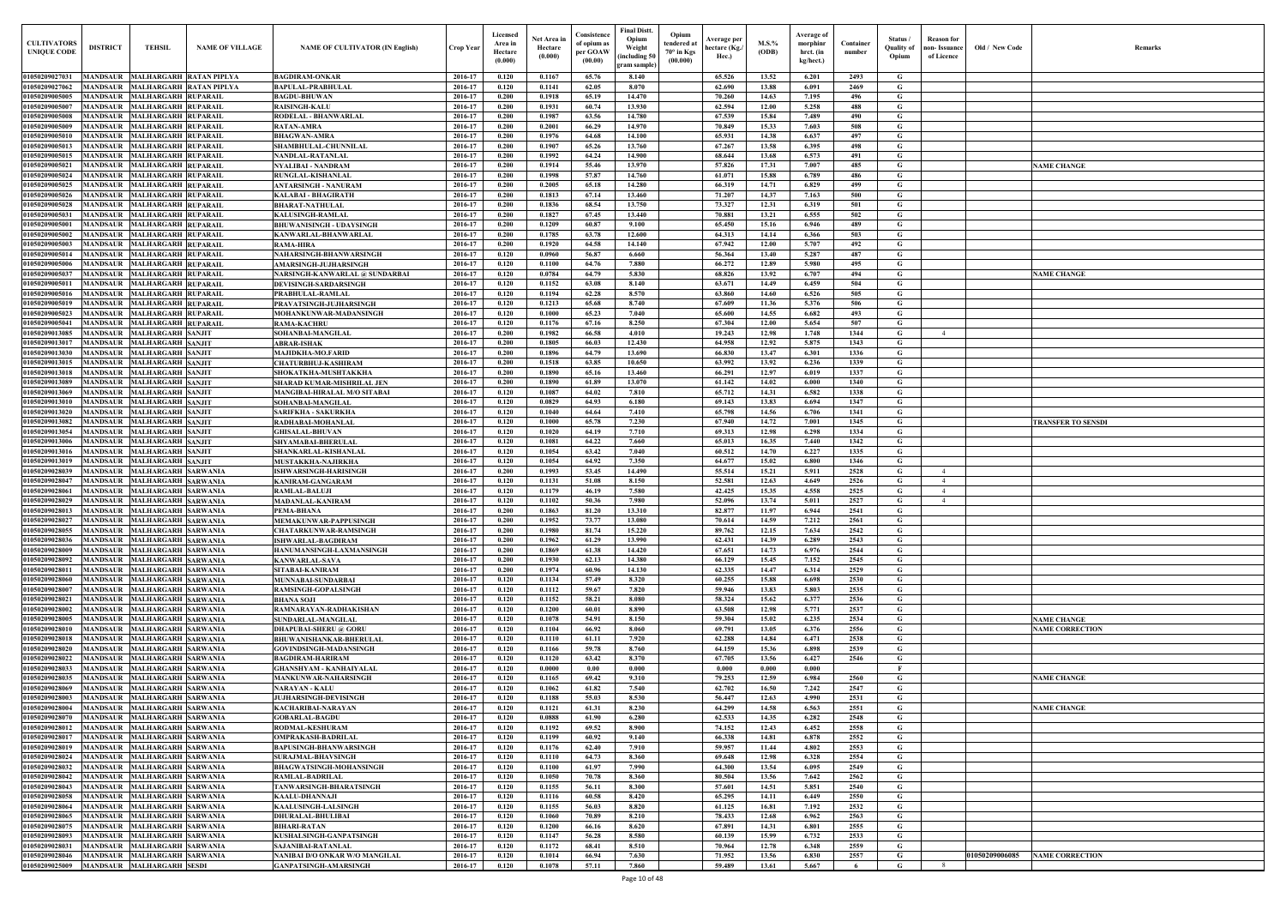| Old / New Code | Remarks                   |
|----------------|---------------------------|
|                |                           |
|                |                           |
|                |                           |
|                |                           |
|                |                           |
|                |                           |
|                |                           |
|                | <b>NAME CHANGE</b>        |
|                |                           |
|                |                           |
|                |                           |
|                |                           |
|                |                           |
|                |                           |
|                |                           |
|                | <b>NAME CHANGE</b>        |
|                |                           |
|                |                           |
|                |                           |
|                |                           |
|                |                           |
|                |                           |
|                |                           |
|                |                           |
|                |                           |
|                |                           |
|                |                           |
|                | <b>TRANSFER TO SENSDI</b> |
|                |                           |
|                |                           |
|                |                           |
|                |                           |
|                |                           |
|                |                           |
|                |                           |
|                |                           |
|                |                           |
|                |                           |
|                |                           |
|                |                           |
|                |                           |
|                |                           |
|                |                           |
|                | <b>NAME CHANGE</b>        |
|                | <b>NAME CORRECTION</b>    |
|                |                           |
|                |                           |
|                |                           |
|                | <b>NAME CHANGE</b>        |
|                |                           |
|                | <b>NAME CHANGE</b>        |
|                |                           |
|                |                           |
|                |                           |
|                |                           |
|                |                           |
|                |                           |
|                |                           |
|                |                           |
|                |                           |
|                |                           |
|                |                           |
| 1050209006085  | <b>NAME CORRECTION</b>    |
|                |                           |

| <b>CULTIVATORS</b><br><b>UNIQUE CODI</b>                      | <b>DISTRICT</b>                    | <b>TEHSIL</b>                                                | <b>NAME OF VILLAGE</b> | <b>NAME OF CULTIVATOR (IN English)</b>                         | <b>Crop Year</b>   | Licensed<br>Area in<br>Hectare<br>(0.000) | Net Area in<br>Hectare<br>(0.000) | Consistence<br>of opium as<br>per GOAW<br>(00.00) | Final Distt.<br>Opium<br>Weight<br>including 50)<br>gram sample | Opium<br>tendered at<br>70° in Kgs<br>(00.000) | Average per<br>hectare (Kg./<br>Hec.) | $M.S.$ %<br>(ODB) | Average of<br>morphinr<br>hrct. (in<br>kg/hect.) | Container<br>number | Status<br><b>Quality of</b><br>Opium | <b>Reason</b> for<br>non- Issuance<br>of Licence | Old / New Code | <b>Remark</b>             |
|---------------------------------------------------------------|------------------------------------|--------------------------------------------------------------|------------------------|----------------------------------------------------------------|--------------------|-------------------------------------------|-----------------------------------|---------------------------------------------------|-----------------------------------------------------------------|------------------------------------------------|---------------------------------------|-------------------|--------------------------------------------------|---------------------|--------------------------------------|--------------------------------------------------|----------------|---------------------------|
| 01050209027031                                                |                                    | MANDSAUR MALHARGARH RATAN PIPLYA                             |                        | <b>BAGDIRAM-ONKAR</b>                                          | 2016-17            | 0.120                                     | 0.1167                            | 65.76                                             | 8.140                                                           |                                                | 65.526                                | 13.52             | 6.201                                            | 2493                | G                                    |                                                  |                |                           |
| 01050209027062                                                | <b>MANDSAUR</b>                    | <b>MALHARGARH RATAN PIPLYA</b>                               |                        | <b>BAPULAL-PRABHULAL</b>                                       | 2016-17            | 0.120                                     | 0.1141                            | 62.05                                             | 8.070                                                           |                                                | 62.690                                | 13.88             | 6.091                                            | 2469                | G                                    |                                                  |                |                           |
| 01050209005005<br>01050209005007                              | <b>MANDSAUR</b><br><b>MANDSAUR</b> | <b>MALHARGARH RUPARAIL</b>                                   |                        | <b>BAGDU-BHUWAN</b>                                            | 2016-17<br>2016-17 | 0.200<br>0.200                            | 0.1918<br>0.1931                  | 65.19<br>60.74                                    | 14.470<br>13.930                                                |                                                | 70.260<br>62.594                      | 14.63<br>12.00    | 7.195                                            | 496<br>488          | G<br>G                               |                                                  |                |                           |
| 01050209005008                                                | <b>MANDSAUR</b>                    | <b>MALHARGARH RUPARAIL</b><br><b>MALHARGARH RUPARAIL</b>     |                        | <b>RAISINGH-KALU</b><br>RODELAL - BHANWARLAL                   | 2016-17            | 0.200                                     | 0.1987                            | 63.56                                             | 14.780                                                          |                                                | 67.539                                | 15.84             | 5.258<br>7.489                                   | 490                 | G                                    |                                                  |                |                           |
| 01050209005009                                                | <b>MANDSAUR</b>                    | <b>MALHARGARH RUPARAIL</b>                                   |                        | <b>RATAN-AMRA</b>                                              | 2016-17            | 0.200                                     | 0.2001                            | 66.29                                             | 14.970                                                          |                                                | 70.849                                | 15.33             | 7.603                                            | 508                 | $\mathbf G$                          |                                                  |                |                           |
| 01050209005010                                                | <b>MANDSAUR</b>                    | <b>MALHARGARH RUPARAIL</b>                                   |                        | <b>BHAGWAN-AMRA</b>                                            | 2016-17            | 0.200                                     | 0.1976                            | 64.68                                             | 14.100                                                          |                                                | 65.931                                | 14.38             | 6.637                                            | 497                 | G                                    |                                                  |                |                           |
| 01050209005013                                                | <b>MANDSAUR</b>                    | <b>MALHARGARH RUPARAII</b>                                   |                        | <b>SHAMBHULAL-CHUNNILAL</b>                                    | 2016-17            | 0.200                                     | 0.1907                            | 65.26                                             | 13.760                                                          |                                                | 67.267                                | 13.58             | 6.395                                            | 498                 | $\mathbf G$                          |                                                  |                |                           |
| 01050209005015<br>01050209005021                              | <b>MANDSAUR</b><br><b>MANDSAUR</b> | <b>MALHARGARH RUPARAIL</b><br><b>MALHARGARH RUPARAII</b>     |                        | NANDLAL-RATANLAL<br><b>NYALIBAI - NANDRAM</b>                  | 2016-17<br>2016-17 | 0.200<br>0.200                            | 0.1992<br>0.1914                  | 64.24<br>55.46                                    | 14.900<br>13.970                                                |                                                | 68.644<br>57.826                      | 13.68<br>17.31    | 6.573<br>7.007                                   | 491<br>485          | G<br>G                               |                                                  |                | <b>NAME CHANGE</b>        |
| 0105020900502                                                 | <b>MANDSAUF</b>                    | <b>MALHARGARH RUPARAIL</b>                                   |                        | RUNGLAL-KISHANLAL                                              | 2016-17            | 0.200                                     | 0.1998                            | 57.87                                             | 14.760                                                          |                                                | 61.071                                | 15.88             | 6.789                                            | 486                 | G                                    |                                                  |                |                           |
| 01050209005025                                                | <b>MANDSAUR</b>                    | <b>MALHARGARH RUPARAII</b>                                   |                        | <b>ANTARSINGH - NANURAM</b>                                    | 2016-17            | 0.200                                     | 0.2005                            | 65.18                                             | 14.280                                                          |                                                | 66.319                                | 14.71             | 6.829                                            | 499                 | $\mathbf G$                          |                                                  |                |                           |
| 0105020900502                                                 | MANDSAUR                           | <b>MALHARGARH RUPARAII</b>                                   |                        | KALABAI - BHAGIRATH                                            | 2016-17            | 0.200                                     | 0.1813                            | 67.14                                             | 13.460                                                          |                                                | 71.207                                | 14.37             | 7.163                                            | 500                 | $\mathbf G$                          |                                                  |                |                           |
| 01050209005028                                                | <b>MANDSAUR</b>                    | <b>MALHARGARH RUPARAIL</b>                                   |                        | <b>BHARAT-NATHULAL</b>                                         | 2016-17            | 0.200                                     | 0.1836                            | 68.54                                             | 13.750                                                          |                                                | 73.327                                | 12.31             | 6.319                                            | 501                 | $\mathbf G$                          |                                                  |                |                           |
| 0105020900503<br>0105020900500                                | MANDSAUR<br>MANDSAUR               | <b>MALHARGARH RUPARAIL</b><br><b>MALHARGARH RUPARAIL</b>     |                        | <b>KALUSINGH-RAMLAL</b><br>BHUWANISINGH - UDAYSINGH            | 2016-17<br>2016-17 | 0.200<br>0.200                            | 0.1827<br>0.1209                  | 67.45<br>60.87                                    | 13.440<br>9.100                                                 |                                                | 70.881<br>65.450                      | 13.21<br>15.16    | 6.555<br>6.946                                   | 502<br>489          | G<br>G                               |                                                  |                |                           |
| 0105020900500                                                 | MANDSAUR                           | <b>MALHARGARH RUPARAIL</b>                                   |                        | KANWARLAL-BHANWARLAL                                           | 2016-17            | 0.200                                     | 0.1785                            | 63.78                                             | 12.600                                                          |                                                | 64.313                                | 14.14             | 6.366                                            | 503                 | G                                    |                                                  |                |                           |
| 01050209005003                                                | <b>MANDSAUR</b>                    | <b>MALHARGARH RUPARAIL</b>                                   |                        | RAMA-HIRA                                                      | 2016-17            | 0.200                                     | 0.1920                            | 64.58                                             | 14.140                                                          |                                                | 67.942                                | 12.00             | 5.707                                            | 492                 | G                                    |                                                  |                |                           |
| 0105020900501                                                 | <b>MANDSAUR</b>                    | <b>MALHARGARH RUPARAIL</b>                                   |                        | NAHARSINGH-BHANWARSINGH                                        | 2016-17            | 0.120                                     | 0.0960                            | 56.87                                             | 6.660                                                           |                                                | 56.364                                | 13.40             | 5.287                                            | 487                 | G                                    |                                                  |                |                           |
| 0105020900500                                                 |                                    | MANDSAUR MALHARGARH RUPARAIL                                 |                        | AMARSINGH-JUJHARSINGH                                          | 2016-17            | 0.120                                     | 0.1100                            | 64.76                                             | 7.880                                                           |                                                | 66.272                                | 12.89             | 5.980                                            | 495                 | G                                    |                                                  |                |                           |
| 0105020900503<br>01050209005011                               | <b>MANDSAUR</b>                    | <b>MALHARGARH RUPARAIL</b><br>MANDSAUR MALHARGARH RUPARAIL   |                        | NARSINGH-KANWARLAL @ SUNDARBAI<br><b>DEVISINGH-SARDARSINGH</b> | 2016-17<br>2016-17 | 0.120<br>0.120                            | 0.0784<br>0.1152                  | 64.79<br>63.08                                    | 5.830<br>8.140                                                  |                                                | 68.826<br>63.671                      | 13.92<br>14.49    | 6.707<br>6.459                                   | 494<br>504          | G<br>G                               |                                                  |                | <b>NAME CHANGE</b>        |
| 01050209005016                                                | <b>MANDSAUR</b>                    | <b>MALHARGARH RUPARAIL</b>                                   |                        | PRABHULAL-RAMLAL                                               | 2016-17            | 0.120                                     | 0.1194                            | 62.28                                             | 8.570                                                           |                                                | 63.860                                | 14.60             | 6.526                                            | 505                 | G                                    |                                                  |                |                           |
| 01050209005019                                                |                                    | MANDSAUR MALHARGARH RUPARAIL                                 |                        | PRAVATSINGH-JUJHARSINGH                                        | 2016-17            | 0.120                                     | 0.1213                            | 65.68                                             | 8.740                                                           |                                                | 67.609                                | 11.36             | 5.376                                            | 506                 | $\mathbf G$                          |                                                  |                |                           |
| 01050209005023                                                | <b>MANDSAUR</b>                    | <b>MALHARGARH RUPARAIL</b>                                   |                        | MOHANKUNWAR-MADANSINGH                                         | 2016-17            | 0.120                                     | 0.1000                            | 65.23                                             | 7.040                                                           |                                                | 65.600                                | 14.55             | 6.682                                            | 493                 | G                                    |                                                  |                |                           |
| 01050209005041<br>01050209013085                              | <b>MANDSAUR</b><br><b>MANDSAUR</b> | <b>MALHARGARH RUPARAII</b><br><b>MALHARGARH SANJIT</b>       |                        | RAMA-KACHRU                                                    | 2016-17<br>2016-17 | 0.120<br>0.200                            | 0.1176<br>0.1982                  | 67.16<br>66.58                                    | 8.250<br>4.010                                                  |                                                | 67.304<br>19.243                      | 12.00<br>12.98    | 5.654<br>1.748                                   | 507<br>1344         | G<br>$\mathbf G$                     | $\overline{4}$                                   |                |                           |
| 01050209013017                                                | MANDSAUR                           | <b>MALHARGARH SANJIT</b>                                     |                        | SOHANBAI-MANGILAL<br>ABRAR-ISHAK                               | 2016-17            | 0.200                                     | 0.1805                            | 66.03                                             | 12.430                                                          |                                                | 64.958                                | 12.92             | 5.875                                            | 1343                | G                                    |                                                  |                |                           |
| 01050209013030                                                | <b>MANDSAUR</b>                    | <b>MALHARGARH SANJIT</b>                                     |                        | <b>MAJIDKHA-MO.FARID</b>                                       | 2016-17            | 0.200                                     | 0.1896                            | 64.79                                             | 13.690                                                          |                                                | 66.830                                | 13.47             | 6.301                                            | 1336                | G                                    |                                                  |                |                           |
| 01050209013015                                                | <b>MANDSAUR</b>                    | <b>MALHARGARH SANJIT</b>                                     |                        | CHATURBHUJ-KASHIRAM                                            | 2016-17            | 0.200                                     | 0.1518                            | 63.85                                             | 10.650                                                          |                                                | 63.992                                | 13.92             | 6.236                                            | 1339                | G                                    |                                                  |                |                           |
| 01050209013018                                                | <b>MANDSAUR</b>                    | <b>MALHARGARH SANJIT</b>                                     |                        | SHOKATKHA-MUSHTAKKHA                                           | 2016-17            | 0.200                                     | 0.1890                            | 65.16                                             | 13.460                                                          |                                                | 66.291                                | 12.97             | 6.019                                            | 1337                | $\mathbf G$                          |                                                  |                |                           |
| 01050209013089<br>01050209013069                              | MANDSAUR<br><b>MANDSAUR</b>        | <b>MALHARGARH SANJIT</b><br><b>MALHARGARH SANJIT</b>         |                        | SHARAD KUMAR-MISHRILAL JEN                                     | 2016-17<br>2016-17 | 0.200<br>0.120                            | 0.1890<br>0.1087                  | 61.89<br>64.02                                    | 13.070<br>7.810                                                 |                                                | 61.142<br>65.712                      | 14.02<br>14.31    | 6.000<br>6.582                                   | 1340<br>1338        | G<br>G                               |                                                  |                |                           |
| 0105020901301                                                 | <b>MANDSAUR</b>                    | <b>MALHARGARH SANJIT</b>                                     |                        | MANGIBAI-HIRALAL M/O SITABAI<br>SOHANBAI-MANGILAL              | 2016-17            | 0.120                                     | 0.0829                            | 64.93                                             | 6.180                                                           |                                                | 69.143                                | 13.83             | 6.694                                            | 1347                | G                                    |                                                  |                |                           |
| 01050209013020                                                | <b>MANDSAUR</b>                    | <b>MALHARGARH SANJIT</b>                                     |                        | SARIFKHA - SAKURKHA                                            | 2016-17            | 0.120                                     | 0.1040                            | 64.64                                             | 7.410                                                           |                                                | 65.798                                | 14.56             | 6.706                                            | 1341                | $\mathbf G$                          |                                                  |                |                           |
| 01050209013082                                                | <b>MANDSAUR</b>                    | <b>MALHARGARH SANJIT</b>                                     |                        | RADHABAI-MOHANLAI                                              | 2016-17            | 0.120                                     | $\bf{0.1000}$                     | 65.78                                             | 7.230                                                           |                                                | 67.940                                | 14.72             | 7.001                                            | 1345                | G                                    |                                                  |                | <b>TRANSFER TO SENSDI</b> |
| 01050209013054                                                | <b>MANDSAUR</b>                    | <b>MALHARGARH SANJIT</b>                                     |                        | <b>GHISALAL-BHUVAN</b>                                         | 2016-17            | 0.120                                     | 0.1020                            | 64.19                                             | 7.710                                                           |                                                | 69.313                                | 12.98             | 6.298                                            | 1334                | $\mathbf G$                          |                                                  |                |                           |
| 01050209013006<br><b>0105020901301</b>                        | MANDSAUR<br><b>MANDSAUR</b>        | <b>MALHARGARH SANJIT</b><br><b>MALHARGARH SANJIT</b>         |                        | SHYAMABAI-BHERULAL<br>SHANKARLAL-KISHANLAI                     | 2016-17<br>2016-17 | 0.120<br>0.120                            | 0.1081<br>0.1054                  | 64.22<br>63.42                                    | 7.660<br>7.040                                                  |                                                | 65.013<br>60.512                      | 16.35<br>14.70    | 7.440<br>6.227                                   | 1342<br>1335        | $\mathbf G$<br>G                     |                                                  |                |                           |
| 0105020901301                                                 | MANDSAUR                           | <b>MALHARGARH SANJIT</b>                                     |                        | MUSTAKKHA-NAJIRKHA                                             | 2016-17            | 0.120                                     | 0.1054                            | 64.92                                             | 7.350                                                           |                                                | 64.677                                | 15.02             | 6.800                                            | 1346                | G                                    |                                                  |                |                           |
| <b>0105020902803</b>                                          | MANDSAUR                           | <b>MALHARGARH SARWANIA</b>                                   |                        | SHWARSINGH-HARISINGH                                           | 2016-17            | 0.200                                     | 0.1993                            | 53.45                                             | 14.490                                                          |                                                | 55.514                                | 15.21             | 5.911                                            | 2528                | G                                    | $\overline{4}$                                   |                |                           |
| 0105020902804                                                 | <b>MANDSAUR</b>                    | <b>MALHARGARH SARWANIA</b>                                   |                        | KANIRAM-GANGARAM                                               | 2016-17            | 0.120                                     | 0.1131                            | 51.08                                             | 8.150                                                           |                                                | 52.581                                | 12.63             | 4.649                                            | 2526                | G                                    |                                                  |                |                           |
| <b>0105020902806</b>                                          | <b>MANDSAUR</b>                    | <b>MALHARGARH SARWANIA</b>                                   |                        | RAMLAL-BALUJI                                                  | 2016-17            | 0.120                                     | 0.1179                            | 46.19<br>50.36                                    | 7.580                                                           |                                                | 42.425                                | 15.35             | 4.558                                            | 2525                | G                                    | 4                                                |                |                           |
| 01050209028029<br>01050209028013 MANDSAUR MALHARGARH SARWANIA |                                    | MANDSAUR MALHARGARH SARWANIA                                 |                        | <b>MADANLAL-KANIRAM</b><br>PEMA-BHANA                          | 2016-17<br>2016-17 | 0.120<br>0.200                            | 0.1102<br>0.1863                  | 81.20                                             | 7.980<br>13.310                                                 |                                                | 52.096<br>82.877                      | 13.74<br>11.97    | 5.011<br>6.944                                   | 2527<br>2541        | G<br>G                               |                                                  |                |                           |
| 01050209028027                                                |                                    | MANDSAUR MALHARGARH SARWANIA                                 |                        | MEMAKUNWAR-PAPPUSINGH                                          | 2016-17            | 0.200                                     | 0.1952                            | 73.77                                             | 13.080                                                          |                                                | 70.614                                | 14.59             | 7.212                                            | 2561                | G                                    |                                                  |                |                           |
| 01050209028055                                                |                                    | MANDSAUR MALHARGARH SARWANIA                                 |                        | <b>CHATARKUNWAR-RAMSINGH</b>                                   | 2016-17            | 0.200                                     | 0.1980                            | 81.74                                             | 15.220                                                          |                                                | 89.762                                | 12.15             | 7.634                                            | 2542                | G                                    |                                                  |                |                           |
| 01050209028036                                                |                                    | MANDSAUR MALHARGARH SARWANIA                                 |                        | ISHWARLAL-BAGDIRAM                                             | 2016-17            | 0.200                                     | 0.1962                            | 61.29                                             | 13.990                                                          |                                                | 62.431                                | 14.39             | 6.289                                            | 2543                | G                                    |                                                  |                |                           |
| 01050209028009<br>01050209028092                              |                                    | MANDSAUR MALHARGARH SARWANIA<br>MANDSAUR MALHARGARH SARWANIA |                        | HANUMANSINGH-LAXMANSINGH<br><b>KANWARLAL-SAVA</b>              | 2016-17<br>2016-17 | 0.200<br>0.200                            | 0.1869<br>0.1930                  | 61.38<br>62.13                                    | 14.420<br>14.380                                                |                                                | 67.651<br>66.129                      | 14.73<br>15.45    | 6.976<br>7.152                                   | 2544<br>2545        | $\mathbf G$<br>$\mathbf G$           |                                                  |                |                           |
| 01050209028011                                                |                                    | MANDSAUR MALHARGARH SARWANIA                                 |                        | SITABAI-KANIRAM                                                | 2016-17            | 0.200                                     | 0.1974                            | 60.96                                             | 14.130                                                          |                                                | 62.335                                | 14.47             | 6.314                                            | 2529                | $\mathbf G$                          |                                                  |                |                           |
| 01050209028060                                                |                                    | MANDSAUR MALHARGARH SARWANIA                                 |                        | <b>MUNNABAI-SUNDARBAI</b>                                      | 2016-17            | 0.120                                     | 0.1134                            | 57,49                                             | 8.320                                                           |                                                | 60.255                                | 15.88             | 6.698                                            | 2530                | $\mathbf G$                          |                                                  |                |                           |
| 01050209028007                                                |                                    | MANDSAUR MALHARGARH SARWANIA                                 |                        | <b>RAMSINGH-GOPALSINGH</b>                                     | 2016-17            | 0.120                                     | 0.1112                            | 59.67                                             | 7.820                                                           |                                                | 59.946                                | 13.83             | 5.803                                            | 2535                | $\mathbf G$                          |                                                  |                |                           |
| 01050209028021                                                | <b>MANDSAUR</b>                    | MALHARGARH SARWANIA                                          |                        | <b>BHANA SOJI</b>                                              | 2016-17            | 0.120                                     | 0.1152                            | 58.21                                             | 8.080                                                           |                                                | 58.324                                | 15.62             | 6.377                                            | 2536                | $\mathbf G$                          |                                                  |                |                           |
| 01050209028002<br>01050209028005                              | <b>MANDSAUR</b><br><b>MANDSAUR</b> | <b>MALHARGARH SARWANIA</b><br><b>MALHARGARH SARWANIA</b>     |                        | RAMNARAYAN-RADHAKISHAN<br>SUNDARLAL-MANGILAL                   | 2016-17<br>2016-17 | 0.120<br>0.120                            | 0.1200<br>0.1078                  | 60.01<br>54.91                                    | 8.890<br>8.150                                                  |                                                | 63.508<br>59.304                      | 12.98<br>15.02    | 5.771<br>6.235                                   | 2537<br>2534        | $\mathbf G$<br>$\mathbf G$           |                                                  |                | <b>NAME CHANGE</b>        |
| 01050209028010                                                | <b>MANDSAUR</b>                    | <b>MALHARGARH SARWANIA</b>                                   |                        | <b>DHAPUBAI-SHERU</b> @ GORU                                   | 2016-17            | 0.120                                     | 0.1104                            | 66.92                                             | 8.060                                                           |                                                | 69.791                                | 13.05             | 6.376                                            | 2556                | G                                    |                                                  |                | <b>NAME CORRECTION</b>    |
| 01050209028018                                                | <b>MANDSAUR</b>                    | <b>MALHARGARH SARWANIA</b>                                   |                        | <b>BHUWANISHANKAR-BHERULAL</b>                                 | 2016-17            | 0.120                                     | 0.1110                            | 61.11                                             | 7.920                                                           |                                                | 62.288                                | 14.84             | 6.471                                            | 2538                | $\mathbf G$                          |                                                  |                |                           |
| 01050209028020                                                | <b>MANDSAUR</b>                    | MALHARGARH SARWANIA                                          |                        | GOVINDSINGH-MADANSINGH                                         | 2016-17            | 0.120                                     | 0.1166                            | 59.78                                             | 8.760                                                           |                                                | 64.159                                | 15.36             | 6.898                                            | 2539                | $\mathbf G$                          |                                                  |                |                           |
| 01050209028022<br>01050209028033                              | <b>MANDSAUR</b><br><b>MANDSAUR</b> | <b>MALHARGARH SARWANIA</b><br><b>MALHARGARH SARWANIA</b>     |                        | <b>BAGDIRAM-HARIRAM</b><br><b>GHANSHYAM - KANHAIYALAL</b>      | 2016-17<br>2016-17 | 0.120<br>0.120                            | 0.1120<br>0.0000                  | 63.42<br>0.00                                     | 8.370<br>0.000                                                  |                                                | 67.705<br>0.000                       | 13.56<br>0.000    | 6.427<br>0.000                                   | 2546                | $\mathbf{G}$<br>$\mathbf{F}$         |                                                  |                |                           |
| 01050209028035                                                | <b>MANDSAUR</b>                    | <b>MALHARGARH SARWANIA</b>                                   |                        | <b>MANKUNWAR-NAHARSINGH</b>                                    | 2016-17            | 0.120                                     | 0.1165                            | 69.42                                             | 9.310                                                           |                                                | 79.253                                | 12.59             | 6.984                                            | 2560                | $\mathbf G$                          |                                                  |                | <b>NAME CHANGE</b>        |
| 01050209028069                                                | <b>MANDSAUR</b>                    | <b>MALHARGARH SARWANIA</b>                                   |                        | <b>NARAYAN - KALU</b>                                          | 2016-17            | 0.120                                     | 0.1062                            | 61.82                                             | 7.540                                                           |                                                | 62.702                                | 16.50             | 7.242                                            | 2547                | $\mathbf G$                          |                                                  |                |                           |
| 01050209028003                                                | <b>MANDSAUR</b>                    | <b>MALHARGARH SARWANIA</b>                                   |                        | <b>JUJHARSINGH-DEVISINGH</b>                                   | 2016-17            | 0.120                                     | 0.1188                            | 55.03                                             | 8.530                                                           |                                                | 56.447                                | 12.63             | 4.990                                            | 2531                | $\mathbf G$                          |                                                  |                |                           |
| 0105020902800                                                 | <b>MANDSAUR</b>                    | <b>MALHARGARH SARWANIA</b>                                   |                        | KACHARIBAI-NARAYAN                                             | 2016-17            | 0.120                                     | 0.1121                            | 61.31                                             | 8.230                                                           |                                                | 64.299                                | 14.58             | 6.563                                            | 2551                | G                                    |                                                  |                | <b>NAME CHANGE</b>        |
| 0105020902807<br>01050209028012                               | <b>MANDSAUR</b><br><b>MANDSAUR</b> | MALHARGARH SARWANIA<br><b>MALHARGARH SARWANIA</b>            |                        | <b>GOBARLAL-BAGDU</b><br>RODMAL-KESHURAM                       | 2016-17<br>2016-17 | 0.120<br>0.120                            | 0.0888<br>0.1192                  | 61.90<br>69.52                                    | 6.280<br>8.900                                                  |                                                | 62.533<br>74.152                      | 14.35<br>12.43    | 6.282<br>6.452                                   | 2548<br>2558        | $\mathbf G$<br>G                     |                                                  |                |                           |
| 01050209028017                                                |                                    | MANDSAUR MALHARGARH SARWANIA                                 |                        | OMPRAKASH-BADRILAL                                             | 2016-17            | 0.120                                     | 0.1199                            | 60.92                                             | 9.140                                                           |                                                | 66.338                                | 14.81             | 6.878                                            | 2552                | $\mathbf G$                          |                                                  |                |                           |
| 01050209028019                                                | <b>MANDSAUR</b>                    | <b>MALHARGARH SARWANIA</b>                                   |                        | <b>BAPUSINGH-BHANWARSINGH</b>                                  | 2016-17            | 0.120                                     | 0.1176                            | 62.40                                             | 7.910                                                           |                                                | 59.957                                | 11.44             | 4.802                                            | 2553                | $\mathbf G$                          |                                                  |                |                           |
| 01050209028024                                                |                                    | MANDSAUR MALHARGARH SARWANIA                                 |                        | <b>SURAJMAL-BHAVSINGH</b>                                      | 2016-17            | 0.120                                     | 0.1110                            | 64.73                                             | 8.360                                                           |                                                | 69.648                                | 12.98             | 6.328                                            | 2554                | $\mathbf G$                          |                                                  |                |                           |
| 01050209028032<br>01050209028042                              |                                    | MANDSAUR MALHARGARH SARWANIA<br>MANDSAUR MALHARGARH SARWANIA |                        | <b>BHAGWATSINGH-MOHANSINGH</b>                                 | 2016-17<br>2016-17 | 0.120<br>0.120                            | 0.1100<br>0.1050                  | 61.97<br>70.78                                    | 7.990<br>8.360                                                  |                                                | 64.300<br>80.504                      | 13.54<br>13.56    | 6.095<br>7.642                                   | 2549<br>2562        | $\mathbf G$<br>$\mathbf G$           |                                                  |                |                           |
| 01050209028043                                                |                                    | MANDSAUR MALHARGARH SARWANIA                                 |                        | RAMLAL-BADRILAL<br>TANWARSINGH-BHARATSINGH                     | 2016-17            | 0.120                                     | 0.1155                            | 56.11                                             | 8.300                                                           |                                                | 57.601                                | 14.51             | 5.851                                            | 2540                | $\mathbf G$                          |                                                  |                |                           |
| 01050209028058                                                |                                    | MANDSAUR MALHARGARH SARWANIA                                 |                        | KAALU-DHANNAJI                                                 | 2016-17            | 0.120                                     | 0.1116                            | 60.58                                             | 8.420                                                           |                                                | 65.295                                | 14.11             | 6.449                                            | 2550                | $\mathbf G$                          |                                                  |                |                           |
| 01050209028064                                                |                                    | MANDSAUR MALHARGARH SARWANIA                                 |                        | <b>KAALUSINGH-LALSINGH</b>                                     | 2016-17            | 0.120                                     | 0.1155                            | 56.03                                             | 8.820                                                           |                                                | 61.125                                | 16.81             | 7.192                                            | 2532                | $\mathbf G$                          |                                                  |                |                           |
| 01050209028065                                                |                                    | MANDSAUR MALHARGARH SARWANIA                                 |                        | <b>DHURALAL-BHULIBAI</b>                                       | 2016-17            | 0.120                                     | 0.1060                            | 70.89                                             | 8.210                                                           |                                                | 78.433                                | 12.68             | 6.962                                            | 2563                | $\mathbf G$                          |                                                  |                |                           |
| 01050209028075<br>01050209028093                              |                                    | MANDSAUR MALHARGARH SARWANIA<br>MANDSAUR MALHARGARH SARWANIA |                        | <b>BIHARI-RATAN</b><br>KUSHALSINGH-GANPATSINGH                 | 2016-17<br>2016-17 | 0.120<br>0.120                            | 0.1200<br>0.1147                  | 66.16<br>56.28                                    | 8.620<br>8.580                                                  |                                                | 67.891<br>60.139                      | 14.31<br>15.99    | 6.801<br>6.732                                   | 2555<br>2533        | $\mathbf G$<br>$\mathbf G$           |                                                  |                |                           |
| 01050209028031                                                | <b>MANDSAUR</b>                    | <b>MALHARGARH SARWANIA</b>                                   |                        | SAJANIBAI-RATANLAL                                             | 2016-17            | 0.120                                     | 0.1172                            | 68.41                                             | 8.510                                                           |                                                | 70.964                                | 12.78             | 6.348                                            | 2559                | $\mathbf G$                          |                                                  |                |                           |
| 01050209028046                                                |                                    | MANDSAUR MALHARGARH SARWANIA                                 |                        | NANIBAI D/O ONKAR W/O MANGILAL                                 | 2016-17            | 0.120                                     | 0.1014                            | 66.94                                             | 7.630                                                           |                                                | 71.952                                | 13.56             | 6.830                                            | 2557                | G                                    |                                                  | 01050209006085 | <b>NAME CORRECTION</b>    |
| 01050209025009                                                |                                    | MANDSAUR MALHARGARH SESDI                                    |                        | GANPATSINGH-AMARSINGH                                          | 2016-17            | 0.120                                     | 0.1078                            | 57.11                                             | 7.860                                                           |                                                | 59.489                                | 13.61             | 5.667                                            |                     | G                                    | - 8                                              |                |                           |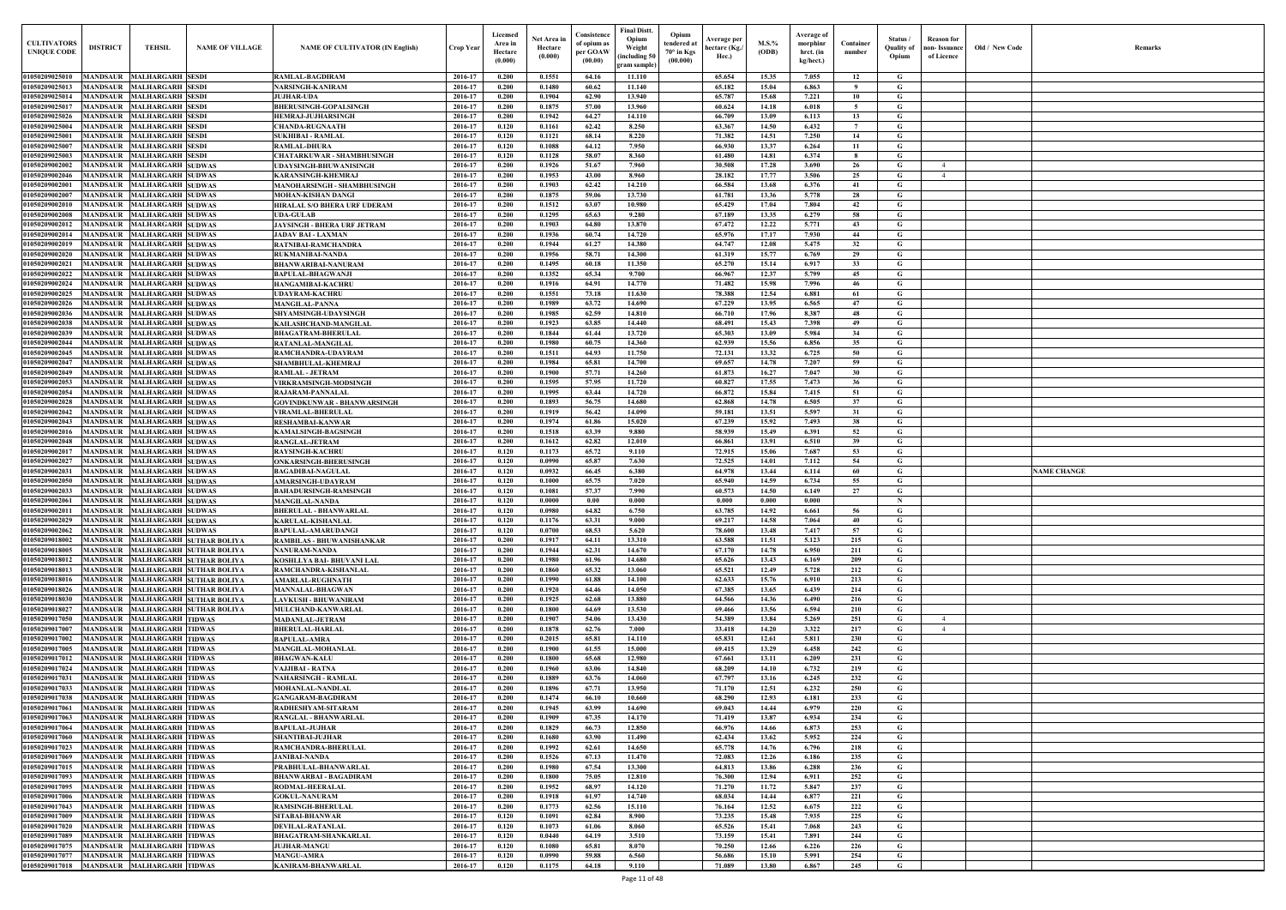| $\mathbf{Old} \, / \,$ New Code | Remarks            |
|---------------------------------|--------------------|
|                                 |                    |
|                                 |                    |
|                                 |                    |
|                                 |                    |
|                                 |                    |
|                                 |                    |
|                                 |                    |
|                                 |                    |
|                                 |                    |
|                                 |                    |
|                                 |                    |
|                                 |                    |
|                                 |                    |
|                                 |                    |
|                                 |                    |
|                                 |                    |
|                                 |                    |
|                                 |                    |
|                                 |                    |
|                                 |                    |
|                                 |                    |
|                                 |                    |
|                                 |                    |
|                                 |                    |
|                                 |                    |
|                                 |                    |
|                                 |                    |
|                                 | <b>NAME CHANGE</b> |
|                                 |                    |
|                                 |                    |
|                                 |                    |
|                                 |                    |
|                                 |                    |
|                                 |                    |
|                                 |                    |
|                                 |                    |
|                                 |                    |
|                                 |                    |
|                                 |                    |
|                                 |                    |
|                                 |                    |
|                                 |                    |
|                                 |                    |
|                                 |                    |
|                                 |                    |
|                                 |                    |
|                                 |                    |
|                                 |                    |
|                                 |                    |
|                                 |                    |
|                                 |                    |
|                                 |                    |
|                                 |                    |
|                                 |                    |
|                                 |                    |
|                                 |                    |

| <b>CULTIVATORS</b><br><b>UNIQUE CODE</b>     | <b>DISTRICT</b>                    | <b>TEHSIL</b>                                            | <b>NAME OF VILLAGE</b>                                                 | <b>NAME OF CULTIVATOR (IN English)</b>                 | <b>Crop Year</b>   | Licensed<br>Area in<br>Hectare<br>(0.000) | Net Area in<br>Hectare<br>(0.000) | Consistence<br>of opium as<br>per GOAW<br>(00.00) | <b>Final Distt.</b><br>Opium<br>Weight<br>including 50)<br>gram sample` | Opium<br>tendered at<br>70° in Kgs<br>(00.000) | Average per<br>hectare (Kg./<br>Hec.) | $M.S.$ %<br>(ODB) | Average of<br>morphinr<br>hrct. (in<br>kg/hect.) | Container<br>number | Status /<br><b>Quality of</b><br>Opium | <b>Reason</b> for<br>non- Issuance<br>of Licence | Old / New Code | <b>Remark</b>      |
|----------------------------------------------|------------------------------------|----------------------------------------------------------|------------------------------------------------------------------------|--------------------------------------------------------|--------------------|-------------------------------------------|-----------------------------------|---------------------------------------------------|-------------------------------------------------------------------------|------------------------------------------------|---------------------------------------|-------------------|--------------------------------------------------|---------------------|----------------------------------------|--------------------------------------------------|----------------|--------------------|
| 01050209025010                               |                                    | MANDSAUR MALHARGARH SESDI                                |                                                                        | RAMLAL-BAGDIRAM                                        | 2016-17            | 0.200                                     | 0.1551                            | 64.16                                             | 11.110                                                                  |                                                | 65.654                                | 15.35             | 7.055                                            | 12                  | G                                      |                                                  |                |                    |
| 01050209025013<br>01050209025014             | MANDSAUR<br><b>MANDSAUR</b>        | <b>MALHARGARH SESDI</b><br><b>MALHARGARH SESDI</b>       |                                                                        | <b>NARSINGH-KANIRAM</b><br><b>JUJHAR-UDA</b>           | 2016-17<br>2016-17 | 0.200<br>0.200                            | 0.1480<br>0.1904                  | 60.62<br>62.90                                    | 11.140<br>13.940                                                        |                                                | 65.182<br>65.787                      | 15.04<br>15.68    | 6.863<br>7.221                                   | - 9<br>10           | G<br>G                                 |                                                  |                |                    |
| 01050209025017                               | MANDSAUR                           | <b>MALHARGARH SESDI</b>                                  |                                                                        | <b>BHERUSINGH-GOPALSINGH</b>                           | 2016-17            | 0.200                                     | 0.1875                            | 57.00                                             | 13.960                                                                  |                                                | 60.624                                | 14.18             | 6.018                                            | -5                  | G                                      |                                                  |                |                    |
| 01050209025026                               | <b>MANDSAUR</b>                    | <b>MALHARGARH SESDI</b>                                  |                                                                        | <b>HEMRAJ-JUJHARSINGH</b>                              | 2016-17            | 0.200                                     | 0.1942                            | 64.27                                             | 14.110                                                                  |                                                | 66.709                                | 13.09             | 6.113                                            | 13                  | G                                      |                                                  |                |                    |
| 01050209025004                               | <b>MANDSAUR</b>                    | <b>MALHARGARH SESDI</b>                                  |                                                                        | <b>CHANDA-RUGNAATH</b>                                 | 2016-17            | 0.120                                     | 0.1161                            | 62.42                                             | 8.250                                                                   |                                                | 63.367                                | 14.50             | 6.432                                            | $7\overline{ }$     | $\mathbf G$                            |                                                  |                |                    |
| 01050209025001<br>01050209025007             | <b>MANDSAUR</b><br><b>MANDSAUR</b> | <b>MALHARGARH SESDI</b><br><b>MALHARGARH SESDI</b>       |                                                                        | SUKHIBAI - RAMLAL<br>RAMLAL-DHURA                      | 2016-17<br>2016-17 | 0.120<br>0.120                            | 0.1121<br>0.1088                  | 68.14<br>64.12                                    | 8.220<br>7.950                                                          |                                                | 71.382<br>66.930                      | 14.51<br>13.37    | 7.250<br>6.264                                   | 14<br>11            | G<br>$\mathbf G$                       |                                                  |                |                    |
| 01050209025003                               | <b>MANDSAUR</b>                    | <b>MALHARGARH SESDI</b>                                  |                                                                        | CHATARKUWAR - SHAMBHUSINGH                             | 2016-17            | 0.120                                     | 0.1128                            | 58.07                                             | 8.360                                                                   |                                                | 61.480                                | 14.81             | 6.374                                            | -8                  | G                                      |                                                  |                |                    |
| 01050209002002                               | <b>MANDSAUR</b>                    | <b>MALHARGARH SUDWAS</b>                                 |                                                                        | UDAYSINGH-BHUWANISINGH                                 | 2016-17            | 0.200                                     | 0.1926                            | 51.67                                             | 7.960                                                                   |                                                | 30.508                                | 17.28             | 3.690                                            | 26                  | G                                      | $\overline{4}$                                   |                |                    |
| 01050209002046<br>0105020900200              | <b>MANDSAUF</b><br><b>MANDSAUR</b> | <b>MALHARGARH SUDWAS</b><br><b>MALHARGARH SUDWAS</b>     |                                                                        | KARANSINGH-KHEMRAJ<br>MANOHARSINGH - SHAMBHUSINGH      | 2016-17<br>2016-17 | 0.200<br>0.200                            | 0.1953<br>0.1903                  | 43.00<br>62.42                                    | 8.960<br>14.210                                                         |                                                | 28.182<br>66.584                      | 17.77<br>13.68    | 3.506<br>6.376                                   | 25<br>41            | G<br>$\mathbf G$                       | $\overline{4}$                                   |                |                    |
| 0105020900200                                | MANDSAUR                           | <b>MALHARGARH SUDWAS</b>                                 |                                                                        | MOHAN-KISHAN DANGI                                     | 2016-17            | 0.200                                     | 0.1875                            | 59.06                                             | 13.730                                                                  |                                                | 61.781                                | 13.36             | 5.778                                            | 28                  | G                                      |                                                  |                |                    |
| 0105020900201                                | <b>MANDSAUR</b>                    | <b>MALHARGARH SUDWAS</b>                                 |                                                                        | HIRALAL S/O BHERA URF UDERAM                           | 2016-17            | 0.200                                     | 0.1512                            | 63.07                                             | 10.980                                                                  |                                                | 65.429                                | 17.04             | 7.804                                            | 42                  | $\mathbf G$                            |                                                  |                |                    |
| 0105020900200<br>0105020900201               | MANDSAUR<br>MANDSAUR               | <b>MALHARGARH SUDWAS</b><br><b>MALHARGARH SUDWAS</b>     |                                                                        | <b>UDA-GULAB</b><br>JAYSINGH - BHERA URF JETRAM        | 2016-17<br>2016-17 | 0.200<br>0.200                            | 0.1295<br>0.1903                  | 65.63<br>64.80                                    | 9.280<br>13.870                                                         |                                                | 67.189<br>67,472                      | 13.35<br>12.22    | 6.279<br>5.771                                   | 58<br>43            | G<br>G                                 |                                                  |                |                    |
| <b>0105020900201</b>                         | <b>MANDSAUR</b>                    | <b>MALHARGARH SUDWAS</b>                                 |                                                                        | JADAV BAI - LAXMAN                                     | 2016-17            | 0.200                                     | 0.1936                            | 60.74                                             | 14,720                                                                  |                                                | 65.976                                | 17.17             | 7.930                                            | 44                  | G                                      |                                                  |                |                    |
| 0105020900201                                | <b>MANDSAUR</b>                    | <b>MALHARGARH SUDWAS</b>                                 |                                                                        | RATNIBAI-RAMCHANDRA                                    | 2016-17            | 0.200                                     | 0.1944                            | 61.27                                             | 14.380                                                                  |                                                | 64.747                                | 12.08             | 5.475                                            | 32                  | G                                      |                                                  |                |                    |
| 0105020900202                                | <b>MANDSAUR</b>                    | <b>MALHARGARH SUDWAS</b>                                 |                                                                        | RUKMANIBAI-NANDA                                       | 2016-17            | 0.200                                     | 0.1956                            | 58.71                                             | 14.300                                                                  |                                                | 61.319                                | 15.77             | 6.769                                            | 29                  | G                                      |                                                  |                |                    |
| 01050209002021<br>01050209002022             | <b>MANDSAUR</b>                    | MANDSAUR MALHARGARH SUDWAS<br><b>MALHARGARH SUDWAS</b>   |                                                                        | BHANWARIBAI-NANURAM<br><b>BAPULAL-BHAGWANJI</b>        | 2016-17<br>2016-17 | 0.200<br>0.200                            | 0.1495<br>0.1352                  | 60.18<br>65.34                                    | 11.350<br>9.700                                                         |                                                | 65.270<br>66.967                      | 15.14<br>12.37    | 6.917<br>5.799                                   | 33<br>45            | G<br>G                                 |                                                  |                |                    |
| 01050209002024                               |                                    | MANDSAUR MALHARGARH SUDWAS                               |                                                                        | HANGAMIBAI-KACHRU                                      | 2016-17            | 0.200                                     | 0.1916                            | 64.91                                             | 14.770                                                                  |                                                | 71.482                                | 15.98             | 7.996                                            | 46                  | G                                      |                                                  |                |                    |
| 01050209002025                               |                                    | MANDSAUR MALHARGARH SUDWAS                               |                                                                        | UDAYRAM-KACHRU                                         | 2016-17            | 0.200                                     | 0.1551                            | 73.18                                             | 11.630                                                                  |                                                | 78.388                                | 12.54             | 6.881                                            | 61                  | G                                      |                                                  |                |                    |
| 01050209002026<br>01050209002036             | <b>MANDSAUR</b>                    | MANDSAUR MALHARGARH SUDWAS<br><b>MALHARGARH SUDWAS</b>   |                                                                        | <b>MANGILAL-PANNA</b><br><b>SHYAMSINGH-UDAYSINGH</b>   | 2016-17<br>2016-17 | 0.200<br>0.200                            | 0.1989<br>0.1985                  | 63.72<br>62.59                                    | 14.690<br>14.810                                                        |                                                | 67,229<br>66.710                      | 13.95<br>17.96    | 6.565<br>8.387                                   | 47<br>48            | $\mathbf G$<br>G                       |                                                  |                |                    |
| 01050209002038                               | <b>MANDSAUR</b>                    | <b>MALHARGARH SUDWAS</b>                                 |                                                                        | KAILASHCHAND-MANGILAL                                  | 2016-17            | 0.200                                     | 0.1923                            | 63.85                                             | 14.440                                                                  |                                                | 68.491                                | 15.43             | 7.398                                            | 49                  | G                                      |                                                  |                |                    |
| 01050209002039                               | <b>MANDSAUR</b>                    | <b>MALHARGARH SUDWAS</b>                                 |                                                                        | <b>BHAGATRAM-BHERULAL</b>                              | 2016-17            | 0.200                                     | 0.1844                            | 61.44                                             | 13.720                                                                  |                                                | 65.303                                | 13.09             | 5.984                                            | 34                  | $\mathbf G$                            |                                                  |                |                    |
| 01050209002044<br>01050209002045             | MANDSAUR<br><b>MANDSAUR</b>        | <b>MALHARGARH SUDWAS</b><br><b>MALHARGARH SUDWAS</b>     |                                                                        | RATANLAL-MANGILAL                                      | 2016-17<br>2016-17 | 0.200<br>0.200                            | 0.1980<br>0.1511                  | 60.75<br>64.93                                    | 14.360<br>11.750                                                        |                                                | 62.939<br>72.131                      | 15.56<br>13.32    | 6.856<br>6.725                                   | 35<br>50            | G<br>G                                 |                                                  |                |                    |
| 01050209002047                               | <b>MANDSAUR</b>                    | <b>MALHARGARH SUDWAS</b>                                 |                                                                        | RAMCHANDRA-UDAYRAM<br>SHAMBHULAL-KHEMRAJ               | 2016-17            | 0.200                                     | 0.1984                            | 65.81                                             | 14.700                                                                  |                                                | 69.657                                | 14.78             | 7.207                                            | 59                  | G                                      |                                                  |                |                    |
| 01050209002049                               | <b>MANDSAUR</b>                    | <b>MALHARGARH SUDWAS</b>                                 |                                                                        | <b>RAMLAL - JETRAM</b>                                 | 2016-17            | 0.200                                     | 0.1900                            | 57.71                                             | 14.260                                                                  |                                                | 61.873                                | 16.27             | 7.047                                            | 30                  | $\mathbf G$                            |                                                  |                |                    |
| 01050209002053                               | <b>MANDSAUR</b>                    | <b>MALHARGARH SUDWAS</b>                                 |                                                                        | <b>VIRKRAMSINGH-MODSINGH</b>                           | 2016-17            | 0.200                                     | 0.1595                            | 57.95                                             | 11.720                                                                  |                                                | 60.827                                | 17.55             | 7.473                                            | 36                  | G                                      |                                                  |                |                    |
| 01050209002054<br>01050209002028             | <b>MANDSAUR</b><br><b>MANDSAUR</b> | <b>MALHARGARH SUDWAS</b><br><b>MALHARGARH SUDWAS</b>     |                                                                        | RAJARAM-PANNALAL<br><b>GOVINDKUNWAR - BHANWARSINGH</b> | 2016-17<br>2016-17 | 0.200<br>0.200                            | 0.1995<br>0.1893                  | 63.44<br>56.75                                    | 14.720<br>14.680                                                        |                                                | 66.872<br>62.868                      | 15.84<br>14.78    | 7.415<br>6.505                                   | 51<br>37            | G<br>G                                 |                                                  |                |                    |
| 01050209002042                               | <b>MANDSAUR</b>                    | <b>MALHARGARH SUDWAS</b>                                 |                                                                        | <b>VIRAMLAL-BHERULAL</b>                               | 2016-17            | 0.200                                     | 0.1919                            | 56.42                                             | 14.090                                                                  |                                                | 59.181                                | 13.51             | 5.597                                            | 31                  | $\mathbf G$                            |                                                  |                |                    |
| 01050209002043                               | <b>MANDSAUR</b>                    | <b>MALHARGARH SUDWAS</b>                                 |                                                                        | <b>RESHAMBAI-KANWAR</b>                                | 2016-17            | 0.200                                     | 0.1974                            | 61.86                                             | 15.020                                                                  |                                                | 67.239                                | 15.92             | 7.493                                            | 38                  | G                                      |                                                  |                |                    |
| 0105020900201<br>01050209002048              | <b>MANDSAUR</b><br><b>MANDSAUR</b> | <b>MALHARGARH SUDWAS</b><br><b>MALHARGARH SUDWAS</b>     |                                                                        | KAMALSINGH-BAGSINGH<br><b>RANGLAL-JETRAM</b>           | 2016-17<br>2016-17 | 0.200<br>0.200                            | 0.1518<br>0.1612                  | 63.39<br>62.82                                    | 9.880<br>12.010                                                         |                                                | 58.939<br>66.861                      | 15.49<br>13.91    | 6.391<br>6.510                                   | 52<br>39            | $\mathbf G$<br>G                       |                                                  |                |                    |
| 0105020900201                                | <b>MANDSAUR</b>                    | <b>MALHARGARH SUDWAS</b>                                 |                                                                        | RAYSINGH-KACHRI                                        | 2016-17            | 0.120                                     | 0.1173                            | 65.72                                             | 9.110                                                                   |                                                | 72.915                                | 15.06             | 7.687                                            | 53                  | G                                      |                                                  |                |                    |
| 0105020900202                                | MANDSAUR                           | <b>MALHARGARH SUDWAS</b>                                 |                                                                        | ONKARSINGH-BHERUSINGH                                  | 2016-17            | 0.120                                     | 0.0990                            | 65.87                                             | 7.630                                                                   |                                                | 72.525                                | 14.01             | 7.112                                            | 54                  | G                                      |                                                  |                |                    |
| <b>0105020900203</b><br><b>0105020900205</b> | MANDSAUR<br><b>MANDSAUR</b>        | <b>MALHARGARH SUDWAS</b><br><b>MALHARGARH SUDWAS</b>     |                                                                        | BAGADIBAI-NAGULAL<br><b>AMARSINGH-UDAYRAM</b>          | 2016-17<br>2016-17 | 0.120<br>0.120                            | 0.0932<br>0.1000                  | 66.45<br>65.75                                    | 6.380<br>7.020                                                          |                                                | 64.978<br>65.940                      | 13.44<br>14.59    | 6.114<br>6.734                                   | 60<br>55            | G<br>G                                 |                                                  |                | <b>NAME CHANGE</b> |
| <b>01050209002033</b>                        | <b>MANDSAUR</b>                    | <b>MALHARGARH SUDWAS</b>                                 |                                                                        | <b>BAHADURSINGH-RAMSINGH</b>                           | 2016-17            | 0.120                                     | 0.1081                            | 57.37                                             | 7.990                                                                   |                                                | 60.573                                | 14.50             | 6.149                                            | 27                  | G                                      |                                                  |                |                    |
| 01050209002061                               |                                    | MANDSAUR MALHARGARH SUDWAS                               |                                                                        | <b>MANGILAL-NANDA</b>                                  | 2016-17            | 0.120                                     | 0.0000                            | 0.00                                              | 0.000                                                                   |                                                | 0.000                                 | 0.000             | 0.000                                            |                     | -N                                     |                                                  |                |                    |
| 01050209002011 MANDSAUR MALHARGARH SUDWAS    |                                    |                                                          |                                                                        | <b>BHERULAL - BHANWARLAL</b>                           | 2016-17            | 0.120                                     | 0.0980                            | 64.82                                             | 6.750                                                                   |                                                | 63.785                                | 14.92             | 6.661                                            | 56                  | G                                      |                                                  |                |                    |
| 01050209002029<br>01050209002062             |                                    | MANDSAUR MALHARGARH SUDWAS<br>MANDSAUR MALHARGARH SUDWAS |                                                                        | KARULAL-KISHANLAL<br>BAPULAL-AMARUDANGI                | 2016-17<br>2016-17 | 0.120<br>0.120                            | 0.1176<br>0.0700                  | 63.31<br>68.53                                    | 9.000<br>5.620                                                          |                                                | 69.217<br>78.600                      | 14.58<br>13.48    | 7.064<br>7.417                                   | 40<br>57            | G<br>G                                 |                                                  |                |                    |
| 01050209018002                               |                                    |                                                          | MANDSAUR MALHARGARH SUTHAR BOLIYA                                      | RAMBILAS - BHUWANISHANKAR                              | 2016-17            | 0.200                                     | 0.1917                            | 64.11                                             | 13.310                                                                  |                                                | 63.588                                | 11.51             | 5.123                                            | 215                 | G                                      |                                                  |                |                    |
| 01050209018005                               |                                    |                                                          | MANDSAUR MALHARGARH SUTHAR BOLIYA                                      | NANURAM-NANDA                                          | 2016-17            | 0.200                                     | 0.1944                            | 62.31                                             | 14.670                                                                  |                                                | 67.170                                | 14.78             | 6.950                                            | 211                 | $\mathbf G$                            |                                                  |                |                    |
| 01050209018012<br>01050209018013             |                                    |                                                          | MANDSAUR MALHARGARH SUTHAR BOLIYA<br>MANDSAUR MALHARGARH SUTHAR BOLIYA | KOSHLLYA BAI- BHUVANI LAL<br>RAMCHANDRA-KISHANLAL      | 2016-17<br>2016-17 | 0.200<br>0.200                            | 0.1980<br>0.1860                  | 61.96<br>65.32                                    | 14.680<br>13.060                                                        |                                                | 65.626<br>65.521                      | 13.43<br>12.49    | 6.169<br>5.728                                   | 209<br>212          | $\mathbf G$<br>$\mathbf G$             |                                                  |                |                    |
| 01050209018016                               |                                    |                                                          | MANDSAUR MALHARGARH SUTHAR BOLIYA                                      | <b>AMARLAL-RUGHNATH</b>                                | 2016-17            | 0.200                                     | 0.1990                            | 61.88                                             | 14.100                                                                  |                                                | 62.633                                | 15.76             | 6.910                                            | 213                 | $\mathbf G$                            |                                                  |                |                    |
| 01050209018026                               |                                    |                                                          | MANDSAUR MALHARGARH SUTHAR BOLIYA                                      | <b>MANNALAL-BHAGWAN</b>                                | 2016-17            | 0.200                                     | 0.1920                            | 64.46                                             | 14.050                                                                  |                                                | 67.385                                | 13.65             | 6.439                                            | 214                 | $\mathbf G$                            |                                                  |                |                    |
| 01050209018030<br>01050209018027             | <b>MANDSAUR</b><br><b>MANDSAUR</b> |                                                          | <b>MALHARGARH SUTHAR BOLIYA</b><br><b>MALHARGARH SUTHAR BOLIYA</b>     | <b>LAVKUSH - BHUWANIRAM</b><br>MULCHAND-KANWARLAL      | 2016-17<br>2016-17 | 0.200<br>0.200                            | 0.1925<br>0.1800                  | 62.68<br>64.69                                    | 13.880<br>13.530                                                        |                                                | 64.566<br>69.466                      | 14.36<br>13.56    | 6.490<br>6.594                                   | 216<br>210          | $\mathbf G$<br>$\mathbf G$             |                                                  |                |                    |
| 01050209017050                               | <b>MANDSAUR</b>                    | <b>MALHARGARH TIDWAS</b>                                 |                                                                        | <b>MADANLAL-JETRAM</b>                                 | 2016-17            | 0.200                                     | 0.1907                            | 54.06                                             | 13.430                                                                  |                                                | 54.389                                | 13.84             | 5.269                                            | 251                 | $\mathbf G$                            | $\overline{4}$                                   |                |                    |
| 01050209017007                               | <b>MANDSAUR</b>                    | <b>MALHARGARH TIDWAS</b>                                 |                                                                        | <b>BHERULAL-HARLAL</b>                                 | 2016-17            | 0.200                                     | 0.1878                            | 62.76                                             | 7.000                                                                   |                                                | 33.418                                | 14.20             | 3.322                                            | 217                 | G                                      | $\overline{4}$                                   |                |                    |
| 01050209017002                               | <b>MANDSAUR</b>                    | <b>MALHARGARH TIDWAS</b>                                 |                                                                        | <b>BAPULAL-AMRA</b>                                    | 2016-17<br>2016-17 | 0.200<br>0.200                            | 0.2015<br>0.1900                  | 65.81<br>61.55                                    | 14.110<br>15.000                                                        |                                                | 65.831                                | 12.61             | 5.811                                            | 230                 | $\mathbf G$<br>$\mathbf G$             |                                                  |                |                    |
| 01050209017005<br>01050209017012             | <b>MANDSAUR</b><br><b>MANDSAUR</b> | <b>MALHARGARH TIDWAS</b><br><b>MALHARGARH TIDWAS</b>     |                                                                        | MANGILAL-MOHANLAL<br><b>BHAGWAN-KALU</b>               | 2016-17            | 0.200                                     | 0.1800                            | 65.68                                             | 12.980                                                                  |                                                | 69.415<br>67.661                      | 13.29<br>13.11    | 6.458<br>6.209                                   | 242<br>231          | $\mathbf{G}$                           |                                                  |                |                    |
| 01050209017024                               | <b>MANDSAUR</b>                    | <b>MALHARGARH TIDWAS</b>                                 |                                                                        | VAJJIBAI - RATNA                                       | 2016-17            | 0.200                                     | 0.1960                            | 63.06                                             | 14.840                                                                  |                                                | 68.209                                | 14.10             | 6.732                                            | 219                 | $\mathbf G$                            |                                                  |                |                    |
| 01050209017031<br>01050209017033             | <b>MANDSAUR</b>                    | MANDSAUR MALHARGARH TIDWAS<br><b>MALHARGARH TIDWAS</b>   |                                                                        | NAHARSINGH - RAMLAL<br><b>MOHANLAL-NANDLAL</b>         | 2016-17<br>2016-17 | 0.200<br>0.200                            | 0.1889<br>0.1896                  | 63.76<br>67.71                                    | 14.060<br>13.950                                                        |                                                | 67.797<br>71.170                      | 13.16<br>12.51    | 6.245<br>6.232                                   | 232<br>250          | $\mathbf G$<br>$\mathbf G$             |                                                  |                |                    |
| 01050209017038                               |                                    | MANDSAUR MALHARGARH TIDWAS                               |                                                                        | <b>GANGARAM-BAGDIRAM</b>                               | 2016-17            | 0.200                                     | 0.1474                            | 66.10                                             | 10.660                                                                  |                                                | 68.290                                | 12.93             | 6.181                                            | 233                 | $\mathbf G$                            |                                                  |                |                    |
| 01050209017061                               | <b>MANDSAUR</b>                    | <b>MALHARGARH TIDWAS</b>                                 |                                                                        | RADHESHYAM-SITARAM                                     | 2016-17            | 0.200                                     | 0.1945                            | 63.99                                             | 14.690                                                                  |                                                | 69.043                                | 14.44             | 6.979                                            | 220                 | G                                      |                                                  |                |                    |
| 01050209017063                               |                                    | MANDSAUR MALHARGARH TIDWAS                               |                                                                        | RANGLAL - BHANWARLAL                                   | 2016-17            | 0.200                                     | 0.1909                            | 67.35                                             | 14.170                                                                  |                                                | 71.419                                | 13.87             | 6.934                                            | 234                 | $\mathbf G$                            |                                                  |                |                    |
| 01050209017064<br>01050209017060             |                                    | MANDSAUR MALHARGARH TIDWAS<br>MANDSAUR MALHARGARH TIDWAS |                                                                        | <b>BAPULAL-JUJHAR</b><br>SHANTIBAI-JUJHAR              | 2016-17<br>2016-17 | 0.200<br>0.200                            | 0.1829<br>0.1680                  | 66.73<br>63.90                                    | 12.850<br>11.490                                                        |                                                | 66.976<br>62.434                      | 14.66<br>13.62    | 6.873<br>5.952                                   | 253<br>224          | G<br>$\mathbf G$                       |                                                  |                |                    |
| 01050209017023                               |                                    | MANDSAUR MALHARGARH TIDWAS                               |                                                                        | RAMCHANDRA-BHERULAL                                    | 2016-17            | 0.200                                     | 0.1992                            | 62.61                                             | 14.650                                                                  |                                                | 65.778                                | 14.76             | 6.796                                            | 218                 | $\mathbf G$                            |                                                  |                |                    |
| 01050209017069                               |                                    | MANDSAUR MALHARGARH TIDWAS                               |                                                                        | <b>JANIBAI-NANDA</b>                                   | 2016-17            | 0.200                                     | 0.1526                            | 67.13                                             | 11.470                                                                  |                                                | 72.083                                | 12.26             | 6.186                                            | 235                 | $\mathbf G$                            |                                                  |                |                    |
| 01050209017015<br>01050209017093             |                                    | MANDSAUR MALHARGARH TIDWAS<br>MANDSAUR MALHARGARH TIDWAS |                                                                        | PRABHULAL-BHANWARLAL<br><b>BHANWARBAI - BAGADIRAM</b>  | 2016-17<br>2016-17 | 0.200<br>0.200                            | 0.1980<br>0.1800                  | 67.54<br>75.05                                    | 13.300<br>12.810                                                        |                                                | 64.813<br>76.300                      | 13.86<br>12.94    | 6.288<br>6.911                                   | 236<br>252          | $\mathbf G$<br>$\mathbf G$             |                                                  |                |                    |
| 01050209017095                               |                                    | MANDSAUR MALHARGARH TIDWAS                               |                                                                        | RODMAL-HEERALAL                                        | 2016-17            | 0.200                                     | 0.1952                            | 68.97                                             | 14.120                                                                  |                                                | 71.270                                | 11.72             | 5.847                                            | 237                 | $\mathbf G$                            |                                                  |                |                    |
| 01050209017006                               |                                    | MANDSAUR MALHARGARH TIDWAS                               |                                                                        | <b>GOKUL-NANURAM</b>                                   | 2016-17            | 0.200                                     | 0.1918                            | 61.97                                             | 14.740                                                                  |                                                | 68.034                                | 14.44             | 6.877                                            | 221                 | $\mathbf G$                            |                                                  |                |                    |
| 01050209017043<br>01050209017009             |                                    | MANDSAUR MALHARGARH TIDWAS<br>MANDSAUR MALHARGARH TIDWAS |                                                                        | <b>RAMSINGH-BHERULAL</b><br><b>SITABAI-BHANWAR</b>     | 2016-17<br>2016-17 | 0.200<br>0.120                            | 0.1773<br>0.1091                  | 62.56<br>62.84                                    | 15.110<br>8.900                                                         |                                                | 76.164<br>73.235                      | 12.52             | 6.675<br>7.935                                   | 222<br>225          | $\mathbf G$<br>$\mathbf G$             |                                                  |                |                    |
| 01050209017020                               |                                    | MANDSAUR MALHARGARH TIDWAS                               |                                                                        | DEVILAL-RATANLAL                                       | 2016-17            | 0.120                                     | 0.1073                            | 61.06                                             | 8.060                                                                   |                                                | 65.526                                | 15.48<br>15.41    | 7.068                                            | 243                 | $\mathbf G$                            |                                                  |                |                    |
| 01050209017089                               |                                    | MANDSAUR MALHARGARH TIDWAS                               |                                                                        | <b>BHAGATRAM-SHANKARLAL</b>                            | 2016-17            | 0.120                                     | 0.0440                            | 64.19                                             | 3.510                                                                   |                                                | 73.159                                | 15.41             | 7.891                                            | 244                 | $\mathbf G$                            |                                                  |                |                    |
| 01050209017075                               |                                    | MANDSAUR MALHARGARH TIDWAS                               |                                                                        | <b>JUJHAR-MANGU</b>                                    | 2016-17            | 0.120                                     | 0.1080                            | 65.81                                             | 8.070                                                                   |                                                | 70.250                                | 12.66             | 6.226                                            | 226                 | $\mathbf G$                            |                                                  |                |                    |
| 01050209017077<br>01050209017018             |                                    | MANDSAUR MALHARGARH TIDWAS<br>MANDSAUR MALHARGARH TIDWAS |                                                                        | <b>MANGU-AMRA</b><br>KANIRAM-BHANWARLAL                | 2016-17<br>2016-17 | 0.120<br>0.120                            | 0.0990<br>0.1175                  | 59.88<br>64.18                                    | 6.560<br>9.110                                                          |                                                | 56.686<br>71.089                      | 15.10<br>13.80    | 5.991<br>6.867                                   | 254<br>245          | $\mathbf{G}$<br>$\mathbf G$            |                                                  |                |                    |
|                                              |                                    |                                                          |                                                                        |                                                        |                    |                                           |                                   |                                                   |                                                                         |                                                |                                       |                   |                                                  |                     |                                        |                                                  |                |                    |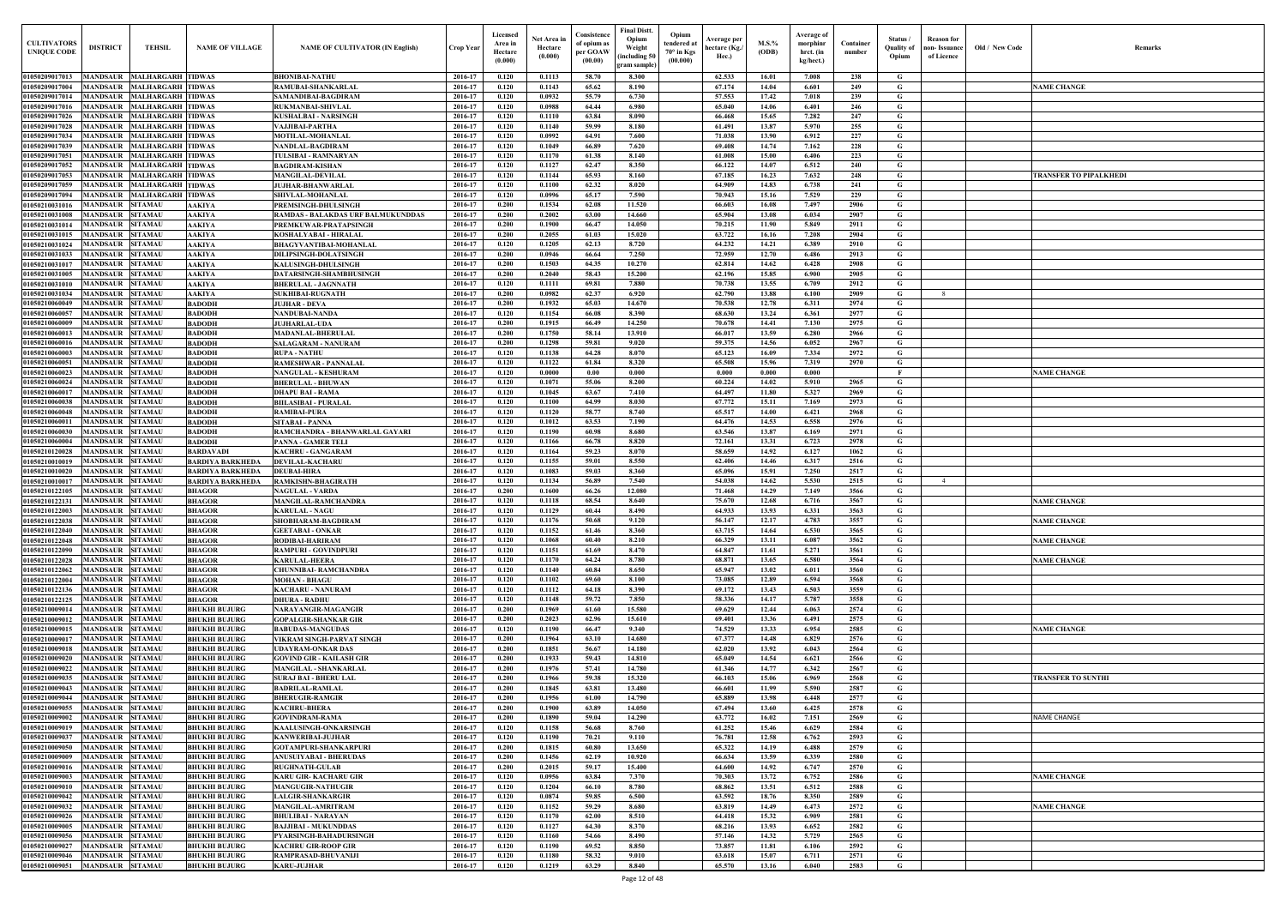| Old / New Code | Remarks                |
|----------------|------------------------|
|                | <b>NAME CHANGE</b>     |
|                |                        |
|                |                        |
|                |                        |
|                |                        |
|                | TRANSFER TO PIPALKHEDI |
|                |                        |
|                |                        |
|                |                        |
|                |                        |
|                |                        |
|                |                        |
|                |                        |
|                |                        |
|                |                        |
|                |                        |
|                |                        |
|                | <b>NAME CHANGE</b>     |
|                |                        |
|                |                        |
|                |                        |
|                |                        |
|                |                        |
|                |                        |
|                |                        |
|                | <b>NAME CHANGE</b>     |
|                | <b>NAME CHANGE</b>     |
|                | <b>NAME CHANGE</b>     |
|                | <b>NAME CHANGE</b>     |
|                |                        |
|                |                        |
|                |                        |
|                | <b>NAME CHANGE</b>     |
|                |                        |
|                |                        |
|                | TRANSFER TO SUNTHI     |
|                |                        |
|                |                        |
|                | NAME CHANGE            |
|                |                        |
|                |                        |
|                | <b>NAME CHANGE</b>     |
|                |                        |
|                | <b>NAME CHANGE</b>     |
|                |                        |
|                |                        |
|                |                        |
|                |                        |

| <b>CULTIVATORS</b><br><b>UNIQUE CODE</b> | <b>DISTRICT</b>                             | <b>TEHSIL</b>                                        | <b>NAME OF VILLAGE</b>                       | <b>NAME OF CULTIVATOR (IN English)</b>                        | Crop Year          | Licensed<br>Area in<br>Hectare<br>(0.000) | Net Area in<br>Hectare<br>(0.000) | Consistence<br>of opium as<br>per GOAW<br>(00.00) | <b>Final Distt.</b><br>Opium<br>Opium<br>tendered at<br>Weight<br>$70^\circ$ in Kgs<br>including 50)<br>(00.000)<br>gram sample) | Average per<br>hectare (Kg./<br>Hec.) | $M.S.\%$<br>(ODB) | Average of<br>morphinr<br>hrct. (in<br>kg/hect.) | Container<br>number | Status/<br><b>Ouality of</b><br>Opium | <b>Reason</b> for<br>ıon- Issuance<br>of Licence | Old / New Code | <b>Remark</b>             |
|------------------------------------------|---------------------------------------------|------------------------------------------------------|----------------------------------------------|---------------------------------------------------------------|--------------------|-------------------------------------------|-----------------------------------|---------------------------------------------------|----------------------------------------------------------------------------------------------------------------------------------|---------------------------------------|-------------------|--------------------------------------------------|---------------------|---------------------------------------|--------------------------------------------------|----------------|---------------------------|
| 01050209017013                           |                                             | MANDSAUR MALHARGARH TIDWAS                           |                                              | <b>BHONIBAI-NATHU</b>                                         | 2016-17            | 0.120                                     | 0.1113                            | 58.70                                             | 8.300                                                                                                                            | 62.533                                | 16.01             | 7.008                                            | 238                 | G                                     |                                                  |                |                           |
| 01050209017004                           | <b>MANDSAUR</b>                             | <b>MALHARGARH TIDWAS</b>                             |                                              | RAMUBAI-SHANKARLAL                                            | 2016-17            | 0.120                                     | 0.1143                            | 65.62                                             | 8.190                                                                                                                            | 67.174                                | 14.04             | 6.601                                            | 249                 | G                                     |                                                  |                | <b>NAME CHANGE</b>        |
| 01050209017014                           | <b>MANDSAUR</b>                             | <b>MALHARGARH TIDWAS</b>                             |                                              | SAMANDIBAI-BAGDIRAM                                           | 2016-17            | 0.120                                     | 0.0932                            | 55.79                                             | 6.730                                                                                                                            | 57.553                                | 17.42             | 7.018                                            | 239                 | G                                     |                                                  |                |                           |
| 01050209017016<br>01050209017026         | <b>MANDSAUR</b><br><b>MANDSAUR</b>          | <b>MALHARGARH TIDWAS</b><br><b>MALHARGARH TIDWAS</b> |                                              | <b>RUKMANBAI-SHIVLAL</b><br>KUSHALBAI - NARSINGH              | 2016-17<br>2016-17 | 0.120<br>0.120                            | 0.0988<br>0.1110                  | 64.44<br>63.84                                    | 6.980<br>8.090                                                                                                                   | 65.040<br>66.468                      | 14.06<br>15.65    | 6.401<br>7.282                                   | 246<br>247          | G<br>G                                |                                                  |                |                           |
| 01050209017028                           | <b>MANDSAUR</b>                             | <b>MALHARGARH TIDWAS</b>                             |                                              | <b>VAJJIBAI-PARTHA</b>                                        | 2016-17            | 0.120                                     | 0.1140                            | 59.99                                             | 8.180                                                                                                                            | 61.491                                | 13.87             | 5.970                                            | 255                 | G                                     |                                                  |                |                           |
| 01050209017034                           | <b>MANDSAUR</b>                             | <b>MALHARGARH TIDWAS</b>                             |                                              | <b>MOTILAL-MOHANLAI</b>                                       | 2016-17            | 0.120                                     | 0.0992                            | 64.91                                             | 7.600                                                                                                                            | 71.038                                | 13.90             | 6.912                                            | 227                 | G                                     |                                                  |                |                           |
| 01050209017039                           | <b>MANDSAUR</b>                             | <b>MALHARGARH TIDWAS</b>                             |                                              | <b>NANDLAL-BAGDIRAM</b>                                       | 2016-17            | 0.120                                     | 0.1049                            | 66.89                                             | 7.620                                                                                                                            | 69.408                                | 14.74             | 7.162                                            | 228                 | G                                     |                                                  |                |                           |
| 01050209017051                           | <b>MANDSAUR</b>                             | <b>MALHARGARH TIDWAS</b>                             |                                              | TULSIBAI - RAMNARYAN                                          | 2016-17            | 0.120                                     | 0.1170                            | 61.38                                             | 8.140                                                                                                                            | 61.008                                | 15.00             | 6.406                                            | 223                 | G                                     |                                                  |                |                           |
| 01050209017052<br>01050209017053         | <b>MANDSAUR</b><br><b>MANDSAUR</b>          | <b>MALHARGARH TIDWAS</b><br><b>MALHARGARH TIDWAS</b> |                                              | <b>BAGDIRAM-KISHAN</b><br><b>MANGILAL-DEVILAL</b>             | 2016-17<br>2016-17 | 0.120<br>0.120                            | 0.1127<br>0.1144                  | 62.47<br>65.93                                    | 8.350<br>8.160                                                                                                                   | 66.122<br>67.185                      | 14.07<br>16.23    | 6.512<br>7.632                                   | 240<br>248          | $\mathbf G$<br>G                      |                                                  |                | TRANSFER TO PIPALKHEDI    |
| 01050209017059                           | <b>MANDSAUR</b>                             | <b>MALHARGARH TIDWAS</b>                             |                                              | <b>JUJHAR-BHANWARLAL</b>                                      | 2016-17            | 0.120                                     | 0.1100                            | 62.32                                             | 8.020                                                                                                                            | 64.909                                | 14.83             | 6.738                                            | 241                 | G                                     |                                                  |                |                           |
| 01050209017094                           | <b>MANDSAUR</b>                             | <b>MALHARGARH TIDWAS</b>                             |                                              | SHIVLAL-MOHANLAL                                              | 2016-17            | 0.120                                     | 0.0996                            | 65.17                                             | 7.590                                                                                                                            | 70.943                                | 15.16             | 7.529                                            | 229                 | G                                     |                                                  |                |                           |
| 01050210031016                           | <b>MANDSAUR</b>                             | <b>SITAMAU</b>                                       | <b>AAKIYA</b>                                | PREMSINGH-DHULSINGH                                           | 2016-17            | 0.200                                     | 0.1534                            | 62.08                                             | 11.520                                                                                                                           | 66.603                                | 16.08             | 7.497                                            | 2906                | G                                     |                                                  |                |                           |
| 01050210031008                           | <b>MANDSAUR</b>                             | <b>SITAMAU</b>                                       | <b>AAKIYA</b>                                | <b>RAMDAS - BALAKDAS URF BALMUKUNDDAS</b>                     | 2016-17            | 0.200                                     | 0.2002                            | 63.00                                             | 14.660                                                                                                                           | 65.904                                | 13.08             | 6.034                                            | 2907                | $\mathbf G$                           |                                                  |                |                           |
| 01050210031014                           | <b>MANDSAUR</b><br><b>MANDSAUR</b>          | <b>SITAMAU</b><br><b>SITAMAU</b>                     | <b>AAKIYA</b>                                | PREMKUWAR-PRATAPSINGH                                         | 2016-17<br>2016-17 | 0.200<br>0.200                            | 0.1900<br>0.2055                  | 66.47<br>61.03                                    | 14.050<br>15.020                                                                                                                 | 70.215<br>63.722                      | 11.90<br>16.16    | 5.849<br>7.208                                   | 2911<br>2904        | $\mathbf G$<br>G                      |                                                  |                |                           |
| 01050210031015<br>01050210031024         | MANDSAUR                                    | <b>SITAMAU</b>                                       | <b>AAKIYA</b><br><b>AAKIYA</b>               | KOSHALYABAI - HIRALAL<br><b>BHAGYVANTIBAI-MOHANLAI</b>        | 2016-17            | 0.120                                     | 0.1205                            | 62.13                                             | 8.720                                                                                                                            | 64.232                                | 14.21             | 6.389                                            | 2910                | G                                     |                                                  |                |                           |
| 01050210031033                           | MANDSAUR                                    | <b>SITAMAU</b>                                       | <b>AAKIYA</b>                                | <b>DILIPSINGH-DOLATSINGE</b>                                  | 2016-17            | 0.200                                     | 0.0946                            | 66.64                                             | 7.250                                                                                                                            | 72.959                                | 12.70             | 6.486                                            | 2913                | G                                     |                                                  |                |                           |
| 01050210031017                           | MANDSAUR                                    | <b>SITAMAU</b>                                       | <b>AAKIYA</b>                                | <b>KALUSINGH-DHULSINGH</b>                                    | 2016-17            | 0.200                                     | 0.1503                            | 64.35                                             | 10.270                                                                                                                           | 62.814                                | 14.62             | 6.428                                            | 2908                | G                                     |                                                  |                |                           |
| 01050210031005                           | MANDSAUR                                    | <b>SITAMAU</b>                                       | <b>AAKIYA</b>                                | DATARSINGH-SHAMBHUSINGH                                       | 2016-17            | 0.200                                     | 0.2040                            | 58.43                                             | 15.200                                                                                                                           | 62.196                                | 15.85             | 6.900                                            | 2905                | G                                     |                                                  |                |                           |
| 01050210031010                           | <b>MANDSAUR</b>                             | <b>SITAMAU</b>                                       | AAKIYA                                       | <b>BHERULAL - JAGNNATH</b>                                    | 2016-17            | 0.120                                     | 0.1111                            | 69.81                                             | 7.880                                                                                                                            | 70.738                                | 13.55             | 6.709                                            | 2912                | G                                     |                                                  |                |                           |
| 01050210031034<br>01050210060049         | <b>MANDSAUR</b><br><b>MANDSAUR SITAMAU</b>  | <b>SITAMAU</b>                                       | <b>AAKIYA</b><br><b>BADODH</b>               | <b>SUKHIBAI-RUGNATH</b><br><b>JUJHAR - DEVA</b>               | 2016-17<br>2016-17 | 0.200<br>0.200                            | 0.0982<br>0.1932                  | 62.37<br>65.03                                    | 6.920<br>14.670                                                                                                                  | 62.790<br>70.538                      | 13.88<br>12.78    | 6.100<br>6.311                                   | 2909<br>2974        | G<br>G                                |                                                  |                |                           |
| 01050210060057                           | <b>MANDSAUR</b>                             | <b>SITAMAU</b>                                       | <b>BADODH</b>                                | <b>NANDUBAI-NANDA</b>                                         | 2016-17            | 0.120                                     | 0.1154                            | 66.08                                             | 8.390                                                                                                                            | 68.630                                | 13.24             | 6.361                                            | 2977                | G                                     |                                                  |                |                           |
| 01050210060009                           | <b>MANDSAUR SITAMAU</b>                     |                                                      | <b>BADODH</b>                                | <b>JUJHARLAL-UDA</b>                                          | 2016-17            | 0.200                                     | 0.1915                            | 66.49                                             | 14.250                                                                                                                           | 70.678                                | 14.41             | 7.130                                            | 2975                | G                                     |                                                  |                |                           |
| 01050210060013                           | <b>MANDSAUR</b>                             | <b>SITAMAU</b>                                       | <b>BADODH</b>                                | <b>MADANLAL-BHERULAL</b>                                      | 2016-17            | 0.200                                     | 0.1750                            | 58.14                                             | 13.910                                                                                                                           | 66.017                                | 13.59             | 6.280                                            | 2966                | G                                     |                                                  |                |                           |
| 01050210060016                           | MANDSAUR                                    | <b>SITAMAU</b>                                       | <b>BADODH</b>                                | SALAGARAM - NANURAM                                           | 2016-17            | 0.200                                     | 0.1298                            | 59.81                                             | 9.020                                                                                                                            | 59.375                                | 14.56             | 6.052                                            | 2967                | G                                     |                                                  |                |                           |
| 01050210060003<br>01050210060051         | <b>MANDSAUR</b><br>MANDSAUR                 | <b>SITAMAU</b><br><b>SITAMAU</b>                     | <b>BADODH</b><br><b>BADODH</b>               | <b>RUPA - NATHU</b>                                           | 2016-17<br>2016-17 | 0.120<br>0.120                            | 0.1138<br>0.1122                  | 64.28<br>61.84                                    | 8.070<br>8.320                                                                                                                   | 65.123<br>65.508                      | 16.09<br>15.96    | 7.334<br>7.319                                   | 2972<br>2970        | G<br>G                                |                                                  |                |                           |
| 01050210060023                           | <b>MANDSAUR</b>                             | <b>SITAMAU</b>                                       | <b>BADODH</b>                                | RAMESHWAR - PANNALAL<br><b>NANGULAL - KESHURAM</b>            | 2016-17            | 0.120                                     | 0.0000                            | 0.00                                              | 0.000                                                                                                                            | 0.000                                 | 0.000             | 0.000                                            |                     | $\mathbf{F}$                          |                                                  |                | <b>NAME CHANGE</b>        |
| 01050210060024                           | MANDSAUR                                    | <b>SITAMAU</b>                                       | <b>BADODH</b>                                | <b>BHERULAL - BHUWAN</b>                                      | 2016-17            | 0.120                                     | 0.1071                            | 55.06                                             | 8.200                                                                                                                            | 60.224                                | 14.02             | 5.910                                            | 2965                | G                                     |                                                  |                |                           |
| 0105021006001                            | <b>MANDSAUR</b>                             | <b>SITAMAU</b>                                       | <b>BADODH</b>                                | <b>DHAPU BAI - RAMA</b>                                       | 2016-17            | 0.120                                     | 0.1045                            | 63.67                                             | 7.410                                                                                                                            | 64.497                                | 11.80             | 5.327                                            | 2969                | G                                     |                                                  |                |                           |
| 01050210060038                           | MANDSAUR                                    | <b>SITAMAU</b>                                       | <b>BADODH</b>                                | <b>BIILASIBAI - PURALAL</b>                                   | 2016-17            | 0.120                                     | 0.1100                            | 64.99                                             | 8.030                                                                                                                            | 67.772                                | 15.11             | 7.169                                            | 2973                | G                                     |                                                  |                |                           |
| 01050210060048                           | MANDSAUR                                    | <b>SITAMAU</b>                                       | <b>BADODH</b>                                | <b>RAMIBAI-PURA</b>                                           | 2016-17            | 0.120                                     | 0.1120                            | 58.77                                             | 8.740                                                                                                                            | 65.517                                | 14.00             | 6.421                                            | 2968                | $\mathbf G$                           |                                                  |                |                           |
| 01050210060011<br>01050210060030         | MANDSAUR<br>MANDSAUR                        | <b>SITAMAU</b><br><b>SITAMAU</b>                     | <b>BADODH</b><br><b>BADODH</b>               | <b>SITABAI - PANNA</b><br>RAMCHANDRA - BHANWARLAL GAYARI      | 2016-17<br>2016-17 | 0.120<br>0.120                            | 0.1012<br>0.1190                  | 63.53<br>60.98                                    | 7.190<br>8.680                                                                                                                   | 64.476<br>63.546                      | 14.53<br>13.87    | 6.558<br>6.169                                   | 2976<br>2971        | G<br>G                                |                                                  |                |                           |
| 01050210060004                           | MANDSAUR                                    | <b>SITAMAU</b>                                       | <b>BADODH</b>                                | <b>PANNA - GAMER TELI</b>                                     | 2016-17            | 0.120                                     | 0.1166                            | 66.78                                             | 8.820                                                                                                                            | 72.161                                | 13.31             | 6.723                                            | 2978                | G                                     |                                                  |                |                           |
| 01050210120028                           | MANDSAUR                                    | <b>SITAMAU</b>                                       | <b>BARDAVADI</b>                             | <b>KACHRU - GANGARAM</b>                                      | 2016-17            | 0.120                                     | 0.1164                            | 59.23                                             | 8.070                                                                                                                            | 58.659                                | 14.92             | 6.127                                            | 1062                | G                                     |                                                  |                |                           |
| 01050210010019                           | MANDSAUR                                    | <b>SITAMAU</b>                                       | <b>BARDIYA BARKHEDA</b>                      | <b>DEVILAL-KACHARU</b>                                        | 2016-17            | 0.120                                     | 0.1155                            | 59.01                                             | 8.550                                                                                                                            | 62.406                                | 14.46             | 6.317                                            | 2516                | $\mathbf G$                           |                                                  |                |                           |
| 01050210010020                           | MANDSAUR                                    | <b>SITAMAU</b>                                       | <b>BARDIYA BARKHEDA</b>                      | <b>DEUBAI-HIRA</b>                                            | 2016-17            | 0.120                                     | 0.1083                            | 59.03                                             | 8.360                                                                                                                            | 65.096                                | 15.91             | 7.250                                            | 2517                | $\mathbf G$                           |                                                  |                |                           |
| 0105021001001'<br>01050210122105         | MANDSAUR<br>MANDSAUR                        | <b>SITAMAU</b><br><b>SITAMAU</b>                     | <b>BARDIYA BARKHEDA</b><br><b>BHAGOR</b>     | RAMKISHN-BHAGIRATH<br>NAGULAL - VARDA                         | 2016-17<br>2016-17 | 0.120<br>0.200                            | 0.1134<br>0.1600                  | 56.89<br>66.26                                    | 7.540<br>12.080                                                                                                                  | 54.038<br>71.468                      | 14.62<br>14.29    | 5.530<br>7.149                                   | 2515<br>3566        | G<br>G                                |                                                  |                |                           |
| 01050210122131                           | <b>MANDSAUR</b>                             | <b>SITAMAU</b>                                       | <b>BHAGOR</b>                                | <b>MANGILAL-RAMCHANDRA</b>                                    | 2016-17            | 0.120                                     | 0.1118                            | 68.54                                             | 8.640                                                                                                                            | 75.670                                | 12.68             | 6.716                                            | 3567                | G                                     |                                                  |                | <b>NAME CHANGE</b>        |
| 01050210122003 MANDSAUR SITAMAU          |                                             |                                                      | <b>BHAGOR</b>                                | <b>KARULAL - NAGU</b>                                         | 2016-17            | 0.120                                     | 0.1129                            | 60.44                                             | 8.490                                                                                                                            | 64.933                                | 13.93             | 6.331                                            | 3563                | G                                     |                                                  |                |                           |
| 01050210122038                           | MANDSAUR SITAMAU                            |                                                      | <b>BHAGOR</b>                                | SHOBHARAM-BAGDIRAM                                            | 2016-17            | 0.120                                     | 0.1176                            | 50.68                                             | 9.120                                                                                                                            | 56.147                                | 12.17             | 4.783                                            | 3557                | G                                     |                                                  |                | <b>NAME CHANGE</b>        |
| 01050210122040                           | <b>MANDSAUR SITAMAU</b>                     |                                                      | <b>BHAGOR</b>                                | <b>GEETABAI - ONKAR</b>                                       | 2016-17            | 0.120                                     | 0.1152                            | 61.46                                             | 8.360                                                                                                                            | 63.715                                | 14.64             | 6.530                                            | 3565                | G                                     |                                                  |                |                           |
| 01050210122048                           | MANDSAUR SITAMAU                            |                                                      | <b>BHAGOR</b>                                | RODIBAI-HARIRAM                                               | 2016-17            | 0.120                                     | 0.1068                            | 60.40                                             | 8.210                                                                                                                            | 66.329                                | 13.11             | 6.087                                            | 3562                | $\mathbf{G}$                          |                                                  |                | <b>NAME CHANGE</b>        |
| 01050210122090<br>01050210122028         | MANDSAUR SITAMAU<br>MANDSAUR SITAMAU        |                                                      | <b>BHAGOR</b><br><b>BHAGOR</b>               | <b>RAMPURI - GOVINDPURI</b><br><b>KARULAL-HEERA</b>           | 2016-17<br>2016-17 | 0.120<br>0.120                            | 0.1151<br>0.1170                  | 61.69<br>64.24                                    | 8.470<br>8.780                                                                                                                   | 64.847<br>68.871                      | 11.61<br>13.65    | 5.271<br>6.580                                   | 3561<br>3564        | G<br>G                                |                                                  |                | <b>NAME CHANGE</b>        |
| 01050210122062                           | MANDSAUR SITAMAU                            |                                                      | <b>BHAGOR</b>                                | <b>CHUNNIBAI- RAMCHANDRA</b>                                  | 2016-17            | 0.120                                     | 0.1140                            | 60.84                                             | 8.650                                                                                                                            | 65.947                                | 13.02             | 6.011                                            | 3560                | G                                     |                                                  |                |                           |
| 01050210122004                           | <b>MANDSAUR</b>                             | <b>SITAMAU</b>                                       | <b>BHAGOR</b>                                | <b>MOHAN - BHAGU</b>                                          | 2016-17            | 0.120                                     | 0.1102                            | 69.60                                             | 8.100                                                                                                                            | 73.085                                | 12.89             | 6.594                                            | 3568                | $\mathbf G$                           |                                                  |                |                           |
| 01050210122136                           | MANDSAUR SITAMAU                            |                                                      | <b>BHAGOR</b>                                | <b>KACHARU - NANURAM</b>                                      | 2016-17            | 0.120                                     | 0.1112                            | 64.18                                             | 8.390                                                                                                                            | 69.172                                | 13.43             | 6.503                                            | 3559                | G                                     |                                                  |                |                           |
| 01050210122125                           | <b>MANDSAUR</b>                             | <b>SITAMAU</b>                                       | <b>BHAGOR</b>                                | <b>DHURA - RADHU</b>                                          | 2016-17            | 0.120                                     | 0.1148                            | 59.72                                             | 7.850                                                                                                                            | 58.336                                | 14.17             | 5.787                                            | 3558                | $\mathbf G$                           |                                                  |                |                           |
| 01050210009014<br>01050210009012         | <b>MANDSAUR</b><br><b>MANDSAUR</b>          | <b>SITAMAU</b><br><b>SITAMAU</b>                     | <b>BHUKHI BUJURG</b>                         | NARAYANGIR-MAGANGIR                                           | 2016-17<br>2016-17 | 0.200<br>0.200                            | 0.1969<br>0.2023                  | 61.60<br>62.96                                    | 15.580<br>15.610                                                                                                                 | 69.629<br>69.401                      | 12.44<br>13.36    | 6.063<br>6.491                                   | 2574<br>2575        | $\mathbf G$<br>$\mathbf G$            |                                                  |                |                           |
| 01050210009015                           | <b>MANDSAUR</b>                             | <b>SITAMAU</b>                                       | <b>BHUKHI BUJURG</b><br><b>BHUKHI BUJURG</b> | <b>GOPALGIR-SHANKAR GIR</b><br><b>BABUDAS-MANGUDAS</b>        | 2016-17            | 0.120                                     | 0.1190                            | 66.47                                             | 9.340                                                                                                                            | 74.529                                | 13.33             | 6.954                                            | 2585                | G                                     |                                                  |                | <b>NAME CHANGE</b>        |
| 01050210009017                           | <b>MANDSAUR</b>                             | <b>SITAMAU</b>                                       | <b>BHUKHI BUJURG</b>                         | VIKRAM SINGH-PARVAT SINGH                                     | 2016-17            | 0.200                                     | 0.1964                            | 63.10                                             | 14.680                                                                                                                           | 67.377                                | 14.48             | 6.829                                            | 2576                | $\mathbf G$                           |                                                  |                |                           |
| 01050210009018                           | <b>MANDSAUR</b>                             | <b>SITAMAU</b>                                       | <b>BHUKHI BUJURG</b>                         | <b>UDAYRAM-ONKAR DAS</b>                                      | 2016-17            | 0.200                                     | 0.1851                            | 56.67                                             | 14.180                                                                                                                           | 62.020                                | 13.92             | 6.043                                            | 2564                | $\mathbf G$                           |                                                  |                |                           |
| 01050210009020                           | <b>MANDSAUR SITAMAU</b>                     |                                                      | <b>BHUKHI BUJURG</b>                         | <b>GOVIND GIR - KAILASH GIR</b>                               | 2016-17            | 0.200                                     | 0.1933                            | 59.43                                             | 14.810                                                                                                                           | 65.049                                | 14.54             | 6.621                                            | 2566                | $\mathbf G$                           |                                                  |                |                           |
| 01050210009022                           | <b>MANDSAUR</b>                             | <b>SITAMAU</b>                                       | <b>BHUKHI BUJURG</b>                         | <b>MANGILAL - SHANKARLAL</b>                                  | 2016-17<br>2016-17 | 0.200<br>0.200                            | 0.1976<br>0.1966                  | 57.41<br>59.38                                    | 14.780<br>15.320                                                                                                                 | 61.346                                | 14.77<br>15.06    | 6.342                                            | 2567<br>2568        | G                                     |                                                  |                |                           |
| 01050210009035<br>01050210009043         | <b>MANDSAUR</b><br><b>MANDSAUR</b>          | <b>SITAMAU</b><br><b>SITAMAU</b>                     | <b>BHUKHI BUJURG</b><br><b>BHUKHI BUJURG</b> | <b>SURAJ BAI - BHERU LAL</b><br><b>BADRILAL-RAMLAL</b>        | 2016-17            | 0.200                                     | 0.1845                            | 63.81                                             | 13.480                                                                                                                           | 66.103<br>66.601                      | 11.99             | 6.969<br>5.590                                   | 2587                | G<br>G                                |                                                  |                | <b>TRANSFER TO SUNTHI</b> |
| 01050210009044                           | <b>MANDSAUR</b>                             | <b>SITAMAU</b>                                       | <b>BHUKHI BUJURG</b>                         | <b>BHERUGIR-RAMGIR</b>                                        | 2016-17            | 0.200                                     | 0.1956                            | 61.00                                             | 14.790                                                                                                                           | 65.889                                | 13.98             | 6.448                                            | 2577                | $\mathbf G$                           |                                                  |                |                           |
| 01050210009055                           | <b>MANDSAUR</b>                             | <b>SITAMAU</b>                                       | <b>BHUKHI BUJURG</b>                         | <b>KACHRU-BHERA</b>                                           | 2016-17            | 0.200                                     | 0.1900                            | 63.89                                             | 14.050                                                                                                                           | 67.494                                | 13.60             | 6.425                                            | 2578                | G                                     |                                                  |                |                           |
| 01050210009002                           | <b>MANDSAUR</b>                             | <b>SITAMAU</b>                                       | <b>BHUKHI BUJURG</b>                         | <b>GOVINDRAM-RAMA</b>                                         | 2016-17            | 0.200                                     | 0.1890                            | 59.04                                             | 14.290                                                                                                                           | 63,772                                | 16.02             | 7.151                                            | 2569                | $\mathbf G$                           |                                                  |                | <b>NAME CHANGE</b>        |
| 01050210009019                           | <b>MANDSAUR</b>                             | <b>SITAMAU</b>                                       | <b>BHUKHI BUJURG</b>                         | <b>KAALUSINGH-ONKARSINGH</b>                                  | 2016-17            | 0.120                                     | 0.1158                            | 56.68                                             | 8.760                                                                                                                            | 61.252                                | 15.46             | 6.629                                            | 2584                | G                                     |                                                  |                |                           |
| 01050210009037<br>01050210009050         | <b>MANDSAUR</b><br><b>MANDSAUR</b>          | <b>SITAMAU</b><br><b>SITAMAU</b>                     | <b>BHUKHI BUJURG</b>                         | <b>KANWERIBAI-JUJHAR</b>                                      | 2016-17<br>2016-17 | 0.120<br>0.200                            | 0.1190<br>0.1815                  | 70.21<br>60.80                                    | 9.110<br>13.650                                                                                                                  | 76.781<br>65.322                      | 12.58<br>14.19    | 6.762<br>6.488                                   | 2593<br>2579        | G<br>G                                |                                                  |                |                           |
| 01050210009009                           | <b>MANDSAUR SITAMAU</b>                     |                                                      | <b>BHUKHI BUJURG</b><br><b>BHUKHI BUJURG</b> | <b>GOTAMPURI-SHANKARPURI</b><br><b>ANUSUIYABAI - BHERUDAS</b> | 2016-17            | 0.200                                     | 0.1456                            | 62.19                                             | 10.920                                                                                                                           | 66.634                                | 13.59             | 6.339                                            | 2580                | $\mathbf G$                           |                                                  |                |                           |
| 01050210009016                           | <b>MANDSAUR</b>                             | <b>SITAMAU</b>                                       | <b>BHUKHI BUJURG</b>                         | <b>RUGHNATH-GULAB</b>                                         | 2016-17            | 0.200                                     | 0.2015                            | 59.17                                             | 15.400                                                                                                                           | 64.600                                | 14.92             | 6.747                                            | 2570                | G                                     |                                                  |                |                           |
| 01050210009003                           | MANDSAUR SITAMAU                            |                                                      | <b>BHUKHI BUJURG</b>                         | <b>KARU GIR- KACHARU GIR</b>                                  | 2016-17            | 0.120                                     | 0.0956                            | 63.84                                             | 7.370                                                                                                                            | 70.303                                | 13.72             | 6.752                                            | 2586                | $\mathbf{G}$                          |                                                  |                | <b>NAME CHANGE</b>        |
| 01050210009010                           | MANDSAUR SITAMAU                            |                                                      | <b>BHUKHI BUJURG</b>                         | <b>MANGUGIR-NATHUGIR</b>                                      | 2016-17            | 0.120                                     | 0.1204                            | 66.10                                             | 8.780                                                                                                                            | 68.862                                | 13.51             | 6.512                                            | 2588                | G                                     |                                                  |                |                           |
| 01050210009042                           | MANDSAUR SITAMAU                            |                                                      | <b>BHUKHI BUJURG</b>                         | <b>LALGIR-SHANKARGIR</b>                                      | 2016-17            | 0.120                                     | 0.0874                            | 59.85                                             | 6.500                                                                                                                            | 63.592                                | 18.76             | 8.350                                            | 2589                | G                                     |                                                  |                |                           |
| 01050210009032<br>01050210009026         | MANDSAUR SITAMAU<br><b>MANDSAUR SITAMAU</b> |                                                      | <b>BHUKHI BUJURG</b><br><b>BHUKHI BUJURG</b> | <b>MANGILAL-AMRITRAM</b><br><b>BHULIBAI - NARAYAN</b>         | 2016-17<br>2016-17 | 0.120<br>0.120                            | 0.1152<br>0.1170                  | 59.29<br>62.00                                    | 8.680<br>8.510                                                                                                                   | 63.819<br>64.418                      | 14.49<br>15.32    | 6.473<br>6.909                                   | 2572<br>2581        | $\mathbf{G}$<br>$\mathbf G$           |                                                  |                | <b>NAME CHANGE</b>        |
| 01050210009005                           | <b>MANDSAUR</b>                             | <b>SITAMAU</b>                                       | <b>BHUKHI BUJURG</b>                         | <b>BAJJIBAI - MUKUNDDAS</b>                                   | 2016-17            | 0.120                                     | 0.1127                            | 64.30                                             | 8.370                                                                                                                            | 68.216                                | 13.93             | 6.652                                            | 2582                | $\mathbf G$                           |                                                  |                |                           |
| 01050210009056                           | MANDSAUR SITAMAU                            |                                                      | <b>BHUKHI BUJURG</b>                         | PYARSINGH-BAHADURSINGH                                        | 2016-17            | 0.120                                     | 0.1160                            | 54.66                                             | 8.490                                                                                                                            | 57.146                                | 14.32             | 5.729                                            | 2565                | G                                     |                                                  |                |                           |
| 01050210009027                           | <b>MANDSAUR</b>                             | <b>SITAMAU</b>                                       | <b>BHUKHI BUJURG</b>                         | <b>KACHRU GIR-ROOP GIR</b>                                    | 2016-17            | 0.120                                     | 0.1190                            | 69.52                                             | 8.850                                                                                                                            | 73.857                                | 11.81             | 6.106                                            | 2592                | $\mathbf G$                           |                                                  |                |                           |
| 01050210009046                           | <b>MANDSAUR SITAMAU</b>                     |                                                      | <b>BHUKHI BUJURG</b>                         | RAMPRASAD-BHUVANIJI                                           | 2016-17            | 0.120                                     | 0.1180                            | 58.32                                             | 9.010                                                                                                                            | 63.618                                | 15.07             | 6.711                                            | 2571                | $\mathbf{G}$                          |                                                  |                |                           |
| 01050210009051                           | MANDSAUR SITAMAU                            |                                                      | <b>BHUKHI BUJURG</b>                         | <b>KARU-JUJHAR</b>                                            | 2016-17            | 0.120                                     | 0.1219                            | 63.29                                             | 8.840                                                                                                                            | 65.570                                | 13.16             | 6.040                                            | 2583                | G                                     |                                                  |                |                           |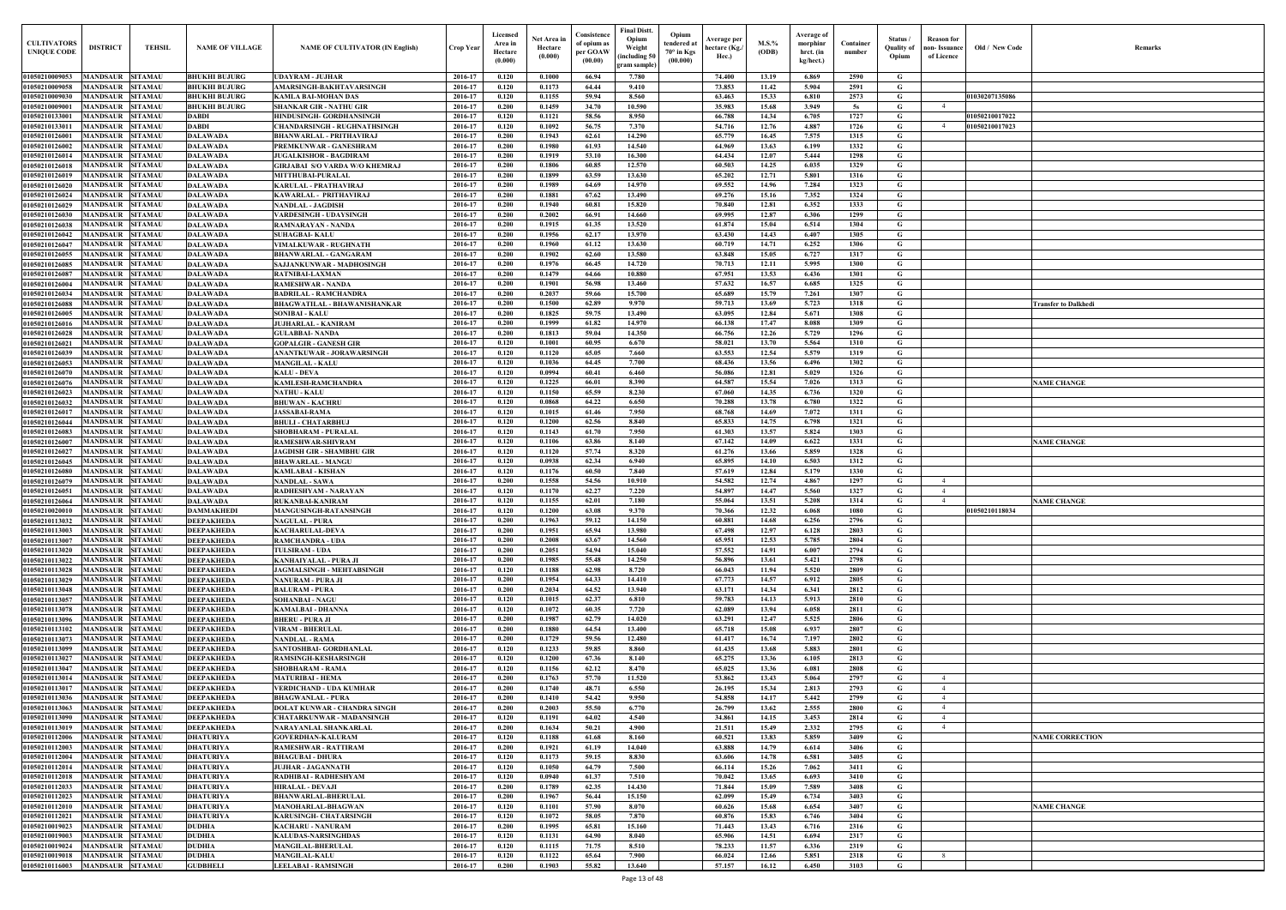| Old / New Code                 | Remarks                     |
|--------------------------------|-----------------------------|
| 1030207135086                  |                             |
| 1050210017022<br>1050210017023 |                             |
|                                |                             |
|                                |                             |
|                                |                             |
|                                |                             |
|                                |                             |
|                                |                             |
|                                | <b>Transfer to Dalkhedi</b> |
|                                |                             |
|                                |                             |
|                                | <b>NAME CHANGE</b>          |
|                                |                             |
|                                | <b>NAME CHANGE</b>          |
|                                |                             |
| 1050210118034                  | <b>NAME CHANGE</b>          |
|                                |                             |
|                                |                             |
|                                |                             |
|                                |                             |
|                                |                             |
|                                |                             |
|                                |                             |
|                                | <b>NAME CORRECTION</b>      |
|                                |                             |
|                                |                             |
|                                | <b>NAME CHANGE</b>          |
|                                |                             |
|                                |                             |

| <b>CULTIVATORS</b><br><b>UNIQUE CODE</b>          | <b>DISTRICT</b>                                    | <b>TEHSIL</b>                    | <b>NAME OF VILLAGE</b>                       | <b>NAME OF CULTIVATOR (IN English)</b>                                 | Crop Year          | Licensed<br>Area in<br>Hectare<br>(0.000) | Net Area in<br>Hectare<br>(0.000) | Consistence<br>of opium as<br>per GOAW<br>(00.00) | <b>Final Distt.</b><br>Opium<br>Weight<br>including 50)<br>gram sample) | Opium<br>tendered at<br>$70^\circ$ in Kgs<br>(00.000) | Average per<br>hectare (Kg./<br>Hec.) | M.S.%<br>(ODB) | Average of<br>morphinr<br>hrct. (in<br>kg/hect.) | Container<br>number | Status /<br><b>Quality of</b><br>Opium | <b>Reason</b> for<br>non- Issuance<br>of Licence | Old / New Code | <b>Remark</b>          |
|---------------------------------------------------|----------------------------------------------------|----------------------------------|----------------------------------------------|------------------------------------------------------------------------|--------------------|-------------------------------------------|-----------------------------------|---------------------------------------------------|-------------------------------------------------------------------------|-------------------------------------------------------|---------------------------------------|----------------|--------------------------------------------------|---------------------|----------------------------------------|--------------------------------------------------|----------------|------------------------|
| 01050210009053                                    | MANDSAUR SITAMAU                                   |                                  | <b>BHUKHI BUJURG</b>                         | <b>UDAYRAM - JUJHAR</b>                                                | 2016-17            | 0.120                                     | 0.1000                            | 66.94                                             | 7.780                                                                   |                                                       | 74.400                                | 13.19          | 6.869                                            | 2590                | G                                      |                                                  |                |                        |
| 01050210009058                                    | <b>MANDSAUR SITAMAU</b>                            |                                  | <b>BHUKHI BUJURG</b>                         | AMARSINGH-BAKHTAVARSINGH                                               | 2016-17            | 0.120                                     | 0.1173                            | 64.44                                             | 9.410                                                                   |                                                       | 73.853                                | 11.42          | 5.904                                            | 2591                | G                                      |                                                  |                |                        |
| 01050210009030<br>0105021000900                   | MANDSAUR SITAMAU<br><b>MANDSAUR</b>                | <b>SITAMAU</b>                   | <b>BHUKHI BUJURG</b><br><b>BHUKHI BUJURG</b> | <b>KAMLA BAI-MOHAN DAS</b><br><b>SHANKAR GIR - NATHU GIR</b>           | 2016-17<br>2016-17 | 0.120<br>0.200                            | 0.1155<br>0.1459                  | 59.94<br>34.70                                    | 8.560<br>10.590                                                         |                                                       | 63.463<br>35.983                      | 15.33<br>15.68 | 6.810<br>3.949                                   | 2573<br>5s          | G<br>G                                 | 4                                                | 01030207135086 |                        |
| 0105021013300                                     | MANDSAUR SITAMAU                                   |                                  | <b>DABDI</b>                                 | HINDUSINGH- GORDHANSINGH                                               | 2016-17            | 0.120                                     | 0.1121                            | 58.56                                             | 8.950                                                                   |                                                       | 66.788                                | 14.34          | 6.705                                            | 1727                | G                                      |                                                  | 01050210017022 |                        |
| 01050210133011                                    | <b>MANDSAUR SITAMAU</b>                            |                                  | <b>DABDI</b>                                 | <b>CHANDARSINGH - RUGHNATHSINGH</b>                                    | 2016-17            | 0.120                                     | 0.1092                            | 56.75                                             | 7.370                                                                   |                                                       | 54.716                                | 12.76          | 4.887                                            | 1726                | G                                      | $\overline{4}$                                   | 01050210017023 |                        |
| 0105021012600                                     | <b>MANDSAUR SITAMAU</b>                            |                                  | <b>DALAWADA</b>                              | <b>BHANWARLAL - PRITHAVIRAJ</b>                                        | 2016-17            | 0.200                                     | 0.1943                            | 62.61                                             | 14.290                                                                  |                                                       | 65.779                                | 16.45          | 7.575                                            | 1315                | G                                      |                                                  |                |                        |
| 01050210126002                                    | <b>MANDSAUR SITAMAU</b>                            |                                  | <b>DALAWADA</b>                              | PREMKUNWAR - GANESHRAM                                                 | 2016-17            | 0.200                                     | 0.1980                            | 61.93                                             | 14.540                                                                  |                                                       | 64.969                                | 13.63          | 6.199                                            | 1332                | G                                      |                                                  |                |                        |
| 01050210126014<br>01050210126018                  | <b>MANDSAUR SITAMAU</b><br><b>MANDSAUR SITAMAU</b> |                                  | <b>DALAWADA</b><br><b>DALAWADA</b>           | <b>JUGALKISHOR - BAGDIRAM</b><br><b>GIRJABAI S/O VARDA W/O KHEMRAJ</b> | 2016-17<br>2016-17 | 0.200<br>0.200                            | 0.1919<br>0.1806                  | 53.10<br>60.85                                    | 16.300<br>12.570                                                        |                                                       | 64.434<br>60.503                      | 12.07<br>14.25 | 5.444<br>6.035                                   | 1298<br>1329        | G<br>G                                 |                                                  |                |                        |
| 01050210126019                                    | <b>MANDSAUR SITAMAU</b>                            |                                  | <b>DALAWADA</b>                              | <b>MITTHUBAI-PURALAL</b>                                               | 2016-17            | 0.200                                     | 0.1899                            | 63.59                                             | 13.630                                                                  |                                                       | 65.202                                | 12.71          | 5.801                                            | 1316                | G                                      |                                                  |                |                        |
| 01050210126020                                    | <b>MANDSAUR SITAMAU</b>                            |                                  | <b>DALAWADA</b>                              | <b>KARULAL - PRATHAVIRAJ</b>                                           | 2016-17            | 0.200                                     | 0.1989                            | 64.69                                             | 14.970                                                                  |                                                       | 69.552                                | 14.96          | 7.284                                            | 1323                | $\mathbf G$                            |                                                  |                |                        |
| 01050210126024                                    | MANDSAUR                                           | <b>SITAMAU</b>                   | <b>DALAWADA</b>                              | KAWARLAL - PRITHAVIRAJ                                                 | 2016-17            | 0.200                                     | 0.1881                            | 67.62                                             | 13.490                                                                  |                                                       | 69.276                                | 15.16          | 7.352                                            | 1324                | G                                      |                                                  |                |                        |
| 01050210126029                                    | MANDSAUR                                           | <b>SITAMAU</b>                   | <b>DALAWADA</b>                              | <b>NANDLAL - JAGDISH</b>                                               | 2016-17            | 0.200                                     | 0.1940                            | 60.81                                             | 15.820                                                                  |                                                       | 70.840                                | 12.81          | 6.352                                            | 1333                | G                                      |                                                  |                |                        |
| 01050210126030<br>01050210126038                  | MANDSAUR<br><b>MANDSAUR</b>                        | <b>SITAMAU</b><br><b>SITAMAU</b> | <b>DALAWADA</b><br><b>DALAWADA</b>           | VARDESINGH - UDAYSINGH<br>RAMNARAYAN - NANDA                           | 2016-17<br>2016-17 | 0.200<br>0.200                            | 0.2002<br>0.1915                  | 66.91<br>61.35                                    | 14.660<br>13.520                                                        |                                                       | 69.995<br>61.874                      | 12.87<br>15.04 | 6.306<br>6.514                                   | 1299<br>1304        | G<br>G                                 |                                                  |                |                        |
| 01050210126042                                    | MANDSAUR                                           | <b>SITAMAU</b>                   | <b>DALAWADA</b>                              | <b>SUHAGBAI-KALU</b>                                                   | 2016-17            | 0.200                                     | 0.1956                            | 62.17                                             | 13.970                                                                  |                                                       | 63.430                                | 14.43          | 6.407                                            | 1305                | G                                      |                                                  |                |                        |
| 01050210126047                                    | <b>MANDSAUR SITAMAU</b>                            |                                  | <b>DALAWADA</b>                              | VIMALKUWAR - RUGHNATH                                                  | 2016-17            | 0.200                                     | 0.1960                            | 61.12                                             | 13.630                                                                  |                                                       | 60.719                                | 14.71          | 6.252                                            | 1306                | G                                      |                                                  |                |                        |
| 01050210126055                                    | <b>MANDSAUR SITAMAU</b>                            |                                  | <b>DALAWADA</b>                              | <b>BHANWARLAL - GANGARAM</b>                                           | 2016-17            | 0.200                                     | 0.1902                            | 62.60                                             | 13.580                                                                  |                                                       | 63.848                                | 15.05          | 6.727                                            | 1317                | G                                      |                                                  |                |                        |
| 01050210126085                                    | <b>MANDSAUR SITAMAU</b>                            |                                  | <b>DALAWADA</b>                              | SAJJANKUNWAR - MADHOSINGH                                              | 2016-17            | 0.200                                     | 0.1976                            | 66.45                                             | 14.720                                                                  |                                                       | 70.713                                | 12.11          | 5.995                                            | 1300                | G                                      |                                                  |                |                        |
| 01050210126087<br>01050210126004                  | <b>MANDSAUR SITAMAU</b><br>MANDSAUR SITAMAU        |                                  | <b>DALAWADA</b><br><b>DALAWADA</b>           | <b>RATNIBAI-LAXMAN</b><br><b>RAMESHWAR - NANDA</b>                     | 2016-17<br>2016-17 | 0.200<br>0.200                            | 0.1479<br>0.1901                  | 64.66<br>56.98                                    | 10.880<br>13.460                                                        |                                                       | 67.951<br>57.632                      | 13.53<br>16.57 | 6.436<br>6.685                                   | 1301<br>1325        | G<br>G                                 |                                                  |                |                        |
| 01050210126034                                    | <b>MANDSAUR SITAMAU</b>                            |                                  | <b>DALAWADA</b>                              | <b>BADRILAL - RAMCHANDRA</b>                                           | 2016-17            | 0.200                                     | 0.2037                            | 59.66                                             | 15.700                                                                  |                                                       | 65.689                                | 15.79          | 7.261                                            | 1307                | G                                      |                                                  |                |                        |
| 01050210126088                                    | <b>MANDSAUR SITAMAU</b>                            |                                  | <b>DALAWADA</b>                              | <b>BHAGWATILAL - BHAWANISHANKAR</b>                                    | 2016-17            | 0.200                                     | 0.1500                            | 62.89                                             | 9.970                                                                   |                                                       | 59.713                                | 13.69          | 5.723                                            | 1318                | G                                      |                                                  |                | Transfer to Dalkhedi   |
| 01050210126005                                    | MANDSAUR                                           | <b>SITAMAU</b>                   | <b>DALAWADA</b>                              | <b>SONIBAI - KALU</b>                                                  | 2016-17            | 0.200                                     | 0.1825                            | 59.75                                             | 13.490                                                                  |                                                       | 63.095                                | 12.84          | 5.671                                            | 1308                | G                                      |                                                  |                |                        |
| 01050210126016                                    | <b>MANDSAUR SITAMAU</b>                            |                                  | <b>DALAWADA</b>                              | <b>JUJHARLAL - KANIRAM</b>                                             | 2016-17            | 0.200                                     | 0.1999                            | 61.82                                             | 14.970                                                                  |                                                       | 66.138                                | 17.47          | 8.088                                            | 1309                | G                                      |                                                  |                |                        |
| 01050210126028<br>01050210126021                  | <b>MANDSAUR SITAMAU</b><br><b>MANDSAUR SITAMAU</b> |                                  | <b>DALAWADA</b><br><b>DALAWADA</b>           | <b>GULABBAI- NANDA</b><br><b>GOPALGIR - GANESH GIR</b>                 | 2016-17<br>2016-17 | 0.200<br>0.120                            | 0.1813<br>0.1001                  | 59.04<br>60.95                                    | 14.350<br>6.670                                                         |                                                       | 66.756<br>58.021                      | 12.26<br>13.70 | 5.729<br>5.564                                   | 1296<br>1310        | G<br>G                                 |                                                  |                |                        |
| 01050210126039                                    | MANDSAUR                                           | <b>SITAMAU</b>                   | <b>DALAWADA</b>                              | <b>ANANTKUWAR - JORAWARSINGH</b>                                       | 2016-17            | 0.120                                     | 0.1120                            | 65.05                                             | 7.660                                                                   |                                                       | 63.553                                | 12.54          | 5.579                                            | 1319                | G                                      |                                                  |                |                        |
| 01050210126053                                    | <b>MANDSAUR SITAMAU</b>                            |                                  | <b>DALAWADA</b>                              | <b>MANGILAL - KALU</b>                                                 | 2016-17            | 0.120                                     | 0.1036                            | 64.45                                             | 7.700                                                                   |                                                       | 68.436                                | 13.56          | 6.496                                            | 1302                | G                                      |                                                  |                |                        |
| 01050210126070                                    | <b>MANDSAUR SITAMAU</b>                            |                                  | <b>DALAWADA</b>                              | <b>KALU - DEVA</b>                                                     | 2016-17            | 0.120                                     | 0.0994                            | 60.41                                             | 6.460                                                                   |                                                       | 56.086                                | 12.81          | 5.029                                            | 1326                | G                                      |                                                  |                |                        |
| 01050210126076                                    | <b>MANDSAUR SITAMAU</b>                            |                                  | <b>DALAWADA</b>                              | <b>KAMLESH-RAMCHANDRA</b>                                              | 2016-17            | 0.120                                     | 0.1225                            | 66.01                                             | 8.390                                                                   |                                                       | 64.587                                | 15.54          | 7.026                                            | 1313                | G                                      |                                                  |                | <b>NAME CHANGE</b>     |
| 01050210126023<br>01050210126032                  | <b>MANDSAUR SITAMAU</b><br><b>MANDSAUR SITAMAU</b> |                                  | <b>DALAWADA</b><br><b>DALAWADA</b>           | <b>NATHU - KALU</b><br><b>BHUWAN - KACHRU</b>                          | 2016-17<br>2016-17 | 0.120<br>0.120                            | 0.1150<br>0.0868                  | 65.59<br>64.22                                    | 8.230<br>6.650                                                          |                                                       | 67.060<br>70.288                      | 14.35<br>13.78 | 6.736<br>6.780                                   | 1320<br>1322        | G<br>G                                 |                                                  |                |                        |
| 01050210126017                                    | <b>MANDSAUR SITAMAU</b>                            |                                  | <b>DALAWADA</b>                              | <b>JASSABAI-RAMA</b>                                                   | 2016-17            | 0.120                                     | 0.1015                            | 61.46                                             | 7.950                                                                   |                                                       | 68.768                                | 14.69          | 7.072                                            | 1311                | G                                      |                                                  |                |                        |
| 01050210126044                                    | <b>MANDSAUR SITAMAU</b>                            |                                  | <b>DALAWADA</b>                              | <b>BHULI - CHATARBHUJ</b>                                              | 2016-17            | 0.120                                     | 0.1200                            | 62.56                                             | 8.840                                                                   |                                                       | 65.833                                | 14.75          | 6.798                                            | 1321                | G                                      |                                                  |                |                        |
| 01050210126083                                    | <b>MANDSAUR SITAMAU</b>                            |                                  | <b>DALAWADA</b>                              | <b>SHOBHARAM - PURALAI</b>                                             | 2016-17            | 0.120                                     | 0.1143                            | 61.70                                             | 7.950                                                                   |                                                       | 61.303                                | 13.57          | 5.824                                            | 1303                | G                                      |                                                  |                |                        |
| 0105021012600<br>0105021012602                    | MANDSAUR<br><b>MANDSAUR</b>                        | <b>SITAMAU</b><br><b>SITAMAU</b> | <b>DALAWADA</b>                              | <b>RAMESHWAR-SHIVRAM</b>                                               | 2016-17<br>2016-17 | 0.120<br>0.120                            | 0.1106<br>0.1120                  | 63.86<br>57,74                                    | 8.140<br>8.320                                                          |                                                       | 67.142<br>61.276                      | 14.09<br>13.66 | 6.622<br>5.859                                   | 1331<br>1328        | G<br>G                                 |                                                  |                | <b>NAME CHANGE</b>     |
| 0105021012604                                     | MANDSAUR                                           | <b>SITAMAU</b>                   | <b>DALAWADA</b><br><b>DALAWADA</b>           | <b>JAGDISH GIR - SHAMBHU GIR</b><br><b>BHAWARLAL - MANGU</b>           | 2016-17            | 0.120                                     | 0.0938                            | 62.34                                             | 6.940                                                                   |                                                       | 65.895                                | 14.10          | 6.503                                            | 1312                | G                                      |                                                  |                |                        |
| 01050210126080                                    | <b>MANDSAUR</b>                                    | <b>SITAMAU</b>                   | <b>DALAWADA</b>                              | <b>KAMLABAI - KISHAN</b>                                               | 2016-17            | 0.120                                     | 0.1176                            | 60.50                                             | 7.840                                                                   |                                                       | 57.619                                | 12.84          | 5.179                                            | 1330                | G                                      |                                                  |                |                        |
| 01050210126079                                    | <b>MANDSAUR</b>                                    | <b>SITAMAU</b>                   | <b>DALAWADA</b>                              | <b>NANDLAL - SAWA</b>                                                  | 2016-17            | 0.200                                     | 0.1558                            | 54.56                                             | 10.910                                                                  |                                                       | 54.582                                | 12.74          | 4.867                                            | 1297                | G                                      |                                                  |                |                        |
| 01050210126051                                    | MANDSAUR SITAMAU                                   |                                  | <b>DALAWADA</b>                              | RADHESHYAM - NARAYAN                                                   | 2016-17            | 0.120                                     | 0.1170                            | 62.27                                             | 7.220                                                                   |                                                       | 54.897                                | 14.47          | 5.560                                            | 1327                | G                                      |                                                  |                |                        |
| 01050210126064<br>01050210020010 MANDSAUR SITAMAU | <b>MANDSAUR SITAMAU</b>                            |                                  | <b>DALAWADA</b><br><b>DAMMAKHEDI</b>         | <b>RUKANBAI-KANIRAM</b>                                                | 2016-17<br>2016-17 | 0.120<br>0.120                            | 0.1155<br>0.1200                  | 62.01<br>63.08                                    | 7.180<br>9.370                                                          |                                                       | 55.064                                | 13.51<br>12.32 | 5.208<br>6.068                                   | 1314<br>1080        | G                                      |                                                  | 01050210118034 | <b>NAME CHANGE</b>     |
| 01050210113032                                    | MANDSAUR SITAMAU                                   |                                  | <b>DEEPAKHEDA</b>                            | MANGUSINGH-RATANSINGH<br><b>NAGULAL - PURA</b>                         | 2016-17            | 0.200                                     | 0.1963                            | 59.12                                             | 14.150                                                                  |                                                       | 70.366<br>60.881                      | 14.68          | 6.256                                            | 2796                | G<br>G                                 |                                                  |                |                        |
| 01050210113003                                    | MANDSAUR SITAMAU                                   |                                  | <b>DEEPAKHEDA</b>                            | <b>KACHARULAL-DEVA</b>                                                 | 2016-17            | 0.200                                     | 0.1951                            | 65.94                                             | 13.980                                                                  |                                                       | 67.498                                | 12.97          | 6.128                                            | 2803                | G                                      |                                                  |                |                        |
| 01050210113007                                    | <b>MANDSAUR SITAMAU</b>                            |                                  | <b>DEEPAKHEDA</b>                            | <b>RAMCHANDRA - UDA</b>                                                | 2016-17            | 0.200                                     | 0.2008                            | 63.67                                             | 14.560                                                                  |                                                       | 65.951                                | 12.53          | 5.785                                            | 2804                | G                                      |                                                  |                |                        |
| 01050210113020                                    | MANDSAUR SITAMAU                                   |                                  | <b>DEEPAKHEDA</b>                            | <b>TULSIRAM - UDA</b>                                                  | 2016-17            | 0.200                                     | 0.2051                            | 54.94                                             | 15.040                                                                  |                                                       | 57.552                                | 14.91          | 6.007                                            | 2794                | G                                      |                                                  |                |                        |
| 01050210113022<br>01050210113028                  | <b>MANDSAUR SITAMAU</b><br>MANDSAUR SITAMAU        |                                  | <b>DEEPAKHEDA</b><br><b>DEEPAKHEDA</b>       | KANHAIYALAL - PURA JI<br>JAGMALSINGH - MEHTABSINGH                     | 2016-17<br>2016-17 | 0.200<br>0.120                            | 0.1985<br>0.1188                  | 55.48<br>62.98                                    | 14.250<br>8.720                                                         |                                                       | 56.896<br>66.043                      | 13.61<br>11.94 | 5.421<br>5.520                                   | 2798<br>2809        | G<br>$\mathbf G$                       |                                                  |                |                        |
| 01050210113029                                    | <b>MANDSAUR SITAMAU</b>                            |                                  | <b>DEEPAKHEDA</b>                            | <b>NANURAM - PURA JI</b>                                               | 2016-17            | 0.200                                     | 0.1954                            | 64.33                                             | 14.410                                                                  |                                                       | 67.773                                | 14.57          | 6.912                                            | 2805                | G                                      |                                                  |                |                        |
| 01050210113048                                    | <b>MANDSAUR SITAMAU</b>                            |                                  | <b>DEEPAKHEDA</b>                            | <b>BALURAM - PURA</b>                                                  | 2016-17            | 0.200                                     | 0.2034                            | 64.52                                             | 13.940                                                                  |                                                       | 63.171                                | 14.34          | 6.341                                            | 2812                | G                                      |                                                  |                |                        |
| 01050210113057                                    | <b>MANDSAUR SITAMAU</b>                            |                                  | <b>DEEPAKHEDA</b>                            | <b>SOHANBAI - NAGU</b>                                                 | 2016-17            | 0.120                                     | 0.1015                            | 62.37                                             | 6.810                                                                   |                                                       | 59.783                                | 14.13          | 5.913                                            | 2810                | $\mathbf G$                            |                                                  |                |                        |
| 01050210113078                                    | MANDSAUR SITAMAU                                   |                                  | <b>DEEPAKHEDA</b>                            | <b>KAMALBAI - DHANNA</b>                                               | 2016-17            | 0.120                                     | 0.1072                            | 60.35                                             | 7.720                                                                   |                                                       | 62.089                                | 13.94          | 6.058                                            | 2811                | G                                      |                                                  |                |                        |
| 01050210113096<br>01050210113102                  | MANDSAUR SITAMAU<br><b>MANDSAUR SITAMAU</b>        |                                  | <b>DEEPAKHEDA</b>                            | <b>BHERU - PURA JI</b>                                                 | 2016-17<br>2016-17 | 0.200<br>0.200                            | 0.1987<br>0.1880                  | 62.79<br>64.54                                    | 14.020<br>13.400                                                        |                                                       | 63.291<br>65.718                      | 12,47<br>15.08 | 5.525<br>6.937                                   | 2806<br>2807        | $\mathbf G$<br>G                       |                                                  |                |                        |
| 01050210113073                                    | <b>MANDSAUR SITAMAU</b>                            |                                  | <b>DEEPAKHEDA</b><br><b>DEEPAKHEDA</b>       | <b>VIRAM - BHERULAL</b><br><b>NANDLAL - RAMA</b>                       | 2016-17            | 0.200                                     | 0.1729                            | 59.56                                             | 12,480                                                                  |                                                       | 61.417                                | 16.74          | 7.197                                            | 2802                | G                                      |                                                  |                |                        |
| 01050210113099                                    | <b>MANDSAUR SITAMAU</b>                            |                                  | <b>DEEPAKHEDA</b>                            | SANTOSHBAI- GORDHANLAL                                                 | 2016-17            | 0.120                                     | 0.1233                            | 59.85                                             | 8.860                                                                   |                                                       | 61.435                                | 13.68          | 5.883                                            | 2801                | G                                      |                                                  |                |                        |
| 01050210113027                                    | <b>MANDSAUR SITAMAU</b>                            |                                  | <b>DEEPAKHEDA</b>                            | <b>RAMSINGH-KESHARSINGH</b>                                            | 2016-17            | 0.120                                     | 0.1200                            | 67.36                                             | 8.140                                                                   |                                                       | 65,275                                | 13.36          | 6.105                                            | 2813                | G                                      |                                                  |                |                        |
| 01050210113047                                    | <b>MANDSAUR SITAMAU</b>                            |                                  | <b>DEEPAKHEDA</b>                            | <b>SHOBHARAM - RAMA</b>                                                | 2016-17            | 0.120                                     | 0.1156                            | 62.12                                             | 8.470                                                                   |                                                       | 65.025                                | 13.36          | 6.081                                            | 2808                | $\mathbf G$                            |                                                  |                |                        |
| 01050210113014<br>01050210113017                  | <b>MANDSAUR SITAMAU</b><br><b>MANDSAUR SITAMAU</b> |                                  | <b>DEEPAKHEDA</b><br><b>DEEPAKHEDA</b>       | <b>MATURIBAI - HEMA</b><br><b>VERDICHAND - UDA KUMHAR</b>              | 2016-17<br>2016-17 | 0.200<br>0.200                            | 0.1763<br>0.1740                  | 57.70<br>48.71                                    | 11.520<br>6.550                                                         |                                                       | 53.862<br>26.195                      | 13.43<br>15.34 | 5.064<br>2.813                                   | 2797<br>2793        | $\mathbf G$<br>G                       | $\overline{4}$<br>$\overline{4}$                 |                |                        |
| 01050210113036                                    | MANDSAUR SITAMAU                                   |                                  | <b>DEEPAKHEDA</b>                            | <b>BHAGWANLAL - PURA</b>                                               | 2016-17            | 0.200                                     | 0.1410                            | 54,42                                             | 9.950                                                                   |                                                       | 54.858                                | 14.17          | 5.442                                            | 2799                | G                                      | $\overline{4}$                                   |                |                        |
| 01050210113063                                    | <b>MANDSAUR SITAMAU</b>                            |                                  | <b>DEEPAKHEDA</b>                            | DOLAT KUNWAR - CHANDRA SINGH                                           | 2016-17            | 0.200                                     | 0.2003                            | 55.50                                             | 6.770                                                                   |                                                       | 26.799                                | 13.62          | 2.555                                            | 2800                | G                                      |                                                  |                |                        |
| 01050210113090                                    | <b>MANDSAUR SITAMAU</b>                            |                                  | <b>DEEPAKHEDA</b>                            | <b>CHATARKUNWAR - MADANSINGH</b>                                       | 2016-17            | 0.120                                     | 0.1191                            | 64.02                                             | 4.540                                                                   |                                                       | 34.861                                | 14.15          | 3.453                                            | 2814                | G                                      |                                                  |                |                        |
| 01050210113019                                    | MANDSAUR SITAMAU                                   |                                  | <b>DEEPAKHEDA</b>                            | NARAYANLAL SHANKARLAL                                                  | 2016-17            | 0.200                                     | 0.1634                            | 50.21                                             | 4.900                                                                   |                                                       | 21.511                                | 15.49          | 2.332                                            | 2795                | G                                      |                                                  |                |                        |
| 01050210112006                                    | <b>MANDSAUR SITAMAU</b>                            |                                  | <b>DHATURIYA</b>                             | <b>GOVERDHAN-KALURAM</b>                                               | 2016-17            | 0.120<br>0.200                            | 0.1188                            | 61.68<br>61.19                                    | 8.160<br>14.040                                                         |                                                       | 60.521                                | 13.83          | 5.859                                            | 3409                | G                                      |                                                  |                | <b>NAME CORRECTION</b> |
| 01050210112003<br>01050210112004                  | MANDSAUR SITAMAU<br>MANDSAUR SITAMAU               |                                  | <b>DHATURIYA</b><br><b>DHATURIYA</b>         | RAMESHWAR - RATTIRAM<br><b>BHAGUBAI - DHURA</b>                        | 2016-17<br>2016-17 | 0.120                                     | 0.1921<br>0.1173                  | 59.15                                             | 8.830                                                                   |                                                       | 63.888<br>63.606                      | 14.79<br>14.78 | 6.614<br>6.581                                   | 3406<br>3405        | $\mathbf{G}$<br>G                      |                                                  |                |                        |
| 01050210112014                                    | MANDSAUR SITAMAU                                   |                                  | <b>DHATURIYA</b>                             | <b>JUJHAR - JAGANNATH</b>                                              | 2016-17            | 0.120                                     | 0.1050                            | 64.79                                             | 7.500                                                                   |                                                       | 66.114                                | 15.26          | 7.062                                            | 3411                | G                                      |                                                  |                |                        |
| 01050210112018                                    | MANDSAUR SITAMAU                                   |                                  | <b>DHATURIYA</b>                             | RADHIBAI - RADHESHYAM                                                  | 2016-17            | 0.120                                     | 0.0940                            | 61.37                                             | 7.510                                                                   |                                                       | 70.042                                | 13.65          | 6.693                                            | 3410                | G                                      |                                                  |                |                        |
| 01050210112033                                    | <b>MANDSAUR SITAMAU</b>                            |                                  | <b>DHATURIYA</b>                             | <b>HIRALAL - DEVAJI</b>                                                | 2016-17            | 0.200                                     | 0.1789                            | 62.35                                             | 14.430                                                                  |                                                       | 71.844                                | 15.09          | 7.589                                            | 3408                | $\mathbf G$                            |                                                  |                |                        |
| 01050210112023<br>01050210112010                  | MANDSAUR SITAMAU<br><b>MANDSAUR SITAMAU</b>        |                                  | <b>DHATURIYA</b>                             | <b>BHANWARLAL-BHERULAL</b>                                             | 2016-17<br>2016-17 | 0.200<br>0.120                            | 0.1967<br>0.1101                  | 56.44<br>57.90                                    | 15.150<br>8.070                                                         |                                                       | 62.099<br>60.626                      | 15.49<br>15.68 | 6.734<br>6.654                                   | 3403<br>3407        | G<br>$\mathbf G$                       |                                                  |                |                        |
| 01050210112021                                    | <b>MANDSAUR SITAMAU</b>                            |                                  | <b>DHATURIYA</b><br><b>DHATURIYA</b>         | <b>MANOHARLAL-BHAGWAN</b><br>KARUSINGH- CHATARSINGH                    | 2016-17            | 0.120                                     | 0.1072                            | 58.05                                             | 7.870                                                                   |                                                       | 60.876                                | 15.83          | 6.746                                            | 3404                | G                                      |                                                  |                | <b>NAME CHANGE</b>     |
| 01050210019023                                    | <b>MANDSAUR SITAMAU</b>                            |                                  | <b>DUDHIA</b>                                | <b>KACHARU - NANURAM</b>                                               | 2016-17            | 0.200                                     | 0.1995                            | 65.81                                             | 15.160                                                                  |                                                       | 71.443                                | 13.43          | 6.716                                            | 2316                | G                                      |                                                  |                |                        |
| 01050210019003                                    | <b>MANDSAUR SITAMAU</b>                            |                                  | <b>DUDHIA</b>                                | KALUDAS-NARSINGHDAS                                                    | 2016-17            | 0.120                                     | 0.1131                            | 64.90                                             | 8.040                                                                   |                                                       | 65.906                                | 14.51          | 6.694                                            | 2317                | G                                      |                                                  |                |                        |
| 01050210019024                                    | <b>MANDSAUR SITAMAU</b>                            |                                  | <b>DUDHIA</b>                                | MANGILAL-BHERULAL                                                      | 2016-17            | 0.120                                     | 0.1115                            | 71.75                                             | 8.510                                                                   |                                                       | 78.233                                | 11.57          | 6.336                                            | 2319                | G                                      |                                                  |                |                        |
| 01050210019018<br>01050210116003                  | MANDSAUR SITAMAU<br><b>MANDSAUR SITAMAU</b>        |                                  | <b>DUDHIA</b><br><b>GUDBHELI</b>             | <b>MANGILAL-KALU</b><br><b>LEELABAI - RAMSINGH</b>                     | 2016-17<br>2016-17 | 0.120<br>0.200                            | 0.1122<br>0.1903                  | 65.64<br>55.82                                    | 7.900<br>13.640                                                         |                                                       | 66.024<br>57.157                      | 12.66<br>16.12 | 5.851<br>6.450                                   | 2318<br>3103        | $\mathbf{G}$<br>$\mathbf{G}$           |                                                  |                |                        |
|                                                   |                                                    |                                  |                                              |                                                                        |                    |                                           |                                   |                                                   |                                                                         |                                                       |                                       |                |                                                  |                     |                                        |                                                  |                |                        |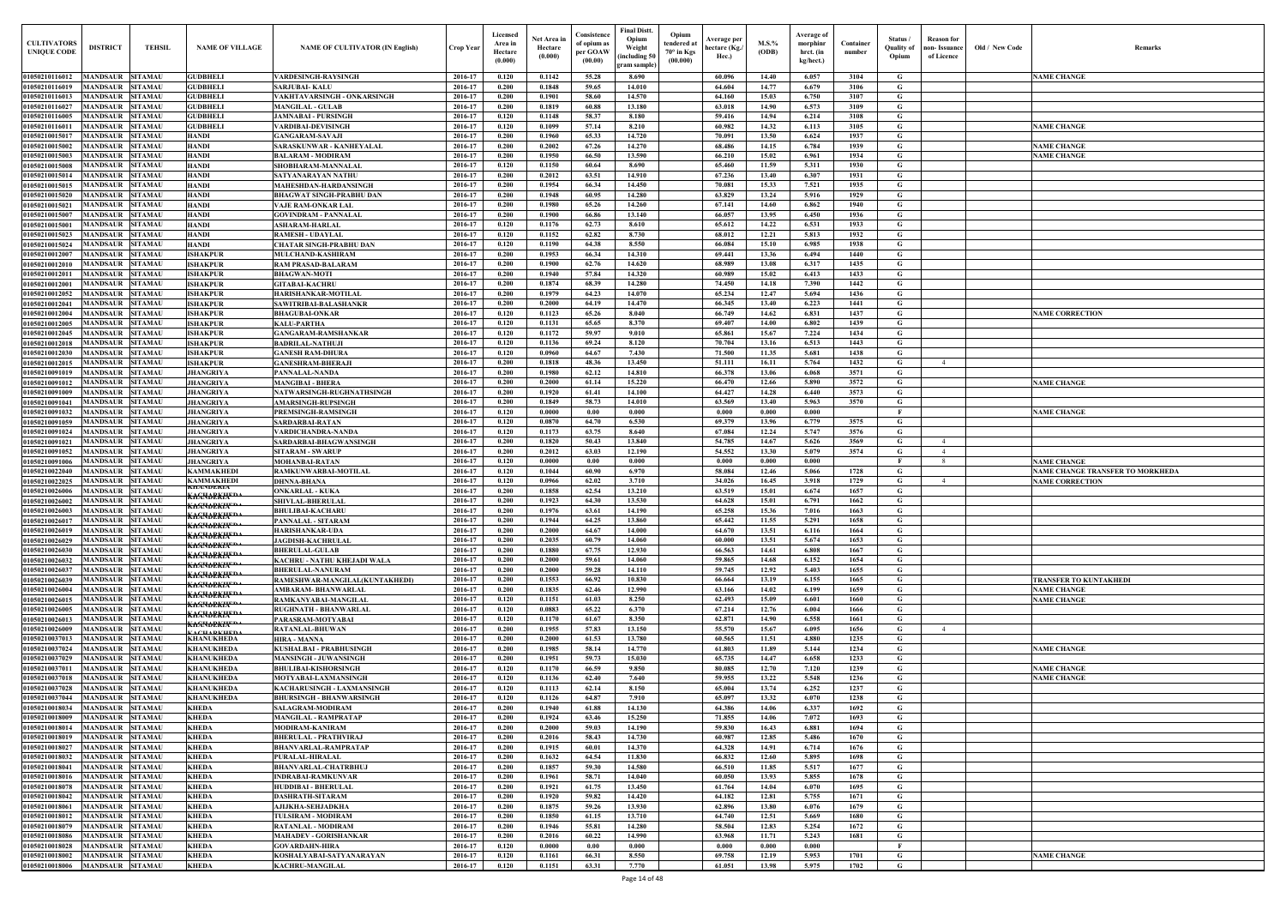| Old / New Code | Remarks                                                    |
|----------------|------------------------------------------------------------|
|                | <b>NAME CHANGE</b>                                         |
|                |                                                            |
|                |                                                            |
|                |                                                            |
|                | <b>NAME CHANGE</b>                                         |
|                | <b>NAME CHANGE</b>                                         |
|                | <b>NAME CHANGE</b>                                         |
|                |                                                            |
|                |                                                            |
|                |                                                            |
|                |                                                            |
|                |                                                            |
|                |                                                            |
|                |                                                            |
|                |                                                            |
|                |                                                            |
|                |                                                            |
|                |                                                            |
|                | <b>NAME CORRECTION</b>                                     |
|                |                                                            |
|                |                                                            |
|                |                                                            |
|                |                                                            |
|                |                                                            |
|                | <b>NAME CHANGE</b>                                         |
|                |                                                            |
|                | <b>NAME CHANGE</b>                                         |
|                |                                                            |
|                |                                                            |
|                |                                                            |
|                | <b>NAME CHANGE</b>                                         |
|                | NAME CHANGE TRANSFER TO MORKHEDA<br><b>NAME CORRECTION</b> |
|                |                                                            |
|                |                                                            |
|                |                                                            |
|                |                                                            |
|                |                                                            |
|                |                                                            |
|                |                                                            |
|                | <b>TRANSFER TO KUNTAKHEDI</b>                              |
|                | <b>NAME CHANGE</b><br><b>NAME CHANGE</b>                   |
|                |                                                            |
|                |                                                            |
|                |                                                            |
|                | <b>NAME CHANGE</b>                                         |
|                |                                                            |
|                | <b>NAME CHANGE</b>                                         |
|                | <b>NAME CHANGE</b>                                         |
|                |                                                            |
|                |                                                            |
|                |                                                            |
|                |                                                            |
|                |                                                            |
|                |                                                            |
|                |                                                            |
|                |                                                            |
|                |                                                            |
|                |                                                            |
|                |                                                            |
|                |                                                            |
|                | <b>NAME CHANGE</b>                                         |
|                |                                                            |

| <b>CULTIVATORS</b><br><b>UNIQUE CODE</b> | <b>DISTRICT</b>                            | <b>TEHSIL</b>                    | <b>NAME OF VILLAGE</b>                                                     | <b>NAME OF CULTIVATOR (IN English)</b>                        | Crop Year          | Licensed<br>Area in<br>Hectare<br>(0.000) | Net Area iı<br>Hectare<br>(0.000) | Consistence<br>of opium as<br>per GOAW<br>(00.00) | <b>Final Distt.</b><br>Opium<br>Weight<br>including 50<br>gram sample] | Opium<br>tendered a<br>$70^\circ$ in Kgs<br>(00.000) | Average per<br>hectare (Kg./<br>Hec.) | M.S.%<br>(ODB) | Average of<br>morphinr<br>hrct. (in<br>kg/hect.) | Container<br>number | Status /<br><b>Quality of</b><br>Opium | <b>Reason</b> for<br>non- Issuance<br>of Licence | Old / New Code | Remarks                                                           |
|------------------------------------------|--------------------------------------------|----------------------------------|----------------------------------------------------------------------------|---------------------------------------------------------------|--------------------|-------------------------------------------|-----------------------------------|---------------------------------------------------|------------------------------------------------------------------------|------------------------------------------------------|---------------------------------------|----------------|--------------------------------------------------|---------------------|----------------------------------------|--------------------------------------------------|----------------|-------------------------------------------------------------------|
| 01050210116012<br>01050210116019         | <b>MANDSAUR</b><br><b>MANDSAUR</b>         | <b>SITAMAU</b><br>SITAMAU        | <b>GUDBHELI</b><br><b>GUDBHELI</b>                                         | VARDESINGH-RAYSINGH<br>SARJUBAI- KALU                         | 2016-17<br>2016-17 | 0.120<br>0.200                            | 0.1142<br>0.1848                  | 55.28<br>59.65                                    | 8.690<br>14.010                                                        |                                                      | 60.096<br>64.604                      | 14.40<br>14.77 | 6.057<br>6.679                                   | 3104<br>3106        | G<br>G                                 |                                                  |                | <b>NAME CHANGE</b>                                                |
| 01050210116013                           | <b>MANDSAUR</b>                            | <b>SITAMAU</b>                   | <b>GUDBHELI</b>                                                            | VAKHTAVARSINGH - ONKARSINGH                                   | 2016-17            | 0.200                                     | 0.1901                            | 58.60                                             | 14.570                                                                 |                                                      | 64.160                                | 15.03          | 6.750                                            | 3107                | G                                      |                                                  |                |                                                                   |
| 01050210116027                           | <b>MANDSAUR</b>                            | <b>SITAMAU</b>                   | <b>GUDBHELI</b>                                                            | <b>MANGILAL - GULAB</b>                                       | 2016-17            | 0.200                                     | 0.1819                            | 60.88                                             | 13.180                                                                 |                                                      | 63.018                                | 14.90          | 6.573                                            | 3109                | G                                      |                                                  |                |                                                                   |
| 01050210116005<br>01050210116011         | <b>MANDSAUR</b><br><b>MANDSAUR</b>         | <b>SITAMAU</b><br><b>SITAMAU</b> | <b>GUDBHELI</b><br><b>GUDBHELI</b>                                         | JAMNABAI - PURSINGH<br>VARDIBAI-DEVISINGH                     | 2016-17<br>2016-17 | 0.120<br>0.120                            | 0.1148<br>0.1099                  | 58.37<br>57.14                                    | 8.180<br>8.210                                                         |                                                      | 59.416<br>60.982                      | 14.94<br>14.32 | 6.214<br>6.113                                   | 3108<br>3105        | G<br>G                                 |                                                  |                | <b>NAME CHANGE</b>                                                |
| 01050210015017                           | <b>MANDSAUR</b>                            | <b>SITAMAU</b>                   | <b>HANDI</b>                                                               | <b>GANGARAM-SAVAJI</b>                                        | 2016-17            | 0.200                                     | 0.1960                            | 65.33                                             | 14.720                                                                 |                                                      | 70.091                                | 13.50          | 6.624                                            | 1937                | G                                      |                                                  |                |                                                                   |
| 01050210015002                           | <b>MANDSAUR</b>                            | <b>SITAMAU</b>                   | <b>HANDI</b>                                                               | SARASKUNWAR - KANHEYALAL                                      | 2016-17            | 0.200                                     | 0.2002                            | 67.26                                             | 14,270                                                                 |                                                      | 68.486                                | 14.15          | 6.784                                            | 1939                | G                                      |                                                  |                | <b>NAME CHANGE</b>                                                |
| 01050210015003                           | <b>MANDSAUR</b>                            | SITAMAU                          | <b>HANDI</b>                                                               | BALARAM - MODIRAM                                             | 2016-17            | 0.200                                     | 0.1950                            | 66.50                                             | 13.590                                                                 |                                                      | 66.210                                | 15.02          | 6.961                                            | 1934                | G                                      |                                                  |                | <b>NAME CHANGE</b>                                                |
| 01050210015008<br>01050210015014         | <b>MANDSAUR</b><br><b>MANDSAUR</b>         | SITAMAU<br>SITAMAU               | <b>HANDI</b><br><b>HANDI</b>                                               | SHOBHARAM-MANNALAI<br>SATYANARAYAN NATHU                      | 2016-17<br>2016-17 | 0.120<br>0.200                            | 0.1150<br>0.2012                  | 60.64<br>63.51                                    | 8.690<br>14.910                                                        |                                                      | 65.460<br>67.236                      | 11.59<br>13.40 | 5.311<br>6.307                                   | 1930<br>1931        | G<br>G                                 |                                                  |                |                                                                   |
| 01050210015015                           | <b>MANDSAUR</b>                            | SITAMAU                          | <b>HANDI</b>                                                               | <b>MAHESHDAN-HARDANSINGH</b>                                  | 2016-17            | 0.200                                     | 0.1954                            | 66.34                                             | 14,450                                                                 |                                                      | 70.081                                | 15.33          | 7.521                                            | 1935                | G                                      |                                                  |                |                                                                   |
| 01050210015020                           | <b>MANDSAUR</b>                            | SITAMAU                          | <b>HANDI</b>                                                               | BHAGWAT SINGH-PRABHU DAN                                      | 2016-17            | 0.200                                     | 0.1948                            | 60.95                                             | 14.280                                                                 |                                                      | 63.829                                | 13.24          | 5.916                                            | 1929                | G                                      |                                                  |                |                                                                   |
| 01050210015021<br>01050210015007         | <b>MANDSAUR</b><br><b>MANDSAUR</b>         | SITAMAU<br>SITAMAU               | <b>HANDI</b><br><b>HANDI</b>                                               | VAJE RAM-ONKAR LAL<br><b>GOVINDRAM - PANNALAL</b>             | 2016-17<br>2016-17 | 0.200<br>0.200                            | 0.1980<br>0.1900                  | 65.26<br>66.86                                    | 14.260<br>13.140                                                       |                                                      | 67.141<br>66.057                      | 14.60<br>13.95 | 6.862<br>6.450                                   | 1940<br>1936        | G<br>G                                 |                                                  |                |                                                                   |
| 01050210015001                           | <b>MANDSAUR</b>                            | SITAMAU                          | <b>HANDI</b>                                                               | <b>ASHARAM-HARLAL</b>                                         | 2016-17            | 0.120                                     | 0.1176                            | 62.73                                             | 8.610                                                                  |                                                      | 65.612                                | 14.22          | 6.531                                            | 1933                | G                                      |                                                  |                |                                                                   |
| 01050210015023                           | <b>MANDSAUR</b>                            | SITAMAU                          | <b>HANDI</b>                                                               | <b>RAMESH - UDAYLAL</b>                                       | 2016-17            | 0.120                                     | 0.1152                            | 62.82                                             | 8.730                                                                  |                                                      | 68.012                                | 12.21          | 5.813                                            | 1932                | G                                      |                                                  |                |                                                                   |
| 01050210015024<br>01050210012007         | <b>MANDSAUR</b><br><b>MANDSAUR</b>         | SITAMAU<br>SITAMAU               | <b>HANDI</b><br><b>ISHAKPUR</b>                                            | <b>CHATAR SINGH-PRABHU DAN</b><br><b>MULCHAND-KASHIRAM</b>    | 2016-17<br>2016-17 | 0.120<br>0.200                            | 0.1190<br>0.1953                  | 64.38<br>66.34                                    | 8.550<br>14.310                                                        |                                                      | 66.084<br>69.441                      | 15.10<br>13.36 | 6.985<br>6.494                                   | 1938<br>1440        | G<br>G                                 |                                                  |                |                                                                   |
| 0105021001201                            | <b>MANDSAUR</b>                            | <b>SITAMAU</b>                   | <b>ISHAKPUR</b>                                                            | RAM PRASAD-BALARAM                                            | 2016-17            | 0.200                                     | 0.1900                            | 62.76                                             | 14.620                                                                 |                                                      | 68.989                                | 13.08          | 6.317                                            | 1435                | G                                      |                                                  |                |                                                                   |
| 0105021001201                            | <b>MANDSAUR</b>                            | SITAMAU                          | <b>ISHAKPUR</b>                                                            | <b>BHAGWAN-MOTI</b>                                           | 2016-17            | 0.200                                     | 0.1940                            | 57.84                                             | 14.320                                                                 |                                                      | 60.989                                | 15.02          | 6.413                                            | 1433                | G                                      |                                                  |                |                                                                   |
| 0105021001200                            | <b>MANDSAUR</b>                            | <b>SITAMAU</b>                   | <b>ISHAKPUR</b>                                                            | <b>GITABAI-KACHRU</b>                                         | 2016-17            | 0.200                                     | 0.1874                            | 68.39                                             | 14.280                                                                 |                                                      | 74.450                                | 14.18          | 7.390                                            | 1442                | G                                      |                                                  |                |                                                                   |
| 0105021001205<br>01050210012041          | <b>MANDSAUR</b><br><b>MANDSAUR</b>         | SITAMAU<br>SITAMAU               | <b>ISHAKPUR</b><br><b>ISHAKPUR</b>                                         | HARISHANKAR-MOTILAL<br>SAWITRIBAI-BALASHANKR                  | 2016-17<br>2016-17 | 0.200<br>0.200                            | 0.1979<br>0.2000                  | 64.23<br>64.19                                    | 14.070<br>14.470                                                       |                                                      | 65.234<br>66.345                      | 12.47<br>13.40 | 5.694<br>6.223                                   | 1436<br>1441        | G<br>G                                 |                                                  |                |                                                                   |
| 01050210012004                           | <b>MANDSAUR</b>                            | SITAMAU                          | <b>ISHAKPUR</b>                                                            | <b>BHAGUBAI-ONKAR</b>                                         | 2016-17            | 0.120                                     | 0.1123                            | 65.26                                             | 8.040                                                                  |                                                      | 66.749                                | 14.62          | 6.831                                            | 1437                | G                                      |                                                  |                | <b>NAME CORRECTION</b>                                            |
| 01050210012005                           | <b>MANDSAUR</b>                            | SITAMAU                          | <b>ISHAKPUR</b>                                                            | KALU-PARTHA                                                   | 2016-17            | 0.120                                     | 0.1131                            | 65.65                                             | 8.370                                                                  |                                                      | 69.407                                | 14.00          | 6.802                                            | 1439                | G                                      |                                                  |                |                                                                   |
| 01050210012045                           | <b>MANDSAUR</b>                            | SITAMAU                          | <b>ISHAKPUR</b>                                                            | GANGARAM-RAMSHANKAR                                           | 2016-17            | 0.120                                     | 0.1172                            | 59.97                                             | 9.010                                                                  |                                                      | 65.861                                | 15.67          | 7.224                                            | 1434                | G                                      |                                                  |                |                                                                   |
| 01050210012018<br>01050210012030         | <b>MANDSAUR</b><br><b>MANDSAUR</b>         | <b>SITAMAU</b><br><b>SITAMAU</b> | <b>ISHAKPUR</b><br><b>ISHAKPUR</b>                                         | BADRILAL-NATHUJI<br>GANESH RAM-DHURA                          | 2016-17<br>2016-17 | 0.120<br>0.120                            | 0.1136<br>0.0960                  | 69.24<br>64.67                                    | 8.120<br>7.430                                                         |                                                      | 70.704<br>71.500                      | 13.16<br>11.35 | 6.513<br>5.681                                   | 1443<br>1438        | G<br>G                                 |                                                  |                |                                                                   |
| 01050210012015                           | <b>MANDSAUR</b>                            | <b>SITAMAU</b>                   | <b>ISHAKPUR</b>                                                            | GANESHRAM-BHERAJI                                             | 2016-17            | 0.200                                     | 0.1818                            | 48.36                                             | 13.450                                                                 |                                                      | 51.111                                | 16.11          | 5.764                                            | 1432                | G                                      | $\overline{4}$                                   |                |                                                                   |
| 01050210091019                           | <b>MANDSAUR</b>                            | <b>SITAMAU</b>                   | <b>JHANGRIYA</b>                                                           | PANNALAL-NANDA                                                | 2016-17            | 0.200                                     | 0.1980                            | 62.12                                             | 14.810                                                                 |                                                      | 66.378                                | 13.06          | 6.068                                            | 3571                | G                                      |                                                  |                |                                                                   |
| 01050210091012<br>01050210091009         | <b>MANDSAUR</b><br><b>MANDSAUR</b>         | <b>SITAMAU</b><br><b>SITAMAU</b> | <b>JHANGRIYA</b><br><b>JHANGRIYA</b>                                       | MANGIBAI - BHERA<br>NATWARSINGH-RUGHNATHSINGH                 | 2016-17<br>2016-17 | 0.200<br>0.200                            | 0.2000<br>0.1920                  | 61.14<br>61.41                                    | 15,220<br>14.100                                                       |                                                      | 66.470<br>64.427                      | 12.66<br>14.28 | 5.890<br>6.440                                   | 3572<br>3573        | G<br>G                                 |                                                  |                | <b>NAME CHANGE</b>                                                |
| 01050210091041                           | <b>MANDSAUR</b>                            | <b>SITAMAU</b>                   | <b>JHANGRIYA</b>                                                           | <b>AMARSINGH-RUPSINGH</b>                                     | 2016-17            | 0.200                                     | 0.1849                            | 58.73                                             | 14.010                                                                 |                                                      | 63.569                                | 13.40          | 5.963                                            | 3570                | G                                      |                                                  |                |                                                                   |
| 01050210091032                           | <b>MANDSAUR</b>                            | SITAMAU                          | <b>JHANGRIYA</b>                                                           | PREMSINGH-RAMSINGH                                            | 2016-17            | 0.120                                     | 0.0000                            | $0.00\,$                                          | 0.000                                                                  |                                                      | 0.000                                 | 0.000          | 0.000                                            |                     | F                                      |                                                  |                | <b>NAME CHANGE</b>                                                |
| 01050210091059<br>01050210091024         | <b>MANDSAUR</b><br><b>MANDSAUR</b>         | <b>SITAMAU</b><br>SITAMAU        | <b>JHANGRIYA</b><br><b>JHANGRIYA</b>                                       | SARDARBAI-RATAN<br>VARDICHANDRA-NANDA                         | 2016-17<br>2016-17 | 0.120<br>0.120                            | $\boldsymbol{0.0870}$<br>0.1173   | 64.70<br>63.75                                    | 6.530<br>8.640                                                         |                                                      | 69.379<br>67.084                      | 13.96<br>12.24 | 6.779<br>5.747                                   | 3575<br>3576        | G<br>G                                 |                                                  |                |                                                                   |
| 01050210091021                           | <b>MANDSAUR</b>                            | SITAMAU                          | <b>JHANGRIYA</b>                                                           | SARDARBAI-BHAGWANSINGH                                        | 2016-17            | 0.200                                     | 0.1820                            | 50.43                                             | 13.840                                                                 |                                                      | 54.785                                | 14.67          | 5.626                                            | 3569                | G                                      | $\overline{4}$                                   |                |                                                                   |
| 01050210091052                           | <b>MANDSAUR</b>                            | SITAMAU                          | <b>JHANGRIYA</b>                                                           | <b>SITARAM - SWARUP</b>                                       | 2016-17            | 0.200                                     | 0.2012                            | 63.03                                             | 12.190                                                                 |                                                      | 54.552                                | 13.30          | 5.079                                            | 3574                | G                                      | $\overline{4}$                                   |                |                                                                   |
| 01050210091006                           | <b>MANDSAUR</b>                            | SITAMAU                          | <b>JHANGRIYA</b>                                                           | <b>MOHANBAI-RATAN</b>                                         | 2016-17            | 0.120                                     | 0.0000                            | 0.00                                              | 0.000                                                                  |                                                      | 0.000                                 | 0.000          | 0.000                                            |                     | F                                      | -8                                               |                | <b>NAME CHANGE</b>                                                |
| 01050210022040<br>01050210022025         | <b>MANDSAUR</b><br><b>MANDSAUR</b>         | SITAMAU<br>SITAMA                | <b>KAMMAKHEDI</b><br><b>KAMMAKHEDI</b>                                     | RAMKUNWARBAI-MOTILAL<br><b>DHNNA-BHANA</b>                    | 2016-17<br>2016-17 | 0.120<br>0.120                            | 0.1044<br>0.0966                  | 60.90<br>62.02                                    | 6.970<br>3.710                                                         |                                                      | 58.084<br>34.026                      | 12.46<br>16.45 | 5.066<br>3.918                                   | 1728<br>1729        | G<br>G                                 | $\overline{4}$                                   |                | <b>NAME CHANGE TRANSFER TO MORKHEDA</b><br><b>NAME CORRECTION</b> |
| 01050210026006                           | <b>MANDSAUR</b>                            | <b>SITAMAU</b>                   | RHANDERIA<br><del>Kasnapkin<sup>ed</sup></del>                             | <b>ONKARLAL - KUKA</b>                                        | 2016-17            | 0.200                                     | 0.1858                            | 62.54                                             | 13.210                                                                 |                                                      | 63.519                                | 15.01          | 6.674                                            | 1657                | G                                      |                                                  |                |                                                                   |
| 01050210026002                           | <b>MANDSAUR</b>                            | <b>SITAMAU</b>                   | <del>KAƘNAPKIA" DA</del>                                                   | <b>SHIVLAL-BHERULAL</b>                                       | 2016-17            | 0.200                                     | 0.1923                            | 64.30                                             | 13.530                                                                 |                                                      | 64.628                                | 15.01          | 6.791                                            | 1662                | G                                      |                                                  |                |                                                                   |
| 01050210026003<br>01050210026017         | <b>MANDSAUR</b><br><b>MANDSAUR</b>         | <b>SITAMAU</b><br>SITAMAU        | <del>KAƘKAPEKIA"DA</del>                                                   | <b>BHULIBAI-KACHARU</b><br>PANNALAL - SITARAM                 | 2016-17<br>2016-17 | 0.200<br>0.200                            | 0.1976<br>0.1944                  | 63.61<br>64.25                                    | 14.190<br>13.860                                                       |                                                      | 65.258<br>65.442                      | 15.36<br>11.55 | 7.016<br>5.291                                   | 1663<br>1658        | G<br>G                                 |                                                  |                |                                                                   |
| 01050210026019                           | <b>MANDSAUR</b>                            | <b>SITAMAU</b>                   | <del>KAƘN∂EKIA"™</del>                                                     | <b>HARISHANKAR-UDA</b>                                        | 2016-17            | 0.200                                     | 0.2000                            | 64.67                                             | 14.000                                                                 |                                                      | 64.670                                | 13.51          | 6.116                                            | 1664                | G                                      |                                                  |                |                                                                   |
| 01050210026029                           | <b>MANDSAUR</b>                            | <b>SITAMAU</b>                   | <del>KAƘN∂EKIA"™</del><br><del>KAƘKAPEKIA"DA</del>                         | <b>JAGDISH-KACHRULAL</b>                                      | 2016-17            | 0.200                                     | 0.2035                            | 60.79                                             | 14.060                                                                 |                                                      | 60.000                                | 13.51          | 5.674                                            | 1653                | G                                      |                                                  |                |                                                                   |
| 01050210026030                           | <b>MANDSAUR</b><br><b>MANDSAUR</b>         | <b>SITAMAU</b><br>SITAMAU        | K <del>AƘNDEKIA" "</del>                                                   | <b>BHERULAL-GULAB</b><br>KACHRU - NATHU KHEJADI WALA          | 2016-17<br>2016-17 | 0.200<br>0.200                            | 0.1880<br>0.2000                  | 67.75<br>59.61                                    | 12.930<br>14.060                                                       |                                                      | 66.563<br>59.865                      | 14.61<br>14.68 | 6.808<br>6.152                                   | 1667<br>1654        | G<br>G                                 |                                                  |                |                                                                   |
| 01050210026032<br>01050210026037         | <b>MANDSAUR</b>                            | <b>SITAMAU</b>                   | <del>KAƘNDEKIX""^</del>                                                    | <b>BHERULAL-NANURAM</b>                                       | 2016-17            | 0.200                                     | 0.2000                            | 59.28                                             | 14.110                                                                 |                                                      | 59.745                                | 12.92          | 5.403                                            | 1655                | G                                      |                                                  |                |                                                                   |
| 01050210026039                           | <b>MANDSAUR</b>                            | <b>SITAMAU</b>                   | <del>KAƘN∂EKIA"™</del><br><del>KAANAPKIA" "</del>                          | RAMESHWAR-MANGILAL (KUNTAKHEDI)                               | 2016-17            | 0.200                                     | 0.1553                            | 66.92                                             | 10.830                                                                 |                                                      | 66.664                                | 13.19          | 6.155                                            | 1665                | G                                      |                                                  |                | <b>TRANSFER TO KUNTAKHEDI</b>                                     |
| 01050210026004                           | <b>MANDSAUR</b>                            | <b>SITAMAU</b>                   | <del>KAƘN∂EKIA"™</del>                                                     | AMBARAM- BHANWARLAL                                           | 2016-17            | 0.200                                     | 0.1835                            | 62.46                                             | 12.990                                                                 |                                                      | 63.166                                | 14.02          | 6.199                                            | 1659                | G                                      |                                                  |                | <b>NAME CHANGE</b>                                                |
| 01050210026015<br>01050210026005         | <b>MANDSAUR</b><br><b>MANDSAUR SITAMAU</b> | <b>SITAMAU</b>                   | K <del>asumekin<sup>eda</sup></del>                                        | RAMKANYABAI-MANGILAL<br><b>RUGHNATH - BHANWARLAL</b>          | 2016-17<br>2016-17 | 0.120<br>0.120                            | 0.1151<br>0.0883                  | 61.03<br>65.22                                    | 8.250<br>6.370                                                         |                                                      | 62.493<br>67.214                      | 15.09<br>12.76 | 6.601<br>6.004                                   | 1660<br>1666        | G<br>G                                 |                                                  |                | <b>NAME CHANGE</b>                                                |
| 01050210026013                           | <b>MANDSAUR</b>                            | <b>SITAMAU</b>                   | K <del>AƘNDEKIA<sup>EDA</sup></del><br>K <del>AƘNAPKIK<sup>EDA</sup></del> | PARASRAM-MOTYABAI                                             | 2016-17            | 0.120                                     | 0.1170                            | 61.67                                             | 8.350                                                                  |                                                      | 62.871                                | 14.90          | 6.558                                            | 1661                | G                                      |                                                  |                |                                                                   |
| 01050210026009                           | <b>MANDSAUR</b>                            | <b>SITAMAU</b>                   | ACHADIZHED                                                                 | <b>RATANLAL-BHUWAN</b>                                        | 2016-17            | 0.200                                     | 0.1955                            | 57.83                                             | 13.150                                                                 |                                                      | 55.570                                | 15.67          | 6.095                                            | 1656                | G                                      | $\overline{4}$                                   |                |                                                                   |
| 01050210037013<br>01050210037024         | <b>MANDSAUR</b><br><b>MANDSAUR</b>         | <b>SITAMAU</b><br><b>SITAMAU</b> | <b>KHANUKHEDA</b><br><b>KHANUKHEDA</b>                                     | <b>HIRA - MANNA</b><br>KUSHALBAI - PRABHUSINGH                | 2016-17<br>2016-17 | 0.200<br>0.200                            | 0.2000<br>0.1985                  | 61.53<br>58.14                                    | 13.780<br>14,770                                                       |                                                      | 60.565<br>61.803                      | 11.51<br>11.89 | 4.880<br>5.144                                   | 1235<br>1234        | G<br>G                                 |                                                  |                | <b>NAME CHANGE</b>                                                |
| 01050210037029                           | <b>MANDSAUR</b>                            | <b>SITAMAU</b>                   | <b>KHANUKHEDA</b>                                                          | <b>MANSINGH - JUWANSINGH</b>                                  | 2016-17            | 0.200                                     | 0.1951                            | 59.73                                             | 15.030                                                                 |                                                      | 65.735                                | 14.47          | 6.658                                            | 1233                | G                                      |                                                  |                |                                                                   |
| 01050210037011                           | <b>MANDSAUR</b>                            | <b>SITAMAU</b>                   | <b>KHANUKHEDA</b>                                                          | <b>BHULIBAI-KISHORSINGH</b>                                   | 2016-17            | 0.120                                     | 0.1170                            | 66.59                                             | 9.850                                                                  |                                                      | 80.085                                | 12.70          | 7.120                                            | 1239                | G                                      |                                                  |                | <b>NAME CHANGE</b>                                                |
| 01050210037018                           | <b>MANDSAUR</b><br><b>MANDSAUR</b>         | SITAMAU<br>SITAMAU               | <b>KHANUKHEDA</b><br><b>KHANUKHEDA</b>                                     | MOTYABAI-LAXMANSINGH                                          | 2016-17            | 0.120                                     | 0.1136                            | 62.40                                             | 7.640                                                                  |                                                      | 59.955<br>65.004                      | 13.22          | 5.548                                            | 1236                | G<br>G                                 |                                                  |                | <b>NAME CHANGE</b>                                                |
| 01050210037028<br>01050210037044         | <b>MANDSAUR</b>                            | SITAMAU                          | <b>KHANUKHEDA</b>                                                          | KACHARUSINGH - LAXMANSINGH<br><b>BHURSINGH - BHANWARSINGH</b> | 2016-17<br>2016-17 | 0.120<br>0.120                            | 0.1113<br>0.1126                  | 62.14<br>64.87                                    | 8.150<br>7.910                                                         |                                                      | 65.097                                | 13.74<br>13.32 | 6.252<br>6.070                                   | 1237<br>1238        | G                                      |                                                  |                |                                                                   |
| 01050210018034                           | <b>MANDSAUR</b>                            | <b>SITAMAU</b>                   | <b>KHEDA</b>                                                               | <b>SALAGRAM-MODIRAM</b>                                       | 2016-17            | 0.200                                     | 0.1940                            | 61.88                                             | 14.130                                                                 |                                                      | 64.386                                | 14.06          | 6.337                                            | 1692                | G                                      |                                                  |                |                                                                   |
| 01050210018009                           | <b>MANDSAUR</b>                            | <b>SITAMAU</b>                   | <b>KHEDA</b>                                                               | <b>MANGILAL - RAMPRATAP</b>                                   | 2016-17            | 0.200                                     | 0.1924                            | 63.46                                             | 15.250                                                                 |                                                      | 71.855                                | 14.06          | 7.072                                            | 1693                | G                                      |                                                  |                |                                                                   |
| 01050210018014<br>01050210018019         | <b>MANDSAUR</b><br><b>MANDSAUR</b>         | SITAMAU<br><b>SITAMAU</b>        | <b>KHEDA</b><br><b>KHEDA</b>                                               | <b>MODIRAM-KANIRAM</b><br><b>BHERULAL - PRATHVIRAJ</b>        | 2016-17<br>2016-17 | 0.200<br>0.200                            | 0.2000<br>0.2016                  | 59.03<br>58.43                                    | 14.190<br>14.730                                                       |                                                      | 59.830<br>60.987                      | 16.43<br>12.85 | 6.881<br>5.486                                   | 1694<br>1670        | G<br>G                                 |                                                  |                |                                                                   |
| 01050210018027                           | <b>MANDSAUR</b>                            | SITAMAU                          | <b>KHEDA</b>                                                               | <b>BHANVARLAL-RAMPRATAP</b>                                   | 2016-17            | 0.200                                     | 0.1915                            | 60.01                                             | 14.370                                                                 |                                                      | 64.328                                | 14.91          | 6.714                                            | 1676                | G                                      |                                                  |                |                                                                   |
| 01050210018032                           | <b>MANDSAUR</b>                            | SITAMAU                          | <b>KHEDA</b>                                                               | PURALAL-HIRALAL                                               | 2016-17            | 0.200                                     | 0.1632                            | 64.54                                             | 11.830                                                                 |                                                      | 66.832                                | 12.60          | 5.895                                            | 1698                | G                                      |                                                  |                |                                                                   |
| 01050210018041                           | <b>MANDSAUR</b>                            | SITAMAU                          | <b>KHEDA</b>                                                               | <b>BHANVARLAL-CHATRBHUJ</b>                                   | 2016-17            | 0.200                                     | 0.1857                            | 59.30                                             | 14.580                                                                 |                                                      | 66.510                                | 11.85          | 5.517                                            | 1677                | G<br>G                                 |                                                  |                |                                                                   |
| 0105021001801<br>0105021001807           | <b>MANDSAUR</b><br><b>MANDSAUR</b>         | <b>SITAMAU</b><br>SITAMAU        | <b>KHEDA</b><br><b>KHEDA</b>                                               | <b>INDRABAI-RAMKUNVAR</b><br><b>HUDDIBAI - BHERULAL</b>       | 2016-17<br>2016-17 | 0.200<br>0.200                            | 0.1961<br>0.1921                  | 58.71<br>61.75                                    | 14.040<br>13.450                                                       |                                                      | 60.050<br>61.764                      | 13.93<br>14.04 | 5.855<br>6.070                                   | 1678<br>1695        | G                                      |                                                  |                |                                                                   |
| 01050210018042                           | <b>MANDSAUR</b>                            | SITAMAU                          | <b>KHEDA</b>                                                               | DASHRATH-SITARAM                                              | 2016-17            | 0.200                                     | 0.1920                            | 59.82                                             | 14,420                                                                 |                                                      | 64.182                                | 12.81          | 5.755                                            | 1671                | G                                      |                                                  |                |                                                                   |
| 01050210018061                           | <b>MANDSAUR</b>                            | SITAMAU                          | <b>KHEDA</b>                                                               | AJIJKHA-SEHJADKHA                                             | 2016-17            | 0.200                                     | 0.1875                            | 59.26                                             | 13.930                                                                 |                                                      | 62.896                                | 13.80          | 6.076                                            | 1679                | G                                      |                                                  |                |                                                                   |
| 01050210018012<br>01050210018079         | <b>MANDSAUR</b><br><b>MANDSAUR</b>         | <b>SITAMAU</b><br><b>SITAMAU</b> | <b>KHEDA</b><br><b>KHEDA</b>                                               | <b>TULSIRAM - MODIRAM</b><br><b>RATANLAL - MODIRAM</b>        | 2016-17<br>2016-17 | 0.200<br>0.200                            | 0.1850<br>0.1946                  | 61.15<br>55.81                                    | 13.710<br>14.280                                                       |                                                      | 64.740<br>58.504                      | 12.51<br>12.83 | 5.669<br>5.254                                   | 1680<br>1672        | G<br>G                                 |                                                  |                |                                                                   |
| 01050210018086                           | <b>MANDSAUR</b>                            | <b>SITAMAU</b>                   | <b>KHEDA</b>                                                               | <b>MAHADEV - GORISHANKAR</b>                                  | 2016-17            | 0.200                                     | 0.2016                            | 60.22                                             | 14.990                                                                 |                                                      | 63.968                                | 11.71          | 5.243                                            | 1681                | G                                      |                                                  |                |                                                                   |
| 01050210018028                           | <b>MANDSAUR</b>                            | <b>SITAMAU</b>                   | <b>KHEDA</b>                                                               | <b>GOVARDAHN-HIRA</b>                                         | 2016-17            | 0.120                                     | 0.0000                            | 0.00                                              | 0.000                                                                  |                                                      | 0.000                                 | 0.000          | 0.000                                            |                     |                                        |                                                  |                |                                                                   |
| 01050210018002<br>01050210018006         | MANDSAUR SITAMAU<br>MANDSAUR SITAMAU       |                                  | <b>KHEDA</b>                                                               | KOSHALYABAI-SATYANARAYAN                                      | 2016-17            | 0.120                                     | 0.1161                            | 66.31                                             | 8.550                                                                  |                                                      | 69.758                                | 12.19          | 5.953                                            | 1701                | G                                      |                                                  |                | <b>NAME CHANGE</b>                                                |
|                                          |                                            |                                  | <b>KHEDA</b>                                                               | <b>KACHRU-MANGILAL</b>                                        | 2016-17            | 0.120                                     | 0.1151                            | 63.31                                             | 7.770                                                                  |                                                      | 61.051                                | 13.98          | 5.975                                            | 1702                | G                                      |                                                  |                |                                                                   |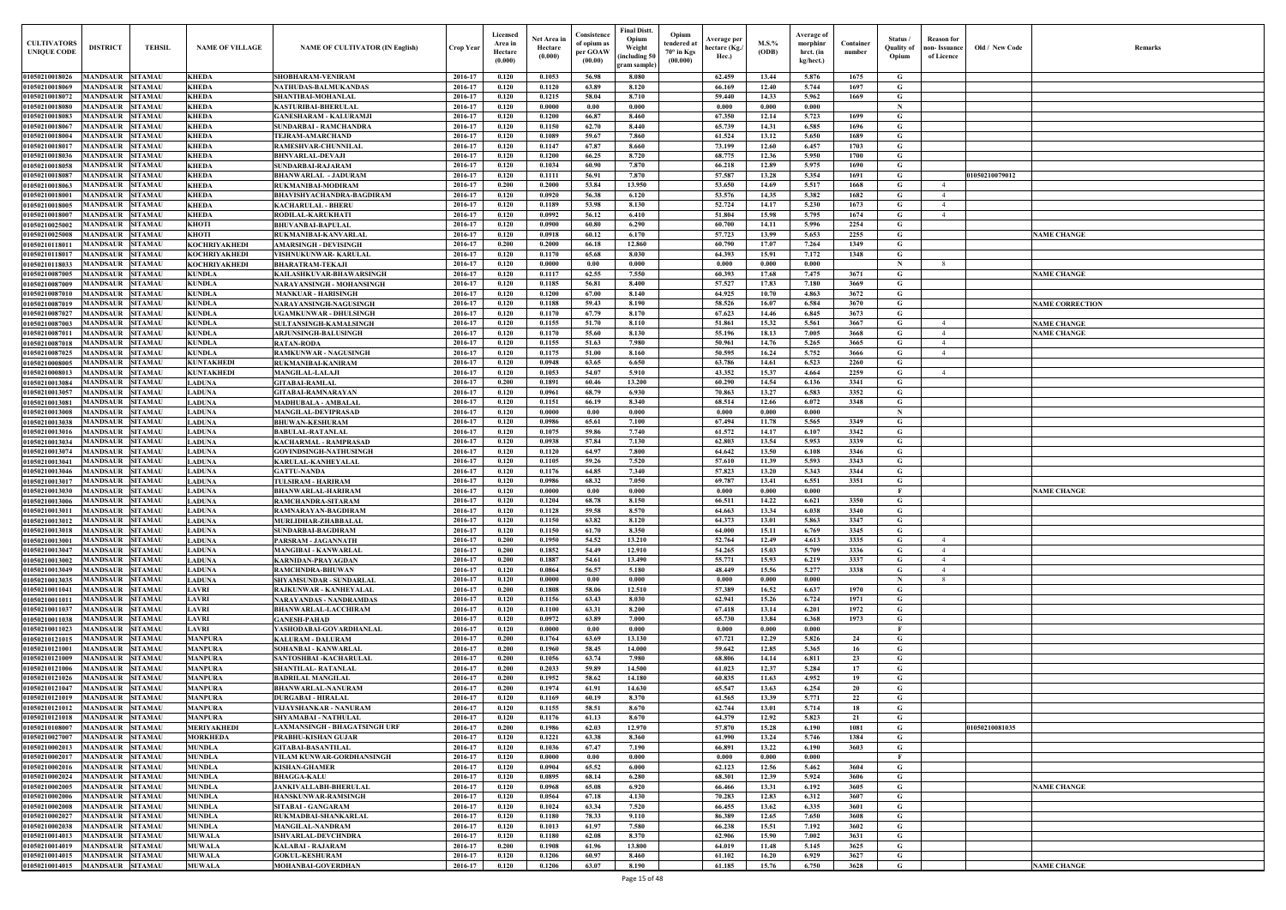| Old / New Code | Remarks                |
|----------------|------------------------|
|                |                        |
|                |                        |
|                |                        |
|                |                        |
|                |                        |
|                |                        |
| 01050210079012 |                        |
|                |                        |
|                |                        |
|                |                        |
|                | <b>NAME CHANGE</b>     |
|                |                        |
|                | <b>NAME CHANGE</b>     |
|                |                        |
|                | <b>NAME CORRECTION</b> |
|                | <b>NAME CHANGE</b>     |
|                | <b>NAME CHANGE</b>     |
|                |                        |
|                |                        |
|                |                        |
|                |                        |
|                |                        |
|                |                        |
|                |                        |
|                |                        |
|                |                        |
|                |                        |
|                | <b>NAME CHANGE</b>     |
|                |                        |
|                |                        |
|                |                        |
|                |                        |
|                |                        |
|                |                        |
|                |                        |
|                |                        |
|                |                        |
|                |                        |
|                |                        |
|                |                        |
|                |                        |
|                |                        |
| 01050210081035 |                        |
|                |                        |
|                |                        |
|                |                        |
|                | <b>NAME CHANGE</b>     |
|                |                        |
|                |                        |
|                |                        |
|                |                        |
|                | <b>NAME CHANGE</b>     |

| <b>CULTIVATORS</b><br><b>UNIQUE CODI</b> | <b>DISTRICT</b><br><b>TEHSIL</b>                                       | <b>NAME OF VILLAGE</b>                | <b>NAME OF CULTIVATOR (IN English)</b>                      | Crop Year          | Licensed<br>Area in<br>Hectare<br>(0.000) | Net Area in<br>Hectare<br>(0.000) | Consistence<br>of opium as<br>per GOAW<br>(00.00) | <b>Final Distt.</b><br>Opium<br>Opium<br>tendered at<br>Weight<br>70° in Kgs<br>including 50)<br>(00.000)<br>gram sample) | Average per<br>hectare (Kg./<br>Hec.) | $M.S.\%$<br>(ODB) | Average of<br>morphinr<br>hrct. (in<br>kg/hect.) | Container<br>number | Status /<br><b>Quality of</b><br>Opium | <b>Reason</b> for<br>non- Issuance<br>of Licence | Old / New Code | <b>Remark</b>                            |
|------------------------------------------|------------------------------------------------------------------------|---------------------------------------|-------------------------------------------------------------|--------------------|-------------------------------------------|-----------------------------------|---------------------------------------------------|---------------------------------------------------------------------------------------------------------------------------|---------------------------------------|-------------------|--------------------------------------------------|---------------------|----------------------------------------|--------------------------------------------------|----------------|------------------------------------------|
| 01050210018026                           | <b>MANDSAUR SITAMAU</b>                                                | <b>KHEDA</b>                          | SHOBHARAM-VENIRAM                                           | 2016-17            | 0.120                                     | 0.1053                            | 56.98                                             | 8.080                                                                                                                     | 62.459                                | 13.44             | 5.876                                            | 1675                | G                                      |                                                  |                |                                          |
| 01050210018069                           | <b>MANDSAUR</b><br><b>SITAMAU</b>                                      | <b>KHEDA</b>                          | <b>NATHUDAS-BALMUKANDAS</b>                                 | 2016-17            | 0.120                                     | 0.1120                            | 63.89                                             | 8.120                                                                                                                     | 66.169                                | 12.40             | 5.744                                            | 1697                | G                                      |                                                  |                |                                          |
| 01050210018072                           | <b>SITAMAU</b><br><b>MANDSAUR</b><br>MANDSAUR<br><b>SITAMAU</b>        | <b>KHEDA</b>                          | SHANTIBAI-MOHANLAL                                          | 2016-17<br>2016-17 | 0.120<br>0.120                            | 0.1215<br>0.0000                  | 58.04<br>0.00                                     | 8.710<br>0.000                                                                                                            | 59.440<br>0.000                       | 14.33<br>0.000    | 5.962<br>0.000                                   | 1669                | G<br>- N                               |                                                  |                |                                          |
| 01050210018080<br>01050210018083         | <b>MANDSAUR</b><br><b>SITAMAU</b>                                      | <b>KHEDA</b><br><b>KHEDA</b>          | <b>KASTURIBAI-BHERULAI</b><br><b>GANESHARAM - KALURAMJI</b> | 2016-17            | 0.120                                     | 0.1200                            | 66.87                                             | 8.460                                                                                                                     | 67.350                                | 12.14             | 5.723                                            | 1699                | G                                      |                                                  |                |                                          |
| 01050210018067                           | MANDSAUR<br><b>SITAMAU</b>                                             | <b>KHEDA</b>                          | <b>SUNDARBAI - RAMCHANDRA</b>                               | 2016-17            | 0.120                                     | 0.1150                            | 62.70                                             | 8.440                                                                                                                     | 65.739                                | 14.31             | 6.585                                            | 1696                | G                                      |                                                  |                |                                          |
| 01050210018004                           | <b>MANDSAUR</b><br><b>SITAMAU</b>                                      | <b>KHEDA</b>                          | <b>TEJRAM-AMARCHAND</b>                                     | 2016-17            | 0.120                                     | 0.1089                            | 59.67                                             | 7.860                                                                                                                     | 61.524                                | 13.12             | 5.650                                            | 1689                | G                                      |                                                  |                |                                          |
| 01050210018017                           | <b>MANDSAUR</b><br><b>SITAMAU</b>                                      | <b>KHEDA</b>                          | <b>RAMESHVAR-CHUNNILAL</b>                                  | 2016-17            | 0.120                                     | 0.1147                            | 67.87                                             | 8.660                                                                                                                     | 73.199                                | 12.60             | 6.457                                            | 1703                | G                                      |                                                  |                |                                          |
| 01050210018036<br>01050210018058         | <b>SITAMAU</b><br>MANDSAUR<br><b>MANDSAUR</b><br><b>SITAMAU</b>        | <b>KHEDA</b><br><b>KHEDA</b>          | <b>BHNVARLAL-DEVAJI</b><br><b>SUNDARBAI-RAJARAM</b>         | 2016-17<br>2016-17 | 0.120<br>0.120                            | 0.1200<br>0.1034                  | 66.25<br>60.90                                    | 8.720<br>7.870                                                                                                            | 68.775<br>66.218                      | 12.36<br>12.89    | 5.950<br>5.975                                   | 1700<br>1690        | G<br>G                                 |                                                  |                |                                          |
| 01050210018087                           | <b>MANDSAUR</b><br><b>SITAMAU</b>                                      | <b>KHEDA</b>                          | <b>BHANWARLAL - JADURAM</b>                                 | 2016-17            | 0.120                                     | 0.1111                            | 56.91                                             | 7.870                                                                                                                     | 57.587                                | 13.28             | 5.354                                            | 1691                | G                                      |                                                  | 01050210079012 |                                          |
| 01050210018063                           | <b>MANDSAUR</b><br><b>SITAMAU</b>                                      | <b>KHEDA</b>                          | RUKMANIBAI-MODIRAM                                          | 2016-17            | 0.200                                     | 0.2000                            | 53.84                                             | 13.950                                                                                                                    | 53.650                                | 14.69             | 5.517                                            | 1668                | $\mathbf G$                            | $\overline{4}$                                   |                |                                          |
| 0105021001800                            | <b>MANDSAUR</b><br><b>SITAMAU</b>                                      | <b>KHEDA</b>                          | <b>BHAVISHYACHANDRA-BAGDIRAM</b>                            | 2016-17            | 0.120                                     | 0.0920                            | 56.38                                             | 6.120                                                                                                                     | 53.576                                | 14.35             | 5.382                                            | 1682                | G                                      | $\overline{4}$                                   |                |                                          |
| 01050210018005                           | MANDSAUR<br><b>SITAMAU</b>                                             | <b>KHEDA</b>                          | <b>KACHARULAL - BHERI</b>                                   | 2016-17            | 0.120                                     | 0.1189                            | 53.98                                             | 8.130                                                                                                                     | 52,724                                | 14.17             | 5.230                                            | 1673                | G                                      | $\overline{4}$<br>$\overline{4}$                 |                |                                          |
| 0105021001800<br>01050210025002          | MANDSAUR<br>SITAMAU<br>MANDSAUR<br><b>SITAMAU</b>                      | <b>KHEDA</b><br><b>KHOTI</b>          | RODILAL-KARUKHATI<br><b>BHUVANBAI-BAPULAL</b>               | 2016-17<br>2016-17 | 0.120<br>0.120                            | 0.0992<br>0.0900                  | 56.12<br>60.80                                    | 6.410<br>6.290                                                                                                            | 51.804<br>60.700                      | 15.98<br>14.11    | 5.795<br>5.996                                   | 1674<br>2254        | G<br>G                                 |                                                  |                |                                          |
| 01050210025008                           | MANDSAUR<br><b>SITAMAU</b>                                             | <b>KHOTI</b>                          | RUKMANIBAI-KANVARLAL                                        | 2016-17            | 0.120                                     | 0.0918                            | 60.12                                             | 6.170                                                                                                                     | 57.723                                | 13.99             | 5.653                                            | 2255                | G                                      |                                                  |                | <b>VAME CHANGE</b>                       |
| 01050210118011                           | <b>MANDSAUR</b><br><b>SITAMAU</b>                                      | <b>KOCHRIYAKHEDI</b>                  | <b>AMARSINGH - DEVISINGH</b>                                | 2016-17            | 0.200                                     | 0.2000                            | 66.18                                             | 12.860                                                                                                                    | 60.790                                | 17.07             | 7.264                                            | 1349                | G                                      |                                                  |                |                                          |
| 01050210118017                           | <b>MANDSAUR</b><br><b>SITAMAU</b>                                      | <b>KOCHRIYAKHEDI</b>                  | VISHNUKUNWAR- KARULAL                                       | 2016-17            | 0.120                                     | 0.1170                            | 65.68                                             | 8.030                                                                                                                     | 64.393                                | 15.91             | 7.172                                            | 1348                | G                                      |                                                  |                |                                          |
| 01050210118033<br>01050210087005         | MANDSAUR<br><b>SITAMAU</b><br>MANDSAUR<br><b>SITAMAU</b>               | <b>KOCHRIYAKHEDI</b><br><b>KUNDLA</b> | <b>BHARATRAM-TEKAJI</b><br>KAILASHKUVAR-BHAWARSINGH         | 2016-17<br>2016-17 | 0.120<br>0.120                            | 0.0000<br>0.1117                  | 0.00<br>62.55                                     | 0.000<br>7.550                                                                                                            | 0.000<br>60.393                       | 0.000<br>17.68    | 0.000<br>7.475                                   | 3671                | -N<br>G                                |                                                  |                | <b>NAME CHANGE</b>                       |
| 01050210087009                           | <b>MANDSAUR SITAMAU</b>                                                | <b>KUNDLA</b>                         | NARAYANSINGH - MOHANSINGH                                   | 2016-17            | 0.120                                     | 0.1185                            | 56.81                                             | 8.400                                                                                                                     | 57.527                                | 17.83             | 7.180                                            | 3669                | G                                      |                                                  |                |                                          |
| 01050210087010                           | <b>MANDSAUR</b><br><b>SITAMAU</b>                                      | <b>KUNDLA</b>                         | <b>MANKUAR - HARISINGH</b>                                  | 2016-17            | 0.120                                     | 0.1200                            | 67.00                                             | 8.140                                                                                                                     | 64.925                                | 10.70             | 4.863                                            | 3672                | G                                      |                                                  |                |                                          |
| 01050210087019                           | MANDSAUR<br><b>SITAMAU</b>                                             | <b>KUNDLA</b>                         | NARAYANSINGH-NAGUSINGH                                      | 2016-17            | 0.120                                     | 0.1188                            | 59.43                                             | 8.190                                                                                                                     | 58.526                                | 16.07             | 6.584                                            | 3670                | G                                      |                                                  |                | <b>NAME CORRECTION</b>                   |
| 01050210087027                           | <b>MANDSAUR</b><br><b>SITAMAU</b>                                      | <b>KUNDLA</b>                         | <b>UGAMKUNWAR - DHULSINGH</b>                               | 2016-17            | 0.120                                     | 0.1170                            | 67.79                                             | 8.170                                                                                                                     | 67.623                                | 14.46             | 6.845                                            | 3673                | G                                      |                                                  |                |                                          |
| 01050210087003<br>01050210087011         | MANDSAUR<br><b>SITAMAU</b><br>MANDSAUR<br><b>SITAMAU</b>               | <b>KUNDLA</b><br><b>KUNDLA</b>        | SULTANSINGH-KAMALSINGH<br><b>ARJUNSINGH-BALUSINGH</b>       | 2016-17<br>2016-17 | 0.120<br>0.120                            | 0.1155<br>0.1170                  | 51.70<br>55.60                                    | 8.110<br>8.130                                                                                                            | 51.861<br>55.196                      | 15.32<br>18.13    | 5.561<br>7.005                                   | 3667<br>3668        | G<br>G                                 | $\overline{4}$<br>$\overline{4}$                 |                | <b>NAME CHANGE</b><br><b>NAME CHANGE</b> |
| 01050210087018                           | <b>SITAMAU</b><br>MANDSAUR                                             | <b>KUNDLA</b>                         | <b>RATAN-RODA</b>                                           | 2016-17            | 0.120                                     | 0.1155                            | 51.63                                             | 7.980                                                                                                                     | 50.961                                | 14.76             | 5.265                                            | 3665                | G                                      | 4                                                |                |                                          |
| 01050210087025                           | MANDSAUR<br><b>SITAMAU</b>                                             | <b>KUNDLA</b>                         | <b>RAMKUNWAR - NAGUSINGH</b>                                | 2016-17            | 0.120                                     | 0.1175                            | 51.00                                             | 8.160                                                                                                                     | 50.595                                | 16.24             | 5.752                                            | 3666                | G                                      | $\overline{4}$                                   |                |                                          |
| 01050210008005                           | MANDSAUR<br><b>SITAMAU</b>                                             | <b>KUNTAKHEDI</b>                     | RUKMANIBAI-KANIRAM                                          | 2016-17            | 0.120                                     | 0.0948                            | 63.65                                             | 6.650                                                                                                                     | 63.786                                | 14.61             | 6.523                                            | 2260                | G                                      |                                                  |                |                                          |
| 01050210008013                           | <b>SITAMAU</b><br>MANDSAUR                                             | <b>KUNTAKHEDI</b>                     | <b>MANGILAL-LALAJI</b>                                      | 2016-17<br>2016-17 | 0.120<br>0.200                            | 0.1053<br>0.1891                  | 54.07<br>60.46                                    | 5.910<br>13.200                                                                                                           | 43.352<br>60.290                      | 15.37<br>14.54    | 4.664                                            | 2259<br>3341        | G<br>G                                 | $\overline{4}$                                   |                |                                          |
| 01050210013084<br>01050210013057         | MANDSAUR<br><b>SITAMAU</b><br><b>MANDSAUR</b><br><b>SITAMAU</b>        | <b>LADUNA</b><br><b>LADUNA</b>        | <b>GITABAI-RAMLAL</b><br><b>GITABAI-RAMNARAYAN</b>          | 2016-17            | 0.120                                     | 0.0961                            | 68.79                                             | 6.930                                                                                                                     | 70.863                                | 13.27             | 6.136<br>6.583                                   | 3352                | G                                      |                                                  |                |                                          |
| 01050210013081                           | <b>SITAMAU</b><br><b>MANDSAUR</b>                                      | <b>LADUNA</b>                         | <b>MADHUBALA - AMBALAI</b>                                  | 2016-17            | 0.120                                     | 0.1151                            | 66.19                                             | 8.340                                                                                                                     | 68.514                                | 12.66             | 6.072                                            | 3348                | G                                      |                                                  |                |                                          |
| 01050210013008                           | <b>MANDSAUR</b><br><b>SITAMAU</b>                                      | <b>LADUNA</b>                         | <b>MANGILAL-DEVIPRASAD</b>                                  | 2016-17            | 0.120                                     | 0.0000                            | 0.00                                              | 0.000                                                                                                                     | 0.000                                 | 0.000             | 0.000                                            |                     | $\mathbf N$                            |                                                  |                |                                          |
| 01050210013038                           | <b>MANDSAUR</b><br><b>SITAMAU</b>                                      | <b>LADUNA</b>                         | <b>BHUWAN-KESHURAM</b>                                      | 2016-17            | 0.120                                     | 0.0986                            | 65.61                                             | 7.100                                                                                                                     | 67.494                                | 11.78             | 5.565                                            | 3349                | G                                      |                                                  |                |                                          |
| 01050210013016<br>01050210013034         | <b>MANDSAUR</b><br><b>SITAMAU</b><br><b>MANDSAUR</b><br><b>SITAMAU</b> | <b>LADUNA</b><br><b>LADUNA</b>        | <b>BABULAL-RATANLAL</b><br>KACHARMAL - RAMPRASAD            | 2016-17<br>2016-17 | 0.120<br>0.120                            | 0.1075<br>0.0938                  | 59.86<br>57.84                                    | 7.740<br>7.130                                                                                                            | 61.572<br>62.803                      | 14.17<br>13.54    | 6.107<br>5.953                                   | 3342<br>3339        | G<br>G                                 |                                                  |                |                                          |
| 01050210013074                           | <b>MANDSAUR</b><br><b>SITAMAU</b>                                      | <b>LADUNA</b>                         | <b>GOVINDSINGH-NATHUSINGH</b>                               | 2016-17            | 0.120                                     | 0.1120                            | 64.97                                             | 7.800                                                                                                                     | 64.642                                | 13.50             | 6.108                                            | 3346                | G                                      |                                                  |                |                                          |
| 0105021001304                            | MANDSAUR<br><b>SITAMAU</b>                                             | LADUNA                                | KARULAL-KANHEYALAL                                          | 2016-17            | 0.120                                     | 0.1105                            | 59.26                                             | 7.520                                                                                                                     | 57.610                                | 11.39             | 5.593                                            | 3343                | G                                      |                                                  |                |                                          |
| 01050210013046                           | MANDSAUR<br><b>SITAMAU</b>                                             | LADUNA                                | <b>GATTU-NANDA</b>                                          | 2016-17            | 0.120                                     | 0.1176                            | 64.85                                             | 7.340                                                                                                                     | 57.823                                | 13.20             | 5.343                                            | 3344                | G                                      |                                                  |                |                                          |
| 0105021001301                            | MANDSAUR<br><b>SITAMAU</b>                                             | <b>LADUNA</b><br>LADUNA               | <b>TULSIRAM - HARIRAM</b>                                   | 2016-17<br>2016-17 | 0.120<br>0.120                            | 0.0986<br>0.0000                  | 68.32<br>0.00                                     | 7.050<br>0.000                                                                                                            | 69.787<br>0.000                       | 13.41<br>0.000    | 6.551<br>0.000                                   | 3351                | G                                      |                                                  |                | <b>NAME CHANGE</b>                       |
| 01050210013030<br>01050210013006         | <b>MANDSAUR</b><br><b>SITAMAU</b><br><b>MANDSAUR</b><br><b>SITAMAU</b> | <b>LADUNA</b>                         | <b>BHANWARLAL-HARIRAM</b><br>RAMCHANDRA-SITARAM             | 2016-17            | 0.120                                     | 0.1204                            | 68.78                                             | 8.150                                                                                                                     | 66.511                                | 14.22             | 6.621                                            | 3350                | G                                      |                                                  |                |                                          |
|                                          | 01050210013011 MANDSAUR SITAMAU                                        | <b>LADUNA</b>                         | RAMNARAYAN-BAGDIRAM                                         | 2016-17            | 0.120                                     | 0.1128                            | 59.58                                             | 8.570                                                                                                                     | 64.663                                | 13.34             | 6.038                                            | 3340                | G                                      |                                                  |                |                                          |
| 01050210013012                           | <b>MANDSAUR SITAMAU</b>                                                | <b>LADUNA</b>                         | MURLIDHAR-ZHABBALAL                                         | 2016-17            | 0.120                                     | 0.1150                            | 63.82                                             | 8.120                                                                                                                     | 64.373                                | 13.01             | 5.863                                            | 3347                | G                                      |                                                  |                |                                          |
| 01050210013018                           | MANDSAUR SITAMAU                                                       | <b>LADUNA</b>                         | <b>SUNDARBAI-BAGDIRAM</b>                                   | 2016-17            | 0.120                                     | 0.1150                            | 61.70                                             | 8.350                                                                                                                     | 64.000                                | 15.11             | 6.769                                            | 3345                | G                                      |                                                  |                |                                          |
| 01050210013001<br>01050210013047         | <b>MANDSAUR SITAMAU</b><br><b>MANDSAUR SITAMAU</b>                     | <b>LADUNA</b><br><b>LADUNA</b>        | PARSRAM - JAGANNATH<br><b>MANGIBAI - KANWARLAL</b>          | 2016-17<br>2016-17 | 0.200<br>0.200                            | 0.1950<br>0.1852                  | 54.52<br>54.49                                    | 13.210<br>12.910                                                                                                          | 52.764<br>54.265                      | 12.49<br>15.03    | 4.613<br>5.709                                   | 3335<br>3336        | G<br>G                                 | $\overline{4}$<br>$\overline{4}$                 |                |                                          |
| 01050210013002                           | <b>MANDSAUR</b><br><b>SITAMAU</b>                                      | <b>LADUNA</b>                         | <b>KARNIDAN-PRAYAGDAN</b>                                   | 2016-17            | 0.200                                     | 0.1887                            | 54.61                                             | 13.490                                                                                                                    | 55,771                                | 15.93             | 6.219                                            | 3337                | G                                      | $\overline{4}$                                   |                |                                          |
| 01050210013049                           | <b>MANDSAUR</b><br><b>SITAMAU</b>                                      | <b>LADUNA</b>                         | <b>RAMCHNDRA-BHUWAN</b>                                     | 2016-17            | 0.120                                     | 0.0864                            | 56.57                                             | 5.180                                                                                                                     | 48.449                                | 15.56             | 5.277                                            | 3338                | G                                      | $\overline{4}$                                   |                |                                          |
| 01050210013035                           | <b>MANDSAUR</b><br><b>SITAMAU</b>                                      | <b>LADUNA</b>                         | SHYAMSUNDAR - SUNDARLAL                                     | 2016-17            | 0.120                                     | 0.0000                            | 0.00                                              | 0.000                                                                                                                     | 0.000                                 | 0.000             | 0.000                                            |                     | $\mathbf N$                            | 8                                                |                |                                          |
| 01050210011041<br>01050210011011         | <b>MANDSAUR SITAMAU</b><br><b>MANDSAUR</b><br><b>SITAMAU</b>           | <b>LAVRI</b><br><b>LAVRI</b>          | RAJKUNWAR - KANHEYALAL<br><b>NARAYANDAS - NANDRAMDAS</b>    | 2016-17<br>2016-17 | 0.200<br>0.120                            | 0.1808<br>0.1156                  | 58.06<br>63.43                                    | 12.510<br>8.030                                                                                                           | 57.389<br>62.941                      | 16.52<br>15.26    | 6.637<br>6.724                                   | 1970<br>1971        | G<br>G                                 |                                                  |                |                                          |
| 01050210011037                           | <b>MANDSAUR</b><br><b>SITAMAU</b>                                      | <b>LAVRI</b>                          | <b>BHANWARLAL-LACCHIRAM</b>                                 | 2016-17            | 0.120                                     | 0.1100                            | 63.31                                             | 8.200                                                                                                                     | 67.418                                | 13.14             | 6.201                                            | 1972                | G                                      |                                                  |                |                                          |
| 01050210011038                           | MANDSAUR SITAMAU                                                       | <b>LAVRI</b>                          | <b>GANESH-PAHAD</b>                                         | 2016-17            | 0.120                                     | 0.0972                            | 63.89                                             | 7.000                                                                                                                     | 65.730                                | 13.84             | 6.368                                            | 1973                | $\mathbf G$                            |                                                  |                |                                          |
| 01050210011023                           | <b>MANDSAUR</b><br><b>SITAMAU</b>                                      | <b>LAVRI</b>                          | YASHODABAI-GOVARDHANLAL                                     | 2016-17            | 0.120                                     | 0.0000                            | 0.00                                              | 0.000                                                                                                                     | 0.000                                 | 0.000             | 0.000                                            |                     | $\mathbf{F}$                           |                                                  |                |                                          |
| 01050210121015                           | <b>MANDSAUR</b><br><b>SITAMAU</b>                                      | <b>MANPURA</b>                        | <b>KALURAM - DALURAM</b>                                    | 2016-17            | 0.200                                     | 0.1764                            | 63.69                                             | 13.130                                                                                                                    | 67.721                                | 12.29             | 5.826                                            | 24                  | G                                      |                                                  |                |                                          |
| 01050210121001<br>01050210121009         | <b>MANDSAUR</b><br><b>SITAMAU</b><br>MANDSAUR<br><b>SITAMAU</b>        | <b>MANPURA</b><br><b>MANPURA</b>      | <b>SOHANBAI - KANWARLAL</b><br>SANTOSHBAI - KACHARULAL      | 2016-17<br>2016-17 | 0.200<br>0.200                            | 0.1960<br>0.1056                  | 58.45<br>63.74                                    | 14.000<br>7.980                                                                                                           | 59.642<br>68.806                      | 12.85<br>14.14    | 5.365<br>6.811                                   | 16<br>23            | G<br>$\mathbf G$                       |                                                  |                |                                          |
| 01050210121006                           | <b>MANDSAUR</b><br><b>SITAMAU</b>                                      | <b>MANPURA</b>                        | <b>SHANTILAL-RATANLAL</b>                                   | 2016-17            | 0.200                                     | 0.2033                            | 59.89                                             | 14.500                                                                                                                    | 61.023                                | 12.37             | 5.284                                            | 17                  | $\mathbf G$                            |                                                  |                |                                          |
| 01050210121026                           | <b>MANDSAUR</b><br><b>SITAMAU</b>                                      | <b>MANPURA</b>                        | <b>BADRILAL MANGILAL</b>                                    | 2016-17            | 0.200                                     | 0.1952                            | 58.62                                             | 14.180                                                                                                                    | 60.835                                | 11.63             | 4.952                                            | 19                  | $\mathbf G$                            |                                                  |                |                                          |
| 01050210121047                           | <b>MANDSAUR</b><br><b>SITAMAU</b>                                      | <b>MANPURA</b>                        | <b>BHANWARLAL-NANURAM</b>                                   | 2016-17            | 0.200                                     | 0.1974                            | 61.91                                             | 14.630                                                                                                                    | 65.547                                | 13.63             | 6.254                                            | 20                  | G                                      |                                                  |                |                                          |
| 01050210121019<br>01050210121012         | <b>MANDSAUR</b><br><b>SITAMAU</b><br><b>MANDSAUR</b><br><b>SITAMAU</b> | <b>MANPURA</b><br><b>MANPURA</b>      | <b>DURGABAI - HIRALAL</b><br>VIJAYSHANKAR - NANURAM         | 2016-17<br>2016-17 | 0.120<br>0.120                            | 0.1169<br>0.1155                  | 60.19<br>58.51                                    | 8.370<br>8.670                                                                                                            | 61.565<br>62,744                      | 13.39<br>13.01    | 5.771<br>5.714                                   | 22<br>18            | G<br>G                                 |                                                  |                |                                          |
| 01050210121018                           | <b>SITAMAU</b><br><b>MANDSAUR</b>                                      | <b>MANPURA</b>                        | SHYAMABAI - NATHULAL                                        | 2016-17            | 0.120                                     | 0.1176                            | 61.13                                             | 8.670                                                                                                                     | 64.379                                | 12.92             | 5.823                                            | 21                  | G                                      |                                                  |                |                                          |
| 01050210108007                           | <b>MANDSAUR</b><br><b>SITAMAU</b>                                      | <b>MERIYAKHEDI</b>                    | LAXMANSINGH - BHAGATSINGH URF                               | 2016-17            | 0.200                                     | 0.1986                            | 62.03                                             | 12.970                                                                                                                    | 57.870                                | 15.28             | 6.190                                            | 1081                | G                                      |                                                  | 01050210081035 |                                          |
| 01050210027007                           | MANDSAUR SITAMAU                                                       | <b>MORKHEDA</b>                       | PRABHU-KISHAN GUJAR                                         | 2016-17            | 0.120                                     | 0.1221                            | 63.38                                             | 8.360                                                                                                                     | 61.990                                | 13.24             | 5.746                                            | 1384                | G                                      |                                                  |                |                                          |
| 01050210002013                           | MANDSAUR SITAMAU                                                       | <b>MUNDLA</b>                         | <b>GITABAI-BASANTILAL</b>                                   | 2016-17            | 0.120                                     | 0.1036                            | 67.47                                             | 7.190                                                                                                                     | 66.891                                | 13.22             | 6.190                                            | 3603                | $\mathbf{G}$                           |                                                  |                |                                          |
| 01050210002017<br>01050210002016         | <b>MANDSAUR SITAMAU</b><br><b>MANDSAUR SITAMAU</b>                     | <b>MUNDLA</b><br><b>MUNDLA</b>        | VILAM KUNWAR-GORDHANSINGH<br><b>KISHAN-GHAMER</b>           | 2016-17<br>2016-17 | 0.120<br>0.120                            | 0.0000<br>0.0904                  | 0.00<br>65.52                                     | 0.000<br>6.000                                                                                                            | 0.000<br>62.123                       | 0.000<br>12.56    | 0.000<br>5.462                                   | 3604                | - F<br>G                               |                                                  |                |                                          |
| 01050210002024                           | MANDSAUR SITAMAU                                                       | <b>MUNDLA</b>                         | <b>BHAGGA-KALU</b>                                          | 2016-17            | 0.120                                     | 0.0895                            | 68.14                                             | 6.280                                                                                                                     | 68.301                                | 12.39             | 5.924                                            | 3606                | G                                      |                                                  |                |                                          |
| 01050210002005                           | <b>MANDSAUR</b><br><b>SITAMAU</b>                                      | <b>MUNDLA</b>                         | <b>JANKIVALLABH-BHERULAL</b>                                | 2016-17            | 0.120                                     | 0.0968                            | 65.08                                             | 6.920                                                                                                                     | 66.466                                | 13.31             | 6.192                                            | 3605                | $\mathbf G$                            |                                                  |                | <b>NAME CHANGE</b>                       |
| 01050210002006                           | MANDSAUR SITAMAU                                                       | <b>MUNDLA</b>                         | HANSKUNWAR-RAMSINGH                                         | 2016-17            | 0.120                                     | 0.0564                            | 67.18                                             | 4.130                                                                                                                     | 70.283                                | 12.83             | 6.312                                            | 3607                | G                                      |                                                  |                |                                          |
| 01050210002008                           | <b>MANDSAUR</b><br><b>SITAMAU</b><br><b>MANDSAUR</b><br><b>SITAMAU</b> | <b>MUNDLA</b><br><b>MUNDLA</b>        | SITABAI - GANGARAM                                          | 2016-17<br>2016-17 | 0.120                                     | 0.1024<br>0.1180                  | 63.34<br>78.33                                    | 7.520                                                                                                                     | 66.455                                | 13.62             | 6.335<br>7.650                                   | 3601<br>3608        | $\mathbf G$<br>$\mathbf G$             |                                                  |                |                                          |
| 01050210002027<br>01050210002038         | <b>MANDSAUR</b><br><b>SITAMAU</b>                                      | <b>MUNDLA</b>                         | RUKMADBAI-SHANKARLAL<br><b>MANGILAL-NANDRAM</b>             | 2016-17            | 0.120<br>0.120                            | 0.1013                            | 61.97                                             | 9.110<br>7.580                                                                                                            | 86.389<br>66.238                      | 12.65<br>15.51    | 7.192                                            | 3602                | G                                      |                                                  |                |                                          |
| 01050210014013                           | <b>SITAMAU</b><br><b>MANDSAUR</b>                                      | <b>MUWALA</b>                         | <b>ISHVARLAL-DEVCHNDRA</b>                                  | 2016-17            | 0.120                                     | 0.1180                            | 62.08                                             | 8.370                                                                                                                     | 62.906                                | 15.90             | 7.002                                            | 3631                | G                                      |                                                  |                |                                          |
| 01050210014019                           | <b>MANDSAUR</b><br><b>SITAMAU</b>                                      | <b>MUWALA</b>                         | <b>KALABAI - RAJARAM</b>                                    | 2016-17            | 0.200                                     | 0.1908                            | 61.96                                             | 13.800                                                                                                                    | 64.019                                | 11.48             | 5.145                                            | 3625                | G                                      |                                                  |                |                                          |
| 01050210014015                           | <b>MANDSAUR SITAMAU</b>                                                | <b>MUWALA</b>                         | <b>GOKUL-KESHURAM</b>                                       | 2016-17            | 0.120                                     | 0.1206                            | 60.97                                             | 8.460                                                                                                                     | 61.102                                | 16.20             | 6.929                                            | 3627                | $\mathbf{G}$                           |                                                  |                |                                          |
| 01050210014015                           | MANDSAUR SITAMAU                                                       | <b>MUWALA</b>                         | <b>MOHANBAI-GOVERDHAN</b>                                   | 2016-17            | 0.120                                     | 0.1206                            | 63.07                                             | 8.190                                                                                                                     | 61.185                                | 15.76             | 6.750                                            | 3628                | $\mathbf G$                            |                                                  |                | <b>NAME CHANGE</b>                       |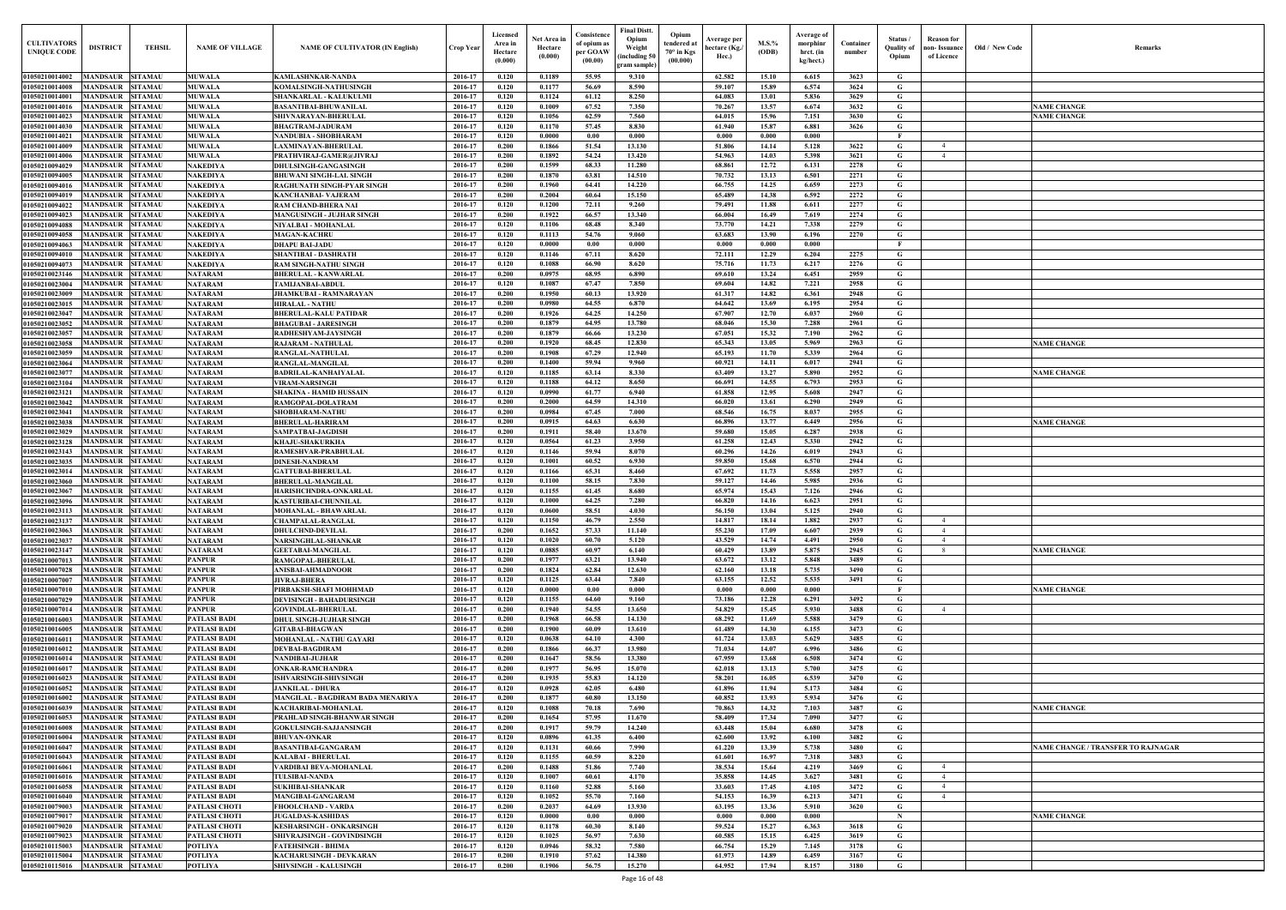| Old / New Code | Remarks                            |
|----------------|------------------------------------|
|                |                                    |
|                |                                    |
|                |                                    |
|                | <b>NAME CHANGE</b>                 |
|                | <b>NAME CHANGE</b>                 |
|                |                                    |
|                |                                    |
|                |                                    |
|                |                                    |
|                |                                    |
|                |                                    |
|                |                                    |
|                |                                    |
|                |                                    |
|                |                                    |
|                |                                    |
|                |                                    |
|                |                                    |
|                |                                    |
|                |                                    |
|                |                                    |
|                |                                    |
|                |                                    |
|                |                                    |
|                |                                    |
|                |                                    |
|                | <b>NAME CHANGE</b>                 |
|                |                                    |
|                |                                    |
|                | <b>NAME CHANGE</b>                 |
|                |                                    |
|                |                                    |
|                |                                    |
|                |                                    |
|                | <b>NAME CHANGE</b>                 |
|                |                                    |
|                |                                    |
|                |                                    |
|                |                                    |
|                |                                    |
|                |                                    |
|                |                                    |
|                |                                    |
|                |                                    |
|                |                                    |
|                |                                    |
|                | <b>NAME CHANGE</b>                 |
|                |                                    |
|                |                                    |
|                |                                    |
|                | <b>NAME CHANGE</b>                 |
|                |                                    |
|                |                                    |
|                |                                    |
|                |                                    |
|                |                                    |
|                |                                    |
|                |                                    |
|                |                                    |
|                |                                    |
|                |                                    |
|                |                                    |
|                | <b>NAME CHANGE</b>                 |
|                |                                    |
|                |                                    |
|                | NAME CHANGE / TRANSFER TO RAJNAGAR |
|                |                                    |
|                |                                    |
|                |                                    |
|                |                                    |
|                |                                    |
|                |                                    |
|                | <b>NAME CHANGE</b>                 |
|                |                                    |
|                |                                    |
|                |                                    |
|                |                                    |
|                |                                    |
|                |                                    |

| <b>CULTIVATORS</b><br><b>UNIQUE CODE</b>          | <b>DISTRICT</b>                     | TEHSIL                           | <b>NAME OF VILLAGE</b>                       | <b>NAME OF CULTIVATOR (IN English)</b>                      | <b>Crop Year</b>   | Licensed<br>Area in<br>Hectare<br>(0.000) | Net Area in<br>Hectare<br>(0.000) | Consistence<br>of opium as<br>per GOAW<br>(00.00) | <b>Final Distt.</b><br>Opium<br>Weight<br>including 50)<br>gram sample | Opium<br>tendered a<br>$70^\circ$ in Kgs<br>(00.000) | Average per<br>hectare (Kg./<br>Hec.) | $M.S.$ %<br>(ODB) | Average of<br>morphinr<br>hrct. (in<br>kg/hect.) | Container<br>number | Status /<br><b>Quality of</b><br>Opium | <b>Reason</b> for<br>non- Issuance<br>of Licence | Old / New Code | Remarks                                   |
|---------------------------------------------------|-------------------------------------|----------------------------------|----------------------------------------------|-------------------------------------------------------------|--------------------|-------------------------------------------|-----------------------------------|---------------------------------------------------|------------------------------------------------------------------------|------------------------------------------------------|---------------------------------------|-------------------|--------------------------------------------------|---------------------|----------------------------------------|--------------------------------------------------|----------------|-------------------------------------------|
| 01050210014002                                    | <b>MANDSAUR</b>                     | <b>SITAMAU</b>                   | <b>MUWALA</b>                                | KAMLASHNKAR-NANDA                                           | 2016-17            | 0.120                                     | 0.1189                            | 55.95                                             | 9.310                                                                  |                                                      | 62.582                                | 15.10             | 6.615                                            | 3623                | G                                      |                                                  |                |                                           |
| 01050210014008<br>01050210014001                  | <b>MANDSAUR</b><br><b>MANDSAUR</b>  | SITAMAU<br>SITAMAU               | <b>MUWALA</b><br><b>MUWALA</b>               | KOMALSINGH-NATHUSINGH<br>SHANKARLAL - KALUKULMI             | 2016-17<br>2016-17 | 0.120<br>0.120                            | 0.1177<br>0.1124                  | 56.69<br>61.12                                    | 8.590<br>8.250                                                         |                                                      | 59.107<br>64.083                      | 15.89<br>13.01    | 6.574<br>5.836                                   | 3624<br>3629        | G<br>G                                 |                                                  |                |                                           |
| 0105021001401                                     | <b>MANDSAUR</b>                     | SITAMAU                          | <b>MUWALA</b>                                | BASANTIBAI-BHUWANILAL                                       | 2016-17            | 0.120                                     | 0.1009                            | 67.52                                             | 7.350                                                                  |                                                      | 70.267                                | 13.57             | 6.674                                            | 3632                | G                                      |                                                  |                | <b>NAME CHANGE</b>                        |
| 01050210014023                                    | <b>MANDSAUR</b>                     | SITAMAU                          | <b>MUWALA</b>                                | SHIVNARAYAN-BHERULAL                                        | 2016-17            | 0.120                                     | 0.1056                            | 62.59                                             | 7.560                                                                  |                                                      | 64.015                                | 15.96             | 7.151                                            | 3630                | G                                      |                                                  |                | <b>NAME CHANGE</b>                        |
| 01050210014030                                    | <b>MANDSAUR</b>                     | <b>SITAMAU</b>                   | <b>MUWALA</b>                                | <b>BHAGTRAM-JADURAM</b>                                     | 2016-17            | 0.120                                     | 0.1170                            | 57.45                                             | 8.830                                                                  |                                                      | 61.940                                | 15.87             | 6.881                                            | 3626                | G                                      |                                                  |                |                                           |
| 01050210014021                                    | <b>MANDSAUR</b>                     | SITAMAU                          | <b>MUWALA</b>                                | NANDUBIA - SHOBHARAM                                        | 2016-17            | 0.120                                     | 0.0000                            | $0.00\,$                                          | 0.000                                                                  |                                                      | 0.000                                 | 0.000             | 0.000                                            |                     | F                                      |                                                  |                |                                           |
| 01050210014009<br>01050210014006                  | <b>MANDSAUR</b><br><b>MANDSAUF</b>  | <b>SITAMAU</b><br>SITAMAU        | <b>MUWALA</b><br><b>MUWALA</b>               | LAXMINAYAN-BHERULAL<br>PRATHVIRAJ-GAMER@JIVRAJ              | 2016-17<br>2016-17 | 0.200<br>0.200                            | 0.1866<br>0.1892                  | 51.54<br>54.24                                    | 13.130<br>13.420                                                       |                                                      | 51.806<br>54.963                      | 14.14<br>14.03    | 5.128<br>5.398                                   | 3622<br>3621        | G<br>G                                 | $\overline{4}$<br>$\overline{4}$                 |                |                                           |
| 01050210094029                                    | <b>MANDSAUR</b>                     | SITAMAU                          | <b>NAKEDIYA</b>                              | <b>DHULSINGH-GANGASINGH</b>                                 | 2016-17            | 0.200                                     | 0.1599                            | 68.33                                             | 11.280                                                                 |                                                      | 68.861                                | 12.72             | 6.131                                            | 2278                | G                                      |                                                  |                |                                           |
| 0105021009400:                                    | <b>MANDSAUR</b>                     | SITAMAU                          | <b>NAKEDIYA</b>                              | BHUWANI SINGH-LAL SINGH                                     | 2016-17            | 0.200                                     | 0.1870                            | 63.81                                             | 14.510                                                                 |                                                      | 70.732                                | 13.13             | 6.501                                            | 2271                | G                                      |                                                  |                |                                           |
| 0105021009401                                     | <b>MANDSAUR</b>                     | SITAMAU                          | <b>NAKEDIYA</b>                              | RAGHUNATH SINGH-PYAR SINGH                                  | 2016-17            | 0.200                                     | 0.1960                            | 64.41                                             | 14.220                                                                 |                                                      | 66.755                                | 14.25             | 6.659                                            | 2273                | G                                      |                                                  |                |                                           |
| 0105021009401<br>01050210094022                   | <b>MANDSAUR</b><br><b>MANDSAUR</b>  | SITAMAU<br>SITAMAU               | <b>NAKEDIYA</b><br><b>NAKEDIYA</b>           | KANCHANBAI- VAJERAM<br>RAM CHAND-BHERA NAI                  | 2016-17<br>2016-17 | 0.200<br>0.120                            | 0.2004<br>0.1200                  | 60.64<br>72.11                                    | 15.150<br>9.260                                                        |                                                      | 65.489<br>79.491                      | 14.38<br>11.88    | 6.592<br>6.611                                   | 2272<br>2277        | G<br>G                                 |                                                  |                |                                           |
| 01050210094023                                    | <b>MANDSAUR</b>                     | SITAMAU                          | <b>NAKEDIYA</b>                              | <b>MANGUSINGH - JUJHAR SINGH</b>                            | 2016-17            | 0.200                                     | 0.1922                            | 66.57                                             | 13.340                                                                 |                                                      | 66.004                                | 16.49             | 7.619                                            | 2274                | G                                      |                                                  |                |                                           |
| 01050210094088                                    | <b>MANDSAUR</b>                     | <b>SITAMAU</b>                   | <b>NAKEDIYA</b>                              | NIYALBAI - MOHANLAL                                         | 2016-17            | 0.120                                     | 0.1106                            | 68.48                                             | 8.340                                                                  |                                                      | 73.770                                | 14.21             | 7.338                                            | 2279                | G                                      |                                                  |                |                                           |
| 01050210094058                                    | <b>MANDSAUR</b>                     | <b>SITAMAU</b>                   | <b>NAKEDIYA</b>                              | <b>MAGAN-KACHRU</b>                                         | 2016-17            | 0.120                                     | 0.1113                            | 54.76                                             | 9.060                                                                  |                                                      | 63.683                                | 13.90             | 6.196                                            | 2270                | G                                      |                                                  |                |                                           |
| 01050210094063<br>01050210094010                  | <b>MANDSAUR</b><br><b>MANDSAUR</b>  | <b>SITAMAU</b><br><b>SITAMAU</b> | <b>NAKEDIYA</b><br><b>NAKEDIYA</b>           | DHAPU BAI-JADU<br>SHANTIBAI - DASHRATH                      | 2016-17<br>2016-17 | 0.120<br>0.120                            | 0.0000<br>0.1146                  | 0.00<br>67.11                                     | 0.000<br>8.620                                                         |                                                      | 0.000<br>72.111                       | 0.000<br>12.29    | 0.000<br>6.204                                   | 2275                | G                                      |                                                  |                |                                           |
| 01050210094073                                    | <b>MANDSAUR</b>                     | <b>SITAMAU</b>                   | <b>NAKEDIYA</b>                              | RAM SINGH-NATHU SINGH                                       | 2016-17            | 0.120                                     | $\bf{0.1088}$                     | 66.90                                             | 8.620                                                                  |                                                      | 75.716                                | 11.73             | 6.217                                            | 2276                | G                                      |                                                  |                |                                           |
| 01050210023146                                    | <b>MANDSAUR</b>                     | SITAMAU                          | <b>NATARAM</b>                               | <b>BHERULAL - KANWARLAL</b>                                 | 2016-17            | 0.200                                     | 0.0975                            | 68.95                                             | 6.890                                                                  |                                                      | 69.610                                | 13.24             | 6.451                                            | 2959                | G                                      |                                                  |                |                                           |
| 01050210023004                                    | <b>MANDSAUR</b>                     | SITAMAU                          | <b>NATARAM</b>                               | <b>TAMIJANBAI-ABDUL</b>                                     | 2016-17            | 0.120                                     | 0.1087                            | 67.47                                             | 7.850                                                                  |                                                      | 69.604                                | 14.82             | 7.221                                            | 2958                | G                                      |                                                  |                |                                           |
| 01050210023009                                    | <b>MANDSAUR</b>                     | SITAMAU                          | <b>NATARAM</b>                               | <b>JHAMKUBAI - RAMNARAYAN</b>                               | 2016-17            | 0.200                                     | 0.1950                            | 60.13                                             | 13.920                                                                 |                                                      | 61.317                                | 14.82             | 6.361                                            | 2948                | G                                      |                                                  |                |                                           |
| 01050210023015<br>01050210023047                  | <b>MANDSAUR</b><br><b>MANDSAUR</b>  | SITAMAU<br>SITAMAU               | <b>NATARAM</b><br><b>NATARAM</b>             | <b>HIRALAL - NATHU</b><br>BHERULAL-KALU PATIDAR             | 2016-17<br>2016-17 | 0.200<br>0.200                            | 0.0980<br>0.1926                  | 64.55<br>64.25                                    | 6.870<br>14.250                                                        |                                                      | 64.642<br>67.907                      | 13.69<br>12.70    | 6.195<br>6.037                                   | 2954<br>2960        | G<br>G                                 |                                                  |                |                                           |
| 01050210023052                                    | <b>MANDSAUR</b>                     | SITAMAU                          | <b>NATARAM</b>                               | <b>BHAGUBAI - JARESINGH</b>                                 | 2016-17            | 0.200                                     | 0.1879                            | 64.95                                             | 13.780                                                                 |                                                      | 68.046                                | 15.30             | 7.288                                            | 2961                | G                                      |                                                  |                |                                           |
| 01050210023057                                    | <b>MANDSAUR</b>                     | SITAMAU                          | <b>NATARAM</b>                               | RADHESHYAM-JAYSINGH                                         | 2016-17            | 0.200                                     | 0.1879                            | 66.66                                             | 13.230                                                                 |                                                      | 67.051                                | 15.32             | 7.190                                            | 2962                | G                                      |                                                  |                |                                           |
| 01050210023058                                    | <b>MANDSAUR</b>                     | SITAMAU                          | <b>NATARAM</b>                               | RAJARAM - NATHULAL                                          | 2016-17            | 0.200                                     | 0.1920                            | 68.45                                             | 12.830                                                                 |                                                      | 65.343                                | 13.05             | 5.969                                            | 2963                | G                                      |                                                  |                | <b>NAME CHANGE</b>                        |
| 01050210023059<br>01050210023064                  | <b>MANDSAUR</b><br><b>MANDSAUR</b>  | SITAMAU<br><b>SITAMAU</b>        | <b>NATARAM</b><br><b>NATARAM</b>             | RANGLAL-NATHULAL<br>RANGLAL-MANGILAL                        | 2016-17<br>2016-17 | 0.200<br>0.200                            | 0.1908<br>0.1400                  | 67.29<br>59.94                                    | 12.940<br>9.960                                                        |                                                      | 65.193<br>60.921                      | 11.70<br>14.11    | 5.339<br>6.017                                   | 2964<br>2941        | G<br>G                                 |                                                  |                |                                           |
| 01050210023077                                    | <b>MANDSAUR</b>                     | <b>SITAMAU</b>                   | <b>NATARAM</b>                               | <b>BADRILAL-KANHAIYALAL</b>                                 | 2016-17            | 0.120                                     | 0.1185                            | 63.14                                             | 8.330                                                                  |                                                      | 63.409                                | 13.27             | 5.890                                            | 2952                | G                                      |                                                  |                | <b>NAME CHANGE</b>                        |
| 01050210023104                                    | <b>MANDSAUR</b>                     | <b>SITAMAU</b>                   | <b>NATARAM</b>                               | <b>VIRAM-NARSINGH</b>                                       | 2016-17            | 0.120                                     | 0.1188                            | 64.12                                             | 8.650                                                                  |                                                      | 66.691                                | 14.55             | 6.793                                            | 2953                | G                                      |                                                  |                |                                           |
| 01050210023121                                    | <b>MANDSAUR</b>                     | <b>SITAMAU</b>                   | <b>NATARAM</b>                               | SHAKINA - HAMID HUSSAIN                                     | 2016-17            | 0.120                                     | 0.0990                            | 61.77                                             | 6.940                                                                  |                                                      | 61.858                                | 12.95             | 5.608                                            | 2947                | G                                      |                                                  |                |                                           |
| 01050210023042<br>01050210023041                  | <b>MANDSAUR</b><br><b>MANDSAUR</b>  | SITAMAU<br><b>SITAMAU</b>        | <b>NATARAM</b><br><b>NATARAM</b>             | RAMGOPAL-DOLATRAM<br><b>SHOBHARAM-NATHU</b>                 | 2016-17<br>2016-17 | 0.200<br>0.200                            | 0.2000<br>0.0984                  | 64.59<br>67.45                                    | 14.310<br>7.000                                                        |                                                      | 66.020<br>68.546                      | 13.61<br>16.75    | 6.290<br>8.037                                   | 2949<br>2955        | G<br>G                                 |                                                  |                |                                           |
| 01050210023038                                    | <b>MANDSAUR</b>                     | SITAMAU                          | <b>NATARAM</b>                               | <b>BHERULAL-HARIRAM</b>                                     | 2016-17            | 0.200                                     | 0.0915                            | 64.63                                             | 6.630                                                                  |                                                      | 66.896                                | 13.77             | 6.449                                            | 2956                | G                                      |                                                  |                | <b>NAME CHANGE</b>                        |
| 01050210023029                                    | <b>MANDSAUR</b>                     | SITAMAU                          | <b>NATARAM</b>                               | SAMPATBAI-JAGDISH                                           | 2016-17            | 0.200                                     | 0.1911                            | 58.40                                             | 13.670                                                                 |                                                      | 59.680                                | 15.05             | 6.287                                            | 2938                | G                                      |                                                  |                |                                           |
| 01050210023128                                    | <b>MANDSAUR</b>                     | SITAMAU                          | <b>NATARAM</b>                               | KHAJU-SHAKURKHA                                             | 2016-17            | 0.120                                     | 0.0564                            | 61.23                                             | 3.950                                                                  |                                                      | 61.258                                | 12.43             | 5.330                                            | 2942                | G                                      |                                                  |                |                                           |
| 01050210023143<br>01050210023035                  | <b>MANDSAUR</b><br><b>MANDSAUR</b>  | <b>SITAMAU</b><br><b>SITAMAU</b> | <b>NATARAM</b><br><b>NATARAM</b>             | RAMESHVAR-PRABHULAL<br>DINESH-NANDRAM                       | 2016-17<br>2016-17 | 0.120<br>0.120                            | 0.1146<br>0.1001                  | 59.94<br>60.52                                    | 8.070<br>6.930                                                         |                                                      | 60.296<br>59.850                      | 14.26<br>15.68    | 6.019<br>6.570                                   | 2943<br>2944        | G<br>G                                 |                                                  |                |                                           |
| 01050210023014                                    | <b>MANDSAUR</b>                     | <b>SITAMAU</b>                   | <b>NATARAM</b>                               | <b>GATTUBAI-BHERULAL</b>                                    | 2016-17            | 0.120                                     | 0.1166                            | 65.31                                             | 8.460                                                                  |                                                      | 67.692                                | 11.73             | 5.558                                            | 2957                | G                                      |                                                  |                |                                           |
| 01050210023060                                    | <b>MANDSAUR</b>                     | <b>SITAMAU</b>                   | <b>NATARAM</b>                               | <b>BHERULAL-MANGILAL</b>                                    | 2016-17            | 0.120                                     | 0.1100                            | 58.15                                             | 7.830                                                                  |                                                      | 59.127                                | 14.46             | 5.985                                            | 2936                | G                                      |                                                  |                |                                           |
| 01050210023067                                    | <b>MANDSAUR</b>                     | <b>SITAMA</b>                    | <b>NATARAM</b>                               | HARISHCHNDRA-ONKARLAL                                       | 2016-17            | 0.120                                     | 0.1155                            | 61.45                                             | 8.680                                                                  |                                                      | 65.974                                | 15.43             | 7.126                                            | 2946                | G                                      |                                                  |                |                                           |
| 01050210023096<br>01050210023113 MANDSAUR SITAMAU | <b>MANDSAUR</b>                     | SITAMAU                          | <b>NATARAM</b>                               | KASTURIBAI-CHUNNILAL                                        | 2016-17            | 0.120<br>0.120                            | 0.1000                            | 64.25<br>58.51                                    | 7.280<br>4.030                                                         |                                                      | 66.820<br>56.150                      | 14.16<br>13.04    | 6.623<br>5.125                                   | 2951<br>2940        | G                                      |                                                  |                |                                           |
| 01050210023137                                    | <b>MANDSAUR SITAMAU</b>             |                                  | NATARAM<br><b>NATARAM</b>                    | MOHANLAL - BHAWARLAL<br><b>CHAMPALAL-RANGLAL</b>            | 2016-17<br>2016-17 | 0.120                                     | 0.0600<br>0.1150                  | 46.79                                             | 2.550                                                                  |                                                      | 14.817                                | 18.14             | 1.882                                            | 2937                | G<br>G                                 | $\overline{4}$                                   |                |                                           |
| 01050210023063                                    | MANDSAUR SITAMAU                    |                                  | <b>NATARAM</b>                               | <b>DHULCHND-DEVILAL</b>                                     | 2016-17            | 0.200                                     | 0.1652                            | 57.33                                             | 11.140                                                                 |                                                      | 55.230                                | 17.09             | 6.607                                            | 2939                | G                                      | $\overline{4}$                                   |                |                                           |
| 01050210023037                                    | <b>MANDSAUR</b>                     | <b>SITAMAU</b>                   | <b>NATARAM</b>                               | NARSINGHLAL-SHANKAR                                         | 2016-17            | 0.120                                     | 0.1020                            | 60.70                                             | 5.120                                                                  |                                                      | 43.529                                | 14.74             | 4.491                                            | 2950                | G                                      | $\overline{4}$                                   |                |                                           |
| 01050210023147                                    | <b>MANDSAUR</b><br><b>MANDSAUR</b>  | <b>SITAMAU</b><br>SITAMAU        | <b>NATARAM</b><br><b>PANPUR</b>              | <b>GEETABAI-MANGILAL</b>                                    | 2016-17            | 0.120<br>0.200                            | 0.0885                            | 60.97                                             | 6.140                                                                  |                                                      | 60.429<br>63.672                      | 13.89             | 5.875<br>5.848                                   | 2945                | G<br>G                                 | 8                                                |                | <b>NAME CHANGE</b>                        |
| 01050210007013<br>01050210007028                  | <b>MANDSAUR</b>                     | <b>SITAMAU</b>                   | <b>PANPUR</b>                                | RAMGOPAL-BHERULAL<br>ANISBAI-AHMADNOOR                      | 2016-17<br>2016-17 | 0.200                                     | 0.1977<br>0.1824                  | 63.21<br>62.84                                    | 13.940<br>12.630                                                       |                                                      | 62.160                                | 13.12<br>13.18    | 5.735                                            | 3489<br>3490        | G                                      |                                                  |                |                                           |
| 01050210007007                                    | <b>MANDSAUR</b>                     | <b>SITAMAU</b>                   | <b>PANPUR</b>                                | <b>JIVRAJ-BHERA</b>                                         | 2016-17            | 0.120                                     | 0.1125                            | 63.44                                             | 7.840                                                                  |                                                      | 63.155                                | 12.52             | 5.535                                            | 3491                | G                                      |                                                  |                |                                           |
| 01050210007010                                    | <b>MANDSAUR</b>                     | <b>SITAMAU</b>                   | <b>PANPUR</b>                                | PIRBAKSH-SHAFI MOHHMAD                                      | 2016-17            | 0.120                                     | 0.0000                            | 0.00                                              | 0.000                                                                  |                                                      | 0.000                                 | 0.000             | 0.000                                            |                     | F                                      |                                                  |                | <b>NAME CHANGE</b>                        |
| 01050210007029                                    | <b>MANDSAUR</b>                     | <b>SITAMAU</b>                   | <b>PANPUR</b>                                | <b>DEVISINGH - BAHADURSINGH</b>                             | 2016-17            | 0.120                                     | 0.1155                            | 64.60                                             | 9.160                                                                  |                                                      | 73.186                                | 12.28             | 6.291                                            | 3492                | G                                      | $\overline{4}$                                   |                |                                           |
| 01050210007014<br>01050210016003                  | <b>MANDSAUR</b><br><b>MANDSAUR</b>  | <b>SITAMAU</b><br><b>SITAMAU</b> | <b>PANPUR</b><br><b>PATLASI BADI</b>         | <b>GOVINDLAL-BHERULAL</b><br><b>DHUL SINGH-JUJHAR SINGH</b> | 2016-17<br>2016-17 | 0.200<br>0.200                            | 0.1940<br>0.1968                  | 54.55<br>66.58                                    | 13.650<br>14.130                                                       |                                                      | 54.829<br>68.292                      | 15.45<br>11.69    | 5.930<br>5.588                                   | 3488<br>3479        | G<br>G                                 |                                                  |                |                                           |
| 01050210016005                                    | <b>MANDSAUR</b>                     | <b>SITAMAU</b>                   | <b>PATLASI BADI</b>                          | <b>GITABAI-BHAGWAN</b>                                      | 2016-17            | 0.200                                     | 0.1900                            | 60.09                                             | 13.610                                                                 |                                                      | 61.489                                | 14.30             | 6.155                                            | 3473                | G                                      |                                                  |                |                                           |
| 01050210016011                                    | <b>MANDSAUR</b>                     | <b>SITAMAU</b>                   | <b>PATLASI BADI</b>                          | <b>MOHANLAL - NATHU GAYARI</b>                              | 2016-17            | 0.120                                     | 0.0638                            | 64.10                                             | 4.300                                                                  |                                                      | 61.724                                | 13.03             | 5.629                                            | 3485                | G                                      |                                                  |                |                                           |
| 01050210016012                                    | <b>MANDSAUR</b><br><b>MANDSAUR</b>  | <b>SITAMAU</b><br><b>SITAMAU</b> | <b>PATLASI BADI</b><br><b>PATLASI BADI</b>   | <b>DEVBAI-BAGDIRAM</b>                                      | 2016-17<br>2016-17 | 0.200<br>0.200                            | 0.1866<br>0.1647                  | 66.37<br>58.56                                    | 13.980<br>13.380                                                       |                                                      | 71.034<br>67.959                      | 14.07<br>13.68    | 6.996<br>6.508                                   | 3486<br>3474        | G<br>G                                 |                                                  |                |                                           |
| 01050210016014<br>01050210016017                  | <b>MANDSAUR</b>                     | <b>SITAMAU</b>                   | <b>PATLASI BADI</b>                          | NANDIBAI-JUJHAR<br><b>ONKAR-RAMCHANDRA</b>                  | 2016-17            | 0.200                                     | 0.1977                            | 56.95                                             | 15.070                                                                 |                                                      | 62.018                                | 13.13             | 5.700                                            | 3475                | G                                      |                                                  |                |                                           |
| 01050210016023                                    | <b>MANDSAUR</b>                     | <b>SITAMAU</b>                   | <b>PATLASI BADI</b>                          | ISHVARSINGH-SHIVSINGH                                       | 2016-17            | 0.200                                     | 0.1935                            | 55.83                                             | 14.120                                                                 |                                                      | 58.201                                | 16.05             | 6.539                                            | 3470                | G                                      |                                                  |                |                                           |
| 01050210016052                                    | <b>MANDSAUR</b>                     | <b>SITAMAU</b>                   | <b>PATLASI BADI</b>                          | <b>JANKILAL - DHURA</b>                                     | 2016-17            | 0.120                                     | 0.0928                            | 62.05                                             | 6.480                                                                  |                                                      | 61.896                                | 11.94             | 5.173                                            | 3484                | G                                      |                                                  |                |                                           |
| 01050210016002                                    | MANDSAUR SITAMAI                    | <b>SITAMAU</b>                   | <b>PATLASI BADI</b>                          | MANGILAL - BAGDIRAM BADA MENARIYA                           | 2016-17            | 0.200                                     | 0.1877                            | 60.80                                             | 13.150<br>7.690                                                        |                                                      | 60.852<br>70.863                      | 13.93             | 5.934                                            | 3476                | G                                      |                                                  |                |                                           |
| 01050210016039<br>01050210016053                  | <b>MANDSAUR</b><br>MANDSAUR SITAMAI |                                  | <b>PATLASI BADI</b><br><b>PATLASI BADI</b>   | KACHARIBAI-MOHANLAL<br>PRAHLAD SINGH-BHANWAR SINGH          | 2016-17<br>2016-17 | 0.120<br>0.200                            | 0.1088<br>0.1654                  | 70.18<br>57.95                                    | 11.670                                                                 |                                                      | 58.409                                | 14.32<br>17.34    | 7.103<br>7.090                                   | 3487<br>3477        | G<br>G                                 |                                                  |                | <b>NAME CHANGE</b>                        |
| 01050210016008                                    | <b>MANDSAUR SITAMAU</b>             |                                  | <b>PATLASI BADI</b>                          | <b>GOKULSINGH-SAJJANSINGH</b>                               | 2016-17            | 0.200                                     | 0.1917                            | 59.79                                             | 14,240                                                                 |                                                      | 63.448                                | 15.04             | 6.680                                            | 3478                | G                                      |                                                  |                |                                           |
| 01050210016004                                    | MANDSAUR SITAMAU                    |                                  | <b>PATLASI BADI</b>                          | <b>BHUVAN-ONKAR</b>                                         | 2016-17            | 0.120                                     | 0.0896                            | 61.35                                             | 6.400                                                                  |                                                      | 62.600                                | 13.92             | 6.100                                            | 3482                | G                                      |                                                  |                |                                           |
| 01050210016047                                    | <b>MANDSAUR</b>                     | <b>SITAMAU</b>                   | <b>PATLASI BADI</b>                          | <b>BASANTIBAI-GANGARAM</b>                                  | 2016-17            | 0.120                                     | 0.1131                            | 60.66                                             | 7.990                                                                  |                                                      | 61.220                                | 13.39             | 5.738                                            | 3480                | G                                      |                                                  |                | <b>NAME CHANGE / TRANSFER TO RAJNAGAR</b> |
| 01050210016043<br>01050210016061                  | MANDSAUR SITAMAU<br><b>MANDSAUR</b> | <b>SITAMAU</b>                   | <b>PATLASI BADI</b><br><b>PATLASI BADI</b>   | KALABAI - BHERULAL<br>VARDIBAI BEVA-MOHANLAL                | 2016-17<br>2016-17 | 0.120<br>0.200                            | 0.1155<br>0.1488                  | 60.59<br>51.86                                    | 8.220<br>7.740                                                         |                                                      | 61.601<br>38.534                      | 16.97<br>15.64    | 7.318<br>4.219                                   | 3483<br>3469        | G<br>G                                 | $\overline{4}$                                   |                |                                           |
| 01050210016016                                    | <b>MANDSAUR</b>                     | <b>SITAMAU</b>                   | <b>PATLASI BADI</b>                          | <b>TULSIBAI-NANDA</b>                                       | 2016-17            | 0.120                                     | 0.1007                            | 60.61                                             | 4.170                                                                  |                                                      | 35.858                                | 14.45             | 3.627                                            | 3481                | G                                      | $\overline{4}$                                   |                |                                           |
| 01050210016058                                    | <b>MANDSAUR</b>                     | <b>SITAMAU</b>                   | <b>PATLASI BADI</b>                          | <b>SUKHIBAI-SHANKAR</b>                                     | 2016-17            | 0.120                                     | 0.1160                            | 52.88                                             | 5.160                                                                  |                                                      | 33.603                                | 17.45             | 4.105                                            | 3472                | G                                      | $\overline{4}$                                   |                |                                           |
| 01050210016040                                    | <b>MANDSAUR</b>                     | <b>SITAMAU</b>                   | <b>PATLASI BADI</b>                          | <b>MANGIBAI-GANGARAM</b>                                    | 2016-17            | 0.120                                     | 0.1052                            | 55.70                                             | 7.160                                                                  |                                                      | 54.153                                | 16.39             | 6.213                                            | 3471                | G                                      | $\overline{4}$                                   |                |                                           |
| 01050210079003<br>01050210079017                  | <b>MANDSAUR</b><br><b>MANDSAUR</b>  | <b>SITAMAU</b><br><b>SITAMAU</b> | <b>PATLASI CHOTI</b><br><b>PATLASI CHOTI</b> | FHOOLCHAND - VARDA<br><b>JUGALDAS-KASHIDAS</b>              | 2016-17<br>2016-17 | 0.200<br>0.120                            | 0.2037<br>0.0000                  | 64.69<br>0.00                                     | 13.930<br>0.000                                                        |                                                      | 63.195<br>0.000                       | 13.36<br>0.000    | 5.910<br>0.000                                   | 3620                | G<br>$\mathbf N$                       |                                                  |                | <b>NAME CHANGE</b>                        |
| 01050210079020                                    | <b>MANDSAUR</b>                     | <b>SITAMAU</b>                   | <b>PATLASI CHOTI</b>                         | <b>KESHARSINGH - ONKARSINGH</b>                             | 2016-17            | 0.120                                     | 0.1178                            | 60.30                                             | 8.140                                                                  |                                                      | 59.524                                | 15.27             | 6.363                                            | 3618                | G                                      |                                                  |                |                                           |
| 01050210079023                                    | <b>MANDSAUR</b>                     | <b>SITAMAU</b>                   | <b>PATLASI CHOTI</b>                         | SHIVRAJSINGH - GOVINDSINGH                                  | 2016-17            | 0.120                                     | 0.1025                            | 56.97                                             | 7.630                                                                  |                                                      | 60.585                                | 15.15             | 6.425                                            | 3619                | G                                      |                                                  |                |                                           |
| 01050210115003                                    | <b>MANDSAUR</b>                     | <b>SITAMAU</b>                   | <b>POTLIYA</b>                               | FATEHSINGH - BHIMA                                          | 2016-17            | 0.120                                     | 0.0946                            | 58.32                                             | 7.580                                                                  |                                                      | 66.754                                | 15.29             | 7.145                                            | 3178                | G                                      |                                                  |                |                                           |
| 01050210115004<br>01050210115016                  | <b>MANDSAUR</b><br>MANDSAUR SITAMAU | <b>SITAMAU</b>                   | <b>POTLIYA</b><br><b>POTLIYA</b>             | KACHARUSINGH - DEVKARAN<br><b>SHIVSINGH - KALUSINGH</b>     | 2016-17<br>2016-17 | 0.200<br>0.200                            | 0.1910<br>0.1906                  | 57.62<br>56.75                                    | 14.380<br>15.270                                                       |                                                      | 61.973<br>64.952                      | 14.89<br>17.94    | 6.459<br>8.157                                   | 3167<br>3180        | G<br>G                                 |                                                  |                |                                           |
|                                                   |                                     |                                  |                                              |                                                             |                    |                                           |                                   |                                                   |                                                                        |                                                      |                                       |                   |                                                  |                     |                                        |                                                  |                |                                           |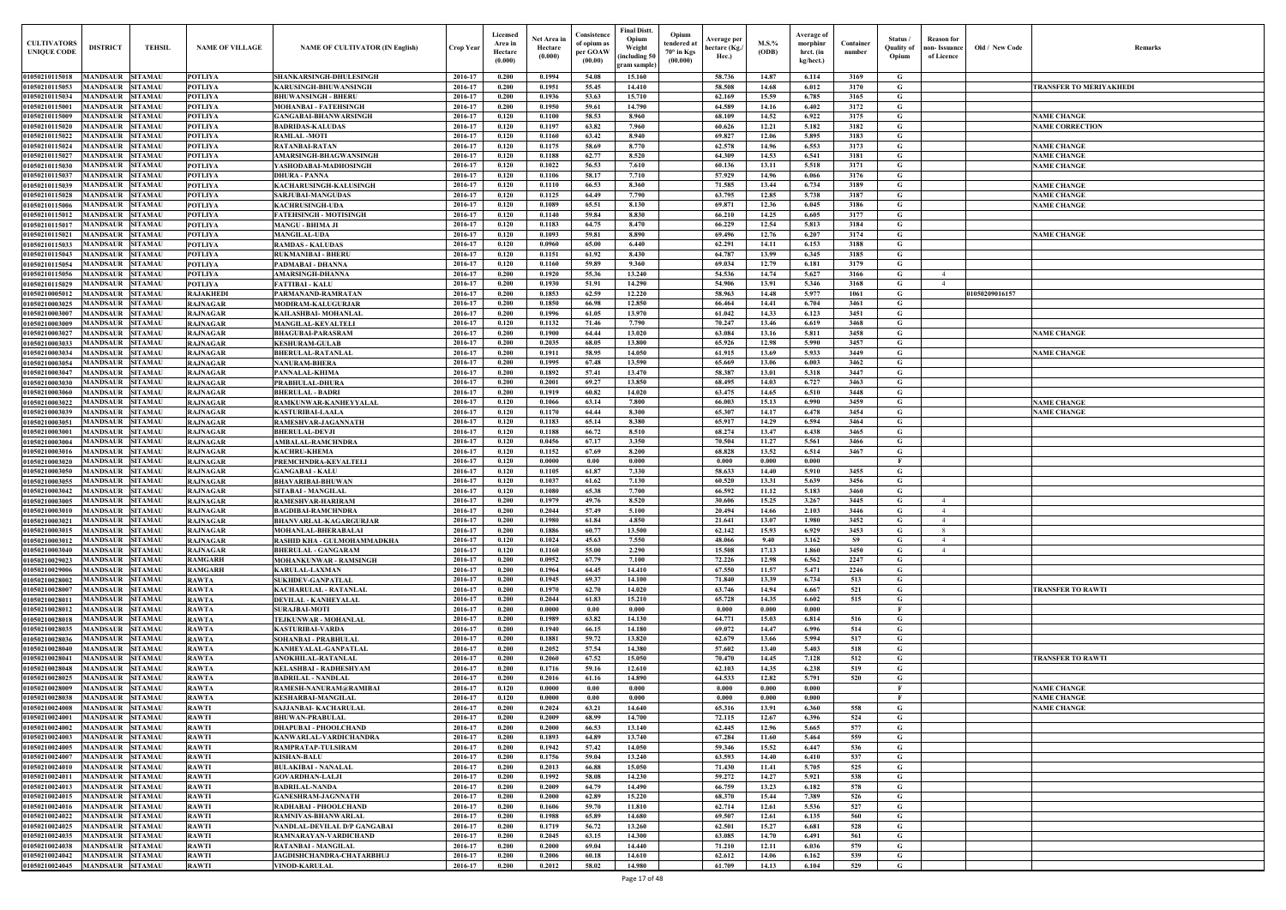| Old / New Code | Remarks                                      |
|----------------|----------------------------------------------|
|                | TRANSFER TO MERIYAKHEDI                      |
|                |                                              |
|                | <b>NAME CHANGE</b><br><b>NAME CORRECTION</b> |
|                |                                              |
|                | <b>NAME CHANGE</b><br><b>NAME CHANGE</b>     |
|                | <b>NAME CHANGE</b>                           |
|                | <b>NAME CHANGE</b>                           |
|                | <b>NAME CHANGE</b><br><b>NAME CHANGE</b>     |
|                |                                              |
|                | <b>NAME CHANGE</b>                           |
|                |                                              |
|                |                                              |
| 1050209016157  |                                              |
|                |                                              |
|                |                                              |
|                | <b>NAME CHANGE</b>                           |
|                | <b>NAME CHANGE</b>                           |
|                |                                              |
|                |                                              |
|                | <b>NAME CHANGE</b>                           |
|                | <b>NAME CHANGE</b>                           |
|                |                                              |
|                |                                              |
|                |                                              |
|                |                                              |
|                |                                              |
|                |                                              |
|                |                                              |
|                |                                              |
|                |                                              |
|                | <b>TRANSFER TO RAWTI</b>                     |
|                |                                              |
|                |                                              |
|                |                                              |
|                | <b>TRANSFER TO RAWTI</b>                     |
|                |                                              |
|                | <b>NAME CHANGE</b>                           |
|                | <b>NAME CHANGE</b><br><b>NAME CHANGE</b>     |
|                |                                              |
|                |                                              |
|                |                                              |
|                |                                              |
|                |                                              |
|                |                                              |
|                |                                              |
|                |                                              |
|                |                                              |
|                |                                              |

| <b>CULTIVATORS</b><br><b>UNIQUE CODI</b> | <b>DISTRICT</b><br><b>TEHSIL</b>                                       | <b>NAME OF VILLAGE</b>             | <b>NAME OF CULTIVATOR (IN English)</b>                      | Crop Year          | Licensed<br>Area in<br>Hectare<br>(0.000) | Net Area in<br>Hectare<br>(0.000) | Consistence<br>of opium as<br>per GOAW<br>(00.00) | <b>Final Distt.</b><br>Opium<br>Opium<br>tendered at<br>Weight<br>70° in Kgs<br>including 50)<br>(00.000)<br>gram sample) | Average per<br>hectare (Kg./<br>Hec.) | $M.S.\%$<br>(ODB) | Average of<br>morphinr<br>hrct. (in<br>kg/hect.) | Container<br>number | Status<br><b>Quality of</b><br>Opium | <b>Reason</b> for<br>non- Issuance<br>of Licence | Old / New Code | <b>Remark</b>                            |
|------------------------------------------|------------------------------------------------------------------------|------------------------------------|-------------------------------------------------------------|--------------------|-------------------------------------------|-----------------------------------|---------------------------------------------------|---------------------------------------------------------------------------------------------------------------------------|---------------------------------------|-------------------|--------------------------------------------------|---------------------|--------------------------------------|--------------------------------------------------|----------------|------------------------------------------|
| 01050210115018                           | MANDSAUR SITAMAU                                                       | <b>POTLIYA</b>                     | SHANKARSINGH-DHULESINGH                                     | 2016-17            | 0.200                                     | 0.1994                            | 54.08                                             | 15.160                                                                                                                    | 58.736                                | 14.87             | 6.114                                            | 3169                | G                                    |                                                  |                |                                          |
| 01050210115053                           | <b>MANDSAUR</b><br><b>SITAMAU</b>                                      | <b>POTLIYA</b>                     | <b>KARUSINGH-BHUWANSINGH</b>                                | 2016-17            | 0.200                                     | 0.1951                            | 55.45                                             | 14,410                                                                                                                    | 58.508                                | 14.68             | 6.012                                            | 3170                | G                                    |                                                  |                | TRANSFER TO MERIYAKHEDI                  |
| 01050210115034<br>01050210115001         | <b>SITAMAU</b><br><b>MANDSAUR</b><br><b>MANDSAUR</b><br><b>SITAMAU</b> | <b>POTLIYA</b><br><b>POTLIYA</b>   | <b>BHUWANSINGH - BHERU</b><br><b>MOHANBAI - FATEHSINGH</b>  | 2016-17<br>2016-17 | 0.200<br>0.200                            | 0.1936<br>0.1950                  | 53.63<br>59.61                                    | 15.710<br>14.790                                                                                                          | 62.169<br>64.589                      | 15.59<br>14.16    | 6.785<br>6.402                                   | 3165<br>3172        | G<br>G                               |                                                  |                |                                          |
| 01050210115009                           | <b>MANDSAUR</b><br><b>SITAMAU</b>                                      | <b>POTLIYA</b>                     | <b>GANGABAI-BHANWARSINGH</b>                                | 2016-17            | 0.120                                     | 0.1100                            | 58.53                                             | 8.960                                                                                                                     | 68.109                                | 14.52             | 6.922                                            | 3175                | G                                    |                                                  |                | <b>NAME CHANGE</b>                       |
| 01050210115020                           | MANDSAUR<br><b>SITAMAU</b>                                             | <b>POTLIYA</b>                     | <b>BADRIDAS-KALUDAS</b>                                     | 2016-17            | 0.120                                     | 0.1197                            | 63.82                                             | 7.960                                                                                                                     | 60.626                                | 12.21             | 5.182                                            | 3182                | G                                    |                                                  |                | <b>NAME CORRECTION</b>                   |
| 01050210115022                           | <b>MANDSAUR</b><br><b>SITAMAU</b>                                      | <b>POTLIYA</b>                     | <b>RAMLAL-MOTI</b>                                          | 2016-17            | 0.120                                     | 0.1160                            | 63.42                                             | 8.940                                                                                                                     | 69.827                                | 12.06             | 5.895                                            | 3183                | G                                    |                                                  |                |                                          |
| 01050210115024                           | <b>MANDSAUR</b><br><b>SITAMAU</b>                                      | <b>POTLIYA</b>                     | <b>RATANBAI-RATAN</b>                                       | 2016-17            | 0.120                                     | 0.1175                            | 58.69                                             | 8.770                                                                                                                     | 62.578                                | 14.96             | 6.553                                            | 3173                | G                                    |                                                  |                | <b>NAME CHANGE</b>                       |
| 01050210115027<br>01050210115030         | <b>SITAMAU</b><br>MANDSAUR<br><b>MANDSAUR</b><br><b>SITAMAU</b>        | <b>POTLIYA</b><br><b>POTLIYA</b>   | AMARSINGH-BHAGWANSINGH<br>YASHODABAI-MADHOSINGH             | 2016-17<br>2016-17 | 0.120<br>0.120                            | 0.1188<br>0.1022                  | 62.77<br>56.53                                    | 8.520<br>7.610                                                                                                            | 64.309<br>60.136                      | 14.53<br>13.11    | 6.541<br>5.518                                   | 3181<br>3171        | G<br>G                               |                                                  |                | <b>NAME CHANGE</b><br><b>NAME CHANGE</b> |
| 01050210115037                           | <b>MANDSAUR</b><br><b>SITAMAU</b>                                      | <b>POTLIYA</b>                     | <b>DHURA - PANNA</b>                                        | 2016-17            | 0.120                                     | 0.1106                            | 58.17                                             | 7.710                                                                                                                     | 57.929                                | 14.96             | 6.066                                            | 3176                | G                                    |                                                  |                |                                          |
| 01050210115039                           | MANDSAUR<br><b>SITAMAU</b>                                             | <b>POTLIYA</b>                     | KACHARUSINGH-KALUSINGH                                      | 2016-17            | 0.120                                     | 0.1110                            | 66.53                                             | 8.360                                                                                                                     | 71.585                                | 13.44             | 6.734                                            | 3189                | $\mathbf G$                          |                                                  |                | <b>NAME CHANGE</b>                       |
| 01050210115028                           | MANDSAUR<br><b>SITAMAU</b>                                             | <b>POTLIYA</b>                     | SARJUBAI-MANGUDAS                                           | 2016-17            | 0.120                                     | 0.1125                            | 64.49                                             | 7.790                                                                                                                     | 63.795                                | 12.85             | 5.738                                            | 3187                | G                                    |                                                  |                | <b>NAME CHANGE</b>                       |
| 01050210115006                           | MANDSAUR<br><b>SITAMAU</b>                                             | <b>POTLIYA</b>                     | <b>KACHRUSINGH-UDA</b>                                      | 2016-17            | 0.120                                     | 0.1089                            | 65.51                                             | 8.130                                                                                                                     | 69.871                                | 12.36             | 6.045                                            | 3186                | G                                    |                                                  |                | <b>NAME CHANGE</b>                       |
| 01050210115012<br>01050210115017         | MANDSAUR<br>SITAMAU<br>MANDSAUR<br><b>SITAMAU</b>                      | <b>POTLIYA</b><br>POTLIYA          | FATEHSINGH - MOTISINGH<br><b>MANGU - BHIMA JI</b>           | 2016-17<br>2016-17 | 0.120<br>0.120                            | 0.1140<br>0.1183                  | 59.84<br>64.75                                    | 8.830<br>8.470                                                                                                            | 66.210<br>66.229                      | 14.25<br>12.54    | 6.605<br>5.813                                   | 3177<br>3184        | G<br>G                               |                                                  |                |                                          |
| 01050210115021                           | MANDSAUR<br><b>SITAMAU</b>                                             | POTLIYA                            | <b>MANGILAL-UDA</b>                                         | 2016-17            | 0.120                                     | 0.1093                            | 59.81                                             | 8.890                                                                                                                     | 69.496                                | 12.76             | 6.207                                            | 3174                | G                                    |                                                  |                | <b>VAME CHANGE</b>                       |
| 01050210115033                           | <b>MANDSAUR</b><br><b>SITAMAU</b>                                      | <b>POTLIYA</b>                     | <b>RAMDAS - KALUDAS</b>                                     | 2016-17            | 0.120                                     | 0.0960                            | 65.00                                             | 6.440                                                                                                                     | 62.291                                | 14.11             | 6.153                                            | 3188                | G                                    |                                                  |                |                                          |
| 01050210115043                           | <b>MANDSAUR</b><br><b>SITAMAU</b>                                      | <b>POTLIYA</b>                     | <b>RUKMANIBAI - BHERU</b>                                   | 2016-17            | 0.120                                     | 0.1151                            | 61.92                                             | 8.430                                                                                                                     | 64.787                                | 13.99             | 6.345                                            | 3185                | G                                    |                                                  |                |                                          |
| 01050210115054                           | <b>MANDSAUR</b><br><b>SITAMAU</b>                                      | <b>POTLIYA</b>                     | PADMABAI - DHANNA                                           | 2016-17            | 0.120                                     | 0.1160                            | 59.89                                             | 9.360                                                                                                                     | 69.034                                | 12.79             | 6.181                                            | 3179                | G                                    |                                                  |                |                                          |
| 01050210115056                           | MANDSAUR<br><b>SITAMAU</b>                                             | <b>POTLIYA</b>                     | AMARSINGH-DHANNA                                            | 2016-17            | 0.200                                     | 0.1920                            | 55.36                                             | 13.240                                                                                                                    | 54.536                                | 14.74             | 5.627                                            | 3166                | G                                    | $\overline{4}$                                   |                |                                          |
| 01050210115029<br>01050210005012         | MANDSAUR SITAMAU<br><b>MANDSAUR</b><br><b>SITAMAU</b>                  | <b>POTLIYA</b><br><b>RAJAKHEDI</b> | <b>FATTIBAI - KALU</b><br>PARMANAND-RAMRATAN                | 2016-17<br>2016-17 | 0.200<br>0.200                            | 0.1930<br>0.1853                  | 51.91<br>62.59                                    | 14.290<br>12,220                                                                                                          | 54.906<br>58.963                      | 13.91<br>14.48    | 5.346<br>5.977                                   | 3168<br>1061        | G<br>G                               | $\overline{4}$                                   | 01050209016157 |                                          |
| 01050210003025                           | MANDSAUR<br><b>SITAMAU</b>                                             | <b>RAJNAGAR</b>                    | <b>MODIRAM-KALUGURJAR</b>                                   | 2016-17            | 0.200                                     | 0.1850                            | 66.98                                             | 12.850                                                                                                                    | 66.464                                | 14.41             | 6.704                                            | 3461                | G                                    |                                                  |                |                                          |
| 01050210003007                           | <b>MANDSAUR</b><br><b>SITAMAU</b>                                      | <b>RAJNAGAR</b>                    | KAILASHBAI- MOHANLAL                                        | 2016-17            | 0.200                                     | 0.1996                            | 61.05                                             | 13.970                                                                                                                    | 61.042                                | 14.33             | 6.123                                            | 3451                | G                                    |                                                  |                |                                          |
| 01050210003009                           | MANDSAUR<br><b>SITAMAU</b>                                             | <b>RAJNAGAR</b>                    | <b>MANGILAL-KEVALTELI</b>                                   | 2016-17            | 0.120                                     | 0.1132                            | 71.46                                             | 7.790                                                                                                                     | 70.247                                | 13.46             | 6.619                                            | 3468                | G                                    |                                                  |                |                                          |
| 01050210003027                           | <b>MANDSAUR</b><br><b>SITAMAU</b>                                      | <b>RAJNAGAR</b>                    | <b>BHAGUBAI-PARASRAM</b>                                    | 2016-17            | 0.200                                     | 0.1900                            | 64.44                                             | 13.020                                                                                                                    | 63.084                                | 13.16             | 5.811                                            | 3458                | G                                    |                                                  |                | <b>NAME CHANGE</b>                       |
| 01050210003033                           | <b>SITAMAU</b><br><b>MANDSAUR</b><br><b>SITAMAU</b><br>MANDSAUR        | <b>RAJNAGAR</b>                    | <b>KESHURAM-GULAB</b>                                       | 2016-17<br>2016-17 | 0.200<br>0.200                            | 0.2035<br>0.1911                  | 68.05<br>58.95                                    | 13.800<br>14.050                                                                                                          | 65.926                                | 12.98<br>13.69    | 5.990<br>5.933                                   | 3457<br>3449        | G<br>G                               |                                                  |                |                                          |
| 01050210003034<br>01050210003054         | MANDSAUR<br><b>SITAMAU</b>                                             | <b>RAJNAGAR</b><br><b>RAJNAGAR</b> | <b>BHERULAL-RATANLAL</b><br><b>NANURAM-BHERA</b>            | 2016-17            | 0.200                                     | 0.1995                            | 67.48                                             | 13.590                                                                                                                    | 61.915<br>65.669                      | 13.06             | 6.003                                            | 3462                | G                                    |                                                  |                | <b>NAME CHANGE</b>                       |
| 01050210003047                           | <b>SITAMAU</b><br>MANDSAUR                                             | <b>RAJNAGAR</b>                    | PANNALAL-KHIMA                                              | 2016-17            | 0.200                                     | 0.1892                            | 57,41                                             | 13.470                                                                                                                    | 58.387                                | 13.01             | 5.318                                            | 3447                | $\mathbf G$                          |                                                  |                |                                          |
| 01050210003030                           | <b>MANDSAUR</b><br><b>SITAMAU</b>                                      | <b>RAJNAGAR</b>                    | PRABHULAL-DHURA                                             | 2016-17            | 0.200                                     | 0.2001                            | 69.27                                             | 13.850                                                                                                                    | 68.495                                | 14.03             | 6.727                                            | 3463                | G                                    |                                                  |                |                                          |
| 01050210003060                           | MANDSAUR<br><b>SITAMAU</b>                                             | <b>RAJNAGAR</b>                    | <b>BHERULAL - BADRI</b>                                     | 2016-17            | 0.200                                     | 0.1919                            | 60.82                                             | 14.020                                                                                                                    | 63.475                                | 14.65             | 6.510                                            | 3448                | G                                    |                                                  |                |                                          |
| 01050210003022                           | MANDSAUR<br><b>SITAMAU</b>                                             | <b>RAJNAGAR</b>                    | RAMKUNWAR-KANHEYYALAL                                       | 2016-17            | 0.120                                     | 0.1066                            | 63.14                                             | 7.800                                                                                                                     | 66.003                                | 15.13             | 6.990                                            | 3459                | G                                    |                                                  |                | <b>NAME CHANGE</b>                       |
| 01050210003039<br>01050210003051         | <b>MANDSAUR</b><br><b>SITAMAU</b><br><b>MANDSAUR</b><br><b>SITAMAU</b> | <b>RAJNAGAR</b><br><b>RAJNAGAR</b> | <b>KASTURIBAI-LAALA</b><br>RAMESHVAR-JAGANNATH              | 2016-17<br>2016-17 | 0.120<br>0.120                            | 0.1170<br>0.1183                  | 64.44<br>65.14                                    | 8.300<br>8.380                                                                                                            | 65.307<br>65.917                      | 14.17<br>14.29    | 6.478<br>6.594                                   | 3454<br>3464        | G<br>G                               |                                                  |                | <b>NAME CHANGE</b>                       |
| 0105021000300                            | <b>MANDSAUR</b><br><b>SITAMAU</b>                                      | <b>RAJNAGAR</b>                    | <b>BHERULAL-DEVJI</b>                                       | 2016-17            | 0.120                                     | 0.1188                            | 66.72                                             | 8.510                                                                                                                     | 68,274                                | 13.47             | 6.438                                            | 3465                | $\mathbf G$                          |                                                  |                |                                          |
| 01050210003004                           | MANDSAUR<br><b>SITAMAU</b>                                             | <b>RAJNAGAR</b>                    | <b>AMBALAL-RAMCHNDRA</b>                                    | 2016-17            | 0.120                                     | 0.0456                            | 67.17                                             | 3.350                                                                                                                     | 70.504                                | 11.27             | 5.561                                            | 3466                | G                                    |                                                  |                |                                          |
| 0105021000301                            | MANDSAUR<br><b>SITAMAU</b>                                             | <b>RAJNAGAR</b>                    | <b>KACHRU-KHEMA</b>                                         | 2016-17            | 0.120                                     | 0.1152                            | 67.69                                             | 8.200                                                                                                                     | 68.828                                | 13.52             | 6.514                                            | 3467                | G                                    |                                                  |                |                                          |
| 0105021000302                            | MANDSAUR<br>SITAMAU                                                    | <b>RAJNAGAR</b>                    | PREMCHNDRA-KEVALTELI                                        | 2016-17            | 0.120                                     | 0.0000                            | 0.00                                              | 0.000                                                                                                                     | 0.000                                 | 0.000             | 0.000                                            |                     |                                      |                                                  |                |                                          |
| 01050210003050<br>01050210003055         | MANDSAUR<br><b>SITAMAU</b><br>MANDSAUR<br><b>SITAMAU</b>               | <b>RAJNAGAR</b><br><b>RAJNAGAR</b> | <b>GANGABAI - KALU</b><br><b>BHAVARIBAI-BHUWAN</b>          | 2016-17<br>2016-17 | 0.120<br>0.120                            | 0.1105<br>0.1037                  | 61.87<br>61.62                                    | 7.330<br>7.130                                                                                                            | 58.633<br>60.520                      | 14.40<br>13.31    | 5.910<br>5.639                                   | 3455<br>3456        | G<br>G                               |                                                  |                |                                          |
| 01050210003042                           | <b>MANDSAUR</b><br><b>SITAMAU</b>                                      | <b>RAJNAGAR</b>                    | SITABAI - MANGILAL                                          | 2016-17            | 0.120                                     | 0.1080                            | 65.38                                             | 7.700                                                                                                                     | 66.592                                | 11.12             | 5.183                                            | 3460                | G                                    |                                                  |                |                                          |
| 01050210003005                           | MANDSAUR<br><b>SITAMAU</b>                                             | <b>RAJNAGAR</b>                    | RAMESHVAR-HARIRAM                                           | 2016-17            | 0.200                                     | 0.1979                            | 49.76                                             | 8.520                                                                                                                     | 30.606                                | 15.25             | 3.267                                            | 3445                | G                                    |                                                  |                |                                          |
|                                          | 01050210003010 MANDSAUR SITAMAU                                        | <b>RAJNAGAR</b>                    | <b>BAGDIBAI-RAMCHNDRA</b>                                   | 2016-17            | 0.200                                     | 0.2044                            | 57.49                                             | 5.100                                                                                                                     | 20.494                                | 14.66             | 2.103                                            | 3446                | G                                    |                                                  |                |                                          |
| 01050210003021                           | <b>MANDSAUR SITAMAU</b>                                                | <b>RAJNAGAR</b>                    | <b>BHANVARLAL-KAGARGURJAR</b>                               | 2016-17            | 0.200                                     | 0.1980                            | 61.84                                             | 4.850                                                                                                                     | 21.641                                | 13.07             | 1.980                                            | 3452                | G                                    | $\overline{4}$                                   |                |                                          |
| 01050210003015<br>01050210003012         | MANDSAUR SITAMAU<br><b>MANDSAUR SITAMAU</b>                            | <b>RAJNAGAR</b><br><b>RAJNAGAR</b> | <b>MOHANLAL-BHERABALAI</b><br>RASHID KHA - GULMOHAMMADKHA   | 2016-17<br>2016-17 | 0.200<br>0.120                            | 0.1886<br>0.1024                  | 60.77<br>45.63                                    | 13.500<br>7.550                                                                                                           | 62.142<br>48.066                      | 15.93<br>9.40     | 6.929<br>3.162                                   | 3453<br><b>S9</b>   | G<br>G                               | - 8<br>$\overline{4}$                            |                |                                          |
| 01050210003040                           | <b>MANDSAUR SITAMAU</b>                                                | <b>RAJNAGAR</b>                    | <b>BHERULAL - GANGARAM</b>                                  | 2016-17            | 0.120                                     | 0.1160                            | 55.00                                             | 2.290                                                                                                                     | 15.508                                | 17.13             | 1.860                                            | 3450                | G                                    | $\overline{4}$                                   |                |                                          |
| 01050210029023                           | <b>MANDSAUR</b><br><b>SITAMAU</b>                                      | <b>RAMGARH</b>                     | MOHANKUNWAR - RAMSINGH                                      | 2016-17            | 0.200                                     | 0.0952                            | 67.79                                             | 7.100                                                                                                                     | 72.226                                | 12.98             | 6.562                                            | 2247                | G                                    |                                                  |                |                                          |
| 01050210029006                           | <b>MANDSAUR SITAMAU</b>                                                | <b>RAMGARH</b>                     | <b>KARULAL-LAXMAN</b>                                       | 2016-17            | 0.200                                     | 0.1964                            | 64.45                                             | 14.410                                                                                                                    | 67.550                                | 11.57             | 5.471                                            | 2246                | $\mathbf G$                          |                                                  |                |                                          |
| 01050210028002                           | <b>MANDSAUR</b><br><b>SITAMAU</b>                                      | <b>RAWTA</b>                       | <b>SUKHDEV-GANPATLAL</b>                                    | 2016-17            | 0.200                                     | 0.1945                            | 69.37                                             | 14.100                                                                                                                    | 71.840                                | 13.39             | 6.734                                            | 513                 | G                                    |                                                  |                |                                          |
| 01050210028007<br>01050210028011         | <b>MANDSAUR SITAMAU</b><br><b>MANDSAUR</b><br><b>SITAMAU</b>           | <b>RAWTA</b><br><b>RAWTA</b>       | <b>KACHARULAL - RATANLAL</b><br><b>DEVILAL - KANHEYALAL</b> | 2016-17<br>2016-17 | 0.200<br>0.200                            | 0.1970<br>0.2044                  | 62.70<br>61.83                                    | 14.020<br>15.210                                                                                                          | 63.746<br>65.728                      | 14.94<br>14.35    | 6.667<br>6.602                                   | 521<br>515          | G<br>$\mathbf G$                     |                                                  |                | <b>TRANSFER TO RAWTI</b>                 |
| 01050210028012                           | <b>MANDSAUR</b><br><b>SITAMAU</b>                                      | <b>RAWTA</b>                       | <b>SURAJBAI-MOTI</b>                                        | 2016-17            | 0.200                                     | 0.0000                            | 0.00                                              | 0.000                                                                                                                     | 0.000                                 | 0.000             | 0.000                                            |                     | $\mathbf{F}$                         |                                                  |                |                                          |
| 01050210028018                           | <b>MANDSAUR SITAMAU</b>                                                | <b>RAWTA</b>                       | TEJKUNWAR - MOHANLAL                                        | 2016-17            | 0.200                                     | 0.1989                            | 63.82                                             | 14.130                                                                                                                    | 64.771                                | 15.03             | 6.814                                            | 516                 | $\mathbf G$                          |                                                  |                |                                          |
| 01050210028035                           | <b>MANDSAUR SITAMAU</b>                                                | <b>RAWTA</b>                       | <b>KASTURIBAI-VARDA</b>                                     | 2016-17            | 0.200                                     | 0.1940                            | 66.15                                             | 14.180                                                                                                                    | 69.072                                | 14.47             | 6.996                                            | 514                 | G                                    |                                                  |                |                                          |
| 01050210028036                           | <b>MANDSAUR</b><br><b>SITAMAU</b>                                      | <b>RAWTA</b>                       | SOHANBAI - PRABHULAL                                        | 2016-17            | 0.200                                     | 0.1881                            | 59.72                                             | 13.820                                                                                                                    | 62.679                                | 13.66             | 5.994                                            | 517                 | G                                    |                                                  |                |                                          |
| 01050210028040                           | <b>MANDSAUR</b><br><b>SITAMAU</b>                                      | <b>RAWTA</b>                       | KANHEYALAL-GANPATLAL                                        | 2016-17            | 0.200                                     | 0.2052                            | 57.54                                             | 14.380                                                                                                                    | 57.602                                | 13.40             | 5.403                                            | 518                 | G                                    |                                                  |                |                                          |
| 01050210028041<br>01050210028048         | <b>MANDSAUR SITAMAU</b><br><b>MANDSAUR</b><br><b>SITAMAU</b>           | <b>RAWTA</b><br><b>RAWTA</b>       | ANOKHILAL-RATANLAL<br><b>KELASHBAI - RADHESHYAM</b>         | 2016-17<br>2016-17 | 0.200<br>0.200                            | 0.2060<br>0.1716                  | 67.52<br>59.16                                    | 15.050<br>12.610                                                                                                          | 70.470<br>62.103                      | 14.45<br>14.35    | 7.128<br>6.238                                   | 512<br>519          | $\mathbf G$<br>$\mathbf G$           |                                                  |                | <b>TRANSFER TO RAWTI</b>                 |
| 01050210028025                           | <b>MANDSAUR</b><br><b>SITAMAU</b>                                      | <b>RAWTA</b>                       | <b>BADRILAL - NANDLAL</b>                                   | 2016-17            | 0.200                                     | 0.2016                            | 61.16                                             | 14.890                                                                                                                    | 64.533                                | 12.82             | 5.791                                            | 520                 | $\mathbf G$                          |                                                  |                |                                          |
| 01050210028009                           | <b>MANDSAUR</b><br><b>SITAMAU</b>                                      | <b>RAWTA</b>                       | RAMESH-NANURAM@RAMIBAI                                      | 2016-17            | 0.120                                     | 0.0000                            | 0.00                                              | 0.000                                                                                                                     | 0.000                                 | 0.000             | 0.000                                            |                     | - F                                  |                                                  |                | <b>NAME CHANGE</b>                       |
| 01050210028038                           | <b>MANDSAUR</b><br><b>SITAMAU</b>                                      | <b>RAWTA</b>                       | <b>KESHARBAI-MANGILAL</b>                                   | 2016-17            | 0.120                                     | 0.0000                            | 0.00                                              | 0.000                                                                                                                     | 0.000                                 | 0.000             | 0.000                                            |                     | - F                                  |                                                  |                | <b>NAME CHANGE</b>                       |
| 01050210024008                           | <b>MANDSAUR</b><br><b>SITAMAU</b>                                      | <b>RAWTI</b>                       | SAJJANBAI- KACHARULAL                                       | 2016-17            | 0.200                                     | 0.2024                            | 63.21                                             | 14.640                                                                                                                    | 65.316                                | 13.91             | 6.360                                            | 558                 | G                                    |                                                  |                | <b>NAME CHANGE</b>                       |
| 01050210024001<br>01050210024002         | <b>SITAMAU</b><br><b>MANDSAUR</b><br><b>MANDSAUR</b><br><b>SITAMAU</b> | <b>RAWTI</b><br><b>RAWTI</b>       | <b>BHUWAN-PRABULAL</b><br><b>DHAPUBAI - PHOOLCHAND</b>      | 2016-17<br>2016-17 | 0.200<br>0.200                            | 0.2009<br>0.2000                  | 68.99<br>66.53                                    | 14.700<br>13.140                                                                                                          | 72.115<br>62.445                      | 12.67<br>12.96    | 6.396<br>5.665                                   | 524<br>577          | G<br>G                               |                                                  |                |                                          |
| 01050210024003                           | MANDSAUR SITAMAU                                                       | <b>RAWTI</b>                       | KANWARLAL-VARDICHANDRA                                      | 2016-17            | 0.200                                     | 0.1893                            | 64.89                                             | 13.740                                                                                                                    | 67.284                                | 11.60             | 5.464                                            | 559                 | G                                    |                                                  |                |                                          |
| 01050210024005                           | <b>MANDSAUR SITAMAU</b>                                                | <b>RAWTI</b>                       | RAMPRATAP-TULSIRAM                                          | 2016-17            | 0.200                                     | 0.1942                            | 57.42                                             | 14.050                                                                                                                    | 59.346                                | 15.52             | 6.447                                            | 536                 | $\mathbf{G}$                         |                                                  |                |                                          |
| 01050210024007                           | MANDSAUR SITAMAU                                                       | <b>RAWTI</b>                       | <b>KISHAN-BALU</b>                                          | 2016-17            | 0.200                                     | 0.1756                            | 59.04                                             | 13.240                                                                                                                    | 63.593                                | 14.40             | 6.410                                            | 537                 | $\mathbf G$                          |                                                  |                |                                          |
| 01050210024010                           | MANDSAUR SITAMAU                                                       | <b>RAWTI</b>                       | <b>BULAKIBAI - NANALAL</b>                                  | 2016-17            | 0.200                                     | 0.2013                            | 66.88                                             | 15.050                                                                                                                    | 71.430                                | 11.41             | 5.705                                            | 525                 | G                                    |                                                  |                |                                          |
| 01050210024011<br>01050210024013         | MANDSAUR SITAMAU<br><b>MANDSAUR</b><br><b>SITAMAU</b>                  | <b>RAWTI</b><br><b>RAWTI</b>       | <b>GOVARDHAN-LALJI</b><br><b>BADRILAL-NANDA</b>             | 2016-17<br>2016-17 | 0.200<br>0.200                            | 0.1992<br>0.2009                  | 58.08<br>64.79                                    | 14.230<br>14.490                                                                                                          | 59.272<br>66.759                      | 14.27<br>13.23    | 5.921<br>6.182                                   | 538<br>578          | G<br>$\mathbf G$                     |                                                  |                |                                          |
| 01050210024015                           | MANDSAUR SITAMAU                                                       | <b>RAWTI</b>                       | <b>GANESHRAM-JAGNNATH</b>                                   | 2016-17            | 0.200                                     | 0.2000                            | 62.89                                             | 15,220                                                                                                                    | 68.370                                | 15.44             | 7.389                                            | 526                 | G                                    |                                                  |                |                                          |
| 01050210024016                           | <b>MANDSAUR</b><br><b>SITAMAU</b>                                      | <b>RAWTI</b>                       | RADHABAI - PHOOLCHAND                                       | 2016-17            | 0.200                                     | 0.1606                            | 59.70                                             | 11.810                                                                                                                    | 62.714                                | 12.61             | 5.536                                            | 527                 | $\mathbf G$                          |                                                  |                |                                          |
| 01050210024022                           | <b>MANDSAUR</b><br><b>SITAMAU</b>                                      | <b>RAWTI</b>                       | RAMNIVAS-BHANWARLAL                                         | 2016-17            | 0.200                                     | 0.1988                            | 65.89                                             | 14.680                                                                                                                    | 69.507                                | 12.61             | 6.135                                            | 560                 | $\mathbf G$                          |                                                  |                |                                          |
| 01050210024025                           | <b>MANDSAUR</b><br><b>SITAMAU</b>                                      | <b>RAWTI</b>                       | NANDLAL-DEVILAL D/P GANGABAI                                | 2016-17            | 0.200                                     | 0.1719                            | 56.72                                             | 13.260                                                                                                                    | 62.501                                | 15.27             | 6.681                                            | 528                 | G                                    |                                                  |                |                                          |
| 01050210024035                           | <b>SITAMAU</b><br><b>MANDSAUR</b>                                      | <b>RAWTI</b>                       | RAMNARAYAN-VARDICHAND                                       | 2016-17            | 0.200                                     | 0.2045<br>0.2000                  | 63.15                                             | 14.300                                                                                                                    | 63.085                                | 14.70             | 6.491                                            | 561                 | G                                    |                                                  |                |                                          |
| 01050210024038<br>01050210024042         | <b>MANDSAUR</b><br><b>SITAMAU</b><br><b>MANDSAUR SITAMAU</b>           | <b>RAWTI</b><br><b>RAWTI</b>       | RATANBAI - MANGILAL<br>JAGDISHCHANDRA-CHATARBHUJ            | 2016-17<br>2016-17 | 0.200<br>0.200                            | 0.2006                            | 69.04<br>60.18                                    | 14.440<br>14.610                                                                                                          | 71.210<br>62.612                      | 12.11<br>14.06    | 6.036<br>6.162                                   | 579<br>539          | G<br>$\mathbf{G}$                    |                                                  |                |                                          |
| 01050210024045                           | MANDSAUR SITAMAU                                                       | <b>RAWTI</b>                       | <b>VINOD-KARULAL</b>                                        | 2016-17            | 0.200                                     | 0.2012                            | 58.02                                             | 14.980                                                                                                                    | 61.709                                | 14.13             | 6.104                                            | 529                 | $\mathbf G$                          |                                                  |                |                                          |
|                                          |                                                                        |                                    |                                                             |                    |                                           |                                   |                                                   |                                                                                                                           |                                       |                   |                                                  |                     |                                      |                                                  |                |                                          |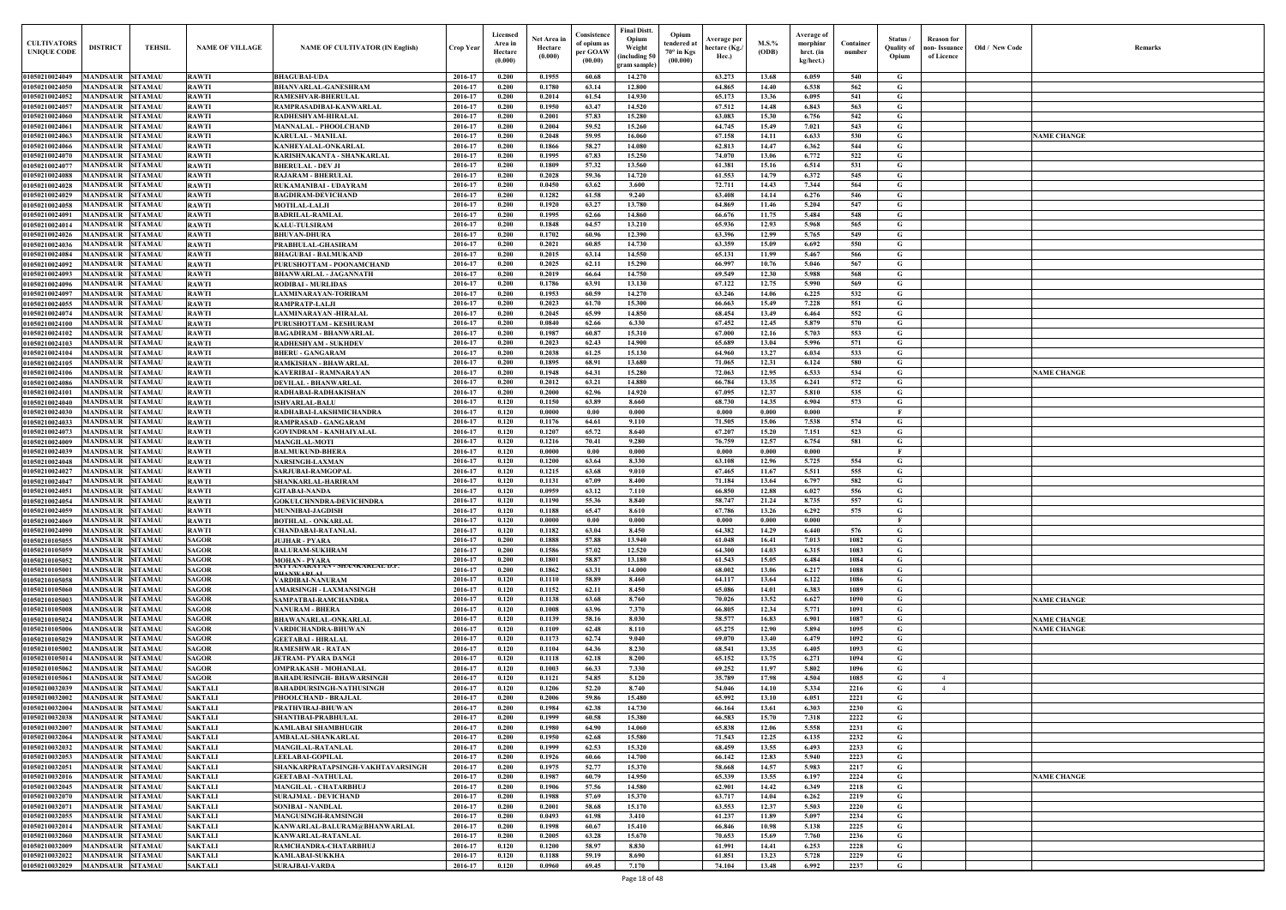| $\mathbf{Old} \, / \,$ New Code | Remarks                                  |
|---------------------------------|------------------------------------------|
|                                 |                                          |
|                                 |                                          |
|                                 |                                          |
|                                 |                                          |
|                                 |                                          |
|                                 | <b>NAME CHANGE</b>                       |
|                                 |                                          |
|                                 |                                          |
|                                 |                                          |
|                                 |                                          |
|                                 |                                          |
|                                 |                                          |
|                                 |                                          |
|                                 |                                          |
|                                 |                                          |
|                                 |                                          |
|                                 |                                          |
|                                 |                                          |
|                                 |                                          |
|                                 |                                          |
|                                 |                                          |
|                                 |                                          |
|                                 |                                          |
|                                 |                                          |
|                                 |                                          |
|                                 |                                          |
|                                 |                                          |
|                                 | <b>NAME CHANGE</b>                       |
|                                 |                                          |
|                                 |                                          |
|                                 |                                          |
|                                 |                                          |
|                                 |                                          |
|                                 |                                          |
|                                 |                                          |
|                                 |                                          |
|                                 |                                          |
|                                 |                                          |
|                                 |                                          |
|                                 |                                          |
|                                 |                                          |
|                                 |                                          |
|                                 |                                          |
|                                 |                                          |
|                                 |                                          |
|                                 |                                          |
|                                 |                                          |
|                                 |                                          |
|                                 | <b>NAME CHANGE</b>                       |
|                                 |                                          |
|                                 | <b>NAME CHANGE</b><br><b>NAME CHANGE</b> |
|                                 |                                          |
|                                 |                                          |
|                                 |                                          |
|                                 |                                          |
|                                 |                                          |
|                                 |                                          |
|                                 |                                          |
|                                 |                                          |
|                                 |                                          |
|                                 |                                          |
|                                 |                                          |
|                                 |                                          |
|                                 |                                          |
|                                 | <b>NAME CHANGE</b>                       |
|                                 |                                          |
|                                 |                                          |
|                                 |                                          |
|                                 |                                          |
|                                 |                                          |
|                                 |                                          |
|                                 |                                          |
|                                 |                                          |
|                                 |                                          |

|                                          |                                             |                                  |                                  |                                                                |                    | Licensed                      |                                   | Consistence                        | <b>Final Distt.</b>                             | Opium                                          |                                       |                   |                                                         |                     |                                        |                                                  |                |                                          |
|------------------------------------------|---------------------------------------------|----------------------------------|----------------------------------|----------------------------------------------------------------|--------------------|-------------------------------|-----------------------------------|------------------------------------|-------------------------------------------------|------------------------------------------------|---------------------------------------|-------------------|---------------------------------------------------------|---------------------|----------------------------------------|--------------------------------------------------|----------------|------------------------------------------|
| <b>CULTIVATORS</b><br><b>UNIQUE CODE</b> | <b>DISTRICT</b>                             | <b>TEHSIL</b>                    | <b>NAME OF VILLAGE</b>           | <b>NAME OF CULTIVATOR (IN English)</b>                         | Crop Year          | Area in<br>Hectare<br>(0.000) | Net Area in<br>Hectare<br>(0.000) | of opium as<br>per GOAW<br>(00.00) | Opium<br>Weight<br>including 50<br>gram sample) | tendered at<br>$70^{\circ}$ in Kgs<br>(00.000) | Average per<br>hectare (Kg./<br>Hec.) | $M.S.$ %<br>(ODB) | <b>Average of</b><br>morphinr<br>hrct. (in<br>kg/hect.) | Container<br>number | Status /<br><b>Quality of</b><br>Opium | <b>Reason for</b><br>non- Issuance<br>of Licence | Old / New Code | <b>Remark</b>                            |
| 01050210024049                           | <b>MANDSAUR</b>                             | <b>SITAMAU</b>                   | <b>RAWTI</b>                     | <b>BHAGUBAI-UDA</b>                                            | 2016-17            | 0.200                         | 0.1955                            | 60.68                              | 14.270                                          |                                                | 63.273                                | 13.68             | 6.059                                                   | 540                 | G                                      |                                                  |                |                                          |
| 01050210024050<br>01050210024052         | <b>MANDSAUR</b><br><b>MANDSAUR</b>          | SITAMAU<br><b>SITAMAU</b>        | <b>RAWTI</b><br><b>RAWTI</b>     | <b>BHANVARLAL-GANESHRAM</b><br>RAMESHVAR-BHERULAL              | 2016-17<br>2016-17 | 0.200<br>0.200                | 0.1780<br>0.2014                  | 63.14<br>61.54                     | 12.800<br>14.930                                |                                                | 64.865<br>65.173                      | 14.40<br>13.36    | 6.538<br>6.095                                          | 562<br>541          | G<br>G                                 |                                                  |                |                                          |
| 01050210024057                           | <b>MANDSAUR</b>                             | <b>SITAMAU</b>                   | <b>RAWTI</b>                     | RAMPRASADIBAI-KANWARLAL                                        | 2016-17            | 0.200                         | 0.1950                            | 63.47                              | 14.520                                          |                                                | 67.512                                | 14.48             | 6.843                                                   | 563                 | G                                      |                                                  |                |                                          |
| 01050210024060                           | <b>MANDSAUR</b>                             | <b>SITAMAU</b>                   | <b>RAWTI</b>                     | RADHESHYAM-HIRALAL                                             | 2016-17            | 0.200                         | 0.2001                            | 57.83                              | 15.280                                          |                                                | 63.083                                | 15.30             | 6.756                                                   | 542                 | G                                      |                                                  |                |                                          |
| 01050210024061<br>01050210024063         | <b>MANDSAUR</b><br>MANDSAUR SITAMAU         | <b>SITAMAU</b>                   | <b>RAWTI</b><br><b>RAWTI</b>     | MANNALAL - PHOOLCHAND<br>KARULAL - MANILAL                     | 2016-17<br>2016-17 | 0.200<br>0.200                | 0.2004<br>0.2048                  | 59.52<br>59.95                     | 15.260<br>16.060                                |                                                | 64.745<br>67.158                      | 15.49<br>14.11    | 7.021<br>6.633                                          | 543<br>530          | G<br>G                                 |                                                  |                | <b>NAME CHANGE</b>                       |
| 01050210024066                           | <b>MANDSAUR</b>                             | <b>SITAMAU</b>                   | <b>RAWTI</b>                     | KANHEYALAL-ONKARLAL                                            | 2016-17            | 0.200                         | 0.1866                            | 58.27                              | 14.080                                          |                                                | 62.813                                | 14.47             | 6.362                                                   | 544                 | G                                      |                                                  |                |                                          |
| 01050210024070                           | <b>MANDSAUR</b>                             | <b>SITAMAU</b>                   | <b>RAWTI</b>                     | KARISHNAKANTA - SHANKARLAL                                     | 2016-17            | 0.200                         | 0.1995                            | 67.83                              | 15.250                                          |                                                | 74.070                                | 13.06             | 6.772                                                   | 522                 | G                                      |                                                  |                |                                          |
| 01050210024077                           | <b>MANDSAUR</b>                             | <b>SITAMAU</b>                   | <b>RAWTI</b>                     | <b>BHERULAL - DEV JI</b>                                       | 2016-17            | 0.200                         | 0.1809                            | 57.32                              | 13.560                                          |                                                | 61.381                                | 15.16             | 6.514                                                   | 531                 | G                                      |                                                  |                |                                          |
| 01050210024088<br>01050210024028         | <b>MANDSAUR</b><br><b>MANDSAUR</b>          | <b>SITAMAU</b><br><b>SITAMAU</b> | <b>RAWTI</b><br><b>RAWTI</b>     | <b>RAJARAM - BHERULAL</b><br>RUKAMANIBAI - UDAYRAM             | 2016-17<br>2016-17 | 0.200<br>0.200                | 0.2028<br>0.0450                  | 59.36<br>63.62                     | 14.720<br>3.600                                 |                                                | 61.553<br>72,711                      | 14.79<br>14.43    | 6.372<br>7.344                                          | 545<br>564          | G<br>G                                 |                                                  |                |                                          |
| 01050210024029                           | <b>MANDSAUR</b>                             | <b>SITAMAU</b>                   | <b>RAWTI</b>                     | <b>BAGDIRAM-DEVICHAND</b>                                      | 2016-17            | 0.200                         | 0.1282                            | 61.58                              | 9.240                                           |                                                | 63.408                                | 14.14             | 6.276                                                   | 546                 | G                                      |                                                  |                |                                          |
| 01050210024058                           | <b>MANDSAUR</b>                             | <b>SITAMAU</b>                   | <b>RAWTI</b>                     | <b>MOTILAL-LALJI</b>                                           | 2016-17            | 0.200                         | 0.1920                            | 63.27                              | 13.780                                          |                                                | 64.869                                | 11.46             | 5.204                                                   | 547                 | G                                      |                                                  |                |                                          |
| 01050210024091                           | <b>MANDSAUR</b>                             | <b>SITAMAU</b>                   | <b>RAWTI</b>                     | <b>BADRILAL-RAMLAL</b>                                         | 2016-17            | 0.200                         | 0.1995                            | 62.66                              | 14.860                                          |                                                | 66.676                                | 11.75             | 5.484                                                   | 548                 | G                                      |                                                  |                |                                          |
| 01050210024014<br>01050210024026         | <b>MANDSAUR</b><br><b>MANDSAUR</b>          | <b>SITAMAU</b><br><b>SITAMAU</b> | <b>RAWTI</b><br><b>RAWTI</b>     | <b>KALU-TULSIRAM</b><br><b>BHUVAN-DHURA</b>                    | 2016-17<br>2016-17 | 0.200<br>0.200                | 0.1848<br>0.1702                  | 64.57<br>60.96                     | 13.210<br>12.390                                |                                                | 65.936<br>63.396                      | 12.93<br>12.99    | 5.968<br>5.765                                          | 565<br>549          | G<br>G                                 |                                                  |                |                                          |
| 01050210024036                           | <b>MANDSAUR</b>                             | <b>SITAMAU</b>                   | <b>RAWTI</b>                     | PRABHULAL-GHASIRAM                                             | 2016-17            | 0.200                         | 0.2021                            | 60.85                              | 14.730                                          |                                                | 63.359                                | 15.09             | 6.692                                                   | 550                 | G                                      |                                                  |                |                                          |
| 01050210024084                           | <b>MANDSAUR</b>                             | <b>SITAMAU</b>                   | <b>RAWTI</b>                     | <b>BHAGUBAI - BALMUKAND</b>                                    | 2016-17            | 0.200                         | 0.2015                            | 63.14                              | 14.550                                          |                                                | 65.131                                | 11.99             | 5.467                                                   | 566                 | G                                      |                                                  |                |                                          |
| 01050210024092                           | <b>MANDSAUR</b>                             | <b>SITAMAU</b>                   | <b>RAWTI</b>                     | PURUSHOTTAM - POONAMCHAND                                      | 2016-17            | 0.200                         | 0.2025                            | 62.11                              | 15.290                                          |                                                | 66.997                                | 10.76             | 5.046                                                   | 567                 | G                                      |                                                  |                |                                          |
| 01050210024093<br>01050210024096         | <b>MANDSAUR</b><br><b>MANDSAUR</b>          | <b>SITAMAU</b><br><b>SITAMAU</b> | <b>RAWTI</b><br><b>RAWTI</b>     | <b>BHANWARLAL - JAGANNATH</b><br><b>RODIBAI - MURLIDAS</b>     | 2016-17<br>2016-17 | 0.200<br>0.200                | 0.2019<br>0.1786                  | 66.64<br>63.91                     | 14.750<br>13.130                                |                                                | 69.549<br>67.122                      | 12.30<br>12.75    | 5.988<br>5.990                                          | 568<br>569          | G<br>G                                 |                                                  |                |                                          |
| 0105021002409                            | <b>MANDSAUR</b>                             | <b>SITAMAU</b>                   | <b>RAWTI</b>                     | LAXMINARAYAN-TORIRAM                                           | 2016-17            | 0.200                         | 0.1953                            | 60.59                              | 14.270                                          |                                                | 63.246                                | 14.06             | 6.225                                                   | 532                 | G                                      |                                                  |                |                                          |
| 01050210024055                           | <b>MANDSAUR</b>                             | <b>SITAMAU</b>                   | <b>RAWTI</b>                     | RAMPRATP-LALJI                                                 | 2016-17            | 0.200                         | 0.2023                            | 61.70                              | 15.300                                          |                                                | 66.663                                | 15.49             | 7.228                                                   | 551                 | G                                      |                                                  |                |                                          |
| 01050210024074                           | <b>MANDSAUR</b>                             | SITAMAU                          | <b>RAWTI</b>                     | LAXMINARAYAN -HIRALAL                                          | 2016-17            | 0.200                         | 0.2045                            | 65.99                              | 14.850                                          |                                                | 68.454                                | 13.49             | 6.464                                                   | 552                 | G                                      |                                                  |                |                                          |
| 01050210024100<br>01050210024102         | <b>MANDSAUR</b><br><b>MANDSAUR</b>          | <b>SITAMAU</b><br>SITAMAU        | <b>RAWTI</b><br><b>RAWTI</b>     | PURUSHOTTAM - KESHURAM<br>BAGADIRAM - BHANWARLAL               | 2016-17<br>2016-17 | 0.200<br>0.200                | 0.0840<br>0.1987                  | 62.66<br>60.87                     | 6.330<br>15.310                                 |                                                | 67.452<br>67.000                      | 12.45<br>12.16    | 5.879<br>5.703                                          | 570<br>553          | G<br>G                                 |                                                  |                |                                          |
| 01050210024103                           | <b>MANDSAUR</b>                             | <b>SITAMAU</b>                   | <b>RAWTI</b>                     | RADHESHYAM - SUKHDEV                                           | 2016-17            | 0.200                         | 0.2023                            | 62.43                              | 14.900                                          |                                                | 65.689                                | 13.04             | 5.996                                                   | 571                 | G                                      |                                                  |                |                                          |
| 01050210024104                           | <b>MANDSAUR</b>                             | <b>SITAMAU</b>                   | <b>RAWTI</b>                     | <b>BHERU - GANGARAM</b>                                        | 2016-17            | 0.200                         | 0.2038                            | 61.25                              | 15.130                                          |                                                | 64.960                                | 13.27             | 6.034                                                   | 533                 | G                                      |                                                  |                |                                          |
| 01050210024105                           | <b>MANDSAUR</b>                             | <b>SITAMAU</b>                   | <b>RAWTI</b>                     | RAMKISHAN - BHAWARLAI                                          | 2016-17            | 0.200                         | 0.1895                            | 68.91                              | 13.680                                          |                                                | 71.065                                | 12.31             | 6.124                                                   | 580                 | G                                      |                                                  |                |                                          |
| 01050210024106<br>01050210024086         | <b>MANDSAUR SITAMAU</b><br>MANDSAUR SITAMAU |                                  | <b>RAWTI</b><br><b>RAWTI</b>     | KAVERIBAI - RAMNARAYAN<br><b>DEVILAL - BHANWARLAL</b>          | 2016-17<br>2016-17 | 0.200<br>0.200                | 0.1948<br>0.2012                  | 64.31<br>63.21                     | 15.280<br>14.880                                |                                                | 72.063<br>66.784                      | 12.95<br>13.35    | 6.533<br>6.241                                          | 534<br>572          | G<br>G                                 |                                                  |                | <b>NAME CHANGE</b>                       |
| 01050210024101                           | <b>MANDSAUR</b>                             | <b>SITAMAU</b>                   | <b>RAWTI</b>                     | RADHABAI-RADHAKISHAN                                           | 2016-17            | 0.200                         | 0.2000                            | 62.96                              | 14.920                                          |                                                | 67.095                                | 12.37             | 5.810                                                   | 535                 | G                                      |                                                  |                |                                          |
| 01050210024040                           | <b>MANDSAUR</b>                             | <b>SITAMAU</b>                   | <b>RAWTI</b>                     | <b>ISHVARLAL-BALU</b>                                          | 2016-17            | 0.120                         | 0.1150                            | 63.89                              | 8.660                                           |                                                | 68.730                                | 14.35             | 6.904                                                   | 573                 | G                                      |                                                  |                |                                          |
| 01050210024030                           | <b>MANDSAUR</b>                             | <b>SITAMAU</b>                   | <b>RAWTI</b>                     | RADHABAI-LAKSHMICHANDRA                                        | 2016-17            | 0.120                         | 0.0000                            | 0.00                               | 0.000                                           |                                                | 0.000                                 | 0.000             | 0.000                                                   |                     | - F                                    |                                                  |                |                                          |
| 01050210024033<br>01050210024073         | <b>MANDSAUR</b><br><b>MANDSAUR</b>          | <b>SITAMAU</b><br><b>SITAMAU</b> | <b>RAWTI</b><br><b>RAWTI</b>     | RAMPRASAD - GANGARAM<br><b>GOVINDRAM - KANHAIYALAL</b>         | 2016-17<br>2016-17 | 0.120<br>0.120                | 0.1176<br>0.1207                  | 64.61<br>65.72                     | 9.110<br>8.640                                  |                                                | 71.505<br>67.207                      | 15.06<br>15.20    | 7.538<br>7.151                                          | 574<br>523          | G<br>G                                 |                                                  |                |                                          |
| 01050210024009                           | <b>MANDSAUR</b>                             | <b>SITAMAU</b>                   | <b>RAWTI</b>                     | <b>MANGILAL-MOTI</b>                                           | 2016-17            | 0.120                         | 0.1216                            | 70.41                              | 9.280                                           |                                                | 76.759                                | 12.57             | 6.754                                                   | 581                 | G                                      |                                                  |                |                                          |
| 01050210024039                           | <b>MANDSAUR</b>                             | <b>SITAMAU</b>                   | <b>RAWTI</b>                     | <b>BALMUKUND-BHERA</b>                                         | 2016-17            | 0.120                         | 0.0000                            | 0.00                               | 0.000                                           |                                                | 0.000                                 | 0.000             | 0.000                                                   |                     | - F                                    |                                                  |                |                                          |
| 01050210024048                           | <b>MANDSAUR</b>                             | <b>SITAMAU</b>                   | <b>RAWTI</b>                     | <b>NARSINGH-LAXMAN</b>                                         | 2016-17            | 0.120                         | 0.1200                            | 63.64                              | 8.330                                           |                                                | 63.108                                | 12.96             | 5.725                                                   | 554                 | G                                      |                                                  |                |                                          |
| 01050210024027<br>01050210024047         | <b>MANDSAUR</b><br><b>MANDSAUR</b>          | <b>SITAMAU</b><br><b>SITAMAU</b> | <b>RAWTI</b><br><b>RAWTI</b>     | SARJUBAI-RAMGOPAL<br>SHANKARLAL-HARIRAM                        | 2016-17<br>2016-17 | 0.120<br>0.120                | 0.1215<br>0.1131                  | 63.68<br>67.09                     | 9.010<br>8.400                                  |                                                | 67.465<br>71.184                      | 11.67<br>13.64    | 5.511<br>6.797                                          | 555<br>582          | G<br>G                                 |                                                  |                |                                          |
| 01050210024051                           | <b>MANDSAUR SITAMAU</b>                     |                                  | <b>RAWTI</b>                     | <b>GITABAI-NANDA</b>                                           | 2016-17            | 0.120                         | 0.0959                            | 63.12                              | 7.110                                           |                                                | 66.850                                | 12.88             | 6.027                                                   | 556                 | G                                      |                                                  |                |                                          |
| 01050210024054                           | <b>MANDSAUR SITAMAU</b>                     |                                  | <b>RAWTI</b>                     | GOKULCHNNDRA-DEVICHNDRA                                        | 2016-17            | 0.120                         | 0.1190                            | 55.36                              | 8.840                                           |                                                | 58.747                                | 21.24             | 8.735                                                   | 557                 | G                                      |                                                  |                |                                          |
| 01050210024059                           | <b>MANDSAUR SITAMAU</b>                     |                                  | <b>RAWTI</b>                     | <b>MUNNIBAI-JAGDISH</b>                                        | 2016-17            | 0.120                         | 0.1188                            | 65.47                              | 8.610                                           |                                                | 67.786                                | 13.26             | 6.292                                                   | 575                 | G                                      |                                                  |                |                                          |
| 01050210024069<br>01050210024090         | <b>MANDSAUR</b><br><b>MANDSAUR</b>          | <b>SITAMAU</b><br><b>SITAMAU</b> | <b>RAWTI</b><br><b>RAWTI</b>     | <b>BOTHLAL - ONKARLAL</b><br><b>CHANDABAI-RATANLAL</b>         | 2016-17<br>2016-17 | 0.120<br>0.120                | 0.0000<br>0.1182                  | 0.00<br>63.04                      | 0.000<br>8.450                                  |                                                | 0.000<br>64.382                       | 0.000<br>14.29    | 0.000<br>6.440                                          | 576                 | - F<br>G                               |                                                  |                |                                          |
| 01050210105055                           | <b>MANDSAUR</b>                             | <b>SITAMAU</b>                   | <b>SAGOR</b>                     | <b>JUJHAR - PYARA</b>                                          | 2016-17            | 0.200                         | 0.1888                            | 57.88                              | 13.940                                          |                                                | 61.048                                | 16.41             | 7.013                                                   | 1082                | G                                      |                                                  |                |                                          |
| 01050210105059                           | <b>MANDSAUR</b>                             | <b>SITAMAU</b>                   | <b>SAGOR</b>                     | <b>BALURAM-SUKHRAM</b>                                         | 2016-17            | 0.200                         | 0.1586                            | 57.02                              | 12.520                                          |                                                | 64.300                                | 14.03             | 6.315                                                   | 1083                | G                                      |                                                  |                |                                          |
| 01050210105052                           | <b>MANDSAUR</b>                             | <b>SITAMAU</b>                   | <b>SAGOR</b>                     | <b>MOHAN - PYARA</b><br>AI YANAKAYAN - SHANKAKLAL D.P.         | 2016-17            | 0.200                         | 0.1801                            | 58.87                              | 13.180                                          |                                                | 61.543                                | 15.05             | 6.484                                                   | 1084                | G                                      |                                                  |                |                                          |
| 01050210105001<br>01050210105058         | <b>MANDSAUR</b><br><b>MANDSAUR</b>          | <b>SITAMAU</b><br><b>SITAMAU</b> | <b>SAGOR</b><br><b>SAGOR</b>     | <b>HANWADI AL</b><br>VARDIBAI-NANURAM                          | 2016-17<br>2016-17 | 0.200<br>0.120                | 0.1862<br>0.1110                  | 63.31<br>58.89                     | 14.000<br>8.460                                 |                                                | 68.002<br>64.117                      | 13.06<br>13.64    | 6.217<br>6.122                                          | 1088<br>1086        | G<br>G                                 |                                                  |                |                                          |
| 01050210105060                           | <b>MANDSAUR SITAMAU</b>                     |                                  | <b>SAGOR</b>                     | AMARSINGH - LAXMANSINGH                                        | 2016-17            | 0.120                         | 0.1152                            | 62.11                              | 8.450                                           |                                                | 65.086                                | 14.01             | 6.383                                                   | 1089                | G                                      |                                                  |                |                                          |
| 01050210105003                           | <b>MANDSAUR</b>                             | <b>SITAMAU</b>                   | <b>SAGOR</b>                     | SAMPATBAI-RAMCHANDRA                                           | 2016-17            | 0.120                         | 0.1138                            | 63.68                              | 8.760                                           |                                                | 70.026                                | 13.52             | 6.627                                                   | 1090                | G                                      |                                                  |                | <b>NAME CHANGE</b>                       |
| 01050210105008                           | MANDSAUR SITAMAU                            |                                  | <b>SAGOR</b>                     | NANURAM - BHERA                                                | 2016-17            | 0.120                         | 0.1008                            | 63.96                              | 7.370                                           |                                                | 66.805                                | 12.34             | 5.771                                                   | 1091                | G                                      |                                                  |                |                                          |
| 01050210105024<br>01050210105006         | MANDSAUR SITAMAU<br><b>MANDSAUR SITAMAU</b> |                                  | <b>SAGOR</b><br><b>SAGOR</b>     | BHAWANARLAL-ONKARLAL<br>VARDICHANDRA-BHUWAN                    | 2016-17<br>2016-17 | 0.120<br>0.120                | 0.1139<br>0.1109                  | 58.16<br>62.48                     | 8.030<br>8.110                                  |                                                | 58.577<br>65,275                      | 16.83<br>12.90    | 6.901<br>5.894                                          | 1087<br>1095        | G<br>G                                 |                                                  |                | <b>NAME CHANGE</b><br><b>NAME CHANGE</b> |
| 01050210105029                           | <b>MANDSAUR</b>                             | <b>SITAMAU</b>                   | <b>SAGOR</b>                     | <b>GEETABAI - HIRALAL</b>                                      | 2016-17            | 0.120                         | 0.1173                            | 62.74                              | 9.040                                           |                                                | 69.070                                | 13.40             | 6.479                                                   | 1092                | G                                      |                                                  |                |                                          |
| 01050210105002                           | <b>MANDSAUR</b>                             | <b>SITAMAU</b>                   | <b>SAGOR</b>                     | <b>RAMESHWAR - RATAN</b>                                       | 2016-17            | 0.120                         | 0.1104                            | 64.36                              | 8.230                                           |                                                | 68.541                                | 13.35             | 6.405                                                   | 1093                | G                                      |                                                  |                |                                          |
| 01050210105014                           | <b>MANDSAUR</b>                             | <b>SITAMAU</b>                   | <b>SAGOR</b>                     | <b>JETRAM- PYARA DANGI</b>                                     | 2016-17            | 0.120                         | 0.1118                            | 62.18                              | 8.200                                           |                                                | 65.152                                | 13.75             | 6.271                                                   | 1094                | G                                      |                                                  |                |                                          |
| 01050210105062<br>01050210105061         | <b>MANDSAUR</b><br><b>MANDSAUR</b>          | <b>SITAMAU</b><br><b>SITAMAU</b> | <b>SAGOR</b><br><b>SAGOR</b>     | OMPRAKASH - MOHANLAL<br>BAHADURSINGH- BHAWARSINGH              | 2016-17<br>2016-17 | 0.120<br>0.120                | 0.1003<br>0.1121                  | 66.33<br>54.85                     | 7.330<br>5.120                                  |                                                | 69.252<br>35.789                      | 11.97<br>17.98    | 5.802<br>4.504                                          | 1096<br>1085        | G<br>G                                 | $\overline{4}$                                   |                |                                          |
| 01050210032039                           | <b>MANDSAUR</b>                             | <b>SITAMAU</b>                   | <b>SAKTALI</b>                   | BAHADDURSINGH-NATHUSINGH                                       | 2016-17            | 0.120                         | 0.1206                            | 52.20                              | 8.740                                           |                                                | 54.046                                | 14.10             | 5.334                                                   | 2216                | G                                      | $\overline{4}$                                   |                |                                          |
| 01050210032002                           | <b>MANDSAUR</b>                             | <b>SITAMAU</b>                   | <b>SAKTALI</b>                   | PHOOLCHAND - BRAJLAL                                           | 2016-17            | 0.200                         | 0.2006                            | 59.86                              | 15.480                                          |                                                | 65.992                                | 13.10             | 6.051                                                   | 2221                | G                                      |                                                  |                |                                          |
| 01050210032004                           | <b>MANDSAUR</b>                             | <b>SITAMAU</b>                   | <b>SAKTALI</b>                   | PRATHVIRAJ-BHUWAN                                              | 2016-17            | 0.200                         | 0.1984                            | 62.38                              | 14.730                                          |                                                | 66.164                                | 13.61             | 6.303                                                   | 2230                | G                                      |                                                  |                |                                          |
| 01050210032038<br>01050210032007         | <b>MANDSAUR</b><br><b>MANDSAUR</b>          | <b>SITAMAU</b><br><b>SITAMAU</b> | <b>SAKTALI</b><br><b>SAKTALI</b> | SHANTIBAI-PRABHULAL<br><b>KAMLABAI SHAMBHUGIR</b>              | 2016-17<br>2016-17 | 0.200<br>0.200                | 0.1999<br>0.1980                  | 60.58<br>64.90                     | 15.380<br>14.060                                |                                                | 66.583<br>65.838                      | 15.70<br>12.06    | 7.318<br>5.558                                          | 2222<br>2231        | G<br>G                                 |                                                  |                |                                          |
| 01050210032064                           | <b>MANDSAUR</b>                             | <b>SITAMAU</b>                   | <b>SAKTALI</b>                   | <b>AMBALAL-SHANKARLAL</b>                                      | 2016-17            | 0.200                         | 0.1950                            | 62.68                              | 15.580                                          |                                                | 71.543                                | 12.25             | 6.135                                                   | 2232                | G                                      |                                                  |                |                                          |
| 01050210032032                           | <b>MANDSAUR</b>                             | <b>SITAMAU</b>                   | <b>SAKTALI</b>                   | <b>MANGILAL-RATANLAL</b>                                       | 2016-17            | 0.200                         | 0.1999                            | 62.53                              | 15.320                                          |                                                | 68.459                                | 13.55             | 6.493                                                   | 2233                | G                                      |                                                  |                |                                          |
| 01050210032053                           | <b>MANDSAUR</b>                             | <b>SITAMAU</b>                   | <b>SAKTALI</b>                   | <b>LEELABAI-GOPILAL</b>                                        | 2016-17            | 0.200                         | 0.1926                            | 60.66                              | 14.700                                          |                                                | 66.142                                | 12.83             | 5.940                                                   | 2223                | $\mathbf G$                            |                                                  |                |                                          |
| 01050210032051<br>01050210032016         | <b>MANDSAUR</b><br><b>MANDSAUR</b>          | <b>SITAMAU</b><br><b>SITAMAU</b> | <b>SAKTALI</b><br><b>SAKTALI</b> | SHANKARPRATAPSINGH-VAKHTAVARSINGH<br><b>GEETABAI -NATHULAL</b> | 2016-17<br>2016-17 | 0.200<br>0.200                | 0.1975<br>0.1987                  | 52,77<br>60.79                     | 15.370<br>14.950                                |                                                | 58.668<br>65.339                      | 14.57<br>13.55    | 5.983<br>6.197                                          | 2217<br>2224        | G<br>G                                 |                                                  |                | <b>NAME CHANGE</b>                       |
| 01050210032045                           | <b>MANDSAUR</b>                             | SITAMAU                          | <b>SAKTALI</b>                   | <b>MANGILAL - CHATARBHUJ</b>                                   | 2016-17            | 0.200                         | 0.1906                            | 57.56                              | 14.580                                          |                                                | 62.901                                | 14.42             | 6.349                                                   | 2218                | G                                      |                                                  |                |                                          |
| 01050210032070                           | <b>MANDSAUR</b>                             | <b>SITAMAU</b>                   | <b>SAKTALI</b>                   | <b>SURAJMAL - DEVICHAND</b>                                    | 2016-17            | 0.200                         | 0.1988                            | 57.69                              | 15.370                                          |                                                | 63.717                                | 14.04             | 6.262                                                   | 2219                | G                                      |                                                  |                |                                          |
| 01050210032071                           | <b>MANDSAUR</b>                             | SITAMAU                          | <b>SAKTALI</b>                   | SONIBAI - NANDLAL                                              | 2016-17            | 0.200                         | 0.2001                            | 58.68                              | 15.170                                          |                                                | 63.553                                | 12.37             | 5.503                                                   | 2220                | G                                      |                                                  |                |                                          |
| 01050210032055                           | <b>MANDSAUR</b><br><b>MANDSAUR</b>          | <b>SITAMAU</b><br><b>SITAMAU</b> | <b>SAKTALI</b>                   | <b>MANGUSINGH-RAMSINGH</b>                                     | 2016-17<br>2016-17 | 0.200<br>0.200                | 0.0493<br>0.1998                  | 61.98<br>60.67                     | 3.410<br>15.410                                 |                                                | 61.237<br>66.846                      | 11.89<br>10.98    | 5.097                                                   | 2234<br>2225        | G<br>G                                 |                                                  |                |                                          |
| 01050210032014<br>01050210032060         | <b>MANDSAUR SITAMAU</b>                     |                                  | <b>SAKTALI</b><br><b>SAKTALI</b> | KANWARLAL-BALURAM@BHANWARLAL<br>KANWARLAL-RATANLAL             | 2016-17            | 0.200                         | 0.2005                            | 63.28                              | 15.670                                          |                                                | 70.653                                | 15.69             | 5.138<br>7.760                                          | 2236                | G                                      |                                                  |                |                                          |
| 01050210032009                           | <b>MANDSAUR</b>                             | <b>SITAMAU</b>                   | <b>SAKTALI</b>                   | RAMCHANDRA-CHATARBHUJ                                          | 2016-17            | 0.120                         | 0.1200                            | 58.97                              | 8.830                                           |                                                | 61.991                                | 14.41             | 6.253                                                   | 2228                | G                                      |                                                  |                |                                          |
| 01050210032022                           | <b>MANDSAUR SITAMAU</b>                     |                                  | <b>SAKTALI</b>                   | <b>KAMLABAI-SUKKHA</b>                                         | 2016-17            | 0.120                         | 0.1188                            | 59.19                              | 8.690                                           |                                                | 61.851                                | 13.23             | 5.728                                                   | 2229                | G                                      |                                                  |                |                                          |
| 01050210032029 MANDSAUR SITAMAU          |                                             |                                  | <b>SAKTALI</b>                   | <b>SURAJBAI-VARDA</b>                                          | 2016-17            | 0.120                         | 0.0960                            | 69.45                              | 7.170                                           |                                                | 74.104                                | 13.48             | 6.992                                                   | 2237                | $\mathbf{G}$                           |                                                  |                |                                          |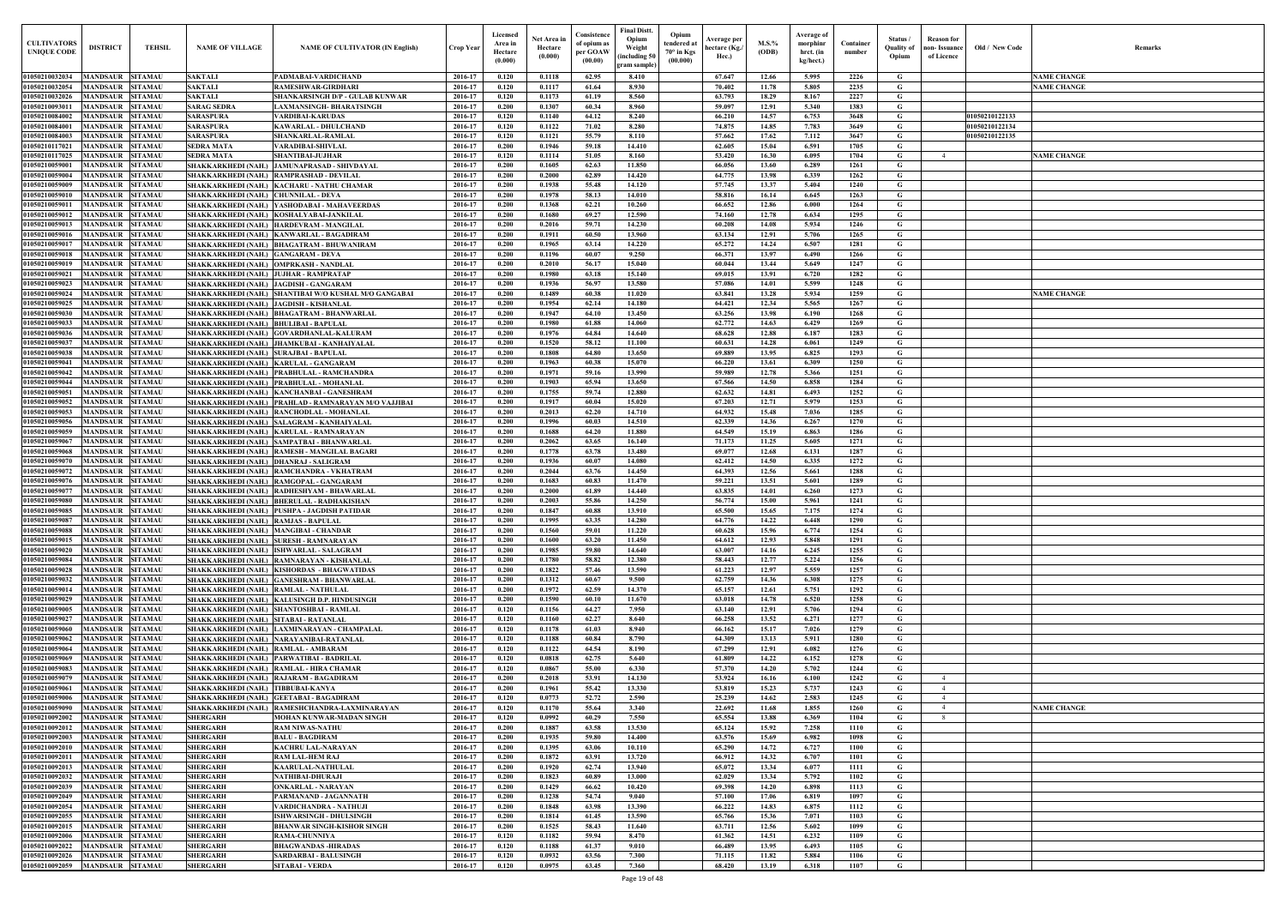| $\mathbf{Old} \, / \,$ New Code | Remarks            |
|---------------------------------|--------------------|
|                                 |                    |
|                                 |                    |
|                                 | <b>NAME CHANGE</b> |
|                                 | <b>NAME CHANGE</b> |
|                                 |                    |
|                                 |                    |
| 01050210122133                  |                    |
| 01050210122134                  |                    |
| 01050210122135                  |                    |
|                                 |                    |
|                                 | <b>NAME CHANGE</b> |
|                                 |                    |
|                                 |                    |
|                                 |                    |
|                                 |                    |
|                                 |                    |
|                                 |                    |
|                                 |                    |
|                                 |                    |
|                                 |                    |
|                                 |                    |
|                                 |                    |
|                                 |                    |
|                                 | <b>NAME CHANGE</b> |
|                                 |                    |
|                                 |                    |
|                                 |                    |
|                                 |                    |
|                                 |                    |
|                                 |                    |
|                                 |                    |
|                                 |                    |
|                                 |                    |
|                                 |                    |
|                                 |                    |
|                                 |                    |
|                                 |                    |
|                                 |                    |
|                                 |                    |
|                                 |                    |
|                                 |                    |
|                                 |                    |
|                                 |                    |
|                                 |                    |
|                                 |                    |
|                                 |                    |
|                                 |                    |
|                                 |                    |
|                                 |                    |
|                                 |                    |
|                                 |                    |
|                                 |                    |
|                                 |                    |
|                                 |                    |
|                                 |                    |
|                                 |                    |
|                                 |                    |
|                                 |                    |
|                                 |                    |
|                                 |                    |
|                                 |                    |
|                                 |                    |
|                                 |                    |
|                                 |                    |
|                                 | <b>NAME CHANGE</b> |
|                                 |                    |
|                                 |                    |
|                                 |                    |
|                                 |                    |
|                                 |                    |
|                                 |                    |
|                                 |                    |
|                                 |                    |
|                                 |                    |
|                                 |                    |
|                                 |                    |
|                                 |                    |
|                                 |                    |
|                                 |                    |
|                                 |                    |
|                                 |                    |

| <b>CULTIVATORS</b><br><b>UNIQUE CODI</b> | <b>DISTRICT</b><br><b>TEHSIL</b>                                       | <b>NAME OF VILLAGE</b>                                                        | <b>NAME OF CULTIVATOR (IN English)</b>                                                   | Crop Year          | Licensed<br>Area in<br>Hectare<br>(0.000) | Net Area in<br>Hectare<br>(0.000) | Consistence<br>of opium as<br>per GOAW<br>(00.00) | <b>Final Distt.</b><br>Opium<br>Opium<br>tendered at<br>Weight<br>70° in Kgs<br>including 50)<br>(00.000)<br>gram sample) | Average per<br>hectare (Kg./<br>Hec.) | M.S.%<br>(ODB) | Average of<br>morphinr<br>hrct. (in<br>kg/hect.) | Container<br>number | Status /<br><b>Quality of</b><br>Opium | <b>Reason</b> for<br>non- Issuance<br>of Licence | Old / New Code                   | <b>Remark</b>      |
|------------------------------------------|------------------------------------------------------------------------|-------------------------------------------------------------------------------|------------------------------------------------------------------------------------------|--------------------|-------------------------------------------|-----------------------------------|---------------------------------------------------|---------------------------------------------------------------------------------------------------------------------------|---------------------------------------|----------------|--------------------------------------------------|---------------------|----------------------------------------|--------------------------------------------------|----------------------------------|--------------------|
| 01050210032034                           | <b>MANDSAUR SITAMAU</b>                                                | <b>SAKTALI</b>                                                                | PADMABAI-VARDICHAND                                                                      | 2016-17            | 0.120                                     | 0.1118                            | 62.95                                             | 8.410                                                                                                                     | 67.647                                | 12.66          | 5.995                                            | 2226                | G                                      |                                                  |                                  | <b>NAME CHANGE</b> |
| 01050210032054                           | <b>MANDSAUR</b><br><b>SITAMAU</b>                                      | <b>SAKTALI</b>                                                                | <b>RAMESHWAR-GIRDHARI</b>                                                                | 2016-17            | 0.120                                     | 0.1117                            | 61.64                                             | 8.930                                                                                                                     | 70.402                                | 11.78          | 5.805                                            | 2235                | G                                      |                                                  |                                  | <b>NAME CHANGE</b> |
| 01050210032026                           | <b>SITAMAU</b><br>MANDSAUR                                             | <b>SAKTALI</b>                                                                | SHANKARSINGH D/P - GULAB KUNWAR                                                          | 2016-17            | 0.120                                     | 0.1173                            | 61.19                                             | 8.560                                                                                                                     | 63.793                                | 18.29          | 8.167                                            | 2227                | $\mathbf G$                            |                                                  |                                  |                    |
| 01050210093011                           | <b>MANDSAUR</b><br><b>SITAMAU</b>                                      | <b>SARAG SEDRA</b>                                                            | <b>LAXMANSINGH- BHARATSINGH</b>                                                          | 2016-17            | 0.200                                     | 0.1307                            | 60.34                                             | 8.960                                                                                                                     | 59.097                                | 12.91          | 5.340                                            | 1383                | G                                      |                                                  |                                  |                    |
| 01050210084002                           | <b>MANDSAUR</b><br><b>SITAMAU</b>                                      | <b>SARASPURA</b>                                                              | <b>VARDIBAI-KARUDAS</b>                                                                  | 2016-17            | 0.120                                     | 0.1140                            | 64.12                                             | 8.240                                                                                                                     | 66.210                                | 14.57          | 6.753                                            | 3648                | G                                      |                                                  | 01050210122133                   |                    |
| 01050210084001<br>01050210084003         | <b>SITAMAU</b><br><b>MANDSAUR</b><br><b>MANDSAUR</b><br><b>SITAMAU</b> | <b>SARASPURA</b><br><b>SARASPURA</b>                                          | <b>KAWARLAL - DHULCHAND</b><br><b>SHANKARLAL-RAMLAL</b>                                  | 2016-17<br>2016-17 | 0.120<br>0.120                            | 0.1122<br>0.1121                  | 71.02<br>55.79                                    | 8.280<br>8.110                                                                                                            | 74.875<br>57.662                      | 14.85<br>17.62 | 7.783<br>7.112                                   | 3649<br>3647        | $\mathbf G$<br>G                       |                                                  | 01050210122134<br>01050210122135 |                    |
| 01050210117021                           | <b>MANDSAUR</b><br><b>SITAMAU</b>                                      | <b>SEDRA MATA</b>                                                             | <b>VARADIBAI-SHIVLAI</b>                                                                 | 2016-17            | 0.200                                     | 0.1946                            | 59.18                                             | 14.410                                                                                                                    | 62.605                                | 15.04          | 6.591                                            | 1705                | $\mathbf G$                            |                                                  |                                  |                    |
| 01050210117025                           | <b>MANDSAUR</b><br><b>SITAMAU</b>                                      | <b>SEDRA MATA</b>                                                             | <b>SHANTIBAI-JUJHAR</b>                                                                  | 2016-17            | 0.120                                     | 0.1114                            | 51.05                                             | 8.160                                                                                                                     | 53.420                                | 16.30          | 6.095                                            | 1704                | $\mathbf G$                            | $\overline{4}$                                   |                                  | <b>NAME CHANGE</b> |
| 01050210059001                           | <b>SITAMAU</b><br><b>MANDSAUR</b>                                      |                                                                               | SHAKKARKHEDI (NAH.) JAMUNAPRASAD - SHIVDAYAL                                             | 2016-17            | 0.200                                     | 0.1605                            | 62.63                                             | 11.850                                                                                                                    | 66.056                                | 13.60          | 6.289                                            | 1261                | G                                      |                                                  |                                  |                    |
| 01050210059004                           | <b>MANDSAUR</b><br><b>SITAMAU</b>                                      |                                                                               | SHAKKARKHEDI (NAH.) RAMPRASHAD - DEVILAL                                                 | 2016-17            | 0.200                                     | 0.2000                            | 62.89                                             | 14.420                                                                                                                    | 64.775                                | 13.98          | 6.339                                            | 1262                | G                                      |                                                  |                                  |                    |
| 01050210059009<br>0105021005901          | MANDSAUR<br><b>SITAMAU</b><br><b>SITAMAU</b><br>MANDSAUR               | SHAKKARKHEDI (NAH.) CHUNNILAL - DEVA                                          | SHAKKARKHEDI (NAH.) KACHARU - NATHU CHAMAR                                               | 2016-17<br>2016-17 | 0.200<br>0.200                            | 0.1938<br>0.1978                  | 55.48<br>58.13                                    | 14.120<br>14.010                                                                                                          | 57,745<br>58.816                      | 13.37<br>16.14 | 5.404<br>6.645                                   | 1240<br>1263        | $\mathbf G$<br>G                       |                                                  |                                  |                    |
| 01050210059011                           | <b>MANDSAUR</b><br><b>SITAMAU</b>                                      |                                                                               | SHAKKARKHEDI (NAH.) YASHODABAI - MAHAVEERDAS                                             | 2016-17            | 0.200                                     | 0.1368                            | 62.21                                             | 10.260                                                                                                                    | 66.652                                | 12.86          | 6.000                                            | 1264                | $\mathbf G$                            |                                                  |                                  |                    |
| 01050210059012                           | <b>MANDSAUR</b><br><b>SITAMAU</b>                                      |                                                                               | SHAKKARKHEDI (NAH.)   KOSHALYABAI-JANKILAL                                               | 2016-17            | 0.200                                     | 0.1680                            | 69.27                                             | 12.590                                                                                                                    | 74.160                                | 12.78          | 6.634                                            | 1295                | G                                      |                                                  |                                  |                    |
| 01050210059013                           | <b>SITAMAU</b><br>MANDSAUR                                             |                                                                               | SHAKKARKHEDI (NAH.)   HARDEVRAM - MANGILAL                                               | 2016-17            | 0.200                                     | 0.2016                            | 59.71                                             | 14.230                                                                                                                    | 60.208                                | 14.08          | 5.934                                            | 1246                | G                                      |                                                  |                                  |                    |
| 01050210059016                           | <b>SITAMAU</b><br>MANDSAUR                                             |                                                                               | SHAKKARKHEDI (NAH.)  KANWARLAL - BAGADIRAM                                               | 2016-17            | 0.200                                     | 0.1911                            | 60.50                                             | 13.960                                                                                                                    | 63.134                                | 12.91          | 5.706                                            | 1265                | G                                      |                                                  |                                  |                    |
| 01050210059017                           | <b>MANDSAUR</b><br><b>SITAMAU</b>                                      |                                                                               | SHAKKARKHEDI (NAH.) BHAGATRAM - BHUWANIRAM                                               | 2016-17            | 0.200                                     | 0.1965                            | 63.14                                             | 14.220                                                                                                                    | 65.272                                | 14.24          | 6.507                                            | 1281                | G                                      |                                                  |                                  |                    |
| 01050210059018<br>01050210059019         | <b>MANDSAUR</b><br><b>SITAMAU</b><br>MANDSAUR<br><b>SITAMAU</b>        | SHAKKARKHEDI (NAH.) GANGARAM - DEVA<br>SHAKKARKHEDI (NAH.) OMPRKASH - NANDLAL |                                                                                          | 2016-17<br>2016-17 | 0.200<br>0.200                            | 0.1196<br>0.2010                  | 60.07<br>56.17                                    | 9.250<br>15.040                                                                                                           | 66.371<br>60.044                      | 13.97<br>13.44 | 6.490<br>5.649                                   | 1266<br>1247        | G<br>G                                 |                                                  |                                  |                    |
| 01050210059021                           | <b>MANDSAUR</b><br><b>SITAMAU</b>                                      | SHAKKARKHEDI (NAH.) JUJHAR - RAMPRATAP                                        |                                                                                          | 2016-17            | 0.200                                     | 0.1980                            | 63.18                                             | 15.140                                                                                                                    | 69.015                                | 13.91          | 6.720                                            | 1282                | G                                      |                                                  |                                  |                    |
| 01050210059023                           | MANDSAUR SITAMAU                                                       | SHAKKARKHEDI (NAH.) JAGDISH - GANGARAM                                        |                                                                                          | 2016-17            | 0.200                                     | 0.1936                            | 56.97                                             | 13.580                                                                                                                    | 57.086                                | 14.01          | 5.599                                            | 1248                | G                                      |                                                  |                                  |                    |
| 01050210059024                           | <b>MANDSAUR</b><br><b>SITAMAU</b>                                      |                                                                               | SHAKKARKHEDI (NAH.) SHANTIBAI W/O KUSHAL M/O GANGABAI                                    | 2016-17            | 0.200                                     | 0.1489                            | 60.38                                             | 11.020                                                                                                                    | 63.841                                | 13.28          | 5.934                                            | 1259                | G                                      |                                                  |                                  | <b>NAME CHANGE</b> |
| 01050210059025                           | <b>SITAMAU</b><br><b>MANDSAUR</b>                                      | SHAKKARKHEDI (NAH.) JAGDISH - KISHANLAL                                       |                                                                                          | 2016-17            | 0.200                                     | 0.1954                            | 62.14                                             | 14.180                                                                                                                    | 64.421                                | 12.34          | 5.565                                            | 1267                | $\mathbf G$                            |                                                  |                                  |                    |
| 01050210059030<br>01050210059033         | <b>MANDSAUR</b><br><b>SITAMAU</b><br><b>SITAMAU</b><br><b>MANDSAUR</b> |                                                                               | SHAKKARKHEDI (NAH.) BHAGATRAM - BHANWARLAL                                               | 2016-17<br>2016-17 | 0.200<br>0.200                            | 0.1947<br>0.1980                  | 64.10<br>61.88                                    | 13.450<br>14.060                                                                                                          | 63.256<br>62,772                      | 13.98<br>14.63 | 6.190                                            | 1268<br>1269        | G<br>G                                 |                                                  |                                  |                    |
| 01050210059036                           | <b>MANDSAUR</b><br><b>SITAMAU</b>                                      | SHAKKARKHEDI (NAH.) BHULIBAI - BAPULAL                                        | SHAKKARKHEDI (NAH.) GOVARDHANLAL-KALURAM                                                 | 2016-17            | 0.200                                     | 0.1976                            | 64.84                                             | 14.640                                                                                                                    | 68.628                                | 12.88          | 6.429<br>6.187                                   | 1283                | G                                      |                                                  |                                  |                    |
| 01050210059037                           | <b>MANDSAUR</b><br><b>SITAMAU</b>                                      |                                                                               | SHAKKARKHEDI (NAH.) JHAMKUBAI - KANHAIYALAL                                              | 2016-17            | 0.200                                     | 0.1520                            | 58.12                                             | 11.100                                                                                                                    | 60.631                                | 14.28          | 6.061                                            | 1249                | $\mathbf G$                            |                                                  |                                  |                    |
| 01050210059038                           | <b>MANDSAUR</b><br><b>SITAMAU</b>                                      | SHAKKARKHEDI (NAH.) SURAJBAI - BAPULAL                                        |                                                                                          | 2016-17            | 0.200                                     | 0.1808                            | 64.80                                             | 13.650                                                                                                                    | 69.889                                | 13.95          | 6.825                                            | 1293                | $\mathbf G$                            |                                                  |                                  |                    |
| 01050210059041                           | <b>SITAMAU</b><br><b>MANDSAUR</b>                                      |                                                                               | SHAKKARKHEDI (NAH.)   KARULAL - GANGARAM                                                 | 2016-17            | 0.200                                     | 0.1963                            | 60.38                                             | 15.070                                                                                                                    | 66.220                                | 13.61          | 6.309                                            | 1250                | G                                      |                                                  |                                  |                    |
| 01050210059042                           | <b>MANDSAUR</b><br><b>SITAMAU</b>                                      |                                                                               | SHAKKARKHEDI (NAH.)  PRABHULAL - RAMCHANDRA                                              | 2016-17            | 0.200                                     | 0.1971                            | 59.16                                             | 13.990                                                                                                                    | 59.989                                | 12.78          | 5.366                                            | 1251                | $\mathbf G$                            |                                                  |                                  |                    |
| 01050210059044<br>01050210059051         | <b>MANDSAUR</b><br><b>SITAMAU</b><br><b>MANDSAUR</b><br><b>SITAMAU</b> |                                                                               | SHAKKARKHEDI (NAH.) PRABHULAL - MOHANLAL<br>SHAKKARKHEDI (NAH.)   KANCHANBAI - GANESHRAM | 2016-17<br>2016-17 | 0.200<br>0.200                            | 0.1903<br>0.1755                  | 65.94<br>59.74                                    | 13.650<br>12.880                                                                                                          | 67.566<br>62.632                      | 14.50<br>14.81 | 6.858<br>6.493                                   | 1284<br>1252        | G<br>G                                 |                                                  |                                  |                    |
| 01050210059052                           | <b>MANDSAUR</b><br><b>SITAMAU</b>                                      |                                                                               | SHAKKARKHEDI (NAH.)   PRAHLAD - RAMNARAYAN M/O VAJJIBAI                                  | 2016-17            | 0.200                                     | 0.1917                            | 60.04                                             | 15.020                                                                                                                    | 67.203                                | 12.71          | 5.979                                            | 1253                | G                                      |                                                  |                                  |                    |
| 01050210059053                           | <b>MANDSAUR</b><br><b>SITAMAU</b>                                      |                                                                               | SHAKKARKHEDI (NAH.) RANCHODLAL - MOHANLAL                                                | 2016-17            | 0.200                                     | 0.2013                            | 62.20                                             | 14.710                                                                                                                    | 64.932                                | 15.48          | 7.036                                            | 1285                | $\mathbf G$                            |                                                  |                                  |                    |
| 01050210059056                           | <b>MANDSAUR</b><br><b>SITAMAU</b>                                      |                                                                               | SHAKKARKHEDI (NAH.) SALAGRAM - KANHAIYALAL                                               | 2016-17            | 0.200                                     | 0.1996                            | 60.03                                             | 14.510                                                                                                                    | 62.339                                | 14.36          | 6.267                                            | 1270                | G                                      |                                                  |                                  |                    |
| 01050210059059                           | MANDSAUR<br><b>SITAMAU</b>                                             |                                                                               | SHAKKARKHEDI (NAH.)   KARULAL - RAMNARAYAN                                               | 2016-17            | 0.200                                     | 0.1688                            | 64.20                                             | 11.880                                                                                                                    | 64.549                                | 15.19          | 6.863                                            | 1286                | $\mathbf G$                            |                                                  |                                  |                    |
| 0105021005906                            | <b>SITAMAU</b><br>MANDSAUR                                             |                                                                               | SHAKKARKHEDI (NAH.) SAMPATBAI - BHANWARLAL                                               | 2016-17            | 0.200                                     | 0.2062                            | 63.65                                             | 16.140                                                                                                                    | 71.173                                | 11.25          | 5.605                                            | 1271                | G                                      |                                                  |                                  |                    |
| 01050210059068<br>0105021005907          | MANDSAUR<br><b>SITAMAU</b><br>MANDSAUR<br><b>SITAMAU</b>               | SHAKKARKHEDI (NAH.)  DHANRAJ - SALIGRAM                                       | SHAKKARKHEDI (NAH.) RAMESH - MANGILAL BAGARI                                             | 2016-17<br>2016-17 | 0.200<br>0.200                            | 0.1778<br>0.1936                  | 63.78<br>60.07                                    | 13.480<br>14.080                                                                                                          | 69.077<br>62.412                      | 12.68<br>14.50 | 6.131<br>6.335                                   | 1287<br>1272        | $\mathbf G$<br>G                       |                                                  |                                  |                    |
| 0105021005907                            | MANDSAUR<br><b>SITAMAU</b>                                             |                                                                               | SHAKKARKHEDI (NAH.) RAMCHANDRA - VKHATRAM                                                | 2016-17            | 0.200                                     | 0.2044                            | 63.76                                             | 14.450                                                                                                                    | 64.393                                | 12.56          | 5.661                                            | 1288                | G                                      |                                                  |                                  |                    |
| 0105021005907                            | MANDSAUR<br><b>SITAMAU</b>                                             |                                                                               | SHAKKARKHEDI (NAH.) RAMGOPAL - GANGARAM                                                  | 2016-17            | 0.200                                     | 0.1683                            | 60.83                                             | 11.470                                                                                                                    | 59.221                                | 13.51          | 5.601                                            | 1289                | G                                      |                                                  |                                  |                    |
| 0105021005907                            | MANDSAUR<br><b>SITAMAU</b>                                             |                                                                               | SHAKKARKHEDI (NAH.) RADHESHYAM - BHAWARLAI                                               | 2016-17            | 0.200                                     | 0.2000                            | 61.89                                             | 14.440                                                                                                                    | 63.835                                | 14.01          | 6.260                                            | 1273                | G                                      |                                                  |                                  |                    |
| 01050210059080                           | <b>MANDSAUR</b><br><b>SITAMAU</b>                                      |                                                                               | SHAKKARKHEDI (NAH.) BHERULAL - RADHAKISHAN                                               | 2016-17            | 0.200                                     | 0.2003                            | 55.86                                             | 14.250                                                                                                                    | 56.774                                | 15.00          | 5.961                                            | 1241                | G                                      |                                                  |                                  |                    |
| 01050210059087                           | 01050210059085 MANDSAUR SITAMAU                                        | SHAKKARKHEDI (NAH.) RAMJAS - BAPULAL                                          | SHAKKARKHEDI (NAH.) PUSHPA - JAGDISH PATIDAR                                             | 2016-17            | 0.200                                     | 0.1847                            | 60.88                                             | 13.910                                                                                                                    | 65.500                                | 15.65          | 7.175                                            | 1274                | G                                      |                                                  |                                  |                    |
| 01050210059088                           | <b>MANDSAUR SITAMAU</b><br>MANDSAUR SITAMAU                            | SHAKKARKHEDI (NAH.) MANGIBAI - CHANDAR                                        |                                                                                          | 2016-17<br>2016-17 | 0.200<br>0.200                            | 0.1995<br>0.1560                  | 63.35<br>59.01                                    | 14.280<br>11.220                                                                                                          | 64.776<br>60.628                      | 14.22<br>15.96 | 6.448<br>6.774                                   | 1290<br>1254        | G<br>G                                 |                                                  |                                  |                    |
| 01050210059015                           | MANDSAUR SITAMAU                                                       |                                                                               | SHAKKARKHEDI (NAH.) SURESH - RAMNARAYAN                                                  | 2016-17            | 0.200                                     | 0.1600                            | 63.20                                             | 11.450                                                                                                                    | 64.612                                | 12.93          | 5.848                                            | 1291                | G                                      |                                                  |                                  |                    |
| 01050210059020                           | <b>MANDSAUR SITAMAU</b>                                                |                                                                               | SHAKKARKHEDI (NAH.) ISHWARLAL - SALAGRAM                                                 | 2016-17            | 0.200                                     | 0.1985                            | 59.80                                             | 14.640                                                                                                                    | 63.007                                | 14.16          | 6.245                                            | 1255                | $\mathbf G$                            |                                                  |                                  |                    |
| 01050210059084                           | <b>MANDSAUR</b><br><b>SITAMAU</b>                                      |                                                                               | SHAKKARKHEDI (NAH.) RAMNARAYAN - KISHANLAL                                               | 2016-17            | 0.200                                     | 0.1780                            | 58.82                                             | 12.380                                                                                                                    | 58.443                                | 12.77          | 5.224                                            | 1256                | $\mathbf G$                            |                                                  |                                  |                    |
| 01050210059028                           | MANDSAUR SITAMAU                                                       |                                                                               | SHAKKARKHEDI (NAH.) KISHORDAS - BHAGWATIDAS                                              | 2016-17            | 0.200                                     | 0.1822                            | 57.46                                             | 13.590                                                                                                                    | 61.223                                | 12.97          | 5.559                                            | 1257                | $\mathbf G$                            |                                                  |                                  |                    |
| 01050210059032<br>01050210059014         | <b>MANDSAUR</b><br><b>SITAMAU</b><br><b>MANDSAUR SITAMAU</b>           | SHAKKARKHEDI (NAH.) RAMLAL - NATHULAL                                         | SHAKKARKHEDI (NAH.) GANESHRAM - BHANWARLAL                                               | 2016-17<br>2016-17 | 0.200<br>0.200                            | 0.1312<br>0.1972                  | 60.67<br>62.59                                    | 9.500<br>14.370                                                                                                           | 62.759<br>65.157                      | 14.36<br>12.61 | 6.308<br>5.751                                   | 1275<br>1292        | $\mathbf G$<br>$\mathbf G$             |                                                  |                                  |                    |
| 01050210059029                           | <b>MANDSAUR</b><br><b>SITAMAU</b>                                      |                                                                               | SHAKKARKHEDI (NAH.)   KALUSINGH D.P. HINDUSINGH                                          | 2016-17            | 0.200                                     | 0.1590                            | 60.10                                             | 11.670                                                                                                                    | 63.018                                | 14.78          | 6.520                                            | 1258                | $\mathbf G$                            |                                                  |                                  |                    |
| 01050210059005                           | <b>MANDSAUR</b><br><b>SITAMAU</b>                                      |                                                                               | SHAKKARKHEDI (NAH.) SHANTOSHBAI - RAMLAL                                                 | 2016-17            | 0.120                                     | 0.1156                            | 64.27                                             | 7.950                                                                                                                     | 63.140                                | 12.91          | 5.706                                            | 1294                | $\mathbf G$                            |                                                  |                                  |                    |
| 01050210059027                           | <b>MANDSAUR</b><br><b>SITAMAU</b>                                      | SHAKKARKHEDI (NAH.) SITABAI - RATANLAL                                        |                                                                                          | 2016-17            | 0.120                                     | 0.1160                            | 62.27                                             | 8.640                                                                                                                     | 66.258                                | 13.52          | 6.271                                            | 1277                | $\mathbf G$                            |                                                  |                                  |                    |
| 01050210059060                           | <b>MANDSAUR</b><br><b>SITAMAU</b>                                      |                                                                               | SHAKKARKHEDI (NAH.) LAXMINARAYAN - CHAMPALAL                                             | 2016-17            | 0.120                                     | 0.1178                            | 61.03                                             | 8.940                                                                                                                     | 66.162                                | 15.17          | 7.026                                            | 1279                | G                                      |                                                  |                                  |                    |
| 01050210059062                           | <b>MANDSAUR</b><br><b>SITAMAU</b>                                      |                                                                               | SHAKKARKHEDI (NAH.) NARAYANIBAI-RATANLAL                                                 | 2016-17            | 0.120                                     | 0.1188                            | 60.84                                             | 8.790                                                                                                                     | 64.309                                | 13.13          | 5.911                                            | 1280                | $\mathbf G$                            |                                                  |                                  |                    |
| 01050210059064<br>01050210059069         | <b>MANDSAUR</b><br><b>SITAMAU</b><br>MANDSAUR SITAMAU                  | SHAKKARKHEDI (NAH.) RAMLAL - AMBARAM                                          | SHAKKARKHEDI (NAH.) PARWATIBAI - BADRILAL                                                | 2016-17<br>2016-17 | 0.120<br>0.120                            | 0.1122<br>0.0818                  | 64.54<br>62.75                                    | 8.190<br>5.640                                                                                                            | 67.299<br>61.809                      | 12.91<br>14.22 | 6.082<br>6.152                                   | 1276<br>1278        | G<br>$\mathbf{G}$                      |                                                  |                                  |                    |
| 01050210059083                           | <b>MANDSAUR</b><br><b>SITAMAU</b>                                      |                                                                               | SHAKKARKHEDI (NAH.) RAMLAL - HIRA CHAMAR                                                 | 2016-17            | 0.120                                     | 0.0867                            | 55.00                                             | 6.330                                                                                                                     | 57.370                                | 14.20          | 5.702                                            | 1244                | $\mathbf G$                            |                                                  |                                  |                    |
| 01050210059079                           | <b>MANDSAUR</b><br><b>SITAMAU</b>                                      |                                                                               | SHAKKARKHEDI (NAH.) RAJARAM - BAGADIRAM                                                  | 2016-17            | 0.200                                     | 0.2018                            | 53.91                                             | 14.130                                                                                                                    | 53.924                                | 16.16          | 6.100                                            | 1242                | $\mathbf G$                            | $\overline{4}$                                   |                                  |                    |
| 01050210059061                           | <b>MANDSAUR</b><br><b>SITAMAU</b>                                      | SHAKKARKHEDI (NAH.) TIBBUBAI-KANYA                                            |                                                                                          | 2016-17            | 0.200                                     | 0.1961                            | 55.42                                             | 13.330                                                                                                                    | 53.819                                | 15.23          | 5.737                                            | 1243                | G                                      | $\overline{4}$                                   |                                  |                    |
| 0105021005900                            | MANDSAUR<br><b>SITAMAU</b>                                             |                                                                               | SHAKKARKHEDI (NAH.) GEETABAI - BAGADIRAM                                                 | 2016-17            | 0.120                                     | 0.0773                            | 52,72                                             | 2.590                                                                                                                     | 25.239                                | 14.62          | 2.583                                            | 1245                | G                                      | $\overline{4}$                                   |                                  |                    |
| 0105021005909                            | MANDSAUR<br><b>SITAMAU</b>                                             | <b>SHAKKARKHEDI (NAH.)</b>                                                    | RAMESHCHANDRA-LAXMINARAYAN                                                               | 2016-17            | 0.120                                     | 0.1170<br>0.0992                  | 55.64<br>60.29                                    | 3.340<br>7.550                                                                                                            | 22.692<br>65.554                      | 11.68<br>13.88 | 1.855<br>6.369                                   | 1260                | G                                      |                                                  |                                  | <b>NAME CHANGE</b> |
| 01050210092002<br>01050210092012         | <b>SITAMAU</b><br><b>MANDSAUR</b><br><b>MANDSAUR</b><br><b>SITAMAU</b> | <b>SHERGARH</b><br><b>SHERGARH</b>                                            | MOHAN KUNWAR-MADAN SINGH<br><b>RAM NIWAS-NATHU</b>                                       | 2016-17<br>2016-17 | 0.120<br>0.200                            | 0.1887                            | 63.58                                             | 13.530                                                                                                                    | 65.124                                | 15.92          | 7.258                                            | 1104<br>1110        | G<br>G                                 |                                                  |                                  |                    |
| 01050210092003                           | MANDSAUR SITAMAU                                                       | <b>SHERGARH</b>                                                               | <b>BALU - BAGDIRAM</b>                                                                   | 2016-17            | 0.200                                     | 0.1935                            | 59.80                                             | 14.400                                                                                                                    | 63.576                                | 15.69          | 6.982                                            | 1098                | G                                      |                                                  |                                  |                    |
| 01050210092010                           | <b>MANDSAUR SITAMAU</b>                                                | <b>SHERGARH</b>                                                               | <b>KACHRU LAL-NARAYAN</b>                                                                | 2016-17            | 0.200                                     | 0.1395                            | 63.06                                             | 10.110                                                                                                                    | 65.290                                | 14.72          | 6.727                                            | 1100                | $\mathbf{G}$                           |                                                  |                                  |                    |
| 01050210092011                           | MANDSAUR SITAMAU                                                       | <b>SHERGARH</b>                                                               | <b>RAM LAL-HEM RAJ</b>                                                                   | 2016-17            | 0.200                                     | 0.1872                            | 63.91                                             | 13.720                                                                                                                    | 66.912                                | 14.32          | 6.707                                            | 1101                | $\mathbf G$                            |                                                  |                                  |                    |
| 01050210092013                           | MANDSAUR SITAMAU                                                       | <b>SHERGARH</b>                                                               | <b>KAARULAL-NATHULAL</b>                                                                 | 2016-17            | 0.200                                     | 0.1920                            | 62.74                                             | 13.940                                                                                                                    | 65.072                                | 13.34          | 6.077                                            | 1111                | G                                      |                                                  |                                  |                    |
| 01050210092032<br>01050210092039         | MANDSAUR SITAMAU<br><b>MANDSAUR</b><br><b>SITAMAU</b>                  | <b>SHERGARH</b><br><b>SHERGARH</b>                                            | NATHIBAI-DHURAJI<br><b>ONKARLAL - NARAYAN</b>                                            | 2016-17<br>2016-17 | 0.200<br>0.200                            | 0.1823<br>0.1429                  | 60.89<br>66.62                                    | 13.000<br>10.420                                                                                                          | 62.029<br>69.398                      | 13.34<br>14.20 | 5.792<br>6.898                                   | 1102<br>1113        | G<br>$\mathbf G$                       |                                                  |                                  |                    |
| 01050210092049                           | MANDSAUR SITAMAU                                                       | <b>SHERGARH</b>                                                               | PARMANAND - JAGANNATH                                                                    | 2016-17            | 0.200                                     | 0.1238                            | 54.74                                             | 9.040                                                                                                                     | 57.100                                | 17.06          | 6.819                                            | 1097                | G                                      |                                                  |                                  |                    |
| 01050210092054                           | <b>MANDSAUR</b><br><b>SITAMAU</b>                                      | <b>SHERGARH</b>                                                               | VARDICHANDRA - NATHUJI                                                                   | 2016-17            | 0.200                                     | 0.1848                            | 63.98                                             | 13.390                                                                                                                    | 66.222                                | 14.83          | 6.875                                            | 1112                | $\mathbf G$                            |                                                  |                                  |                    |
| 01050210092055                           | <b>MANDSAUR</b><br><b>SITAMAU</b>                                      | <b>SHERGARH</b>                                                               | <b>ISHWARSINGH - DHULSINGH</b>                                                           | 2016-17            | 0.200                                     | 0.1814                            | 61.45                                             | 13.590                                                                                                                    | 65.766                                | 15.36          | 7.071                                            | 1103                | $\mathbf G$                            |                                                  |                                  |                    |
| 01050210092015                           | <b>MANDSAUR</b><br><b>SITAMAU</b>                                      | <b>SHERGARH</b>                                                               | <b>BHANWAR SINGH-KISHOR SINGH</b>                                                        | 2016-17            | 0.200                                     | 0.1525                            | 58.43                                             | 11.640                                                                                                                    | 63.711                                | 12.56          | 5.602                                            | 1099                | $\mathbf G$                            |                                                  |                                  |                    |
| 01050210092006                           | <b>SITAMAU</b><br><b>MANDSAUR</b>                                      | <b>SHERGARH</b>                                                               | <b>RAMA-CHUNNIYA</b>                                                                     | 2016-17            | 0.120                                     | 0.1182                            | 59.94                                             | 8.470                                                                                                                     | 61.362                                | 14.51          | 6.232                                            | 1109                | $\mathbf G$                            |                                                  |                                  |                    |
| 01050210092022<br>01050210092026         | <b>MANDSAUR</b><br><b>SITAMAU</b><br>MANDSAUR SITAMAU                  | <b>SHERGARH</b><br><b>SHERGARH</b>                                            | <b>BHAGWANDAS-HIRADAS</b><br><b>SARDARBAI - BALUSINGH</b>                                | 2016-17<br>2016-17 | 0.120<br>0.120                            | 0.1188<br>0.0932                  | 61.37<br>63.56                                    | 9.010<br>7.300                                                                                                            | 66.489<br>71.115                      | 13.95<br>11.82 | 6.493<br>5.884                                   | 1105<br>1106        | $\mathbf G$<br>$\mathbf{G}$            |                                                  |                                  |                    |
| 01050210092059                           | <b>MANDSAUR SITAMAU</b>                                                | <b>SHERGARH</b>                                                               | <b>SITABAI - VERDA</b>                                                                   | 2016-17            | 0.120                                     | 0.0975                            | 63.45                                             | 7.360                                                                                                                     | 68.420                                | 13.19          | 6.318                                            | 1107                | $\mathbf{G}$                           |                                                  |                                  |                    |
|                                          |                                                                        |                                                                               |                                                                                          |                    |                                           |                                   |                                                   |                                                                                                                           |                                       |                |                                                  |                     |                                        |                                                  |                                  |                    |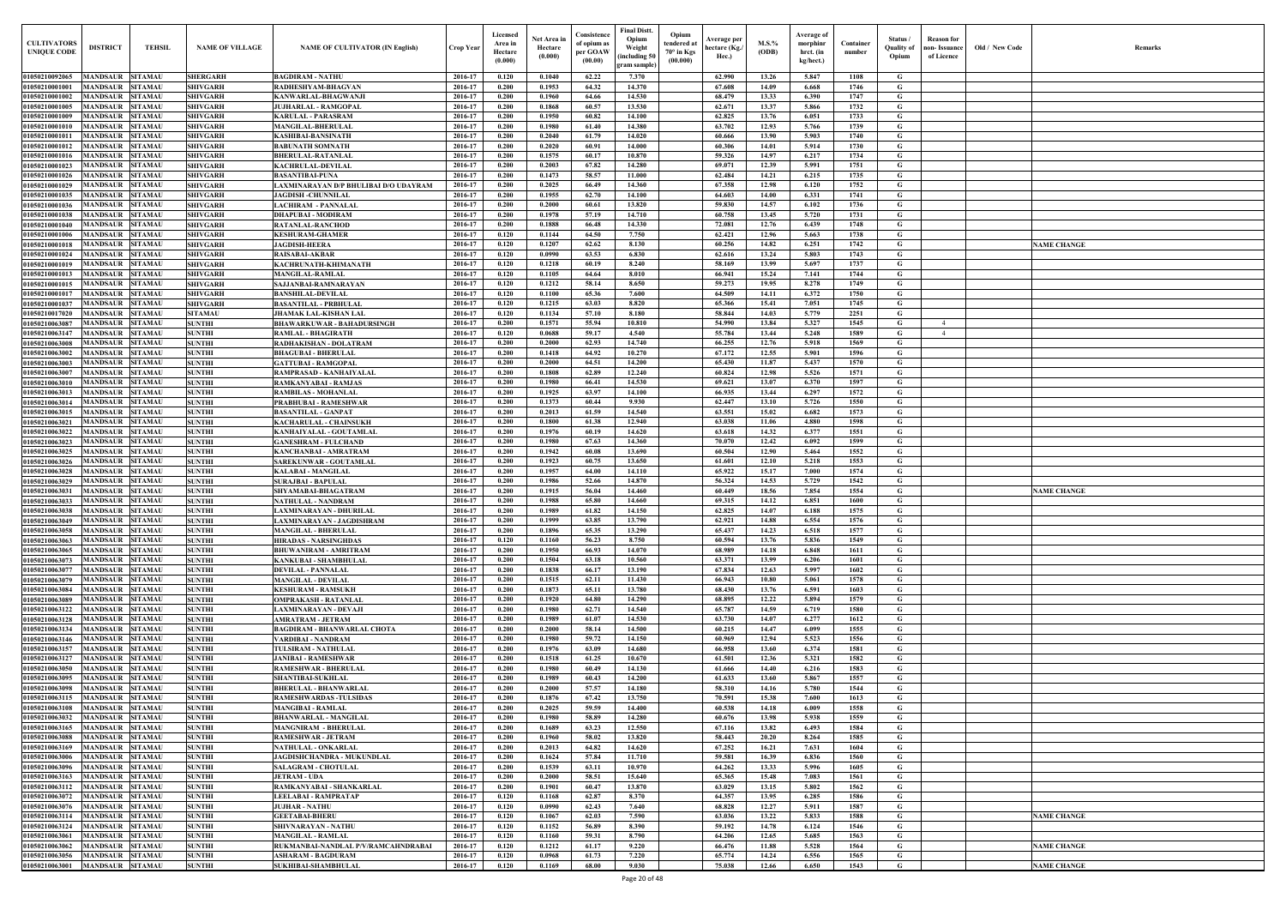| $\mathbf{Old} \, / \,$ New Code | Remarks            |
|---------------------------------|--------------------|
|                                 |                    |
|                                 |                    |
|                                 |                    |
|                                 |                    |
|                                 |                    |
|                                 |                    |
|                                 |                    |
|                                 |                    |
|                                 |                    |
|                                 |                    |
|                                 |                    |
|                                 |                    |
|                                 | <b>NAME CHANGE</b> |
|                                 |                    |
|                                 |                    |
|                                 |                    |
|                                 |                    |
|                                 |                    |
|                                 |                    |
|                                 |                    |
|                                 |                    |
|                                 |                    |
|                                 |                    |
|                                 |                    |
|                                 |                    |
|                                 |                    |
|                                 |                    |
|                                 |                    |
|                                 |                    |
|                                 |                    |
|                                 |                    |
|                                 | <b>NAME CHANGE</b> |
|                                 |                    |
|                                 |                    |
|                                 |                    |
|                                 |                    |
|                                 |                    |
|                                 |                    |
|                                 |                    |
|                                 |                    |
|                                 |                    |
|                                 |                    |
|                                 |                    |
|                                 |                    |
|                                 |                    |
|                                 |                    |
|                                 |                    |
|                                 |                    |
|                                 |                    |
|                                 |                    |
|                                 |                    |
|                                 |                    |
|                                 |                    |
|                                 |                    |
|                                 |                    |
|                                 | <b>NAME CHANGE</b> |
|                                 |                    |
|                                 |                    |
|                                 | <b>NAME CHANGE</b> |
|                                 | <b>NAME CHANGE</b> |

| <b>CULTIVATORS</b><br><b>UNIQUE CODE</b> | <b>DISTRICT</b>                             | <b>TEHSIL</b>                    | <b>NAME OF VILLAGE</b>             | <b>NAME OF CULTIVATOR (IN English)</b>                        | Crop Year          | Licensed<br>Area in<br>Hectare<br>(0.000) | Net Area in<br>Hectare<br>(0.000) | Consistence<br>of opium as<br>per GOAW<br>(00.00) | <b>Final Distt.</b><br>Opium<br>Opium<br>tendered at<br>Weight<br>$70^\circ$ in Kgs<br>including 50)<br>(00.000)<br>gram sample) | Average per<br>hectare (Kg./<br>Hec.) | $M.S.\%$<br>(ODB) | Average of<br>morphinr<br>hrct. (in<br>kg/hect.) | Container<br>number | Status/<br><b>Ouality of</b><br>Opium | <b>Reason</b> for<br>ıon- Issuance<br>of Licence | Old / New Code | <b>Remark</b>      |
|------------------------------------------|---------------------------------------------|----------------------------------|------------------------------------|---------------------------------------------------------------|--------------------|-------------------------------------------|-----------------------------------|---------------------------------------------------|----------------------------------------------------------------------------------------------------------------------------------|---------------------------------------|-------------------|--------------------------------------------------|---------------------|---------------------------------------|--------------------------------------------------|----------------|--------------------|
| 01050210092065                           | MANDSAUR SITAMAU                            |                                  | <b>SHERGARH</b>                    | <b>BAGDIRAM - NATHU</b>                                       | 2016-17            | 0.120                                     | 0.1040                            | 62.22                                             | 7.370                                                                                                                            | 62.990                                | 13.26             | 5.847                                            | 1108                | G                                     |                                                  |                |                    |
| 01050210001001                           | <b>MANDSAUR</b>                             | <b>SITAMAU</b>                   | <b>SHIVGARH</b>                    | RADHESHYAM-BHAGVAN                                            | 2016-17            | 0.200                                     | 0.1953                            | 64.32                                             | 14.370                                                                                                                           | 67.608                                | 14.09             | 6.668                                            | 1746                | G                                     |                                                  |                |                    |
| 01050210001002                           | <b>MANDSAUR</b>                             | <b>SITAMAU</b>                   | <b>SHIVGARH</b>                    | <b>KANWARLAL-BHAGWANJI</b>                                    | 2016-17            | 0.200                                     | 0.1960                            | 64.66                                             | 14.530                                                                                                                           | 68.479                                | 13.33             | 6.390                                            | 1747                | G                                     |                                                  |                |                    |
| 01050210001005<br>01050210001009         | <b>MANDSAUR</b><br>MANDSAUR                 | <b>SITAMAU</b><br><b>SITAMAU</b> | <b>SHIVGARH</b><br><b>SHIVGARH</b> | <b>JUJHARLAL - RAMGOPAL</b><br><b>KARULAL - PARASRAM</b>      | 2016-17<br>2016-17 | 0.200<br>0.200                            | 0.1868<br>0.1950                  | 60.57<br>60.82                                    | 13.530<br>14.100                                                                                                                 | 62.671<br>62.825                      | 13.37<br>13.76    | 5.866<br>6.051                                   | 1732<br>1733        | G<br>G                                |                                                  |                |                    |
| 01050210001010                           | MANDSAUR                                    | <b>SITAMAU</b>                   | <b>SHIVGARH</b>                    | <b>MANGILAL-BHERULAL</b>                                      | 2016-17            | 0.200                                     | 0.1980                            | 61.40                                             | 14.380                                                                                                                           | 63.702                                | 12.93             | 5.766                                            | 1739                | G                                     |                                                  |                |                    |
| 01050210001011                           | <b>MANDSAUR</b>                             | <b>SITAMAU</b>                   | <b>SHIVGARH</b>                    | <b>KASHIBAI-BANSINATH</b>                                     | 2016-17            | 0.200                                     | 0.2040                            | 61.79                                             | 14.020                                                                                                                           | 60.666                                | 13.90             | 5.903                                            | 1740                | G                                     |                                                  |                |                    |
| 01050210001012                           | MANDSAUR                                    | <b>SITAMAU</b>                   | <b>SHIVGARH</b>                    | <b>BABUNATH SOMNATH</b>                                       | 2016-17            | 0.200                                     | 0.2020                            | 60.91                                             | 14.000                                                                                                                           | 60.306                                | 14.01             | 5.914                                            | 1730                | $\mathbf G$                           |                                                  |                |                    |
| 01050210001016                           | <b>MANDSAUR</b>                             | <b>SITAMAU</b>                   | <b>SHIVGARH</b>                    | <b>BHERULAL-RATANLAL</b>                                      | 2016-17            | 0.200                                     | 0.1575                            | 60.17                                             | 10.870                                                                                                                           | 59.326                                | 14.97             | 6.217                                            | 1734                | G                                     |                                                  |                |                    |
| 01050210001023<br>01050210001026         | <b>MANDSAUR</b><br><b>MANDSAUR</b>          | <b>SITAMAU</b><br><b>SITAMAU</b> | <b>SHIVGARH</b><br><b>SHIVGARH</b> | <b>KACHRULAL-DEVILAL</b><br><b>BASANTIBAI-PUNA</b>            | 2016-17<br>2016-17 | 0.200<br>0.200                            | 0.2003<br>0.1473                  | 67.82<br>58.57                                    | 14.280<br>11.000                                                                                                                 | 69.071<br>62.484                      | 12.39<br>14.21    | 5.991<br>6.215                                   | 1751<br>1735        | $\mathbf G$<br>G                      |                                                  |                |                    |
| 01050210001029                           | <b>MANDSAUR</b>                             | <b>SITAMAU</b>                   | <b>SHIVGARH</b>                    | LAXMINARAYAN D/P BHULIBAI D/O UDAYRAM                         | 2016-17            | 0.200                                     | 0.2025                            | 66.49                                             | 14.360                                                                                                                           | 67.358                                | 12.98             | 6.120                                            | 1752                | G                                     |                                                  |                |                    |
| 01050210001035                           | MANDSAUR                                    | <b>SITAMAU</b>                   | <b>SHIVGARH</b>                    | <b>JAGDISH-CHUNNILAI</b>                                      | 2016-17            | 0.200                                     | 0.1955                            | 62.70                                             | 14.100                                                                                                                           | 64.603                                | 14.00             | 6.331                                            | 1741                | G                                     |                                                  |                |                    |
| 01050210001036                           | <b>MANDSAUR</b>                             | <b>SITAMAU</b>                   | <b>SHIVGARH</b>                    | <b>LACHIRAM - PANNALAI</b>                                    | 2016-17            | 0.200                                     | 0.2000                            | 60.61                                             | 13.820                                                                                                                           | 59.830                                | 14.57             | 6.102                                            | 1736                | $\mathbf G$                           |                                                  |                |                    |
| 01050210001038                           | <b>MANDSAUR</b>                             | <b>SITAMAU</b>                   | <b>SHIVGARH</b>                    | <b>DHAPUBAI - MODIRAM</b>                                     | 2016-17            | 0.200                                     | 0.1978                            | 57.19                                             | 14.710                                                                                                                           | 60.758                                | 13.45             | 5.720                                            | 1731                | $\mathbf G$                           |                                                  |                |                    |
| 01050210001040<br>01050210001006         | <b>MANDSAUR</b><br>MANDSAUR                 | <b>SITAMAU</b><br><b>SITAMAU</b> | <b>SHIVGARH</b><br><b>SHIVGARH</b> | <b>RATANLAL-RANCHOD</b><br><b>KESHURAM-GHAMER</b>             | 2016-17<br>2016-17 | 0.200<br>0.120                            | 0.1888<br>0.1144                  | 66.48<br>64.50                                    | 14.330<br>7.750                                                                                                                  | 72.081<br>62.421                      | 12.76<br>12.96    | 6.439<br>5.663                                   | 1748<br>1738        | $\mathbf G$<br>G                      |                                                  |                |                    |
| 01050210001018                           | MANDSAUR                                    | <b>SITAMAU</b>                   | <b>SHIVGARH</b>                    | <b>JAGDISH-HEERA</b>                                          | 2016-17            | 0.120                                     | 0.1207                            | 62.62                                             | 8.130                                                                                                                            | 60.256                                | 14.82             | 6.251                                            | 1742                | G                                     |                                                  |                | <b>NAME CHANGE</b> |
| 01050210001024                           | MANDSAUR                                    | <b>SITAMAU</b>                   | <b>SHIVGARH</b>                    | <b>RAISABAI-AKBAR</b>                                         | 2016-17            | 0.120                                     | 0.0990                            | 63.53                                             | 6.830                                                                                                                            | 62.616                                | 13.24             | 5.803                                            | 1743                | G                                     |                                                  |                |                    |
| 01050210001019                           | MANDSAUR                                    | <b>SITAMAU</b>                   | <b>SHIVGARH</b>                    | KACHRUNATH-KHIMANATH                                          | 2016-17            | 0.120                                     | 0.1218                            | 60.19                                             | 8.240                                                                                                                            | 58.169                                | 13.99             | 5.697                                            | 1737                | G                                     |                                                  |                |                    |
| 01050210001013                           | MANDSAUR                                    | <b>SITAMAU</b>                   | <b>SHIVGARH</b>                    | <b>MANGILAL-RAMLAL</b>                                        | 2016-17            | 0.120                                     | 0.1105                            | 64.64                                             | 8.010                                                                                                                            | 66.941                                | 15.24             | 7.141                                            | 1744                | G                                     |                                                  |                |                    |
| 01050210001015<br>01050210001017         | <b>MANDSAUR</b><br><b>MANDSAUR</b>          | <b>SITAMAU</b><br><b>SITAMAU</b> | <b>SHIVGARH</b><br><b>SHIVGARH</b> | SAJJANBAI-RAMNARAYAN<br><b>BANSHILAL-DEVILAL</b>              | 2016-17<br>2016-17 | 0.120<br>0.120                            | 0.1212<br>0.1100                  | 58.14<br>65.36                                    | 8.650<br>7.600                                                                                                                   | 59.273<br>64.509                      | 19.95<br>14.11    | 8.278<br>6.372                                   | 1749<br>1750        | G<br>G                                |                                                  |                |                    |
| 01050210001037                           | <b>MANDSAUR SITAMAU</b>                     |                                  | <b>SHIVGARH</b>                    | <b>BASANTILAL - PRBHULAL</b>                                  | 2016-17            | 0.120                                     | 0.1215                            | 63.03                                             | 8.820                                                                                                                            | 65.366                                | 15.41             | 7.051                                            | 1745                | G                                     |                                                  |                |                    |
| 01050210017020                           | <b>MANDSAUR</b>                             | <b>SITAMAU</b>                   | <b>SITAMAU</b>                     | <b>JHAMAK LAL-KISHAN LAL</b>                                  | 2016-17            | 0.120                                     | 0.1134                            | 57.10                                             | 8.180                                                                                                                            | 58.844                                | 14.03             | 5.779                                            | 2251                | G                                     |                                                  |                |                    |
| 01050210063087                           | <b>MANDSAUR SITAMAU</b>                     |                                  | <b>SUNTHI</b>                      | <b>BHAWARKUWAR - BAHADURSINGH</b>                             | 2016-17            | 0.200                                     | 0.1571                            | 55.94                                             | 10.810                                                                                                                           | 54.990                                | 13.84             | 5.327                                            | 1545                | G                                     | $\overline{4}$                                   |                |                    |
| 01050210063147                           | MANDSAUR                                    | <b>SITAMAU</b>                   | <b>SUNTHI</b>                      | <b>RAMLAL - BHAGIRATH</b>                                     | 2016-17            | 0.120                                     | 0.0688                            | 59.17                                             | 4.540                                                                                                                            | 55.784                                | 13.44             | 5.248                                            | 1589                | G                                     | $\overline{4}$                                   |                |                    |
| 01050210063008<br>01050210063002         | <b>MANDSAUR</b><br><b>MANDSAUR</b>          | <b>SITAMAU</b><br><b>SITAMAU</b> | <b>SUNTHI</b><br><b>SUNTHI</b>     | RADHAKISHAN - DOLATRAM<br><b>BHAGUBAI - BHERULAL</b>          | 2016-17<br>2016-17 | 0.200<br>0.200                            | 0.2000<br>0.1418                  | 62.93<br>64.92                                    | 14.740<br>10.270                                                                                                                 | 66.255<br>67.172                      | 12.76<br>12.55    | 5.918<br>5.901                                   | 1569<br>1596        | G<br>G                                |                                                  |                |                    |
| 01050210063003                           | MANDSAUR                                    | <b>SITAMAU</b>                   | <b>SUNTHI</b>                      | <b>GATTUBAI - RAMGOPAL</b>                                    | 2016-17            | 0.200                                     | 0.2000                            | 64.51                                             | 14.200                                                                                                                           | 65.430                                | 11.87             | 5.437                                            | 1570                | G                                     |                                                  |                |                    |
| 0105021006300                            | <b>MANDSAUR</b>                             | <b>SITAMAU</b>                   | <b>SUNTHI</b>                      | RAMPRASAD - KANHAIYALAL                                       | 2016-17            | 0.200                                     | 0.1808                            | 62.89                                             | 12.240                                                                                                                           | 60.824                                | 12.98             | 5.526                                            | 1571                | G                                     |                                                  |                |                    |
| 01050210063010                           | MANDSAUR                                    | <b>SITAMAU</b>                   | <b>SUNTHI</b>                      | RAMKANYABAI - RAMJAS                                          | 2016-17            | 0.200                                     | 0.1980                            | 66.41                                             | 14.530                                                                                                                           | 69.621                                | 13.07             | 6.370                                            | 1597                | G                                     |                                                  |                |                    |
| 01050210063013                           | MANDSAUR                                    | <b>SITAMAU</b>                   | <b>SUNTHI</b>                      | <b>RAMBILAS - MOHANLAL</b>                                    | 2016-17            | 0.200                                     | 0.1925                            | 63.97                                             | 14.100                                                                                                                           | 66.935                                | 13.44             | 6.297                                            | 1572                | G                                     |                                                  |                |                    |
| 01050210063014<br>01050210063015         | <b>MANDSAUR</b><br><b>MANDSAUR</b>          | <b>SITAMAU</b><br><b>SITAMAU</b> | <b>SUNTHI</b><br><b>SUNTHI</b>     | PRABHUBAI - RAMESHWAR<br><b>BASANTILAL - GANPAT</b>           | 2016-17<br>2016-17 | 0.200<br>0.200                            | 0.1373<br>0.2013                  | 60.44<br>61.59                                    | 9.930<br>14.540                                                                                                                  | 62.447<br>63.551                      | 13.10<br>15.02    | 5.726<br>6.682                                   | 1550<br>1573        | G<br>$\mathbf G$                      |                                                  |                |                    |
| 01050210063021                           | MANDSAUR                                    | <b>SITAMAU</b>                   | <b>SUNTHI</b>                      | <b>KACHARULAL - CHAINSUKH</b>                                 | 2016-17            | 0.200                                     | 0.1800                            | 61.38                                             | 12.940                                                                                                                           | 63.038                                | 11.06             | 4.880                                            | 1598                | G                                     |                                                  |                |                    |
| 01050210063022                           | <b>MANDSAUR</b>                             | <b>SITAMAU</b>                   | <b>SUNTHI</b>                      | KANHAIYALAL - GOUTAMLAI                                       | 2016-17            | 0.200                                     | 0.1976                            | 60.19                                             | 14.620                                                                                                                           | 63.618                                | 14.32             | 6.377                                            | 1551                | G                                     |                                                  |                |                    |
| 01050210063023                           | MANDSAUR                                    | <b>SITAMAU</b>                   | <b>SUNTHI</b>                      | <b>GANESHRAM - FULCHAND</b>                                   | 2016-17            | 0.200                                     | 0.1980                            | 67.63                                             | 14.360                                                                                                                           | 70.070                                | 12.42             | 6.092                                            | 1599                | G                                     |                                                  |                |                    |
| 01050210063025                           | <b>MANDSAUR</b>                             | <b>SITAMAU</b>                   | <b>SUNTHI</b>                      | KANCHANBAI - AMRATRAM                                         | 2016-17            | 0.200                                     | 0.1942                            | 60.08                                             | 13.690                                                                                                                           | 60.504                                | 12.90             | 5.464                                            | 1552                | G                                     |                                                  |                |                    |
| 01050210063026<br>01050210063028         | MANDSAUR<br>MANDSAUR                        | <b>SITAMAU</b><br><b>SITAMAU</b> | <b>SUNTHI</b><br><b>SUNTHI</b>     | <b>SAREKUNWAR - GOUTAMLAL</b><br><b>KALABAI - MANGILAI</b>    | 2016-17<br>2016-17 | 0.200<br>0.200                            | 0.1923<br>0.1957                  | 60.75<br>64.00                                    | 13.650<br>14.110                                                                                                                 | 61.601<br>65.922                      | 12.10<br>15.17    | 5.218<br>7.000                                   | 1553<br>1574        | $\mathbf G$<br>$\mathbf G$            |                                                  |                |                    |
| 01050210063029                           | MANDSAUR                                    | <b>SITAMAU</b>                   | <b>SUNTHI</b>                      | <b>SURAJBAI - BAPULAL</b>                                     | 2016-17            | 0.200                                     | 0.1986                            | 52.66                                             | 14.870                                                                                                                           | 56.324                                | 14.53             | 5.729                                            | 1542                | G                                     |                                                  |                |                    |
| 01050210063031                           | MANDSAUR                                    | <b>SITAMAU</b>                   | <b>SUNTHI</b>                      | SHYAMABAI-BHAGATRAM                                           | 2016-17            | 0.200                                     | 0.1915                            | 56.04                                             | 14.460                                                                                                                           | 60.449                                | 18.56             | 7.854                                            | 1554                | G                                     |                                                  |                | <b>NAME CHANGE</b> |
| 01050210063033                           | MANDSAUR                                    | <b>SITAMAU</b>                   | <b>SUNTHI</b>                      | NATHULAL - NANDRAM                                            | 2016-17            | 0.200                                     | 0.1988                            | 65.80                                             | 14.660                                                                                                                           | 69.315                                | 14.12             | 6.851                                            | 1600                | G                                     |                                                  |                |                    |
| 01050210063038                           | MANDSAUR SITAMAU                            |                                  | <b>SUNTHI</b>                      | <b>LAXMINARAYAN - DHURILAL</b>                                | 2016-17            | 0.200                                     | 0.1989                            | 61.82                                             | 14.150                                                                                                                           | 62.825                                | 14.07             | 6.188                                            | 1575                | G                                     |                                                  |                |                    |
| 01050210063049<br>01050210063058         | <b>MANDSAUR SITAMAU</b><br>MANDSAUR SITAMAU |                                  | <b>SUNTHI</b><br><b>SUNTHI</b>     | LAXMINARAYAN - JAGDISHRAM<br><b>MANGILAL - BHERULAL</b>       | 2016-17<br>2016-17 | 0.200<br>0.200                            | 0.1999<br>0.1896                  | 63.85<br>65.35                                    | 13.790<br>13.290                                                                                                                 | 62.921<br>65.437                      | 14.88<br>14.23    | 6.554<br>6.518                                   | 1576<br>1577        | G<br>G                                |                                                  |                |                    |
| 01050210063063                           | MANDSAUR SITAMAU                            |                                  | <b>SUNTHI</b>                      | <b>HIRADAS - NARSINGHDAS</b>                                  | 2016-17            | 0.120                                     | 0.1160                            | 56.23                                             | 8.750                                                                                                                            | 60.594                                | 13.76             | 5.836                                            | 1549                | $\mathbf{G}$                          |                                                  |                |                    |
| 01050210063065                           | MANDSAUR SITAMAU                            |                                  | <b>SUNTHI</b>                      | <b>BHUWANIRAM - AMRITRAM</b>                                  | 2016-17            | 0.200                                     | 0.1950                            | 66.93                                             | 14.070                                                                                                                           | 68.989                                | 14.18             | 6.848                                            | 1611                | $\mathbf G$                           |                                                  |                |                    |
| 01050210063073                           | MANDSAUR SITAMAU                            |                                  | <b>SUNTHI</b>                      | KANKUBAI - SHAMBHULAL                                         | 2016-17            | 0.200                                     | 0.1504                            | 63.18                                             | 10.560                                                                                                                           | 63.371                                | 13.99             | 6.206                                            | 1601                | G                                     |                                                  |                |                    |
| 01050210063077                           | <b>MANDSAUR SITAMAU</b>                     |                                  | <b>SUNTHI</b>                      | <b>DEVILAL - PANNALAL</b>                                     | 2016-17            | 0.200                                     | 0.1838                            | 66.17                                             | 13.190                                                                                                                           | 67.834                                | 12.63             | 5.997                                            | 1602                | G                                     |                                                  |                |                    |
| 01050210063079<br>01050210063084         | <b>MANDSAUR</b><br>MANDSAUR SITAMAU         | <b>SITAMAU</b>                   | <b>SUNTHI</b><br><b>SUNTHI</b>     | <b>MANGILAL - DEVILAL</b><br><b>KESHURAM - RAMSUKH</b>        | 2016-17<br>2016-17 | 0.200<br>0.200                            | 0.1515<br>0.1873                  | 62.11<br>65.11                                    | 11.430<br>13.780                                                                                                                 | 66.943<br>68.430                      | 10.80<br>13.76    | 5.061<br>6.591                                   | 1578<br>1603        | $\mathbf G$<br>G                      |                                                  |                |                    |
| 01050210063089                           | <b>MANDSAUR</b>                             | <b>SITAMAU</b>                   | <b>SUNTHI</b>                      | <b>OMPRAKASH - RATANLAL</b>                                   | 2016-17            | 0.200                                     | 0.1920                            | 64.80                                             | 14.290                                                                                                                           | 68.895                                | 12.22             | 5.894                                            | 1579                | $\mathbf G$                           |                                                  |                |                    |
| 01050210063122                           | <b>MANDSAUR</b>                             | <b>SITAMAU</b>                   | <b>SUNTHI</b>                      | LAXMINARAYAN - DEVAJI                                         | 2016-17            | 0.200                                     | 0.1980                            | 62.71                                             | 14.540                                                                                                                           | 65.787                                | 14.59             | 6.719                                            | 1580                | $\mathbf G$                           |                                                  |                |                    |
| 01050210063128                           | <b>MANDSAUR</b>                             | <b>SITAMAU</b>                   | <b>SUNTHI</b>                      | <b>AMRATRAM - JETRAM</b>                                      | 2016-17            | 0.200                                     | 0.1989                            | 61.07                                             | 14.530                                                                                                                           | 63.730                                | 14.07             | 6.277                                            | 1612                | $\mathbf G$                           |                                                  |                |                    |
| 01050210063134                           | MANDSAUR                                    | <b>SITAMAU</b>                   | <b>SUNTHI</b>                      | <b>BAGDIRAM - BHANWARLAL CHOTA</b>                            | 2016-17            | 0.200                                     | 0.2000                            | 58.14                                             | 14.500                                                                                                                           | 60.215                                | 14.47             | 6.099                                            | 1555                | G                                     |                                                  |                |                    |
| 01050210063146<br>01050210063157         | <b>MANDSAUR</b><br><b>MANDSAUR</b>          | <b>SITAMAU</b><br><b>SITAMAU</b> | <b>SUNTHI</b><br><b>SUNTHI</b>     | VARDIBAI - NANDRAM<br><b>TULSIRAM - NATHULAL</b>              | 2016-17<br>2016-17 | 0.200<br>0.200                            | 0.1980<br>0.1976                  | 59.72<br>63.09                                    | 14.150<br>14.680                                                                                                                 | 60.969<br>66.958                      | 12.94<br>13.60    | 5.523<br>6.374                                   | 1556<br>1581        | $\mathbf G$<br>$\mathbf G$            |                                                  |                |                    |
| 01050210063127                           | <b>MANDSAUR SITAMAU</b>                     |                                  | <b>SUNTHI</b>                      | <b>JANIBAI - RAMESHWAR</b>                                    | 2016-17            | 0.200                                     | 0.1518                            | 61.25                                             | 10.670                                                                                                                           | 61.501                                | 12.36             | 5.321                                            | 1582                | $\mathbf G$                           |                                                  |                |                    |
| 01050210063050                           | <b>MANDSAUR</b>                             | <b>SITAMAU</b>                   | <b>SUNTHI</b>                      | <b>RAMESHWAR - BHERULAL</b>                                   | 2016-17            | 0.200                                     | 0.1980                            | 60.49                                             | 14.130                                                                                                                           | 61.666                                | 14.40             | 6.216                                            | 1583                | G                                     |                                                  |                |                    |
| 01050210063095                           | <b>MANDSAUR</b>                             | <b>SITAMAU</b>                   | <b>SUNTHI</b>                      | <b>SHANTIBAI-SUKHLAL</b>                                      | 2016-17            | 0.200                                     | 0.1989                            | 60.43                                             | 14.200                                                                                                                           | 61.633                                | 13.60             | 5.867                                            | 1557                | G                                     |                                                  |                |                    |
| 01050210063098                           | <b>MANDSAUR</b><br><b>MANDSAUR</b>          | <b>SITAMAU</b><br><b>SITAMAU</b> | <b>SUNTHI</b><br><b>SUNTHI</b>     | <b>BHERULAL - BHANWARLAL</b><br><b>RAMESHWARDAS -TULSIDAS</b> | 2016-17<br>2016-17 | 0.200<br>0.200                            | 0.2000<br>0.1876                  | 57.57<br>67.42                                    | 14.180<br>13.750                                                                                                                 | 58.310                                | 14.16<br>15.38    | 5.780<br>7.600                                   | 1544                | G<br>$\mathbf G$                      |                                                  |                |                    |
| 01050210063115<br>01050210063108         | <b>MANDSAUR</b>                             | <b>SITAMAU</b>                   | <b>SUNTHI</b>                      | <b>MANGIBAI - RAMLAL</b>                                      | 2016-17            | 0.200                                     | 0.2025                            | 59.59                                             | 14.400                                                                                                                           | 70.591<br>60.538                      | 14.18             | 6.009                                            | 1613<br>1558        | $\mathbf G$                           |                                                  |                |                    |
| 01050210063032                           | <b>MANDSAUR</b>                             | <b>SITAMAU</b>                   | <b>SUNTHI</b>                      | <b>BHANWARLAL - MANGILAL</b>                                  | 2016-17            | 0.200                                     | 0.1980                            | 58.89                                             | 14.280                                                                                                                           | 60.676                                | 13.98             | 5.938                                            | 1559                | $\mathbf G$                           |                                                  |                |                    |
| 01050210063165                           | <b>MANDSAUR</b>                             | <b>SITAMAU</b>                   | <b>SUNTHI</b>                      | <b>MANGNIRAM - BHERULAL</b>                                   | 2016-17            | 0.200                                     | 0.1689                            | 63.23                                             | 12.550                                                                                                                           | 67.116                                | 13.82             | 6.493                                            | 1584                | G                                     |                                                  |                |                    |
| 01050210063088                           | MANDSAUR                                    | <b>SITAMAU</b>                   | <b>SUNTHI</b>                      | <b>RAMESHWAR - JETRAM</b>                                     | 2016-17            | 0.200                                     | 0.1960                            | 58.02                                             | 13.820                                                                                                                           | 58.443                                | 20.20             | 8.264                                            | 1585                | G                                     |                                                  |                |                    |
| 01050210063169<br>01050210063006         | <b>MANDSAUR</b><br><b>MANDSAUR SITAMAU</b>  | <b>SITAMAU</b>                   | <b>SUNTHI</b><br><b>SUNTHI</b>     | NATHULAL - ONKARLAL<br>JAGDISHCHANDRA - MUKUNDLAL             | 2016-17<br>2016-17 | 0.200<br>0.200                            | 0.2013<br>0.1624                  | 64.82<br>57.84                                    | 14.620<br>11.710                                                                                                                 | 67.252<br>59.581                      | 16.21<br>16.39    | 7.631<br>6.836                                   | 1604<br>1560        | G<br>$\mathbf G$                      |                                                  |                |                    |
| 01050210063096                           | <b>MANDSAUR</b>                             | <b>SITAMAU</b>                   | <b>SUNTHI</b>                      | <b>SALAGRAM - CHOTULAL</b>                                    | 2016-17            | 0.200                                     | 0.1539                            | 63.11                                             | 10.970                                                                                                                           | 64.262                                | 13.33             | 5.996                                            | 1605                | G                                     |                                                  |                |                    |
| 01050210063163                           | <b>MANDSAUR SITAMAU</b>                     |                                  | <b>SUNTHI</b>                      | <b>JETRAM - UDA</b>                                           | 2016-17            | 0.200                                     | 0.2000                            | 58.51                                             | 15.640                                                                                                                           | 65.365                                | 15.48             | 7.083                                            | 1561                | $\mathbf G$                           |                                                  |                |                    |
| 01050210063112                           | MANDSAUR SITAMAU                            |                                  | <b>SUNTHI</b>                      | RAMKANYABAI - SHANKARLAL                                      | 2016-17            | 0.200                                     | 0.1901                            | 60.47                                             | 13.870                                                                                                                           | 63.029                                | 13.15             | 5.802                                            | 1562                | G                                     |                                                  |                |                    |
| 01050210063072                           | <b>MANDSAUR SITAMAU</b>                     |                                  | <b>SUNTHI</b>                      | LEELABAI - RAMPRATAP                                          | 2016-17            | 0.120                                     | 0.1168                            | 62.87                                             | 8.370                                                                                                                            | 64.357                                | 13.95             | 6.285                                            | 1586                | G                                     |                                                  |                |                    |
| 01050210063076<br>01050210063114         | MANDSAUR SITAMAU<br>MANDSAUR SITAMAU        |                                  | <b>SUNTHI</b><br><b>SUNTHI</b>     | <b>JUJHAR - NATHU</b><br><b>GEETABAI-BHERU</b>                | 2016-17<br>2016-17 | 0.120<br>0.120                            | 0.0990<br>0.1067                  | 62.43<br>62.03                                    | 7.640<br>7.590                                                                                                                   | 68.828<br>63.036                      | 12.27<br>13.22    | 5.911<br>5.833                                   | 1587<br>1588        | G<br>$\mathbf G$                      |                                                  |                | <b>NAME CHANGE</b> |
| 01050210063124                           | <b>MANDSAUR</b>                             | <b>SITAMAU</b>                   | <b>SUNTHI</b>                      | SHIVNARAYAN - NATHU                                           | 2016-17            | 0.120                                     | 0.1152                            | 56.89                                             | 8.390                                                                                                                            | 59.192                                | 14.78             | 6.124                                            | 1546                | $\mathbf G$                           |                                                  |                |                    |
| 01050210063061                           | <b>MANDSAUR SITAMAU</b>                     |                                  | <b>SUNTHI</b>                      | <b>MANGILAL - RAMLAL</b>                                      | 2016-17            | 0.120                                     | 0.1160                            | 59.31                                             | 8.790                                                                                                                            | 64.206                                | 12.65             | 5.685                                            | 1563                | G                                     |                                                  |                |                    |
| 01050210063062                           | <b>MANDSAUR</b>                             | <b>SITAMAU</b>                   | <b>SUNTHI</b>                      | RUKMANBAI-NANDLAL P/V/RAMCAHNDRABAI                           | 2016-17            | 0.120                                     | 0.1212                            | 61.17                                             | 9.220                                                                                                                            | 66.476                                | 11.88             | 5.528                                            | 1564                | $\mathbf G$                           |                                                  |                | <b>NAME CHANGE</b> |
| 01050210063056                           | <b>MANDSAUR SITAMAU</b>                     |                                  | <b>SUNTHI</b>                      | <b>ASHARAM - BAGDURAM</b>                                     | 2016-17            | 0.120                                     | 0.0968                            | 61.73                                             | 7.220                                                                                                                            | 65.774                                | 14.24             | 6.556                                            | 1565                | G                                     |                                                  |                |                    |
| 01050210063001                           | MANDSAUR SITAMAU                            |                                  | <b>SUNTHI</b>                      | SUKHIBAI-SHAMBHULAL                                           | 2016-17            | 0.120                                     | 0.1169                            | 68.00                                             | 9.030                                                                                                                            | 75.038                                | 12.66             | 6.650                                            | 1543                | $\mathbf G$                           |                                                  |                | <b>NAME CHANGE</b> |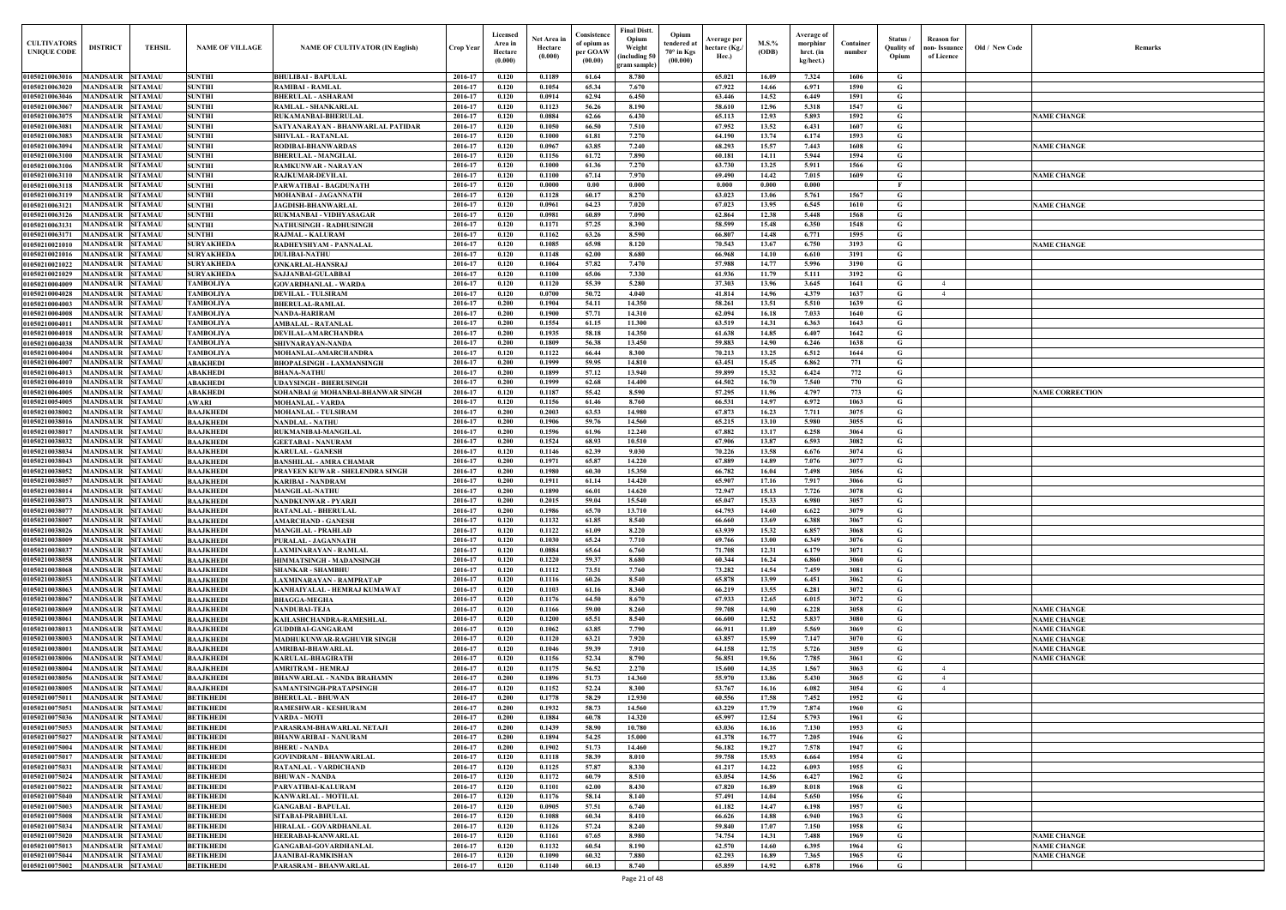| <b>CULTIVATORS</b><br><b>UNIQUE CODE</b> | <b>DISTRICT</b>                    | <b>TEHSIL</b>                    | <b>NAME OF VILLAGE</b>               | <b>NAME OF CULTIVATOR (IN English)</b>                      | Crop Year          | Licensed<br>Area ir<br>Hectare<br>(0.000) | Net Area i<br>Hectare<br>(0.000) | Consistence<br>of opium as<br>per GOAW<br>(00.00) | <b>Final Distt.</b><br>Dpium<br>Weight<br>(including 50)<br>gram sample | Opium<br><b>Average per</b><br>tendered a<br>hectare (Kg./<br>$70^{\circ}$ in Kgs<br>Hec.)<br>(00.000) | <b>M.S.%</b><br>(ODB) | Average of<br>morphinr<br>hrct. (in<br>kg/hect.) | Container<br>number | Status /<br>Ouality of<br>Opium | <b>Reason for</b><br>non-Issuance<br>of Licence | <b>Old / New Code</b> | Remarks                |
|------------------------------------------|------------------------------------|----------------------------------|--------------------------------------|-------------------------------------------------------------|--------------------|-------------------------------------------|----------------------------------|---------------------------------------------------|-------------------------------------------------------------------------|--------------------------------------------------------------------------------------------------------|-----------------------|--------------------------------------------------|---------------------|---------------------------------|-------------------------------------------------|-----------------------|------------------------|
| 01050210063016                           | <b>MANDSAUR</b>                    | <b>SITAMAU</b>                   | <b>SUNTHI</b>                        | <b>BHULIBAI - BAPULAL</b>                                   | 2016-17            | 0.120                                     | 0.1189                           | 61.64                                             | 8.780                                                                   | 65.021                                                                                                 | 16.09                 | 7.324                                            | 1606                | G                               |                                                 |                       |                        |
| 01050210063020                           | MANDSAUR                           | SITAMAU                          | <b>SUNTHI</b>                        | <b>RAMIBAI - RAMLAL</b>                                     | 2016-17            | 0.120                                     | 0.1054                           | 65.34                                             | 7.670                                                                   | 67.922                                                                                                 | 14.66                 | 6.971                                            | 1590                | G                               |                                                 |                       |                        |
| 01050210063046<br>01050210063067         | MANDSAUI<br>MANDSAUR               | <b>SITAMAU</b><br><b>SITAMAU</b> | <b>SUNTHI</b><br><b>SUNTHI</b>       | <b>BHERULAL - ASHARAM</b><br><b>RAMLAL - SHANKARLAL</b>     | 2016-17<br>2016-17 | 0.120<br>0.120                            | 0.0914<br>0.1123                 | 62.94<br>56.26                                    | 6.450<br>8.190                                                          | 63.446<br>58.610                                                                                       | 14.52<br>12.96        | 6.449<br>5.318                                   | 1591<br>1547        | G<br>G                          |                                                 |                       |                        |
| 0105021006307                            | MANDSAUI                           | <b>SITAMAU</b>                   | <b>SUNTHI</b>                        | <b>RUKAMANBAI-BHERULAI</b>                                  | 2016-17            | 0.120                                     | 0.0884                           | 62.66                                             | 6.430                                                                   | 65.113                                                                                                 | 12.93                 | 5.893                                            | 1592                | G                               |                                                 |                       | <b>NAME CHANGE</b>     |
| 0105021006308                            | MANDSAUR                           | <b>SITAMAU</b>                   | <b>SUNTHI</b>                        | SATYANARAYAN - BHANWARLAL PATIDAR                           | 2016-17            | 0.120                                     | 0.1050                           | 66.50                                             | 7.510                                                                   | 67.952                                                                                                 | 13.52                 | 6.431                                            | 1607                | G                               |                                                 |                       |                        |
| 01050210063083                           | MANDSAUR                           | <b>SITAMAU</b>                   | <b>SUNTHI</b>                        | <b>SHIVLAL - RATANLAL</b>                                   | 2016-17            | 0.120                                     | 0.1000                           | 61.81                                             | 7.270                                                                   | 64.190                                                                                                 | 13.74                 | 6.174                                            | 1593                | G                               |                                                 |                       |                        |
| 01050210063094                           | MANDSAUR                           | <b>SITAMAU</b>                   | <b>SUNTHI</b>                        | RODIBAI-BHANWARDAS                                          | 2016-17            | 0.120                                     | 0.0967                           | 63.85                                             | 7.240                                                                   | 68.293                                                                                                 | 15.57                 | 7.443                                            | 1608                | G                               |                                                 |                       | <b>NAME CHANGE</b>     |
| 01050210063100<br>01050210063106         | MANDSAUR<br><b>MANDSAUR</b>        | <b>SITAMAU</b><br>SITAMAU        | <b>SUNTHI</b><br><b>SUNTHI</b>       | <b>BHERULAL - MANGILAI</b><br><b>RAMKUNWAR - NARAYAN</b>    | 2016-17<br>2016-17 | 0.120<br>0.120                            | 0.1156<br>0.1000                 | 61.72<br>61.36                                    | 7.890<br>7.270                                                          | 60.181<br>63.730                                                                                       | 14.11<br>13.25        | 5.944<br>5.911                                   | 1594<br>1566        | G<br>G                          |                                                 |                       |                        |
| 01050210063110                           | <b>MANDSAUR</b>                    | <b>SITAMAU</b>                   | <b>SUNTHI</b>                        | <b>RAJKUMAR-DEVILAI</b>                                     | 2016-17            | 0.120                                     | 0.1100                           | 67.14                                             | 7.970                                                                   | 69.490                                                                                                 | 14.42                 | 7.015                                            | 1609                | G                               |                                                 |                       | <b>NAME CHANGE</b>     |
| 01050210063118                           | MANDSAUR                           | SITAMAU                          | <b>SUNTHI</b>                        | PARWATIBAI - BAGDUNATH                                      | 2016-17            | 0.120                                     | 0.0000                           | 0.00                                              | 0.000                                                                   | 0.000                                                                                                  | 0.000                 | 0.000                                            |                     | F                               |                                                 |                       |                        |
| 01050210063119                           | <b>MANDSAUR</b>                    | SITAMAU                          | <b>SUNTHI</b>                        | MOHANBAI - JAGANNATH                                        | 2016-17            | 0.120                                     | 0.1128                           | 60.17                                             | 8.270                                                                   | 63.023                                                                                                 | 13.06                 | 5.761                                            | 1567                | G                               |                                                 |                       |                        |
| 01050210063121                           | MANDSAUR                           | SITAMAU                          | <b>SUNTHI</b>                        | JAGDISH-BHANWARLAL                                          | 2016-17            | 0.120                                     | 0.0961                           | 64.23                                             | 7.020                                                                   | 67.023                                                                                                 | 13.95                 | 6.545                                            | 1610                | G                               |                                                 |                       | <b>NAME CHANGE</b>     |
| 01050210063126<br>01050210063131         | <b>MANDSAUR</b><br>MANDSAUR        | <b>SITAMAU</b><br><b>SITAMAU</b> | <b>SUNTHI</b><br><b>SUNTHI</b>       | RUKMANBAI - VIDHYASAGAR<br><b>NATHUSINGH - RADHUSINGH</b>   | 2016-17<br>2016-17 | 0.120<br>0.120                            | 0.0981<br>0.1171                 | 60.89<br>57.25                                    | 7.090<br>8.390                                                          | 62.864<br>58.599                                                                                       | 12.38<br>15.48        | 5.448<br>6.350                                   | 1568<br>1548        | G<br>G                          |                                                 |                       |                        |
| 01050210063171                           | <b>MANDSAUR</b>                    | <b>SITAMAU</b>                   | <b>SUNTHI</b>                        | <b>RAJMAL - KALURAM</b>                                     | 2016-17            | 0.120                                     | 0.1162                           | 63.26                                             | 8.590                                                                   | 66.807                                                                                                 | 14.48                 | 6.771                                            | 1595                | G                               |                                                 |                       |                        |
| 01050210021010                           | MANDSAUR                           | <b>SITAMAU</b>                   | <b>SURYAKHEDA</b>                    | RADHEYSHYAM - PANNALAL                                      | 2016-17            | 0.120                                     | 0.1085                           | 65.98                                             | 8.120                                                                   | 70.543                                                                                                 | 13.67                 | 6.750                                            | 3193                | G                               |                                                 |                       | <b>NAME CHANGE</b>     |
| 01050210021016                           | MANDSAUR                           | <b>SITAMAU</b>                   | <b>SURYAKHEDA</b>                    | <b>DULIBAI-NATHU</b>                                        | 2016-17            | 0.120                                     | 0.1148                           | 62.00                                             | 8.680                                                                   | 66.968                                                                                                 | 14.10                 | 6.610                                            | 3191                | G                               |                                                 |                       |                        |
| 01050210021022                           | MANDSAUR                           | <b>SITAMAU</b>                   | <b>SURYAKHEDA</b>                    | <b>ONKARLAL-HANSRAJ</b>                                     | 2016-17            | 0.120                                     | 0.1064                           | 57.82                                             | 7.470                                                                   | 57.988                                                                                                 | 14.77                 | 5.996                                            | 3190                | G                               |                                                 |                       |                        |
| 01050210021029                           | MANDSAUR                           | <b>SITAMAU</b>                   | <b>SURYAKHEDA</b>                    | SAJJANBAI-GULABBAI                                          | 2016-17            | 0.120                                     | 0.1100                           | 65.06                                             | 7.330                                                                   | 61.936                                                                                                 | 11.79                 | 5.111                                            | 3192                | G                               |                                                 |                       |                        |
| 01050210004009<br>01050210004028         | MANDSAUF<br>MANDSAUR               | <b>SITAMAU</b><br>SITAMAU        | <b>TAMBOLIYA</b><br><b>TAMBOLIYA</b> | <b>GOVARDHANLAL - WARDA</b><br><b>DEVILAL - TULSIRAM</b>    | 2016-17<br>2016-17 | 0.120<br>0.120                            | 0.1120<br>0.0700                 | 55.39<br>50.72                                    | 5.280<br>4.040                                                          | 37.303<br>41.814                                                                                       | 13.96<br>14.96        | 3.645<br>4.379                                   | 1641<br>1637        | G<br>G                          | $\overline{4}$                                  |                       |                        |
| 01050210004003                           | MANDSAUR                           | SITAMAU                          | <b>TAMBOLIYA</b>                     | <b>BHERULAL-RAMLAL</b>                                      | 2016-17            | 0.200                                     | 0.1904                           | 54.11                                             | 14.350                                                                  | 58.261                                                                                                 | 13.51                 | 5.510                                            | 1639                | G                               |                                                 |                       |                        |
| 01050210004008                           | MANDSAUR                           | SITAMAU                          | <b>TAMBOLIYA</b>                     | <b>NANDA-HARIRAM</b>                                        | 2016-17            | 0.200                                     | 0.1900                           | 57.71                                             | 14.310                                                                  | 62.094                                                                                                 | 16.18                 | 7.033                                            | 1640                | G                               |                                                 |                       |                        |
| 0105021000401                            | MANDSAUI                           | SITAMAU                          | <b>TAMBOLIYA</b>                     | <b>AMBALAL - RATANLAL</b>                                   | 2016-17            | 0.200                                     | 0.1554                           | 61.15                                             | 11.300                                                                  | 63.519                                                                                                 | 14.31                 | 6.363                                            | 1643                | G                               |                                                 |                       |                        |
| 01050210004018                           | MANDSAUR                           | SITAMAU                          | <b>TAMBOLIYA</b>                     | <b>DEVILAL-AMARCHANDRA</b>                                  | 2016-17            | 0.200                                     | 0.1935                           | 58.18                                             | 14.350                                                                  | 61.638                                                                                                 | 14.85                 | 6.407                                            | 1642                | G                               |                                                 |                       |                        |
| 01050210004038<br>01050210004004         | <b>MANDSAU</b><br>MANDSAUR         | <b>SITAMAU</b><br>SITAMAU        | <b>TAMBOLIYA</b><br><b>TAMBOLIYA</b> | SHIVNARAYAN-NANDA<br>MOHANLAL-AMARCHANDRA                   | 2016-17<br>2016-17 | 0.200<br>0.120                            | 0.1809<br>0.1122                 | 56.38<br>66.44                                    | 13.450<br>8.300                                                         | 59.883<br>70.213                                                                                       | 14.90<br>13.25        | 6.246<br>6.512                                   | 1638<br>1644        | G<br>G                          |                                                 |                       |                        |
| 01050210064007                           | MANDSAUI                           | SITAMAU                          | <b>ABAKHEDI</b>                      | <b>BHOPALSINGH - LAXMANSINGH</b>                            | 2016-17            | 0.200                                     | 0.1999                           | 59.95                                             | 14.810                                                                  | 63.451                                                                                                 | 15.45                 | 6.862                                            | 771                 | G                               |                                                 |                       |                        |
| 0105021006401                            | MANDSAUR                           | <b>SITAMAU</b>                   | <b>ABAKHEDI</b>                      | <b>BHANA-NATHU</b>                                          | 2016-17            | 0.200                                     | 0.1899                           | 57.12                                             | 13.940                                                                  | 59.899                                                                                                 | 15.32                 | 6.424                                            | 772                 | G                               |                                                 |                       |                        |
| 0105021006401                            | MANDSAUR                           | <b>SITAMAU</b>                   | <b>ABAKHEDI</b>                      | <b>UDAYSINGH - BHERUSINGH</b>                               | 2016-17            | 0.200                                     | 0.1999                           | 62.68                                             | 14.400                                                                  | 64.502                                                                                                 | 16.70                 | 7.540                                            | 770                 | G                               |                                                 |                       |                        |
| <b>01050210064005</b>                    | MANDSAUR                           | <b>SITAMAU</b>                   | <b>ABAKHEDI</b>                      | SOHANBAI @ MOHANBAI-BHANWAR SINGH                           | 2016-17            | 0.120                                     | 0.1187                           | 55.42                                             | 8.590                                                                   | 57.295                                                                                                 | 11.96                 | 4.797                                            | 773                 | G                               |                                                 |                       | <b>NAME CORRECTION</b> |
| 01050210054005                           | MANDSAUR                           | SITAMAU                          | <b>AWARI</b>                         | <b>MOHANLAL - VARDA</b>                                     | 2016-17            | 0.120                                     | 0.1156                           | 61.46                                             | 8.760                                                                   | 66.531                                                                                                 | 14.97                 | 6.972                                            | 1063                | G                               |                                                 |                       |                        |
| 01050210038002<br>01050210038016         | MANDSAUR<br>MANDSAUR               | SITAMAU<br>SITAMAU               | <b>BAAJKHEDI</b><br><b>BAAJKHEDI</b> | <b>MOHANLAL - TULSIRAM</b><br><b>NANDLAL - NATHU</b>        | 2016-17<br>2016-17 | 0.200<br>0.200                            | 0.2003<br>0.1906                 | 63.53<br>59.76                                    | 14.980<br>14.560                                                        | 67.873<br>65.215                                                                                       | 16.23<br>13.10        | 7.711<br>5.980                                   | 3075<br>3055        | G<br>G                          |                                                 |                       |                        |
| 0105021003801                            | <b>MANDSAUR</b>                    | SITAMAU                          | <b>BAAJKHEDI</b>                     | RUKMANIBAI-MANGILAL                                         | 2016-17            | 0.200                                     | 0.1596                           | 61.96                                             | 12.240                                                                  | 67.882                                                                                                 | 13.17                 | 6.258                                            | 3064                | G                               |                                                 |                       |                        |
| 01050210038032                           | MANDSAUR                           | <b>SITAMAU</b>                   | <b>BAAJKHEDI</b>                     | <b>GEETABAI - NANURAM</b>                                   | 2016-17            | 0.200                                     | 0.1524                           | 68.93                                             | 10.510                                                                  | 67.906                                                                                                 | 13.87                 | 6.593                                            | 3082                | G                               |                                                 |                       |                        |
| 01050210038034                           | <b>MANDSAUR</b>                    | SITAMAU                          | <b>BAAJKHEDI</b>                     | <b>KARULAL - GANESH</b>                                     | 2016-17            | 0.120                                     | 0.1146                           | 62.39                                             | 9.030                                                                   | 70.226                                                                                                 | 13.58                 | 6.676                                            | 3074                | G                               |                                                 |                       |                        |
| 01050210038043                           | <b>MANDSAUR</b>                    | <b>SITAMAU</b>                   | <b>BAAJKHEDI</b>                     | <b>BANSHILAL - AMRA CHAMAR</b>                              | 2016-17            | 0.200                                     | 0.1971                           | 65.87                                             | 14.220                                                                  | 67.889                                                                                                 | 14.89                 | 7.076                                            | 3077                | G                               |                                                 |                       |                        |
| 01050210038052<br>01050210038057         | MANDSAUR<br>MANDSAUR               | SITAMAU<br><b>SITAMAU</b>        | <b>BAAJKHEDI</b><br><b>BAAJKHEDI</b> | PRAVEEN KUWAR - SHELENDRA SINGH<br><b>KARIBAI - NANDRAM</b> | 2016-17<br>2016-17 | 0.200<br>0.200                            | 0.1980<br>0.1911                 | 60.30<br>61.14                                    | 15.350<br>14.420                                                        | 66.782<br>65.907                                                                                       | 16.04<br>17.16        | 7.498<br>7.917                                   | 3056<br>3066        | G<br>G                          |                                                 |                       |                        |
| 01050210038014                           | MANDSAUF                           | <b>ITAMAU</b>                    | <b>BAAJKHEDI</b>                     | <b>MANGILAL-NATHU</b>                                       | 2016-17            | 0.200                                     | 0.1890                           | 66.01                                             | 14.620                                                                  | 72.947                                                                                                 | 15.13                 | 7.726                                            | 3078                | G                               |                                                 |                       |                        |
| 01050210038073                           | MANDSAUR                           | <b>SITAMAU</b>                   | <b>BAAJKHEDI</b>                     | <b>NANDKUNWAR - PYARJI</b>                                  | 2016-17            | 0.200                                     | 0.2015                           | 59.04                                             | 15.540                                                                  | 65.047                                                                                                 | 15.33                 | 6.980                                            | 3057                | G                               |                                                 |                       |                        |
| 01050210038077                           | MANDSAUR SITAMAU                   |                                  | <b>BAAJKHEDI</b>                     | <b>RATANLAL - BHERULAL</b>                                  | 2016-17            | 0.200                                     | 0.1986                           | 65.70                                             | 13.710                                                                  | 64.793                                                                                                 | 14.60                 | 6.622                                            | 3079                | G                               |                                                 |                       |                        |
| 01050210038007                           | <b>MANDSAUR</b>                    | <b>SITAMAU</b>                   | <b>BAAJKHEDI</b>                     | <b>AMARCHAND - GANESH</b>                                   | 2016-17            | 0.120                                     | 0.1132                           | 61.85                                             | 8.540                                                                   | 66.660                                                                                                 | 13.69                 | 6.388                                            | 3067                | G                               |                                                 |                       |                        |
| 01050210038026<br>01050210038009         | <b>MANDSAUR</b><br><b>MANDSAUR</b> | <b>SITAMAU</b><br><b>SITAMAU</b> | <b>BAAJKHEDI</b><br><b>BAAJKHEDI</b> | <b>MANGILAL - PRAHLAD</b><br>PURALAL - JAGANNATH            | 2016-17<br>2016-17 | 0.120<br>0.120                            | 0.1122<br>0.1030                 | 61.09<br>65.24                                    | 8.220<br>7.710                                                          | 63.939<br>69.766                                                                                       | 15.32<br>13.00        | 6.857<br>6.349                                   | 3068<br>3076        | G<br>G                          |                                                 |                       |                        |
| 01050210038037                           | MANDSAUR                           | <b>SITAMAU</b>                   | <b>BAAJKHEDI</b>                     | LAXMINARAYAN - RAMLAL                                       | 2016-17            | 0.120                                     | 0.0884                           | 65.64                                             | 6.760                                                                   | 71.708                                                                                                 | 12.31                 | 6.179                                            | 3071                | G.                              |                                                 |                       |                        |
| 01050210038058                           | <b>MANDSAUR</b>                    | <b>SITAMAU</b>                   | <b>BAAJKHEDI</b>                     | <b>HIMMATSINGH - MADANSINGH</b>                             | 2016-17            | 0.120                                     | 0.1220                           | 59.37                                             | 8.680                                                                   | 60.344                                                                                                 | 16.24                 | 6.860                                            | 3060                | G.                              |                                                 |                       |                        |
| 01050210038068                           | MANDSAUR                           | <b>SITAMAU</b>                   | <b>BAAJKHEDI</b>                     | <b>SHANKAR - SHAMBHU</b>                                    | 2016-17            | 0.120                                     | 0.1112                           | 73.51                                             | 7.760                                                                   | 73.282                                                                                                 | 14.54                 | 7.459                                            | 3081                | G.                              |                                                 |                       |                        |
| 01050210038053                           | <b>MANDSAUR</b>                    | <b>SITAMAU</b>                   | <b>BAAJKHEDI</b>                     | <b>LAXMINARAYAN - RAMPRATAP</b>                             | 2016-17            | 0.120                                     | 0.1116                           | 60.26                                             | 8.540                                                                   | 65.878                                                                                                 | 13.99                 | 6.451                                            | 3062                | G                               |                                                 |                       |                        |
| 01050210038063<br>01050210038067         | <b>MANDSAUR</b><br><b>MANDSAUR</b> | <b>SITAMAU</b><br><b>SITAMAU</b> | <b>BAAJKHEDI</b>                     | KANHAIYALAL - HEMRAJ KUMAWAT<br><b>BHAGGA-MEGHA</b>         | 2016-17<br>2016-17 | 0.120<br>0.120                            | 0.1103<br>0.1176                 | 61.16<br>64.50                                    | 8.360<br>8.670                                                          | 66.219<br>67.933                                                                                       | 13.55<br>12.65        | 6.281<br>6.015                                   | 3072<br>3072        | G<br>G                          |                                                 |                       |                        |
| 0105021003806                            | MANDSAUR                           | <b>SITAMAU</b>                   | <b>BAAJKHEDI</b><br><b>BAAJKHEDI</b> | <b>NANDUBAI-TEJA</b>                                        | 2016-17            | 0.120                                     | 0.1166                           | 59.00                                             | 8.260                                                                   | 59.708                                                                                                 | 14.90                 | 6.228                                            | 3058                | G                               |                                                 |                       | <b>NAME CHANGE</b>     |
| <b>0105021003806</b>                     | MANDSAUR                           | <b>SITAMAU</b>                   | <b>BAAJKHEDI</b>                     | KAILASHCHANDRA-RAMESHLAL                                    | 2016-17            | 0.120                                     | 0.1200                           | 65.51                                             | 8.540                                                                   | 66.600                                                                                                 | 12.52                 | 5.837                                            | 3080                | G                               |                                                 |                       | <b>NAME CHANGE</b>     |
| 0105021003801                            | MANDSAUR                           | SITAMAU                          | <b>BAAJKHEDI</b>                     | <b>GUDDIBAI-GANGARAM</b>                                    | 2016-17            | 0.120                                     | 0.1062                           | 63.85                                             | 7.790                                                                   | 66.911                                                                                                 | 11.89                 | 5.569                                            | 3069                | G                               |                                                 |                       | <b>NAME CHANGE</b>     |
| 01050210038003                           | <b>MANDSAUR</b>                    | SITAMAU                          | <b>BAAJKHEDI</b>                     | MADHUKUNWAR-RAGHUVIR SINGH                                  | 2016-17            | 0.120                                     | 0.1120                           | 63.21                                             | 7.920                                                                   | 63.857                                                                                                 | 15.99                 | 7.147                                            | 3070                | G                               |                                                 |                       | <b>NAME CHANGE</b>     |
| 0105021003800<br>01050210038006          | <b>MANDSAUR</b><br><b>MANDSAUR</b> | <b>SITAMAU</b><br><b>SITAMAU</b> | <b>BAAJKHEDI</b><br><b>BAAJKHEDI</b> | <b>AMRIBAI-BHAWARLAL</b>                                    | 2016-17<br>2016-17 | 0.120<br>0.120                            | 0.1046<br>0.1156                 | 59.39<br>52.34                                    | 7.910<br>8.790                                                          | 64.158<br>56.851                                                                                       | 12.75<br>19.56        | 5.726<br>7.785                                   | 3059<br>3061        | G<br>G                          |                                                 |                       | <b>NAME CHANGE</b>     |
| 01050210038004                           | <b>MANDSAUR</b>                    | <b>SITAMAU</b>                   | <b>BAAJKHEDI</b>                     | <b>KARULAL-BHAGIRATH</b><br><b>AMRITRAM - HEMRAJ</b>        | 2016-17            | 0.120                                     | 0.1175                           | 56.52                                             | 2.270                                                                   | 15.600                                                                                                 | 14.35                 | 1.567                                            | 3063                | G                               | 4                                               |                       | <b>NAME CHANGE</b>     |
| 01050210038056                           | <b>MANDSAUR</b>                    | <b>SITAMAU</b>                   | <b>BAAJKHEDI</b>                     | <b>BHANWARLAL - NANDA BRAHAMN</b>                           | 2016-17            | 0.200                                     | 0.1896                           | 51.73                                             | 14.360                                                                  | 55.970                                                                                                 | 13.86                 | 5.430                                            | 3065                | G                               | $\overline{4}$                                  |                       |                        |
| 01050210038005                           | <b>MANDSAUR</b>                    | <b>SITAMAU</b>                   | <b>BAAJKHEDI</b>                     | SAMANTSINGH-PRATAPSINGH                                     | 2016-17            | 0.120                                     | 0.1152                           | 52.24                                             | 8.300                                                                   | 53.767                                                                                                 | 16.16                 | 6.082                                            | 3054                | G                               | $\overline{4}$                                  |                       |                        |
| 01050210075011                           | <b>MANDSAUR</b>                    | <b>SITAMAU</b>                   | <b>BETIKHEDI</b>                     | <b>BHERULAL - BHUWAN</b>                                    | 2016-17            | 0.200                                     | 0.1778                           | 58.29                                             | 12.930                                                                  | 60.556                                                                                                 | 17.58                 | 7.452                                            | 1952                | G                               |                                                 |                       |                        |
| 01050210075051                           | <b>MANDSAUR</b>                    | <b>SITAMAU</b>                   | <b>BETIKHEDI</b>                     | <b>RAMESHWAR - KESHURAM</b>                                 | 2016-17            | 0.200                                     | 0.1932                           | 58.73                                             | 14.560                                                                  | 63.229                                                                                                 | 17.79                 | 7.874                                            | 1960                | G                               |                                                 |                       |                        |
| 01050210075036<br>01050210075053         | <b>MANDSAUR</b><br><b>MANDSAUR</b> | <b>SITAMAU</b><br><b>SITAMAU</b> | <b>BETIKHEDI</b><br><b>BETIKHEDI</b> | <b>VARDA - MOTI</b><br>PARASRAM-BHAWARLAL NETAJI            | 2016-17<br>2016-17 | 0.200<br>0.200                            | 0.1884<br>0.1439                 | 60.78<br>58.90                                    | 14.320<br>10.780                                                        | 65.997<br>63.036                                                                                       | 12.54<br>16.16        | 5.793<br>7.130                                   | 1961<br>1953        | G.<br>G                         |                                                 |                       |                        |
| 01050210075027                           | <b>MANDSAUR</b>                    | <b>SITAMAU</b>                   | <b>BETIKHEDI</b>                     | <b>BHANWARIBAI - NANURAM</b>                                | 2016-17            | 0.200                                     | 0.1894                           | 54.25                                             | 15.000                                                                  | 61.378                                                                                                 | 16.77                 | 7.205                                            | 1946                | G                               |                                                 |                       |                        |
| 01050210075004                           | <b>MANDSAUR</b>                    | <b>SITAMAU</b>                   | <b>BETIKHEDI</b>                     | <b>BHERU - NANDA</b>                                        | 2016-17            | 0.200                                     | 0.1902                           | 51.73                                             | 14.460                                                                  | 56.182                                                                                                 | 19.27                 | 7.578                                            | 1947                | G                               |                                                 |                       |                        |
| 01050210075017                           | <b>MANDSAUR</b>                    | <b>SITAMAU</b>                   | <b>BETIKHEDI</b>                     | <b>GOVINDRAM - BHANWARLAL</b>                               | 2016-17            | 0.120                                     | 0.1118                           | 58.39                                             | 8.010                                                                   | 59.758                                                                                                 | 15.93                 | 6.664                                            | 1954                | G                               |                                                 |                       |                        |
| 01050210075031                           | <b>MANDSAUR</b>                    | <b>SITAMAU</b>                   | <b>BETIKHEDI</b>                     | RATANLAL - VARDICHAND                                       | 2016-17            | 0.120                                     | 0.1125                           | 57.87                                             | 8.330                                                                   | 61.217                                                                                                 | 14.22                 | 6.093                                            | 1955                | G                               |                                                 |                       |                        |
| 01050210075024                           | MANDSAUR                           | <b>SITAMAU</b>                   | <b>BETIKHEDI</b>                     | <b>BHUWAN - NANDA</b>                                       | 2016-17            | 0.120                                     | 0.1172                           | 60.79                                             | 8.510                                                                   | 63.054                                                                                                 | 14.56                 | 6.427                                            | 1962                | G                               |                                                 |                       |                        |
| 01050210075022<br>01050210075040         | <b>MANDSAUR</b><br><b>MANDSAUR</b> | <b>SITAMAU</b><br><b>SITAMAU</b> | <b>BETIKHEDI</b><br><b>BETIKHEDI</b> | PARVATIBAI-KALURAM<br><b>KANWARLAL - MOTILAL</b>            | 2016-17<br>2016-17 | 0.120<br>0.120                            | 0.1101<br>0.1176                 | 62.00<br>58.14                                    | 8.430<br>8.140                                                          | 67.820<br>57.491                                                                                       | 16.89<br>14.04        | 8.018<br>5.650                                   | 1968<br>1956        | G.<br>G.                        |                                                 |                       |                        |
| 01050210075003                           | <b>MANDSAUR</b>                    | <b>SITAMAU</b>                   | <b>BETIKHEDI</b>                     | <b>GANGABAI - BAPULAL</b>                                   | 2016-17            | 0.120                                     | 0.0905                           | 57.51                                             | 6.740                                                                   | 61.182                                                                                                 | 14.47                 | 6.198                                            | 1957                | G.                              |                                                 |                       |                        |
| 01050210075008                           | MANDSAUR                           | <b>SITAMAU</b>                   | <b>BETIKHEDI</b>                     | SITABAI-PRABHULAL                                           | 2016-17            | 0.120                                     | 0.1088                           | 60.34                                             | 8.410                                                                   | 66.626                                                                                                 | 14.88                 | 6.940                                            | 1963                | G                               |                                                 |                       |                        |
| 01050210075034                           | <b>MANDSAUR</b>                    | <b>SITAMAU</b>                   | <b>BETIKHEDI</b>                     | <b>HIRALAL - GOVARDHANLAL</b>                               | 2016-17            | 0.120                                     | 0.1126                           | 57,24                                             | 8.240                                                                   | 59.840                                                                                                 | 17.07                 | 7.150                                            | 1958                | G                               |                                                 |                       |                        |
| 01050210075020                           | MANDSAUR                           | <b>SITAMAU</b>                   | <b>BETIKHEDI</b>                     | <b>HEERABAI-KANWARLAL</b>                                   | 2016-17            | 0.120                                     | 0.1161                           | 67.65                                             | 8.980                                                                   | 74.754                                                                                                 | 14.31                 | 7.488                                            | 1969                | G                               |                                                 |                       | <b>NAME CHANGE</b>     |
| 01050210075013<br>01050210075044         | MANDSAUR<br>MANDSAUR               | <b>SITAMAU</b><br><b>SITAMAU</b> | <b>BETIKHEDI</b>                     | <b>GANGABAI-GOVARDHANLAL</b><br><b>JAANIBAI-RAMKISHAN</b>   | 2016-17<br>2016-17 | 0.120<br>0.120                            | 0.1132<br>0.1090                 | 60.54<br>60.32                                    | 8.190<br>7.880                                                          | 62.570<br>62.293                                                                                       | 14.60<br>16.89        | 6.395<br>7.365                                   | 1964<br>1965        | G                               |                                                 |                       | <b>NAME CHANGE</b>     |
| 01050210075002                           | <b>MANDSAUR</b>                    | <b>SITAMAU</b>                   | <b>BETIKHEDI</b><br><b>BETIKHEDI</b> | PARASRAM - BHANWARLAL                                       | 2016-17            | 0.120                                     | 0.1140                           | 60.13                                             | 8.740                                                                   | 65.859                                                                                                 | 14.92                 | 6.878                                            | 1966                | G<br>G                          |                                                 |                       | <b>NAME CHANGE</b>     |
|                                          |                                    |                                  |                                      |                                                             |                    |                                           |                                  |                                                   |                                                                         |                                                                                                        |                       |                                                  |                     |                                 |                                                 |                       |                        |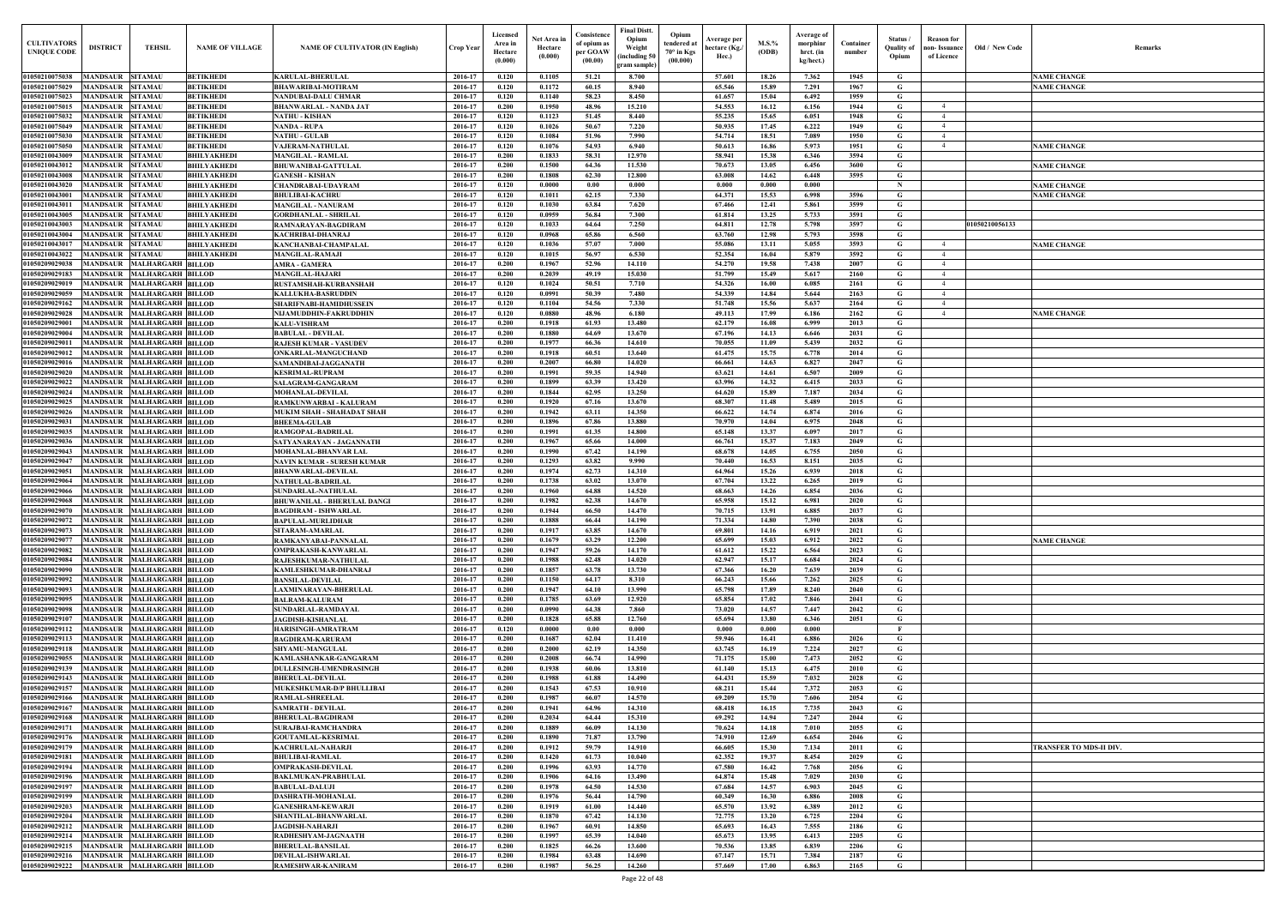| Old / New Code | Remarks                 |
|----------------|-------------------------|
|                |                         |
|                | <b>NAME CHANGE</b>      |
|                | <b>NAME CHANGE</b>      |
|                |                         |
|                |                         |
|                |                         |
|                | <b>NAME CHANGE</b>      |
|                | <b>NAME CHANGE</b>      |
|                | <b>NAME CHANGE</b>      |
|                | <b>NAME CHANGE</b>      |
|                |                         |
| 01050210056133 |                         |
|                | <b>NAME CHANGE</b>      |
|                |                         |
|                |                         |
|                |                         |
|                |                         |
|                | <b>NAME CHANGE</b>      |
|                |                         |
|                |                         |
|                |                         |
|                |                         |
|                |                         |
|                |                         |
|                |                         |
|                |                         |
|                |                         |
|                |                         |
|                |                         |
|                |                         |
|                |                         |
|                |                         |
|                | <b>NAME CHANGE</b>      |
|                |                         |
|                |                         |
|                |                         |
|                |                         |
|                |                         |
|                |                         |
|                |                         |
|                |                         |
|                |                         |
|                |                         |
|                |                         |
|                |                         |
|                |                         |
|                | TRANSFER TO MDS-II DIV. |
|                |                         |
|                |                         |
|                |                         |
|                |                         |
|                |                         |
|                |                         |
|                |                         |
|                |                         |

| <b>CULTIVATORS</b><br><b>UNIQUE CODE</b>  | <b>DISTRICT</b>                    | TEHSIL                                                   | <b>NAME OF VILLAGE</b>                   | <b>NAME OF CULTIVATOR (IN English)</b>                 | <b>Crop Year</b>   | Licensed<br>Area in<br>Hectare<br>(0.000) | Net Area in<br>Hectare<br>(0.000) | Consistence<br>of opium as<br>per GOAW<br>(00.00) | Final Distt.<br>Opium<br>Weight<br>including 50)<br><b>gram sample</b> ] | Opium<br>tendered at<br>$70^\circ$ in Kgs<br>(00.000) | <b>Average per</b><br>hectare (Kg./<br>Hec.) | M.S.%<br>(ODB) | Average of<br>morphinr<br>hrct. (in<br>kg/hect.) | Container<br>number | Status<br><b>Ouality of</b><br>Opium | <b>Reason for</b><br>aon-Issuance<br>of Licence | Old / New Code | <b>Remark</b>                  |
|-------------------------------------------|------------------------------------|----------------------------------------------------------|------------------------------------------|--------------------------------------------------------|--------------------|-------------------------------------------|-----------------------------------|---------------------------------------------------|--------------------------------------------------------------------------|-------------------------------------------------------|----------------------------------------------|----------------|--------------------------------------------------|---------------------|--------------------------------------|-------------------------------------------------|----------------|--------------------------------|
| 01050210075038                            | MANDSAUR SITAMAU                   |                                                          | <b>BETIKHEDI</b>                         | <b>KARULAL-BHERULAL</b>                                | 2016-17            | 0.120                                     | 0.1105                            | 51.21                                             | 8.700                                                                    |                                                       | 57.601                                       | 18.26          | 7.362                                            | 1945                | G                                    |                                                 |                | <b>NAME CHANGE</b>             |
| 01050210075029                            | <b>MANDSAUR</b>                    | <b>SITAMAU</b>                                           | <b>BETIKHEDI</b>                         | <b>BHAWARIBAI-MOTIRAM</b>                              | 2016-17            | 0.120                                     | 0.1172                            | 60.15                                             | 8.940                                                                    |                                                       | 65.546                                       | 15.89          | 7.291                                            | 1967                | G                                    |                                                 |                | <b>NAME CHANGE</b>             |
| 01050210075023<br>01050210075015          | <b>MANDSAUR</b><br><b>MANDSAUR</b> | <b>SITAMAU</b>                                           | <b>BETIKHEDI</b>                         | NANDUBAI-DALU CHMAR                                    | 2016-17            | 0.120<br>0.200                            | 0.1140<br>0.1950                  | 58.23                                             | 8.450                                                                    |                                                       | 61.657<br>54.553                             | 15.04<br>16.12 | 6.492                                            | 1959                | G<br>G                               | $\overline{4}$                                  |                |                                |
| 01050210075032                            | <b>MANDSAUR</b>                    | <b>SITAMAU</b><br><b>SITAMAU</b>                         | <b>BETIKHEDI</b><br><b>BETIKHEDI</b>     | <b>BHANWARLAL - NANDA JAT</b><br><b>NATHU - KISHAN</b> | 2016-17<br>2016-17 | 0.120                                     | 0.1123                            | 48.96<br>51.45                                    | 15.210<br>8.440                                                          |                                                       | 55.235                                       | 15.65          | 6.156<br>6.051                                   | 1944<br>1948        | G                                    | $\overline{4}$                                  |                |                                |
| 01050210075049                            | <b>MANDSAUR</b>                    | <b>SITAMAU</b>                                           | <b>BETIKHEDI</b>                         | <b>NANDA - RUPA</b>                                    | 2016-17            | 0.120                                     | 0.1026                            | 50.67                                             | 7.220                                                                    |                                                       | 50.935                                       | 17.45          | 6.222                                            | 1949                | $\mathbf G$                          | $\overline{4}$                                  |                |                                |
| 01050210075030                            | <b>MANDSAUR</b>                    | <b>SITAMAU</b>                                           | <b>BETIKHEDI</b>                         | <b>NATHU - GULAB</b>                                   | 2016-17            | 0.120                                     | 0.1084                            | 51.96                                             | 7.990                                                                    |                                                       | 54,714                                       | 18.51          | 7.089                                            | 1950                | G                                    | $\overline{4}$                                  |                |                                |
| 01050210075050                            | MANDSAUR                           | <b>SITAMAU</b>                                           | <b>BETIKHEDI</b>                         | VAJERAM-NATHULAL                                       | 2016-17            | 0.120                                     | 0.1076                            | 54.93                                             | 6.940                                                                    |                                                       | 50.613                                       | 16.86          | 5.973                                            | 1951                | $\mathbf G$                          | $\overline{4}$                                  |                | <b>NAME CHANGE</b>             |
| 01050210043009                            | MANDSAUR                           | <b>SITAMAU</b>                                           | <b>BHILYAKHEDI</b>                       | <b>MANGILAL - RAMLAL</b>                               | 2016-17            | 0.200                                     | 0.1833                            | 58.31                                             | 12.970                                                                   |                                                       | 58.941                                       | 15.38          | 6.346                                            | 3594                | G                                    |                                                 |                |                                |
| 01050210043012<br>01050210043008          | <b>MANDSAUR</b><br>MANDSAUR        | <b>SITAMAU</b><br><b>SITAMAU</b>                         | <b>BHILYAKHEDI</b><br><b>BHILYAKHEDI</b> | <b>BHUWANIBAI-GATTULAL</b><br><b>GANESH - KISHAN</b>   | 2016-17<br>2016-17 | 0.200<br>0.200                            | 0.1500<br>0.1808                  | 64.36<br>62.30                                    | 11.530<br>12.800                                                         |                                                       | 70.673<br>63.008                             | 13.05<br>14.62 | 6.456<br>6.448                                   | 3600<br>3595        | G<br>G                               |                                                 |                | <b>NAME CHANGE</b>             |
| 01050210043020                            | <b>MANDSAUR</b>                    | <b>SITAMAU</b>                                           | <b>BHILYAKHEDI</b>                       | <b>CHANDRABAI-UDAYRAM</b>                              | 2016-17            | 0.120                                     | 0.0000                            | 0.00                                              | 0.000                                                                    |                                                       | 0.000                                        | 0.000          | 0.000                                            |                     | $\mathbf N$                          |                                                 |                | <b>NAME CHANGE</b>             |
| 0105021004300                             | <b>MANDSAUR</b>                    | <b>SITAMAU</b>                                           | <b>BHILYAKHEDI</b>                       | <b>BHULIBAI-KACHRU</b>                                 | 2016-17            | 0.120                                     | 0.1011                            | 62.15                                             | 7.330                                                                    |                                                       | 64.371                                       | 15.53          | 6.998                                            | 3596                | G                                    |                                                 |                | <b>NAME CHANGE</b>             |
| 0105021004301                             | <b>MANDSAUR</b>                    | <b>SITAMAU</b>                                           | <b>BHILYAKHEDI</b>                       | <b>MANGILAL - NANURAM</b>                              | 2016-17            | 0.120                                     | 0.1030                            | 63.84                                             | 7.620                                                                    |                                                       | 67.466                                       | 12.41          | 5.861                                            | 3599                | G                                    |                                                 |                |                                |
| 01050210043005                            | <b>MANDSAUF</b>                    | <b>SITAMAU</b>                                           | <b>BHILYAKHEDI</b>                       | <b>GORDHANLAL - SHRILAL</b>                            | 2016-17            | 0.120                                     | 0.0959                            | 56.84                                             | 7.300                                                                    |                                                       | 61.814                                       | 13.25          | 5.733                                            | 3591                | G                                    |                                                 |                |                                |
| 01050210043003                            | MANDSAUR                           | <b>SITAMAU</b>                                           | <b>BHILYAKHEDI</b>                       | RAMNARAYAN-BAGDIRAM                                    | 2016-17            | 0.120                                     | 0.1033                            | 64.64                                             | 7.250                                                                    |                                                       | 64.811                                       | 12.78          | 5.798                                            | 3597                | G                                    |                                                 | 01050210056133 |                                |
| 0105021004300<br>9105021004301            | MANDSAUI<br>MANDSAUI               | <b>SITAMAU</b><br><b>SITAMAU</b>                         | <b>BHILYAKHEDI</b><br><b>BHILYAKHEDI</b> | KACHRIBAI-DHANRAJ<br>KANCHANBAI-CHAMPALAL              | 2016-17<br>2016-17 | 0.120<br>0.120                            | 0.0968<br>0.1036                  | 65.86<br>57.07                                    | 6.560<br>7.000                                                           |                                                       | 63.760<br>55.086                             | 12.98<br>13.11 | 5.793<br>5.055                                   | 3598<br>3593        | G<br>G                               | $\overline{4}$                                  |                | <b>NAME CHANGE</b>             |
| 91050210043022                            | <b>MANDSAU</b>                     | <b>SITAMAU</b>                                           | <b>BHILYAKHEDI</b>                       | <b>MANGILAL-RAMAJI</b>                                 | 2016-17            | 0.120                                     | 0.1015                            | 56.97                                             | 6.530                                                                    |                                                       | 52.354                                       | 16.04          | 5.879                                            | 3592                | G                                    | $\overline{4}$                                  |                |                                |
| 105020902903                              | MANDSAUI                           | <b>MALHARGARH BILLOD</b>                                 |                                          | <b>AMRA - GAMERA</b>                                   | 2016-17            | 0.200                                     | 0.1967                            | 52.96                                             | 14.110                                                                   |                                                       | 54.270                                       | 19.58          | 7.438                                            | 2007                | G                                    | $\overline{4}$                                  |                |                                |
| 01050209029183                            | MANDSAUR                           | <b>MALHARGARH BILLOD</b>                                 |                                          | <b>MANGILAL-HAJARI</b>                                 | 2016-17            | 0.200                                     | 0.2039                            | 49.19                                             | 15.030                                                                   |                                                       | 51.799                                       | 15.49          | 5.617                                            | 2160                | G                                    |                                                 |                |                                |
| 0105020902901                             | <b>MANDSAUR</b>                    | <b>MALHARGARH BILLOD</b>                                 |                                          | RUSTAMSHAH-KURBANSHAH                                  | 2016-17            | 0.120                                     | 0.1024                            | 50.51                                             | 7.710                                                                    |                                                       | 54.326                                       | 16.00          | 6.085                                            | 2161                | G                                    | $\overline{4}$                                  |                |                                |
| 01050209029059                            | <b>MANDSAUR</b>                    | <b>MALHARGARH BILLOD</b>                                 |                                          | KALLUKHA-BASRUDDIN                                     | 2016-17            | 0.120                                     | 0.0991                            | 50.39                                             | 7.480                                                                    |                                                       | 54.339                                       | 14.84          | 5.644                                            | 2163                | G                                    | $\overline{4}$                                  |                |                                |
| 01050209029162<br>01050209029028          |                                    | MANDSAUR MALHARGARH BILLOD<br>MANDSAUR MALHARGARH BILLOD |                                          | SHARIFNABI-HAMIDHUSSEIN<br>NIJAMUDDHIN-FAKRUDDHIN      | 2016-17<br>2016-17 | 0.120<br>0.120                            | 0.1104<br>0.0880                  | 54.56<br>48.96                                    | 7.330<br>6.180                                                           |                                                       | 51.748<br>49.113                             | 15.56<br>17.99 | 5.637<br>6.186                                   | 2164<br>2162        | G<br>G                               | $\overline{4}$<br>$\overline{4}$                |                | <b>NAME CHANGE</b>             |
| 01050209029001                            |                                    | MANDSAUR MALHARGARH BILLOD                               |                                          | <b>KALU-VISHRAM</b>                                    | 2016-17            | 0.200                                     | 0.1918                            | 61.93                                             | 13.480                                                                   |                                                       | 62.179                                       | 16.08          | 6.999                                            | 2013                | G                                    |                                                 |                |                                |
| 01050209029004                            | <b>MANDSAUR</b>                    | <b>MALHARGARH BILLOD</b>                                 |                                          | <b>BABULAL - DEVILAL</b>                               | 2016-17            | 0.200                                     | 0.1880                            | 64.69                                             | 13.670                                                                   |                                                       | 67.196                                       | 14.13          | 6.646                                            | 2031                | G                                    |                                                 |                |                                |
| 01050209029011                            |                                    | MANDSAUR MALHARGARH BILLOD                               |                                          | RAJESH KUMAR - VASUDEV                                 | 2016-17            | 0.200                                     | 0.1977                            | 66.36                                             | 14.610                                                                   |                                                       | 70.055                                       | 11.09          | 5.439                                            | 2032                | $\mathbf G$                          |                                                 |                |                                |
| 01050209029012                            | <b>MANDSAUR</b>                    | <b>MALHARGARH BILLOD</b>                                 |                                          | ONKARLAL-MANGUCHAND                                    | 2016-17            | 0.200                                     | 0.1918                            | 60.51                                             | 13.640                                                                   |                                                       | 61.475                                       | 15.75          | 6.778                                            | 2014                | G                                    |                                                 |                |                                |
| 0105020902901<br>01050209029020           | <b>MANDSAUR</b><br><b>MANDSAUR</b> | <b>MALHARGARH BILLOD</b><br><b>MALHARGARH BILLOD</b>     |                                          | SAMANDIBAI-JAGGANATH                                   | 2016-17<br>2016-17 | 0.200<br>0.200                            | 0.2007<br>0.1991                  | 66.80<br>59.35                                    | 14.020<br>14.940                                                         |                                                       | 66.661<br>63.621                             | 14.63<br>14.61 | 6.827<br>6.507                                   | 2047<br>2009        | G<br>$\mathbf G$                     |                                                 |                |                                |
| 01050209029022                            | <b>MANDSAUR</b>                    | <b>MALHARGARH BILLOD</b>                                 |                                          | <b>KESRIMAL-RUPRAM</b><br>SALAGRAM-GANGARAM            | 2016-17            | 0.200                                     | 0.1899                            | 63.39                                             | 13.420                                                                   |                                                       | 63.996                                       | 14.32          | 6.415                                            | 2033                | G                                    |                                                 |                |                                |
| 01050209029024                            | MANDSAUR                           | <b>MALHARGARH BILLOD</b>                                 |                                          | <b>MOHANLAL-DEVILAL</b>                                | 2016-17            | 0.200                                     | 0.1844                            | 62.95                                             | 13.250                                                                   |                                                       | 64.620                                       | 15.89          | 7.187                                            | 2034                | G                                    |                                                 |                |                                |
| 01050209029025                            | <b>MANDSAUR</b>                    | <b>MALHARGARH BILLOD</b>                                 |                                          | RAMKUNWARBAI - KALURAM                                 | 2016-17            | 0.200                                     | 0.1920                            | 67.16                                             | 13.670                                                                   |                                                       | 68.307                                       | 11.48          | 5.489                                            | 2015                | G                                    |                                                 |                |                                |
| <b>01050209029026</b>                     | <b>MANDSAUR</b>                    | <b>MALHARGARH BILLOD</b>                                 |                                          | MUKIM SHAH - SHAHADAT SHAH                             | 2016-17            | 0.200                                     | 0.1942                            | 63.11                                             | 14.350                                                                   |                                                       | 66.622                                       | 14.74          | 6.874                                            | 2016                | $\mathbf G$                          |                                                 |                |                                |
| 01050209029031                            | MANDSAUR                           | <b>MALHARGARH BILLOD</b>                                 |                                          | <b>BHEEMA-GULAB</b>                                    | 2016-17            | 0.200                                     | 0.1896                            | 67.86                                             | 13.880                                                                   |                                                       | 70.970                                       | 14.04          | 6.975                                            | 2048                | G                                    |                                                 |                |                                |
| 01050209029035<br>01050209029036          | <b>MANDSAUR</b><br><b>MANDSAUF</b> | <b>MALHARGARH BILLOD</b><br><b>MALHARGARH BILLOD</b>     |                                          | RAMGOPAL-BADRILAL<br>SATYANARAYAN - JAGANNATH          | 2016-17<br>2016-17 | 0.200<br>0.200                            | 0.1991<br>0.1967                  | 61.35<br>65.66                                    | 14.800<br>14.000                                                         |                                                       | 65.148<br>66.761                             | 13.37<br>15.37 | 6.097<br>7.183                                   | 2017<br>2049        | G<br>G                               |                                                 |                |                                |
| 01050209029043                            | MANDSAUF                           | <b>MALHARGARH BILLOD</b>                                 |                                          | MOHANLAL-BHANVAR LAL                                   | 2016-17            | 0.200                                     | 0.1990                            | 67.42                                             | 14.190                                                                   |                                                       | 68.678                                       | 14.05          | 6.755                                            | 2050                | G                                    |                                                 |                |                                |
| 0105020902904                             | <b>MANDSAU</b>                     | <b>MALHARGARH BILLOD</b>                                 |                                          | NAVIN KUMAR - SURESH KUMAR                             | 2016-17            | 0.200                                     | 0.1293                            | 63.82                                             | 9.990                                                                    |                                                       | 70.440                                       | 16.53          | 8.151                                            | 2035                | G                                    |                                                 |                |                                |
| 0105020902905                             | MANDSAUR                           | <b>MALHARGARH BILLOD</b>                                 |                                          | BHANWARLAL-DEVILAI                                     | 2016-17            | 0.200                                     | 0.1974                            | 62.73                                             | 14.310                                                                   |                                                       | 64.964                                       | 15.26          | 6.939                                            | 2018                | G                                    |                                                 |                |                                |
| 0105020902906                             | MANDSAUI                           | <b>MALHARGARH BILLOD</b>                                 |                                          | NATHULAL-BADRILAL                                      | 2016-17            | 0.200                                     | 0.1738                            | 63.02                                             | 13.070                                                                   |                                                       | 67.704                                       | 13.22          | 6.265                                            | 2019                | G                                    |                                                 |                |                                |
| <b>105020902906</b><br>01050209029068     | <b>MANDSAU</b>                     | <b>MALHARGARH BILLOD</b><br>MANDSAUR MALHARGARH BILLOD   |                                          | SUNDARLAL-NATHULAL<br>BHUWANILAL - BHERULAL DANGI      | 2016-1<br>2016-17  | 0.200<br>0.200                            | 0.1960<br>0.1982                  | 64.88<br>62.38                                    | 14.520<br>14.670                                                         |                                                       | 68.663<br>65.958                             | 14.26<br>15.12 | 6.854<br>6.981                                   | 2036<br>2020        | G<br>G                               |                                                 |                |                                |
| 01050209029070 MANDSAUR MALHARGARH BILLOD |                                    |                                                          |                                          | <b>BAGDIRAM - ISHWARLAL</b>                            | 2016-17            | 0.200                                     | 0.1944                            | 66.50                                             | 14.470                                                                   |                                                       | 70.715                                       | 13.91          | 6.885                                            | 2037                | G                                    |                                                 |                |                                |
| 01050209029072                            |                                    | MANDSAUR MALHARGARH BILLOD                               |                                          | BAPULAL-MURLIDHAR                                      | 2016-17            | 0.200                                     | 0.1888                            | 66.44                                             | 14.190                                                                   |                                                       | 71.334                                       | 14.80          | 7.390                                            | 2038                | G                                    |                                                 |                |                                |
| 01050209029073                            |                                    | MANDSAUR MALHARGARH BILLOD                               |                                          | SITARAM-AMARLAL                                        | 2016-17            | 0.200                                     | 0.1917                            | 63.85                                             | 14.670                                                                   |                                                       | 69.801                                       | 14.16          | 6.919                                            | 2021                | G                                    |                                                 |                |                                |
| 01050209029077                            |                                    | MANDSAUR MALHARGARH BILLOD                               |                                          | RAMKANYABAI-PANNALAL                                   | 2016-17            | 0.200                                     | 0.1679                            | 63.29                                             | 12.200                                                                   |                                                       | 65.699                                       | 15.03          | 6.912                                            | 2022                | G                                    |                                                 |                | <b>NAME CHANGE</b>             |
| 01050209029082                            |                                    | MANDSAUR MALHARGARH BILLOD                               |                                          | OMPRAKASH-KANWARLAL                                    | 2016-17            | 0.200                                     | 0.1947                            | 59.26                                             | 14.170                                                                   |                                                       | 61.612                                       | 15.22          | 6.564                                            | 2023                | G                                    |                                                 |                |                                |
| 01050209029084<br>01050209029090          |                                    | MANDSAUR MALHARGARH BILLOD<br>MANDSAUR MALHARGARH BILLOD |                                          | RAJESHKUMAR-NATHULAL<br>KAMLESHKUMAR-DHANRAJ           | 2016-17<br>2016-17 | 0.200<br>0.200                            | 0.1988<br>0.1857                  | 62.48<br>63.78                                    | 14.020<br>13.730                                                         |                                                       | 62.947<br>67.366                             | 15.17<br>16.20 | 6.684<br>7.639                                   | 2024<br>2039        | G<br>G                               |                                                 |                |                                |
| 01050209029092                            |                                    | MANDSAUR MALHARGARH BILLOD                               |                                          | <b>BANSILAL-DEVILAL</b>                                | 2016-17            | 0.200                                     | 0.1150                            | 64.17                                             | 8.310                                                                    |                                                       | 66.243                                       | 15.66          | 7.262                                            | 2025                | G                                    |                                                 |                |                                |
| 01050209029093                            |                                    | MANDSAUR MALHARGARH BILLOD                               |                                          | AXMINARAYAN-BHERULAL                                   | 2016-17            | 0.200                                     | 0.1947                            | 64.10                                             | 13.990                                                                   |                                                       | 65.798                                       | 17.89          | 8.240                                            | 2040                | G                                    |                                                 |                |                                |
| 01050209029095                            | <b>MANDSAUR</b>                    | <b>MALHARGARH BILLOD</b>                                 |                                          | <b>BALRAM-KALURAM</b>                                  | 2016-17            | 0.200                                     | 0.1785                            | 63.69                                             | 12.920                                                                   |                                                       | 65.854                                       | 17.02          | 7.846                                            | 2041                | G                                    |                                                 |                |                                |
| 01050209029098                            |                                    | MANDSAUR MALHARGARH BILLOD                               |                                          | SUNDARLAL-RAMDAYAL                                     | 2016-17            | 0.200                                     | 0.0990                            | 64.38                                             | 7.860                                                                    |                                                       | 73.020                                       | 14.57          | 7.447                                            | 2042                | $\mathbf G$                          |                                                 |                |                                |
| 01050209029107<br>01050209029112          | <b>MANDSAUR</b><br><b>MANDSAUR</b> | <b>MALHARGARH BILLOD</b><br><b>MALHARGARH BILLOD</b>     |                                          | <b>JAGDISH-KISHANLAL</b>                               | 2016-17<br>2016-17 | 0.200<br>0.120                            | 0.1828<br>0.0000                  | 65.88<br>0.00                                     | 12.760<br>0.000                                                          |                                                       | 65.694<br>0.000                              | 13.80<br>0.000 | 6.346<br>0.000                                   | 2051                | $\mathbf G$<br>- F                   |                                                 |                |                                |
| 01050209029113                            | <b>MANDSAUR</b>                    | <b>MALHARGARH BILLOD</b>                                 |                                          | HARISINGH-AMRATRAM<br><b>BAGDIRAM-KARURAM</b>          | 2016-17            | 0.200                                     | 0.1687                            | 62.04                                             | 11.410                                                                   |                                                       | 59.946                                       | 16.41          | 6.886                                            | 2026                | $\mathbf G$                          |                                                 |                |                                |
| 01050209029118                            | <b>MANDSAUR</b>                    | <b>MALHARGARH BILLOD</b>                                 |                                          | <b>SHYAMU-MANGULAL</b>                                 | 2016-17            | 0.200                                     | 0.2000                            | 62.19                                             | 14.350                                                                   |                                                       | 63.745                                       | 16.19          | 7.224                                            | 2027                | $\mathbf G$                          |                                                 |                |                                |
| 01050209029055                            | <b>MANDSAUR</b>                    | <b>MALHARGARH BILLOD</b>                                 |                                          | KAMLASHANKAR-GANGARAM                                  | 2016-17            | 0.200                                     | 0.2008                            | 66.74                                             | 14.990                                                                   |                                                       | 71.175                                       | 15.00          | 7.473                                            | 2052                | G                                    |                                                 |                |                                |
| 01050209029139                            | <b>MANDSAUR</b>                    | <b>MALHARGARH BILLOD</b>                                 |                                          | <b>DULLESINGH-UMENDRASINGH</b>                         | 2016-17            | 0.200                                     | 0.1938                            | 60.06                                             | 13.810                                                                   |                                                       | 61.140                                       | 15.13          | 6.475                                            | 2010                | $\mathbf G$                          |                                                 |                |                                |
| 01050209029143                            | <b>MANDSAUR</b>                    | <b>MALHARGARH BILLOD</b>                                 |                                          | <b>BHERULAL-DEVILAL</b>                                | 2016-17            | 0.200                                     | 0.1988                            | 61.88                                             | 14.490                                                                   |                                                       | 64.431                                       | 15.59          | 7.032                                            | 2028                | $\mathbf G$                          |                                                 |                |                                |
| 01050209029157<br>01050209029166          | <b>MANDSAUR</b><br><b>MANDSAUR</b> | <b>MALHARGARH BILLOD</b><br><b>MALHARGARH BILLOD</b>     |                                          | MUKESHKUMAR-D/P BHULLIBAI<br>RAMLAL-SHREELAL           | 2016-17<br>2016-17 | 0.200<br>0.200                            | 0.1543<br>0.1987                  | 67.53<br>66.07                                    | 10.910<br>14.570                                                         |                                                       | 68.211<br>69.209                             | 15.44<br>15.70 | 7.372<br>7.606                                   | 2053<br>2054        | $\mathbf G$<br>$\mathbf G$           |                                                 |                |                                |
| 01050209029167                            | <b>MANDSAUR</b>                    | <b>MALHARGARH BILLOD</b>                                 |                                          | SAMRATH - DEVILAL                                      | 2016-17            | 0.200                                     | 0.1941                            | 64.96                                             | 14.310                                                                   |                                                       | 68.418                                       | 16.15          | 7.735                                            | 2043                | $\mathbf G$                          |                                                 |                |                                |
| 01050209029168                            | <b>MANDSAUR</b>                    | <b>MALHARGARH BILLOD</b>                                 |                                          | <b>BHERULAL-BAGDIRAM</b>                               | 2016-17            | 0.200                                     | 0.2034                            | 64.44                                             | 15.310                                                                   |                                                       | 69.292                                       | 14.94          | 7.247                                            | 2044                | $\mathbf G$                          |                                                 |                |                                |
| 0105020902917                             | <b>MANDSAUF</b>                    | <b>MALHARGARH BILLOD</b>                                 |                                          | SURAJBAI-RAMCHANDRA                                    | 2016-17            | 0.200                                     | 0.1889                            | 66.09                                             | 14.130                                                                   |                                                       | 70.624                                       | 14.18          | 7.010                                            | 2055                | G                                    |                                                 |                |                                |
| 0105020902917                             |                                    | MANDSAUR MALHARGARH BILLOD                               |                                          | <b>GOUTAMLAL-KESRIMAL</b>                              | 2016-17            | 0.200                                     | 0.1890                            | 71.87                                             | 13.790                                                                   |                                                       | 74.910                                       | 12.69          | 6.654                                            | 2046                | $\mathbf G$                          |                                                 |                |                                |
| 01050209029179                            | <b>MANDSAUR</b>                    | <b>MALHARGARH BILLOD</b>                                 |                                          | KACHRULAL-NAHARJI                                      | 2016-17            | 0.200                                     | 0.1912                            | 59.79                                             | 14.910                                                                   |                                                       | 66.605                                       | 15.30          | 7.134                                            | 2011                | G                                    |                                                 |                | <b>TRANSFER TO MDS-II DIV.</b> |
| 01050209029181<br>01050209029194          |                                    | MANDSAUR MALHARGARH BILLOD<br>MANDSAUR MALHARGARH BILLOD |                                          | <b>BHULIBAI-RAMLAL</b><br>OMPRAKASH-DEVILAL            | 2016-17<br>2016-17 | 0.200<br>0.200                            | 0.1420<br>0.1996                  | 61.73<br>63.93                                    | 10.040<br>14.770                                                         |                                                       | 62.352<br>67.580                             | 19.37<br>16.42 | 8.454<br>7.768                                   | 2029<br>2056        | G<br>G                               |                                                 |                |                                |
| 01050209029196                            |                                    | MANDSAUR MALHARGARH BILLOD                               |                                          | BAKLMUKAN-PRABHULAL                                    | 2016-17            | 0.200                                     | 0.1906                            | 64.16                                             | 13.490                                                                   |                                                       | 64.874                                       | 15.48          | 7.029                                            | 2030                | $\mathbf G$                          |                                                 |                |                                |
| 01050209029197                            |                                    | MANDSAUR MALHARGARH BILLOD                               |                                          | <b>BABULAL-DALUJI</b>                                  | 2016-17            | 0.200                                     | 0.1978                            | 64.50                                             | 14.530                                                                   |                                                       | 67.684                                       | 14.57          | 6.903                                            | 2045                | G                                    |                                                 |                |                                |
| 01050209029199                            |                                    | MANDSAUR MALHARGARH BILLOD                               |                                          | DASHRATH-MOHANLAL                                      | 2016-17            | 0.200                                     | 0.1976                            | 56.44                                             | 14.790                                                                   |                                                       | 60.349                                       | 16.30          | 6.886                                            | 2008                | G                                    |                                                 |                |                                |
| 01050209029203                            |                                    | MANDSAUR MALHARGARH BILLOD                               |                                          | <b>GANESHRAM-KEWARJI</b>                               | 2016-17            | 0.200                                     | 0.1919                            | 61.00                                             | 14.440                                                                   |                                                       | 65.570                                       | 13.92          | 6.389                                            | 2012                | G                                    |                                                 |                |                                |
| 01050209029204<br>01050209029212          |                                    | MANDSAUR MALHARGARH BILLOD<br>MANDSAUR MALHARGARH BILLOD |                                          | SHANTILAL-BHANWARLAL<br><b>JAGDISH-NAHARJI</b>         | 2016-17<br>2016-17 | 0.200<br>0.200                            | 0.1870<br>0.1967                  | 67.42<br>60.91                                    | 14.130<br>14.850                                                         |                                                       | 72.775<br>65.693                             | 13.20<br>16.43 | 6.725<br>7.555                                   | 2204<br>2186        | G<br>G                               |                                                 |                |                                |
| 01050209029214                            |                                    | MANDSAUR MALHARGARH BILLOD                               |                                          | RADHESHYAM-JAGNAATH                                    | 2016-17            | 0.200                                     | 0.1997                            | 65.39                                             | 14.040                                                                   |                                                       | 65.673                                       | 13.95          | 6.413                                            | 2205                | G                                    |                                                 |                |                                |
| 01050209029215                            |                                    | MANDSAUR MALHARGARH BILLOD                               |                                          | <b>BHERULAL-BANSILAL</b>                               | 2016-17            | 0.200                                     | 0.1825                            | 66.26                                             | 13.600                                                                   |                                                       | 70.536                                       | 13.85          | 6.839                                            | 2206                | $\mathbf G$                          |                                                 |                |                                |
| 01050209029216                            |                                    | MANDSAUR MALHARGARH BILLOD                               |                                          | <b>DEVILAL-ISHWARLAL</b>                               | 2016-17            | 0.200                                     | 0.1984                            | 63.48                                             | 14.690                                                                   |                                                       | 67.147                                       | 15.71          | 7.384                                            | 2187                | $\mathbf G$                          |                                                 |                |                                |
| 01050209029222                            |                                    | MANDSAUR MALHARGARH BILLOD                               |                                          | RAMESHWAR-KANIRAM                                      | 2016-17            | 0.200                                     | 0.1987                            | 56.25                                             | 14.260                                                                   |                                                       | 57.669                                       | 17.00          | 6.863                                            | 2165                | $\mathbf G$                          |                                                 |                |                                |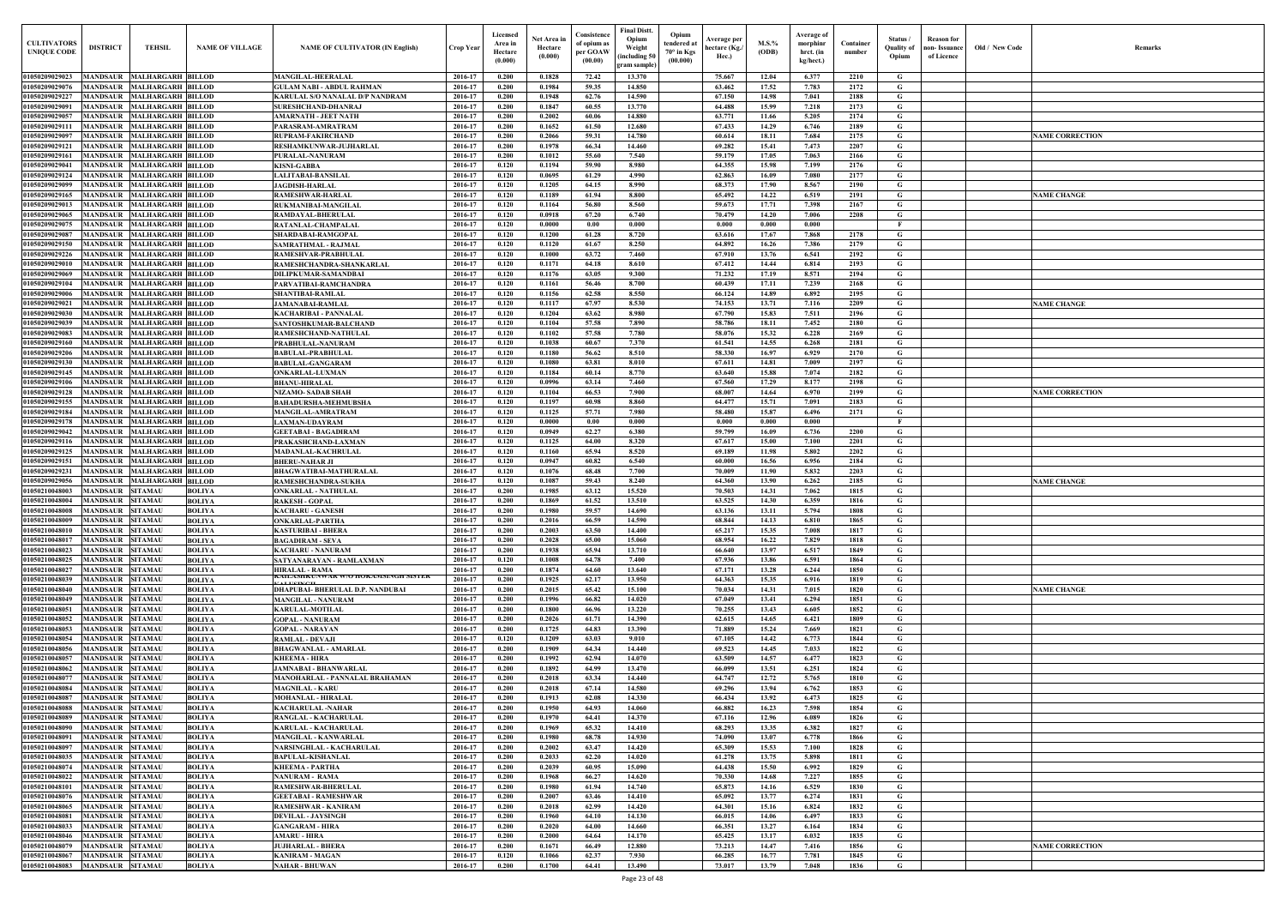| <b>CULTIVATORS</b><br><b>UNIQUE CODE</b> | <b>DISTRICT</b>                                    | <b>TEHSIL</b>                                        | <b>NAME OF VILLAGE</b>         | <b>NAME OF CULTIVATOR (IN English)</b>                        | Crop Year          | Licensed<br>Area in<br>Hectare<br>(0.000) | Net Area in<br>Hectare<br>(0.000) | Consistence<br>of opium as<br>per GOAW<br>(00.00) | <b>Final Distt.</b><br>Opium<br>Opium<br>tendered at<br>Weight<br>$70^\circ$ in Kgs<br>including 50)<br>(00.000)<br>gram sample) | Average per<br>hectare (Kg./<br>Hec.) | $M.S.\%$<br>(ODB) | Average of<br>morphinr<br>hrct. (in<br>kg/hect.) | Container<br>number | Status/<br><b>Ouality of</b><br>Opium | <b>Reason</b> for<br>non- Issuance<br>of Licence | Old / New Code | <b>Remark</b>          |
|------------------------------------------|----------------------------------------------------|------------------------------------------------------|--------------------------------|---------------------------------------------------------------|--------------------|-------------------------------------------|-----------------------------------|---------------------------------------------------|----------------------------------------------------------------------------------------------------------------------------------|---------------------------------------|-------------------|--------------------------------------------------|---------------------|---------------------------------------|--------------------------------------------------|----------------|------------------------|
| 01050209029023                           | MANDSAUR MALHARGARH BILLOD                         |                                                      |                                | <b>MANGILAL-HEERALAL</b>                                      | 2016-17            | 0.200                                     | 0.1828                            | 72.42                                             | 13.370                                                                                                                           | 75.667                                | 12.04             | 6.377                                            | 2210                | G                                     |                                                  |                |                        |
| 01050209029076                           | <b>MANDSAUR</b>                                    | <b>MALHARGARH BILLOD</b>                             |                                | <b>GULAM NABI - ABDUL RAHMAN</b>                              | 2016-17            | 0.200                                     | 0.1984                            | 59.35                                             | 14.850                                                                                                                           | 63.462                                | 17.52             | 7.783                                            | 2172                | G                                     |                                                  |                |                        |
| 01050209029227                           | <b>MANDSAUR</b>                                    | <b>MALHARGARH BILLOD</b>                             |                                | KARULAL S/O NANALAL D/P NANDRAM                               | 2016-17            | 0.200                                     | 0.1948                            | 62.76                                             | 14.590                                                                                                                           | 67.150                                | 14.98             | 7.041                                            | 2188                | G                                     |                                                  |                |                        |
| 01050209029091<br>01050209029057         | <b>MANDSAUR</b><br>MANDSAUR                        | <b>MALHARGARH BILLOD</b><br><b>MALHARGARH BILLOD</b> |                                | <b>SURESHCHAND-DHANRAJ</b><br><b>AMARNATH - JEET NATH</b>     | 2016-17<br>2016-17 | 0.200<br>0.200                            | 0.1847<br>0.2002                  | 60.55<br>60.06                                    | 13.770<br>14.880                                                                                                                 | 64.488<br>63.771                      | 15.99<br>11.66    | 7.218<br>5.205                                   | 2173<br>2174        | $\mathbf G$<br>G                      |                                                  |                |                        |
| 01050209029111                           | <b>MANDSAUR</b>                                    | <b>MALHARGARH BILLOD</b>                             |                                | PARASRAM-AMRATRAM                                             | 2016-17            | 0.200                                     | 0.1652                            | 61.50                                             | 12.680                                                                                                                           | 67.433                                | 14.29             | 6.746                                            | 2189                | G                                     |                                                  |                |                        |
| 01050209029097                           | <b>MANDSAUR</b>                                    | <b>MALHARGARH BILLOD</b>                             |                                | <b>RUPRAM-FAKIRCHAND</b>                                      | 2016-17            | 0.200                                     | 0.2066                            | 59.31                                             | 14.780                                                                                                                           | 60.614                                | 18.11             | 7.684                                            | 2175                | G                                     |                                                  |                | <b>NAME CORRECTION</b> |
| 01050209029121                           | <b>MANDSAUR</b>                                    | <b>MALHARGARH BILLOD</b>                             |                                | <b>RESHAMKUNWAR-JUJHARLAL</b>                                 | 2016-17            | 0.200                                     | 0.1978                            | 66.34                                             | 14.460                                                                                                                           | 69.282                                | 15.41             | 7.473                                            | 2207                | G                                     |                                                  |                |                        |
| 01050209029161<br>01050209029041         | MANDSAUR<br><b>MANDSAUR</b>                        | <b>MALHARGARH BILLOD</b><br><b>MALHARGARH BILLOD</b> |                                | PURALAL-NANURAM<br><b>KISNI-GABBA</b>                         | 2016-17<br>2016-17 | 0.200<br>0.120                            | 0.1012<br>0.1194                  | 55.60<br>59.90                                    | 7.540<br>8.980                                                                                                                   | 59.179<br>64.355                      | 17.05<br>15.98    | 7.063<br>7.199                                   | 2166<br>2176        | G<br>$\mathbf G$                      |                                                  |                |                        |
| 01050209029124                           | <b>MANDSAUR</b>                                    | <b>MALHARGARH BILLOD</b>                             |                                | LALITABAI-BANSILAL                                            | 2016-17            | 0.120                                     | 0.0695                            | 61.29                                             | 4.990                                                                                                                            | 62.863                                | 16.09             | 7.080                                            | 2177                | G                                     |                                                  |                |                        |
| 01050209029099                           | <b>MANDSAUR</b>                                    | <b>MALHARGARH BILLOD</b>                             |                                | <b>JAGDISH-HARLAL</b>                                         | 2016-17            | 0.120                                     | 0.1205                            | 64.15                                             | 8.990                                                                                                                            | 68.373                                | 17.90             | 8.567                                            | 2190                | G                                     |                                                  |                |                        |
| 01050209029165<br>01050209029013         | <b>MANDSAUR</b><br><b>MANDSAUR</b>                 | <b>MALHARGARH BILLOD</b><br><b>MALHARGARH BILLOD</b> |                                | <b>RAMESHWAR-HARLAL</b><br>RUKMANIBAI-MANGILAL                | 2016-17<br>2016-17 | 0.120<br>0.120                            | 0.1189<br>0.1164                  | 61.94<br>56.80                                    | 8.800<br>8.560                                                                                                                   | 65.492<br>59.673                      | 14.22<br>17.71    | 6.519<br>7.398                                   | 2191<br>2167        | G<br>G                                |                                                  |                | <b>NAME CHANGE</b>     |
| 01050209029065                           | <b>MANDSAUR</b>                                    | <b>MALHARGARH BILLOD</b>                             |                                | RAMDAYAL-BHERULAL                                             | 2016-17            | 0.120                                     | 0.0918                            | 67.20                                             | 6.740                                                                                                                            | 70.479                                | 14.20             | 7.006                                            | 2208                | $\mathbf G$                           |                                                  |                |                        |
| 0105020902907                            | <b>MANDSAUR</b>                                    | <b>MALHARGARH BILLOD</b>                             |                                | RATANLAL-CHAMPALAL                                            | 2016-17            | 0.120                                     | 0.0000                            | 0.00                                              | 0.000                                                                                                                            | 0.000                                 | 0.000             | 0.000                                            |                     | $\mathbf{F}$                          |                                                  |                |                        |
| 0105020902908<br>0105020902915           | MANDSAUR<br>MANDSAUR                               | <b>MALHARGARH BILLOD</b><br><b>MALHARGARH BILLOD</b> |                                | <b>SHARDABAI-RAMGOPAI</b><br>SAMRATHMAL - RAJMAI              | 2016-17<br>2016-17 | 0.120<br>0.120                            | 0.1200<br>0.1120                  | 61.28<br>61.67                                    | 8.720<br>8.250                                                                                                                   | 63.616<br>64.892                      | 17.67<br>16.26    | 7.868<br>7.386                                   | 2178<br>2179        | G<br>G                                |                                                  |                |                        |
| 0105020902922                            | MANDSAUR                                           | <b>MALHARGARH BILLOD</b>                             |                                | RAMESHVAR-PRABHULAL                                           | 2016-17            | 0.120                                     | 0.1000                            | 63.72                                             | 7.460                                                                                                                            | 67.910                                | 13.76             | 6.541                                            | 2192                | G                                     |                                                  |                |                        |
| 0105020902901                            | MANDSAUR                                           | <b>MALHARGARH BILLOD</b>                             |                                | RAMESHCHANDRA-SHANKARLAL                                      | 2016-17            | 0.120                                     | 0.1171                            | 64.18                                             | 8.610                                                                                                                            | 67.412                                | 14.44             | 6.814                                            | 2193                | G                                     |                                                  |                |                        |
| 01050209029069                           | MANDSAUR                                           | <b>MALHARGARH BILLOD</b>                             |                                | <b>DILIPKUMAR-SAMANDBAI</b>                                   | 2016-17            | 0.120                                     | 0.1176                            | 63.05                                             | 9.300                                                                                                                            | 71.232                                | 17.19             | 8.571                                            | 2194                | G                                     |                                                  |                |                        |
| 01050209029104<br>01050209029006         | MANDSAUR MALHARGARH BILLOD<br>MANDSAUR             | <b>MALHARGARH BILLOD</b>                             |                                | PARVATIBAI-RAMCHANDRA<br>SHANTIBAI-RAMLAL                     | 2016-17<br>2016-17 | 0.120<br>0.120                            | 0.1161<br>0.1156                  | 56.46<br>62.58                                    | 8.700<br>8.550                                                                                                                   | 60.439<br>66.124                      | 17.11<br>14.89    | 7.239<br>6.892                                   | 2168<br>2195        | G<br>G                                |                                                  |                |                        |
| 01050209029021                           | MANDSAUR MALHARGARH BILLOD                         |                                                      |                                | <b>JAMANABAI-RAMLAL</b>                                       | 2016-17            | 0.120                                     | 0.1117                            | 67.97                                             | 8.530                                                                                                                            | 74.153                                | 13.71             | 7.116                                            | 2209                | G                                     |                                                  |                | <b>NAME CHANGE</b>     |
| 01050209029030                           | <b>MANDSAUR</b>                                    | <b>MALHARGARH BILLOD</b>                             |                                | <b>KACHARIBAI - PANNALAL</b>                                  | 2016-17            | 0.120                                     | 0.1204                            | 63.62                                             | 8.980                                                                                                                            | 67.790                                | 15.83             | 7.511                                            | 2196                | G                                     |                                                  |                |                        |
| 01050209029039<br>01050209029083         | MANDSAUR MALHARGARH BILLOD<br><b>MANDSAUR</b>      | <b>MALHARGARH BILLOD</b>                             |                                | SANTOSHKUMAR-BALCHAND<br>RAMESHCHAND-NATHULAL                 | 2016-17<br>2016-17 | 0.120<br>0.120                            | 0.1104<br>0.1102                  | 57.58<br>57.58                                    | 7.890<br>7.780                                                                                                                   | 58.786<br>58.076                      | 18.11<br>15.32    | 7.452<br>6.228                                   | 2180<br>2169        | G<br>G                                |                                                  |                |                        |
| 01050209029160                           | MANDSAUR                                           | <b>MALHARGARH BILLOD</b>                             |                                | PRABHULAL-NANURAM                                             | 2016-17            | 0.120                                     | 0.1038                            | 60.67                                             | 7.370                                                                                                                            | 61.541                                | 14.55             | 6.268                                            | 2181                | G                                     |                                                  |                |                        |
| 01050209029206                           | <b>MANDSAUR</b>                                    | <b>MALHARGARH BILLOD</b>                             |                                | <b>BABULAL-PRABHULAI</b>                                      | 2016-17            | 0.120                                     | 0.1180                            | 56.62                                             | 8.510                                                                                                                            | 58.330                                | 16.97             | 6.929                                            | 2170                | G                                     |                                                  |                |                        |
| 01050209029130                           | <b>MANDSAUR</b>                                    | <b>MALHARGARH BILLOD</b>                             |                                | <b>BABULAL-GANGARAM</b>                                       | 2016-17            | 0.120                                     | 0.1080                            | 63.81                                             | 8.010                                                                                                                            | 67.611                                | 14.81             | 7.009                                            | 2197                | G                                     |                                                  |                |                        |
| 01050209029145<br>01050209029106         | <b>MANDSAUR</b><br>MANDSAUR                        | <b>MALHARGARH BILLOD</b><br><b>MALHARGARH BILLOD</b> |                                | ONKARLAL-LUXMAN<br><b>BHANU-HIRALAL</b>                       | 2016-17<br>2016-17 | 0.120<br>0.120                            | 0.1184<br>0.0996                  | 60.14<br>63.14                                    | 8.770<br>7.460                                                                                                                   | 63.640<br>67.560                      | 15.88<br>17.29    | 7.074<br>8.177                                   | 2182<br>2198        | G<br>G                                |                                                  |                |                        |
| 01050209029128                           | MANDSAUR                                           | <b>MALHARGARH BILLOD</b>                             |                                | <b>NIZAMO- SADAB SHAH</b>                                     | 2016-17            | 0.120                                     | 0.1104                            | 66.53                                             | 7.900                                                                                                                            | 68.007                                | 14.64             | 6.970                                            | 2199                | G                                     |                                                  |                | <b>NAME CORRECTION</b> |
| 01050209029155                           | <b>MANDSAUR</b>                                    | <b>MALHARGARH BILLOD</b>                             |                                | <b>BAHADURSHA-MEHMUBSHA</b>                                   | 2016-17            | 0.120                                     | 0.1197                            | 60.98                                             | 8.860                                                                                                                            | 64.477                                | 15.71             | 7.091                                            | 2183                | G                                     |                                                  |                |                        |
| 01050209029184<br>01050209029178         | <b>MANDSAUR</b><br><b>MANDSAUR</b>                 | <b>MALHARGARH BILLOD</b><br><b>MALHARGARH BILLOD</b> |                                | <b>MANGILAL-AMRATRAM</b><br><b>LAXMAN-UDAYRAM</b>             | 2016-17<br>2016-17 | 0.120<br>0.120                            | 0.1125<br>0.0000                  | 57.71<br>0.00                                     | 7.980<br>0.000                                                                                                                   | 58.480<br>0.000                       | 15.87<br>0.000    | 6.496<br>0.000                                   | 2171                | $\mathbf G$<br>$\mathbf{F}$           |                                                  |                |                        |
| 01050209029042                           | <b>MANDSAUR</b>                                    | <b>MALHARGARH BILLOD</b>                             |                                | <b>GEETABAI - BAGADIRAM</b>                                   | 2016-17            | 0.120                                     | 0.0949                            | 62.27                                             | 6.380                                                                                                                            | 59.799                                | 16.09             | 6.736                                            | 2200                | G                                     |                                                  |                |                        |
| 01050209029116                           | MANDSAUR                                           | <b>MALHARGARH BILLOD</b>                             |                                | PRAKASHCHAND-LAXMAN                                           | 2016-17            | 0.120                                     | 0.1125                            | 64.00                                             | 8.320                                                                                                                            | 67.617                                | 15.00             | 7.100                                            | 2201                | G                                     |                                                  |                |                        |
| 01050209029125<br>01050209029151         | <b>MANDSAUR</b>                                    | <b>MALHARGARH BILLOD</b><br><b>MALHARGARH BILLOD</b> |                                | <b>MADANLAL-KACHRULAL</b><br><b>BHERU-NAHAR JI</b>            | 2016-17            | 0.120<br>0.120                            | 0.1160                            | 65.94<br>60.82                                    | 8.520<br>6.540                                                                                                                   | 69.189                                | 11.98             | 5.802<br>6.956                                   | 2202                | G<br>$\mathbf G$                      |                                                  |                |                        |
| 01050209029231                           | <b>MANDSAUR</b><br><b>MANDSAUR</b>                 | MALHARGARH BILLOD                                    |                                | <b>BHAGWATIBAI-MATHURALAL</b>                                 | 2016-17<br>2016-17 | 0.120                                     | 0.0947<br>0.1076                  | 68.48                                             | 7.700                                                                                                                            | 60.000<br>70.009                      | 16.56<br>11.90    | 5.832                                            | 2184<br>2203        | $\mathbf G$                           |                                                  |                |                        |
| 01050209029056                           | MANDSAUR                                           | <b>MALHARGARH BILLOD</b>                             |                                | RAMESHCHANDRA-SUKHA                                           | 2016-17            | 0.120                                     | 0.1087                            | 59.43                                             | 8.240                                                                                                                            | 64.360                                | 13.90             | 6.262                                            | 2185                | G                                     |                                                  |                | <b>NAME CHANGE</b>     |
| 01050210048003                           | MANDSAUR                                           | <b>SITAMAU</b>                                       | <b>BOLIYA</b>                  | ONKARLAL - NATHULAI                                           | 2016-17            | 0.200                                     | 0.1985                            | 63.12                                             | 15.520                                                                                                                           | 70.503                                | 14.31             | 7.062                                            | 1815                | G                                     |                                                  |                |                        |
| 01050210048004<br>01050210048008         | <b>MANDSAUR</b><br>MANDSAUR SITAMAU                | <b>SITAMAU</b>                                       | <b>BOLIYA</b><br><b>BOLIYA</b> | <b>RAKESH - GOPAL</b><br><b>KACHARU - GANESH</b>              | 2016-17<br>2016-17 | 0.200<br>0.200                            | 0.1869<br>0.1980                  | 61.52<br>59.57                                    | 13.510<br>14.690                                                                                                                 | 63.525<br>63.136                      | 14.30<br>13.11    | 6.359<br>5.794                                   | 1816<br>1808        | G<br>G                                |                                                  |                |                        |
| 01050210048009                           | MANDSAUR SITAMAU                                   |                                                      | <b>BOLIYA</b>                  | <b>ONKARLAL-PARTHA</b>                                        | 2016-17            | 0.200                                     | 0.2016                            | 66.59                                             | 14.590                                                                                                                           | 68.844                                | 14.13             | 6.810                                            | 1865                | G                                     |                                                  |                |                        |
| 01050210048010                           | <b>MANDSAUR SITAMAU</b>                            |                                                      | <b>BOLIYA</b>                  | <b>KASTURIBAI - BHERA</b>                                     | 2016-17            | 0.200                                     | 0.2003                            | 63.50                                             | 14.400                                                                                                                           | 65.217                                | 15.35             | 7.008                                            | 1817                | G                                     |                                                  |                |                        |
| 01050210048017<br>01050210048023         | <b>MANDSAUR SITAMAU</b><br><b>MANDSAUR SITAMAU</b> |                                                      | <b>BOLIYA</b><br><b>BOLIYA</b> | <b>BAGADIRAM - SEVA</b><br><b>KACHARU - NANURAM</b>           | 2016-17<br>2016-17 | 0.200<br>0.200                            | 0.2028<br>0.1938                  | 65.00<br>65.94                                    | 15.060<br>13.710                                                                                                                 | 68.954<br>66.640                      | 16.22<br>13.97    | 7.829<br>6.517                                   | 1818<br>1849        | G<br>$\mathbf G$                      |                                                  |                |                        |
| 01050210048025                           | <b>MANDSAUR SITAMAU</b>                            |                                                      | <b>BOLIYA</b>                  | SATYANARAYAN - RAMLAXMAN                                      | 2016-17            | 0.120                                     | 0.1008                            | 64.78                                             | 7.400                                                                                                                            | 67.936                                | 13.86             | 6.591                                            | 1864                | G                                     |                                                  |                |                        |
| 01050210048027                           | <b>MANDSAUR SITAMAU</b>                            |                                                      | <b>BOLIYA</b>                  | <b>HIRALAL - RAMA</b>                                         | 2016-17            | 0.200                                     | 0.1874                            | 64.60                                             | 13.640                                                                                                                           | 67.171                                | 13.28             | 6.244                                            | 1850                | G                                     |                                                  |                |                        |
| 01050210048039                           | <b>MANDSAUR</b>                                    | <b>SITAMAU</b>                                       | <b>BOLIYA</b>                  | KAILASHKUNWAK W/U HUKAMSINGH SISTEK<br><b>ALTICIMALE</b>      | 2016-17            | 0.200                                     | 0.1925                            | 62.17                                             | 13.950                                                                                                                           | 64.363                                | 15.35             | 6.916                                            | 1819                | $\mathbf G$                           |                                                  |                |                        |
| 01050210048040<br>01050210048049         | <b>MANDSAUR SITAMAU</b><br><b>MANDSAUR</b>         | <b>SITAMAU</b>                                       | <b>BOLIYA</b><br><b>BOLIYA</b> | DHAPUBAI- BHERULAL D.P. NANDUBAI<br><b>MANGILAL - NANURAM</b> | 2016-17<br>2016-17 | 0.200<br>0.200                            | 0.2015<br>0.1996                  | 65.42<br>66.82                                    | 15.100<br>14.020                                                                                                                 | 70.034<br>67.049                      | 14.31<br>13.41    | 7.015<br>6.294                                   | 1820<br>1851        | G<br>$\mathbf G$                      |                                                  |                | <b>NAME CHANGE</b>     |
| 01050210048051                           | <b>MANDSAUR</b>                                    | <b>SITAMAU</b>                                       | <b>BOLIYA</b>                  | <b>KARULAL-MOTILAL</b>                                        | 2016-17            | 0.200                                     | 0.1800                            | 66.96                                             | 13.220                                                                                                                           | 70.255                                | 13.43             | 6.605                                            | 1852                | $\mathbf G$                           |                                                  |                |                        |
| 01050210048052                           | <b>MANDSAUR</b>                                    | <b>SITAMAU</b>                                       | <b>BOLIYA</b>                  | <b>GOPAL - NANURAM</b>                                        | 2016-17            | 0.200                                     | 0.2026                            | 61.71                                             | 14.390                                                                                                                           | 62.615                                | 14.65             | 6.421                                            | 1809                | G                                     |                                                  |                |                        |
| 01050210048053<br>01050210048054         | <b>MANDSAUR</b><br><b>MANDSAUR</b>                 | <b>SITAMAU</b><br><b>SITAMAU</b>                     | <b>BOLIYA</b><br><b>BOLIYA</b> | <b>GOPAL - NARAYAN</b><br><b>RAMLAL - DEVAJI</b>              | 2016-17<br>2016-17 | 0.200<br>0.120                            | 0.1725<br>0.1209                  | 64.83<br>63.03                                    | 13.390<br>9.010                                                                                                                  | 71.889<br>67.105                      | 15.24<br>14.42    | 7.669<br>6.773                                   | 1821<br>1844        | G<br>G                                |                                                  |                |                        |
| 01050210048056                           | MANDSAUR                                           | <b>SITAMAU</b>                                       | <b>BOLIYA</b>                  | <b>BHAGWANLAL - AMARLAL</b>                                   | 2016-17            | 0.200                                     | 0.1909                            | 64.34                                             | 14.440                                                                                                                           | 69.523                                | 14.45             | 7.033                                            | 1822                | G                                     |                                                  |                |                        |
| 01050210048057                           | <b>MANDSAUR SITAMAU</b>                            |                                                      | <b>BOLIYA</b>                  | <b>KHEEMA - HIRA</b>                                          | 2016-17            | 0.200                                     | 0.1992                            | 62.94                                             | 14.070                                                                                                                           | 63.509                                | 14.57             | 6.477                                            | 1823                | $\mathbf{G}$                          |                                                  |                |                        |
| 01050210048062                           | <b>MANDSAUR</b>                                    | <b>SITAMAU</b>                                       | <b>BOLIYA</b>                  | <b>JAMNABAI - BHANWARLAL</b>                                  | 2016-17            | 0.200                                     | 0.1892                            | 64.99                                             | 13.470                                                                                                                           | 66.099                                | 13.51             | 6.251                                            | 1824                | G                                     |                                                  |                |                        |
| 01050210048077<br>01050210048084         | <b>MANDSAUR</b><br><b>MANDSAUR</b>                 | <b>SITAMAU</b><br><b>SITAMAU</b>                     | <b>BOLIYA</b><br><b>BOLIYA</b> | MANOHARLAL - PANNALAL BRAHAMAN<br><b>MAGNILAL - KARU</b>      | 2016-17<br>2016-17 | 0.200<br>0.200                            | 0.2018<br>0.2018                  | 63.34<br>67.14                                    | 14.440<br>14.580                                                                                                                 | 64.747<br>69.296                      | 12.72<br>13.94    | 5.765<br>6.762                                   | 1810<br>1853        | G<br>G                                |                                                  |                |                        |
| 01050210048087                           | <b>MANDSAUR</b>                                    | <b>SITAMAU</b>                                       | <b>BOLIYA</b>                  | <b>MOHANLAL - HIRALAL</b>                                     | 2016-17            | 0.200                                     | 0.1913                            | 62.08                                             | 14.330                                                                                                                           | 66.434                                | 13.92             | 6.473                                            | 1825                | $\mathbf G$                           |                                                  |                |                        |
| 01050210048088                           | <b>MANDSAUR</b>                                    | <b>SITAMAU</b>                                       | <b>BOLIYA</b>                  | <b>KACHARULAL -NAHAR</b>                                      | 2016-17            | 0.200                                     | 0.1950                            | 64.93                                             | 14.060                                                                                                                           | 66.882                                | 16.23             | 7.598                                            | 1854                | $\mathbf G$                           |                                                  |                |                        |
| 01050210048089<br>01050210048090         | <b>MANDSAUR</b><br>MANDSAUR                        | <b>SITAMAU</b><br><b>SITAMAU</b>                     | <b>BOLIYA</b><br><b>BOLIYA</b> | RANGLAL - KACHARULAL<br><b>KARULAL - KACHARULAL</b>           | 2016-17<br>2016-17 | 0.200<br>0.200                            | 0.1970<br>0.1969                  | 64.41<br>65.32                                    | 14.370<br>14.410                                                                                                                 | 67.116<br>68.293                      | 12.96<br>13.35    | 6.089<br>6.382                                   | 1826<br>1827        | $\mathbf G$<br>G                      |                                                  |                |                        |
| 0105021004809                            | MANDSAUR                                           | <b>SITAMAU</b>                                       | <b>BOLIYA</b>                  | <b>MANGILAL - KANWARLAL</b>                                   | 2016-17            | 0.200                                     | 0.1980                            | 68.78                                             | 14.930                                                                                                                           | 74.090                                | 13.07             | 6.778                                            | 1866                | G                                     |                                                  |                |                        |
| 01050210048097                           | <b>MANDSAUR</b>                                    | <b>SITAMAU</b>                                       | <b>BOLIYA</b>                  | <b>NARSINGHLAL - KACHARULAL</b>                               | 2016-17            | 0.200                                     | 0.2002                            | 63.47                                             | 14.420                                                                                                                           | 65.309                                | 15.53             | 7.100                                            | 1828                | G                                     |                                                  |                |                        |
| 01050210048035<br>01050210048074         | <b>MANDSAUR SITAMAU</b><br><b>MANDSAUR</b>         | <b>SITAMAU</b>                                       | <b>BOLIYA</b>                  | <b>BAPULAL-KISHANLAL</b>                                      | 2016-17<br>2016-17 | 0.200<br>0.200                            | 0.2033<br>0.2039                  | 62.20<br>60.95                                    | 14.020<br>15.090                                                                                                                 | 61.278<br>64.438                      | 13.75<br>15.50    | 5.898<br>6.992                                   | 1811<br>1829        | $\mathbf G$<br>G                      |                                                  |                |                        |
| 01050210048022                           | <b>MANDSAUR SITAMAU</b>                            |                                                      | <b>BOLIYA</b><br><b>BOLIYA</b> | <b>KHEEMA - PARTHA</b><br><b>NANURAM - RAMA</b>               | 2016-17            | 0.200                                     | 0.1968                            | 66.27                                             | 14.620                                                                                                                           | 70.330                                | 14.68             | 7.227                                            | 1855                | G                                     |                                                  |                |                        |
| 01050210048101                           | MANDSAUR SITAMAU                                   |                                                      | <b>BOLIYA</b>                  | <b>RAMESHWAR-BHERULAL</b>                                     | 2016-17            | 0.200                                     | 0.1980                            | 61.94                                             | 14.740                                                                                                                           | 65.873                                | 14.16             | 6.529                                            | 1830                | G                                     |                                                  |                |                        |
| 01050210048076                           | MANDSAUR SITAMAU                                   |                                                      | <b>BOLIYA</b>                  | <b>GEETABAI - RAMESHWAR</b>                                   | 2016-17            | 0.200                                     | 0.2007                            | 63.46                                             | 14.410                                                                                                                           | 65.092                                | 13.77             | 6.274                                            | 1831                | G                                     |                                                  |                |                        |
| 01050210048065<br>01050210048081         | <b>MANDSAUR SITAMAU</b><br>MANDSAUR SITAMAU        |                                                      | <b>BOLIYA</b><br><b>BOLIYA</b> | RAMESHWAR - KANIRAM<br><b>DEVILAL - JAYSINGH</b>              | 2016-17<br>2016-17 | 0.200<br>0.200                            | 0.2018<br>0.1960                  | 62.99<br>64.10                                    | 14.420<br>14.130                                                                                                                 | 64.301<br>66.015                      | 15.16<br>14.06    | 6.824<br>6.497                                   | 1832<br>1833        | G<br>$\mathbf G$                      |                                                  |                |                        |
| 01050210048033                           | <b>MANDSAUR</b>                                    | <b>SITAMAU</b>                                       | <b>BOLIYA</b>                  | <b>GANGARAM - HIRA</b>                                        | 2016-17            | 0.200                                     | 0.2020                            | 64.00                                             | 14.660                                                                                                                           | 66.351                                | 13.27             | 6.164                                            | 1834                | $\mathbf G$                           |                                                  |                |                        |
| 01050210048046                           | MANDSAUR SITAMAU                                   |                                                      | <b>BOLIYA</b>                  | <b>AMARU - HIRA</b>                                           | 2016-17            | 0.200                                     | 0.2000                            | 64.64                                             | 14.170                                                                                                                           | 65.425                                | 13.17             | 6.032                                            | 1835                | G                                     |                                                  |                |                        |
| 01050210048079<br>01050210048067         | <b>MANDSAUR</b><br><b>MANDSAUR SITAMAU</b>         | <b>SITAMAU</b>                                       | <b>BOLIYA</b>                  | <b>JUJHARLAL - BHERA</b>                                      | 2016-17<br>2016-17 | 0.200<br>0.120                            | 0.1671<br>0.1066                  | 66.49<br>62.37                                    | 12.880<br>7.930                                                                                                                  | 73.213<br>66.285                      | 14.47             | 7.416                                            | 1856<br>1845        | $\mathbf G$<br>G                      |                                                  |                | <b>NAME CORRECTION</b> |
| 01050210048083                           | MANDSAUR SITAMAU                                   |                                                      | <b>BOLIYA</b><br><b>BOLIYA</b> | <b>KANIRAM - MAGAN</b><br><b>NAHAR - BHUWAN</b>               | 2016-17            | 0.200                                     | 0.1700                            | 64.41                                             | 13.490                                                                                                                           | 73.017                                | 16.77<br>13.79    | 7.781<br>7.048                                   | 1836                | $\mathbf{G}$                          |                                                  |                |                        |
|                                          |                                                    |                                                      |                                |                                                               |                    |                                           |                                   |                                                   |                                                                                                                                  |                                       |                   |                                                  |                     |                                       |                                                  |                |                        |

| Old / New Code | Remarks                |
|----------------|------------------------|
|                |                        |
|                |                        |
|                | <b>NAME CORRECTION</b> |
|                |                        |
|                |                        |
|                | <b>NAME CHANGE</b>     |
|                |                        |
|                |                        |
|                |                        |
|                | <b>NAME CHANGE</b>     |
|                |                        |
|                |                        |
|                |                        |
|                | <b>NAME CORRECTION</b> |
|                |                        |
|                |                        |
|                |                        |
|                | <b>NAME CHANGE</b>     |
|                |                        |
|                |                        |
|                |                        |
|                | <b>NAME CHANGE</b>     |
|                |                        |
|                |                        |
|                |                        |
|                |                        |
|                |                        |
|                |                        |
|                |                        |
|                |                        |
|                |                        |
|                |                        |
|                | <b>NAME CORRECTION</b> |
|                |                        |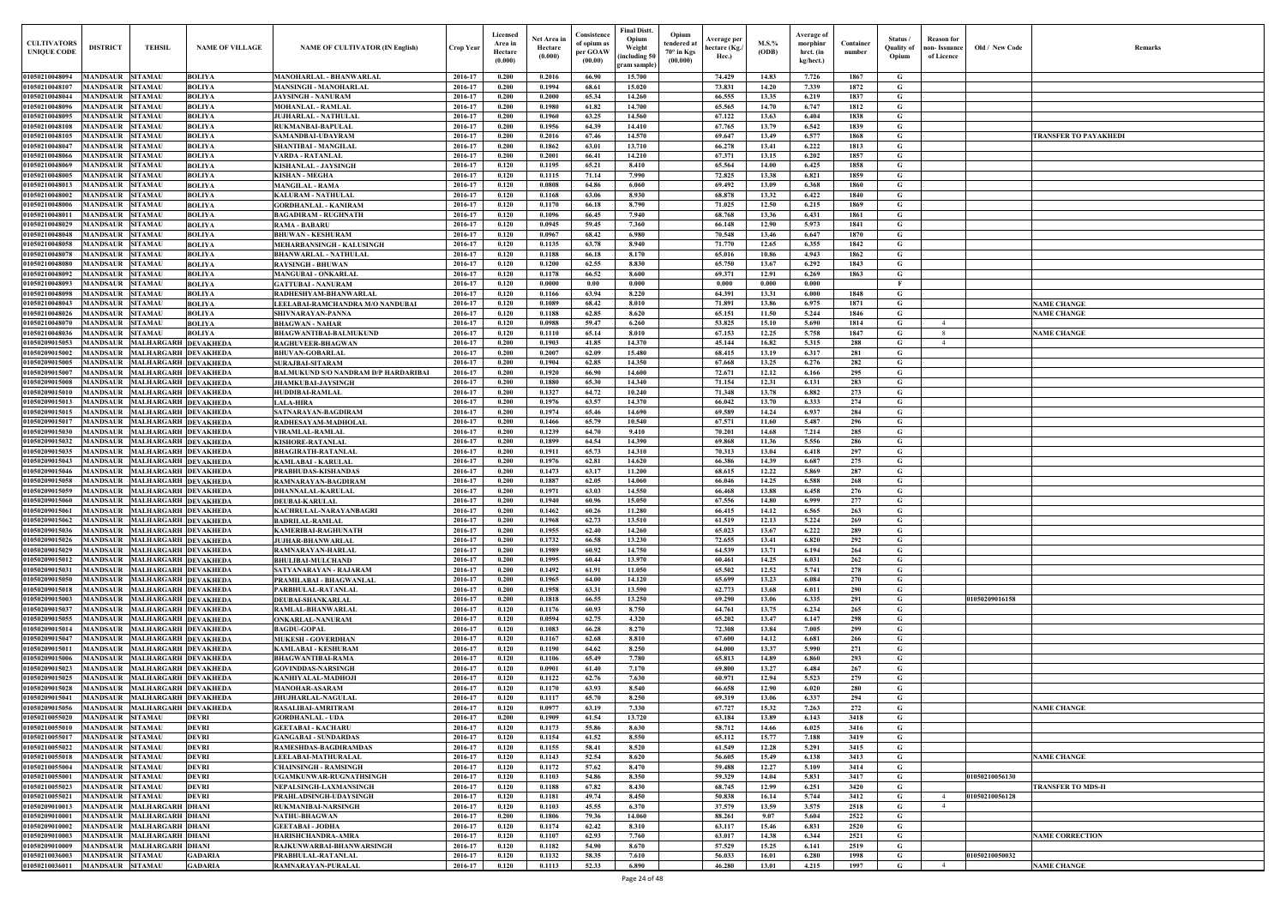| Old / New Code | Remarks                                  |
|----------------|------------------------------------------|
|                |                                          |
|                |                                          |
|                |                                          |
|                |                                          |
|                |                                          |
|                | TRANSFER TO PAYAKHEDI                    |
|                |                                          |
|                |                                          |
|                |                                          |
|                |                                          |
|                |                                          |
|                |                                          |
|                |                                          |
|                |                                          |
|                |                                          |
|                |                                          |
|                |                                          |
|                |                                          |
|                |                                          |
|                |                                          |
|                |                                          |
|                |                                          |
|                | <b>NAME CHANGE</b><br><b>NAME CHANGE</b> |
|                |                                          |
|                | <b>NAME CHANGE</b>                       |
|                |                                          |
|                |                                          |
|                |                                          |
|                |                                          |
|                |                                          |
|                |                                          |
|                |                                          |
|                |                                          |
|                |                                          |
|                |                                          |
|                |                                          |
|                |                                          |
|                |                                          |
|                |                                          |
|                |                                          |
|                |                                          |
|                |                                          |
|                |                                          |
|                |                                          |
|                |                                          |
|                |                                          |
|                |                                          |
|                |                                          |
|                |                                          |
|                |                                          |
| 01050209016158 |                                          |
|                |                                          |
|                |                                          |
|                |                                          |
|                |                                          |
|                |                                          |
|                |                                          |
|                |                                          |
|                |                                          |
|                |                                          |
|                | <b>NAME CHANGE</b>                       |
|                |                                          |
|                |                                          |
|                |                                          |
|                |                                          |
|                | <b>NAME CHANGE</b>                       |
|                |                                          |
| 01050210056130 |                                          |
|                | <b>TRANSFER TO MDS-II</b>                |
| 01050210056128 |                                          |
|                |                                          |
|                |                                          |
|                | <b>NAME CORRECTION</b>                   |
|                |                                          |
| 01050210050032 |                                          |
|                | <b>NAME CHANGE</b>                       |
|                |                                          |

| <b>CULTIVATORS</b><br><b>UNIQUE CODE</b> | <b>DISTRICT</b><br><b>TEHSIL</b>                                       | <b>NAME OF VILLAGE</b>                              | <b>NAME OF CULTIVATOR (IN English)</b>                                   | <b>Crop Year</b>   | Licensed<br>Area in<br>Hectare<br>(0.000) | Net Area in<br>Hectare<br>(0.000) | Consistence<br>of opium as<br>per GOAW<br>(00.00) | <b>Final Distt.</b><br>Opium<br>Weight<br>including 50 | Opium<br>tendered at<br>$70^{\circ}$ in Kgs<br>(00.000) | Average per<br>hectare (Kg./<br>Hec.) | M.S.%<br>(ODB) | Average of<br>morphinr<br>hrct. (in<br>kg/hect.) | Container<br>number | Status /<br><b>Quality of</b><br>Opium | Reason for<br>non- Issuance  <br>of Licence | Old / New Code | <b>Remark</b>          |
|------------------------------------------|------------------------------------------------------------------------|-----------------------------------------------------|--------------------------------------------------------------------------|--------------------|-------------------------------------------|-----------------------------------|---------------------------------------------------|--------------------------------------------------------|---------------------------------------------------------|---------------------------------------|----------------|--------------------------------------------------|---------------------|----------------------------------------|---------------------------------------------|----------------|------------------------|
| 01050210048094                           | MANDSAUR<br><b>SITAMAU</b>                                             | <b>BOLIYA</b>                                       | <b>MANOHARLAL - BHANWARLAL</b>                                           | 2016-17            | 0.200                                     | 0.2016                            | 66.90                                             | gram sample)<br>15.700                                 |                                                         | 74.429                                | 14.83          | 7.726                                            | 1867                | G                                      |                                             |                |                        |
| 01050210048107                           | <b>SITAMAU</b><br>MANDSAUR                                             | <b>BOLIYA</b>                                       | <b>MANSINGH - MANOHARLAL</b>                                             | 2016-17            | 0.200                                     | 0.1994                            | 68.61                                             | 15.020                                                 |                                                         | 73.831                                | 14.20          | 7.339                                            | 1872                | G                                      |                                             |                |                        |
| 01050210048044                           | <b>MANDSAUR SITAMAU</b>                                                | <b>BOLIYA</b>                                       | <b>JAYSINGH - NANURAM</b>                                                | 2016-17            | 0.200                                     | 0.2000                            | 65.34                                             | 14.260                                                 |                                                         | 66.555                                | 13.35          | 6.219                                            | 1837                | G                                      |                                             |                |                        |
| 01050210048096                           | MANDSAUR<br><b>SITAMAU</b>                                             | <b>BOLIYA</b>                                       | <b>MOHANLAL - RAMLAL</b>                                                 | 2016-17            | 0.200                                     | 0.1980                            | 61.82                                             | 14.700                                                 |                                                         | 65.565                                | 14.70          | 6.747                                            | 1812                | G                                      |                                             |                |                        |
| 01050210048095<br>01050210048108         | <b>MANDSAUR SITAMAU</b><br>MANDSAUR<br><b>SITAMAU</b>                  | <b>BOLIYA</b><br><b>BOLIYA</b>                      | <b>JUJHARLAL - NATHULAL</b><br><b>RUKMANBAI-BAPULAL</b>                  | 2016-17<br>2016-17 | 0.200<br>0.200                            | 0.1960<br>0.1956                  | 63.25<br>64.39                                    | 14.560<br>14.410                                       |                                                         | 67.122<br>67.765                      | 13.63<br>13.79 | 6.404<br>6.542                                   | 1838<br>1839        | G<br>G                                 |                                             |                |                        |
| 01050210048105                           | <b>MANDSAUR SITAMAU</b>                                                | <b>BOLIYA</b>                                       | SAMANDBAI-UDAYRAM                                                        | 2016-17            | 0.200                                     | 0.2016                            | 67.46                                             | 14.570                                                 |                                                         | 69.647                                | 13.49          | 6.577                                            | 1868                | G                                      |                                             |                | TRANSFER TO PAYAKHEDI  |
| 01050210048047                           | MANDSAUR<br><b>SITAMAU</b>                                             | <b>BOLIYA</b>                                       | SHANTIBAI - MANGILAL                                                     | 2016-17            | 0.200                                     | 0.1862                            | 63.01                                             | 13.710                                                 |                                                         | 66.278                                | 13.41          | 6.222                                            | 1813                | G                                      |                                             |                |                        |
| 01050210048066                           | <b>SITAMAU</b><br>MANDSAUR                                             | <b>BOLIYA</b>                                       | VARDA - RATANLAL                                                         | 2016-17            | 0.200                                     | 0.2001                            | 66.41                                             | 14.210                                                 |                                                         | 67.371                                | 13.15          | 6.202                                            | 1857                | G                                      |                                             |                |                        |
| 01050210048069                           | <b>MANDSAUR</b><br><b>SITAMAU</b>                                      | <b>BOLIYA</b>                                       | KISHANLAL - JAYSINGH                                                     | 2016-17            | 0.120                                     | 0.1195                            | 65.21                                             | 8.410                                                  |                                                         | 65.564                                | 14.00          | 6.425                                            | 1858                | G                                      |                                             |                |                        |
| 01050210048005                           | <b>MANDSAUR</b><br><b>SITAMAU</b>                                      | <b>BOLIYA</b>                                       | <b>KISHAN - MEGHA</b>                                                    | 2016-17            | 0.120                                     | 0.1115<br>0.0808                  | 71.14                                             | 7.990                                                  |                                                         | 72.825                                | 13.38          | 6.821                                            | 1859                | G                                      |                                             |                |                        |
| 01050210048013<br>01050210048002         | <b>MANDSAUR</b><br><b>SITAMAU</b><br><b>MANDSAUR</b><br><b>SITAMAU</b> | <b>BOLIYA</b><br><b>BOLIYA</b>                      | <b>MANGILAL - RAMA</b><br><b>KALURAM - NATHULAL</b>                      | 2016-17<br>2016-17 | 0.120<br>0.120                            | 0.1168                            | 64.86<br>63.06                                    | 6.060<br>8.930                                         |                                                         | 69.492<br>68.878                      | 13.09<br>13.32 | 6.368<br>6.422                                   | 1860<br>1840        | G<br>G                                 |                                             |                |                        |
| 01050210048006                           | MANDSAUR<br><b>SITAMAU</b>                                             | <b>BOLIYA</b>                                       | <b>GORDHANLAL - KANIRAM</b>                                              | 2016-17            | 0.120                                     | 0.1170                            | 66.18                                             | 8.790                                                  |                                                         | 71.025                                | 12.50          | 6.215                                            | 1869                | G                                      |                                             |                |                        |
| 01050210048011                           | <b>SITAMAU</b><br>MANDSAUR                                             | <b>BOLIYA</b>                                       | <b>BAGADIRAM - RUGHNATH</b>                                              | 2016-17            | 0.120                                     | 0.1096                            | 66.45                                             | 7.940                                                  |                                                         | 68.768                                | 13.36          | 6.431                                            | 1861                | G                                      |                                             |                |                        |
| 01050210048029                           | <b>SITAMAU</b><br>MANDSAUR                                             | <b>BOLIYA</b>                                       | <b>RAMA - BABARU</b>                                                     | 2016-17            | 0.120                                     | 0.0945                            | 59.45                                             | 7.360                                                  |                                                         | 66.148                                | 12.90          | 5.973                                            | 1841                | $\mathbf G$                            |                                             |                |                        |
| 01050210048048                           | <b>MANDSAUR</b><br><b>SITAMAU</b>                                      | <b>BOLIYA</b>                                       | <b>BHUWAN - KESHURAM</b>                                                 | 2016-17            | 0.120                                     | 0.0967                            | 68.42                                             | 6.980                                                  |                                                         | 70.548                                | 13.46          | 6.647                                            | 1870                | G                                      |                                             |                |                        |
| 01050210048058<br>01050210048078         | <b>MANDSAUR</b><br><b>SITAMAU</b><br><b>MANDSAUR</b><br><b>SITAMAU</b> | <b>BOLIYA</b><br><b>BOLIYA</b>                      | <b>MEHARBANSINGH - KALUSINGH</b><br><b>BHANWARLAL - NATHULAL</b>         | 2016-17<br>2016-17 | 0.120<br>0.120                            | 0.1135<br>0.1188                  | 63.78<br>66.18                                    | 8.940<br>8.170                                         |                                                         | 71.770<br>65.016                      | 12.65<br>10.86 | 6.355<br>4.943                                   | 1842<br>1862        | $\mathbf G$<br>G                       |                                             |                |                        |
| 01050210048080                           | <b>MANDSAUR</b><br><b>SITAMAU</b>                                      | <b>BOLIYA</b>                                       | <b>RAYSINGH - BHUWAN</b>                                                 | 2016-17            | 0.120                                     | 0.1200                            | 62.55                                             | 8.830                                                  |                                                         | 65.750                                | 13.67          | 6.292                                            | 1843                | G                                      |                                             |                |                        |
| 01050210048092                           | <b>MANDSAUR</b><br><b>SITAMAU</b>                                      | <b>BOLIYA</b>                                       | <b>MANGUBAI - ONKARLAI</b>                                               | 2016-17            | 0.120                                     | 0.1178                            | 66.52                                             | 8.600                                                  |                                                         | 69.371                                | 12.91          | 6.269                                            | 1863                | $\mathbf G$                            |                                             |                |                        |
| 01050210048093                           | <b>MANDSAUR</b><br><b>SITAMAU</b>                                      | <b>BOLIYA</b>                                       | <b>GATTUBAI - NANURAM</b>                                                | 2016-17            | 0.120                                     | 0.0000                            | 0.00                                              | 0.000                                                  |                                                         | 0.000                                 | 0.000          | 0.000                                            |                     | $\mathbf{F}$                           |                                             |                |                        |
| 01050210048098                           | MANDSAUR<br><b>SITAMAU</b>                                             | <b>BOLIYA</b>                                       | RADHESHYAM-BHANWARLAL                                                    | 2016-17            | 0.120                                     | 0.1166                            | 63.94                                             | 8.220                                                  |                                                         | 64.391                                | 13.31          | 6.000                                            | 1848                | G                                      |                                             |                |                        |
| 01050210048043                           | <b>MANDSAUR</b><br><b>SITAMAU</b>                                      | <b>BOLIYA</b>                                       | LEELABAI-RAMCHANDRA M/O NANDUBAI                                         | 2016-17            | 0.120                                     | 0.1089                            | 68.42                                             | 8.010                                                  |                                                         | 71.891                                | 13.86          | 6.975                                            | 1871                | G                                      |                                             |                | <b>NAME CHANGE</b>     |
| 0105021004802<br>0105021004807           | MANDSAUR<br><b>SITAMAU</b><br>MANDSAUR<br><b>SITAMAU</b>               | <b>BOLIYA</b><br><b>BOLIYA</b>                      | SHIVNARAYAN-PANNA<br><b>BHAGWAN - NAHAR</b>                              | 2016-17<br>2016-17 | 0.120<br>0.120                            | 0.1188<br>0.0988                  | 62.85<br>59.47                                    | 8.620<br>6.260                                         |                                                         | 65.151<br>53.825                      | 11.50<br>15.10 | 5.244<br>5.690                                   | 1846<br>1814        | G<br>G                                 | $\overline{4}$                              |                | <b>NAME CHANGE</b>     |
| 01050210048036                           | MANDSAUR<br><b>SITAMAU</b>                                             | <b>BOLIYA</b>                                       | <b>BHAGWANTIBAI-BALMUKUND</b>                                            | 2016-17            | 0.120                                     | 0.1110                            | 65.14                                             | 8.010                                                  |                                                         | 67.153                                | 12.25          | 5.758                                            | 1847                | G                                      |                                             |                | <b>NAME CHANGE</b>     |
| 01050209015053                           | <b>MANDSAUR</b>                                                        | <b>MALHARGARH DEVAKHEDA</b>                         | RAGHUVEER-BHAGWAN                                                        | 2016-17            | 0.200                                     | 0.1903                            | 41.85                                             | 14.370                                                 |                                                         | 45.144                                | 16.82          | 5.315                                            | 288                 | G                                      | $\overline{4}$                              |                |                        |
| 01050209015002                           | <b>MANDSAUR</b>                                                        | <b>MALHARGARH DEVAKHEDA</b>                         | <b>BHUVAN-GOBARLAL</b>                                                   | 2016-17            | 0.200                                     | 0.2007                            | 62.09                                             | 15.480                                                 |                                                         | 68.415                                | 13.19          | 6.317                                            | 281                 | G                                      |                                             |                |                        |
| 01050209015005                           | MANDSAUR MALHARGARH DEVAKHEDA                                          |                                                     | <b>SURAJBAI-SITARAM</b>                                                  | 2016-17            | 0.200                                     | 0.1904                            | 62.85                                             | 14.350                                                 |                                                         | 67.668                                | 13.25          | 6.276                                            | 282                 | G                                      |                                             |                |                        |
| 0105020901500<br>01050209015008          | <b>MANDSAUR</b><br>MANDSAUR MALHARGARH DEVAKHEDA                       | <b>MALHARGARH DEVAKHEDA</b>                         | <b>BALMUKUND S/O NANDRAM D/P HARDARIBAI</b><br><b>JHAMKUBAI-JAYSINGH</b> | 2016-17<br>2016-17 | 0.200<br>0.200                            | 0.1920<br>0.1880                  | 66.90<br>65.30                                    | 14.600<br>14.340                                       |                                                         | 72.671<br>71.154                      | 12.12<br>12.31 | 6.166<br>6.131                                   | 295<br>283          | G<br>G                                 |                                             |                |                        |
| 01050209015010                           | <b>MANDSAUR</b>                                                        | MALHARGARH DEVAKHEDA                                | HUDDIBAI-RAMLAL                                                          | 2016-17            | 0.200                                     | 0.1327                            | 64.72                                             | 10.240                                                 |                                                         | 71.348                                | 13.78          | 6.882                                            | 273                 | G                                      |                                             |                |                        |
| 01050209015013                           | MANDSAUR                                                               | MALHARGARH DEVAKHEDA                                | <b>LALA-HIRA</b>                                                         | 2016-17            | 0.200                                     | 0.1976                            | 63.57                                             | 14.370                                                 |                                                         | 66.042                                | 13.70          | 6.333                                            | 274                 | G                                      |                                             |                |                        |
| 01050209015015                           | MANDSAUR                                                               | MALHARGARH DEVAKHEDA                                | SATNARAYAN-BAGDIRAM                                                      | 2016-17            | 0.200                                     | 0.1974                            | 65.46                                             | 14.690                                                 |                                                         | 69.589                                | 14.24          | 6.937                                            | 284                 | G                                      |                                             |                |                        |
| 01050209015017                           | <b>MANDSAUR</b>                                                        | <b>MALHARGARH DEVAKHEDA</b>                         | RADHESAYAM-MADHOLAL                                                      | 2016-17            | 0.200                                     | 0.1466                            | 65.79                                             | 10.540                                                 |                                                         | 67.571                                | 11.60          | 5.487                                            | 296                 | G                                      |                                             |                |                        |
| 01050209015030<br>01050209015032         | <b>MANDSAUR</b><br><b>MANDSAUR</b>                                     | <b>MALHARGARH DEVAKHEDA</b><br>MALHARGARH DEVAKHEDA | <b>VIRAMLAL-RAMLAL</b><br><b>KISHORE-RATANLAI</b>                        | 2016-17<br>2016-17 | 0.200<br>0.200                            | 0.1239<br>0.1899                  | 64.70<br>64.54                                    | 9.410<br>14.390                                        |                                                         | 70.201<br>69.868                      | 14.68<br>11.36 | 7.214<br>5.556                                   | 285<br>286          | G<br>G                                 |                                             |                |                        |
| 01050209015035                           | <b>MANDSAUR</b>                                                        | <b>MALHARGARH DEVAKHEDA</b>                         | <b>BHAGIRATH-RATANLAI</b>                                                | 2016-17            | 0.200                                     | 0.1911                            | 65.73                                             | 14.310                                                 |                                                         | 70.313                                | 13.04          | 6.418                                            | 297                 | G                                      |                                             |                |                        |
| 01050209015043                           | MANDSAUR                                                               | MALHARGARH DEVAKHEDA                                | <b>KAMLABAI - KARULAL</b>                                                | 2016-17            | 0.200                                     | 0.1976                            | 62.81                                             | 14.620                                                 |                                                         | 66.386                                | 14.39          | 6.687                                            | 275                 | G                                      |                                             |                |                        |
| 01050209015046                           | <b>MANDSAUR</b>                                                        | <b>MALHARGARH DEVAKHEDA</b>                         | PRABHUDAS-KISHANDAS                                                      | 2016-17            | 0.200                                     | 0.1473                            | 63.17                                             | 11.200                                                 |                                                         | 68.615                                | 12.22          | 5.869                                            | 287                 | G                                      |                                             |                |                        |
| 01050209015058                           | <b>MANDSAUR</b>                                                        | <b>MALHARGARH DEVAKHEDA</b>                         | RAMNARAYAN-BAGDIRAM                                                      | 2016-17            | 0.200                                     | 0.1887                            | 62.05                                             | 14.060                                                 |                                                         | 66.046                                | 14.25          | 6.588                                            | 268                 | G                                      |                                             |                |                        |
| 01050209015059                           | <b>MANDSAUR</b>                                                        | <b>MALHARGARH DEVAKHEDA</b>                         | <b>DHANNALAL-KARULAL</b>                                                 | 2016-17            | 0.200                                     | 0.1971                            | 63.03                                             | 14.550                                                 |                                                         | 66.468                                | 13.88          | 6.458                                            | 276                 | G                                      |                                             |                |                        |
| 01050209015060<br>01050209015061         | MANDSAUR MALHARGARH DEVAKHEDA<br><b>MANDSAUR</b>                       | MALHARGARH DEVAKHEDA                                | <b>DEUBAI-KARULAL</b><br>KACHRULAL-NARAYANBAGRI                          | 2016-17<br>2016-17 | 0.200<br>0.200                            | 0.1940<br>0.1462                  | 60.96<br>60.26                                    | 15.050<br>11.280                                       |                                                         | 67.556<br>66.415                      | 14.80<br>14.12 | 6.999<br>6.565                                   | 277<br>263          | G<br>G                                 |                                             |                |                        |
| 01050209015062                           | <b>MANDSAUR</b>                                                        | <b>MALHARGARH DEVAKHEDA</b>                         | <b>BADRILAL-RAMLAL</b>                                                   | 2016-17            | 0.200                                     | 0.1968                            | 62.73                                             | 13.510                                                 |                                                         | 61.519                                | 12.13          | 5.224                                            | 269                 | $\mathbf G$                            |                                             |                |                        |
| 01050209015036                           | <b>MANDSAUR</b>                                                        | MALHARGARH DEVAKHEDA                                | <b>KAMERIBAI-RAGHUNATH</b>                                               | 2016-17            | 0.200                                     | 0.1955                            | 62.40                                             | 14.260                                                 |                                                         | 65.023                                | 13.67          | 6.222                                            | 289                 | $\mathbf G$                            |                                             |                |                        |
| 01050209015026                           | <b>MANDSAUR</b>                                                        | MALHARGARH DEVAKHEDA                                | <b>JUJHAR-BHANWARLAL</b>                                                 | 2016-17            | 0.200                                     | 0.1732                            | 66.58                                             | 13.230                                                 |                                                         | 72.655                                | 13.41          | 6.820                                            | 292                 | G                                      |                                             |                |                        |
| 01050209015029                           | MANDSAUR                                                               | <b>MALHARGARH DEVAKHEDA</b>                         | <b>RAMNARAYAN-HARLAL</b>                                                 | 2016-17            | 0.200                                     | 0.1989                            | 60.92                                             | 14.750                                                 |                                                         | 64.539                                | 13.71          | 6.194                                            | 264                 | G                                      |                                             |                |                        |
| 01050209015012<br>01050209015031         | MANDSAUR<br><b>MANDSAUR</b>                                            | MALHARGARH DEVAKHEDA<br>MALHARGARH DEVAKHEDA        | <b>BHULIBAI-MULCHAND</b><br>SATYANARAYAN - RAJARAM                       | 2016-17<br>2016-17 | 0.200<br>0.200                            | 0.1995<br>0.1492                  | 60.44<br>61.91                                    | 13.970<br>11.050                                       |                                                         | 60.461<br>65.502                      | 14.25<br>12.52 | 6.031<br>5.741                                   | 262<br>278          | G<br>$\mathbf G$                       |                                             |                |                        |
| 01050209015050                           | <b>MANDSAUR</b>                                                        | MALHARGARH DEVAKHEDA                                | PRAMILABAI - BHAGWANLAL                                                  | 2016-17            | 0.200                                     | 0.1965                            | 64.00                                             | 14.120                                                 |                                                         | 65.699                                | 13.23          | 6.084                                            | 270                 | G                                      |                                             |                |                        |
| 01050209015018                           | MANDSAUR MALHARGARH DEVAKHEDA                                          |                                                     | PARBHULAL-RATANLAL                                                       | 2016-17            | 0.200                                     | 0.1958                            | 63.31                                             | 13.590                                                 |                                                         | 62.773                                | 13.68          | 6.011                                            | 290                 | G                                      |                                             |                |                        |
| 01050209015003                           | <b>MANDSAUR</b>                                                        | <b>MALHARGARH DEVAKHEDA</b>                         | <b>DEUBAI-SHANKARLAL</b>                                                 | 2016-17            | 0.200                                     | 0.1818                            | 66.55                                             | 13.250                                                 |                                                         | 69.290                                | 13.06          | 6.335                                            | 291                 | G                                      |                                             | 01050209016158 |                        |
| 01050209015037                           | MANDSAUR MALHARGARH DEVAKHEDA                                          |                                                     | RAMLAL-BHANWARLAL                                                        | 2016-17            | 0.120                                     | 0.1176                            | 60.93                                             | 8.750                                                  |                                                         | 64.761                                | 13.75          | 6.234                                            | 265                 | $\mathbf G$                            |                                             |                |                        |
| 01050209015055<br>01050209015014         | <b>MANDSAUR</b>                                                        | MALHARGARH DEVAKHEDA                                | <b>ONKARLAL-NANURAM</b>                                                  | 2016-17            | 0.120<br>0.120                            | 0.0594<br>0.1083                  | 62.75<br>66.28                                    | 4.320<br>8.270                                         |                                                         | 65.202<br>72.308                      | 13.47<br>13.84 | 6.147<br>7.005                                   | 298<br>299          | G                                      |                                             |                |                        |
| 01050209015047                           | MANDSAUR MALHARGARH DEVAKHEDA<br><b>MANDSAUR</b>                       | <b>MALHARGARH DEVAKHEDA</b>                         | <b>BAGDU-GOPAL</b><br><b>MUKESH - GOVERDHAN</b>                          | 2016-17<br>2016-17 | 0.120                                     | 0.1167                            | 62.68                                             | 8.810                                                  |                                                         | 67.600                                | 14.12          | 6.681                                            | 266                 | G<br>G                                 |                                             |                |                        |
| 01050209015011                           | <b>MANDSAUR</b>                                                        | MALHARGARH DEVAKHEDA                                | <b>KAMLABAI - KESHURAM</b>                                               | 2016-17            | 0.120                                     | 0.1190                            | 64.62                                             | 8.250                                                  |                                                         | 64.000                                | 13.37          | 5.990                                            | 271                 | G                                      |                                             |                |                        |
| 01050209015006                           | <b>MANDSAUR</b>                                                        | MALHARGARH DEVAKHEDA                                | <b>BHAGWANTIBAI-RAMA</b>                                                 | 2016-17            | 0.120                                     | 0.1106                            | 65.49                                             | 7.780                                                  |                                                         | 65.813                                | 14.89          | 6.860                                            | 293                 | $\mathbf G$                            |                                             |                |                        |
| 01050209015023                           | <b>MANDSAUR</b>                                                        | <b>MALHARGARH DEVAKHEDA</b>                         | <b>GOVINDDAS-NARSINGH</b>                                                | 2016-17            | 0.120                                     | 0.0901                            | 61.40                                             | 7.170                                                  |                                                         | 69.800                                | 13.27          | 6.484                                            | 267                 | G                                      |                                             |                |                        |
| 01050209015025                           | <b>MANDSAUR</b>                                                        | <b>MALHARGARH DEVAKHEDA</b>                         | KANHIYALAL-MADHOJI                                                       | 2016-17            | 0.120                                     | 0.1122                            | 62.76                                             | 7.630                                                  |                                                         | 60.971                                | 12.94          | 5.523                                            | 279                 | $\mathbf G$                            |                                             |                |                        |
| 01050209015028<br>01050209015041         | <b>MANDSAUR</b><br><b>MANDSAUR</b>                                     | MALHARGARH DEVAKHEDA<br><b>MALHARGARH DEVAKHEDA</b> | <b>MANOHAR-ASARAM</b><br>JHUJHARLAL-NAGULAL                              | 2016-17<br>2016-17 | 0.120<br>0.120                            | 0.1170<br>0.1117                  | 63.93<br>65.70                                    | 8.540<br>8.250                                         |                                                         | 66.658                                | 12.90<br>13.06 | 6.020<br>6.337                                   | 280<br>294          | G<br>$\mathbf G$                       |                                             |                |                        |
| 01050209015056                           | <b>MANDSAUR</b>                                                        | <b>MALHARGARH DEVAKHEDA</b>                         | <b>RASALIBAI-AMRITRAM</b>                                                | 2016-17            | 0.120                                     | 0.0977                            | 63.19                                             | 7.330                                                  |                                                         | 69.319<br>67.727                      | 15.32          | 7.263                                            | 272                 | G                                      |                                             |                | <b>NAME CHANGE</b>     |
| 01050210055020                           | <b>MANDSAUR</b><br><b>SITAMAU</b>                                      | <b>DEVRI</b>                                        | <b>GORDHANLAL - UDA</b>                                                  | 2016-17            | 0.200                                     | 0.1909                            | 61.54                                             | 13.720                                                 |                                                         | 63.184                                | 13.89          | 6.143                                            | 3418                | $\mathbf G$                            |                                             |                |                        |
| 01050210055010                           | <b>SITAMAU</b><br><b>MANDSAUR</b>                                      | <b>DEVRI</b>                                        | <b>GEETABAI - KACHARU</b>                                                | 2016-17            | 0.120                                     | 0.1173                            | 55.86                                             | 8.630                                                  |                                                         | 58.712                                | 14.66          | 6.025                                            | 3416                | G                                      |                                             |                |                        |
| 01050210055017                           | <b>MANDSAUR</b><br><b>SITAMAU</b>                                      | <b>DEVRI</b>                                        | <b>GANGABAI - SUNDARDAS</b>                                              | 2016-17            | 0.120                                     | 0.1154                            | 61.52                                             | 8.550                                                  |                                                         | 65.112                                | 15.77          | 7.188                                            | 3419                | $\mathbf G$                            |                                             |                |                        |
| 01050210055022                           | <b>MANDSAUR</b><br><b>SITAMAU</b>                                      | <b>DEVRI</b>                                        | <b>RAMESHDAS-BAGDIRAMDAS</b>                                             | 2016-17            | 0.120                                     | 0.1155                            | 58.41                                             | 8.520                                                  |                                                         | 61.549                                | 12.28          | 5.291                                            | 3415                | G                                      |                                             |                |                        |
| 01050210055018<br>01050210055004         | MANDSAUR<br><b>SITAMAU</b><br><b>MANDSAUR</b><br><b>SITAMAU</b>        | <b>DEVRI</b><br><b>DEVRI</b>                        | LEELABAI-MATHURALAI<br><b>CHAINSINGH - RAMSINGH</b>                      | 2016-17<br>2016-17 | 0.120<br>0.120                            | 0.1143<br>0.1172                  | 52.54<br>57.62                                    | 8.620<br>8.470                                         |                                                         | 56.605<br>59.488                      | 15.49<br>12.27 | 6.138<br>5.109                                   | 3413<br>3414        | $\mathbf G$<br>$\mathbf G$             |                                             |                | <b>NAME CHANGE</b>     |
| 01050210055001                           | <b>MANDSAUR</b><br><b>SITAMAU</b>                                      | <b>DEVRI</b>                                        | UGAMKUNWAR-RUGNATHSINGH                                                  | 2016-17            | 0.120                                     | 0.1103                            | 54.86                                             | 8.350                                                  |                                                         | 59.329                                | 14.04          | 5.831                                            | 3417                | $\mathbf G$                            |                                             | 01050210056130 |                        |
| 01050210055023                           | MANDSAUR<br><b>SITAMAU</b>                                             | <b>DEVRI</b>                                        | NEPALSINGH-LAXMANSINGE                                                   | 2016-17            | 0.120                                     | 0.1188                            | 67.82                                             | 8.430                                                  |                                                         | 68.745                                | 12.99          | 6.251                                            | 3420                | G                                      |                                             |                | TRANSFER TO MDS-II     |
| 01050210055021                           | MANDSAUR<br><b>SITAMAU</b>                                             | <b>DEVRI</b>                                        | PRAHLADSINGH-UDAYSINGH                                                   | 2016-17            | 0.120                                     | 0.1181                            | 49.74                                             | 8.450                                                  |                                                         | 50.838                                | 16.14          | 5.744                                            | 3412                | G                                      | $\overline{4}$                              | 01050210056128 |                        |
| 01050209010013                           | <b>MALHARGARH DHANI</b><br><b>MANDSAUR</b>                             |                                                     | <b>RUKMANIBAI-NARSINGH</b>                                               | 2016-17            | 0.120                                     | 0.1103                            | 45.55                                             | 6.370                                                  |                                                         | 37.579                                | 13.59          | 3.575                                            | 2518                | G                                      |                                             |                |                        |
| 01050209010001<br>01050209010002         | MANDSAUR MALHARGARH DHANI<br>MANDSAUR<br><b>MALHARGARH DHANI</b>       |                                                     | <b>NATHU-BHAGWAN</b><br><b>GEETABAI - JODHA</b>                          | 2016-17<br>2016-17 | 0.200<br>0.120                            | 0.1806<br>0.1174                  | 79.36<br>62.42                                    | 14.060<br>8.310                                        |                                                         | 88.261<br>63.117                      | 9.07<br>15.46  | 5.604<br>6.831                                   | 2522<br>2520        | $\mathbf G$<br>G                       |                                             |                |                        |
| 01050209010003                           | MANDSAUR MALHARGARH DHANI                                              |                                                     | HARISHCHANDRA-AMRA                                                       | 2016-17            | 0.120                                     | 0.1107                            | 62.93                                             | 7.760                                                  |                                                         | 63.017                                | 14.38          | 6.344                                            | 2521                | $\mathbf{G}$                           |                                             |                | <b>NAME CORRECTION</b> |
| 01050209010009                           | MANDSAUR MALHARGARH DHANI                                              |                                                     | RAJKUNWARBAI-BHANWARSINGH                                                | 2016-17            | 0.120                                     | 0.1182                            | 54.90                                             | 8.670                                                  |                                                         | 57.529                                | 15.25          | 6.141                                            | 2519                | G                                      |                                             |                |                        |
| 01050210036003                           | MANDSAUR SITAMAU                                                       | <b>GADARIA</b>                                      | PRABHULAL-RATANLAL                                                       | 2016-17            | 0.120                                     | 0.1132                            | 58.35                                             | 7.610                                                  |                                                         | 56.033                                | 16.01          | 6.280                                            | 1998                | G                                      |                                             | 01050210050032 |                        |
| 01050210036011                           | MANDSAUR SITAMAU                                                       | <b>GADARIA</b>                                      | RAMNARAYAN-PURALAL                                                       | 2016-17            | 0.120                                     | 0.1113                            | 52.33                                             | 6.890                                                  |                                                         | 46.280                                | 13.01          | 4.215                                            | 1997                | G                                      | $\overline{4}$                              |                | <b>NAME CHANGE</b>     |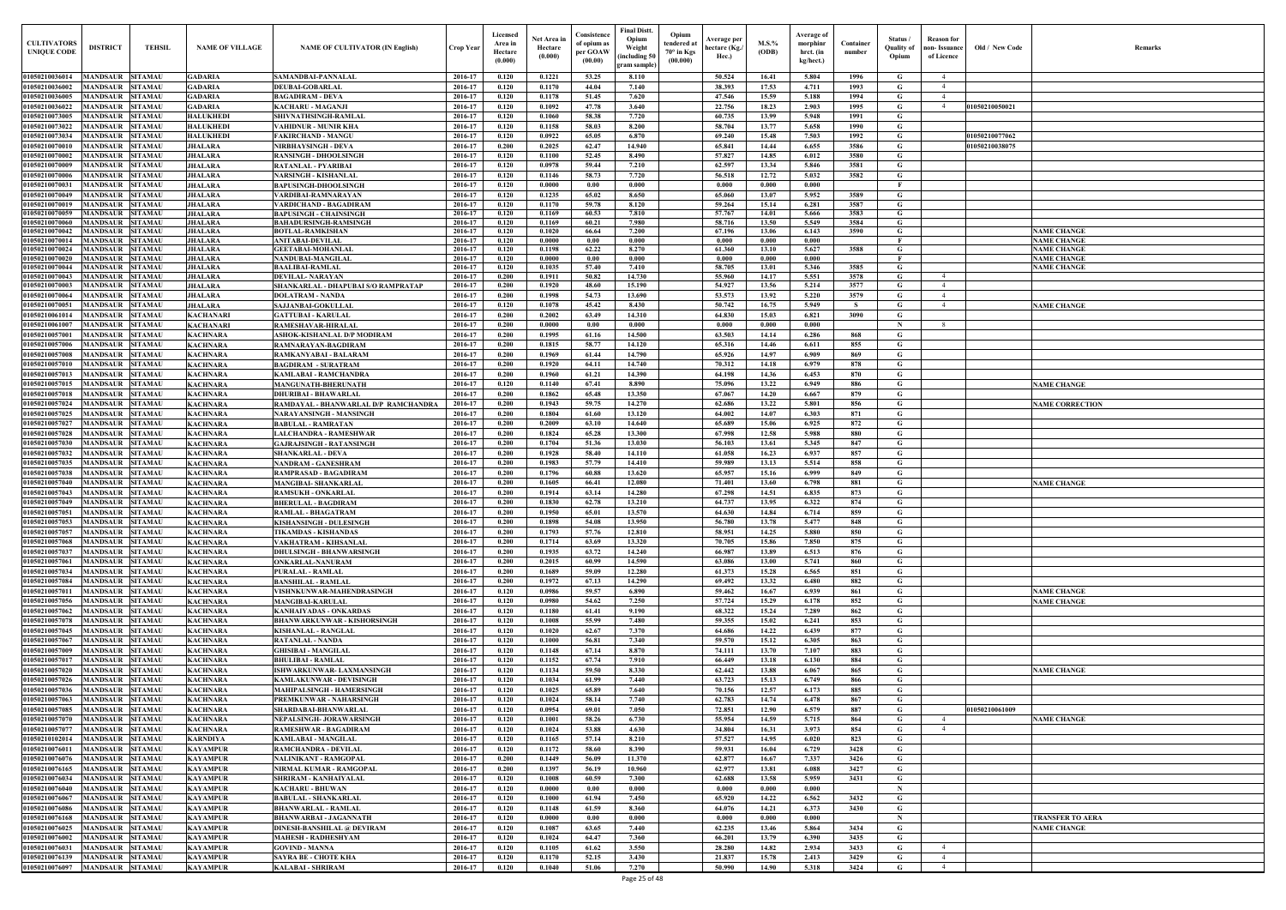| Old / New Code                 | Remarks                                  |
|--------------------------------|------------------------------------------|
|                                |                                          |
|                                |                                          |
| 1050210050021                  |                                          |
|                                |                                          |
|                                |                                          |
| 1050210077062<br>1050210038075 |                                          |
|                                |                                          |
|                                |                                          |
|                                |                                          |
|                                |                                          |
|                                |                                          |
|                                |                                          |
|                                |                                          |
|                                | <b>NAME CHANGE</b><br><b>NAME CHANGE</b> |
|                                | <b>NAME CHANGE</b>                       |
|                                | <b>NAME CHANGE</b><br><b>NAME CHANGE</b> |
|                                |                                          |
|                                |                                          |
|                                |                                          |
|                                | <b>NAME CHANGE</b>                       |
|                                |                                          |
|                                |                                          |
|                                |                                          |
|                                |                                          |
|                                |                                          |
|                                | <b>NAME CHANGE</b>                       |
|                                |                                          |
|                                | <b>NAME CORRECTION</b>                   |
|                                |                                          |
|                                |                                          |
|                                |                                          |
|                                |                                          |
|                                |                                          |
|                                | <b>NAME CHANGE</b>                       |
|                                |                                          |
|                                |                                          |
|                                |                                          |
|                                |                                          |
|                                |                                          |
|                                |                                          |
|                                |                                          |
|                                |                                          |
|                                | <b>NAME CHANGE</b>                       |
|                                | <b>NAME CHANGE</b>                       |
|                                |                                          |
|                                |                                          |
|                                |                                          |
|                                |                                          |
|                                | <b>NAME CHANGE</b>                       |
|                                |                                          |
|                                |                                          |
|                                |                                          |
| 1050210061009                  | <b>NAME CHANGE</b>                       |
|                                |                                          |
|                                |                                          |
|                                |                                          |
|                                |                                          |
|                                |                                          |
|                                |                                          |
|                                |                                          |
|                                |                                          |
|                                | TRANSFER TO AERA<br><b>NAME CHANGE</b>   |
|                                |                                          |
|                                |                                          |
|                                |                                          |

| <b>CULTIVATORS</b><br><b>UNIQUE CODE</b> | <b>DISTRICT</b>                      | <b>TEHSIL</b>                    | <b>NAME OF VILLAGE</b>             | <b>NAME OF CULTIVATOR (IN English)</b>                              | Crop Year          | Licensed<br>Area in<br>Hectare<br>(0.000) | Net Area in<br>Hectare<br>(0.000) | Consistence<br>of opium as<br>per GOAW<br>(00.00) | <b>Final Distt.</b><br>Opium<br>Weight<br>including 50<br>gram sample) | Opium<br>tendered at<br>$70^\circ$ in Kgs<br>(00.000) | Average per<br>hectare (Kg./<br>Hec.) | M.S.%<br>(ODB) | Average of<br>morphinr<br>hrct. (in<br>kg/hect.) | Container<br>number | Status /<br><b>Quality of</b><br>Opium | Reason for<br>non- Issuance<br>of Licence | Old / New Code | <b>Remark</b>                            |
|------------------------------------------|--------------------------------------|----------------------------------|------------------------------------|---------------------------------------------------------------------|--------------------|-------------------------------------------|-----------------------------------|---------------------------------------------------|------------------------------------------------------------------------|-------------------------------------------------------|---------------------------------------|----------------|--------------------------------------------------|---------------------|----------------------------------------|-------------------------------------------|----------------|------------------------------------------|
| 01050210036014                           | MANDSAUR                             | <b>SITAMAU</b>                   | <b>GADARIA</b>                     | SAMANDBAI-PANNALAL                                                  | 2016-17            | 0.120                                     | 0.1221                            | 53.25                                             | 8.110                                                                  |                                                       | 50.524                                | 16.41          | 5.804                                            | 1996                | G                                      |                                           |                |                                          |
| 01050210036002                           | MANDSAUR                             | <b>SITAMAU</b>                   | <b>GADARIA</b>                     | <b>DEUBAI-GOBARLAI</b>                                              | 2016-17            | 0.120                                     | 0.1170                            | 44.04                                             | 7.140                                                                  |                                                       | 38.393                                | 17.53          | 4.711                                            | 1993                | G                                      |                                           |                |                                          |
| 01050210036005                           | <b>MANDSAUR</b>                      | <b>SITAMAU</b>                   | <b>GADARIA</b>                     | <b>BAGADIRAM - DEVA</b>                                             | 2016-17            | 0.120                                     | 0.1178                            | 51.45                                             | 7.620                                                                  |                                                       | 47.546                                | 15.59          | 5.188                                            | 1994                | G                                      |                                           |                |                                          |
| 01050210036022<br>01050210073005         | <b>MANDSAUR</b><br><b>MANDSAUR</b>   | <b>SITAMAU</b><br><b>SITAMAU</b> | <b>GADARIA</b><br><b>HALUKHEDI</b> | KACHARU - MAGANJI<br>SHIVNATHSINGH-RAMLAL                           | 2016-17<br>2016-17 | 0.120<br>0.120                            | 0.1092<br>0.1060                  | 47.78<br>58.38                                    | 3.640<br>7.720                                                         |                                                       | 22.756<br>60.735                      | 18.23<br>13.99 | 2.903<br>5.948                                   | 1995<br>1991        | G<br>G                                 |                                           | 01050210050021 |                                          |
| 01050210073022                           | MANDSAUR                             | <b>SITAMAU</b>                   | <b>HALUKHEDI</b>                   | VAHIDNUR - MUNIR KHA                                                | 2016-17            | 0.120                                     | 0.1158                            | 58.03                                             | 8.200                                                                  |                                                       | 58.704                                | 13.77          | 5.658                                            | 1990                | G                                      |                                           |                |                                          |
| 01050210073034                           | <b>MANDSAUR SITAMAU</b>              |                                  | <b>HALUKHEDI</b>                   | <b>FAKIRCHAND - MANGU</b>                                           | 2016-17            | 0.120                                     | 0.0922                            | 65.05                                             | 6.870                                                                  |                                                       | 69.240                                | 15.48          | 7.503                                            | 1992                | G                                      |                                           | 01050210077062 |                                          |
| 01050210070010                           | <b>MANDSAUR</b>                      | <b>SITAMAU</b>                   | <b>JHALARA</b>                     | NIRBHAYSINGH - DEVA                                                 | 2016-17            | 0.200                                     | 0.2025                            | 62.47                                             | 14.940                                                                 |                                                       | 65.841                                | 14.44          | 6.655                                            | 3586                | G                                      |                                           | 01050210038075 |                                          |
| 01050210070002                           | MANDSAUR                             | <b>SITAMAU</b>                   | <b>JHALARA</b>                     | <b>RANSINGH - DHOOLSINGH</b>                                        | 2016-17            | 0.120                                     | 0.1100                            | 52.45                                             | 8.490                                                                  |                                                       | 57.827                                | 14.85          | 6.012                                            | 3580                | G                                      |                                           |                |                                          |
| 01050210070009<br>01050210070006         | MANDSAUR<br>MANDSAUR                 | <b>SITAMAU</b><br><b>SITAMAU</b> | <b>JHALARA</b><br><b>JHALARA</b>   | RATANLAL - PYARIBAI                                                 | 2016-17<br>2016-17 | 0.120<br>0.120                            | 0.0978<br>0.1146                  | 59.44<br>58.73                                    | 7.210<br>7.720                                                         |                                                       | 62.597<br>56.518                      | 13.34<br>12.72 | 5.846<br>5.032                                   | 3581<br>3582        | $\mathbf G$<br>G                       |                                           |                |                                          |
| 01050210070031                           | <b>MANDSAUR</b>                      | <b>SITAMAU</b>                   | <b>JHALARA</b>                     | NARSINGH - KISHANLAL<br><b>BAPUSINGH-DHOOLSINGH</b>                 | 2016-17            | 0.120                                     | 0.0000                            | 0.00                                              | 0.000                                                                  |                                                       | 0.000                                 | 0.000          | 0.000                                            |                     | $\mathbf{F}$                           |                                           |                |                                          |
| 01050210070049                           | <b>MANDSAUR</b>                      | <b>SITAMAU</b>                   | <b>JHALARA</b>                     | VARDIBAI-RAMNARAYAN                                                 | 2016-17            | 0.120                                     | 0.1235                            | 65.02                                             | 8.650                                                                  |                                                       | 65.060                                | 13.07          | 5.952                                            | 3589                | G                                      |                                           |                |                                          |
| 01050210070019                           | MANDSAUR                             | <b>SITAMAU</b>                   | <b>JHALARA</b>                     | <b>VARDICHAND - BAGADIRAM</b>                                       | 2016-17            | 0.120                                     | 0.1170                            | 59.78                                             | 8.120                                                                  |                                                       | 59.264                                | 15.14          | 6.281                                            | 3587                | G                                      |                                           |                |                                          |
| 01050210070059<br>01050210070060         | <b>MANDSAUR SITAMAU</b><br>MANDSAUR  | <b>SITAMAU</b>                   | <b>JHALARA</b><br><b>JHALARA</b>   | <b>BAPUSINGH - CHAINSINGH</b><br><b>BAHADURSINGH-RAMSINGH</b>       | 2016-17<br>2016-17 | 0.120<br>0.120                            | 0.1169<br>0.1169                  | 60.53<br>60.21                                    | 7.810<br>7.980                                                         |                                                       | 57.767<br>58.716                      | 14.01<br>13.50 | 5.666<br>5.549                                   | 3583<br>3584        | G<br>G                                 |                                           |                |                                          |
| 01050210070042                           | <b>MANDSAUR SITAMAU</b>              |                                  | <b>JHALARA</b>                     | <b>BOTLAL-RAMKISHAN</b>                                             | 2016-17            | 0.120                                     | 0.1020                            | 66.64                                             | 7.200                                                                  |                                                       | 67.196                                | 13.06          | 6.143                                            | 3590                | G                                      |                                           |                | <b>NAME CHANGE</b>                       |
| 01050210070014                           | MANDSAUR                             | <b>SITAMAU</b>                   | <b>JHALARA</b>                     | <b>ANITABAI-DEVILAL</b>                                             | 2016-17            | 0.120                                     | 0.0000                            | 0.00                                              | 0.000                                                                  |                                                       | 0.000                                 | 0.000          | 0.000                                            |                     | F                                      |                                           |                | <b>NAME CHANGE</b>                       |
| 01050210070024                           | <b>MANDSAUR SITAMAU</b>              |                                  | <b>JHALARA</b>                     | <b>GEETABAI-MOHANLAI</b>                                            | 2016-17            | 0.120                                     | 0.1198<br>0.0000                  | 62.22                                             | 8.270                                                                  |                                                       | 61.360                                | 13.10          | 5.627<br>0.000                                   | 3588                | G<br>E                                 |                                           |                | <b>NAME CHANGE</b>                       |
| 01050210070020<br>01050210070044         | MANDSAUR SITAMAL<br>MANDSAUR         | <b>SITAMAU</b>                   | <b>JHALARA</b><br><b>JHALARA</b>   | NANDUBAI-MANGILAL<br><b>BAALIBAI-RAMLAL</b>                         | 2016-17<br>2016-17 | 0.120<br>0.120                            | 0.1035                            | 0.00<br>57.40                                     | 0.000<br>7.410                                                         |                                                       | 0.000<br>58.705                       | 0.000<br>13.01 | 5.346                                            | 3585                | G                                      |                                           |                | <b>NAME CHANGE</b><br><b>NAME CHANGE</b> |
| 01050210070043                           | MANDSAUR                             | <b>SITAMAU</b>                   | <b>JHALARA</b>                     | <b>DEVILAL-NARAYAN</b>                                              | 2016-17            | 0.200                                     | 0.1911                            | 50.82                                             | 14.730                                                                 |                                                       | 55.960                                | 14.17          | 5.551                                            | 3578                | G                                      | $\overline{4}$                            |                |                                          |
| 01050210070003                           | MANDSAUR                             | <b>SITAMAU</b>                   | <b>JHALARA</b>                     | SHANKARLAL - DHAPUBAI S/O RAMPRATAP                                 | 2016-17            | 0.200                                     | 0.1920                            | 48.60                                             | 15.190                                                                 |                                                       | 54.927                                | 13.56          | 5.214                                            | 3577                | G                                      | $\overline{4}$                            |                |                                          |
| 01050210070064                           | <b>MANDSAUR</b>                      | <b>SITAMAU</b>                   | <b>JHALARA</b>                     | <b>DOLATRAM - NANDA</b>                                             | 2016-17            | 0.200                                     | 0.1998                            | 54.73                                             | 13.690                                                                 |                                                       | 53.573                                | 13.92          | 5.220                                            | 3579                | G                                      | $\overline{4}$                            |                |                                          |
| 01050210070051<br>01050210061014         | <b>MANDSAUR</b><br>MANDSAUR          | <b>SITAMAU</b><br><b>SITAMAU</b> | <b>JHALARA</b><br><b>KACHANARI</b> | <b>SAJJANBAI-GOKULLAL</b><br><b>GATTUBAI - KARULAL</b>              | 2016-17<br>2016-17 | 0.120<br>0.200                            | 0.1078<br>0.2002                  | 45.42<br>63.49                                    | 8.430<br>14.310                                                        |                                                       | 50.742<br>64.830                      | 16.75<br>15.03 | 5.949<br>6.821                                   | -S<br>3090          | G<br>G                                 | 4                                         |                | <b>NAME CHANGE</b>                       |
| 01050210061007                           | MANDSAUR                             | <b>SITAMAU</b>                   | <b>KACHANARI</b>                   | <b>RAMESHAVAR-HIRALAI</b>                                           | 2016-17            | 0.200                                     | 0.0000                            | 0.00                                              | 0.000                                                                  |                                                       | 0.000                                 | 0.000          | 0.000                                            |                     | - N                                    |                                           |                |                                          |
| 01050210057001                           | <b>MANDSAUR</b>                      | <b>SITAMAU</b>                   | <b>KACHNARA</b>                    | ASHOK-KISHANLAL D/P MODIRAM                                         | 2016-17            | 0.200                                     | 0.1995                            | 61.16                                             | 14.500                                                                 |                                                       | 63.503                                | 14.14          | 6.286                                            | 868                 | G                                      |                                           |                |                                          |
| 01050210057006                           | <b>MANDSAUR</b>                      | <b>SITAMAU</b>                   | <b>KACHNARA</b>                    | RAMNARAYAN-BAGDIRAM                                                 | 2016-17            | 0.200                                     | 0.1815                            | 58.77                                             | 14.120                                                                 |                                                       | 65.316                                | 14.46          | 6.611                                            | 855                 | G                                      |                                           |                |                                          |
| 01050210057008                           | <b>MANDSAUR</b>                      | <b>SITAMAU</b>                   | <b>KACHNARA</b>                    | RAMKANYABAI - BALARAM                                               | 2016-17            | 0.200                                     | 0.1969                            | 61.44                                             | 14.790                                                                 |                                                       | 65.926                                | 14.97          | 6.909                                            | 869                 | G                                      |                                           |                |                                          |
| 01050210057010<br>01050210057013         | MANDSAUR<br><b>MANDSAUR</b>          | <b>SITAMAU</b><br><b>SITAMAU</b> | <b>KACHNARA</b><br><b>KACHNARA</b> | <b>BAGDIRAM - SURATRAM</b><br><b>KAMLABAI - RAMCHANDRA</b>          | 2016-17<br>2016-17 | 0.200<br>0.200                            | 0.1920<br>0.1960                  | 64.11<br>61.21                                    | 14.740<br>14.390                                                       |                                                       | 70.312<br>64.198                      | 14.18<br>14.36 | 6.979<br>6.453                                   | 878<br>870          | G<br>G                                 |                                           |                |                                          |
| 01050210057015                           | <b>MANDSAUR</b>                      | <b>SITAMAU</b>                   | <b>KACHNARA</b>                    | <b>MANGUNATH-BHERUNATH</b>                                          | 2016-17            | 0.120                                     | 0.1140                            | 67.41                                             | 8.890                                                                  |                                                       | 75.096                                | 13.22          | 6.949                                            | 886                 | G                                      |                                           |                | <b>NAME CHANGE</b>                       |
| 01050210057018                           | <b>MANDSAUR</b>                      | <b>SITAMAU</b>                   | <b>KACHNARA</b>                    | <b>DHURIBAI - BHAWARLAL</b>                                         | 2016-17            | 0.200                                     | 0.1862                            | 65.48                                             | 13.350                                                                 |                                                       | 67.067                                | 14.20          | 6.667                                            | 879                 | $\mathbf G$                            |                                           |                |                                          |
| 01050210057024                           | <b>MANDSAUR</b>                      | <b>SITAMAU</b>                   | <b>KACHNARA</b>                    | RAMDAYAL - BHANWARLAL D/P RAMCHANDRA                                | 2016-17            | 0.200                                     | 0.1943                            | 59.75                                             | 14.270                                                                 |                                                       | 62.686                                | 13.22          | 5.801                                            | 856                 | G                                      |                                           |                | <b>NAME CORRECTION</b>                   |
| 01050210057025                           | MANDSAUR                             | <b>SITAMAU</b>                   | <b>KACHNARA</b>                    | NARAYANSINGH - MANSINGH                                             | 2016-17            | 0.200                                     | 0.1804                            | 61.60                                             | 13.120                                                                 |                                                       | 64.002                                | 14.07          | 6.303                                            | 871                 | G                                      |                                           |                |                                          |
| 0105021005702<br>01050210057028          | <b>MANDSAUR</b><br>MANDSAUR          | SITAMAU<br><b>SITAMAU</b>        | KACHNARA                           | <b>BABULAL - RAMRATAN</b>                                           | 2016-17<br>2016-17 | 0.200<br>0.200                            | 0.2009<br>0.1824                  | 63.10<br>65.28                                    | 14.640<br>13.300                                                       |                                                       | 65.689<br>67.998                      | 15.06<br>12.58 | 6.925<br>5.988                                   | 872<br>880          | G<br>G                                 |                                           |                |                                          |
| 01050210057030                           | MANDSAUR                             | <b>SITAMAU</b>                   | <b>KACHNARA</b><br>KACHNARA        | LALCHANDRA - RAMESHWAR<br><b>GAJRAJSINGH - RATANSINGH</b>           | 2016-17            | 0.200                                     | 0.1704                            | 51.36                                             | 13.030                                                                 |                                                       | 56.103                                | 13.61          | 5.345                                            | 847                 | G                                      |                                           |                |                                          |
| 01050210057032                           | <b>MANDSAUR</b>                      | <b>SITAMAU</b>                   | <b>KACHNARA</b>                    | <b>SHANKARLAL - DEVA</b>                                            | 2016-17            | 0.200                                     | 0.1928                            | 58.40                                             | 14.110                                                                 |                                                       | 61.058                                | 16.23          | 6.937                                            | 857                 | G                                      |                                           |                |                                          |
| 01050210057035                           | <b>MANDSAUR</b>                      | <b>SITAMAU</b>                   | <b>KACHNARA</b>                    | <b>NANDRAM - GANESHRAM</b>                                          | 2016-17            | 0.200                                     | 0.1983                            | 57.79                                             | 14.410                                                                 |                                                       | 59.989                                | 13.13          | 5.514                                            | 858                 | G                                      |                                           |                |                                          |
| 01050210057038                           | <b>MANDSAUR SITAMAU</b>              |                                  | <b>KACHNARA</b>                    | RAMPRASAD - BAGADIRAM                                               | 2016-17            | 0.200                                     | 0.1796                            | 60.88                                             | 13.620                                                                 |                                                       | 65.957                                | 15.16          | 6.999                                            | 849                 | G                                      |                                           |                |                                          |
| 01050210057040                           | MANDSAUR                             | <b>SITAMAU</b>                   | <b>KACHNARA</b>                    | <b>MANGIBAI- SHANKARLAL</b>                                         | 2016-17            | 0.200<br>0.200                            | 0.1605                            | 66.41                                             | 12.080                                                                 |                                                       | 71.401                                | 13.60          | 6.798                                            | 881                 | G                                      |                                           |                | <b>NAME CHANGE</b>                       |
| 01050210057043<br>01050210057049         | MANDSAUR SITAMAU<br>MANDSAUR SITAMAU |                                  | <b>KACHNARA</b><br><b>KACHNARA</b> | <b>RAMSUKH - ONKARLAL</b><br><b>BHERULAL - BAGDIRAM</b>             | 2016-17<br>2016-17 | 0.200                                     | 0.1914<br>0.1830                  | 63.14<br>62.78                                    | 14.280<br>13.210                                                       |                                                       | 67.298<br>64.737                      | 14.51<br>13.95 | 6.835<br>6.322                                   | 873<br>874          | G<br>G                                 |                                           |                |                                          |
| 01050210057051                           | MANDSAUR SITAMAU                     |                                  | <b>KACHNARA</b>                    | <b>RAMLAL - BHAGATRAM</b>                                           | 2016-17            | 0.200                                     | 0.1950                            | 65.01                                             | 13.570                                                                 |                                                       | 64.630                                | 14.84          | 6.714                                            | 859                 | G                                      |                                           |                |                                          |
| 01050210057053                           | <b>MANDSAUR</b>                      | <b>SITAMAU</b>                   | <b>KACHNARA</b>                    | KISHANSINGH - DULESINGH                                             | 2016-17            | 0.200                                     | 0.1898                            | 54.08                                             | 13.950                                                                 |                                                       | 56.780                                | 13.78          | 5.477                                            | 848                 | G                                      |                                           |                |                                          |
| 01050210057057                           | <b>MANDSAUR SITAMAU</b>              |                                  | <b>KACHNARA</b>                    | <b>TIKAMDAS - KISHANDAS</b>                                         | 2016-17            | 0.200                                     | 0.1793                            | 57.76                                             | 12.810                                                                 |                                                       | 58.951                                | 14.25          | 5.880                                            | 850                 | G                                      |                                           |                |                                          |
| 01050210057068                           | MANDSAUR                             | <b>SITAMAU</b>                   | <b>KACHNARA</b>                    | VAKHATRAM - KIHSANLAL                                               | 2016-17            | 0.200                                     | 0.1714                            | 63.69                                             | 13.320                                                                 |                                                       | 70.705                                | 15.86          | 7.850                                            | 875                 | G                                      |                                           |                |                                          |
| 01050210057037<br>01050210057061         | <b>MANDSAUR</b><br><b>MANDSAUR</b>   | <b>SITAMAU</b><br><b>SITAMAU</b> | <b>KACHNARA</b><br><b>KACHNARA</b> | <b>DHULSINGH - BHANWARSINGH</b><br><b>ONKARLAL-NANURAM</b>          | 2016-17<br>2016-17 | 0.200<br>0.200                            | 0.1935<br>0.2015                  | 63.72<br>60.99                                    | 14.240<br>14.590                                                       |                                                       | 66.987<br>63.086                      | 13.89<br>13.00 | 6.513<br>5.741                                   | 876<br>860          | G<br>$\mathbf G$                       |                                           |                |                                          |
| 01050210057034                           | <b>MANDSAUR</b>                      | <b>SITAMAU</b>                   | <b>KACHNARA</b>                    | <b>PURALAL - RAMLAL</b>                                             | 2016-17            | 0.200                                     | 0.1689                            | 59.09                                             | 12.280                                                                 |                                                       | 61.373                                | 15.28          | 6.565                                            | 851                 | G                                      |                                           |                |                                          |
| 01050210057084                           | <b>MANDSAUR</b>                      | <b>SITAMAU</b>                   | <b>KACHNARA</b>                    | <b>BANSHILAL - RAMLAL</b>                                           | 2016-17            | 0.200                                     | 0.1972                            | 67.13                                             | 14.290                                                                 |                                                       | 69.492                                | 13.32          | 6.480                                            | 882                 | $\mathbf G$                            |                                           |                |                                          |
| 01050210057011                           | <b>MANDSAUR</b>                      | <b>SITAMAU</b>                   | <b>KACHNARA</b>                    | VISHNKUNWAR-MAHENDRASINGH                                           | 2016-17            | 0.120                                     | 0.0986                            | 59.57                                             | 6.890                                                                  |                                                       | 59.462                                | 16.67          | 6.939                                            | 861                 | G                                      |                                           |                | <b>NAME CHANGE</b>                       |
| 01050210057056                           | <b>MANDSAUR</b>                      | <b>SITAMAU</b>                   | <b>KACHNARA</b>                    | <b>MANGIBAI-KARULAL</b>                                             | 2016-17            | 0.120                                     | 0.0980                            | 54.62                                             | 7.250                                                                  |                                                       | 57,724                                | 15.29          | 6.178                                            | 852                 | G                                      |                                           |                | <b>NAME CHANGE</b>                       |
| 01050210057062<br>01050210057078         | <b>MANDSAUR</b><br><b>MANDSAUR</b>   | <b>SITAMAU</b><br><b>SITAMAU</b> | <b>KACHNARA</b><br><b>KACHNARA</b> | <b>KANHAIYADAS - ONKARDAS</b><br><b>BHANWARKUNWAR - KISHORSINGH</b> | 2016-17<br>2016-17 | 0.120<br>0.120                            | 0.1180<br>0.1008                  | 61.41<br>55.99                                    | 9.190<br>7.480                                                         |                                                       | 68.322<br>59.355                      | 15,24<br>15.02 | 7.289<br>6.241                                   | 862<br>853          | G<br>$\mathbf G$                       |                                           |                |                                          |
| 01050210057045                           | <b>MANDSAUR</b>                      | <b>SITAMAU</b>                   | <b>KACHNARA</b>                    | <b>KISHANLAL - RANGLAL</b>                                          | 2016-17            | 0.120                                     | 0.1020                            | 62.67                                             | 7.370                                                                  |                                                       | 64.686                                | 14.22          | 6.439                                            | 877                 | $\mathbf G$                            |                                           |                |                                          |
| 01050210057067                           | <b>MANDSAUR</b>                      | <b>SITAMAU</b>                   | <b>KACHNARA</b>                    | <b>RATANLAL - NANDA</b>                                             | 2016-17            | 0.120                                     | 0.1000                            | 56.81                                             | 7.340                                                                  |                                                       | 59.570                                | 15.12          | 6.305                                            | 863                 | $\mathbf G$                            |                                           |                |                                          |
| 01050210057009                           | <b>MANDSAUR</b>                      | <b>SITAMAU</b>                   | <b>KACHNARA</b>                    | <b>GHISIBAI - MANGILAL</b>                                          | 2016-17            | 0.120                                     | 0.1148                            | 67.14                                             | 8.870                                                                  |                                                       | 74.111                                | 13.70          | 7.107                                            | 883                 | $\mathbf G$                            |                                           |                |                                          |
| 0105021005701                            | <b>MANDSAUR</b>                      | <b>SITAMAU</b>                   | <b>KACHNARA</b>                    | <b>BHULIBAI - RAMLAL</b>                                            | 2016-17            | 0.120                                     | 0.1152                            | 67.74                                             | 7.910                                                                  |                                                       | 66.449                                | 13.18          | 6.130                                            | 884                 | G                                      |                                           |                |                                          |
| 01050210057020<br>01050210057026         | <b>MANDSAUR</b><br>MANDSAUR          | <b>SITAMAU</b><br><b>SITAMAU</b> | <b>KACHNARA</b><br><b>KACHNARA</b> | ISHWARKUNWAR- LAXMANSINGH<br><b>KAMLAKUNWAR - DEVISINGH</b>         | 2016-17<br>2016-17 | 0.120<br>0.120                            | 0.1134<br>0.1034                  | 59.50<br>61.99                                    | 8.330<br>7.440                                                         |                                                       | 62,442<br>63.723                      | 13.88<br>15.13 | 6.067<br>6.749                                   | 865<br>866          | G<br>G                                 |                                           |                | <b>NAME CHANGE</b>                       |
| 01050210057036                           | <b>MANDSAUR</b>                      | <b>SITAMAU</b>                   | <b>KACHNARA</b>                    | <b>MAHIPALSINGH - HAMERSINGH</b>                                    | 2016-17            | 0.120                                     | 0.1025                            | 65.89                                             | 7.640                                                                  |                                                       | 70.156                                | 12.57          | 6.173                                            | 885                 | G                                      |                                           |                |                                          |
| 01050210057063                           | <b>MANDSAUR SITAMAU</b>              |                                  | <b>KACHNARA</b>                    | PREMKUNWAR - NAHARSINGH                                             | 2016-17            | 0.120                                     | 0.1024                            | 58.14                                             | 7.740                                                                  |                                                       | 62.783                                | 14.74          | 6.478                                            | 867                 | G                                      |                                           |                |                                          |
| 01050210057085                           | <b>MANDSAUR</b>                      | <b>SITAMAU</b>                   | <b>KACHNARA</b>                    | SHARDABAI-BHANWARLAL                                                | 2016-17            | 0.120                                     | 0.0954                            | 69.01                                             | 7.050                                                                  |                                                       | 72.851                                | 12.90          | 6.579                                            | 887                 | G                                      |                                           | 01050210061009 |                                          |
| 01050210057070                           | MANDSAUR SITAMAU                     |                                  | <b>KACHNARA</b>                    | NEPALSINGH- JORAWARSINGH                                            | 2016-17            | 0.120                                     | 0.1001                            | 58.26                                             | 6.730                                                                  |                                                       | 55.954                                | 14.59          | 5.715                                            | 864                 | G                                      | $\overline{4}$                            |                | <b>NAME CHANGE</b>                       |
| 01050210057077<br>01050210102014         | <b>MANDSAUR</b><br>MANDSAUR SITAMAU  | <b>SITAMAU</b>                   | <b>KACHNARA</b><br><b>KARNDIYA</b> | <b>RAMESHWAR - BAGADIRAM</b>                                        | 2016-17<br>2016-17 | 0.120<br>0.120                            | 0.1024<br>0.1165                  | 53.88<br>57.14                                    | 4.630<br>8.210                                                         |                                                       | 34.804<br>57.527                      | 16.31<br>14.95 | 3.973<br>6.020                                   | 854<br>823          | G<br>G                                 | 4                                         |                |                                          |
| 01050210076011                           | <b>MANDSAUR</b>                      | <b>SITAMAU</b>                   | <b>KAYAMPUR</b>                    | KAMLABAI - MANGILAL<br><b>RAMCHANDRA - DEVILAL</b>                  | 2016-17            | 0.120                                     | 0.1172                            | 58.60                                             | 8.390                                                                  |                                                       | 59.931                                | 16.04          | 6.729                                            | 3428                | $\mathbf G$                            |                                           |                |                                          |
| 01050210076076                           | MANDSAUR SITAMAU                     |                                  | <b>KAYAMPUR</b>                    | NALINIKANT - RAMGOPAL                                               | 2016-17            | 0.200                                     | 0.1449                            | 56.09                                             | 11.370                                                                 |                                                       | 62.877                                | 16.67          | 7.337                                            | 3426                | G                                      |                                           |                |                                          |
| 01050210076165                           | <b>MANDSAUR</b>                      | <b>SITAMAU</b>                   | <b>KAYAMPUR</b>                    | NIRMAL KUMAR - RAMGOPAL                                             | 2016-17            | 0.200                                     | 0.1397                            | 56.19                                             | 10.960                                                                 |                                                       | 62.977                                | 13.81          | 6.088                                            | 3427                | G                                      |                                           |                |                                          |
| 01050210076034                           | <b>MANDSAUR</b>                      | <b>SITAMAU</b>                   | <b>KAYAMPUR</b>                    | SHRIRAM - KANHAIYALAL                                               | 2016-17            | 0.120                                     | 0.1008                            | 60.59                                             | 7.300                                                                  |                                                       | 62.688                                | 13.58          | 5.959                                            | 3431                | G                                      |                                           |                |                                          |
| 01050210076040                           | <b>MANDSAUR</b>                      | <b>SITAMAU</b>                   | <b>KAYAMPUR</b>                    | <b>KACHARU - BHUWAN</b>                                             | 2016-17            | 0.120                                     | 0.0000                            | 0.00                                              | 0.000                                                                  |                                                       | 0.000                                 | 0.000          | 0.000                                            |                     | $\mathbf N$                            |                                           |                |                                          |
| 01050210076067<br>01050210076086         | <b>MANDSAUR</b><br><b>MANDSAUR</b>   | <b>SITAMAU</b><br><b>SITAMAU</b> | <b>KAYAMPUR</b><br><b>KAYAMPUR</b> | <b>BABULAL - SHANKARLAL</b><br><b>BHANWARLAL - RAMLAL</b>           | 2016-17<br>2016-17 | 0.120<br>0.120                            | 0.1000<br>0.1148                  | 61.94<br>61.59                                    | 7.450<br>8.360                                                         |                                                       | 65.920<br>64.076                      | 14.22<br>14.21 | 6.562<br>6.373                                   | 3432<br>3430        | G<br>G                                 |                                           |                |                                          |
| 01050210076168                           | <b>MANDSAUR</b>                      | <b>SITAMAU</b>                   | <b>KAYAMPUR</b>                    | <b>BHANWARBAI - JAGANNATH</b>                                       | 2016-17            | 0.120                                     | 0.0000                            | 0.00                                              | 0.000                                                                  |                                                       | 0.000                                 | 0.000          | 0.000                                            |                     | $\mathbf N$                            |                                           |                | TRANSFER TO AERA                         |
| 01050210076025                           | <b>MANDSAUR</b>                      | <b>SITAMAU</b>                   | <b>KAYAMPUR</b>                    | <b>DINESH-BANSHILAL @ DEVIRAM</b>                                   | 2016-17            | 0.120                                     | 0.1087                            | 63.65                                             | 7.440                                                                  |                                                       | 62.235                                | 13.46          | 5.864                                            | 3434                | $\mathbf G$                            |                                           |                | <b>NAME CHANGE</b>                       |
| 01050210076002                           | <b>MANDSAUR</b>                      | <b>SITAMAU</b>                   | <b>KAYAMPUR</b>                    | <b>MAHESH - RADHESHYAM</b>                                          | 2016-17            | 0.120                                     | 0.1024                            | 64.47                                             | 7.360                                                                  |                                                       | 66.201                                | 13.79          | 6.390                                            | 3435                | G                                      |                                           |                |                                          |
| 01050210076031                           | <b>MANDSAUR SITAMAU</b>              |                                  | <b>KAYAMPUR</b>                    | <b>GOVIND - MANNA</b>                                               | 2016-17            | 0.120                                     | 0.1105                            | 61.62                                             | 3.550                                                                  |                                                       | 28.280                                | 14.82          | 2.934                                            | 3433                | G                                      | $\overline{4}$                            |                |                                          |
| 01050210076139<br>01050210076097         | <b>MANDSAUR</b><br>MANDSAUR SITAMAU  | <b>SITAMAU</b>                   | <b>KAYAMPUR</b>                    | <b>SAYRA BE - CHOTE KHA</b>                                         | 2016-17<br>2016-17 | 0.120<br>0.120                            | 0.1170<br>0.1040                  | 52.15<br>51.06                                    | 3.430<br>7.270                                                         |                                                       | 21.837<br>50.990                      | 15.78<br>14.90 | 2.413<br>5.318                                   | 3429<br>3424        | G<br>$\mathbf G$                       | $\overline{4}$<br>$\overline{4}$          |                |                                          |
|                                          |                                      |                                  | <b>KAYAMPUR</b>                    | <b>KALABAI - SHRIRAM</b>                                            |                    |                                           |                                   |                                                   |                                                                        |                                                       |                                       |                |                                                  |                     |                                        |                                           |                |                                          |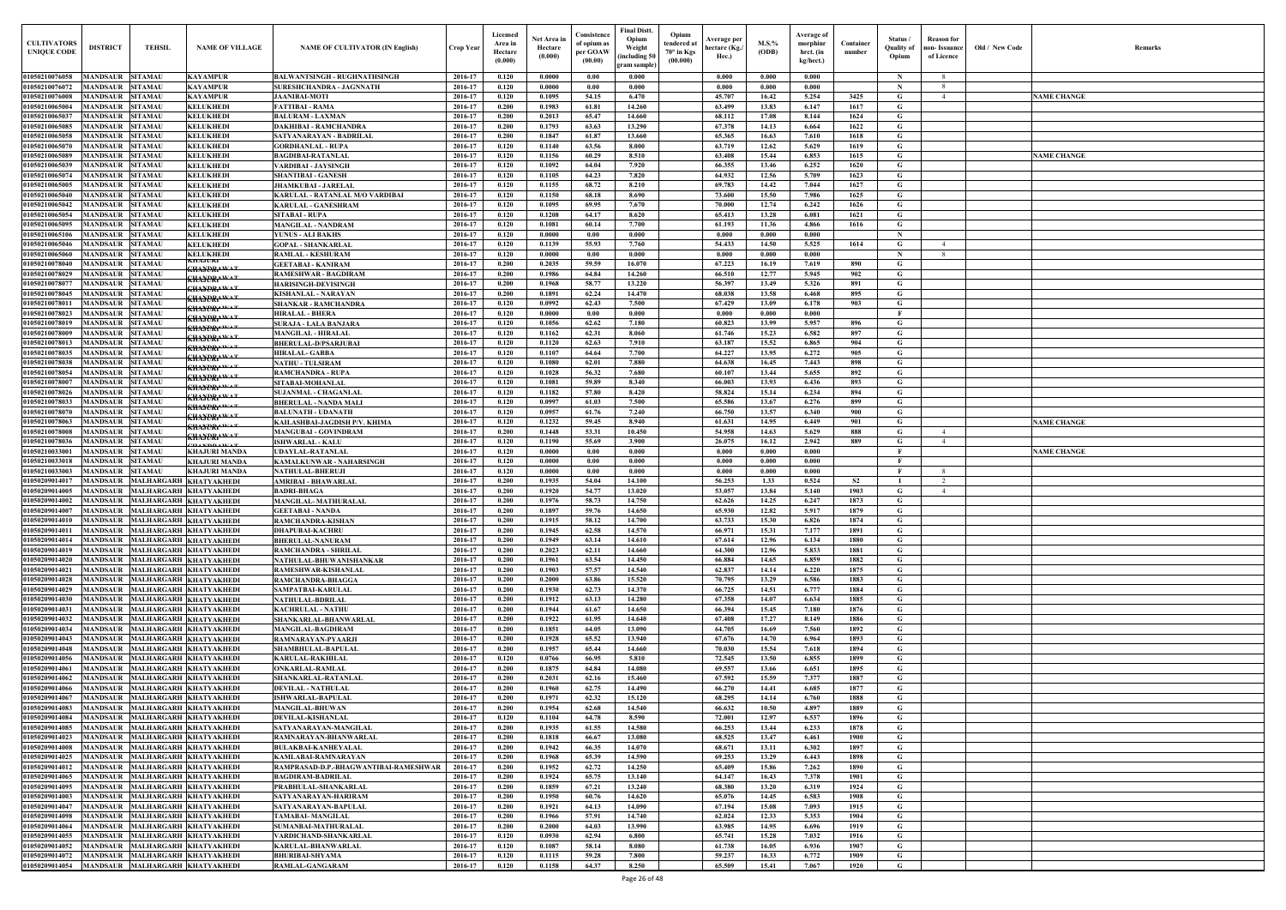| Old / New Code | Remarks            |
|----------------|--------------------|
|                | <b>NAME CHANGE</b> |
|                |                    |
|                | <b>NAME CHANGE</b> |
|                |                    |
|                |                    |
|                |                    |
|                |                    |
|                |                    |
|                |                    |
|                |                    |
|                |                    |
|                |                    |
|                | <b>NAME CHANGE</b> |
|                | <b>NAME CHANGE</b> |
|                |                    |
|                |                    |
|                |                    |
|                |                    |
|                |                    |
|                |                    |
|                |                    |
|                |                    |
|                |                    |
|                |                    |
|                |                    |
|                |                    |
|                |                    |
|                |                    |
|                |                    |
|                |                    |

| <b>CULTIVATORS</b><br><b>UNIQUE CODE</b> | <b>DISTRICT</b>                                                        | <b>TEHSIL</b>  | <b>NAME OF VILLAGE</b>                           | <b>NAME OF CULTIVATOR (IN English)</b>                       | Crop Year          | Licensed<br>Area in<br>Hectare<br>(0.000) | Net Area in<br>Hectare<br>(0.000) | Consistence<br>of opium as<br>per GOAW<br>(00.00) | <b>Final Distt.</b><br>Opium<br>Weight<br>including 50<br>gram sample) | Opium<br>tendered at<br>$70^{\circ}$ in Kgs<br>(00.000) | Average per<br>hectare (Kg./<br>Hec.) | M.S.%<br>(ODB) | Average of<br>morphinr<br>hrct. (in<br>kg/hect.) | Container<br>number | Status /<br>Quality of<br>Opium | Reason for<br>non- Issuance  <br>of Licence | Old / New Code | <b>Remark</b>      |
|------------------------------------------|------------------------------------------------------------------------|----------------|--------------------------------------------------|--------------------------------------------------------------|--------------------|-------------------------------------------|-----------------------------------|---------------------------------------------------|------------------------------------------------------------------------|---------------------------------------------------------|---------------------------------------|----------------|--------------------------------------------------|---------------------|---------------------------------|---------------------------------------------|----------------|--------------------|
| 01050210076058                           | MANDSAUR<br><b>SITAMAU</b>                                             |                | KAYAMPUR                                         | <b>BALWANTSINGH - RUGHNATHSINGH</b>                          | 2016-17            | 0.120                                     | 0.0000                            | 0.00                                              | 0.000                                                                  |                                                         | 0.000                                 | 0.000          | 0.000                                            |                     | - N                             |                                             |                |                    |
| 01050210076072                           | MANDSAUR<br><b>SITAMAU</b>                                             |                | KAYAMPUR                                         | SURESHCHANDRA - JAGNNATH                                     | 2016-17            | 0.120                                     | 0.0000                            | 0.00                                              | 0.000                                                                  |                                                         | 0.000                                 | 0.000          | 0.000                                            |                     | -N                              |                                             |                |                    |
| 01050210076008                           | MANDSAUR<br><b>SITAMAU</b>                                             |                | <b>KAYAMPUR</b>                                  | <b>JAANIBAI-MOTI</b>                                         | 2016-17            | 0.120                                     | 0.1095                            | 54.15                                             | 6.470                                                                  |                                                         | 45.707                                | 16.42          | 5.254                                            | 3425                | G                               |                                             |                | <b>NAME CHANGE</b> |
| 01050210065004<br>01050210065037         | MANDSAUR<br><b>SITAMAU</b><br><b>MANDSAUR SITAMAU</b>                  |                | <b>KELUKHEDI</b><br><b>KELUKHEDI</b>             | <b>FATTIBAI - RAMA</b><br><b>BALURAM - LAXMAN</b>            | 2016-17<br>2016-17 | 0.200<br>0.200                            | 0.1983<br>0.2013                  | 61.81<br>65.47                                    | 14.260<br>14.660                                                       |                                                         | 63.499<br>68.112                      | 13.83<br>17.08 | 6.147<br>8.144                                   | 1617<br>1624        | G<br>G                          |                                             |                |                    |
| 01050210065085                           | MANDSAUR<br><b>SITAMAU</b>                                             |                | <b>KELUKHEDI</b>                                 | <b>DAKHIBAI - RAMCHANDRA</b>                                 | 2016-17            | 0.200                                     | 0.1793                            | 63.63                                             | 13.290                                                                 |                                                         | 67.378                                | 14.13          | 6.664                                            | 1622                | G                               |                                             |                |                    |
| 01050210065058                           | <b>MANDSAUR SITAMAU</b>                                                |                | <b>KELUKHEDI</b>                                 | SATYANARAYAN - BADRILAL                                      | 2016-17            | 0.200                                     | 0.1847                            | 61.87                                             | 13.660                                                                 |                                                         | 65.365                                | 16.63          | 7.610                                            | 1618                | G                               |                                             |                |                    |
| 01050210065070                           | MANDSAUR<br><b>SITAMAU</b>                                             |                | <b>KELUKHEDI</b>                                 | <b>GORDHANLAL - RUPA</b>                                     | 2016-17            | 0.120                                     | 0.1140                            | 63.56                                             | 8.000                                                                  |                                                         | 63.719                                | 12.62          | 5.629                                            | 1619                | G                               |                                             |                |                    |
| 01050210065089                           | MANDSAUR<br><b>SITAMAU</b>                                             |                | <b>KELUKHEDI</b>                                 | <b>BAGDIBAI-RATANLAL</b>                                     | 2016-17            | 0.120                                     | 0.1156                            | 60.29                                             | 8.510                                                                  |                                                         | 63.408                                | 15.44          | 6.853                                            | 1615                | G                               |                                             |                | <b>NAME CHANGE</b> |
| 01050210065039<br>01050210065074         | MANDSAUR<br><b>SITAMAU</b><br>MANDSAUR<br><b>SITAMAU</b>               |                | <b>KELUKHEDI</b><br><b>KELUKHEDI</b>             | <b>VARDIBAI - JAYSINGH</b><br><b>SHANTIBAI - GANESH</b>      | 2016-17<br>2016-17 | 0.120<br>0.120                            | 0.1092<br>0.1105                  | 64.04<br>64.23                                    | 7.920<br>7.820                                                         |                                                         | 66.355<br>64.932                      | 13.46<br>12.56 | 6.252<br>5.709                                   | 1620<br>1623        | $\mathbf G$<br>G                |                                             |                |                    |
| 01050210065005                           | <b>MANDSAUR</b><br><b>SITAMAU</b>                                      |                | <b>KELUKHEDI</b>                                 | <b>JHAMKUBAI - JARELAL</b>                                   | 2016-17            | 0.120                                     | 0.1155                            | 68.72                                             | 8.210                                                                  |                                                         | 69.783                                | 14.42          | 7.044                                            | 1627                | G                               |                                             |                |                    |
| 01050210065040                           | <b>SITAMAU</b><br>MANDSAUR                                             |                | <b>KELUKHEDI</b>                                 | <b>KARULAL - RATANLAL M/O VARDIBAI</b>                       | 2016-17            | 0.120                                     | 0.1150                            | 68.18                                             | 8.690                                                                  |                                                         | 73.600                                | 15.50          | 7.986                                            | 1625                | G                               |                                             |                |                    |
| 01050210065042                           | <b>MANDSAUR</b><br><b>SITAMAU</b>                                      |                | <b>KELUKHEDI</b>                                 | <b>KARULAL - GANESHRAM</b>                                   | 2016-17            | 0.120                                     | 0.1095                            | 69.95                                             | 7.670                                                                  |                                                         | 70.000                                | 12.74          | 6.242                                            | 1626                | G                               |                                             |                |                    |
| 01050210065054<br>01050210065095         | <b>MANDSAUR</b><br><b>SITAMAU</b>                                      |                | <b>KELUKHEDI</b>                                 | <b>SITABAI - RUPA</b>                                        | 2016-17            | 0.120<br>0.120                            | 0.1208                            | 64.17                                             | 8.620                                                                  |                                                         | 65.413                                | 13.28          | 6.081<br>4.866                                   | 1621                | G                               |                                             |                |                    |
| 01050210065106                           | <b>MANDSAUR</b><br><b>SITAMAU</b><br>MANDSAUR<br><b>SITAMAU</b>        |                | <b>KELUKHEDI</b><br><b>KELUKHEDI</b>             | <b>MANGILAL - NANDRAM</b><br><b>YUNUS - ALI BAKHS</b>        | 2016-17<br>2016-17 | 0.120                                     | 0.1081<br>0.0000                  | 60.14<br>0.00                                     | 7.700<br>0.000                                                         |                                                         | 61.193<br>0.000                       | 11.36<br>0.000 | 0.000                                            | 1616                | G<br>- N                        |                                             |                |                    |
| 01050210065046                           | MANDSAUR<br><b>SITAMAU</b>                                             |                | <b>KELUKHEDI</b>                                 | <b>GOPAL - SHANKARLAL</b>                                    | 2016-17            | 0.120                                     | 0.1139                            | 55.93                                             | 7.760                                                                  |                                                         | 54.433                                | 14.50          | 5.525                                            | 1614                | G                               | $\overline{4}$                              |                |                    |
| 01050210065060                           | <b>MANDSAUR</b><br><b>SITAMAU</b>                                      |                | <b>KELUKHEDI</b>                                 | <b>RAMLAL - KESHURAM</b>                                     | 2016-17            | 0.120                                     | 0.0000                            | 0.00                                              | 0.000                                                                  |                                                         | 0.000                                 | 0.000          | 0.000                                            |                     | $\mathbf N$                     | -8                                          |                |                    |
| 01050210078040                           | <b>MANDSAUR</b><br><b>SITAMAU</b>                                      |                | RHAJURI<br><del>khaydrawat</del>                 | <b>GEETABAI - KANIRAM</b>                                    | 2016-17            | 0.200                                     | 0.2035                            | 59.59                                             | 16.070                                                                 |                                                         | 67.223                                | 16.19          | 7.619                                            | 890                 | G                               |                                             |                |                    |
| 01050210078029<br>0105021007807          | <b>MANDSAUR</b><br><b>SITAMAU</b><br><b>MANDSAUR</b><br><b>SITAMAU</b> |                | <del>KHAYORA WA T</del>                          | <b>RAMESHWAR - BAGDIRAM</b>                                  | 2016-17            | 0.200<br>0.200                            | 0.1986<br>0.1968                  | 64.84<br>58.77                                    | 14.260<br>13.220                                                       |                                                         | 66.510<br>56.397                      | 12,77<br>13.49 | 5.945<br>5.326                                   | 902                 | G                               |                                             |                |                    |
| 01050210078045                           | MANDSAUR<br><b>SITAMAU</b>                                             |                | <del>KHAYDRAWAT</del>                            | <b>HARISINGH-DEVISINGH</b><br><b>KISHANLAL - NARAYAN</b>     | 2016-17<br>2016-17 | 0.200                                     | 0.1891                            | 62.24                                             | 14.470                                                                 |                                                         | 68.038                                | 13.58          | 6.468                                            | 891<br>895          | G<br>G                          |                                             |                |                    |
| 0105021007801                            | <b>MANDSAUR</b><br><b>SITAMAU</b>                                      |                | <del>KHAYORAWAT</del>                            | <b>SHANKAR - RAMCHANDRA</b>                                  | 2016-17            | 0.120                                     | 0.0992                            | 62.43                                             | 7.500                                                                  |                                                         | 67.429                                | 13.09          | 6.178                                            | 903                 | G                               |                                             |                |                    |
| 01050210078023                           | MANDSAUR                                                               | <b>SITAMAU</b> | <del>shaydrawat</del><br><del>khaydrawat</del>   | <b>HIRALAL - BHERA</b>                                       | 2016-17            | 0.120                                     | 0.0000                            | 0.00                                              | 0.000                                                                  |                                                         | 0.000                                 | 0.000          | 0.000                                            |                     |                                 |                                             |                |                    |
| 01050210078019                           | <b>SITAMAU</b><br>MANDSAUR                                             |                | <del>khaydra wa t</del>                          | <b>SURAJA - LALA BANJARA</b>                                 | 2016-17            | 0.120                                     | 0.1056                            | 62.62                                             | 7.180                                                                  |                                                         | 60.823                                | 13.99          | 5.957                                            | 896                 | G                               |                                             |                |                    |
| 01050210078009                           | MANDSAUR<br><b>SITAMAU</b>                                             |                | <del>khaydrawat</del>                            | <b>MANGILAL - HIRALAL</b>                                    | 2016-17            | 0.120                                     | 0.1162                            | 62.31                                             | 8.060                                                                  |                                                         | 61.746                                | 15.23          | 6.582                                            | 897                 | G                               |                                             |                |                    |
| 01050210078013<br>01050210078035         | <b>MANDSAUR</b><br><b>SITAMAU</b><br><b>MANDSAUR</b><br><b>SITAMAU</b> |                | <del>shaydrawa t</del>                           | <b>BHERULAL-D/PSARJUBAI</b><br><b>HIRALAL- GABBA</b>         | 2016-17<br>2016-17 | 0.120<br>0.120                            | 0.1120<br>0.1107                  | 62.63<br>64.64                                    | 7.910<br>7.700                                                         |                                                         | 63.187<br>64.227                      | 15.52<br>13.95 | 6.865<br>6.272                                   | 904<br>905          | G<br>G                          |                                             |                |                    |
| 01050210078038                           | MANDSAUR<br><b>SITAMAU</b>                                             |                | <del>khaydrawa t</del>                           | <b>NATHU - TULSIRAM</b>                                      | 2016-17            | 0.120                                     | 0.1080                            | 62.01                                             | 7.880                                                                  |                                                         | 64.638                                | 16.45          | 7.443                                            | 898                 | G                               |                                             |                |                    |
| 01050210078054                           | <b>MANDSAUR</b><br><b>SITAMAU</b>                                      |                | <del>khaydrawat</del>                            | <b>RAMCHANDRA - RUPA</b>                                     | 2016-17            | 0.120                                     | 0.1028                            | 56.32                                             | 7.680                                                                  |                                                         | 60.107                                | 13.44          | 5.655                                            | 892                 | G                               |                                             |                |                    |
| 01050210078007                           | <b>MANDSAUR SITAMAU</b>                                                |                | <del>khaydrawat</del><br><del>KHAYDRAWAT</del>   | SITABAI-MOHANLAL                                             | 2016-17            | 0.120                                     | 0.1081                            | 59.89                                             | 8.340                                                                  |                                                         | 66.003                                | 13.93          | 6.436                                            | 893                 | G                               |                                             |                |                    |
| 01050210078026                           | MANDSAUR<br><b>SITAMAU</b>                                             |                | <del>khaydrawat</del>                            | <b>SUJANMAL - CHAGANLAL</b>                                  | 2016-17            | 0.120                                     | 0.1182                            | 57.80                                             | 8.420                                                                  |                                                         | 58.824                                | 15.14          | 6.234                                            | 894                 | G                               |                                             |                |                    |
| 01050210078033<br>01050210078070         | <b>SITAMAU</b><br>MANDSAUR<br>MANDSAUR<br><b>SITAMAU</b>               |                | <del>KHAYORA WA T</del>                          | <b>BHERULAL - NANDA MALI</b><br><b>BALUNATH - UDANATH</b>    | 2016-17<br>2016-17 | 0.120<br>0.120                            | 0.0997<br>0.0957                  | 61.03<br>61.76                                    | 7.500<br>7.240                                                         |                                                         | 65.586<br>66.750                      | 13.67<br>13.57 | 6.276<br>6.340                                   | 899<br>900          | G<br>G                          |                                             |                |                    |
| 01050210078063                           | <b>SITAMAU</b><br><b>MANDSAUR</b>                                      |                | <del>khaydrawat</del>                            | KAILASHBAI-JAGDISH P/V. KHIMA                                | 2016-17            | 0.120                                     | 0.1232                            | 59.45                                             | 8.940                                                                  |                                                         | 61.631                                | 14.95          | 6.449                                            | 901                 | G                               |                                             |                | <b>NAME CHANGE</b> |
| 01050210078008                           | MANDSAUR<br><b>SITAMAU</b>                                             |                | <del>KHAYORAWA T</del><br><del>khaydramat</del>  | <b>MANGUBAI - GOVINDRAM</b>                                  | 2016-17            | 0.200                                     | 0.1448                            | 53.31                                             | 10.450                                                                 |                                                         | 54.958                                | 14.63          | 5.629                                            | 888                 | G                               | 4                                           |                |                    |
| 01050210078036                           | <b>SITAMAU</b><br>MANDSAUR                                             |                | <b><i>HANDDAWAT</i></b>                          | <b>ISHWARLAL - KALU</b>                                      | 2016-17            | 0.120                                     | 0.1190                            | 55.69                                             | 3.900                                                                  |                                                         | 26.075                                | 16.12          | 2.942                                            | 889                 | G                               | $\overline{4}$                              |                |                    |
| 01050210033001                           | MANDSAUR<br><b>SITAMAU</b><br><b>SITAMAU</b>                           |                | <b>KHAJURI MANDA</b><br><b>KHAJURI MANDA</b>     | <b>UDAYLAL-RATANLAL</b><br>KAMALKUNWAR - NAHARSINGH          | 2016-17            | 0.120<br>0.120                            | 0.0000<br>0.0000                  | 0.00<br>0.00                                      | 0.000<br>0.000                                                         |                                                         | 0.000<br>0.000                        | 0.000<br>0.000 | 0.000<br>0.000                                   |                     | - F<br>- F                      |                                             |                | <b>NAME CHANGE</b> |
| 01050210033018<br>01050210033003         | <b>MANDSAUR</b>                                                        |                |                                                  |                                                              | 2016-17            |                                           |                                   |                                                   | 0.000                                                                  |                                                         | 0.000                                 | 0.000          | 0.000                                            |                     | $\mathbf{F}$                    | - 8                                         |                |                    |
|                                          |                                                                        |                |                                                  |                                                              |                    |                                           |                                   |                                                   |                                                                        |                                                         |                                       |                |                                                  |                     |                                 |                                             |                |                    |
| 01050209014017                           | <b>MANDSAUR</b><br><b>SITAMAU</b><br><b>MANDSAUR</b>                   |                | <b>KHAJURI MANDA</b><br>MALHARGARH KHATYAKHEDI   | NATHULAL-BHERUJI<br><b>AMRIBAI - BHAWARLAL</b>               | 2016-17<br>2016-17 | 0.120<br>0.200                            | 0.0000<br>0.1935                  | 0.00<br>54.04                                     | 14.100                                                                 |                                                         | 56.253                                | 1.33           | 0.524                                            | S <sub>2</sub>      |                                 | 2                                           |                |                    |
| 01050209014005                           | MANDSAUR                                                               |                | MALHARGARH KHATYAKHEDI                           | <b>BADRI-BHAGA</b>                                           | 2016-17            | 0.200                                     | 0.1920                            | 54,77                                             | 13.020                                                                 |                                                         | 53.057                                | 13.84          | 5.140                                            | 1903                | G                               | $\overline{4}$                              |                |                    |
| 01050209014002                           | MANDSAUR MALHARGARH KHATYAKHEDI                                        |                |                                                  | <b>MANGILAL-MATHURALAL</b>                                   | 2016-17            | 0.200                                     | 0.1976                            | 58.73                                             | 14.750                                                                 |                                                         | 62.626                                | 14.25          | 6.247                                            | 1873                | G                               |                                             |                |                    |
| 01050209014007                           | MANDSAUR MALHARGARH KHATYAKHEDI                                        |                |                                                  | <b>GEETABAI - NANDA</b>                                      | 2016-17            | 0.200                                     | 0.1897                            | 59.76                                             | 14.650                                                                 |                                                         | 65.930                                | 12.82          | 5.917                                            | 1879                | $\mathbf{G}$                    |                                             |                |                    |
| 01050209014010                           | <b>MANDSAUR</b>                                                        |                | MALHARGARH KHATYAKHEDI                           | <b>RAMCHANDRA-KISHAN</b>                                     | 2016-17            | 0.200                                     | 0.1915                            | 58.12                                             | 14.700                                                                 |                                                         | 63.733                                | 15.30          | 6.826                                            | 1874                | $\mathbf G$                     |                                             |                |                    |
| 01050209014011<br>01050209014014         | <b>MANDSAUR</b><br><b>MANDSAUR</b>                                     |                | MALHARGARH KHATYAKHEDI<br>MALHARGARH KHATYAKHEDI | <b>DHAPUBAI-KACHRU</b><br><b>BHERULAL-NANURAM</b>            | 2016-17<br>2016-17 | 0.200<br>0.200                            | 0.1945<br>0.1949                  | 62.58<br>63.14                                    | 14.570<br>14.610                                                       |                                                         | 66.971<br>67.614                      | 15.31<br>12.96 | 7.177<br>6.134                                   | 1891<br>1880        | $\mathbf G$<br>$\mathbf G$      |                                             |                |                    |
| 01050209014019                           | MANDSAUR                                                               |                | MALHARGARH KHATYAKHEDI                           | <b>RAMCHANDRA - SHRILAL</b>                                  | 2016-17            | 0.200                                     | 0.2023                            | 62.11                                             | 14.660                                                                 |                                                         | 64.300                                | 12.96          | 5.833                                            | 1881                | G                               |                                             |                |                    |
| 01050209014020                           | <b>MANDSAUR</b>                                                        |                | MALHARGARH KHATYAKHEDI                           | NATHULAL-BHUWANISHANKAR                                      | 2016-17            | 0.200                                     | 0.1961                            | 63.54                                             | 14.450                                                                 |                                                         | 66.884                                | 14.65          | 6.859                                            | 1882                | G                               |                                             |                |                    |
| 01050209014021                           | <b>MANDSAUR</b>                                                        |                | MALHARGARH KHATYAKHEDI                           | RAMESHWAR-KISHANLAL                                          | 2016-17            | 0.200                                     | 0.1903                            | 57.57                                             | 14.540                                                                 |                                                         | 62.837                                | 14.14          | 6.220                                            | 1875                | G                               |                                             |                |                    |
| 01050209014028                           | <b>MANDSAUR</b>                                                        |                | MALHARGARH KHATYAKHEDI                           | RAMCHANDRA-BHAGGA                                            | 2016-17            | 0.200                                     | 0.2000                            | 63.86                                             | 15.520                                                                 |                                                         | 70.795                                | 13.29          | 6.586                                            | 1883                | G                               |                                             |                |                    |
| 01050209014029                           | MANDSAUR MALHARGARH KHATYAKHEDI<br><b>MANDSAUR</b>                     |                | MALHARGARH KHATYAKHEDI                           | SAMPATBAI-KARULAL<br><b>NATHULAL-BDRILAL</b>                 | 2016-17<br>2016-17 | 0.200<br>0.200                            | 0.1930<br>0.1912                  | 62.73<br>63.13                                    | 14.370<br>14.280                                                       |                                                         | 66.725<br>67.358                      | 14.51<br>14.07 | 6.777<br>6.634                                   | 1884<br>1885        | $\mathbf G$<br>$\mathbf{G}$     |                                             |                |                    |
| 01050209014030<br>01050209014031         | MANDSAUR MALHARGARH KHATYAKHEDI                                        |                |                                                  | <b>KACHRULAL - NATHU</b>                                     | 2016-17            | 0.200                                     | 0.1944                            | 61.67                                             | 14.650                                                                 |                                                         | 66.394                                | 15.45          | 7.180                                            | 1876                | $\mathbf G$                     |                                             |                |                    |
| 01050209014032                           | <b>MANDSAUR</b>                                                        |                | MALHARGARH KHATYAKHEDI                           | SHANKARLAL-BHANWARLAL                                        | 2016-17            | 0.200                                     | 0.1922                            | 61.95                                             | 14.640                                                                 |                                                         | 67.408                                | 17.27          | 8.149                                            | 1886                | $\mathbf{G}$                    |                                             |                |                    |
| 01050209014034                           | MANDSAUR MALHARGARH KHATYAKHEDI                                        |                |                                                  | <b>MANGILAL-BAGDIRAM</b>                                     | 2016-17            | 0.200                                     | 0.1851                            | 64.05                                             | 13.090                                                                 |                                                         | 64.705                                | 16.69          | 7.560                                            | 1892                | $\mathbf G$                     |                                             |                |                    |
| 01050209014043<br>01050209014048         | <b>MANDSAUR</b><br><b>MANDSAUR</b>                                     |                | MALHARGARH KHATYAKHEDI<br>MALHARGARH KHATYAKHEDI | RAMNARAYAN-PYAARJI                                           | 2016-17<br>2016-17 | 0.200<br>0.200                            | 0.1928<br>0.1957                  | 65.52<br>65.44                                    | 13.940<br>14.660                                                       |                                                         | 67.676<br>70.030                      | 14.70<br>15.54 | 6.964<br>7.618                                   | 1893<br>1894        | $\mathbf G$<br>$\mathbf G$      |                                             |                |                    |
| 01050209014056                           | <b>MANDSAUR</b>                                                        |                | MALHARGARH KHATYAKHEDI                           | SHAMBHULAL-BAPULAL<br><b>KARULAL-RAKHILAL</b>                | 2016-17            | 0.120                                     | 0.0766                            | 66.95                                             | 5.810                                                                  |                                                         | 72.545                                | 13.50          | 6.855                                            | 1899                | $\mathbf G$                     |                                             |                |                    |
| 01050209014061                           | <b>MANDSAUR</b>                                                        |                | MALHARGARH KHATYAKHEDI                           | <b>ONKARLAL-RAMLAL</b>                                       | 2016-17            | 0.200                                     | 0.1875                            | 64.84                                             | 14.080                                                                 |                                                         | 69.557                                | 13.66          | 6.651                                            | 1895                | $\mathbf G$                     |                                             |                |                    |
| 01050209014062                           | <b>MANDSAUR</b>                                                        |                | MALHARGARH KHATYAKHEDI                           | SHANKARLAL-RATANLAL                                          | 2016-17            | 0.200                                     | 0.2031                            | 62.16                                             | 15.460                                                                 |                                                         | 67.592                                | 15.59          | 7.377                                            | 1887                | $\mathbf G$                     |                                             |                |                    |
| 01050209014066                           | <b>MANDSAUR</b>                                                        |                | MALHARGARH KHATYAKHEDI                           | <b>DEVILAL - NATHULAL</b>                                    | 2016-17            | 0.200                                     | 0.1960                            | 62.75                                             | 14.490                                                                 |                                                         | 66.270                                | 14.41          | 6.685                                            | 1877                | $\mathbf G$                     |                                             |                |                    |
| 01050209014067<br>01050209014083         | <b>MANDSAUR</b><br><b>MANDSAUR</b>                                     |                | MALHARGARH KHATYAKHEDI<br>MALHARGARH KHATYAKHEDI | <b>ISHWARLAL-BAPULAL</b><br><b>MANGILAL-BHUWAN</b>           | 2016-17<br>2016-17 | 0.200<br>0.200                            | 0.1971<br>0.1954                  | 62.32<br>62.68                                    | 15.120<br>14.540                                                       |                                                         | 68.295<br>66.632                      | 14.14<br>10.50 | 6.760<br>4.897                                   | 1888<br>1889        | $\mathbf G$<br>$\mathbf G$      |                                             |                |                    |
| 01050209014084                           | <b>MANDSAUR</b>                                                        |                | MALHARGARH KHATYAKHEDI                           | <b>DEVILAL-KISHANLAL</b>                                     | 2016-17            | 0.120                                     | 0.1104                            | 64.78                                             | 8.590                                                                  |                                                         | 72.001                                | 12.97          | 6.537                                            | 1896                | $\mathbf G$                     |                                             |                |                    |
| 01050209014085                           | <b>MANDSAUR</b>                                                        |                | MALHARGARH KHATYAKHEDI                           | SATYANARAYAN-MANGILAL                                        | 2016-17            | 0.200                                     | 0.1935                            | 61.55                                             | 14.580                                                                 |                                                         | 66.253                                | 13.44          | 6.233                                            | 1878                | $\mathbf G$                     |                                             |                |                    |
| 01050209014023                           | <b>MANDSAUR</b>                                                        |                | MALHARGARH KHATYAKHEDI                           | RAMNARAYAN-BHANWARLAL                                        | 2016-17            | 0.200                                     | 0.1818                            | 66.67                                             | 13.080                                                                 |                                                         | 68.525                                | 13.47          | 6.461                                            | 1900                | $\mathbf G$                     |                                             |                |                    |
| 01050209014008                           | <b>MANDSAUR</b>                                                        |                | MALHARGARH KHATYAKHEDI                           | <b>BULAKBAI-KANHEYALAL</b>                                   | 2016-17            | 0.200                                     | 0.1942                            | 66.35                                             | 14.070                                                                 |                                                         | 68.671                                | 13.11          | 6.302                                            | 1897                | $\mathbf G$                     |                                             |                |                    |
| 01050209014025<br>01050209014012         | <b>MANDSAUR</b><br><b>MANDSAUR</b>                                     |                | MALHARGARH KHATYAKHEDI                           | KAMLABAI-RAMNARAYAN<br>RAMPRASAD-D.P.-BHAGWANTIBAI-RAMESHWAR | 2016-17<br>2016-17 | 0.200<br>0.200                            | 0.1968<br>0.1952                  | 65.39<br>62.72                                    | 14.590<br>14.250                                                       |                                                         | 69.253<br>65.409                      | 13.29<br>15.86 | 6.443<br>7.262                                   | 1898<br>1890        | $\mathbf G$<br>$\mathbf G$      |                                             |                |                    |
| 01050209014065                           | <b>MANDSAUR</b>                                                        |                | MALHARGARH KHATYAKHEDI<br>MALHARGARH KHATYAKHEDI | <b>BAGDIRAM-BADRILAL</b>                                     | 2016-17            | 0.200                                     | 0.1924                            | 65.75                                             | 13.140                                                                 |                                                         | 64.147                                | 16.43          | 7.378                                            | 1901                | $\mathbf G$                     |                                             |                |                    |
| 01050209014095                           | MANDSAUR                                                               |                | MALHARGARH KHATYAKHEDI                           | PRABHULAL-SHANKARLAL                                         | 2016-17            | 0.200                                     | 0.1859                            | 67.21                                             | 13.240                                                                 |                                                         | 68.380                                | 13.20          | 6.319                                            | 1924                | G                               |                                             |                |                    |
| 01050209014003                           | MANDSAUR                                                               |                | MALHARGARH KHATYAKHEDI                           | SATYANARAYAN-HARIRAM                                         | 2016-17            | 0.200                                     | 0.1950                            | 60.76                                             | 14.620                                                                 |                                                         | 65.076                                | 14.45          | 6.583                                            | 1908                | G                               |                                             |                |                    |
| 01050209014047                           | <b>MANDSAUR</b>                                                        |                | MALHARGARH KHATYAKHEDI                           | SATYANARAYAN-BAPULAL                                         | 2016-17            | 0.200                                     | 0.1921                            | 64.13                                             | 14.090                                                                 |                                                         | 67.194                                | 15.08          | 7.093                                            | 1915                | $\mathbf G$                     |                                             |                |                    |
| 01050209014098                           | <b>MANDSAUR</b>                                                        |                | MALHARGARH KHATYAKHEDI                           | <b>TAMABAI- MANGILAL</b>                                     | 2016-17            | 0.200                                     | 0.1966                            | 57.91                                             | 14.740                                                                 |                                                         | 62.024                                | 12.33          | 5.353                                            | 1904                | $\mathbf G$                     |                                             |                |                    |
| 01050209014064<br>01050209014055         | <b>MANDSAUR</b><br>MANDSAUR MALHARGARH KHATYAKHEDI                     |                | MALHARGARH KHATYAKHEDI                           | SUMANBAI-MATHURALAL<br>VARDICHAND-SHANKARLAL                 | 2016-17<br>2016-17 | 0.200<br>0.120                            | 0.2000<br>0.0930                  | 64.03<br>62.94                                    | 13.990<br>6.800                                                        |                                                         | 63.985<br>65.741                      | 14.95<br>15.28 | 6.696<br>7.032                                   | 1919<br>1916        | G<br>$\mathbf{G}$               |                                             |                |                    |
| 01050209014052                           | MANDSAUR MALHARGARH KHATYAKHEDI                                        |                |                                                  | <b>KARULAL-BHANWARLAL</b>                                    | 2016-17            | 0.120                                     | 0.1087                            | 58.14                                             | 8.080                                                                  |                                                         | 61.738                                | 16.05          | 6.936                                            | 1907                | $\mathbf{G}$                    |                                             |                |                    |
| 01050209014072<br>01050209014054         | MANDSAUR MALHARGARH KHATYAKHEDI<br>MANDSAUR MALHARGARH KHATYAKHEDI     |                |                                                  | <b>BHURIBAI-SHYAMA</b><br><b>RAMLAL-GANGARAM</b>             | 2016-17<br>2016-17 | 0.120<br>0.120                            | 0.1115<br>0.1158                  | 59.28<br>64.37                                    | 7.800<br>8.250                                                         |                                                         | 59.237<br>65.509                      | 16.33<br>15.41 | 6.772<br>7.067                                   | 1909<br>1920        | $\mathbf{G}$<br>$\mathbf G$     |                                             |                |                    |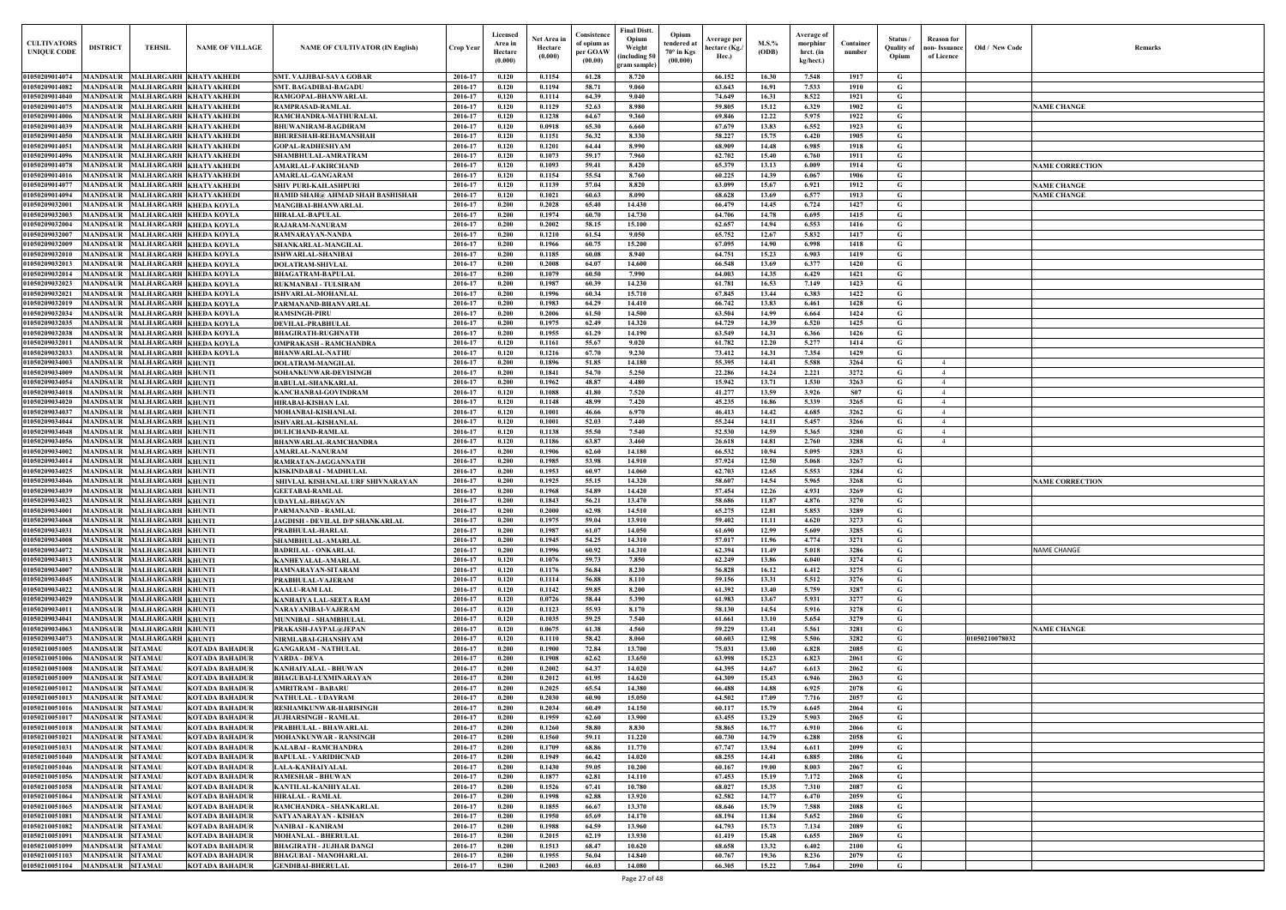| $\mathbf{Old} \, / \,$ New Code | Remarks                |
|---------------------------------|------------------------|
|                                 |                        |
|                                 |                        |
|                                 | <b>NAME CHANGE</b>     |
|                                 |                        |
|                                 |                        |
|                                 |                        |
|                                 | <b>NAME CORRECTION</b> |
|                                 | <b>NAME CHANGE</b>     |
|                                 | <b>NAME CHANGE</b>     |
|                                 |                        |
|                                 |                        |
|                                 |                        |
|                                 |                        |
|                                 |                        |
|                                 |                        |
|                                 |                        |
|                                 |                        |
|                                 |                        |
|                                 |                        |
|                                 |                        |
|                                 |                        |
|                                 |                        |
|                                 |                        |
|                                 |                        |
|                                 |                        |
|                                 |                        |
|                                 |                        |
|                                 |                        |
|                                 |                        |
|                                 | <b>NAME CORRECTION</b> |
|                                 |                        |
|                                 |                        |
|                                 |                        |
|                                 |                        |
|                                 | NAME CHANGE            |
|                                 |                        |
|                                 |                        |
|                                 |                        |
|                                 |                        |
|                                 | <b>NAME CHANGE</b>     |
| 01050210078032                  |                        |
|                                 |                        |
|                                 |                        |
|                                 |                        |
|                                 |                        |
|                                 |                        |
|                                 |                        |
|                                 |                        |
|                                 |                        |
|                                 |                        |
|                                 |                        |
|                                 |                        |
|                                 |                        |
|                                 |                        |
|                                 |                        |
|                                 |                        |
|                                 |                        |
|                                 |                        |

| <b>CULTIVATORS</b><br><b>UNIQUE CODI</b> | <b>DISTRICT</b><br><b>TEHSIL</b>                                                           | <b>NAME OF VILLAGE</b>                                  | <b>NAME OF CULTIVATOR (IN English)</b>                   | <b>Crop Year</b>   | Licensed<br>Area in<br>Hectare<br>(0.000) | Net Area in<br>Hectare<br>(0.000) | Consistence<br>of opium as<br>per GOAW<br>(00.00) | <b>Final Distt.</b><br>Opium<br>Opium<br>tendered at<br>Weight<br>70° in Kgs<br>including 50)<br>(00.000)<br>gram sample) | Average per<br>hectare (Kg./<br>Hec.) | M.S.%<br>(ODB) | Average of<br>morphinr<br>hrct. (in<br>kg/hect.) | Container<br>number | Status /<br><b>Quality of</b><br>Opium | <b>Reason</b> for<br>non- Issuance<br>of Licence | Old / New Code | <b>Remark</b>          |
|------------------------------------------|--------------------------------------------------------------------------------------------|---------------------------------------------------------|----------------------------------------------------------|--------------------|-------------------------------------------|-----------------------------------|---------------------------------------------------|---------------------------------------------------------------------------------------------------------------------------|---------------------------------------|----------------|--------------------------------------------------|---------------------|----------------------------------------|--------------------------------------------------|----------------|------------------------|
| 01050209014074                           | MANDSAUR MALHARGARH KHATYAKHEDI                                                            |                                                         | <b>SMT. VAJJIBAI-SAVA GOBAR</b>                          | 2016-17            | 0.120                                     | 0.1154                            | 61.28                                             | 8.720                                                                                                                     | 66.152                                | 16.30          | 7.548                                            | 1917                | G                                      |                                                  |                |                        |
| 01050209014082                           | <b>MANDSAUR</b>                                                                            | MALHARGARH KHATYAKHEDI                                  | <b>SMT. BAGADIBAI-BAGADU</b>                             | 2016-17            | 0.120                                     | 0.1194                            | 58.71                                             | 9.060                                                                                                                     | 63.643                                | 16.91          | 7.533                                            | 1910                | G                                      |                                                  |                |                        |
| 01050209014040                           | <b>MANDSAUR</b>                                                                            | MALHARGARH KHATYAKHEDI                                  | RAMGOPAL-BHANWARLAL                                      | 2016-17            | 0.120                                     | 0.1114                            | 64.39                                             | 9.040                                                                                                                     | 74.649                                | 16.31          | 8.522                                            | 1921                | G                                      |                                                  |                |                        |
| 01050209014075                           | <b>MANDSAUR</b>                                                                            | MALHARGARH KHATYAKHEDI                                  | <b>RAMPRASAD-RAMLAL</b>                                  | 2016-17            | 0.120                                     | 0.1129                            | 52.63                                             | 8.980                                                                                                                     | 59.805                                | 15.12          | 6.329                                            | 1902                | G                                      |                                                  |                | <b>NAME CHANGE</b>     |
| 01050209014006<br>01050209014039         | <b>MANDSAUR</b><br>MANDSAUR                                                                | MALHARGARH KHATYAKHEDI<br>MALHARGARH KHATYAKHEDI        | RAMCHANDRA-MATHURALAL<br><b>BHUWANIRAM-BAGDIRAM</b>      | 2016-17<br>2016-17 | 0.120<br>0.120                            | 0.1238<br>0.0918                  | 64.67<br>65.30                                    | 9.360<br>6.660                                                                                                            | 69.846<br>67.679                      | 12.22<br>13.83 | 5.975<br>6.552                                   | 1922<br>1923        | G<br>$\mathbf G$                       |                                                  |                |                        |
| 01050209014050                           | <b>MANDSAUR</b>                                                                            | MALHARGARH KHATYAKHEDI                                  | <b>BHURESHAH-REHAMANSHAH</b>                             | 2016-17            | 0.120                                     | 0.1151                            | 56.32                                             | 8.330                                                                                                                     | 58.227                                | 15.75          | 6.420                                            | 1905                | G                                      |                                                  |                |                        |
| 01050209014051                           | <b>MANDSAUR</b>                                                                            | MALHARGARH KHATYAKHEDI                                  | <b>GOPAL-RADHESHYAM</b>                                  | 2016-17            | 0.120                                     | 0.1201                            | 64.44                                             | 8.990                                                                                                                     | 68.909                                | 14.48          | 6.985                                            | 1918                | $\mathbf G$                            |                                                  |                |                        |
| 01050209014096                           | MANDSAUR                                                                                   | MALHARGARH KHATYAKHEDI                                  | SHAMBHULAL-AMRATRAM                                      | 2016-17            | 0.120                                     | 0.1073                            | 59.17                                             | 7.960                                                                                                                     | 62.702                                | 15.40          | 6.760                                            | 1911                | $\mathbf G$                            |                                                  |                |                        |
| 01050209014078                           | <b>MANDSAUR</b>                                                                            | MALHARGARH KHATYAKHEDI                                  | <b>AMARLAL-FAKIRCHAND</b>                                | 2016-17            | 0.120                                     | 0.1093                            | 59.41                                             | 8.420                                                                                                                     | 65.379                                | 13.13          | 6.009                                            | 1914                | $\mathbf G$                            |                                                  |                | <b>NAME CORRECTION</b> |
| 01050209014016<br>0105020901407          | MANDSAUR<br><b>MANDSAUR</b>                                                                | MALHARGARH KHATYAKHEDI<br>MALHARGARH KHATYAKHEDI        | AMARLAL-GANGARAM<br><b>SHIV PURI-KAILASHPURI</b>         | 2016-17<br>2016-17 | 0.120<br>0.120                            | 0.1154<br>0.1139                  | 55.54<br>57.04                                    | 8.760<br>8.820                                                                                                            | 60.225<br>63.099                      | 14.39<br>15.67 | 6.067<br>6.921                                   | 1906<br>1912        | G<br>$\mathbf G$                       |                                                  |                | <b>NAME CHANGE</b>     |
| 01050209014094                           | MANDSAUR                                                                                   | MALHARGARH KHATYAKHEDI                                  | <b>HAMID SHAH@ AHMAD SHAH BASHISHAH</b>                  | 2016-17            | 0.120                                     | 0.1021                            | 60.63                                             | 8.090                                                                                                                     | 68.628                                | 13.69          | 6.577                                            | 1913                | $\mathbf G$                            |                                                  |                | <b>NAME CHANGE</b>     |
| 0105020903200                            | <b>MANDSAUR</b><br>MALHARGARH KHEDA KOYLA                                                  |                                                         | <b>MANGIBAI-BHANWARLAL</b>                               | 2016-17            | 0.200                                     | 0.2028                            | 65.40                                             | 14.430                                                                                                                    | 66.479                                | 14.45          | 6.724                                            | 1427                | $\mathbf G$                            |                                                  |                |                        |
| 0105020903200                            | MANDSAUR                                                                                   | MALHARGARH KHEDA KOYLA                                  | <b>HIRALAL-BAPULAL</b>                                   | 2016-17            | 0.200                                     | 0.1974                            | 60.70                                             | 14.730                                                                                                                    | 64.706                                | 14.78          | 6.695                                            | 1415                | G                                      |                                                  |                |                        |
| 01050209032004                           | MANDSAUR                                                                                   | MALHARGARH KHEDA KOYLA                                  | RAJARAM-NANURAM                                          | 2016-17            | 0.200                                     | 0.2002                            | 58.15                                             | 15.100                                                                                                                    | 62.657                                | 14.94          | 6.553                                            | 1416                | G                                      |                                                  |                |                        |
| 0105020903200<br><b>01050209032009</b>   | MANDSAUR<br>MANDSAUR                                                                       | MALHARGARH KHEDA KOYLA<br><b>MALHARGARH KHEDA KOYLA</b> | RAMNARAYAN-NANDA<br>SHANKARLAL-MANGILAL                  | 2016-17<br>2016-17 | 0.200<br>0.200                            | 0.1210<br>0.1966                  | 61.54<br>60.75                                    | 9.050<br>15.200                                                                                                           | 65.752<br>67.095                      | 12.67<br>14.90 | 5.832<br>6.998                                   | 1417<br>1418        | G<br>$\mathbf G$                       |                                                  |                |                        |
| 0105020903201                            | <b>MANDSAUR</b>                                                                            | <b>MALHARGARH KHEDA KOYLA</b>                           | <b>ISHWARLAL-SHANIBAI</b>                                | 2016-17            | 0.200                                     | 0.1185                            | 60.08                                             | 8.940                                                                                                                     | 64.751                                | 15.23          | 6.903                                            | 1419                | G                                      |                                                  |                |                        |
| 01050209032013                           | MANDSAUR<br><b>MALHARGARH KHEDA KOYLA</b>                                                  |                                                         | <b>DOLATRAM-SHIVLAL</b>                                  | 2016-17            | 0.200                                     | 0.2008                            | 64.07                                             | 14.600                                                                                                                    | 66.548                                | 13.69          | 6.377                                            | 1420                | G                                      |                                                  |                |                        |
| 01050209032014                           | MANDSAUR                                                                                   | <b>MALHARGARH KHEDA KOYLA</b>                           | <b>BHAGATRAM-BAPULAL</b>                                 | 2016-17            | 0.200                                     | 0.1079                            | 60.50                                             | 7.990                                                                                                                     | 64.003                                | 14.35          | 6.429                                            | 1421                | G                                      |                                                  |                |                        |
| 01050209032023                           | MANDSAUR MALHARGARH KHEDA KOYLA                                                            |                                                         | <b>RUKMANBAI - TULSIRAM</b>                              | 2016-17            | 0.200                                     | 0.1987                            | 60.39                                             | 14.230                                                                                                                    | 61.781                                | 16.53          | 7.149                                            | 1423                | G                                      |                                                  |                |                        |
| 01050209032021<br>01050209032019         | <b>MANDSAUR</b><br>MANDSAUR                                                                | MALHARGARH KHEDA KOYLA<br><b>MALHARGARH KHEDA KOYLA</b> | <b>ISHVARLAL-MOHANLAL</b><br>PARMANAND-BHANVARLAL        | 2016-17<br>2016-17 | 0.200<br>0.200                            | 0.1996<br>0.1983                  | 60.34<br>64.29                                    | 15.710<br>14.410                                                                                                          | 67.845<br>66.742                      | 13.44<br>13.83 | 6.383<br>6.461                                   | 1422<br>1428        | G<br>$\mathbf G$                       |                                                  |                |                        |
| 01050209032034                           | <b>MANDSAUR</b>                                                                            | <b>MALHARGARH KHEDA KOYLA</b>                           | <b>RAMSINGH-PIRU</b>                                     | 2016-17            | 0.200                                     | 0.2006                            | 61.50                                             | 14.500                                                                                                                    | 63.504                                | 14.99          | 6.664                                            | 1424                | $\mathbf G$                            |                                                  |                |                        |
| 01050209032035                           | <b>MANDSAUR</b>                                                                            | <b>MALHARGARH KHEDA KOYLA</b>                           | DEVILAL-PRABHULAL                                        | 2016-17            | 0.200                                     | 0.1975                            | 62.49                                             | 14.320                                                                                                                    | 64.729                                | 14.39          | 6.520                                            | 1425                | G                                      |                                                  |                |                        |
| 01050209032038                           | <b>MANDSAUR</b>                                                                            | <b>MALHARGARH KHEDA KOYLA</b>                           | <b>BHAGIRATH-RUGHNATH</b>                                | 2016-17            | 0.200                                     | 0.1955                            | 61.29                                             | 14.190                                                                                                                    | 63.549                                | 14.31          | 6.366                                            | 1426                | G                                      |                                                  |                |                        |
| 01050209032011                           | MANDSAUR                                                                                   | <b>MALHARGARH KHEDA KOYLA</b>                           | <b>OMPRAKASH - RAMCHANDRA</b>                            | 2016-17            | 0.120                                     | 0.1161                            | 55.67                                             | 9.020                                                                                                                     | 61.782                                | 12.20          | 5.277                                            | 1414                | $\mathbf G$                            |                                                  |                |                        |
| 01050209032033                           | MANDSAUR                                                                                   | MALHARGARH KHEDA KOYLA                                  | <b>BHANWARLAL-NATHU</b>                                  | 2016-17            | 0.120                                     | 0.1216                            | 67.70                                             | 9.230                                                                                                                     | 73.412                                | 14.31          | 7.354                                            | 1429                | $\mathbf G$                            |                                                  |                |                        |
| 01050209034003<br>01050209034009         | <b>MANDSAUR</b><br><b>MALHARGARH KHUNTI</b><br><b>MALHARGARH KHUNTI</b><br><b>MANDSAUR</b> |                                                         | <b>DOLATRAM-MANGILAL</b><br>SOHANKUNWAR-DEVISINGH        | 2016-17<br>2016-17 | 0.200<br>0.200                            | 0.1896<br>0.1841                  | 51.85<br>54.70                                    | 14.180<br>5.250                                                                                                           | 55.395<br>22.286                      | 14.41<br>14.24 | 5.588<br>2.221                                   | 3264<br>3272        | G<br>$\mathbf G$                       | $\overline{4}$<br>$\overline{4}$                 |                |                        |
| 01050209034054                           | <b>MANDSAUR</b><br><b>MALHARGARH KHUNTI</b>                                                |                                                         | <b>BABULAL-SHANKARLAL</b>                                | 2016-17            | 0.200                                     | 0.1962                            | 48.87                                             | 4.480                                                                                                                     | 15.942                                | 13.71          | 1.530                                            | 3263                | G                                      | $\overline{4}$                                   |                |                        |
| 01050209034018                           | <b>MANDSAUR</b><br><b>MALHARGARH KHUNTI</b>                                                |                                                         | KANCHANBAI-GOVINDRAM                                     | 2016-17            | 0.120                                     | 0.1088                            | 41.80                                             | 7.520                                                                                                                     | 41.277                                | 13.59          | 3.926                                            | <b>S07</b>          | G                                      | $\overline{4}$                                   |                |                        |
| 01050209034020                           | <b>MALHARGARH KHUNTI</b><br>MANDSAUR                                                       |                                                         | HIRABAI-KISHAN LAL                                       | 2016-17            | 0.120                                     | 0.1148                            | 48.99                                             | 7.420                                                                                                                     | 45.235                                | 16.86          | 5.339                                            | 3265                | G                                      | $\overline{4}$                                   |                |                        |
| 01050209034037                           | <b>MALHARGARH KHUNTI</b><br><b>MANDSAUR</b>                                                |                                                         | <b>MOHANBAI-KISHANLAL</b>                                | 2016-17            | 0.120                                     | 0.1001                            | 46.66                                             | 6.970                                                                                                                     | 46.413                                | 14.42          | 4.685                                            | 3262                | $\mathbf G$                            | $\overline{4}$                                   |                |                        |
| 01050209034044<br>01050209034048         | <b>MANDSAUR</b><br><b>MALHARGARH KHUNTI</b><br><b>MANDSAUR</b><br><b>MALHARGARH KHUNTI</b> |                                                         | <b>ISHVARLAL-KISHANLAI</b><br><b>DULICHAND-RAMLAL</b>    | 2016-17<br>2016-17 | 0.120<br>0.120                            | $\bf{0.1001}$<br>0.1138           | 52.03<br>55.50                                    | 7.440<br>7.540                                                                                                            | 55.244<br>52.530                      | 14.11<br>14.59 | 5.457<br>5.365                                   | 3266<br>3280        | G<br>$\mathbf G$                       | $\overline{4}$<br>$\overline{4}$                 |                |                        |
| 01050209034056                           | <b>MALHARGARH KHUNTI</b><br>MANDSAUR                                                       |                                                         | <b>BHANWARLAL-RAMCHANDRA</b>                             | 2016-17            | 0.120                                     | 0.1186                            | 63.87                                             | 3.460                                                                                                                     | 26.618                                | 14.81          | 2.760                                            | 3288                | G                                      | $\overline{4}$                                   |                |                        |
| 01050209034002                           | <b>MALHARGARH KHUNTI</b><br>MANDSAUR                                                       |                                                         | <b>AMARLAL-NANURAM</b>                                   | 2016-17            | 0.200                                     | 0.1906                            | 62.60                                             | 14.180                                                                                                                    | 66.532                                | 10.94          | 5.095                                            | 3283                | $\mathbf G$                            |                                                  |                |                        |
| 0105020903401                            | MALHARGARH KHUNTI<br>MANDSAUR                                                              |                                                         | RAMRATAN-JAGGANNATH                                      | 2016-17            | 0.200                                     | 0.1985                            | 53.98                                             | 14.910                                                                                                                    | 57.924                                | 12.50          | 5.068                                            | 3267                | G                                      |                                                  |                |                        |
| <b>01050209034025</b>                    | MANDSAUR<br><b>MALHARGARH KHUNTI</b>                                                       |                                                         | KISKINDABAI - MADHULAL                                   | 2016-17            | 0.200                                     | 0.1953                            | 60.97                                             | 14.060                                                                                                                    | 62.703                                | 12.65          | 5.553                                            | 3284                | G                                      |                                                  |                |                        |
| 01050209034046                           | MANDSAUR<br><b>MALHARGARH KHUNTI</b>                                                       |                                                         | SHIVLAL KISHANLAL URF SHIVNARAYAN                        | 2016-17            | 0.200                                     | 0.1925                            | 55.15                                             | 14.320                                                                                                                    | 58.607                                | 14.54          | 5.965                                            | 3268                | G                                      |                                                  |                | <b>NAME CORRECTION</b> |
| 01050209034039<br>01050209034023         | <b>MANDSAUR</b><br><b>MALHARGARH KHUNTI</b><br><b>MALHARGARH KHUNTI</b><br>MANDSAUR        |                                                         | <b>GEETABAI-RAMLAL</b><br><b>UDAYLAL-BHAGVAN</b>         | 2016-17<br>2016-17 | 0.200<br>0.200                            | 0.1968<br>0.1843                  | 54.89<br>56.21                                    | 14.420<br>13.470                                                                                                          | 57.454<br>58.686                      | 12.26<br>11.87 | 4.931<br>4.876                                   | 3269<br>3270        | G<br>G                                 |                                                  |                |                        |
| 01050209034001                           | MANDSAUR MALHARGARH KHUNTI                                                                 |                                                         | PARMANAND - RAMLAL                                       | 2016-17            | 0.200                                     | 0.2000                            | 62.98                                             | 14.510                                                                                                                    | 65.275                                | 12.81          | 5.853                                            | 3289                | G                                      |                                                  |                |                        |
| 01050209034068                           | MANDSAUR MALHARGARH KHUNTI                                                                 |                                                         | JAGDISH - DEVILAL D/P SHANKARLAL                         | 2016-17            | 0.200                                     | 0.1975                            | 59.04                                             | 13.910                                                                                                                    | 59.402                                | 11.11          | 4.620                                            | 3273                | G                                      |                                                  |                |                        |
| 01050209034031                           | MANDSAUR MALHARGARH KHUNTI                                                                 |                                                         | PRABHULAL-HARLAL                                         | 2016-17            | 0.200                                     | 0.1987                            | 61.07                                             | 14.050                                                                                                                    | 61.690                                | 12.99          | 5.609                                            | 3285                | G                                      |                                                  |                |                        |
| 01050209034008                           | MANDSAUR MALHARGARH KHUNTI                                                                 |                                                         | SHAMBHULAL-AMARLAL                                       | 2016-17            | 0.200                                     | 0.1945                            | 54.25                                             | 14.310                                                                                                                    | 57.017                                | 11.96          | 4.774                                            | 3271                | G                                      |                                                  |                |                        |
| 01050209034072<br>01050209034013         | MANDSAUR MALHARGARH KHUNTI<br><b>MANDSAUR</b><br><b>MALHARGARH KHUNTI</b>                  |                                                         | <b>BADRILAL - ONKARLAL</b><br>KANHEYALAL-AMARLAL         | 2016-17<br>2016-17 | 0.200<br>0.120                            | 0.1996<br>0.1076                  | 60.92<br>59.73                                    | 14.310<br>7.850                                                                                                           | 62.394<br>62.249                      | 11.49<br>13.86 | 5.018<br>6.040                                   | 3286<br>3274        | G<br>$\mathbf G$                       |                                                  |                | <b>NAME CHANGE</b>     |
| 01050209034007                           | MALHARGARH KHUNTI<br><b>MANDSAUR</b>                                                       |                                                         | RAMNARAYAN-SITARAM                                       | 2016-17            | 0.120                                     | 0.1176                            | 56.84                                             | 8.230                                                                                                                     | 56.828                                | 16.12          | 6.412                                            | 3275                | $\mathbf G$                            |                                                  |                |                        |
| 01050209034045                           | <b>MANDSAUR</b><br><b>MALHARGARH KHUNTI</b>                                                |                                                         | PRABHULAL-VAJERAM                                        | 2016-17            | 0.120                                     | 0.1114                            | 56.88                                             | 8.110                                                                                                                     | 59.156                                | 13.31          | 5.512                                            | 3276                | $\mathbf G$                            |                                                  |                |                        |
| 01050209034022                           | <b>MANDSAUR</b><br><b>MALHARGARH KHUNTI</b>                                                |                                                         | <b>KAALU-RAM LAL</b>                                     | 2016-17            | 0.120                                     | 0.1142                            | 59.85                                             | 8.200                                                                                                                     | 61.392                                | 13.40          | 5.759                                            | 3287                | G                                      |                                                  |                |                        |
| 01050209034029                           | <b>MANDSAUR</b><br><b>MALHARGARH KHUNTI</b>                                                |                                                         | <b>KANHAIYA LAL-SEETA RAM</b>                            | 2016-17            | 0.120                                     | 0.0726                            | 58.44                                             | 5.390                                                                                                                     | 61.983                                | 13.67          | 5.931                                            | 3277                | $\mathbf G$                            |                                                  |                |                        |
| 01050209034011<br>01050209034041         | <b>MALHARGARH KHUNTI</b><br><b>MANDSAUR</b><br><b>MANDSAUR</b><br><b>MALHARGARH KHUNTI</b> |                                                         | NARAYANIBAI-VAJERAM<br><b>MUNNIBAI - SHAMBHULAL</b>      | 2016-17<br>2016-17 | 0.120<br>0.120                            | 0.1123<br>0.1035                  | 55.93<br>59.25                                    | 8.170<br>7.540                                                                                                            | 58.130<br>61.661                      | 14.54<br>13.10 | 5.916<br>5.654                                   | 3278<br>3279        | $\mathbf G$<br>$\mathbf G$             |                                                  |                |                        |
| 01050209034063                           | <b>MALHARGARH KHUNTI</b><br><b>MANDSAUR</b>                                                |                                                         | PRAKASH-JAYPAL@JEPAN                                     | 2016-17            | 0.120                                     | 0.0675                            | 61.38                                             | 4.560                                                                                                                     | 59.229                                | 13.41          | 5.561                                            | 3281                | G                                      |                                                  |                | <b>NAME CHANGE</b>     |
| 01050209034073                           | <b>MANDSAUR</b><br><b>MALHARGARH KHUNTI</b>                                                |                                                         | NIRMLABAI-GHANSHYAM                                      | 2016-17            | 0.120                                     | 0.1110                            | 58.42                                             | 8.060                                                                                                                     | 60.603                                | 12.98          | 5.506                                            | 3282                | G                                      |                                                  | 01050210078032 |                        |
| 01050210051005                           | <b>MANDSAUR</b><br><b>SITAMAU</b>                                                          | <b>KOTADA BAHADUR</b>                                   | <b>GANGARAM - NATHULAL</b>                               | 2016-17            | 0.200                                     | 0.1900                            | 72.84                                             | 13.700                                                                                                                    | 75.031                                | 13.00          | 6.828                                            | 2085                | G                                      |                                                  |                |                        |
| 01050210051006                           | MANDSAUR<br><b>SITAMAU</b>                                                                 | <b>KOTADA BAHADUR</b>                                   | <b>VARDA - DEVA</b>                                      | 2016-17            | 0.200                                     | 0.1908                            | 62.62                                             | 13.650                                                                                                                    | 63.998                                | 15.23          | 6.823                                            | 2061                | $\mathbf G$                            |                                                  |                |                        |
| 01050210051008                           | <b>MANDSAUR</b><br><b>SITAMAU</b>                                                          | <b>KOTADA BAHADUR</b>                                   | <b>KANHAIYALAL - BHUWAN</b>                              | 2016-17            | 0.200                                     | 0.2002                            | 64.37                                             | 14.020                                                                                                                    | 64.395                                | 14.67          | 6.613                                            | 2062                | $\mathbf G$                            |                                                  |                |                        |
| 01050210051009<br>01050210051012         | <b>MANDSAUR</b><br><b>SITAMAU</b><br><b>MANDSAUR</b><br><b>SITAMAU</b>                     | <b>KOTADA BAHADUR</b><br><b>KOTADA BAHADUR</b>          | <b>BHAGUBAI-LUXMINARAYAN</b><br><b>AMRITRAM - BABARU</b> | 2016-17<br>2016-17 | 0.200<br>0.200                            | 0.2012<br>0.2025                  | 61.95<br>65.54                                    | 14.620<br>14.380                                                                                                          | 64.309<br>66.488                      | 15.43<br>14.88 | 6.946<br>6.925                                   | 2063<br>2078        | $\mathbf G$<br>G                       |                                                  |                |                        |
| 01050210051013                           | MANDSAUR<br><b>SITAMAU</b>                                                                 | <b>KOTADA BAHADUR</b>                                   | NATHULAL - UDAYRAM                                       | 2016-17            | 0.200                                     | 0.2030                            | 60.90                                             | 15.050                                                                                                                    | 64.502                                | 17.09          | 7.716                                            | 2057                | G                                      |                                                  |                |                        |
| 01050210051016                           | <b>MANDSAUR</b><br><b>SITAMAU</b>                                                          | <b>KOTADA BAHADUR</b>                                   | <b>RESHAMKUNWAR-HARISINGH</b>                            | 2016-17            | 0.200                                     | 0.2034                            | 60.49                                             | 14.150                                                                                                                    | 60.117                                | 15.79          | 6.645                                            | 2064                | G                                      |                                                  |                |                        |
| 01050210051017                           | <b>SITAMAU</b><br><b>MANDSAUR</b>                                                          | <b>KOTADA BAHADUR</b>                                   | <b>JUJHARSINGH - RAMLAL</b>                              | 2016-17            | 0.200                                     | 0.1959                            | 62.60                                             | 13.900                                                                                                                    | 63.455                                | 13.29          | 5.903                                            | 2065                | G                                      |                                                  |                |                        |
| 01050210051018                           | <b>MANDSAUR</b><br><b>SITAMAU</b>                                                          | <b>KOTADA BAHADUR</b>                                   | PRABHULAL - BHAWARLAL                                    | 2016-17            | 0.200                                     | 0.1260                            | 58.80                                             | 8.830                                                                                                                     | 58.865                                | 16.77          | 6.910                                            | 2066                | G                                      |                                                  |                |                        |
| 01050210051021<br>01050210051031         | <b>MANDSAUR SITAMAU</b><br>MANDSAUR SITAMAU                                                | <b>KOTADA BAHADUR</b>                                   | <b>MOHANKUNWAR - RANSINGH</b>                            | 2016-17<br>2016-17 | 0.200<br>0.200                            | 0.1560<br>0.1709                  | 59.11<br>68.86                                    | 11.220<br>11.770                                                                                                          | 60.730<br>67.747                      | 14.79<br>13.94 | 6.288                                            | 2058<br>2099        | G<br>$\mathbf{G}$                      |                                                  |                |                        |
| 01050210051040                           | <b>MANDSAUR SITAMAU</b>                                                                    | <b>KOTADA BAHADUR</b><br><b>KOTADA BAHADUR</b>          | KALABAI - RAMCHANDRA<br><b>BAPULAL - VARIDHCNAD</b>      | 2016-17            | 0.200                                     | 0.1949                            | 66.42                                             | 14.020                                                                                                                    | 68.255                                | 14.41          | 6.611<br>6.885                                   | 2086                | $\mathbf G$                            |                                                  |                |                        |
| 01050210051046                           | MANDSAUR SITAMAU                                                                           | <b>KOTADA BAHADUR</b>                                   | <b>LALA-KANHAIYALAL</b>                                  | 2016-17            | 0.200                                     | 0.1430                            | 59.05                                             | 10.200                                                                                                                    | 60.167                                | 19.00          | 8.003                                            | 2067                | G                                      |                                                  |                |                        |
| 01050210051056                           | MANDSAUR SITAMAU                                                                           | <b>KOTADA BAHADUR</b>                                   | <b>RAMESHAR - BHUWAN</b>                                 | 2016-17            | 0.200                                     | 0.1877                            | 62.81                                             | 14.110                                                                                                                    | 67.453                                | 15.19          | 7.172                                            | 2068                | G                                      |                                                  |                |                        |
| 01050210051058                           | <b>MANDSAUR</b><br><b>SITAMAU</b>                                                          | <b>KOTADA BAHADUR</b>                                   | <b>KANTILAL-KANHIYALAL</b>                               | 2016-17            | 0.200                                     | 0.1526                            | 67.41                                             | 10.780                                                                                                                    | 68.027                                | 15.35          | 7.310                                            | 2087                | $\mathbf G$                            |                                                  |                |                        |
| 01050210051064                           | MANDSAUR SITAMAU                                                                           | <b>KOTADA BAHADUR</b>                                   | <b>HIRALAL - RAMLAL</b>                                  | 2016-17            | 0.200                                     | 0.1998                            | 62.88                                             | 13.920                                                                                                                    | 62.582                                | 14.77          | 6.470                                            | 2059                | G                                      |                                                  |                |                        |
| 01050210051065<br>01050210051081         | <b>MANDSAUR</b><br><b>SITAMAU</b><br><b>MANDSAUR</b><br><b>SITAMAU</b>                     | <b>KOTADA BAHADUR</b><br><b>KOTADA BAHADUR</b>          | RAMCHANDRA - SHANKARLAL<br><b>SATYANARAYAN - KISHAN</b>  | 2016-17<br>2016-17 | 0.200<br>0.200                            | 0.1855<br>0.1950                  | 66.67<br>65.69                                    | 13.370<br>14.170                                                                                                          | 68.646<br>68.194                      | 15.79<br>11.84 | 7.588<br>5.652                                   | 2088<br>2060        | $\mathbf G$<br>G                       |                                                  |                |                        |
| 01050210051082                           | <b>MANDSAUR</b><br><b>SITAMAU</b>                                                          | <b>KOTADA BAHADUR</b>                                   | <b>NANIBAI - KANIRAM</b>                                 | 2016-17            | 0.200                                     | 0.1988                            | 64.59                                             | 13.960                                                                                                                    | 64.793                                | 15.73          | 7.134                                            | 2089                | G                                      |                                                  |                |                        |
| 01050210051091                           | <b>SITAMAU</b><br><b>MANDSAUR</b>                                                          | <b>KOTADA BAHADUR</b>                                   | <b>MOHANLAL - BHERULAL</b>                               | 2016-17            | 0.200                                     | 0.2015                            | 62.19                                             | 13.930                                                                                                                    | 61.419                                | 15.48          | 6.655                                            | 2069                | G                                      |                                                  |                |                        |
| 01050210051099                           | <b>MANDSAUR</b><br><b>SITAMAU</b>                                                          | <b>KOTADA BAHADUR</b>                                   | <b>BHAGIRATH - JUJHAR DANGI</b>                          | 2016-17            | 0.200                                     | 0.1513                            | 68.47                                             | 10.620                                                                                                                    | 68.658                                | 13.32          | 6.402                                            | 2100                | G                                      |                                                  |                |                        |
| 01050210051103                           | <b>MANDSAUR SITAMAU</b>                                                                    | <b>KOTADA BAHADUR</b>                                   | <b>BHAGUBAI - MANOHARLAL</b>                             | 2016-17            | 0.200                                     | 0.1955                            | 56.04                                             | 14.840                                                                                                                    | 60.767                                | 19.36          | 8.236                                            | 2079                | $\mathbf{G}$                           |                                                  |                |                        |
| 01050210051104                           | MANDSAUR SITAMAU                                                                           | <b>KOTADA BAHADUR</b>                                   | <b>GENDIBAI-BHERULAL</b>                                 | 2016-17            | 0.200                                     | 0.2003                            | 66.03                                             | 14.080                                                                                                                    | 66.305                                | 15.22          | 7.064                                            | 2090                | $\mathbf{G}$                           |                                                  |                |                        |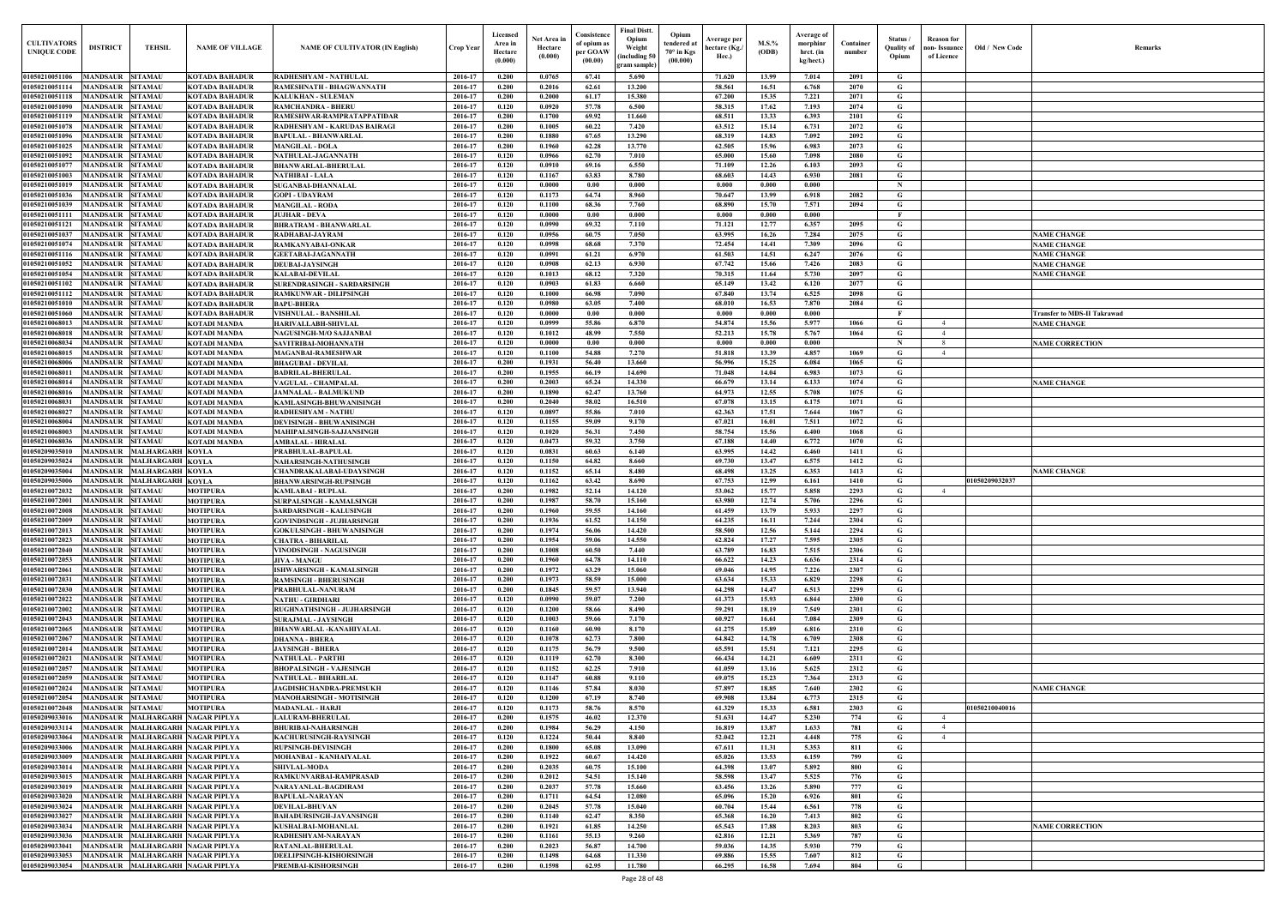| Old / New Code | Remarks                                                  |
|----------------|----------------------------------------------------------|
|                |                                                          |
|                |                                                          |
|                |                                                          |
|                |                                                          |
|                |                                                          |
|                |                                                          |
|                |                                                          |
|                |                                                          |
|                | <b>NAME CHANGE</b><br><b>NAME CHANGE</b>                 |
|                | <b>NAME CHANGE</b><br><b>NAME CHANGE</b>                 |
|                | <b>NAME CHANGE</b>                                       |
|                |                                                          |
|                | <b>Transfer to MDS-II Takrawad</b><br><b>NAME CHANGE</b> |
|                | <b>NAME CORRECTION</b>                                   |
|                |                                                          |
|                | <b>NAME CHANGE</b>                                       |
|                |                                                          |
|                |                                                          |
|                |                                                          |
|                |                                                          |
| 01050209032037 | <b>NAME CHANGE</b>                                       |
|                |                                                          |
|                |                                                          |
|                |                                                          |
|                |                                                          |
|                |                                                          |
|                |                                                          |
|                |                                                          |
|                |                                                          |
|                |                                                          |
|                |                                                          |
|                | <b>NAME CHANGE</b>                                       |
| 01050210040016 |                                                          |
|                |                                                          |
|                |                                                          |
|                |                                                          |
|                |                                                          |
|                |                                                          |
|                | <b>NAME CORRECTION</b>                                   |
|                |                                                          |
|                |                                                          |

| <b>CULTIVATORS</b><br><b>UNIQUE CODE</b> | <b>DISTRICT</b><br><b>TEHSIL</b>                                         | <b>NAME OF VILLAGE</b>                                    | <b>NAME OF CULTIVATOR (IN English)</b>                               | <b>Crop Year</b>   | Licensed<br>Area ir<br>Hectare<br>(0.000) | Net Area in<br>Hectare<br>(0.000) | Consistence<br>of opium as<br>per GOAW<br>(00.00) | <b>Final Distt.</b><br>Opium<br>Weight<br>including 50<br>gram sample) | Opium<br>tendered at<br>$70^\circ$ in Kgs<br>(00.000) | Average per<br>hectare (Kg./<br>Hec.) | $M.S.$ %<br>(ODB) | Average of<br>morphinr<br>hrct. (in<br>kg/hect.) | Container<br>number | Status /<br><b>Quality of</b><br>Opium | <b>Reason</b> for<br>non- Issuance<br>of Licence | Old / New Code | <b>Remark</b>                            |
|------------------------------------------|--------------------------------------------------------------------------|-----------------------------------------------------------|----------------------------------------------------------------------|--------------------|-------------------------------------------|-----------------------------------|---------------------------------------------------|------------------------------------------------------------------------|-------------------------------------------------------|---------------------------------------|-------------------|--------------------------------------------------|---------------------|----------------------------------------|--------------------------------------------------|----------------|------------------------------------------|
| 01050210051106                           | <b>SITAMAU</b><br>MANDSAUR                                               | <b>KOTADA BAHADUR</b>                                     | RADHESHYAM - NATHULAL                                                | 2016-17            | 0.200                                     | 0.0765                            | 67.41                                             | 5.690                                                                  |                                                       | 71.620                                | 13.99             | 7.014                                            | 2091                | G                                      |                                                  |                |                                          |
| 01050210051114                           | MANDSAUR<br><b>SITAMAU</b>                                               | <b>KOTADA BAHADUR</b>                                     | RAMESHNATH - BHAGWANNATH                                             | 2016-17            | 0.200<br>0.200                            | 0.2016<br>0.2000                  | 62.61                                             | 13.200<br>15.380                                                       |                                                       | 58.561                                | 16.51<br>15.35    | 6.768                                            | 2070                | G<br>G                                 |                                                  |                |                                          |
| 01050210051118<br>01050210051090         | <b>MANDSAUR</b><br><b>SITAMAU</b><br>MANDSAUR<br><b>SITAMAU</b>          | <b>KOTADA BAHADUR</b><br><b>KOTADA BAHADUR</b>            | <b>KALUKHAN - SULEMAN</b><br><b>RAMCHANDRA - BHERU</b>               | 2016-17<br>2016-17 | 0.120                                     | 0.0920                            | 61.17<br>57.78                                    | 6.500                                                                  |                                                       | 67.200<br>58.315                      | 17.62             | 7.221<br>7.193                                   | 2071<br>2074        | $\mathbf G$                            |                                                  |                |                                          |
| 01050210051119                           | <b>MANDSAUR</b><br><b>SITAMAU</b>                                        | <b>KOTADA BAHADUR</b>                                     | RAMESHWAR-RAMPRATAPPATIDAR                                           | 2016-17            | 0.200                                     | 0.1700                            | 69.92                                             | 11.660                                                                 |                                                       | 68.511                                | 13.33             | 6.393                                            | 2101                | G                                      |                                                  |                |                                          |
| 01050210051078                           | <b>SITAMAU</b><br>MANDSAUR                                               | <b>KOTADA BAHADUR</b>                                     | RADHESHYAM - KARUDAS BAIRAGI                                         | 2016-17            | 0.200                                     | 0.1005                            | 60.22                                             | 7.420                                                                  |                                                       | 63.512                                | 15.14             | 6.731                                            | 2072                | G                                      |                                                  |                |                                          |
| 01050210051096<br>01050210051025         | MANDSAUR<br><b>SITAMAU</b><br><b>MANDSAUR</b><br><b>SITAMAU</b>          | <b>KOTADA BAHADUR</b><br><b>KOTADA BAHADUR</b>            | <b>BAPULAL - BHANWARLAL</b><br><b>MANGILAL - DOLA</b>                | 2016-17<br>2016-17 | 0.200<br>0.200                            | $\bf 0.1880$<br>0.1960            | 67.65<br>62.28                                    | 13.290<br>13.770                                                       |                                                       | 68.319<br>62.505                      | 14.83<br>15.96    | 7.092<br>6.983                                   | 2092<br>2073        | G<br>G                                 |                                                  |                |                                          |
| 01050210051092                           | <b>MANDSAUR</b><br><b>SITAMAU</b>                                        | <b>KOTADA BAHADUR</b>                                     | NATHULAL-JAGANNATH                                                   | 2016-17            | 0.120                                     | 0.0966                            | 62.70                                             | 7.010                                                                  |                                                       | 65.000                                | 15.60             | 7.098                                            | 2080                | $\mathbf G$                            |                                                  |                |                                          |
| 0105021005107                            | <b>MANDSAUR</b><br><b>SITAMAU</b>                                        | <b>KOTADA BAHADUR</b>                                     | <b>BHANWARLAL-BHERULAL</b>                                           | 2016-17            | 0.120                                     | 0.0910                            | 69.16                                             | 6.550                                                                  |                                                       | 71.109                                | 12.26             | 6.103                                            | 2093                | $\mathbf G$                            |                                                  |                |                                          |
| 01050210051003<br>01050210051019         | MANDSAUR<br><b>SITAMAU</b><br>MANDSAUR<br><b>SITAMAU</b>                 | <b>KOTADA BAHADUR</b><br><b>KOTADA BAHADUR</b>            | <b>NATHIBAI - LALA</b><br><b>SUGANBAI-DHANNALAL</b>                  | 2016-17<br>2016-17 | 0.120<br>0.120                            | 0.1167<br>0.0000                  | 63.83<br>0.00                                     | 8.780<br>0.000                                                         |                                                       | 68.603<br>0.000                       | 14.43<br>0.000    | 6.930<br>0.000                                   | 2081                | $\mathbf G$<br>N                       |                                                  |                |                                          |
| 01050210051036                           | MANDSAUR<br><b>SITAMAU</b>                                               | KOTADA BAHADUR                                            | <b>GOPI - UDAYRAM</b>                                                | 2016-17            | 0.120                                     | 0.1173                            | 64.74                                             | 8.960                                                                  |                                                       | 70.647                                | 13.99             | 6.918                                            | 2082                | G                                      |                                                  |                |                                          |
| 01050210051039                           | MANDSAUR<br><b>SITAMAU</b>                                               | KOTADA BAHADUR                                            | <b>MANGILAL - RODA</b>                                               | 2016-17            | 0.120                                     | 0.1100                            | 68.36                                             | 7.760                                                                  |                                                       | 68.890                                | 15.70             | 7.571                                            | 2094                | G                                      |                                                  |                |                                          |
| 01050210051111<br>01050210051121         | MANDSAUR<br><b>SITAMAU</b><br><b>MANDSAUR</b><br><b>SITAMAU</b>          | KOTADA BAHADUR                                            | <b>JUJHAR - DEVA</b>                                                 | 2016-17<br>2016-17 | 0.120<br>0.120                            | 0.0000<br>0.0990                  | 0.00<br>69.32                                     | 0.000<br>7.110                                                         |                                                       | 0.000<br>71.121                       | 0.000<br>12.77    | 0.000<br>6.357                                   | 2095                | - F<br>G                               |                                                  |                |                                          |
| 01050210051037                           | <b>MANDSAUR</b><br><b>SITAMAU</b>                                        | <b>KOTADA BAHADUR</b><br>KOTADA BAHADUR                   | <b>BHRATRAM - BHANWARLAL</b><br>RADHABAI-JAYRAM                      | 2016-17            | 0.120                                     | 0.0956                            | 60.75                                             | 7.050                                                                  |                                                       | 63.995                                | 16.26             | 7.284                                            | 2075                | G                                      |                                                  |                | <b>NAME CHANGE</b>                       |
| 01050210051074                           | <b>MANDSAUR SITAMAU</b>                                                  | <b>KOTADA BAHADUR</b>                                     | <b>RAMKANYABAI-ONKAR</b>                                             | 2016-17            | 0.120                                     | 0.0998                            | 68.68                                             | 7.370                                                                  |                                                       | 72.454                                | 14.41             | 7.309                                            | 2096                | G                                      |                                                  |                | <b>NAME CHANGE</b>                       |
| 01050210051116                           | <b>MANDSAUR</b><br><b>SITAMAU</b>                                        | <b>KOTADA BAHADUR</b>                                     | <b>GEETABAI-JAGANNATH</b>                                            | 2016-17            | 0.120                                     | 0.0991                            | 61.21                                             | 6.970                                                                  |                                                       | 61.503                                | 14.51             | 6.247                                            | 2076                | G                                      |                                                  |                | <b>NAME CHANGE</b>                       |
| 01050210051052<br>01050210051054         | <b>MANDSAUR SITAMAU</b><br><b>MANDSAUR</b><br><b>SITAMAU</b>             | <b>KOTADA BAHADUR</b><br><b>KOTADA BAHADUR</b>            | <b>DEUBAI-JAYSINGH</b><br><b>KALABAI-DEVILAL</b>                     | 2016-17<br>2016-17 | 0.120<br>0.120                            | 0.0908<br>0.1013                  | 62.13<br>68.12                                    | 6.930<br>7.320                                                         |                                                       | 67.742<br>70.315                      | 15.66<br>11.64    | 7.426<br>5.730                                   | 2083<br>2097        | G<br>G                                 |                                                  |                | <b>NAME CHANGE</b><br><b>NAME CHANGE</b> |
| 01050210051102                           | <b>MANDSAUR</b><br><b>SITAMAU</b>                                        | <b>KOTADA BAHADUR</b>                                     | <b>SURENDRASINGH - SARDARSINGH</b>                                   | 2016-17            | 0.120                                     | 0.0903                            | 61.83                                             | 6.660                                                                  |                                                       | 65.149                                | 13.42             | 6.120                                            | 2077                | G                                      |                                                  |                |                                          |
| 01050210051112                           | <b>MANDSAUR</b><br><b>SITAMAU</b>                                        | <b>KOTADA BAHADUR</b>                                     | <b>RAMKUNWAR - DILIPSINGH</b>                                        | 2016-17            | 0.120                                     | 0.1000                            | 66.98                                             | 7.090                                                                  |                                                       | 67.840                                | 13.74             | 6.525                                            | 2098                | G                                      |                                                  |                |                                          |
| 01050210051010<br>01050210051060         | MANDSAUR<br><b>SITAMAU</b><br>MANDSAUR<br><b>SITAMAU</b>                 | <b>KOTADA BAHADUR</b><br><b>KOTADA BAHADUR</b>            | <b>BAPU-BHERA</b><br>VISHNULAL - BANSHILAL                           | 2016-17<br>2016-17 | 0.120<br>0.120                            | 0.0980<br>0.0000                  | 63.05<br>0.00                                     | 7.400<br>0.000                                                         |                                                       | 68.010<br>0.000                       | 16.53<br>0.000    | 7.870<br>0.000                                   | 2084                | $\mathbf G$<br>$\mathbf{F}$            |                                                  |                | Transfer to MDS-II Takrawad              |
| 01050210068013                           | <b>MANDSAUR</b><br><b>SITAMAU</b>                                        | <b>KOTADI MANDA</b>                                       | <b>HARIVALLABH-SHIVLAL</b>                                           | 2016-17            | 0.120                                     | 0.0999                            | 55.86                                             | 6.870                                                                  |                                                       | 54.874                                | 15.56             | 5.977                                            | 1066                | G                                      | $\overline{4}$                                   |                | <b>NAME CHANGE</b>                       |
| 01050210068018                           | MANDSAUR<br><b>SITAMAU</b>                                               | <b>KOTADI MANDA</b>                                       | <b>NAGUSINGH-M/O SAJJANBAI</b>                                       | 2016-17            | 0.120                                     | 0.1012                            | 48.99                                             | 7.550                                                                  |                                                       | 52.213                                | 15.78             | 5.767                                            | 1064                | G                                      | $\overline{4}$                                   |                |                                          |
| 01050210068034                           | <b>MANDSAUR</b><br><b>SITAMAU</b>                                        | <b>KOTADI MANDA</b>                                       | SAVITRIBAI-MOHANNATH                                                 | 2016-17            | 0.120                                     | 0.0000                            | 0.00                                              | 0.000                                                                  |                                                       | 0.000                                 | 0.000             | 0.000                                            |                     | - N                                    | - 8<br>$\overline{4}$                            |                | <b>NAME CORRECTION</b>                   |
| 01050210068015<br>01050210068006         | <b>MANDSAUR</b><br><b>SITAMAU</b><br><b>MANDSAUR</b><br><b>SITAMAU</b>   | <b>KOTADI MANDA</b><br><b>KOTADI MANDA</b>                | <b>MAGANBAI-RAMESHWAR</b><br><b>BHAGUBAI - DEVILAL</b>               | 2016-17<br>2016-17 | 0.120<br>0.200                            | 0.1100<br>0.1931                  | 54.88<br>56.40                                    | 7.270<br>13.660                                                        |                                                       | 51.818<br>56.996                      | 13.39<br>15.25    | 4.857<br>6.084                                   | 1069<br>1065        | G<br>G                                 |                                                  |                |                                          |
| 0105021006801                            | <b>MANDSAUR</b><br><b>SITAMAU</b>                                        | <b>KOTADI MANDA</b>                                       | <b>BADRILAL-BHERULAL</b>                                             | 2016-17            | 0.200                                     | 0.1955                            | 66.19                                             | 14.690                                                                 |                                                       | 71.048                                | 14.04             | 6.983                                            | 1073                | G                                      |                                                  |                |                                          |
| 01050210068014                           | MANDSAUR<br><b>SITAMAU</b>                                               | <b>KOTADI MANDA</b>                                       | VAGULAL - CHAMPALAL                                                  | 2016-17            | 0.200                                     | 0.2003                            | 65.24                                             | 14.330                                                                 |                                                       | 66.679                                | 13.14             | 6.133                                            | 1074                | G                                      |                                                  |                | <b>NAME CHANGE</b>                       |
| 0105021006801<br>0105021006803           | MANDSAUR<br><b>SITAMAU</b><br>MANDSAUR<br><b>SITAMAU</b>                 | <b>KOTADI MANDA</b><br><b>KOTADI MANDA</b>                | <b>JAMNALAL - BALMUKUND</b><br>KAMLASINGH-BHUWANISINGH               | 2016-17<br>2016-17 | 0.200<br>0.200                            | 0.1890<br>0.2040                  | 62.47<br>58.02                                    | 13.760<br>16.510                                                       |                                                       | 64.973<br>67.078                      | 12.55<br>13.15    | 5.708<br>6.175                                   | 1075<br>1071        | G<br>G                                 |                                                  |                |                                          |
| 0105021006802                            | MANDSAUR<br><b>SITAMAU</b>                                               | <b>KOTADI MANDA</b>                                       | RADHESHYAM - NATHU                                                   | 2016-17            | 0.120                                     | 0.0897                            | 55.86                                             | 7.010                                                                  |                                                       | 62.363                                | 17.51             | 7.644                                            | 1067                | G                                      |                                                  |                |                                          |
| 01050210068004                           | MANDSAUR<br><b>SITAMAU</b>                                               | <b>KOTADI MANDA</b>                                       | <b>DEVISINGH - BHUWANISINGH</b>                                      | 2016-17            | 0.120                                     | 0.1155                            | 59.09                                             | 9.170                                                                  |                                                       | 67.021                                | 16.01             | 7.511                                            | 1072                | $\mathbf G$                            |                                                  |                |                                          |
| 0105021006800.<br>01050210068036         | MANDSAUR<br><b>SITAMAU</b><br>MANDSAUR<br><b>SITAMAU</b>                 | <b>KOTADI MANDA</b><br><b>KOTADI MANDA</b>                | <b>MAHIPALSINGH-SAJJANSINGH</b><br><b>AMBALAL - HIRALAI</b>          | 2016-17<br>2016-17 | 0.120<br>0.120                            | 0.1020<br>0.0473                  | 56.31<br>59.32                                    | 7.450<br>3.750                                                         |                                                       | 58.754<br>67.188                      | 15.56<br>14.40    | 6.400<br>6.772                                   | 1068<br>1070        | G<br>G                                 |                                                  |                |                                          |
| 01050209035010                           | MANDSAUR<br><b>MALHARGARH KOYLA</b>                                      |                                                           | PRABHULAL-BAPULAL                                                    | 2016-17            | 0.120                                     | 0.0831                            | 60.63                                             | 6.140                                                                  |                                                       | 63.995                                | 14.42             | 6.460                                            | 1411                | G                                      |                                                  |                |                                          |
| 01050209035024                           | <b>MANDSAUR</b><br><b>MALHARGARH KOYLA</b>                               |                                                           | NAHARSINGH-NATHUSINGH                                                | 2016-17            | 0.120                                     | 0.1150                            | 64.82                                             | 8.660                                                                  |                                                       | 69.730                                | 13.47             | 6.575                                            | 1412                | G                                      |                                                  |                |                                          |
| 01050209035004                           | <b>MANDSAUR</b><br><b>MALHARGARH KOYLA</b>                               |                                                           | CHANDRAKALABAI-UDAYSINGH                                             | 2016-17            | 0.120                                     | 0.1152                            | 65.14                                             | 8.480                                                                  |                                                       | 68.498                                | 13.25             | 6.353                                            | 1413                | G                                      |                                                  |                | <b>NAME CHANGE</b>                       |
| 01050209035006<br>01050210072032         | <b>MANDSAUR</b><br><b>MALHARGARH KOYLA</b><br>MANDSAUR<br><b>SITAMAU</b> | <b>MOTIPURA</b>                                           | <b>BHANWARSINGH-RUPSINGH</b><br><b>KAMLABAI - RUPLAL</b>             | 2016-17<br>2016-17 | 0.120<br>0.200                            | 0.1162<br>0.1982                  | 63.42<br>52.14                                    | 8.690<br>14.120                                                        |                                                       | 67.753<br>53.062                      | 12.99<br>15.77    | 6.161<br>5.858                                   | 1410<br>2293        | G<br>G                                 | $\overline{4}$                                   | 01050209032037 |                                          |
| 01050210072001                           | <b>MANDSAUR</b><br><b>SITAMAU</b>                                        | <b>MOTIPURA</b>                                           | SURPALSINGH - KAMALSINGH                                             | 2016-17            | 0.200                                     | 0.1987                            | 58.70                                             | 15.160                                                                 |                                                       | 63.980                                | 12.74             | 5.706                                            | 2296                | G                                      |                                                  |                |                                          |
| 01050210072008                           | MANDSAUR SITAMAU                                                         | <b>MOTIPURA</b>                                           | <b>SARDARSINGH - KALUSINGH</b>                                       | 2016-17            | 0.200                                     | 0.1960                            | 59.55                                             | 14.160                                                                 |                                                       | 61.459                                | 13.79             | 5.933                                            | 2297                | G                                      |                                                  |                |                                          |
| 01050210072009<br>01050210072013         | <b>MANDSAUR SITAMAU</b><br>MANDSAUR SITAMAU                              | <b>MOTIPURA</b><br><b>MOTIPURA</b>                        | <b>GOVINDSINGH - JUJHARSINGH</b><br><b>GOKULSINGH - BHUWANISINGH</b> | 2016-17<br>2016-17 | 0.200<br>0.200                            | 0.1936<br>0.1974                  | 61.52<br>56.06                                    | 14.150<br>14.420                                                       |                                                       | 64.235<br>58.500                      | 16.11<br>12.56    | 7.244<br>5.144                                   | 2304<br>2294        | G<br>G                                 |                                                  |                |                                          |
| 01050210072023                           | <b>MANDSAUR SITAMAU</b>                                                  | <b>MOTIPURA</b>                                           | <b>CHATRA - BIHARILAL</b>                                            | 2016-17            | 0.200                                     | 0.1954                            | 59.06                                             | 14.550                                                                 |                                                       | 62.824                                | 17.27             | 7.595                                            | 2305                | G                                      |                                                  |                |                                          |
| 01050210072040                           | <b>MANDSAUR</b><br><b>SITAMAU</b>                                        | <b>MOTIPURA</b>                                           | <b>VINODSINGH - NAGUSINGH</b>                                        | 2016-17            | 0.200                                     | 0.1008                            | 60.50                                             | 7.440                                                                  |                                                       | 63.789                                | 16.83             | 7.515                                            | 2306                | G                                      |                                                  |                |                                          |
| 01050210072053<br>01050210072061         | <b>MANDSAUR</b><br><b>SITAMAU</b><br><b>SITAMAU</b><br><b>MANDSAUR</b>   | <b>MOTIPURA</b><br><b>MOTIPURA</b>                        | <b>JIVA - MANGU</b><br><b>ISHWARSINGH - KAMALSINGH</b>               | 2016-17<br>2016-17 | 0.200<br>0.200                            | 0.1960<br>0.1972                  | 64.78<br>63.29                                    | 14.110<br>15.060                                                       |                                                       | 66.622<br>69.046                      | 14.23<br>14.95    | 6.636<br>7.226                                   | 2314<br>2307        | $\mathbf G$<br>G                       |                                                  |                |                                          |
| 01050210072031                           | <b>MANDSAUR</b><br><b>SITAMAU</b>                                        | <b>MOTIPURA</b>                                           | <b>RAMSINGH - BHERUSINGH</b>                                         | 2016-17            | 0.200                                     | 0.1973                            | 58.59                                             | 15.000                                                                 |                                                       | 63.634                                | 15.33             | 6.829                                            | 2298                | $\mathbf G$                            |                                                  |                |                                          |
| 01050210072030                           | <b>MANDSAUR</b><br><b>SITAMAU</b>                                        | <b>MOTIPURA</b>                                           | PRABHULAL-NANURAM                                                    | 2016-17            | 0.200                                     | 0.1845                            | 59.57                                             | 13.940                                                                 |                                                       | 64.298                                | 14.47             | 6.513                                            | 2299                | G                                      |                                                  |                |                                          |
| 01050210072022                           | <b>MANDSAUR</b><br><b>SITAMAU</b>                                        | <b>MOTIPURA</b>                                           | <b>NATHU - GIRDHARI</b>                                              | 2016-17            | 0.120                                     | 0.0990                            | 59.07                                             | 7.200                                                                  |                                                       | 61.373                                | 15.93             | 6.844                                            | 2300                | $\mathbf G$                            |                                                  |                |                                          |
| 01050210072002<br>01050210072043         | <b>MANDSAUR</b><br><b>SITAMAU</b><br><b>MANDSAUR</b><br><b>SITAMAU</b>   | <b>MOTIPURA</b><br><b>MOTIPURA</b>                        | <b>RUGHNATHSINGH - JUJHARSINGH</b><br><b>SURAJMAL - JAYSINGH</b>     | 2016-17<br>2016-17 | 0.120<br>0.120                            | 0.1200<br>0.1003                  | 58.66<br>59.66                                    | 8.490<br>7.170                                                         |                                                       | 59.291<br>60.927                      | 18.19<br>16.61    | 7.549<br>7.084                                   | 2301<br>2309        | $\mathbf G$<br>$\mathbf G$             |                                                  |                |                                          |
| 01050210072065                           | <b>MANDSAUR</b><br><b>SITAMAU</b>                                        | <b>MOTIPURA</b>                                           | <b>BHANWARLAL-KANAHIYALAL</b>                                        | 2016-17            | 0.120                                     | 0.1160                            | 60.90                                             | 8.170                                                                  |                                                       | 61.275                                | 15.89             | 6.816                                            | 2310                | G                                      |                                                  |                |                                          |
| 01050210072067                           | <b>MANDSAUR</b><br><b>SITAMAU</b>                                        | <b>MOTIPURA</b>                                           | <b>DHANNA - BHERA</b>                                                | 2016-17            | 0.120                                     | 0.1078                            | 62.73                                             | 7.800                                                                  |                                                       | 64.842                                | 14.78             | 6.709                                            | 2308                | $\mathbf G$                            |                                                  |                |                                          |
| 01050210072014<br>01050210072021         | <b>MANDSAUR</b><br><b>SITAMAU</b><br><b>MANDSAUR</b><br><b>SITAMAU</b>   | <b>MOTIPURA</b><br><b>MOTIPURA</b>                        | <b>JAYSINGH - BHERA</b><br><b>NATHULAL - PARTHI</b>                  | 2016-17<br>2016-17 | 0.120<br>0.120                            | 0.1175<br>0.1119                  | 56.79<br>62.70                                    | 9.500<br>8.300                                                         |                                                       | 65.591<br>66.434                      | 15.51<br>14.21    | 7.121<br>6.609                                   | 2295<br>2311        | G<br>$\mathbf G$                       |                                                  |                |                                          |
| 01050210072057                           | <b>MANDSAUR</b><br><b>SITAMAU</b>                                        | <b>MOTIPURA</b>                                           | <b>BHOPALSINGH - VAJESINGH</b>                                       | 2016-17            | 0.120                                     | 0.1152                            | 62.25                                             | 7.910                                                                  |                                                       | 61.059                                | 13.16             | 5.625                                            | 2312                | G                                      |                                                  |                |                                          |
| 01050210072059                           | <b>SITAMAU</b><br>MANDSAUR                                               | <b>MOTIPURA</b>                                           | <b>NATHULAL - BIHARILAL</b>                                          | 2016-17            | 0.120                                     | 0.1147                            | 60.88                                             | 9.110                                                                  |                                                       | 69.075                                | 15.23             | 7.364                                            | 2313                | $\mathbf G$                            |                                                  |                |                                          |
| 01050210072024                           | <b>MANDSAUR</b><br><b>SITAMAU</b>                                        | <b>MOTIPURA</b>                                           | JAGDISHCHANDRA-PREMSUKH                                              | 2016-17            | 0.120                                     | 0.1146<br>0.1200                  | 57.84                                             | 8.030<br>8.740                                                         |                                                       | 57.897                                | 18.85             | 7.640                                            | 2302                | G                                      |                                                  |                | <b>NAME CHANGE</b>                       |
| 01050210072054<br>01050210072048         | MANDSAUR SITAMAU<br><b>MANDSAUR</b><br><b>SITAMAU</b>                    | <b>MOTIPURA</b><br><b>MOTIPURA</b>                        | MANOHARSINGH - MOTISINGH<br><b>MADANLAL - HARJI</b>                  | 2016-17<br>2016-17 | 0.120<br>0.120                            | 0.1173                            | 67.19<br>58.76                                    | 8.570                                                                  |                                                       | 69.908<br>61.329                      | 13.84<br>15.33    | 6.773<br>6.581                                   | 2315<br>2303        | G<br>G                                 |                                                  | 01050210040016 |                                          |
| 01050209033016                           | MANDSAUR MALHARGARH NAGAR PIPLYA                                         |                                                           | <b>LALURAM-BHERULAL</b>                                              | 2016-17            | 0.200                                     | 0.1575                            | 46.02                                             | 12.370                                                                 |                                                       | 51.631                                | 14.47             | 5.230                                            | 774                 | G                                      | $\overline{4}$                                   |                |                                          |
| 01050209033114                           | MANDSAUR MALHARGARH NAGAR PIPLYA                                         |                                                           | <b>BHURIBAI-NAHARSINGH</b>                                           | 2016-17            | 0.200                                     | 0.1984                            | 56.29                                             | 4.150                                                                  |                                                       | 16.819                                | 13.87             | 1.633                                            | 781                 | G                                      | $\overline{4}$                                   |                |                                          |
| 01050209033064<br>01050209033006         | MANDSAUR MALHARGARH NAGAR PIPLYA<br><b>MANDSAUR</b>                      | MALHARGARH NAGAR PIPLYA                                   | <b>KACHURUSINGH-RAYSINGH</b><br><b>RUPSINGH-DEVISINGH</b>            | 2016-17<br>2016-17 | 0.120<br>0.200                            | 0.1224<br>0.1800                  | 50.44<br>65.08                                    | 8.840<br>13.090                                                        |                                                       | 52.042<br>67.611                      | 12.21<br>11.31    | 4.448<br>5.353                                   | 775<br>811          | G<br>G                                 | $\overline{4}$                                   |                |                                          |
| 01050209033009                           | <b>MANDSAUR</b>                                                          | MALHARGARH NAGAR PIPLYA                                   | MOHANBAI - KANHAIYALAL                                               | 2016-17            | 0.200                                     | 0.1922                            | 60.67                                             | 14.420                                                                 |                                                       | 65.026                                | 13.53             | 6.159                                            | 799                 | $\mathbf G$                            |                                                  |                |                                          |
| 01050209033014                           | <b>MANDSAUR</b>                                                          | MALHARGARH NAGAR PIPLYA                                   | <b>SHIVLAL-MODA</b>                                                  | 2016-17            | 0.200                                     | 0.2035                            | 60.75                                             | 15.100                                                                 |                                                       | 64.398                                | 13.07             | 5.892                                            | 800                 | $\mathbf G$                            |                                                  |                |                                          |
| 01050209033015<br>01050209033019         | <b>MANDSAUR</b><br><b>MANDSAUR</b>                                       | MALHARGARH NAGAR PIPLYA<br>MALHARGARH NAGAR PIPLYA        | RAMKUNVARBAI-RAMPRASAD<br>NARAYANLAL-BAGDIRAM                        | 2016-17<br>2016-17 | 0.200<br>0.200                            | 0.2012<br>0.2037                  | 54.51<br>57.78                                    | 15.140<br>15.660                                                       |                                                       | 58.598<br>63.456                      | 13.47<br>13.26    | 5.525<br>5.890                                   | 776<br>777          | $\mathbf G$<br>$\mathbf G$             |                                                  |                |                                          |
| 01050209033020                           | <b>MANDSAUR</b>                                                          | MALHARGARH NAGAR PIPLYA                                   | <b>BAPULAL-NARAYAN</b>                                               | 2016-17            | 0.200                                     | 0.1711                            | 64.54                                             | 12.080                                                                 |                                                       | 65.096                                | 15.20             | 6.926                                            | 801                 | $\mathbf G$                            |                                                  |                |                                          |
| 01050209033024                           | <b>MANDSAUR</b>                                                          | MALHARGARH NAGAR PIPLYA                                   | <b>DEVILAL-BHUVAN</b>                                                | 2016-17            | 0.200                                     | 0.2045                            | 57.78                                             | 15.040                                                                 |                                                       | 60.704                                | 15.44             | 6.561                                            | 778                 | $\mathbf G$                            |                                                  |                |                                          |
| 01050209033027                           | <b>MANDSAUR</b>                                                          | MALHARGARH NAGAR PIPLYA                                   | <b>BAHADURSINGH-JAVANSINGH</b>                                       | 2016-17            | 0.200                                     | 0.1140                            | 62.47                                             | 8.350                                                                  |                                                       | 65.368                                | 16.20             | 7.413                                            | 802                 | $\mathbf G$                            |                                                  |                |                                          |
| 01050209033034<br>01050209033036         | <b>MANDSAUR</b><br><b>MANDSAUR</b>                                       | <b>MALHARGARH NAGAR PIPLYA</b><br>MALHARGARH NAGAR PIPLYA | KUSHALBAI-MOHANLAL<br>RADHESHYAM-NARAYAN                             | 2016-17<br>2016-17 | 0.200<br>0.200                            | 0.1921<br>0.1161                  | 61.85<br>55.13                                    | 14.250<br>9.260                                                        |                                                       | 65.543<br>62.816                      | 17.88<br>12.21    | 8.203<br>5.369                                   | 803<br>787          | $\mathbf G$<br>G                       |                                                  |                | <b>NAME CORRECTION</b>                   |
| 01050209033041                           | <b>MANDSAUR</b>                                                          | MALHARGARH NAGAR PIPLYA                                   | RATANLAL-BHERULAL                                                    | 2016-17            | 0.200                                     | 0.2023                            | 56.87                                             | 14.700                                                                 |                                                       | 59.036                                | 14.35             | 5.930                                            | 779                 | G                                      |                                                  |                |                                          |
| 01050209033053                           | <b>MANDSAUR</b>                                                          | MALHARGARH NAGAR PIPLYA                                   | <b>DEELIPSINGH-KISHORSINGH</b>                                       | 2016-17            | 0.200                                     | 0.1498                            | 64.68                                             | 11.330                                                                 |                                                       | 69.886                                | 15.55             | 7.607                                            | 812                 | $\mathbf{G}$                           |                                                  |                |                                          |
| 01050209033054                           | MANDSAUR MALHARGARH NAGAR PIPLYA                                         |                                                           | PREMBAI-KISHORSINGH                                                  | 2016-17            | 0.200                                     | 0.1598                            | 62.95                                             | 11.780                                                                 |                                                       | 66.295                                | 16.58             | 7.694                                            | 804                 | $\mathbf G$                            |                                                  |                |                                          |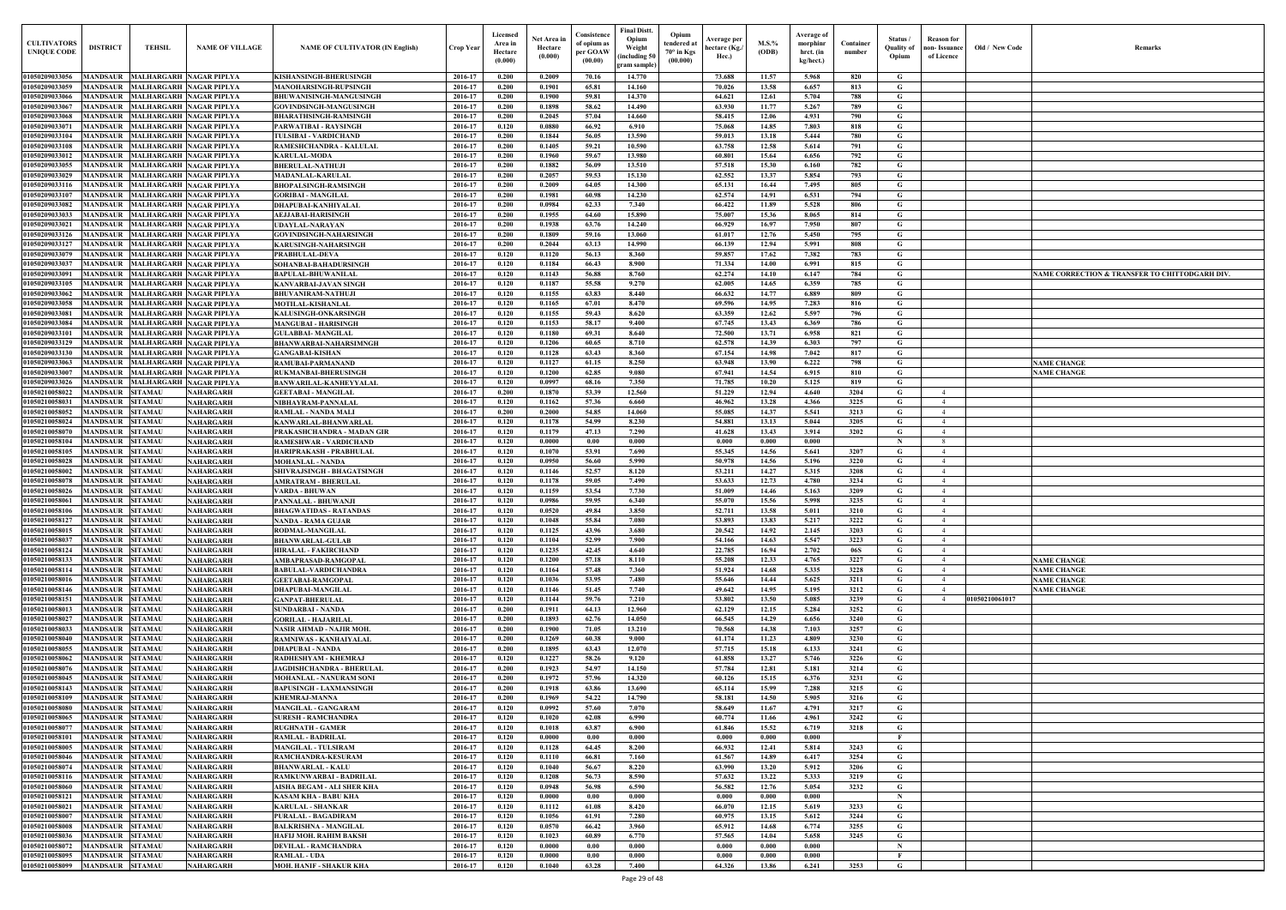| Old / New Code | Remarks                                        |
|----------------|------------------------------------------------|
|                |                                                |
|                |                                                |
|                |                                                |
|                |                                                |
|                |                                                |
|                |                                                |
|                |                                                |
|                |                                                |
|                |                                                |
|                |                                                |
|                |                                                |
|                |                                                |
|                | NAME CORRECTION & TRANSFER TO CHITTODGARH DIV. |
|                |                                                |
|                |                                                |
|                |                                                |
|                |                                                |
|                | <b>NAME CHANGE</b>                             |
|                | <b>NAME CHANGE</b>                             |
|                |                                                |
|                |                                                |
|                |                                                |
|                |                                                |
|                |                                                |
|                |                                                |
|                |                                                |
|                |                                                |
|                |                                                |
|                |                                                |
|                |                                                |
|                | <b>NAME CHANGE</b>                             |
|                | <b>NAME CHANGE</b>                             |
|                | <b>NAME CHANGE</b><br><b>NAME CHANGE</b>       |
| 01050210061017 |                                                |
|                |                                                |
|                |                                                |
|                |                                                |
|                |                                                |
|                |                                                |
|                |                                                |
|                |                                                |
|                |                                                |
|                |                                                |
|                |                                                |
|                |                                                |
|                |                                                |
|                |                                                |
|                |                                                |
|                |                                                |
|                |                                                |
|                |                                                |
|                |                                                |

| <b>CULTIVATORS</b><br><b>UNIQUE CODE</b> | <b>DISTRICT</b>                                    | <b>TEHSIL</b>                                                    | <b>NAME OF VILLAGE</b>               | <b>NAME OF CULTIVATOR (IN English)</b>                             | Crop Year          | Licensed<br>Area in<br>Hectare<br>(0.000) | Net Area i<br>Hectare<br>(0.000) | Consistence<br>of opium as<br>per GOAW<br>(00.00) | <b>Final Distt.</b><br>Opium<br>Weight<br>(including 50)<br>gram sample | Opium<br><b>Average per</b><br>tendered at<br>hectare (Kg./<br>$70^\circ$ in Kgs<br>Hec.)<br>(00.000) | M.S.%<br>(ODB)       | Average of<br>morphinr<br>hrct. (in<br>kg/hect.) | Container<br>number | Status /<br>Quality of<br>Opium | <b>Reason</b> for<br>non-Issuance<br>of Licence | Old / New Code | Remarks                                       |
|------------------------------------------|----------------------------------------------------|------------------------------------------------------------------|--------------------------------------|--------------------------------------------------------------------|--------------------|-------------------------------------------|----------------------------------|---------------------------------------------------|-------------------------------------------------------------------------|-------------------------------------------------------------------------------------------------------|----------------------|--------------------------------------------------|---------------------|---------------------------------|-------------------------------------------------|----------------|-----------------------------------------------|
| 01050209033056                           |                                                    | MANDSAUR MALHARGARH NAGAR PIPLYA                                 |                                      | KISHANSINGH-BHERUSINGH                                             | 2016-17            | 0.200                                     | 0.2009                           | 70.16                                             | 14.770                                                                  | 73.688                                                                                                | 11.57                | 5.968                                            | 820                 | G                               |                                                 |                |                                               |
| 01050209033059                           | <b>MANDSAUR</b>                                    | <b>MALHARGARH NAGAR PIPLYA</b>                                   |                                      | <b>MANOHARSINGH-RUPSINGH</b>                                       | 2016-17            | 0.200                                     | 0.1901                           | 65.81                                             | 14.160                                                                  | 70.026                                                                                                | 13.58                | 6.657                                            | 813                 | G                               |                                                 |                |                                               |
| 01050209033066                           | <b>MANDSAUR</b>                                    | <b>MALHARGARH NAGAR PIPLYA</b>                                   |                                      | <b>BHUWANISINGH-MANGUSINGH</b>                                     | 2016-17            | 0.200                                     | 0.1900                           | 59.81                                             | 14.370                                                                  | 64.621                                                                                                | 12.61                | 5.704                                            | 788                 | G                               |                                                 |                |                                               |
| 01050209033067<br>01050209033068         | MANDSAUR<br><b>MANDSAUR</b>                        | <b>MALHARGARH NAGAR PIPLYA</b><br><b>MALHARGARH NAGAR PIPLYA</b> |                                      | GOVINDSINGH-MANGUSINGH<br><b>BHARATHSINGH-RAMSINGH</b>             | 2016-17<br>2016-17 | 0.200<br>0.200                            | 0.1898<br>0.2045                 | 58.62<br>57.04                                    | 14.490<br>14.660                                                        | 63.930<br>58.415                                                                                      | 11.77<br>12.06       | 5.267<br>4.931                                   | 789<br>790          | G<br>G                          |                                                 |                |                                               |
| 01050209033071                           | <b>MANDSAUR</b>                                    | <b>MALHARGARH NAGAR PIPLYA</b>                                   |                                      | PARWATIBAI - RAYSINGH                                              | 2016-17            | 0.120                                     | 0.0880                           | 66.92                                             | 6.910                                                                   | 75.068                                                                                                | 14.85                | 7.803                                            | 818                 | G                               |                                                 |                |                                               |
| 01050209033104                           | MANDSAUR                                           | <b>MALHARGARH NAGAR PIPLYA</b>                                   |                                      | <b>TULSIBAI - VARDICHAND</b>                                       | 2016-17            | 0.200                                     | 0.1844                           | 56.05                                             | 13.590                                                                  | 59.013                                                                                                | 13.18                | 5.444                                            | 780                 | G                               |                                                 |                |                                               |
| 01050209033108                           | <b>MANDSAUR</b><br><b>MANDSAUR</b>                 | <b>MALHARGARH NAGAR PIPLYA</b><br><b>MALHARGARH NAGAR PIPLYA</b> |                                      | RAMESHCHANDRA - KALULAI<br><b>KARULAL-MODA</b>                     | 2016-17<br>2016-17 | 0.200<br>0.200                            | 0.1405<br>0.1960                 | 59.21<br>59.67                                    | 10.590                                                                  | 63.758<br>60.801                                                                                      | 12.58<br>15.64       | 5.614<br>6.656                                   | 791                 | G<br>G                          |                                                 |                |                                               |
| 01050209033012<br>01050209033055         | <b>MANDSAUR</b>                                    | <b>MALHARGARH NAGAR PIPLYA</b>                                   |                                      | <b>BHERULAL-NATHUJI</b>                                            | 2016-17            | 0.200                                     | 0.1882                           | 56.09                                             | 13.980<br>13.510                                                        | 57.518                                                                                                | 15.30                | 6.160                                            | 792<br>782          | G                               |                                                 |                |                                               |
| 01050209033029                           | <b>MANDSAUR</b>                                    | <b>MALHARGARH NAGAR PIPLYA</b>                                   |                                      | <b>MADANLAL-KARULAI</b>                                            | 2016-17            | 0.200                                     | 0.2057                           | 59.53                                             | 15.130                                                                  | 62.552                                                                                                | 13.37                | 5.854                                            | 793                 | G                               |                                                 |                |                                               |
| 01050209033116                           | <b>MANDSAUR</b>                                    | <b>MALHARGARH NAGAR PIPLYA</b>                                   |                                      | <b>BHOPALSINGH-RAMSINGH</b>                                        | 2016-17            | 0.200                                     | 0.2009                           | 64.05                                             | 14.300                                                                  | 65.131                                                                                                | 16.44                | 7.495                                            | 805                 | G                               |                                                 |                |                                               |
| 0105020903310<br><b>01050209033082</b>   | <b>MANDSAUR</b><br>MANDSAUR                        | <b>MALHARGARH NAGAR PIPLYA</b><br><b>MALHARGARH NAGAR PIPLYA</b> |                                      | <b>GORIBAI - MANGILAI</b><br><b>DHAPUBAI-KANHIYALAL</b>            | 2016-17<br>2016-17 | 0.200<br>0.200                            | 0.1981<br>0.0984                 | 60.98<br>62.33                                    | 14.230<br>7.340                                                         | 62.574<br>66.422                                                                                      | 14.91<br>11.89       | 6.531<br>5.528                                   | 794<br>806          | G<br>G                          |                                                 |                |                                               |
| 01050209033033                           | MANDSAUF                                           | <b>MALHARGARH NAGAR PIPLYA</b>                                   |                                      | AEJJABAI-HARISINGH                                                 | 2016-17            | 0.200                                     | 0.1955                           | 64.60                                             | 15.890                                                                  | 75.007                                                                                                | 15.36                | 8.065                                            | 814                 | G                               |                                                 |                |                                               |
| <b>0105020903302</b>                     | <b>MANDSAUR</b>                                    | <b>MALHARGARH NAGAR PIPLYA</b>                                   |                                      | UDAYLAL-NARAYAN                                                    | 2016-17            | 0.200                                     | 0.1938                           | 63.76                                             | 14.240                                                                  | 66.929                                                                                                | 16.97                | 7.950                                            | 807                 | G                               |                                                 |                |                                               |
| 0105020903312                            | <b>MANDSAUF</b>                                    | <b>MALHARGARH NAGAR PIPLYA</b>                                   |                                      | GOVINDSINGH-NAHARSINGH                                             | 2016-17            | 0.200                                     | 0.1809                           | 59.16                                             | 13.060                                                                  | 61.017                                                                                                | 12.76                | 5.450                                            | 795                 | G                               |                                                 |                |                                               |
| 01050209033127<br>01050209033079         | <b>MANDSAUR</b><br>MANDSAUR                        | <b>MALHARGARH NAGAR PIPLYA</b><br><b>MALHARGARH NAGAR PIPLYA</b> |                                      | KARUSINGH-NAHARSINGH<br><b>PRABHULAL-DEVA</b>                      | 2016-17<br>2016-17 | 0.200<br>0.120                            | 0.2044<br>0.1120                 | 63.13<br>56.13                                    | 14.990<br>8.360                                                         | 66.139<br>59.857                                                                                      | 12.94<br>17.62       | 5.991<br>7.382                                   | 808<br>783          | G<br>G                          |                                                 |                |                                               |
| 01050209033037                           | <b>MANDSAUR</b>                                    | MALHARGARH NAGAR PIPLYA                                          |                                      | SOHANBAI-BAHADURSINGH                                              | 2016-17            | 0.120                                     | 0.1184                           | 66.43                                             | 8.900                                                                   | 71.334                                                                                                | 14.00                | 6.991                                            | 815                 | G                               |                                                 |                |                                               |
| 01050209033091                           | MANDSAUR                                           | <b>MALHARGARH NAGAR PIPLYA</b>                                   |                                      | <b>BAPULAL-BHUWANILAL</b>                                          | 2016-17            | 0.120                                     | 0.1143                           | 56.88                                             | 8.760                                                                   | 62.274                                                                                                | 14.10                | 6.147                                            | 784                 | G                               |                                                 |                | NAME CORRECTION & TRANSFER TO CHITTODGARH DIV |
| 01050209033105                           |                                                    | MANDSAUR MALHARGARH NAGAR PIPLYA                                 |                                      | <b>KANVARBAI-JAVAN SINGH</b>                                       | 2016-17            | 0.120                                     | 0.1187                           | 55.58                                             | 9.270                                                                   | 62.005                                                                                                | 14.65                | 6.359                                            | 785                 | G                               |                                                 |                |                                               |
| 01050209033062<br>01050209033058         | MANDSAUR<br>MANDSAUR                               | <b>MALHARGARH NAGAR PIPLYA</b><br><b>MALHARGARH NAGAR PIPLYA</b> |                                      | <b>BHUVANIRAM-NATHUJI</b><br>MOTILAL-KISHANLAL                     | 2016-17<br>2016-17 | 0.120<br>0.120                            | 0.1155<br>0.1165                 | 63.83<br>67.01                                    | 8.440<br>8.470                                                          | 66.632<br>69.596                                                                                      | 14.77<br>14.95       | 6.889<br>7.283                                   | 809<br>816          | G<br>G                          |                                                 |                |                                               |
| 01050209033081                           | MANDSAUR                                           | MALHARGARH NAGAR PIPLYA                                          |                                      | KALUSINGH-ONKARSINGH                                               | 2016-17            | 0.120                                     | 0.1155                           | 59.43                                             | 8.620                                                                   | 63.359                                                                                                | 12.62                | 5.597                                            | 796                 | G                               |                                                 |                |                                               |
| 01050209033084                           | MANDSAUR                                           | <b>MALHARGARH NAGAR PIPLYA</b>                                   |                                      | <b>MANGUBAI - HARISINGH</b>                                        | 2016-17            | 0.120                                     | 0.1153                           | 58.17                                             | 9.400                                                                   | 67.745                                                                                                | 13.43                | 6.369                                            | 786                 | G                               |                                                 |                |                                               |
| 01050209033101                           | <b>MANDSAUR</b>                                    | <b>MALHARGARH NAGAR PIPLYA</b>                                   |                                      | <b>GULABBAI- MANGILAL</b>                                          | 2016-17            | 0.120                                     | 0.1180                           | 69.31                                             | 8.640                                                                   | 72.500                                                                                                | 13.71                | 6.958                                            | 821                 | G                               |                                                 |                |                                               |
| 01050209033129<br>01050209033130         | <b>MANDSAUR</b><br><b>MANDSAUR</b>                 | <b>MALHARGARH NAGAR PIPLYA</b><br><b>MALHARGARH NAGAR PIPLYA</b> |                                      | <b>BHANWARBAI-NAHARSIMNGH</b><br><b>GANGABAI-KISHAN</b>            | 2016-17<br>2016-17 | 0.120<br>0.120                            | 0.1206<br>0.1128                 | 60.65<br>63.43                                    | 8.710<br>8.360                                                          | 62.578<br>67.154                                                                                      | 14.39<br>14.98       | 6.303<br>7.042                                   | 797<br>817          | G<br>G                          |                                                 |                |                                               |
| 01050209033063                           | <b>MANDSAUR</b>                                    | <b>MALHARGARH NAGAR PIPLYA</b>                                   |                                      | RAMUBAI-PARMANAND                                                  | 2016-17            | 0.120                                     | 0.1127                           | 61.15                                             | 8.250                                                                   | 63.948                                                                                                | 13.90                | 6.222                                            | 798                 | G                               |                                                 |                | <b>NAME CHANGE</b>                            |
| 01050209033007                           | <b>MANDSAUR</b>                                    | <b>MALHARGARH NAGAR PIPLYA</b>                                   |                                      | RUKMANBAI-BHERUSINGH                                               | 2016-17            | 0.120                                     | 0.1200                           | 62.85                                             | 9.080                                                                   | 67.941                                                                                                | 14.54                | 6.915                                            | 810                 | G                               |                                                 |                | <b>NAME CHANGE</b>                            |
| 01050209033026<br>01050210058022         | MANDSAUR<br><b>MANDSAUR</b>                        | <b>MALHARGARH NAGAR PIPLYA</b><br><b>SITAMAU</b>                 | <b>NAHARGARH</b>                     | BANWARILAL-KANHEYYALAL<br><b>GEETABAI - MANGILAL</b>               | 2016-17<br>2016-17 | 0.120<br>0.200                            | 0.0997<br>0.1870                 | 68.16<br>53.39                                    | 7.350<br>12.560                                                         | 71.785<br>51.229                                                                                      | 10.20<br>12.94       | 5.125<br>4.640                                   | 819<br>3204         | G<br>G                          | $\overline{4}$                                  |                |                                               |
| 01050210058031                           | <b>MANDSAUR</b>                                    | <b>SITAMAU</b>                                                   | NAHARGARH                            | NIBHAYRAM-PANNALAL                                                 | 2016-17            | 0.120                                     | 0.1162                           | 57.36                                             | 6.660                                                                   | 46.962                                                                                                | 13.28                | 4.366                                            | 3225                | G                               | $\overline{4}$                                  |                |                                               |
| 01050210058052                           | <b>MANDSAUR</b>                                    | <b>SITAMAU</b>                                                   | <b>NAHARGARH</b>                     | <b>RAMLAL - NANDA MALI</b>                                         | 2016-17            | 0.200                                     | 0.2000                           | 54.85                                             | 14.060                                                                  | 55.085                                                                                                | 14.37                | 5.541                                            | 3213                | G                               | $\overline{4}$                                  |                |                                               |
| 01050210058024                           | <b>MANDSAUF</b>                                    | <b>SITAMAU</b>                                                   | NAHARGARH                            | KANWARLAL-BHANWARLAL                                               | 2016-17            | 0.120                                     | 0.1178                           | 54.99                                             | 8.230                                                                   | 54.881                                                                                                | 13.13                | 5.044                                            | 3205                | G                               | $\overline{4}$                                  |                |                                               |
| 01050210058070<br>0105021005810          | MANDSAUF<br>MANDSAUF                               | <b>SITAMAU</b><br><b>SITAMAU</b>                                 | <b>NAHARGARH</b><br>NAHARGARH        | PRAKASHCHANDRA - MADAN GIR<br><b>RAMESHWAR - VARDICHAND</b>        | 2016-17<br>2016-17 | 0.120<br>0.120                            | 0.1179<br>0.0000                 | 47.13<br>$0.00\,$                                 | 7.290<br>0.000                                                          | 41.628<br>0.000                                                                                       | 13.43<br>0.000       | 3.914<br>0.000                                   | 3202                | G<br>$\mathbf N$                | $\overline{4}$<br>8                             |                |                                               |
| <b>01050210058105</b>                    | MANDSAUR                                           | <b>SITAMAU</b>                                                   | NAHARGARH                            | HARIPRAKASH - PRABHULAL                                            | 2016-17            | 0.120                                     | 0.1070                           | 53.91                                             | 7.690                                                                   | 55.345                                                                                                | 14.56                | 5.641                                            | 3207                | G                               | $\overline{4}$                                  |                |                                               |
| <b>01050210058028</b>                    | <b>MANDSAUF</b>                                    | <b>SITAMAU</b>                                                   | NAHARGARH                            | <b>MOHANLAL - NANDA</b>                                            | 2016-17            | 0.120                                     | 0.0950                           | 56.60                                             | 5.990                                                                   | 50.978                                                                                                | 14.56                | 5.196                                            | 3220                | G                               | 4                                               |                |                                               |
| <b>0105021005800</b>                     | MANDSAUF                                           | <b>SITAMAU</b>                                                   | NAHARGARH                            | SHIVRAJSINGH - BHAGATSINGH                                         | 2016-17            | 0.120                                     | 0.1146                           | 52.57                                             | 8.120                                                                   | 53.211                                                                                                | 14.27                | 5.315                                            | 3208                | G                               |                                                 |                |                                               |
| 0105021005807<br><b>01050210058026</b>   | <b>MANDSAUF</b><br>MANDSAUR                        | <b>SITAMAU</b><br><b>SITAMAU</b>                                 | NAHARGARH<br>NAHARGARH               | AMRATRAM - BHERULAL<br>VARDA - BHUWAN                              | 2016-17<br>2016-17 | 0.120<br>0.120                            | 0.1178<br>0.1159                 | 59.05<br>53.54                                    | 7.490<br>7.730                                                          | 53.633<br>51.009                                                                                      | 12.73<br>14.46       | 4.780<br>5.163                                   | 3234<br>3209        | G<br>G                          |                                                 |                |                                               |
| 01050210058061                           | <b>MANDSAUR</b>                                    | <b>SITAMAU</b>                                                   | NAHARGARH                            | PANNALAL - BHUWANJI                                                | 2016-17            | 0.120                                     | 0.0986                           | 59.95                                             | 6.340                                                                   | 55.070                                                                                                | 15.56                | 5.998                                            | 3235                | G                               |                                                 |                |                                               |
| 01050210058106                           | MANDSAUR SITAMAU                                   |                                                                  | <b>NAHARGARH</b>                     | <b>BHAGWATIDAS - RATANDAS</b>                                      | 2016-17            | 0.120                                     | 0.0520                           | 49.84                                             | 3.850                                                                   | 52.711                                                                                                | 13.58                | 5.011                                            | 3210                | G                               |                                                 |                |                                               |
| 01050210058127                           | MANDSAUR SITAMAU                                   |                                                                  | <b>NAHARGARH</b>                     | <b>NANDA - RAMA GUJAR</b>                                          | 2016-17            | 0.120                                     | 0.1048                           | 55.84                                             | 7.080                                                                   | 53.893                                                                                                | 13.83                | 5.217                                            | 3222                | G                               | 4                                               |                |                                               |
| 01050210058015<br>01050210058037         | <b>MANDSAUR SITAMAU</b><br><b>MANDSAUR SITAMAU</b> |                                                                  | NAHARGARH<br><b>NAHARGARH</b>        | RODMAL-MANGILAL<br><b>BHANWARLAL-GULAB</b>                         | 2016-17<br>2016-17 | 0.120<br>0.120                            | 0.1125<br>0.1104                 | 43.96<br>52.99                                    | 3.680<br>7.900                                                          | 20.542<br>54.166                                                                                      | 14.92<br>14.63       | 2.145<br>5.547                                   | 3203<br>3223        | G<br>G                          | $\overline{4}$<br>4                             |                |                                               |
| 01050210058124                           | <b>MANDSAUR SITAMAU</b>                            |                                                                  | <b>NAHARGARH</b>                     | HIRALAL - FAKIRCHAND                                               | 2016-17            | 0.120                                     | 0.1235                           | 42.45                                             | 4.640                                                                   | 22,785                                                                                                | 16.94                | 2.702                                            | 06S                 | G.                              | 4                                               |                |                                               |
| 01050210058133                           | <b>MANDSAUR</b>                                    | <b>SITAMAU</b>                                                   | <b>NAHARGARH</b>                     | AMBAPRASAD-RAMGOPAL                                                | 2016-17            | 0.120                                     | 0.1200                           | 57.18                                             | 8.110                                                                   | 55.208                                                                                                | 12.33                | 4.765                                            | 3227                | G                               | $\overline{4}$                                  |                | <b>NAME CHANGE</b>                            |
| 01050210058114<br>01050210058016         | <b>MANDSAUR</b><br><b>MANDSAUR</b>                 | <b>SITAMAU</b><br><b>SITAMAU</b>                                 | <b>NAHARGARH</b><br><b>NAHARGARH</b> | <b>BABULAL-VARDICHANDRA</b><br><b>GEETABAI-RAMGOPAL</b>            | 2016-17<br>2016-17 | 0.120<br>0.120                            | 0.1164<br>0.1036                 | 57.48<br>53.95                                    | 7.360<br>7.480                                                          | 51.924<br>55.646                                                                                      | 14.68                | 5.335<br>5.625                                   | 3228                | G<br>G                          | $\overline{4}$<br>4                             |                | <b>NAME CHANGE</b><br><b>NAME CHANGE</b>      |
| 01050210058146                           | <b>MANDSAUR</b>                                    | <b>SITAMAU</b>                                                   | <b>NAHARGARH</b>                     | <b>DHAPUBAI-MANGILAL</b>                                           | 2016-17            | 0.120                                     | 0.1146                           | 51.45                                             | 7.740                                                                   | 49.642                                                                                                | 14.44<br>14.95       | 5.195                                            | 3211<br>3212        | G                               | $\overline{4}$                                  |                | <b>NAME CHANGE</b>                            |
| 01050210058151                           | <b>MANDSAUR</b>                                    | <b>SITAMAU</b>                                                   | NAHARGARH                            | <b>GANPAT-BHERULAL</b>                                             | 2016-17            | 0.120                                     | 0.1144                           | 59.76                                             | 7.210                                                                   | 53.802                                                                                                | 13.50                | 5.085                                            | 3239                | G                               | 4                                               | 01050210061017 |                                               |
| 01050210058013                           | <b>MANDSAUR</b>                                    | <b>SITAMAU</b>                                                   | NAHARGARH                            | <b>SUNDARBAI - NANDA</b>                                           | 2016-17            | 0.200                                     | 0.1911                           | 64.13                                             | 12.960                                                                  | 62.129                                                                                                | 12.15                | 5.284                                            | 3252                | G                               |                                                 |                |                                               |
| 01050210058027<br>01050210058033         | <b>MANDSAUR</b><br><b>MANDSAUR</b>                 | <b>SITAMAU</b><br><b>SITAMAU</b>                                 | <b>NAHARGARH</b><br>NAHARGARH        | <b>GORILAL - HAJARILAL</b><br>NASIR AHMAD - NAJIR MOH.             | 2016-17<br>2016-17 | 0.200<br>0.200                            | 0.1893<br>0.1900                 | 62.76<br>71.05                                    | 14.050<br>13.210                                                        | 66.545<br>70.568                                                                                      | 14.29<br>14.38       | 6.656<br>7.103                                   | 3240<br>3257        | G<br>G                          |                                                 |                |                                               |
| 01050210058040                           | <b>MANDSAUR</b>                                    | <b>SITAMAU</b>                                                   | <b>NAHARGARH</b>                     | RAMNIWAS - KANHAIYALAL                                             | 2016-17            | 0.200                                     | 0.1269                           | 60.38                                             | 9.000                                                                   | 61.174                                                                                                | 11.23                | 4.809                                            | 3230                | G                               |                                                 |                |                                               |
| 01050210058055                           | <b>MANDSAUR</b>                                    | <b>SITAMAU</b>                                                   | NAHARGARH                            | <b>DHAPUBAI - NANDA</b>                                            | 2016-17            | 0.200                                     | 0.1895                           | 63.43                                             | 12.070                                                                  | 57.715                                                                                                | 15.18                | 6.133                                            | 3241                | G                               |                                                 |                |                                               |
| 01050210058062                           | <b>MANDSAUR</b>                                    | <b>SITAMAU</b>                                                   | <b>NAHARGARH</b>                     | RADHESHYAM - KHEMRAJ                                               | 2016-17            | 0.120                                     | 0.1227                           | 58.26                                             | 9.120                                                                   | 61.858                                                                                                | 13.27                | 5.746                                            | 3226                | G                               |                                                 |                |                                               |
| 01050210058076<br>01050210058045         | <b>MANDSAUR</b><br><b>MANDSAUR</b>                 | <b>SITAMAU</b><br><b>SITAMAU</b>                                 | NAHARGARH<br>NAHARGARH               | <b>JAGDISHCHANDRA - BHERULAL</b><br><b>MOHANLAL - NANURAM SONI</b> | 2016-17<br>2016-17 | 0.200<br>0.200                            | 0.1923<br>0.1972                 | 54.97<br>57.96                                    | 14.150<br>14.320                                                        | 57.784<br>60.126                                                                                      | 12.81<br>15.15       | 5.181<br>6.376                                   | 3214<br>3231        | $\mathbf G$<br>G                |                                                 |                |                                               |
| 01050210058143                           | <b>MANDSAUR</b>                                    | <b>SITAMAU</b>                                                   | NAHARGARH                            | <b>BAPUSINGH - LAXMANSINGH</b>                                     | 2016-17            | 0.200                                     | 0.1918                           | 63.86                                             | 13.690                                                                  | 65.114                                                                                                | 15.99                | 7.288                                            | 3215                | G                               |                                                 |                |                                               |
| 01050210058109                           | MANDSAUR                                           | <b>SITAMAU</b>                                                   | NAHARGARH                            | <b>KHEMRAJ-MANNA</b>                                               | 2016-17            | 0.200                                     | 0.1969                           | 54.22                                             | 14.790                                                                  | 58.181                                                                                                | 14.50                | 5.905                                            | 3216                | G                               |                                                 |                |                                               |
| 01050210058080                           | MANDSAUR                                           | <b>SITAMAU</b>                                                   | NAHARGARH                            | <b>MANGILAL - GANGARAM</b>                                         | 2016-17            | 0.120                                     | 0.0992                           | 57.60                                             | 7.070                                                                   | 58.649                                                                                                | 11.67                | 4.791                                            | 3217                | G                               |                                                 |                |                                               |
| 01050210058065<br>01050210058077         | <b>MANDSAUR</b><br><b>MANDSAUR</b>                 | <b>SITAMAU</b><br><b>SITAMAU</b>                                 | NAHARGARH<br><b>NAHARGARH</b>        | <b>SURESH - RAMCHANDRA</b><br><b>RUGHNATH - GAMER</b>              | 2016-17<br>2016-17 | 0.120<br>0.120                            | 0.1020<br>0.1018                 | 62.08<br>63.87                                    | 6.990<br>6.900                                                          | 60.774<br>61.846                                                                                      | 11.66<br>15.52       | 4.961<br>6.719                                   | 3242<br>3218        | G<br>G                          |                                                 |                |                                               |
| 01050210058101                           | <b>MANDSAUR</b>                                    | <b>SITAMAU</b>                                                   | NAHARGARH                            | RAMLAL - BADRILAL                                                  | 2016-17            | 0.120                                     | 0.0000                           | 0.00                                              | 0.000                                                                   | 0.000                                                                                                 | 0.000                | 0.000                                            |                     | $\mathbf{F}$                    |                                                 |                |                                               |
| 01050210058005                           | <b>MANDSAUR</b>                                    | <b>SITAMAU</b>                                                   | <b>NAHARGARH</b>                     | <b>MANGILAL - TULSIRAM</b>                                         | 2016-17            | 0.120                                     | 0.1128                           | 64.45                                             | 8.200                                                                   | 66.932                                                                                                | 12.41                | 5.814                                            | 3243                | G                               |                                                 |                |                                               |
| 01050210058046                           | <b>MANDSAUR</b>                                    | <b>SITAMAU</b>                                                   | <b>NAHARGARH</b>                     | RAMCHANDRA-KESURAM                                                 | 2016-17            | 0.120                                     | 0.1110                           | 66.81                                             | 7.160                                                                   | 61.567                                                                                                | 14.89                | 6.417                                            | 3254                | G                               |                                                 |                |                                               |
| 01050210058074<br>01050210058116         | <b>MANDSAUR</b><br><b>MANDSAUR</b>                 | <b>SITAMAU</b><br><b>SITAMAU</b>                                 | <b>NAHARGARH</b><br><b>NAHARGARH</b> | <b>BHANWARLAL - KALU</b><br>RAMKUNWARBAI - BADRILAL                | 2016-17<br>2016-17 | 0.120<br>0.120                            | 0.1040<br>0.1208                 | 56.67<br>56.73                                    | 8.220<br>8.590                                                          | 63.990<br>57.632                                                                                      | 13.20<br>13.22       | 5.912<br>5.333                                   | 3206<br>3219        | G<br>G                          |                                                 |                |                                               |
| 01050210058060                           | <b>MANDSAUR</b>                                    | <b>SITAMAU</b>                                                   | <b>NAHARGARH</b>                     | AISHA BEGAM - ALI SHER KHA                                         | 2016-17            | 0.120                                     | 0.0948                           | 56.98                                             | 6.590                                                                   | 56.582                                                                                                | 12.76                | 5.054                                            | 3232                | G                               |                                                 |                |                                               |
| 01050210058121                           | <b>MANDSAUR</b>                                    | <b>SITAMAU</b>                                                   | <b>NAHARGARH</b>                     | <b>KASAM KHA - BABU KHA</b>                                        | 2016-17            | 0.120                                     | 0.0000                           | 0.00                                              | 0.000                                                                   | 0.000                                                                                                 | $\boldsymbol{0.000}$ | 0.000                                            |                     | $\mathbf N$                     |                                                 |                |                                               |
| 01050210058021<br>01050210058007         | <b>MANDSAUR</b><br><b>MANDSAUR</b>                 | <b>SITAMAU</b><br><b>SITAMAU</b>                                 | <b>NAHARGARH</b><br><b>NAHARGARH</b> | <b>KARULAL - SHANKAR</b><br>PURALAL - BAGADIRAM                    | 2016-17<br>2016-17 | 0.120<br>0.120                            | 0.1112<br>0.1056                 | 61.08                                             | 8.420<br>7.280                                                          | 66.070<br>60.975                                                                                      | 12.15<br>13.15       | 5.619<br>5.612                                   | 3233<br>3244        | G                               |                                                 |                |                                               |
| 01050210058008                           | <b>MANDSAUR</b>                                    | <b>SITAMAU</b>                                                   | <b>NAHARGARH</b>                     | <b>BALKRISHNA - MANGILAL</b>                                       | 2016-17            | 0.120                                     | 0.0570                           | 61.91<br>66.42                                    | 3.960                                                                   | 65.912                                                                                                | 14.68                | 6.774                                            | 3255                | G<br>G                          |                                                 |                |                                               |
| 01050210058036                           | <b>MANDSAUR</b>                                    | <b>SITAMAU</b>                                                   | NAHARGARH                            | HAFIJ MOH. RAHIM BAKSH                                             | 2016-17            | 0.120                                     | 0.1023                           | 60.89                                             | 6.770                                                                   | 57.565                                                                                                | 14.04                | 5.658                                            | 3245                | G                               |                                                 |                |                                               |
| 01050210058072                           | <b>MANDSAUR</b>                                    | <b>SITAMAU</b>                                                   | <b>NAHARGARH</b>                     | <b>DEVILAL - RAMCHANDRA</b>                                        | 2016-17            | 0.120                                     | 0.0000                           | 0.00                                              | 0.000                                                                   | 0.000                                                                                                 | 0.000                | 0.000                                            |                     | $\mathbf N$                     |                                                 |                |                                               |
| 01050210058095<br>01050210058099         | <b>MANDSAUR</b><br><b>MANDSAUR</b>                 | <b>SITAMAU</b><br><b>SITAMAU</b>                                 | NAHARGARH<br><b>NAHARGARH</b>        | <b>RAMLAL - UDA</b><br><b>MOH. HANIF - SHAKUR KHA</b>              | 2016-17<br>2016-17 | 0.120<br>0.120                            | 0.0000<br>0.1040                 | $0.00\,$<br>63.28                                 | 0.000<br>7.400                                                          | 0.000<br>64.326                                                                                       | 0.000<br>13.86       | 0.000<br>6.241                                   | 3253                | $\mathbf{F}$<br>G               |                                                 |                |                                               |
|                                          |                                                    |                                                                  |                                      |                                                                    |                    |                                           |                                  |                                                   |                                                                         |                                                                                                       |                      |                                                  |                     |                                 |                                                 |                |                                               |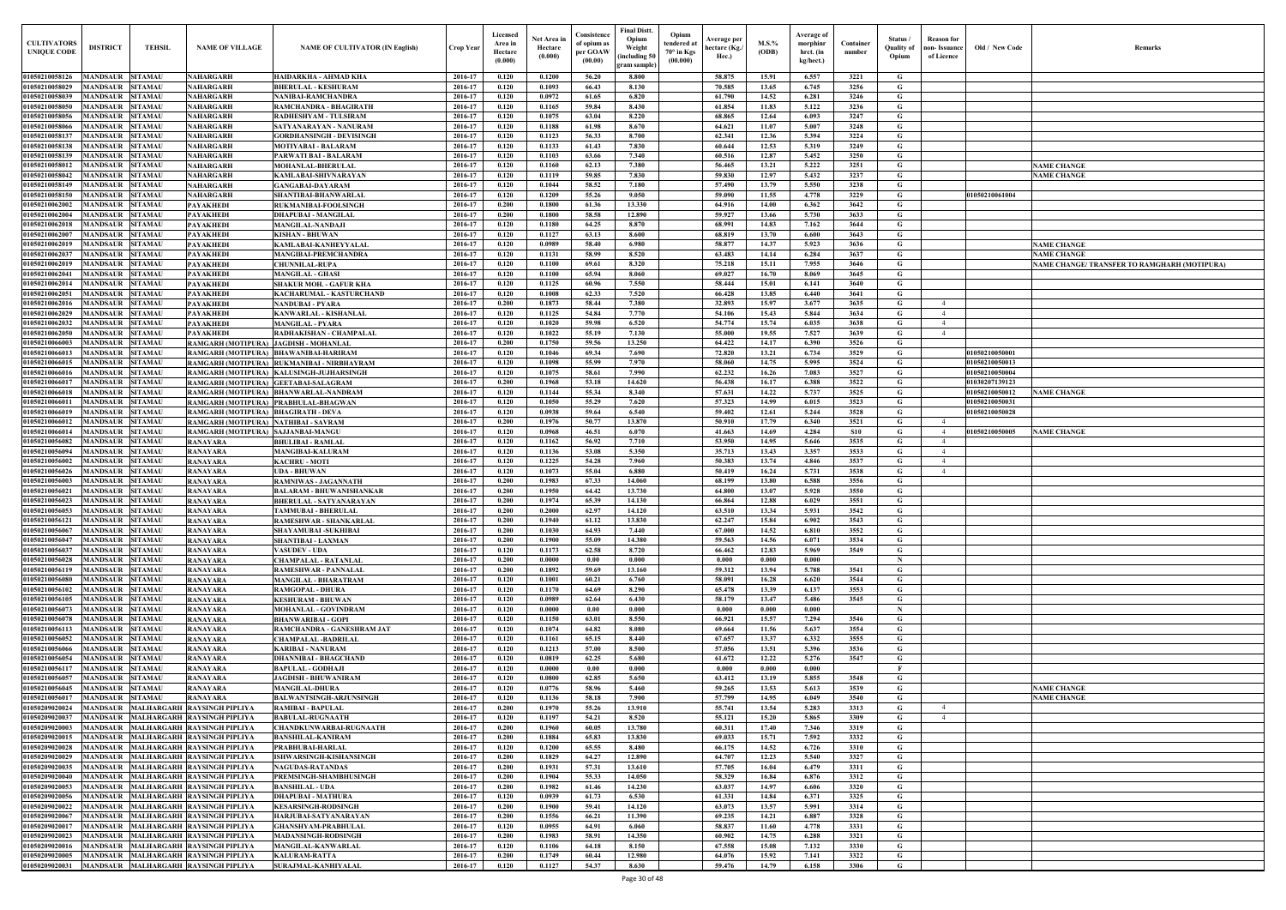| Old / New Code                   | Remarks                                      |
|----------------------------------|----------------------------------------------|
|                                  |                                              |
|                                  |                                              |
|                                  |                                              |
|                                  |                                              |
|                                  |                                              |
|                                  |                                              |
|                                  |                                              |
|                                  | <b>NAME CHANGE</b><br><b>NAME CHANGE</b>     |
|                                  |                                              |
| 01050210061004                   |                                              |
|                                  |                                              |
|                                  |                                              |
|                                  |                                              |
|                                  | <b>NAME CHANGE</b>                           |
|                                  | <b>NAME CHANGE</b>                           |
|                                  | NAME CHANGE/ TRANSFER TO RAMGHARH (MOTIPURA) |
|                                  |                                              |
|                                  |                                              |
|                                  |                                              |
|                                  |                                              |
|                                  |                                              |
|                                  |                                              |
| 01050210050001                   |                                              |
| 01050210050013<br>01050210050004 |                                              |
| 01030207139123                   |                                              |
| 01050210050012                   | <b>NAME CHANGE</b>                           |
| 01050210050031                   |                                              |
| 01050210050028                   |                                              |
| 01050210050005                   | <b>NAME CHANGE</b>                           |
|                                  |                                              |
|                                  |                                              |
|                                  |                                              |
|                                  |                                              |
|                                  |                                              |
|                                  |                                              |
|                                  |                                              |
|                                  |                                              |
|                                  |                                              |
|                                  |                                              |
|                                  |                                              |
|                                  |                                              |
|                                  |                                              |
|                                  |                                              |
|                                  |                                              |
|                                  |                                              |
|                                  |                                              |
|                                  |                                              |
|                                  |                                              |
|                                  |                                              |
|                                  | <b>NAME CHANGE</b>                           |
|                                  | <b>NAME CHANGE</b>                           |
|                                  |                                              |
|                                  |                                              |
|                                  |                                              |
|                                  |                                              |
|                                  |                                              |
|                                  |                                              |
|                                  |                                              |
|                                  |                                              |
|                                  |                                              |
|                                  |                                              |
|                                  |                                              |
|                                  |                                              |
|                                  |                                              |
|                                  |                                              |

| <b>CULTIVATORS</b><br><b>UNIQUE CODE</b> | <b>DISTRICT</b>                    | <b>TEHSIL</b>                    | <b>NAME OF VILLAGE</b>                                     | <b>NAME OF CULTIVATOR (IN English)</b>                                        | Crop Year          | Licensed<br>Area in<br>Hectare<br>(0.000) | Net Area in<br>Hectare<br>(0.000) | Consistence<br>of opium as<br>per GOAW<br>(00.00) | Final Distt.<br>Opium<br>Weight<br>including 50<br>gram sample) | Opium<br>tendered a<br>$70^\circ$ in Kgs<br>(00.000) | <b>\verage per</b><br>hectare (Kg./<br>Hec.) | $M.S.$ %<br>(ODB) | Average of<br>morphinr<br>hrct. (in<br>kg/hect.) | Container<br>number | Status /<br><b>Quality of</b><br>Opium | <b>Reason for</b><br>non- Issuance  <br>of Licence | Old / New Code                   | Remarks                                      |
|------------------------------------------|------------------------------------|----------------------------------|------------------------------------------------------------|-------------------------------------------------------------------------------|--------------------|-------------------------------------------|-----------------------------------|---------------------------------------------------|-----------------------------------------------------------------|------------------------------------------------------|----------------------------------------------|-------------------|--------------------------------------------------|---------------------|----------------------------------------|----------------------------------------------------|----------------------------------|----------------------------------------------|
| 01050210058126                           | MANDSAUR                           | <b>SITAMAU</b>                   | NAHARGARH                                                  | HAIDARKHA - AHMAD KHA                                                         | 2016-17            | 0.120                                     | 0.1200                            | 56.20                                             | 8.800                                                           |                                                      | 58.875                                       | 15.91             | 6.557                                            | 3221                | G                                      |                                                    |                                  |                                              |
| 01050210058029                           | MANDSAUR                           | <b>SITAMAU</b>                   | NAHARGARH                                                  | <b>BHERULAL - KESHURAM</b>                                                    | 2016-17            | 0.120                                     | 0.1093                            | 66.43                                             | 8.130                                                           |                                                      | 70.585                                       | 13.65             | 6.745                                            | 3256                | G                                      |                                                    |                                  |                                              |
| 01050210058039                           | <b>MANDSAUR</b>                    | <b>SITAMAU</b>                   | NAHARGARH                                                  | NANIBAI-RAMCHANDRA                                                            | 2016-17            | 0.120                                     | 0.0972                            | 61.65                                             | 6.820                                                           |                                                      | 61.790                                       | 14.52             | 6.281                                            | 3246                | G                                      |                                                    |                                  |                                              |
| 01050210058050                           | MANDSAUR                           | <b>SITAMAU</b>                   | NAHARGARH                                                  | RAMCHANDRA - BHAGIRATH                                                        | 2016-17            | 0.120                                     | 0.1165                            | 59.84                                             | 8.430                                                           |                                                      | 61.854                                       | 11.83             | 5.122                                            | 3236                | G                                      |                                                    |                                  |                                              |
| 01050210058056<br>01050210058066         | MANDSAUR                           | <b>SITAMAU</b>                   | NAHARGARH                                                  | RADHESHYAM - TULSIRAM                                                         | 2016-17            | 0.120                                     | 0.1075                            | 63.04                                             | 8.220                                                           |                                                      | 68.865                                       | 12.64             | 6.093                                            | 3247                | G                                      |                                                    |                                  |                                              |
| 01050210058137                           | <b>MANDSAUR</b><br><b>MANDSAUR</b> | <b>SITAMAU</b><br><b>SITAMAU</b> | <b>NAHARGARH</b><br>NAHARGARH                              | SATYANARAYAN - NANURAM<br><b>GORDHANSINGH - DEVISINGH</b>                     | 2016-17<br>2016-17 | 0.120<br>0.120                            | 0.1188<br>0.1123                  | 61.98<br>56.33                                    | 8.670<br>8.700                                                  |                                                      | 64.621<br>62.341                             | 11.07<br>12.36    | 5.007<br>5.394                                   | 3248<br>3224        | G<br>G                                 |                                                    |                                  |                                              |
| 01050210058138                           | <b>MANDSAUR</b>                    | <b>SITAMAU</b>                   | NAHARGARH                                                  | <b>MOTIYABAI - BALARAM</b>                                                    | 2016-17            | 0.120                                     | 0.1133                            | 61.43                                             | 7.830                                                           |                                                      | 60.644                                       | 12.53             | 5.319                                            | 3249                | G                                      |                                                    |                                  |                                              |
| 01050210058139                           | <b>MANDSAUR</b>                    | <b>SITAMAU</b>                   | NAHARGARH                                                  | PARWATI BAI - BALARAM                                                         | 2016-17            | 0.120                                     | 0.1103                            | 63.66                                             | 7.340                                                           |                                                      | 60.516                                       | 12.87             | 5.452                                            | 3250                | G                                      |                                                    |                                  |                                              |
| 01050210058012                           | <b>MANDSAUR</b>                    | <b>SITAMAU</b>                   | NAHARGARH                                                  | <b>MOHANLAL-BHERULAL</b>                                                      | 2016-17            | 0.120                                     | 0.1160                            | 62.13                                             | 7.380                                                           |                                                      | 56.465                                       | 13.21             | 5.222                                            | 3251                | G                                      |                                                    |                                  | <b>NAME CHANGE</b>                           |
| 01050210058042                           | <b>MANDSAUR</b>                    | <b>SITAMAU</b>                   | NAHARGARH                                                  | KAMLABAI-SHIVNARAYAN                                                          | 2016-17            | 0.120                                     | 0.1119                            | 59.85                                             | 7.830                                                           |                                                      | 59.830                                       | 12.97             | 5.432                                            | 3237                | G                                      |                                                    |                                  | <b>NAME CHANGE</b>                           |
| 01050210058149                           | <b>MANDSAUR</b>                    | <b>SITAMAU</b>                   | NAHARGARH                                                  | <b>GANGABAI-DAYARAM</b>                                                       | 2016-17            | 0.120                                     | 0.1044                            | 58.52                                             | 7.180                                                           |                                                      | 57.490                                       | 13.79             | 5.550                                            | 3238                | G                                      |                                                    |                                  |                                              |
| 01050210058150                           | MANDSAUR                           | <b>SITAMAU</b>                   | NAHARGARH                                                  | <b>SHANTIBAI-BHANWARLAL</b>                                                   | 2016-17            | 0.120                                     | 0.1209                            | 55.26                                             | 9.050                                                           |                                                      | 59.090                                       | 11.55             | 4.778                                            | 3229                | G                                      |                                                    | 01050210061004                   |                                              |
| 01050210062002<br>01050210062004         | <b>MANDSAUR</b><br><b>MANDSAUR</b> | <b>SITAMAU</b>                   | <b>PAYAKHEDI</b>                                           | <b>RUKMANIBAI-FOOLSINGH</b>                                                   | 2016-17<br>2016-17 | 0.200                                     | 0.1800                            | 61.36                                             | 13.330                                                          |                                                      | 64.916<br>59.927                             | 14.00             | 6.362                                            | 3642                | G                                      |                                                    |                                  |                                              |
| 01050210062018                           | MANDSAUR                           | <b>SITAMAU</b><br><b>SITAMAU</b> | PAYAKHEDI<br>PAYAKHEDI                                     | <b>DHAPUBAI - MANGILAL</b><br><b>MANGILAL-NANDAJI</b>                         | 2016-17            | 0.200<br>0.120                            | 0.1800<br>0.1180                  | 58.58<br>64.25                                    | 12.890<br>8.870                                                 |                                                      | 68.991                                       | 13.66<br>14.83    | 5.730<br>7.162                                   | 3633<br>3644        | G<br>G                                 |                                                    |                                  |                                              |
| 01050210062007                           | <b>MANDSAUR</b>                    | <b>SITAMAU</b>                   | PAYAKHEDI                                                  | <b>KISHAN - BHUWAN</b>                                                        | 2016-17            | 0.120                                     | 0.1127                            | 63.13                                             | 8.600                                                           |                                                      | 68.819                                       | 13.70             | 6.600                                            | 3643                | G                                      |                                                    |                                  |                                              |
| 01050210062019                           | <b>MANDSAUR</b>                    | <b>SITAMAU</b>                   | PAYAKHEDI                                                  | KAMLABAI-KANHEYYALAL                                                          | 2016-17            | 0.120                                     | 0.0989                            | 58.40                                             | 6.980                                                           |                                                      | 58.877                                       | 14.37             | 5.923                                            | 3636                | G                                      |                                                    |                                  | <b>NAME CHANGE</b>                           |
| 01050210062037                           | MANDSAUR                           | <b>SITAMAU</b>                   | PAYAKHEDI                                                  | <b>MANGIBAI-PREMCHANDRA</b>                                                   | 2016-17            | 0.120                                     | 0.1131                            | 58.99                                             | 8.520                                                           |                                                      | 63.483                                       | 14.14             | 6.284                                            | 3637                | G                                      |                                                    |                                  | <b>NAME CHANGE</b>                           |
| 01050210062019                           | <b>MANDSAUR</b>                    | <b>SITAMAU</b>                   | PAYAKHEDI                                                  | <b>CHUNNILAL-RUPA</b>                                                         | 2016-17            | 0.120                                     | 0.1100                            | 69.61                                             | 8.320                                                           |                                                      | 75.218                                       | 15.11             | 7.955                                            | 3646                | G                                      |                                                    |                                  | NAME CHANGE/ TRANSFER TO RAMGHARH (MOTIPURA) |
| 01050210062041                           | <b>MANDSAUR</b>                    | <b>SITAMAU</b>                   | PAYAKHEDI                                                  | <b>MANGILAL - GHASI</b>                                                       | 2016-17            | 0.120                                     | 0.1100                            | 65.94                                             | 8.060                                                           |                                                      | 69.027                                       | 16.70             | 8.069                                            | 3645                | G                                      |                                                    |                                  |                                              |
| 01050210062014                           | <b>MANDSAUR</b>                    | <b>SITAMAU</b>                   | PAYAKHEDI                                                  | <b>SHAKUR MOH. - GAFUR KHA</b>                                                | 2016-17            | 0.120                                     | 0.1125                            | 60.96                                             | 7.550                                                           |                                                      | 58.444                                       | 15.01             | 6.141                                            | 3640                | G                                      |                                                    |                                  |                                              |
| 01050210062051<br>01050210062016         | <b>MANDSAUR</b><br><b>MANDSAUR</b> | <b>SITAMAU</b><br><b>SITAMAU</b> | PAYAKHEDI<br>PAYAKHEDI                                     | KACHARUMAL - KASTURCHAND<br><b>NANDUBAI - PYARA</b>                           | 2016-17<br>2016-17 | 0.120<br>0.200                            | 0.1008<br>0.1873                  | 62.33<br>58.44                                    | 7.520<br>7.380                                                  |                                                      | 66.428<br>32.893                             | 13.85<br>15.97    | 6.440<br>3.677                                   | 3641<br>3635        | G<br>G                                 | $\overline{4}$                                     |                                  |                                              |
| 01050210062029                           | <b>MANDSAUR</b>                    | <b>SITAMAU</b>                   | PAYAKHEDI                                                  | KANWARLAL - KISHANLAL                                                         | 2016-17            | 0.120                                     | 0.1125                            | 54.84                                             | 7.770                                                           |                                                      | 54.106                                       | 15.43             | 5.844                                            | 3634                | G                                      | $\overline{4}$                                     |                                  |                                              |
| 01050210062032                           | MANDSAUR                           | <b>SITAMAU</b>                   | PAYAKHEDI                                                  | <b>MANGILAL - PYARA</b>                                                       | 2016-17            | 0.120                                     | 0.1020                            | 59.98                                             | 6.520                                                           |                                                      | 54,774                                       | 15.74             | 6.035                                            | 3638                | G                                      | $\overline{4}$                                     |                                  |                                              |
| 01050210062050                           | MANDSAUR                           | <b>SITAMAU</b>                   | PAYAKHEDI                                                  | RADHAKISHAN - CHAMPALAL                                                       | 2016-17            | 0.120                                     | 0.1022                            | 55.19                                             | 7.130                                                           |                                                      | 55.000                                       | 19.55             | 7.527                                            | 3639                | G                                      | $\overline{4}$                                     |                                  |                                              |
| 01050210066003                           | <b>MANDSAUR</b>                    | <b>SITAMAU</b>                   | RAMGARH (MOTIPURA)   JAGDISH - MOHANLAL                    |                                                                               | 2016-17            | 0.200                                     | 0.1750                            | 59.56                                             | 13.250                                                          |                                                      | 64.422                                       | 14.17             | 6.390                                            | 3526                | G                                      |                                                    |                                  |                                              |
| 01050210066013                           | MANDSAUR                           | <b>SITAMAU</b>                   |                                                            | RAMGARH (MOTIPURA) BHAWANIBAI-HARIRAM                                         | 2016-17            | 0.120                                     | 0.1046                            | 69.34                                             | 7.690                                                           |                                                      | 72.820                                       | 13.21             | 6.734                                            | 3529                | G                                      |                                                    | 01050210050001                   |                                              |
| 01050210066015                           | <b>MANDSAUR</b>                    | <b>SITAMAU</b>                   |                                                            | RAMGARH (MOTIPURA) RUKMANIBAI - NIRBHAYRAM                                    | 2016-17            | 0.120                                     | 0.1098                            | 55.99                                             | 7.970                                                           |                                                      | 58.060                                       | 14.75             | 5.995                                            | 3524                | G                                      |                                                    | 01050210050013                   |                                              |
| 01050210066016                           | <b>MANDSAUR</b>                    | <b>SITAMAU</b>                   |                                                            | RAMGARH (MOTIPURA)   KALUSINGH-JUJHARSINGH                                    | 2016-17            | 0.120                                     | 0.1075                            | 58.61                                             | 7.990                                                           |                                                      | 62.232                                       | 16.26             | 7.083                                            | 3527                | G                                      |                                                    | 01050210050004                   |                                              |
| 01050210066017                           | <b>MANDSAUR</b>                    | <b>SITAMAU</b>                   |                                                            | RAMGARH (MOTIPURA)   GEETABAI-SALAGRAM                                        | 2016-17            | 0.200                                     | 0.1968                            | 53.18                                             | 14.620                                                          |                                                      | 56.438                                       | 16.17             | 6.388                                            | 3522                | G                                      |                                                    | 01030207139123                   |                                              |
| 01050210066018<br>01050210066011         | <b>MANDSAUR</b><br><b>MANDSAUR</b> | <b>SITAMAU</b><br><b>SITAMAU</b> |                                                            | RAMGARH (MOTIPURA) BHANWARLAL-NANDRAM<br>RAMGARH (MOTIPURA) PRABHULAL-BHAGWAN | 2016-17<br>2016-17 | 0.120<br>0.120                            | 0.1144<br>0.1050                  | 55.34<br>55.29                                    | 8.340<br>7.620                                                  |                                                      | 57.631<br>57.323                             | 14.22<br>14.99    | 5.737<br>6.015                                   | 3525<br>3523        | G<br>G                                 |                                                    | 01050210050012<br>01050210050031 | <b>NAME CHANGE</b>                           |
| 01050210066019                           | <b>MANDSAUR</b>                    | <b>SITAMAU</b>                   | RAMGARH (MOTIPURA)  BHAGIRATH - DEVA                       |                                                                               | 2016-17            | 0.120                                     | 0.0938                            | 59.64                                             | 6.540                                                           |                                                      | 59.402                                       | 12.61             | 5.244                                            | 3528                | G                                      |                                                    | 01050210050028                   |                                              |
| 01050210066012                           | MANDSAUR                           | <b>SITAMAU</b>                   | RAMGARH (MOTIPURA)  NATHIBAI - SAVRAM                      |                                                                               | 2016-17            | 0.200                                     | 0.1976                            | 50.77                                             | 13.870                                                          |                                                      | 50.910                                       | 17.79             | 6.340                                            | 3521                | G                                      | $\overline{4}$                                     |                                  |                                              |
| 01050210066014                           | <b>MANDSAUR</b>                    | <b>SITAMAU</b>                   | RAMGARH (MOTIPURA)                                         | <b>SAJJANBAI-MANGU</b>                                                        | 2016-17            | 0.120                                     | 0.0968                            | 46.51                                             | 6.070                                                           |                                                      | 41.663                                       | 14.69             | 4.284                                            | <b>S10</b>          | G                                      | $\overline{4}$                                     | 01050210050005                   | <b>NAME CHANGE</b>                           |
| 01050210056082                           | MANDSAUR                           | <b>SITAMAU</b>                   | <b>RANAYARA</b>                                            | <b>BHULIBAI - RAMLAL</b>                                                      | 2016-17            | 0.120                                     | 0.1162                            | 56.92                                             | 7.710                                                           |                                                      | 53.950                                       | 14.95             | 5.646                                            | 3535                | G                                      | $\overline{4}$                                     |                                  |                                              |
| 01050210056094                           | MANDSAUR                           | <b>SITAMAU</b>                   | <b>RANAYARA</b>                                            | <b>MANGIBAI-KALURAM</b>                                                       | 2016-17            | 0.120                                     | 0.1136                            | 53.08                                             | 5.350                                                           |                                                      | 35.713                                       | 13.43             | 3.357                                            | 3533                | G                                      | $\overline{4}$                                     |                                  |                                              |
| 01050210056002                           | <b>MANDSAUR</b>                    | <b>SITAMAU</b>                   | <b>RANAYARA</b>                                            | <b>KACHRU - MOTI</b>                                                          | 2016-17            | 0.120                                     | 0.1225                            | 54.28                                             | 7.960                                                           |                                                      | 50.383                                       | 13.74             | 4.846                                            | 3537                | G                                      | $\overline{4}$                                     |                                  |                                              |
| 01050210056026<br>01050210056003         | MANDSAUR<br>MANDSAUR               | <b>SITAMAU</b>                   | RANAYARA                                                   | <b>UDA - BHUWAN</b>                                                           | 2016-17<br>2016-17 | 0.120<br>0.200                            | 0.1073<br>0.1983                  | 55.04<br>67.33                                    | 6.880<br>14.060                                                 |                                                      | 50.419<br>68.199                             | 16.24<br>13.80    | 5.731<br>6.588                                   | 3538<br>3556        | G<br>G                                 | $\overline{4}$                                     |                                  |                                              |
| 01050210056021                           | <b>MANDSAUR</b>                    | <b>SITAMAU</b><br><b>SITAMAU</b> | RANAYARA<br><b>RANAYARA</b>                                | RAMNIWAS - JAGANNATH<br><b>BALARAM - BHUWANISHANKAR</b>                       | 2016-17            | 0.200                                     | 0.1950                            | 64.42                                             | 13.730                                                          |                                                      | 64.800                                       | 13.07             | 5.928                                            | 3550                | G                                      |                                                    |                                  |                                              |
| 01050210056023                           | <b>MANDSAUR</b>                    | <b>SITAMAU</b>                   | <b>RANAYARA</b>                                            | <b>BHERULAL - SATYANARAYAN</b>                                                | 2016-17            | 0.200                                     | 0.1974                            | 65.39                                             | 14.130                                                          |                                                      | 66.864                                       | 12.88             | 6.029                                            | 3551                | G                                      |                                                    |                                  |                                              |
| 01050210056053                           | <b>MANDSAUR</b>                    | <b>SITAMAU</b>                   | <b>RANAYARA</b>                                            | <b>TAMMUBAI - BHERULAL</b>                                                    | 2016-17            | 0.200                                     | 0.2000                            | 62.97                                             | 14.120                                                          |                                                      | 63.510                                       | 13.34             | 5.931                                            | 3542                | G                                      |                                                    |                                  |                                              |
| 0105021005612                            | <b>MANDSAUR</b>                    | <b>SITAMAU</b>                   | RANAYARA                                                   | RAMESHWAR - SHANKARLAL                                                        | 2016-17            | 0.200                                     | 0.1940                            | 61.12                                             | 13.830                                                          |                                                      | 62,247                                       | 15.84             | 6.902                                            | 3543                | G                                      |                                                    |                                  |                                              |
| 01050210056067                           | <b>MANDSAUR</b>                    | <b>SITAMAU</b>                   | RANAYARA                                                   | <b>SHAYAMUBAI -SUKHIBAI</b>                                                   | 2016-17            | 0.200                                     | 0.1030                            | 64.93                                             | 7.440                                                           |                                                      | 67.000                                       | 14.52             | 6.810                                            | 3552                | G                                      |                                                    |                                  |                                              |
| 01050210056047                           | <b>MANDSAUR</b>                    | <b>SITAMAU</b>                   | RANAYARA                                                   | <b>SHANTIBAI - LAXMAN</b>                                                     | 2016-17            | 0.200                                     | 0.1900                            | 55.09                                             | 14.380                                                          |                                                      | 59.563                                       | 14.56             | 6.071                                            | 3534                | G                                      |                                                    |                                  |                                              |
| 01050210056037                           | <b>MANDSAUR</b>                    | <b>SITAMAU</b>                   | RANAYARA                                                   | <b>VASUDEV - UDA</b>                                                          | 2016-17            | 0.120                                     | 0.1173                            | 62.58                                             | 8.720                                                           |                                                      | 66.462                                       | 12.83             | 5.969                                            | 3549                | G                                      |                                                    |                                  |                                              |
| 01050210056028<br>01050210056119         | <b>MANDSAUR</b><br><b>MANDSAUR</b> | <b>SITAMAU</b><br><b>SITAMAU</b> | <b>RANAYARA</b><br><b>RANAYARA</b>                         | <b>CHAMPALAL - RATANLAL</b>                                                   | 2016-17<br>2016-17 | 0.200<br>0.200                            | 0.0000<br>0.1892                  | 0.00<br>59.69                                     | 0.000<br>13.160                                                 |                                                      | 0.000<br>59.312                              | 0.000<br>13.94    | 0.000<br>5.788                                   | 3541                | N<br>G                                 |                                                    |                                  |                                              |
| 01050210056080                           | <b>MANDSAUR</b>                    | <b>SITAMAU</b>                   | <b>RANAYARA</b>                                            | RAMESHWAR - PANNALAL<br><b>MANGILAL - BHARATRAM</b>                           | 2016-17            | 0.120                                     | 0.1001                            | 60.21                                             | 6.760                                                           |                                                      | 58.091                                       | 16.28             | 6.620                                            | 3544                | G                                      |                                                    |                                  |                                              |
| 01050210056102                           | <b>MANDSAUR</b>                    | <b>SITAMAU</b>                   | <b>RANAYARA</b>                                            | <b>RAMGOPAL - DHURA</b>                                                       | 2016-17            | 0.120                                     | 0.1170                            | 64.69                                             | 8.290                                                           |                                                      | 65.478                                       | 13.39             | 6.137                                            | 3553                | G                                      |                                                    |                                  |                                              |
| 01050210056105                           | <b>MANDSAUR</b>                    | <b>SITAMAU</b>                   | <b>RANAYARA</b>                                            | <b>KESHURAM - BHUWAN</b>                                                      | 2016-17            | 0.120                                     | 0.0989                            | 62.64                                             | 6.430                                                           |                                                      | 58.179                                       | 13.47             | 5.486                                            | 3545                | G                                      |                                                    |                                  |                                              |
| 01050210056073                           | <b>MANDSAUR</b>                    | <b>SITAMAU</b>                   | <b>RANAYARA</b>                                            | <b>MOHANLAL - GOVINDRAM</b>                                                   | 2016-17            | 0.120                                     | 0.0000                            | 0.00                                              | 0.000                                                           |                                                      | 0.000                                        | 0.000             | 0.000                                            |                     | $\mathbf N$                            |                                                    |                                  |                                              |
| 01050210056078                           | <b>MANDSAUR</b>                    | <b>SITAMAU</b>                   | <b>RANAYARA</b>                                            | <b>BHANWARIBAI - GOPI</b>                                                     | 2016-17            | 0.120                                     | 0.1150                            | 63.01                                             | 8.550                                                           |                                                      | 66.921                                       | 15.57             | 7.294                                            | 3546                | G                                      |                                                    |                                  |                                              |
| 01050210056113                           | <b>MANDSAUR</b>                    | <b>SITAMAU</b>                   | <b>RANAYARA</b>                                            | RAMCHANDRA - GANESHRAM JAT                                                    | 2016-17            | 0.120                                     | 0.1074                            | 64.82                                             | 8.080                                                           |                                                      | 69.664                                       | 11.56             | 5.637                                            | 3554                | G                                      |                                                    |                                  |                                              |
| 01050210056052<br>01050210056066         | <b>MANDSAUR</b><br><b>MANDSAUR</b> | <b>SITAMAU</b><br><b>SITAMAU</b> | <b>RANAYARA</b><br><b>RANAYARA</b>                         | <b>CHAMPALAL -BADRILAL</b><br><b>KARIBAI - NANURAM</b>                        | 2016-17<br>2016-17 | 0.120<br>0.120                            | 0.1161<br>0.1213                  | 65.15<br>57.00                                    | 8.440<br>8.500                                                  |                                                      | 67.657<br>57.056                             | 13.37<br>13.51    | 6.332<br>5.396                                   | 3555<br>3536        | G<br>G                                 |                                                    |                                  |                                              |
| 01050210056054                           | <b>MANDSAUR</b>                    | <b>SITAMAU</b>                   | <b>RANAYARA</b>                                            | <b>DHANNIBAI - BHAGCHAND</b>                                                  | 2016-17            | 0.120                                     | 0.0819                            | 62.25                                             | 5.680                                                           |                                                      | 61.672                                       | 12.22             | 5.276                                            | 3547                | G                                      |                                                    |                                  |                                              |
| 01050210056117                           | <b>MANDSAUR</b>                    | <b>SITAMAU</b>                   | <b>RANAYARA</b>                                            | <b>BAPULAL - GODHAJI</b>                                                      | 2016-17            | 0.120                                     | 0.0000                            | 0.00                                              | 0.000                                                           |                                                      | 0.000                                        | 0.000             | 0.000                                            |                     | - F                                    |                                                    |                                  |                                              |
| 01050210056057                           | <b>MANDSAUR</b>                    | <b>SITAMAU</b>                   | <b>RANAYARA</b>                                            | <b>JAGDISH - BHUWANIRAM</b>                                                   | 2016-17            | 0.120                                     | 0.0800                            | 62.85                                             | 5.650                                                           |                                                      | 63.412                                       | 13.19             | 5.855                                            | 3548                | G                                      |                                                    |                                  |                                              |
| 01050210056045                           | <b>MANDSAUR</b>                    | <b>SITAMAU</b>                   | <b>RANAYARA</b>                                            | <b>MANGILAL-DHURA</b>                                                         | 2016-17            | 0.120                                     | 0.0776                            | 58.96                                             | 5.460                                                           |                                                      | 59.265                                       | 13.53             | 5.613                                            | 3539                | G                                      |                                                    |                                  | <b>NAME CHANGE</b>                           |
| 01050210056017                           | <b>MANDSAUR</b>                    | <b>SITAMAU</b>                   | <b>RANAYARA</b>                                            | <b>BALWANTSINGH-ARJUNSINGH</b>                                                | 2016-17            | 0.120                                     | 0.1136                            | 58.18                                             | 7.900                                                           |                                                      | 57,799                                       | 14.95             | 6.049                                            | 3540                | G                                      |                                                    |                                  | <b>NAME CHANGE</b>                           |
| 01050209020024                           | <b>MANDSAUR</b>                    |                                  | MALHARGARH RAYSINGH PIPLIYA                                | <b>RAMIBAI - BAPULAL</b>                                                      | 2016-17            | 0.200                                     | 0.1970                            | 55.26                                             | 13.910                                                          |                                                      | 55.741                                       | 13.54             | 5.283                                            | 3313                | G                                      | $\overline{4}$                                     |                                  |                                              |
| 01050209020037                           | MANDSAUR                           |                                  | MALHARGARH RAYSINGH PIPLIYA                                | <b>BABULAL-RUGNAATH</b>                                                       | 2016-17            | 0.120                                     | 0.1197                            | 54.21                                             | 8.520                                                           |                                                      | 55.121                                       | 15.20             | 5.865                                            | 3309                | G                                      | $\overline{4}$                                     |                                  |                                              |
| 01050209020003<br>01050209020015         | MANDSAUR<br><b>MANDSAUR</b>        |                                  | MALHARGARH RAYSINGH PIPLIYA<br>MALHARGARH RAYSINGH PIPLIYA | <b>CHANDKUNWARBAI-RUGNAATH</b><br><b>BANSHILAL-KANIRAM</b>                    | 2016-17<br>2016-17 | 0.200<br>0.200                            | 0.1960<br>0.1884                  | 60.05<br>65.83                                    | 13.780<br>13.830                                                |                                                      | 60.311<br>69.033                             | 17.40<br>15.71    | 7.346<br>7.592                                   | 3319<br>3332        | G<br>G                                 |                                                    |                                  |                                              |
| 01050209020028                           | <b>MANDSAUR</b>                    |                                  | <b>MALHARGARH RAYSINGH PIPLIYA</b>                         | PRABHUBAI-HARLAL                                                              | 2016-17            | 0.120                                     | 0.1200                            | 65.55                                             | 8.480                                                           |                                                      | 66.175                                       | 14.52             | 6.726                                            | 3310                | G                                      |                                                    |                                  |                                              |
| 01050209020029                           | <b>MANDSAUR</b>                    |                                  | <b>MALHARGARH RAYSINGH PIPLIYA</b>                         | ISHWARSINGH-KISHANSINGH                                                       | 2016-17            | 0.200                                     | 0.1829                            | 64.27                                             | 12.890                                                          |                                                      | 64.707                                       | 12.23             | 5.540                                            | 3327                | G                                      |                                                    |                                  |                                              |
| 01050209020035                           | MANDSAUR                           |                                  | MALHARGARH RAYSINGH PIPLIYA                                | <b>NAGUDAS-RATANDAS</b>                                                       | 2016-17            | 0.200                                     | 0.1931                            | 57.31                                             | 13.610                                                          |                                                      | 57.705                                       | 16.04             | 6.479                                            | 3311                | G                                      |                                                    |                                  |                                              |
| 01050209020040                           | <b>MANDSAUR</b>                    |                                  | MALHARGARH RAYSINGH PIPLIYA                                | PREMSINGH-SHAMBHUSINGH                                                        | 2016-17            | 0.200                                     | 0.1904                            | 55.33                                             | 14.050                                                          |                                                      | 58.329                                       | 16.84             | 6.876                                            | 3312                | G                                      |                                                    |                                  |                                              |
| 01050209020053                           | MANDSAUR                           |                                  | <b>MALHARGARH RAYSINGH PIPLIYA</b>                         | <b>BANSHILAL - UDA</b>                                                        | 2016-17            | 0.200                                     | 0.1982                            | 61.46                                             | 14.230                                                          |                                                      | 63.037                                       | 14.97             | 6.606                                            | 3320                | G                                      |                                                    |                                  |                                              |
| <b>01050209020056</b>                    | <b>MANDSAUR</b>                    |                                  | MALHARGARH RAYSINGH PIPLIYA                                | <b>DHAPUBAI - MATHURA</b>                                                     | 2016-17            | 0.120                                     | 0.0939                            | 61.73                                             | 6.530                                                           |                                                      | 61.331                                       | 14.84             | 6.371                                            | 3325                | G                                      |                                                    |                                  |                                              |
| 01050209020022                           | <b>MANDSAUR</b>                    |                                  | MALHARGARH RAYSINGH PIPLIYA                                | <b>KESARSINGH-RODSINGH</b>                                                    | 2016-17            | 0.200                                     | 0.1900                            | 59.41                                             | 14.120                                                          |                                                      | 63.073                                       | 13.57             | 5.991                                            | 3314                | G                                      |                                                    |                                  |                                              |
| 01050209020067                           | <b>MANDSAUR</b>                    |                                  | MALHARGARH RAYSINGH PIPLIYA                                | HARJUBAI-SATYANARAYAN                                                         | 2016-17            | 0.200                                     | 0.1556                            | 66.21                                             | 11.390                                                          |                                                      | 69.235                                       | 14.21             | 6.887                                            | 3328                | G                                      |                                                    |                                  |                                              |
| 01050209020017<br>01050209020023         | <b>MANDSAUR</b><br><b>MANDSAUR</b> |                                  | MALHARGARH RAYSINGH PIPLIYA<br>MALHARGARH RAYSINGH PIPLIYA | <b>GHANSHYAM-PRABHULAL</b><br><b>MADANSINGH-RODSINGH</b>                      | 2016-17<br>2016-17 | 0.120<br>0.200                            | 0.0955<br>0.1983                  | 64.91<br>58.91                                    | 6.060<br>14.350                                                 |                                                      | 58.837<br>60.902                             | 11.60<br>14.75    | 4.778<br>6.288                                   | 3331<br>3321        | G<br>G                                 |                                                    |                                  |                                              |
| 01050209020016                           | <b>MANDSAUR</b>                    |                                  | MALHARGARH RAYSINGH PIPLIYA                                | <b>MANGILAL-KANWARLAL</b>                                                     | 2016-17            | 0.120                                     | 0.1106                            | 64.18                                             | 8.150                                                           |                                                      | 67.558                                       | 15.08             | 7.132                                            | 3330                | G                                      |                                                    |                                  |                                              |
| 01050209020005                           | <b>MANDSAUR</b>                    |                                  | MALHARGARH RAYSINGH PIPLIYA                                | <b>KALURAM-RATTA</b>                                                          | 2016-17            | 0.200                                     | 0.1749                            | 60.44                                             | 12.980                                                          |                                                      | 64.076                                       | 15.92             | 7.141                                            | 3322                | G                                      |                                                    |                                  |                                              |
| 01050209020031                           |                                    |                                  | MANDSAUR MALHARGARH RAYSINGH PIPLIYA                       | SURAJMAL-KANHIYALAL                                                           | 2016-17            | 0.120                                     | 0.1127                            | 54.37                                             | 8.630                                                           |                                                      | 59.476                                       | 14.79             | 6.158                                            | 3306                | G                                      |                                                    |                                  |                                              |
|                                          |                                    |                                  |                                                            |                                                                               |                    |                                           |                                   |                                                   |                                                                 |                                                      |                                              |                   |                                                  |                     |                                        |                                                    |                                  |                                              |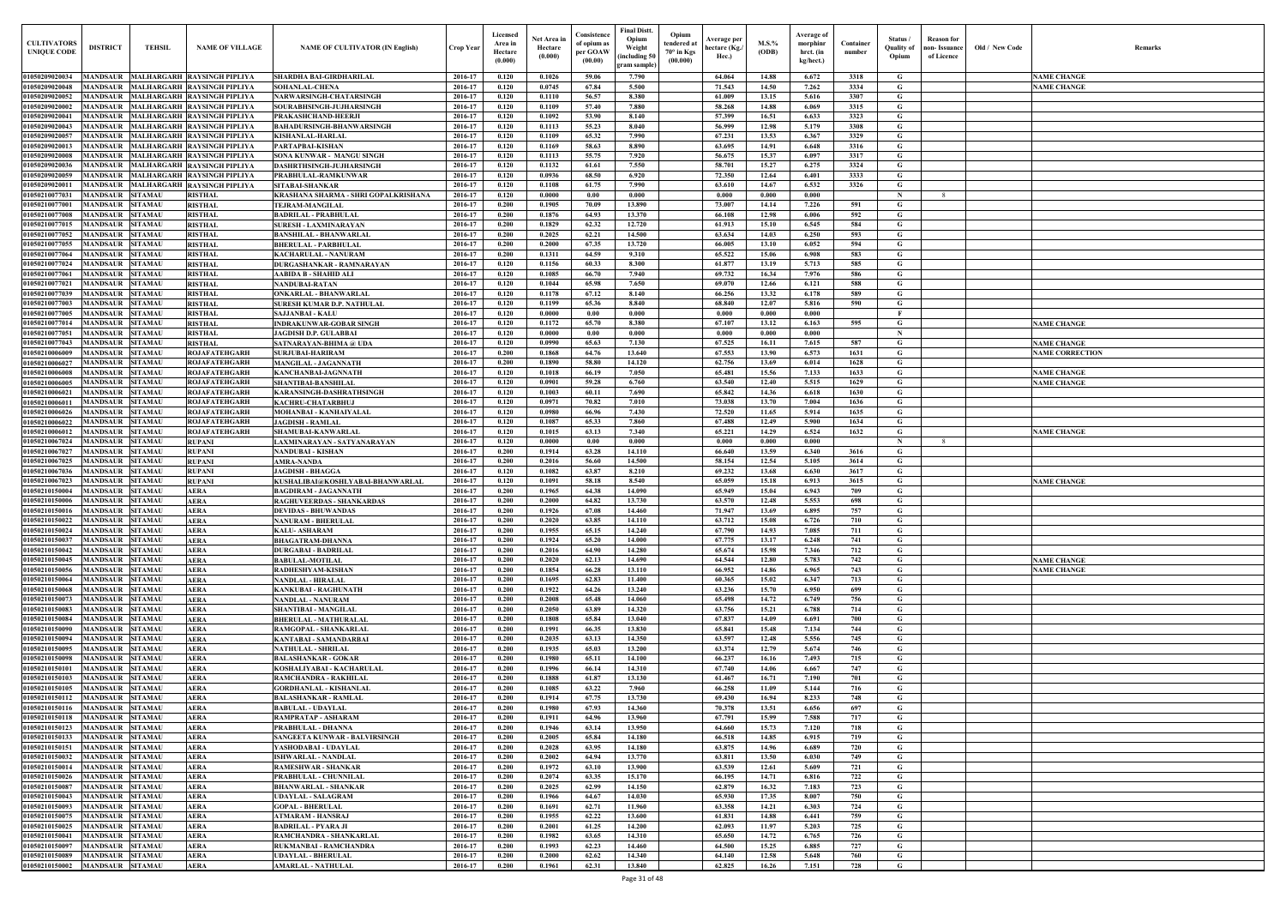| Old / New Code | Remarks                                  |
|----------------|------------------------------------------|
|                |                                          |
|                |                                          |
|                | <b>NAME CHANGE</b>                       |
|                | <b>NAME CHANGE</b>                       |
|                |                                          |
|                |                                          |
|                |                                          |
|                |                                          |
|                |                                          |
|                |                                          |
|                |                                          |
|                |                                          |
|                |                                          |
|                |                                          |
|                |                                          |
|                |                                          |
|                |                                          |
|                |                                          |
|                |                                          |
|                |                                          |
|                |                                          |
|                |                                          |
|                |                                          |
|                |                                          |
|                |                                          |
|                | <b>NAME CHANGE</b>                       |
|                |                                          |
|                | <b>NAME CHANGE</b>                       |
|                | <b>NAME CORRECTION</b>                   |
|                |                                          |
|                | <b>NAME CHANGE</b><br><b>NAME CHANGE</b> |
|                |                                          |
|                |                                          |
|                |                                          |
|                |                                          |
|                | <b>NAME CHANGE</b>                       |
|                |                                          |
|                |                                          |
|                |                                          |
|                | <b>NAME CHANGE</b>                       |
|                |                                          |
|                |                                          |
|                |                                          |
|                |                                          |
|                |                                          |
|                |                                          |
|                | <b>NAME CHANGE</b>                       |
|                | <b>NAME CHANGE</b>                       |
|                |                                          |
|                |                                          |
|                |                                          |
|                |                                          |
|                |                                          |
|                |                                          |
|                |                                          |
|                |                                          |
|                |                                          |
|                |                                          |
|                |                                          |
|                |                                          |
|                |                                          |
|                |                                          |
|                |                                          |
|                |                                          |
|                |                                          |
|                |                                          |
|                |                                          |
|                |                                          |
|                |                                          |
|                |                                          |
|                |                                          |
|                |                                          |
|                |                                          |
|                |                                          |
|                |                                          |
|                |                                          |

| <b>CULTIVATORS</b><br><b>UNIQUE CODE</b>          | <b>DISTRICT</b>                                    | <b>TEHSIL</b>  | <b>NAME OF VILLAGE</b>                                              | <b>NAME OF CULTIVATOR (IN English)</b>                         | Crop Year          | Licensed<br>Area in<br>Hectare<br>(0.000) | Net Area in<br>Hectare<br>(0.000) | Consistence<br>of opium as<br>per GOAW<br>(00.00) | <b>Final Distt.</b><br>Opium<br>Weight<br>including 50)<br>gram sample) | Opium<br>tendered at<br>$70^\circ$ in Kgs<br>(00.000) | Average per<br>hectare (Kg./<br>Hec.) | M.S.%<br>(ODB) | Average of<br>morphinr<br>hrct. (in<br>kg/hect.) | Container<br>number | Status /<br><b>Ouality of</b><br>Opium | <b>Reason</b> for<br>ıon- Issuance<br>of Licence | Old / New Code | <b>Remark</b>          |
|---------------------------------------------------|----------------------------------------------------|----------------|---------------------------------------------------------------------|----------------------------------------------------------------|--------------------|-------------------------------------------|-----------------------------------|---------------------------------------------------|-------------------------------------------------------------------------|-------------------------------------------------------|---------------------------------------|----------------|--------------------------------------------------|---------------------|----------------------------------------|--------------------------------------------------|----------------|------------------------|
| 01050209020034                                    |                                                    |                | MANDSAUR MALHARGARH RAYSINGH PIPLIYA                                | <b>SHARDHA BAI-GIRDHARILAL</b>                                 | 2016-17            | 0.120                                     | 0.1026                            | 59.06                                             | 7.790                                                                   |                                                       | 64.064                                | 14.88          | 6.672                                            | 3318                | G                                      |                                                  |                | <b>NAME CHANGE</b>     |
| 01050209020048                                    |                                                    |                | MANDSAUR MALHARGARH RAYSINGH PIPLIYA                                | <b>SOHANLAL-CHENA</b>                                          | 2016-17            | 0.120                                     | 0.0745                            | 67.84                                             | 5.500                                                                   |                                                       | 71.543                                | 14.50          | 7.262                                            | 3334                | G                                      |                                                  |                | <b>NAME CHANGE</b>     |
| 01050209020052                                    |                                                    |                | MANDSAUR MALHARGARH RAYSINGH PIPLIYA                                | <b>NARWARSINGH-CHATARSINGH</b>                                 | 2016-17            | 0.120                                     | 0.1110                            | 56.57                                             | 8.380                                                                   |                                                       | 61.009                                | 13.15          | 5.616                                            | 3307                | G                                      |                                                  |                |                        |
| 01050209020002<br>01050209020041                  | <b>MANDSAUR</b>                                    |                | MALHARGARH RAYSINGH PIPLIYA<br>MANDSAUR MALHARGARH RAYSINGH PIPLIYA | SOURABHSINGH-JUJHARSINGH                                       | 2016-17<br>2016-17 | 0.120<br>0.120                            | 0.1109<br>0.1092                  | 57.40<br>53.90                                    | 7.880<br>8.140                                                          |                                                       | 58.268<br>57.399                      | 14.88<br>16.51 | 6.069<br>6.633                                   | 3315<br>3323        | G<br>G                                 |                                                  |                |                        |
| 01050209020043                                    | <b>MANDSAUR</b>                                    |                | <b>MALHARGARH RAYSINGH PIPLIYA</b>                                  | PRAKASHCHAND-HEERJI<br><b>BAHADURSINGH-BHANWARSINGH</b>        | 2016-17            | 0.120                                     | 0.1113                            | 55.23                                             | 8.040                                                                   |                                                       | 56.999                                | 12.98          | 5.179                                            | 3308                | G                                      |                                                  |                |                        |
| 01050209020057                                    | <b>MANDSAUR</b>                                    |                | <b>MALHARGARH RAYSINGH PIPLIYA</b>                                  | <b>KISHANLAL-HARLAL</b>                                        | 2016-17            | 0.120                                     | 0.1109                            | 65.32                                             | 7.990                                                                   |                                                       | 67.231                                | 13.53          | 6.367                                            | 3329                | G                                      |                                                  |                |                        |
| 0105020902001                                     | <b>MANDSAUR</b>                                    |                | MALHARGARH RAYSINGH PIPLIYA                                         | <b>PARTAPBAI-KISHAN</b>                                        | 2016-17            | 0.120                                     | 0.1169                            | 58.63                                             | 8.890                                                                   |                                                       | 63.695                                | 14.91          | 6.648                                            | 3316                | G                                      |                                                  |                |                        |
| 01050209020008                                    | MANDSAUR                                           |                | <b>MALHARGARH RAYSINGH PIPLIYA</b>                                  | SONA KUNWAR - MANGU SINGH                                      | 2016-17            | 0.120                                     | 0.1113                            | 55.75                                             | 7.920                                                                   |                                                       | 56.675                                | 15.37          | 6.097                                            | 3317                | G                                      |                                                  |                |                        |
| 01050209020036                                    | MANDSAUR                                           |                | MALHARGARH RAYSINGH PIPLIYA                                         | <b>DASHRTHSINGH-JUJHARSINGH</b>                                | 2016-17            | 0.120                                     | 0.1132                            | 61.61                                             | 7.550                                                                   |                                                       | 58.701                                | 15.27          | 6.275                                            | 3324                | $\mathbf G$                            |                                                  |                |                        |
| 01050209020059                                    | MANDSAUR                                           |                | MALHARGARH RAYSINGH PIPLIYA                                         | PRABHULAL-RAMKUNWAR                                            | 2016-17            | 0.120                                     | 0.0936                            | 68.50                                             | 6.920                                                                   |                                                       | 72.350                                | 12.64          | 6.401                                            | 3333                | G                                      |                                                  |                |                        |
| 0105020902001<br>0105021007703                    | <b>MANDSAUR</b><br><b>MANDSAUR</b>                 | <b>SITAMAU</b> | <b>MALHARGARH RAYSINGH PIPLIYA</b><br><b>RISTHAL</b>                | <b>SITABAI-SHANKAR</b><br>KRASHANA SHARMA - SHRI GOPALKRISHANA | 2016-17<br>2016-17 | 0.120<br>0.120                            | 0.1108<br>0.0000                  | 61.75<br>0.00                                     | 7.990<br>0.000                                                          |                                                       | 63.610<br>0.000                       | 14.67<br>0.000 | 6.532<br>0.000                                   | 3326                | G<br>$\mathbf N$                       | $\mathbf{R}$                                     |                |                        |
| 0105021007700                                     | <b>MANDSAUR SITAMAU</b>                            |                | <b>RISTHAL</b>                                                      | <b>TEJRAM-MANGILAL</b>                                         | 2016-17            | 0.200                                     | 0.1905                            | 70.09                                             | 13.890                                                                  |                                                       | 73.007                                | 14.14          | 7.226                                            | 591                 | G                                      |                                                  |                |                        |
| 0105021007700                                     | MANDSAUR                                           | <b>SITAMAU</b> | <b>RISTHAL</b>                                                      | <b>BADRILAL - PRABHULAL</b>                                    | 2016-17            | 0.200                                     | 0.1876                            | 64.93                                             | 13.370                                                                  |                                                       | 66.108                                | 12.98          | 6.006                                            | 592                 | G                                      |                                                  |                |                        |
| 01050210077015                                    | <b>MANDSAUR SITAMAU</b>                            |                | <b>RISTHAL</b>                                                      | SURESH - LAXMINARAYAN                                          | 2016-17            | 0.200                                     | 0.1829                            | 62.32                                             | 12,720                                                                  |                                                       | 61.913                                | 15.10          | 6.545                                            | 584                 | G                                      |                                                  |                |                        |
| 01050210077052                                    | <b>MANDSAUR</b>                                    | <b>SITAMAU</b> | <b>RISTHAL</b>                                                      | <b>BANSHILAL - BHANWARLAL</b>                                  | 2016-17            | 0.200                                     | 0.2025                            | 62.21                                             | 14.500                                                                  |                                                       | 63.634                                | 14.03          | 6.250                                            | 593                 | G                                      |                                                  |                |                        |
| 01050210077055                                    | MANDSAUR                                           | <b>SITAMAU</b> | <b>RISTHAL</b>                                                      | <b>BHERULAL - PARBHULAL</b>                                    | 2016-17            | 0.200                                     | 0.2000                            | 67.35                                             | 13.720                                                                  |                                                       | 66.005                                | 13.10          | 6.052                                            | 594                 | G                                      |                                                  |                |                        |
| 0105021007706<br>0105021007702                    | MANDSAUR<br><b>MANDSAUR SITAMAU</b>                | <b>SITAMAU</b> | <b>RISTHAL</b><br><b>RISTHAL</b>                                    | KACHARULAL - NANURAM<br>DURGASHANKAR - RAMNARAYAN              | 2016-17<br>2016-17 | 0.200<br>0.120                            | 0.1311<br>0.1156                  | 64.59<br>60.33                                    | 9.310<br>8.300                                                          |                                                       | 65.522<br>61.877                      | 15.06<br>13.19 | 6.908<br>5.713                                   | 583<br>585          | G<br>G                                 |                                                  |                |                        |
| 0105021007706                                     | <b>MANDSAUR SITAMAU</b>                            |                | <b>RISTHAL</b>                                                      | AABIDA B - SHAHID ALI                                          | 2016-17            | 0.120                                     | 0.1085                            | 66.70                                             | 7.940                                                                   |                                                       | 69.732                                | 16.34          | 7.976                                            | 586                 | G                                      |                                                  |                |                        |
| 01050210077021                                    | MANDSAUR SITAMAU                                   |                | <b>RISTHAL</b>                                                      | NANDUBAI-RATAN                                                 | 2016-17            | 0.120                                     | 0.1044                            | 65.98                                             | 7.650                                                                   |                                                       | 69.070                                | 12.66          | 6.121                                            | 588                 | G                                      |                                                  |                |                        |
| 01050210077039                                    | <b>MANDSAUR SITAMAU</b>                            |                | <b>RISTHAL</b>                                                      | <b>ONKARLAL - BHANWARLAL</b>                                   | 2016-17            | 0.120                                     | 0.1178                            | 67.12                                             | 8.140                                                                   |                                                       | 66.256                                | 13.32          | 6.178                                            | 589                 | G                                      |                                                  |                |                        |
| 01050210077003                                    | <b>MANDSAUR SITAMAU</b>                            |                | <b>RISTHAL</b>                                                      | SURESH KUMAR D.P. NATHULAL                                     | 2016-17            | 0.120                                     | 0.1199                            | 65.36                                             | 8.840                                                                   |                                                       | 68.840                                | 12.07          | 5.816                                            | 590                 | G                                      |                                                  |                |                        |
| 01050210077005<br>01050210077014                  | MANDSAUR SITAMAU<br><b>MANDSAUR SITAMAU</b>        |                | <b>RISTHAL</b><br><b>RISTHAL</b>                                    | <b>SAJJANBAI - KALU</b>                                        | 2016-17<br>2016-17 | 0.120<br>0.120                            | 0.0000<br>0.1172                  | 0.00<br>65.70                                     | 0.000<br>8.380                                                          |                                                       | 0.000<br>67.107                       | 0.000<br>13.12 | 0.000<br>6.163                                   | 595                 | - F<br>G                               |                                                  |                | <b>NAME CHANGE</b>     |
| 01050210077051                                    | <b>MANDSAUR SITAMAU</b>                            |                | <b>RISTHAL</b>                                                      | <b>INDRAKUNWAR-GOBAR SINGH</b><br><b>JAGDISH D.P. GULABBAI</b> | 2016-17            | 0.120                                     | 0.0000                            | 0.00                                              | 0.000                                                                   |                                                       | 0.000                                 | 0.000          | 0.000                                            |                     | $\mathbf N$                            |                                                  |                |                        |
| 01050210077043                                    | MANDSAUR SITAMAU                                   |                | <b>RISTHAL</b>                                                      | SATNARAYAN-BHIMA @ UDA                                         | 2016-17            | 0.120                                     | 0.0990                            | 65.63                                             | 7.130                                                                   |                                                       | 67.525                                | 16.11          | 7.615                                            | 587                 | G                                      |                                                  |                | <b>NAME CHANGE</b>     |
| 01050210006009                                    | MANDSAUR                                           | <b>SITAMAU</b> | <b>ROJAFATEHGARH</b>                                                | <b>SURJUBAI-HARIRAM</b>                                        | 2016-17            | 0.200                                     | 0.1868                            | 64.76                                             | 13.640                                                                  |                                                       | 67.553                                | 13.90          | 6.573                                            | 1631                | G                                      |                                                  |                | <b>NAME CORRECTION</b> |
| 01050210006027                                    | <b>MANDSAUR SITAMAU</b>                            |                | <b>ROJAFATEHGARH</b>                                                | <b>MANGILAL - JAGANNATH</b>                                    | 2016-17            | 0.200                                     | 0.1890                            | 58.80                                             | 14.120                                                                  |                                                       | 62.756                                | 13.69          | 6.014                                            | 1628                | G                                      |                                                  |                |                        |
| 01050210006008                                    | <b>MANDSAUR</b>                                    | <b>SITAMAU</b> | <b>ROJAFATEHGARH</b>                                                | <b>KANCHANBAI-JAGNNATH</b>                                     | 2016-17            | 0.120                                     | 0.1018                            | 66.19                                             | 7.050                                                                   |                                                       | 65.481                                | 15.56          | 7.133                                            | 1633                | G                                      |                                                  |                | <b>NAME CHANGE</b>     |
| 01050210006005<br>0105021000602                   | <b>MANDSAUR SITAMAU</b><br>MANDSAUR                | <b>SITAMAU</b> | <b>ROJAFATEHGARH</b><br><b>ROJAFATEHGARH</b>                        | <b>SHANTIBAI-BANSHILAL</b><br>KARANSINGH-DASHRATHSINGH         | 2016-17<br>2016-17 | 0.120<br>0.120                            | 0.0901<br>0.1003                  | 59.28<br>60.11                                    | 6.760<br>7.690                                                          |                                                       | 63.540<br>65.842                      | 12.40<br>14.36 | 5.515<br>6.618                                   | 1629<br>1630        | G<br>G                                 |                                                  |                | <b>NAME CHANGE</b>     |
| 0105021000601                                     | MANDSAUR SITAMAU                                   |                | <b>ROJAFATEHGARH</b>                                                | <b>KACHRU-CHATARBHUJ</b>                                       | 2016-17            | 0.120                                     | 0.0971                            | 70.82                                             | 7.010                                                                   |                                                       | 73.038                                | 13.70          | 7.004                                            | 1636                | G                                      |                                                  |                |                        |
| 01050210006026                                    | MANDSAUR SITAMAU                                   |                | <b>ROJAFATEHGARH</b>                                                | MOHANBAI - KANHAIYALAL                                         | 2016-17            | 0.120                                     | 0.0980                            | 66.96                                             | 7.430                                                                   |                                                       | 72.520                                | 11.65          | 5.914                                            | 1635                | $\mathbf G$                            |                                                  |                |                        |
| 01050210006022                                    | <b>MANDSAUR SITAMAU</b>                            |                | <b>ROJAFATEHGARH</b>                                                | <b>JAGDISH - RAMLAL</b>                                        | 2016-17            | 0.120                                     | 0.1087                            | 65.33                                             | 7.860                                                                   |                                                       | 67.488                                | 12.49          | 5.900                                            | 1634                | G                                      |                                                  |                |                        |
| 01050210006012                                    | MANDSAUR SITAMAU                                   |                | <b>ROJAFATEHGARH</b>                                                | SHAMUBAI-KANWARLAL                                             | 2016-17            | 0.120                                     | 0.1015                            | 63.13                                             | 7.340                                                                   |                                                       | 65.221                                | 14.29          | 6.524                                            | 1632                | G                                      |                                                  |                | <b>NAME CHANGE</b>     |
| 01050210067024<br>01050210067027                  | MANDSAUR SITAMAU<br>MANDSAUR SITAMAU               |                | <b>RUPANI</b><br><b>RUPANI</b>                                      | LAXMINARAYAN - SATYANARAYAN<br><b>NANDUBAI - KISHAN</b>        | 2016-17<br>2016-17 | 0.120<br>0.200                            | 0.0000<br>0.1914                  | 0.00<br>63.28                                     | 0.000<br>14.110                                                         |                                                       | 0.000<br>66.640                       | 0.000<br>13.59 | 0.000<br>6.340                                   | 3616                | $\mathbf N$<br>G                       | $\mathbf{R}$                                     |                |                        |
| 01050210067025                                    | <b>MANDSAUR</b>                                    | <b>SITAMAU</b> | <b>RUPANI</b>                                                       | <b>AMRA-NANDA</b>                                              | 2016-17            | 0.200                                     | 0.2016                            | 56.60                                             | 14.500                                                                  |                                                       | 58.154                                | 12.54          | 5.105                                            | 3614                | G                                      |                                                  |                |                        |
| 01050210067036                                    | MANDSAUR SITAMAU                                   |                | <b>RUPANI</b>                                                       | <b>JAGDISH - BHAGGA</b>                                        | 2016-17            | 0.120                                     | 0.1082                            | 63.87                                             | 8.210                                                                   |                                                       | 69.232                                | 13.68          | 6.630                                            | 3617                | G                                      |                                                  |                |                        |
| 01050210067023                                    | MANDSAUR                                           | <b>SITAMAU</b> | <b>RUPANI</b>                                                       | KUSHALIBAI@KOSHLYABAI-BHANWARLAL                               | 2016-17            | 0.120                                     | 0.1091                            | 58.18                                             | 8.540                                                                   |                                                       | 65.059                                | 15.18          | 6.913                                            | 3615                | G                                      |                                                  |                | <b>NAME CHANGE</b>     |
| 0105021015000                                     | <b>AANDSAUR</b>                                    | <b>SITAMAU</b> | <b>AERA</b>                                                         | <b>BAGDIRAM - JAGANNATH</b>                                    | 2016-17            | 0.200                                     | 0.1965                            | 64.38                                             | 14.090                                                                  |                                                       | 65.949                                | 15.04          | 6.943                                            | 709                 | G                                      |                                                  |                |                        |
| 01050210150006<br>01050210150016 MANDSAUR SITAMAU | <b>MANDSAUR SITAMAU</b>                            |                | <b>AERA</b><br><b>AERA</b>                                          | <b>RAGHUVEERDAS - SHANKARDAS</b><br><b>DEVIDAS - BHUWANDAS</b> | 2016-17<br>2016-17 | 0.200<br>0.200                            | 0.2000<br>0.1926                  | 64.82<br>67.08                                    | 13.730<br>14.460                                                        |                                                       | 63.570<br>71.947                      | 12.48<br>13.69 | 5.553<br>6.895                                   | 698<br>757          | G<br>G                                 |                                                  |                |                        |
| 01050210150022                                    | <b>MANDSAUR SITAMAU</b>                            |                | <b>AERA</b>                                                         | <b>NANURAM - BHERULAL</b>                                      | 2016-17            | 0.200                                     | 0.2020                            | 63.85                                             | 14.110                                                                  |                                                       | 63.712                                | 15.08          | 6.726                                            | 710                 | G                                      |                                                  |                |                        |
| 01050210150024                                    | <b>MANDSAUR SITAMAU</b>                            |                | <b>AERA</b>                                                         | <b>KALU- ASHARAM</b>                                           | 2016-17            | 0.200                                     | 0.1955                            | 65.15                                             | 14.240                                                                  |                                                       | 67.790                                | 14.93          | 7.085                                            | 711                 | G                                      |                                                  |                |                        |
| 01050210150037                                    | <b>MANDSAUR SITAMAU</b>                            |                | <b>AERA</b>                                                         | <b>BHAGATRAM-DHANNA</b>                                        | 2016-17            | 0.200                                     | 0.1924                            | 65.20                                             | 14.000                                                                  |                                                       | 67.775                                | 13.17          | 6.248                                            | 741                 | G                                      |                                                  |                |                        |
| 01050210150042                                    | MANDSAUR SITAMAU                                   |                | <b>AERA</b>                                                         | <b>DURGABAI - BADRILAL</b>                                     | 2016-17            | 0.200                                     | 0.2016                            | 64.90                                             | 14.280                                                                  |                                                       | 65.674                                | 15.98          | 7.346                                            | 712                 | G                                      |                                                  |                |                        |
| 01050210150045                                    | <b>MANDSAUR SITAMAU</b>                            |                | <b>AERA</b>                                                         | <b>BABULAL-MOTILAL</b>                                         | 2016-17            | 0.200<br>0.200                            | 0.2020                            | 62.13                                             | 14.690                                                                  |                                                       | 64.544<br>66.952                      | 12.80          | 5.783                                            | 742<br>743          | G                                      |                                                  |                | <b>NAME CHANGE</b>     |
| 01050210150056<br>01050210150064                  | <b>MANDSAUR SITAMAU</b><br><b>MANDSAUR SITAMAU</b> |                | <b>AERA</b><br><b>AERA</b>                                          | RADHESHYAM-KISHAN<br><b>NANDLAL - HIRALAL</b>                  | 2016-17<br>2016-17 | 0.200                                     | 0.1854<br>0.1695                  | 66.28<br>62.83                                    | 13.110<br>11.400                                                        |                                                       | 60.365                                | 14.86<br>15.02 | 6.965<br>6.347                                   | 713                 | G<br>G                                 |                                                  |                | <b>NAME CHANGE</b>     |
| 01050210150068                                    | <b>MANDSAUR SITAMAU</b>                            |                | <b>AERA</b>                                                         | KANKUBAI - RAGHUNATH                                           | 2016-17            | 0.200                                     | 0.1922                            | 64.26                                             | 13.240                                                                  |                                                       | 63.236                                | 15.70          | 6.950                                            | 699                 | G                                      |                                                  |                |                        |
| 01050210150073                                    | MANDSAUR SITAMAU                                   |                | <b>AERA</b>                                                         | <b>NANDLAL - NANURAM</b>                                       | 2016-17            | 0.200                                     | 0.2008                            | 65.48                                             | 14.060                                                                  |                                                       | 65.498                                | 14.72          | 6.749                                            | 756                 | $\mathbf G$                            |                                                  |                |                        |
| 01050210150083                                    | <b>MANDSAUR SITAMAU</b>                            |                | <b>AERA</b>                                                         | SHANTIBAI - MANGILAL                                           | 2016-17            | 0.200                                     | 0.2050                            | 63.89                                             | 14.320                                                                  |                                                       | 63.756                                | 15.21          | 6.788                                            | 714                 | $\mathbf G$                            |                                                  |                |                        |
| 01050210150084                                    | <b>MANDSAUR SITAMAU</b><br><b>MANDSAUR SITAMAU</b> |                | <b>AERA</b>                                                         | <b>BHERULAL - MATHURALAL</b>                                   | 2016-17            | 0.200<br>0.200                            | 0.1808                            | 65.84<br>66.35                                    | 13.040<br>13.830                                                        |                                                       | 67.837                                | 14.09          | 6.691                                            | 700                 | G                                      |                                                  |                |                        |
| 01050210150090<br>01050210150094                  | MANDSAUR SITAMAU                                   |                | <b>AERA</b><br><b>AERA</b>                                          | RAMGOPAL - SHANKARLAL<br>KANTABAI - SAMANDARBAI                | 2016-17<br>2016-17 | 0.200                                     | 0.1991<br>0.2035                  | 63.13                                             | 14.350                                                                  |                                                       | 65.841<br>63.597                      | 15.48<br>12.48 | 7.134<br>5.556                                   | 744<br>745          | G<br>G                                 |                                                  |                |                        |
| 01050210150095                                    | <b>MANDSAUR SITAMAU</b>                            |                | <b>AERA</b>                                                         | <b>NATHULAL - SHRILAL</b>                                      | 2016-17            | 0.200                                     | 0.1935                            | 65.03                                             | 13.200                                                                  |                                                       | 63.374                                | 12.79          | 5.674                                            | 746                 | G                                      |                                                  |                |                        |
| 01050210150098                                    | <b>MANDSAUR SITAMAU</b>                            |                | <b>AERA</b>                                                         | <b>BALASHANKAR - GOKAR</b>                                     | 2016-17            | 0.200                                     | 0.1980                            | 65.11                                             | 14.100                                                                  |                                                       | 66.237                                | 16.16          | 7.493                                            | 715                 | $\mathbf G$                            |                                                  |                |                        |
| 01050210150101                                    | <b>MANDSAUR SITAMAU</b>                            |                | <b>AERA</b>                                                         | KOSHALIYABAI - KACHARULAL                                      | 2016-17            | 0.200                                     | 0.1996                            | 66.14                                             | 14.310                                                                  |                                                       | 67.740                                | 14.06          | 6.667                                            | 747                 | G                                      |                                                  |                |                        |
| 01050210150103                                    | <b>MANDSAUR SITAMAU</b>                            |                | <b>AERA</b>                                                         | RAMCHANDRA - RAKHILAL                                          | 2016-17            | 0.200                                     | 0.1888                            | 61.87                                             | 13.130                                                                  |                                                       | 61.467                                | 16.71          | 7.190                                            | 701                 | G                                      |                                                  |                |                        |
| 01050210150105<br>01050210150112                  | <b>MANDSAUR SITAMAU</b><br><b>MANDSAUR SITAMAU</b> |                | <b>AERA</b><br><b>AERA</b>                                          | <b>GORDHANLAL - KISHANLAL</b><br><b>BALASHANKAR - RAMLAL</b>   | 2016-17<br>2016-17 | 0.200<br>0.200                            | 0.1085<br>0.1914                  | 63.22<br>67.75                                    | 7.960<br>13.730                                                         |                                                       | 66.258<br>69.430                      | 11.09<br>16.94 | 5.144<br>8.233                                   | 716<br>748          | G<br>$\mathbf G$                       |                                                  |                |                        |
| 01050210150116                                    | <b>MANDSAUR SITAMAU</b>                            |                | <b>AERA</b>                                                         | <b>BABULAL - UDAYLAL</b>                                       | 2016-17            | 0.200                                     | 0.1980                            | 67.93                                             | 14.360                                                                  |                                                       | 70.378                                | 13.51          | 6.656                                            | 697                 | $\mathbf G$                            |                                                  |                |                        |
| 01050210150118                                    | MANDSAUR SITAMAU                                   |                | <b>AERA</b>                                                         | RAMPRATAP - ASHARAM                                            | 2016-17            | 0.200                                     | 0.1911                            | 64.96                                             | 13.960                                                                  |                                                       | 67.791                                | 15.99          | 7.588                                            | 717                 | $\mathbf G$                            |                                                  |                |                        |
| 01050210150123                                    | <b>MANDSAUR SITAMAU</b>                            |                | <b>AERA</b>                                                         | PRABHULAL - DHANNA                                             | 2016-17            | 0.200                                     | 0.1946                            | 63.14                                             | 13.950                                                                  |                                                       | 64.660                                | 15.73          | 7.120                                            | 718                 | G                                      |                                                  |                |                        |
| 01050210150133                                    | <b>MANDSAUR SITAMAU</b>                            |                | <b>AERA</b>                                                         | SANGEETA KUNWAR - BALVIRSINGH                                  | 2016-17            | 0.200                                     | 0.2005                            | 65.84                                             | 14.180                                                                  |                                                       | 66.518                                | 14.85          | 6.915                                            | 719                 | G                                      |                                                  |                |                        |
| 01050210150151<br>01050210150032                  | <b>MANDSAUR SITAMAU</b><br><b>MANDSAUR SITAMAU</b> |                | <b>AERA</b><br><b>AERA</b>                                          | YASHODABAI - UDAYLAL<br>ISHWARLAL - NANDLAL                    | 2016-17<br>2016-17 | 0.200<br>0.200                            | 0.2028<br>0.2002                  | 63.95<br>64.94                                    | 14.180<br>13.770                                                        |                                                       | 63.875<br>63.811                      | 14.96<br>13.50 | 6.689<br>6.030                                   | 720<br>749          | G<br>G                                 |                                                  |                |                        |
| 01050210150014                                    | <b>MANDSAUR SITAMAU</b>                            |                | <b>AERA</b>                                                         | <b>RAMESHWAR - SHANKAR</b>                                     | 2016-17            | 0.200                                     | 0.1972                            | 63.10                                             | 13.900                                                                  |                                                       | 63.539                                | 12.61          | 5.609                                            | 721                 | G                                      |                                                  |                |                        |
| 01050210150026                                    | MANDSAUR SITAMAU                                   |                | <b>AERA</b>                                                         | PRABHULAL - CHUNNILAL                                          | 2016-17            | 0.200                                     | 0.2074                            | 63.35                                             | 15.170                                                                  |                                                       | 66.195                                | 14.71          | 6.816                                            | 722                 | G                                      |                                                  |                |                        |
| 01050210150087                                    | <b>MANDSAUR SITAMAU</b>                            |                | <b>AERA</b>                                                         | <b>BHANWARLAL - SHANKAR</b>                                    | 2016-17            | 0.200                                     | 0.2025                            | 62.99                                             | 14.150                                                                  |                                                       | 62.879                                | 16.32          | 7.183                                            | 723                 | G                                      |                                                  |                |                        |
| 01050210150043                                    | MANDSAUR SITAMAU                                   |                | <b>AERA</b>                                                         | <b>UDAYLAL - SALAGRAM</b>                                      | 2016-17            | 0.200                                     | 0.1966                            | 64.67                                             | 14.030                                                                  |                                                       | 65.930                                | 17.35          | 8.007                                            | 750                 | G                                      |                                                  |                |                        |
| 01050210150093<br>01050210150075                  | <b>MANDSAUR SITAMAU</b><br><b>MANDSAUR SITAMAU</b> |                | <b>AERA</b><br><b>AERA</b>                                          | <b>GOPAL - BHERULAL</b><br><b>ATMARAM - HANSRAJ</b>            | 2016-17<br>2016-17 | 0.200<br>0.200                            | 0.1691<br>0.1955                  | 62.71<br>62.22                                    | 11.960<br>13.600                                                        |                                                       | 63.358<br>61.831                      | 14.21<br>14.88 | 6.303<br>6.441                                   | 724<br>759          | G<br>$\mathbf G$                       |                                                  |                |                        |
| 01050210150025                                    | <b>MANDSAUR SITAMAU</b>                            |                | <b>AERA</b>                                                         | <b>BADRILAL - PYARA JI</b>                                     | 2016-17            | 0.200                                     | 0.2001                            | 61.25                                             | 14.200                                                                  |                                                       | 62.093                                | 11.97          | 5.203                                            | 725                 | $\mathbf G$                            |                                                  |                |                        |
| 01050210150041                                    | MANDSAUR SITAMAU                                   |                | <b>AERA</b>                                                         | RAMCHANDRA - SHANKARLAL                                        | 2016-17            | 0.200                                     | 0.1982                            | 63.65                                             | 14.310                                                                  |                                                       | 65.650                                | 14.72          | 6.765                                            | 726                 | G                                      |                                                  |                |                        |
| 01050210150097                                    | <b>MANDSAUR SITAMAU</b>                            |                | <b>AERA</b>                                                         | RUKMANBAI - RAMCHANDRA                                         | 2016-17            | 0.200                                     | 0.1993                            | 62.23                                             | 14.460                                                                  |                                                       | 64.500                                | 15.25          | 6.885                                            | 727                 | $\mathbf G$                            |                                                  |                |                        |
| 01050210150089                                    | <b>MANDSAUR SITAMAU</b>                            |                | <b>AERA</b>                                                         | <b>UDAYLAL - BHERULAL</b>                                      | 2016-17            | 0.200                                     | 0.2000                            | 62.62                                             | 14.340                                                                  |                                                       | 64.140                                | 12.58          | 5.648                                            | 760                 | G                                      |                                                  |                |                        |
| 01050210150002                                    | MANDSAUR SITAMAU                                   |                | <b>AERA</b>                                                         | <b>AMARLAL - NATHULAL</b>                                      | 2016-17            | 0.200                                     | 0.1961                            | 62.31                                             | 13.840                                                                  |                                                       | 62.825                                | 16.26          | 7.151                                            | 728                 | G                                      |                                                  |                |                        |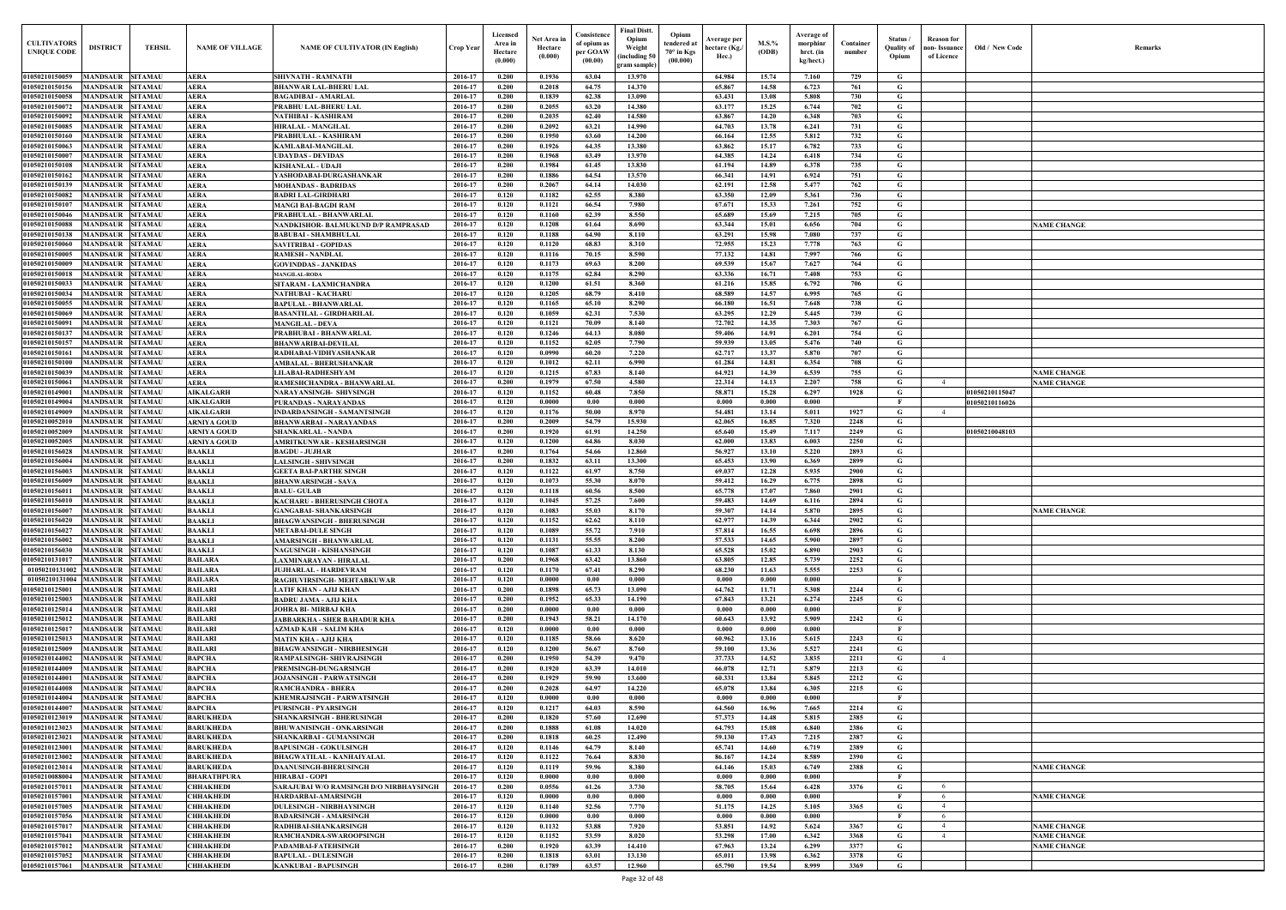| Old / New Code | Remarks                                  |
|----------------|------------------------------------------|
|                |                                          |
|                |                                          |
|                |                                          |
|                |                                          |
|                |                                          |
|                |                                          |
|                |                                          |
|                |                                          |
|                |                                          |
|                |                                          |
|                |                                          |
|                |                                          |
|                | <b>NAME CHANGE</b>                       |
|                |                                          |
|                |                                          |
|                |                                          |
|                |                                          |
|                |                                          |
|                |                                          |
|                |                                          |
|                |                                          |
|                |                                          |
|                |                                          |
|                |                                          |
|                |                                          |
|                | <b>NAME CHANGE</b>                       |
| 1050210115047  | <b>NAME CHANGE</b>                       |
| 1050210116026  |                                          |
|                |                                          |
|                |                                          |
| 1050210048103  |                                          |
|                |                                          |
|                |                                          |
|                |                                          |
|                |                                          |
|                |                                          |
|                | <b>NAME CHANGE</b>                       |
|                |                                          |
|                |                                          |
|                |                                          |
|                |                                          |
|                |                                          |
|                |                                          |
|                |                                          |
|                |                                          |
|                |                                          |
|                |                                          |
|                |                                          |
|                |                                          |
|                |                                          |
|                |                                          |
|                |                                          |
|                |                                          |
|                |                                          |
|                |                                          |
|                |                                          |
|                |                                          |
|                |                                          |
|                | <b>NAME CHANGE</b>                       |
|                |                                          |
|                | <b>NAME CHANGE</b>                       |
|                |                                          |
|                |                                          |
|                | <b>NAME CHANGE</b><br><b>NAME CHANGE</b> |
|                | <b>NAME CHANGE</b>                       |
|                |                                          |
|                |                                          |

| <b>CULTIVATORS</b><br><b>UNIQUE CODE</b> | <b>DISTRICT</b>                             | <b>TEHSIL</b>                    | <b>NAME OF VILLAGE</b>                   | <b>NAME OF CULTIVATOR (IN English)</b>                             | Crop Year          | Licensed<br>Area in<br>Hectare<br>(0.000) | Net Area in<br>Hectare<br>(0.000) | Consistence<br>of opium as<br>per GOAW<br>(00.00) | <b>Final Distt.</b><br>Opium<br>Weight<br>including 50<br>gram sample) | Opium<br>tendered at<br>$70^\circ$ in Kgs<br>(00.000) | Average per<br>hectare (Kg./<br>Hec.) | $M.S.$ %<br>(ODB) | Average of<br>morphinr<br>hrct. (in<br>kg/hect.) | Container<br>number | Status /<br><b>Quality of</b><br>Opium | Reason for<br>non- Issuance  <br>of Licence | Old / New Code | <b>Remark</b>                            |
|------------------------------------------|---------------------------------------------|----------------------------------|------------------------------------------|--------------------------------------------------------------------|--------------------|-------------------------------------------|-----------------------------------|---------------------------------------------------|------------------------------------------------------------------------|-------------------------------------------------------|---------------------------------------|-------------------|--------------------------------------------------|---------------------|----------------------------------------|---------------------------------------------|----------------|------------------------------------------|
| 01050210150059                           | MANDSAUR                                    | <b>SITAMAU</b>                   | AERA                                     | SHIVNATH - RAMNATH                                                 | 2016-17            | 0.200                                     | 0.1936                            | 63.04                                             | 13.970                                                                 |                                                       | 64.984                                | 15.74             | 7.160                                            | 729                 | G                                      |                                             |                |                                          |
| 01050210150156                           | MANDSAUR                                    | <b>SITAMAU</b>                   | <b>AERA</b>                              | <b>BHANWAR LAL-BHERU LAI</b>                                       | 2016-17            | 0.200<br>0.200                            | 0.2018<br>0.1839                  | 64.75<br>62.38                                    | 14.370                                                                 |                                                       | 65.867                                | 14.58             | 6.723<br>5.808                                   | 761                 | G                                      |                                             |                |                                          |
| 01050210150058<br>01050210150072         | <b>MANDSAUR</b><br><b>MANDSAUR</b>          | <b>SITAMAU</b><br><b>SITAMAU</b> | <b>AERA</b><br><b>AERA</b>               | <b>BAGADIBAI - AMARLAL</b><br>PRABHU LAL-BHERU LAI                 | 2016-17<br>2016-17 | 0.200                                     | 0.2055                            | 63.20                                             | 13.090<br>14.380                                                       |                                                       | 63.431<br>63.177                      | 13.08<br>15.25    | 6.744                                            | 730<br>702          | G<br>G                                 |                                             |                |                                          |
| 01050210150092                           | MANDSAUR SITAMAU                            |                                  | <b>AERA</b>                              | NATHIBAI - KASHIRAM                                                | 2016-17            | 0.200                                     | 0.2035                            | 62.40                                             | 14.580                                                                 |                                                       | 63.867                                | 14.20             | 6.348                                            | 703                 | G                                      |                                             |                |                                          |
| 01050210150085                           | MANDSAUR                                    | <b>SITAMAU</b>                   | <b>AERA</b>                              | <b>HIRALAL - MANGILAL</b>                                          | 2016-17            | 0.200                                     | 0.2092                            | 63.21                                             | 14.990                                                                 |                                                       | 64.703                                | 13.78             | 6.241                                            | 731                 | G                                      |                                             |                |                                          |
| 01050210150160<br>01050210150063         | <b>MANDSAUR SITAMAU</b><br><b>MANDSAUR</b>  | <b>SITAMAU</b>                   | <b>AERA</b><br><b>AERA</b>               | PRABHULAL - KASHIRAM<br><b>KAMLABAI-MANGILAI</b>                   | 2016-17<br>2016-17 | 0.200<br>0.200                            | 0.1950<br>0.1926                  | 63.60<br>64.35                                    | 14.200<br>13.380                                                       |                                                       | 66.164<br>63.862                      | 12.55<br>15.17    | 5.812<br>6.782                                   | 732<br>733          | G<br>G                                 |                                             |                |                                          |
| 01050210150007                           | <b>MANDSAUR</b>                             | <b>SITAMAU</b>                   | <b>AERA</b>                              | <b>UDAYDAS - DEVIDAS</b>                                           | 2016-17            | 0.200                                     | 0.1968                            | 63.49                                             | 13.970                                                                 |                                                       | 64.385                                | 14.24             | 6.418                                            | 734                 | G                                      |                                             |                |                                          |
| 01050210150108                           | <b>MANDSAUR</b>                             | <b>SITAMAU</b>                   | <b>AERA</b>                              | <b>KISHANLAL - UDAJI</b>                                           | 2016-17            | 0.200                                     | 0.1984                            | 61.45                                             | 13.830                                                                 |                                                       | 61.194                                | 14.89             | 6.378                                            | 735                 | G                                      |                                             |                |                                          |
| 01050210150162                           | <b>MANDSAUR</b>                             | <b>SITAMAU</b>                   | <b>AERA</b>                              | YASHODABAI-DURGASHANKAR                                            | 2016-17            | 0.200                                     | 0.1886                            | 64.54                                             | 13.570                                                                 |                                                       | 66.341                                | 14.91             | 6.924                                            | 751                 | G                                      |                                             |                |                                          |
| 01050210150139<br>01050210150082         | <b>MANDSAUR</b><br>MANDSAUR                 | <b>SITAMAU</b><br><b>SITAMAU</b> | <b>AERA</b><br><b>AERA</b>               | <b>MOHANDAS - BADRIDAS</b><br><b>BADRI LAL-GIRDHARI</b>            | 2016-17<br>2016-17 | 0.200<br>0.120                            | 0.2067<br>0.1182                  | 64.14<br>62.55                                    | 14.030<br>8.380                                                        |                                                       | 62.191<br>63.350                      | 12.58<br>12.09    | 5.477<br>5.361                                   | 762<br>736          | G<br>G                                 |                                             |                |                                          |
| 01050210150107                           | <b>MANDSAUR</b>                             | <b>SITAMAU</b>                   | <b>AERA</b>                              | <b>MANGI BAI-BAGDI RAM</b>                                         | 2016-17            | 0.120                                     | 0.1121                            | 66.54                                             | 7.980                                                                  |                                                       | 67.671                                | 15.33             | 7.261                                            | 752                 | G                                      |                                             |                |                                          |
| 01050210150046                           | <b>MANDSAUR</b>                             | <b>SITAMAU</b>                   | <b>AERA</b>                              | PRABHULAL - BHANWARLAI                                             | 2016-17            | 0.120                                     | 0.1160                            | 62.39                                             | 8.550                                                                  |                                                       | 65.689                                | 15.69             | 7.215                                            | 705                 | G                                      |                                             |                |                                          |
| 01050210150088                           | <b>MANDSAUR</b>                             | <b>SITAMAU</b>                   | <b>AERA</b>                              | NANDKISHOR- BALMUKUND D/P RAMPRASAD                                | 2016-17            | 0.120                                     | 0.1208                            | 61.64                                             | 8.690                                                                  |                                                       | 63.344                                | 15.01             | 6.656                                            | 704                 | G                                      |                                             |                | <b>NAME CHANGE</b>                       |
| 01050210150138<br>01050210150060         | <b>MANDSAUR</b><br><b>MANDSAUR</b>          | <b>SITAMAU</b><br><b>SITAMAU</b> | <b>AERA</b><br><b>AERA</b>               | <b>BABUBAI - SHAMBHULAL</b><br><b>SAVITRIBAI - GOPIDAS</b>         | 2016-17<br>2016-17 | 0.120<br>0.120                            | 0.1188<br>0.1120                  | 64.90<br>68.83                                    | 8.110<br>8.310                                                         |                                                       | 63.291<br>72.955                      | 15.98<br>15.23    | 7.080<br>7.778                                   | 737<br>763          | G<br>$\mathbf G$                       |                                             |                |                                          |
| 01050210150005                           | <b>MANDSAUR</b>                             | <b>SITAMAU</b>                   | <b>AERA</b>                              | <b>RAMESH - NANDLAL</b>                                            | 2016-17            | 0.120                                     | 0.1116                            | 70.15                                             | 8.590                                                                  |                                                       | 77.132                                | 14.81             | 7.997                                            | 766                 | G                                      |                                             |                |                                          |
| 01050210150009                           | <b>MANDSAUR</b>                             | <b>SITAMAU</b>                   | <b>AERA</b>                              | <b>GOVINDDAS - JANKIDAS</b>                                        | 2016-17            | 0.120                                     | 0.1173                            | 69.63                                             | 8.200                                                                  |                                                       | 69.539                                | 15.67             | 7.627                                            | 764                 | G                                      |                                             |                |                                          |
| 01050210150018<br>01050210150033         | <b>MANDSAUR</b><br><b>MANDSAUR</b>          | <b>SITAMAU</b><br><b>SITAMAU</b> | <b>AERA</b><br><b>AERA</b>               | <b>MANGILAL-RODA</b>                                               | 2016-17<br>2016-17 | 0.120<br>0.120                            | 0.1175<br>0.1200                  | 62.84                                             | 8.290<br>8.360                                                         |                                                       | 63.336                                | 16.71<br>15.85    | 7.408<br>6.792                                   | 753<br>706          | $\mathbf G$                            |                                             |                |                                          |
| 01050210150034                           | MANDSAUR                                    | <b>SITAMAU</b>                   | <b>AERA</b>                              | SITARAM - LAXMICHANDRA<br>NATHUBAI - KACHARU                       | 2016-17            | 0.120                                     | 0.1205                            | 61.51<br>68.79                                    | 8.410                                                                  |                                                       | 61.216<br>68.589                      | 14.57             | 6.995                                            | 765                 | G<br>G                                 |                                             |                |                                          |
| 01050210150055                           | <b>MANDSAUR</b>                             | <b>SITAMAU</b>                   | <b>AERA</b>                              | <b>BAPULAL - BHANWARLAL</b>                                        | 2016-17            | 0.120                                     | 0.1165                            | 65.10                                             | 8.290                                                                  |                                                       | 66.180                                | 16.51             | 7.648                                            | 738                 | G                                      |                                             |                |                                          |
| 01050210150069                           | MANDSAUR                                    | <b>SITAMAU</b>                   | <b>AERA</b>                              | <b>BASANTILAL - GIRDHARILAL</b>                                    | 2016-17            | 0.120                                     | 0.1059                            | 62.31                                             | 7.530                                                                  |                                                       | 63.295                                | 12.29             | 5.445                                            | 739                 | G                                      |                                             |                |                                          |
| 0105021015009<br>01050210150137          | MANDSAUR<br>MANDSAUR                        | <b>SITAMAU</b><br><b>SITAMAU</b> | <b>AERA</b><br><b>AERA</b>               | <b>MANGILAL - DEVA</b><br>PRABHUBAI - BHANWARLAL                   | 2016-17<br>2016-17 | 0.120<br>0.120                            | 0.1121<br>0.1246                  | 70.09<br>64.13                                    | 8.140<br>8.080                                                         |                                                       | 72.702<br>59.406                      | 14.35<br>14.91    | 7.303<br>6.201                                   | 767<br>754          | G<br>G                                 |                                             |                |                                          |
| 01050210150157                           | <b>MANDSAUR</b>                             | <b>SITAMAU</b>                   | <b>AERA</b>                              | <b>BHANWARIBAI-DEVILAL</b>                                         | 2016-17            | 0.120                                     | 0.1152                            | 62.05                                             | 7.790                                                                  |                                                       | 59.939                                | 13.05             | 5.476                                            | 740                 | G                                      |                                             |                |                                          |
| 01050210150161                           | <b>MANDSAUR</b>                             | <b>SITAMAU</b>                   | <b>AERA</b>                              | RADHABAI-VIDHYASHANKAR                                             | 2016-17            | 0.120                                     | 0.0990                            | 60.20                                             | 7.220                                                                  |                                                       | 62.717                                | 13.37             | 5.870                                            | 707                 | G                                      |                                             |                |                                          |
| 01050210150100                           | MANDSAUR SITAMAU                            |                                  | <b>AERA</b>                              | AMBALAL - BHERUSHANKAR                                             | 2016-17            | 0.120                                     | 0.1012                            | 62.11                                             | 6.990                                                                  |                                                       | 61.284                                | 14.81             | 6.354                                            | 708                 | G                                      |                                             |                |                                          |
| 01050210150039<br>01050210150061         | <b>MANDSAUR</b><br>MANDSAUR SITAMAU         | <b>SITAMAU</b>                   | <b>AERA</b><br><b>AERA</b>               | <b>LILABAI-RADHESHYAM</b><br>RAMESHCHANDRA - BHANWARLAL            | 2016-17<br>2016-17 | 0.120<br>0.200                            | 0.1215<br>0.1979                  | 67.83<br>67.50                                    | 8.140<br>4.580                                                         |                                                       | 64.921<br>22.314                      | 14.39<br>14.13    | 6.539<br>2.207                                   | 755<br>758          | G<br>G                                 | $\overline{4}$                              |                | <b>NAME CHANGE</b><br><b>NAME CHANGE</b> |
| 0105021014900                            | MANDSAUR                                    | <b>SITAMAU</b>                   | <b>AIKALGARH</b>                         | NARAYANSINGH- SHIVSINGH                                            | 2016-17            | 0.120                                     | 0.1152                            | 60.48                                             | 7.850                                                                  |                                                       | 58.871                                | 15.28             | 6.297                                            | 1928                | G                                      |                                             | 01050210115047 |                                          |
| 01050210149004                           | MANDSAUR                                    | <b>SITAMAU</b>                   | <b>AIKALGARH</b>                         | <b>PURANDAS - NARAYANDAS</b>                                       | 2016-17            | 0.120                                     | 0.0000                            | 0.00                                              | 0.000                                                                  |                                                       | 0.000                                 | 0.000             | 0.000                                            |                     | $\mathbf{F}$                           |                                             | 01050210116026 |                                          |
| 01050210149009<br>01050210052010         | <b>MANDSAUR</b><br>MANDSAUR                 | <b>SITAMAU</b><br><b>SITAMAU</b> | <b>AIKALGARH</b>                         | <b>INDARDANSINGH - SAMANTSINGH</b>                                 | 2016-17<br>2016-17 | 0.120<br>0.200                            | 0.1176<br>0.2009                  | 50.00<br>54.79                                    | 8.970<br>15.930                                                        |                                                       | 54.481<br>62.065                      | 13.14<br>16.85    | 5.011<br>7.320                                   | 1927<br>2248        | G<br>G                                 | $\overline{4}$                              |                |                                          |
| 01050210052009                           | MANDSAUR                                    | <b>SITAMAU</b>                   | <b>ARNIYA GOUD</b><br><b>ARNIYA GOUD</b> | <b>BHANWARBAI - NARAYANDAS</b><br><b>SHANKARLAL - NANDA</b>        | 2016-17            | 0.200                                     | 0.1920                            | 61.91                                             | 14.250                                                                 |                                                       | 65.640                                | 15.49             | 7.117                                            | 2249                | G                                      |                                             | 01050210048103 |                                          |
| 01050210052005                           | MANDSAUR                                    | <b>SITAMAU</b>                   | <b>ARNIYA GOUD</b>                       | <b>AMRITKUNWAR - KESHARSINGH</b>                                   | 2016-17            | 0.120                                     | 0.1200                            | 64.86                                             | 8.030                                                                  |                                                       | 62.000                                | 13.83             | 6.003                                            | 2250                | G                                      |                                             |                |                                          |
| 01050210156028                           | <b>MANDSAUR</b>                             | <b>SITAMAU</b>                   | <b>BAAKLI</b>                            | <b>BAGDU - JUJHAR</b>                                              | 2016-17            | 0.200                                     | 0.1764                            | 54.66                                             | 12.860                                                                 |                                                       | 56.927                                | 13.10             | 5.220                                            | 2893                | G                                      |                                             |                |                                          |
| 01050210156004<br>01050210156003         | <b>MANDSAUR</b><br><b>MANDSAUR</b>          | <b>SITAMAU</b><br><b>SITAMAU</b> | <b>BAAKLI</b><br><b>BAAKLI</b>           | <b>LALSINGH - SHIVSINGH</b><br><b>GEETA BAI-PARTHE SINGH</b>       | 2016-17<br>2016-17 | 0.200<br>0.120                            | 0.1832<br>0.1122                  | 63.11<br>61.97                                    | 13.300<br>8.750                                                        |                                                       | 65.453<br>69.037                      | 13.90<br>12.28    | 6.369<br>5.935                                   | 2899<br>2900        | G<br>G                                 |                                             |                |                                          |
| 01050210156009                           | MANDSAUR                                    | <b>SITAMAU</b>                   | <b>BAAKLI</b>                            | <b>BHANWARSINGH - SAVA</b>                                         | 2016-17            | 0.120                                     | 0.1073                            | 55.30                                             | 8.070                                                                  |                                                       | 59.412                                | 16.29             | 6.775                                            | 2898                | G                                      |                                             |                |                                          |
| 01050210156011                           | <b>MANDSAUR</b>                             | <b>SITAMAU</b>                   | <b>BAAKLI</b>                            | <b>BALU-GULAB</b>                                                  | 2016-17            | 0.120                                     | 0.1118                            | 60.56                                             | 8.500                                                                  |                                                       | 65.778                                | 17.07             | 7.860                                            | 2901                | G                                      |                                             |                |                                          |
| 01050210156010                           | <b>MANDSAUR SITAMAU</b>                     |                                  | <b>BAAKLI</b>                            | <b>KACHARU - BHERUSINGH CHOTA</b><br><b>GANGABAI- SHANKARSINGH</b> | 2016-17            | 0.120                                     | 0.1045                            | 57.25                                             | 7.600                                                                  |                                                       | 59.483                                | 14.69             | 6.116                                            | 2894                | G                                      |                                             |                |                                          |
| 01050210156007<br>01050210156020         | <b>MANDSAUR SITAMAU</b><br><b>MANDSAUR</b>  | <b>SITAMAU</b>                   | <b>BAAKLI</b><br><b>BAAKLI</b>           | <b>BHAGWANSINGH - BHERUSINGH</b>                                   | 2016-17<br>2016-17 | 0.120<br>0.120                            | 0.1083<br>0.1152                  | 55.03<br>62.62                                    | 8.170<br>8.110                                                         |                                                       | 59.307<br>62.977                      | 14.14<br>14.39    | 5.870<br>6.344                                   | 2895<br>2902        | G<br>G                                 |                                             |                | <b>NAME CHANGE</b>                       |
| 01050210156027                           | <b>MANDSAUR</b>                             | <b>SITAMAU</b>                   | <b>BAAKLI</b>                            | <b>METABAI-DULE SINGH</b>                                          | 2016-17            | 0.120                                     | 0.1089                            | 55.72                                             | 7.910                                                                  |                                                       | 57.814                                | 16.55             | 6.698                                            | 2896                | $\mathbf G$                            |                                             |                |                                          |
| 01050210156002                           | <b>MANDSAUR</b>                             | <b>SITAMAU</b>                   | <b>BAAKLI</b>                            | <b>AMARSINGH - BHANWARLAL</b>                                      | 2016-17            | 0.120                                     | 0.1131                            | 55.55                                             | 8.200                                                                  |                                                       | 57.533                                | 14.65             | 5.900                                            | 2897                | G                                      |                                             |                |                                          |
| 01050210156030<br>01050210131017         | <b>MANDSAUR</b><br><b>MANDSAUR</b>          | <b>SITAMAU</b><br><b>SITAMAU</b> | <b>BAAKLI</b><br><b>BAILARA</b>          | <b>NAGUSINGH - KISHANSINGH</b><br>LAXMINARAYAN - HIRALAL           | 2016-17<br>2016-17 | 0.120<br>0.200                            | 0.1087<br>0.1968                  | 61.33<br>63.42                                    | 8.130<br>13.860                                                        |                                                       | 65.528<br>63.805                      | 15.02<br>12.85    | 6.890<br>5.739                                   | 2903<br>2252        | $\mathbf G$<br>G                       |                                             |                |                                          |
| 010502101310                             | <b>MANDSAUR</b>                             | <b>SITAMAU</b>                   | <b>BAILARA</b>                           | <b>JUJHARLAL - HARDEVRAM</b>                                       | 2016-17            | 0.120                                     | 0.1170                            | 67.41                                             | 8.290                                                                  |                                                       | 68.230                                | 11.63             | 5.555                                            | 2253                | $\mathbf G$                            |                                             |                |                                          |
| 010502101310                             | <b>MANDSAUR</b>                             | <b>SITAMAU</b>                   | <b>BAILARA</b>                           | RAGHUVIRSINGH- MEHTABKUWAR                                         | 2016-17            | 0.120                                     | 0.0000                            | 0.00                                              | 0.000                                                                  |                                                       | 0.000                                 | 0.000             | 0.000                                            |                     | - F                                    |                                             |                |                                          |
| 01050210125001                           | MANDSAUR SITAMAU                            |                                  | <b>BAILARI</b>                           | LATIF KHAN - AJIJ KHAN                                             | 2016-17            | 0.200                                     | 0.1898                            | 65.73                                             | 13.090                                                                 |                                                       | 64.762                                | 11.71             | 5.308                                            | 2244                | G                                      |                                             |                |                                          |
| 01050210125003<br>01050210125014         | <b>MANDSAUR SITAMAU</b><br>MANDSAUR SITAMAU |                                  | <b>BAILARI</b><br><b>BAILARI</b>         | <b>BADRU JAMA - AJIJ KHA</b><br><b>JOHRA BI- MIRBAJ KHA</b>        | 2016-17<br>2016-17 | 0.200<br>0.200                            | 0.1952<br>0.0000                  | 65.33<br>0.00                                     | 14.190<br>0.000                                                        |                                                       | 67.843<br>0.000                       | 13.21<br>0.000    | 6.274<br>0.000                                   | 2245                | $\mathbf{G}$<br>- F                    |                                             |                |                                          |
| 01050210125012                           | <b>MANDSAUR SITAMAU</b>                     |                                  | <b>BAILARI</b>                           | <b>JABBARKHA - SHER BAHADUR KHA</b>                                | 2016-17            | 0.200                                     | 0.1943                            | 58.21                                             | 14.170                                                                 |                                                       | 60.643                                | 13.92             | 5.909                                            | 2242                | G                                      |                                             |                |                                          |
| 01050210125017                           | MANDSAUR SITAMAU                            |                                  | <b>BAILARI</b>                           | <b>AZMAD KAH - SALIM KHA</b>                                       | 2016-17            | 0.120                                     | 0.0000                            | 0.00                                              | 0.000                                                                  |                                                       | 0.000                                 | 0.000             | 0.000                                            |                     | $\mathbf{F}$                           |                                             |                |                                          |
| 01050210125013                           | <b>MANDSAUR</b>                             | <b>SITAMAU</b><br><b>SITAMAU</b> | <b>BAILARI</b>                           | <b>MATIN KHA - AJIJ KHA</b>                                        | 2016-17            | 0.120                                     | 0.1185<br>0.1200                  | 58.66<br>56.67                                    | 8.620<br>8.760                                                         |                                                       | 60.962                                | 13.16<br>13.36    | 5.615                                            | 2243<br>2241        | G                                      |                                             |                |                                          |
| 01050210125009<br>01050210144002         | <b>MANDSAUR</b><br><b>MANDSAUR</b>          | <b>SITAMAU</b>                   | <b>BAILARI</b><br><b>BAPCHA</b>          | <b>BHAGWANSINGH - NIRBHESINGH</b><br>RAMPALSINGH- SHIVRAJSINGH     | 2016-17<br>2016-17 | 0.120<br>0.200                            | 0.1950                            | 54.39                                             | 9.470                                                                  |                                                       | 59.100<br>37.733                      | 14.52             | 5.527<br>3.835                                   | 2211                | G<br>$\mathbf G$                       | $\overline{4}$                              |                |                                          |
| 01050210144009                           | <b>MANDSAUR</b>                             | <b>SITAMAU</b>                   | <b>BAPCHA</b>                            | PREMSINGH-DUNGARSINGH                                              | 2016-17            | 0.200                                     | 0.1920                            | 63.39                                             | 14.010                                                                 |                                                       | 66.078                                | 12.71             | 5.879                                            | 2213                | G                                      |                                             |                |                                          |
| 01050210144001                           | <b>MANDSAUR</b>                             | <b>SITAMAU</b>                   | <b>BAPCHA</b>                            | JOJANSINGH - PARWATSINGH                                           | 2016-17            | 0.200                                     | 0.1929                            | 59.90                                             | 13.600                                                                 |                                                       | 60.331                                | 13.84             | 5.845                                            | 2212                | $\mathbf G$                            |                                             |                |                                          |
| 01050210144008<br>01050210144004         | <b>MANDSAUR</b>                             | <b>SITAMAU</b><br><b>SITAMAU</b> | <b>BAPCHA</b><br><b>BAPCHA</b>           | <b>RAMCHANDRA - BHERA</b>                                          | 2016-17<br>2016-17 | 0.200<br>0.120                            | 0.2028<br>0.0000                  | 64.97<br>0.00                                     | 14.220<br>0.000                                                        |                                                       | 65.078<br>0.000                       | 13.84<br>0.000    | 6.305<br>0.000                                   | 2215                | $\mathbf G$<br>$\mathbf{F}$            |                                             |                |                                          |
| 01050210144007                           | <b>MANDSAUR</b><br><b>MANDSAUR</b>          | <b>SITAMAU</b>                   | <b>BAPCHA</b>                            | KHEMRAJSINGH - PARWATSINGH<br><b>PURSINGH - PYARSINGH</b>          | 2016-17            | 0.120                                     | 0.1217                            | 64.03                                             | 8.590                                                                  |                                                       | 64.560                                | 16.96             | 7.665                                            | 2214                | G                                      |                                             |                |                                          |
| 01050210123019                           | MANDSAUR                                    | <b>SITAMAU</b>                   | <b>BARUKHEDA</b>                         | <b>SHANKARSINGH - BHERUSINGH</b>                                   | 2016-17            | 0.200                                     | 0.1820                            | 57.60                                             | 12.690                                                                 |                                                       | 57.373                                | 14.48             | 5.815                                            | 2385                | $\mathbf G$                            |                                             |                |                                          |
| 01050210123023                           | <b>MANDSAUR</b>                             | <b>SITAMAU</b>                   | <b>BARUKHEDA</b>                         | <b>BHUWANISINGH - ONKARSINGH</b>                                   | 2016-17            | 0.200                                     | 0.1888                            | 61.08                                             | 14.020                                                                 |                                                       | 64.793                                | 15.08             | 6.840                                            | 2386                | G                                      |                                             |                |                                          |
| 01050210123021<br>01050210123001         | <b>MANDSAUR</b><br><b>MANDSAUR</b>          | <b>SITAMAU</b><br><b>SITAMAU</b> | <b>BARUKHEDA</b><br><b>BARUKHEDA</b>     | <b>SHANKARBAI - GUMANSINGH</b><br><b>BAPUSINGH - GOKULSINGH</b>    | 2016-17<br>2016-17 | 0.200<br>0.120                            | 0.1818<br>0.1146                  | 60.25<br>64.79                                    | 12,490<br>8.140                                                        |                                                       | 59.130<br>65.741                      | 17.43<br>14.60    | 7.215<br>6.719                                   | 2387<br>2389        | $\mathbf G$<br>G                       |                                             |                |                                          |
| 01050210123002                           | <b>MANDSAUR</b>                             | <b>SITAMAU</b>                   | <b>BARUKHEDA</b>                         | <b>BHAGWATILAL - KANHAIYALAL</b>                                   | 2016-17            | 0.120                                     | 0.1122                            | 76.64                                             | 8.830                                                                  |                                                       | 86.167                                | 14,24             | 8.589                                            | 2390                | $\mathbf G$                            |                                             |                |                                          |
| 01050210123014                           | <b>MANDSAUR</b>                             | <b>SITAMAU</b>                   | <b>BARUKHEDA</b>                         | <b>DAANUSINGH-BHERUSINGH</b>                                       | 2016-17            | 0.120                                     | 0.1119                            | 59.96                                             | 8.380                                                                  |                                                       | 64.146                                | 15.03             | 6.749                                            | 2388                | $\mathbf G$                            |                                             |                | <b>NAME CHANGE</b>                       |
| 01050210088004                           | <b>MANDSAUR</b>                             | <b>SITAMAU</b>                   | <b>BHARATHPURA</b>                       | <b>HIRABAI - GOPI</b>                                              | 2016-17            | 0.120                                     | 0.0000                            | 0.00                                              | 0.000                                                                  |                                                       | 0.000                                 | 0.000             | 0.000                                            |                     | $\mathbf{F}$                           |                                             |                |                                          |
| 0105021015701<br>01050210157001          | <b>MANDSAUR</b><br>MANDSAUR                 | <b>SITAMAU</b><br><b>SITAMAU</b> | <b>CHHAKHEDI</b><br><b>CHHAKHEDI</b>     | SARAJUBAI W/O RAMSINGH D/O NIRBHAYSINGH<br>HARDARBAI-AMARSINGH     | 2016-17<br>2016-17 | 0.200<br>0.120                            | 0.0556<br>0.0000                  | 61.26<br>0.00                                     | 3.730<br>0.000                                                         |                                                       | 58.705<br>0.000                       | 15.64<br>0.000    | 6.428<br>0.000                                   | 3376                | G                                      | -6                                          |                | <b>NAME CHANGE</b>                       |
| 01050210157005                           | <b>MANDSAUR</b>                             | <b>SITAMAU</b>                   | <b>CHHAKHEDI</b>                         | <b>DULESINGH - NIRBHAYSINGH</b>                                    | 2016-17            | 0.120                                     | 0.1140                            | 52.56                                             | 7.770                                                                  |                                                       | 51.175                                | 14.25             | 5.105                                            | 3365                | G                                      |                                             |                |                                          |
| 01050210157056                           | <b>MANDSAUR</b>                             | <b>SITAMAU</b>                   | <b>CHHAKHEDI</b>                         | <b>BADARSINGH - AMARSINGH</b>                                      | 2016-17            | 0.120                                     | 0.0000                            | 0.00                                              | 0.000                                                                  |                                                       | 0.000                                 | 0.000             | 0.000                                            |                     |                                        | -6                                          |                |                                          |
| 01050210157017                           | <b>MANDSAUR</b>                             | <b>SITAMAU</b>                   | <b>CHHAKHEDI</b>                         | RADHIBAI-SHANKARSINGH                                              | 2016-17            | 0.120                                     | 0.1132                            | 53.88                                             | 7.920                                                                  |                                                       | 53.851                                | 14.92             | 5.624                                            | 3367                | G                                      |                                             |                | <b>NAME CHANGE</b>                       |
| 01050210157041<br>01050210157012         | MANDSAUR SITAMAU<br>MANDSAUR SITAMAU        |                                  | <b>СННАКНЕDI</b><br><b>СННАКНЕDI</b>     | RAMCHANDRA-SWAROOPSINGH<br>PADAMBAI-FATEHSINGH                     | 2016-17<br>2016-17 | 0.120<br>0.200                            | 0.1152<br>0.1920                  | 53.59<br>63.39                                    | 8.020<br>14.410                                                        |                                                       | 53.298<br>67.963                      | 17.00<br>13.24    | 6.342<br>6.299                                   | 3368<br>3377        | $\mathbf{G}$<br>G                      | 4                                           |                | <b>NAME CHANGE</b><br><b>NAME CHANGE</b> |
| 01050210157052                           | MANDSAUR SITAMAU                            |                                  | <b>CHHAKHEDI</b>                         | <b>BAPULAL - DULESINGH</b>                                         | 2016-17            | 0.200                                     | 0.1818                            | 63.01                                             | 13.130                                                                 |                                                       | 65.011                                | 13.98             | 6.362                                            | 3378                | G                                      |                                             |                |                                          |
| 01050210157061                           | MANDSAUR SITAMAU                            |                                  | <b>СННАКНЕDI</b>                         | <b>KANKUBAI - BAPUSINGH</b>                                        | 2016-17            | 0.200                                     | 0.1789                            | 63.57                                             | 12.960                                                                 |                                                       | 65.790                                | 19.54             | 8.999                                            | 3369                | $\mathbf G$                            |                                             |                |                                          |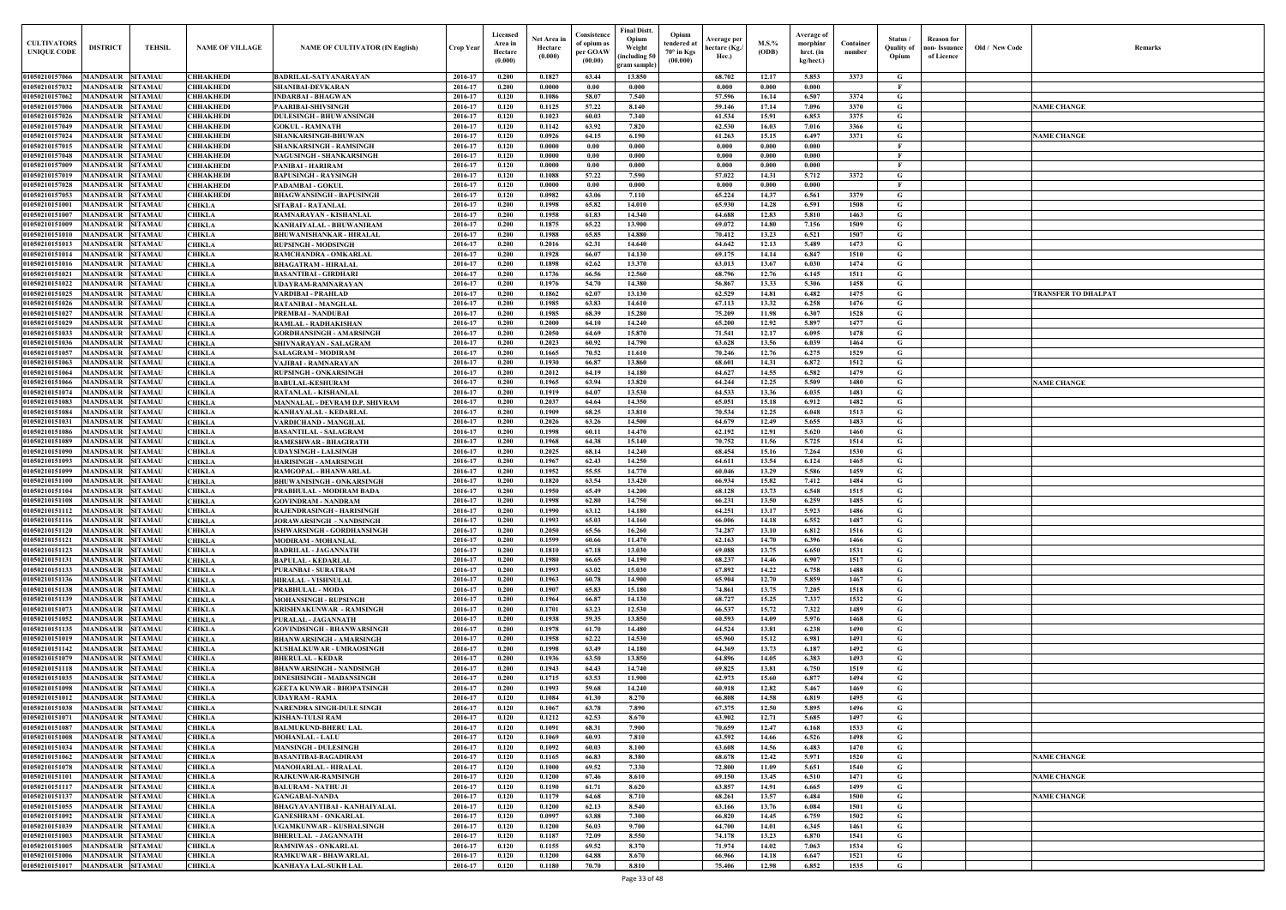| Old / New Code | Remarks                    |
|----------------|----------------------------|
|                |                            |
|                |                            |
|                | <b>NAME CHANGE</b>         |
|                |                            |
|                | <b>NAME CHANGE</b>         |
|                |                            |
|                |                            |
|                |                            |
|                |                            |
|                |                            |
|                |                            |
|                |                            |
|                |                            |
|                |                            |
|                |                            |
|                |                            |
|                | <b>TRANSFER TO DHALPAT</b> |
|                |                            |
|                |                            |
|                |                            |
|                |                            |
|                |                            |
|                | <b>NAME CHANGE</b>         |
|                |                            |
|                |                            |
|                |                            |
|                |                            |
|                |                            |
|                |                            |
|                |                            |
|                |                            |
|                |                            |
|                |                            |
|                |                            |
|                |                            |
|                |                            |
|                |                            |
|                |                            |
|                |                            |
|                |                            |
|                |                            |
|                |                            |
|                |                            |
|                |                            |
|                |                            |
|                |                            |
|                |                            |
|                |                            |
|                |                            |
|                |                            |
|                | <b>NAME CHANGE</b>         |
|                |                            |
|                | <b>NAME CHANGE</b>         |
|                | <b>NAME CHANGE</b>         |
|                |                            |
|                |                            |
|                |                            |
|                |                            |
|                |                            |
|                |                            |

| <b>CULTIVATORS</b><br><b>UNIQUE CODE</b> | <b>DISTRICT</b>                             | <b>TEHSIL</b>                    | <b>NAME OF VILLAGE</b>               | <b>NAME OF CULTIVATOR (IN English)</b>                               | Crop Year          | Licensed<br>Area in<br>Hectare<br>(0.000) | Net Area in<br>Hectare<br>(0.000) | Consistence<br>of opium as<br>per GOAW<br>(00.00) | <b>Final Distt.</b><br>Opium<br>Opium<br>tendered at<br>Weight<br>$70^\circ$ in Kgs<br>including 50)<br>(00.000)<br>gram sample) | Average per<br>hectare (Kg./<br>Hec.) | $M.S.\%$<br>(ODB) | Average of<br>morphinr<br>hrct. (in<br>kg/hect.) | Container<br>number | Status/<br><b>Ouality of</b><br>Opium | <b>Reason</b> for<br>Old / New Code<br>ıon- Issuance<br>of Licence | <b>Remark</b>       |
|------------------------------------------|---------------------------------------------|----------------------------------|--------------------------------------|----------------------------------------------------------------------|--------------------|-------------------------------------------|-----------------------------------|---------------------------------------------------|----------------------------------------------------------------------------------------------------------------------------------|---------------------------------------|-------------------|--------------------------------------------------|---------------------|---------------------------------------|--------------------------------------------------------------------|---------------------|
| 01050210157066                           | MANDSAUR SITAMAU                            |                                  | <b>CHHAKHEDI</b>                     | <b>BADRILAL-SATYANARAYAN</b>                                         | 2016-17            | 0.200                                     | 0.1827                            | 63.44                                             | 13.850                                                                                                                           | 68.702                                | 12.17             | 5.853                                            | 3373                | G.                                    |                                                                    |                     |
| 01050210157032                           | <b>MANDSAUR</b>                             | <b>SITAMAU</b>                   | <b>CHHAKHEDI</b>                     | <b>SHANIBAI-DEVKARAN</b>                                             | 2016-17            | 0.200                                     | 0.0000                            | 0.00                                              | 0.000                                                                                                                            | 0.000                                 | 0.000             | 0.000                                            |                     | $\mathbf{F}$                          |                                                                    |                     |
| 01050210157062                           | <b>MANDSAUR</b>                             | <b>SITAMAU</b>                   | <b>CHHAKHEDI</b>                     | <b>INDARBAI - BHAGWAN</b>                                            | 2016-17            | 0.120                                     | 0.1086                            | 58.07                                             | 7.540                                                                                                                            | 57.596                                | 16.14             | 6.507                                            | 3374                | G                                     |                                                                    |                     |
| 01050210157006<br>01050210157026         | <b>MANDSAUR</b><br>MANDSAUR                 | <b>SITAMAU</b><br><b>SITAMAU</b> | <b>CHHAKHEDI</b><br><b>CHHAKHEDI</b> | <b>PAARIBAI-SHIVSINGH</b><br><b>DULESINGH - BHUWANSINGH</b>          | 2016-17<br>2016-17 | 0.120<br>0.120                            | 0.1125<br>0.1023                  | 57,22<br>60.03                                    | 8.140<br>7.340                                                                                                                   | 59.146<br>61.534                      | 17.14<br>15.91    | 7.096<br>6.853                                   | 3370<br>3375        | G<br>G                                |                                                                    | <b>NAME CHANGE</b>  |
| 01050210157049                           | MANDSAUR                                    | <b>SITAMAU</b>                   | <b>CHHAKHEDI</b>                     | <b>GOKUL - RAMNATH</b>                                               | 2016-17            | 0.120                                     | 0.1142                            | 63.92                                             | 7.820                                                                                                                            | 62.530                                | 16.03             | 7.016                                            | 3366                | G                                     |                                                                    |                     |
| 01050210157024                           | MANDSAUR                                    | <b>SITAMAU</b>                   | <b>CHHAKHEDI</b>                     | <b>SHANKARSINGH-BHUWAN</b>                                           | 2016-17            | 0.120                                     | 0.0926                            | 64.15                                             | 6.190                                                                                                                            | 61.263                                | 15.15             | 6.497                                            | 3371                | G                                     |                                                                    | <b>NAME CHANGE</b>  |
| 01050210157015                           | MANDSAUR                                    | <b>SITAMAU</b>                   | <b>CHHAKHEDI</b>                     | <b>SHANKARSINGH - RAMSINGH</b>                                       | 2016-17            | 0.120                                     | 0.0000                            | 0.00                                              | 0.000                                                                                                                            | 0.000                                 | 0.000             | 0.000                                            |                     | $\mathbf{F}$                          |                                                                    |                     |
| 01050210157048                           | <b>MANDSAUR</b>                             | <b>SITAMAU</b>                   | <b>CHHAKHEDI</b>                     | NAGUSINGH - SHANKARSINGH                                             | 2016-17            | 0.120                                     | 0.0000                            | 0.00                                              | 0.000                                                                                                                            | 0.000                                 | 0.000             | 0.000                                            |                     | $\mathbf{F}$                          |                                                                    |                     |
| 01050210157009<br>01050210157019         | MANDSAUR<br><b>MANDSAUR</b>                 | <b>SITAMAU</b><br><b>SITAMAU</b> | <b>CHHAKHEDI</b><br><b>CHHAKHEDI</b> | PANIBAI - HARIRAM<br><b>BAPUSINGH - RAYSINGH</b>                     | 2016-17<br>2016-17 | 0.120<br>0.120                            | 0.0000<br>$\bf{0.1088}$           | 0.00<br>57.22                                     | 0.000<br>7.590                                                                                                                   | 0.000<br>57.022                       | 0.000<br>14.31    | 0.000<br>5.712                                   | 3372                | $\mathbf{F}$<br>G                     |                                                                    |                     |
| 01050210157028                           | <b>MANDSAUR</b>                             | <b>SITAMAU</b>                   | <b>CHHAKHEDI</b>                     | <b>PADAMBAI - GOKUL</b>                                              | 2016-17            | 0.120                                     | 0.0000                            | 0.00                                              | 0.000                                                                                                                            | 0.000                                 | 0.000             | 0.000                                            |                     | $\mathbf{F}$                          |                                                                    |                     |
| 01050210157053                           | <b>MANDSAUR</b>                             | <b>SITAMAU</b>                   | <b>CHHAKHEDI</b>                     | <b>BHAGWANSINGH - BAPUSINGH</b>                                      | 2016-17            | 0.120                                     | 0.0982                            | 63.06                                             | 7.110                                                                                                                            | 65,224                                | 14.37             | 6.561                                            | 3379                | G                                     |                                                                    |                     |
| 0105021015100                            | <b>MANDSAUR</b>                             | <b>SITAMAU</b>                   | <b>CHIKLA</b>                        | <b>SITABAI - RATANLAL</b>                                            | 2016-17            | 0.200                                     | 0.1998                            | 65.82                                             | 14.010                                                                                                                           | 65.930                                | 14.28             | 6.591                                            | 1508                | G                                     |                                                                    |                     |
| 0105021015100                            | <b>MANDSAUR</b>                             | <b>SITAMAU</b>                   | <b>CHIKLA</b>                        | RAMNARAYAN - KISHANLAL                                               | 2016-17            | 0.200                                     | 0.1958                            | 61.83                                             | 14.340                                                                                                                           | 64.688                                | 12.83             | 5.810                                            | 1463                | $\mathbf G$                           |                                                                    |                     |
| 01050210151009<br>01050210151010         | MANDSAUR<br>MANDSAUR                        | <b>SITAMAU</b><br><b>SITAMAU</b> | <b>CHIKLA</b><br><b>CHIKLA</b>       | KANHAIYALAL - BHUWANIRAM                                             | 2016-17<br>2016-17 | 0.200<br>0.200                            | 0.1875<br>0.1988                  | 65.22<br>65.85                                    | 13.900<br>14.880                                                                                                                 | 69.072<br>70.412                      | 14.80<br>13.23    | 7.156<br>6.521                                   | 1509<br>1507        | $\mathbf G$<br>G                      |                                                                    |                     |
| 01050210151013                           | MANDSAUR                                    | <b>SITAMAU</b>                   | <b>CHIKLA</b>                        | <b>BHUWANISHANKAR - HIRALAL</b><br><b>RUPSINGH - MODSINGH</b>        | 2016-17            | 0.200                                     | 0.2016                            | 62.31                                             | 14.640                                                                                                                           | 64.642                                | 12.13             | 5.489                                            | 1473                | G                                     |                                                                    |                     |
| 01050210151014                           | MANDSAUR                                    | <b>SITAMAU</b>                   | <b>CHIKLA</b>                        | RAMCHANDRA - OMKARLAL                                                | 2016-17            | 0.200                                     | 0.1928                            | 66.07                                             | 14.130                                                                                                                           | 69.175                                | 14.14             | 6.847                                            | 1510                | G                                     |                                                                    |                     |
| 01050210151016                           | MANDSAUR                                    | <b>SITAMAU</b>                   | <b>CHIKLA</b>                        | <b>BHAGATRAM - HIRALAL</b>                                           | 2016-17            | 0.200                                     | 0.1898                            | 62.62                                             | 13.370                                                                                                                           | 63.013                                | 13.67             | 6.030                                            | 1474                | G                                     |                                                                    |                     |
| 01050210151021                           | MANDSAUR                                    | <b>SITAMAU</b>                   | <b>CHIKLA</b>                        | <b>BASANTIBAI - GIRDHARI</b>                                         | 2016-17            | 0.200                                     | 0.1736                            | 66.56                                             | 12.560                                                                                                                           | 68.796                                | 12.76             | 6.145                                            | 1511                | G                                     |                                                                    |                     |
| 01050210151022                           | <b>MANDSAUR</b>                             | <b>SITAMAU</b>                   | <b>CHIKLA</b>                        | UDAYRAM-RAMNARAYAN                                                   | 2016-17            | 0.200                                     | 0.1976                            | 54.70                                             | 14.380                                                                                                                           | 56.867                                | 13.33             | 5.306                                            | 1458                | G                                     |                                                                    |                     |
| 01050210151025<br>01050210151026         | <b>MANDSAUR</b><br><b>MANDSAUR SITAMAU</b>  | <b>SITAMAU</b>                   | <b>CHIKLA</b><br><b>CHIKLA</b>       | VARDIBAI - PRAHLAD<br><b>RATANIBAI - MANGILAI</b>                    | 2016-17<br>2016-17 | 0.200<br>0.200                            | 0.1862<br>0.1985                  | 62.07<br>63.83                                    | 13.130<br>14.610                                                                                                                 | 62.529<br>67.113                      | 14.81<br>13.32    | 6.482<br>6.258                                   | 1475<br>1476        | G<br>G                                |                                                                    | TRANSFER TO DHALPAT |
| 01050210151027                           | <b>MANDSAUR</b>                             | <b>SITAMAU</b>                   | <b>CHIKLA</b>                        | PREMBAI - NANDUBAI                                                   | 2016-17            | 0.200                                     | 0.1985                            | 68.39                                             | 15.280                                                                                                                           | 75.209                                | 11.98             | 6.307                                            | 1528                | G                                     |                                                                    |                     |
| 01050210151029                           | MANDSAUR SITAMAU                            |                                  | <b>CHIKLA</b>                        | RAMLAL - RADHAKISHAN                                                 | 2016-17            | 0.200                                     | 0.2000                            | 64.10                                             | 14.240                                                                                                                           | 65.200                                | 12.92             | 5.897                                            | 1477                | G                                     |                                                                    |                     |
| 01050210151033                           | <b>MANDSAUR</b>                             | <b>SITAMAU</b>                   | <b>CHIKLA</b>                        | <b>GORDHANSINGH - AMARSINGH</b>                                      | 2016-17            | 0.200                                     | 0.2050                            | 64.69                                             | 15.870                                                                                                                           | 71.541                                | 12.17             | 6.095                                            | 1478                | G                                     |                                                                    |                     |
| 01050210151036                           | <b>MANDSAUR</b>                             | <b>SITAMAU</b>                   | <b>CHIKLA</b>                        | SHIVNARAYAN - SALAGRAM                                               | 2016-17            | 0.200                                     | 0.2023                            | 60.92                                             | 14.790                                                                                                                           | 63.628                                | 13.56             | 6.039                                            | 1464                | G                                     |                                                                    |                     |
| 01050210151057                           | <b>MANDSAUR</b><br>MANDSAUR                 | <b>SITAMAU</b><br><b>SITAMAU</b> | <b>CHIKLA</b>                        | <b>SALAGRAM - MODIRAM</b>                                            | 2016-17<br>2016-17 | 0.200<br>0.200                            | 0.1665<br>0.1930                  | 70.52<br>66.87                                    | 11.610<br>13.860                                                                                                                 | 70.246<br>68.601                      | 12.76<br>14.31    | 6.275<br>6.872                                   | 1529<br>1512        | G<br>G                                |                                                                    |                     |
| 01050210151063<br>01050210151064         | <b>MANDSAUR</b>                             | <b>SITAMAU</b>                   | <b>CHIKLA</b><br><b>CHIKLA</b>       | <b>VAJIBAI - RAMNARAYAN</b><br><b>RUPSINGH - ONKARSINGH</b>          | 2016-17            | 0.200                                     | 0.2012                            | 64.19                                             | 14.180                                                                                                                           | 64.627                                | 14.55             | 6.582                                            | 1479                | G                                     |                                                                    |                     |
| 01050210151066                           | MANDSAUR                                    | <b>SITAMAU</b>                   | <b>CHIKLA</b>                        | <b>BABULAL-KESHURAM</b>                                              | 2016-17            | 0.200                                     | 0.1965                            | 63.94                                             | 13.820                                                                                                                           | 64.244                                | 12.25             | 5.509                                            | 1480                | G                                     |                                                                    | <b>NAME CHANGE</b>  |
| 01050210151074                           | MANDSAUR                                    | <b>SITAMAU</b>                   | <b>CHIKLA</b>                        | RATANLAL - KISHANLAL                                                 | 2016-17            | 0.200                                     | 0.1919                            | 64.07                                             | 13.530                                                                                                                           | 64.533                                | 13.36             | 6.035                                            | 1481                | G                                     |                                                                    |                     |
| 01050210151083                           | <b>MANDSAUR</b>                             | <b>SITAMAU</b>                   | <b>CHIKLA</b>                        | MANNALAL - DEVRAM D.P. SHIVRAM                                       | 2016-17            | 0.200                                     | 0.2037                            | 64.64                                             | 14.350                                                                                                                           | 65.051                                | 15.18             | 6.912                                            | 1482                | G                                     |                                                                    |                     |
| 01050210151084                           | MANDSAUR                                    | <b>SITAMAU</b>                   | <b>CHIKLA</b>                        | KANHAYALAL - KEDARLAI                                                | 2016-17            | 0.200                                     | 0.1909<br>0.2026                  | 68.25                                             | 13.810<br>14.500                                                                                                                 | 70.534<br>64.679                      | 12.25             | 6.048<br>5.655                                   | 1513<br>1483        | $\mathbf G$<br>G                      |                                                                    |                     |
| 01050210151031<br>01050210151086         | <b>MANDSAUR</b><br><b>MANDSAUR</b>          | <b>SITAMAU</b><br><b>SITAMAU</b> | <b>CHIKLA</b><br><b>CHIKLA</b>       | VARDICHAND - MANGILAL<br><b>BASANTILAL - SALAGRAM</b>                | 2016-17<br>2016-17 | 0.200<br>0.200                            | 0.1998                            | 63.26<br>60.11                                    | 14.470                                                                                                                           | 62.192                                | 12.49<br>12.91    | 5.620                                            | 1460                | G                                     |                                                                    |                     |
| 01050210151089                           | MANDSAUR                                    | <b>SITAMAU</b>                   | <b>CHIKLA</b>                        | <b>RAMESHWAR - BHAGIRATH</b>                                         | 2016-17            | 0.200                                     | 0.1968                            | 64.38                                             | 15.140                                                                                                                           | 70.752                                | 11.56             | 5.725                                            | 1514                | G                                     |                                                                    |                     |
| 01050210151090                           | MANDSAUR                                    | <b>SITAMAU</b>                   | <b>CHIKLA</b>                        | <b>UDAYSINGH - LALSINGH</b>                                          | 2016-17            | 0.200                                     | 0.2025                            | 68.14                                             | 14.240                                                                                                                           | 68.454                                | 15.16             | 7.264                                            | 1530                | G                                     |                                                                    |                     |
| 01050210151093                           | MANDSAUR                                    | <b>SITAMAU</b>                   | <b>CHIKLA</b>                        | <b>HARISINGH - AMARSINGH</b>                                         | 2016-17            | 0.200                                     | 0.1967                            | 62.43                                             | 14.250                                                                                                                           | 64.611                                | 13.54             | 6.124                                            | 1465                | $\mathbf G$                           |                                                                    |                     |
| 01050210151099                           | MANDSAUR                                    | <b>SITAMAU</b>                   | <b>CHIKLA</b>                        | RAMGOPAL - BHANWARLAL                                                | 2016-17            | 0.200                                     | 0.1952                            | 55.55                                             | 14.770                                                                                                                           | 60.046                                | 13.29             | 5.586                                            | 1459                | $\mathbf G$                           |                                                                    |                     |
| 01050210151100<br>01050210151104         | MANDSAUR<br>MANDSAUR                        | <b>SITAMAU</b><br><b>SITAMAU</b> | <b>CHIKLA</b><br><b>CHIKLA</b>       | <b>BHUWANISINGH - ONKARSINGH</b><br>PRABHULAL - MODIRAM BADA         | 2016-17<br>2016-17 | 0.200<br>0.200                            | 0.1820<br>0.1950                  | 63.54<br>65.49                                    | 13.420<br>14.200                                                                                                                 | 66.934<br>68.128                      | 15.82<br>13.73    | 7.412<br>6.548                                   | 1484<br>1515        | G<br>G                                |                                                                    |                     |
| 01050210151108                           | MANDSAUR                                    | <b>SITAMAU</b>                   | CHIKLA                               | <b>GOVINDRAM - NANDRAM</b>                                           | 2016-17            | 0.200                                     | 0.1998                            | 62.80                                             | 14.750                                                                                                                           | 66.231                                | 13.50             | 6.259                                            | 1485                | G                                     |                                                                    |                     |
| 01050210151112 MANDSAUR SITAMAU          |                                             |                                  | <b>CHIKLA</b>                        | RAJENDRASINGH - HARISINGH                                            | 2016-17            | 0.200                                     | 0.1990                            | 63.12                                             | 14.180                                                                                                                           | 64.251                                | 13.17             | 5.923                                            | 1486                | G                                     |                                                                    |                     |
| 01050210151116                           | MANDSAUR SITAMAU                            |                                  | <b>CHIKLA</b>                        | <b>JORAWARSINGH - NANDSINGH</b>                                      | 2016-17            | 0.200                                     | 0.1993                            | 65.03                                             | 14.160                                                                                                                           | 66.006                                | 14.18             | 6.552                                            | 1487                | G                                     |                                                                    |                     |
| 01050210151120                           | MANDSAUR SITAMAU                            |                                  | <b>CHIKLA</b>                        | ISHWARSINGH - GORDHANSINGH                                           | 2016-17            | 0.200                                     | 0.2050                            | 65.56                                             | 16.260                                                                                                                           | 74.287                                | 13.10             | 6.812                                            | 1516                | G                                     |                                                                    |                     |
| 01050210151121<br>01050210151123         | MANDSAUR SITAMAU<br>MANDSAUR SITAMAU        |                                  | <b>CHIKLA</b><br><b>CHIKLA</b>       | <b>MODIRAM - MOHANLAL</b><br><b>BADRILAL - JAGANNATH</b>             | 2016-17<br>2016-17 | 0.200<br>0.200                            | 0.1599<br>0.1810                  | 60.66<br>67.18                                    | 11.470<br>13.030                                                                                                                 | 62.163<br>69.088                      | 14.70<br>13.75    | 6.396<br>6.650                                   | 1466<br>1531        | G<br>$\mathbf G$                      |                                                                    |                     |
| 01050210151131                           | MANDSAUR SITAMAU                            |                                  | <b>CHIKLA</b>                        | <b>BAPULAL - KEDARLAL</b>                                            | 2016-17            | 0.200                                     | 0.1980                            | 66.65                                             | 14.190                                                                                                                           | 68.237                                | 14.46             | 6.907                                            | 1517                | G                                     |                                                                    |                     |
| 01050210151133                           | MANDSAUR SITAMAU                            |                                  | <b>CHIKLA</b>                        | <b>PURANBAI - SURATRAM</b>                                           | 2016-17            | 0.200                                     | 0.1993                            | 63.02                                             | 15.030                                                                                                                           | 67.892                                | 14.22             | 6.758                                            | 1488                | G                                     |                                                                    |                     |
| 01050210151136                           | <b>MANDSAUR</b>                             | <b>SITAMAU</b>                   | <b>CHIKLA</b>                        | <b>HIRALAL - VISHNULAL</b>                                           | 2016-17            | 0.200                                     | 0.1963                            | 60.78                                             | 14.900                                                                                                                           | 65.904                                | 12.70             | 5.859                                            | 1467                | $\mathbf G$                           |                                                                    |                     |
| 01050210151138                           | MANDSAUR SITAMAU                            |                                  | <b>CHIKLA</b>                        | PRABHULAL - MODA                                                     | 2016-17            | 0.200                                     | 0.1907                            | 65.83                                             | 15.180                                                                                                                           | 74.861                                | 13.75             | 7.205                                            | 1518                | G                                     |                                                                    |                     |
| 01050210151139                           | <b>MANDSAUR</b>                             | <b>SITAMAU</b>                   | <b>CHIKLA</b>                        | <b>MOHANSINGH - RUPSINGH</b>                                         | 2016-17            | 0.200                                     | 0.1964                            | 66.87                                             | 14.130                                                                                                                           | 68.727                                | 15.25             | 7.337                                            | 1532                | $\mathbf G$                           |                                                                    |                     |
| 01050210151073<br>01050210151052         | <b>MANDSAUR</b><br><b>MANDSAUR</b>          | <b>SITAMAU</b><br><b>SITAMAU</b> | <b>CHIKLA</b><br><b>CHIKLA</b>       | <b>KRISHNAKUNWAR - RAMSINGH</b><br><b>PURALAL - JAGANNATH</b>        | 2016-17<br>2016-17 | 0.200<br>0.200                            | 0.1701<br>0.1938                  | 63.23<br>59.35                                    | 12.530<br>13.850                                                                                                                 | 66.537<br>60.593                      | 15.72<br>14.09    | 7.322<br>5.976                                   | 1489<br>1468        | $\mathbf G$<br>G                      |                                                                    |                     |
| 01050210151135                           | <b>MANDSAUR</b>                             | <b>SITAMAU</b>                   | <b>CHIKLA</b>                        | <b>GOVINDSINGH - BHANWARSINGH</b>                                    | 2016-17            | 0.200                                     | 0.1978                            | 61.70                                             | 14.480                                                                                                                           | 64.524                                | 13.81             | 6.238                                            | 1490                | G                                     |                                                                    |                     |
| 01050210151019                           | <b>MANDSAUR</b>                             | <b>SITAMAU</b>                   | <b>CHIKLA</b>                        | <b>BHANWARSINGH - AMARSINGH</b>                                      | 2016-17            | 0.200                                     | 0.1958                            | 62.22                                             | 14.530                                                                                                                           | 65.960                                | 15.12             | 6.981                                            | 1491                | $\mathbf G$                           |                                                                    |                     |
| 01050210151142                           | <b>MANDSAUR</b>                             | <b>SITAMAU</b>                   | <b>CHIKLA</b>                        | KUSHALKUWAR - UMRAOSINGH                                             | 2016-17            | 0.200                                     | 0.1998                            | 63.49                                             | 14.180                                                                                                                           | 64.369                                | 13.73             | 6.187                                            | 1492                | $\mathbf G$                           |                                                                    |                     |
| 01050210151079                           | <b>MANDSAUR SITAMAU</b>                     |                                  | <b>CHIKLA</b>                        | <b>BHERULAL - KEDAR</b>                                              | 2016-17            | 0.200                                     | 0.1936                            | 63.50                                             | 13.850                                                                                                                           | 64.896                                | 14.05             | 6.383                                            | 1493                | $\mathbf G$                           |                                                                    |                     |
| 01050210151118                           | <b>MANDSAUR</b>                             | <b>SITAMAU</b>                   | <b>CHIKLA</b>                        | <b>BHANWARSINGH - NANDSINGH</b>                                      | 2016-17            | 0.200                                     | 0.1943                            | 64.43                                             | 14.740                                                                                                                           | 69.825                                | 13.81             | 6.750                                            | 1519                | G                                     |                                                                    |                     |
| 01050210151035<br>01050210151098         | <b>MANDSAUR</b><br><b>MANDSAUR</b>          | <b>SITAMAU</b><br><b>SITAMAU</b> | <b>CHIKLA</b><br><b>CHIKLA</b>       | <b>DINESHSINGH - MADANSINGH</b><br><b>GEETA KUNWAR - BHOPATSINGH</b> | 2016-17<br>2016-17 | 0.200<br>0.200                            | 0.1715<br>0.1993                  | 63.53<br>59.68                                    | 11.900<br>14,240                                                                                                                 | 62.973<br>60.918                      | 15.60<br>12.82    | 6.877<br>5.467                                   | 1494<br>1469        | G<br>G                                |                                                                    |                     |
| 01050210151012                           | <b>MANDSAUR</b>                             | <b>SITAMAU</b>                   | <b>CHIKLA</b>                        | <b>UDAYRAM - RAMA</b>                                                | 2016-17            | 0.120                                     | 0.1084                            | 61.30                                             | 8.270                                                                                                                            | 66.808                                | 14.58             | 6.819                                            | 1495                | $\mathbf G$                           |                                                                    |                     |
| 01050210151038                           | <b>MANDSAUR</b>                             | <b>SITAMAU</b>                   | <b>CHIKLA</b>                        | <b>NARENDRA SINGH-DULE SINGH</b>                                     | 2016-17            | 0.120                                     | 0.1067                            | 63.78                                             | 7.890                                                                                                                            | 67.375                                | 12.50             | 5.895                                            | 1496                | $\mathbf G$                           |                                                                    |                     |
| 01050210151071                           | <b>MANDSAUR</b>                             | <b>SITAMAU</b>                   | <b>CHIKLA</b>                        | KISHAN-TULSI RAM                                                     | 2016-17            | 0.120                                     | 0.1212                            | 62.53                                             | 8.670                                                                                                                            | 63.902                                | 12.71             | 5.685                                            | 1497                | $\mathbf G$                           |                                                                    |                     |
| 01050210151087                           | <b>MANDSAUR</b>                             | <b>SITAMAU</b>                   | <b>CHIKLA</b>                        | <b>BALMUKUND-BHERU LAL</b>                                           | 2016-17            | 0.120                                     | 0.1091                            | 68.31                                             | 7.900                                                                                                                            | 70.659                                | 12.47             | 6.168                                            | 1533                | G                                     |                                                                    |                     |
| 01050210151008<br>01050210151034         | <b>MANDSAUR</b><br><b>MANDSAUR</b>          | <b>SITAMAU</b><br><b>SITAMAU</b> | <b>CHIKLA</b>                        | <b>MOHANLAL - LALU</b>                                               | 2016-17<br>2016-17 | 0.120<br>0.120                            | 0.1069<br>0.1092                  | 60.93<br>60.03                                    | 7.810<br>8.100                                                                                                                   | 63.592<br>63.608                      | 14.66<br>14.56    | 6.526<br>6.483                                   | 1498<br>1470        | G<br>G                                |                                                                    |                     |
| 01050210151062                           | <b>MANDSAUR SITAMAU</b>                     |                                  | <b>CHIKLA</b><br><b>CHIKLA</b>       | <b>MANSINGH - DULESINGH</b><br><b>BASANTIBAI-BAGADIRAM</b>           | 2016-17            | 0.120                                     | 0.1165                            | 66.83                                             | 8.380                                                                                                                            | 68.678                                | 12.42             | 5.971                                            | 1520                | $\mathbf G$                           |                                                                    | <b>NAME CHANGE</b>  |
| 01050210151078                           | <b>MANDSAUR</b>                             | <b>SITAMAU</b>                   | <b>CHIKLA</b>                        | <b>MANOHARLAL - HIRALAL</b>                                          | 2016-17            | 0.120                                     | 0.1000                            | 69.52                                             | 7.330                                                                                                                            | 72.800                                | 11.09             | 5.651                                            | 1540                | G                                     |                                                                    |                     |
| 01050210151101                           | MANDSAUR SITAMAU                            |                                  | <b>CHIKLA</b>                        | <b>RAJKUNWAR-RAMSINGH</b>                                            | 2016-17            | 0.120                                     | 0.1200                            | 67.46                                             | 8.610                                                                                                                            | 69.150                                | 13.45             | 6.510                                            | 1471                | $\mathbf G$                           |                                                                    | <b>NAME CHANGE</b>  |
| 01050210151117                           | MANDSAUR SITAMAU                            |                                  | <b>CHIKLA</b>                        | <b>BALURAM - NATHU JI</b>                                            | 2016-17            | 0.120                                     | 0.1190                            | 61.71                                             | 8.620                                                                                                                            | 63.857                                | 14.91             | 6.665                                            | 1499                | G                                     |                                                                    |                     |
| 01050210151137                           | <b>MANDSAUR SITAMAU</b>                     |                                  | <b>CHIKLA</b>                        | <b>GANGABAI-NANDA</b>                                                | 2016-17            | 0.120                                     | 0.1179                            | 64.68                                             | 8.710                                                                                                                            | 68.261                                | 13.57             | 6.484                                            | 1500                | G                                     |                                                                    | <b>NAME CHANGE</b>  |
| 01050210151055<br>01050210151092         | <b>MANDSAUR SITAMAU</b><br>MANDSAUR SITAMAU |                                  | <b>CHIKLA</b><br><b>CHIKLA</b>       | <b>BHAGYAVANTIBAI - KANHAIYALAL</b><br><b>GANESHRAM - ONKARLAL</b>   | 2016-17<br>2016-17 | 0.120<br>0.120                            | 0.1200<br>0.0997                  | 62.13<br>63.88                                    | 8.540<br>7.300                                                                                                                   | 63.166<br>66.820                      | 13.76<br>14.45    | 6.084<br>6.759                                   | 1501<br>1502        | G<br>$\mathbf G$                      |                                                                    |                     |
| 01050210151039                           | MANDSAUR SITAMAU                            |                                  | <b>CHIKLA</b>                        | UGAMKUNWAR - KUSHALSINGH                                             | 2016-17            | 0.120                                     | 0.1200                            | 56.03                                             | 9.700                                                                                                                            | 64.700                                | 14.01             | 6.345                                            | 1461                | $\mathbf G$                           |                                                                    |                     |
| 01050210151003                           | <b>MANDSAUR SITAMAU</b>                     |                                  | <b>CHIKLA</b>                        | <b>BHERULAL - JAGANNATH</b>                                          | 2016-17            | 0.120                                     | 0.1187                            | 72.09                                             | 8.550                                                                                                                            | 74.178                                | 13.23             | 6.870                                            | 1541                | G                                     |                                                                    |                     |
| 01050210151005                           | <b>MANDSAUR</b>                             | <b>SITAMAU</b>                   | <b>CHIKLA</b>                        | <b>RAMNIWAS - ONKARLAL</b>                                           | 2016-17            | 0.120                                     | 0.1155                            | 69.52                                             | 8.370                                                                                                                            | 71.974                                | 14.02             | 7.063                                            | 1534                | $\mathbf G$                           |                                                                    |                     |
| 01050210151006                           | <b>MANDSAUR SITAMAU</b>                     |                                  | <b>CHIKLA</b>                        | RAMKUWAR - BHAWARLAL                                                 | 2016-17            | 0.120                                     | 0.1200                            | 64.88                                             | 8.670                                                                                                                            | 66.966                                | 14.18             | 6.647                                            | 1521                | G                                     |                                                                    |                     |
| 01050210151017                           | MANDSAUR SITAMAU                            |                                  | <b>CHIKLA</b>                        | <b>KANHAYA LAL-SUKH LAL</b>                                          | 2016-17            | 0.120                                     | 0.1180                            | 70.70                                             | 8.810                                                                                                                            | 75.406                                | 12.98             | 6.852                                            | 1535                | $\mathbf G$                           |                                                                    |                     |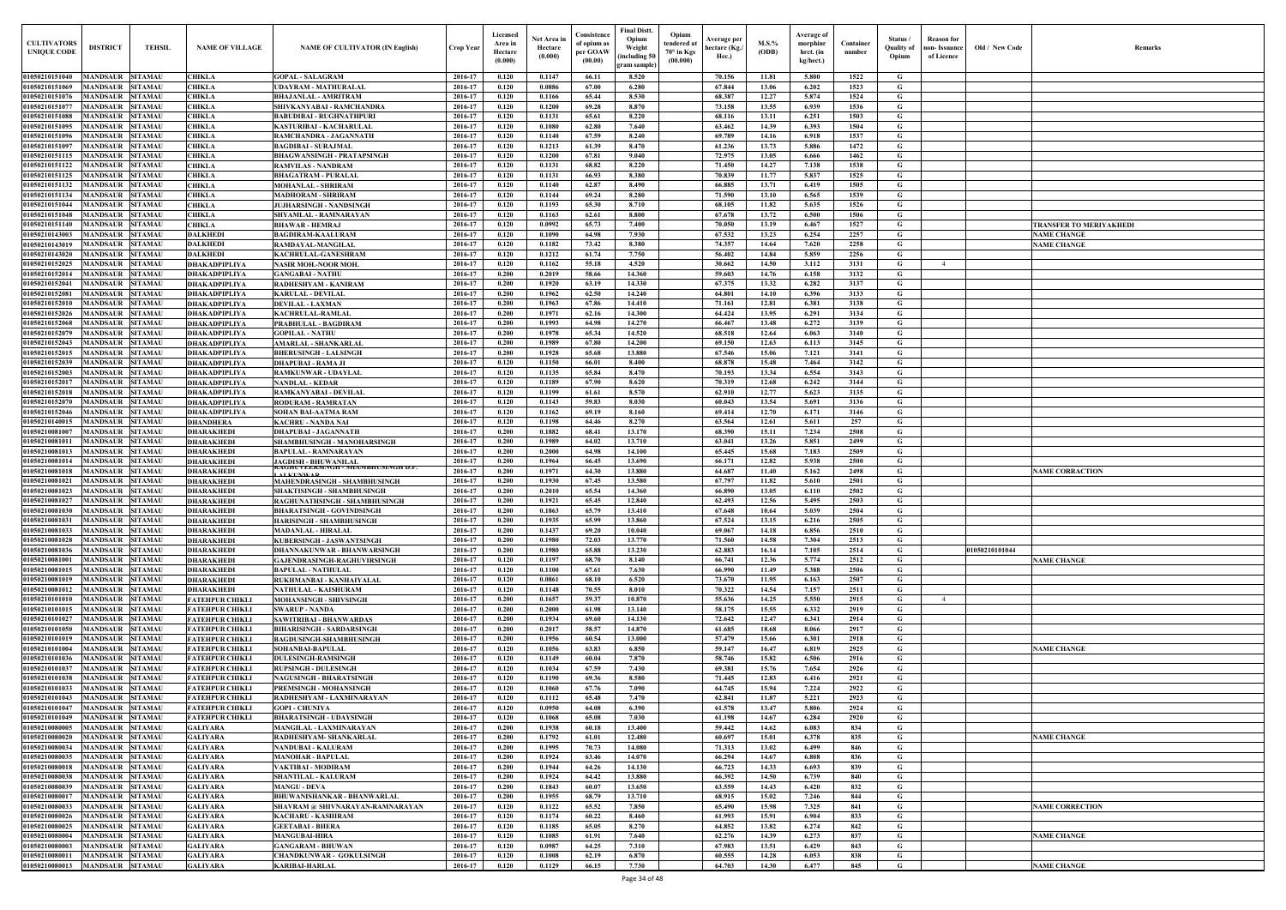| <b>CULTIVATORS</b><br><b>UNIQUE CODI</b> | <b>DISTRICT</b><br><b>TEHSIL</b>                                       | <b>NAME OF VILLAGE</b>                           | <b>NAME OF CULTIVATOR (IN English)</b>                                 | Crop Year          | Licensed<br>Area in<br>Hectare<br>(0.000) | Net Area in<br>Hectare<br>(0.000) | Consistence<br>of opium as<br>per GOAW<br>(00.00) | <b>Final Distt.</b><br>Opium<br>Opium<br>tendered at<br>Weight<br>70° in Kgs<br>including 50)<br>(00.000)<br>ram sample) | Average per<br>hectare (Kg./<br>Hec.) | M.S.%<br>(ODB) | Average of<br>morphinr<br>hrct. (in<br>kg/hect.) | Container<br>number | Status /<br>Quality of<br>Opium | <b>Reason</b> for<br>non- Issuance<br>of Licence | Old / New Code | <b>Remark</b>                  |
|------------------------------------------|------------------------------------------------------------------------|--------------------------------------------------|------------------------------------------------------------------------|--------------------|-------------------------------------------|-----------------------------------|---------------------------------------------------|--------------------------------------------------------------------------------------------------------------------------|---------------------------------------|----------------|--------------------------------------------------|---------------------|---------------------------------|--------------------------------------------------|----------------|--------------------------------|
| 01050210151040                           | <b>MANDSAUR SITAMAU</b>                                                | <b>CHIKLA</b>                                    | <b>GOPAL - SALAGRAM</b>                                                | 2016-17            | 0.120                                     | 0.1147                            | 66.11                                             | 8.520                                                                                                                    | 70.156                                | 11.81          | 5.800                                            | 1522                | G                               |                                                  |                |                                |
| 01050210151069                           | <b>MANDSAUR</b><br><b>SITAMAU</b>                                      | <b>CHIKLA</b>                                    | <b>UDAYRAM - MATHURALAL</b>                                            | 2016-17            | 0.120                                     | 0.0886                            | 67.00                                             | 6.280                                                                                                                    | 67.844                                | 13.06          | 6.202                                            | 1523                | G                               |                                                  |                |                                |
| 01050210151076                           | <b>MANDSAUR</b><br><b>SITAMAU</b>                                      | <b>CHIKLA</b>                                    | <b>BHAJANLAL - AMRITRAM</b>                                            | 2016-17            | 0.120                                     | 0.1166                            | 65.44                                             | 8.530                                                                                                                    | 68.387                                | 12.27          | 5.874                                            | 1524                | G                               |                                                  |                |                                |
| 01050210151077<br>01050210151088         | <b>MANDSAUR</b><br><b>SITAMAU</b><br><b>SITAMAU</b><br>MANDSAUR        | <b>CHIKLA</b><br><b>CHIKLA</b>                   | SHIVKANYABAI - RAMCHANDRA<br><b>BABUDIBAI - RUGHNATHPURI</b>           | 2016-17<br>2016-17 | 0.120<br>0.120                            | 0.1200<br>0.1131                  | 69.28<br>65.61                                    | 8.870<br>8.220                                                                                                           | 73.158<br>68.116                      | 13.55<br>13.11 | 6.939<br>6.251                                   | 1536<br>1503        | G<br>G                          |                                                  |                |                                |
| 01050210151095                           | <b>MANDSAUR</b><br><b>SITAMAU</b>                                      | <b>CHIKLA</b>                                    | <b>KASTURIBAI - KACHARULAL</b>                                         | 2016-17            | 0.120                                     | 0.1080                            | 62.80                                             | 7.640                                                                                                                    | 63.462                                | 14.39          | 6.393                                            | 1504                | G                               |                                                  |                |                                |
| 01050210151096                           | <b>MANDSAUR</b><br><b>SITAMAU</b>                                      | <b>CHIKLA</b>                                    | RAMCHANDRA - JAGANNATH                                                 | 2016-17            | 0.120                                     | 0.1140                            | 67.59                                             | 8.240                                                                                                                    | 69.789                                | 14.16          | 6.918                                            | 1537                | G                               |                                                  |                |                                |
| 01050210151097                           | <b>MANDSAUR</b><br><b>SITAMAU</b>                                      | <b>CHIKLA</b>                                    | <b>BAGDIBAI - SURAJMAL</b>                                             | 2016-17            | 0.120                                     | 0.1213                            | 61.39                                             | 8.470                                                                                                                    | 61.236                                | 13.73          | 5.886                                            | 1472                | G                               |                                                  |                |                                |
| 01050210151115                           | <b>MANDSAUR</b><br><b>SITAMAU</b>                                      | <b>CHIKLA</b>                                    | <b>BHAGWANSINGH - PRATAPSINGH</b>                                      | 2016-17            | 0.120                                     | 0.1200                            | 67.81                                             | 9.040                                                                                                                    | 72.975                                | 13.05          | 6.666                                            | 1462                | G                               |                                                  |                |                                |
| 01050210151122<br>01050210151125         | <b>MANDSAUR</b><br><b>SITAMAU</b><br><b>MANDSAUR</b><br><b>SITAMAU</b> | <b>CHIKLA</b><br><b>CHIKLA</b>                   | <b>RAMVILAS - NANDRAM</b><br><b>BHAGATRAM - PURALAL</b>                | 2016-17<br>2016-17 | 0.120<br>0.120                            | 0.1131<br>0.1131                  | 68.82<br>66.93                                    | 8.220<br>8.380                                                                                                           | 71.450<br>70.839                      | 14.27<br>11.77 | 7.138<br>5.837                                   | 1538<br>1525        | G<br>G                          |                                                  |                |                                |
| 01050210151132                           | <b>MANDSAUR</b><br><b>SITAMAU</b>                                      | <b>CHIKLA</b>                                    | <b>MOHANLAL - SHRIRAM</b>                                              | 2016-17            | 0.120                                     | 0.1140                            | 62.87                                             | 8.490                                                                                                                    | 66.885                                | 13.71          | 6.419                                            | 1505                | $\mathbf G$                     |                                                  |                |                                |
| 01050210151134                           | MANDSAUR<br><b>SITAMAU</b>                                             | <b>CHIKLA</b>                                    | <b>MADHORAM - SHRIRAM</b>                                              | 2016-17            | 0.120                                     | 0.1144                            | 69.24                                             | 8.280                                                                                                                    | 71.590                                | 13.10          | 6.565                                            | 1539                | G                               |                                                  |                |                                |
| 01050210151044                           | MANDSAUR<br><b>SITAMAU</b>                                             | <b>CHIKLA</b>                                    | <b>JUJHARSINGH - NANDSINGE</b>                                         | 2016-17            | 0.120                                     | 0.1193                            | 65.30                                             | 8.710                                                                                                                    | 68.105                                | 11.82          | 5.635                                            | 1526                | G                               |                                                  |                |                                |
| 01050210151048<br>01050210151140         | MANDSAUR<br><b>SITAMAU</b><br>MANDSAUR<br><b>SITAMAU</b>               | <b>CHIKLA</b><br><b>CHIKLA</b>                   | SHYAMLAL - RAMNARAYAN<br><b>BHAWAR - HEMRAJ</b>                        | 2016-17<br>2016-17 | 0.120<br>0.120                            | 0.1163<br>0.0992                  | 62.61<br>65.73                                    | 8.800<br>7.400                                                                                                           | 67.678<br>70.050                      | 13.72<br>13.19 | 6.500<br>6.467                                   | 1506<br>1527        | G<br>G                          |                                                  |                | <b>FRANSFER TO MERIYAKHEDI</b> |
| 01050210143003                           | MANDSAUR<br><b>SITAMAU</b>                                             | <b>DALKHEDI</b>                                  | <b>BAGDIRAM-KAALURAM</b>                                               | 2016-17            | 0.120                                     | 0.1090                            | 64.98                                             | 7.930                                                                                                                    | 67.532                                | 13.23          | 6.254                                            | 2257                | G                               |                                                  |                | <b>NAME CHANGE</b>             |
| 01050210143019                           | MANDSAUR<br><b>SITAMAU</b>                                             | <b>DALKHEDI</b>                                  | RAMDAYAL-MANGILAL                                                      | 2016-17            | 0.120                                     | 0.1182                            | 73.42                                             | 8.380                                                                                                                    | 74.357                                | 14.64          | 7.620                                            | 2258                | G                               |                                                  |                | <b>VAME CHANGE</b>             |
| 01050210143020                           | <b>MANDSAUR</b><br><b>SITAMAU</b>                                      | <b>DALKHEDI</b>                                  | KACHRULAL-GANESHRAM                                                    | 2016-17            | 0.120                                     | 0.1212                            | 61.74                                             | 7.750                                                                                                                    | 56.402                                | 14.84          | 5.859                                            | 2256                | G                               |                                                  |                |                                |
| 01050210152025                           | MANDSAUR<br><b>SITAMAU</b>                                             | <b>DHAKADPIPLIYA</b>                             | <b>NASIR MOH.-NOOR MOH.</b>                                            | 2016-17            | 0.120                                     | 0.1162                            | 55.18                                             | 4.520                                                                                                                    | 30.662                                | 14.50          | 3.112                                            | 3131                | G                               |                                                  |                |                                |
| 01050210152014<br>01050210152041         | <b>MANDSAUR</b><br><b>SITAMAU</b><br>MANDSAUR SITAMAU                  | <b>DHAKADPIPLIYA</b><br><b>DHAKADPIPLIYA</b>     | <b>GANGABAI - NATHU</b><br>RADHESHYAM - KANIRAM                        | 2016-17<br>2016-17 | 0.200<br>0.200                            | 0.2019<br>0.1920                  | 58.66<br>63.19                                    | 14.360<br>14.330                                                                                                         | 59.603<br>67.375                      | 14.76<br>13.32 | 6.158<br>6.282                                   | 3132<br>3137        | G<br>G                          |                                                  |                |                                |
| 01050210152081                           | <b>MANDSAUR</b><br><b>SITAMAU</b>                                      | <b>DHAKADPIPLIYA</b>                             | <b>KARULAL - DEVILAL</b>                                               | 2016-17            | 0.200                                     | 0.1962                            | 62.50                                             | 14.240                                                                                                                   | 64.801                                | 14.10          | 6.396                                            | 3133                | G                               |                                                  |                |                                |
| 01050210152010                           | MANDSAUR<br><b>SITAMAU</b>                                             | <b>DHAKADPIPLIYA</b>                             | <b>DEVILAL - LAXMAN</b>                                                | 2016-17            | 0.200                                     | 0.1963                            | 67.86                                             | 14,410                                                                                                                   | 71.161                                | 12.81          | 6.381                                            | 3138                | G                               |                                                  |                |                                |
| 01050210152026                           | MANDSAUR<br><b>SITAMAU</b>                                             | <b>DHAKADPIPLIYA</b>                             | <b>KACHRULAL-RAMLAL</b>                                                | 2016-17            | 0.200                                     | 0.1971                            | 62.16                                             | 14.300                                                                                                                   | 64.424                                | 13.95          | 6.291                                            | 3134                | G                               |                                                  |                |                                |
| 01050210152068<br>01050210152079         | MANDSAUR<br><b>SITAMAU</b><br>MANDSAUR<br><b>SITAMAU</b>               | <b>DHAKADPIPLIYA</b><br><b>DHAKADPIPLIYA</b>     | PRABHULAL - BAGDIRAM<br><b>GOPILAL - NATHU</b>                         | 2016-17<br>2016-17 | 0.200<br>0.200                            | 0.1993<br>0.1978                  | 64.98<br>65.34                                    | 14.270<br>14.520                                                                                                         | 66.467<br>68.518                      | 13.48<br>12.64 | 6.272<br>6.063                                   | 3139<br>3140        | G<br>G                          |                                                  |                |                                |
| 01050210152043                           | <b>MANDSAUR</b><br><b>SITAMAU</b>                                      | <b>DHAKADPIPLIYA</b>                             | <b>AMARLAL - SHANKARLAL</b>                                            | 2016-17            | 0.200                                     | 0.1989                            | 67.80                                             | 14.200                                                                                                                   | 69.150                                | 12.63          | 6.113                                            | 3145                | G                               |                                                  |                |                                |
| 01050210152015                           | MANDSAUR<br><b>SITAMAU</b>                                             | <b>DHAKADPIPLIYA</b>                             | <b>BHERUSINGH - LALSINGH</b>                                           | 2016-17            | 0.200                                     | 0.1928                            | 65.68                                             | 13.880                                                                                                                   | 67.546                                | 15.06          | 7.121                                            | 3141                | G                               |                                                  |                |                                |
| 01050210152039                           | <b>MANDSAUR</b><br><b>SITAMAU</b>                                      | <b>DHAKADPIPLIYA</b>                             | <b>DHAPUBAI - RAMA JI</b>                                              | 2016-17            | 0.120                                     | 0.1150                            | 66.01                                             | 8.400                                                                                                                    | 68.878                                | 15.48          | 7.464                                            | 3142                | G                               |                                                  |                |                                |
| 01050210152003                           | MANDSAUR<br><b>SITAMAU</b>                                             | <b>DHAKADPIPLIYA</b>                             | <b>RAMKUNWAR - UDAYLAI</b>                                             | 2016-17            | 0.120                                     | 0.1135                            | 65.84                                             | 8.470                                                                                                                    | 70.193                                | 13.34          | 6.554                                            | 3143                | G                               |                                                  |                |                                |
| 01050210152017<br>01050210152018         | <b>MANDSAUR</b><br><b>SITAMAU</b><br><b>MANDSAUR</b><br><b>SITAMAU</b> | <b>DHAKADPIPLIYA</b><br><b>DHAKADPIPLIYA</b>     | <b>NANDLAL - KEDAR</b><br>RAMKANYABAI - DEVILAL                        | 2016-17<br>2016-17 | 0.120<br>0.120                            | 0.1189<br>0.1199                  | 67.90<br>61.61                                    | 8.620<br>8.570                                                                                                           | 70.319<br>62.910                      | 12.68<br>12.77 | 6.242<br>5.623                                   | 3144<br>3135        | G<br>G                          |                                                  |                |                                |
| 0105021015207                            | MANDSAUR<br><b>SITAMAU</b>                                             | <b>DHAKADPIPLIYA</b>                             | <b>RODURAM - RAMRATAN</b>                                              | 2016-17            | 0.120                                     | 0.1143                            | 59.83                                             | 8.030                                                                                                                    | 60.043                                | 13.54          | 5.691                                            | 3136                | G                               |                                                  |                |                                |
| 01050210152046                           | <b>MANDSAUR</b><br><b>SITAMAU</b>                                      | <b>DHAKADPIPLIYA</b>                             | <b>SOHAN BAI-AATMA RAM</b>                                             | 2016-17            | 0.120                                     | 0.1162                            | 69.19                                             | 8.160                                                                                                                    | 69.414                                | 12.70          | 6.171                                            | 3146                | G                               |                                                  |                |                                |
| 01050210140015                           | <b>MANDSAUR</b><br><b>SITAMAU</b>                                      | <b>DHANDHERA</b>                                 | <b>KACHRU - NANDA NAI</b>                                              | 2016-17            | 0.120                                     | 0.1198                            | 64.46                                             | 8.270                                                                                                                    | 63.564                                | 12.61          | 5.611                                            | 257                 | G                               |                                                  |                |                                |
| 01050210081007<br>01050210081011         | <b>MANDSAUR</b><br><b>SITAMAU</b><br><b>MANDSAUR</b><br><b>SITAMAU</b> | <b>DHARAKHEDI</b><br><b>DHARAKHEDI</b>           | <b>DHAPUBAI - JAGANNATH</b><br>SHAMBHUSINGH - MANOHARSINGH             | 2016-17<br>2016-17 | 0.200<br>0.200                            | 0.1882<br>0.1989                  | 68.41<br>64.02                                    | 13.170<br>13.710                                                                                                         | 68.390<br>63.041                      | 15.11<br>13.26 | 7.234<br>5.851                                   | 2508<br>2499        | G<br>G                          |                                                  |                |                                |
| 01050210081013                           | MANDSAUR<br><b>SITAMAU</b>                                             | <b>DHARAKHEDI</b>                                | <b>BAPULAL - RAMNARAYAN</b>                                            | 2016-17            | 0.200                                     | 0.2000                            | 64.98                                             | 14.100                                                                                                                   | 65.445                                | 15.68          | 7.183                                            | 2509                | G                               |                                                  |                |                                |
| 01050210081014                           | MANDSAUR<br><b>SITAMAU</b>                                             | <b>DHARAKHEDI</b>                                | <b>JAGDISH - BHUWANILAL</b>                                            | 2016-17            | 0.200                                     | 0.1964                            | 66.45                                             | 13.690                                                                                                                   | 66.171                                | 12.82          | 5.938                                            | 2500                | G                               |                                                  |                |                                |
| 01050210081018                           | MANDSAUR<br><b>SITAMAU</b>                                             | <b>DHARAKHEDI</b>                                | KAGHUVEEKSINGH - SHAMBHUSINGH D.P.<br><b>AT L'ITNIVAD</b>              | 2016-17            | 0.200                                     | 0.1971                            | 64.30                                             | 13.880                                                                                                                   | 64.687                                | 11.40          | 5.162                                            | 2498                | G                               |                                                  |                | <b>NAME CORRACTION</b>         |
| 01050210081021                           | <b>SITAMAU</b><br>MANDSAUR                                             | <b>DHARAKHEDI</b>                                | <b>MAHENDRASINGH - SHAMBHUSINGH</b>                                    | 2016-17            | 0.200                                     | 0.1930                            | 67.45                                             | 13.580                                                                                                                   | 67.797                                | 11.82          | 5.610                                            | 2501                | G                               |                                                  |                |                                |
| 01050210081023<br>01050210081027         | <b>MANDSAUR</b><br><b>SITAMAU</b><br><b>MANDSAUR</b><br><b>SITAMAU</b> | <b>DHARAKHEDI</b><br><b>DHARAKHEDI</b>           | SHAKTISINGH - SHAMBHUSINGH<br>RAGHUNATHSINGH - SHAMBHUSINGH            | 2016-17<br>2016-17 | 0.200<br>0.200                            | 0.2010<br>0.1921                  | 65.54<br>65.45                                    | 14.360<br>12.840                                                                                                         | 66.890<br>62.493                      | 13.05<br>12.56 | 6.110<br>5.495                                   | 2502<br>2503        | G<br>G                          |                                                  |                |                                |
|                                          | 01050210081030 MANDSAUR SITAMAU                                        | <b>DHARAKHEDI</b>                                | <b>BHARATSINGH - GOVINDSINGH</b>                                       | 2016-17            | 0.200                                     | 0.1863                            | 65.79                                             | 13.410                                                                                                                   | 67.648                                | 10.64          | 5.039                                            | 2504                | G                               |                                                  |                |                                |
| 01050210081031                           | MANDSAUR SITAMAU                                                       | <b>DHARAKHEDI</b>                                | <b>HARISINGH - SHAMBHUSINGH</b>                                        | 2016-17            | 0.200                                     | 0.1935                            | 65.99                                             | 13.860                                                                                                                   | 67.524                                | 13.15          | 6.216                                            | 2505                | G                               |                                                  |                |                                |
| 01050210081033                           | <b>MANDSAUR SITAMAU</b>                                                | <b>DHARAKHEDI</b>                                | <b>MADANLAL - HIRALAL</b>                                              | 2016-17            | 0.200                                     | 0.1437                            | 69.20                                             | 10.040                                                                                                                   | 69.067                                | 14.18          | 6.856                                            | 2510                | G                               |                                                  |                |                                |
| 01050210081028<br>01050210081036         | <b>MANDSAUR SITAMAU</b><br><b>MANDSAUR SITAMAU</b>                     | <b>DHARAKHEDI</b><br><b>DHARAKHEDI</b>           | <b>KUBERSINGH - JASWANTSINGH</b><br>DHANNAKUNWAR - BHANWARSINGH        | 2016-17<br>2016-17 | 0.200<br>0.200                            | 0.1980<br>0.1980                  | 72.03<br>65.88                                    | 13.770<br>13.230                                                                                                         | 71.560<br>62.883                      | 14.58<br>16.14 | 7.304<br>7.105                                   | 2513<br>2514        | G<br>G                          |                                                  | 01050210101044 |                                |
| 01050210081001                           | <b>MANDSAUR</b><br><b>SITAMAU</b>                                      | <b>DHARAKHEDI</b>                                | GAJENDRASINGH-RAGHUVIRSINGH                                            | 2016-17            | 0.120                                     | 0.1197                            | 68.70                                             | 8.140                                                                                                                    | 66.741                                | 12.36          | 5.774                                            | 2512                | G                               |                                                  |                | <b>NAME CHANGE</b>             |
| 01050210081015                           | <b>SITAMAU</b><br><b>MANDSAUR</b>                                      | <b>DHARAKHEDI</b>                                | <b>BAPULAL - NATHULAL</b>                                              | 2016-17            | 0.120                                     | 0.1100                            | 67.61                                             | 7.630                                                                                                                    | 66.990                                | 11.49          | 5.388                                            | 2506                | $\mathbf G$                     |                                                  |                |                                |
| 01050210081019                           | <b>MANDSAUR</b><br><b>SITAMAU</b>                                      | <b>DHARAKHEDI</b>                                | RUKHMANBAI - KANHAIYALAL                                               | 2016-17            | 0.120                                     | 0.0861                            | 68.10                                             | 6.520                                                                                                                    | 73.670                                | 11.95          | 6.163                                            | 2507                | $\mathbf G$                     |                                                  |                |                                |
| 01050210081012<br>01050210101010         | <b>MANDSAUR</b><br><b>SITAMAU</b><br>MANDSAUR<br><b>SITAMAU</b>        | <b>DHARAKHEDI</b><br><b>FATEHPUR CHIKLI</b>      | <b>NATHULAL - KAISHURAM</b><br>MOHANSINGH - SHIVSINGH                  | 2016-17<br>2016-17 | 0.120<br>0.200                            | 0.1148<br>0.1657                  | 70.55<br>59.37                                    | 8.010<br>10.870                                                                                                          | 70.322<br>55.636                      | 14.54<br>14.25 | 7.157<br>5.550                                   | 2511<br>2915        | G<br>$\mathbf G$                | $\overline{4}$                                   |                |                                |
| 01050210101015                           | <b>MANDSAUR</b><br><b>SITAMAU</b>                                      | <b>FATEHPUR CHIKLI</b>                           | <b>SWARUP - NANDA</b>                                                  | 2016-17            | 0.200                                     | 0.2000                            | 61.98                                             | 13.140                                                                                                                   | 58.175                                | 15.55          | 6.332                                            | 2919                | G                               |                                                  |                |                                |
| 01050210101027                           | <b>MANDSAUR</b><br><b>SITAMAU</b>                                      | <b>FATEHPUR CHIKLI</b>                           | <b>SAWITRIBAI - BHANWARDAS</b>                                         | 2016-17            | 0.200                                     | 0.1934                            | 69.60                                             | 14.130                                                                                                                   | 72.642                                | 12,47          | 6.341                                            | 2914                | $\mathbf G$                     |                                                  |                |                                |
| 01050210101050                           | <b>SITAMAU</b><br><b>MANDSAUR</b>                                      | <b>FATEHPUR CHIKLI</b>                           | <b>BIHARISINGH - SARDARSINGH</b>                                       | 2016-17            | 0.200                                     | 0.2017                            | 58.57                                             | 14.870                                                                                                                   | 61.685                                | 18.68          | 8.066                                            | 2917                | G                               |                                                  |                |                                |
| 01050210101019<br>01050210101004         | <b>MANDSAUR</b><br><b>SITAMAU</b><br><b>MANDSAUR</b><br><b>SITAMAU</b> | <b>FATEHPUR CHIKLI</b><br><b>FATEHPUR CHIKLI</b> | <b>BAGDUSINGH-SHAMBHUSINGH</b><br><b>SOHANBAI-BAPULAL</b>              | 2016-17<br>2016-17 | 0.200<br>0.120                            | 0.1956<br>0.1056                  | 60.54<br>63.83                                    | 13.000<br>6.850                                                                                                          | 57,479<br>59.147                      | 15.66<br>16.47 | 6.301<br>6.819                                   | 2918<br>2925        | G<br>G                          |                                                  |                | <b>NAME CHANGE</b>             |
| 01050210101036                           | MANDSAUR<br><b>SITAMAU</b>                                             | <b>FATEHPUR CHIKLI</b>                           | <b>DULESINGH-RAMSINGH</b>                                              | 2016-17            | 0.120                                     | 0.1149                            | 60.04                                             | 7.870                                                                                                                    | 58.746                                | 15.82          | 6.506                                            | 2916                | $\mathbf G$                     |                                                  |                |                                |
| 01050210101037                           | <b>MANDSAUR</b><br><b>SITAMAU</b>                                      | <b>FATEHPUR CHIKLI</b>                           | <b>RUPSINGH - DULESINGH</b>                                            | 2016-17            | 0.120                                     | 0.1034                            | 67.59                                             | 7.430                                                                                                                    | 69.381                                | 15.76          | 7.654                                            | 2926                | $\mathbf G$                     |                                                  |                |                                |
| 01050210101038                           | <b>MANDSAUR</b><br><b>SITAMAU</b>                                      | <b>FATEHPUR CHIKLI</b>                           | <b>NAGUSINGH - BHARATSINGH</b>                                         | 2016-17            | 0.120                                     | 0.1190                            | 69.36                                             | 8.580                                                                                                                    | 71.445                                | 12.83          | 6.416                                            | 2921                | $\mathbf G$                     |                                                  |                |                                |
| 01050210101033                           | <b>MANDSAUR</b><br><b>SITAMAU</b>                                      | <b>FATEHPUR CHIKLI</b>                           | PREMSINGH - MOHANSINGH                                                 | 2016-17            | 0.120                                     | 0.1060                            | 67.76                                             | 7.090                                                                                                                    | 64.745                                | 15.94          | 7.224                                            | 2922                | G                               |                                                  |                |                                |
| 01050210101043<br>01050210101047         | MANDSAUR<br><b>SITAMAU</b><br><b>MANDSAUR</b><br><b>SITAMAU</b>        | <b>FATEHPUR CHIKLI</b><br><b>FATEHPUR CHIKLI</b> | RADHESHYAM - LAXMINARAYAN<br><b>GOPI - CHUNIYA</b>                     | 2016-17<br>2016-17 | 0.120<br>0.120                            | 0.1112<br>0.0950                  | 65.48<br>64.08                                    | 7.470<br>6.390                                                                                                           | 62.841<br>61.578                      | 11.87<br>13.47 | 5.221<br>5.806                                   | 2923<br>2924        | G<br>G                          |                                                  |                |                                |
| 01050210101049                           | <b>SITAMAU</b><br><b>MANDSAUR</b>                                      | <b>FATEHPUR CHIKLI</b>                           | <b>BHARATSINGH - UDAYSINGH</b>                                         | 2016-17            | 0.120                                     | 0.1068                            | 65.08                                             | 7.030                                                                                                                    | 61.198                                | 14.67          | 6.284                                            | 2920                | G                               |                                                  |                |                                |
| 01050210080005                           | <b>MANDSAUR</b><br><b>SITAMAU</b>                                      | <b>GALIYARA</b>                                  | MANGILAL - LAXMINARAYAN                                                | 2016-17            | 0.200                                     | 0.1938                            | 60.18                                             | 13.400                                                                                                                   | 59.442                                | 14.62          | 6.083                                            | 834                 | G                               |                                                  |                |                                |
| 01050210080020                           | MANDSAUR SITAMAU                                                       | <b>GALIYARA</b>                                  | RADHESHYAM- SHANKARLAL                                                 | 2016-17            | 0.200                                     | 0.1792                            | 61.01                                             | 12.480                                                                                                                   | 60.697                                | 15.01          | 6.378                                            | 835                 | G                               |                                                  |                | <b>NAME CHANGE</b>             |
| 01050210080034<br>01050210080035         | MANDSAUR SITAMAU<br>MANDSAUR SITAMAU                                   | <b>GALIYARA</b><br><b>GALIYARA</b>               | <b>NANDUBAI - KALURAM</b><br><b>MANOHAR - BAPULAL</b>                  | 2016-17<br>2016-17 | 0.200<br>0.200                            | 0.1995<br>0.1924                  | 70.73<br>63.46                                    | 14.080<br>14.070                                                                                                         | 71.313<br>66.294                      | 13.02<br>14.67 | 6.499<br>6.808                                   | 846<br>836          | $\mathbf{G}$<br>G               |                                                  |                |                                |
| 01050210080018                           | <b>MANDSAUR SITAMAU</b>                                                | <b>GALIYARA</b>                                  | VAKTIBAI - MODIRAM                                                     | 2016-17            | 0.200                                     | 0.1944                            | 64.26                                             | 14.130                                                                                                                   | 66.723                                | 14.33          | 6.693                                            | 839                 | G                               |                                                  |                |                                |
| 01050210080038                           | MANDSAUR SITAMAU                                                       | <b>GALIYARA</b>                                  | <b>SHANTILAL - KALURAM</b>                                             | 2016-17            | 0.200                                     | 0.1924                            | 64.42                                             | 13.880                                                                                                                   | 66.392                                | 14.50          | 6.739                                            | 840                 | G                               |                                                  |                |                                |
| 01050210080039                           | <b>MANDSAUR</b><br><b>SITAMAU</b>                                      | <b>GALIYARA</b>                                  | <b>MANGU - DEVA</b>                                                    | 2016-17            | 0.200                                     | 0.1843                            | 60.07                                             | 13.650                                                                                                                   | 63.559                                | 14.43          | 6.420                                            | 832                 | G                               |                                                  |                |                                |
| 01050210080017<br>01050210080033         | MANDSAUR SITAMAU<br><b>MANDSAUR</b><br><b>SITAMAU</b>                  | <b>GALIYARA</b><br><b>GALIYARA</b>               | <b>BHUWANISHANKAR - BHANWARLAL</b><br>SHAVRAM @ SHIVNARAYAN-RAMNARAYAN | 2016-17<br>2016-17 | 0.200<br>0.120                            | 0.1955<br>0.1122                  | 68.79<br>65.52                                    | 13.710<br>7.850                                                                                                          | 68.915<br>65.490                      | 15.02<br>15.98 | 7.246<br>7.325                                   | 844<br>841          | G<br>$\mathbf G$                |                                                  |                | <b>NAME CORRECTION</b>         |
| 01050210080026                           | <b>MANDSAUR</b><br><b>SITAMAU</b>                                      | <b>GALIYARA</b>                                  | <b>KACHARU - KASHIRAM</b>                                              | 2016-17            | 0.120                                     | 0.1174                            | 60.22                                             | 8.460                                                                                                                    | 61.993                                | 15.91          | 6.904                                            | 833                 | $\mathbf G$                     |                                                  |                |                                |
| 01050210080025                           | <b>MANDSAUR</b><br><b>SITAMAU</b>                                      | <b>GALIYARA</b>                                  | <b>GEETABAI - BHERA</b>                                                | 2016-17            | 0.120                                     | 0.1185                            | 65.05                                             | 8.270                                                                                                                    | 64.852                                | 13.82          | 6.274                                            | 842                 | G                               |                                                  |                |                                |
| 01050210080004                           | <b>MANDSAUR</b><br><b>SITAMAU</b>                                      | <b>GALIYARA</b>                                  | <b>MANGUBAI-HIRA</b>                                                   | 2016-17            | 0.120                                     | 0.1085                            | 61.91                                             | 7.640                                                                                                                    | 62.276                                | 14.39          | 6.273                                            | 837                 | G                               |                                                  |                | <b>NAME CHANGE</b>             |
| 01050210080003<br>01050210080011         | <b>MANDSAUR</b><br><b>SITAMAU</b><br>MANDSAUR<br><b>SITAMAU</b>        | <b>GALIYARA</b><br><b>GALIYARA</b>               | <b>GANGARAM - BHUWAN</b><br><b>CHANDKUNWAR - GOKULSINGH</b>            | 2016-17<br>2016-17 | 0.120<br>0.120                            | 0.0987<br>0.1008                  | 64.25<br>62.19                                    | 7.310<br>6.870                                                                                                           | 67.983<br>60.555                      | 13.51<br>14.28 | 6.429<br>6.053                                   | 843<br>838          | G<br>$\mathbf{G}$               |                                                  |                |                                |
| 01050210080013                           | MANDSAUR SITAMAU                                                       | <b>GALIYARA</b>                                  | <b>KARIBAI-HARLAL</b>                                                  | 2016-17            | 0.120                                     | 0.1129                            | 66.15                                             | 7.730                                                                                                                    | 64.703                                | 14.30          | 6.477                                            | 845                 | $\mathbf{G}$                    |                                                  |                | <b>NAME CHANGE</b>             |
|                                          |                                                                        |                                                  |                                                                        |                    |                                           |                                   |                                                   |                                                                                                                          |                                       |                |                                                  |                     |                                 |                                                  |                |                                |

| Old / New Code | Remarks                                       |
|----------------|-----------------------------------------------|
|                |                                               |
|                |                                               |
|                |                                               |
|                |                                               |
|                |                                               |
|                |                                               |
|                |                                               |
|                |                                               |
|                |                                               |
|                |                                               |
|                |                                               |
|                | TRANSFER TO MERIYAKHEDI<br><b>NAME CHANGE</b> |
|                | <b>NAME CHANGE</b>                            |
|                |                                               |
|                |                                               |
|                |                                               |
|                |                                               |
|                |                                               |
|                |                                               |
|                |                                               |
|                |                                               |
|                |                                               |
|                |                                               |
|                |                                               |
|                |                                               |
|                |                                               |
|                |                                               |
|                |                                               |
|                |                                               |
|                |                                               |
|                | <b>NAME CORRACTION</b>                        |
|                |                                               |
|                |                                               |
|                |                                               |
|                |                                               |
| 01050210101044 |                                               |
|                | <b>NAME CHANGE</b>                            |
|                |                                               |
|                |                                               |
|                |                                               |
|                |                                               |
|                |                                               |
|                |                                               |
|                | <b>NAME CHANGE</b>                            |
|                |                                               |
|                |                                               |
|                |                                               |
|                |                                               |
|                |                                               |
|                |                                               |
|                | <b>NAME CHANGE</b>                            |
|                |                                               |
|                |                                               |
|                |                                               |
|                |                                               |
|                | <b>NAME CORRECTION</b>                        |
|                |                                               |
|                | <b>NAME CHANGE</b>                            |
|                |                                               |
|                | <b>NAME CHANGE</b>                            |
|                |                                               |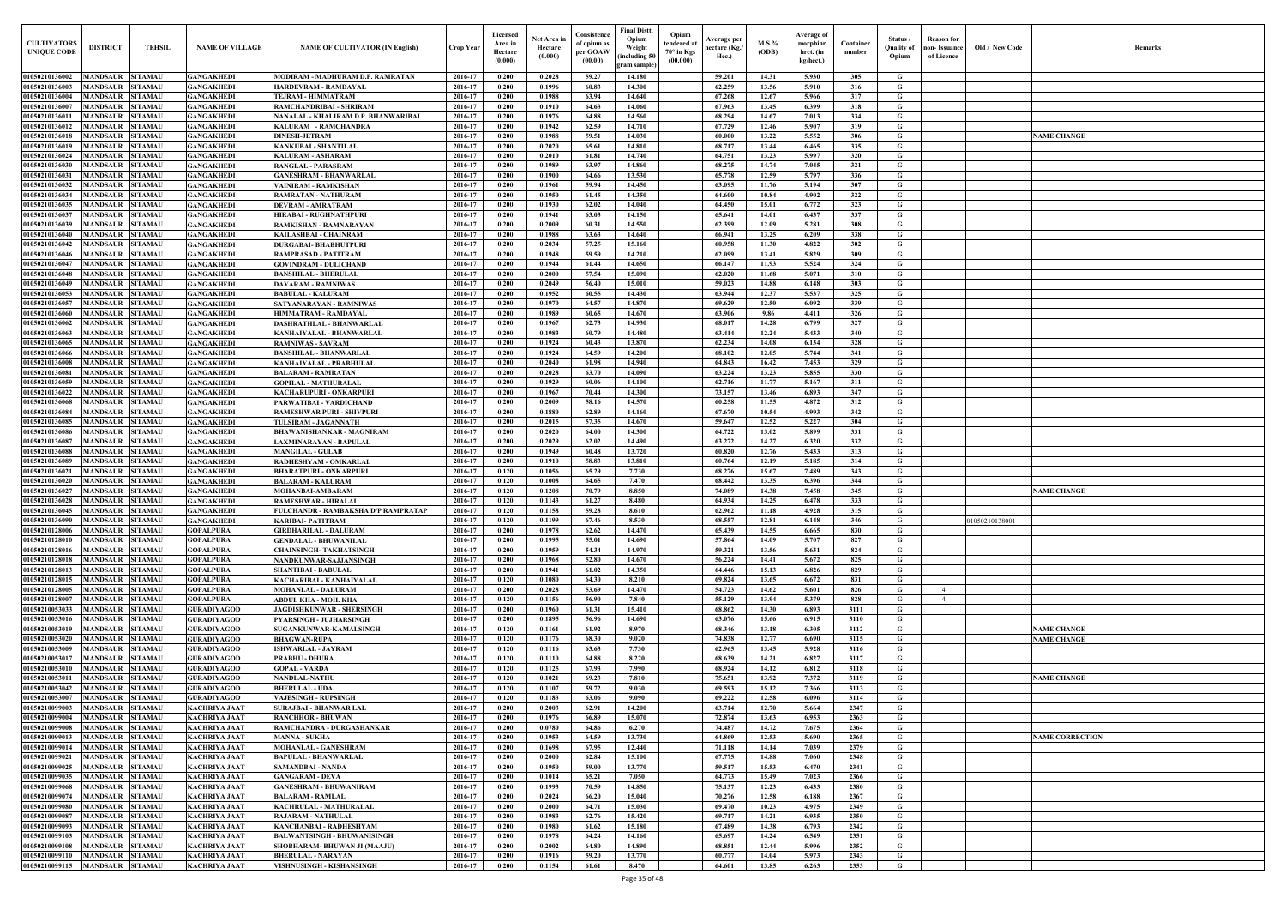| Old / New Code | Remarks                |
|----------------|------------------------|
|                |                        |
|                |                        |
|                |                        |
|                |                        |
|                |                        |
|                |                        |
|                | <b>NAME CHANGE</b>     |
|                |                        |
|                |                        |
|                |                        |
|                |                        |
|                |                        |
|                |                        |
|                |                        |
|                |                        |
|                |                        |
|                |                        |
|                |                        |
|                |                        |
|                |                        |
|                |                        |
|                |                        |
|                |                        |
|                |                        |
|                |                        |
|                |                        |
|                |                        |
|                |                        |
|                |                        |
|                |                        |
|                |                        |
|                |                        |
|                |                        |
|                |                        |
|                |                        |
|                |                        |
|                |                        |
|                |                        |
|                |                        |
|                |                        |
|                |                        |
|                | <b>NAME CHANGE</b>     |
|                |                        |
|                |                        |
| 01050210138001 |                        |
|                |                        |
|                |                        |
|                |                        |
|                |                        |
|                |                        |
|                |                        |
|                |                        |
|                |                        |
|                |                        |
|                |                        |
|                | <b>NAME CHANGE</b>     |
|                | <b>NAME CHANGE</b>     |
|                |                        |
|                |                        |
|                |                        |
|                | <b>NAME CHANGE</b>     |
|                |                        |
|                |                        |
|                |                        |
|                |                        |
|                |                        |
|                | <b>NAME CORRECTION</b> |
|                |                        |
|                |                        |
|                |                        |
|                |                        |
|                |                        |
|                |                        |
|                |                        |
|                |                        |
|                |                        |
|                |                        |
|                |                        |
|                |                        |
|                |                        |

| <b>CULTIVATORS</b><br><b>UNIQUE CODE</b> | <b>DISTRICT</b>                            | <b>TEHSIL</b>                    | <b>NAME OF VILLAGE</b>                       | <b>NAME OF CULTIVATOR (IN English)</b>                         | Crop Year          | Licensed<br>Area in<br>Hectare<br>(0.000) | Net Area in<br>Hectare<br>(0.000) | Consistence<br>of opium as<br>per GOAW<br>(00.00) | <b>Final Distt.</b><br>Opium<br>Weight<br>including 50<br>gram sample) | Opium<br>tendered at<br>$70^\circ$ in Kgs<br>(00.000) | Average per<br>hectare (Kg./<br>Hec.) | M.S.%<br>(ODB) | Average of<br>morphinr<br>hrct. (in<br>kg/hect.) | Container<br>number | Status /<br><b>Quality of</b><br>Opium | Reason for<br>non- Issuance<br>of Licence | Old / New Code | <b>Remark</b>          |
|------------------------------------------|--------------------------------------------|----------------------------------|----------------------------------------------|----------------------------------------------------------------|--------------------|-------------------------------------------|-----------------------------------|---------------------------------------------------|------------------------------------------------------------------------|-------------------------------------------------------|---------------------------------------|----------------|--------------------------------------------------|---------------------|----------------------------------------|-------------------------------------------|----------------|------------------------|
| 01050210136002                           | MANDSAUR                                   | <b>SITAMAU</b>                   | GANGAKHEDI                                   | MODIRAM - MADHURAM D.P. RAMRATAN                               | 2016-17            | 0.200                                     | 0.2028                            | 59.27                                             | 14.180                                                                 |                                                       | 59.201                                | 14.31          | 5.930                                            | 305                 | G                                      |                                           |                |                        |
| 01050210136003                           | <b>MANDSAUR</b>                            | <b>SITAMAU</b>                   | <b>GANGAKHEDI</b>                            | HARDEVRAM - RAMDAYAL                                           | 2016-17            | 0.200                                     | 0.1996                            | 60.83                                             | 14.300                                                                 |                                                       | 62.259                                | 13.56          | 5.910                                            | 316                 | G                                      |                                           |                |                        |
| 01050210136004<br>0105021013600          | <b>MANDSAUR</b><br><b>MANDSAUR</b>         | <b>SITAMAU</b><br><b>SITAMAU</b> | GANGAKHEDI<br><b>GANGAKHEDI</b>              | TEJRAM - HIMMATRAM<br>RAMCHANDRIBAI - SHRIRAM                  | 2016-17<br>2016-17 | 0.200<br>0.200                            | 0.1988<br>0.1910                  | 63.94<br>64.63                                    | 14.640<br>14.060                                                       |                                                       | 67.268<br>67.963                      | 12.67<br>13.45 | 5.966<br>6.399                                   | 317<br>318          | G<br>G                                 |                                           |                |                        |
| 01050210136011                           | <b>MANDSAUR SITAMAU</b>                    |                                  | <b>GANGAKHEDI</b>                            | NANALAL - KHALIRAM D.P. BHANWARIBAI                            | 2016-17            | 0.200                                     | 0.1976                            | 64.88                                             | 14.560                                                                 |                                                       | 68.294                                | 14.67          | 7.013                                            | 334                 | G                                      |                                           |                |                        |
| 01050210136012                           | MANDSAUR                                   | <b>SITAMAU</b>                   | <b>GANGAKHEDI</b>                            | KALURAM - RAMCHANDRA                                           | 2016-17            | 0.200                                     | 0.1942                            | 62.59                                             | 14.710                                                                 |                                                       | 67.729                                | 12.46          | 5.907                                            | 319                 | G                                      |                                           |                |                        |
| 01050210136018<br>01050210136019         | <b>MANDSAUR SITAMAU</b><br>MANDSAUR        | <b>SITAMAU</b>                   | <b>GANGAKHEDI</b><br><b>GANGAKHEDI</b>       | <b>DINESH-JETRAM</b><br><b>KANKUBAI - SHANTILAL</b>            | 2016-17<br>2016-17 | 0.200<br>0.200                            | 0.1988<br>0.2020                  | 59.51<br>65.61                                    | 14.030<br>14.810                                                       |                                                       | 60.000<br>68.717                      | 13.22<br>13.44 | 5.552<br>6.465                                   | 306<br>335          | G<br>G                                 |                                           |                | <b>NAME CHANGE</b>     |
| 01050210136024                           | <b>MANDSAUR</b>                            | <b>SITAMAU</b>                   | <b>GANGAKHEDI</b>                            | <b>KALURAM - ASHARAM</b>                                       | 2016-17            | 0.200                                     | 0.2010                            | 61.81                                             | 14.740                                                                 |                                                       | 64.751                                | 13.23          | 5.997                                            | 320                 | $\mathbf G$                            |                                           |                |                        |
| 01050210136030                           | <b>MANDSAUR</b>                            | <b>SITAMAU</b>                   | <b>GANGAKHEDI</b>                            | <b>RANGLAL - PARASRAM</b>                                      | 2016-17            | 0.200                                     | 0.1989                            | 63.97                                             | 14.860                                                                 |                                                       | 68,275                                | 14.74          | 7.045                                            | 321                 | $\mathbf G$                            |                                           |                |                        |
| 01050210136031                           | <b>MANDSAUR</b>                            | <b>SITAMAU</b>                   | <b>GANGAKHEDI</b>                            | <b>GANESHRAM - BHANWARLAL</b>                                  | 2016-17            | 0.200                                     | 0.1900                            | 64.66                                             | 13.530                                                                 |                                                       | 65.778                                | 12.59          | 5.797                                            | 336                 | G                                      |                                           |                |                        |
| 01050210136032<br>01050210136034         | <b>MANDSAUR</b><br><b>MANDSAUR</b>         | <b>SITAMAU</b><br><b>SITAMAU</b> | <b>GANGAKHEDI</b><br><b>GANGAKHEDI</b>       | <b>VAINIRAM - RAMKISHAN</b><br><b>RAMRATAN - NATHURAM</b>      | 2016-17<br>2016-17 | 0.200<br>0.200                            | 0.1961<br>0.1950                  | 59.94<br>61.45                                    | 14.450<br>14.350                                                       |                                                       | 63.095<br>64.600                      | 11.76<br>10.84 | 5.194<br>4.902                                   | 307<br>322          | G<br>G                                 |                                           |                |                        |
| 01050210136035                           | <b>MANDSAUR</b>                            | <b>SITAMAU</b>                   | <b>GANGAKHEDI</b>                            | <b>DEVRAM - AMRATRAM</b>                                       | 2016-17            | 0.200                                     | 0.1930                            | 62.02                                             | 14.040                                                                 |                                                       | 64.450                                | 15.01          | 6.772                                            | 323                 | G                                      |                                           |                |                        |
| 01050210136037                           | <b>MANDSAUR</b>                            | <b>SITAMAU</b>                   | <b>GANGAKHEDI</b>                            | <b>HIRABAI - RUGHNATHPURI</b>                                  | 2016-17            | 0.200                                     | 0.1941                            | 63.03                                             | 14.150                                                                 |                                                       | 65.641                                | 14.01          | 6.437                                            | 337                 | G                                      |                                           |                |                        |
| 01050210136039                           | <b>MANDSAUR</b>                            | <b>SITAMAU</b>                   | <b>GANGAKHEDI</b>                            | RAMKISHAN - RAMNARAYAN                                         | 2016-17            | 0.200                                     | 0.2009                            | 60.31                                             | 14.550                                                                 |                                                       | 62.399                                | 12.09          | 5.281                                            | 308                 | $\mathbf G$                            |                                           |                |                        |
| 01050210136040<br>01050210136042         | <b>MANDSAUR</b><br><b>MANDSAUR</b>         | <b>SITAMAU</b><br><b>SITAMAU</b> | <b>GANGAKHEDI</b><br><b>GANGAKHEDI</b>       | KAILASHBAI - CHAINRAM<br><b>DURGABAI- BHABHUTPURI</b>          | 2016-17<br>2016-17 | 0.200<br>0.200                            | 0.1988<br>0.2034                  | 63.63<br>57.25                                    | 14.640<br>15.160                                                       |                                                       | 66.941<br>60.958                      | 13.25<br>11.30 | 6.209<br>4.822                                   | 338<br>302          | G<br>$\mathbf G$                       |                                           |                |                        |
| 01050210136046                           | <b>MANDSAUR</b>                            | <b>SITAMAU</b>                   | <b>GANGAKHEDI</b>                            | RAMPRASAD - PATITRAM                                           | 2016-17            | 0.200                                     | 0.1948                            | 59.59                                             | 14.210                                                                 |                                                       | 62.099                                | 13.41          | 5.829                                            | 309                 | G                                      |                                           |                |                        |
| 01050210136047                           | <b>MANDSAUR</b>                            | <b>SITAMAU</b>                   | <b>GANGAKHEDI</b>                            | <b>GOVINDRAM - DULICHAND</b>                                   | 2016-17            | 0.200                                     | 0.1944                            | 61.44                                             | 14.650                                                                 |                                                       | 66.147                                | 11.93          | 5.524                                            | 324                 | G                                      |                                           |                |                        |
| 01050210136048                           | <b>MANDSAUR</b>                            | <b>SITAMAU</b>                   | <b>GANGAKHEDI</b>                            | <b>BANSHILAL - BHERULAL</b>                                    | 2016-17            | 0.200                                     | 0.2000                            | 57.54                                             | 15.090                                                                 |                                                       | 62.020                                | 11.68          | 5.071                                            | 310                 | $\mathbf G$                            |                                           |                |                        |
| 01050210136049<br>01050210136053         | <b>MANDSAUR</b><br>MANDSAUR                | <b>SITAMAU</b><br><b>SITAMAU</b> | <b>GANGAKHEDI</b><br><b>GANGAKHEDI</b>       | <b>DAYARAM - RAMNIWAS</b><br><b>BABULAL - KALURAM</b>          | 2016-17<br>2016-17 | 0.200<br>0.200                            | 0.2049<br>0.1952                  | 56.40<br>60.55                                    | 15.010<br>14.430                                                       |                                                       | 59.023<br>63.944                      | 14.88<br>12.37 | 6.148<br>5.537                                   | 303<br>325          | $\mathbf G$<br>G                       |                                           |                |                        |
| 01050210136057                           | MANDSAUR                                   | <b>SITAMAU</b>                   | <b>GANGAKHEDI</b>                            | SATYANARAYAN - RAMNIWAS                                        | 2016-17            | 0.200                                     | 0.1970                            | 64.57                                             | 14.870                                                                 |                                                       | 69.629                                | 12.50          | 6.092                                            | 339                 | G                                      |                                           |                |                        |
| 01050210136060                           | MANDSAUR                                   | <b>SITAMAU</b>                   | GANGAKHEDI                                   | HIMMATRAM - RAMDAYAL                                           | 2016-17            | 0.200                                     | 0.1989                            | 60.65                                             | 14.670                                                                 |                                                       | 63.906                                | 9.86           | 4.411                                            | 326                 | G                                      |                                           |                |                        |
| 01050210136062                           | MANDSAUR                                   | <b>SITAMAU</b>                   | <b>GANGAKHEDI</b>                            | DASHRATHLAL - BHANWARLAL                                       | 2016-17            | 0.200                                     | 0.1967                            | 62.73                                             | 14.930                                                                 |                                                       | 68.017                                | 14.28          | 6.799                                            | 327                 | G                                      |                                           |                |                        |
| 01050210136063<br>01050210136065         | MANDSAUR<br><b>MANDSAUR</b>                | <b>SITAMAU</b><br><b>SITAMAU</b> | <b>GANGAKHEDI</b><br>GANGAKHEDI              | KANHAIYALAL - BHANWARLAL<br><b>RAMNIWAS - SAVRAM</b>           | 2016-17<br>2016-17 | 0.200<br>0.200                            | 0.1983<br>0.1924                  | 60.79<br>60.43                                    | 14.480<br>13.870                                                       |                                                       | 63.414<br>62.234                      | 12.24<br>14.08 | 5.433<br>6.134                                   | 340<br>328          | G<br>G                                 |                                           |                |                        |
| 01050210136066                           | MANDSAUR                                   | <b>SITAMAU</b>                   | <b>GANGAKHEDI</b>                            | <b>BANSHILAL - BHANWARLAL</b>                                  | 2016-17            | 0.200                                     | 0.1924                            | 64.59                                             | 14.200                                                                 |                                                       | 68.102                                | 12.05          | 5.744                                            | 341                 | G                                      |                                           |                |                        |
| 01050210136008                           | MANDSAUR SITAMAU                           |                                  | <b>GANGAKHEDI</b>                            | KANHAIYALAL - PRABHULAL                                        | 2016-17            | 0.200                                     | 0.2040                            | 61.98                                             | 14.940                                                                 |                                                       | 64.843                                | 16.42          | 7.453                                            | 329                 | G                                      |                                           |                |                        |
| 01050210136081                           | <b>MANDSAUR SITAMAU</b>                    |                                  | <b>GANGAKHEDI</b>                            | <b>BALARAM - RAMRATAN</b>                                      | 2016-17            | 0.200                                     | 0.2028                            | 63.70                                             | 14.090                                                                 |                                                       | 63.224                                | 13.23          | 5.855                                            | 330                 | G                                      |                                           |                |                        |
| 01050210136059                           | <b>MANDSAUR SITAMAU</b>                    |                                  | <b>GANGAKHEDI</b>                            | <b>GOPILAL - MATHURALAL</b>                                    | 2016-17            | 0.200                                     | 0.1929                            | 60.06                                             | 14.100                                                                 |                                                       | 62.716                                | 11.77          | 5.167                                            | 311                 | G                                      |                                           |                |                        |
| 01050210136022<br>01050210136068         | <b>MANDSAUR</b><br>MANDSAUR                | <b>SITAMAU</b><br><b>SITAMAU</b> | <b>GANGAKHEDI</b><br><b>GANGAKHEDI</b>       | <b>KACHARUPURI - ONKARPURI</b><br>PARWATIBAI - VARDICHAND      | 2016-17<br>2016-17 | 0.200<br>0.200                            | 0.1967<br>0.2009                  | 70.44<br>58.16                                    | 14.300<br>14.570                                                       |                                                       | 73.157<br>60.258                      | 13.46<br>11.55 | 6.893<br>4.872                                   | 347<br>312          | G<br>G                                 |                                           |                |                        |
| 01050210136084                           | <b>MANDSAUR</b>                            | <b>SITAMAU</b>                   | <b>GANGAKHEDI</b>                            | <b>RAMESHWAR PURI - SHIVPURI</b>                               | 2016-17            | 0.200                                     | 0.1880                            | 62.89                                             | 14.160                                                                 |                                                       | 67.670                                | 10.54          | 4.993                                            | 342                 | G                                      |                                           |                |                        |
| 01050210136085                           | MANDSAUR                                   | <b>SITAMAU</b>                   | <b>GANGAKHEDI</b>                            | <b>TULSIRAM - JAGANNATH</b>                                    | 2016-17            | 0.200                                     | 0.2015                            | 57.35                                             | 14.670                                                                 |                                                       | 59.647                                | 12.52          | 5.227                                            | 304                 | G                                      |                                           |                |                        |
| 01050210136086                           | <b>MANDSAUR</b>                            | <b>SITAMAU</b>                   | <b>GANGAKHEDI</b>                            | <b>BHAWANISHANKAR - MAGNIRAM</b>                               | 2016-17            | 0.200                                     | 0.2020                            | 64.00                                             | 14.300                                                                 |                                                       | 64.722                                | 13.02          | 5.899                                            | 331                 | G                                      |                                           |                |                        |
| 0105021013608<br>01050210136088          | MANDSAUR<br>MANDSAUR                       | <b>SITAMAU</b><br><b>SITAMAU</b> | <b>GANGAKHEDI</b><br><b>GANGAKHEDI</b>       | LAXMINARAYAN - BAPULAL<br><b>MANGILAL - GULAB</b>              | 2016-17<br>2016-17 | 0.200<br>0.200                            | 0.2029<br>0.1949                  | 62.02<br>60.48                                    | 14.490<br>13.720                                                       |                                                       | 63,272<br>60.820                      | 14.27<br>12.76 | 6.320<br>5.433                                   | 332<br>313          | G<br>G                                 |                                           |                |                        |
| 01050210136089                           | MANDSAUR                                   | <b>SITAMAU</b>                   | <b>GANGAKHEDI</b>                            | RADHESHYAM - OMKARLAL                                          | 2016-17            | 0.200                                     | 0.1910                            | 58.83                                             | 13.810                                                                 |                                                       | 60.764                                | 12.19          | 5.185                                            | 314                 | G                                      |                                           |                |                        |
| 01050210136021                           | <b>MANDSAUR</b>                            | <b>SITAMAU</b>                   | <b>GANGAKHEDI</b>                            | <b>BHARATPURI - ONKARPURI</b>                                  | 2016-17            | 0.120                                     | 0.1056                            | 65.29                                             | 7.730                                                                  |                                                       | 68.276                                | 15.67          | 7.489                                            | 343                 | $\mathbf G$                            |                                           |                |                        |
| 01050210136020                           | MANDSAUR                                   | <b>SITAMAU</b>                   | <b>GANGAKHEDI</b>                            | <b>BALARAM - KALURAM</b>                                       | 2016-17            | 0.120                                     | 0.1008                            | 64.65                                             | 7.470                                                                  |                                                       | 68.442                                | 13.35          | 6.396                                            | 344                 | G                                      |                                           |                |                        |
| 01050210136027<br>01050210136028         | <b>MANDSAUR</b><br><b>MANDSAUR SITAMAU</b> | <b>SITAMAU</b>                   | <b>GANGAKHEDI</b><br><b>GANGAKHEDI</b>       | MOHANBAI-AMBARAM<br><b>RAMESHWAR - HIRALAL</b>                 | 2016-17<br>2016-17 | 0.120<br>0.120                            | 0.1208<br>0.1143                  | 70.79<br>61.27                                    | 8.850<br>8.480                                                         |                                                       | 74.089<br>64.934                      | 14.38<br>14.25 | 7.458<br>6.478                                   | 345<br>333          | G<br>G                                 |                                           |                | <b>NAME CHANGE</b>     |
| 01050210136045                           | <b>MANDSAUR SITAMAU</b>                    |                                  | <b>GANGAKHEDI</b>                            | <b>FULCHANDR - RAMBAKSHA D/P RAMPRATAP</b>                     | 2016-17            | 0.120                                     | 0.1158                            | 59.28                                             | 8.610                                                                  |                                                       | 62.962                                | 11.18          | 4.928                                            | 315                 | G                                      |                                           |                |                        |
| 01050210136090                           | <b>MANDSAUR</b>                            | <b>SITAMAU</b>                   | <b>GANGAKHEDI</b>                            | <b>KARIBAI- PATITRAM</b>                                       | 2016-17            | 0.120                                     | 0.1199                            | 67.46                                             | 8.530                                                                  |                                                       | 68.557                                | 12.81          | 6.148                                            | 346                 | G                                      |                                           | 01050210138001 |                        |
| 01050210128006                           | <b>MANDSAUR</b>                            | <b>SITAMAU</b>                   | <b>GOPALPURA</b>                             | <b>GIRDHARILAL - DALURAM</b>                                   | 2016-17            | 0.200                                     | 0.1978                            | 62.62                                             | 14.470                                                                 |                                                       | 65.439                                | 14.55          | 6.665                                            | 830                 | $\mathbf G$                            |                                           |                |                        |
| 01050210128010<br>01050210128016         | <b>MANDSAUR</b><br><b>MANDSAUR</b>         | <b>SITAMAU</b><br><b>SITAMAU</b> | <b>GOPALPURA</b><br><b>GOPALPURA</b>         | <b>GENDALAL - BHUWANILAL</b><br><b>CHAINSINGH- TAKHATSINGH</b> | 2016-17<br>2016-17 | 0.200<br>0.200                            | 0.1995<br>0.1959                  | 55.01<br>54.34                                    | 14.690<br>14.970                                                       |                                                       | 57.864<br>59.321                      | 14.09<br>13.56 | 5.707<br>5.631                                   | 827<br>824          | G<br>$\mathbf G$                       |                                           |                |                        |
| 01050210128018                           | <b>MANDSAUR</b>                            | <b>SITAMAU</b>                   | <b>GOPALPURA</b>                             | NANDKUNWAR-SAJJANSINGH                                         | 2016-17            | 0.200                                     | 0.1968                            | 52.80                                             | 14.670                                                                 |                                                       | 56.224                                | 14.41          | 5.672                                            | 825                 | G                                      |                                           |                |                        |
| 01050210128013                           | <b>MANDSAUR</b>                            | <b>SITAMAU</b>                   | <b>GOPALPURA</b>                             | <b>SHANTIBAI - BABULAL</b>                                     | 2016-17            | 0.200                                     | 0.1941                            | 61.02                                             | 14.350                                                                 |                                                       | 64.446                                | 15.13          | 6.826                                            | 829                 | G                                      |                                           |                |                        |
| 01050210128015                           | <b>MANDSAUR</b>                            | <b>SITAMAU</b>                   | <b>GOPALPURA</b>                             | KACHARIBAI - KANHAIYALAL                                       | 2016-17            | 0.120                                     | 0.1080                            | 64.30                                             | 8.210                                                                  |                                                       | 69.824                                | 13.65          | 6.672                                            | 831                 | G                                      |                                           |                |                        |
| 01050210128005<br>01050210128007         | MANDSAUR SITAMAU<br><b>MANDSAUR</b>        | <b>SITAMAU</b>                   | <b>GOPALPURA</b><br><b>GOPALPURA</b>         | <b>MOHANLAL - DALURAM</b><br><b>ABDUL KHA - MOH. KHA</b>       | 2016-17<br>2016-17 | 0.200<br>0.120                            | 0.2028<br>0.1156                  | 53.69<br>56.90                                    | 14.470<br>7.840                                                        |                                                       | 54.723<br>55.129                      | 14.62<br>13.94 | 5.601<br>5.379                                   | 826<br>828          | G<br>$\mathbf{G}$                      | $\overline{4}$<br>4                       |                |                        |
| 01050210053033                           | <b>MANDSAUR SITAMAU</b>                    |                                  | <b>GURADIYAGOD</b>                           | JAGDISHKUNWAR - SHERSINGH                                      | 2016-17            | 0.200                                     | 0.1960                            | 61.31                                             | 15.410                                                                 |                                                       | 68.862                                | 14.30          | 6.893                                            | 3111                | G                                      |                                           |                |                        |
| 01050210053016                           | <b>MANDSAUR SITAMAU</b>                    |                                  | <b>GURADIYAGOD</b>                           | <b>PYARSINGH - JUJHARSINGH</b>                                 | 2016-17            | 0.200                                     | 0.1895                            | 56.96                                             | 14.690                                                                 |                                                       | 63.076                                | 15.66          | 6.915                                            | 3110                | G                                      |                                           |                |                        |
| 01050210053019                           | <b>MANDSAUR SITAMAU</b>                    |                                  | <b>GURADIYAGOD</b>                           | SUGANKUNWAR-KAMALSINGH                                         | 2016-17            | 0.120                                     | 0.1161                            | 61.92                                             | 8.970                                                                  |                                                       | 68.346                                | 13.18          | 6.305                                            | 3112                | G                                      |                                           |                | <b>NAME CHANGE</b>     |
| 01050210053020<br>01050210053009         | <b>MANDSAUR</b><br><b>MANDSAUR</b>         | <b>SITAMAU</b><br><b>SITAMAU</b> | <b>GURADIYAGOD</b><br><b>GURADIYAGOD</b>     | <b>BHAGWAN-RUPA</b><br><b>ISHWARLAL - JAYRAM</b>               | 2016-17<br>2016-17 | 0.120<br>0.120                            | 0.1176<br>0.1116                  | 68.30<br>63.63                                    | 9.020<br>7.730                                                         |                                                       | 74.838<br>62.965                      | 12.77<br>13.45 | 6.690<br>5.928                                   | 3115<br>3116        | G<br>G                                 |                                           |                | <b>NAME CHANGE</b>     |
| 01050210053017                           | <b>MANDSAUR</b>                            | <b>SITAMAU</b>                   | <b>GURADIYAGOD</b>                           | <b>PRABHU - DHURA</b>                                          | 2016-17            | 0.120                                     | 0.1110                            | 64.88                                             | 8.220                                                                  |                                                       | 68.639                                | 14.21          | 6.827                                            | 3117                | $\mathbf G$                            |                                           |                |                        |
| 01050210053010                           | <b>MANDSAUR</b>                            | <b>SITAMAU</b>                   | <b>GURADIYAGOD</b>                           | <b>GOPAL - VARDA</b>                                           | 2016-17            | 0.120                                     | 0.1125                            | 67.93                                             | 7.990                                                                  |                                                       | 68.924                                | 14.12          | 6.812                                            | 3118                | G                                      |                                           |                |                        |
| 01050210053011                           | <b>MANDSAUR</b>                            | <b>SITAMAU</b>                   | <b>GURADIYAGOD</b>                           | <b>NANDLAL-NATHU</b>                                           | 2016-17            | 0.120                                     | 0.1021                            | 69.23                                             | 7.810                                                                  |                                                       | 75.651                                | 13.92          | 7.372                                            | 3119                | $\mathbf G$                            |                                           |                | <b>NAME CHANGE</b>     |
| 01050210053042<br>01050210053007         | <b>MANDSAUR</b><br><b>MANDSAUR</b>         | <b>SITAMAU</b><br><b>SITAMAU</b> | <b>GURADIYAGOD</b><br><b>GURADIYAGOD</b>     | <b>BHERULAL - UDA</b><br><b>VAJESINGH - RUPSINGH</b>           | 2016-17<br>2016-17 | 0.120<br>0.120                            | 0.1107<br>0.1183                  | 59.72<br>63.06                                    | 9.030<br>9.090                                                         |                                                       | 69.593<br>69.222                      | 15.12<br>12.58 | 7.366<br>6.096                                   | 3113<br>3114        | G<br>$\mathbf G$                       |                                           |                |                        |
| 01050210099003                           | <b>MANDSAUR</b>                            | <b>SITAMAU</b>                   | <b>KACHRIYA JAAT</b>                         | <b>SURAJBAI - BHANWAR LAL</b>                                  | 2016-17            | 0.200                                     | 0.2003                            | 62.91                                             | 14.200                                                                 |                                                       | 63.714                                | 12.70          | 5.664                                            | 2347                | G                                      |                                           |                |                        |
| 01050210099004                           | <b>MANDSAUR</b>                            | <b>SITAMAU</b>                   | <b>KACHRIYA JAAT</b>                         | <b>RANCHHOR - BHUWAN</b>                                       | 2016-17            | 0.200                                     | 0.1976                            | 66.89                                             | 15.070                                                                 |                                                       | 72.874                                | 13.63          | 6.953                                            | 2363                | $\mathbf G$                            |                                           |                |                        |
| 01050210099008                           | <b>MANDSAUR</b>                            | <b>SITAMAU</b>                   | <b>KACHRIYA JAAT</b>                         | RAMCHANDRA - DURGASHANKAR                                      | 2016-17            | 0.200                                     | 0.0780                            | 64.86                                             | 6.270                                                                  |                                                       | 74.487                                | 14.72          | 7.675                                            | 2364                | G                                      |                                           |                |                        |
| 01050210099013<br>01050210099014         | <b>MANDSAUR</b><br><b>MANDSAUR</b>         | <b>SITAMAU</b><br><b>SITAMAU</b> | <b>KACHRIYA JAAT</b><br><b>KACHRIYA JAAT</b> | <b>MANNA - SUKHA</b><br><b>MOHANLAL - GANESHRAM</b>            | 2016-17<br>2016-17 | 0.200<br>0.200                            | 0.1953<br>0.1698                  | 64.59<br>67.95                                    | 13.730<br>12,440                                                       |                                                       | 64.869<br>71.118                      | 12.53<br>14.14 | 5.690<br>7.039                                   | 2365<br>2379        | G<br>G                                 |                                           |                | <b>NAME CORRECTION</b> |
| 01050210099021                           | <b>MANDSAUR</b>                            | <b>SITAMAU</b>                   | <b>KACHRIYA JAAT</b>                         | <b>BAPULAL - BHANWARLAL</b>                                    | 2016-17            | 0.200                                     | 0.2000                            | 62.84                                             | 15.100                                                                 |                                                       | 67,775                                | 14.88          | 7.060                                            | 2348                | $\mathbf G$                            |                                           |                |                        |
| 01050210099025                           | <b>MANDSAUR</b>                            | <b>SITAMAU</b>                   | <b>KACHRIYA JAAT</b>                         | <b>SAMANDBAI - NANDA</b>                                       | 2016-17            | 0.200                                     | 0.1950                            | 59.00                                             | 13.770                                                                 |                                                       | 59.517                                | 15.53          | 6.470                                            | 2341                | $\mathbf G$                            |                                           |                |                        |
| 01050210099035                           | <b>MANDSAUR</b>                            | <b>SITAMAU</b>                   | <b>KACHRIYA JAAT</b>                         | <b>GANGARAM - DEVA</b>                                         | 2016-17            | 0.200                                     | 0.1014                            | 65.21                                             | 7.050                                                                  |                                                       | 64.773                                | 15.49          | 7.023                                            | 2366                | $\mathbf G$                            |                                           |                |                        |
| 01050210099068<br>0105021009907          | MANDSAUR<br>MANDSAUR                       | <b>SITAMAU</b><br><b>SITAMAU</b> | <b>KACHRIYA JAAT</b><br><b>KACHRIYA JAAT</b> | <b>GANESHRAM - BHUWANIRAM</b><br><b>BALARAM - RAMLAL</b>       | 2016-17<br>2016-17 | 0.200<br>0.200                            | 0.1993<br>0.2024                  | 70.59<br>66.20                                    | 14.850<br>15.040                                                       |                                                       | 75.137<br>70.276                      | 12.23<br>12.58 | 6.433<br>6.188                                   | 2380<br>2367        | G<br>G                                 |                                           |                |                        |
| 01050210099080                           | MANDSAUR                                   | <b>SITAMAU</b>                   | <b>KACHRIYA JAAT</b>                         | <b>KACHRULAL - MATHURALAL</b>                                  | 2016-17            | 0.200                                     | 0.2000                            | 64.71                                             | 15.030                                                                 |                                                       | 69.470                                | 10.23          | 4.975                                            | 2349                | G                                      |                                           |                |                        |
| 01050210099087                           | <b>MANDSAUR</b>                            | <b>SITAMAU</b>                   | <b>KACHRIYA JAAT</b>                         | <b>RAJARAM - NATHULAL</b>                                      | 2016-17            | 0.200                                     | 0.1983                            | 62.76                                             | 15.420                                                                 |                                                       | 69.717                                | 14.21          | 6.935                                            | 2350                | $\mathbf G$                            |                                           |                |                        |
| 01050210099093                           | <b>MANDSAUR</b>                            | <b>SITAMAU</b>                   | <b>KACHRIYA JAAT</b>                         | KANCHANBAI - RADHESHYAM                                        | 2016-17            | 0.200                                     | 0.1980                            | 61.62                                             | 15.180                                                                 |                                                       | 67.489                                | 14.38          | 6.793                                            | 2342                | G                                      |                                           |                |                        |
| 01050210099103<br>01050210099108         | <b>MANDSAUR SITAMAU</b>                    |                                  | <b>KACHRIYA JAAT</b>                         | <b>BALWANTSINGH - BHUWANISINGH</b>                             | 2016-17            | 0.200                                     | 0.1978                            | 64.24                                             | 14.160                                                                 |                                                       | 65.697                                | 14.24          | 6.549                                            | 2351                | $\mathbf{G}$                           |                                           |                |                        |
| 01050210099110                           | <b>MANDSAUR</b><br><b>MANDSAUR SITAMAU</b> | <b>SITAMAU</b>                   | <b>KACHRIYA JAAT</b><br><b>KACHRIYA JAAT</b> | SHOBHARAM- BHUWAN JI (MAAJU)<br><b>BHERULAL - NARAYAN</b>      | 2016-17<br>2016-17 | 0.200<br>0.200                            | 0.2002<br>0.1916                  | 64.80<br>59.20                                    | 14.890<br>13.770                                                       |                                                       | 68.851<br>60.777                      | 12.44<br>14.04 | 5.996<br>5.973                                   | 2352<br>2343        | G<br>$\mathbf{G}$                      |                                           |                |                        |
| 01050210099115                           | <b>MANDSAUR SITAMAU</b>                    |                                  | <b>KACHRIYA JAAT</b>                         | <b>VISHNUSINGH - KISHANSINGH</b>                               | 2016-17            | 0.200                                     | 0.1154                            | 61.61                                             | 8.470                                                                  |                                                       | 64.601                                | 13.85          | 6.263                                            | 2353                | $\mathbf G$                            |                                           |                |                        |
|                                          |                                            |                                  |                                              |                                                                |                    |                                           |                                   |                                                   |                                                                        |                                                       |                                       |                |                                                  |                     |                                        |                                           |                |                        |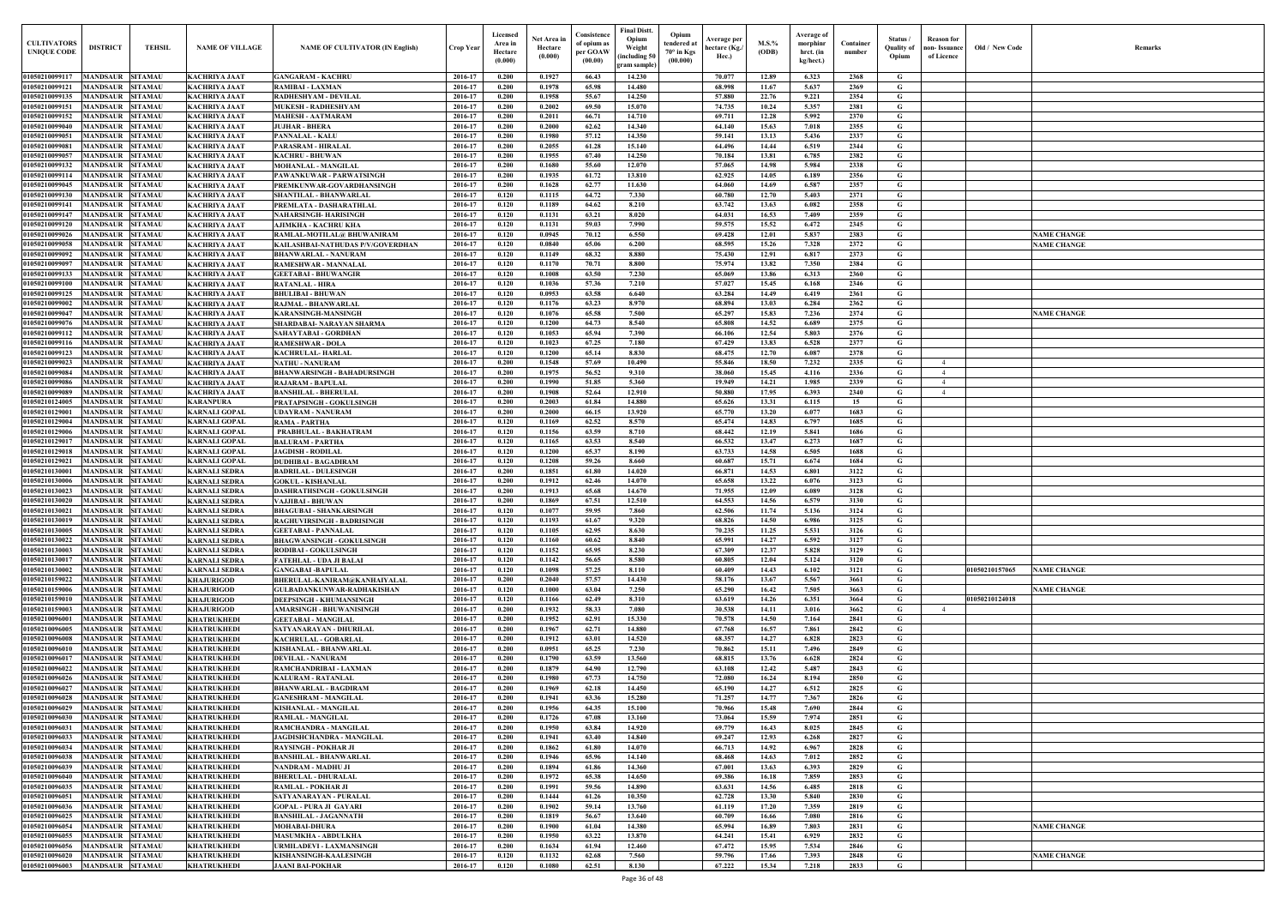| <b>CULTIVATORS</b><br><b>UNIQUE CODI</b> | <b>DISTRICT</b><br><b>TEHSIL</b>                                       | <b>NAME OF VILLAGE</b>                       | <b>NAME OF CULTIVATOR (IN English)</b>                              | <b>Crop Year</b>   | Licensed<br>Area in<br>Hectare<br>(0.000) | Net Area in<br>Hectare<br>(0.000) | Consistence<br>of opium as<br>per GOAW<br>(00.00) | <b>Final Distt.</b><br>Opium<br>Opium<br>tendered at<br>Weight<br>$70^\circ$ in Kgs<br>including 50)<br>(00.000) | Average per<br>hectare (Kg./<br>Hec.) | M.S.%<br>(ODB) | Average of<br>morphinr<br>hrct. (in<br>kg/hect.) | Container<br>number | Status /<br><b>Quality of</b><br>Opium | <b>Reason</b> for<br>non- Issuance<br>of Licence | Old / New Code | <b>Remark</b>      |
|------------------------------------------|------------------------------------------------------------------------|----------------------------------------------|---------------------------------------------------------------------|--------------------|-------------------------------------------|-----------------------------------|---------------------------------------------------|------------------------------------------------------------------------------------------------------------------|---------------------------------------|----------------|--------------------------------------------------|---------------------|----------------------------------------|--------------------------------------------------|----------------|--------------------|
| 01050210099117                           | MANDSAUR SITAMAU                                                       | <b>KACHRIYA JAAT</b>                         | <b>GANGARAM - KACHRU</b>                                            | 2016-17            | 0.200                                     | 0.1927                            | 66.43                                             | gram sample)<br>14.230                                                                                           | 70.077                                | 12.89          | 6.323                                            | 2368                | G                                      |                                                  |                |                    |
| 01050210099121                           | <b>MANDSAUR</b><br><b>SITAMAU</b>                                      | <b>KACHRIYA JAAT</b>                         | <b>RAMIBAI - LAXMAN</b>                                             | 2016-17            | 0.200                                     | 0.1978                            | 65.98                                             | 14.480                                                                                                           | 68.998                                | 11.67          | 5.637                                            | 2369                | G                                      |                                                  |                |                    |
| 01050210099135                           | <b>SITAMAU</b><br>MANDSAUR                                             | <b>KACHRIYA JAAT</b>                         | RADHESHYAM - DEVILAL                                                | 2016-17            | 0.200                                     | 0.1958                            | 55.67                                             | 14.250                                                                                                           | 57.880                                | 22.76          | 9.221                                            | 2354                | G                                      |                                                  |                |                    |
| 01050210099151                           | <b>MANDSAUR</b><br><b>SITAMAU</b>                                      | <b>KACHRIYA JAAT</b>                         | <b>MUKESH - RADHESHYAM</b>                                          | 2016-17            | 0.200                                     | 0.2002                            | 69.50                                             | 15.070                                                                                                           | 74.735                                | 10.24          | 5.357                                            | 2381                | G                                      |                                                  |                |                    |
| 01050210099152<br>01050210099040         | <b>MANDSAUR</b><br><b>SITAMAU</b><br><b>MANDSAUR</b><br><b>SITAMAU</b> | <b>KACHRIYA JAAT</b><br><b>KACHRIYA JAAT</b> | <b>MAHESH - AATMARAM</b><br><b>JUJHAR - BHERA</b>                   | 2016-17<br>2016-17 | 0.200<br>0.200                            | 0.2011<br>0.2000                  | 66.71<br>62.62                                    | 14.710<br>14.340                                                                                                 | 69.711<br>64.140                      | 12.28<br>15.63 | 5.992<br>7.018                                   | 2370<br>2355        | G<br>$\mathbf G$                       |                                                  |                |                    |
| 01050210099051                           | <b>MANDSAUR</b><br><b>SITAMAU</b>                                      | <b>KACHRIYA JAAT</b>                         | <b>PANNALAL - KALU</b>                                              | 2016-17            | 0.200                                     | 0.1980                            | 57.12                                             | 14.350                                                                                                           | 59.141                                | 13.13          | 5.436                                            | 2337                | G                                      |                                                  |                |                    |
| 0105021009908                            | MANDSAUR<br><b>SITAMAU</b>                                             | <b>KACHRIYA JAAT</b>                         | <b>PARASRAM - HIRALAL</b>                                           | 2016-17            | 0.200                                     | 0.2055                            | 61.28                                             | 15.140                                                                                                           | 64.496                                | 14.44          | 6.519                                            | 2344                | $\mathbf G$                            |                                                  |                |                    |
| 0105021009905                            | <b>MANDSAUR</b><br><b>SITAMAU</b>                                      | <b>KACHRIYA JAAT</b>                         | <b>KACHRU - BHUWAN</b>                                              | 2016-17            | 0.200                                     | 0.1955                            | 67.40                                             | 14.250                                                                                                           | 70.184                                | 13.81          | 6.785                                            | 2382                | $\mathbf G$                            |                                                  |                |                    |
| 01050210099132<br>01050210099114         | <b>MANDSAUR</b><br><b>SITAMAU</b><br><b>MANDSAUR</b><br><b>SITAMAU</b> | <b>KACHRIYA JAAT</b><br><b>KACHRIYA JAAT</b> | <b>MOHANLAL - MANGILAL</b><br>PAWANKUWAR - PARWATSINGH              | 2016-17<br>2016-17 | 0.200<br>0.200                            | 0.1680<br>0.1935                  | 55.60<br>61.72                                    | 12.070<br>13.810                                                                                                 | 57.065<br>62.925                      | 14.98<br>14.05 | 5.984<br>6.189                                   | 2338<br>2356        | G<br>G                                 |                                                  |                |                    |
| 01050210099045                           | <b>MANDSAUR</b><br><b>SITAMAU</b>                                      | <b>KACHRIYA JAAT</b>                         | PREMKUNWAR-GOVARDHANSINGH                                           | 2016-17            | 0.200                                     | 0.1628                            | 62.77                                             | 11.630                                                                                                           | 64.060                                | 14.69          | 6.587                                            | 2357                | $\mathbf G$                            |                                                  |                |                    |
| 01050210099130                           | MANDSAUR<br><b>SITAMAU</b>                                             | <b>KACHRIYA JAAT</b>                         | SHANTILAL - BHANWARLAL                                              | 2016-17            | 0.120                                     | 0.1115                            | 64.72                                             | 7.330                                                                                                            | 60.780                                | 12.70          | 5.403                                            | 2371                | G                                      |                                                  |                |                    |
| 01050210099141                           | <b>MANDSAUR</b><br><b>SITAMAU</b>                                      | <b>KACHRIYA JAAT</b>                         | PREMLATA - DASHARATHLAL                                             | 2016-17            | 0.120                                     | 0.1189                            | 64.62                                             | 8.210                                                                                                            | 63.742                                | 13.63          | 6.082                                            | 2358                | $\mathbf G$                            |                                                  |                |                    |
| 01050210099147                           | MANDSAUR<br><b>SITAMAU</b>                                             | <b>KACHRIYA JAAT</b>                         | NAHARSINGH- HARISINGH                                               | 2016-17            | 0.120                                     | 0.1131                            | 63.21                                             | 8.020                                                                                                            | 64.031                                | 16.53          | 7.409                                            | 2359                | G                                      |                                                  |                |                    |
| 01050210099120<br>01050210099026         | MANDSAUR<br><b>SITAMAU</b><br>MANDSAUR<br><b>SITAMAU</b>               | KACHRIYA JAAT<br>KACHRIYA JAAT               | AJIMKHA - KACHRU KHA<br>RAMLAL-MOTILAL@ BHUWANIRAM                  | 2016-17<br>2016-17 | 0.120<br>0.120                            | 0.1131<br>0.0945                  | 59.03<br>70.12                                    | 7.990<br>6.550                                                                                                   | 59.575<br>69.428                      | 15.52<br>12.01 | 6.472<br>5.837                                   | 2345<br>2383        | G<br>G                                 |                                                  |                | <b>NAME CHANGE</b> |
| 01050210099058                           | <b>MANDSAUR</b><br><b>SITAMAU</b>                                      | <b>KACHRIYA JAAT</b>                         | KAILASHBAI-NATHUDAS P/V/GOVERDHAN                                   | 2016-17            | 0.120                                     | 0.0840                            | 65.06                                             | 6.200                                                                                                            | 68.595                                | 15.26          | 7.328                                            | 2372                | G                                      |                                                  |                | <b>VAME CHANGE</b> |
| 01050210099092                           | <b>MANDSAUR</b><br><b>SITAMAU</b>                                      | <b>KACHRIYA JAAT</b>                         | <b>BHANWARLAL - NANURAM</b>                                         | 2016-17            | 0.120                                     | 0.1149                            | 68.32                                             | 8.880                                                                                                            | 75.430                                | 12.91          | 6.817                                            | 2373                | G                                      |                                                  |                |                    |
| 0105021009909'                           | MANDSAUR SITAMAU                                                       | <b>KACHRIYA JAAT</b>                         | RAMESHWAR - MANNALAL                                                | 2016-17            | 0.120                                     | 0.1170                            | 70.71                                             | 8.800                                                                                                            | 75.974                                | 13.82          | 7.350                                            | 2384                | G                                      |                                                  |                |                    |
| 01050210099133<br>01050210099100         | MANDSAUR<br><b>SITAMAU</b><br>MANDSAUR SITAMAU                         | <b>KACHRIYA JAAT</b><br><b>KACHRIYA JAAT</b> | <b>GEETABAI - BHUWANGIR</b><br><b>RATANLAL - HIRA</b>               | 2016-17<br>2016-17 | 0.120<br>0.120                            | 0.1008<br>0.1036                  | 63.50<br>57.36                                    | 7.230<br>7.210                                                                                                   | 65.069<br>57.027                      | 13.86<br>15.45 | 6.313<br>6.168                                   | 2360<br>2346        | G<br>G                                 |                                                  |                |                    |
| 01050210099125                           | <b>MANDSAUR</b><br><b>SITAMAU</b>                                      | <b>KACHRIYA JAAT</b>                         | <b>BHULIBAI - BHUWAN</b>                                            | 2016-17            | 0.120                                     | 0.0953                            | 63.58                                             | 6.640                                                                                                            | 63.284                                | 14.49          | 6.419                                            | 2361                | G                                      |                                                  |                |                    |
| 01050210099002                           | <b>MANDSAUR</b><br><b>SITAMAU</b>                                      | <b>KACHRIYA JAAT</b>                         | <b>RAJMAL - BHANWARLAL</b>                                          | 2016-17            | 0.120                                     | 0.1176                            | 63.23                                             | 8.970                                                                                                            | 68.894                                | 13.03          | 6.284                                            | 2362                | $\mathbf G$                            |                                                  |                |                    |
| 01050210099047                           | <b>MANDSAUR</b><br><b>SITAMAU</b>                                      | <b>KACHRIYA JAAT</b>                         | <b>KARANSINGH-MANSINGH</b>                                          | 2016-17            | 0.120                                     | 0.1076                            | 65.58                                             | 7.500                                                                                                            | 65,297                                | 15.83          | 7.236                                            | 2374                | G                                      |                                                  |                | <b>NAME CHANGE</b> |
| 01050210099076                           | <b>MANDSAUR</b><br><b>SITAMAU</b>                                      | <b>KACHRIYA JAAT</b>                         | SHARDABAI- NARAYAN SHARMA                                           | 2016-17            | 0.120                                     | 0.1200                            | 64.73                                             | 8.540                                                                                                            | 65.808                                | 14.52          | 6.689                                            | 2375                | G                                      |                                                  |                |                    |
| 01050210099112<br>01050210099116         | <b>MANDSAUR</b><br><b>SITAMAU</b><br><b>SITAMAU</b><br>MANDSAUR        | <b>KACHRIYA JAAT</b><br><b>KACHRIYA JAAT</b> | SAHAYTABAI - GORDHAN<br><b>RAMESHWAR - DOLA</b>                     | 2016-17<br>2016-17 | 0.120<br>0.120                            | 0.1053<br>0.1023                  | 65.94<br>67.25                                    | 7.390<br>7.180                                                                                                   | 66.106<br>67.429                      | 12.54<br>13.83 | 5.803<br>6.528                                   | 2376<br>2377        | G<br>$\mathbf G$                       |                                                  |                |                    |
| 01050210099123                           | <b>MANDSAUR</b><br><b>SITAMAU</b>                                      | <b>KACHRIYA JAAT</b>                         | <b>KACHRULAL-HARLAL</b>                                             | 2016-17            | 0.120                                     | 0.1200                            | 65.14                                             | 8.830                                                                                                            | 68.475                                | 12.70          | 6.087                                            | 2378                | G                                      |                                                  |                |                    |
| 01050210099023                           | <b>MANDSAUR</b><br><b>SITAMAU</b>                                      | <b>KACHRIYA JAAT</b>                         | <b>NATHU - NANURAM</b>                                              | 2016-17            | 0.200                                     | 0.1548                            | 57.69                                             | 10.490                                                                                                           | 55.846                                | 18.50          | 7.232                                            | 2335                | G                                      | $\overline{4}$                                   |                |                    |
| 01050210099084                           | <b>SITAMAU</b><br><b>MANDSAUR</b>                                      | <b>KACHRIYA JAAT</b>                         | <b>BHANWARSINGH - BAHADURSINGH</b>                                  | 2016-17            | 0.200                                     | 0.1975                            | 56.52                                             | 9.310                                                                                                            | 38.060                                | 15.45          | 4.116                                            | 2336                | $\mathbf G$                            | $\overline{4}$                                   |                |                    |
| 01050210099086<br>01050210099089         | <b>MANDSAUR</b><br><b>SITAMAU</b><br>MANDSAUR<br><b>SITAMAU</b>        | <b>KACHRIYA JAAT</b><br><b>KACHRIYA JAAT</b> | <b>RAJARAM - BAPULAL</b><br><b>BANSHILAL - BHERULAL</b>             | 2016-17<br>2016-17 | 0.200<br>0.200                            | 0.1990<br>0.1908                  | 51.85<br>52.64                                    | 5.360<br>12.910                                                                                                  | 19.949<br>50.880                      | 14.21<br>17.95 | 1.985<br>6.393                                   | 2339<br>2340        | G<br>G                                 | $\overline{4}$<br>$\overline{4}$                 |                |                    |
| 01050210124005                           | <b>MANDSAUR</b><br><b>SITAMAU</b>                                      | <b>KARANPURA</b>                             | <b>PRATAPSINGH - GOKULSINGH</b>                                     | 2016-17            | 0.200                                     | 0.2003                            | 61.84                                             | 14.880                                                                                                           | 65.626                                | 13.31          | 6.115                                            | 15                  | G                                      |                                                  |                |                    |
| 01050210129001                           | <b>MANDSAUR</b><br><b>SITAMAU</b>                                      | <b>KARNALI GOPAL</b>                         | <b>UDAYRAM - NANURAM</b>                                            | 2016-17            | 0.200                                     | 0.2000                            | 66.15                                             | 13.920                                                                                                           | 65.770                                | 13.20          | 6.077                                            | 1683                | G                                      |                                                  |                |                    |
| 01050210129004                           | <b>MANDSAUR</b><br><b>SITAMAU</b>                                      | <b>KARNALI GOPAL</b>                         | RAMA - PARTHA                                                       | 2016-17            | 0.120                                     | 0.1169                            | 62.52                                             | 8.570                                                                                                            | 65.474                                | 14.83          | 6.797                                            | 1685                | G                                      |                                                  |                |                    |
| 01050210129006<br>01050210129017         | <b>MANDSAUR</b><br><b>SITAMAU</b><br><b>MANDSAUR</b><br><b>SITAMAU</b> | <b>KARNALI GOPAL</b><br><b>KARNALI GOPAL</b> | PRABHULAL - BAKHATRAM                                               | 2016-17<br>2016-17 | 0.120<br>0.120                            | 0.1156<br>0.1165                  | 63.59<br>63.53                                    | 8.710<br>8.540                                                                                                   | 68.442<br>66.532                      | 12.19<br>13.47 | 5.841                                            | 1686<br>1687        | $\mathbf G$<br>G                       |                                                  |                |                    |
| 01050210129018                           | <b>MANDSAUR</b><br><b>SITAMAU</b>                                      | <b>KARNALI GOPAL</b>                         | <b>BALURAM - PARTHA</b><br><b>JAGDISH - RODILAI</b>                 | 2016-17            | 0.120                                     | 0.1200                            | 65.37                                             | 8.190                                                                                                            | 63.733                                | 14.58          | 6.273<br>6.505                                   | 1688                | G                                      |                                                  |                |                    |
| 0105021012902                            | MANDSAUR<br><b>SITAMAU</b>                                             | <b>KARNALI GOPAL</b>                         | <b>DUDHIBAI - BAGADIRAM</b>                                         | 2016-17            | 0.120                                     | 0.1208                            | 59.26                                             | 8.660                                                                                                            | 60.687                                | 15.71          | 6.674                                            | 1684                | G                                      |                                                  |                |                    |
| 01050210130001                           | MANDSAUR<br><b>SITAMAU</b>                                             | KARNALI SEDRA                                | <b>BADRILAL - DULESINGH</b>                                         | 2016-17            | 0.200                                     | 0.1851                            | 61.80                                             | 14.020                                                                                                           | 66.871                                | 14.53          | 6.801                                            | 3122                | G                                      |                                                  |                |                    |
| 01050210130006                           | MANDSAUR<br><b>SITAMAU</b>                                             | <b>KARNALI SEDRA</b>                         | <b>GOKUL - KISHANLAL</b>                                            | 2016-17            | 0.200                                     | 0.1912                            | 62.46                                             | 14.070                                                                                                           | 65.658                                | 13.22          | 6.076                                            | 3123                | G                                      |                                                  |                |                    |
| 01050210130023<br>01050210130020         | <b>MANDSAUR</b><br><b>SITAMAU</b><br><b>MANDSAUR</b><br><b>SITAMAU</b> | <b>KARNALI SEDRA</b><br><b>KARNALI SEDRA</b> | DASHRATHSINGH - GOKULSINGH<br>VAJJIBAI - BHUWAN                     | 2016-17<br>2016-17 | 0.200<br>0.200                            | 0.1913<br>0.1869                  | 65.68<br>67.51                                    | 14.670<br>12.510                                                                                                 | 71.955<br>64.553                      | 12.09<br>14.56 | 6.089<br>6.579                                   | 3128<br>3130        | G<br>G                                 |                                                  |                |                    |
|                                          | 01050210130021 MANDSAUR SITAMAU                                        | <b>KARNALI SEDRA</b>                         | <b>BHAGUBAI - SHANKARSINGH</b>                                      | 2016-17            | 0.120                                     | 0.1077                            | 59.95                                             | 7.860                                                                                                            | 62.506                                | 11.74          | 5.136                                            | 3124                | $\mathbf G$                            |                                                  |                |                    |
|                                          | 01050210130019 MANDSAUR SITAMAU                                        | <b>KARNALI SEDRA</b>                         | <b>RAGHUVIRSINGH - BADRISINGH</b>                                   | 2016-17            | 0.120                                     | 0.1193                            | 61.67                                             | 9.320                                                                                                            | 68.826                                | 14.50          | 6.986                                            | 3125                | G                                      |                                                  |                |                    |
| 01050210130005                           | MANDSAUR SITAMAU                                                       | <b>KARNALI SEDRA</b>                         | <b>GEETABAI - PANNALAL</b>                                          | 2016-17            | 0.120                                     | 0.1105                            | 62.95                                             | 8.630                                                                                                            | 70.235                                | 11.25          | 5.531                                            | 3126                | G                                      |                                                  |                |                    |
| 01050210130022<br>01050210130003         | <b>MANDSAUR SITAMAU</b><br>MANDSAUR SITAMAU                            | <b>KARNALI SEDRA</b><br><b>KARNALI SEDRA</b> | <b>BHAGWANSINGH - GOKULSINGH</b><br><b>RODIBAI - GOKULSINGH</b>     | 2016-17<br>2016-17 | 0.120<br>0.120                            | 0.1160<br>0.1152                  | 60.62<br>65.95                                    | 8.840<br>8.230                                                                                                   | 65.991<br>67.309                      | 14.27<br>12.37 | 6.592<br>5.828                                   | 3127<br>3129        | G<br>G                                 |                                                  |                |                    |
| 01050210130017                           | <b>MANDSAUR</b><br><b>SITAMAU</b>                                      | <b>KARNALI SEDRA</b>                         | <b>FATEHLAL - UDA JI BALAI</b>                                      | 2016-17            | 0.120                                     | 0.1142                            | 56.65                                             | 8.580                                                                                                            | 60.805                                | 12.04          | 5.124                                            | 3120                | G                                      |                                                  |                |                    |
| 01050210130002                           | <b>MANDSAUR SITAMAU</b>                                                | <b>KARNALI SEDRA</b>                         | <b>GANGABAI -BAPULAL</b>                                            | 2016-17            | 0.120                                     | 0.1098                            | 57.25                                             | 8.110                                                                                                            | 60.409                                | 14.43          | 6.102                                            | 3121                | G                                      |                                                  | 01050210157065 | <b>NAME CHANGE</b> |
| 01050210159022                           | <b>MANDSAUR</b><br><b>SITAMAU</b>                                      | <b>KHAJURIGOD</b>                            | BHERULAL-KANIRAM@KANHAIYALAL                                        | 2016-17            | 0.200                                     | 0.2040                            | 57.57                                             | 14.430                                                                                                           | 58.176                                | 13.67          | 5.567                                            | 3661                | G                                      |                                                  |                |                    |
| 01050210159006<br>01050210159010         | <b>MANDSAUR SITAMAU</b><br><b>MANDSAUR</b><br><b>SITAMAU</b>           | <b>KHAJURIGOD</b><br><b>KHAJURIGOD</b>       | <b>GULBADANKUNWAR-RADHAKISHAN</b><br><b>DEEPSINGH - KHUMANSINGH</b> | 2016-17<br>2016-17 | 0.120<br>0.120                            | 0.1000<br>0.1166                  | 63.04<br>62.49                                    | 7.250<br>8.310                                                                                                   | 65.290<br>63.619                      | 16.42<br>14.26 | 7.505<br>6.351                                   | 3663<br>3664        | G<br>G                                 |                                                  | 01050210124018 | <b>NAME CHANGE</b> |
| 01050210159003                           | <b>MANDSAUR</b><br><b>SITAMAU</b>                                      | <b>KHAJURIGOD</b>                            | <b>AMARSINGH - BHUWANISINGH</b>                                     | 2016-17            | 0.200                                     | 0.1932                            | 58.33                                             | 7.080                                                                                                            | 30.538                                | 14.11          | 3.016                                            | 3662                | G                                      | $\overline{4}$                                   |                |                    |
| 01050210096001                           | <b>MANDSAUR SITAMAU</b>                                                | <b>KHATRUKHEDI</b>                           | <b>GEETABAI - MANGILAL</b>                                          | 2016-17            | 0.200                                     | 0.1952                            | 62.91                                             | 15.330                                                                                                           | 70.578                                | 14.50          | 7.164                                            | 2841                | $\mathbf G$                            |                                                  |                |                    |
| 01050210096005                           | <b>MANDSAUR</b><br><b>SITAMAU</b>                                      | <b>KHATRUKHEDI</b>                           | SATYANARAYAN - DHURILAL                                             | 2016-17            | 0.200                                     | 0.1967                            | 62.71                                             | 14.880                                                                                                           | 67.768                                | 16.57          | 7.861                                            | 2842                | G                                      |                                                  |                |                    |
| 01050210096008<br>01050210096010         | <b>MANDSAUR</b><br><b>SITAMAU</b><br><b>MANDSAUR</b><br><b>SITAMAU</b> | <b>KHATRUKHEDI</b>                           | <b>KACHRULAL - GOBARLAL</b>                                         | 2016-17<br>2016-17 | 0.200<br>0.200                            | 0.1912<br>0.0951                  | 63.01<br>65.25                                    | 14.520<br>7.230                                                                                                  | 68.357<br>70.862                      | 14.27          | 6.828                                            | 2823<br>2849        | G                                      |                                                  |                |                    |
| 01050210096017                           | <b>MANDSAUR SITAMAU</b>                                                | <b>KHATRUKHEDI</b><br><b>KHATRUKHEDI</b>     | <b>KISHANLAL - BHANWARLAL</b><br><b>DEVILAL - NANURAM</b>           | 2016-17            | 0.200                                     | 0.1790                            | 63.59                                             | 13.560                                                                                                           | 68.815                                | 15.11<br>13.76 | 7.496<br>6.628                                   | 2824                | G<br>$\mathbf G$                       |                                                  |                |                    |
| 01050210096022                           | <b>MANDSAUR</b><br><b>SITAMAU</b>                                      | <b>KHATRUKHEDI</b>                           | RAMCHANDRIBAI - LAXMAN                                              | 2016-17            | 0.200                                     | 0.1879                            | 64.90                                             | 12.790                                                                                                           | 63.108                                | 12,42          | 5.487                                            | 2843                | $\mathbf G$                            |                                                  |                |                    |
| 01050210096026                           | <b>MANDSAUR</b><br><b>SITAMAU</b>                                      | <b>KHATRUKHEDI</b>                           | <b>KALURAM - RATANLAL</b>                                           | 2016-17            | 0.200                                     | 0.1980                            | 67.73                                             | 14.750                                                                                                           | 72.080                                | 16.24          | 8.194                                            | 2850                | $\mathbf G$                            |                                                  |                |                    |
| 01050210096027                           | <b>MANDSAUR</b><br><b>SITAMAU</b>                                      | <b>KHATRUKHEDI</b>                           | <b>BHANWARLAL - BAGDIRAM</b>                                        | 2016-17            | 0.200                                     | 0.1969                            | 62.18                                             | 14.450                                                                                                           | 65.190                                | 14.27          | 6.512                                            | 2825                | G                                      |                                                  |                |                    |
| 01050210096028<br>01050210096029         | MANDSAUR<br><b>SITAMAU</b><br><b>MANDSAUR</b><br><b>SITAMAU</b>        | <b>KHATRUKHEDI</b><br><b>KHATRUKHEDI</b>     | <b>GANESHRAM - MANGILAL</b><br><b>KISHANLAL - MANGILAL</b>          | 2016-17<br>2016-17 | 0.200<br>0.200                            | 0.1941<br>0.1956                  | 63.36<br>64.35                                    | 15.280<br>15.100                                                                                                 | 71.257<br>70.966                      | 14.77<br>15.48 | 7.367<br>7.690                                   | 2826<br>2844        | G<br>G                                 |                                                  |                |                    |
| 01050210096030                           | <b>SITAMAU</b><br><b>MANDSAUR</b>                                      | <b>KHATRUKHEDI</b>                           | <b>RAMLAL - MANGILAL</b>                                            | 2016-17            | 0.200                                     | 0.1726                            | 67.08                                             | 13.160                                                                                                           | 73.064                                | 15.59          | 7.974                                            | 2851                | G                                      |                                                  |                |                    |
| 01050210096031                           | <b>MANDSAUR</b><br><b>SITAMAU</b>                                      | <b>KHATRUKHEDI</b>                           | RAMCHANDRA - MANGILAL                                               | 2016-17            | 0.200                                     | 0.1950                            | 63.84                                             | 14.920                                                                                                           | 69.779                                | 16.43          | 8.025                                            | 2845                | G                                      |                                                  |                |                    |
| 01050210096033                           | MANDSAUR SITAMAU                                                       | <b>KHATRUKHEDI</b>                           | JAGDISHCHANDRA - MANGILAL                                           | 2016-17            | 0.200                                     | 0.1941                            | 63.40                                             | 14.840                                                                                                           | 69.247                                | 12.93          | 6.268                                            | 2827                | G                                      |                                                  |                |                    |
| 01050210096034<br>01050210096038         | MANDSAUR SITAMAU<br><b>MANDSAUR SITAMAU</b>                            | <b>KHATRUKHEDI</b><br><b>KHATRUKHEDI</b>     | <b>RAYSINGH - POKHAR JI</b><br><b>BANSHILAL - BHANWARLAL</b>        | 2016-17<br>2016-17 | 0.200<br>0.200                            | 0.1862<br>0.1946                  | 61.80<br>65.96                                    | 14.070<br>14.140                                                                                                 | 66.713<br>68.468                      | 14.92<br>14.63 | 6.967<br>7.012                                   | 2828<br>2852        | $\mathbf{G}$<br>G                      |                                                  |                |                    |
| 01050210096039                           | <b>MANDSAUR SITAMAU</b>                                                | <b>KHATRUKHEDI</b>                           | NANDRAM - MADHU JI                                                  | 2016-17            | 0.200                                     | 0.1894                            | 61.86                                             | 14.360                                                                                                           | 67.001                                | 13.63          | 6.393                                            | 2829                | G                                      |                                                  |                |                    |
| 01050210096040                           | MANDSAUR SITAMAU                                                       | <b>KHATRUKHEDI</b>                           | <b>BHERULAL - DHURALAL</b>                                          | 2016-17            | 0.200                                     | 0.1972                            | 65.38                                             | 14.650                                                                                                           | 69.386                                | 16.18          | 7.859                                            | 2853                | G                                      |                                                  |                |                    |
| 01050210096035                           | <b>MANDSAUR</b><br><b>SITAMAU</b>                                      | <b>KHATRUKHEDI</b>                           | RAMLAL - POKHAR JI                                                  | 2016-17            | 0.200                                     | 0.1991                            | 59.56                                             | 14.890                                                                                                           | 63.631                                | 14.56          | 6.485                                            | 2818                | G                                      |                                                  |                |                    |
| 01050210096051<br>01050210096036         | MANDSAUR SITAMAU<br><b>MANDSAUR</b><br><b>SITAMAU</b>                  | <b>KHATRUKHEDI</b>                           | <b>SATYANARAYAN - PURALAL</b>                                       | 2016-17<br>2016-17 | 0.200<br>0.200                            | 0.1444<br>0.1902                  | 61.26<br>59.14                                    | 10.350<br>13.760                                                                                                 | 62.728                                | 13.30<br>17.20 | 5.840<br>7.359                                   | 2830<br>2819        | G<br>$\mathbf G$                       |                                                  |                |                    |
| 01050210096025                           | <b>MANDSAUR</b><br><b>SITAMAU</b>                                      | <b>KHATRUKHEDI</b><br><b>KHATRUKHEDI</b>     | <b>GOPAL - PURA JI GAYARI</b><br><b>BANSHILAL - JAGANNATH</b>       | 2016-17            | 0.200                                     | 0.1819                            | 56.67                                             | 13.640                                                                                                           | 61.119<br>60.709                      | 16.66          | 7.080                                            | 2816                | $\mathbf G$                            |                                                  |                |                    |
| 01050210096054                           | <b>MANDSAUR</b><br><b>SITAMAU</b>                                      | <b>KHATRUKHEDI</b>                           | <b>MOHABAI-DHURA</b>                                                | 2016-17            | 0.200                                     | 0.1900                            | 61.04                                             | 14.380                                                                                                           | 65.994                                | 16.89          | 7.803                                            | 2831                | G                                      |                                                  |                | <b>NAME CHANGE</b> |
| 01050210096055                           | <b>MANDSAUR</b><br><b>SITAMAU</b>                                      | <b>KHATRUKHEDI</b>                           | <b>MASUMKHA - ABDULKHA</b>                                          | 2016-17            | 0.200                                     | 0.1950                            | 63.22                                             | 13.870                                                                                                           | 64.241                                | 15.41          | 6.929                                            | 2832                | G                                      |                                                  |                |                    |
| 01050210096056                           | <b>MANDSAUR</b><br><b>SITAMAU</b>                                      | <b>KHATRUKHEDI</b>                           | <b>URMILADEVI - LAXMANSINGH</b>                                     | 2016-17            | 0.200                                     | 0.1634                            | 61.94                                             | 12.460                                                                                                           | 67.472                                | 15.95          | 7.534                                            | 2846                | G                                      |                                                  |                |                    |
| 01050210096020<br>01050210096003         | MANDSAUR<br><b>SITAMAU</b><br><b>MANDSAUR SITAMAU</b>                  | <b>KHATRUKHEDI</b><br><b>KHATRUKHEDI</b>     | <b>KISHANSINGH-KAALESINGH</b><br><b>JAANI BAI-POKHAR</b>            | 2016-17<br>2016-17 | 0.120<br>0.120                            | 0.1132<br>0.1080                  | 62.68<br>62.51                                    | 7.560<br>8.130                                                                                                   | 59.796<br>67.222                      | 17.66<br>15.34 | 7.393<br>7.218                                   | 2848<br>2833        | $\mathbf{G}$<br>$\mathbf G$            |                                                  |                | <b>NAME CHANGE</b> |
|                                          |                                                                        |                                              |                                                                     |                    |                                           |                                   |                                                   |                                                                                                                  |                                       |                |                                                  |                     |                                        |                                                  |                |                    |

| $\mathbf{Old} \, / \,$ New Code | Remarks            |
|---------------------------------|--------------------|
|                                 |                    |
|                                 |                    |
|                                 |                    |
|                                 |                    |
|                                 |                    |
|                                 |                    |
|                                 |                    |
|                                 |                    |
|                                 |                    |
|                                 |                    |
|                                 |                    |
|                                 |                    |
|                                 | <b>NAME CHANGE</b> |
|                                 | <b>NAME CHANGE</b> |
|                                 |                    |
|                                 |                    |
|                                 |                    |
|                                 |                    |
|                                 |                    |
|                                 | <b>NAME CHANGE</b> |
|                                 |                    |
|                                 |                    |
|                                 |                    |
|                                 |                    |
|                                 |                    |
|                                 |                    |
|                                 |                    |
|                                 |                    |
|                                 |                    |
|                                 |                    |
|                                 |                    |
|                                 |                    |
|                                 |                    |
|                                 |                    |
|                                 |                    |
|                                 |                    |
|                                 |                    |
|                                 |                    |
|                                 |                    |
|                                 |                    |
| 01050210157065                  | <b>NAME CHANGE</b> |
|                                 |                    |
|                                 | <b>NAME CHANGE</b> |
| 01050210124018                  |                    |
|                                 |                    |
|                                 |                    |
|                                 |                    |
|                                 |                    |
|                                 |                    |
|                                 |                    |
|                                 |                    |
|                                 |                    |
|                                 |                    |
|                                 |                    |
|                                 |                    |
|                                 |                    |
|                                 |                    |
|                                 |                    |
|                                 |                    |
|                                 |                    |
|                                 |                    |
|                                 | <b>NAME CHANGE</b> |
|                                 |                    |
|                                 | <b>NAME CHANGE</b> |
|                                 |                    |
|                                 |                    |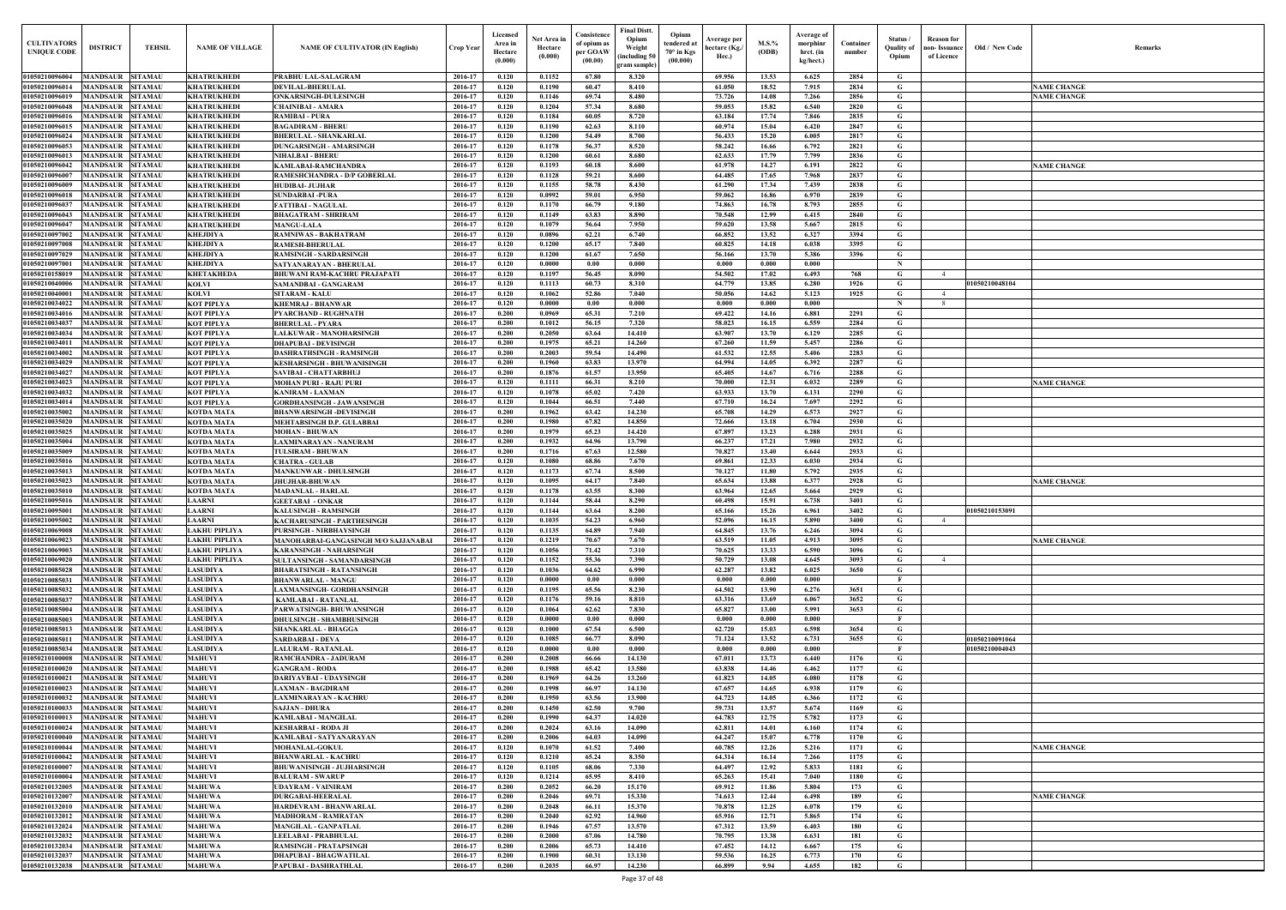| Old / New Code | Remarks            |
|----------------|--------------------|
|                |                    |
|                | <b>NAME CHANGE</b> |
|                | <b>NAME CHANGE</b> |
|                |                    |
|                |                    |
|                |                    |
|                |                    |
|                |                    |
|                | <b>NAME CHANGE</b> |
|                |                    |
|                |                    |
|                |                    |
|                |                    |
|                |                    |
|                |                    |
|                |                    |
|                |                    |
|                |                    |
|                |                    |
| 1050210048104  |                    |
|                |                    |
|                |                    |
|                |                    |
|                |                    |
|                |                    |
|                |                    |
|                |                    |
|                |                    |
|                |                    |
|                | <b>NAME CHANGE</b> |
|                |                    |
|                |                    |
|                |                    |
|                |                    |
|                |                    |
|                |                    |
|                |                    |
|                |                    |
|                | <b>NAME CHANGE</b> |
|                |                    |
| 1050210153091  |                    |
|                |                    |
|                |                    |
|                | <b>NAME CHANGE</b> |
|                |                    |
|                |                    |
|                |                    |
|                |                    |
|                |                    |
|                |                    |
|                |                    |
|                |                    |
| 1050210091064  |                    |
| 1050210004043  |                    |
|                |                    |
|                |                    |
|                |                    |
|                |                    |
|                |                    |
|                |                    |
|                |                    |
|                |                    |
|                | <b>NAME CHANGE</b> |
|                |                    |
|                |                    |
|                |                    |
|                | <b>NAME CHANGE</b> |
|                |                    |
|                |                    |
|                |                    |
|                |                    |
|                |                    |
|                |                    |
|                |                    |

| <b>CULTIVATORS</b><br><b>UNIQUE CODE</b> | <b>DISTRICT</b>                                    | <b>TEHSIL</b>                    | <b>NAME OF VILLAGE</b>                   | <b>NAME OF CULTIVATOR (IN English)</b>                            | Crop Year          | Licensed<br>Area in<br>Hectare<br>(0.000) | Net Area in<br>Hectare<br>(0.000) | Consistence<br>of opium as<br>per GOAW<br>(00.00) | <b>Final Distt.</b><br>Opium<br>Weight<br>including 50<br>gram sample) | Opium<br>tendered at<br>$70^\circ$ in Kgs<br>(00.000) | Average per<br>hectare (Kg./<br>Hec.) | M.S.%<br>(ODB) | Average of<br>morphinr<br>hrct. (in<br>kg/hect.) | Container<br>number | Status /<br><b>Quality of</b><br>Opium | Reason for<br>non- Issuance<br>of Licence | Old / New Code | <b>Remark</b>      |
|------------------------------------------|----------------------------------------------------|----------------------------------|------------------------------------------|-------------------------------------------------------------------|--------------------|-------------------------------------------|-----------------------------------|---------------------------------------------------|------------------------------------------------------------------------|-------------------------------------------------------|---------------------------------------|----------------|--------------------------------------------------|---------------------|----------------------------------------|-------------------------------------------|----------------|--------------------|
| 01050210096004                           | <b>MANDSAUR</b>                                    | <b>SITAMAU</b>                   | <b>KHATRUKHEDI</b>                       | PRABHU LAL-SALAGRAM                                               | 2016-17            | 0.120                                     | 0.1152                            | 67.80                                             | 8.320                                                                  |                                                       | 69.956                                | 13.53          | 6.625                                            | 2854                | G                                      |                                           |                |                    |
| 01050210096014                           | MANDSAUR                                           | <b>SITAMAU</b>                   | KHATRUKHEDI                              | <b>DEVILAL-BHERULAI</b>                                           | 2016-17            | 0.120                                     | 0.1190                            | 60.47                                             | 8.410                                                                  |                                                       | 61.050                                | 18.52          | 7.915                                            | 2834                | G                                      |                                           |                | <b>NAME CHANGE</b> |
| 01050210096019<br>01050210096048         | <b>MANDSAUR</b><br><b>MANDSAUR</b>                 | <b>SITAMAU</b><br><b>SITAMAU</b> | <b>KHATRUKHEDI</b><br><b>KHATRUKHEDI</b> | ONKARSINGH-DULESINGH<br><b>CHAINIBAI - AMARA</b>                  | 2016-17<br>2016-17 | 0.120<br>0.120                            | 0.1146<br>0.1204                  | 69.74<br>57.34                                    | 8.480<br>8.680                                                         |                                                       | 73.726<br>59.053                      | 14.08<br>15.82 | 7.266<br>6.540                                   | 2856<br>2820        | G<br>G                                 |                                           |                | <b>NAME CHANGE</b> |
| 01050210096016                           | MANDSAUR SITAMAU                                   |                                  | <b>KHATRUKHEDI</b>                       | <b>RAMIBAI - PURA</b>                                             | 2016-17            | 0.120                                     | 0.1184                            | 60.05                                             | 8.720                                                                  |                                                       | 63.184                                | 17.74          | 7.846                                            | 2835                | G                                      |                                           |                |                    |
| 01050210096015                           | MANDSAUR                                           | <b>SITAMAU</b>                   | <b>KHATRUKHEDI</b>                       | <b>BAGADIRAM - BHERU</b>                                          | 2016-17            | 0.120                                     | 0.1190                            | 62.63                                             | 8.110                                                                  |                                                       | 60.974                                | 15.04          | 6.420                                            | 2847                | G                                      |                                           |                |                    |
| 01050210096024                           | <b>MANDSAUR SITAMAU</b>                            |                                  | <b>KHATRUKHEDI</b>                       | <b>BHERULAL - SHANKARLAL</b>                                      | 2016-17            | 0.120                                     | 0.1200                            | 54.49                                             | 8.700                                                                  |                                                       | 56.433                                | 15.20          | 6.005                                            | 2817                | G                                      |                                           |                |                    |
| 01050210096053                           | MANDSAUR                                           | <b>SITAMAU</b>                   | <b>KHATRUKHEDI</b>                       | <b>DUNGARSINGH - AMARSINGH</b>                                    | 2016-17            | 0.120                                     | 0.1178                            | 56.37                                             | 8.520                                                                  |                                                       | 58.242                                | 16.66          | 6.792                                            | 2821                | G                                      |                                           |                |                    |
| 01050210096013<br>01050210096042         | <b>MANDSAUR</b><br><b>MANDSAUR</b>                 | <b>SITAMAU</b><br><b>SITAMAU</b> | <b>KHATRUKHEDI</b><br><b>KHATRUKHEDI</b> | <b>NIHALBAI - BHERU</b><br><b>KAMLABAI-RAMCHANDRA</b>             | 2016-17<br>2016-17 | 0.120<br>0.120                            | 0.1200<br>0.1193                  | 60.61<br>60.18                                    | 8.680<br>8.600                                                         |                                                       | 62.633<br>61.978                      | 17.79<br>14.27 | 7.799<br>6.191                                   | 2836<br>2822        | G<br>$\mathbf G$                       |                                           |                | <b>NAME CHANGE</b> |
| 01050210096007                           | MANDSAUR                                           | <b>SITAMAU</b>                   | <b>KHATRUKHEDI</b>                       | RAMESHCHANDRA - D/P GOBERLAL                                      | 2016-17            | 0.120                                     | 0.1128                            | 59.21                                             | 8.600                                                                  |                                                       | 64.485                                | 17.65          | 7.968                                            | 2837                | G                                      |                                           |                |                    |
| 01050210096009                           | <b>MANDSAUR</b>                                    | <b>SITAMAU</b>                   | <b>KHATRUKHEDI</b>                       | <b>HUDIBAI- JUJHAR</b>                                            | 2016-17            | 0.120                                     | 0.1155                            | 58.78                                             | 8.430                                                                  |                                                       | 61.290                                | 17.34          | 7.439                                            | 2838                | G                                      |                                           |                |                    |
| 01050210096018                           | <b>MANDSAUR</b>                                    | <b>SITAMAU</b>                   | <b>KHATRUKHEDI</b>                       | <b>SUNDARBAI-PURA</b>                                             | 2016-17            | 0.120                                     | 0.0992                            | 59.01                                             | 6.950                                                                  |                                                       | 59.062                                | 16.86          | 6.970                                            | 2839                | G                                      |                                           |                |                    |
| 01050210096037<br>01050210096043         | <b>MANDSAUR</b><br><b>MANDSAUR</b>                 | <b>SITAMAU</b><br><b>SITAMAU</b> | <b>KHATRUKHEDI</b><br><b>KHATRUKHEDI</b> | <b>FATTIBAI - NAGULAL</b><br><b>BHAGATRAM - SHRIRAM</b>           | 2016-17<br>2016-17 | 0.120<br>0.120                            | 0.1170<br>0.1149                  | 66.79<br>63.83                                    | 9.180<br>8.890                                                         |                                                       | 74.863<br>70.548                      | 16.78<br>12.99 | 8.793<br>6.415                                   | 2855<br>2840        | G<br>G                                 |                                           |                |                    |
| 01050210096047                           | <b>MANDSAUR</b>                                    | <b>SITAMAU</b>                   | <b>KHATRUKHEDI</b>                       | <b>MANGU-LALA</b>                                                 | 2016-17            | 0.120                                     | 0.1079                            | 56.64                                             | 7.950                                                                  |                                                       | 59.620                                | 13.58          | 5.667                                            | 2815                | $\mathbf G$                            |                                           |                |                    |
| 01050210097002                           | <b>MANDSAUR</b>                                    | <b>SITAMAU</b>                   | <b>KHEJDIYA</b>                          | RAMNIWAS - BAKHATRAM                                              | 2016-17            | 0.120                                     | 0.0896                            | 62.21                                             | 6.740                                                                  |                                                       | 66.852                                | 13.52          | 6.327                                            | 3394                | G                                      |                                           |                |                    |
| 01050210097008                           | <b>MANDSAUR</b>                                    | <b>SITAMAU</b>                   | <b>KHEJDIYA</b>                          | <b>RAMESH-BHERULAL</b>                                            | 2016-17            | 0.120                                     | 0.1200                            | 65.17                                             | 7.840                                                                  |                                                       | 60.825                                | 14.18          | 6.038                                            | 3395                | $\mathbf G$                            |                                           |                |                    |
| 01050210097029<br>0105021009700          | <b>MANDSAUR</b><br><b>MANDSAUR</b>                 | <b>SITAMAU</b><br><b>SITAMAU</b> | <b>KHEJDIYA</b><br><b>KHEJDIYA</b>       | <b>RAMSINGH - SARDARSINGH</b><br>SATYANARAYAN - BHERULAL          | 2016-17<br>2016-17 | 0.120<br>0.120                            | 0.1200<br>0.0000                  | 61.67<br>0.00                                     | 7.650<br>0.000                                                         |                                                       | 56.166<br>0.000                       | 13.70<br>0.000 | 5.386<br>0.000                                   | 3396                | G<br>$\mathbf N$                       |                                           |                |                    |
| 01050210158019                           | <b>MANDSAUR</b>                                    | <b>SITAMAU</b>                   | <b>KHETAKHEDA</b>                        | <b>BHUWANI RAM-KACHRU PRAJAPATI</b>                               | 2016-17            | 0.120                                     | 0.1197                            | 56.45                                             | 8.090                                                                  |                                                       | 54.502                                | 17.02          | 6.493                                            | 768                 | $\mathbf G$                            | $\overline{4}$                            |                |                    |
| 0105021004000                            | MANDSAUR                                           | <b>SITAMAU</b>                   | <b>KOLVI</b>                             | SAMANDBAI - GANGARAM                                              | 2016-17            | 0.120                                     | 0.1113                            | 60.73                                             | 8.310                                                                  |                                                       | 64.779                                | 13.85          | 6.280                                            | 1926                | G                                      |                                           | 01050210048104 |                    |
| 0105021004000                            | MANDSAUR                                           | <b>SITAMAU</b>                   | <b>KOLVI</b>                             | <b>SITARAM - KALU</b>                                             | 2016-17            | 0.120                                     | 0.1062                            | 52.86                                             | 7.040                                                                  |                                                       | 50.056                                | 14.62          | 5.123                                            | 1925                | G                                      | 4                                         |                |                    |
| 01050210034022                           | MANDSAUR                                           | <b>SITAMAU</b>                   | <b>KOT PIPLYA</b>                        | <b>KHEMRAJ - BHANWAR</b>                                          | 2016-17            | 0.120                                     | 0.0000                            | 0.00                                              | 0.000                                                                  |                                                       | 0.000                                 | 0.000          | 0.000                                            |                     | $\mathbf N$                            | 8                                         |                |                    |
| 01050210034016<br>0105021003403          | MANDSAUR<br>MANDSAUR                               | <b>SITAMAU</b><br><b>SITAMAU</b> | <b>KOT PIPLYA</b><br><b>KOT PIPLYA</b>   | PYARCHAND - RUGHNATH<br><b>BHERULAL - PYARA</b>                   | 2016-17<br>2016-17 | 0.200<br>0.200                            | 0.0969<br>0.1012                  | 65.31<br>56.15                                    | 7.210<br>7.320                                                         |                                                       | 69.422<br>58.023                      | 14.16<br>16.15 | 6.881<br>6.559                                   | 2291<br>2284        | G<br>G                                 |                                           |                |                    |
| 01050210034034                           | MANDSAUR                                           | <b>SITAMAU</b>                   | <b>KOT PIPLYA</b>                        | <b>LALKUWAR - MANOHARSINGH</b>                                    | 2016-17            | 0.200                                     | 0.2050                            | 63.64                                             | 14.410                                                                 |                                                       | 63.907                                | 13.70          | 6.129                                            | 2285                | G                                      |                                           |                |                    |
| 01050210034011                           | <b>MANDSAUR</b>                                    | <b>SITAMAU</b>                   | <b>KOT PIPLYA</b>                        | <b>DHAPUBAI - DEVISINGH</b>                                       | 2016-17            | 0.200                                     | 0.1975                            | 65.21                                             | 14.260                                                                 |                                                       | 67.260                                | 11.59          | 5.457                                            | 2286                | G                                      |                                           |                |                    |
| 01050210034002                           | <b>MANDSAUR</b>                                    | <b>SITAMAU</b>                   | <b>KOT PIPLYA</b>                        | <b>DASHRATHSINGH - RAMSINGH</b>                                   | 2016-17            | 0.200                                     | 0.2003                            | 59.54                                             | 14.490                                                                 |                                                       | 61.532                                | 12.55          | 5.406                                            | 2283                | G                                      |                                           |                |                    |
| 01050210034029<br>01050210034027         | <b>MANDSAUR SITAMAU</b><br><b>MANDSAUR</b>         | <b>SITAMAU</b>                   | <b>KOT PIPLYA</b><br><b>KOT PIPLYA</b>   | <b>KESHARSINGH - BHUWANISINGH</b><br><b>SAVIBAI - CHATTARBHUJ</b> | 2016-17<br>2016-17 | 0.200<br>0.200                            | 0.1960<br>0.1876                  | 63.83<br>61.57                                    | 13.970<br>13.950                                                       |                                                       | 64.994<br>65.405                      | 14.05<br>14.67 | 6.392<br>6.716                                   | 2287<br>2288        | G<br>G                                 |                                           |                |                    |
| 01050210034023                           | MANDSAUR SITAMAU                                   |                                  | <b>KOT PIPLYA</b>                        | <b>MOHAN PURI - RAJU PURI</b>                                     | 2016-17            | 0.120                                     | 0.1111                            | 66.31                                             | 8.210                                                                  |                                                       | 70.000                                | 12.31          | 6.032                                            | 2289                | G                                      |                                           |                | <b>NAME CHANGE</b> |
| 01050210034032                           | <b>MANDSAUR</b>                                    | <b>SITAMAU</b>                   | <b>KOT PIPLYA</b>                        | <b>KANIRAM - LAXMAN</b>                                           | 2016-17            | 0.120                                     | 0.1078                            | 65.02                                             | 7.420                                                                  |                                                       | 63.933                                | 13.70          | 6.131                                            | 2290                | G                                      |                                           |                |                    |
| 01050210034014                           | MANDSAUR                                           | <b>SITAMAU</b>                   | <b>KOT PIPLYA</b>                        | <b>GORDHANSINGH - JAWANSINGH</b>                                  | 2016-17            | 0.120                                     | 0.1044                            | 66.51                                             | 7.440                                                                  |                                                       | 67.710                                | 16.24          | 7.697                                            | 2292                | G                                      |                                           |                |                    |
| 01050210035002<br>01050210035020         | <b>MANDSAUR</b><br>MANDSAUR                        | <b>SITAMAU</b><br><b>SITAMAU</b> | <b>KOTDA MATA</b>                        | <b>BHANWARSINGH-DEVISINGH</b>                                     | 2016-17<br>2016-17 | 0.200<br>0.200                            | 0.1962<br>0.1980                  | 63.42<br>67.82                                    | 14.230<br>14.850                                                       |                                                       | 65.708<br>72.666                      | 14.29<br>13.18 | 6.573<br>6.704                                   | 2927<br>2930        | G<br>G                                 |                                           |                |                    |
| 01050210035025                           | <b>MANDSAUR</b>                                    | <b>SITAMAU</b>                   | <b>KOTDA MATA</b><br><b>KOTDA MATA</b>   | MEHTABSINGH D.P. GULABBAI<br><b>MOHAN - BHUWAN</b>                | 2016-17            | 0.200                                     | 0.1979                            | 65.23                                             | 14.420                                                                 |                                                       | 67.897                                | 13.23          | 6.288                                            | 2931                | G                                      |                                           |                |                    |
| 01050210035004                           | MANDSAUR                                           | <b>SITAMAU</b>                   | <b>KOTDA MATA</b>                        | LAXMINARAYAN - NANURAM                                            | 2016-17            | 0.200                                     | 0.1932                            | 64.96                                             | 13.790                                                                 |                                                       | 66.237                                | 17.21          | 7.980                                            | 2932                | G                                      |                                           |                |                    |
| 01050210035009                           | MANDSAUR                                           | <b>SITAMAU</b>                   | <b>KOTDA MATA</b>                        | <b>TULSIRAM - BHUWAN</b>                                          | 2016-17            | 0.200                                     | 0.1716                            | 67.63                                             | 12.580                                                                 |                                                       | 70.827                                | 13.40          | 6.644                                            | 2933                | G                                      |                                           |                |                    |
| 01050210035016                           | MANDSAUR                                           | <b>SITAMAU</b>                   | <b>KOTDA MATA</b>                        | <b>CHATRA - GULAB</b>                                             | 2016-17            | 0.120                                     | 0.1080                            | 68.86                                             | 7.670                                                                  |                                                       | 69.861                                | 12.33          | 6.030                                            | 2934                | G                                      |                                           |                |                    |
| 01050210035013<br>01050210035023         | <b>MANDSAUR</b><br>MANDSAUR                        | <b>SITAMAU</b><br><b>SITAMAU</b> | <b>KOTDA MATA</b><br><b>KOTDA MATA</b>   | <b>MANKUNWAR - DHULSINGH</b><br><b>JHUJHAR-BHUWAN</b>             | 2016-17<br>2016-17 | 0.120<br>0.120                            | 0.1173<br>0.1095                  | 67.74<br>64.17                                    | 8.500<br>7.840                                                         |                                                       | 70.127<br>65.634                      | 11.80<br>13.88 | 5.792<br>6.377                                   | 2935<br>2928        | $\mathbf G$<br>G                       |                                           |                | <b>NAME CHANGE</b> |
| 01050210035010                           | <b>MANDSAUR</b>                                    | <b>SITAMAU</b>                   | <b>KOTDA MATA</b>                        | <b>MADANLAL - HARLAL</b>                                          | 2016-17            | 0.120                                     | 0.1178                            | 63.55                                             | 8.300                                                                  |                                                       | 63.964                                | 12.65          | 5.664                                            | 2929                | G                                      |                                           |                |                    |
| 01050210095016                           | <b>MANDSAUR SITAMAU</b>                            |                                  | <b>LAARNI</b>                            | <b>GEETABAI - ONKAR</b>                                           | 2016-17            | 0.120                                     | 0.1144                            | 58.44                                             | 8.290                                                                  |                                                       | 60.498                                | 15.91          | 6.738                                            | 3401                | G                                      |                                           |                |                    |
| 01050210095001                           | <b>MANDSAUR SITAMAU</b>                            |                                  | <b>LAARNI</b>                            | <b>KALUSINGH - RAMSINGH</b>                                       | 2016-17            | 0.120                                     | 0.1144                            | 63.64                                             | 8.200                                                                  |                                                       | 65.166                                | 15.26          | 6.961                                            | 3402                | G                                      |                                           | 01050210153091 |                    |
| 01050210095002<br>01050210069008         | <b>MANDSAUR</b><br><b>MANDSAUR</b>                 | <b>SITAMAU</b><br><b>SITAMAU</b> | <b>LAARNI</b><br><b>LAKHU PIPLIYA</b>    | KACHARUSINGH - PARTHESINGH<br><b>PURSINGH - NIRBHAYSINGH</b>      | 2016-17<br>2016-17 | 0.120<br>0.120                            | 0.1035<br>0.1135                  | 54.23<br>64.89                                    | 6.960<br>7.940                                                         |                                                       | 52.096<br>64.845                      | 16.15<br>13.76 | 5.890<br>6.246                                   | 3400<br>3094        | $\mathbf G$<br>$\mathbf G$             | $\overline{4}$                            |                |                    |
| 01050210069023                           | <b>MANDSAUR</b>                                    | <b>SITAMAU</b>                   | <b>LAKHU PIPLIYA</b>                     | MANOHARBAI-GANGASINGH M/O SAJJANABAI                              | 2016-17            | 0.120                                     | 0.1219                            | 70.67                                             | 7.670                                                                  |                                                       | 63.519                                | 11.05          | 4.913                                            | 3095                | G                                      |                                           |                | <b>NAME CHANGE</b> |
| 01050210069003                           | MANDSAUR                                           | <b>SITAMAU</b>                   | <b>LAKHU PIPLIYA</b>                     | <b>KARANSINGH - NAHARSINGH</b>                                    | 2016-17            | 0.120                                     | 0.1056                            | 71.42                                             | 7.310                                                                  |                                                       | 70.625                                | 13.33          | 6.590                                            | 3096                | G                                      |                                           |                |                    |
| 01050210069020                           | <b>MANDSAUR</b>                                    | <b>SITAMAU</b>                   | LAKHU PIPLIYA                            | <b>SULTANSINGH - SAMANDARSINGH</b>                                | 2016-17            | 0.120                                     | 0.1152                            | 55.36                                             | 7.390                                                                  |                                                       | 50.729                                | 13.08          | 4.645                                            | 3093                | G                                      |                                           |                |                    |
| 01050210085028<br>01050210085031         | <b>MANDSAUR</b><br><b>MANDSAUR</b>                 | <b>SITAMAU</b><br><b>SITAMAU</b> | <b>LASUDIYA</b><br><b>LASUDIYA</b>       | <b>BHARATSINGH - RATANSINGH</b><br><b>BHANWARLAL - MANGU</b>      | 2016-17<br>2016-17 | 0.120<br>0.120                            | 0.1036<br>0.0000                  | 64.62<br>0.00                                     | 6.990<br>0.000                                                         |                                                       | 62.287<br>0.000                       | 13.82<br>0.000 | 6.025<br>0.000                                   | 3650                | $\mathbf G$<br>- F                     |                                           |                |                    |
| 01050210085032                           | MANDSAUR SITAMAU                                   |                                  | <b>LASUDIYA</b>                          | LAXMANSINGH- GORDHANSINGH                                         | 2016-17            | 0.120                                     | 0.1195                            | 65.56                                             | 8.230                                                                  |                                                       | 64.502                                | 13.90          | 6.276                                            | 3651                | G                                      |                                           |                |                    |
| 01050210085037                           | MANDSAUR SITAMAU                                   |                                  | <b>LASUDIYA</b>                          | <b>KAMLABAI - RATANLAL</b>                                        | 2016-17            | 0.120                                     | 0.1176                            | 59.16                                             | 8.810                                                                  |                                                       | 63.316                                | 13.69          | 6.067                                            | 3652                | G                                      |                                           |                |                    |
| 01050210085004                           | MANDSAUR SITAMAU                                   |                                  | <b>LASUDIYA</b>                          | PARWATSINGH- BHUWANSINGH                                          | 2016-17            | 0.120                                     | 0.1064                            | 62.62                                             | 7.830                                                                  |                                                       | 65.827                                | 13.00          | 5.991                                            | 3653                | $\mathbf G$                            |                                           |                |                    |
| 01050210085003<br>01050210085013         | <b>MANDSAUR SITAMAU</b><br><b>MANDSAUR SITAMAU</b> |                                  | <b>LASUDIYA</b><br><b>LASUDIYA</b>       | <b>DHULSINGH - SHAMBHUSINGH</b>                                   | 2016-17<br>2016-17 | 0.120<br>0.120                            | 0.0000<br>0.1000                  | 0.00<br>67.54                                     | 0.000<br>6.500                                                         |                                                       | 0.000<br>62.720                       | 0.000<br>15.03 | 0.000<br>6.598                                   | 3654                | $\mathbf{F}$<br>G                      |                                           |                |                    |
| 01050210085011                           | <b>MANDSAUR</b>                                    | <b>SITAMAU</b>                   | <b>LASUDIYA</b>                          | SHANKARLAL - BHAGGA<br><b>SARDARBAI - DEVA</b>                    | 2016-17            | 0.120                                     | 0.1085                            | 66.77                                             | 8.090                                                                  |                                                       | 71.124                                | 13.52          | 6.731                                            | 3655                | G                                      |                                           | 01050210091064 |                    |
| 01050210085034                           | <b>MANDSAUR</b>                                    | <b>SITAMAU</b>                   | <b>LASUDIYA</b>                          | LALURAM - RATANLAL                                                | 2016-17            | 0.120                                     | 0.0000                            | 0.00                                              | 0.000                                                                  |                                                       | 0.000                                 | 0.000          | 0.000                                            |                     | $\mathbf{F}$                           |                                           | 01050210004043 |                    |
| 01050210100008                           | <b>MANDSAUR</b>                                    | <b>SITAMAU</b>                   | <b>MAHUVI</b>                            | RAMCHANDRA - JADURAM                                              | 2016-17            | 0.200                                     | 0.2008                            | 66.66                                             | 14.130                                                                 |                                                       | 67.011                                | 13.73          | 6.440                                            | 1176                | $\mathbf G$                            |                                           |                |                    |
| 01050210100020                           | <b>MANDSAUR</b>                                    | <b>SITAMAU</b>                   | <b>MAHUVI</b>                            | <b>GANGRAM - RODA</b>                                             | 2016-17            | 0.200                                     | 0.1988                            | 65.42                                             | 13.580                                                                 |                                                       | 63.838                                | 14.46          | 6.462                                            | 1177                | $\mathbf G$                            |                                           |                |                    |
| 01050210100021<br>01050210100023         | <b>MANDSAUR</b><br><b>MANDSAUR</b>                 | <b>SITAMAU</b><br><b>SITAMAU</b> | <b>MAHUVI</b><br><b>MAHUVI</b>           | <b>DARIYAVBAI - UDAYSINGH</b><br><b>LAXMAN - BAGDIRAM</b>         | 2016-17<br>2016-17 | 0.200<br>0.200                            | 0.1969<br>0.1998                  | 64.26<br>66.97                                    | 13.260<br>14.130                                                       |                                                       | 61.823<br>67.657                      | 14.05<br>14.65 | 6.080<br>6.938                                   | 1178<br>1179        | $\mathbf G$<br>G                       |                                           |                |                    |
| 01050210100032                           | <b>MANDSAUR</b>                                    | <b>SITAMAU</b>                   | <b>MAHUVI</b>                            | <b>LAXMINARAYAN - KACHRU</b>                                      | 2016-17            | 0.200                                     | 0.1950                            | 63.56                                             | 13.900                                                                 |                                                       | 64.723                                | 14.05          | 6.366                                            | 1172                | $\mathbf G$                            |                                           |                |                    |
| 01050210100033                           | <b>MANDSAUR</b>                                    | <b>SITAMAU</b>                   | <b>MAHUVI</b>                            | <b>SAJJAN - DHURA</b>                                             | 2016-17            | 0.200                                     | 0.1450                            | 62.50                                             | 9.700                                                                  |                                                       | 59.731                                | 13.57          | 5.674                                            | 1169                | $\mathbf G$                            |                                           |                |                    |
| 01050210100013                           | <b>MANDSAUR SITAMAU</b>                            |                                  | <b>MAHUVI</b>                            | <b>KAMLABAI - MANGILAL</b>                                        | 2016-17            | 0.200                                     | 0.1990                            | 64.37                                             | 14.020                                                                 |                                                       | 64.783                                | 12.75          | 5.782                                            | 1173                | $\mathbf{G}$                           |                                           |                |                    |
| 01050210100024<br>01050210100040         | <b>MANDSAUR</b><br><b>MANDSAUR</b>                 | <b>SITAMAU</b><br><b>SITAMAU</b> | <b>MAHUVI</b><br><b>MAHUVI</b>           | <b>KESHARBAI - RODA JI</b><br>KAMLABAI - SATYANARAYAN             | 2016-17<br>2016-17 | 0.200<br>0.200                            | 0.2024<br>0.2006                  | 63.16<br>64.03                                    | 14.090<br>14.090                                                       |                                                       | 62.811<br>64.247                      | 14.01<br>15.07 | 6.160<br>6.778                                   | 1174<br>1170        | G<br>$\mathbf G$                       |                                           |                |                    |
| 01050210100044                           | <b>MANDSAUR</b>                                    | <b>SITAMAU</b>                   | <b>MAHUVI</b>                            | <b>MOHANLAL-GOKUL</b>                                             | 2016-17            | 0.120                                     | 0.1070                            | 61.52                                             | 7.400                                                                  |                                                       | 60.785                                | 12.26          | 5.216                                            | 1171                | G                                      |                                           |                | <b>NAME CHANGE</b> |
| 01050210100042                           | <b>MANDSAUR</b>                                    | <b>SITAMAU</b>                   | <b>MAHUVI</b>                            | <b>BHANWARLAL - KACHRU</b>                                        | 2016-17            | 0.120                                     | 0.1210                            | 65.24                                             | 8.350                                                                  |                                                       | 64.314                                | 16.14          | 7.266                                            | 1175                | $\mathbf G$                            |                                           |                |                    |
| 0105021010000                            | <b>MANDSAUR</b>                                    | <b>SITAMAU</b>                   | <b>MAHUVI</b>                            | <b>BHUWANISINGH - JUJHARSINGH</b>                                 | 2016-17            | 0.120                                     | 0.1105                            | 68.06                                             | 7.330                                                                  |                                                       | 64.497                                | 12.92          | 5.833                                            | 1181                | $\mathbf G$                            |                                           |                |                    |
| 01050210100004                           | <b>MANDSAUR</b>                                    | <b>SITAMAU</b>                   | <b>MAHUVI</b>                            | <b>BALURAM - SWARUP</b>                                           | 2016-17            | 0.120                                     | 0.1214                            | 65.95                                             | 8.410                                                                  |                                                       | 65.263                                | 15.41          | 7.040                                            | 1180                | $\mathbf G$                            |                                           |                |                    |
| 01050210132005<br>0105021013200          | <b>MANDSAUR</b><br>MANDSAUR                        | <b>SITAMAU</b><br><b>SITAMAU</b> | <b>MAHUWA</b><br><b>MAHUWA</b>           | <b>UDAYRAM - VAINIRAM</b><br><b>DURGABAI-HEERALAL</b>             | 2016-17<br>2016-17 | 0.200<br>0.200                            | 0.2052<br>0.2046                  | 66.20<br>69.71                                    | 15.170<br>15.330                                                       |                                                       | 69.912<br>74.613                      | 11.86<br>12.44 | 5.804<br>6.498                                   | 173<br>189          | G<br>G                                 |                                           |                | <b>NAME CHANGE</b> |
| 01050210132010                           | <b>MANDSAUR</b>                                    | <b>SITAMAU</b>                   | <b>MAHUWA</b>                            | HARDEVRAM - BHANWARLAL                                            | 2016-17            | 0.200                                     | 0.2048                            | 66.11                                             | 15.370                                                                 |                                                       | 70.878                                | 12.25          | 6.078                                            | 179                 | G                                      |                                           |                |                    |
| 01050210132012                           | <b>MANDSAUR</b>                                    | <b>SITAMAU</b>                   | <b>MAHUWA</b>                            | <b>MADHORAM - RAMRATAN</b>                                        | 2016-17            | 0.200                                     | 0.2040                            | 62.92                                             | 14.960                                                                 |                                                       | 65.916                                | 12.71          | 5.865                                            | 174                 | $\mathbf G$                            |                                           |                |                    |
| 01050210132024                           | <b>MANDSAUR</b>                                    | <b>SITAMAU</b>                   | <b>MAHUWA</b>                            | <b>MANGILAL - GANPATLAL</b>                                       | 2016-17            | 0.200                                     | 0.1946                            | 67.57                                             | 13.570                                                                 |                                                       | 67.312                                | 13.59          | 6.403                                            | 180                 | G                                      |                                           |                |                    |
| 01050210132032<br>01050210132034         | <b>MANDSAUR SITAMAU</b><br>MANDSAUR SITAMAU        |                                  | <b>MAHUWA</b><br><b>MAHUWA</b>           | LEELABAI - PRABHULAL<br>RAMSINGH - PRATAPSINGH                    | 2016-17<br>2016-17 | 0.200<br>0.200                            | 0.2000<br>0.2006                  | 67.06<br>65.73                                    | 14.780<br>14.410                                                       |                                                       | 70.795<br>67.452                      | 13.38<br>14.12 | 6.631<br>6.667                                   | 181<br>175          | $\mathbf{G}$<br>G                      |                                           |                |                    |
| 01050210132037                           | MANDSAUR SITAMAU                                   |                                  | <b>MAHUWA</b>                            | <b>DHAPUBAI - BHAGWATILAL</b>                                     | 2016-17            | 0.200                                     | 0.1900                            | 60.31                                             | 13.130                                                                 |                                                       | 59.536                                | 16.25          | 6.773                                            | 170                 | $\mathbf{G}$                           |                                           |                |                    |
| 01050210132038                           | <b>MANDSAUR SITAMAU</b>                            |                                  | <b>MAHUWA</b>                            | PAPUBAI - DASHRATHLAL                                             | 2016-17            | 0.200                                     | 0.2035                            | 66.97                                             | 14.230                                                                 |                                                       | 66.899                                | 9.94           | 4.655                                            | 182                 | $\mathbf G$                            |                                           |                |                    |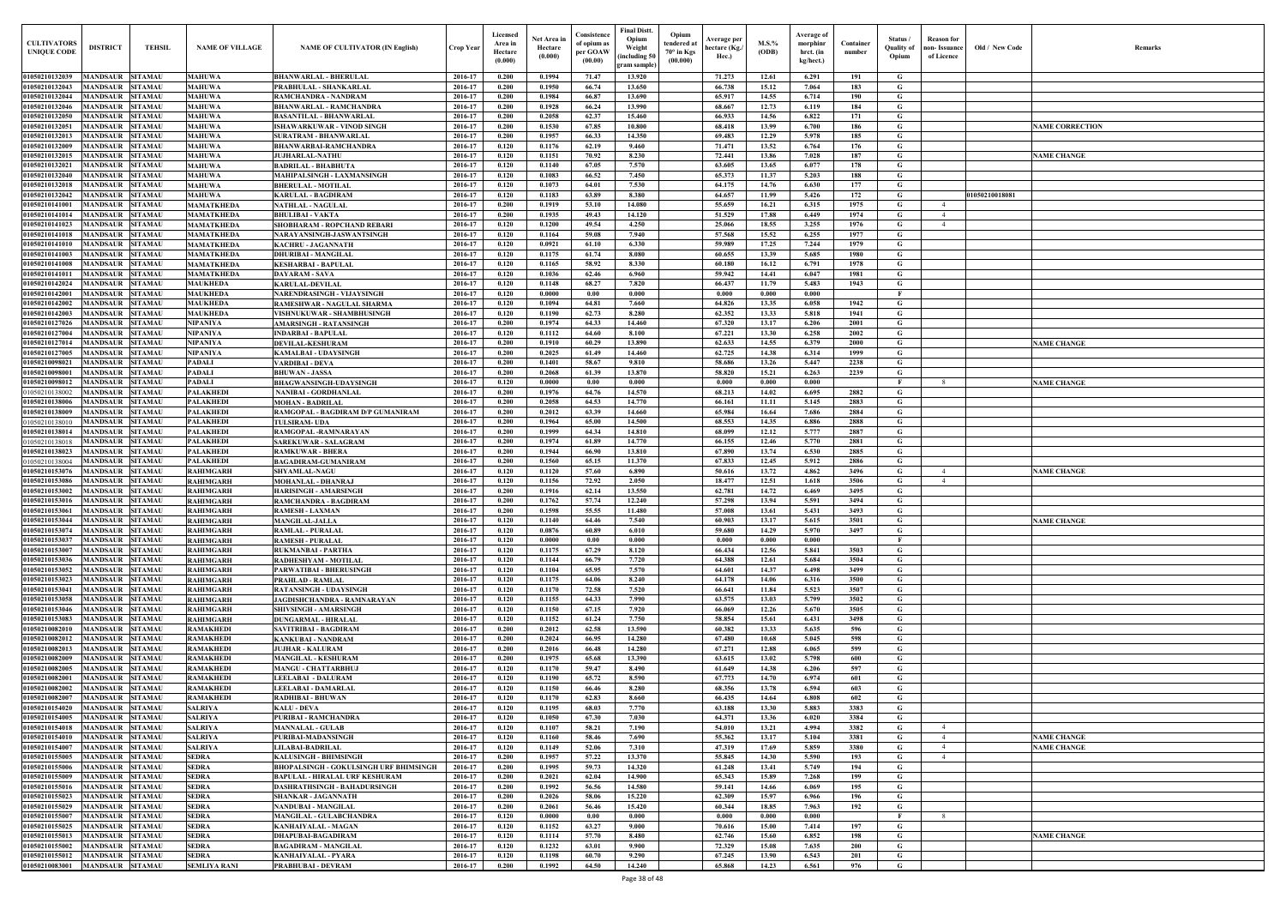| Old / New Code | Remarks                |
|----------------|------------------------|
|                |                        |
|                |                        |
|                | <b>NAME CORRECTION</b> |
|                |                        |
|                | <b>NAME CHANGE</b>     |
|                |                        |
| 01050210018081 |                        |
|                |                        |
|                |                        |
|                |                        |
|                |                        |
|                |                        |
|                |                        |
|                |                        |
|                |                        |
|                | <b>NAME CHANGE</b>     |
|                |                        |
|                | <b>NAME CHANGE</b>     |
|                |                        |
|                |                        |
|                |                        |
|                |                        |
|                |                        |
|                | <b>NAME CHANGE</b>     |
|                |                        |
|                | <b>NAME CHANGE</b>     |
|                |                        |
|                |                        |
|                |                        |
|                |                        |
|                |                        |
|                |                        |
|                |                        |
|                |                        |
|                |                        |
|                |                        |
|                |                        |
|                |                        |
|                | <b>NAME CHANGE</b>     |
|                | <b>NAME CHANGE</b>     |
|                |                        |
|                |                        |
|                |                        |
|                |                        |
|                | <b>NAME CHANGE</b>     |
|                |                        |
|                |                        |

| <b>CULTIVATORS</b><br><b>UNIQUE CODI</b>                           | <b>DISTRICT</b>                             | <b>TEHSIL</b>                    | <b>NAME OF VILLAGE</b>                 | <b>NAME OF CULTIVATOR (IN English)</b>                   | <b>Crop Year</b>   | Licensed<br>Area in<br>Hectare<br>(0.000) | Net Area ir<br>Hectare<br>(0.000) | Consistence<br>of opium as<br>per GOAW<br>(00.00) | Final Distt.<br>Opium<br>Weight<br>including 50)<br>ram sample | Opium<br>tendered at<br>70° in Kgs<br>(00.000) | Average per<br>hectare (Kg./<br>Hec.) | $M.S.$ %<br>(ODB) | <b>Average of</b><br>morphinr<br>hrct. (in<br>kg/hect.) | Container<br>number | Status<br>Quality of<br>Opium | <b>Reason</b> for<br>oon- Issuance<br>of Licence | Old / New Code | <b>Remark</b>          |
|--------------------------------------------------------------------|---------------------------------------------|----------------------------------|----------------------------------------|----------------------------------------------------------|--------------------|-------------------------------------------|-----------------------------------|---------------------------------------------------|----------------------------------------------------------------|------------------------------------------------|---------------------------------------|-------------------|---------------------------------------------------------|---------------------|-------------------------------|--------------------------------------------------|----------------|------------------------|
| 01050210132039                                                     | MANDSAUR SITAMAU                            |                                  | <b>MAHUWA</b>                          | <b>BHANWARLAL - BHERULAL</b>                             | 2016-17            | 0.200                                     | 0.1994                            | 71.47                                             | 13.920                                                         |                                                | 71.273                                | 12.61             | 6.291                                                   | 191                 | G                             |                                                  |                |                        |
| 01050210132043                                                     | <b>MANDSAUR SITAMAU</b>                     |                                  | <b>MAHUWA</b>                          | PRABHULAL - SHANKARLAL                                   | 2016-17            | 0.200                                     | 0.1950                            | 66.74                                             | 13.650                                                         |                                                | 66.738                                | 15.12             | 7.064                                                   | 183                 | G                             |                                                  |                |                        |
| 01050210132044<br>01050210132046                                   | MANDSAUR SITAMAU<br><b>MANDSAUR SITAMAU</b> |                                  | <b>MAHUWA</b><br><b>MAHUWA</b>         | RAMCHANDRA - NANDRAM<br><b>BHANWARLAL - RAMCHANDRA</b>   | 2016-17<br>2016-17 | 0.200<br>0.200                            | 0.1984<br>0.1928                  | 66.87<br>66.24                                    | 13.690<br>13.990                                               |                                                | 65.917<br>68.667                      | 14.55<br>12.73    | 6.714<br>6.119                                          | 190<br>184          | G<br>G                        |                                                  |                |                        |
| 01050210132050                                                     | MANDSAUR SITAMAU                            |                                  | <b>MAHUWA</b>                          | <b>BASANTILAL - BHANWARLAL</b>                           | 2016-17            | 0.200                                     | 0.2058                            | 62.37                                             | 15.460                                                         |                                                | 66.933                                | 14.56             | 6.822                                                   | 171                 | G                             |                                                  |                |                        |
| 01050210132051                                                     | <b>MANDSAUR</b>                             | <b>SITAMAU</b>                   | <b>MAHUWA</b>                          | ISHAWARKUWAR - VINOD SINGH                               | 2016-17            | 0.200                                     | 0.1530                            | 67.85                                             | 10.800                                                         |                                                | 68.418                                | 13.99             | 6.700                                                   | 186                 | $\mathbf G$                   |                                                  |                | <b>NAME CORRECTION</b> |
| 01050210132013                                                     | <b>MANDSAUR</b>                             | <b>SITAMAU</b>                   | <b>MAHUWA</b>                          | <b>SURATRAM - BHANWARLAI</b>                             | 2016-17            | 0.200                                     | 0.1957                            | 66.33                                             | 14.350                                                         |                                                | 69.483                                | 12.29             | 5.978                                                   | 185                 | G                             |                                                  |                |                        |
| 01050210132009<br>01050210132015                                   | <b>MANDSAUR</b><br><b>MANDSAUR</b>          | <b>SITAMAU</b><br><b>SITAMAU</b> | <b>MAHUWA</b><br><b>MAHUWA</b>         | <b>BHANWARBAI-RAMCHANDRA</b><br><b>JUJHARLAL-NATHU</b>   | 2016-17<br>2016-17 | 0.120<br>0.120                            | 0.1176<br>0.1151                  | 62.19<br>70.92                                    | 9.460<br>8.230                                                 |                                                | 71.471<br>72,441                      | 13.52<br>13.86    | 6.764<br>7.028                                          | 176<br>187          | $\mathbf G$<br>G              |                                                  |                | <b>NAME CHANGE</b>     |
| 01050210132021                                                     | <b>MANDSAUR</b>                             | <b>SITAMAU</b>                   | <b>MAHUWA</b>                          | <b>BADRILAL - BHABHUTA</b>                               | 2016-17            | 0.120                                     | 0.1140                            | 67.05                                             | 7.570                                                          |                                                | 63.605                                | 13.65             | 6.077                                                   | 178                 | G                             |                                                  |                |                        |
| 01050210132040                                                     | <b>MANDSAUR</b>                             | <b>SITAMAU</b>                   | <b>MAHUWA</b>                          | <b>MAHIPALSINGH - LAXMANSINGH</b>                        | 2016-17            | 0.120                                     | 0.1083                            | 66.52                                             | 7.450                                                          |                                                | 65.373                                | 11.37             | 5.203                                                   | 188                 | G                             |                                                  |                |                        |
| 01050210132018<br>01050210132042                                   | <b>MANDSAUR</b><br><b>MANDSAUR</b>          | <b>SITAMAU</b><br><b>SITAMAU</b> | <b>MAHUWA</b><br><b>MAHUWA</b>         | <b>BHERULAL - MOTILAL</b><br>KARULAL - BAGDIRAM          | 2016-17<br>2016-17 | 0.120<br>0.120                            | 0.1073<br>0.1183                  | 64.01<br>63.89                                    | 7.530<br>8.380                                                 |                                                | 64.175<br>64.657                      | 14.76<br>11.99    | 6.630<br>5.426                                          | 177<br>172          | $\mathbf G$<br>G              |                                                  |                |                        |
| 01050210141001                                                     | <b>MANDSAUR</b>                             | <b>SITAMAU</b>                   | <b>MAMATKHEDA</b>                      | <b>NATHLAL - NAGULAL</b>                                 | 2016-17            | 0.200                                     | 0.1919                            | 53.10                                             | 14.080                                                         |                                                | 55.659                                | 16.21             | 6.315                                                   | 1975                | G                             | $-4$                                             | 01050210018081 |                        |
| 01050210141014                                                     | <b>MANDSAUR</b>                             | <b>SITAMAU</b>                   | MAMATKHEDA                             | <b>BHULIBAI - VAKTA</b>                                  | 2016-17            | 0.200                                     | 0.1935                            | 49.43                                             | 14.120                                                         |                                                | 51.529                                | 17.88             | 6.449                                                   | 1974                | G                             | 4                                                |                |                        |
| 01050210141023                                                     | MANDSAUR                                    | <b>SITAMAU</b>                   | MAMATKHEDA                             | SHOBHARAM - ROPCHAND REBARI                              | 2016-17            | 0.120                                     | 0.1200                            | 49.54                                             | 4.250                                                          |                                                | 25.066                                | 18.55             | 3.255                                                   | 1976                | G                             |                                                  |                |                        |
| 01050210141018<br>01050210141010                                   | <b>MANDSAUR</b><br><b>MANDSAUR</b>          | <b>SITAMAU</b><br><b>SITAMAU</b> | <b>MAMATKHEDA</b><br><b>MAMATKHEDA</b> | NARAYANSINGH-JASWANTSINGH<br>KACHRU - JAGANNATH          | 2016-17<br>2016-17 | 0.120<br>0.120                            | 0.1164<br>0.0921                  | 59.08<br>61.10                                    | 7.940<br>6.330                                                 |                                                | 57.568<br>59.989                      | 15.52<br>17.25    | 6.255<br>7.244                                          | 1977<br>1979        | G<br>G                        |                                                  |                |                        |
| 01050210141003                                                     | <b>MANDSAUR</b>                             | <b>SITAMAU</b>                   | <b>MAMATKHEDA</b>                      | <b>DHURIBAI - MANGILAL</b>                               | 2016-17            | 0.120                                     | 0.1175                            | 61.74                                             | 8.080                                                          |                                                | 60.655                                | 13.39             | 5.685                                                   | 1980                | G                             |                                                  |                |                        |
| 01050210141008                                                     | <b>MANDSAUR SITAMAU</b>                     |                                  | <b>MAMATKHEDA</b>                      | KESHARBAI - BAPULAL                                      | 2016-17            | 0.120                                     | 0.1165                            | 58.92                                             | 8.330                                                          |                                                | 60.180                                | 16.12             | 6.791                                                   | 1978                | G                             |                                                  |                |                        |
| 01050210141011                                                     | <b>MANDSAUR SITAMAU</b>                     |                                  | <b>MAMATKHEDA</b>                      | DAYARAM - SAVA                                           | 2016-17            | 0.120                                     | 0.1036                            | 62.46                                             | 6.960                                                          |                                                | 59.942                                | 14.41             | 6.047                                                   | 1981                | G                             |                                                  |                |                        |
| 01050210142024<br>01050210142001                                   | <b>MANDSAUR SITAMAU</b><br>MANDSAUR SITAMAU |                                  | <b>MAUKHEDA</b><br><b>MAUKHEDA</b>     | KARULAL-DEVILAL<br>NARENDRASINGH - VIJAYSINGH            | 2016-17<br>2016-17 | 0.120<br>0.120                            | 0.1148<br>0.0000                  | 68.27<br>0.00                                     | 7.820<br>0.000                                                 |                                                | 66.437<br>0.000                       | 11.79<br>0.000    | 5.483<br>0.000                                          | 1943                | G<br>$\mathbf{F}$             |                                                  |                |                        |
| 01050210142002                                                     | <b>MANDSAUR SITAMAU</b>                     |                                  | <b>MAUKHEDA</b>                        | RAMESHWAR - NAGULAL SHARMA                               | 2016-17            | 0.120                                     | 0.1094                            | 64.81                                             | 7.660                                                          |                                                | 64.826                                | 13.35             | 6.058                                                   | 1942                | $\mathbf G$                   |                                                  |                |                        |
| 01050210142003                                                     | <b>MANDSAUR SITAMAU</b>                     |                                  | <b>MAUKHEDA</b>                        | VISHNUKUWAR - SHAMBHUSINGH                               | 2016-17            | 0.120                                     | 0.1190                            | 62.73                                             | 8.280                                                          |                                                | 62.352                                | 13.33             | 5.818                                                   | 1941                | G                             |                                                  |                |                        |
| 01050210127026<br>01050210127004                                   | <b>MANDSAUR SITAMAU</b><br><b>MANDSAUR</b>  | <b>SITAMAU</b>                   | <b>NIPANIYA</b><br><b>NIPANIYA</b>     | AMARSINGH - RATANSINGH                                   | 2016-17<br>2016-17 | 0.200<br>0.120                            | 0.1974<br>0.1112                  | 64.33<br>64.60                                    | 14.460<br>8.100                                                |                                                | 67.320<br>67.221                      | 13.17<br>13.30    | 6.206<br>6.258                                          | 2001<br>2002        | G<br>$\mathbf G$              |                                                  |                |                        |
| 01050210127014                                                     | MANDSAUR SITAMAU                            |                                  | <b>NIPANIYA</b>                        | INDARBAI - BAPULAL<br><b>DEVILAL-KESHURAM</b>            | 2016-17            | 0.200                                     | 0.1910                            | 60.29                                             | 13.890                                                         |                                                | 62.633                                | 14.55             | 6.379                                                   | 2000                | G                             |                                                  |                | <b>NAME CHANGE</b>     |
| 01050210127005                                                     | MANDSAUR                                    | <b>SITAMAU</b>                   | <b>NIPANIYA</b>                        | KAMALBAI - UDAYSINGH                                     | 2016-17            | 0.200                                     | 0.2025                            | 61.49                                             | 14.460                                                         |                                                | 62.725                                | 14.38             | 6.314                                                   | 1999                | G                             |                                                  |                |                        |
| 01050210098021                                                     | <b>MANDSAUR</b>                             | <b>SITAMAU</b>                   | <b>PADALI</b>                          | VARDIBAI - DEVA                                          | 2016-17            | 0.200                                     | 0.1401                            | 58.67                                             | 9.810                                                          |                                                | 58.686                                | 13.26             | 5.447                                                   | 2238                | G                             |                                                  |                |                        |
| 0105021009800<br>01050210098012                                    | <b>MANDSAUR</b><br><b>MANDSAUR</b>          | <b>SITAMAU</b><br><b>SITAMAU</b> | <b>PADALI</b><br><b>PADALI</b>         | <b>BHUWAN - JASSA</b><br>BHAGWANSINGH-UDAYSINGH          | 2016-17<br>2016-17 | 0.200<br>0.120                            | 0.2068<br>0.0000                  | 61.39<br>0.00                                     | 13.870<br>0.000                                                |                                                | 58.820<br>0.000                       | 15.21<br>0.000    | 6.263<br>0.000                                          | 2239                | $\mathbf G$<br>$\mathbf{F}$   | -8                                               |                | <b>NAME CHANGE</b>     |
| 01050210138002                                                     | <b>MANDSAUR</b>                             | <b>SITAMAU</b>                   | <b>PALAKHEDI</b>                       | <b>NANIBAI - GORDHANLAL</b>                              | 2016-17            | 0.200                                     | 0.1976                            | 64.76                                             | 14.570                                                         |                                                | 68.213                                | 14.02             | 6.695                                                   | 2882                | G                             |                                                  |                |                        |
| 01050210138006                                                     | <b>MANDSAUR</b>                             | <b>SITAMAU</b>                   | <b>PALAKHEDI</b>                       | <b>MOHAN - BADRILAL</b>                                  | 2016-17            | 0.200                                     | 0.2058                            | 64.53                                             | 14.770                                                         |                                                | 66.161                                | 11.11             | 5.145                                                   | 2883                | G                             |                                                  |                |                        |
| 01050210138009                                                     | <b>MANDSAUR</b>                             | <b>SITAMAU</b>                   | <b>PALAKHEDI</b>                       | RAMGOPAL - BAGDIRAM D/P GUMANIRAM                        | 2016-17            | 0.200                                     | 0.2012                            | 63.39                                             | 14.660                                                         |                                                | 65.984                                | 16.64             | 7.686                                                   | 2884                | G                             |                                                  |                |                        |
| 0105021013801<br>01050210138014                                    | <b>MANDSAUR</b><br><b>MANDSAUR</b>          | <b>SITAMAU</b><br><b>SITAMAU</b> | <b>PALAKHEDI</b><br><b>PALAKHEDI</b>   | <b>TULSIRAM- UDA</b><br>RAMGOPAL-RAMNARAYAN              | 2016-17<br>2016-17 | 0.200<br>0.200                            | 0.1964<br>0.1999                  | 65.00<br>64.34                                    | 14.500<br>14.810                                               |                                                | 68.553<br>68.099                      | 14.35<br>12.12    | 6.886<br>5.777                                          | 2888<br>2887        | G<br>$\mathbf G$              |                                                  |                |                        |
| 0105021013801                                                      | <b>MANDSAUR</b>                             | <b>SITAMAU</b>                   | <b>PALAKHEDI</b>                       | <b>SAREKUWAR - SALAGRAM</b>                              | 2016-17            | 0.200                                     | 0.1974                            | 61.89                                             | 14.770                                                         |                                                | 66.155                                | 12.46             | 5.770                                                   | 2881                | G                             |                                                  |                |                        |
| 01050210138023                                                     | <b>MANDSAUR</b>                             | SITAMAU                          | <b>PALAKHEDI</b>                       | RAMKUWAR - BHERA                                         | 2016-17            | 0.200                                     | 0.1944                            | 66.90                                             | 13.810                                                         |                                                | 67.890                                | 13.74             | 6.530                                                   | 2885                | G                             |                                                  |                |                        |
| 0105021013800                                                      | MANDSAUR                                    | <b>SITAMAU</b>                   | <b>PALAKHEDI</b>                       | <b>BAGADIRAM-GUMANIRAM</b>                               | 2016-17            | 0.200                                     | 0.1560                            | 65.15<br>57.60                                    | 11.370<br>6.890                                                |                                                | 67.833                                | 12.45             | 5.912                                                   | 2886                | G                             |                                                  |                |                        |
| <b>0105021015307</b><br>0105021015308                              | MANDSAUR<br><b>MANDSAUR</b>                 | <b>SITAMAU</b><br><b>SITAMAU</b> | <b>RAHIMGARH</b><br><b>RAHIMGARH</b>   | <b>SHYAMLAL-NAGU</b><br>MOHANLAL - DHANRAJ               | 2016-17<br>2016-17 | 0.120<br>0.120                            | 0.1120<br>0.1156                  | 72.92                                             | 2.050                                                          |                                                | 50.616<br>18.477                      | 13.72<br>12.51    | 4.862<br>1.618                                          | 3496<br>3506        | G<br>G                        | 4                                                |                | <b>NAME CHANGE</b>     |
| <b>01050210153002</b>                                              | MANDSAUR                                    | <b>SITAMAU</b>                   | <b>RAHIMGARH</b>                       | HARISINGH - AMARSINGH                                    | 2016-17            | 0.200                                     | 0.1916                            | 62.14                                             | 13.550                                                         |                                                | 62.781                                | 14.72             | 6.469                                                   | 3495                | G                             |                                                  |                |                        |
| 01050210153016                                                     | MANDSAUR SITAMAU                            |                                  | <b>RAHIMGARH</b>                       | RAMCHANDRA - BAGDIRAM                                    | 2016-17            | 0.200                                     | 0.1762                            | 57,74                                             | 12.240                                                         |                                                | 57,298                                | 13.94             | 5.591                                                   | 3494                | G                             |                                                  |                |                        |
| 01050210153061 MANDSAUR SITAMAU<br>01050210153044 MANDSAUR SITAMAU |                                             |                                  | <b>RAHIMGARH</b><br><b>RAHIMGARH</b>   | <b>RAMESH - LAXMAN</b><br><b>MANGILAL-JALLA</b>          | 2016-17<br>2016-17 | 0.200<br>0.120                            | 0.1598<br>0.1140                  | 55.55<br>64.46                                    | 11.480<br>7.540                                                |                                                | 57.008<br>60.903                      | 13.61<br>13.17    | 5.431<br>5.615                                          | 3493<br>3501        | G<br>G                        |                                                  |                | <b>NAME CHANGE</b>     |
| 01050210153074                                                     | MANDSAUR SITAMAU                            |                                  | <b>RAHIMGARH</b>                       | <b>RAMLAL - PURALAL</b>                                  | 2016-17            | 0.120                                     | 0.0876                            | 60.89                                             | 6.010                                                          |                                                | 59.680                                | 14.29             | 5.970                                                   | 3497                | G                             |                                                  |                |                        |
| 01050210153037                                                     | MANDSAUR SITAMAU                            |                                  | <b>RAHIMGARH</b>                       | <b>RAMESH - PURALAL</b>                                  | 2016-17            | 0.120                                     | 0.0000                            | 0.00                                              | 0.000                                                          |                                                | 0.000                                 | 0.000             | 0.000                                                   |                     | $\mathbf{F}$                  |                                                  |                |                        |
| 01050210153007                                                     | MANDSAUR SITAMAU                            |                                  | <b>RAHIMGARH</b>                       | <b>RUKMANBAI - PARTHA</b>                                | 2016-17            | 0.120                                     | 0.1175                            | 67.29                                             | 8.120                                                          |                                                | 66.434                                | 12.56             | 5.841                                                   | 3503                | $\mathbf G$                   |                                                  |                |                        |
| 01050210153036<br>01050210153052                                   | MANDSAUR SITAMAU<br><b>MANDSAUR SITAMAU</b> |                                  | <b>RAHIMGARH</b><br><b>RAHIMGARH</b>   | RADHESHYAM - MOTILAL<br>PARWATIBAI - BHERUSINGH          | 2016-17<br>2016-17 | 0.120<br>0.120                            | 0.1144<br>0.1104                  | 66.79<br>65.95                                    | 7.720<br>7.570                                                 |                                                | 64.388<br>64.601                      | 12.61<br>14.37    | 5.684<br>6.498                                          | 3504<br>3499        | $\mathbf G$<br>$\mathbf G$    |                                                  |                |                        |
| 01050210153023                                                     | MANDSAUR SITAMAU                            |                                  | <b>RAHIMGARH</b>                       | <b>PRAHLAD - RAMLAL</b>                                  | 2016-17            | 0.120                                     | 0.1175                            | 64.06                                             | 8.240                                                          |                                                | 64.178                                | 14.06             | 6.316                                                   | 3500                | G                             |                                                  |                |                        |
| 01050210153041                                                     | MANDSAUR SITAMAU                            |                                  | <b>RAHIMGARH</b>                       | <b>RATANSINGH - UDAYSINGH</b>                            | 2016-17            | 0.120                                     | 0.1170                            | 72.58                                             | 7.520                                                          |                                                | 66.641                                | 11.84             | 5.523                                                   | 3507                | G                             |                                                  |                |                        |
| 01050210153058                                                     | <b>MANDSAUR SITAMAU</b>                     |                                  | <b>RAHIMGARH</b>                       | JAGDISHCHANDRA - RAMNARAYAN                              | 2016-17            | 0.120                                     | 0.1155                            | 64.33                                             | 7.990                                                          |                                                | 63.575                                | 13.03             | 5.799                                                   | 3502                | $\mathbf G$                   |                                                  |                |                        |
| 01050210153046<br>01050210153083                                   | MANDSAUR SITAMAU<br><b>MANDSAUR SITAMAU</b> |                                  | <b>RAHIMGARH</b><br><b>RAHIMGARH</b>   | SHIVSINGH - AMARSINGH<br><b>DUNGARMAL - HIRALAL</b>      | 2016-17<br>2016-17 | 0.120<br>0.120                            | 0.1150<br>0.1152                  | 67.15<br>61.24                                    | 7.920<br>7.750                                                 |                                                | 66.069<br>58.854                      | 12.26<br>15.61    | 5.670<br>6.431                                          | 3505<br>3498        | $\mathbf G$<br>$\mathbf G$    |                                                  |                |                        |
| 01050210082010                                                     | MANDSAUR SITAMAU                            |                                  | <b>RAMAKHEDI</b>                       | <b>SAVITRIBAI - BAGDIRAM</b>                             | 2016-17            | 0.200                                     | 0.2012                            | 62.58                                             | 13.590                                                         |                                                | 60.382                                | 13.33             | 5.635                                                   | 596                 | G                             |                                                  |                |                        |
| 01050210082012                                                     | MANDSAUR SITAMAU                            |                                  | <b>RAMAKHEDI</b>                       | <b>KANKUBAI - NANDRAM</b>                                | 2016-17            | 0.200                                     | 0.2024                            | 66.95                                             | 14.280                                                         |                                                | 67.480                                | 10.68             | 5.045                                                   | 598                 | $\mathbf G$                   |                                                  |                |                        |
| 01050210082013                                                     | MANDSAUR SITAMAU                            |                                  | <b>RAMAKHEDI</b>                       | <b>JUJHAR - KALURAM</b>                                  | 2016-17<br>2016-17 | 0.200<br>0.200                            | 0.2016<br>0.1975                  | 66.48                                             | 14.280<br>13.390                                               |                                                | 67.271<br>63.615                      | 12.88             | 6.065                                                   | 599                 | $\mathbf G$<br>$\mathbf G$    |                                                  |                |                        |
| 01050210082009<br>01050210082005                                   | <b>MANDSAUR SITAMAU</b><br><b>MANDSAUR</b>  | <b>SITAMAU</b>                   | <b>RAMAKHEDI</b><br><b>RAMAKHEDI</b>   | <b>MANGILAL - KESHURAM</b><br><b>MANGU - CHATTARBHUJ</b> | 2016-17            | 0.120                                     | 0.1170                            | 65.68<br>59.47                                    | 8.490                                                          |                                                | 61.649                                | 13.02<br>14.38    | 5.798<br>6.206                                          | 600<br>597          | $\mathbf G$                   |                                                  |                |                        |
| 01050210082001                                                     | <b>MANDSAUR SITAMAU</b>                     |                                  | <b>RAMAKHEDI</b>                       | LEELABAI - DALURAM                                       | 2016-17            | 0.120                                     | 0.1190                            | 65.72                                             | 8.590                                                          |                                                | 67.773                                | 14.70             | 6.974                                                   | 601                 | $\mathbf G$                   |                                                  |                |                        |
| 01050210082002                                                     | <b>MANDSAUR SITAMAU</b>                     |                                  | <b>RAMAKHEDI</b>                       | LEELABAI - DAMARLAL                                      | 2016-17            | 0.120                                     | 0.1150                            | 66.46                                             | 8.280                                                          |                                                | 68.356                                | 13.78             | 6.594                                                   | 603                 | $\mathbf G$                   |                                                  |                |                        |
| 01050210082007<br>01050210154020                                   | <b>MANDSAUR SITAMAU</b><br><b>MANDSAUR</b>  | <b>SITAMAU</b>                   | <b>RAMAKHEDI</b><br><b>SALRIYA</b>     | RADHIBAI - BHUWAN<br>KALU - DEVA                         | 2016-17<br>2016-17 | 0.120<br>0.120                            | 0.1170<br>0.1195                  | 62.83<br>68.03                                    | 8.660<br>7.770                                                 |                                                | 66.435<br>63.188                      | 14.64<br>13.30    | 6.808<br>5.883                                          | 602<br>3383         | $\mathbf G$<br>G              |                                                  |                |                        |
| 01050210154005                                                     | MANDSAUR SITAMAU                            |                                  | <b>SALRIYA</b>                         | PURIBAI - RAMCHANDRA                                     | 2016-17            | 0.120                                     | 0.1050                            | 67.30                                             | 7.030                                                          |                                                | 64.371                                | 13.36             | 6.020                                                   | 3384                | $\mathbf G$                   |                                                  |                |                        |
| 01050210154018                                                     | MANDSAUR SITAMAU                            |                                  | <b>SALRIYA</b>                         | <b>MANNALAL - GULAB</b>                                  | 2016-17            | 0.120                                     | 0.1107                            | 58.21                                             | 7.190                                                          |                                                | 54.010                                | 13.21             | 4.994                                                   | 3382                | G                             | $\overline{4}$                                   |                |                        |
| 01050210154010                                                     | MANDSAUR SITAMAU                            |                                  | <b>SALRIYA</b>                         | PURIBAI-MADANSINGH                                       | 2016-17            | 0.120                                     | 0.1160                            | 58.46                                             | 7.690                                                          |                                                | 55.362                                | 13.17             | 5.104                                                   | 3381                | G                             | $\overline{4}$                                   |                | <b>NAME CHANGE</b>     |
| 01050210154007<br>01050210155005                                   | MANDSAUR SITAMAU<br>MANDSAUR SITAMAU        |                                  | <b>SALRIYA</b><br><b>SEDRA</b>         | LILABAI-BADRILAL<br><b>KALUSINGH - BHIMSINGH</b>         | 2016-17<br>2016-17 | 0.120<br>0.200                            | 0.1149<br>0.1957                  | 52.06<br>57,22                                    | 7.310<br>13.370                                                |                                                | 47.319<br>55.845                      | 17.69<br>14.30    | 5.859<br>5.590                                          | 3380<br>193         | G<br>G                        | $\overline{4}$<br>$\overline{4}$                 |                | <b>NAME CHANGE</b>     |
| 01050210155006                                                     | MANDSAUR SITAMAU                            |                                  | <b>SEDRA</b>                           | <b>BHOPALSINGH - GOKULSINGH URF BHIMSINGH</b>            | 2016-17            | 0.200                                     | 0.1995                            | 59.73                                             | 14.320                                                         |                                                | 61.248                                | 13.41             | 5.749                                                   | 194                 | G                             |                                                  |                |                        |
| 01050210155009                                                     | MANDSAUR SITAMAU                            |                                  | <b>SEDRA</b>                           | BAPULAL - HIRALAL URF KESHURAM                           | 2016-17            | 0.200                                     | 0.2021                            | 62.04                                             | 14.900                                                         |                                                | 65.343                                | 15.89             | 7.268                                                   | 199                 | G                             |                                                  |                |                        |
| 01050210155016                                                     | MANDSAUR SITAMAU                            |                                  | <b>SEDRA</b>                           | DASHRATHSINGH - BAHADURSINGH                             | 2016-17            | 0.200                                     | 0.1992                            | 56.56                                             | 14.580                                                         |                                                | 59.141                                | 14.66             | 6.069                                                   | 195                 | G                             |                                                  |                |                        |
| 01050210155023<br>01050210155029                                   | MANDSAUR SITAMAU<br>MANDSAUR SITAMAU        |                                  | <b>SEDRA</b><br><b>SEDRA</b>           | SHANKAR - JAGANNATH<br><b>NANDUBAI - MANGILAL</b>        | 2016-17<br>2016-17 | 0.200<br>0.200                            | 0.2026<br>0.2061                  | 58.06<br>56.46                                    | 15.220<br>15.420                                               |                                                | 62.309<br>60.344                      | 15.97<br>18.85    | 6.966<br>7.963                                          | 196<br>192          | $\mathbf G$<br>$\mathbf G$    |                                                  |                |                        |
| 01050210155007                                                     | MANDSAUR SITAMAU                            |                                  | <b>SEDRA</b>                           | <b>MANGILAL - GULABCHANDRA</b>                           | 2016-17            | 0.120                                     | 0.0000                            | 0.00                                              | 0.000                                                          |                                                | 0.000                                 | 0.000             | 0.000                                                   |                     | $\mathbf{F}$                  | -8                                               |                |                        |
| 01050210155025                                                     | MANDSAUR SITAMAU                            |                                  | <b>SEDRA</b>                           | KANHAIYALAL - MAGAN                                      | 2016-17            | 0.120                                     | 0.1152                            | 63.27                                             | 9.000                                                          |                                                | 70.616                                | 15.00             | 7.414                                                   | 197                 | G                             |                                                  |                |                        |
| 01050210155013                                                     | MANDSAUR SITAMAU                            |                                  | <b>SEDRA</b>                           | <b>DHAPUBAI-BAGADIRAM</b>                                | 2016-17            | 0.120                                     | 0.1114                            | 57.70                                             | 8.480                                                          |                                                | 62.746                                | 15.60             | 6.852                                                   | 198                 | G                             |                                                  |                | <b>NAME CHANGE</b>     |
| 01050210155002<br>01050210155012                                   | <b>MANDSAUR SITAMAU</b><br>MANDSAUR SITAMAU |                                  | <b>SEDRA</b><br><b>SEDRA</b>           | <b>BAGADIRAM - MANGILAL</b><br>KANHAIYALAL - PYARA       | 2016-17<br>2016-17 | 0.120<br>0.120                            | 0.1232<br>0.1198                  | 63.01<br>60.70                                    | 9.900<br>9.290                                                 |                                                | 72.329<br>67.245                      | 15.08<br>13.90    | 7.635<br>6.543                                          | 200<br>201          | $\mathbf G$<br>G              |                                                  |                |                        |
| 01050210083001                                                     | MANDSAUR SITAMAU                            |                                  | <b>SEMLIYA RANI</b>                    | PRABHUBAI - DEVRAM                                       | 2016-17            | 0.200                                     | 0.1992                            | 64.50                                             | 14.240                                                         |                                                | 65.868                                | 14.23             | 6.561                                                   | 976                 | $\mathbf{G}$                  |                                                  |                |                        |
|                                                                    |                                             |                                  |                                        |                                                          |                    |                                           |                                   |                                                   |                                                                |                                                |                                       |                   |                                                         |                     |                               |                                                  |                |                        |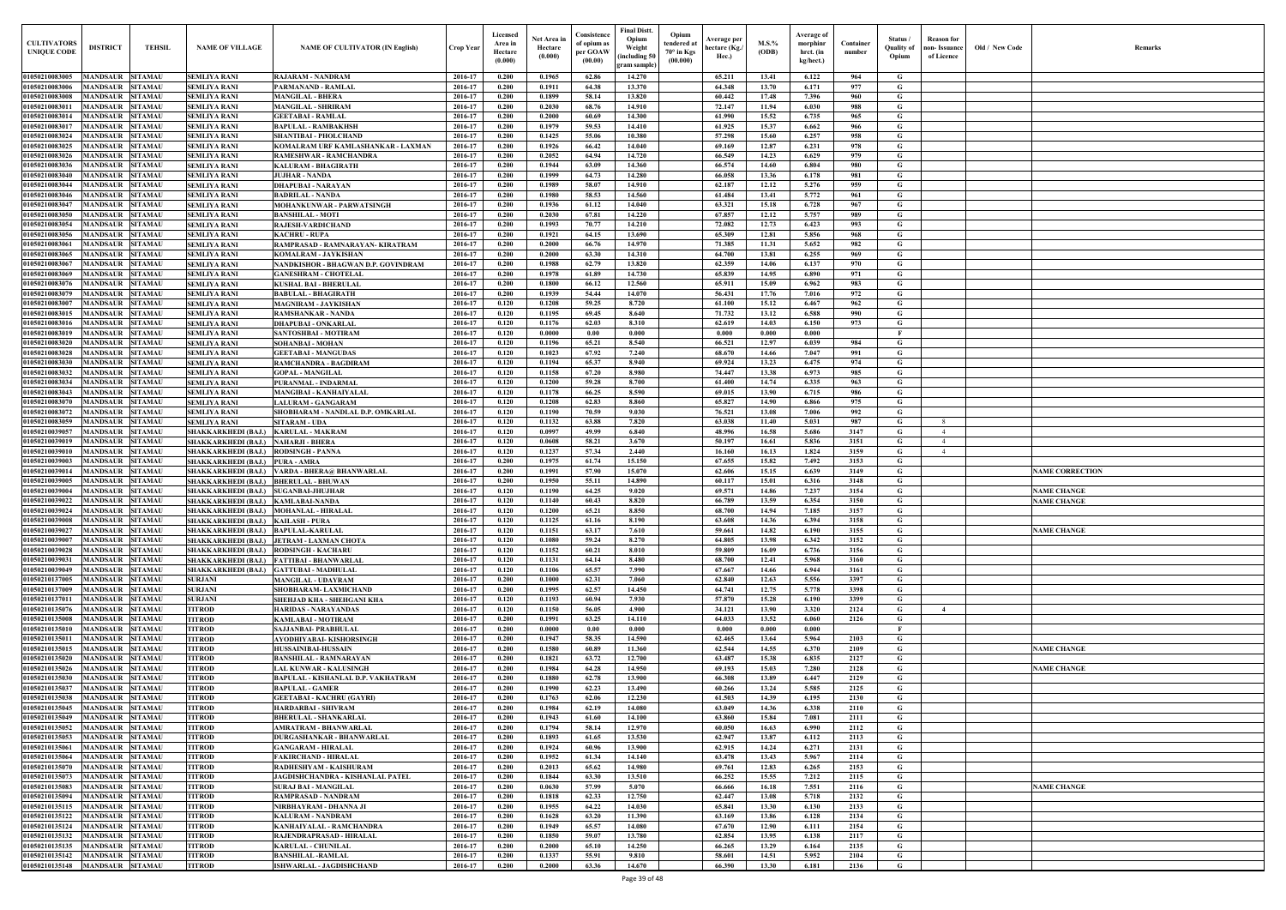| Old / New Code | Remarks                |
|----------------|------------------------|
|                |                        |
|                |                        |
|                |                        |
|                |                        |
|                |                        |
|                |                        |
|                |                        |
|                |                        |
|                |                        |
|                |                        |
|                |                        |
|                |                        |
|                |                        |
|                |                        |
|                |                        |
|                |                        |
|                |                        |
|                |                        |
|                |                        |
|                |                        |
|                |                        |
|                |                        |
|                |                        |
|                |                        |
|                |                        |
|                |                        |
|                |                        |
|                |                        |
|                |                        |
|                |                        |
|                |                        |
|                |                        |
|                |                        |
|                |                        |
|                |                        |
|                |                        |
|                |                        |
|                |                        |
|                |                        |
|                | <b>NAME CORRECTION</b> |
|                |                        |
|                | <b>NAME CHANGE</b>     |
|                | <b>NAME CHANGE</b>     |
|                |                        |
|                |                        |
|                | <b>NAME CHANGE</b>     |
|                |                        |
|                |                        |
|                |                        |
|                |                        |
|                |                        |
|                |                        |
|                |                        |
|                |                        |
|                |                        |
|                |                        |
|                |                        |
|                | <b>NAME CHANGE</b>     |
|                |                        |
|                | <b>NAME CHANGE</b>     |
|                |                        |
|                |                        |
|                |                        |
|                |                        |
|                |                        |
|                |                        |
|                |                        |
|                |                        |
|                |                        |
|                |                        |
|                |                        |
|                | <b>NAME CHANGE</b>     |
|                |                        |
|                |                        |
|                |                        |
|                |                        |
|                |                        |
|                |                        |
|                |                        |
|                |                        |

| <b>CULTIVATORS</b><br><b>UNIQUE CODE</b> | <b>DISTRICT</b>                                    | <b>TEHSIL</b>                    | <b>NAME OF VILLAGE</b>                                                       | <b>NAME OF CULTIVATOR (IN English)</b>                                               | <b>Crop Year</b>   | Licensed<br>Area in<br>Hectare<br>(0.000) | Net Area in<br>Hectare<br>(0.000) | Consistence<br>of opium as<br>per GOAW<br>(00.00) | <b>Final Distt.</b><br>Opium<br>Weight<br>including 50<br>gram sample) | Opium<br>tendered at<br>$70^{\circ}$ in Kgs<br>(00.000) | Average per<br>hectare (Kg./<br>Hec.) | M.S.%<br>(ODB) | Average of<br>morphinr<br>hrct. (in<br>kg/hect.) | Container<br>number | Status /<br><b>Quality of</b><br>Opium | Reason for<br>non- Issuance  <br>of Licence | Old / New Code | <b>Remark</b>          |
|------------------------------------------|----------------------------------------------------|----------------------------------|------------------------------------------------------------------------------|--------------------------------------------------------------------------------------|--------------------|-------------------------------------------|-----------------------------------|---------------------------------------------------|------------------------------------------------------------------------|---------------------------------------------------------|---------------------------------------|----------------|--------------------------------------------------|---------------------|----------------------------------------|---------------------------------------------|----------------|------------------------|
| 01050210083005                           | MANDSAUR                                           | <b>SITAMAU</b>                   | <b>SEMLIYA RANI</b>                                                          | <b>RAJARAM - NANDRAM</b>                                                             | 2016-17            | 0.200                                     | 0.1965                            | 62.86                                             | 14.270                                                                 |                                                         | 65.211                                | 13.41          | 6.122                                            | 964                 | G                                      |                                             |                |                        |
| 01050210083006                           | MANDSAUR                                           | <b>SITAMAU</b>                   | <b>SEMLIYA RANI</b>                                                          | PARMANAND - RAMLAL                                                                   | 2016-17            | 0.200                                     | 0.1911                            | 64.38                                             | 13.370                                                                 |                                                         | 64.348                                | 13.70          | 6.171                                            | 977                 | G                                      |                                             |                |                        |
| 01050210083008<br>01050210083011         | <b>MANDSAUR SITAMAU</b><br><b>MANDSAUR</b>         | <b>SITAMAU</b>                   | <b>SEMLIYA RANI</b><br><b>SEMLIYA RANI</b>                                   | <b>MANGILAL - BHERA</b><br><b>MANGILAL - SHRIRAM</b>                                 | 2016-17<br>2016-17 | 0.200<br>0.200                            | 0.1899<br>0.2030                  | 58.14<br>68.76                                    | 13.820<br>14.910                                                       |                                                         | 60.442<br>72.147                      | 17.48<br>11.94 | 7.396<br>6.030                                   | 960<br>988          | G<br>G                                 |                                             |                |                        |
| 01050210083014                           | MANDSAUR SITAMAU                                   |                                  | <b>SEMLIYA RANI</b>                                                          | <b>GEETABAI - RAMLAL</b>                                                             | 2016-17            | 0.200                                     | 0.2000                            | 60.69                                             | 14.300                                                                 |                                                         | 61.990                                | 15.52          | 6.735                                            | 965                 | G                                      |                                             |                |                        |
| 01050210083017                           | MANDSAUR                                           | <b>SITAMAU</b>                   | <b>SEMLIYA RANI</b>                                                          | <b>BAPULAL - RAMBAKHSH</b>                                                           | 2016-17            | 0.200                                     | 0.1979                            | 59.53                                             | 14.410                                                                 |                                                         | 61.925                                | 15.37          | 6.662                                            | 966                 | G                                      |                                             |                |                        |
| 01050210083024                           | <b>MANDSAUR SITAMAU</b>                            |                                  | <b>SEMLIYA RANI</b>                                                          | <b>SHANTIBAI - PHOLCHAND</b>                                                         | 2016-17            | 0.200                                     | 0.1425                            | 55.06                                             | 10.380                                                                 |                                                         | 57,298                                | 15.60          | 6.257                                            | 958                 | G                                      |                                             |                |                        |
| 01050210083025<br>01050210083026         | <b>MANDSAUR</b><br><b>MANDSAUR</b>                 | <b>SITAMAU</b><br><b>SITAMAU</b> | <b>SEMLIYA RANI</b><br><b>SEMLIYA RANI</b>                                   | KOMALRAM URF KAMLASHANKAR - LAXMAN<br>RAMESHWAR - RAMCHANDRA                         | 2016-17<br>2016-17 | 0.200<br>0.200                            | 0.1926<br>0.2052                  | 66.42<br>64.94                                    | 14.040<br>14.720                                                       |                                                         | 69.169<br>66.549                      | 12.87<br>14.23 | 6.231<br>6.629                                   | 978<br>979          | G<br>G                                 |                                             |                |                        |
| 01050210083036                           | <b>MANDSAUR</b>                                    | <b>SITAMAU</b>                   | <b>SEMLIYA RANI</b>                                                          | <b>KALURAM - BHAGIRATH</b>                                                           | 2016-17            | 0.200                                     | 0.1944                            | 63.09                                             | 14.360                                                                 |                                                         | 66.574                                | 14.60          | 6.804                                            | 980                 | $\mathbf G$                            |                                             |                |                        |
| 01050210083040                           | <b>MANDSAUR</b>                                    | <b>SITAMAU</b>                   | <b>SEMLIYA RANI</b>                                                          | <b>JUJHAR - NANDA</b>                                                                | 2016-17            | 0.200                                     | 0.1999                            | 64.73                                             | 14.280                                                                 |                                                         | 66.058                                | 13.36          | 6.178                                            | 981                 | G                                      |                                             |                |                        |
| 01050210083044                           | <b>MANDSAUR</b><br><b>MANDSAUR</b>                 | <b>SITAMAU</b>                   | <b>SEMLIYA RANI</b>                                                          | <b>DHAPUBAI - NARAYAN</b>                                                            | 2016-17            | 0.200                                     | 0.1989                            | 58.07                                             | 14.910                                                                 |                                                         | 62.187                                | 12.12          | 5.276                                            | 959                 | G                                      |                                             |                |                        |
| 01050210083046<br>01050210083047         | <b>MANDSAUR</b>                                    | <b>SITAMAU</b><br><b>SITAMAU</b> | <b>SEMLIYA RANI</b><br><b>SEMLIYA RANI</b>                                   | <b>BADRILAL - NANDA</b><br>MOHANKUNWAR - PARWATSINGH                                 | 2016-17<br>2016-17 | 0.200<br>0.200                            | 0.1980<br>0.1936                  | 58.53<br>61.12                                    | 14.560<br>14.040                                                       |                                                         | 61.484<br>63.321                      | 13.41<br>15.18 | 5.772<br>6.728                                   | 961<br>967          | G<br>G                                 |                                             |                |                        |
| 01050210083050                           | MANDSAUR                                           | <b>SITAMAU</b>                   | <b>SEMLIYA RANI</b>                                                          | <b>BANSHILAL - MOTI</b>                                                              | 2016-17            | 0.200                                     | 0.2030                            | 67.81                                             | 14.220                                                                 |                                                         | 67.857                                | 12.12          | 5.757                                            | 989                 | G                                      |                                             |                |                        |
| 01050210083054                           | <b>MANDSAUR</b>                                    | <b>SITAMAU</b>                   | <b>SEMLIYA RANI</b>                                                          | <b>RAJESH-VARDICHAND</b>                                                             | 2016-17            | 0.200                                     | 0.1993                            | 70.77                                             | 14.210                                                                 |                                                         | 72.082                                | 12.73          | 6.423                                            | 993                 | $\mathbf G$                            |                                             |                |                        |
| 01050210083056<br>01050210083061         | <b>MANDSAUR</b><br><b>MANDSAUR</b>                 | <b>SITAMAU</b><br><b>SITAMAU</b> | <b>SEMLIYA RANI</b><br><b>SEMLIYA RANI</b>                                   | <b>KACHRU - RUPA</b><br>RAMPRASAD - RAMNARAYAN- KIRATRAM                             | 2016-17<br>2016-17 | 0.200<br>0.200                            | 0.1921<br>0.2000                  | 64.15<br>66.76                                    | 13.690<br>14.970                                                       |                                                         | 65.309<br>71.385                      | 12.81<br>11.31 | 5.856<br>5.652                                   | 968<br>982          | G<br>$\mathbf G$                       |                                             |                |                        |
| 01050210083065                           | <b>MANDSAUR</b>                                    | <b>SITAMAU</b>                   | <b>SEMLIYA RANI</b>                                                          | <b>KOMALRAM - JAYKISHAN</b>                                                          | 2016-17            | 0.200                                     | 0.2000                            | 63.30                                             | 14.310                                                                 |                                                         | 64.700                                | 13.81          | 6.255                                            | 969                 | G                                      |                                             |                |                        |
| 0105021008306                            | <b>MANDSAUR</b>                                    | <b>SITAMAU</b>                   | <b>SEMLIYA RANI</b>                                                          | NANDKISHOR - BHAGWAN D.P. GOVINDRAM                                                  | 2016-17            | 0.200                                     | 0.1988                            | 62.79                                             | 13.820                                                                 |                                                         | 62.359                                | 14.06          | 6.137                                            | 970                 | G                                      |                                             |                |                        |
| 01050210083069                           | <b>MANDSAUR</b>                                    | <b>SITAMAU</b>                   | <b>SEMLIYA RANI</b>                                                          | <b>GANESHRAM - CHOTELAL</b>                                                          | 2016-17            | 0.200                                     | 0.1978                            | 61.89                                             | 14.730                                                                 |                                                         | 65.839                                | 14.95          | 6.890                                            | 971                 | $\mathbf G$                            |                                             |                |                        |
| 0105021008307<br>01050210083079          | <b>MANDSAUR</b><br>MANDSAUR                        | <b>SITAMAU</b><br><b>SITAMAU</b> | <b>SEMLIYA RANI</b><br><b>SEMLIYA RANI</b>                                   | <b>KUSHAL BAI - BHERULAL</b><br><b>BABULAL - BHAGIRATH</b>                           | 2016-17<br>2016-17 | 0.200<br>0.200                            | 0.1800<br>0.1939                  | 66.12<br>54.44                                    | 12.560<br>14.070                                                       |                                                         | 65.911<br>56.431                      | 15.09<br>17.76 | 6.962<br>7.016                                   | 983<br>972          | G<br>G                                 |                                             |                |                        |
| 0105021008300                            | MANDSAUR                                           | <b>SITAMAU</b>                   | <b>SEMLIYA RANI</b>                                                          | <b>MAGNIRAM - JAYKISHAN</b>                                                          | 2016-17            | 0.120                                     | 0.1208                            | 59.25                                             | 8.720                                                                  |                                                         | 61.100                                | 15.12          | 6.467                                            | 962                 | G                                      |                                             |                |                        |
| 01050210083015                           | <b>MANDSAUR</b>                                    | <b>SITAMAU</b>                   | <b>SEMLIYA RANI</b>                                                          | <b>RAMSHANKAR - NANDA</b>                                                            | 2016-17            | 0.120                                     | 0.1195                            | 69.45                                             | 8.640                                                                  |                                                         | 71.732                                | 13.12          | 6.588                                            | 990                 | G                                      |                                             |                |                        |
| 01050210083016                           | MANDSAUR                                           | <b>SITAMAU</b>                   | <b>SEMLIYA RANI</b>                                                          | <b>DHAPUBAI - ONKARLAL</b>                                                           | 2016-17            | 0.120                                     | 0.1176                            | 62.03                                             | 8.310                                                                  |                                                         | 62.619                                | 14.03          | 6.150                                            | 973                 | G                                      |                                             |                |                        |
| 01050210083019<br>01050210083020         | MANDSAUR<br><b>MANDSAUR</b>                        | <b>SITAMAU</b><br><b>SITAMAU</b> | <b>SEMLIYA RANI</b><br><b>SEMLIYA RANI</b>                                   | SANTOSHBAI - MOTIRAM<br>SOHANBAI - MOHAN                                             | 2016-17<br>2016-17 | 0.120<br>0.120                            | 0.0000<br>0.1196                  | 0.00<br>65.21                                     | 0.000<br>8.540                                                         |                                                         | 0.000<br>66.521                       | 0.000<br>12.97 | 0.000<br>6.039                                   | 984                 | - F<br>G                               |                                             |                |                        |
| 01050210083028                           | <b>MANDSAUR</b>                                    | <b>SITAMAU</b>                   | <b>SEMLIYA RANI</b>                                                          | <b>GEETABAI - MANGUDAS</b>                                                           | 2016-17            | 0.120                                     | 0.1023                            | 67.92                                             | 7.240                                                                  |                                                         | 68.670                                | 14.66          | 7.047                                            | 991                 | G                                      |                                             |                |                        |
| 01050210083030                           | <b>MANDSAUR SITAMAU</b>                            |                                  | <b>SEMLIYA RANI</b>                                                          | RAMCHANDRA - BAGDIRAM                                                                | 2016-17            | 0.120                                     | 0.1194                            | 65.37                                             | 8.940                                                                  |                                                         | 69.924                                | 13.23          | 6.475                                            | 974                 | G                                      |                                             |                |                        |
| 01050210083032<br>01050210083034         | <b>MANDSAUR SITAMAU</b>                            |                                  | <b>SEMLIYA RANI</b>                                                          | <b>GOPAL - MANGILAL</b>                                                              | 2016-17<br>2016-17 | 0.120<br>0.120                            | 0.1158<br>0.1200                  | 67.20<br>59.28                                    | 8.980<br>8.700                                                         |                                                         | 74.447<br>61.400                      | 13.38<br>14.74 | 6.973<br>6.335                                   | 985<br>963          | G<br>G                                 |                                             |                |                        |
| 01050210083043                           | MANDSAUR SITAMAU<br>MANDSAUR                       | <b>SITAMAU</b>                   | <b>SEMLIYA RANI</b><br><b>SEMLIYA RANI</b>                                   | PURANMAL - INDARMAL<br>MANGIBAI - KANHAIYALAI                                        | 2016-17            | 0.120                                     | 0.1178                            | 66.25                                             | 8.590                                                                  |                                                         | 69.015                                | 13.90          | 6.715                                            | 986                 | G                                      |                                             |                |                        |
| 01050210083070                           | <b>MANDSAUR</b>                                    | <b>SITAMAU</b>                   | <b>SEMLIYA RANI</b>                                                          | LALURAM - GANGARAM                                                                   | 2016-17            | 0.120                                     | 0.1208                            | 62.83                                             | 8.860                                                                  |                                                         | 65.827                                | 14.90          | 6.866                                            | 975                 | G                                      |                                             |                |                        |
| 01050210083072                           | <b>MANDSAUR</b>                                    | <b>SITAMAU</b>                   | <b>SEMLIYA RANI</b>                                                          | SHOBHARAM - NANDLAL D.P. OMKARLAL                                                    | 2016-17            | 0.120                                     | 0.1190                            | 70.59                                             | 9.030                                                                  |                                                         | 76.521                                | 13.08          | 7.006                                            | 992                 | G                                      |                                             |                |                        |
| 01050210083059<br>01050210039057         | <b>MANDSAUR</b><br><b>MANDSAUR</b>                 | <b>SITAMAU</b><br><b>SITAMAU</b> | <b>SEMLIYA RANI</b><br>SHAKKARKHEDI (BAJ.) KARULAL - MAKRAM                  | <b>SITARAM - UDA</b>                                                                 | 2016-17<br>2016-17 | 0.120<br>0.120                            | 0.1132<br>0.0997                  | 63.88<br>49.99                                    | 7.820<br>6.840                                                         |                                                         | 63.038<br>48.996                      | 11.40<br>16.58 | 5.031<br>5.686                                   | 987<br>3147         | G<br>G                                 | 8<br>$\overline{4}$                         |                |                        |
| 01050210039019                           | <b>MANDSAUR</b>                                    | <b>SITAMAU</b>                   | <b>SHAKKARKHEDI (BAJ.)</b>                                                   | <b>NAHARJI - BHERA</b>                                                               | 2016-17            | 0.120                                     | 0.0608                            | 58.21                                             | 3.670                                                                  |                                                         | 50.197                                | 16.61          | 5.836                                            | 3151                | G                                      | $\overline{4}$                              |                |                        |
| 01050210039010                           | MANDSAUR                                           | <b>SITAMAU</b>                   | <b>SHAKKARKHEDI (BAJ.)</b>                                                   | <b>RODSINGH - PANNA</b>                                                              | 2016-17            | 0.120                                     | 0.1237                            | 57.34                                             | 2.440                                                                  |                                                         | 16.160                                | 16.13          | 1.824                                            | 3159                | $\mathbf{G}$                           | $\overline{4}$                              |                |                        |
| 01050210039003                           | <b>MANDSAUR</b>                                    | <b>SITAMAU</b>                   | <b>SHAKKARKHEDI (BAJ.)</b>                                                   | <b>PURA - AMRA</b>                                                                   | 2016-17            | 0.200<br>0.200                            | 0.1975                            | 61.74<br>57.90                                    | 15.150                                                                 |                                                         | 67.655                                | 15.82          | 7.492                                            | 3153<br>3149        | G                                      |                                             |                |                        |
| 01050210039014<br>01050210039005         | <b>MANDSAUR</b><br>MANDSAUR                        | <b>SITAMAU</b><br><b>SITAMAU</b> | SHAKKARKHEDI (BAJ.) BHERULAL - BHUWAN                                        | SHAKKARKHEDI (BAJ.) VARDA - BHERA@ BHANWARLAL                                        | 2016-17<br>2016-17 | 0.200                                     | 0.1991<br>0.1950                  | 55.11                                             | 15.070<br>14.890                                                       |                                                         | 62.606<br>60.117                      | 15.15<br>15.01 | 6.639<br>6.316                                   | 3148                | G<br>G                                 |                                             |                | <b>NAME CORRECTION</b> |
| 01050210039004                           | <b>MANDSAUR</b>                                    | <b>SITAMAU</b>                   | SHAKKARKHEDI (BAJ.) SUGANBAI-JHUJHAR                                         |                                                                                      | 2016-17            | 0.120                                     | 0.1190                            | 64.25                                             | 9.020                                                                  |                                                         | 69.571                                | 14.86          | 7.237                                            | 3154                | G                                      |                                             |                | <b>NAME CHANGE</b>     |
| 01050210039022                           | <b>MANDSAUR SITAMAU</b>                            |                                  | SHAKKARKHEDI (BAJ.) KAMLABAI-NANDA                                           |                                                                                      | 2016-17            | 0.120                                     | 0.1140                            | 60.43                                             | 8.820                                                                  |                                                         | 66.789                                | 13.59          | 6.354                                            | 3150                | G                                      |                                             |                | <b>NAME CHANGE</b>     |
| 01050210039024<br>01050210039008         | MANDSAUR SITAMAU<br><b>MANDSAUR</b>                | <b>SITAMAU</b>                   | SHAKKARKHEDI (BAJ.) MOHANLAL - HIRALAL<br>SHAKKARKHEDI (BAJ.) KAILASH - PURA |                                                                                      | 2016-17<br>2016-17 | 0.120<br>0.120                            | 0.1200<br>0.1125                  | 65.21<br>61.16                                    | 8.850<br>8.190                                                         |                                                         | 68.700<br>63.608                      | 14.94<br>14.36 | 7.185<br>6.394                                   | 3157<br>3158        | G<br>$\mathbf G$                       |                                             |                |                        |
| 01050210039027                           | <b>MANDSAUR</b>                                    | <b>SITAMAU</b>                   | SHAKKARKHEDI (BAJ.) BAPULAL-KARULAL                                          |                                                                                      | 2016-17            | 0.120                                     | 0.1151                            | 63.17                                             | 7.610                                                                  |                                                         | 59.661                                | 14.82          | 6.190                                            | 3155                | $\mathbf G$                            |                                             |                | <b>NAME CHANGE</b>     |
| 01050210039007                           | <b>MANDSAUR</b>                                    | <b>SITAMAU</b>                   |                                                                              | SHAKKARKHEDI (BAJ.) JETRAM - LAXMAN CHOTA                                            | 2016-17            | 0.120                                     | 0.1080                            | 59.24                                             | 8.270                                                                  |                                                         | 64.805                                | 13.98          | 6.342                                            | 3152                | G                                      |                                             |                |                        |
| 01050210039028                           | MANDSAUR                                           | <b>SITAMAU</b>                   | SHAKKARKHEDI (BAJ.) RODSINGH - KACHARU                                       |                                                                                      | 2016-17            | 0.120                                     | 0.1152                            | 60.21                                             | 8.010                                                                  |                                                         | 59.809                                | 16.09          | 6.736                                            | 3156                | G                                      |                                             |                |                        |
| 0105021003903<br>01050210039049          | <b>MANDSAUR</b><br><b>MANDSAUR</b>                 | <b>SITAMAU</b><br><b>SITAMAU</b> |                                                                              | SHAKKARKHEDI (BAJ.) FATTIBAI - BHANWARLAL<br>SHAKKARKHEDI (BAJ.) GATTUBAI - MADHULAL | 2016-17<br>2016-17 | 0.120<br>0.120                            | 0.1131<br>0.1106                  | 64.14<br>65.57                                    | 8.480<br>7.990                                                         |                                                         | 68.700<br>67.667                      | 12.41<br>14.66 | 5.968<br>6.944                                   | 3160<br>3161        | G<br>$\mathbf G$                       |                                             |                |                        |
| 01050210137005                           | <b>MANDSAUR</b>                                    | <b>SITAMAU</b>                   | <b>SURJANI</b>                                                               | <b>MANGILAL - UDAYRAM</b>                                                            | 2016-17            | 0.200                                     | 0.1000                            | 62.31                                             | 7.060                                                                  |                                                         | 62.840                                | 12.63          | 5.556                                            | 3397                | G                                      |                                             |                |                        |
| 01050210137009                           | MANDSAUR SITAMAU                                   |                                  | <b>SURJANI</b>                                                               | SHOBHARAM- LAXMICHAND                                                                | 2016-17            | 0.200                                     | 0.1995                            | 62.57                                             | 14.450                                                                 |                                                         | 64.741                                | 12.75          | 5.778                                            | 3398                | G                                      |                                             |                |                        |
| 01050210137011<br>01050210135076         | <b>MANDSAUR SITAMAU</b><br>MANDSAUR SITAMAU        |                                  | <b>SURJANI</b><br><b>TITROD</b>                                              | SHEHJAD KHA - SHEHGANI KHA<br><b>HARIDAS - NARAYANDAS</b>                            | 2016-17<br>2016-17 | 0.120<br>0.120                            | 0.1193<br>0.1150                  | 60.94<br>56.05                                    | 7.930<br>4.900                                                         |                                                         | 57.870<br>34.121                      | 15.28<br>13.90 | 6.190<br>3.320                                   | 3399<br>2124        | $\mathbf{G}$<br>$\mathbf G$            | $\overline{4}$                              |                |                        |
| 01050210135008                           | <b>MANDSAUR SITAMAU</b>                            |                                  | <b>TITROD</b>                                                                | KAMLABAI - MOTIRAM                                                                   | 2016-17            | 0.200                                     | 0.1991                            | 63.25                                             | 14.110                                                                 |                                                         | 64.033                                | 13.52          | 6.060                                            | 2126                | G                                      |                                             |                |                        |
| 01050210135010                           | MANDSAUR SITAMAU                                   |                                  | <b>TITROD</b>                                                                | SAJJANBAI- PRABHULAL                                                                 | 2016-17            | 0.200                                     | 0.0000                            | 0.00                                              | 0.000                                                                  |                                                         | 0.000                                 | 0.000          | 0.000                                            |                     | $\mathbf{F}$                           |                                             |                |                        |
| 01050210135011                           | <b>MANDSAUR</b>                                    | <b>SITAMAU</b>                   | <b>TITROD</b>                                                                | AYODHIYABAI- KISHORSINGH                                                             | 2016-17            | 0.200                                     | 0.1947                            | 58.35                                             | 14.590                                                                 |                                                         | 62.465                                | 13.64          | 5.964                                            | 2103                | G                                      |                                             |                |                        |
| 01050210135015<br>01050210135020         | <b>MANDSAUR</b><br><b>MANDSAUR</b>                 | <b>SITAMAU</b><br><b>SITAMAU</b> | <b>TITROD</b><br><b>TITROD</b>                                               | HUSSAINIBAI-HUSSAIN<br><b>BANSHILAL - RAMNARAYAN</b>                                 | 2016-17<br>2016-17 | 0.200<br>0.200                            | 0.1580<br>0.1821                  | 60.89<br>63.72                                    | 11.360<br>12.700                                                       |                                                         | 62.544<br>63.487                      | 14.55<br>15.38 | 6.370<br>6.835                                   | 2109<br>2127        | G<br>$\mathbf G$                       |                                             |                | <b>NAME CHANGE</b>     |
| 01050210135026                           | <b>MANDSAUR</b>                                    | <b>SITAMAU</b>                   | <b>TITROD</b>                                                                | LAL KUNWAR - KALUSINGH                                                               | 2016-17            | 0.200                                     | 0.1984                            | 64.28                                             | 14.950                                                                 |                                                         | 69.193                                | 15.03          | 7.280                                            | 2128                | $\mathbf G$                            |                                             |                | <b>NAME CHANGE</b>     |
| 01050210135030                           | <b>MANDSAUR</b>                                    | <b>SITAMAU</b>                   | <b>TITROD</b>                                                                | BAPULAL - KISHANLAL D.P. VAKHATRAM                                                   | 2016-17            | 0.200                                     | 0.1880                            | 62.78                                             | 13.900                                                                 |                                                         | 66.308                                | 13.89          | 6.447                                            | 2129                | $\mathbf G$                            |                                             |                |                        |
| 01050210135037                           | <b>MANDSAUR</b>                                    | <b>SITAMAU</b>                   | <b>TITROD</b>                                                                | <b>BAPULAL - GAMER</b>                                                               | 2016-17            | 0.200                                     | 0.1990                            | 62.23                                             | 13.490                                                                 |                                                         | 60.266                                | 13.24          | 5.585                                            | 2125                | $\mathbf G$                            |                                             |                |                        |
| 01050210135038<br>01050210135045         | <b>MANDSAUR</b><br><b>MANDSAUR</b>                 | <b>SITAMAU</b><br><b>SITAMAU</b> | <b>TITROD</b><br><b>TITROD</b>                                               | <b>GEETABAI - KACHRU (GAYRI)</b><br><b>HARDARBAI - SHIVRAM</b>                       | 2016-17<br>2016-17 | 0.200<br>0.200                            | 0.1763<br>0.1984                  | 62.06<br>62.19                                    | 12.230<br>14.080                                                       |                                                         | 61.503<br>63.049                      | 14.39<br>14.36 | 6.195<br>6.338                                   | 2130<br>2110        | $\mathbf G$<br>$\mathbf G$             |                                             |                |                        |
| 01050210135049                           | <b>MANDSAUR SITAMAU</b>                            |                                  | <b>TITROD</b>                                                                | <b>BHERULAL - SHANKARLAL</b>                                                         | 2016-17            | 0.200                                     | 0.1943                            | 61.60                                             | 14.100                                                                 |                                                         | 63.860                                | 15.84          | 7.081                                            | 2111                | $\mathbf G$                            |                                             |                |                        |
| 01050210135052                           | <b>MANDSAUR</b>                                    | <b>SITAMAU</b>                   | <b>TITROD</b>                                                                | <b>AMRATRAM - BHANWARLAL</b>                                                         | 2016-17            | 0.200                                     | 0.1794                            | 58.14                                             | 12.970                                                                 |                                                         | 60.050                                | 16.63          | 6.990                                            | 2112                | G                                      |                                             |                |                        |
| 01050210135053<br>01050210135061         | <b>MANDSAUR</b><br><b>MANDSAUR</b>                 | <b>SITAMAU</b><br><b>SITAMAU</b> | <b>TITROD</b><br><b>TITROD</b>                                               | <b>DURGASHANKAR - BHANWARLAL</b><br><b>GANGARAM - HIRALAL</b>                        | 2016-17<br>2016-17 | 0.200<br>0.200                            | 0.1893<br>0.1924                  | 61.65<br>60.96                                    | 13.530<br>13.900                                                       |                                                         | 62.947<br>62.915                      | 13.87<br>14.24 | 6.112<br>6.271                                   | 2113<br>2131        | G<br>G                                 |                                             |                |                        |
| 01050210135064                           | <b>MANDSAUR</b>                                    | <b>SITAMAU</b>                   | <b>TITROD</b>                                                                | <b>FAKIRCHAND - HIRALAL</b>                                                          | 2016-17            | 0.200                                     | 0.1952                            | 61.34                                             | 14.140                                                                 |                                                         | 63.478                                | 13.43          | 5.967                                            | 2114                | $\mathbf G$                            |                                             |                |                        |
| 01050210135070                           | <b>MANDSAUR</b>                                    | <b>SITAMAU</b>                   | <b>TITROD</b>                                                                | RADHESHYAM - KAISHURAM                                                               | 2016-17            | 0.200                                     | 0.2013                            | 65.62                                             | 14.980                                                                 |                                                         | 69.761                                | 12.83          | 6.265                                            | 2153                | $\mathbf G$                            |                                             |                |                        |
| 01050210135073                           | <b>MANDSAUR</b>                                    | <b>SITAMAU</b>                   | <b>TITROD</b>                                                                | JAGDISHCHANDRA - KISHANLAL PATEL                                                     | 2016-17            | 0.200                                     | 0.1844                            | 63.30                                             | 13.510                                                                 |                                                         | 66.252                                | 15.55          | 7.212                                            | 2115                | $\mathbf G$                            |                                             |                |                        |
| 01050210135083<br>01050210135094         | <b>MANDSAUR</b><br>MANDSAUR                        | <b>SITAMAU</b><br><b>SITAMAU</b> | <b>TITROD</b><br><b>TITROD</b>                                               | <b>SURAJ BAI - MANGILAL</b><br><b>RAMPRASAD - NANDRAM</b>                            | 2016-17<br>2016-17 | 0.200<br>0.200                            | 0.0630<br>0.1818                  | 57.99<br>62.33                                    | 5.070<br>12.750                                                        |                                                         | 66.666<br>62,447                      | 16.18<br>13.08 | 7.551<br>5.718                                   | 2116<br>2132        | G<br>G                                 |                                             |                | <b>NAME CHANGE</b>     |
| 01050210135115                           | <b>MANDSAUR</b>                                    | <b>SITAMAU</b>                   | <b>TITROD</b>                                                                | NIRBHAYRAM - DHANNA JI                                                               | 2016-17            | 0.200                                     | 0.1955                            | 64.22                                             | 14.030                                                                 |                                                         | 65.841                                | 13.30          | 6.130                                            | 2133                | G                                      |                                             |                |                        |
| 01050210135122                           | <b>MANDSAUR</b>                                    | <b>SITAMAU</b>                   | <b>TITROD</b>                                                                | <b>KALURAM - NANDRAM</b>                                                             | 2016-17            | 0.200                                     | 0.1628                            | 63.20                                             | 11.390                                                                 |                                                         | 63.169                                | 13.86          | 6.128                                            | 2134                | $\mathbf G$                            |                                             |                |                        |
| 01050210135124                           | <b>MANDSAUR</b>                                    | <b>SITAMAU</b>                   | <b>TITROD</b>                                                                | KANHAIYALAL - RAMCHANDRA                                                             | 2016-17            | 0.200                                     | 0.1949                            | 65.57                                             | 14.080                                                                 |                                                         | 67.670                                | 12.90          | 6.111                                            | 2154                | G                                      |                                             |                |                        |
| 01050210135132<br>01050210135135         | <b>MANDSAUR SITAMAU</b><br><b>MANDSAUR SITAMAU</b> |                                  | <b>TITROD</b><br><b>TITROD</b>                                               | RAJENDRAPRASAD - HIRALAL<br><b>KARULAL - CHUNILAL</b>                                | 2016-17<br>2016-17 | 0.200<br>0.200                            | 0.1850<br>0.2000                  | 59.07<br>65.10                                    | 13.780<br>14.250                                                       |                                                         | 62.854<br>66.265                      | 13.95<br>13.29 | 6.138<br>6.164                                   | 2117<br>2135        | $\mathbf{G}$<br>G                      |                                             |                |                        |
| 01050210135142                           | MANDSAUR SITAMAU                                   |                                  | <b>TITROD</b>                                                                | <b>BANSHILAL -RAMLAL</b>                                                             | 2016-17            | 0.200                                     | 0.1337                            | 55.91                                             | 9.810                                                                  |                                                         | 58.601                                | 14.51          | 5.952                                            | 2104                | G                                      |                                             |                |                        |
| 01050210135148                           | <b>MANDSAUR SITAMAU</b>                            |                                  | <b>TITROD</b>                                                                | ISHWARLAL - JAGDISHCHAND                                                             | 2016-17            | 0.200                                     | 0.2000                            | 63.36                                             | 14.670                                                                 |                                                         | 66.390                                | 13.30          | 6.181                                            | 2136                | $\mathbf G$                            |                                             |                |                        |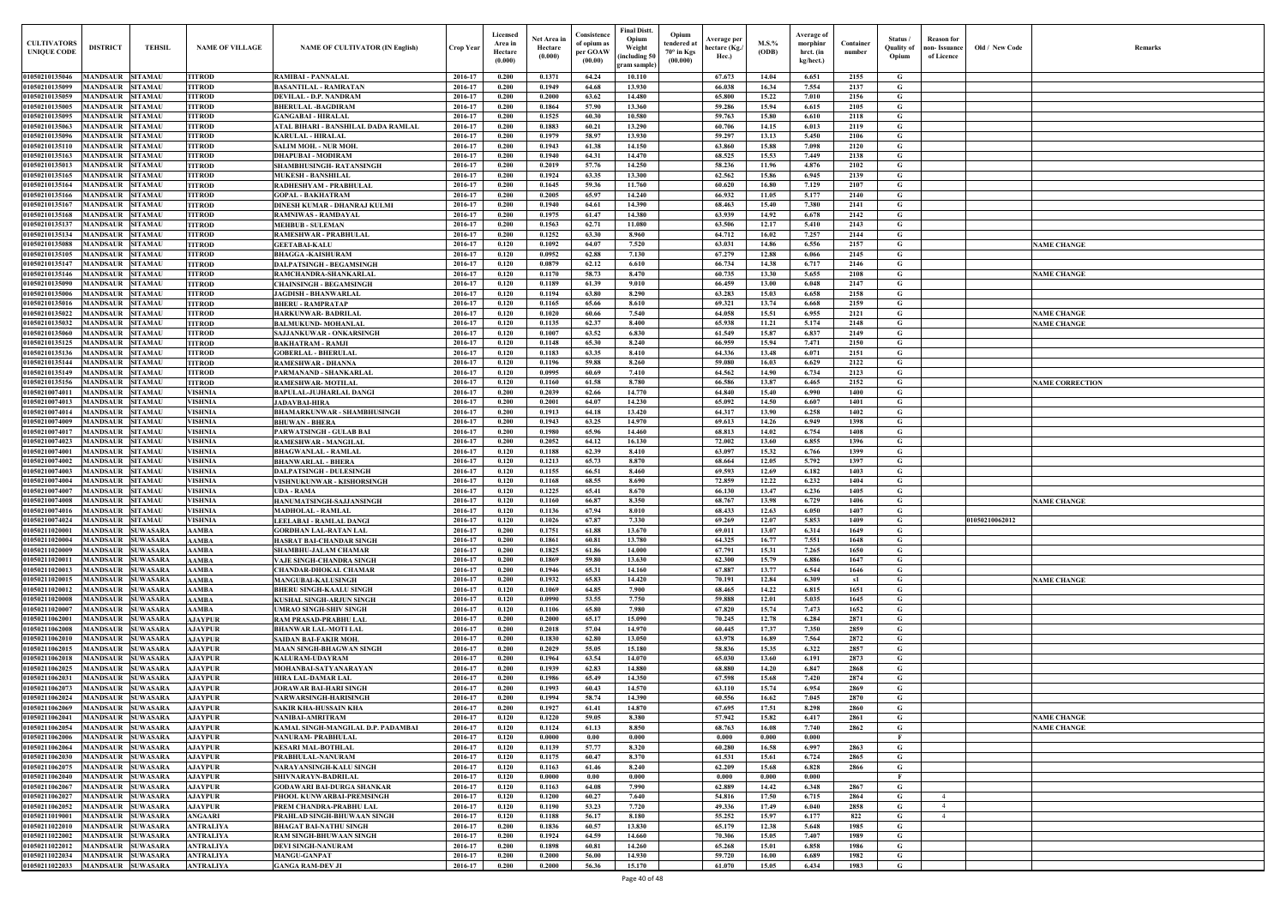| <b>CULTIVATORS</b><br><b>UNIQUE CODI</b> | <b>DISTRICT</b><br><b>TEHSIL</b>                                         | <b>NAME OF VILLAGE</b>           | <b>NAME OF CULTIVATOR (IN English)</b>                           | Crop Year          | Licensed<br>Area in<br>Hectare<br>(0.000) | Net Area in<br>Hectare<br>(0.000) | Consistence<br>of opium as<br>per GOAW<br>(00.00) | <b>Final Distt.</b><br>Opium<br>Opium<br>tendered at<br>Weight<br>70° in Kgs<br>including 50)<br>(00.000)<br>gram sample) | Average per<br>hectare (Kg./<br>Hec.) | $M.S.\%$<br>(ODB) | Average of<br>morphinr<br>hrct. (in<br>kg/hect.) | Container<br>number | Status /<br>Quality of<br>Opium | <b>Reason</b> for<br>non- Issuance<br>of Licence | Old / New Code | <b>Remark</b>          |
|------------------------------------------|--------------------------------------------------------------------------|----------------------------------|------------------------------------------------------------------|--------------------|-------------------------------------------|-----------------------------------|---------------------------------------------------|---------------------------------------------------------------------------------------------------------------------------|---------------------------------------|-------------------|--------------------------------------------------|---------------------|---------------------------------|--------------------------------------------------|----------------|------------------------|
| 01050210135046                           | <b>MANDSAUR SITAMAU</b>                                                  | <b>TITROD</b>                    | <b>RAMIBAI - PANNALAL</b>                                        | 2016-17            | 0.200                                     | 0.1371                            | 64.24                                             | 10.110                                                                                                                    | 67.673                                | 14.04             | 6.651                                            | 2155                | G                               |                                                  |                |                        |
| 01050210135099                           | <b>MANDSAUR</b><br><b>SITAMAU</b>                                        | <b>TITROD</b>                    | <b>BASANTILAL - RAMRATAN</b>                                     | 2016-17            | 0.200                                     | 0.1949                            | 64.68                                             | 13.930                                                                                                                    | 66.038                                | 16.34             | 7.554                                            | 2137                | G                               |                                                  |                |                        |
| 01050210135059                           | <b>SITAMAU</b><br><b>MANDSAUR</b>                                        | <b>TITROD</b>                    | DEVILAL - D.P. NANDRAM                                           | 2016-17            | 0.200                                     | 0.2000                            | 63.62                                             | 14.480                                                                                                                    | 65.800                                | 15.22             | 7.010                                            | 2156                | G                               |                                                  |                |                        |
| 01050210135005                           | <b>MANDSAUR</b><br><b>SITAMAU</b>                                        | <b>TITROD</b>                    | <b>BHERULAL-BAGDIRAM</b>                                         | 2016-17            | 0.200                                     | 0.1864                            | 57.90                                             | 13.360                                                                                                                    | 59.286                                | 15.94             | 6.615                                            | 2105                | G                               |                                                  |                |                        |
| 01050210135095<br>01050210135063         | <b>MANDSAUR</b><br><b>SITAMAU</b><br><b>MANDSAUR</b><br><b>SITAMAU</b>   | <b>TITROD</b><br><b>TITROD</b>   | <b>GANGABAI - HIRALAL</b><br>ATAL BIHARI - BANSHILAL DADA RAMLAL | 2016-17<br>2016-17 | 0.200<br>0.200                            | 0.1525<br>0.1883                  | 60.30<br>60.21                                    | 10.580<br>13.290                                                                                                          | 59.763<br>60.706                      | 15.80<br>14.15    | 6.610<br>6.013                                   | 2118<br>2119        | G<br>G                          |                                                  |                |                        |
| 01050210135096                           | <b>MANDSAUR</b><br><b>SITAMAU</b>                                        | <b>TITROD</b>                    | <b>KARULAL - HIRALAL</b>                                         | 2016-17            | 0.200                                     | 0.1979                            | 58.97                                             | 13.930                                                                                                                    | 59.297                                | 13.13             | 5.450                                            | 2106                | G                               |                                                  |                |                        |
| 01050210135110                           | <b>MANDSAUR</b><br><b>SITAMAU</b>                                        | <b>TITROD</b>                    | <b>SALIM MOH. - NUR MOH</b>                                      | 2016-17            | 0.200                                     | 0.1943                            | 61.38                                             | 14.150                                                                                                                    | 63.860                                | 15.88             | 7.098                                            | 2120                | G                               |                                                  |                |                        |
| 01050210135163                           | <b>SITAMAU</b><br>MANDSAUR                                               | <b>TITROD</b>                    | <b>DHAPUBAI - MODIRAM</b>                                        | 2016-17            | 0.200                                     | 0.1940                            | 64.31                                             | 14.470                                                                                                                    | 68.525                                | 15.53             | 7.449                                            | 2138                | G                               |                                                  |                |                        |
| 01050210135013                           | <b>MANDSAUR</b><br><b>SITAMAU</b>                                        | <b>TITROD</b>                    | <b>SHAMBHUSINGH- RATANSINGH</b>                                  | 2016-17            | 0.200                                     | 0.2019                            | 57.76                                             | 14.250                                                                                                                    | 58.236                                | 11.96             | 4.876                                            | 2102                | G                               |                                                  |                |                        |
| 01050210135165<br>01050210135164         | <b>MANDSAUR</b><br><b>SITAMAU</b><br><b>MANDSAUR</b><br><b>SITAMAU</b>   | <b>TITROD</b><br><b>TITROD</b>   | <b>MUKESH - BANSHILAL</b><br>RADHESHYAM - PRABHULAL              | 2016-17<br>2016-17 | 0.200<br>0.200                            | 0.1924<br>0.1645                  | 63.35<br>59.36                                    | 13.300<br>11.760                                                                                                          | 62.562<br>60.620                      | 15.86<br>16.80    | 6.945<br>7.129                                   | 2139<br>2107        | G<br>$\mathbf G$                |                                                  |                |                        |
| 01050210135166                           | MANDSAUR<br><b>SITAMAU</b>                                               | <b>TITROD</b>                    | <b>GOPAL - BAKHATRAM</b>                                         | 2016-17            | 0.200                                     | 0.2005                            | 65.97                                             | 14.240                                                                                                                    | 66.932                                | 11.05             | 5.177                                            | 2140                | G                               |                                                  |                |                        |
| 01050210135167                           | <b>MANDSAUR</b><br><b>SITAMAU</b>                                        | <b>TITROD</b>                    | DINESH KUMAR - DHANRAJ KULMI                                     | 2016-17            | 0.200                                     | 0.1940                            | 64.61                                             | 14.390                                                                                                                    | 68.463                                | 15.40             | 7.380                                            | 2141                | G                               |                                                  |                |                        |
| 01050210135168                           | MANDSAUR<br><b>SITAMAU</b>                                               | <b>TITROD</b>                    | RAMNIWAS - RAMDAYAL                                              | 2016-17            | 0.200                                     | 0.1975                            | 61.47                                             | 14.380                                                                                                                    | 63.939                                | 14.92             | 6.678                                            | 2142                | G                               |                                                  |                |                        |
| 01050210135137                           | MANDSAUR<br><b>SITAMAU</b>                                               | <b>TITROD</b>                    | <b>MEHBUB - SULEMAN</b>                                          | 2016-17            | 0.200                                     | 0.1563                            | 62.71                                             | 11.080                                                                                                                    | 63.506                                | 12.17             | 5.410                                            | 2143                | G                               |                                                  |                |                        |
| 01050210135134<br>01050210135088         | MANDSAUR<br><b>SITAMAU</b><br><b>MANDSAUR</b><br><b>SITAMAU</b>          | <b>TITROD</b><br><b>TITROD</b>   | <b>RAMESHWAR - PRABHULAI</b><br><b>GEETABAI-KALU</b>             | 2016-17<br>2016-17 | 0.200<br>0.120                            | 0.1252<br>0.1092                  | 63.30<br>64.07                                    | 8.960<br>7.520                                                                                                            | 64.712<br>63.031                      | 16.02<br>14.86    | 7.257<br>6.556                                   | 2144<br>2157        | G<br>G                          |                                                  |                | <b>VAME CHANGE</b>     |
| 01050210135105                           | <b>MANDSAUR</b><br><b>SITAMAU</b>                                        | <b>TITROD</b>                    | <b>BHAGGA-KAISHURAM</b>                                          | 2016-17            | 0.120                                     | 0.0952                            | 62.88                                             | 7.130                                                                                                                     | 67,279                                | 12.88             | 6.066                                            | 2145                | G                               |                                                  |                |                        |
| 01050210135147                           | MANDSAUR<br><b>SITAMAU</b>                                               | <b>TITROD</b>                    | DALPATSINGH - BEGAMSINGH                                         | 2016-17            | 0.120                                     | 0.0879                            | 62.12                                             | 6.610                                                                                                                     | 66.734                                | 14.38             | 6.717                                            | 2146                | G                               |                                                  |                |                        |
| 01050210135146                           | MANDSAUR<br><b>SITAMAU</b>                                               | <b>TITROD</b>                    | RAMCHANDRA-SHANKARLAL                                            | 2016-17            | 0.120                                     | 0.1170                            | 58.73                                             | 8.470                                                                                                                     | 60.735                                | 13.30             | 5.655                                            | 2108                | G                               |                                                  |                | <b>NAME CHANGE</b>     |
| 01050210135090                           | <b>MANDSAUR SITAMAU</b>                                                  | <b>TITROD</b>                    | <b>CHAINSINGH - BEGAMSINGH</b>                                   | 2016-17            | 0.120                                     | 0.1189                            | 61.39                                             | 9.010                                                                                                                     | 66.459                                | 13.00             | 6.048                                            | 2147                | G                               |                                                  |                |                        |
| 01050210135006<br>01050210135016         | <b>MANDSAUR</b><br><b>SITAMAU</b><br>MANDSAUR<br><b>SITAMAU</b>          | <b>TITROD</b><br><b>TITROD</b>   | <b>JAGDISH - BHANWARLAL</b>                                      | 2016-17<br>2016-17 | 0.120<br>0.120                            | 0.1194<br>0.1165                  | 63.80<br>65.66                                    | 8.290<br>8.610                                                                                                            | 63.283<br>69.321                      | 15.03<br>13.74    | 6.658<br>6.668                                   | 2158<br>2159        | G<br>G                          |                                                  |                |                        |
| 01050210135022                           | <b>MANDSAUR</b><br><b>SITAMAU</b>                                        | <b>TITROD</b>                    | <b>BHERU - RAMPRATAP</b><br><b>HARKUNWAR-BADRILAL</b>            | 2016-17            | 0.120                                     | 0.1020                            | 60.66                                             | 7.540                                                                                                                     | 64.058                                | 15.51             | 6.955                                            | 2121                | G                               |                                                  |                | <b>NAME CHANGE</b>     |
| 01050210135032                           | <b>MANDSAUR</b><br><b>SITAMAU</b>                                        | <b>TITROD</b>                    | <b>BALMUKUND- MOHANLAI</b>                                       | 2016-17            | 0.120                                     | 0.1135                            | 62.37                                             | 8.400                                                                                                                     | 65.938                                | 11.21             | 5.174                                            | 2148                | G                               |                                                  |                | <b>NAME CHANGE</b>     |
| 01050210135060                           | MANDSAUR<br><b>SITAMAU</b>                                               | <b>TITROD</b>                    | SAJJANKUWAR - ONKARSINGH                                         | 2016-17            | 0.120                                     | 0.1007                            | 63.52                                             | 6.830                                                                                                                     | 61.549                                | 15.87             | 6.837                                            | 2149                | G                               |                                                  |                |                        |
| 01050210135125                           | <b>SITAMAU</b><br><b>MANDSAUR</b>                                        | <b>TITROD</b>                    | <b>BAKHATRAM - RAMJI</b>                                         | 2016-17            | 0.120                                     | 0.1148                            | 65.30                                             | 8.240                                                                                                                     | 66.959                                | 15.94             | 7.471                                            | 2150                | G                               |                                                  |                |                        |
| 01050210135136                           | <b>SITAMAU</b><br>MANDSAUR                                               | <b>TITROD</b>                    | <b>GOBERLAL - BHERULAL</b>                                       | 2016-17            | 0.120                                     | 0.1183                            | 63.35                                             | 8.410                                                                                                                     | 64.336                                | 13.48             | 6.071                                            | 2151                | G                               |                                                  |                |                        |
| 01050210135144<br>01050210135149         | <b>MANDSAUR</b><br><b>SITAMAU</b><br><b>SITAMAU</b><br>MANDSAUR          | <b>TITROD</b><br><b>TITROD</b>   | <b>RAMESHWAR - DHANNA</b><br>PARMANAND - SHANKARLAI              | 2016-17<br>2016-17 | 0.120<br>0.120                            | 0.1196<br>0.0995                  | 59.88<br>60.69                                    | 8.260<br>7.410                                                                                                            | 59.080<br>64.562                      | 16.03<br>14.90    | 6.629<br>6.734                                   | 2122<br>2123        | G<br>$\mathbf G$                |                                                  |                |                        |
| 01050210135156                           | <b>MANDSAUR</b><br><b>SITAMAU</b>                                        | <b>TITROD</b>                    | <b>RAMESHWAR-MOTILAL</b>                                         | 2016-17            | 0.120                                     | 0.1160                            | 61.58                                             | 8.780                                                                                                                     | 66.586                                | 13.87             | 6.465                                            | 2152                | G                               |                                                  |                | <b>NAME CORRECTION</b> |
| 01050210074011                           | <b>MANDSAUR</b><br><b>SITAMAU</b>                                        | <b>VISHNIA</b>                   | <b>BAPULAL-JUJHARLAL DANGI</b>                                   | 2016-17            | 0.200                                     | 0.2039                            | 62.66                                             | 14.770                                                                                                                    | 64.840                                | 15.40             | 6.990                                            | 1400                | G                               |                                                  |                |                        |
| 01050210074013                           | <b>MANDSAUR</b><br><b>SITAMAU</b>                                        | <b>VISHNIA</b>                   | <b>JADAVBAI-HIRA</b>                                             | 2016-17            | 0.200                                     | 0.2001                            | 64.07                                             | 14.230                                                                                                                    | 65.092                                | 14.50             | 6.607                                            | 1401                | G                               |                                                  |                |                        |
| 01050210074014                           | <b>MANDSAUR</b><br><b>SITAMAU</b>                                        | <b>VISHNIA</b>                   | <b>BHAMARKUNWAR - SHAMBHUSINGH</b>                               | 2016-17            | 0.200                                     | 0.1913                            | 64.18                                             | 13.420                                                                                                                    | 64.317                                | 13.90             | 6.258                                            | 1402                | G                               |                                                  |                |                        |
| 01050210074009<br>01050210074017         | MANDSAUR<br><b>SITAMAU</b><br><b>MANDSAUR</b><br><b>SITAMAU</b>          | <b>VISHNIA</b><br><b>VISHNIA</b> | <b>BHUWAN - BHERA</b><br><b>PARWATSINGH - GULAB BAI</b>          | 2016-17<br>2016-17 | 0.200<br>0.200                            | 0.1943<br>0.1980                  | 63.25<br>65.96                                    | 14.970<br>14.460                                                                                                          | 69.613<br>68.813                      | 14.26<br>14.02    | 6.949<br>6.754                                   | 1398<br>1408        | G<br>G                          |                                                  |                |                        |
| 01050210074023                           | MANDSAUR<br><b>SITAMAU</b>                                               | <b>VISHNIA</b>                   | <b>RAMESHWAR - MANGILAI</b>                                      | 2016-17            | 0.200                                     | 0.2052                            | 64.12                                             | 16.130                                                                                                                    | 72.002                                | 13.60             | 6.855                                            | 1396                | G                               |                                                  |                |                        |
| 01050210074001                           | <b>MANDSAUR</b><br><b>SITAMAU</b>                                        | <b>VISHNIA</b>                   | <b>BHAGWANLAL - RAMLAI</b>                                       | 2016-17            | 0.120                                     | 0.1188                            | 62.39                                             | 8.410                                                                                                                     | 63.097                                | 15.32             | 6.766                                            | 1399                | G                               |                                                  |                |                        |
| 0105021007400                            | MANDSAUR<br><b>SITAMAU</b>                                               | VISHNIA                          | <b>BHANWARLAL - BHERA</b>                                        | 2016-17            | 0.120                                     | 0.1213                            | 65.73                                             | 8.870                                                                                                                     | 68.664                                | 12.05             | 5.792                                            | 1397                | G                               |                                                  |                |                        |
| 0105021007400.                           | MANDSAUR<br><b>SITAMAU</b>                                               | <b>VISHNIA</b>                   | <b>DALPATSINGH - DULESINGH</b>                                   | 2016-17            | 0.120                                     | 0.1155                            | 66.51                                             | 8.460                                                                                                                     | 69.593                                | 12.69             | 6.182                                            | 1403                | G                               |                                                  |                |                        |
| 01050210074004<br>0105021007400          | MANDSAUR<br><b>SITAMAU</b><br><b>MANDSAUR</b><br><b>SITAMAU</b>          | VISHNIA<br>VISHNIA               | VISHNUKUNWAR - KISHORSINGH                                       | 2016-17<br>2016-17 | 0.120<br>0.120                            | 0.1168<br>0.1225                  | 68.55<br>65.41                                    | 8.690<br>8.670                                                                                                            | 72.859<br>66.130                      | 12.22<br>13.47    | 6.232<br>6.236                                   | 1404<br>1405        | G<br>G                          |                                                  |                |                        |
| 01050210074008                           | MANDSAUR<br><b>SITAMAU</b>                                               | <b>VISHNIA</b>                   | <b>UDA - RAMA</b><br>HANUMATSINGH-SAJJANSINGH                    | 2016-17            | 0.120                                     | 0.1160                            | 66.87                                             | 8.350                                                                                                                     | 68.767                                | 13.98             | 6.729                                            | 1406                | G                               |                                                  |                | <b>NAME CHANGE</b>     |
|                                          | 01050210074016 MANDSAUR SITAMAU                                          | <b>VISHNIA</b>                   | <b>MADHOLAL - RAMLAL</b>                                         | 2016-17            | 0.120                                     | 0.1136                            | 67.94                                             | 8.010                                                                                                                     | 68.433                                | 12.63             | 6.050                                            | 1407                | G                               |                                                  |                |                        |
| 01050210074024                           | MANDSAUR SITAMAU                                                         | <b>VISHNIA</b>                   | LEELABAI - RAMLAL DANGI                                          | 2016-17            | 0.120                                     | 0.1026                            | 67.87                                             | 7.330                                                                                                                     | 69.269                                | 12.07             | 5.853                                            | 1409                | G                               |                                                  | 01050210062012 |                        |
| 01050211020001                           | MANDSAUR SUWASARA                                                        | <b>AAMBA</b>                     | <b>GORDHAN LAL-RATAN LAL</b>                                     | 2016-17            | 0.200                                     | 0.1751                            | 61.88                                             | 13.670                                                                                                                    | 69.011                                | 13.07             | 6.314                                            | 1649                | G                               |                                                  |                |                        |
| 01050211020004<br>01050211020009         | <b>MANDSAUR SUWASARA</b><br><b>MANDSAUR SUWASARA</b>                     | <b>AAMBA</b><br><b>AAMBA</b>     | HASRAT BAI-CHANDAR SINGH<br>SHAMBHU-JALAM CHAMAR                 | 2016-17<br>2016-17 | 0.200<br>0.200                            | 0.1861<br>0.1825                  | 60.81<br>61.86                                    | 13.780<br>14.000                                                                                                          | 64.325                                | 16.77<br>15.31    | 7.551<br>7.265                                   | 1648<br>1650        | G<br>$\mathbf G$                |                                                  |                |                        |
| 01050211020011                           | <b>MANDSAUR SUWASARA</b>                                                 | <b>AAMBA</b>                     | <b>VAJE SINGH-CHANDRA SINGH</b>                                  | 2016-17            | 0.200                                     | 0.1869                            | 59.80                                             | 13.630                                                                                                                    | 67.791<br>62.300                      | 15.79             | 6.886                                            | 1647                | $\mathbf G$                     |                                                  |                |                        |
| 01050211020013                           | <b>MANDSAUR SUWASARA</b>                                                 | <b>AAMBA</b>                     | <b>CHANDAR-DHOKAL CHAMAR</b>                                     | 2016-17            | 0.200                                     | 0.1946                            | 65.31                                             | 14.160                                                                                                                    | 67.887                                | 13.77             | 6.544                                            | 1646                | $\mathbf G$                     |                                                  |                |                        |
| 01050211020015                           | <b>MANDSAUR</b><br><b>SUWASARA</b>                                       | <b>AAMBA</b>                     | <b>MANGUBAI-KALUSINGH</b>                                        | 2016-17            | 0.200                                     | 0.1932                            | 65.83                                             | 14.420                                                                                                                    | 70.191                                | 12.84             | 6.309                                            | s1                  | $\mathbf G$                     |                                                  |                | <b>NAME CHANGE</b>     |
| 01050211020012                           | MANDSAUR SUWASARA                                                        | <b>AAMBA</b>                     | <b>BHERU SINGH-KAALU SINGH</b>                                   | 2016-17            | 0.120                                     | 0.1069                            | 64.85                                             | 7.900                                                                                                                     | 68.465                                | 14.22             | 6.815                                            | 1651                | G                               |                                                  |                |                        |
| 01050211020008                           | <b>MANDSAUR</b><br><b>SUWASARA</b>                                       | <b>AAMBA</b>                     | KUSHAL SINGH-ARJUN SINGH                                         | 2016-17            | 0.120                                     | 0.0990                            | 53.55                                             | 7.750                                                                                                                     | 59.888                                | 12.01             | 5.035                                            | 1645                | $\mathbf G$                     |                                                  |                |                        |
| 01050211020007<br>01050211062001         | <b>MANDSAUR</b><br><b>SUWASARA</b><br><b>MANDSAUR SUWASARA</b>           | <b>AAMBA</b><br><b>AJAYPUR</b>   | <b>UMRAO SINGH-SHIV SINGH</b><br>RAM PRASAD-PRABHU LAL           | 2016-17<br>2016-17 | 0.120<br>0.200                            | 0.1106<br>0.2000                  | 65.80<br>65.17                                    | 7.980<br>15.090                                                                                                           | 67.820<br>70.245                      | 15.74<br>12.78    | 7.473<br>6.284                                   | 1652<br>2871        | $\mathbf G$<br>$\mathbf G$      |                                                  |                |                        |
| 01050211062008                           | <b>MANDSAUR SUWASARA</b>                                                 | <b>AJAYPUR</b>                   | <b>BHANWAR LAL-MOTI LAL</b>                                      | 2016-17            | 0.200                                     | 0.2018                            | 57.04                                             | 14.970                                                                                                                    | 60.445                                | 17.37             | 7.350                                            | 2859                | G                               |                                                  |                |                        |
| 01050211062010                           | <b>MANDSAUR</b><br><b>SUWASARA</b>                                       | <b>AJAYPUR</b>                   | SAIDAN BAI-FAKIR MOH.                                            | 2016-17            | 0.200                                     | 0.1830                            | 62.80                                             | 13.050                                                                                                                    | 63.978                                | 16.89             | 7.564                                            | 2872                | $\mathbf G$                     |                                                  |                |                        |
| 01050211062015                           | <b>MANDSAUR</b><br><b>SUWASARA</b>                                       | <b>AJAYPUR</b>                   | <b>MAAN SINGH-BHAGWAN SINGH</b>                                  | 2016-17            | 0.200                                     | 0.2029                            | 55.05                                             | 15.180                                                                                                                    | 58.836                                | 15.35             | 6.322                                            | 2857                | $\mathbf G$                     |                                                  |                |                        |
| 01050211062018                           | MANDSAUR SUWASARA                                                        | <b>AJAYPUR</b>                   | <b>KALURAM-UDAYRAM</b>                                           | 2016-17            | 0.200                                     | 0.1964                            | 63.54                                             | 14.070                                                                                                                    | 65.030                                | 13.60             | 6.191                                            | 2873                | $\mathbf G$                     |                                                  |                |                        |
| 01050211062025<br>01050211062031         | <b>MANDSAUR</b><br><b>SUWASARA</b><br><b>MANDSAUR</b><br><b>SUWASARA</b> | <b>AJAYPUR</b><br><b>AJAYPUR</b> | MOHANBAI-SATYANARAYAN<br><b>HIRA LAL-DAMAR LAL</b>               | 2016-17<br>2016-17 | 0.200<br>0.200                            | 0.1939<br>0.1986                  | 62.83<br>65.49                                    | 14.880<br>14.350                                                                                                          | 68.880<br>67.598                      | 14.20<br>15.68    | 6.847<br>7.420                                   | 2868<br>2874        | $\mathbf G$<br>$\mathbf G$      |                                                  |                |                        |
| 01050211062073                           | <b>MANDSAUR</b><br><b>SUWASARA</b>                                       | <b>AJAYPUR</b>                   | <b>JORAWAR BAI-HARI SINGH</b>                                    | 2016-17            | 0.200                                     | 0.1993                            | 60.43                                             | 14.570                                                                                                                    | 63.110                                | 15.74             | 6.954                                            | 2869                | G                               |                                                  |                |                        |
| 01050211062024                           | <b>MANDSAUR</b><br><b>SUWASARA</b>                                       | <b>AJAYPUR</b>                   | NARWARSINGH-HARISINGH                                            | 2016-17            | 0.200                                     | 0.1994                            | 58.74                                             | 14.390                                                                                                                    | 60.556                                | 16.62             | 7.045                                            | 2870                | G                               |                                                  |                |                        |
| 01050211062069                           | <b>MANDSAUR</b><br><b>SUWASARA</b>                                       | <b>AJAYPUR</b>                   | <b>SAKIR KHA-HUSSAIN KHA</b>                                     | 2016-17            | 0.200                                     | 0.1927                            | 61.41                                             | 14.870                                                                                                                    | 67.695                                | 17.51             | 8.298                                            | 2860                | G                               |                                                  |                |                        |
| 01050211062041                           | <b>SUWASARA</b><br><b>MANDSAUR</b>                                       | <b>AJAYPUR</b>                   | NANIBAI-AMRITRAM                                                 | 2016-17            | 0.120                                     | 0.1220                            | 59.05                                             | 8.380                                                                                                                     | 57.942                                | 15.82             | 6.417                                            | 2861                | G                               |                                                  |                | <b>NAME CHANGE</b>     |
| 01050211062054                           | <b>MANDSAUR</b><br><b>SUWASARA</b>                                       | <b>AJAYPUR</b>                   | KAMAL SINGH-MANGILAL D.P. PADAMBAI                               | 2016-17            | 0.120                                     | 0.1124                            | 61.13                                             | 8.850                                                                                                                     | 68.763                                | 16.08             | 7.740                                            | 2862                | G<br>- F                        |                                                  |                | <b>NAME CHANGE</b>     |
| 01050211062006<br>01050211062064         | <b>MANDSAUR SUWASARA</b><br>MANDSAUR SUWASARA                            | <b>AJAYPUR</b><br><b>AJAYPUR</b> | NANURAM- PRABHULAL<br><b>KESARI MAL-BOTHLAL</b>                  | 2016-17<br>2016-17 | 0.120<br>0.120                            | 0.0000<br>0.1139                  | 0.00<br>57.77                                     | 0.000<br>8.320                                                                                                            | 0.000<br>60.280                       | 0.000<br>16.58    | 0.000<br>6.997                                   | 2863                | G                               |                                                  |                |                        |
| 01050211062030                           | MANDSAUR SUWASARA                                                        | <b>AJAYPUR</b>                   | PRABHULAL-NANURAM                                                | 2016-17            | 0.120                                     | 0.1175                            | 60.47                                             | 8.370                                                                                                                     | 61.531                                | 15.61             | 6.724                                            | 2865                | $\mathbf G$                     |                                                  |                |                        |
| 01050211062075                           | MANDSAUR SUWASARA                                                        | <b>AJAYPUR</b>                   | NARAYANSINGH-KALU SINGH                                          | 2016-17            | 0.120                                     | 0.1163                            | 61.46                                             | 8.240                                                                                                                     | 62.209                                | 15.68             | 6.828                                            | 2866                | G                               |                                                  |                |                        |
| 01050211062040                           | <b>MANDSAUR SUWASARA</b>                                                 | <b>AJAYPUR</b>                   | SHIVNARAYN-BADRILAL                                              | 2016-17            | 0.120                                     | 0.0000                            | 0.00                                              | 0.000                                                                                                                     | 0.000                                 | 0.000             | 0.000                                            |                     | $\mathbf{F}$                    |                                                  |                |                        |
| 01050211062067                           | <b>MANDSAUR</b><br><b>SUWASARA</b>                                       | <b>AJAYPUR</b>                   | <b>GODAWARI BAI-DURGA SHANKAR</b>                                | 2016-17            | 0.120                                     | 0.1163                            | 64.08                                             | 7.990                                                                                                                     | 62.889                                | 14.42             | 6.348                                            | 2867                | $\mathbf G$                     |                                                  |                |                        |
| 01050211062027<br>01050211062052         | MANDSAUR SUWASARA<br><b>MANDSAUR SUWASARA</b>                            | <b>AJAYPUR</b><br><b>AJAYPUR</b> | PHOOL KUNWARBAI-PREMSINGH                                        | 2016-17<br>2016-17 | 0.120<br>0.120                            | 0.1200<br>0.1190                  | 60.27<br>53.23                                    | 7.640<br>7.720                                                                                                            | 54.816<br>49.336                      | 17.50<br>17.49    | 6.715<br>6.040                                   | 2864<br>2858        | G<br>G                          | $\overline{4}$<br>$\overline{4}$                 |                |                        |
| 01050211019001                           | <b>MANDSAUR</b><br><b>SUWASARA</b>                                       | <b>ANGAARI</b>                   | PREM CHANDRA-PRABHU LAL<br>PRAHLAD SINGH-BHUWAAN SINGH           | 2016-17            | 0.120                                     | 0.1188                            | 56.17                                             | 8.180                                                                                                                     | 55,252                                | 15.97             | 6.177                                            | 822                 | $\mathbf G$                     | 4                                                |                |                        |
| 01050211022010                           | <b>MANDSAUR</b><br><b>SUWASARA</b>                                       | <b>ANTRALIYA</b>                 | <b>BHAGAT BAI-NATHU SINGH</b>                                    | 2016-17            | 0.200                                     | 0.1836                            | 60.57                                             | 13.830                                                                                                                    | 65.179                                | 12.38             | 5.648                                            | 1985                | G                               |                                                  |                |                        |
| 01050211022002                           | <b>MANDSAUR</b><br><b>SUWASARA</b>                                       | <b>ANTRALIYA</b>                 | <b>RAM SINGH-BHUWAAN SINGH</b>                                   | 2016-17            | 0.200                                     | 0.1924                            | 64.59                                             | 14.660                                                                                                                    | 70.306                                | 15.05             | 7.407                                            | 1989                | G                               |                                                  |                |                        |
| 01050211022012                           | <b>MANDSAUR</b><br><b>SUWASARA</b>                                       | <b>ANTRALIYA</b>                 | <b>DEVI SINGH-NANURAM</b>                                        | 2016-17            | 0.200                                     | 0.1898                            | 60.81                                             | 14.260                                                                                                                    | 65.268                                | 15.01             | 6.858                                            | 1986                | $\mathbf G$                     |                                                  |                |                        |
| 01050211022034                           | MANDSAUR SUWASARA                                                        | <b>ANTRALIYA</b>                 | <b>MANGU-GANPAT</b>                                              | 2016-17            | 0.200                                     | 0.2000                            | 56.00                                             | 14.930                                                                                                                    | 59.720                                | 16.00             | 6.689                                            | 1982                | $\mathbf{G}$                    |                                                  |                |                        |
| 01050211022033                           | MANDSAUR SUWASARA                                                        | <b>ANTRALIYA</b>                 | <b>GANGA RAM-DEV JI</b>                                          | 2016-17            | 0.200                                     | 0.2000                            | 56.36                                             | 15.170                                                                                                                    | 61.070                                | 15.05             | 6.434                                            | 1983                | $\mathbf G$                     |                                                  |                |                        |

| Old / New Code | Remarks                |
|----------------|------------------------|
|                |                        |
|                |                        |
|                |                        |
|                |                        |
|                |                        |
|                |                        |
|                |                        |
|                |                        |
|                |                        |
|                |                        |
|                |                        |
|                |                        |
|                |                        |
|                | <b>NAME CHANGE</b>     |
|                |                        |
|                |                        |
|                | <b>NAME CHANGE</b>     |
|                |                        |
|                |                        |
|                | <b>NAME CHANGE</b>     |
|                | <b>NAME CHANGE</b>     |
|                |                        |
|                |                        |
|                |                        |
|                | <b>NAME CORRECTION</b> |
|                |                        |
|                |                        |
|                |                        |
|                |                        |
|                |                        |
|                |                        |
|                |                        |
|                |                        |
|                | <b>NAME CHANGE</b>     |
|                |                        |
| 01050210062012 |                        |
|                |                        |
|                |                        |
|                |                        |
|                |                        |
|                | <b>NAME CHANGE</b>     |
|                |                        |
|                |                        |
|                |                        |
|                |                        |
|                |                        |
|                |                        |
|                |                        |
|                |                        |
|                |                        |
|                | <b>NAME CHANGE</b>     |
|                | <b>NAME CHANGE</b>     |
|                |                        |
|                |                        |
|                |                        |
|                |                        |
|                |                        |
|                |                        |
|                |                        |
|                |                        |
|                |                        |
|                |                        |
|                |                        |
|                |                        |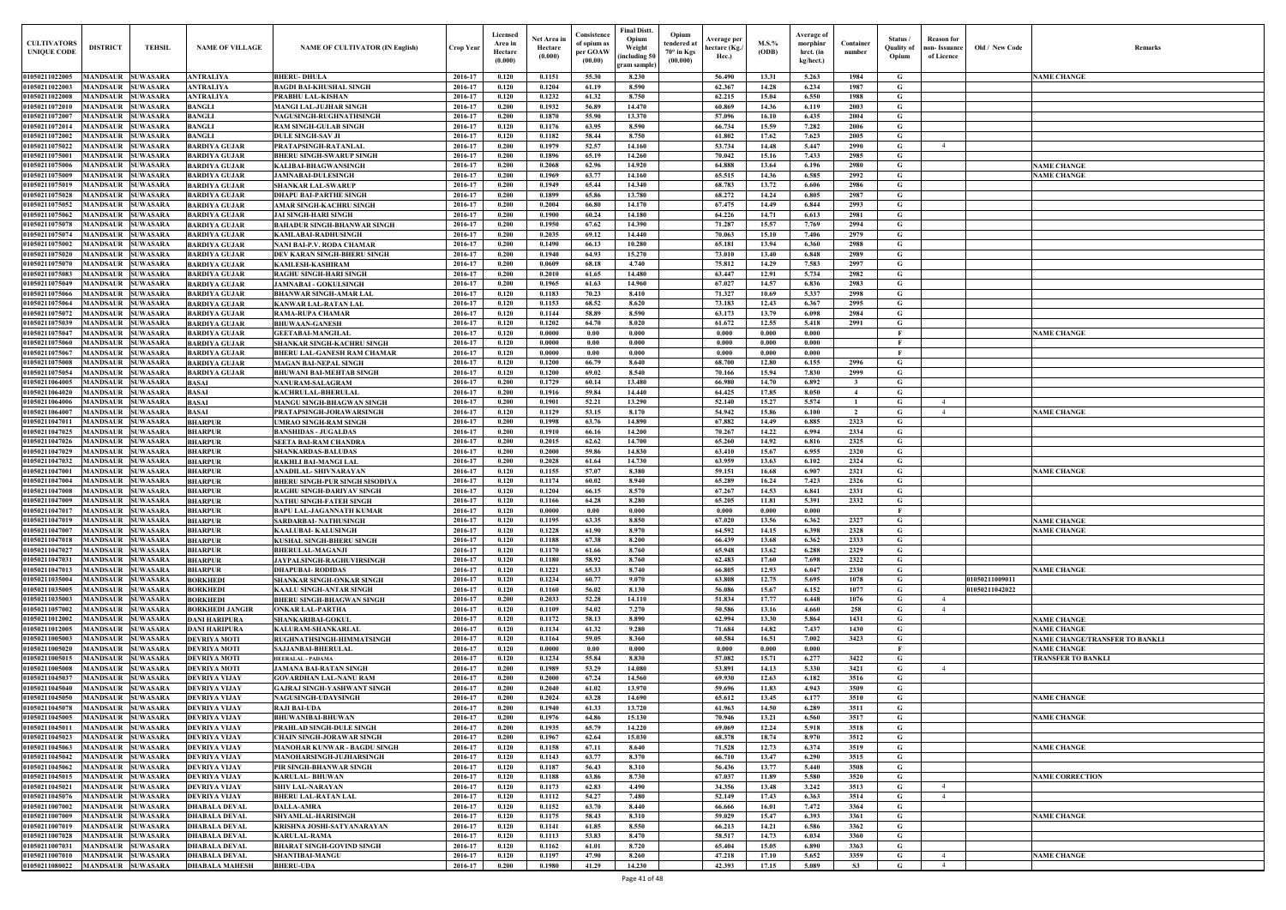|                                                    |                                               |                                    |                                              |                                                                    |                    | Licensed           |                       | Consistence                  | Final Distt.     | Opium                                       |                | Average of             |                                  |                     |                                   |                |                                                 |
|----------------------------------------------------|-----------------------------------------------|------------------------------------|----------------------------------------------|--------------------------------------------------------------------|--------------------|--------------------|-----------------------|------------------------------|------------------|---------------------------------------------|----------------|------------------------|----------------------------------|---------------------|-----------------------------------|----------------|-------------------------------------------------|
| <b>CULTIVATORS</b>                                 | <b>DISTRICT</b>                               | <b>TEHSIL</b>                      | <b>NAME OF VILLAGE</b>                       | <b>NAME OF CULTIVATOR (IN English)</b>                             | Crop Year          | Area in            | Net Area i<br>Hectare | of opium as                  | Opium<br>Weight  | Average per<br>tendered at<br>hectare (Kg./ | $M.S.$ %       | morphinr               | Container                        | Status<br>Ouality o | <b>Reason</b> for<br>non-Issuance | Old / New Code | Remarks                                         |
| <b>UNIQUE CODE</b>                                 |                                               |                                    |                                              |                                                                    |                    | Hectare<br>(0.000) | (0.000)               | per GOAW<br>(00.00)          | including 50)    | $70^\circ$ in Kgs<br>Hec.)<br>(00.000)      | (ODB)          | hrct. (in<br>kg/hect.) | number                           | Opium               | of Licence                        |                |                                                 |
|                                                    |                                               |                                    |                                              |                                                                    |                    |                    |                       |                              | gram sample      |                                             |                |                        |                                  |                     |                                   |                |                                                 |
| 01050211022005<br>01050211022003                   | MANDSAUR SUWASARA<br>MANDSAUR SUWASARA        |                                    | <b>ANTRALIYA</b><br><b>ANTRALIYA</b>         | <b>BHERU-DHULA</b><br><b>BAGDI BAI-KHUSHAL SINGH</b>               | 2016-17<br>2016-17 | 0.120<br>0.120     | 0.1151<br>0.1204      | 55.30<br>61.19               | 8.230<br>8.590   | 56.490<br>62.367                            | 13.31<br>14.28 | 5.263<br>6.234         | 1984<br>1987                     | G<br>G              |                                   |                | <b>NAME CHANGE</b>                              |
| 01050211022008                                     | <b>MANDSAUR SUWASARA</b>                      |                                    | <b>ANTRALIYA</b>                             | PRABHU LAL-KISHAN                                                  | 2016-17            | 0.120              | 0.1232                | 61.32                        | 8.750            | 62.215                                      | 15.04          | 6.550                  | 1988                             | G                   |                                   |                |                                                 |
| 01050211072010                                     | MANDSAUR                                      | <b>SUWASARA</b>                    | <b>BANGLI</b>                                | <b>MANGI LAL-JUJHAR SINGH</b>                                      | 2016-17            | 0.200              | 0.1932                | 56.89                        | 14.470           | 60.869                                      | 14.36          | 6.119                  | 2003                             | G                   |                                   |                |                                                 |
| 0105021107200                                      | <b>MANDSAUR</b>                               | <b>SUWASARA</b>                    | <b>BANGLI</b>                                | NAGUSINGH-RUGHNATHSINGH                                            | 2016-17            | 0.200              | 0.1870                | 55.90                        | 13.370           | 57.096                                      | 16.10          | 6.435                  | 2004                             | G                   |                                   |                |                                                 |
| 01050211072014                                     | <b>MANDSAUR</b>                               | <b>SUWASARA</b>                    | <b>BANGLI</b>                                | <b>RAM SINGH-GULAB SINGH</b>                                       | 2016-17            | 0.120              | 0.1176                | 63.95                        | 8.590            | 66.734                                      | 15.59          | 7.282                  | 2006                             | G                   |                                   |                |                                                 |
| 01050211072002<br>01050211075022                   | <b>MANDSAUR</b><br><b>MANDSAUR</b>            | <b>SUWASARA</b><br><b>SUWASARA</b> | <b>BANGLI</b><br><b>BARDIYA GUJAR</b>        | <b>DULE SINGH-SAV JI</b>                                           | 2016-17<br>2016-17 | 0.120<br>0.200     | 0.1182<br>0.1979      | 58.44<br>52.57               | 8.750<br>14.160  | 61.802<br>53.734                            | 17.62<br>14.48 | 7.623<br>5.447         | 2005<br>2990                     | G<br>G              | $\overline{4}$                    |                |                                                 |
| 01050211075001                                     | <b>MANDSAUR</b>                               | <b>SUWASARA</b>                    | <b>BARDIYA GUJAR</b>                         | PRATAPSINGH-RATANLAL<br><b>BHERU SINGH-SWARUP SINGH</b>            | 2016-17            | 0.200              | 0.1896                | 65.19                        | 14.260           | 70.042                                      | 15.16          | 7.433                  | 2985                             | G                   |                                   |                |                                                 |
| 01050211075006                                     | <b>MANDSAUR</b>                               | <b>SUWASARA</b>                    | <b>BARDIYA GUJAR</b>                         | <b>KALIBAI-BHAGWANSINGH</b>                                        | 2016-17            | 0.200              | 0.2068                | 62.96                        | 14.920           | 64.888                                      | 13.64          | 6.196                  | 2980                             | G                   |                                   |                | <b>NAME CHANGE</b>                              |
| 01050211075009                                     | <b>MANDSAUR</b>                               | <b>SUWASARA</b>                    | <b>BARDIYA GUJAR</b>                         | <b>JAMNABAI-DULESINGH</b>                                          | 2016-17            | 0.200              | 0.1969                | 63.77                        | 14.160           | 65.515                                      | 14.36          | 6.585                  | 2992                             | G                   |                                   |                | <b>NAME CHANGE</b>                              |
| 01050211075019                                     | <b>MANDSAUR</b>                               | <b>SUWASARA</b>                    | <b>BARDIYA GUJAR</b>                         | <b>SHANKAR LAL-SWARUP</b>                                          | 2016-17            | 0.200              | 0.1949                | 65.44                        | 14.340           | 68.783                                      | 13.72          | 6.606                  | 2986                             | G                   |                                   |                |                                                 |
| 01050211075028                                     | <b>MANDSAUR</b>                               | <b>SUWASARA</b>                    | <b>BARDIYA GUJAR</b>                         | <b>DHAPU BAI-PARTHE SINGH</b>                                      | 2016-17            | 0.200              | 0.1899                | 65.86                        | 13.780           | 68,272                                      | 14.24          | 6.805                  | 2987                             | G                   |                                   |                |                                                 |
| 01050211075052<br>01050211075062                   | <b>MANDSAUR</b><br><b>MANDSAUR</b>            | <b>SUWASARA</b><br><b>SUWASARA</b> | <b>BARDIYA GUJAR</b><br><b>BARDIYA GUJAR</b> | <b>AMAR SINGH-KACHRU SINGH</b><br>JAI SINGH-HARI SINGH             | 2016-17<br>2016-17 | 0.200<br>0.200     | 0.2004<br>0.1900      | 66.80<br>60.24               | 14.170<br>14.180 | 67,475<br>64.226                            | 14.49<br>14.71 | 6.844<br>6.613         | 2993<br>2981                     | G<br>G              |                                   |                |                                                 |
| 0105021107507                                      | <b>MANDSAUR</b>                               | <b>SUWASARA</b>                    | <b>BARDIYA GUJAR</b>                         | BAHADUR SINGH-BHANWAR SINGH                                        | 2016-17            | 0.200              | 0.1950                | 67.62                        | 14.390           | 71.287                                      | 15.57          | 7.769                  | 2994                             | G                   |                                   |                |                                                 |
| 0105021107507                                      | <b>MANDSAUR</b>                               | <b>SUWASARA</b>                    | <b>BARDIYA GUJAR</b>                         | KAMLABAI-RADHUSINGH                                                | 2016-17            | 0.200              | 0.2035                | 69.12                        | 14.440           | 70.063                                      | 15.10          | 7.406                  | 2979                             | G                   |                                   |                |                                                 |
| 01050211075002                                     | <b>MANDSAUR</b>                               | <b>SUWASARA</b>                    | <b>BARDIYA GUJAR</b>                         | NANI BAI-P.V. RODA CHAMAR                                          | 2016-17            | 0.200              | 0.1490                | 66.13                        | 10.280           | 65.181                                      | 13.94          | 6.360                  | 2988                             | G                   |                                   |                |                                                 |
| 01050211075020                                     | <b>MANDSAUR</b>                               | <b>SUWASARA</b>                    | <b>BARDIYA GUJAR</b>                         | DEV KARAN SINGH-BHERU SINGH                                        | 2016-17            | 0.200              | 0.1940                | 64.93                        | 15.270           | 73.010                                      | 13.40          | 6.848                  | 2989                             | G                   |                                   |                |                                                 |
| 01050211075070<br>01050211075083                   | <b>MANDSAUR SUWASARA</b><br>MANDSAUR SUWASARA |                                    | <b>BARDIYA GUJAR</b><br><b>BARDIYA GUJAR</b> | <b>KAMLESH-KASHIRAM</b><br><b>RAGHU SINGH-HARI SINGH</b>           | 2016-17<br>2016-17 | 0.200<br>0.200     | 0.0609<br>0.2010      | 68.18<br>61.65               | 4.740<br>14.480  | 75.812<br>63.447                            | 14.29<br>12.91 | 7.583<br>5.734         | 2997<br>2982                     | G<br>G              |                                   |                |                                                 |
| 01050211075049                                     | MANDSAUR SUWASARA                             |                                    | <b>BARDIYA GUJAR</b>                         | <b>JAMNABAI - GOKULSINGH</b>                                       | 2016-17            | 0.200              | 0.1965                | 61.63                        | 14.960           | 67.027                                      | 14.57          | 6.836                  | 2983                             | G                   |                                   |                |                                                 |
| 01050211075066                                     | <b>MANDSAUR SUWASARA</b>                      |                                    | <b>BARDIYA GUJAR</b>                         | <b>BHANWAR SINGH-AMAR LAI</b>                                      | 2016-17            | 0.120              | 0.1183                | 70.23                        | 8.410            | 71.327                                      | 10.69          | 5.337                  | 2998                             | G                   |                                   |                |                                                 |
| 01050211075064                                     | MANDSAUR SUWASARA                             |                                    | <b>BARDIYA GUJAR</b>                         | <b>KANWAR LAL-RATAN LAL</b>                                        | 2016-17            | 0.120              | 0.1153                | 68.52                        | 8.620            | 73.183                                      | 12.43          | 6.367                  | 2995                             | G                   |                                   |                |                                                 |
| 01050211075072                                     | MANDSAUR SUWASARA                             |                                    | <b>BARDIYA GUJAR</b>                         | <b>RAMA-RUPA CHAMAR</b>                                            | 2016-17            | 0.120              | 0.1144                | 58.89                        | 8.590            | 63.173                                      | 13.79          | 6.098                  | 2984                             | G                   |                                   |                |                                                 |
| 01050211075039                                     | MANDSAUR SUWASARA                             |                                    | <b>BARDIYA GUJAR</b>                         | <b>BHUWAAN-GANESH</b>                                              | 2016-17            | 0.120              | 0.1202                | 64.70                        | 8.020            | 61.672                                      | 12.55          | 5.418                  | 2991                             | G<br>- F            |                                   |                |                                                 |
| 01050211075047<br>01050211075060                   | MANDSAUR SUWASARA<br>MANDSAUR                 | <b>SUWASARA</b>                    | <b>BARDIYA GUJAR</b><br><b>BARDIYA GUJAR</b> | <b>GEETABAI-MANGILAL</b><br>SHANKAR SINGH-KACHRU SINGH             | 2016-17<br>2016-17 | 0.120<br>0.120     | 0.0000<br>0.0000      | 0.00<br>0.00                 | 0.000<br>0.000   | 0.000<br>0.000                              | 0.000<br>0.000 | 0.000<br>0.000         |                                  | $\mathbf{F}$        |                                   |                | <b>NAME CHANGE</b>                              |
| 0105021107506                                      | <b>MANDSAUR</b>                               | <b>SUWASARA</b>                    | <b>BARDIYA GUJAR</b>                         | <b>BHERU LAL-GANESH RAM CHAMAR</b>                                 | 2016-17            | 0.120              | 0.0000                | 0.00                         | 0.000            | 0.000                                       | 0.000          | 0.000                  |                                  | $\mathbf{F}$        |                                   |                |                                                 |
| 01050211075008                                     | <b>MANDSAUR</b>                               | <b>SUWASARA</b>                    | <b>BARDIYA GUJAR</b>                         | <b>MAGAN BAI-NEPAL SINGH</b>                                       | 2016-17            | 0.120              | 0.1200                | 66.79                        | 8.640            | 68.700                                      | 12.80          | 6.155                  | 2996                             | G                   |                                   |                |                                                 |
| 01050211075054                                     | <b>MANDSAUR</b>                               | <b>SUWASARA</b>                    | <b>BARDIYA GUJAR</b>                         | <b>BHUWANI BAI-MEHTAB SINGH</b>                                    | 2016-17            | 0.120              | 0.1200                | 69.02                        | 8.540            | 70.166                                      | 15.94          | 7.830                  | 2999                             | G                   |                                   |                |                                                 |
| 01050211064005                                     | <b>MANDSAUR</b>                               | <b>SUWASARA</b>                    | <b>BASAI</b>                                 | <b>NANURAM-SALAGRAM</b>                                            | 2016-17            | 0.200              | 0.1729                | 60.14                        | 13.480           | 66.980                                      | 14.70          | 6.892                  | $\mathbf{3}$                     | G                   |                                   |                |                                                 |
| 01050211064020<br>01050211064006                   | <b>MANDSAUR</b><br><b>MANDSAUR</b>            | <b>SUWASARA</b><br><b>SUWASARA</b> | <b>BASAI</b><br><b>BASAI</b>                 | <b>KACHRULAL-BHERULAI</b><br><b>MANGU SINGH-BHAGWAN SINGH</b>      | 2016-17<br>2016-17 | 0.200<br>0.200     | 0.1916<br>0.1901      | 59.84<br>52.21               | 14.440<br>13.290 | 64.425<br>52.140                            | 17.85<br>15.27 | 8.050<br>5.574         | $\overline{4}$<br>$\overline{1}$ | G<br>G              | $\overline{4}$                    |                |                                                 |
| 01050211064007                                     | <b>MANDSAUR</b>                               | <b>SUWASARA</b>                    | <b>BASAI</b>                                 | PRATAPSINGH-JORAWARSINGH                                           | 2016-17            | 0.120              | 0.1129                | 53.15                        | 8.170            | 54.942                                      | 15.86          | 6.100                  | $\overline{2}$                   | G                   | $\overline{4}$                    |                | <b>NAME CHANGE</b>                              |
| 01050211047011                                     | <b>MANDSAUR</b>                               | <b>SUWASARA</b>                    | <b>BHARPUR</b>                               | <b>UMRAO SINGH-RAM SINGH</b>                                       | 2016-17            | 0.200              | 0.1998                | 63.76                        | 14.890           | 67.882                                      | 14.49          | 6.885                  | 2323                             | G                   |                                   |                |                                                 |
| 01050211047025                                     | <b>MANDSAUR</b>                               | <b>SUWASARA</b>                    | <b>BHARPUR</b>                               | <b>BANSHIDAS - JUGALDAS</b>                                        | 2016-17            | 0.200              | 0.1910                | 66.16                        | 14.200           | 70.267                                      | 14.22          | 6.994                  | 2334                             | G                   |                                   |                |                                                 |
| 01050211047026                                     | <b>MANDSAUR</b>                               | <b>SUWASARA</b>                    | <b>BHARPUR</b>                               | <b>SEETA BAI-RAM CHANDRA</b>                                       | 2016-17            | 0.200              | 0.2015                | 62.62                        | 14.700           | 65.260                                      | 14.92          | 6.816                  | 2325                             | G                   |                                   |                |                                                 |
| 01050211047029                                     | <b>MANDSAUR</b>                               | <b>SUWASARA</b>                    | <b>BHARPUR</b>                               | <b>SHANKARDAS-BALUDAS</b>                                          | 2016-17            | 0.200              | 0.2000                | 59.86                        | 14.830           | 63.410                                      | 15.67          | 6.955                  | 2320                             | G                   |                                   |                |                                                 |
| 01050211047032<br>0105021104700                    | MANDSAUR<br>MANDSAUR                          | <b>SUWASARA</b><br><b>SUWASARA</b> | <b>BHARPUR</b><br><b>BHARPUR</b>             | RAKHLI BAI-MANGI LAI<br>ANADILAL- SHIVNARAYAN                      | 2016-17<br>2016-17 | 0.200<br>0.120     | 0.2028<br>0.1155      | 61.64<br>57.07               | 14.730<br>8.380  | 63.959<br>59.151                            | 13.63<br>16.68 | 6.102<br>6.907         | 2324<br>2321                     | G<br>G              |                                   |                | <b>NAME CHANGE</b>                              |
| 01050211047004                                     | <b>MANDSAUR</b>                               | <b>SUWASARA</b>                    | <b>BHARPUR</b>                               | BHERU SINGH-PUR SINGH SISODIYA                                     | 2016-17            | 0.120              | 0.1174                | 60.02                        | 8.940            | 65.289                                      | 16.24          | 7.423                  | 2326                             | G                   |                                   |                |                                                 |
| 01050211047008                                     | MANDSAUR                                      | <b>SUWASARA</b>                    | <b>BHARPUR</b>                               | RAGHU SINGH-DARIYAV SINGH                                          | 2016-17            | 0.120              | 0.1204                | 66.15                        | 8.570            | 67.267                                      | 14.53          | 6.841                  | 2331                             | G                   |                                   |                |                                                 |
| 01050211047009                                     | <b>MANDSAUR SUWASARA</b>                      |                                    | <b>BHARPUR</b>                               | NATHU SINGH-FATEH SINGH                                            | 2016-17            | 0.120              | 0.1166                | 64.28                        | 8.280            | 65.205                                      | 11.81          | 5.391                  | 2332                             | G.                  |                                   |                |                                                 |
| 01050211047017 MANDSAUR SUWASARA                   |                                               |                                    | <b>BHARPUR</b>                               | BAPU LAL-JAGANNATH KUMAR                                           | 2016-17            | 0.120              | 0.0000                | 0.00                         | 0.000            | 0.000                                       | 0.000          | 0.000                  |                                  |                     |                                   |                |                                                 |
| 01050211047019 MANDSAUR SUWASARA<br>01050211047007 | <b>MANDSAUR SUWASARA</b>                      |                                    | <b>BHARPUR</b><br><b>BHARPUR</b>             | SARDARBAI- NATHUSINGH<br><b>KAALUBAI- KALUSINGH</b>                | 2016-17<br>2016-17 | 0.120<br>0.120     | 0.1195<br>0.1228      | 63.35<br>61.90               | 8.850<br>8.970   | 67.020<br>64.592                            | 13.56<br>14.15 | 6.362<br>6.398         | 2327<br>2328                     | G<br>G              |                                   |                | <b>NAME CHANGE</b><br><b>NAME CHANGE</b>        |
| 01050211047018                                     | <b>MANDSAUR SUWASARA</b>                      |                                    | <b>BHARPUR</b>                               | <b>KUSHAL SINGH-BHERU SINGH</b>                                    | 2016-17            | 0.120              | 0.1188                | 67.38                        | 8.200            | 66.439                                      | 13.68          | 6.362                  | 2333                             | G                   |                                   |                |                                                 |
| 01050211047027                                     | <b>MANDSAUR SUWASARA</b>                      |                                    | <b>BHARPUR</b>                               | <b>BHERULAL-MAGANJI</b>                                            | 2016-17            | 0.120              | 0.1170                | 61.66                        | 8.760            | 65.948                                      | 13.62          | 6.288                  | 2329                             | G                   |                                   |                |                                                 |
| 01050211047031                                     | MANDSAUR SUWASARA                             |                                    | <b>BHARPUR</b>                               | JAYPALSINGH-RAGHUVIRSINGH                                          | 2016-17            | 0.120              | 0.1180                | 58.92                        | 8.760            | 62.483                                      | 17.60          | 7.698                  | 2322                             | G                   |                                   |                |                                                 |
| 01050211047013                                     | MANDSAUR SUWASARA                             |                                    | <b>BHARPUR</b>                               | <b>DHAPUBAI- RODIDAS</b>                                           | 2016-17            | 0.120              | 0.1221                | 65.33                        | 8.740            | 66.805                                      | 12.93          | 6.047                  | 2330                             | G                   |                                   |                | <b>NAME CHANGE</b>                              |
| 01050211035004                                     | <b>MANDSAUR</b>                               | <b>SUWASARA</b>                    | <b>BORKHEDI</b>                              | <b>SHANKAR SINGH-ONKAR SINGH</b>                                   | 2016-17            | 0.120              | 0.1234                | 60.77                        | 9.070            | 63.808                                      | 12.75          | 5.695                  | 1078                             | G                   |                                   | 01050211009011 |                                                 |
| 01050211035005<br>01050211035003                   | MANDSAUR SUWASARA<br><b>MANDSAUR</b>          | <b>SUWASARA</b>                    | <b>BORKHEDI</b><br><b>BORKHEDI</b>           | <b>KAALU SINGH-ANTAR SINGH</b><br><b>BHERU SINGH-BHAGWAN SINGH</b> | 2016-17<br>2016-17 | 0.120<br>0.200     | 0.1160<br>0.2033      | 56.02<br>52.28               | 8.130<br>14.110  | 56.086<br>51.834                            | 15.67<br>17.77 | 6.152<br>6.448         | 1077<br>1076                     | G<br>G              | $\overline{4}$                    | 01050211042022 |                                                 |
| 01050211057002                                     | <b>MANDSAUR</b>                               | <b>SUWASARA</b>                    | <b>BORKHEDI JANGIR</b>                       | <b>ONKAR LAL-PARTHA</b>                                            | 2016-17            | 0.120              | 0.1109                | 54.02                        | 7.270            | 50.586                                      | 13.16          | 4.660                  | 258                              | G                   | $\overline{4}$                    |                |                                                 |
| 01050211012002                                     | <b>MANDSAUR</b>                               | <b>SUWASARA</b>                    | <b>DANI HARIPURA</b>                         | <b>SHANKARIBAI-GOKUL</b>                                           | 2016-17            | 0.120              | 0.1172                | 58.13                        | 8.890            | 62.994                                      | 13.30          | 5.864                  | 1431                             | G                   |                                   |                | <b>NAME CHANGE</b>                              |
| 01050211012005                                     | <b>MANDSAUR</b>                               | <b>SUWASARA</b>                    | <b>DANI HARIPURA</b>                         | KALURAM-SHANKARLAL                                                 | 2016-17            | 0.120              | 0.1134                | 61.32                        | 9.280            | 71.684                                      | 14.82          | 7.437                  | 1430                             | G                   |                                   |                | <b>NAME CHANGE</b>                              |
| 01050211005003                                     | <b>MANDSAUR</b>                               | <b>SUWASARA</b>                    | <b>DEVRIYA MOTI</b>                          | RUGHNATHSINGH-HIMMATSINGH                                          | 2016-17            | 0.120              | 0.1164                | 59.05                        | 8.360            | 60.584                                      | 16.51          | 7.002                  | 3423                             | G                   |                                   |                | <b>NAME CHANGE/TRANSFER TO BANKL</b>            |
| 01050211005020<br>01050211005015                   | <b>MANDSAUR</b><br><b>MANDSAUR</b>            | <b>SUWASARA</b><br><b>SUWASARA</b> | <b>DEVRIYA MOTI</b><br><b>DEVRIYA MOTI</b>   | <b>SAJJANBAI-BHERULAL</b><br>HEERALAL - PADAMA                     | 2016-17<br>2016-17 | 0.120<br>0.120     | 0.0000<br>0.1234      | $\boldsymbol{0.00}$<br>55.84 | 0.000<br>8.830   | 0.000<br>57.082                             | 0.000<br>15.71 | 0.000<br>6.277         | 3422                             | $\mathbf{F}$<br>G   |                                   |                | <b>NAME CHANGE</b><br><b>TRANSFER TO BANKLI</b> |
| 01050211005008                                     | <b>MANDSAUR</b>                               | <b>SUWASARA</b>                    | <b>DEVRIYA MOTI</b>                          | <b>JAMANA BAI-RATAN SINGH</b>                                      | 2016-17            | 0.200              | 0.1989                | 53.29                        | 14.080           | 53.891                                      | 14.13          | 5.330                  | 3421                             | G                   | $\overline{4}$                    |                |                                                 |
| 01050211045037                                     | <b>MANDSAUR</b>                               | <b>SUWASARA</b>                    | <b>DEVRIYA VIJAY</b>                         | <b>GOVARDHAN LAL-NANU RAM</b>                                      | 2016-17            | 0.200              | 0.2000                | 67.24                        | 14.560           | 69.930                                      | 12.63          | 6.182                  | 3516                             | G                   |                                   |                |                                                 |
| 01050211045040                                     | <b>MANDSAUR</b>                               | <b>SUWASARA</b>                    | <b>DEVRIYA VIJAY</b>                         | <b>GAJRAJ SINGH-YASHWANT SINGH</b>                                 | 2016-17            | 0.200              | 0.2040                | 61.02                        | 13.970           | 59.696                                      | 11.83          | 4.943                  | 3509                             | G                   |                                   |                |                                                 |
| 01050211045050                                     | <b>MANDSAUR</b>                               | <b>SUWASARA</b>                    | <b>DEVRIYA VIJAY</b>                         | <b>NAGUSINGH-UDAYSINGH</b>                                         | 2016-17            | 0.200              | 0.2024                | 63.28                        | 14.690           | 65.612                                      | 13.45          | 6.177                  | 3510                             | G                   |                                   |                | <b>NAME CHANGE</b>                              |
| 01050211045078                                     | <b>MANDSAUR</b>                               | <b>SUWASARA</b>                    | <b>DEVRIYA VIJAY</b>                         | <b>RAJI BAI-UDA</b>                                                | 2016-17            | 0.200              | 0.1940                | 61.33                        | 13.720           | 61.963                                      | 14.50          | 6.289                  | 3511                             | G                   |                                   |                |                                                 |
| 01050211045005<br>01050211045011                   | <b>MANDSAUR</b><br><b>MANDSAUR</b>            | <b>SUWASARA</b><br><b>SUWASARA</b> | <b>DEVRIYA VIJAY</b><br><b>DEVRIYA VIJAY</b> | <b>BHUWANIBAI-BHUWAN</b><br>PRAHLAD SINGH-DULE SINGH               | 2016-17<br>2016-17 | 0.200<br>0.200     | 0.1976<br>0.1935      | 64.86<br>65.79               | 15.130<br>14.220 | 70.946<br>69.069                            | 13.21<br>12.24 | 6.560<br>5.918         | 3517<br>3518                     | G<br>G              |                                   |                | <b>NAME CHANGE</b>                              |
| 01050211045023                                     | MANDSAUR SUWASARA                             |                                    | <b>DEVRIYA VIJAY</b>                         | <b>CHAIN SINGH-JORAWAR SINGH</b>                                   | 2016-17            | 0.200              | 0.1967                | 62.64                        | 15.030           | 68.378                                      | 18.74          | 8.970                  | 3512                             | G                   |                                   |                |                                                 |
| 01050211045063                                     | <b>MANDSAUR SUWASARA</b>                      |                                    | <b>DEVRIYA VIJAY</b>                         | <b>MANOHAR KUNWAR - BAGDU SINGH</b>                                | 2016-17            | 0.120              | 0.1158                | 67.11                        | 8.640            | 71.528                                      | 12.73          | 6.374                  | 3519                             | G                   |                                   |                | <b>NAME CHANGE</b>                              |
| 01050211045042                                     | <b>MANDSAUR SUWASARA</b>                      |                                    | <b>DEVRIYA VIJAY</b>                         | MANOHARSINGH-JUJHARSINGH                                           | 2016-17            | 0.120              | 0.1143                | 63.77                        | 8.370            | 66.710                                      | 13.47          | 6.290                  | 3515                             | G                   |                                   |                |                                                 |
| 01050211045062                                     | MANDSAUR SUWASARA                             |                                    | <b>DEVRIYA VIJAY</b>                         | PIR SINGH-BHANWAR SINGH                                            | 2016-17            | 0.120              | 0.1187                | 56.43                        | 8.310            | 56.436                                      | 13.77          | 5.440                  | 3508                             | G                   |                                   |                |                                                 |
| 01050211045015                                     | MANDSAUR SUWASARA                             |                                    | <b>DEVRIYA VIJAY</b>                         | <b>KARULAL-BHUWAN</b>                                              | 2016-17            | 0.120              | 0.1188                | 63.86                        | 8.730            | 67.037                                      | 11.89          | 5.580                  | 3520                             | G                   |                                   |                | <b>NAME CORRECTION</b>                          |
| 01050211045021<br>01050211045076                   | MANDSAUR SUWASARA<br>MANDSAUR SUWASARA        |                                    | <b>DEVRIYA VIJAY</b><br><b>DEVRIYA VIJAY</b> | <b>SHIV LAL-NARAYAN</b><br><b>BHERU LAL-RATAN LAL</b>              | 2016-17<br>2016-17 | 0.120<br>0.120     | 0.1173<br>0.1112      | 62.83<br>54.27               | 4.490<br>7.480   | 34.356<br>52.149                            | 13.48<br>17.43 | 3.242<br>6.363         | 3513<br>3514                     | G<br>G              | $\overline{4}$<br>$\overline{4}$  |                |                                                 |
| 01050211007002                                     | <b>MANDSAUR SUWASARA</b>                      |                                    | <b>DHABALA DEVAL</b>                         | <b>DALLA-AMRA</b>                                                  | 2016-17            | 0.120              | 0.1152                | 63.70                        | 8.440            | 66.666                                      | 16.01          | 7.472                  | 3364                             | G                   |                                   |                |                                                 |
| 01050211007009                                     | MANDSAUR SUWASARA                             |                                    | <b>DHABALA DEVAL</b>                         | <b>SHYAMLAL-HARISINGH</b>                                          | 2016-17            | 0.120              | 0.1175                | 58.43                        | 8.310            | 59.029                                      | 15.47          | 6.393                  | 3361                             | G                   |                                   |                | <b>NAME CHANGE</b>                              |
| 01050211007019                                     | <b>MANDSAUR</b>                               | <b>SUWASARA</b>                    | <b>DHABALA DEVAL</b>                         | KRISHNA JOSHI-SATYANARAYAN                                         | 2016-17            | 0.120              | 0.1141                | 61.85                        | 8.550            | 66.213                                      | 14.21          | 6.586                  | 3362                             | G                   |                                   |                |                                                 |
| 01050211007028                                     | <b>MANDSAUR</b>                               | <b>SUWASARA</b>                    | <b>DHABALA DEVAL</b>                         | <b>KARULAL-RAMA</b>                                                | 2016-17            | 0.120              | 0.1113                | 53.83                        | 8.470            | 58.517                                      | 14.73          | 6.034                  | 3360                             | G                   |                                   |                |                                                 |
| 01050211007031<br>01050211007010                   | <b>MANDSAUR</b><br><b>MANDSAUR</b>            | <b>SUWASARA</b><br><b>SUWASARA</b> | <b>DHABALA DEVAL</b><br><b>DHABALA DEVAL</b> | <b>BHARAT SINGH-GOVIND SINGH</b><br><b>SHANTIBAI-MANGU</b>         | 2016-17<br>2016-17 | 0.120<br>0.120     | 0.1162<br>0.1197      | 61.01<br>47.90               | 8.720<br>8.260   | 65.404<br>47.218                            | 15.05<br>17.10 | 6.890<br>5.652         | 3363<br>3359                     | G<br>G              | $\overline{4}$                    |                |                                                 |
| 01050211080022                                     | <b>MANDSAUR SUWASARA</b>                      |                                    | <b>DHABALA MAHESH</b>                        | <b>BHERU-UDA</b>                                                   | 2016-17            | 0.200              | 0.1980                | 41.29                        | 14.230           | 42.393                                      | 17.15          | 5.089                  | S3                               | G                   | $\overline{4}$                    |                | <b>NAME CHANGE</b>                              |
|                                                    |                                               |                                    |                                              |                                                                    |                    |                    |                       |                              |                  |                                             |                |                        |                                  |                     |                                   |                |                                                 |

| Old / New Code                   | Remarks                                              |
|----------------------------------|------------------------------------------------------|
|                                  | <b>NAME CHANGE</b>                                   |
|                                  |                                                      |
|                                  |                                                      |
|                                  |                                                      |
|                                  |                                                      |
|                                  |                                                      |
|                                  | <b>NAME CHANGE</b>                                   |
|                                  | <b>NAME CHANGE</b>                                   |
|                                  |                                                      |
|                                  |                                                      |
|                                  |                                                      |
|                                  |                                                      |
|                                  |                                                      |
|                                  |                                                      |
|                                  |                                                      |
|                                  |                                                      |
|                                  |                                                      |
|                                  |                                                      |
|                                  | <b>NAME CHANGE</b>                                   |
|                                  |                                                      |
|                                  |                                                      |
|                                  |                                                      |
|                                  |                                                      |
|                                  |                                                      |
|                                  | <b>NAME CHANGE</b>                                   |
|                                  |                                                      |
|                                  |                                                      |
|                                  |                                                      |
|                                  | <b>NAME CHANGE</b>                                   |
|                                  |                                                      |
|                                  |                                                      |
|                                  | <b>NAME CHANGE</b>                                   |
|                                  | <b>NAME CHANGE</b>                                   |
|                                  |                                                      |
|                                  |                                                      |
|                                  | <b>NAME CHANGE</b>                                   |
| 01050211009011<br>01050211042022 |                                                      |
|                                  |                                                      |
|                                  | <b>NAME CHANGE</b>                                   |
|                                  | <b>NAME CHANGE</b>                                   |
|                                  | NAME CHANGE/TRANSFER TO BANKLI<br><b>NAME CHANGE</b> |
|                                  | <b>TRANSFER TO BANKLI</b>                            |
|                                  |                                                      |
|                                  |                                                      |
|                                  | <b>NAME CHANGE</b>                                   |
|                                  | <b>NAME CHANGE</b>                                   |
|                                  |                                                      |
|                                  | <b>NAME CHANGE</b>                                   |
|                                  |                                                      |
|                                  | <b>NAME CORRECTION</b>                               |
|                                  |                                                      |
|                                  |                                                      |
|                                  | <b>NAME CHANGE</b>                                   |
|                                  |                                                      |
|                                  |                                                      |
|                                  | <b>NAME CHANGE</b>                                   |
|                                  |                                                      |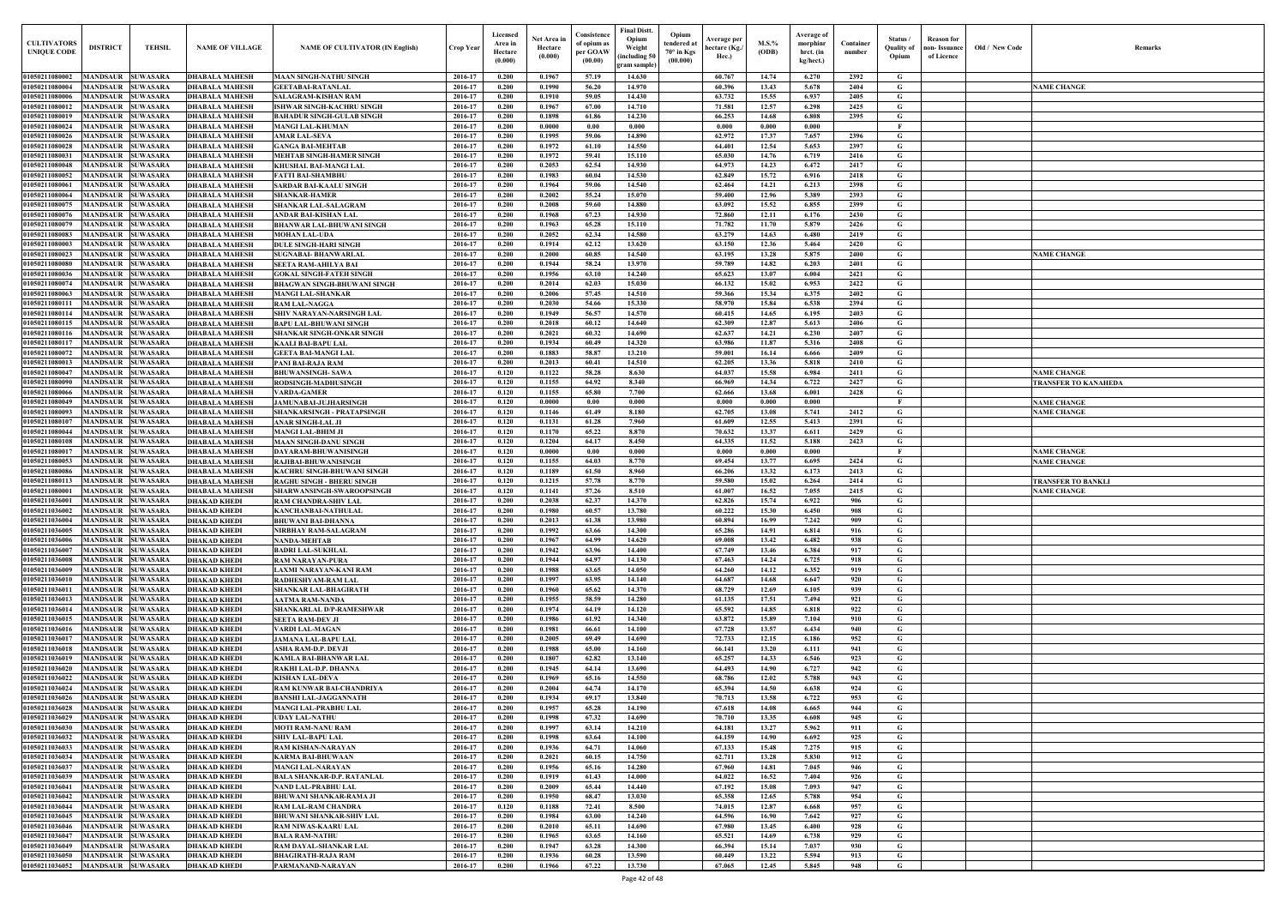| Old / New Code | Remarks                   |
|----------------|---------------------------|
|                | <b>NAME CHANGE</b>        |
|                |                           |
|                |                           |
|                |                           |
|                |                           |
|                |                           |
|                |                           |
|                |                           |
|                |                           |
|                |                           |
|                |                           |
|                | <b>NAME CHANGE</b>        |
|                |                           |
|                |                           |
|                |                           |
|                |                           |
|                |                           |
|                |                           |
|                | <b>NAME CHANGE</b>        |
|                | TRANSFER TO KANAHEDA      |
|                | <b>NAME CHANGE</b>        |
|                | <b>NAME CHANGE</b>        |
|                |                           |
|                | <b>NAME CHANGE</b>        |
|                | <b>NAME CHANGE</b>        |
|                | <b>TRANSFER TO BANKLI</b> |
|                | <b>NAME CHANGE</b>        |
|                |                           |
|                |                           |
|                |                           |
|                |                           |
|                |                           |
|                |                           |
|                |                           |
|                |                           |
|                |                           |
|                |                           |
|                |                           |
|                |                           |
|                |                           |
|                |                           |
|                |                           |
|                |                           |
|                |                           |
|                |                           |
|                |                           |
|                |                           |
|                |                           |
|                |                           |
|                |                           |
|                |                           |

| <b>CULTIVATORS</b><br><b>UNIQUE CODI</b> | <b>DISTRICT</b>                               | <b>TEHSIL</b>                      | <b>NAME OF VILLAGE</b>                         | <b>NAME OF CULTIVATOR (IN English)</b>                               | Crop Year          | Licensed<br>Area in<br>Hectare<br>(0.000) | Net Area in<br>Hectare<br>(0.000) | Consistence<br>of opium as<br>per GOAW<br>(00.00) | <b>Final Distt.</b><br>Opium<br>Opium<br>tendered at<br>Weight<br>70° in Kgs<br>including 50)<br>(00.000) | Average per<br>hectare (Kg./<br>Hec.) | M.S.%<br>(ODB) | Average of<br>morphinr<br>hrct. (in<br>kg/hect.) | Container<br>number | Status /<br><b>Quality of</b><br>Opium | <b>Reason</b> for<br>non- Issuance<br>of Licence | Old / New Code | <b>Remark</b>             |
|------------------------------------------|-----------------------------------------------|------------------------------------|------------------------------------------------|----------------------------------------------------------------------|--------------------|-------------------------------------------|-----------------------------------|---------------------------------------------------|-----------------------------------------------------------------------------------------------------------|---------------------------------------|----------------|--------------------------------------------------|---------------------|----------------------------------------|--------------------------------------------------|----------------|---------------------------|
| 01050211080002                           | <b>MANDSAUR SUWASARA</b>                      |                                    | <b>DHABALA MAHESH</b>                          | <b>MAAN SINGH-NATHU SINGH</b>                                        | 2016-17            | 0.200                                     | 0.1967                            | 57.19                                             | gram sample)<br>14.630                                                                                    | 60.767                                | 14.74          | 6.270                                            | 2392                | G                                      |                                                  |                |                           |
| 01050211080004                           | <b>MANDSAUR</b>                               | <b>SUWASARA</b>                    | <b>DHABALA MAHESH</b>                          | <b>GEETABAI-RATANLAL</b>                                             | 2016-17            | 0.200                                     | 0.1990                            | 56.20                                             | 14.970                                                                                                    | 60.396                                | 13.43          | 5.678                                            | 2404                | G                                      |                                                  |                | <b>NAME CHANGE</b>        |
| 01050211080006                           | <b>MANDSAUR</b>                               | <b>SUWASARA</b>                    | <b>DHABALA MAHESH</b>                          | <b>SALAGRAM-KISHAN RAM</b>                                           | 2016-17            | 0.200                                     | 0.1910                            | 59.05                                             | 14.430                                                                                                    | 63.732                                | 15.55          | 6.937                                            | 2405                | G                                      |                                                  |                |                           |
| 01050211080012                           | <b>MANDSAUR</b>                               | <b>SUWASARA</b>                    | <b>DHABALA MAHESH</b>                          | <b>ISHWAR SINGH-KACHRU SINGH</b>                                     | 2016-17            | 0.200                                     | 0.1967                            | 67.00                                             | 14.710                                                                                                    | 71.581                                | 12.57          | 6.298                                            | 2425                | G                                      |                                                  |                |                           |
| 01050211080019<br>01050211080024         | MANDSAUR<br>MANDSAUR                          | <b>SUWASARA</b><br><b>SUWASARA</b> | <b>DHABALA MAHESH</b><br><b>DHABALA MAHESH</b> | <b>BAHADUR SINGH-GULAB SINGH</b><br><b>MANGI LAL-KHUMAN</b>          | 2016-17<br>2016-17 | 0.200<br>0.200                            | 0.1898<br>0.0000                  | 61.86<br>0.00                                     | 14.230<br>0.000                                                                                           | 66.253<br>0.000                       | 14.68<br>0.000 | 6.808<br>0.000                                   | 2395                | G<br>$\mathbf{F}$                      |                                                  |                |                           |
| 01050211080026                           | <b>MANDSAUR</b>                               | <b>SUWASARA</b>                    | <b>DHABALA MAHESH</b>                          | <b>AMAR LAL-SEVA</b>                                                 | 2016-17            | 0.200                                     | 0.1995                            | 59.06                                             | 14.890                                                                                                    | 62.972                                | 17.37          | 7.657                                            | 2396                | G                                      |                                                  |                |                           |
| 01050211080028                           | <b>MANDSAUR</b>                               | <b>SUWASARA</b>                    | <b>DHABALA MAHESH</b>                          | <b>GANGA BAI-MEHTAB</b>                                              | 2016-17            | 0.200                                     | 0.1972                            | 61.10                                             | 14.550                                                                                                    | 64.401                                | 12.54          | 5.653                                            | 2397                | G                                      |                                                  |                |                           |
| 0105021108003                            | <b>MANDSAUR</b>                               | <b>SUWASARA</b>                    | <b>DHABALA MAHESH</b>                          | <b>MEHTAB SINGH-HAMER SINGH</b>                                      | 2016-17            | 0.200                                     | 0.1972                            | 59.41                                             | 15.110                                                                                                    | 65.030                                | 14.76          | 6.719                                            | 2416                | G                                      |                                                  |                |                           |
| 01050211080048<br>01050211080052         | <b>MANDSAUR</b><br><b>MANDSAUR</b>            | <b>SUWASARA</b><br><b>SUWASARA</b> | <b>DHABALA MAHESH</b><br><b>DHABALA MAHESH</b> | <b>KHUSHAL BAI-MANGI LAL</b>                                         | 2016-17<br>2016-17 | 0.200<br>0.200                            | 0.2053<br>0.1983                  | 62.54<br>60.04                                    | 14.930<br>14.530                                                                                          | 64.973<br>62.849                      | 14.23<br>15.72 | 6.472<br>6.916                                   | 2417<br>2418        | G<br>G                                 |                                                  |                |                           |
| 0105021108006                            | <b>MANDSAUR</b>                               | <b>SUWASARA</b>                    | <b>DHABALA MAHESH</b>                          | <b>FATTI BAI-SHAMBHU</b><br><b>SARDAR BAI-KAALU SINGH</b>            | 2016-17            | 0.200                                     | 0.1964                            | 59.06                                             | 14.540                                                                                                    | 62.464                                | 14.21          | 6.213                                            | 2398                | $\mathbf G$                            |                                                  |                |                           |
| 0105021108006                            | MANDSAUR                                      | <b>SUWASARA</b>                    | <b>DHABALA MAHESH</b>                          | <b>SHANKAR-HAMER</b>                                                 | 2016-17            | 0.200                                     | 0.2002                            | 55.24                                             | 15.070                                                                                                    | 59.400                                | 12.96          | 5.389                                            | 2393                | G                                      |                                                  |                |                           |
| 0105021108007                            | MANDSAUR                                      | <b>SUWASARA</b>                    | <b>DHABALA MAHESH</b>                          | <b>SHANKAR LAL-SALAGRAM</b>                                          | 2016-17            | 0.200                                     | 0.2008                            | 59.60                                             | 14.880                                                                                                    | 63.092                                | 15.52          | 6.855                                            | 2399                | G                                      |                                                  |                |                           |
| 0105021108007                            | MANDSAUR                                      | SUWASARA                           | <b>DHABALA MAHESH</b>                          | ANDAR BAI-KISHAN LAI                                                 | 2016-17            | 0.200                                     | 0.1968                            | 67.23                                             | 14.930                                                                                                    | 72.860                                | 12.11          | 6.176                                            | 2430                | G                                      |                                                  |                |                           |
| 0105021108007<br>01050211080083          | MANDSAUR<br>MANDSAUR                          | <b>SUWASARA</b><br><b>SUWASARA</b> | <b>DHABALA MAHESH</b><br><b>DHABALA MAHESH</b> | <b>BHANWAR LAL-BHUWANI SINGH</b><br><b>MOHAN LAL-UDA</b>             | 2016-17<br>2016-17 | 0.200<br>0.200                            | 0.1963<br>0.2052                  | 65.28<br>62.34                                    | 15.110<br>14.580                                                                                          | 71.782<br>63,279                      | 11.70<br>14.63 | 5.879<br>6.480                                   | 2426<br>2419        | G<br>G                                 |                                                  |                |                           |
| 01050211080003                           | <b>MANDSAUR</b>                               | <b>SUWASARA</b>                    | <b>DHABALA MAHESH</b>                          | <b>DULE SINGH-HARI SINGH</b>                                         | 2016-17            | 0.200                                     | 0.1914                            | 62.12                                             | 13.620                                                                                                    | 63.150                                | 12.36          | 5.464                                            | 2420                | G                                      |                                                  |                |                           |
| 01050211080023                           | <b>MANDSAUR</b>                               | <b>SUWASARA</b>                    | <b>DHABALA MAHESH</b>                          | <b>SUGNABAI- BHANWARLAI</b>                                          | 2016-17            | 0.200                                     | 0.2000                            | 60.85                                             | 14.540                                                                                                    | 63.195                                | 13.28          | 5.875                                            | 2400                | G                                      |                                                  |                | <b>NAME CHANGE</b>        |
| 0105021108008                            | MANDSAUR                                      | <b>SUWASARA</b>                    | <b>DHABALA MAHESH</b>                          | <b>SEETA RAM-AHILYA BAI</b>                                          | 2016-17            | 0.200                                     | 0.1944                            | 58.24                                             | 13.970                                                                                                    | 59.789                                | 14.82          | 6.203                                            | 2401                | G                                      |                                                  |                |                           |
| 01050211080036<br>01050211080074         | MANDSAUR<br><b>MANDSAUR SUWASARA</b>          | <b>SUWASARA</b>                    | <b>DHABALA MAHESH</b><br><b>DHABALA MAHESH</b> | <b>GOKAL SINGH-FATEH SINGH</b><br><b>BHAGWAN SINGH-BHUWANI SINGH</b> | 2016-17<br>2016-17 | 0.200<br>0.200                            | 0.1956<br>0.2014                  | 63.10<br>62.03                                    | 14.240<br>15.030                                                                                          | 65.623<br>66.132                      | 13.07<br>15.02 | 6.004<br>6.953                                   | 2421<br>2422        | G<br>G                                 |                                                  |                |                           |
| 01050211080063                           | <b>MANDSAUR</b>                               | <b>SUWASARA</b>                    | <b>DHABALA MAHESH</b>                          | <b>MANGI LAL-SHANKAR</b>                                             | 2016-17            | 0.200                                     | 0.2006                            | 57.45                                             | 14.510                                                                                                    | 59.366                                | 15.34          | 6.375                                            | 2402                | G                                      |                                                  |                |                           |
| 01050211080111                           | MANDSAUR                                      | <b>SUWASARA</b>                    | <b>DHABALA MAHESH</b>                          | <b>RAM LAL-NAGGA</b>                                                 | 2016-17            | 0.200                                     | 0.2030                            | 54.66                                             | 15.330                                                                                                    | 58.970                                | 15.84          | 6.538                                            | 2394                | G                                      |                                                  |                |                           |
| 01050211080114                           | MANDSAUR                                      | <b>SUWASARA</b>                    | <b>DHABALA MAHESH</b>                          | <b>SHIV NARAYAN-NARSINGH LAL</b>                                     | 2016-17            | 0.200                                     | 0.1949                            | 56.57                                             | 14.570                                                                                                    | 60.415                                | 14.65          | 6.195                                            | 2403                | G                                      |                                                  |                |                           |
| 01050211080115                           | MANDSAUR                                      | <b>SUWASARA</b>                    | <b>DHABALA MAHESH</b>                          | <b>BAPU LAL-BHUWANI SINGH</b>                                        | 2016-17            | 0.200                                     | 0.2018                            | 60.12                                             | 14.640                                                                                                    | 62.309                                | 12.87          | 5.613                                            | 2406                | G                                      |                                                  |                |                           |
| 01050211080116<br>01050211080117         | MANDSAUR<br><b>MANDSAUR</b>                   | <b>SUWASARA</b><br><b>SUWASARA</b> | <b>DHABALA MAHESH</b><br><b>DHABALA MAHESH</b> | <b>SHANKAR SINGH-ONKAR SINGH</b><br><b>KAALI BAI-BAPU LAL</b>        | 2016-17<br>2016-17 | 0.200<br>0.200                            | 0.2021<br>0.1934                  | 60.32<br>60.49                                    | 14.690<br>14.320                                                                                          | 62.637<br>63.986                      | 14.21<br>11.87 | 6.230<br>5.316                                   | 2407<br>2408        | G<br>G                                 |                                                  |                |                           |
| 01050211080072                           | MANDSAUR                                      | <b>SUWASARA</b>                    | <b>DHABALA MAHESH</b>                          | <b>GEETA BAI-MANGI LAI</b>                                           | 2016-17            | 0.200                                     | 0.1883                            | 58.87                                             | 13.210                                                                                                    | 59.001                                | 16.14          | 6.666                                            | 2409                | G                                      |                                                  |                |                           |
| 01050211080013                           | <b>MANDSAUR</b>                               | <b>SUWASARA</b>                    | <b>DHABALA MAHESH</b>                          | <b>PANI BAI-RAJA RAM</b>                                             | 2016-17            | 0.200                                     | 0.2013                            | 60.41                                             | 14.510                                                                                                    | 62.205                                | 13.36          | 5.818                                            | 2410                | G                                      |                                                  |                |                           |
| 01050211080047                           | MANDSAUR                                      | <b>SUWASARA</b>                    | <b>DHABALA MAHESH</b>                          | <b>BHUWANSINGH-SAWA</b>                                              | 2016-17            | 0.120                                     | 0.1122                            | 58.28                                             | 8.630                                                                                                     | 64.037                                | 15.58          | 6.984                                            | 2411                | $\mathbf G$                            |                                                  |                | <b>NAME CHANGE</b>        |
| 01050211080090<br>01050211080066         | MANDSAUR<br><b>MANDSAUR</b>                   | <b>SUWASARA</b><br><b>SUWASARA</b> | <b>DHABALA MAHESH</b>                          | RODSINGH-MADHUSINGH                                                  | 2016-17<br>2016-17 | 0.120<br>0.120                            | 0.1155<br>0.1155                  | 64.92<br>65.80                                    | 8.340<br>7.700                                                                                            | 66.969<br>62.666                      | 14.34<br>13.68 | 6.722<br>6.001                                   | 2427<br>2428        | G<br>G                                 |                                                  |                | TRANSFER TO KANAHEDA      |
| 01050211080049                           | <b>MANDSAUR</b>                               | <b>SUWASARA</b>                    | <b>DHABALA MAHESH</b><br><b>DHABALA MAHESH</b> | <b>VARDA-GAMER</b><br>JAMUNABAI-JUJHARSINGH                          | 2016-17            | 0.120                                     | 0.0000                            | 0.00                                              | 0.000                                                                                                     | 0.000                                 | 0.000          | 0.000                                            |                     | $\mathbf{F}$                           |                                                  |                | <b>NAME CHANGE</b>        |
| 01050211080093                           | <b>MANDSAUR</b>                               | <b>SUWASARA</b>                    | <b>DHABALA MAHESH</b>                          | <b>SHANKARSINGH - PRATAPSINGH</b>                                    | 2016-17            | 0.120                                     | 0.1146                            | 61.49                                             | 8.180                                                                                                     | 62.705                                | 13.08          | 5.741                                            | 2412                | G                                      |                                                  |                | <b>NAME CHANGE</b>        |
| 0105021108010                            | <b>MANDSAUR</b>                               | <b>SUWASARA</b>                    | <b>DHABALA MAHESH</b>                          | <b>ANAR SINGH-LAL JI</b>                                             | 2016-17            | 0.120                                     | 0.1131                            | 61.28                                             | 7.960                                                                                                     | 61.609                                | 12.55          | 5.413                                            | 2391                | G                                      |                                                  |                |                           |
| 01050211080044                           | <b>MANDSAUR</b>                               | <b>SUWASARA</b>                    | <b>DHABALA MAHESH</b>                          | <b>MANGI LAL-BHIM JI</b>                                             | 2016-17            | 0.120                                     | 0.1170                            | 65.22                                             | 8.870                                                                                                     | 70.632                                | 13.37          | 6.611                                            | 2429                | $\mathbf G$                            |                                                  |                |                           |
| 01050211080108<br>0105021108001          | MANDSAUR<br><b>MANDSAUR</b>                   | <b>SUWASARA</b><br><b>SUWASARA</b> | <b>DHABALA MAHESH</b><br><b>DHABALA MAHESH</b> | <b>MAAN SINGH-DANU SINGH</b><br>DAYARAM-BHUWANISINGH                 | 2016-17<br>2016-17 | 0.120<br>0.120                            | 0.1204<br>0.0000                  | 64.17<br>0.00                                     | 8.450<br>0.000                                                                                            | 64.335<br>0.000                       | 11.52<br>0.000 | 5.188<br>0.000                                   | 2423                | G<br>- F                               |                                                  |                | <b>NAME CHANGE</b>        |
| 0105021108005                            | MANDSAUR                                      | <b>SUWASARA</b>                    | <b>DHABALA MAHESH</b>                          | RAJIBAI-BHUWANISINGH                                                 | 2016-17            | 0.120                                     | 0.1155                            | 64.03                                             | 8.770                                                                                                     | 69.454                                | 13.77          | 6.695                                            | 2424                | G                                      |                                                  |                | <b>NAME CHANGE</b>        |
| 0105021108008                            | MANDSAUR                                      | <b>SUWASARA</b>                    | <b>DHABALA MAHESH</b>                          | KACHRU SINGH-BHUWANI SINGH                                           | 2016-17            | 0.120                                     | 0.1189                            | 61.50                                             | 8.960                                                                                                     | 66.206                                | 13.32          | 6.173                                            | 2413                | G                                      |                                                  |                |                           |
| 01050211080113                           | MANDSAUR                                      | <b>SUWASARA</b>                    | <b>DHABALA MAHESH</b>                          | RAGHU SINGH - BHERU SINGE                                            | 2016-17            | 0.120                                     | 0.1215                            | 57.78                                             | 8.770                                                                                                     | 59.580                                | 15.02          | 6.264                                            | 2414                | G                                      |                                                  |                | <b>FRANSFER TO BANKLI</b> |
| 01050211080001<br>01050211036001         | <b>MANDSAUR</b><br><b>MANDSAUR</b>            | <b>SUWASARA</b><br><b>SUWASARA</b> | <b>DHABALA MAHESH</b>                          | SHARWANSINGH-SWAROOPSINGH                                            | 2016-17<br>2016-17 | 0.120<br>0.200                            | 0.1141<br>0.2038                  | 57.26<br>62.37                                    | 8.510<br>14.370                                                                                           | 61.007<br>62.826                      | 16.52<br>15.74 | 7.055<br>6.922                                   | 2415<br>906         | G<br>G                                 |                                                  |                | <b>NAME CHANGE</b>        |
| 01050211036002 MANDSAUR SUWASARA         |                                               |                                    | <b>DHAKAD KHEDI</b><br><b>DHAKAD KHEDI</b>     | <b>RAM CHANDRA-SHIV LAL</b><br><b>KANCHANBAI-NATHULAL</b>            | 2016-17            | 0.200                                     | 0.1980                            | 60.57                                             | 13.780                                                                                                    | 60.222                                | 15.30          | 6.450                                            | 908                 | G                                      |                                                  |                |                           |
| 01050211036004                           | <b>MANDSAUR SUWASARA</b>                      |                                    | <b>DHAKAD KHEDI</b>                            | <b>BHUWANI BAI-DHANNA</b>                                            | 2016-17            | 0.200                                     | 0.2013                            | 61.38                                             | 13.980                                                                                                    | 60.894                                | 16.99          | 7.242                                            | 909                 | G                                      |                                                  |                |                           |
| 01050211036005                           | MANDSAUR SUWASARA                             |                                    | <b>DHAKAD KHEDI</b>                            | NIRBHAY RAM-SALAGRAM                                                 | 2016-17            | 0.200                                     | 0.1992                            | 63.66                                             | 14.300                                                                                                    | 65.286                                | 14.91          | 6.814                                            | 916                 | G                                      |                                                  |                |                           |
| 01050211036006                           | MANDSAUR SUWASARA                             |                                    | <b>DHAKAD KHEDI</b>                            | <b>NANDA-MEHTAB</b>                                                  | 2016-17            | 0.200                                     | 0.1967                            | 64.99                                             | 14.620                                                                                                    | 69.008                                | 13.42          | 6.482                                            | 938                 | G                                      |                                                  |                |                           |
| 01050211036007<br>01050211036008         | MANDSAUR SUWASARA<br><b>MANDSAUR</b>          | <b>SUWASARA</b>                    | <b>DHAKAD KHEDI</b><br><b>DHAKAD KHEDI</b>     | <b>BADRI LAL-SUKHLAL</b><br><b>RAM NARAYAN-PURA</b>                  | 2016-17<br>2016-17 | 0.200<br>0.200                            | 0.1942<br>0.1944                  | 63.96<br>64.97                                    | 14.400<br>14.130                                                                                          | 67.749<br>67.463                      | 13.46<br>14.24 | 6.384<br>6.725                                   | 917<br>918          | G<br>$\mathbf G$                       |                                                  |                |                           |
| 01050211036009                           | <b>MANDSAUR SUWASARA</b>                      |                                    | <b>DHAKAD KHEDI</b>                            | LAXMI NARAYAN-KANI RAM                                               | 2016-17            | 0.200                                     | 0.1988                            | 63.65                                             | 14.050                                                                                                    | 64.260                                | 14.12          | 6.352                                            | 919                 | $\mathbf G$                            |                                                  |                |                           |
| 01050211036010                           | <b>MANDSAUR</b>                               | <b>SUWASARA</b>                    | <b>DHAKAD KHEDI</b>                            | <b>RADHESHYAM-RAM LAL</b>                                            | 2016-17            | 0.200                                     | 0.1997                            | 63.95                                             | 14.140                                                                                                    | 64.687                                | 14.68          | 6.647                                            | 920                 | $\mathbf G$                            |                                                  |                |                           |
| 01050211036011                           | MANDSAUR SUWASARA                             |                                    | <b>DHAKAD KHEDI</b>                            | <b>SHANKAR LAL-BHAGIRATH</b>                                         | 2016-17            | 0.200                                     | 0.1960                            | 65.62                                             | 14.370                                                                                                    | 68.729                                | 12.69          | 6.105                                            | 939                 | $\mathbf G$                            |                                                  |                |                           |
| 01050211036013<br>01050211036014         | <b>MANDSAUR</b><br><b>MANDSAUR</b>            | <b>SUWASARA</b><br><b>SUWASARA</b> | <b>DHAKAD KHEDI</b><br><b>DHAKAD KHEDI</b>     | <b>AATMA RAM-NANDA</b><br><b>SHANKARLAL D/P-RAMESHWAR</b>            | 2016-17<br>2016-17 | 0.200<br>0.200                            | 0.1955<br>0.1974                  | 58.59<br>64.19                                    | 14.280<br>14.120                                                                                          | 61.135<br>65.592                      | 17.51<br>14.85 | 7.494<br>6.818                                   | 921<br>922          | $\mathbf G$<br>$\mathbf G$             |                                                  |                |                           |
| 01050211036015                           | <b>MANDSAUR</b>                               | <b>SUWASARA</b>                    | <b>DHAKAD KHEDI</b>                            | <b>SEETA RAM-DEV JI</b>                                              | 2016-17            | 0.200                                     | 0.1986                            | 61.92                                             | 14.340                                                                                                    | 63.872                                | 15.89          | 7.104                                            | 910                 | $\mathbf G$                            |                                                  |                |                           |
| 01050211036016                           | <b>MANDSAUR SUWASARA</b>                      |                                    | <b>DHAKAD KHEDI</b>                            | <b>VARDI LAL-MAGAN</b>                                               | 2016-17            | 0.200                                     | 0.1981                            | 66.61                                             | 14.100                                                                                                    | 67.728                                | 13.57          | 6.434                                            | 940                 | G                                      |                                                  |                |                           |
| 01050211036017                           | <b>MANDSAUR</b>                               | <b>SUWASARA</b>                    | <b>DHAKAD KHEDI</b>                            | <b>JAMANA LAL-BAPU LAL</b>                                           | 2016-17            | 0.200                                     | 0.2005                            | 69.49                                             | 14.690                                                                                                    | 72.733                                | 12.15          | 6.186                                            | 952                 | $\mathbf G$                            |                                                  |                |                           |
| 01050211036018<br>01050211036019         | <b>MANDSAUR</b>                               | <b>SUWASARA</b>                    | <b>DHAKAD KHEDI</b>                            | <b>ASHA RAM-D.P. DEVJI</b>                                           | 2016-17<br>2016-17 | 0.200<br>0.200                            | 0.1988<br>0.1807                  | 65.00<br>62.82                                    | 14.160<br>13.140                                                                                          | 66.141                                | 13.20<br>14.33 | 6.111                                            | 941                 | G<br>$\mathbf G$                       |                                                  |                |                           |
| 01050211036020                           | <b>MANDSAUR SUWASARA</b><br><b>MANDSAUR</b>   | <b>SUWASARA</b>                    | <b>DHAKAD KHEDI</b><br><b>DHAKAD KHEDI</b>     | <b>KAMLA BAI-BHANWAR LAL</b><br>RAKHI LAL-D.P. DHANNA                | 2016-17            | 0.200                                     | 0.1945                            | 64.14                                             | 13.690                                                                                                    | 65.257<br>64.493                      | 14.90          | 6.546<br>6.727                                   | 923<br>942          | $\mathbf G$                            |                                                  |                |                           |
| 01050211036022                           | <b>MANDSAUR</b>                               | <b>SUWASARA</b>                    | <b>DHAKAD KHEDI</b>                            | <b>KISHAN LAL-DEVA</b>                                               | 2016-17            | 0.200                                     | 0.1969                            | 65.16                                             | 14.550                                                                                                    | 68.786                                | 12.02          | 5.788                                            | 943                 | $\mathbf G$                            |                                                  |                |                           |
| 01050211036024                           | <b>MANDSAUR</b>                               | <b>SUWASARA</b>                    | <b>DHAKAD KHEDI</b>                            | <b>RAM KUNWAR BAI-CHANDRIYA</b>                                      | 2016-17            | 0.200                                     | 0.2004                            | 64.74                                             | 14.170                                                                                                    | 65.394                                | 14.50          | 6.638                                            | 924                 | G                                      |                                                  |                |                           |
| 01050211036026                           | <b>MANDSAUR</b>                               | <b>SUWASARA</b>                    | <b>DHAKAD KHEDI</b>                            | <b>BANSHI LAL-JAGGANNATH</b>                                         | 2016-17            | 0.200                                     | 0.1934                            | 69.17                                             | 13.840                                                                                                    | 70.713                                | 13.58          | 6.722                                            | 953                 | G                                      |                                                  |                |                           |
| 01050211036028<br>01050211036029         | <b>MANDSAUR</b><br><b>MANDSAUR</b>            | <b>SUWASARA</b><br><b>SUWASARA</b> | <b>DHAKAD KHEDI</b><br><b>DHAKAD KHEDI</b>     | <b>MANGI LAL-PRABHU LAL</b><br><b>UDAY LAL-NATHU</b>                 | 2016-17<br>2016-17 | 0.200<br>0.200                            | 0.1957<br>0.1998                  | 65.28<br>67.32                                    | 14.190<br>14.690                                                                                          | 67.618<br>70.710                      | 14.08<br>13.35 | 6.665<br>6.608                                   | 944<br>945          | G<br>G                                 |                                                  |                |                           |
| 01050211036030                           | <b>MANDSAUR</b>                               | <b>SUWASARA</b>                    | <b>DHAKAD KHEDI</b>                            | <b>MOTI RAM-NANU RAM</b>                                             | 2016-17            | 0.200                                     | 0.1997                            | 63.14                                             | 14.210                                                                                                    | 64.181                                | 13.27          | 5.962                                            | 911                 | G                                      |                                                  |                |                           |
| 01050211036032                           | <b>MANDSAUR SUWASARA</b>                      |                                    | <b>DHAKAD KHEDI</b>                            | <b>SHIV LAL-BAPU LAL</b>                                             | 2016-17            | 0.200                                     | 0.1998                            | 63.64                                             | 14.100                                                                                                    | 64.159                                | 14.90          | 6.692                                            | 925                 | G                                      |                                                  |                |                           |
| 01050211036033                           | <b>MANDSAUR SUWASARA</b>                      |                                    | <b>DHAKAD KHEDI</b>                            | <b>RAM KISHAN-NARAYAN</b>                                            | 2016-17            | 0.200                                     | 0.1936                            | 64.71                                             | 14.060                                                                                                    | 67.133                                | 15.48          | 7.275                                            | 915                 | $\mathbf{G}$                           |                                                  |                |                           |
| 01050211036034                           | MANDSAUR SUWASARA                             |                                    | <b>DHAKAD KHEDI</b>                            | <b>KARMA BAI-BHUWAAN</b>                                             | 2016-17            | 0.200                                     | 0.2021                            | 60.15                                             | 14.750                                                                                                    | 62.711                                | 13.28          | 5.830                                            | 912                 | $\mathbf G$                            |                                                  |                |                           |
| 01050211036037<br>01050211036039         | MANDSAUR SUWASARA<br><b>MANDSAUR SUWASARA</b> |                                    | <b>DHAKAD KHEDI</b><br><b>DHAKAD KHEDI</b>     | <b>MANGI LAL-NARAYAN</b><br><b>BALA SHANKAR-D.P. RATANLAL</b>        | 2016-17<br>2016-17 | 0.200<br>0.200                            | 0.1956<br>0.1919                  | 65.16<br>61.43                                    | 14.280<br>14.000                                                                                          | 67.960<br>64.022                      | 14.81<br>16.52 | 7.045<br>7.404                                   | 946<br>926          | G<br>G                                 |                                                  |                |                           |
| 01050211036041                           | <b>MANDSAUR</b>                               | <b>SUWASARA</b>                    | <b>DHAKAD KHEDI</b>                            | <b>NAND LAL-PRABHU LAL</b>                                           | 2016-17            | 0.200                                     | 0.2009                            | 65.44                                             | 14.440                                                                                                    | 67.192                                | 15.08          | 7.093                                            | 947                 | $\mathbf G$                            |                                                  |                |                           |
| 01050211036042                           | <b>MANDSAUR SUWASARA</b>                      |                                    | <b>DHAKAD KHEDI</b>                            | <b>BHUWANI SHANKAR-RAMA JI</b>                                       | 2016-17            | 0.200                                     | 0.1950                            | 68.47                                             | 13.030                                                                                                    | 65.358                                | 12.65          | 5.788                                            | 954                 | G                                      |                                                  |                |                           |
| 01050211036044                           | <b>MANDSAUR</b>                               | <b>SUWASARA</b>                    | <b>DHAKAD KHEDI</b>                            | <b>RAM LAL-RAM CHANDRA</b>                                           | 2016-17            | 0.120                                     | 0.1188                            | 72.41                                             | 8.500                                                                                                     | 74.015                                | 12.87          | 6.668                                            | 957                 | $\mathbf G$                            |                                                  |                |                           |
| 01050211036045<br>01050211036046         | <b>MANDSAUR</b><br><b>MANDSAUR</b>            | <b>SUWASARA</b><br><b>SUWASARA</b> | <b>DHAKAD KHEDI</b><br><b>DHAKAD KHEDI</b>     | <b>BHUWANI SHANKAR-SHIV LAL</b><br><b>RAM NIWAS-KAARU LAL</b>        | 2016-17<br>2016-17 | 0.200<br>0.200                            | 0.1984<br>0.2010                  | 63.00<br>65.11                                    | 14.240<br>14.690                                                                                          | 64.596<br>67.980                      | 16.90<br>13.45 | 7.642<br>6.400                                   | 927<br>928          | $\mathbf G$<br>$\mathbf G$             |                                                  |                |                           |
| 01050211036047                           | <b>MANDSAUR</b>                               | <b>SUWASARA</b>                    | <b>DHAKAD KHEDI</b>                            | <b>BALA RAM-NATHU</b>                                                | 2016-17            | 0.200                                     | 0.1965                            | 63.65                                             | 14.160                                                                                                    | 65.521                                | 14.69          | 6.738                                            | 929                 | $\mathbf G$                            |                                                  |                |                           |
| 01050211036049                           | <b>MANDSAUR</b>                               | <b>SUWASARA</b>                    | <b>DHAKAD KHEDI</b>                            | RAM DAYAL-SHANKAR LAL                                                | 2016-17            | 0.200                                     | 0.1947                            | 63.28                                             | 14.300                                                                                                    | 66.394                                | 15.14          | 7.037                                            | 930                 | G                                      |                                                  |                |                           |
| 01050211036050                           | MANDSAUR                                      | <b>SUWASARA</b>                    | <b>DHAKAD KHEDI</b>                            | <b>BHAGIRATH-RAJA RAM</b>                                            | 2016-17            | 0.200                                     | 0.1936                            | 60.28                                             | 13.590                                                                                                    | 60.449                                | 13.22          | 5.594                                            | 913                 | $\mathbf{G}$                           |                                                  |                |                           |
| 01050211036052                           | MANDSAUR SUWASARA                             |                                    | <b>DHAKAD KHEDI</b>                            | PARMANAND-NARAYAN                                                    | 2016-17            | 0.200                                     | 0.1966                            | 67.22                                             | 13.730                                                                                                    | 67.065                                | 12.45          | 5.845                                            | 948                 | $\mathbf G$                            |                                                  |                |                           |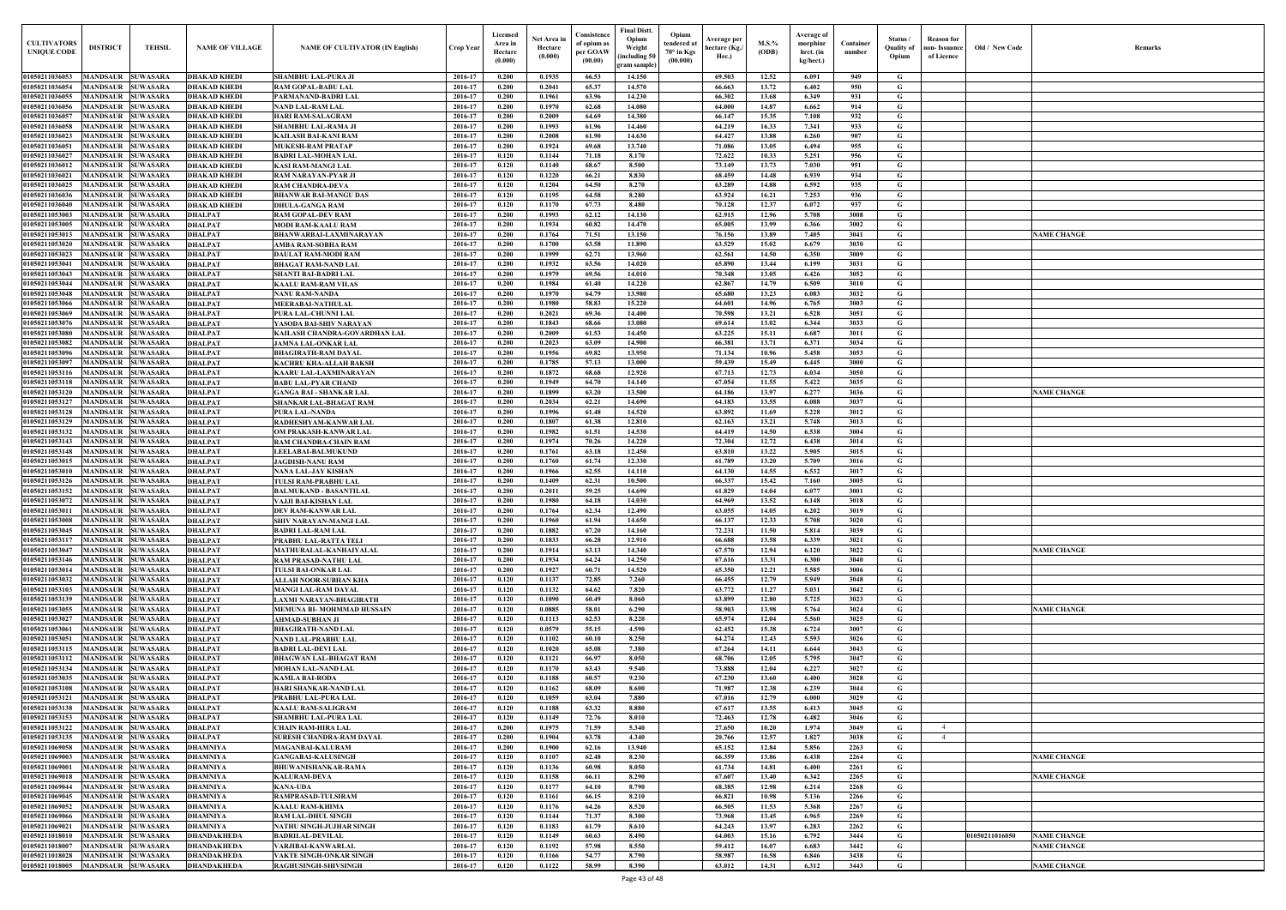| $\mathbf{Old} \, / \,$ New Code | Remarks            |
|---------------------------------|--------------------|
|                                 |                    |
|                                 |                    |
|                                 |                    |
|                                 |                    |
|                                 |                    |
|                                 |                    |
|                                 |                    |
|                                 |                    |
|                                 |                    |
|                                 |                    |
|                                 |                    |
|                                 | <b>NAME CHANGE</b> |
|                                 |                    |
|                                 |                    |
|                                 |                    |
|                                 |                    |
|                                 |                    |
|                                 |                    |
|                                 |                    |
|                                 |                    |
|                                 |                    |
|                                 |                    |
|                                 | <b>NAME CHANGE</b> |
|                                 |                    |
|                                 |                    |
|                                 |                    |
|                                 |                    |
|                                 |                    |
|                                 |                    |
|                                 |                    |
|                                 |                    |
|                                 |                    |
|                                 |                    |
|                                 |                    |
|                                 | <b>NAME CHANGE</b> |
|                                 |                    |
|                                 |                    |
|                                 |                    |
|                                 | <b>NAME CHANGE</b> |
|                                 |                    |
|                                 |                    |
|                                 |                    |
|                                 |                    |
|                                 |                    |
|                                 |                    |
|                                 |                    |
|                                 |                    |
|                                 |                    |
|                                 | <b>NAME CHANGE</b> |
|                                 |                    |
|                                 | <b>NAME CHANGE</b> |
|                                 |                    |
|                                 |                    |
|                                 |                    |
| 01050211016050                  | <b>NAME CHANGE</b> |
|                                 | <b>NAME CHANGE</b> |
|                                 | <b>NAME CHANGE</b> |

| <b>CULTIVATORS</b><br><b>UNIQUE CODI</b> | <b>DISTRICT</b>                                              | <b>TEHSIL</b>                      | <b>NAME OF VILLAGE</b>                     | <b>NAME OF CULTIVATOR (IN English)</b>                   | Crop Year          | Licensed<br>Area in<br>Hectare<br>(0.000) | Net Area in<br>Hectare<br>(0.000) | Consistence<br>of opium as<br>per GOAW<br>(00.00) | <b>Final Distt.</b><br>Opium<br>Opium<br>tendered at<br>Weight<br>70° in Kgs<br>including 50)<br>(00.000)<br>gram sample) | Average per<br>hectare (Kg./<br>Hec.) | $M.S.\%$<br>(ODB) | Average of<br>morphinr<br>hrct. (in<br>kg/hect.) | Container<br>number | Status /<br><b>Quality of</b><br>Opium | <b>Reason</b> for<br>non- Issuance<br>of Licence | Old / New Code | <b>Remark</b>      |
|------------------------------------------|--------------------------------------------------------------|------------------------------------|--------------------------------------------|----------------------------------------------------------|--------------------|-------------------------------------------|-----------------------------------|---------------------------------------------------|---------------------------------------------------------------------------------------------------------------------------|---------------------------------------|-------------------|--------------------------------------------------|---------------------|----------------------------------------|--------------------------------------------------|----------------|--------------------|
| 01050211036053                           | <b>MANDSAUR SUWASARA</b>                                     |                                    | <b>DHAKAD KHEDI</b>                        | SHAMBHU LAL-PURA JI                                      | 2016-17            | 0.200                                     | 0.1935                            | 66.53                                             | 14.150                                                                                                                    | 69.503                                | 12.52             | 6.091                                            | 949                 | G                                      |                                                  |                |                    |
| 01050211036054                           | <b>MANDSAUR</b>                                              | <b>SUWASARA</b>                    | <b>DHAKAD KHEDI</b>                        | <b>RAM GOPAL-BABU LAL</b>                                | 2016-17            | 0.200                                     | 0.2041                            | 65.37                                             | 14.570                                                                                                                    | 66.663                                | 13.72             | 6.402                                            | 950                 | G                                      |                                                  |                |                    |
| 01050211036055                           | MANDSAUR                                                     | <b>SUWASARA</b>                    | <b>DHAKAD KHEDI</b>                        | PARMANAND-BADRI LAL                                      | 2016-17            | 0.200                                     | 0.1961                            | 63.96                                             | 14.230                                                                                                                    | 66.302                                | 13.68             | 6.349                                            | 931                 | G                                      |                                                  |                |                    |
| 01050211036056                           | MANDSAUR                                                     | <b>SUWASARA</b>                    | <b>DHAKAD KHEDI</b>                        | <b>NAND LAL-RAM LAL</b>                                  | 2016-17            | 0.200                                     | 0.1970                            | 62.68                                             | 14.080                                                                                                                    | 64.000                                | 14.87             | 6.662                                            | 914                 | G                                      |                                                  |                |                    |
| 01050211036057<br>01050211036058         | <b>MANDSAUR</b><br>MANDSAUR                                  | <b>SUWASARA</b><br><b>SUWASARA</b> | <b>DHAKAD KHEDI</b>                        | <b>HARI RAM-SALAGRAM</b>                                 | 2016-17<br>2016-17 | 0.200<br>0.200                            | 0.2009<br>0.1993                  | 64.69<br>61.96                                    | 14.380<br>14.460                                                                                                          | 66.147<br>64.219                      | 15.35<br>16.33    | 7.108<br>7.341                                   | 932<br>933          | G<br>G                                 |                                                  |                |                    |
| 01050211036023                           | <b>MANDSAUR</b>                                              | <b>SUWASARA</b>                    | <b>DHAKAD KHEDI</b><br><b>DHAKAD KHEDI</b> | <b>SHAMBHU LAL-RAMA JI</b><br>KAILASH BAI-KANI RAM       | 2016-17            | 0.200                                     | 0.2008                            | 61.90                                             | 14.630                                                                                                                    | 64.427                                | 13.88             | 6.260                                            | 907                 | G                                      |                                                  |                |                    |
| 01050211036051                           | <b>MANDSAUR</b>                                              | <b>SUWASARA</b>                    | <b>DHAKAD KHEDI</b>                        | <b>MUKESH-RAM PRATAP</b>                                 | 2016-17            | 0.200                                     | 0.1924                            | 69.68                                             | 13.740                                                                                                                    | 71.086                                | 13.05             | 6.494                                            | 955                 | G                                      |                                                  |                |                    |
| 01050211036027                           | <b>MANDSAUR</b>                                              | <b>SUWASARA</b>                    | <b>DHAKAD KHEDI</b>                        | <b>BADRI LAL-MOHAN LAL</b>                               | 2016-17            | 0.120                                     | 0.1144                            | 71.18                                             | 8.170                                                                                                                     | 72.622                                | 10.33             | 5.251                                            | 956                 | G                                      |                                                  |                |                    |
| 01050211036012                           | <b>MANDSAUR</b>                                              | <b>SUWASARA</b>                    | <b>DHAKAD KHEDI</b>                        | <b>KASI RAM-MANGI LAL</b>                                | 2016-17            | 0.120                                     | 0.1140                            | 68.67                                             | 8.500                                                                                                                     | 73.149                                | 13.73             | 7.030                                            | 951                 | G                                      |                                                  |                |                    |
| 01050211036021<br>01050211036025         | <b>MANDSAUR</b><br>MANDSAUR                                  | <b>SUWASARA</b><br><b>SUWASARA</b> | <b>DHAKAD KHEDI</b><br><b>DHAKAD KHEDI</b> | <b>RAM NARAYAN-PYAR JI</b><br><b>RAM CHANDRA-DEVA</b>    | 2016-17<br>2016-17 | 0.120<br>0.120                            | 0.1220<br>0.1204                  | 66.21<br>64.50                                    | 8.830<br>8.270                                                                                                            | 68.459<br>63.289                      | 14.48<br>14.88    | 6.939<br>6.592                                   | 934<br>935          | G<br>$\mathbf G$                       |                                                  |                |                    |
| 01050211036036                           | MANDSAUR                                                     | <b>SUWASARA</b>                    | <b>DHAKAD KHEDI</b>                        | <b>BHANWAR BAI-MANGU DAS</b>                             | 2016-17            | 0.120                                     | 0.1195                            | 64.58                                             | 8.280                                                                                                                     | 63.924                                | 16.21             | 7.253                                            | 936                 | G                                      |                                                  |                |                    |
| 01050211036040                           | MANDSAUR                                                     | <b>SUWASARA</b>                    | <b>DHAKAD KHEDI</b>                        | <b>DHULA-GANGA RAM</b>                                   | 2016-17            | 0.120                                     | 0.1170                            | 67.73                                             | 8.480                                                                                                                     | 70.128                                | 12.37             | 6.072                                            | 937                 | G                                      |                                                  |                |                    |
| 0105021105300                            | MANDSAUR                                                     | <b>SUWASARA</b>                    | <b>DHALPAT</b>                             | <b>RAM GOPAL-DEV RAM</b>                                 | 2016-17            | 0.200                                     | 0.1993                            | 62.12                                             | 14.130                                                                                                                    | 62.915                                | 12.96             | 5.708                                            | 3008                | G                                      |                                                  |                |                    |
| 0105021105300:                           | MANDSAUR                                                     | <b>SUWASARA</b>                    | <b>DHALPAT</b>                             | <b>MODI RAM-KAALU RAM</b>                                | 2016-17            | 0.200                                     | 0.1934                            | 60.82                                             | 14.470                                                                                                                    | 65.005                                | 13.99             | 6.366                                            | 3002                | G                                      |                                                  |                |                    |
| 01050211053013<br>01050211053020         | MANDSAUR<br><b>MANDSAUR</b>                                  | <b>SUWASARA</b><br><b>SUWASARA</b> | <b>DHALPAT</b><br><b>DHALPAT</b>           | BHANWARBAI-LAXMINARAYAN<br>AMBA RAM-SOBHA RAM            | 2016-17<br>2016-17 | 0.200<br>0.200                            | 0.1764<br>0.1700                  | 71.51<br>63.58                                    | 13.150<br>11.890                                                                                                          | 76.156<br>63.529                      | 13.89<br>15.02    | 7.405<br>6.679                                   | 3041<br>3030        | G<br>G                                 |                                                  |                | <b>VAME CHANGE</b> |
| 01050211053023                           | <b>MANDSAUR</b>                                              | <b>SUWASARA</b>                    | <b>DHALPAT</b>                             | <b>DAULAT RAM-MODI RAM</b>                               | 2016-17            | 0.200                                     | 0.1999                            | 62.71                                             | 13.960                                                                                                                    | 62.561                                | 14.50             | 6.350                                            | 3009                | G                                      |                                                  |                |                    |
| 01050211053041                           | MANDSAUR                                                     | <b>SUWASARA</b>                    | <b>DHALPAT</b>                             | <b>BHAGAT RAM-NAND LAL</b>                               | 2016-17            | 0.200                                     | 0.1932                            | 63.56                                             | 14.020                                                                                                                    | 65.890                                | 13.44             | 6.199                                            | 3031                | G                                      |                                                  |                |                    |
| 01050211053043                           | <b>MANDSAUR</b>                                              | <b>SUWASARA</b>                    | <b>DHALPAT</b>                             | SHANTI BAI-BADRI LAI                                     | 2016-17            | 0.200                                     | 0.1979                            | 69.56                                             | 14.010                                                                                                                    | 70.348                                | 13.05             | 6.426                                            | 3052                | G                                      |                                                  |                |                    |
| 01050211053044<br>01050211053048         | <b>MANDSAUR SUWASARA</b><br><b>MANDSAUR</b>                  | <b>SUWASARA</b>                    | <b>DHALPAT</b><br><b>DHALPAT</b>           | <b>KAALU RAM-RAM VILAS</b>                               | 2016-17<br>2016-17 | 0.200<br>0.200                            | 0.1984<br>0.1970                  | 61.40<br>64.79                                    | 14.220<br>13.980                                                                                                          | 62.867<br>65.680                      | 14.79<br>13.23    | 6.509<br>6.083                                   | 3010<br>3032        | G<br>G                                 |                                                  |                |                    |
| 01050211053066                           | MANDSAUR                                                     | <b>SUWASARA</b>                    | <b>DHALPAT</b>                             | <b>NANU RAM-NANDA</b><br><b>MEERABAI-NATHULAL</b>        | 2016-17            | 0.200                                     | 0.1980                            | 58.83                                             | 15.220                                                                                                                    | 64.601                                | 14.96             | 6.765                                            | 3003                | $\mathbf G$                            |                                                  |                |                    |
| 01050211053069                           | <b>MANDSAUR</b>                                              | <b>SUWASARA</b>                    | <b>DHALPAT</b>                             | PURA LAL-CHUNNI LAL                                      | 2016-17            | 0.200                                     | 0.2021                            | 69.36                                             | 14.400                                                                                                                    | 70.598                                | 13.21             | 6.528                                            | 3051                | G                                      |                                                  |                |                    |
| 01050211053076                           | MANDSAUR                                                     | <b>SUWASARA</b>                    | <b>DHALPAT</b>                             | YASODA BAI-SHIV NARAYAN                                  | 2016-17            | 0.200                                     | 0.1843                            | 68.66                                             | 13.080                                                                                                                    | 69.614                                | 13.02             | 6.344                                            | 3033                | G                                      |                                                  |                |                    |
| 01050211053080                           | MANDSAUR                                                     | <b>SUWASARA</b>                    | <b>DHALPAT</b>                             | KAILASH CHANDRA-GOVARDHAN LAL                            | 2016-17            | 0.200                                     | 0.2009                            | 61.53                                             | 14.450                                                                                                                    | 63,225                                | 15.11             | 6.687                                            | 3011                | G                                      |                                                  |                |                    |
| 01050211053082<br>01050211053096         | <b>MANDSAUR</b><br>MANDSAUR                                  | <b>SUWASARA</b><br><b>SUWASARA</b> | <b>DHALPAT</b><br><b>DHALPAT</b>           | <b>JAMNA LAL-ONKAR LAL</b><br><b>BHAGIRATH-RAM DAYAL</b> | 2016-17<br>2016-17 | 0.200<br>0.200                            | 0.2023<br>0.1956                  | 63.09<br>69.82                                    | 14.900<br>13.950                                                                                                          | 66.381<br>71.134                      | 13.71<br>10.96    | 6.371<br>5.458                                   | 3034<br>3053        | $\mathbf G$<br>G                       |                                                  |                |                    |
| 01050211053097                           | <b>MANDSAUR</b>                                              | <b>SUWASARA</b>                    | <b>DHALPAT</b>                             | <b>KACHRU KHA-ALLAH BAKSH</b>                            | 2016-17            | 0.200                                     | 0.1785                            | 57.13                                             | 13.000                                                                                                                    | 59.439                                | 15.49             | 6.445                                            | 3000                | G                                      |                                                  |                |                    |
| 01050211053116                           | MANDSAUR                                                     | <b>SUWASARA</b>                    | <b>DHALPAT</b>                             | KAARU LAL-LAXMINARAYAN                                   | 2016-17            | 0.200                                     | 0.1872                            | 68.68                                             | 12.920                                                                                                                    | 67.713                                | 12.73             | 6.034                                            | 3050                | $\mathbf G$                            |                                                  |                |                    |
| 01050211053118                           | <b>MANDSAUR</b>                                              | <b>SUWASARA</b>                    | <b>DHALPAT</b>                             | <b>BABU LAL-PYAR CHAND</b>                               | 2016-17            | 0.200                                     | 0.1949                            | 64.70                                             | 14.140                                                                                                                    | 67.054                                | 11.55             | 5.422                                            | 3035                | G                                      |                                                  |                |                    |
| 01050211053120                           | <b>MANDSAUR</b>                                              | <b>SUWASARA</b>                    | <b>DHALPAT</b>                             | <b>GANGA BAI - SHANKAR LAL</b>                           | 2016-17            | 0.200                                     | 0.1899                            | 63.20                                             | 13.500                                                                                                                    | 64.186                                | 13.97             | 6.277                                            | 3036                | G                                      |                                                  |                | <b>NAME CHANGE</b> |
| 01050211053127<br>01050211053128         | <b>MANDSAUR</b><br><b>MANDSAUR</b>                           | <b>SUWASARA</b><br><b>SUWASARA</b> | <b>DHALPAT</b><br><b>DHALPAT</b>           | SHANKAR LAL-BHAGAT RAM<br>PURA LAL-NANDA                 | 2016-17<br>2016-17 | 0.200<br>0.200                            | 0.2034<br>0.1996                  | 62.21<br>61.48                                    | 14.690<br>14.520                                                                                                          | 64.183<br>63.892                      | 13.55<br>11.69    | 6.088<br>5.228                                   | 3037<br>3012        | G<br>G                                 |                                                  |                |                    |
| 01050211053129                           | <b>MANDSAUR</b>                                              | <b>SUWASARA</b>                    | <b>DHALPAT</b>                             | RADHESHYAM-KANWAR LAL                                    | 2016-17            | 0.200                                     | 0.1807                            | 61.38                                             | 12.810                                                                                                                    | 62.163                                | 13.21             | 5.748                                            | 3013                | G                                      |                                                  |                |                    |
| 01050211053132                           | <b>MANDSAUR</b>                                              | <b>SUWASARA</b>                    | <b>DHALPAT</b>                             | OM PRAKASH-KANWAR LAL                                    | 2016-17            | 0.200                                     | 0.1982                            | 61.51                                             | 14.530                                                                                                                    | 64.419                                | 14.50             | 6.538                                            | 3004                | $\mathbf G$                            |                                                  |                |                    |
| 01050211053143                           | <b>MANDSAUR</b>                                              | <b>SUWASARA</b>                    | <b>DHALPAT</b>                             | RAM CHANDRA-CHAIN RAM                                    | 2016-17            | 0.200                                     | 0.1974                            | 70.26                                             | 14.220                                                                                                                    | 72.304                                | 12.72             | 6.438                                            | 3014                | G                                      |                                                  |                |                    |
| 01050211053148<br>0105021105301          | <b>MANDSAUR</b>                                              | <b>SUWASARA</b>                    | <b>DHALPAT</b>                             | <b>LEELABAI-BALMUKUND</b>                                | 2016-17            | 0.200                                     | 0.1761<br>0.1760                  | 63.18                                             | 12.450<br>12.330                                                                                                          | 63.810                                | 13.22             | 5.905                                            | 3015                | G                                      |                                                  |                |                    |
| 01050211053010                           | MANDSAUR<br>MANDSAUR                                         | <b>SUWASARA</b><br><b>SUWASARA</b> | <b>DHALPAT</b><br><b>DHALPAT</b>           | <b>JAGDISH-NANU RAM</b><br>NANA LAL-JAY KISHAN           | 2016-17<br>2016-17 | 0.200<br>0.200                            | 0.1966                            | 61.74<br>62.55                                    | 14.110                                                                                                                    | 61.789<br>64.130                      | 13.20<br>14.55    | 5.709<br>6.532                                   | 3016<br>3017        | G<br>G                                 |                                                  |                |                    |
| 01050211053126                           | MANDSAUR                                                     | <b>SUWASARA</b>                    | <b>DHALPAT</b>                             | TULSI RAM-PRABHU LAL                                     | 2016-17            | 0.200                                     | 0.1409                            | 62.31                                             | 10.500                                                                                                                    | 66.337                                | 15.42             | 7.160                                            | 3005                | G                                      |                                                  |                |                    |
| 01050211053152                           | <b>MANDSAUR</b>                                              | <b>SUWASARA</b>                    | <b>DHALPAT</b>                             | <b>BALMUKAND - BASANTILAL</b>                            | 2016-17            | 0.200                                     | 0.2011                            | 59.25                                             | 14.690                                                                                                                    | 61.829                                | 14.04             | 6.077                                            | 3001                | G                                      |                                                  |                |                    |
| 01050211053072                           | MANDSAUR                                                     | <b>SUWASARA</b>                    | <b>DHALPAT</b>                             | VAJJI BAI-KISHAN LAL                                     | 2016-17            | 0.200                                     | 0.1980                            | 64.18                                             | 14.030                                                                                                                    | 64.969                                | 13.52             | 6.148                                            | 3018                | G                                      |                                                  |                |                    |
| 01050211053008                           | 01050211053011 MANDSAUR SUWASARA<br><b>MANDSAUR SUWASARA</b> |                                    | <b>DHALPAT</b><br><b>DHALPAT</b>           | DEV RAM-KANWAR LAL<br><b>SHIV NARAYAN-MANGI LAL</b>      | 2016-17<br>2016-17 | 0.200<br>0.200                            | 0.1764<br>0.1960                  | 62.34<br>61.94                                    | 12.490<br>14.650                                                                                                          | 63.055<br>66.137                      | 14.05<br>12.33    | 6.202<br>5.708                                   | 3019<br>3020        | G<br>G                                 |                                                  |                |                    |
| 01050211053045                           | MANDSAUR SUWASARA                                            |                                    | <b>DHALPAT</b>                             | <b>BADRI LAL-RAM LAL</b>                                 | 2016-17            | 0.200                                     | 0.1882                            | 67.20                                             | 14.160                                                                                                                    | 72.231                                | 11.50             | 5.814                                            | 3039                | G                                      |                                                  |                |                    |
| 01050211053117                           | MANDSAUR SUWASARA                                            |                                    | <b>DHALPAT</b>                             | PRABHU LAL-RATTA TELI                                    | 2016-17            | 0.200                                     | 0.1833                            | 66.28                                             | 12.910                                                                                                                    | 66.688                                | 13.58             | 6.339                                            | 3021                | G                                      |                                                  |                |                    |
| 01050211053047                           | <b>MANDSAUR SUWASARA</b>                                     |                                    | <b>DHALPAT</b>                             | MATHURALAL-KANHAIYALAL                                   | 2016-17            | 0.200                                     | 0.1914                            | 63.13                                             | 14.340                                                                                                                    | 67.570                                | 12.94             | 6.120                                            | 3022                | G                                      |                                                  |                | <b>NAME CHANGE</b> |
| 01050211053146                           | <b>MANDSAUR</b>                                              | <b>SUWASARA</b>                    | <b>DHALPAT</b>                             | <b>RAM PRASAD-NATHU LAL</b>                              | 2016-17            | 0.200<br>0.200                            | 0.1934<br>0.1927                  | 64.24<br>60.71                                    | 14.250<br>14.520                                                                                                          | 67.616<br>65.350                      | 13.31<br>12.21    | 6.300<br>5.585                                   | 3040<br>3006        | $\mathbf G$<br>$\mathbf G$             |                                                  |                |                    |
| 01050211053014<br>01050211053032         | <b>MANDSAUR</b><br><b>MANDSAUR</b>                           | <b>SUWASARA</b><br><b>SUWASARA</b> | <b>DHALPAT</b><br><b>DHALPAT</b>           | <b>TULSI BAI-ONKAR LAL</b><br>ALLAH NOOR-SUBHAN KHA      | 2016-17<br>2016-17 | 0.120                                     | 0.1137                            | 72.85                                             | 7.260                                                                                                                     | 66.455                                | 12.79             | 5.949                                            | 3048                | $\mathbf G$                            |                                                  |                |                    |
| 01050211053103                           | <b>MANDSAUR</b>                                              | <b>SUWASARA</b>                    | <b>DHALPAT</b>                             | <b>MANGI LAL-RAM DAYAL</b>                               | 2016-17            | 0.120                                     | 0.1132                            | 64.62                                             | 7.820                                                                                                                     | 63.772                                | 11.27             | 5.031                                            | 3042                | G                                      |                                                  |                |                    |
| 01050211053139                           | <b>MANDSAUR</b>                                              | <b>SUWASARA</b>                    | <b>DHALPAT</b>                             | LAXMI NARAYAN-BHAGIRATH                                  | 2016-17            | 0.120                                     | 0.1090                            | 60.49                                             | 8.060                                                                                                                     | 63.899                                | 12.80             | 5.725                                            | 3023                | $\mathbf G$                            |                                                  |                |                    |
| 01050211053055                           | <b>MANDSAUR</b>                                              | <b>SUWASARA</b>                    | <b>DHALPAT</b>                             | MEMUNA BI-MOHMMAD HUSSAIN                                | 2016-17            | 0.120                                     | 0.0885                            | 58.01                                             | 6.290                                                                                                                     | 58.903                                | 13.98             | 5.764                                            | 3024                | G                                      |                                                  |                | <b>NAME CHANGE</b> |
| 01050211053027<br>01050211053061         | <b>MANDSAUR</b><br><b>MANDSAUR</b>                           | <b>SUWASARA</b><br><b>SUWASARA</b> | <b>DHALPAT</b><br><b>DHALPAT</b>           | <b>AHMAD-SUBHAN JI</b><br><b>BHAGIRATH-NAND LAL</b>      | 2016-17<br>2016-17 | 0.120<br>0.120                            | 0.1113<br>0.0579                  | 62.53<br>55.15                                    | 8.220<br>4.590                                                                                                            | 65.974<br>62.452                      | 12.04<br>15.38    | 5.560<br>6.724                                   | 3025<br>3007        | $\mathbf G$<br>G                       |                                                  |                |                    |
| 01050211053051                           | <b>MANDSAUR</b>                                              | <b>SUWASARA</b>                    | <b>DHALPAT</b>                             | <b>NAND LAL-PRABHU LAL</b>                               | 2016-17            | 0.120                                     | 0.1102                            | 60.10                                             | 8.250                                                                                                                     | 64.274                                | 12.43             | 5.593                                            | 3026                | G                                      |                                                  |                |                    |
| 01050211053115                           | <b>MANDSAUR</b>                                              | <b>SUWASARA</b>                    | <b>DHALPAT</b>                             | <b>BADRI LAL-DEVI LAL</b>                                | 2016-17            | 0.120                                     | 0.1020                            | 65.08                                             | 7.380                                                                                                                     | 67.264                                | 14.11             | 6.644                                            | 3043                | G                                      |                                                  |                |                    |
| 01050211053112                           | <b>MANDSAUR</b>                                              | <b>SUWASARA</b>                    | <b>DHALPAT</b>                             | <b>BHAGWAN LAL-BHAGAT RAM</b>                            | 2016-17            | 0.120                                     | 0.1121                            | 66.97                                             | 8.050                                                                                                                     | 68.706                                | 12.05             | 5.795                                            | 3047                | $\mathbf G$                            |                                                  |                |                    |
| 01050211053134                           | <b>MANDSAUR</b>                                              | <b>SUWASARA</b>                    | <b>DHALPAT</b>                             | <b>MOHAN LAL-NAND LAL</b>                                | 2016-17            | 0.120                                     | 0.1170                            | 63.43                                             | 9.540                                                                                                                     | 73.888                                | 12.04             | 6.227                                            | 3027                | $\mathbf G$                            |                                                  |                |                    |
| 01050211053035<br>01050211053108         | <b>MANDSAUR</b><br><b>MANDSAUR</b>                           | <b>SUWASARA</b><br><b>SUWASARA</b> | <b>DHALPAT</b><br><b>DHALPAT</b>           | <b>KAMLA BAI-RODA</b><br>HARI SHANKAR-NAND LAL           | 2016-17<br>2016-17 | 0.120<br>0.120                            | 0.1188<br>0.1162                  | 60.57<br>68.09                                    | 9.230<br>8.600                                                                                                            | 67.230<br>71.987                      | 13.60<br>12.38    | 6.400<br>6.239                                   | 3028<br>3044        | $\mathbf G$<br>G                       |                                                  |                |                    |
| 01050211053121                           | <b>MANDSAUR</b>                                              | <b>SUWASARA</b>                    | <b>DHALPAT</b>                             | PRABHU LAL-PURA LAL                                      | 2016-17            | 0.120                                     | 0.1059                            | 63.04                                             | 7.880                                                                                                                     | 67.016                                | 12.79             | 6.000                                            | 3029                | G                                      |                                                  |                |                    |
| 01050211053138                           | <b>MANDSAUR</b>                                              | <b>SUWASARA</b>                    | <b>DHALPAT</b>                             | <b>KAALU RAM-SALIGRAM</b>                                | 2016-17            | 0.120                                     | 0.1188                            | 63.32                                             | 8.880                                                                                                                     | 67.617                                | 13.55             | 6.413                                            | 3045                | G                                      |                                                  |                |                    |
| 01050211053153                           | <b>MANDSAUR</b>                                              | <b>SUWASARA</b>                    | <b>DHALPAT</b>                             | SHAMBHU LAL-PURA LAL                                     | 2016-17            | 0.120                                     | 0.1149                            | 72.76                                             | 8.010                                                                                                                     | 72.463                                | 12.78             | 6.482                                            | 3046                | G                                      |                                                  |                |                    |
| 01050211053122                           | <b>MANDSAUR</b>                                              | <b>SUWASARA</b>                    | <b>DHALPAT</b>                             | <b>CHAIN RAM-HIRA LAL</b>                                | 2016-17            | 0.200                                     | 0.1975                            | 71.59                                             | 5.340                                                                                                                     | 27.650                                | 10.20             | 1.974                                            | 3049                | G                                      |                                                  |                |                    |
| 01050211053135<br>01050211069058         | MANDSAUR SUWASARA<br>MANDSAUR SUWASARA                       |                                    | <b>DHALPAT</b><br><b>DHAMNIYA</b>          | SURESH CHANDRA-RAM DAYAL<br><b>MAGANBAI-KALURAM</b>      | 2016-17<br>2016-17 | 0.200<br>0.200                            | 0.1904<br>0.1900                  | 63.78<br>62.16                                    | 4.340<br>13.940                                                                                                           | 20.766<br>65.152                      | 12.57<br>12.84    | 1.827<br>5.856                                   | 3038<br>2263        | G<br>$\mathbf{G}$                      | $\overline{4}$                                   |                |                    |
| 01050211069003                           | <b>MANDSAUR SUWASARA</b>                                     |                                    | <b>DHAMNIYA</b>                            | <b>GANGABAI-KALUSINGH</b>                                | 2016-17            | 0.120                                     | 0.1107                            | 62.48                                             | 8.230                                                                                                                     | 66.359                                | 13.86             | 6.438                                            | 2264                | G                                      |                                                  |                | <b>NAME CHANGE</b> |
| 01050211069001                           | MANDSAUR SUWASARA                                            |                                    | <b>DHAMNIYA</b>                            | <b>BHUWANISHANKAR-RAMA</b>                               | 2016-17            | 0.120                                     | 0.1136                            | 60.98                                             | 8.050                                                                                                                     | 61.734                                | 14.81             | 6.400                                            | 2261                | G                                      |                                                  |                |                    |
| 01050211069018                           | <b>MANDSAUR SUWASARA</b>                                     |                                    | <b>DHAMNIYA</b>                            | <b>KALURAM-DEVA</b>                                      | 2016-17            | 0.120                                     | 0.1158                            | 66.11                                             | 8.290                                                                                                                     | 67.607                                | 13.40             | 6.342                                            | 2265                | G                                      |                                                  |                | <b>NAME CHANGE</b> |
| 01050211069044<br>01050211069045         | <b>MANDSAUR</b><br><b>MANDSAUR SUWASARA</b>                  | <b>SUWASARA</b>                    | <b>DHAMNIYA</b><br><b>DHAMNIYA</b>         | <b>KANA-UDA</b><br><b>RAMPRASAD-TULSIRAM</b>             | 2016-17<br>2016-17 | 0.120<br>0.120                            | 0.1177<br>0.1161                  | 64.10<br>66.15                                    | 8.790<br>8.210                                                                                                            | 68.385<br>66.821                      | 12.98<br>10.98    | 6.214<br>5.136                                   | 2268<br>2266        | $\mathbf G$<br>G                       |                                                  |                |                    |
| 01050211069052                           | <b>MANDSAUR</b>                                              | <b>SUWASARA</b>                    | <b>DHAMNIYA</b>                            | <b>KAALU RAM-KHIMA</b>                                   | 2016-17            | 0.120                                     | 0.1176                            | 64.26                                             | 8.520                                                                                                                     | 66.505                                | 11.53             | 5.368                                            | 2267                | $\mathbf G$                            |                                                  |                |                    |
| 01050211069066                           | <b>MANDSAUR</b>                                              | <b>SUWASARA</b>                    | <b>DHAMNIYA</b>                            | <b>RAM LAL-DHUL SINGH</b>                                | 2016-17            | 0.120                                     | 0.1144                            | 71.37                                             | 8.300                                                                                                                     | 73.968                                | 13.45             | 6.965                                            | 2269                | G                                      |                                                  |                |                    |
| 01050211069021                           | <b>MANDSAUR</b>                                              | <b>SUWASARA</b>                    | <b>DHAMNIYA</b>                            | <b>NATHU SINGH-JUJHAR SINGH</b>                          | 2016-17            | 0.120                                     | 0.1183                            | 61.79                                             | 8.610                                                                                                                     | 64.243                                | 13.97             | 6.283                                            | 2262                | G                                      |                                                  |                |                    |
| 01050211018010                           | <b>MANDSAUR</b>                                              | <b>SUWASARA</b>                    | <b>DHANDAKHEDA</b>                         | <b>BADRILAL-DEVILAL</b>                                  | 2016-17            | 0.120                                     | 0.1149                            | 60.63                                             | 8.490                                                                                                                     | 64.003                                | 15.16             | 6.792                                            | 3444                | G                                      |                                                  | 01050211016050 | <b>NAME CHANGE</b> |
| 01050211018007<br>01050211018028         | <b>MANDSAUR</b><br><b>MANDSAUR</b>                           | <b>SUWASARA</b><br><b>SUWASARA</b> | <b>DHANDAKHEDA</b><br><b>DHANDAKHEDA</b>   | VARJIBAI-KANWARLAL<br><b>VAKTE SINGH-ONKAR SINGH</b>     | 2016-17<br>2016-17 | 0.120<br>0.120                            | 0.1192<br>0.1166                  | 57.98<br>54.77                                    | 8.550<br>8.790                                                                                                            | 59.412<br>58.987                      | 16.07<br>16.58    | 6.683<br>6.846                                   | 3442<br>3438        | G<br>$\mathbf{G}$                      |                                                  |                | <b>NAME CHANGE</b> |
| 01050211018005                           | MANDSAUR SUWASARA                                            |                                    | <b>DHANDAKHEDA</b>                         | <b>RAGHUSINGH-SHIVSINGH</b>                              | 2016-17            | 0.120                                     | 0.1122                            | 58.99                                             | 8.390                                                                                                                     | 63.012                                | 14.31             | 6.312                                            | 3443                | $\mathbf G$                            |                                                  |                | <b>NAME CHANGE</b> |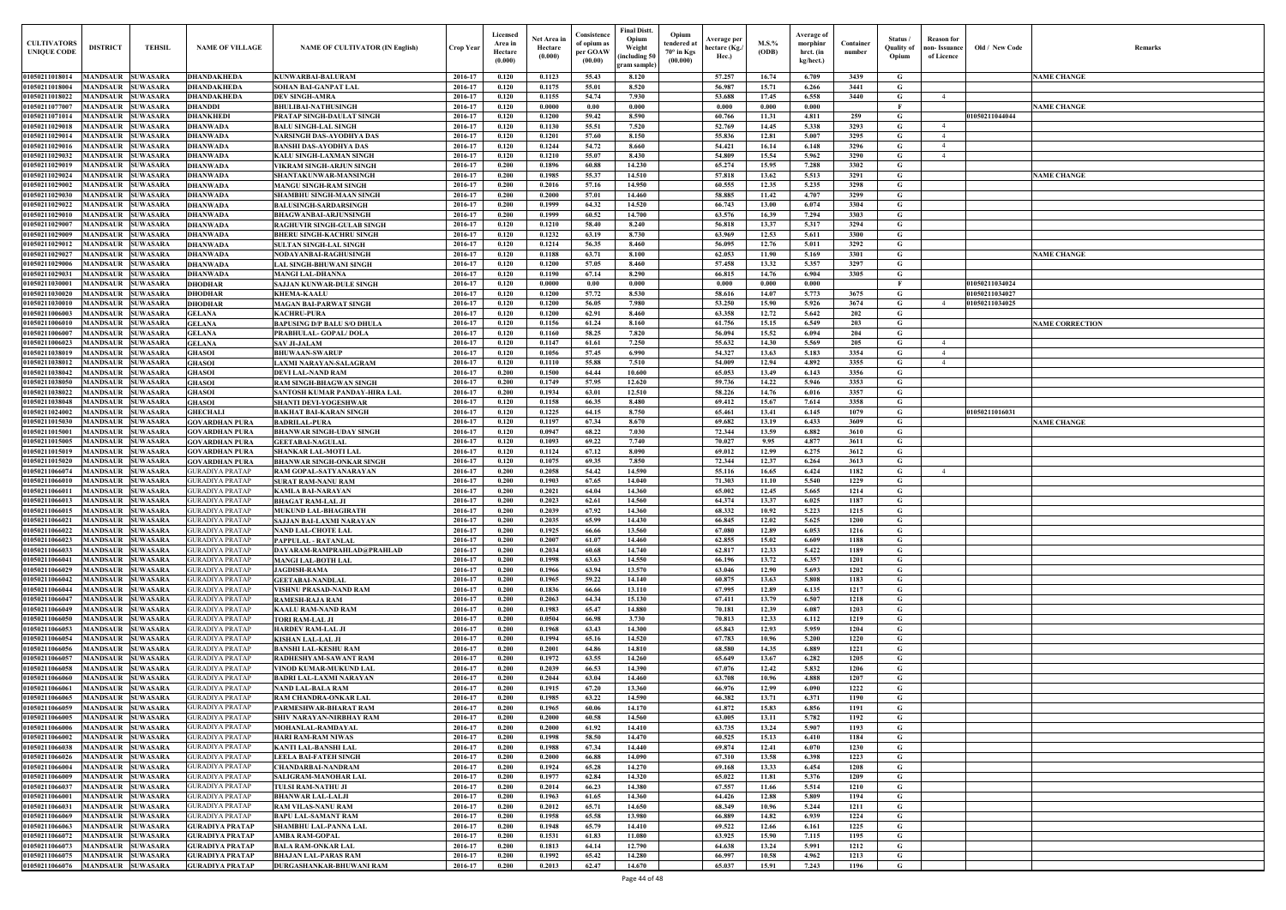| Old / New Code                   | Remarks                |
|----------------------------------|------------------------|
|                                  | <b>NAME CHANGE</b>     |
|                                  |                        |
|                                  | <b>NAME CHANGE</b>     |
| 01050211044044                   |                        |
|                                  |                        |
|                                  |                        |
|                                  |                        |
|                                  | <b>NAME CHANGE</b>     |
|                                  |                        |
|                                  |                        |
|                                  |                        |
|                                  |                        |
|                                  |                        |
|                                  | <b>NAME CHANGE</b>     |
|                                  |                        |
| 01050211034024<br>01050211034027 |                        |
| 01050211034025                   |                        |
|                                  |                        |
|                                  | <b>NAME CORRECTION</b> |
|                                  |                        |
|                                  |                        |
|                                  |                        |
|                                  |                        |
|                                  |                        |
| 01050211016031                   | <b>NAME CHANGE</b>     |
|                                  |                        |
|                                  |                        |
|                                  |                        |
|                                  |                        |
|                                  |                        |
|                                  |                        |
|                                  |                        |
|                                  |                        |
|                                  |                        |
|                                  |                        |
|                                  |                        |
|                                  |                        |
|                                  |                        |
|                                  |                        |
|                                  |                        |
|                                  |                        |
|                                  |                        |
|                                  |                        |
|                                  |                        |
|                                  |                        |
|                                  |                        |
|                                  |                        |
|                                  |                        |
|                                  |                        |
|                                  |                        |
|                                  |                        |
|                                  |                        |
|                                  |                        |
|                                  |                        |
|                                  |                        |
|                                  |                        |
|                                  |                        |

| <b>CULTIVATORS</b><br><b>UNIQUE CODI</b> | <b>DISTRICT</b>                                      | <b>TEHSIL</b>                      | <b>NAME OF VILLAGE</b>                           | <b>NAME OF CULTIVATOR (IN English)</b>                           | <b>Crop Year</b>   | Licensed<br>Area in<br>Hectare<br>(0.000) | Net Area ir<br>Hectare<br>(0.000) | Consistence<br>of opium as<br>per GOAW<br>(00.00) | Final Distt.<br>Opium<br>Weight<br>including 50)<br>ram sample | Opium<br>tendered at<br>70° in Kgs<br>(00.000) | Average per<br>hectare (Kg./<br>Hec.) | $M.S.$ %<br>(ODB) | Average of<br>morphinr<br>hrct. (in<br>kg/hect.) | Container<br>number | Status<br>Quality of<br>Opium | <b>Reason</b> for<br>oon- Issuance<br>of Licence | Old / New Code                   | <b>Remark</b>          |
|------------------------------------------|------------------------------------------------------|------------------------------------|--------------------------------------------------|------------------------------------------------------------------|--------------------|-------------------------------------------|-----------------------------------|---------------------------------------------------|----------------------------------------------------------------|------------------------------------------------|---------------------------------------|-------------------|--------------------------------------------------|---------------------|-------------------------------|--------------------------------------------------|----------------------------------|------------------------|
| 01050211018014                           | MANDSAUR SUWASARA                                    |                                    | <b>DHANDAKHEDA</b>                               | KUNWARBAI-BALURAM                                                | 2016-17            | 0.120                                     | 0.1123                            | 55.43                                             | 8.120                                                          |                                                | 57.257                                | 16.74             | 6.709                                            | 3439                | G                             |                                                  |                                  | <b>NAME CHANGE</b>     |
| 01050211018004                           | <b>MANDSAUR SUWASARA</b>                             |                                    | <b>DHANDAKHEDA</b>                               | <b>SOHAN BAI-GANPAT LAL</b>                                      | 2016-17            | 0.120                                     | 0.1175                            | 55.01                                             | 8.520                                                          |                                                | 56.987                                | 15.71             | 6.266                                            | 3441                | G                             |                                                  |                                  |                        |
| 01050211018022                           | <b>MANDSAUR SUWASARA</b>                             |                                    | <b>DHANDAKHEDA</b>                               | <b>DEV SINGH-AMRA</b>                                            | 2016-17            | 0.120                                     | 0.1155                            | 54.74                                             | 7.930                                                          |                                                | 53.688                                | 17.45             | 6.558                                            | 3440                | G                             | 4                                                |                                  |                        |
| 01050211077007<br>01050211071014         | <b>MANDSAUR</b><br>MANDSAUR                          | <b>SUWASARA</b><br><b>SUWASARA</b> | <b>DHANDDI</b><br><b>DHANKHEDI</b>               | <b>BHULIBAI-NATHUSINGH</b><br>PRATAP SINGH-DAULAT SINGH          | 2016-17<br>2016-17 | 0.120<br>0.120                            | 0.0000<br>0.1200                  | 0.00<br>59.42                                     | 0.000<br>8.590                                                 |                                                | 0.000<br>60.766                       | 0.000<br>11.31    | 0.000<br>4.811                                   | 259                 | $\mathbf{F}$<br>G             |                                                  | 01050211044044                   | <b>NAME CHANGE</b>     |
| 01050211029018                           | MANDSAUR                                             | <b>SUWASARA</b>                    | <b>DHANWADA</b>                                  | <b>BALU SINGH-LAL SINGH</b>                                      | 2016-17            | 0.120                                     | 0.1130                            | 55.51                                             | 7.520                                                          |                                                | 52.769                                | 14.45             | 5.338                                            | 3293                | G                             | $\overline{4}$                                   |                                  |                        |
| 01050211029014                           | <b>MANDSAUR</b>                                      | <b>SUWASARA</b>                    | <b>DHANWADA</b>                                  | NARSINGH DAS-AYODHYA DAS                                         | 2016-17            | 0.120                                     | 0.1201                            | 57.60                                             | 8.150                                                          |                                                | 55.836                                | 12.81             | 5.007                                            | 3295                | G                             | $\overline{4}$                                   |                                  |                        |
| 01050211029016                           | <b>MANDSAUR</b>                                      | <b>SUWASARA</b>                    | <b>DHANWADA</b>                                  | <b>BANSHI DAS-AYODHYA DAS</b>                                    | 2016-17            | 0.120                                     | 0.1244                            | 54.72                                             | 8.660                                                          |                                                | 54.421                                | 16.14             | 6.148                                            | 3296                | G                             | $\overline{4}$                                   |                                  |                        |
| 01050211029032                           | <b>MANDSAUR</b>                                      | <b>SUWASARA</b>                    | <b>DHANWADA</b>                                  | KALU SINGH-LAXMAN SINGH                                          | 2016-17            | 0.120                                     | 0.1210                            | 55.07                                             | 8.430                                                          |                                                | 54.809                                | 15.54             | 5.962                                            | 3290                | G                             | $\overline{4}$                                   |                                  |                        |
| 01050211029019<br>01050211029024         | <b>MANDSAUR</b><br><b>MANDSAUR</b>                   | <b>SUWASARA</b><br><b>SUWASARA</b> | <b>DHANWADA</b><br><b>DHANWADA</b>               | <b>VIKRAM SINGH-ARJUN SINGH</b><br>SHANTAKUNWAR-MANSINGH         | 2016-17<br>2016-17 | 0.200<br>0.200                            | 0.1896<br>0.1985                  | 60.88<br>55.37                                    | 14.230<br>14.510                                               |                                                | 65,274<br>57.818                      | 15.95<br>13.62    | 7.288<br>5.513                                   | 3302<br>3291        | G<br>G                        |                                                  |                                  | <b>NAME CHANGE</b>     |
| 01050211029002                           | <b>MANDSAUR</b>                                      | <b>SUWASARA</b>                    | <b>DHANWADA</b>                                  | <b>MANGU SINGH-RAM SINGH</b>                                     | 2016-17            | 0.200                                     | 0.2016                            | 57.16                                             | 14.950                                                         |                                                | 60.555                                | 12.35             | 5.235                                            | 3298                | $\mathbf G$                   |                                                  |                                  |                        |
| 01050211029030                           | MANDSAUR                                             | <b>SUWASARA</b>                    | <b>DHANWADA</b>                                  | SHAMBHU SINGH-MAAN SINGH                                         | 2016-17            | 0.200                                     | 0.2000                            | 57.01                                             | 14.460                                                         |                                                | 58.885                                | 11.42             | 4.707                                            | 3299                | G                             |                                                  |                                  |                        |
| 01050211029022                           | <b>MANDSAUR</b>                                      | <b>SUWASARA</b>                    | <b>DHANWADA</b>                                  | <b>BALUSINGH-SARDARSINGH</b>                                     | 2016-17            | 0.200                                     | 0.1999                            | 64.32                                             | 14.520                                                         |                                                | 66.743                                | 13.00             | 6.074                                            | 3304                | $\mathbf G$                   |                                                  |                                  |                        |
| 0105021102901                            | MANDSAUR                                             | <b>SUWASARA</b>                    | <b>DHANWADA</b>                                  | <b>BHAGWANBAI-ARJUNSINGH</b>                                     | 2016-17            | 0.200                                     | 0.1999                            | 60.52                                             | 14.700                                                         |                                                | 63.576                                | 16.39             | 7.294                                            | 3303                | G                             |                                                  |                                  |                        |
| 0105021102900<br>0105021102900           | MANDSAUR<br>MANDSAUR                                 | <b>SUWASARA</b><br><b>SUWASARA</b> | <b>DHANWADA</b>                                  | RAGHUVIR SINGH-GULAB SINGH                                       | 2016-17<br>2016-17 | 0.120                                     | 0.1210<br>0.1232                  | 58.40<br>63.19                                    | 8.240<br>8.730                                                 |                                                | 56.818<br>63.969                      | 13.37<br>12.53    | 5.317                                            | 3294<br>3300        | $\mathbf G$<br>G              |                                                  |                                  |                        |
| 01050211029012                           | <b>MANDSAUR</b>                                      | <b>SUWASARA</b>                    | <b>DHANWADA</b><br><b>DHANWADA</b>               | <b>BHERU SINGH-KACHRU SINGH</b><br><b>SULTAN SINGH-LAL SINGH</b> | 2016-17            | 0.120<br>0.120                            | 0.1214                            | 56.35                                             | 8.460                                                          |                                                | 56.095                                | 12.76             | 5.611<br>5.011                                   | 3292                | G                             |                                                  |                                  |                        |
| 01050211029027                           | <b>MANDSAUR</b>                                      | <b>SUWASARA</b>                    | <b>DHANWADA</b>                                  | NODAYANBAI-RAGHUSINGH                                            | 2016-17            | 0.120                                     | 0.1188                            | 63.71                                             | 8.100                                                          |                                                | 62.053                                | 11.90             | 5.169                                            | 3301                | G                             |                                                  |                                  | <b>NAME CHANGE</b>     |
| 01050211029006                           | <b>MANDSAUR SUWASARA</b>                             |                                    | <b>DHANWADA</b>                                  | AL SINGH-BHUWANI SINGH                                           | 2016-17            | 0.120                                     | 0.1200                            | 57.05                                             | 8.460                                                          |                                                | 57.458                                | 13.32             | 5.357                                            | 3297                | G                             |                                                  |                                  |                        |
| 01050211029031                           | <b>MANDSAUR SUWASARA</b>                             |                                    | <b>DHANWADA</b>                                  | <b>MANGI LAL-DHANNA</b>                                          | 2016-17            | 0.120                                     | 0.1190                            | 67.14                                             | 8.290                                                          |                                                | 66.815                                | 14.76             | 6.904                                            | 3305                | G                             |                                                  |                                  |                        |
| 01050211030001                           | MANDSAUR SUWASARA                                    |                                    | <b>DHODHAR</b>                                   | SAJJAN KUNWAR-DULE SINGH                                         | 2016-17            | 0.120                                     | 0.0000                            | 0.00                                              | 0.000                                                          |                                                | 0.000                                 | 0.000             | 0.000                                            |                     | F                             |                                                  | 01050211034024                   |                        |
| 01050211030020<br>01050211030010         | MANDSAUR SUWASARA<br><b>MANDSAUR SUWASARA</b>        |                                    | <b>DHODHAR</b><br><b>DHODHAR</b>                 | <b>KHEMA-KAALU</b><br><b>MAGAN BAI-PARWAT SINGH</b>              | 2016-17<br>2016-17 | 0.120<br>0.120                            | 0.1200<br>0.1200                  | 57.72<br>56.05                                    | 8.530<br>7.980                                                 |                                                | 58.616<br>53.250                      | 14.07<br>15.90    | 5.773<br>5.926                                   | 3675<br>3674        | G<br>$\mathbf G$              | $\overline{4}$                                   | 01050211034027<br>01050211034025 |                        |
| 01050211006003                           | <b>MANDSAUR SUWASARA</b>                             |                                    | <b>GELANA</b>                                    | <b>KACHRU-PURA</b>                                               | 2016-17            | 0.120                                     | 0.1200                            | 62.91                                             | 8.460                                                          |                                                | 63.358                                | 12.72             | 5.642                                            | 202                 | G                             |                                                  |                                  |                        |
| 01050211006010                           | <b>MANDSAUR SUWASARA</b>                             |                                    | <b>GELANA</b>                                    | BAPUSING D/P BALU S/O DHULA                                      | 2016-17            | 0.120                                     | 0.1156                            | 61.24                                             | 8.160                                                          |                                                | 61.756                                | 15.15             | 6.549                                            | 203                 | G                             |                                                  |                                  | <b>NAME CORRECTION</b> |
| 01050211006007                           | <b>MANDSAUR</b>                                      | <b>SUWASARA</b>                    | <b>GELANA</b>                                    | PRABHULAL- GOPAL/DOLA                                            | 2016-17            | 0.120                                     | 0.1160                            | 58.25                                             | 7.820                                                          |                                                | 56.094                                | 15.52             | 6.094                                            | 204                 | G                             |                                                  |                                  |                        |
| 01050211006023                           | <b>MANDSAUR</b>                                      | <b>SUWASARA</b>                    | <b>GELANA</b>                                    | <b>SAV JI-JALAM</b>                                              | 2016-17            | 0.120                                     | 0.1147                            | 61.61                                             | 7.250                                                          |                                                | 55.632                                | 14.30             | 5.569                                            | 205                 | G                             | 4                                                |                                  |                        |
| 01050211038019                           | <b>MANDSAUR</b>                                      | <b>SUWASARA</b><br><b>SUWASARA</b> | <b>GHASOI</b>                                    | <b>BHUWAAN-SWARUP</b>                                            | 2016-17<br>2016-17 | 0.120<br>0.120                            | 0.1056<br>0.1110                  | 57.45<br>55.88                                    | 6.990<br>7.510                                                 |                                                | 54.327<br>54.009                      | 13.63             | 5.183                                            | 3354<br>3355        | G<br>G                        | $\overline{4}$<br>$\overline{4}$                 |                                  |                        |
| 01050211038012<br>01050211038042         | <b>MANDSAUR</b><br><b>MANDSAUR</b>                   | <b>SUWASARA</b>                    | <b>GHASOI</b><br><b>GHASOI</b>                   | AXMI NARAYAN-SALAGRAM<br><b>DEVI LAL-NAND RAM</b>                | 2016-17            | 0.200                                     | 0.1500                            | 64.44                                             | 10.600                                                         |                                                | 65.053                                | 12.94<br>13.49    | 4.892<br>6.143                                   | 3356                | $\mathbf G$                   |                                                  |                                  |                        |
| 01050211038050                           | MANDSAUR                                             | <b>SUWASARA</b>                    | <b>GHASOI</b>                                    | RAM SINGH-BHAGWAN SINGH                                          | 2016-17            | 0.200                                     | 0.1749                            | 57.95                                             | 12.620                                                         |                                                | 59.736                                | 14.22             | 5.946                                            | 3353                | G                             |                                                  |                                  |                        |
| 01050211038022                           | <b>MANDSAUR</b>                                      | <b>SUWASARA</b>                    | <b>GHASOI</b>                                    | SANTOSH KUMAR PANDAY-HIRA LAL                                    | 2016-17            | 0.200                                     | 0.1934                            | 63.01                                             | 12.510                                                         |                                                | 58.226                                | 14.76             | 6.016                                            | 3357                | G                             |                                                  |                                  |                        |
| 01050211038048                           | <b>MANDSAUR</b>                                      | <b>SUWASARA</b>                    | <b>GHASOI</b>                                    | SHANTI DEVI-YOGESHWAR                                            | 2016-17            | 0.120                                     | 0.1158                            | 66.35                                             | 8.480                                                          |                                                | 69.412                                | 15.67             | 7.614                                            | 3358                | G                             |                                                  |                                  |                        |
| 01050211024002                           | <b>MANDSAUR</b>                                      | <b>SUWASARA</b>                    | <b>GHECHALI</b>                                  | <b>BAKHAT BAI-KARAN SINGH</b>                                    | 2016-17            | 0.120                                     | 0.1225                            | 64.15                                             | 8.750                                                          |                                                | 65.461                                | 13.41             | 6.145                                            | 1079                | G                             |                                                  | 01050211016031                   |                        |
| 01050211015030<br>0105021101500          | <b>MANDSAUR</b><br>MANDSAUR                          | <b>SUWASARA</b><br><b>SUWASARA</b> | <b>GOVARDHAN PURA</b><br><b>GOVARDHAN PURA</b>   | <b>BADRILAL-PURA</b><br><b>BHANWAR SINGH-UDAY SINGH</b>          | 2016-17<br>2016-17 | 0.120<br>0.120                            | 0.1197<br>0.0947                  | 67.34<br>68.22                                    | 8.670<br>7.030                                                 |                                                | 69.682<br>72.344                      | 13.19<br>13.59    | 6.433<br>6.882                                   | 3609<br>3610        | G<br>$\mathbf G$              |                                                  |                                  | <b>NAME CHANGE</b>     |
| 01050211015005                           | <b>MANDSAUR</b>                                      | <b>SUWASARA</b>                    | <b>GOVARDHAN PURA</b>                            | <b>GEETABAI-NAGULAL</b>                                          | 2016-17            | 0.120                                     | 0.1093                            | 69.22                                             | 7.740                                                          |                                                | 70.027                                | 9.95              | 4.877                                            | 3611                | G                             |                                                  |                                  |                        |
| <b>01050211015019</b>                    | <b>MANDSAUR</b>                                      | <b>SUWASARA</b>                    | <b>GOVARDHAN PURA</b>                            | SHANKAR LAL-MOTI LAL                                             | 2016-17            | 0.120                                     | 0.1124                            | 67.12                                             | 8.090                                                          |                                                | 69.012                                | 12.99             | 6.275                                            | 3612                | G                             |                                                  |                                  |                        |
| 0105021101502                            | MANDSAUR                                             | <b>SUWASARA</b>                    | <b>GOVARDHAN PURA</b>                            | BHANWAR SINGH-ONKAR SINGH                                        | 2016-17            | 0.120                                     | 0.1075                            | 69.35                                             | 7.850                                                          |                                                | 72.344                                | 12.37             | 6.264                                            | 3613                | G                             |                                                  |                                  |                        |
| 0105021106607                            | MANDSAUR                                             | <b>SUWASARA</b>                    | <b>GURADIYA PRATAF</b>                           | RAM GOPAL-SATYANARAYAN                                           | 2016-17            | 0.200                                     | 0.2058                            | 54.42                                             | 14.590                                                         |                                                | 55.116                                | 16.65             | 6.424                                            | 1182                | G                             | $\overline{4}$                                   |                                  |                        |
| 0105021106601                            | <b>MANDSAUR</b><br>MANDSAUR                          | <b>SUWASARA</b><br><b>SUWASARA</b> | <b>GURADIYA PRATAF</b><br>GURADIYA PRATAF        | SURAT RAM-NANU RAM<br>KAMLA BAI-NARAYAN                          | 2016-17<br>2016-17 | 0.200<br>0.200                            | 0.1903<br>0.2021                  | 67.65<br>64.04                                    | 14.040<br>14.360                                               |                                                | 71.303<br>65.002                      | 11.10<br>12.45    | 5.540<br>5.665                                   | 1229<br>1214        | G<br>G                        |                                                  |                                  |                        |
| 01050211066011<br>01050211066013         | MANDSAUR SUWASARA                                    |                                    | <b>GURADIYA PRATAP</b>                           | <b>BHAGAT RAM-LAL JI</b>                                         | 2016-17            | 0.200                                     | 0.2023                            | 62.61                                             | 14.560                                                         |                                                | 64.374                                | 13.37             | 6.025                                            | 1187                | G                             |                                                  |                                  |                        |
| 01050211066015 MANDSAUR SUWASARA         |                                                      |                                    | <b>GURADIYA PRATAP</b>                           | MUKUND LAL-BHAGIRATH                                             | 2016-17            | 0.200                                     | 0.2039                            | 67.92                                             | 14.360                                                         |                                                | 68.332                                | 10.92             | 5.223                                            | 1215                | G                             |                                                  |                                  |                        |
| 01050211066021                           | <b>MANDSAUR SUWASARA</b>                             |                                    | <b>GURADIYA PRATAP</b>                           | <b>SAJJAN BAI-LAXMI NARAYAN</b>                                  | 2016-17            | 0.200                                     | 0.2035                            | 65.99                                             | 14.430                                                         |                                                | 66.845                                | 12.02             | 5.625                                            | 1200                | G                             |                                                  |                                  |                        |
| 01050211066022                           | MANDSAUR SUWASARA                                    |                                    | <b>GURADIYA PRATAP</b>                           | <b>NAND LAL-CHOTE LAL</b>                                        | 2016-17            | 0.200                                     | 0.1925                            | 66.66                                             | 13.560                                                         |                                                | 67.080                                | 12.89             | 6.053                                            | 1216                | G                             |                                                  |                                  |                        |
| 01050211066023                           | <b>MANDSAUR SUWASARA</b>                             |                                    | <b>GURADIYA PRATAP</b>                           | PAPPULAL - RATANLAL                                              | 2016-17            | 0.200                                     | 0.2007                            | 61.07                                             | 14.460                                                         |                                                | 62.855                                | 15.02             | 6.609                                            | 1188                | G                             |                                                  |                                  |                        |
| 01050211066033<br>01050211066041         | MANDSAUR SUWASARA<br>MANDSAUR SUWASARA               |                                    | <b>GURADIYA PRATAP</b><br><b>GURADIYA PRATAP</b> | DAYARAM-RAMPRAHLAD@PRAHLAD<br><b>MANGI LAL-BOTH LAL</b>          | 2016-17<br>2016-17 | 0.200<br>0.200                            | 0.2034<br>0.1998                  | 60.68<br>63.63                                    | 14.740<br>14.550                                               |                                                | 62.817<br>66.196                      | 12.33<br>13.72    | 5.422<br>6.357                                   | 1189<br>1201        | $\mathbf G$<br>$\mathbf G$    |                                                  |                                  |                        |
| 01050211066029                           | MANDSAUR SUWASARA                                    |                                    | <b>GURADIYA PRATAP</b>                           | <b>JAGDISH-RAMA</b>                                              | 2016-17            | 0.200                                     | 0.1966                            | 63.94                                             | 13.570                                                         |                                                | 63.046                                | 12.90             | 5.693                                            | 1202                | $\mathbf G$                   |                                                  |                                  |                        |
| 01050211066042                           | <b>MANDSAUR SUWASARA</b>                             |                                    | <b>GURADIYA PRATAP</b>                           | <b>GEETABAI-NANDLAL</b>                                          | 2016-17            | 0.200                                     | 0.1965                            | 59.22                                             | 14.140                                                         |                                                | 60.875                                | 13.63             | 5.808                                            | 1183                | $\mathbf G$                   |                                                  |                                  |                        |
| 01050211066044                           | <b>MANDSAUR SUWASARA</b>                             |                                    | <b>GURADIYA PRATAP</b>                           | <b>VISHNU PRASAD-NAND RAM</b>                                    | 2016-17            | 0.200                                     | 0.1836                            | 66.66                                             | 13.110                                                         |                                                | 67.995                                | 12.89             | 6.135                                            | 1217                | $\mathbf G$                   |                                                  |                                  |                        |
| 01050211066047                           | <b>MANDSAUR SUWASARA</b>                             |                                    | <b>GURADIYA PRATAP</b>                           | <b>RAMESH-RAJA RAM</b>                                           | 2016-17            | 0.200                                     | 0.2063                            | 64.34                                             | 15.130                                                         |                                                | 67.411                                | 13.79             | 6.507                                            | 1218                | $\mathbf G$                   |                                                  |                                  |                        |
| 01050211066049<br>01050211066050         | <b>MANDSAUR SUWASARA</b><br><b>MANDSAUR SUWASARA</b> |                                    | <b>GURADIYA PRATAP</b><br><b>GURADIYA PRATAP</b> | <b>KAALU RAM-NAND RAM</b><br><b>TORI RAM-LAL JI</b>              | 2016-17<br>2016-17 | 0.200<br>0.200                            | 0.1983<br>0.0504                  | 65.47<br>66.98                                    | 14.880<br>3.730                                                |                                                | 70.181<br>70.813                      | 12.39<br>12.33    | 6.087<br>6.112                                   | 1203<br>1219        | $\mathbf G$<br>$\mathbf G$    |                                                  |                                  |                        |
| 01050211066053                           | MANDSAUR SUWASARA                                    |                                    | <b>GURADIYA PRATAP</b>                           | <b>HARDEV RAM-LAL JI</b>                                         | 2016-17            | 0.200                                     | 0.1968                            | 63.43                                             | 14.300                                                         |                                                | 65.843                                | 12.93             | 5.959                                            | 1204                | G                             |                                                  |                                  |                        |
| 01050211066054                           | MANDSAUR SUWASARA                                    |                                    | <b>GURADIYA PRATAP</b>                           | <b>KISHAN LAL-LAL JI</b>                                         | 2016-17            | 0.200                                     | 0.1994                            | 65.16                                             | 14.520                                                         |                                                | 67.783                                | 10.96             | 5.200                                            | 1220                | $\mathbf G$                   |                                                  |                                  |                        |
| 01050211066056                           | MANDSAUR SUWASARA                                    |                                    | <b>GURADIYA PRATAP</b>                           | <b>BANSHI LAL-KESHU RAM</b>                                      | 2016-17            | 0.200                                     | 0.2001                            | 64.86                                             | 14.810                                                         |                                                | 68.580                                | 14.35             | 6.889                                            | 1221                | $\mathbf G$                   |                                                  |                                  |                        |
| 01050211066057                           | MANDSAUR SUWASARA                                    |                                    | <b>GURADIYA PRATAP</b>                           | <b>RADHESHYAM-SAWANT RAM</b>                                     | 2016-17            | 0.200                                     | 0.1972                            | 63.55                                             | 14.260                                                         |                                                | 65.649                                | 13.67             | 6.282                                            | 1205                | $\mathbf G$                   |                                                  |                                  |                        |
| 01050211066058                           | <b>MANDSAUR</b>                                      | <b>SUWASARA</b>                    | <b>GURADIYA PRATAP</b>                           | VINOD KUMAR-MUKUND LAL                                           | 2016-17            | 0.200                                     | 0.2039                            | 66.53<br>63.04                                    | 14.390                                                         |                                                | 67.076                                | 12,42             | 5.832                                            | 1206                | $\mathbf G$                   |                                                  |                                  |                        |
| 01050211066060<br>01050211066061         | MANDSAUR SUWASARA<br><b>MANDSAUR</b>                 | <b>SUWASARA</b>                    | <b>GURADIYA PRATAP</b><br><b>GURADIYA PRATAP</b> | <b>BADRI LAL-LAXMI NARAYAN</b><br><b>NAND LAL-BALA RAM</b>       | 2016-17<br>2016-17 | 0.200<br>0.200                            | 0.2044<br>0.1915                  | 67.20                                             | 14.460<br>13.360                                               |                                                | 63.708<br>66.976                      | 10.96<br>12.99    | 4.888<br>6.090                                   | 1207<br>1222        | $\mathbf G$<br>$\mathbf G$    |                                                  |                                  |                        |
| 01050211066065                           | <b>MANDSAUR SUWASARA</b>                             |                                    | <b>GURADIYA PRATAP</b>                           | RAM CHANDRA-ONKAR LAL                                            | 2016-17            | 0.200                                     | 0.1985                            | 63.22                                             | 14.590                                                         |                                                | 66.382                                | 13.71             | 6.371                                            | 1190                | $\mathbf G$                   |                                                  |                                  |                        |
| 01050211066059                           | <b>MANDSAUR</b>                                      | <b>SUWASARA</b>                    | <b>GURADIYA PRATAP</b>                           | PARMESHWAR-BHARAT RAM                                            | 2016-17            | 0.200                                     | 0.1965                            | 60.06                                             | 14.170                                                         |                                                | 61.872                                | 15.83             | 6.856                                            | 1191                | G                             |                                                  |                                  |                        |
| 01050211066005                           | <b>MANDSAUR SUWASARA</b>                             |                                    | <b>GURADIYA PRATAP</b>                           | SHIV NARAYAN-NIRBHAY RAM                                         | 2016-17            | 0.200                                     | 0.2000                            | 60.58                                             | 14.560                                                         |                                                | 63.005                                | 13.11             | 5.782                                            | 1192                | $\mathbf G$                   |                                                  |                                  |                        |
| 01050211066006                           | MANDSAUR SUWASARA                                    |                                    | <b>GURADIYA PRATAP</b>                           | MOHANLAL-RAMDAYAL                                                | 2016-17            | 0.200                                     | 0.2000                            | 61.92                                             | 14.410                                                         |                                                | 63.735                                | 13.24             | 5.907                                            | 1193                | G                             |                                                  |                                  |                        |
| 01050211066002<br>01050211066038         | MANDSAUR SUWASARA                                    |                                    | <b>GURADIYA PRATAP</b>                           | <b>HARI RAM-RAM NIWAS</b>                                        | 2016-17            | 0.200<br>0.200                            | 0.1998<br>0.1988                  | 58.50<br>67.34                                    | 14.470<br>14.440                                               |                                                | 60.525<br>69.874                      | 15.13             | 6.410                                            | 1184<br>1230        | $\mathbf G$                   |                                                  |                                  |                        |
| 01050211066026                           | MANDSAUR SUWASARA<br>MANDSAUR SUWASARA               |                                    | <b>GURADIYA PRATAP</b><br><b>GURADIYA PRATAP</b> | <b>KANTI LAL-BANSHI LAL</b><br><b>LEELA BAI-FATEH SINGH</b>      | 2016-17<br>2016-17 | 0.200                                     | 0.2000                            | 66.88                                             | 14.090                                                         |                                                | 67.310                                | 12.41<br>13.58    | 6.070<br>6.398                                   | 1223                | G<br>G                        |                                                  |                                  |                        |
| 01050211066004                           | <b>MANDSAUR SUWASARA</b>                             |                                    | <b>GURADIYA PRATAP</b>                           | <b>CHANDARBAI-NANDRAM</b>                                        | 2016-17            | 0.200                                     | 0.1924                            | 65.28                                             | 14.270                                                         |                                                | 69.168                                | 13.33             | 6.454                                            | 1208                | G                             |                                                  |                                  |                        |
| 01050211066009                           | MANDSAUR SUWASARA                                    |                                    | <b>GURADIYA PRATAP</b>                           | <b>SALIGRAM-MANOHAR LAL</b>                                      | 2016-17            | 0.200                                     | 0.1977                            | 62.84                                             | 14.320                                                         |                                                | 65.022                                | 11.81             | 5.376                                            | 1209                | $\mathbf G$                   |                                                  |                                  |                        |
| 01050211066037                           | <b>MANDSAUR SUWASARA</b>                             |                                    | <b>GURADIYA PRATAP</b>                           | <b>TULSI RAM-NATHU JI</b>                                        | 2016-17            | 0.200                                     | 0.2014                            | 66.23                                             | 14.380                                                         |                                                | 67.557                                | 11.66             | 5.514                                            | 1210                | $\mathbf G$                   |                                                  |                                  |                        |
| 01050211066001                           | MANDSAUR SUWASARA                                    |                                    | <b>GURADIYA PRATAP</b>                           | <b>BHANWAR LAL-LALJI</b>                                         | 2016-17            | 0.200                                     | 0.1963                            | 61.65                                             | 14.360                                                         |                                                | 64.426                                | 12.88             | 5.809                                            | 1194                | $\mathbf G$                   |                                                  |                                  |                        |
| 01050211066031<br>01050211066069         | MANDSAUR SUWASARA<br>MANDSAUR SUWASARA               |                                    | <b>GURADIYA PRATAP</b><br><b>GURADIYA PRATAP</b> | RAM VILAS-NANU RAM<br><b>BAPU LAL-SAMANT RAM</b>                 | 2016-17<br>2016-17 | 0.200<br>0.200                            | 0.2012<br>0.1958                  | 65.71<br>65.58                                    | 14.650<br>13.980                                               |                                                | 68.349<br>66.889                      | 10.96<br>14.82    | 5.244<br>6.939                                   | 1211<br>1224        | $\mathbf G$<br>$\mathbf G$    |                                                  |                                  |                        |
| 01050211066063                           | <b>MANDSAUR SUWASARA</b>                             |                                    | <b>GURADIYA PRATAP</b>                           | <b>SHAMBHU LAL-PANNA LAL</b>                                     | 2016-17            | 0.200                                     | 0.1948                            | 65.79                                             | 14.410                                                         |                                                | 69.522                                | 12.66             | 6.161                                            | 1225                | $\mathbf G$                   |                                                  |                                  |                        |
| 01050211066072                           | MANDSAUR SUWASARA                                    |                                    | <b>GURADIYA PRATAP</b>                           | <b>AMBA RAM-GOPAL</b>                                            | 2016-17            | 0.200                                     | 0.1531                            | 61.83                                             | 11.080                                                         |                                                | 63.925                                | 15.90             | 7.115                                            | 1195                | $\mathbf G$                   |                                                  |                                  |                        |
| 01050211066073                           | <b>MANDSAUR SUWASARA</b>                             |                                    | <b>GURADIYA PRATAP</b>                           | <b>BALA RAM-ONKAR LAL</b>                                        | 2016-17            | 0.200                                     | 0.1813                            | 64.14                                             | 12,790                                                         |                                                | 64.638                                | 13.24             | 5.991                                            | 1212                | $\mathbf G$                   |                                                  |                                  |                        |
| 01050211066075                           | <b>MANDSAUR SUWASARA</b>                             |                                    | <b>GURADIYA PRATAP</b>                           | <b>BHAJAN LAL-PARAS RAM</b>                                      | 2016-17            | 0.200                                     | 0.1992                            | 65.42                                             | 14.280                                                         |                                                | 66.997                                | 10.58             | 4.962                                            | 1213                | $\mathbf{G}$                  |                                                  |                                  |                        |
| 01050211066076                           | MANDSAUR SUWASARA                                    |                                    | <b>GURADIYA PRATAP</b>                           | DURGASHANKAR-BHUWANI RAM                                         | 2016-17            | 0.200                                     | 0.2013                            | 62.47                                             | 14.670                                                         |                                                | 65.037                                | 15.91             | 7.243                                            | 1196                | $\mathbf G$                   |                                                  |                                  |                        |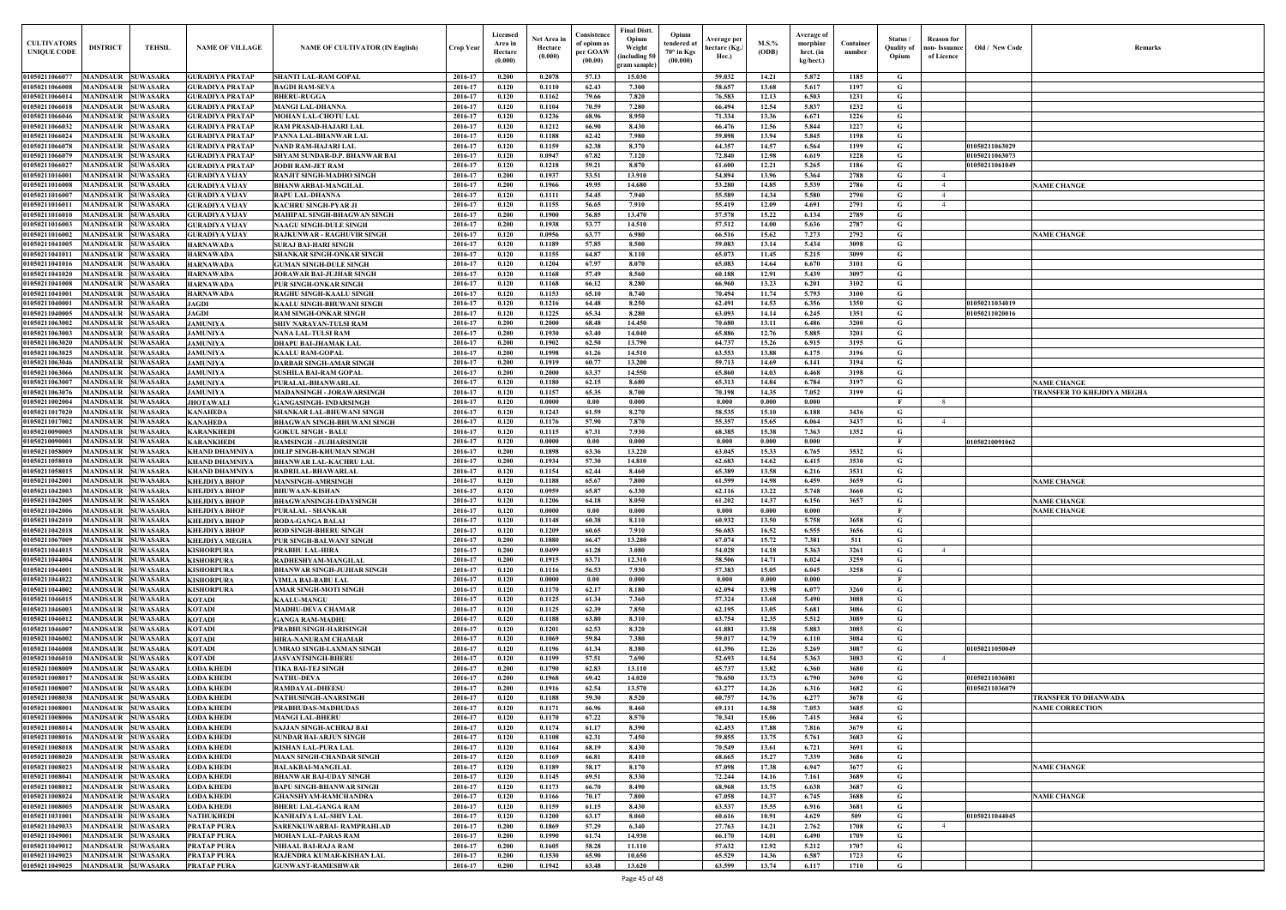| Old / New Code                 | Remarks                                          |
|--------------------------------|--------------------------------------------------|
|                                |                                                  |
|                                |                                                  |
|                                |                                                  |
|                                |                                                  |
|                                |                                                  |
| 1050211063029                  |                                                  |
| 1050211063073<br>1050211061049 |                                                  |
|                                |                                                  |
|                                | <b>NAME CHANGE</b>                               |
|                                |                                                  |
|                                |                                                  |
|                                |                                                  |
|                                | <b>NAME CHANGE</b>                               |
|                                |                                                  |
|                                |                                                  |
|                                |                                                  |
|                                |                                                  |
| 1050211034019<br>1050211020016 |                                                  |
|                                |                                                  |
|                                |                                                  |
|                                |                                                  |
|                                |                                                  |
|                                |                                                  |
|                                | <b>NAME CHANGE</b><br>TRANSFER TO KHEJDIYA MEGHA |
|                                |                                                  |
|                                |                                                  |
|                                |                                                  |
| 1050210091062                  |                                                  |
|                                |                                                  |
|                                |                                                  |
|                                | <b>NAME CHANGE</b>                               |
|                                | <b>NAME CHANGE</b>                               |
|                                | <b>NAME CHANGE</b>                               |
|                                |                                                  |
|                                |                                                  |
|                                |                                                  |
|                                |                                                  |
|                                |                                                  |
|                                |                                                  |
|                                |                                                  |
|                                |                                                  |
|                                |                                                  |
| 1050211050049                  |                                                  |
|                                |                                                  |
| 1050211036081                  |                                                  |
| 1050211036079                  |                                                  |
|                                | TRANSFER TO DHANWADA                             |
|                                | <b>NAME CORRECTION</b>                           |
|                                |                                                  |
|                                |                                                  |
|                                |                                                  |
|                                | <b>NAME CHANGE</b>                               |
|                                |                                                  |
|                                | <b>NAME CHANGE</b>                               |
|                                |                                                  |
| 1050211044045                  |                                                  |
|                                |                                                  |
|                                |                                                  |
|                                |                                                  |

| <b>CULTIVATORS</b><br><b>UNIQUE CODI</b> | <b>DISTRICT</b>                               | <b>TEHSIL</b>                      | <b>NAME OF VILLAGE</b>                           | <b>NAME OF CULTIVATOR (IN English)</b>                             | <b>Crop Year</b>   | Licensed<br>Area ir<br>Hectare<br>(0.000) | Net Area in<br>Hectare<br>(0.000) | Consistence<br>of opium as<br>per GOAW<br>(00.00) | <b>Final Distt.</b><br>Opium<br>Weight<br>including 50<br>ram sample) | Opium<br>tendered at<br>$70^\circ$ in Kgs<br>(00.000) | Average per<br>hectare (Kg./<br>Hec.) | $M.S.$ %<br>(ODB) | Average of<br>morphinr<br>hrct. (in<br>kg/hect.) | Container<br>number | Status /<br><b>Quality of</b><br>Opium | <b>Reason</b> for<br>non- Issuance<br>of Licence | Old / New Code | <b>Remark</b>               |
|------------------------------------------|-----------------------------------------------|------------------------------------|--------------------------------------------------|--------------------------------------------------------------------|--------------------|-------------------------------------------|-----------------------------------|---------------------------------------------------|-----------------------------------------------------------------------|-------------------------------------------------------|---------------------------------------|-------------------|--------------------------------------------------|---------------------|----------------------------------------|--------------------------------------------------|----------------|-----------------------------|
| 01050211066077                           | MANDSAUR                                      | <b>SUWASARA</b>                    | <b>GURADIYA PRATAP</b>                           | <b>SHANTI LAL-RAM GOPAL</b>                                        | 2016-17            | 0.200                                     | 0.2078                            | 57.13                                             | 15.030                                                                |                                                       | 59.032                                | 14.21             | 5.872                                            | 1185                | G                                      |                                                  |                |                             |
| 01050211066008                           | MANDSAUR                                      | <b>SUWASARA</b>                    | <b>GURADIYA PRATAP</b>                           | <b>BAGDI RAM-SEVA</b>                                              | 2016-17            | 0.120                                     | 0.1110                            | 62.43                                             | 7.300                                                                 |                                                       | 58.657                                | 13.68             | 5.617                                            | 1197                | G                                      |                                                  |                |                             |
| 01050211066014<br>01050211066018         | MANDSAUR<br>MANDSAUR                          | <b>SUWASARA</b><br><b>SUWASARA</b> | <b>GURADIYA PRATAP</b><br><b>GURADIYA PRATAP</b> | <b>BHERU-RUGGA</b><br><b>MANGI LAL-DHANNA</b>                      | 2016-17<br>2016-17 | 0.120<br>0.120                            | 0.1162<br>0.1104                  | 79.66<br>70.59                                    | 7.820<br>7.280                                                        |                                                       | 76.583<br>66.494                      | 12.13<br>12.54    | 6.503<br>5.837                                   | 1231<br>1232        | G<br>$\mathbf G$                       |                                                  |                |                             |
| 01050211066046                           | <b>MANDSAUR</b>                               | <b>SUWASARA</b>                    | <b>GURADIYA PRATAP</b>                           | <b>MOHAN LAL-CHOTU LAL</b>                                         | 2016-17            | 0.120                                     | 0.1236                            | 68.96                                             | 8.950                                                                 |                                                       | 71.334                                | 13.36             | 6.671                                            | 1226                | G                                      |                                                  |                |                             |
| 01050211066032                           | <b>MANDSAUR</b>                               | <b>SUWASARA</b>                    | <b>GURADIYA PRATAP</b>                           | <b>RAM PRASAD-HAJARI LAL</b>                                       | 2016-17            | 0.120                                     | 0.1212                            | 66.90                                             | 8.430                                                                 |                                                       | 66.476                                | 12.56             | 5.844                                            | 1227                | $\mathbf G$                            |                                                  |                |                             |
| 01050211066024<br>01050211066078         | <b>MANDSAUR</b><br><b>MANDSAUR</b>            | <b>SUWASARA</b><br><b>SUWASARA</b> | <b>GURADIYA PRATAP</b><br><b>GURADIYA PRATAP</b> | PANNA LAL-BHANWAR LAL<br><b>NAND RAM-HAJARI LAL</b>                | 2016-17<br>2016-17 | 0.120<br>0.120                            | 0.1188<br>0.1159                  | 62.42<br>62.38                                    | 7.980<br>8.370                                                        |                                                       | 59.898<br>64.357                      | 13.94<br>14.57    | 5.845<br>6.564                                   | 1198<br>1199        | G<br>G                                 |                                                  | 01050211063029 |                             |
| 01050211066079                           | MANDSAUR                                      | <b>SUWASARA</b>                    | <b>GURADIYA PRATAP</b>                           | <b>SHYAM SUNDAR-D.P. BHANWAR BAI</b>                               | 2016-17            | 0.120                                     | 0.0947                            | 67.82                                             | 7.120                                                                 |                                                       | 72.840                                | 12.98             | 6.619                                            | 1228                | $\mathbf G$                            |                                                  | 01050211063073 |                             |
| 01050211066027                           | MANDSAUR                                      | <b>SUWASARA</b>                    | <b>GURADIYA PRATAP</b>                           | <b>JODH RAM-JET RAM</b>                                            | 2016-17            | 0.120                                     | 0.1218                            | 59.21                                             | 8.870                                                                 |                                                       | 61.600                                | 12.21             | 5.265                                            | 1186                | $\mathbf G$                            |                                                  | 01050211061049 |                             |
| 01050211016001                           | <b>MANDSAUR</b>                               | <b>SUWASARA</b>                    | <b>GURADIYA VIJAY</b>                            | <b>RANJIT SINGH-MADHO SINGH</b>                                    | 2016-17            | 0.200                                     | 0.1937                            | 53.51                                             | 13.910                                                                |                                                       | 54.894                                | 13.96             | 5.364                                            | 2788                | $\mathbf G$                            | $\overline{4}$<br>$\overline{4}$                 |                |                             |
| 0105021101600<br>0105021101600           | MANDSAUR<br>MANDSAUR                          | <b>SUWASARA</b><br><b>SUWASARA</b> | <b>GURADIYA VIJAY</b><br>GURADIYA VIJAY          | <b>BHANWARBAI-MANGILAL</b><br><b>BAPU LAL-DHANNA</b>               | 2016-17<br>2016-17 | 0.200<br>0.120                            | 0.1966<br>0.1111                  | 49.95<br>54.45                                    | 14.680<br>7.940                                                       |                                                       | 53.280<br>55.589                      | 14.85<br>14.34    | 5.539<br>5.580                                   | 2786<br>2790        | G<br>G                                 |                                                  |                | <b>NAME CHANGE</b>          |
| 01050211016011                           | MANDSAUR                                      | <b>SUWASARA</b>                    | <b>GURADIYA VIJAY</b>                            | KACHRU SINGH-PYAR JI                                               | 2016-17            | 0.120                                     | 0.1155                            | 56.65                                             | 7.910                                                                 |                                                       | 55.419                                | 12.09             | 4.691                                            | 2791                | G                                      |                                                  |                |                             |
| 01050211016010                           | MANDSAUR                                      | <b>SUWASARA</b>                    | <b>GURADIYA VIJAY</b>                            | <b>MAHIPAL SINGH-BHAGWAN SINGH</b>                                 | 2016-17            | 0.200                                     | 0.1900                            | 56.85                                             | 13.470                                                                |                                                       | 57.578                                | 15.22             | 6.134                                            | 2789                | G                                      |                                                  |                |                             |
| 01050211016003<br>01050211016002         | MANDSAUR<br><b>MANDSAUR</b>                   | <b>SUWASARA</b><br><b>SUWASARA</b> | <b>GURADIYA VIJAY</b><br><b>GURADIYA VIJAY</b>   | <b>NAAGU SINGH-DULE SINGH</b><br><b>RAJKUNWAR - RAGHUVIR SINGH</b> | 2016-17<br>2016-17 | 0.200<br>0.120                            | 0.1938<br>0.0956                  | 53.77<br>63.77                                    | 14.510<br>6.980                                                       |                                                       | 57.512<br>66.516                      | 14.00<br>15.62    | 5.636<br>7.273                                   | 2787<br>2792        | G<br>G                                 |                                                  |                | <b>NAME CHANGE</b>          |
| 01050211041005                           | <b>MANDSAUR SUWASARA</b>                      |                                    | <b>HARNAWADA</b>                                 | <b>SURAJ BAI-HARI SINGH</b>                                        | 2016-17            | 0.120                                     | 0.1189                            | 57.85                                             | 8.500                                                                 |                                                       | 59.083                                | 13.14             | 5.434                                            | 3098                | G                                      |                                                  |                |                             |
| 01050211041011                           | <b>MANDSAUR</b>                               | <b>SUWASARA</b>                    | <b>HARNAWADA</b>                                 | <b>SHANKAR SINGH-ONKAR SINGH</b>                                   | 2016-17            | 0.120                                     | 0.1155                            | 64.87                                             | 8.110                                                                 |                                                       | 65.073                                | 11.45             | 5.215                                            | 3099                | G                                      |                                                  |                |                             |
| 01050211041016<br>01050211041020         | <b>MANDSAUR SUWASARA</b><br><b>MANDSAUR</b>   | <b>SUWASARA</b>                    | <b>HARNAWADA</b><br><b>HARNAWADA</b>             | <b>GUMAN SINGH-DULE SINGH</b><br><b>JORAWAR BAI-JUJHAR SINGH</b>   | 2016-17<br>2016-17 | 0.120<br>0.120                            | 0.1204<br>0.1168                  | 67.97<br>57.49                                    | 8.070<br>8.560                                                        |                                                       | 65.083<br>60.188                      | 14.64<br>12.91    | 6.670<br>5.439                                   | 3101<br>3097        | G<br>G                                 |                                                  |                |                             |
| 01050211041008                           | <b>MANDSAUR</b>                               | <b>SUWASARA</b>                    | <b>HARNAWADA</b>                                 | PUR SINGH-ONKAR SINGH                                              | 2016-17            | 0.120                                     | 0.1168                            | 66.12                                             | 8.280                                                                 |                                                       | 66.960                                | 13.23             | 6.201                                            | 3102                | G                                      |                                                  |                |                             |
| 01050211041001                           | <b>MANDSAUR</b>                               | <b>SUWASARA</b>                    | <b>HARNAWADA</b>                                 | <b>RAGHU SINGH-KAALU SINGH</b>                                     | 2016-17            | 0.120                                     | 0.1153                            | 65.10                                             | 8.740                                                                 |                                                       | 70.494                                | 11.74             | 5.793                                            | 3100                | G                                      |                                                  |                |                             |
| 01050211040001                           | <b>MANDSAUR</b>                               | <b>SUWASARA</b>                    | <b>JAGDI</b>                                     | <b>KAALU SINGH-BHUWANI SINGH</b>                                   | 2016-17            | 0.120                                     | 0.1216                            | 64.48                                             | 8.250                                                                 |                                                       | 62.491                                | 14.53             | 6.356                                            | 1350                | $\mathbf G$                            |                                                  | 01050211034019 |                             |
| 01050211040005<br>01050211063002         | <b>MANDSAUR</b><br><b>MANDSAUR</b>            | <b>SUWASARA</b><br><b>SUWASARA</b> | <b>JAGDI</b><br><b>JAMUNIYA</b>                  | <b>RAM SINGH-ONKAR SINGH</b><br><b>SHIV NARAYAN-TULSI RAM</b>      | 2016-17<br>2016-17 | 0.120<br>0.200                            | 0.1225<br>0.2000                  | 65.34<br>68.48                                    | 8.280<br>14.450                                                       |                                                       | 63.093<br>70.680                      | 14.14<br>13.11    | 6.245<br>6.486                                   | 1351<br>3200        | G<br>G                                 |                                                  | 01050211020016 |                             |
| 01050211063003                           | MANDSAUR                                      | <b>SUWASARA</b>                    | <b>JAMUNIYA</b>                                  | <b>NANA LAL-TULSI RAM</b>                                          | 2016-17            | 0.200                                     | 0.1930                            | 63.40                                             | 14.040                                                                |                                                       | 65.886                                | 12.76             | 5.885                                            | 3201                | $\mathbf G$                            |                                                  |                |                             |
| 01050211063020                           | <b>MANDSAUR</b>                               | <b>SUWASARA</b>                    | <b>JAMUNIYA</b>                                  | <b>DHAPU BAI-JHAMAK LAL</b>                                        | 2016-17            | 0.200                                     | 0.1902                            | 62.50                                             | 13.790                                                                |                                                       | 64.737                                | 15.26             | 6.915                                            | 3195                | G                                      |                                                  |                |                             |
| 01050211063025                           | <b>MANDSAUR</b>                               | <b>SUWASARA</b>                    | <b>JAMUNIYA</b>                                  | <b>KAALU RAM-GOPAL</b>                                             | 2016-17            | 0.200                                     | 0.1998                            | 61.26                                             | 14.510                                                                |                                                       | 63.553                                | 13.88             | 6.175                                            | 3196                | $\mathbf G$                            |                                                  |                |                             |
| 01050211063046<br>01050211063066         | <b>MANDSAUR</b><br><b>MANDSAUR</b>            | <b>SUWASARA</b><br><b>SUWASARA</b> | <b>JAMUNIYA</b><br><b>JAMUNIYA</b>               | <b>DARBAR SINGH-AMAR SINGH</b><br><b>SUSHILA BAI-RAM GOPAL</b>     | 2016-17<br>2016-17 | 0.200<br>0.200                            | 0.1919<br>0.2000                  | 60.77<br>63.37                                    | 13.200<br>14.550                                                      |                                                       | 59.713<br>65.860                      | 14.69<br>14.03    | 6.141<br>6.468                                   | 3194<br>3198        | G<br>G                                 |                                                  |                |                             |
| 0105021106300                            | MANDSAUR                                      | <b>SUWASARA</b>                    | <b>JAMUNIYA</b>                                  | PURALAL-BHANWARLAI                                                 | 2016-17            | 0.120                                     | 0.1180                            | 62.15                                             | 8.680                                                                 |                                                       | 65.313                                | 14.84             | 6.784                                            | 3197                | G                                      |                                                  |                | <b>NAME CHANGE</b>          |
| 0105021106307                            | MANDSAUR                                      | <b>SUWASARA</b>                    | <b>JAMUNIYA</b>                                  | <b>MADANSINGH - JORAWARSINGH</b>                                   | 2016-17            | 0.120                                     | 0.1157                            | 65.35                                             | 8.700                                                                 |                                                       | 70.198                                | 14.35             | 7.052                                            | 3199                | G                                      |                                                  |                | TRANSFER TO KHEJDIYA MEGHA  |
| 0105021100200<br>01050211017020          | MANDSAUR<br>MANDSAUR                          | <b>SUWASARA</b><br><b>SUWASARA</b> | <b>JHOTAWALI</b><br><b>KANAHEDA</b>              | <b>GANGASINGH- INDARSINGH</b><br>SHANKAR LAL-BHUWANI SINGH         | 2016-17<br>2016-17 | 0.120<br>0.120                            | 0.0000<br>0.1243                  | 0.00<br>61.59                                     | 0.000<br>8.270                                                        |                                                       | 0.000<br>58.535                       | 0.000<br>15.10    | 0.000<br>6.188                                   | 3436                | - F<br>G                               | $\mathbf{R}$                                     |                |                             |
| 01050211017002                           | MANDSAUR                                      | <b>SUWASARA</b>                    | KANAHEDA                                         | <b>BHAGWAN SINGH-BHUWANI SINGH</b>                                 | 2016-17            | 0.120                                     | 0.1176                            | 57.90                                             | 7.870                                                                 |                                                       | 55.357                                | 15.65             | 6.064                                            | 3437                | G                                      | $\overline{4}$                                   |                |                             |
| 0105021009000                            | MANDSAUR                                      | <b>SUWASARA</b>                    | KARANKHEDI                                       | <b>GOKUL SINGH - BALU</b>                                          | 2016-17            | 0.120                                     | 0.1115                            | 67.31                                             | 7.930                                                                 |                                                       | 68.385                                | 15.38             | 7.363                                            | 1352                | G                                      |                                                  |                |                             |
| 0105021009000                            | MANDSAUR                                      | <b>SUWASARA</b>                    | KARANKHEDI                                       | <b>RAMSINGH - JUJHARSINGH</b>                                      | 2016-17            | 0.120                                     | 0.0000                            | 0.00                                              | 0.000                                                                 |                                                       | 0.000                                 | 0.000             | 0.000                                            |                     |                                        |                                                  | 01050210091062 |                             |
| 01050211058009<br>0105021105801          | MANDSAUR<br><b>MANDSAUR</b>                   | <b>SUWASARA</b><br><b>SUWASARA</b> | <b>KHAND DHAMNIYA</b><br><b>KHAND DHAMNIYA</b>   | <b>DILIP SINGH-KHUMAN SINGH</b><br><b>BHANWAR LAL-KACHRU LAL</b>   | 2016-17<br>2016-17 | 0.200<br>0.200                            | 0.1898<br>0.1934                  | 63.36<br>57.30                                    | 13.220<br>14.810                                                      |                                                       | 63.045<br>62.683                      | 15.33<br>14.62    | 6.765<br>6.415                                   | 3532<br>3530        | G<br>G                                 |                                                  |                |                             |
| 01050211058015                           | MANDSAUR                                      | <b>SUWASARA</b>                    | <b>KHAND DHAMNIYA</b>                            | <b>BADRILAL-BHAWARLAI</b>                                          | 2016-17            | 0.120                                     | 0.1154                            | 62.44                                             | 8.460                                                                 |                                                       | 65.389                                | 13.58             | 6.216                                            | 3531                | G                                      |                                                  |                |                             |
| 01050211042001                           | <b>MANDSAUR</b>                               | <b>SUWASARA</b>                    | КНЕЈДІҮА ВНОР                                    | <b>MANSINGH-AMRSINGH</b>                                           | 2016-17            | 0.120                                     | 0.1188                            | 65.67                                             | 7.800                                                                 |                                                       | 61.599                                | 14.98             | 6.459                                            | 3659                | G                                      |                                                  |                | <b>NAME CHANGE</b>          |
| 01050211042003<br>01050211042005         | MANDSAUR<br><b>MANDSAUR</b>                   | <b>SUWASARA</b><br><b>SUWASARA</b> | КНЕЈДІҮА ВНОР<br>КНЕЈДІҮА ВНОР                   | <b>BHUWAAN-KISHAN</b><br><b>BHAGWANSINGH-UDAYSINGH</b>             | 2016-17<br>2016-17 | 0.120<br>0.120                            | 0.0959<br>0.1206                  | 65.87<br>64.18                                    | 6.330<br>8.050                                                        |                                                       | 62.116<br>61.202                      | 13.22<br>14.37    | 5.748<br>6.156                                   | 3660<br>3657        | G<br>G                                 |                                                  |                | <b>NAME CHANGE</b>          |
| 01050211042006                           | MANDSAUR SUWASARA                             |                                    | <b>KHEJDIYA BHOP</b>                             | <b>PURALAL - SHANKAR</b>                                           | 2016-17            | 0.120                                     | 0.0000                            | 0.00                                              | 0.000                                                                 |                                                       | 0.000                                 | 0.000             | -0.000                                           |                     | - 16                                   |                                                  |                | <b>NAME CHANGE</b>          |
| 01050211042010                           | MANDSAUR SUWASARA                             |                                    | КНЕЈДІҮА ВНОР                                    | <b>RODA-GANGA BALAI</b>                                            | 2016-17            | 0.120                                     | 0.1148                            | 60.38                                             | 8.110                                                                 |                                                       | 60.932                                | 13.50             | 5.758                                            | 3658                | G                                      |                                                  |                |                             |
| 01050211042018<br>01050211067009         | MANDSAUR SUWASARA<br><b>MANDSAUR SUWASARA</b> |                                    | <b>KHEJDIYA BHOP</b><br><b>KHEJDIYA MEGHA</b>    | <b>ROD SINGH-BHERU SINGH</b><br><b>PUR SINGH-BALWANT SINGH</b>     | 2016-17<br>2016-17 | 0.120<br>0.200                            | 0.1209<br>0.1880                  | 60.65<br>66.47                                    | 7.910<br>13.280                                                       |                                                       | 56.683<br>67.074                      | 16.52<br>15.72    | 6.555<br>7.381                                   | 3656<br>511         | G<br>G                                 |                                                  |                |                             |
| 01050211044015                           | <b>MANDSAUR SUWASARA</b>                      |                                    | <b>KISHORPURA</b>                                | <b>PRABHU LAL-HIRA</b>                                             | 2016-17            | 0.200                                     | 0.0499                            | 61.28                                             | 3.080                                                                 |                                                       | 54.028                                | 14.18             | 5.363                                            | 3261                | G                                      | $\overline{4}$                                   |                |                             |
| 01050211044004                           | <b>MANDSAUR</b>                               | <b>SUWASARA</b>                    | <b>KISHORPURA</b>                                | RADHESHYAM-MANGILAL                                                | 2016-17            | 0.200                                     | 0.1915                            | 63.71                                             | 12.310                                                                |                                                       | 58.506                                | 14.71             | 6.024                                            | 3259                | G                                      |                                                  |                |                             |
| 01050211044001                           | <b>MANDSAUR</b>                               | <b>SUWASARA</b>                    | <b>KISHORPURA</b>                                | <b>BHANWAR SINGH-JUJHAR SINGH</b>                                  | 2016-17            | 0.120                                     | 0.1116                            | 56.53                                             | 7.930                                                                 |                                                       | 57.383                                | 15.05             | 6.045                                            | 3258                | G                                      |                                                  |                |                             |
| 01050211044022<br>01050211044002         | <b>MANDSAUR</b><br><b>MANDSAUR</b>            | <b>SUWASARA</b><br><b>SUWASARA</b> | <b>KISHORPURA</b><br><b>KISHORPURA</b>           | VIMLA BAI-BABU LAL<br><b>AMAR SINGH-MOTI SINGH</b>                 | 2016-17<br>2016-17 | 0.120<br>0.120                            | 0.0000<br>0.1170                  | 0.00<br>62.17                                     | 0.000<br>8.180                                                        |                                                       | 0.000<br>62.094                       | 0.000<br>13.98    | 0.000<br>6.077                                   | 3260                | $\mathbf{F}$<br>G                      |                                                  |                |                             |
| 01050211046015                           | MANDSAUR SUWASARA                             |                                    | <b>KOTADI</b>                                    | <b>KAALU-MANGU</b>                                                 | 2016-17            | 0.120                                     | 0.1125                            | 61.34                                             | 7.360                                                                 |                                                       | 57.324                                | 13.68             | 5.490                                            | 3088                | $\mathbf{G}$                           |                                                  |                |                             |
| 01050211046003                           | <b>MANDSAUR</b>                               | <b>SUWASARA</b>                    | <b>KOTADI</b>                                    | <b>MADHU-DEVA CHAMAR</b>                                           | 2016-17            | 0.120                                     | 0.1125                            | 62.39                                             | 7.850                                                                 |                                                       | 62.195                                | 13.05             | 5.681                                            | 3086                | G                                      |                                                  |                |                             |
| 01050211046012<br>01050211046007         | <b>MANDSAUR</b><br><b>MANDSAUR</b>            | <b>SUWASARA</b><br><b>SUWASARA</b> | <b>KOTADI</b><br><b>KOTADI</b>                   | <b>GANGA RAM-MADHU</b><br>PRABHUSINGH-HARISINGH                    | 2016-17<br>2016-17 | 0.120<br>0.120                            | 0.1188<br>0.1201                  | 63.80<br>62.53                                    | 8.310<br>8.320                                                        |                                                       | 63.754<br>61.881                      | 12.35<br>13.58    | 5.512<br>5.883                                   | 3089<br>3085        | $\mathbf G$<br>G                       |                                                  |                |                             |
| 01050211046002                           | <b>MANDSAUR</b>                               | <b>SUWASARA</b>                    | <b>KOTADI</b>                                    | <b>HIRA-NANURAM CHAMAR</b>                                         | 2016-17            | 0.120                                     | 0.1069                            | 59.84                                             | 7.380                                                                 |                                                       | 59.017                                | 14.79             | 6.110                                            | 3084                | $\mathbf G$                            |                                                  |                |                             |
| 01050211046008                           | <b>MANDSAUR</b>                               | <b>SUWASARA</b>                    | <b>KOTADI</b>                                    | UMRAO SINGH-LAXMAN SINGH                                           | 2016-17            | 0.120                                     | 0.1196                            | 61.34                                             | 8.380                                                                 |                                                       | 61.396                                | 12.26             | 5.269                                            | 3087                | G                                      |                                                  | 01050211050049 |                             |
| 01050211046010                           | <b>MANDSAUR</b>                               | <b>SUWASARA</b>                    | <b>KOTADI</b>                                    | <b>JASVANTSINGH-BHERL</b>                                          | 2016-17            | 0.120                                     | 0.1199                            | 57.51                                             | 7.690                                                                 |                                                       | 52.693                                | 14.54             | 5.363                                            | 3083                | $\mathbf G$                            | $\overline{4}$                                   |                |                             |
| 0105021100800<br>01050211008017          | <b>MANDSAUR</b><br>MANDSAUR                   | <b>SUWASARA</b><br><b>SUWASARA</b> | <b>LODA KHEDI</b><br><b>LODA KHEDI</b>           | <b>TIKA BAI-TEJ SINGH</b><br><b>NATHU-DEVA</b>                     | 2016-17<br>2016-17 | 0.200<br>0.200                            | 0.1790<br>0.1968                  | 62.83<br>69.42                                    | 13.110<br>14.020                                                      |                                                       | 65.737<br>70.650                      | 13.82<br>13.73    | 6.360<br>6.790                                   | 3680<br>3690        | G<br>G                                 |                                                  | 01050211036081 |                             |
| 01050211008007                           | <b>MANDSAUR</b>                               | <b>SUWASARA</b>                    | <b>LODA KHEDI</b>                                | <b>RAMDAYAL-DHEESU</b>                                             | 2016-17            | 0.200                                     | 0.1916                            | 62.54                                             | 13.570                                                                |                                                       | 63.277                                | 14.26             | 6.316                                            | 3682                | G                                      |                                                  | 01050211036079 |                             |
| 01050211008038                           | MANDSAUR SUWASARA                             |                                    | <b>LODA KHEDI</b>                                | NATHUSINGH-ANARSINGH                                               | 2016-17            | 0.120                                     | 0.1188                            | 59.30                                             | 8.520                                                                 |                                                       | 60.757                                | 14.76             | 6.277                                            | 3678                | G                                      |                                                  |                | <b>TRANSFER TO DHANWADA</b> |
| 01050211008001<br>01050211008006         | <b>MANDSAUR</b><br><b>MANDSAUR SUWASARA</b>   | <b>SUWASARA</b>                    | <b>LODA KHEDI</b><br><b>LODA KHEDI</b>           | PRABHUDAS-MADHUDAS<br><b>MANGI LAL-BHERU</b>                       | 2016-17<br>2016-17 | 0.120<br>0.120                            | 0.1171<br>0.1170                  | 66.96<br>67.22                                    | 8.460<br>8.570                                                        |                                                       | 69.111<br>70.341                      | 14.58<br>15.06    | 7.053<br>7.415                                   | 3685<br>3684        | G<br>$\mathbf G$                       |                                                  |                | <b>NAME CORRECTION</b>      |
| 01050211008014                           | MANDSAUR SUWASARA                             |                                    | <b>LODA KHEDI</b>                                | <b>SAJJAN SINGH-ACHRAJ BAI</b>                                     | 2016-17            | 0.120                                     | 0.1174                            | 61.17                                             | 8.390                                                                 |                                                       | 62.453                                | 17.88             | 7.816                                            | 3679                | G                                      |                                                  |                |                             |
| 01050211008016                           | MANDSAUR SUWASARA                             |                                    | <b>LODA KHEDI</b>                                | <b>SUNDAR BAI-ARJUN SINGH</b>                                      | 2016-17            | 0.120                                     | 0.1108                            | 62.31                                             | 7.450                                                                 |                                                       | 59.855                                | 13.75             | 5.761                                            | 3683                | G                                      |                                                  |                |                             |
| 01050211008018                           | MANDSAUR SUWASARA                             |                                    | <b>LODA KHEDI</b>                                | <b>KISHAN LAL-PURA LAL</b>                                         | 2016-17            | 0.120                                     | 0.1164                            | 68.19                                             | 8.430                                                                 |                                                       | 70.549                                | 13.61             | 6.721                                            | 3691                | G                                      |                                                  |                |                             |
| 01050211008020<br>01050211008023         | MANDSAUR SUWASARA<br><b>MANDSAUR</b>          | <b>SUWASARA</b>                    | <b>LODA KHEDI</b><br><b>LODA KHEDI</b>           | <b>MAAN SINGH-CHANDAR SINGH</b><br><b>BALAKBAI-MANGILAL</b>        | 2016-17<br>2016-17 | 0.120<br>0.120                            | 0.1169<br>0.1189                  | 66.81<br>58.17                                    | 8.410<br>8.170                                                        |                                                       | 68.665<br>57.098                      | 15.27<br>17.38    | 7.339<br>6.947                                   | 3686<br>3677        | G<br>$\mathbf G$                       |                                                  |                | <b>NAME CHANGE</b>          |
| 01050211008041                           | <b>MANDSAUR SUWASARA</b>                      |                                    | <b>LODA KHEDI</b>                                | <b>BHANWAR BAI-UDAY SINGH</b>                                      | 2016-17            | 0.120                                     | 0.1145                            | 69.51                                             | 8.330                                                                 |                                                       | 72,244                                | 14.16             | 7.161                                            | 3689                | $\mathbf G$                            |                                                  |                |                             |
| 01050211008012                           | <b>MANDSAUR</b>                               | <b>SUWASARA</b>                    | <b>LODA KHEDI</b>                                | <b>BAPU SINGH-BHANWAR SINGH</b>                                    | 2016-17            | 0.120                                     | 0.1173                            | 66.70                                             | 8.490                                                                 |                                                       | 68.968                                | 13.75             | 6.638                                            | 3687                | G                                      |                                                  |                |                             |
| 01050211008024<br>01050211008005         | <b>MANDSAUR</b><br><b>MANDSAUR</b>            | <b>SUWASARA</b><br><b>SUWASARA</b> | <b>LODA KHEDI</b><br><b>LODA KHEDI</b>           | <b>GHANSHYAM-RAMCHANDRA</b><br><b>BHERU LAL-GANGA RAM</b>          | 2016-17<br>2016-17 | 0.120<br>0.120                            | 0.1166<br>0.1159                  | 70.17<br>61.15                                    | 7.800<br>8.430                                                        |                                                       | 67.058<br>63.537                      | 14.37<br>15.55    | 6.745<br>6.916                                   | 3688<br>3681        | G<br>$\mathbf G$                       |                                                  |                | <b>NAME CHANGE</b>          |
| 01050211031001                           | <b>MANDSAUR</b>                               | <b>SUWASARA</b>                    | <b>NATHUKHEDI</b>                                | <b>KANHAIYA LAL-SHIV LAL</b>                                       | 2016-17            | 0.120                                     | 0.1200                            | 63.17                                             | 8.060                                                                 |                                                       | 60.616                                | 10.91             | 4.629                                            | 509                 | G                                      |                                                  | 01050211044045 |                             |
| 01050211049033                           | <b>MANDSAUR</b>                               | <b>SUWASARA</b>                    | <b>PRATAP PURA</b>                               | SARENKUWARBAI- RAMPRAHLAD                                          | 2016-17            | 0.200                                     | 0.1869                            | 57.29                                             | 6.340                                                                 |                                                       | 27.763                                | 14.21             | 2.762                                            | 1708                | $\mathbf G$                            | $\overline{4}$                                   |                |                             |
| 01050211049001                           | <b>MANDSAUR SUWASARA</b>                      |                                    | <b>PRATAP PURA</b>                               | <b>MOHAN LAL-PARAS RAM</b>                                         | 2016-17            | 0.200                                     | 0.1990                            | 61.74                                             | 14.930                                                                |                                                       | 66.170                                | 14.01             | 6.490                                            | 1709                | G                                      |                                                  |                |                             |
| 01050211049012<br>01050211049023         | <b>MANDSAUR</b><br><b>MANDSAUR</b>            | <b>SUWASARA</b><br><b>SUWASARA</b> | <b>PRATAP PURA</b><br><b>PRATAP PURA</b>         | <b>NIHAAL BAI-RAJA RAM</b><br>RAJENDRA KUMAR-KISHAN LAL            | 2016-17<br>2016-17 | 0.200<br>0.200                            | 0.1605<br>0.1530                  | 58.28<br>65.90                                    | 11.110<br>10.650                                                      |                                                       | 57.632<br>65.529                      | 12.92<br>14.36    | 5.212<br>6.587                                   | 1707<br>1723        | G<br>$\mathbf{G}$                      |                                                  |                |                             |
| 01050211049025                           | MANDSAUR SUWASARA                             |                                    | <b>PRATAP PURA</b>                               | <b>GUNWANT-RAMESHWAR</b>                                           | 2016-17            | 0.200                                     | 0.1942                            | 63.48                                             | 13.620                                                                |                                                       | 63.599                                | 13.74             | 6.117                                            | 1710                | $\mathbf G$                            |                                                  |                |                             |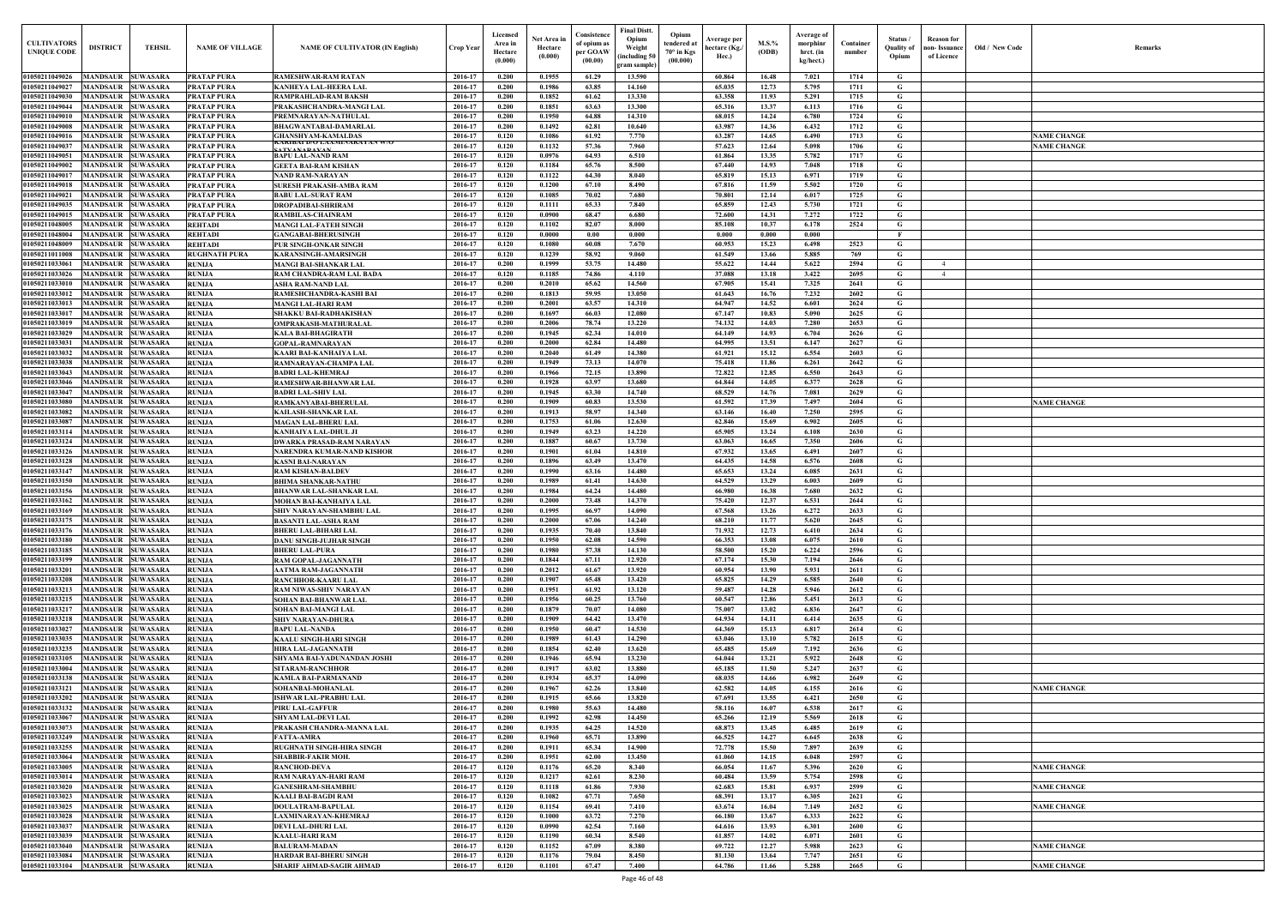| <b>CULTIVATORS</b><br><b>UNIQUE CODI</b> | <b>DISTRICT</b>                               | <b>TEHSIL</b>                      | <b>NAME OF VILLAGE</b>                   | <b>NAME OF CULTIVATOR (IN English)</b>                  | <b>Crop Year</b>   | Licensed<br>Area in<br>Hectare<br>(0.000) | Net Area ir<br>Hectare<br>(0.000) | Consistence<br>of opium as<br>per GOAW<br>(00.00) | Final Distt.<br>Opium<br>Weight<br>including 50)<br>gram sample | Opium<br>tendered at<br>70° in Kgs<br>(00.000) | Average per<br>hectare (Kg./<br>Hec.) | $M.S.$ %<br>(ODB) | Average of<br>morphinr<br>hrct. (in<br>kg/hect.) | Container<br>number | Status<br>Quality of<br>Opium | <b>Reason</b> for<br>non- Issuance<br>of Licence | Old / New Code | <b>Remark</b>      |
|------------------------------------------|-----------------------------------------------|------------------------------------|------------------------------------------|---------------------------------------------------------|--------------------|-------------------------------------------|-----------------------------------|---------------------------------------------------|-----------------------------------------------------------------|------------------------------------------------|---------------------------------------|-------------------|--------------------------------------------------|---------------------|-------------------------------|--------------------------------------------------|----------------|--------------------|
| 01050211049026                           | MANDSAUR SUWASARA                             |                                    | <b>PRATAP PURA</b>                       | RAMESHWAR-RAM RATAN                                     | 2016-17            | 0.200                                     | 0.1955                            | 61.29                                             | 13.590                                                          |                                                | 60.864                                | 16.48             | 7.021                                            | 1714                | G                             |                                                  |                |                    |
| 01050211049027                           | <b>MANDSAUR SUWASARA</b>                      |                                    | <b>PRATAP PURA</b>                       | KANHEYA LAL-HEERA LAL                                   | 2016-17            | 0.200                                     | 0.1986                            | 63.85                                             | 14.160                                                          |                                                | 65.035                                | 12.73             | 5.795                                            | 1711                | G                             |                                                  |                |                    |
| 01050211049030                           | <b>MANDSAUR SUWASARA</b>                      |                                    | <b>PRATAP PURA</b>                       | RAMPRAHLAD-RAM BAKSH                                    | 2016-17            | 0.200                                     | 0.1852                            | 61.62                                             | 13.330                                                          |                                                | 63.358                                | 11.93             | 5.291                                            | 1715                | G                             |                                                  |                |                    |
| 01050211049044<br>01050211049010         | <b>MANDSAUR</b><br>MANDSAUR                   | <b>SUWASARA</b><br><b>SUWASARA</b> | <b>PRATAP PURA</b><br><b>PRATAP PURA</b> | PRAKASHCHANDRA-MANGI LAI<br>PREMNARAYAN-NATHULAI        | 2016-17<br>2016-17 | 0.200<br>0.200                            | 0.1851<br>0.1950                  | 63.63<br>64.88                                    | 13.300<br>14.310                                                |                                                | 65.316<br>68.015                      | 13.37<br>14.24    | 6.113<br>6.780                                   | 1716<br>1724        | G<br>G                        |                                                  |                |                    |
| 01050211049008                           | <b>MANDSAUR</b>                               | <b>SUWASARA</b>                    | <b>PRATAP PURA</b>                       | BHAGWANTABAI-DAMARLAL                                   | 2016-17            | 0.200                                     | 0.1492                            | 62.81                                             | 10.640                                                          |                                                | 63.987                                | 14.36             | 6.432                                            | 1712                | G                             |                                                  |                |                    |
| 01050211049016                           | <b>MANDSAUR</b>                               | <b>SUWASARA</b>                    | <b>PRATAP PURA</b>                       | <b>GHANSHYAM-KAMALDAS</b>                               | 2016-17            | 0.120                                     | 0.1086                            | 61.92                                             | 7.770                                                           |                                                | 63.287                                | 14.65             | 6.490                                            | 1713                | G                             |                                                  |                | <b>NAME CHANGE</b> |
| 01050211049037                           | <b>MANDSAUR</b>                               | <b>SUWASARA</b>                    | <b>PRATAP PURA</b>                       | NAKIBAI D/U LAAMIINAKA YAN W/U<br>A TV A N A D A V A 1  | 2016-17            | 0.120                                     | 0.1132                            | 57.36                                             | 7.960                                                           |                                                | 57.623                                | 12.64             | 5.098                                            | 1706                | $\mathbf G$                   |                                                  |                | <b>NAME CHANGE</b> |
| 01050211049051                           | <b>MANDSAUR</b>                               | <b>SUWASARA</b>                    | <b>PRATAP PURA</b>                       | <b>BAPU LAL-NAND RAM</b>                                | 2016-17            | 0.120                                     | 0.0976                            | 64.93                                             | 6.510                                                           |                                                | 61.864                                | 13.35             | 5.782                                            | 1717                | G                             |                                                  |                |                    |
| 01050211049002<br>01050211049017         | <b>MANDSAUR</b><br><b>MANDSAUR</b>            | <b>SUWASARA</b><br><b>SUWASARA</b> | <b>PRATAP PURA</b><br><b>PRATAP PURA</b> | <b>GEETA BAI-RAM KISHAN</b><br><b>NAND RAM-NARAYAN</b>  | 2016-17<br>2016-17 | 0.120<br>0.120                            | 0.1184<br>0.1122                  | 65.76<br>64.30                                    | 8.500<br>8.040                                                  |                                                | 67.440<br>65.819                      | 14.93<br>15.13    | 7.048<br>6.971                                   | 1718<br>1719        | G<br>G                        |                                                  |                |                    |
| 01050211049018                           | <b>MANDSAUR</b>                               | <b>SUWASARA</b>                    | <b>PRATAP PURA</b>                       | SURESH PRAKASH-AMBA RAM                                 | 2016-17            | 0.120                                     | 0.1200                            | 67.10                                             | 8.490                                                           |                                                | 67.816                                | 11.59             | 5.502                                            | 1720                | $\mathbf G$                   |                                                  |                |                    |
| 01050211049021                           | <b>MANDSAUR</b>                               | <b>SUWASARA</b>                    | <b>PRATAP PURA</b>                       | <b>BABU LAL-SURAT RAM</b>                               | 2016-17            | 0.120                                     | 0.1085                            | 70.02                                             | 7.680                                                           |                                                | 70.801                                | 12.14             | 6.017                                            | 1725                | $\mathbf G$                   |                                                  |                |                    |
| 01050211049035                           | <b>MANDSAUR</b>                               | <b>SUWASARA</b>                    | <b>PRATAP PURA</b>                       | <b>DROPADIBAI-SHRIRAM</b>                               | 2016-17            | 0.120                                     | 0.1111                            | 65.33                                             | 7.840                                                           |                                                | 65.859                                | 12.43             | 5.730                                            | 1721                | $\mathbf G$                   |                                                  |                |                    |
| 01050211049015                           | <b>MANDSAUR</b>                               | <b>SUWASARA</b>                    | <b>PRATAP PURA</b>                       | RAMBILAS-CHAINRAM                                       | 2016-17            | 0.120                                     | 0.0900                            | 68.47                                             | 6.680                                                           |                                                | 72.600                                | 14.31             | 7.272                                            | 1722                | G                             |                                                  |                |                    |
| 0105021104800:<br>0105021104800          | MANDSAUR<br>MANDSAUR                          | <b>SUWASARA</b><br><b>SUWASARA</b> | <b>REHTADI</b>                           | MANGI LAL-FATEH SINGH                                   | 2016-17<br>2016-17 | 0.120<br>0.120                            | 0.1102<br>0.0000                  | 82.07<br>0.00                                     | 8.000<br>0.000                                                  |                                                | 85.108<br>0.000                       | 10.37<br>0.000    | 6.178<br>0.000                                   | 2524                | G<br>E                        |                                                  |                |                    |
| 0105021104800                            | <b>MANDSAUR</b>                               | <b>SUWASARA</b>                    | <b>REHTADI</b><br><b>REHTADI</b>         | <b>GANGABAI-BHERUSINGH</b><br>PUR SINGH-ONKAR SINGH     | 2016-17            | 0.120                                     | 0.1080                            | 60.08                                             | 7.670                                                           |                                                | 60.953                                | 15.23             | 6.498                                            | 2523                | G                             |                                                  |                |                    |
| 01050211011008                           | <b>MANDSAUR</b>                               | <b>SUWASARA</b>                    | <b>RUGHNATH PURA</b>                     | KARANSINGH-AMARSINGH                                    | 2016-17            | 0.120                                     | 0.1239                            | 58.92                                             | 9.060                                                           |                                                | 61.549                                | 13.66             | 5.885                                            | 769                 | G                             |                                                  |                |                    |
| 01050211033061                           | <b>MANDSAUR SUWASARA</b>                      |                                    | <b>RUNIJA</b>                            | <b>MANGI BAI-SHANKAR LAL</b>                            | 2016-17            | 0.200                                     | 0.1999                            | 53.75                                             | 14.480                                                          |                                                | 55.622                                | 14.44             | 5.622                                            | 2594                | G                             | $\overline{4}$                                   |                |                    |
| 01050211033026                           | <b>MANDSAUR SUWASARA</b>                      |                                    | <b>RUNIJA</b>                            | RAM CHANDRA-RAM LAL BADA                                | 2016-17            | 0.120                                     | 0.1185                            | 74.86                                             | 4.110                                                           |                                                | 37.088                                | 13.18             | 3.422                                            | 2695                | G                             | -4                                               |                |                    |
| 01050211033010                           | MANDSAUR SUWASARA                             |                                    | <b>RUNIJA</b>                            | ASHA RAM-NAND LAL                                       | 2016-17            | 0.200                                     | 0.2010                            | 65.62                                             | 14.560                                                          |                                                | 67.905                                | 15.41             | 7.325                                            | 2641                | G                             |                                                  |                |                    |
| 01050211033012<br>01050211033013         | MANDSAUR SUWASARA<br><b>MANDSAUR SUWASARA</b> |                                    | <b>RUNIJA</b><br><b>RUNIJA</b>           | RAMESHCHANDRA-KASHI BAI<br>MANGI LAL-HARI RAM           | 2016-17<br>2016-17 | 0.200<br>0.200                            | 0.1813<br>0.2001                  | 59.95<br>63.57                                    | 13.050<br>14.310                                                |                                                | 61.643<br>64.947                      | 16.76<br>14.52    | 7.232<br>6.601                                   | 2602<br>2624        | G<br>$\mathbf G$              |                                                  |                |                    |
| 01050211033017                           | <b>MANDSAUR SUWASARA</b>                      |                                    | <b>RUNIJA</b>                            | SHAKKU BAI-RADHAKISHAN                                  | 2016-17            | 0.200                                     | 0.1697                            | 66.03                                             | 12.080                                                          |                                                | 67.147                                | 10.83             | 5.090                                            | 2625                | G                             |                                                  |                |                    |
| 01050211033019                           | <b>MANDSAUR SUWASARA</b>                      |                                    | <b>RUNIJA</b>                            | OMPRAKASH-MATHURALAL                                    | 2016-17            | 0.200                                     | 0.2006                            | 78.74                                             | 13.220                                                          |                                                | 74.132                                | 14.03             | 7.280                                            | 2653                | G                             |                                                  |                |                    |
| 01050211033029                           | MANDSAUR                                      | <b>SUWASARA</b>                    | <b>RUNIJA</b>                            | KALA BAI-BHAGIRATH                                      | 2016-17            | 0.200                                     | 0.1945                            | 62.34                                             | 14.010                                                          |                                                | 64.149                                | 14.93             | 6.704                                            | 2626                | $\mathbf G$                   |                                                  |                |                    |
| 01050211033031                           | <b>MANDSAUR</b>                               | <b>SUWASARA</b>                    | <b>RUNIJA</b>                            | <b>GOPAL-RAMNARAYAN</b>                                 | 2016-17            | 0.200                                     | 0.2000                            | 62.84                                             | 14.480                                                          |                                                | 64.995                                | 13.51             | 6.147                                            | 2627                | G                             |                                                  |                |                    |
| 01050211033032                           | MANDSAUR                                      | <b>SUWASARA</b><br><b>SUWASARA</b> | <b>RUNIJA</b>                            | KAARI BAI-KANHAIYA LAL                                  | 2016-17<br>2016-17 | 0.200<br>0.200                            | 0.2040<br>0.1949                  | 61.49<br>73.13                                    | 14.380<br>14.070                                                |                                                | 61.921<br>75.418                      | 15.12             | 6.554                                            | 2603<br>2642        | G<br>G                        |                                                  |                |                    |
| 01050211033038<br>01050211033043         | <b>MANDSAUR</b><br><b>MANDSAUR</b>            | <b>SUWASARA</b>                    | <b>RUNIJA</b><br><b>RUNIJA</b>           | RAMNARAYAN-CHAMPA LAL<br><b>BADRI LAL-KHEMRAJ</b>       | 2016-17            | 0.200                                     | 0.1966                            | 72.15                                             | 13.890                                                          |                                                | 72.822                                | 11.86<br>12.85    | 6.261<br>6.550                                   | 2643                | $\mathbf G$                   |                                                  |                |                    |
| 01050211033046                           | MANDSAUR                                      | <b>SUWASARA</b>                    | <b>RUNIJA</b>                            | RAMESHWAR-BHANWAR LAL                                   | 2016-17            | 0.200                                     | 0.1928                            | 63.97                                             | 13.680                                                          |                                                | 64.844                                | 14.05             | 6.377                                            | 2628                | G                             |                                                  |                |                    |
| 01050211033047                           | <b>MANDSAUR</b>                               | <b>SUWASARA</b>                    | <b>RUNIJA</b>                            | <b>BADRI LAL-SHIV LAL</b>                               | 2016-17            | 0.200                                     | 0.1945                            | 63.30                                             | 14.740                                                          |                                                | 68.529                                | 14.76             | 7.081                                            | 2629                | G                             |                                                  |                |                    |
| 01050211033080                           | <b>MANDSAUR</b>                               | <b>SUWASARA</b>                    | <b>RUNIJA</b>                            | RAMKANYABAI-BHERULAL                                    | 2016-17            | 0.200                                     | 0.1909                            | 60.83                                             | 13.530                                                          |                                                | 61.592                                | 17.39             | 7.497                                            | 2604                | G                             |                                                  |                | <b>NAME CHANGE</b> |
| 01050211033082                           | <b>MANDSAUR</b>                               | <b>SUWASARA</b>                    | <b>RUNIJA</b>                            | KAILASH-SHANKAR LAL                                     | 2016-17            | 0.200                                     | 0.1913                            | 58.97                                             | 14.340                                                          |                                                | 63.146                                | 16.40             | 7.250                                            | 2595                | G                             |                                                  |                |                    |
| 01050211033087<br>01050211033114         | <b>MANDSAUR</b><br><b>MANDSAUR</b>            | <b>SUWASARA</b><br><b>SUWASARA</b> | <b>RUNIJA</b><br><b>RUNIJA</b>           | <b>MAGAN LAL-BHERU LAL</b><br>KANHAIYA LAL-DHUL JI      | 2016-17<br>2016-17 | 0.200<br>0.200                            | 0.1753<br>0.1949                  | 61.06<br>63.23                                    | 12.630<br>14.220                                                |                                                | 62.846<br>65.905                      | 15.69<br>13.24    | 6.902<br>6.108                                   | 2605<br>2630        | G<br>$\mathbf G$              |                                                  |                |                    |
| 01050211033124                           | <b>MANDSAUR</b>                               | <b>SUWASARA</b>                    | <b>RUNIJA</b>                            | DWARKA PRASAD-RAM NARAYAN                               | 2016-17            | 0.200                                     | 0.1887                            | 60.67                                             | 13.730                                                          |                                                | 63.063                                | 16.65             | 7.350                                            | 2606                | G                             |                                                  |                |                    |
| <b>01050211033126</b>                    | <b>MANDSAUR</b>                               | <b>SUWASARA</b>                    | <b>RUNIJA</b>                            | NARENDRA KUMAR-NAND KISHOR                              | 2016-17            | 0.200                                     | 0.1901                            | 61.04                                             | 14.810                                                          |                                                | 67.932                                | 13.65             | 6.491                                            | 2607                | G                             |                                                  |                |                    |
| 0105021103312                            | MANDSAUR                                      | <b>SUWASARA</b>                    | <b>RUNIJA</b>                            | KASNI BAI-NARAYAN                                       | 2016-17            | 0.200                                     | 0.1896                            | 63.49                                             | 13.470                                                          |                                                | 64.435                                | 14.58             | 6.576                                            | 2608                | G                             |                                                  |                |                    |
| 01050211033147                           | MANDSAUR                                      | <b>SUWASARA</b>                    | <b>RUNIJA</b>                            | RAM KISHAN-BALDEV                                       | 2016-17            | 0.200                                     | 0.1990                            | 63.16                                             | 14.480                                                          |                                                | 65.653                                | 13.24             | 6.085                                            | 2631                | G                             |                                                  |                |                    |
| 0105021103315<br>01050211033156          | <b>MANDSAUR</b><br>MANDSAUR                   | <b>SUWASARA</b><br><b>SUWASARA</b> | <b>RUNIJA</b><br><b>RUNIJA</b>           | BHIMA SHANKAR-NATHU                                     | 2016-17<br>2016-17 | 0.200<br>0.200                            | 0.1989<br>0.1984                  | 61.41<br>64.24                                    | 14.630<br>14.480                                                |                                                | 64.529<br>66.980                      | 13.29<br>16.38    | 6.003<br>7.680                                   | 2609<br>2632        | G<br>G                        |                                                  |                |                    |
| 01050211033162                           | <b>MANDSAUR SUWASARA</b>                      |                                    | <b>RUNIJA</b>                            | BHANWAR LAL-SHANKAR LAL<br>MOHAN BAI-KANHAIYA LAL       | 2016-17            | 0.200                                     | 0.2000                            | 73.48                                             | 14.370                                                          |                                                | 75.420                                | 12.37             | 6.531                                            | 2644                | G                             |                                                  |                |                    |
| 01050211033169 MANDSAUR SUWASARA         |                                               |                                    | <b>RUNIJA</b>                            | SHIV NARAYAN-SHAMBHU LAL                                | 2016-17            | 0.200                                     | 0.1995                            | 66.97                                             | 14.090                                                          |                                                | 67.568                                | 13.26             | 6.272                                            | 2633                | G                             |                                                  |                |                    |
| 01050211033175 MANDSAUR SUWASARA         |                                               |                                    | <b>RUNIJA</b>                            | BASANTI LAL-ASHA RAM                                    | 2016-17            | 0.200                                     | 0.2000                            | 67.06                                             | 14,240                                                          |                                                | 68.210                                | 11.77             | 5.620                                            | 2645                | G                             |                                                  |                |                    |
| 01050211033176                           | MANDSAUR SUWASARA                             |                                    | <b>RUNIJA</b>                            | BHERU LAL-BIHARI LAL                                    | 2016-17            | 0.200                                     | 0.1935                            | 70.40                                             | 13.840                                                          |                                                | 71.932                                | 12.73             | 6.410                                            | 2634                | G                             |                                                  |                |                    |
| 01050211033180                           | <b>MANDSAUR SUWASARA</b>                      |                                    | <b>RUNIJA</b>                            | DANU SINGH-JUJHAR SINGH                                 | 2016-17            | 0.200                                     | 0.1950                            | 62.08                                             | 14.590                                                          |                                                | 66.353                                | 13.08             | 6.075                                            | 2610                | G                             |                                                  |                |                    |
| 01050211033185<br>01050211033199         | MANDSAUR SUWASARA<br>MANDSAUR SUWASARA        |                                    | <b>RUNIJA</b><br><b>RUNIJA</b>           | <b>BHERU LAL-PURA</b><br>RAM GOPAL-JAGANNATH            | 2016-17<br>2016-17 | 0.200<br>0.200                            | 0.1980<br>0.1844                  | 57.38<br>67.11                                    | 14.130<br>12.920                                                |                                                | 58.500<br>67.174                      | 15.20<br>15.30    | 6.224<br>7.194                                   | 2596<br>2646        | $\mathbf G$<br>$\mathbf G$    |                                                  |                |                    |
| 01050211033201                           | MANDSAUR SUWASARA                             |                                    | <b>RUNIJA</b>                            | AATMA RAM-JAGANNATH                                     | 2016-17            | 0.200                                     | 0.2012                            | 61.67                                             | 13.920                                                          |                                                | 60.954                                | 13.90             | 5.931                                            | 2611                | $\mathbf G$                   |                                                  |                |                    |
| 01050211033208                           | MANDSAUR SUWASARA                             |                                    | <b>RUNIJA</b>                            | RANCHHOR-KAARU LAL                                      | 2016-17            | 0.200                                     | 0.1907                            | 65.48                                             | 13.420                                                          |                                                | 65.825                                | 14.29             | 6.585                                            | 2640                | $\mathbf G$                   |                                                  |                |                    |
| 01050211033213                           | MANDSAUR SUWASARA                             |                                    | <b>RUNIJA</b>                            | RAM NIWAS-SHIV NARAYAN                                  | 2016-17            | 0.200                                     | 0.1951                            | 61.92                                             | 13.120                                                          |                                                | 59.487                                | 14.28             | 5.946                                            | 2612                | G                             |                                                  |                |                    |
| 01050211033215                           | <b>MANDSAUR SUWASARA</b>                      |                                    | <b>RUNIJA</b>                            | SOHAN BAI-BHANWAR LAL                                   | 2016-17            | 0.200                                     | 0.1956                            | 60.25                                             | 13.760                                                          |                                                | 60.547                                | 12.86             | 5.451                                            | 2613                | $\mathbf G$                   |                                                  |                |                    |
| 01050211033217<br>01050211033218         | MANDSAUR SUWASARA<br>MANDSAUR SUWASARA        |                                    | <b>RUNIJA</b>                            | SOHAN BAI-MANGI LAL                                     | 2016-17<br>2016-17 | 0.200<br>0.200                            | 0.1879<br>0.1909                  | 70.07<br>64.42                                    | 14.080<br>13.470                                                |                                                | 75.007<br>64.934                      | 13.02<br>14.11    | 6.836<br>6.414                                   | 2647<br>2635        | G<br>$\mathbf G$              |                                                  |                |                    |
| 01050211033027                           | MANDSAUR SUWASARA                             |                                    | <b>RUNIJA</b><br><b>RUNIJA</b>           | SHIV NARAYAN-DHURA<br><b>BAPU LAL-NANDA</b>             | 2016-17            | 0.200                                     | 0.1950                            | 60.47                                             | 14.530                                                          |                                                | 64.369                                | 15.13             | 6.817                                            | 2614                | G                             |                                                  |                |                    |
| 01050211033035                           | MANDSAUR SUWASARA                             |                                    | <b>RUNIJA</b>                            | KAALU SINGH-HARI SINGH                                  | 2016-17            | 0.200                                     | 0.1989                            | 61.43                                             | 14.290                                                          |                                                | 63.046                                | 13.10             | 5.782                                            | 2615                | $\mathbf G$                   |                                                  |                |                    |
| 01050211033235                           | MANDSAUR SUWASARA                             |                                    | <b>RUNIJA</b>                            | HIRA LAL-JAGANNATH                                      | 2016-17            | 0.200                                     | 0.1854                            | 62.40                                             | 13.620                                                          |                                                | 65.485                                | 15.69             | 7.192                                            | 2636                | $\mathbf G$                   |                                                  |                |                    |
| 01050211033105                           | MANDSAUR SUWASARA                             |                                    | <b>RUNIJA</b>                            | SHYAMA BAI-YADUNANDAN JOSHI                             | 2016-17            | 0.200                                     | 0.1946                            | 65.94                                             | 13.230                                                          |                                                | 64.044                                | 13.21             | 5.922                                            | 2648                | $\mathbf G$                   |                                                  |                |                    |
| 01050211033004                           | <b>MANDSAUR SUWASARA</b>                      |                                    | <b>RUNIJA</b>                            | SITARAM-RANCHHOR                                        | 2016-17            | 0.200                                     | 0.1917                            | 63.02                                             | 13.880                                                          |                                                | 65.185                                | 11.50             | 5.247                                            | 2637                | $\mathbf G$                   |                                                  |                |                    |
| 01050211033138<br>01050211033121         | MANDSAUR SUWASARA<br><b>MANDSAUR</b>          | <b>SUWASARA</b>                    | <b>RUNIJA</b><br><b>RUNIJA</b>           | KAMLA BAI-PARMANAND<br>SOHANBAI-MOHANLAL                | 2016-17<br>2016-17 | 0.200<br>0.200                            | 0.1934<br>0.1967                  | 65.37<br>62.26                                    | 14.090<br>13.840                                                |                                                | 68.035<br>62.582                      | 14.66<br>14.05    | 6.982<br>6.155                                   | 2649<br>2616        | $\mathbf G$<br>$\mathbf G$    |                                                  |                | <b>NAME CHANGE</b> |
| 01050211033202                           | <b>MANDSAUR SUWASARA</b>                      |                                    | <b>RUNIJA</b>                            | ISHWAR LAL-PRABHU LAL                                   | 2016-17            | 0.200                                     | 0.1915                            | 65.66                                             | 13.820                                                          |                                                | 67.691                                | 13.55             | 6.421                                            | 2650                | $\mathbf G$                   |                                                  |                |                    |
| 01050211033132                           | <b>MANDSAUR</b>                               | <b>SUWASARA</b>                    | <b>RUNIJA</b>                            | PIRU LAL-GAFFUR                                         | 2016-17            | 0.200                                     | 0.1980                            | 55.63                                             | 14.480                                                          |                                                | 58.116                                | 16.07             | 6.538                                            | 2617                | G                             |                                                  |                |                    |
| 01050211033067                           | MANDSAUR SUWASARA                             |                                    | <b>RUNIJA</b>                            | SHYAM LAL-DEVI LAL                                      | 2016-17            | 0.200                                     | 0.1992                            | 62.98                                             | 14.450                                                          |                                                | 65.266                                | 12.19             | 5.569                                            | 2618                | $\mathbf G$                   |                                                  |                |                    |
| 01050211033073                           | MANDSAUR SUWASARA                             |                                    | <b>RUNIJA</b>                            | PRAKASH CHANDRA-MANNA LAL                               | 2016-17            | 0.200                                     | 0.1935                            | 64.25                                             | 14.520                                                          |                                                | 68.873                                | 13.45             | 6.485                                            | 2619                | G                             |                                                  |                |                    |
| 01050211033249                           | MANDSAUR SUWASARA                             |                                    | <b>RUNIJA</b>                            | <b>ATTA-AMRA</b>                                        | 2016-17            | 0.200                                     | 0.1960                            | 65.71                                             | 13.890                                                          |                                                | 66.525                                | 14.27             | 6.645                                            | 2638                | $\mathbf G$                   |                                                  |                |                    |
| 01050211033255<br>01050211033064         | MANDSAUR SUWASARA<br>MANDSAUR SUWASARA        |                                    | <b>RUNIJA</b><br><b>RUNIJA</b>           | RUGHNATH SINGH-HIRA SINGH<br>SHABBIR-FAKIR MOH.         | 2016-17<br>2016-17 | 0.200<br>0.200                            | 0.1911<br>0.1951                  | 65.34<br>62.00                                    | 14.900<br>13.450                                                |                                                | 72.778<br>61.060                      | 15.50<br>14.15    | 7.897<br>6.048                                   | 2639<br>2597        | G<br>G                        |                                                  |                |                    |
| 01050211033005                           | <b>MANDSAUR SUWASARA</b>                      |                                    | <b>RUNIJA</b>                            | RANCHOD-DEVA                                            | 2016-17            | 0.120                                     | 0.1176                            | 65.20                                             | 8.340                                                           |                                                | 66.054                                | 11.67             | 5.396                                            | 2620                | G                             |                                                  |                | <b>NAME CHANGE</b> |
| 01050211033014                           | <b>MANDSAUR SUWASARA</b>                      |                                    | <b>RUNIJA</b>                            | RAM NARAYAN-HARI RAM                                    | 2016-17            | 0.120                                     | 0.1217                            | 62.61                                             | 8.230                                                           |                                                | 60.484                                | 13.59             | 5.754                                            | 2598                | $\mathbf G$                   |                                                  |                |                    |
| 01050211033020                           | <b>MANDSAUR SUWASARA</b>                      |                                    | <b>RUNIJA</b>                            | <b>GANESHRAM-SHAMBHU</b>                                | 2016-17            | 0.120                                     | 0.1118                            | 61.86                                             | 7.930                                                           |                                                | 62.683                                | 15.81             | 6.937                                            | 2599                | $\mathbf G$                   |                                                  |                | <b>NAME CHANGE</b> |
| 01050211033023                           | MANDSAUR SUWASARA                             |                                    | <b>RUNIJA</b>                            | KAALI BAI-BAGDI RAM                                     | 2016-17            | 0.120                                     | 0.1082                            | 67.71                                             | 7.650                                                           |                                                | 68.391                                | 13.17             | 6.305                                            | 2621                | $\mathbf G$                   |                                                  |                |                    |
| 01050211033025<br>01050211033028         | MANDSAUR SUWASARA<br>MANDSAUR SUWASARA        |                                    | <b>RUNIJA</b><br><b>RUNIJA</b>           | <b>DOULATRAM-BAPULAL</b><br><b>LAXMINARAYAN-KHEMRAJ</b> | 2016-17<br>2016-17 | 0.120<br>0.120                            | 0.1154<br>0.1000                  | 69.41<br>63.72                                    | 7.410<br>7,270                                                  |                                                | 63.674<br>66.180                      | 16.04<br>13.67    | 7.149<br>6.333                                   | 2652<br>2622        | $\mathbf G$<br>G              |                                                  |                | <b>NAME CHANGE</b> |
| 01050211033037                           | <b>MANDSAUR SUWASARA</b>                      |                                    | <b>RUNIJA</b>                            | DEVI LAL-DHURI LAL                                      | 2016-17            | 0.120                                     | 0.0990                            | 62.54                                             | 7.160                                                           |                                                | 64.616                                | 13.93             | 6.301                                            | 2600                | $\mathbf G$                   |                                                  |                |                    |
| 01050211033039                           | MANDSAUR SUWASARA                             |                                    | <b>RUNIJA</b>                            | KAALU-HARI RAM                                          | 2016-17            | 0.120                                     | 0.1190                            | 60.34                                             | 8.540                                                           |                                                | 61.857                                | 14.02             | 6.071                                            | 2601                | $\mathbf G$                   |                                                  |                |                    |
| 01050211033040                           | <b>MANDSAUR SUWASARA</b>                      |                                    | <b>RUNIJA</b>                            | <b>BALURAM-MADAN</b>                                    | 2016-17            | 0.120                                     | 0.1152                            | 67.09                                             | 8.380                                                           |                                                | 69.722                                | 12.27             | 5.988                                            | 2623                | $\mathbf G$                   |                                                  |                | <b>NAME CHANGE</b> |
| 01050211033084                           | MANDSAUR SUWASARA                             |                                    | <b>RUNIJA</b>                            | HARDAR BAI-BHERU SINGH                                  | 2016-17            | 0.120                                     | 0.1176                            | 79.04                                             | 8.450                                                           |                                                | 81.130                                | 13.64             | 7.747                                            | 2651                | G                             |                                                  |                |                    |
| 01050211033104                           | MANDSAUR SUWASARA                             |                                    | <b>RUNIJA</b>                            | SHARIF AHMAD-SAGIR AHMAD                                | 2016-17            | 0.120                                     | 0.1101                            | 67.47                                             | 7.400                                                           |                                                | 64.786                                | 11.66             | 5.288                                            | 2665                | $\mathbf{G}$                  |                                                  |                | <b>NAME CHANGE</b> |

| $\mathbf{Old} \, / \,$ New Code | Remarks            |
|---------------------------------|--------------------|
|                                 |                    |
|                                 |                    |
|                                 |                    |
|                                 |                    |
|                                 | <b>NAME CHANGE</b> |
|                                 | <b>NAME CHANGE</b> |
|                                 |                    |
|                                 |                    |
|                                 |                    |
|                                 |                    |
|                                 |                    |
|                                 |                    |
|                                 |                    |
|                                 |                    |
|                                 |                    |
|                                 |                    |
|                                 |                    |
|                                 |                    |
|                                 |                    |
|                                 |                    |
|                                 |                    |
|                                 |                    |
|                                 |                    |
|                                 |                    |
|                                 | <b>NAME CHANGE</b> |
|                                 |                    |
|                                 |                    |
|                                 |                    |
|                                 |                    |
|                                 |                    |
|                                 |                    |
|                                 |                    |
|                                 |                    |
|                                 |                    |
|                                 |                    |
|                                 |                    |
|                                 |                    |
|                                 |                    |
|                                 |                    |
|                                 |                    |
|                                 |                    |
|                                 |                    |
|                                 |                    |
|                                 |                    |
|                                 |                    |
|                                 | <b>NAME CHANGE</b> |
|                                 |                    |
|                                 |                    |
|                                 |                    |
|                                 |                    |
|                                 |                    |
|                                 | <b>NAME CHANGE</b> |
|                                 | <b>NAME CHANGE</b> |
|                                 | <b>NAME CHANGE</b> |
|                                 |                    |
|                                 |                    |
|                                 | <b>NAME CHANGE</b> |
|                                 |                    |
|                                 | <b>NAME CHANGE</b> |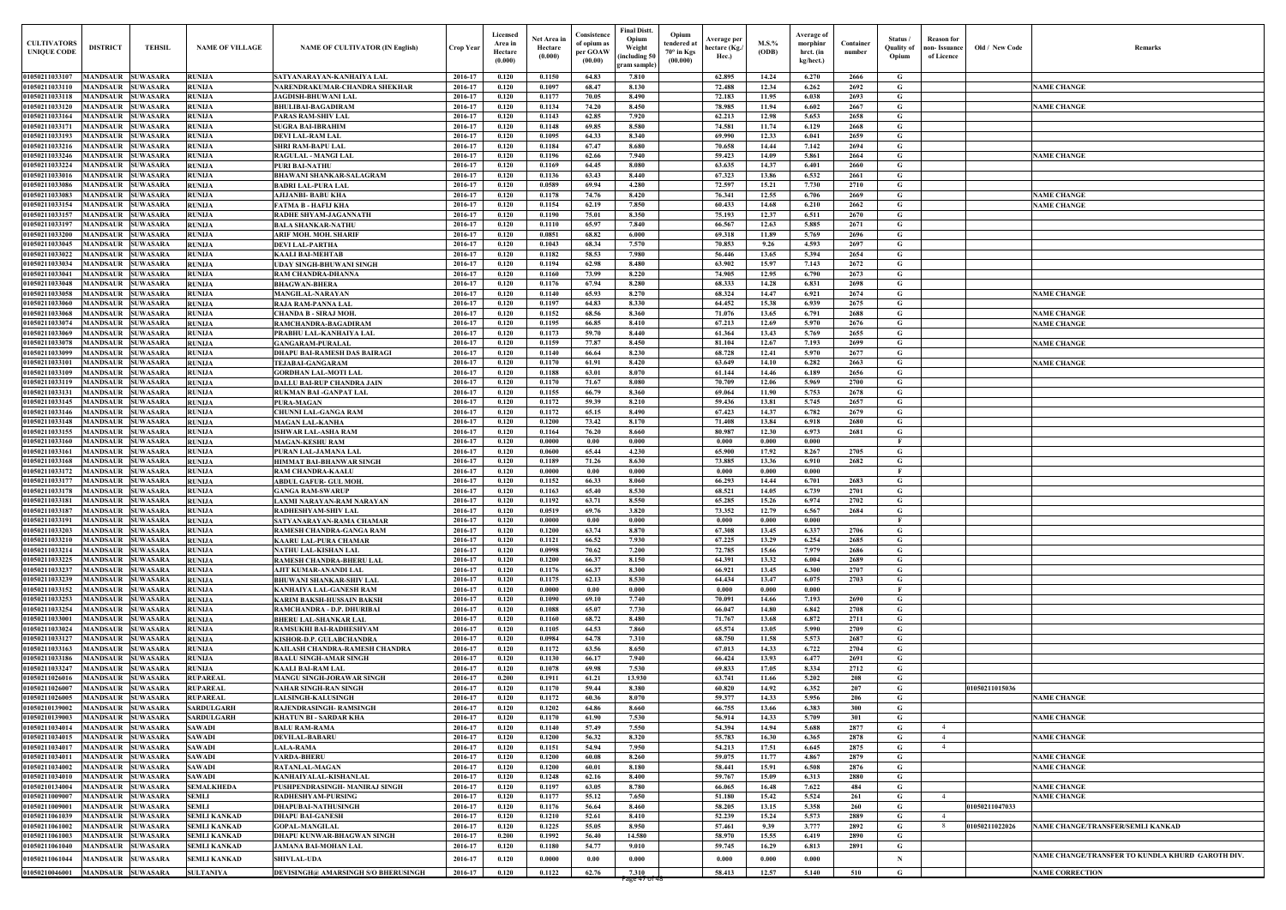| <b>CULTIVATORS</b><br><b>UNIQUE CODE</b> | <b>DISTRICT</b>                    | TEHSIL                             | <b>NAME OF VILLAGE</b>         | <b>NAME OF CULTIVATOR (IN English)</b>                     | <b>Crop Year</b>   | Licensed<br>Area in<br>Hectare<br>(0.000) | <b>Net Area</b><br>Hectare<br>(0.000) | Consistence<br>of opium as<br>per GOAW<br>(00.00) | Final Distt.<br>Opium<br>Weight<br>(including 5<br>gram sample | Opium<br>endered a<br>$70^\circ$ in Kgs<br>(00.000) | <b>Average per</b><br>hectare (Kg.<br>Hec.) | $M.S.$ %<br>(ODB) | Average of<br>morphinr<br>hrct. (in<br>kg/hect.) | Container<br>number | Status<br><b>Quality of</b><br>Opium | Reason for<br>Old / New Code<br><b>Remarks</b><br>non- Issuanc<br>of Licence |
|------------------------------------------|------------------------------------|------------------------------------|--------------------------------|------------------------------------------------------------|--------------------|-------------------------------------------|---------------------------------------|---------------------------------------------------|----------------------------------------------------------------|-----------------------------------------------------|---------------------------------------------|-------------------|--------------------------------------------------|---------------------|--------------------------------------|------------------------------------------------------------------------------|
| 01050211033107<br>01050211033110         | <b>MANDSAUR</b><br><b>MANDSAUR</b> | <b>SUWASARA</b><br><b>SUWASARA</b> | <b>RUNIJA</b><br><b>RUNIJA</b> | SATYANARAYAN-KANHAIYA LAL<br>NARENDRAKUMAR-CHANDRA SHEKHAR | 2016-17<br>2016-17 | 0.120<br>0.120                            | 0.1150<br>0.1097                      | 64.83<br>68.47                                    | 7.810<br>8.130                                                 |                                                     | 62.895<br>72.488                            | 14.24<br>12.34    | 6.270<br>6.262                                   | 2666<br>2692        | G<br>G                               | <b>NAME CHANGE</b>                                                           |
| 01050211033118                           | <b>MANDSAUR</b>                    | <b>SUWASARA</b>                    | <b>RUNIJA</b>                  | <b>JAGDISH-BHUWANI LAL</b>                                 | 2016-17            | 0.120                                     | 0.1177                                | 70.05                                             | 8.490                                                          |                                                     | 72.183                                      | 11.95             | 6.038                                            | 2693                | G                                    |                                                                              |
| 01050211033120                           | <b>MANDSAUR</b>                    | <b>SUWASARA</b>                    | <b>RUNIJA</b>                  | <b>BHULIBAI-BAGADIRAM</b>                                  | 2016-17            | 0.120                                     | 0.1134                                | 74.20                                             | 8.450                                                          |                                                     | 78.985                                      | 11.94             | 6.602                                            | 2667                | G                                    | <b>NAME CHANGE</b>                                                           |
| 01050211033164                           | <b>MANDSAUR</b>                    | <b>SUWASARA</b>                    | <b>RUNIJA</b>                  | PARAS RAM-SHIV LAL                                         | 2016-17            | 0.120                                     | 0.1143                                | 62.85                                             | 7.920                                                          |                                                     | 62.213                                      | 12.98             | 5.653                                            | 2658                | G                                    |                                                                              |
| 01050211033171                           | <b>MANDSAUR</b>                    | <b>SUWASARA</b>                    | <b>RUNIJA</b>                  | <b>SUGRA BAI-IBRAHIM</b>                                   | 2016-17            | 0.120                                     | 0.1148                                | 69.85                                             | 8.580                                                          |                                                     | 74.581                                      | 11.74             | 6.129                                            | 2668                | G                                    |                                                                              |
| 01050211033193                           | <b>MANDSAUR</b>                    | <b>SUWASARA</b>                    | <b>RUNIJA</b>                  | <b>DEVI LAL-RAM LAL</b>                                    | 2016-17            | 0.120                                     | 0.1095                                | 64.33                                             | 8.340                                                          |                                                     | 69.990                                      | 12.33             | 6.041                                            | 2659                | G                                    |                                                                              |
| 01050211033216                           | <b>MANDSAUR</b>                    | <b>SUWASARA</b>                    | <b>RUNIJA</b>                  | <b>SHRI RAM-BAPU LAL</b>                                   | 2016-17            | 0.120                                     | 0.1184                                | 67.47                                             | 8.680                                                          |                                                     | 70.658                                      | 14.44             | 7.142                                            | 2694                | G                                    |                                                                              |
| 01050211033246                           | <b>MANDSAUR</b>                    | <b>SUWASARA</b>                    | <b>RUNIJA</b>                  | <b>RAGULAL - MANGI LAL</b>                                 | 2016-17            | 0.120                                     | 0.1196                                | 62.66                                             | 7.940                                                          |                                                     | 59.423                                      | 14.09             | 5.861                                            | 2664                | G                                    | <b>NAME CHANGE</b>                                                           |
| 01050211033224                           | MANDSAUF                           | <b>SUWASARA</b>                    | <b>RUNIJA</b>                  | <b>PURI BAI-NATHU</b>                                      | 2016-17            | 0.120                                     | 0.1169                                | 64.45                                             | 8.080                                                          |                                                     | 63.635                                      | 14.37             | 6.401                                            | 2660                | G                                    |                                                                              |
| 0105021103301                            | <b>MANDSAUR</b>                    | <b>SUWASARA</b>                    | <b>RUNIJA</b>                  | <b>BHAWANI SHANKAR-SALAGRAM</b>                            | 2016-17            | 0.120                                     | 0.1136                                | 63.43                                             | 8.440                                                          |                                                     | 67.323                                      | 13.86             | 6.532                                            | 2661                | $\mathbf G$                          |                                                                              |
| 0105021103308                            | MANDSAUR                           | <b>SUWASARA</b>                    | <b>RUNIJA</b>                  | <b>BADRI LAL-PURA LAL</b>                                  | 2016-17            | 0.120                                     | 0.0589                                | 69.94                                             | 4.280                                                          |                                                     | 72.597                                      | 15.21             | 7.730                                            | 2710                | G                                    |                                                                              |
| 01050211033083                           | MANDSAUR                           | <b>SUWASARA</b>                    | <b>RUNIJA</b>                  | AJIJANBI- BABU KHA                                         | 2016-17            | 0.120                                     | 0.1178                                | 74.76                                             | 8.420                                                          |                                                     | 76.341                                      | 12.55             | 6.706                                            | 2669                | G                                    | <b>NAME CHANGE</b>                                                           |
| 01050211033154                           | MANDSAUR                           | <b>SUWASARA</b>                    | <b>RUNIJA</b>                  | FATMA B - HAFIJ KHA                                        | 2016-17            | 0.120                                     | 0.1154                                | 62.19                                             | 7.850                                                          |                                                     | 60.433                                      | 14.68             | 6.210                                            | 2662                | G                                    | <b>NAME CHANGE</b>                                                           |
| 01050211033157                           | MANDSAUR                           | <b>SUWASARA</b>                    | <b>RUNIJA</b>                  | RADHE SHYAM-JAGANNATH                                      | 2016-17            | 0.120                                     | 0.1190                                | 75.01                                             | 8.350                                                          |                                                     | 75.193                                      | 12.37             | 6.511                                            | 2670                | G                                    |                                                                              |
| 0105021103319                            | <b>MANDSAUR</b>                    | <b>SUWASARA</b>                    | <b>RUNIJA</b>                  | <b>BALA SHANKAR-NATHU</b>                                  | 2016-17            | 0.120                                     | 0.1110                                | 65.97                                             | 7.840                                                          |                                                     | 66.567                                      | 12.63             | 5.885                                            | 2671                | G                                    |                                                                              |
| <b>01050211033200</b>                    | <b>MANDSAUR</b>                    | <b>SUWASARA</b>                    | <b>RUNIJA</b>                  | ARIF MOH. MOH. SHARIF                                      | 2016-17            | 0.120                                     | 0.0851                                | 68.82                                             | 6.000                                                          |                                                     | 69.318                                      | 11.89             | 5.769                                            | 2696                | G                                    |                                                                              |
| 01050211033045                           | <b>MANDSAUR</b>                    | <b>SUWASARA</b>                    | <b>RUNIJA</b>                  | <b>DEVI LAL-PARTHA</b>                                     | 2016-17            | 0.120                                     | 0.1043                                | 68.34                                             | 7.570                                                          |                                                     | 70.853                                      | 9.26              | 4.593                                            | 2697                | G                                    |                                                                              |
| 01050211033022                           | <b>MANDSAUR</b>                    | <b>SUWASARA</b>                    | <b>RUNIJA</b>                  | <b>KAALI BAI-MEHTAB</b>                                    | 2016-17            | 0.120                                     | 0.1182                                | 58.53                                             | 7.980                                                          |                                                     | 56.446                                      | 13.65             | 5.394                                            | 2654                | G                                    |                                                                              |
| 01050211033034                           | <b>MANDSAUR</b>                    | <b>SUWASARA</b>                    | <b>RUNIJA</b>                  | <b>UDAY SINGH-BHUWANI SINGH</b>                            | 2016-17            | 0.120                                     | 0.1194                                | 62.98                                             | 8.480                                                          |                                                     | 63.902                                      | 15.97             | 7.143                                            | 2672                | G                                    |                                                                              |
| 01050211033041                           | MANDSAUR                           | <b>SUWASARA</b>                    | <b>RUNIJA</b>                  | <b>RAM CHANDRA-DHANNA</b>                                  | 2016-17            | 0.120                                     | 0.1160                                | 73.99                                             | 8.220                                                          |                                                     | 74.905                                      | 12.95             | 6.790                                            | 2673                | $\mathbf G$                          |                                                                              |
| 01050211033048                           | <b>MANDSAUR</b>                    | <b>SUWASARA</b>                    | <b>RUNIJA</b>                  | <b>BHAGWAN-BHERA</b>                                       | 2016-17            | 0.120                                     | 0.1176                                | 67.94                                             | 8.280                                                          |                                                     | 68.333                                      | 14.28             | 6.831                                            | 2698                | G                                    |                                                                              |
| 01050211033058                           | <b>MANDSAUR</b>                    | <b>SUWASARA</b>                    | <b>RUNIJA</b>                  | <b>MANGILAL-NARAYAN</b>                                    | 2016-17            | 0.120                                     | 0.1140                                | 65.93                                             | 8.270                                                          |                                                     | 68.324                                      | 14.47             | 6.921                                            | 2674                | G                                    | <b>NAME CHANGE</b>                                                           |
| 01050211033060                           | <b>MANDSAUR</b>                    | <b>SUWASARA</b>                    | <b>RUNIJA</b>                  | <b>RAJA RAM-PANNA LAI</b>                                  | 2016-17            | 0.120                                     | 0.1197                                | 64.83                                             | 8.330                                                          |                                                     | 64.452                                      | 15.38             | 6.939                                            | 2675                | G                                    |                                                                              |
| 01050211033068                           | MANDSAUR                           | <b>SUWASARA</b>                    | <b>RUNIJA</b>                  | <b>CHANDA B - SIRAJ MOH</b>                                | 2016-17            | 0.120                                     | 0.1152                                | 68.56                                             | 8.360                                                          |                                                     | 71.076                                      | 13.65             | 6.791                                            | 2688                | G                                    | <b>NAME CHANGE</b>                                                           |
| 01050211033074                           | <b>MANDSAUR</b>                    | <b>SUWASARA</b>                    | <b>RUNIJA</b>                  | RAMCHANDRA-BAGADIRAM                                       | 2016-17            | 0.120                                     | 0.1195                                | 66.85                                             | 8.410                                                          |                                                     | 67.213                                      | 12.69             | 5.970                                            | 2676                | G                                    | <b>NAME CHANGE</b>                                                           |
| 01050211033069                           | MANDSAUR                           | <b>SUWASARA</b>                    | <b>RUNIJA</b>                  | PRABHU LAL-KANHAIYA LAL                                    | 2016-17            | 0.120                                     | 0.1173                                | 59.70                                             | 8.440                                                          |                                                     | 61.364                                      | 13.43             | 5.769                                            | 2655                | G                                    |                                                                              |
| 01050211033078                           | <b>MANDSAUR</b>                    | <b>SUWASARA</b>                    | <b>RUNIJA</b>                  | <b>GANGARAM-PURALAL</b>                                    | 2016-17            | 0.120                                     | 0.1159                                | 77.87                                             | 8.450                                                          |                                                     | 81.104                                      | 12.67             | 7.193                                            | 2699                | G                                    | <b>NAME CHANGE</b>                                                           |
| 01050211033099                           | MANDSAUR                           | <b>SUWASARA</b>                    | <b>RUNIJA</b>                  | <b>DHAPU BAI-RAMESH DAS BAIRAGI</b>                        | 2016-17            | 0.120                                     | 0.1140                                | 66.64                                             | 8.230                                                          |                                                     | 68.728                                      | 12.41             | 5.970                                            | 2677                | G                                    |                                                                              |
| 01050211033101                           | <b>MANDSAUR</b>                    | <b>SUWASARA</b>                    | <b>RUNIJA</b>                  | <b>TEJABAI-GANGARAM</b>                                    | 2016-17            | 0.120                                     | 0.1170                                | 61.91                                             | 8.420                                                          |                                                     | 63.649                                      | 14.10             | 6.282                                            | 2663                | G                                    | <b>NAME CHANGE</b>                                                           |
| 01050211033109                           | MANDSAUF                           | <b>SUWASARA</b>                    | <b>RUNIJA</b>                  | <b>GORDHAN LAL-MOTI LAL</b>                                | 2016-17            | 0.120                                     | 0.1188                                | 63.01                                             | 8.070                                                          |                                                     | 61.144                                      | 14.46             | 6.189                                            | 2656                | G                                    |                                                                              |
| 01050211033119                           | <b>MANDSAUR</b>                    | <b>SUWASARA</b>                    | <b>RUNIJA</b>                  | <b>DALLU BAI-RUP CHANDRA JAIN</b>                          | 2016-17            | 0.120                                     | 0.1170                                | 71.67                                             | 8.080                                                          |                                                     | 70.709                                      | 12.06             | 5.969                                            | 2700                | G                                    |                                                                              |
| 01050211033131                           | <b>MANDSAUF</b>                    | <b>SUWASARA</b>                    | <b>RUNIJA</b>                  | <b>RUKMAN BAI-GANPAT LAL</b>                               | 2016-17            | 0.120                                     | 0.1155                                | 66.79                                             | 8.360                                                          |                                                     | 69.064                                      | 11.90             | 5.753                                            | 2678                | G                                    |                                                                              |
| 01050211033145                           | MANDSAUR                           | <b>SUWASARA</b>                    | <b>RUNIJA</b>                  | <b>PURA-MAGAN</b>                                          | 2016-17            | 0.120                                     | 0.1172                                | 59.39                                             | 8.210                                                          |                                                     | 59.436                                      | 13.81             | 5.745                                            | 2657                | G                                    |                                                                              |
| 0105021103314                            | MANDSAUF                           | <b>SUWASARA</b>                    | <b>RUNIJA</b>                  | <b>CHUNNI LAL-GANGA RAM</b>                                | 2016-17            | 0.120                                     | 0.1172                                | 65.15                                             | 8.490                                                          |                                                     | 67.423                                      | 14.37             | 6.782                                            | 2679                | G                                    |                                                                              |
| 01050211033148                           | MANDSAUR                           | <b>SUWASARA</b>                    | <b>RUNIJA</b>                  | <b>MAGAN LAL-KANHA</b>                                     | 2016-17            | 0.120                                     | 0.1200                                | 73.42                                             | 8.170                                                          |                                                     | 71.408                                      | 13.84             | 6.918                                            | 2680                | G                                    |                                                                              |
| 01050211033155                           | MANDSAUR                           | <b>SUWASARA</b>                    | <b>RUNIJA</b>                  | <b>ISHWAR LAL-ASHA RAM</b>                                 | 2016-17            | 0.120                                     | 0.1164                                | 76.20                                             | 8.660                                                          |                                                     | 80.987                                      | 12.30             | 6.973                                            | 2681                | G                                    |                                                                              |
| 0105021103316(                           | MANDSAUR                           | <b>SUWASARA</b>                    | <b>RUNIJA</b>                  | <b>MAGAN-KESHU RAM</b>                                     | 2016-17            | 0.120                                     | 0.0000                                | $0.00\,$                                          | 0.000                                                          |                                                     | 0.000                                       | 0.000             | 0.000                                            |                     | $\mathbf{F}$                         |                                                                              |
| 01050211033161                           | <b>MANDSAUR</b>                    | <b>SUWASARA</b>                    | <b>RUNIJA</b>                  | PURAN LAL-JAMANA LAL                                       | 2016-17            | 0.120                                     | 0.0600                                | 65.44                                             | 4.230                                                          |                                                     | 65.900                                      | 17.92             | 8.267                                            | 2705                | G                                    |                                                                              |
| 01050211033168                           | <b>MANDSAUR</b>                    | <b>SUWASARA</b>                    | <b>RUNIJA</b>                  | HIMMAT BAI-BHANWAR SINGH                                   | 2016-17            | 0.120                                     | 0.1189                                | 71.26                                             | 8.630                                                          |                                                     | 73.885                                      | 13.36             | 6.910                                            | 2682                | G                                    |                                                                              |
| 01050211033172                           | MANDSAUR                           | <b>SUWASARA</b>                    | <b>RUNIJA</b>                  | <b>RAM CHANDRA-KAALU</b>                                   | 2016-17            | 0.120                                     | 0.0000                                | $0.00\,$                                          | 0.000                                                          |                                                     | 0.000                                       | 0.000             | 0.000                                            |                     |                                      |                                                                              |
| 0105021103317                            | MANDSAUR                           | <b>SUWASARA</b>                    | <b>RUNIJA</b>                  | <b>ABDUL GAFUR- GUL MOH</b>                                | 2016-17            | 0.120                                     | 0.1152                                | 66.33                                             | 8.060                                                          |                                                     | 66.293                                      | 14.44             | 6.701                                            | 2683                | G                                    |                                                                              |
| 01050211033178                           | <b>MANDSAUR</b>                    | <b>SUWASARA</b>                    | <b>RUNIJA</b>                  | <b>GANGA RAM-SWARUP</b>                                    | 2016-17            | 0.120                                     | 0.1163                                | 65.40                                             | 8.530                                                          |                                                     | 68.521                                      | 14.05             | 6.739                                            | 2701                | G                                    |                                                                              |
| 01050211033181                           | <b>MANDSAUR SUWASARA</b>           |                                    | <b>RUNIJA</b>                  | LAXMI NARAYAN-RAM NARAYAN                                  | 2016-17            | 0.120                                     | 0.1192                                | 63.71                                             | 8.550                                                          |                                                     | 65.285                                      | 15.26             | 6.974                                            | 2702                | G                                    |                                                                              |
| 01050211033187                           | <b>MANDSAUR</b>                    | <b>SUWASARA</b>                    | <b>RUNIJA</b>                  | <b>RADHESHYAM-SHIV LAL</b>                                 | 2016-17            | 0.120                                     | 0.0519                                | 69.76                                             | 3.820                                                          |                                                     | 73.352                                      | 12.79             | 6.567                                            | 2684                | G                                    |                                                                              |
| 01050211033191                           | <b>MANDSAUR</b>                    | <b>SUWASARA</b>                    | <b>RUNIJA</b>                  | SATYANARAYAN-RAMA CHAMAR                                   | 2016-17            | 0.120                                     | 0.0000                                | $0.00\,$                                          | 0.000                                                          |                                                     | 0.000                                       | 0.000             | $\boldsymbol{0.000}$                             |                     | $\mathbf{F}$                         |                                                                              |
| 01050211033203                           | <b>MANDSAUR</b>                    | <b>SUWASARA</b>                    | <b>RUNIJA</b>                  | RAMESH CHANDRA-GANGA RAM                                   | 2016-17            | 0.120                                     | 0.1200                                | 63.74                                             | 8.870                                                          |                                                     | 67.308                                      | 13.45             | 6.337                                            | 2706                | G                                    |                                                                              |
| 01050211033210                           | <b>MANDSAUR</b>                    | <b>SUWASARA</b>                    | <b>RUNIJA</b>                  | <b>KAARU LAL-PURA CHAMAR</b>                               | 2016-17            | 0.120                                     | 0.1121                                | 66.52                                             | 7.930                                                          |                                                     | 67.225                                      | 13.29             | 6.254                                            | 2685                | G                                    |                                                                              |
| 01050211033214                           | <b>MANDSAUR</b>                    | <b>SUWASARA</b>                    | <b>RUNIJA</b>                  | NATHU LAL-KISHAN LAL                                       | 2016-17            | 0.120                                     | 0.0998                                | 70.62                                             | 7.200                                                          |                                                     | 72.785                                      | 15.66             | 7.979                                            | 2686                | G                                    |                                                                              |
| 01050211033225                           | <b>MANDSAUR</b>                    | <b>SUWASARA</b>                    | <b>RUNIJA</b>                  | <b>RAMESH CHANDRA-BHERU LAL</b>                            | 2016-17            | 0.120                                     | 0.1200                                | 66.37                                             | 8.150                                                          |                                                     | 64.391                                      | 13.32             | 6.004                                            | 2689                | G                                    |                                                                              |
| 01050211033237                           | <b>MANDSAUR</b>                    | <b>SUWASARA</b>                    | <b>RUNIJA</b>                  | AJIT KUMAR-ANANDI LAL                                      | 2016-17            | 0.120                                     | 0.1176                                | 66.37                                             | 8.300                                                          |                                                     | 66.921                                      | 13.45             | 6.300                                            | 2707                | G                                    |                                                                              |
| 01050211033239                           | <b>MANDSAUR</b>                    | <b>SUWASARA</b>                    | <b>RUNIJA</b>                  | <b>BHUWANI SHANKAR-SHIV LAL</b>                            | 2016-17            | 0.120                                     | 0.1175                                | 62.13                                             | 8.530                                                          |                                                     | 64.434                                      | 13.47             | 6.075                                            | 2703                | G                                    |                                                                              |
| 01050211033152                           | <b>MANDSAUR</b>                    | <b>SUWASARA</b>                    | <b>RUNIJA</b>                  | KANHAIYA LAL-GANESH RAM                                    | 2016-17            | 0.120                                     | 0.0000                                | $0.00\,$                                          | 0.000                                                          |                                                     | 0.000                                       | 0.000             | 0.000                                            |                     | $\mathbf{F}$                         |                                                                              |
| 01050211033253                           | <b>MANDSAUR</b>                    | <b>SUWASARA</b>                    | <b>RUNIJA</b>                  | <b>KARIM BAKSH-HUSSAIN BAKSH</b>                           | 2016-17            | 0.120                                     | 0.1090                                | 69.10                                             | 7.740                                                          |                                                     | 70.091                                      | 14.66             | 7.193                                            | 2690                | G                                    |                                                                              |
| 01050211033254                           | <b>MANDSAUR</b>                    | <b>SUWASARA</b>                    | <b>RUNIJA</b>                  | RAMCHANDRA - D.P. DHURIBAI                                 | 2016-17            | 0.120                                     | 0.1088                                | 65.07                                             | 7.730                                                          |                                                     | 66.047                                      | 14.80             | 6.842                                            | 2708                | G                                    |                                                                              |
| 01050211033001                           | <b>MANDSAUR</b>                    | <b>SUWASARA</b>                    | <b>RUNIJA</b>                  | <b>BHERU LAL-SHANKAR LAL</b>                               | 2016-17            | 0.120                                     | 0.1160                                | 68.72                                             | 8.480                                                          |                                                     | 71.767                                      | 13.68             | 6.872                                            | 2711                | G                                    |                                                                              |
| 01050211033024                           | <b>MANDSAUR</b>                    | <b>SUWASARA</b>                    | <b>RUNIJA</b>                  | <b>RAMSUKHI BAI-RADHESHYAM</b>                             | 2016-17            | 0.120                                     | 0.1105                                | 64.53                                             | 7.860                                                          |                                                     | 65.574                                      | 13.05             | 5.990                                            | 2709                | G                                    |                                                                              |
| 01050211033127                           | <b>MANDSAUR</b>                    | <b>SUWASARA</b>                    | <b>RUNIJA</b>                  | KISHOR-D.P. GULABCHANDRA                                   | 2016-17            | 0.120                                     | 0.0984                                | 64.78                                             | 7.310                                                          |                                                     | 68.750                                      | 11.58             | 5.573                                            | 2687                | G                                    |                                                                              |
| 01050211033163                           | <b>MANDSAUR</b>                    | <b>SUWASARA</b>                    | <b>RUNIJA</b>                  | KAILASH CHANDRA-RAMESH CHANDRA                             | 2016-17            | 0.120                                     | 0.1172                                | 63.56                                             | 8.650                                                          |                                                     | 67.013                                      | 14.33             | 6.722                                            | 2704                | $\mathbf G$                          |                                                                              |
| 01050211033186                           | <b>MANDSAUR</b>                    | <b>SUWASARA</b>                    | <b>RUNIJA</b>                  | <b>BAALU SINGH-AMAR SINGH</b>                              | 2016-17            | 0.120                                     | 0.1130                                | 66.17                                             | 7.940                                                          |                                                     | 66.424                                      | 13.93             | 6.477                                            | 2691                | $\mathbf G$                          |                                                                              |
| 01050211033247                           | MANDSAUR                           | <b>SUWASARA</b>                    | <b>RUNIJA</b>                  | <b>KAALI BAI-RAM LAL</b>                                   | 2016-17            | 0.120                                     | 0.1078                                | 69.98                                             | 7.530                                                          |                                                     | 69.833                                      | 17.05             | 8.334                                            | 2712                | G                                    |                                                                              |
| 0105021102601                            | MANDSAUR                           | <b>SUWASARA</b>                    | <b>RUPAREAL</b>                | <b>MANGU SINGH-JORAWAR SINGH</b>                           | 2016-17            | 0.200                                     | 0.1911                                | 61.21                                             | 13.930                                                         |                                                     | 63.741                                      | 11.66             | 5.202                                            | 208                 | G                                    |                                                                              |
| 01050211026007                           | MANDSAUR                           | <b>SUWASARA</b>                    | <b>RUPAREAL</b>                | NAHAR SINGH-RAN SINGH                                      | 2016-17            | 0.120                                     | 0.1170                                | 59.44                                             | 8.380                                                          |                                                     | 60.820                                      | 14.92             | 6.352                                            | 207                 | G                                    | 01050211015036                                                               |
| 01050211026005                           | <b>MANDSAUR</b>                    | <b>SUWASARA</b>                    | <b>RUPAREAL</b>                | <b>LALSINGH-KALUSINGH</b>                                  | 2016-17            | 0.120                                     | 0.1172                                | 60.36                                             | 8.070                                                          |                                                     | 59.377                                      | 14.33             | 5.956                                            | 206                 | G                                    | <b>NAME CHANGE</b>                                                           |
| 01050210139002                           | <b>MANDSAUR</b>                    | <b>SUWASARA</b>                    | <b>SARDULGARH</b>              | RAJENDRASINGH-RAMSINGH                                     | 2016-17            | 0.120                                     | 0.1202                                | 64.86                                             | 8.660                                                          |                                                     | 66.755                                      | 13.66             | 6.383                                            | 300                 | G                                    |                                                                              |
| 01050210139003                           | <b>MANDSAUR</b>                    | <b>SUWASARA</b>                    | <b>SARDULGARH</b>              | <b>KHATUN BI - SARDAR KHA</b>                              | 2016-17            | 0.120                                     | 0.1170                                | 61.90                                             | 7.530                                                          |                                                     | 56.914                                      | 14.33             | 5.709                                            | 301                 | G                                    | <b>NAME CHANGE</b>                                                           |
| 01050211034014                           | <b>MANDSAUR</b>                    | <b>SUWASARA</b>                    | <b>SAWADI</b>                  | <b>BALU RAM-RAMA</b>                                       | 2016-17            | 0.120                                     | 0.1140                                | 57.49                                             | 7.550                                                          |                                                     | 54.394                                      | 14.94             | 5.688                                            | 2877                | G                                    | $\overline{4}$                                                               |
| 01050211034015                           | <b>MANDSAUR</b>                    | <b>SUWASARA</b>                    | <b>SAWADI</b>                  | <b>DEVILAL-BABARU</b>                                      | 2016-17            | 0.120                                     | 0.1200                                | 56.32                                             | 8.320                                                          |                                                     | 55.783                                      | 16.30             | 6.365                                            | 2878                | G                                    | <b>NAME CHANGE</b><br>$\overline{4}$                                         |
| 01050211034017                           | <b>MANDSAUR</b>                    | <b>SUWASARA</b>                    | <b>SAWADI</b>                  | <b>LALA-RAMA</b>                                           | 2016-17            | 0.120                                     | 0.1151                                | 54.94                                             | 7.950                                                          |                                                     | 54.213                                      | 17.51             | 6.645                                            | 2875                | G                                    | $\overline{4}$                                                               |
| 01050211034011                           | <b>MANDSAUR</b>                    | <b>SUWASARA</b>                    | <b>SAWADI</b>                  | <b>VARDA-BHERU</b>                                         | 2016-17            | 0.120                                     | 0.1200                                | 60.08                                             | 8.260                                                          |                                                     | 59.075                                      | 11.77             | 4.867                                            | 2879                | G                                    | <b>NAME CHANGE</b>                                                           |
| 01050211034002                           | <b>MANDSAUR</b>                    | <b>SUWASARA</b>                    | <b>SAWADI</b>                  | <b>RATANLAL-MAGAN</b>                                      | 2016-17            | 0.120                                     | 0.1200                                | 60.01                                             | 8.180                                                          |                                                     | 58.441                                      | 15.91             | 6.508                                            | 2876                | G                                    | <b>NAME CHANGE</b>                                                           |
| 01050211034010                           | <b>MANDSAUR</b>                    | <b>SUWASARA</b>                    | <b>SAWADI</b>                  | KANHAIYALAL-KISHANLAL                                      | 2016-17            | 0.120                                     | 0.1248                                | 62.16                                             | 8.400                                                          |                                                     | 59.767                                      | 15.09             | 6.313                                            | 2880                | G                                    |                                                                              |
| 01050210134004                           | <b>MANDSAUR</b>                    | <b>SUWASARA</b>                    | <b>SEMALKHEDA</b>              | PUSHPENDRASINGH- MANIRAJ SINGH                             | 2016-17            | 0.120                                     | 0.1197                                | 63.05                                             | 8.780                                                          |                                                     | 66.065                                      | 16.48             | 7.622                                            | 484                 | G                                    | <b>NAME CHANGE</b>                                                           |
| 01050211009007                           | MANDSAUR                           | <b>SUWASARA</b>                    | <b>SEMLI</b>                   | <b>RADHESHYAM-PURSING</b>                                  | 2016-17            | 0.120                                     | 0.1177                                | 55.12                                             | 7.650                                                          |                                                     | 51.180                                      | 15.42             | 5.524                                            | 261                 | G.                                   | <b>NAME CHANGE</b><br>$\overline{4}$                                         |
| 01050211009001                           | <b>MANDSAUR</b>                    | <b>SUWASARA</b>                    | <b>SEMLI</b>                   | DHAPUBAI-NATHUSINGH                                        | 2016-17            | 0.120                                     | 0.1176                                | 56.64                                             | 8.460                                                          |                                                     | 58.205                                      | 13.15             | 5.358                                            | 260                 | G                                    | 01050211047033                                                               |
| 01050211061039                           | <b>MANDSAUR</b>                    | <b>SUWASARA</b>                    | <b>SEMLI KANKAD</b>            | <b>DHAPU BAI-GANESH</b>                                    | 2016-17            | 0.120                                     | 0.1210                                | 52.61                                             | 8.410                                                          |                                                     | 52.239                                      | 15.24             | 5.573                                            | 2889                | G.                                   | $\overline{4}$                                                               |
| 01050211061002                           | <b>MANDSAUR</b>                    | <b>SUWASARA</b>                    | <b>SEMLI KANKAD</b>            | <b>GOPAL-MANGILAL</b>                                      | 2016-17            | 0.120                                     | 0.1225                                | 55.05                                             | 8.950                                                          |                                                     | 57.461                                      | 9.39              | 3.777                                            | 2892                | G                                    | 01050211022026<br>NAME CHANGE/TRANSFER/SEMLI KANKAD<br>-8                    |
| 01050211061003                           | MANDSAUR                           | <b>SUWASARA</b>                    | <b>SEMLI KANKAD</b>            | <b>DHAPU KUNWAR-BHAGWAN SINGH</b>                          | 2016-17            | 0.200                                     | 0.1992                                | 56.40                                             | 14.580                                                         |                                                     | 58.970                                      | 15.55             | 6.419                                            | 2890                | G                                    |                                                                              |
| 01050211061040                           | <b>MANDSAUR</b>                    | <b>SUWASARA</b>                    | <b>SEMLI KANKAD</b>            | <b>JAMANA BAI-MOHAN LAL</b>                                | 2016-17            | 0.120                                     | 0.1180                                | 54.77                                             | 9.010                                                          |                                                     | 59.745                                      | 16.29             | 6.813                                            | 2891                | G                                    |                                                                              |
|                                          |                                    |                                    |                                |                                                            |                    |                                           |                                       |                                                   |                                                                |                                                     |                                             |                   |                                                  |                     |                                      | NAME CHANGE/TRANSFER TO KUNDLA KHURD GAROTH DIV.                             |
| 01050211061044                           | MANDSAUR                           | <b>SUWASARA</b>                    | <b>SEMLI KANKAD</b>            | <b>SHIVLAL-UDA</b>                                         | 2016-17            | 0.120                                     | 0.0000                                | $0.00\,$                                          | 0.000                                                          |                                                     | 0.000                                       | 0.000             | 0.000                                            |                     | N                                    |                                                                              |
| 01050210046001                           | <b>MANDSAUR</b>                    | <b>SUWASARA</b>                    | <b>SULTANIYA</b>               | <b>DEVISINGH@ AMARSINGH S/O BHERUSINGH</b>                 | 2016-17            | 0.120                                     | 0.1122                                | 62.76                                             | 7.310<br>Page 47 or 48                                         |                                                     | 58.413                                      | 12.57             | 5.140                                            | 510                 | G                                    | <b>NAME CORRECTION</b>                                                       |